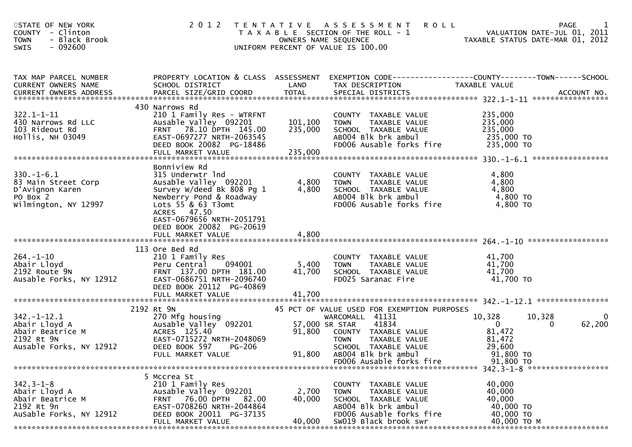| STATE OF NEW YORK<br>COUNTY - Clinton<br><b>TOWN</b><br>- Black Brook<br>$-092600$<br>SWIS      | 2 0 1 2                                                                                                                                                                                                         | OWNERS NAME SEQUENCE          | TENTATIVE ASSESSMENT<br><b>ROLL</b><br>T A X A B L E SECTION OF THE ROLL - 1<br>UNIFORM PERCENT OF VALUE IS 100.00                                                                                                    |                                                                                  | 1<br>PAGE<br>VALUATION DATE-JUL 01, 2011<br>TAXABLE STATUS DATE-MAR 01, 2012 |
|-------------------------------------------------------------------------------------------------|-----------------------------------------------------------------------------------------------------------------------------------------------------------------------------------------------------------------|-------------------------------|-----------------------------------------------------------------------------------------------------------------------------------------------------------------------------------------------------------------------|----------------------------------------------------------------------------------|------------------------------------------------------------------------------|
| TAX MAP PARCEL NUMBER<br><b>CURRENT OWNERS NAME</b>                                             | PROPERTY LOCATION & CLASS ASSESSMENT EXEMPTION CODE----------------COUNTY-------TOWN------SCHOOL<br>SCHOOL DISTRICT                                                                                             | LAND                          | TAX DESCRIPTION                                                                                                                                                                                                       | TAXABLE VALUE                                                                    |                                                                              |
| $322.1 - 1 - 11$<br>430 Narrows Rd LLC<br>103 Rideout Rd<br>Hollis, NH 03049                    | 430 Narrows Rd<br>210 1 Family Res - WTRFNT<br>Ausable Valley 092201<br>FRNT 78.10 DPTH 145.00<br>EAST-0697277 NRTH-2063545<br>DEED BOOK 20082 PG-18486<br>FULL MARKET VALUE                                    | 101,100<br>235,000<br>235,000 | COUNTY TAXABLE VALUE<br><b>TOWN</b><br>TAXABLE VALUE<br>SCHOOL TAXABLE VALUE<br>AB004 Blk brk ambul<br>FD006 Ausable forks fire                                                                                       | 235,000<br>235,000<br>235,000<br>235,000 TO<br>235,000 TO                        |                                                                              |
| $330.-1-6.1$<br>83 Main Street Corp<br>D'Avignon Karen<br>PO Box 2<br>Wilmington, NY 12997      | Bonniview Rd<br>315 Underwtr Ind<br>Ausable Valley 092201<br>Survey W/deed Bk 808 Pg 1<br>Newberry Pond & Roadway<br>Lots 55 & 63 T3omt<br>ACRES 47.50<br>EAST-0679656 NRTH-2051791<br>DEED BOOK 20082 PG-20619 | 4,800<br>4,800                | COUNTY TAXABLE VALUE<br>TAXABLE VALUE<br><b>TOWN</b><br>SCHOOL TAXABLE VALUE<br>AB004 Blk brk ambul<br>FD006 Ausable forks fire                                                                                       | 4,800<br>4,800<br>4,800<br>4,800 TO<br>4,800 TO                                  |                                                                              |
| $264. - 1 - 10$<br>Abair Lloyd<br>2192 Route 9N<br>Ausable Forks, NY 12912                      | 113 Ore Bed Rd<br>210 1 Family Res<br>094001<br>Peru Central<br>FRNT 137.00 DPTH 181.00<br>EAST-0686751 NRTH-2096740<br>DEED BOOK 20112 PG-40869<br>FULL MARKET VALUE                                           | 5,400<br>41,700<br>41,700     | COUNTY TAXABLE VALUE<br>TAXABLE VALUE<br><b>TOWN</b><br>SCHOOL TAXABLE VALUE<br>FD025 Saranac Fire                                                                                                                    | 41,700<br>41,700<br>41,700<br>41,700 TO                                          |                                                                              |
| $342. - 1 - 12.1$<br>Abair Lloyd A<br>Abair Beatrice M<br>2192 Rt 9N<br>Ausable Forks, NY 12912 | 2192 Rt 9N<br>270 Mfg housing<br>Ausable Valley 092201<br>ACRES 125.40<br>EAST-0715272 NRTH-2048069<br>DEED BOOK 597<br><b>PG-206</b><br>FULL MARKET VALUE                                                      | 91,800<br>91,800              | 45 PCT OF VALUE USED FOR EXEMPTION PURPOSES<br>WARCOMALL 41131<br>57,000 SR STAR<br>41834<br>COUNTY TAXABLE VALUE<br>TAXABLE VALUE<br>TOWN<br>SCHOOL TAXABLE VALUE<br>AB004 Blk brk ambul<br>FD006 Ausable forks fire | 10,328<br>$\overline{0}$<br>81,472<br>81,472<br>29,600<br>91,800 TO<br>91,800 TO | 10,328<br>0<br>62,200<br>$\bf{0}$                                            |
| $342.3 - 1 - 8$<br>Abair Lloyd A<br>Abair Beatrice M<br>2192 Rt 9n<br>AuSable Forks, NY 12912   | 5 Mccrea St<br>210 1 Family Res<br>Ausable Valley 092201<br>76.00 DPTH<br>82.00<br><b>FRNT</b><br>EAST-0708260 NRTH-2044864<br>DEED BOOK 20011 PG-37135<br>FULL MARKET VALUE                                    | 2,700<br>40,000<br>40,000     | COUNTY TAXABLE VALUE<br><b>TOWN</b><br>TAXABLE VALUE<br>SCHOOL TAXABLE VALUE<br>AB004 Blk brk ambul<br>FD006 Ausable forks fire<br>SW019 Black brook swr                                                              | 40,000<br>40,000<br>40,000<br>40,000 TO<br>40,000 TO<br>40,000 TO M              |                                                                              |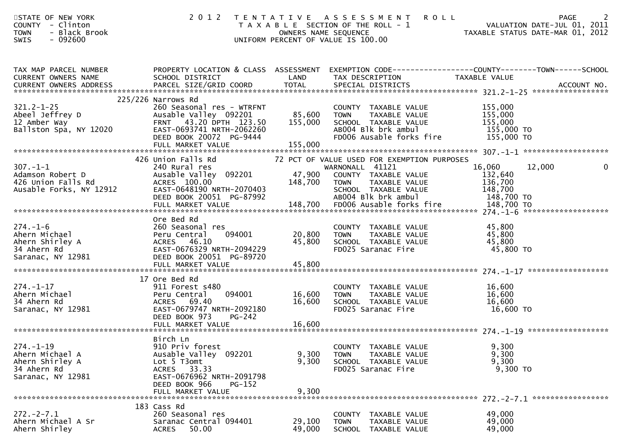| STATE OF NEW YORK<br>COUNTY - Clinton<br>- Black Brook<br><b>TOWN</b><br>$-092600$<br><b>SWIS</b> | 2 0 1 2                                                                                                                                                                         |                                   | TENTATIVE ASSESSMENT<br><b>ROLL</b><br>T A X A B L E SECTION OF THE ROLL - 1<br>OWNERS NAME SEQUENCE<br>UNIFORM PERCENT OF VALUE IS 100.00 | VALUATION DATE-JUL 01, 2011<br>TAXABLE STATUS DATE-MAR 01, 2012 | 2<br><b>PAGE</b><br>VALUATION DATE-JUL 01, 2011 |
|---------------------------------------------------------------------------------------------------|---------------------------------------------------------------------------------------------------------------------------------------------------------------------------------|-----------------------------------|--------------------------------------------------------------------------------------------------------------------------------------------|-----------------------------------------------------------------|-------------------------------------------------|
| TAX MAP PARCEL NUMBER<br>CURRENT OWNERS NAME<br><b>CURRENT OWNERS ADDRESS</b>                     | PROPERTY LOCATION & CLASS ASSESSMENT EXEMPTION CODE----------------COUNTY-------TOWN------SCHOOL<br>SCHOOL DISTRICT                                                             | LAND                              | TAX DESCRIPTION                                                                                                                            | TAXABLE VALUE                                                   |                                                 |
| $321.2 - 1 - 25$<br>Abeel Jeffrey D<br>12 Amber Way<br>Ballston Spa, NY 12020                     | 225/226 Narrows Rd<br>260 Seasonal res - WTRFNT<br>Ausable Valley 092201<br>FRNT 43.20 DPTH 123.50<br>EAST-0693741 NRTH-2062260<br>DEED BOOK 20072 PG-9444<br>FULL MARKET VALUE | 85,600 TOWN<br>155,000<br>155,000 | COUNTY TAXABLE VALUE<br>TAXABLE VALUE<br>SCHOOL TAXABLE VALUE<br>AB004 Blk brk ambul<br>FD006 Ausable forks fire                           | 155,000<br>155,000<br>155,000<br>155,000 TO<br>155,000 TO       |                                                 |
|                                                                                                   | 426 Union Falls Rd                                                                                                                                                              |                                   | 72 PCT OF VALUE USED FOR EXEMPTION PURPOSES                                                                                                |                                                                 |                                                 |
| $307. - 1 - 1$<br>Adamson Robert D<br>426 Union Falls Rd<br>Ausable Forks, NY 12912               | 240 Rural res<br>Ausable Valley 092201<br>ACRES 100.00<br>EAST-0648190 NRTH-2070403<br>DEED BOOK 20051 PG-87992                                                                 | 47,900<br>148,700<br>H-2070403    | WARNONALL 41121<br>COUNTY TAXABLE VALUE<br>TAXABLE VALUE<br><b>TOWN</b><br>SCHOOL TAXABLE VALUE<br>AB004 Blk brk ambul                     | 16,060<br>132,640<br>136,700<br>148,700<br>148,700 TO           | 12,000                                          |
|                                                                                                   |                                                                                                                                                                                 |                                   |                                                                                                                                            |                                                                 |                                                 |
| $274. - 1 - 6$<br>Ahern Michael<br>Ahern Shirley A<br>34 Ahern Rd<br>Saranac, NY 12981            | Ore Bed Rd<br>260 Seasonal res<br>094001<br>Peru Central<br>ACRES 46.10<br>EAST-0676329 NRTH-2094229<br>DEED BOOK 20051 PG-89720<br>FULL MARKET VALUE                           | 20,800<br>45,800<br>45,800        | COUNTY TAXABLE VALUE<br><b>TOWN</b><br>TAXABLE VALUE<br>SCHOOL TAXABLE VALUE<br>FD025 Saranac Fire                                         | 45,800<br>45,800<br>45,800<br>45,800 TO                         |                                                 |
|                                                                                                   | 17 Ore Bed Rd                                                                                                                                                                   |                                   |                                                                                                                                            |                                                                 |                                                 |
| $274. - 1 - 17$<br>Ahern Michael<br>34 Ahern Rd<br>Saranac, NY 12981                              | 911 Forest s480<br>Peru Central<br>094001<br>ACRES 69.40<br>EAST-0679747 NRTH-2092180<br>DEED BOOK 973<br>$PG-242$                                                              | 16,600<br>16,600                  | COUNTY TAXABLE VALUE<br>TAXABLE VALUE<br><b>TOWN</b><br>SCHOOL TAXABLE VALUE<br>FD025 Saranac Fire                                         | 16,600<br>16,600<br>16,600<br>16,600 TO                         |                                                 |
|                                                                                                   | FULL MARKET VALUE                                                                                                                                                               | 16,600                            |                                                                                                                                            |                                                                 |                                                 |
| $274. - 1 - 19$<br>Ahern Michael A<br>Ahern Shirley A<br>34 Ahern Rd<br>Saranac, NY 12981         | Birch Ln<br>910 Priv forest<br>Ausable Valley 092201<br>Lot 5 T3omt<br>ACRES 33.33<br>EAST-0676962 NRTH-2091798<br>DEED BOOK 966<br>PG-152<br>FULL MARKET VALUE                 | 9,300<br>9,300<br>9,300           | COUNTY TAXABLE VALUE<br>TAXABLE VALUE<br><b>TOWN</b><br>SCHOOL TAXABLE VALUE<br>FD025 Saranac Fire                                         | 9,300<br>9,300<br>9,300<br>9,300 TO                             |                                                 |
|                                                                                                   |                                                                                                                                                                                 |                                   |                                                                                                                                            |                                                                 |                                                 |
| $272. -2 - 7.1$<br>Ahern Michael A Sr<br>Ahern Shirley                                            | 183 Cass Rd<br>260 Seasonal res<br>Saranac Central 094401<br>50.00<br><b>ACRES</b>                                                                                              | 29,100<br>49,000                  | COUNTY TAXABLE VALUE<br>TAXABLE VALUE<br><b>TOWN</b><br>SCHOOL TAXABLE VALUE                                                               | 49,000<br>49,000<br>49,000                                      |                                                 |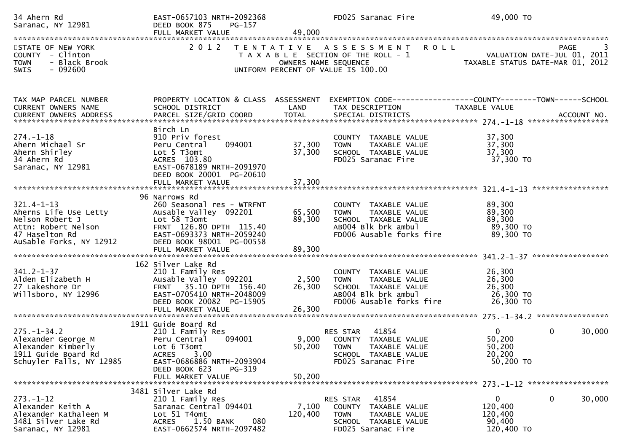| 34 Ahern Rd<br>Saranac, NY 12981                                                                                                 | EAST-0657103 NRTH-2092368<br>DEED BOOK 875<br>PG-157<br>FULL MARKET VALUE                                                                                                                    | 49,000                     | FD025 Saranac Fire                                                                                                                | 49,000 TO                                                                     |
|----------------------------------------------------------------------------------------------------------------------------------|----------------------------------------------------------------------------------------------------------------------------------------------------------------------------------------------|----------------------------|-----------------------------------------------------------------------------------------------------------------------------------|-------------------------------------------------------------------------------|
| STATE OF NEW YORK<br>COUNTY - Clinton<br>- Black Brook<br><b>TOWN</b>                                                            | 2 0 1 2                                                                                                                                                                                      |                            | TENTATIVE ASSESSMENT ROLL<br>T A X A B L E SECTION OF THE ROLL - 1<br>OWNERS NAME SEQUENCE                                        | PAGE<br>VALUATION DATE-JUL 01, 2011<br>TAXABLE STATUS DATE-MAR 01, 2012       |
| $-092600$<br>SWIS                                                                                                                |                                                                                                                                                                                              |                            | UNIFORM PERCENT OF VALUE IS 100.00                                                                                                |                                                                               |
| TAX MAP PARCEL NUMBER<br>CURRENT OWNERS NAME                                                                                     | PROPERTY LOCATION & CLASS ASSESSMENT<br>SCHOOL DISTRICT                                                                                                                                      | LAND                       | TAX DESCRIPTION                                                                                                                   | EXEMPTION CODE-----------------COUNTY-------TOWN------SCHOOL<br>TAXABLE VALUE |
| $274. - 1 - 18$<br>Ahern Michael Sr<br>Ahern Shirley<br>34 Ahern Rd<br>Saranac, NY 12981                                         | Birch Ln<br>910 Priv forest<br>094001<br>Peru Central<br>Lot 5 T3omt<br>ACRES 103.80<br>EAST-0678189 NRTH-2091970<br>DEED BOOK 20001 PG-20610<br>FULL MARKET VALUE                           | 37,300<br>37,300<br>37,300 | COUNTY TAXABLE VALUE<br>TAXABLE VALUE<br><b>TOWN</b><br>SCHOOL TAXABLE VALUE<br>FD025 Saranac Fire                                | 37,300<br>37,300<br>37,300<br>37,300 TO                                       |
| $321.4 - 1 - 13$<br>Aherns Life Use Letty<br>Nelson Robert J<br>Attn: Robert Nelson<br>47 Haselton Rd<br>AuSable Forks, NY 12912 | 96 Narrows Rd<br>260 Seasonal res - WTRFNT<br>Ausable Valley 092201<br>Lot 58 T3omt<br>FRNT 126.80 DPTH 115.40<br>EAST-0693373 NRTH-2059240<br>DEED BOOK 98001 PG-00558<br>FULL MARKET VALUE | 65,500<br>89,300<br>89,300 | COUNTY TAXABLE VALUE<br>TAXABLE VALUE<br><b>TOWN</b><br>SCHOOL TAXABLE VALUE<br>AB004 Blk brk ambul<br>FD006 Ausable forks fire   | 89,300<br>89,300<br>89,300<br>89,300 TO<br>89,300 TO                          |
| $341.2 - 1 - 37$<br>Alden Elizabeth H<br>27 Lakeshore Dr<br>Willsboro, NY 12996                                                  | 162 Silver Lake Rd<br>210 1 Family Res<br>Ausable Valley 092201<br>FRNT 35.10 DPTH 156.40<br>EAST-0705410 NRTH-2048009<br>DEED BOOK 20082 PG-15905<br>FULL MARKET VALUE                      | 2,500<br>26,300<br>26,300  | COUNTY TAXABLE VALUE<br>TAXABLE VALUE<br><b>TOWN</b><br>SCHOOL TAXABLE VALUE<br>AB004 Blk brk ambul<br>FD006 Ausable forks fire   | 26,300<br>26,300<br>26,300<br>26,300 TO<br>26,300 TO                          |
| $275. - 1 - 34.2$<br>Alexander George M<br>Alexander Kimberly<br>1911 Guide Board Rd<br>Schuyler Falls, NY 12985                 | 1911 Guide Board Rd<br>210 1 Family Res<br>Peru Central<br>094001<br>Lot 6 T3omt<br>3.00<br><b>ACRES</b><br>EAST-0686886 NRTH-2093904<br>DEED BOOK 623<br>PG-319<br>FULL MARKET VALUE        | 50,200<br>50,200           | 41854<br>RES STAR<br>9,000 COUNTY TAXABLE VALUE<br><b>TOWN</b><br>TAXABLE VALUE<br>SCHOOL TAXABLE VALUE<br>FD025 Saranac Fire     | $\overline{0}$<br>0<br>30,000<br>50,200<br>50,200<br>20,200<br>50,200 TO      |
| ******************************                                                                                                   |                                                                                                                                                                                              |                            |                                                                                                                                   |                                                                               |
| $273. - 1 - 12$<br>Alexander Keith A<br>Alexander Kathaleen M<br>3481 Silver Lake Rd<br>Saranac, NY 12981                        | 3481 Silver Lake Rd<br>210 1 Family Res<br>Saranac Central 094401<br>Lot 51 T4omt<br>1.50 BANK<br>080<br><b>ACRES</b><br>EAST-0662574 NRTH-2097482                                           | 7,100<br>120,400           | 41854<br>RES STAR<br><b>COUNTY</b><br>TAXABLE VALUE<br><b>TOWN</b><br>TAXABLE VALUE<br>SCHOOL TAXABLE VALUE<br>FD025 Saranac Fire | $\mathbf 0$<br>0<br>30,000<br>120,400<br>120,400<br>90,400<br>120,400 TO      |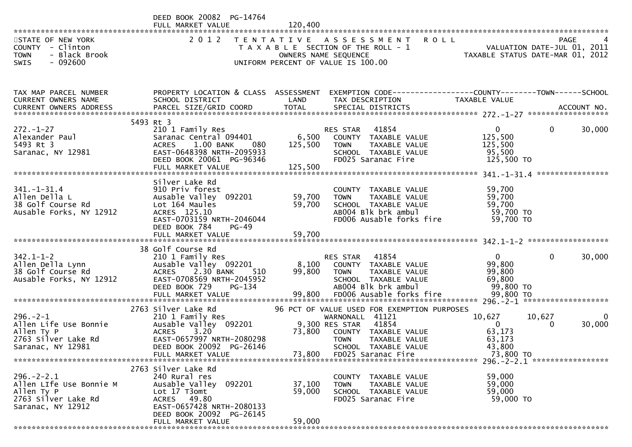|                                                                                                       | DEED BOOK 20082 PG-14764<br>FULL MARKET VALUE                                                                                                                                   | 120,400                     |                                                                                                                                                                           |                                                                                      |             |
|-------------------------------------------------------------------------------------------------------|---------------------------------------------------------------------------------------------------------------------------------------------------------------------------------|-----------------------------|---------------------------------------------------------------------------------------------------------------------------------------------------------------------------|--------------------------------------------------------------------------------------|-------------|
| STATE OF NEW YORK<br>COUNTY - Clinton<br><b>TOWN</b><br>- Black Brook<br>$-092600$<br><b>SWIS</b>     | 2 0 1 2                                                                                                                                                                         |                             | <b>ROLL</b><br>TENTATIVE ASSESSMENT<br>T A X A B L E SECTION OF THE ROLL - 1<br>OWNERS NAME SEQUENCE<br>UNIFORM PERCENT OF VALUE IS 100.00                                | VALUATION DATE-JUL 01, 2011<br>TAXABLE STATUS DATE-MAR 01, 2012                      | PAGE        |
| TAX MAP PARCEL NUMBER<br>CURRENT OWNERS NAME<br>CURRENT OWNERS ADDRESS                                | PROPERTY LOCATION & CLASS ASSESSMENT<br>SCHOOL DISTRICT                                                                                                                         | LAND                        | EXEMPTION CODE------------------COUNTY--------TOWN------SCHOOL<br>TAX DESCRIPTION                                                                                         | TAXABLE VALUE                                                                        |             |
| $272. - 1 - 27$<br>Alexander Paul<br>5493 Rt 3<br>Saranac, NY 12981                                   | 5493 Rt 3<br>210 1 Family Res<br>Saranac Central 094401<br>1.00 BANK<br>080<br><b>ACRES</b><br>EAST-0648398 NRTH-2095933<br>DEED BOOK 20061 PG-96346<br>FULL MARKET VALUE       | 6,500<br>125,500<br>125,500 | RES STAR<br>41854<br>COUNTY TAXABLE VALUE<br><b>TOWN</b><br>TAXABLE VALUE<br>SCHOOL TAXABLE VALUE<br>FD025 Saranac Fire                                                   | $\mathbf{0}$<br>0<br>125,500<br>125,500<br>95,500<br>125,500 TO                      | 30,000      |
| $341. - 1 - 31.4$<br>Allen Della L<br>38 Golf Course Rd<br>Ausable Forks, NY 12912                    | Silver Lake Rd<br>910 Priv forest<br>Ausable Valley 092201<br>Lot 164 Maules<br>ACRES 125.10<br>EAST-0703159 NRTH-2046044<br>DEED BOOK 784<br>PG-49                             | 59,700<br>59,700            | COUNTY TAXABLE VALUE<br>TAXABLE VALUE<br><b>TOWN</b><br>SCHOOL TAXABLE VALUE<br>AB004 Blk brk ambul<br>FD006 Ausable forks fire                                           | 59,700<br>59,700<br>59,700<br>59,700 TO<br>59,700 TO                                 |             |
| $342.1 - 1 - 2$<br>Allen Della Lynn<br>38 Golf Course Rd<br>Ausable Forks, NY 12912                   | 38 Golf Course Rd<br>210 1 Family Res<br>Ausable Valley 092201<br><b>ACRES</b><br>2.30 BANK<br>510<br>EAST-0708569 NRTH-2045952<br>DEED BOOK 729<br>PG-134<br>FULL MARKET VALUE | 8,100<br>99,800             | 41854<br>RES STAR<br>COUNTY TAXABLE VALUE<br><b>TOWN</b><br>TAXABLE VALUE<br>SCHOOL TAXABLE VALUE<br>AB004 Blk brk ambul<br>99,800 FD006 Ausable forks fire               | $\mathbf{0}$<br>$\mathbf{0}$<br>99,800<br>99,800<br>69,800<br>99,800 TO<br>99,800 TO | 30,000      |
| $296. - 2 - 1$<br>Allen Life Use Bonnie<br>Allen Ty P<br>2763 Silver Lake Rd<br>Saranac, NY 12981     | 2763 Silver Lake Rd<br>210 1 Family Res<br>Ausable Valley 092201<br><b>ACRES</b><br>3.20<br>EAST-0657997 NRTH-2080298<br>DEED BOOK 20092 PG-26146                               | 73,800                      | 96 PCT OF VALUE USED FOR EXEMPTION PURPOSES<br>WARNONALL 41121<br>9,300 RES STAR<br>41854<br>COUNTY TAXABLE VALUE<br><b>TOWN</b><br>TAXABLE VALUE<br>SCHOOL TAXABLE VALUE | 10,627<br>10,627<br>$\mathbf{0}$<br>0<br>63,173<br>63,173<br>43,800                  | 0<br>30,000 |
| $296. - 2 - 2.1$<br>Allen LIfe Use Bonnie M<br>Allen Ty P<br>2763 Silver Lake Rd<br>Saranac, NY 12912 | 2763 Silver Lake Rd<br>240 Rural res<br>Ausable Valley 092201<br>Lot 17 T3omt<br>ACRES 49.80<br>EAST-0657428 NRTH-2080133<br>DEED BOOK 20092 PG-26145<br>FULL MARKET VALUE      | 37,100<br>59,000<br>59,000  | COUNTY TAXABLE VALUE<br>TAXABLE VALUE<br><b>TOWN</b><br>SCHOOL TAXABLE VALUE<br>FD025 Saranac Fire                                                                        | 59,000<br>59,000<br>59,000<br>59,000 TO                                              |             |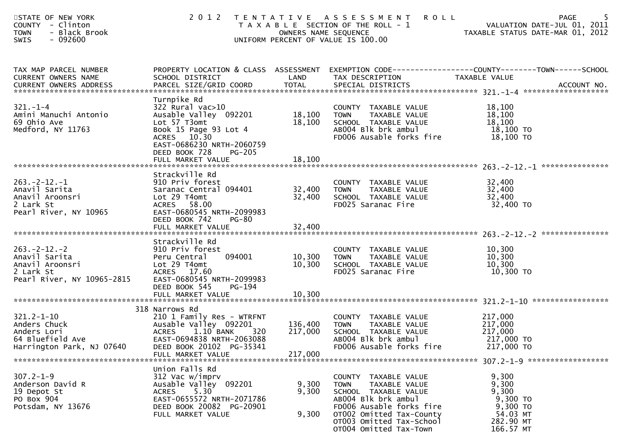| STATE OF NEW YORK<br>COUNTY - Clinton<br>- Black Brook<br><b>TOWN</b><br>SWIS<br>$-092600$        |                                                                                                                                                                                                           | OWNERS NAME SEQUENCE          | 2012 TENTATIVE ASSESSMENT<br><b>ROLL</b><br>T A X A B L E SECTION OF THE ROLL - 1<br>UNIFORM PERCENT OF VALUE IS 100.00         | PAGE<br>VALUATION DATE-JUL 01, 2011<br>VALUATION DATE-JUL 01, 2011<br>TAXABLE STATUS DATE-MAR 01, 2012                           |
|---------------------------------------------------------------------------------------------------|-----------------------------------------------------------------------------------------------------------------------------------------------------------------------------------------------------------|-------------------------------|---------------------------------------------------------------------------------------------------------------------------------|----------------------------------------------------------------------------------------------------------------------------------|
| TAX MAP PARCEL NUMBER<br>CURRENT OWNERS NAME<br><b>CURRENT OWNERS ADDRESS</b>                     | SCHOOL DISTRICT<br>PARCEL SIZE/GRID COORD                                                                                                                                                                 | LAND<br><b>TOTAL</b>          | TAX DESCRIPTION<br>SPECIAL DISTRICTS                                                                                            | PROPERTY LOCATION & CLASS ASSESSMENT EXEMPTION CODE----------------COUNTY-------TOWN------SCHOOL<br>TAXABLE VALUE<br>ACCOUNT NO. |
| $321. - 1 - 4$<br>Amini Manuchi Antonio<br>69 Ohio Ave<br>Medford, NY 11763                       | Turnpike Rd<br>$322$ Rural vac $>10$<br>Ausable Valley 092201<br>Lot 57 T3omt<br>Book 15 Page 93 Lot 4<br>ACRES 10.30<br>EAST-0686230 NRTH-2060759<br>DEED BOOK 728<br><b>PG-205</b><br>FULL MARKET VALUE | 18,100<br>18,100<br>18,100    | COUNTY TAXABLE VALUE<br><b>TOWN</b><br>TAXABLE VALUE<br>SCHOOL TAXABLE VALUE<br>AB004 Blk brk ambul<br>FD006 Ausable forks fire | 18,100<br>18,100<br>18,100<br>18,100 TO<br>18,100 TO                                                                             |
|                                                                                                   |                                                                                                                                                                                                           |                               |                                                                                                                                 |                                                                                                                                  |
| $263. -2 - 12. - 1$<br>Anavil Sarita<br>Anavil Aroonsri<br>2 Lark St<br>Pearl River, NY 10965     | Strackville Rd<br>910 Priv forest<br>Saranac Central 094401<br>Lot 29 T4omt<br>ACRES 58.00<br>EAST-0680545 NRTH-2099983<br>DEED BOOK 742<br><b>PG-80</b>                                                  | 32,400<br>32,400              | COUNTY TAXABLE VALUE<br>TAXABLE VALUE<br><b>TOWN</b><br>SCHOOL TAXABLE VALUE<br>FD025 Saranac Fire                              | 32,400<br>32,400<br>32,400<br>32,400 TO                                                                                          |
|                                                                                                   | FULL MARKET VALUE                                                                                                                                                                                         | 32,400                        |                                                                                                                                 |                                                                                                                                  |
|                                                                                                   | Strackville Rd                                                                                                                                                                                            |                               |                                                                                                                                 |                                                                                                                                  |
| $263 - 2 - 12 - 2$<br>Anavil Sarita<br>Anavil Aroonsri<br>2 Lark St<br>Pearl River, NY 10965-2815 | 910 Priv forest<br>094001<br>Peru Central<br>Lot 29 T4omt<br>ACRES 17.60<br>EAST-0680545 NRTH-2099983                                                                                                     | 10,300<br>10,300              | COUNTY TAXABLE VALUE<br>TAXABLE VALUE<br>TOWN<br>SCHOOL TAXABLE VALUE<br>FD025 Saranac Fire                                     | 10,300<br>10,300<br>10,300<br>10,300 TO                                                                                          |
|                                                                                                   | DEED BOOK 545<br>$PG-194$                                                                                                                                                                                 |                               |                                                                                                                                 |                                                                                                                                  |
|                                                                                                   |                                                                                                                                                                                                           |                               |                                                                                                                                 |                                                                                                                                  |
| $321.2 - 1 - 10$<br>Anders Chuck<br>Anders Lori<br>64 Bluefield Ave<br>Harrington Park, NJ 07640  | 318 Narrows Rd<br>210 1 Family Res - WTRFNT<br>Ausable Valley 092201<br>$1.10$ BANK<br>320<br><b>ACRES</b><br>EAST-0694838 NRTH-2063088<br>DEED BOOK 20102 PG-35341<br>FULL MARKET VALUE                  | 136,400<br>217,000<br>217,000 | COUNTY TAXABLE VALUE<br><b>TOWN</b><br>TAXABLE VALUE<br>SCHOOL TAXABLE VALUE<br>AB004 Blk brk ambul<br>FD006 Ausable forks fire | 217,000<br>217,000<br>217,000<br>217,000 TO<br>217,000 TO                                                                        |
|                                                                                                   | Union Falls Rd                                                                                                                                                                                            |                               |                                                                                                                                 |                                                                                                                                  |
| $307.2 - 1 - 9$<br>Anderson David R<br>19 Depot St<br>PO Box 904                                  | 312 Vac w/imprv<br>Ausable Valley 092201<br>5.30<br><b>ACRES</b><br>EAST-0655572 NRTH-2071786                                                                                                             | 9,300<br>9,300                | COUNTY TAXABLE VALUE<br><b>TOWN</b><br>TAXABLE VALUE<br>SCHOOL TAXABLE VALUE<br>AB004 Blk brk ambul                             | 9,300<br>9,300<br>9,300<br>9,300 TO                                                                                              |
| Potsdam, NY 13676                                                                                 | DEED BOOK 20082 PG-20901<br>FULL MARKET VALUE                                                                                                                                                             | 9,300                         | FD006 Ausable forks fire<br>OTO02 Omitted Tax-County<br>OT003 Omitted Tax-School<br>OT004 Omitted Tax-Town                      | 9,300 TO<br>54.03 MT<br>282.90 MT<br>166.57 MT                                                                                   |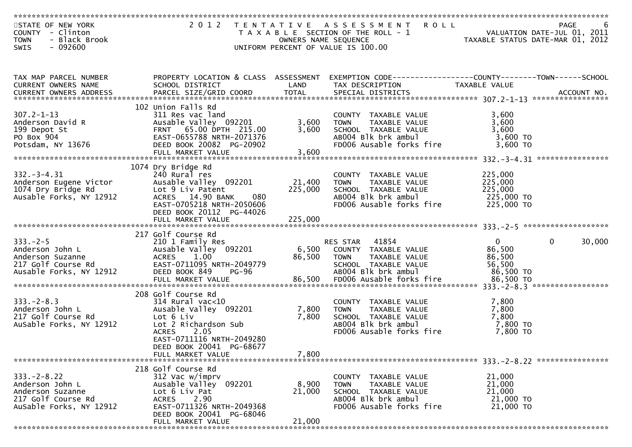| STATE OF NEW YORK<br>COUNTY - Clinton<br>- Black Brook<br><b>TOWN</b>                                     |                                                                                                                                                                  | OWNERS NAME SEQUENCE | 2012 TENTATIVE ASSESSMENT ROLL<br>T A X A B L E SECTION OF THE ROLL - 1                                                            | - 1<br>VALUATION DATE-JUL 01, 2011<br>TAXABLE STATUS DATE-MAR 01, 2012 | PAGE                   |
|-----------------------------------------------------------------------------------------------------------|------------------------------------------------------------------------------------------------------------------------------------------------------------------|----------------------|------------------------------------------------------------------------------------------------------------------------------------|------------------------------------------------------------------------|------------------------|
| - 092600<br><b>SWIS</b>                                                                                   |                                                                                                                                                                  |                      | UNIFORM PERCENT OF VALUE IS 100.00                                                                                                 |                                                                        |                        |
| TAX MAP PARCEL NUMBER<br>CURRENT OWNERS NAME                                                              | SCHOOL DISTRICT                                                                                                                                                  | LAND                 | PROPERTY LOCATION & CLASS ASSESSMENT EXEMPTION CODE----------------COUNTY-------TOWN------SCHOOL<br>TAX DESCRIPTION                | TAXABLE VALUE                                                          |                        |
|                                                                                                           |                                                                                                                                                                  |                      |                                                                                                                                    |                                                                        |                        |
| $307.2 - 1 - 13$<br>Anderson David R<br>199 Depot St                                                      | 102 Union Falls Rd<br>311 Res vac land<br>Ausable Valley 092201<br>FRNT 65.00 DPTH 215.00                                                                        | 3,600<br>3,600       | COUNTY TAXABLE VALUE<br>TAXABLE VALUE<br><b>TOWN</b>                                                                               | 3,600<br>3,600<br>3,600                                                |                        |
| PO Box 904<br>Potsdam, NY 13676                                                                           | EAST-0655788 NRTH-2071376<br>DEED BOOK 20082 PG-20902                                                                                                            |                      | SCHOOL TAXABLE VALUE<br>ABOO4 Blk brk ambul<br>FD006 Ausable forks fire                                                            | $3,600$ TO<br>3,600 TO                                                 |                        |
|                                                                                                           |                                                                                                                                                                  |                      |                                                                                                                                    |                                                                        |                        |
| $332 - 3 - 4.31$<br>Anderson Eugene Victor<br>1074 Dry Bridge Rd<br>Ausable Forks, NY 12912               | 1074 Dry Bridge Rd<br>240 Rural res<br>Ausable Valley 092201<br>Lot 9 Liv Patent<br>ACRES 14.90 BANK<br>080                                                      | 21,400<br>225,000    | COUNTY TAXABLE VALUE<br><b>TOWN</b><br>TAXABLE VALUE<br>SCHOOL TAXABLE VALUE<br>AB004 Blk brk ambul                                | 225,000<br>225,000<br>225,000<br>225,000 TO                            |                        |
|                                                                                                           | EAST-0705218 NRTH-2050606<br>DEED BOOK 20112 PG-44026                                                                                                            |                      | FD006 Ausable forks fire                                                                                                           | 225,000 TO                                                             |                        |
|                                                                                                           | 217 Golf Course Rd                                                                                                                                               |                      |                                                                                                                                    |                                                                        |                        |
| $333. -2 - 5$<br>Anderson John L<br>Anderson Suzanne<br>217 Golf Course Rd<br>Ausable Forks, NY 12912     | 210 1 Family Res<br>Ausable Valley 092201<br><b>ACRES</b><br>1.00<br>EAST-0711095 NRTH-2049779<br>DEED BOOK 849<br><b>PG-96</b>                                  | 6,500                | RES STAR 41854<br>COUNTY TAXABLE VALUE<br>86,500 TOWN<br>TAXABLE VALUE<br>SCHOOL TAXABLE VALUE<br>AB004 Blk brk ambul              | $\overline{0}$<br>86,500<br>86,500<br>56,500<br>86,500 TO              | $\mathbf{0}$<br>30,000 |
|                                                                                                           |                                                                                                                                                                  |                      |                                                                                                                                    |                                                                        |                        |
|                                                                                                           | 208 Golf Course Rd                                                                                                                                               |                      |                                                                                                                                    |                                                                        |                        |
| $333. -2 - 8.3$<br>Anderson John L<br>217 Golf Course Rd<br>AuSable Forks, NY 12912                       | 314 Rural vac<10<br>Ausable Valley 092201<br>Lot 6 Liv<br>Lot 2 Richardson Sub<br><b>ACRES</b><br>2.05<br>EAST-0711116 NRTH-2049280                              | 7,800<br>7,800       | COUNTY TAXABLE VALUE<br>IOWN TAXABLE VALUE<br>SCHOOL TAXABLE VALUE<br>ABOO4 Blk brk ambul<br>FD006 Ausable forks fire              | 7,800<br>7,800<br>7,800<br>7,800 TO<br>7,800 TO                        |                        |
|                                                                                                           | DEED BOOK 20041 PG-68677<br>FULL MARKET VALUE                                                                                                                    | 7,800                |                                                                                                                                    |                                                                        |                        |
| $333. - 2 - 8.22$<br>Anderson John L<br>Anderson Suzanne<br>217 Golf Course Rd<br>AuSable Forks, NY 12912 | 218 Golf Course Rd<br>312 Vac w/imprv<br>Ausable Valley 092201<br>Lot 6 Liv Pat<br>2.90<br><b>ACRES</b><br>EAST-0711326 NRTH-2049368<br>DEED BOOK 20041 PG-68046 | 8,900<br>21,000      | COUNTY<br>TAXABLE VALUE<br>TAXABLE VALUE<br><b>TOWN</b><br>SCHOOL TAXABLE VALUE<br>AB004 Blk brk ambul<br>FD006 Ausable forks fire | 21,000<br>21,000<br>21,000<br>21,000 TO<br>21,000 TO                   |                        |
|                                                                                                           | FULL MARKET VALUE                                                                                                                                                | 21,000               |                                                                                                                                    |                                                                        |                        |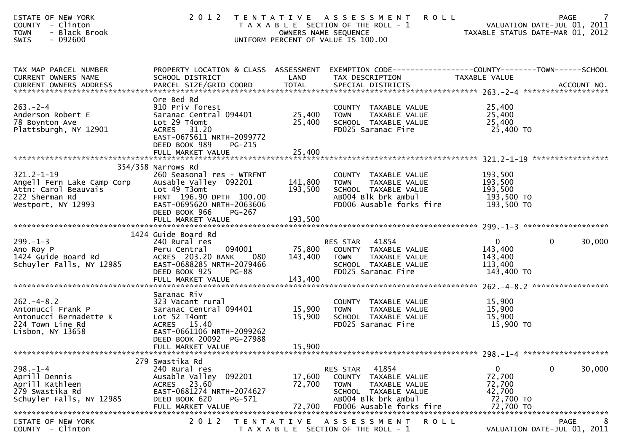| STATE OF NEW YORK<br><b>COUNTY</b><br>- Clinton<br>- Black Brook<br><b>TOWN</b><br>$-092600$<br>SWIS           | 2 0 1 2                                                                                                                                                                     |                              | <b>ROLL</b><br>TENTATIVE ASSESSMENT<br>T A X A B L E SECTION OF THE ROLL - 1<br>OWNERS NAME SEQUENCE<br>UNIFORM PERCENT OF VALUE IS 100.00    | 7<br><b>PAGE</b><br>VALUATION DATE-JUL 01, 2011<br>VALUATION DATE-JUL 01, 2011<br>TAXABLE STATUS DATE-MAR 01, 2012               |
|----------------------------------------------------------------------------------------------------------------|-----------------------------------------------------------------------------------------------------------------------------------------------------------------------------|------------------------------|-----------------------------------------------------------------------------------------------------------------------------------------------|----------------------------------------------------------------------------------------------------------------------------------|
| TAX MAP PARCEL NUMBER<br>CURRENT OWNERS NAME<br><b>CURRENT OWNERS ADDRESS</b>                                  | SCHOOL DISTRICT<br>PARCEL SIZE/GRID COORD                                                                                                                                   | LAND<br><b>TOTAL</b>         | TAX DESCRIPTION<br>SPECIAL DISTRICTS                                                                                                          | PROPERTY LOCATION & CLASS ASSESSMENT EXEMPTION CODE----------------COUNTY-------TOWN------SCHOOL<br>TAXABLE VALUE<br>ACCOUNT NO. |
| $263. -2 - 4$<br>Anderson Robert E<br>78 Boynton Ave<br>Plattsburgh, NY 12901                                  | Ore Bed Rd<br>910 Priv forest<br>Saranac Central 094401<br>Lot 29 T4omt<br>ACRES 31.20<br>EAST-0675611 NRTH-2099772<br>DEED BOOK 989<br>$PG-215$                            | 25,400<br>25,400             | COUNTY TAXABLE VALUE<br>TAXABLE VALUE<br><b>TOWN</b><br>SCHOOL TAXABLE VALUE<br>FD025 Saranac Fire                                            | 25,400<br>25,400<br>25,400<br>25,400 TO                                                                                          |
|                                                                                                                |                                                                                                                                                                             |                              |                                                                                                                                               |                                                                                                                                  |
| $321.2 - 1 - 19$<br>Angell Fern Lake Camp Corp<br>Attn: Carol Beauvais<br>222 Sherman Rd<br>Westport, NY 12993 | 354/358 Narrows Rd<br>260 Seasonal res - WTRFNT<br>Ausable Valley 092201<br>Lot 49 T3omt<br>FRNT 196.90 DPTH 100.00<br>EAST-0695620 NRTH-2063606<br>DEED BOOK 966<br>PG-267 | 141,800<br>193,500           | COUNTY TAXABLE VALUE<br>TAXABLE VALUE<br><b>TOWN</b><br>SCHOOL TAXABLE VALUE<br>ABOO4 Blk brk ambul<br>FD006 Ausable forks fire               | 193,500<br>193,500<br>193,500<br>193,500 TO<br>193,500 TO                                                                        |
|                                                                                                                | FULL MARKET VALUE                                                                                                                                                           | 193,500                      |                                                                                                                                               |                                                                                                                                  |
|                                                                                                                | 1424 Guide Board Rd                                                                                                                                                         |                              |                                                                                                                                               |                                                                                                                                  |
| $299. - 1 - 3$<br>Ano Roy P<br>1424 Guide Board Rd<br>Schuyler Falls, NY 12985                                 | 240 Rural res<br>094001<br>Peru Central<br>ACRES 203.20 BANK<br>080<br>EAST-0688285 NRTH-2079466<br>DEED BOOK 925<br>$PG-88$<br>FULL MARKET VALUE                           | 75,800<br>143,400<br>143,400 | 41854<br>RES STAR<br>COUNTY TAXABLE VALUE<br>TAXABLE VALUE<br><b>TOWN</b><br>SCHOOL TAXABLE VALUE<br>FD025 Saranac Fire                       | $\mathbf{0}$<br>$\mathbf{0}$<br>30,000<br>143,400<br>143,400<br>113,400<br>143,400 TO                                            |
| $262 - 4 - 8.2$<br>Antonucci Frank P<br>Antonucci Bernadette K<br>224 Town Line Rd<br>Lisbon, NY 13658         | Saranac Riv<br>323 Vacant rural<br>Saranac Central 094401<br>Lot 52 T4omt<br>ACRES 15.40<br>EAST-0661106 NRTH-2099262<br>DEED BOOK 20092 PG-27988<br>FULL MARKET VALUE      | 15,900<br>15,900<br>15,900   | COUNTY TAXABLE VALUE<br>TAXABLE VALUE<br>TOWN<br>SCHOOL TAXABLE VALUE<br>FD025 Saranac Fire                                                   | 15,900<br>15,900<br>15,900<br>15,900 TO                                                                                          |
|                                                                                                                | 279 Swastika Rd                                                                                                                                                             |                              |                                                                                                                                               |                                                                                                                                  |
| $298. - 1 - 4$<br>Aprill Dennis<br>Aprill Kathleen<br>279 Swastika Rd<br>Schuyler Falls, NY 12985              | 240 Rural res<br>Ausable Valley 092201<br>ACRES 23.60<br>EAST-0681274 NRTH-2074627<br>DEED BOOK 620<br>PG-571<br>FULL MARKET VALUE                                          | 17,600<br>72,700<br>72,700   | 41854<br>RES STAR<br>COUNTY TAXABLE VALUE<br>TAXABLE VALUE<br>TOWN<br>SCHOOL TAXABLE VALUE<br>AB004 Blk brk ambul<br>FD006 Ausable forks fire | 30,000<br>$\mathbf{0}$<br>0<br>72,700<br>72,700<br>42,700<br>72,700 TO<br>72,700 TO                                              |
| STATE OF NEW YORK<br>COUNTY - Clinton                                                                          | 2 0 1 2                                                                                                                                                                     |                              | TENTATIVE ASSESSMENT<br><b>ROLL</b><br>T A X A B L E SECTION OF THE ROLL - 1                                                                  | PAGE<br>VALUATION DATE-JUL 01, 2011                                                                                              |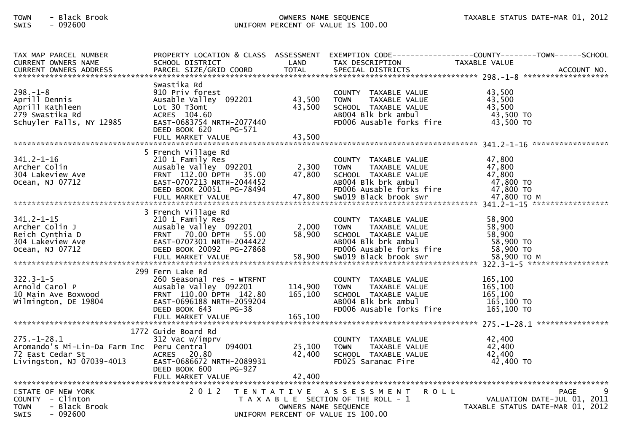## TOWN - Black Brook OWNERS NAME SEQUENCE TAXABLE STATUS DATE-MAR 01, 2012SWIS - 092600 UNIFORM PERCENT OF VALUE IS 100.00

| TAX MAP PARCEL NUMBER<br><b>CURRENT OWNERS NAME</b><br><b>CURRENT OWNERS ADDRESS</b>                             | PROPERTY LOCATION & CLASS ASSESSMENT<br>SCHOOL DISTRICT<br>PARCEL SIZE/GRID COORD                                                                                               | LAND<br><b>TOTAL</b>                      | TAX DESCRIPTION<br>SPECIAL DISTRICTS                                                                                                                     | TAXABLE VALUE<br>ACCOUNT NO.                                                        |
|------------------------------------------------------------------------------------------------------------------|---------------------------------------------------------------------------------------------------------------------------------------------------------------------------------|-------------------------------------------|----------------------------------------------------------------------------------------------------------------------------------------------------------|-------------------------------------------------------------------------------------|
| $298. - 1 - 8$<br>Aprill Dennis<br>Aprill Kathleen<br>279 Swastika Rd<br>Schuyler Falls, NY 12985                | Swastika Rd<br>910 Priv forest<br>Ausable Valley 092201<br>Lot 30 T3omt<br>ACRES 104.60<br>EAST-0683754 NRTH-2077440<br>DEED BOOK 620<br>PG-571<br>FULL MARKET VALUE            | 43,500<br>43,500<br>43,500                | COUNTY TAXABLE VALUE<br><b>TOWN</b><br>TAXABLE VALUE<br>SCHOOL TAXABLE VALUE<br>AB004 Blk brk ambul<br>FD006 Ausable forks fire                          | 43,500<br>43,500<br>43,500<br>43,500 TO<br>43,500 TO                                |
| $341.2 - 1 - 16$<br>Archer Colin<br>304 Lakeview Ave<br>Ocean, NJ 07712                                          | 5 French Village Rd<br>210 1 Family Res<br>Ausable Valley 092201<br>FRNT 112.00 DPTH<br>35.00<br>EAST-0707213 NRTH-2044452<br>DEED BOOK 20051 PG-78494<br>FULL MARKET VALUE     | 2,300<br>47,800<br>47,800                 | COUNTY TAXABLE VALUE<br><b>TOWN</b><br>TAXABLE VALUE<br>SCHOOL TAXABLE VALUE<br>AB004 Blk brk ambul<br>FD006 Ausable forks fire<br>SW019 Black brook swr | 47,800<br>47,800<br>47,800<br>47,800 TO<br>47,800 TO<br>47,800 TO M                 |
| $341.2 - 1 - 15$<br>Archer Colin J<br>Reich Cynthia D<br>304 Lakeview Ave<br>Ocean, NJ 07712                     | 3 French Village Rd<br>210 1 Family Res<br>Ausable Valley 092201<br>FRNT 70.00 DPTH 55.00<br>EAST-0707301 NRTH-2044422<br>DEED BOOK 20092 PG-27868<br>FULL MARKET VALUE         | 2,000<br>58,900<br>58,900                 | COUNTY TAXABLE VALUE<br><b>TOWN</b><br>TAXABLE VALUE<br>SCHOOL TAXABLE VALUE<br>AB004 Blk brk ambul<br>FD006 Ausable forks fire<br>SW019 Black brook swr | 58,900<br>58,900<br>58,900<br>58,900 TO<br>58,900 TO<br>58,900 TO M                 |
| $322.3 - 1 - 5$<br>Arnold Carol P<br>10 Main Ave Boxwood<br>Wilmington, DE 19804                                 | 299 Fern Lake Rd<br>260 Seasonal res - WTRFNT<br>Ausable Valley 092201<br>FRNT 110.00 DPTH 142.80<br>EAST-0696188 NRTH-2059204<br>DEED BOOK 643<br>$PG-38$<br>FULL MARKET VALUE | 114,900<br>165,100<br>165,100             | COUNTY TAXABLE VALUE<br><b>TOWN</b><br>TAXABLE VALUE<br>SCHOOL TAXABLE VALUE<br>AB004 Blk brk ambul<br>FD006 Ausable forks fire                          | 165,100<br>165,100<br>165, 100<br>165,100 TO<br>$165,100$ TO                        |
| $275. - 1 - 28.1$<br>Aromando's Mi-Lin-Da Farm Inc Peru Central<br>72 East Cedar St<br>Livingston, NJ 07039-4013 | 1772 Guide Board Rd<br>312 Vac w/imprv<br>094001<br>20.80<br>ACRES<br>EAST-0686672 NRTH-2089931<br>DEED BOOK 600<br>PG-927<br>FULL MARKET VALUE                                 | 25,100<br>42,400<br>42.400                | COUNTY TAXABLE VALUE<br><b>TOWN</b><br>TAXABLE VALUE<br>SCHOOL TAXABLE VALUE<br>FD025 Saranac Fire                                                       | 42,400<br>42,400<br>42,400<br>42,400 TO                                             |
| STATE OF NEW YORK<br>COUNTY - Clinton<br><b>TOWN</b><br>- Black Brook<br>- 092600<br><b>SWIS</b>                 | 2 0 1 2                                                                                                                                                                         | T E N T A T I V E<br>OWNERS NAME SEQUENCE | A S S E S S M E N T<br><b>ROLL</b><br>T A X A B L E SECTION OF THE ROLL - 1<br>UNIFORM PERCENT OF VALUE IS 100.00                                        | 9<br><b>PAGE</b><br>VALUATION DATE-JUL 01, 2011<br>TAXABLE STATUS DATE-MAR 01, 2012 |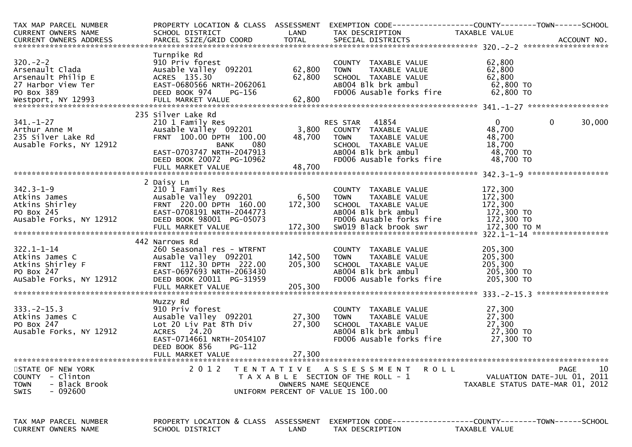| TAX MAP PARCEL NUMBER<br>CURRENT OWNERS NAME<br>CURRENT OWNERS ADDRESS                            | PROPERTY LOCATION & CLASS ASSESSMENT<br>SCHOOL DISTRICT                                                                                                                                 | LAND                        | TAX DESCRIPTION                                                                                                                                          | EXEMPTION CODE------------------COUNTY--------TOWN------SCHOOL<br>TAXABLE VALUE       |
|---------------------------------------------------------------------------------------------------|-----------------------------------------------------------------------------------------------------------------------------------------------------------------------------------------|-----------------------------|----------------------------------------------------------------------------------------------------------------------------------------------------------|---------------------------------------------------------------------------------------|
| $320 - 2 - 2$<br>Arsenault Clada                                                                  | Turnpike Rd<br>910 Priv forest<br>Ausable Valley 092201                                                                                                                                 | 62,800                      | COUNTY TAXABLE VALUE<br><b>TOWN</b><br>TAXABLE VALUE                                                                                                     | 62,800<br>62,800                                                                      |
| $341. - 1 - 27$<br>Arthur Anne M<br>235 Silver Lake Rd<br>Ausable Forks, NY 12912                 | 235 Silver Lake Rd<br>210 1 Family Res<br>Ausable Valley 092201<br>FRNT 100.00 DPTH 100.00<br>BANK<br>080<br>EAST-0703747 NRTH-2047913<br>DEED BOOK 20072 PG-10962<br>FULL MARKET VALUE | 3,800<br>48,700<br>48,700   | RES STAR 41854<br>COUNTY TAXABLE VALUE<br><b>TOWN</b><br>TAXABLE VALUE<br>SCHOOL TAXABLE VALUE<br>ABOO4 Blk brk ambul<br>FD006 Ausable forks fire        | $\mathbf{0}$<br>30,000<br>0<br>48,700<br>48,700<br>18,700<br>48,700 TO<br>48,700 TO   |
| $342.3 - 1 - 9$<br>Ausable Forks, NY 12912                                                        | 2 Daisy Ln<br>210 1 Family Res<br>Ausable Valley 092201<br>DEED BOOK 98001 PG-05073<br>FULL MARKET VALUE                                                                                | 6,500<br>172,300<br>172,300 | COUNTY TAXABLE VALUE<br><b>TOWN</b><br>TAXABLE VALUE<br>SCHOOL TAXABLE VALUE<br>ABOO4 Blk brk ambul<br>FD006 Ausable forks fire<br>SWO19 Black brook swr | 172,300<br>172,300<br>172,300<br>172,300 TO<br>172,300 TO<br>172,300 то м             |
| $322.1 - 1 - 14$<br>Atkins James C<br>Atkins Shirley F<br>PO Box 247<br>AuSable Forks, NY 12912   | 442 Narrows Rd<br>260 Seasonal res - WTRFNT<br>Ausable Valley 092201<br>FRNT 112.30 DPTH 222.00<br>EAST-0697693 NRTH-2063430<br>DEED BOOK 20011 PG-31959                                | 142,500<br>205,300          | COUNTY TAXABLE VALUE<br>TAXABLE VALUE<br><b>TOWN</b><br>SCHOOL TAXABLE VALUE<br>ABOO4 Blk brk ambul<br>FD006 Ausable forks fire                          | 205,300<br>205,300<br>205,300<br>205,300 TO<br>205,300 TO                             |
| $333. -2 - 15.3$<br>Atkins James C<br>PO Box 247<br>Ausable Forks, NY 12912                       | Muzzy Rd<br>910 Priv forest<br>Ausable Valley 092201<br>Lot 20 Liv Pat 8Th Div<br>ACRES 24.20<br>EAST-0714661 NRTH-2054107<br>DEED BOOK 856<br>PG-112<br>FULL MARKET VALUE              | 27,300<br>27,300<br>27,300  | COUNTY TAXABLE VALUE<br><b>TOWN</b><br>TAXABLE VALUE<br>SCHOOL TAXABLE VALUE<br>ABOO4 Blk brk ambul<br>FD006 Ausable forks fire                          | 27,300<br>27,300<br>27,300<br>27,300 TO<br>27,300 TO                                  |
| STATE OF NEW YORK<br>COUNTY - Clinton<br>- Black Brook<br><b>TOWN</b><br>$-092600$<br><b>SWIS</b> | 2 0 1 2                                                                                                                                                                                 | OWNERS NAME SEQUENCE        | R O L L<br>TENTATIVE ASSESSMENT<br>T A X A B L E SECTION OF THE ROLL - 1<br>UNIFORM PERCENT OF VALUE IS 100.00                                           | 10<br>PAGE<br>VALUATION DATE-JUL 01, 2011<br>TAXABLE STATUS DATE-MAR 01, 2012         |
| TAX MAP PARCEL NUMBER<br>CURRENT OWNERS NAME                                                      | PROPERTY LOCATION & CLASS ASSESSMENT<br>SCHOOL DISTRICT                                                                                                                                 | LAND                        | TAX DESCRIPTION                                                                                                                                          | EXEMPTION        CODE------------------COUNTY-------TOWN------SCHOOL<br>TAXABLE VALUE |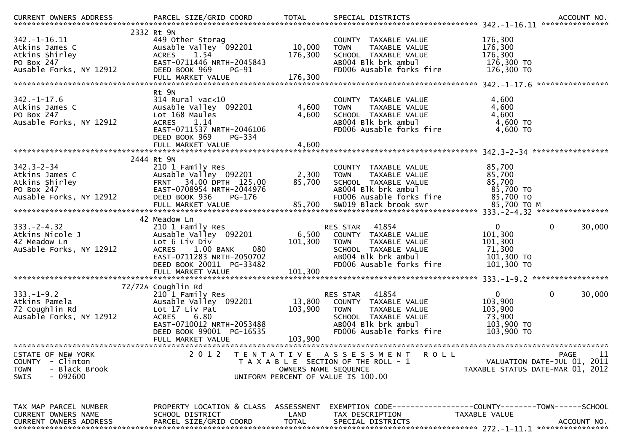| CURRENT OWNERS ADDRESS                          | PARCEL SIZE/GRID COORD                                          | <b>TOTAL</b>         | SPECIAL DISTRICTS                                                            | ACCOUNT NO.                           |
|-------------------------------------------------|-----------------------------------------------------------------|----------------------|------------------------------------------------------------------------------|---------------------------------------|
|                                                 | 2332 Rt 9N                                                      |                      |                                                                              |                                       |
| $342. - 1 - 16.11$                              | 449 Other Storag                                                |                      | COUNTY TAXABLE VALUE                                                         | 176,300                               |
| Atkins James C                                  | Ausable Valley 092201                                           | 10,000               | TAXABLE VALUE<br><b>TOWN</b>                                                 | 176,300                               |
| Atkins Shirley                                  | <b>ACRES</b><br>1.54                                            | 176,300              | SCHOOL TAXABLE VALUE                                                         | 176,300                               |
| PO Box 247                                      | EAST-0711446 NRTH-2045843                                       |                      | AB004 Blk brk ambul                                                          | 176,300 TO                            |
| Ausable Forks, NY 12912                         | DEED BOOK 969<br>$PG-91$                                        |                      | FD006 Ausable forks fire                                                     | 176,300 TO                            |
|                                                 | FULL MARKET VALUE                                               | 176,300              |                                                                              |                                       |
|                                                 |                                                                 |                      |                                                                              | ****************                      |
|                                                 | Rt 9N                                                           |                      |                                                                              |                                       |
| $342. - 1 - 17.6$                               | $314$ Rural vac<10                                              |                      | COUNTY TAXABLE VALUE                                                         | 4,600                                 |
| Atkins James C                                  | Ausable Valley 092201                                           | 4,600                | TAXABLE VALUE<br><b>TOWN</b>                                                 | 4,600                                 |
| PO Box 247                                      | Lot 168 Maules                                                  | 4,600                | SCHOOL TAXABLE VALUE                                                         | 4,600                                 |
| Ausable Forks, NY 12912                         | <b>ACRES</b><br>1.14                                            |                      | AB004 Blk brk ambul                                                          | 4,600 TO                              |
|                                                 | EAST-0711537 NRTH-2046106                                       |                      | FD006 Ausable forks fire                                                     | 4,600 TO                              |
|                                                 | DEED BOOK 969<br><b>PG-334</b><br>FULL MARKET VALUE             | 4,600                |                                                                              |                                       |
|                                                 |                                                                 |                      |                                                                              |                                       |
|                                                 | 2444 Rt 9N                                                      |                      |                                                                              |                                       |
| $342.3 - 2 - 34$                                | 210 1 Family Res                                                |                      | COUNTY TAXABLE VALUE                                                         | 85,700                                |
| Atkins James C                                  | Ausable Valley 092201                                           | 2,300                | TAXABLE VALUE<br><b>TOWN</b>                                                 | 85,700                                |
| Atkins Shirley                                  | 34.00 DPTH 125.00<br>FRNT                                       | 85,700               | SCHOOL TAXABLE VALUE                                                         | 85,700                                |
| PO Box 247                                      | EAST-0708954 NRTH-2044976                                       |                      | AB004 Blk brk ambul                                                          | 85,700 TO                             |
| Ausable Forks, NY 12912                         | DEED BOOK 936<br>PG-176                                         |                      | FD006 Ausable forks fire                                                     | 85,700 TO                             |
|                                                 | FULL MARKET VALUE                                               | 85,700               | SW019 Black brook swr                                                        | 85,700 TO M                           |
|                                                 |                                                                 |                      |                                                                              |                                       |
|                                                 | 42 Meadow Ln                                                    |                      |                                                                              |                                       |
| $333. -2 - 4.32$                                | 210 1 Family Res                                                |                      | 41854<br>RES STAR                                                            | $\mathbf 0$<br>0<br>30,000            |
| Atkins Nicole J                                 | Ausable Valley 092201                                           | 6,500                | COUNTY TAXABLE VALUE                                                         | 101,300                               |
| 42 Meadow Ln                                    | Lot 6 Liv Div                                                   | 101,300              | <b>TOWN</b><br>TAXABLE VALUE                                                 | 101,300                               |
| AuSable Forks, NY 12912                         | $1.00$ BANK<br>080<br><b>ACRES</b><br>EAST-0711283 NRTH-2050702 |                      | SCHOOL TAXABLE VALUE<br>ABOO4 Blk brk ambul                                  | 71,300<br>101,300 TO                  |
|                                                 | DEED BOOK 20011 PG-33482                                        |                      | FD006 Ausable forks fire                                                     | 101,300 ТО                            |
|                                                 |                                                                 |                      |                                                                              |                                       |
|                                                 |                                                                 |                      |                                                                              |                                       |
|                                                 | 72/72A Coughlin Rd                                              |                      |                                                                              |                                       |
| $333. - 1 - 9.2$                                | 210 1 Family Res                                                |                      | 41854<br>RES STAR                                                            | $\mathbf 0$<br>$\mathbf{0}$<br>30,000 |
| Atkins Pamela                                   | Ausable Valley 092201                                           | 13,800               | COUNTY TAXABLE VALUE                                                         | 103,900                               |
| 72 Coughlin Rd                                  | Lot 17 Liv Pat                                                  | 103,900              | <b>TOWN</b><br>TAXABLE VALUE                                                 | 103,900                               |
| Ausable Forks, NY 12912                         | 6.80<br><b>ACRES</b>                                            |                      | SCHOOL TAXABLE VALUE                                                         | 73,900                                |
|                                                 | EAST-0710012 NRTH-2053488                                       |                      | AB004 Blk brk ambul                                                          | 103,900 TO                            |
|                                                 | DEED BOOK 99001 PG-16535                                        |                      | FD006 Ausable forks fire                                                     | 103,900 TO                            |
|                                                 | FULL MARKET VALUE                                               | 103,900              |                                                                              |                                       |
|                                                 | 2 0 1 2                                                         |                      |                                                                              | PAGE<br>11                            |
| STATE OF NEW YORK<br>- Clinton<br><b>COUNTY</b> |                                                                 |                      | TENTATIVE ASSESSMENT<br><b>ROLL</b><br>T A X A B L E SECTION OF THE ROLL - 1 | VALUATION DATE-JUL 01, 2011           |
| - Black Brook<br><b>TOWN</b>                    |                                                                 | OWNERS NAME SEQUENCE |                                                                              | TAXABLE STATUS DATE-MAR 01, 2012      |
| <b>SWIS</b><br>- 092600                         |                                                                 |                      | UNIFORM PERCENT OF VALUE IS 100.00                                           |                                       |
|                                                 |                                                                 |                      |                                                                              |                                       |
|                                                 |                                                                 |                      |                                                                              |                                       |
|                                                 |                                                                 |                      |                                                                              |                                       |
| TAX MAP PARCEL NUMBER                           | PROPERTY LOCATION & CLASS ASSESSMENT                            |                      | EXEMPTION CODE-----------------COUNTY-------TOWN------SCHOOL                 |                                       |
| CURRENT OWNERS NAME                             | SCHOOL DISTRICT                                                 | LAND                 | TAX DESCRIPTION                                                              | TAXABLE VALUE                         |
| <b>CURRENT OWNERS ADDRESS</b>                   | PARCEL SIZE/GRID COORD                                          | <b>TOTAL</b>         | SPECIAL DISTRICTS                                                            | ACCOUNT NO.                           |
|                                                 |                                                                 |                      |                                                                              |                                       |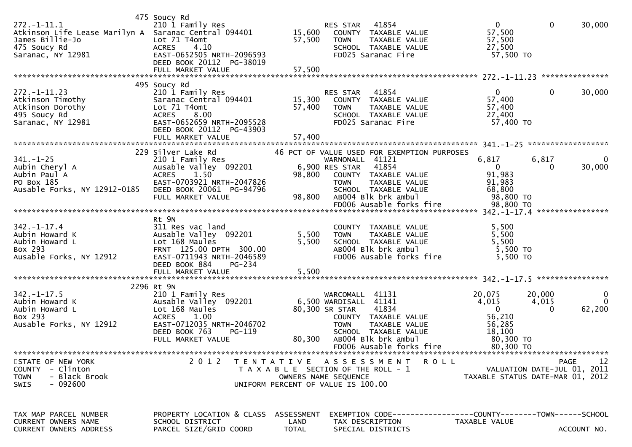| $272. - 1 - 11.1$<br>Atkinson Life Lease Marilyn A Saranac Central 094401<br>James Billie-Jo<br>475 Soucy Rd<br>Saranac, NY 12981 | 475 Soucy Rd<br>210 1 Family Res<br>Lot 71 T4omt<br>4.10<br><b>ACRES</b><br>EAST-0652505 NRTH-2096593<br>DEED BOOK 20112 PG-38019<br>FULL MARKET VALUE                           | 15,600<br>57,500<br>57,500 | RES STAR<br><b>TOWN</b><br>FD025 Saranac Fire                                                       | 41854<br>COUNTY TAXABLE VALUE<br>TAXABLE VALUE<br>SCHOOL TAXABLE VALUE                                                                            | $\mathbf{0}$<br>57,500<br>57,500<br>27,500<br>57,500 TO                                 | $\mathbf 0$                 | 30,000                      |
|-----------------------------------------------------------------------------------------------------------------------------------|----------------------------------------------------------------------------------------------------------------------------------------------------------------------------------|----------------------------|-----------------------------------------------------------------------------------------------------|---------------------------------------------------------------------------------------------------------------------------------------------------|-----------------------------------------------------------------------------------------|-----------------------------|-----------------------------|
| $272. - 1 - 11.23$<br>Atkinson Timothy<br>Atkinson Dorothy<br>495 Soucy Rd<br>Saranac, NY 12981                                   | 495 Soucy Rd<br>210 1 Family Res<br>Saranac Central 094401<br>Lot 71 T4omt<br>8.00<br><b>ACRES</b><br>EAST-0652659 NRTH-2095528<br>DEED BOOK 20112 PG-43903<br>FULL MARKET VALUE | 15,300<br>57,400<br>57,400 | RES STAR<br><b>TOWN</b><br>FD025 Saranac Fire                                                       | 41854<br>COUNTY TAXABLE VALUE<br>TAXABLE VALUE<br>SCHOOL TAXABLE VALUE                                                                            | 0<br>57,400<br>57,400<br>27,400<br>57,400 TO                                            | 0                           | 30,000                      |
| $341. - 1 - 25$<br>Aubin Cheryl A<br>Aubin Paul A<br>PO Box 185<br>Ausable Forks, NY 12912-0185                                   | 229 Silver Lake Rd<br>210 1 Family Res<br>Ausable Valley 092201<br><b>ACRES</b><br>1.50<br>EAST-0703921 NRTH-2047826<br>DEED BOOK 20061 PG-94796<br>FULL MARKET VALUE            | 98,800<br>98,800           | WARNONALL 41121<br>6,900 RES STAR<br><b>TOWN</b><br>AB004 Blk brk ambul                             | 46 PCT OF VALUE USED FOR EXEMPTION PURPOSES<br>41854<br>COUNTY TAXABLE VALUE<br>TAXABLE VALUE<br>SCHOOL TAXABLE VALUE<br>FD006 Ausable forks fire | 6,817<br>$\mathbf{0}$<br>91,983<br>91,983<br>68,800<br>98,800 TO<br>98,800 TO           | 6,817<br>0                  | 30,000                      |
| $342. - 1 - 17.4$<br>Aubin Howard K<br>Aubin Howard L<br>Box 293<br>Ausable Forks, NY 12912                                       | Rt 9N<br>311 Res vac land<br>Ausable Valley 092201<br>Lot 168 Maules<br>FRNT 125.00 DPTH 300.00<br>EAST-0711943 NRTH-2046589<br>DEED BOOK 884<br>PG-234<br>FULL MARKET VALUE     | 5,500<br>5,500<br>5,500    | <b>TOWN</b><br>AB004 Blk brk ambul                                                                  | COUNTY TAXABLE VALUE<br>TAXABLE VALUE<br>SCHOOL TAXABLE VALUE<br>FD006 Ausable forks fire                                                         | 5,500<br>5,500<br>5,500<br>5,500 TO<br>5,500 TO                                         |                             |                             |
| $342. - 1 - 17.5$<br>Aubin Howard K<br>Aubin Howard L<br>Box 293<br>Ausable Forks, NY 12912                                       | 2296 Rt 9N<br>210 1 Family Res<br>Ausable Valley 092201<br>Lot 168 Maules<br>1.00<br><b>ACRES</b><br>EAST-0712035 NRTH-2046702<br>DEED BOOK 763<br>PG-119<br>FULL MARKET VALUE   | 80,300                     | WARCOMALL 41131<br>6,500 WARDISALL 41141<br>80,300 SR STAR<br><b>TOWN</b><br>AB004 Blk brk ambul    | 41834<br>COUNTY TAXABLE VALUE<br>TAXABLE VALUE<br>SCHOOL TAXABLE VALUE<br>FD006 Ausable forks fire                                                | 20,075<br>4,015<br>$\mathbf{0}$<br>56,210<br>56,285<br>18,100<br>80,300 TO<br>80,300 TO | 20,000<br>4,015<br>0        | 0<br>$\mathbf{0}$<br>62,200 |
| STATE OF NEW YORK<br>COUNTY - Clinton<br>- Black Brook<br><b>TOWN</b><br>$-092600$<br>SWIS                                        | 2012                                                                                                                                                                             |                            | T A X A B L E SECTION OF THE ROLL - 1<br>OWNERS NAME SEQUENCE<br>UNIFORM PERCENT OF VALUE IS 100.00 | TENTATIVE ASSESSMENT ROLL                                                                                                                         | TAXABLE STATUS DATE-MAR 01, 2012                                                        | VALUATION DATE-JUL 01, 2011 | 12<br>PAGE                  |
| TAX MAP PARCEL NUMBER<br>CURRENT OWNERS NAME<br><b>CURRENT OWNERS ADDRESS</b>                                                     | PROPERTY LOCATION & CLASS ASSESSMENT<br>SCHOOL DISTRICT<br>PARCEL SIZE/GRID COORD                                                                                                | LAND<br>TOTAL              | TAX DESCRIPTION<br>SPECIAL DISTRICTS                                                                |                                                                                                                                                   | EXEMPTION CODE-----------------COUNTY-------TOWN------SCHOOL<br>TAXABLE VALUE           |                             | ACCOUNT NO.                 |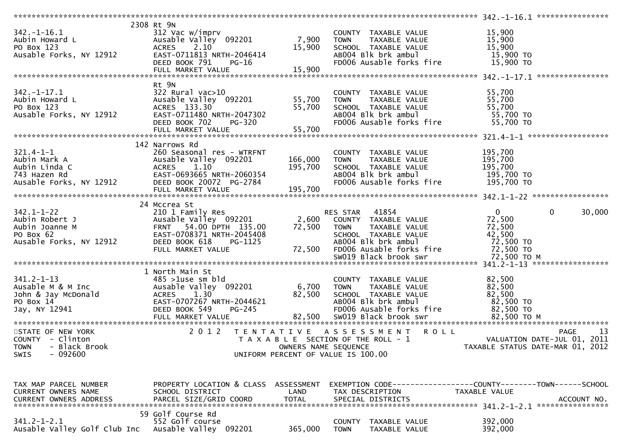|                                                                                       | 2308 Rt 9N                                                                                                                                                                                                                                                     |                      |                                                                                                                                                 |                                                              |     |
|---------------------------------------------------------------------------------------|----------------------------------------------------------------------------------------------------------------------------------------------------------------------------------------------------------------------------------------------------------------|----------------------|-------------------------------------------------------------------------------------------------------------------------------------------------|--------------------------------------------------------------|-----|
| $342. - 1 - 16.1$                                                                     | 312 Vac w/imprv                                                                                                                                                                                                                                                |                      | COUNTY TAXABLE VALUE                                                                                                                            | 15,900                                                       |     |
| 342.-1-16.1<br>Aubin Howard L<br>PO Box 123<br>Ausable Forks, NY 12912                | Ausable Valley 092201                                                                                                                                                                                                                                          | 7,900                | COUNTY TAXABLE VALUE<br>TOWN TAXABLE VALUE<br>SCHOOL TAXABLE VALUE<br>ABOO4 Blk brk ambul                                                       | 15,900                                                       |     |
|                                                                                       | ACRES 2.10                                                                                                                                                                                                                                                     | 15,900               |                                                                                                                                                 | 15,900                                                       |     |
|                                                                                       | EAST-0711813 NRTH-2046414                                                                                                                                                                                                                                      |                      |                                                                                                                                                 |                                                              |     |
|                                                                                       |                                                                                                                                                                                                                                                                |                      |                                                                                                                                                 | 15,900 TO                                                    |     |
|                                                                                       | DEED BOOK 791<br>PG-16                                                                                                                                                                                                                                         | 15,900               | FD006 Ausable forks fire 15,900 TO                                                                                                              |                                                              |     |
|                                                                                       | FULL MARKET VALUE                                                                                                                                                                                                                                              |                      |                                                                                                                                                 |                                                              |     |
|                                                                                       |                                                                                                                                                                                                                                                                |                      |                                                                                                                                                 |                                                              |     |
|                                                                                       | Rt 9N                                                                                                                                                                                                                                                          |                      |                                                                                                                                                 |                                                              |     |
| $342. - 1 - 17.1$                                                                     | 322 Rural vac>10                                                                                                                                                                                                                                               |                      | COUNTY TAXABLE VALUE                                                                                                                            | 55,700                                                       |     |
|                                                                                       |                                                                                                                                                                                                                                                                |                      | <b>TOWN</b><br>TAXABLE VALUE                                                                                                                    | 55,700                                                       |     |
|                                                                                       |                                                                                                                                                                                                                                                                |                      |                                                                                                                                                 | 55,700                                                       |     |
| Subin Howard L<br>PO Box 123<br>Ausable Forks, NY 12912                               | 322 Rurai vac>10<br>Ausable Valley 092201 55,700<br>ACRES 133.30 55,700<br>EAST-0711480 NRTH-2047302<br>DEED BOOK 702 PG-320                                                                                                                                   |                      | SCHOOL TAXABLE VALUE<br>ABOO4 Blk brk ambul                                                                                                     | 55,700 TO                                                    |     |
|                                                                                       |                                                                                                                                                                                                                                                                |                      | FD006 Ausable forks fire                                                                                                                        | 55,700 TO                                                    |     |
|                                                                                       |                                                                                                                                                                                                                                                                |                      |                                                                                                                                                 |                                                              |     |
|                                                                                       |                                                                                                                                                                                                                                                                |                      |                                                                                                                                                 |                                                              |     |
|                                                                                       |                                                                                                                                                                                                                                                                |                      |                                                                                                                                                 |                                                              |     |
|                                                                                       | 142 Narrows Rd                                                                                                                                                                                                                                                 |                      |                                                                                                                                                 |                                                              |     |
| $321.4 - 1 - 1$                                                                       | 260 Seasonal res - WTRFNT                                                                                                                                                                                                                                      |                      | COUNTY TAXABLE VALUE                                                                                                                            | 195,700                                                      |     |
| 321.4-1-1<br>Aubin Mark A<br>Aubin Linda C<br>743 Hazen Rd<br>Ausable Forks, NY 12912 | Ausable Valley 092201                                                                                                                                                                                                                                          | 166,000              | TAXABLE VALUE<br><b>TOWN</b>                                                                                                                    | 195,700                                                      |     |
|                                                                                       | ACRES 1.10<br>ידH-2060354                                                                                                                                                                                                                                      | 195,700              | SCHOOL TAXABLE VALUE                                                                                                                            | 195,700                                                      |     |
|                                                                                       | EAST-0693665 NRTH-2060354<br>DEED BOOK 20072 PG-2784                                                                                                                                                                                                           |                      | ABOO4 Blk brk ambul                                                                                                                             | 195,700 TO                                                   |     |
|                                                                                       |                                                                                                                                                                                                                                                                |                      | FD006 Ausable forks fire 195,700 TO                                                                                                             |                                                              |     |
|                                                                                       |                                                                                                                                                                                                                                                                |                      |                                                                                                                                                 |                                                              |     |
|                                                                                       |                                                                                                                                                                                                                                                                |                      |                                                                                                                                                 |                                                              |     |
|                                                                                       | 24 Mccrea St                                                                                                                                                                                                                                                   |                      |                                                                                                                                                 |                                                              |     |
|                                                                                       |                                                                                                                                                                                                                                                                |                      |                                                                                                                                                 | 0<br>$\mathbf 0$<br>30,000                                   |     |
|                                                                                       |                                                                                                                                                                                                                                                                |                      |                                                                                                                                                 | 72,500                                                       |     |
|                                                                                       |                                                                                                                                                                                                                                                                |                      | MCCIES SUNISMENT RES STARNER 41854<br>2.0 1 Family Res (192201 1992), 2,600 COUNTY TAXABLE VALUE<br>194.00 PTH 135.00 72,500 TOWN TAXABLE VALUE | 72,500                                                       |     |
|                                                                                       |                                                                                                                                                                                                                                                                |                      |                                                                                                                                                 |                                                              |     |
|                                                                                       |                                                                                                                                                                                                                                                                |                      | SCHOOL TAXABLE VALUE<br>SCHOOL   TAXABLE VALUE                           42,500<br>ABOO4 Blk brk ambul                              72,500 TO   | 42,500                                                       |     |
|                                                                                       |                                                                                                                                                                                                                                                                |                      |                                                                                                                                                 |                                                              |     |
|                                                                                       |                                                                                                                                                                                                                                                                |                      |                                                                                                                                                 |                                                              |     |
|                                                                                       |                                                                                                                                                                                                                                                                |                      | 72,500 FD006 Ausable forks fire 72,500 TO                                                                                                       |                                                              |     |
|                                                                                       | 342.1-1-22<br>Aubin Robert J<br>Ausable Valley 092201<br>Aubin Joanne M<br>PO Box 62<br>Ausable Forks, NY 12912<br>Ausable Forks, NY 12912<br>CHERED BOOK 618<br>PC-1125<br>PC-1125<br>PC-1125<br>PC-1125<br>PC-1125<br>PC-1125<br>PC-1125<br>PC-1125<br>PC-11 |                      | SW019 Black brook swr                                                                                                                           | 72,500 то м                                                  |     |
|                                                                                       |                                                                                                                                                                                                                                                                |                      |                                                                                                                                                 |                                                              |     |
|                                                                                       | 1 North Main St                                                                                                                                                                                                                                                |                      |                                                                                                                                                 |                                                              |     |
|                                                                                       |                                                                                                                                                                                                                                                                |                      | COUNTY TAXABLE VALUE                                                                                                                            |                                                              |     |
|                                                                                       |                                                                                                                                                                                                                                                                |                      |                                                                                                                                                 | 82,500                                                       |     |
|                                                                                       |                                                                                                                                                                                                                                                                | 6,700 TOWN           | TAXABLE VALUE                                                                                                                                   | 82,500                                                       |     |
|                                                                                       |                                                                                                                                                                                                                                                                | 82,500               | SCHOOL TAXABLE VALUE                                                                                                                            | 82,500                                                       |     |
|                                                                                       |                                                                                                                                                                                                                                                                |                      | ABOO4 Blk brk ambul                                                                                                                             |                                                              |     |
|                                                                                       | 341.2-1-13<br>Ausable M & M Inc<br>John & Jay McDonald<br>PO Box 14<br>Jay, NY 12941<br>PO Box 14<br>Jay, NY 12941<br>PO Box 54<br>DEED BOOK 54<br>FULL MORET VALUE<br>PO PG-245<br>PO PG-245<br>PG-245                                                        |                      | FD006 Ausable forks fire                                                                                                                        | $82,500$ TO<br>82,500 TO                                     |     |
|                                                                                       |                                                                                                                                                                                                                                                                |                      |                                                                                                                                                 |                                                              |     |
|                                                                                       |                                                                                                                                                                                                                                                                |                      |                                                                                                                                                 |                                                              |     |
| STATE OF NEW YORK                                                                     |                                                                                                                                                                                                                                                                |                      | 2012 TENTATIVE ASSESSMENT ROLL                                                                                                                  | <b>PAGE</b>                                                  | -13 |
| COUNTY - Clinton                                                                      |                                                                                                                                                                                                                                                                |                      | T A X A B L E SECTION OF THE ROLL - 1                                                                                                           | VALUATION DATE-JUL 01, 2011                                  |     |
| - Black Brook<br><b>TOWN</b>                                                          |                                                                                                                                                                                                                                                                | OWNERS NAME SEQUENCE |                                                                                                                                                 | TAXABLE STATUS DATE-MAR 01, 2012                             |     |
| $-092600$<br>SWIS                                                                     |                                                                                                                                                                                                                                                                |                      | UNIFORM PERCENT OF VALUE IS 100.00                                                                                                              |                                                              |     |
|                                                                                       |                                                                                                                                                                                                                                                                |                      |                                                                                                                                                 |                                                              |     |
|                                                                                       |                                                                                                                                                                                                                                                                |                      |                                                                                                                                                 |                                                              |     |
|                                                                                       |                                                                                                                                                                                                                                                                |                      |                                                                                                                                                 |                                                              |     |
| TAX MAP PARCEL NUMBER                                                                 | PROPERTY LOCATION & CLASS ASSESSMENT                                                                                                                                                                                                                           |                      |                                                                                                                                                 | EXEMPTION CODE-----------------COUNTY-------TOWN------SCHOOL |     |
|                                                                                       | SCHOOL DISTRICT                                                                                                                                                                                                                                                | LAND                 |                                                                                                                                                 | TAXABLE VALUE                                                |     |
| CURRENT OWNERS NAME                                                                   |                                                                                                                                                                                                                                                                |                      | TAX DESCRIPTION<br>SPECIAL DISTRICTS                                                                                                            | ACCOUNT NO.                                                  |     |
| CURRENT OWNERS ADDRESS                                                                | PARCEL SIZE/GRID COORD                                                                                                                                                                                                                                         | <b>TOTAL</b>         |                                                                                                                                                 |                                                              |     |
|                                                                                       |                                                                                                                                                                                                                                                                |                      |                                                                                                                                                 |                                                              |     |
|                                                                                       | 59 Golf Course Rd                                                                                                                                                                                                                                              |                      |                                                                                                                                                 |                                                              |     |
| $341.2 - 1 - 2.1$<br>Ausable Valley Golf Club Inc                                     | 552 Golf course<br>Ausable Valley 092201                                                                                                                                                                                                                       | 365,000              | <b>COUNTY</b><br>TAXABLE VALUE<br><b>TOWN</b><br>TAXABLE VALUE                                                                                  | 392,000<br>392,000                                           |     |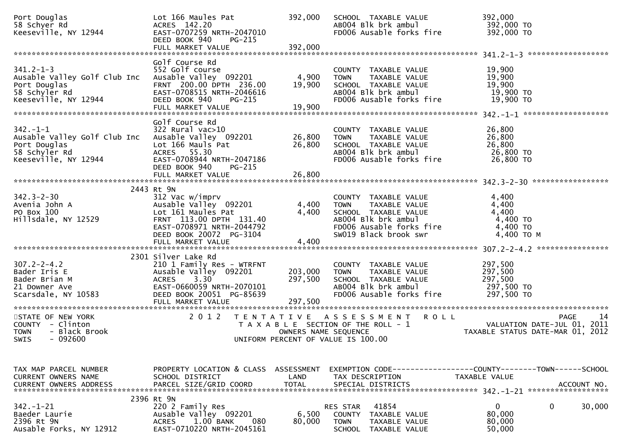| Port Douglas<br>58 Schyer Rd<br>Keeseville, NY 12944                                                     | Lot 166 Maules Pat<br>ACRES 142.20<br>EAST-0707259 NRTH-2047010<br>DEED BOOK 940<br>PG-215                                                                                      | 392,000                       | SCHOOL TAXABLE VALUE<br>AB004 Blk brk ambul<br>FD006 Ausable forks fire                                                                                  | 392,000<br>392,000 TO<br>392,000 TO                             |
|----------------------------------------------------------------------------------------------------------|---------------------------------------------------------------------------------------------------------------------------------------------------------------------------------|-------------------------------|----------------------------------------------------------------------------------------------------------------------------------------------------------|-----------------------------------------------------------------|
|                                                                                                          |                                                                                                                                                                                 |                               |                                                                                                                                                          |                                                                 |
| $341.2 - 1 - 3$<br>Ausable Valley Golf Club Inc<br>Port Douglas<br>58 Schyler Rd<br>Keeseville, NY 12944 | Golf Course Rd<br>552 Golf course<br>Ausable Valley 092201<br>FRNT 200.00 DPTH 236.00<br>EAST-0708515 NRTH-2046616<br>DEED BOOK 940<br>PG-215<br>FULL MARKET VALUE              | 4,900<br>19,900<br>19,900     | COUNTY TAXABLE VALUE<br><b>TOWN</b><br>TAXABLE VALUE<br>SCHOOL TAXABLE VALUE<br>AB004 Blk brk ambul<br>FD006 Ausable forks fire                          | 19,900<br>19,900<br>19,900<br>19,900 TO<br>19,900 TO            |
|                                                                                                          |                                                                                                                                                                                 |                               |                                                                                                                                                          |                                                                 |
| $342 - 1 - 1$<br>Ausable Valley Golf Club Inc<br>Port Douglas<br>58 Schyler Rd<br>Keeseville, NY 12944   | Golf Course Rd<br>322 Rural vac>10<br>Ausable Valley 092201<br>Lot 166 Mauls Pat<br>ACRES 55.30<br>EAST-0708944 NRTH-2047186<br>DEED BOOK 940<br>PG-215<br>FULL MARKET VALUE    | 26,800<br>26,800<br>26,800    | COUNTY TAXABLE VALUE<br><b>TOWN</b><br>TAXABLE VALUE<br>SCHOOL TAXABLE VALUE<br>AB004 Blk brk ambul<br>FD006 Ausable forks fire                          | 26,800<br>26,800<br>26,800<br>26,800 TO<br>$26,800$ TO          |
|                                                                                                          |                                                                                                                                                                                 |                               |                                                                                                                                                          |                                                                 |
| $342.3 - 2 - 30$<br>Avenia John A<br>PO Box 100<br>Hillsdale, NY 12529                                   | 2443 Rt 9N<br>312 Vac w/imprv<br>Ausable Valley 092201<br>Lot 161 Maules Pat<br>FRNT 113.00 DPTH 131.40<br>EAST-0708971 NRTH-2044792<br>DEED BOOK 20072 PG-3104                 | 4,400<br>4,400                | COUNTY TAXABLE VALUE<br>TAXABLE VALUE<br><b>TOWN</b><br>SCHOOL TAXABLE VALUE<br>AB004 Blk brk ambul<br>FD006 Ausable forks fire<br>SW019 Black brook swr | 4,400<br>4,400<br>4,400<br>4,400 TO<br>4,400 TO<br>4,400 TO M   |
|                                                                                                          | FULL MARKET VALUE                                                                                                                                                               | 4,400                         |                                                                                                                                                          |                                                                 |
|                                                                                                          |                                                                                                                                                                                 |                               |                                                                                                                                                          |                                                                 |
| $307.2 - 2 - 4.2$<br>Bader Iris E<br>Bader Brian M<br>21 Downer Ave<br>Scarsdale, NY 10583               | 2301 Silver Lake Rd<br>210 1 Family Res - WTRFNT<br>Ausable Valley 092201<br><b>ACRES</b><br>3.30<br>EAST-0660059 NRTH-2070101<br>DEED BOOK 20051 PG-85639<br>FULL MARKET VALUE | 203,000<br>297,500<br>297,500 | COUNTY TAXABLE VALUE<br>TAXABLE VALUE<br><b>TOWN</b><br>SCHOOL TAXABLE VALUE<br>AB004 Blk brk ambul<br>FD006 Ausable forks fire                          | 297,500<br>297,500<br>297,500<br>297,500 то<br>297,500 TO       |
| STATE OF NEW YORK                                                                                        | 2 0 1 2<br>T E N T A T I V E                                                                                                                                                    |                               | A S S E S S M E N T R O L L                                                                                                                              | <b>PAGE</b><br>14                                               |
| COUNTY - Clinton<br>- Black Brook<br>TOWN<br><b>SWIS</b><br>- 092600                                     |                                                                                                                                                                                 | OWNERS NAME SEQUENCE          | T A X A B L E SECTION OF THE ROLL - 1<br>UNIFORM PERCENT OF VALUE IS 100.00                                                                              | VALUATION DATE-JUL 01, 2011<br>TAXABLE STATUS DATE-MAR 01, 2012 |
|                                                                                                          |                                                                                                                                                                                 |                               |                                                                                                                                                          |                                                                 |
| TAX MAP PARCEL NUMBER<br><b>CURRENT OWNERS NAME</b><br><b>CURRENT OWNERS ADDRESS</b>                     | PROPERTY LOCATION & CLASS ASSESSMENT<br>SCHOOL DISTRICT<br>PARCEL SIZE/GRID COORD                                                                                               | LAND<br><b>TOTAL</b>          | EXEMPTION        CODE-----------------COUNTY-------TOWN------SCHOOL<br>TAX DESCRIPTION<br>SPECIAL DISTRICTS                                              | TAXABLE VALUE<br>ACCOUNT NO.                                    |
|                                                                                                          | 2396 Rt 9N                                                                                                                                                                      |                               |                                                                                                                                                          |                                                                 |
| $342. - 1 - 21$<br>Baeder Laurie<br>2396 Rt 9N<br>Ausable Forks, NY 12912                                | 220 2 Family Res<br>Ausable Valley 092201<br>1.00 BANK<br>080<br><b>ACRES</b><br>EAST-0710220 NRTH-2045161                                                                      | 6,500<br>80,000               | 41854<br>RES STAR<br>COUNTY TAXABLE VALUE<br><b>TOWN</b><br>TAXABLE VALUE<br><b>SCHOOL</b><br>TAXABLE VALUE                                              | $\mathbf 0$<br>30,000<br>0<br>80,000<br>80,000<br>50,000        |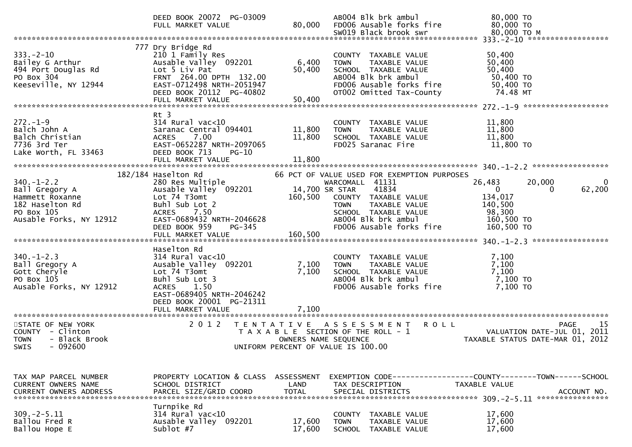|                                                                                                                   | DEED BOOK 20072 PG-03009<br>FULL MARKET VALUE                                                                                                                                                      | 80,000                                    | AB004 Blk brk ambul<br>FD006 Ausable forks fire                                                                                                                               | 80,000 TO<br>80,000 TO                                                                                                    |
|-------------------------------------------------------------------------------------------------------------------|----------------------------------------------------------------------------------------------------------------------------------------------------------------------------------------------------|-------------------------------------------|-------------------------------------------------------------------------------------------------------------------------------------------------------------------------------|---------------------------------------------------------------------------------------------------------------------------|
|                                                                                                                   |                                                                                                                                                                                                    |                                           |                                                                                                                                                                               |                                                                                                                           |
| $333. - 2 - 10$<br>Bailey G Arthur<br>494 Port Douglas Rd<br>PO Box 304<br>Keeseville, NY 12944                   | 777 Dry Bridge Rd<br>210 1 Family Res<br>Ausable Valley 092201<br>Lot 5 Liv Pat<br>FRNT 264.00 DPTH 132.00<br>EAST-0712498 NRTH-2051947<br>DEED BOOK 20112 PG-40802<br>FULL MARKET VALUE           | 6,400<br>50,400<br>50,400                 | COUNTY TAXABLE VALUE<br><b>TOWN</b><br>TAXABLE VALUE<br>SCHOOL TAXABLE VALUE<br>AB004 Blk brk ambul<br>FD006 Ausable forks fire<br>OT002 Omitted Tax-County                   | 50,400<br>50,400<br>50,400<br>50,400 TO<br>50,400 TO<br>74.48 MT                                                          |
| $272. - 1 - 9$<br>Balch John A<br>Balch Christian<br>7736 3rd Ter<br>Lake Worth, FL 33463                         | $Rt$ 3<br>$314$ Rural vac<10<br>Saranac Central 094401<br>7.00<br><b>ACRES</b><br>EAST-0652287 NRTH-2097065<br>DEED BOOK 713<br>$PG-10$<br>FULL MARKET VALUE                                       | 11,800<br>11,800<br>11,800                | COUNTY TAXABLE VALUE<br><b>TOWN</b><br>TAXABLE VALUE<br>SCHOOL TAXABLE VALUE<br>FD025 Saranac Fire                                                                            | 11,800<br>11,800<br>11,800<br>11,800 TO                                                                                   |
|                                                                                                                   | 182/184 Haselton Rd                                                                                                                                                                                |                                           | 66 PCT OF VALUE USED FOR EXEMPTION PURPOSES                                                                                                                                   |                                                                                                                           |
| $340. - 1 - 2.2$<br>Ball Gregory A<br>Hammett Roxanne<br>182 Haselton Rd<br>PO Box 105<br>Ausable Forks, NY 12912 | 280 Res Multiple<br>Ausable Valley 092201<br>Lot 74 T3omt<br>Buhl Sub Lot 2<br>ACRES<br>7.50<br>EAST-0689432 NRTH-2046628<br>DEED BOOK 959<br><b>PG-345</b>                                        | 160,500                                   | WARCOMALL 41131<br>14,700 SR STAR<br>41834<br>COUNTY TAXABLE VALUE<br>TAXABLE VALUE<br><b>TOWN</b><br>SCHOOL TAXABLE VALUE<br>AB004 Blk brk ambul<br>FD006 Ausable forks fire | 26,483<br>20,000<br>$\bf{0}$<br>62,200<br>$\overline{0}$<br>0<br>134,017<br>140,500<br>98,300<br>160,500 TO<br>160,500 TO |
|                                                                                                                   |                                                                                                                                                                                                    |                                           |                                                                                                                                                                               |                                                                                                                           |
| $340. - 1 - 2.3$<br>Ball Gregory A<br>Gott Cheryle<br>PO Box 105<br>Ausable Forks, NY 12912                       | Haselton Rd<br>$314$ Rural vac<10<br>Ausable Valley 092201<br>Lot 74 T3omt<br>Buhl Sub Lot 3<br><b>ACRES</b><br>1.50<br>EAST-0689405 NRTH-2046242<br>DEED BOOK 20001 PG-21311<br>FULL MARKET VALUE | 7,100<br>7,100<br>7,100                   | COUNTY TAXABLE VALUE<br>TAXABLE VALUE<br><b>TOWN</b><br>SCHOOL TAXABLE VALUE<br>AB004 Blk brk ambul<br>FD006 Ausable forks fire                                               | 7,100<br>7,100<br>7,100<br>7,100 TO<br>7,100 TO                                                                           |
|                                                                                                                   |                                                                                                                                                                                                    |                                           |                                                                                                                                                                               |                                                                                                                           |
| STATE OF NEW YORK<br>COUNTY - Clinton<br><b>TOWN</b><br>- Black Brook<br>$-092600$<br>SWIS                        | 2 0 1 2                                                                                                                                                                                            | T E N T A T I V E<br>OWNERS NAME SEQUENCE | A S S E S S M E N T<br><b>ROLL</b><br>T A X A B L E SECTION OF THE ROLL - 1<br>UNIFORM PERCENT OF VALUE IS 100.00                                                             | 15<br>PAGE<br>VALUATION DATE-JUL 01, 2011<br>TAXABLE STATUS DATE-MAR 01, 2012                                             |
| TAX MAP PARCEL NUMBER<br><b>CURRENT OWNERS NAME</b>                                                               | PROPERTY LOCATION & CLASS ASSESSMENT<br>SCHOOL DISTRICT                                                                                                                                            | LAND                                      | TAX DESCRIPTION                                                                                                                                                               | EXEMPTION CODE-----------------COUNTY--------TOWN------SCHOOL<br>TAXABLE VALUE                                            |
| <b>CURRENT OWNERS ADDRESS</b>                                                                                     | PARCEL SIZE/GRID COORD                                                                                                                                                                             | <b>TOTAL</b>                              | SPECIAL DISTRICTS                                                                                                                                                             | ACCOUNT NO.<br>****************                                                                                           |
| $309. -2 - 5.11$<br>Ballou Fred R<br>Ballou Hope E                                                                | Turnpike Rd<br>314 Rural vac<10<br>Ausable Valley 092201<br>Sublot #7                                                                                                                              | 17,600<br>17,600                          | <b>COUNTY</b><br>TAXABLE VALUE<br><b>TOWN</b><br><b>TAXABLE VALUE</b><br><b>SCHOOL</b><br>TAXABLE VALUE                                                                       | 17,600<br>17,600<br>17,600                                                                                                |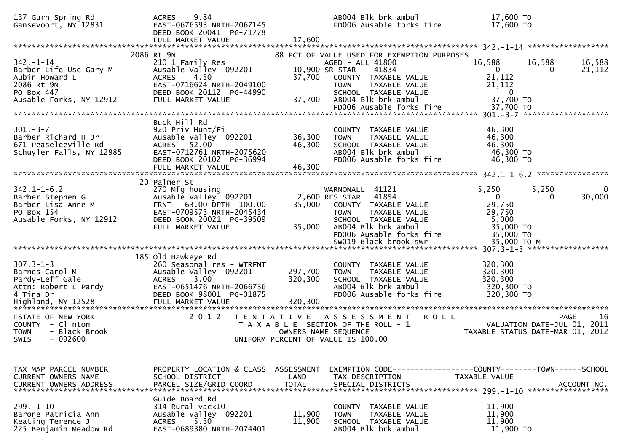| 137 Gurn Spring Rd<br>Gansevoort, NY 12831                                                                                        | 9.84<br><b>ACRES</b><br>EAST-0676593 NRTH-2067145<br>DEED BOOK 20041 PG-71778<br>FULL MARKET VALUE                                                                         | 17,600                     | ABOO4 Blk brk ambul<br>FD006 Ausable forks fire                                                                                                                                                                                      | 17,600 TO<br>17,600 TO                                                                                      |                            |
|-----------------------------------------------------------------------------------------------------------------------------------|----------------------------------------------------------------------------------------------------------------------------------------------------------------------------|----------------------------|--------------------------------------------------------------------------------------------------------------------------------------------------------------------------------------------------------------------------------------|-------------------------------------------------------------------------------------------------------------|----------------------------|
| $342. - 1 - 14$<br>Barber Life Use Gary M<br>Aubin Howard L<br>2086 Rt 9N<br>PO Box 447<br>Ausable Forks, NY 12912                | 2086 Rt 9N<br>210 1 Family Res<br>Ausable Valley 092201<br><b>ACRES</b><br>4.50<br>EAST-0716624 NRTH-2049100<br>DEED BOOK 20112 PG-44990<br>FULL MARKET VALUE              | 37,700<br>37,700           | 88 PCT OF VALUE USED FOR EXEMPTION PURPOSES<br>AGED - ALL 41800<br>10,900 SR STAR<br>41834<br>COUNTY TAXABLE VALUE<br><b>TOWN</b><br><b>TAXABLE VALUE</b><br>SCHOOL TAXABLE VALUE<br>AB004 Blk brk ambul<br>FD006 Ausable forks fire | 16,588<br>16,588<br>$\overline{0}$<br>0<br>21,112<br>21,112<br>$\bf{0}$<br>37,700 TO<br>37,700 TO           | 16,588<br>21,112           |
| $301 - 3 - 7$<br>Barber Richard H Jr<br>671 Peaseleeville Rd<br>Schuyler Falls, NY 12985                                          | Buck Hill Rd<br>920 Priv Hunt/Fi<br>Ausable Valley 092201<br>52.00<br><b>ACRES</b><br>EAST-0712761 NRTH-2075620<br>DEED BOOK 20102 PG-36994<br>FULL MARKET VALUE           | 36,300<br>46,300<br>46,300 | COUNTY TAXABLE VALUE<br><b>TOWN</b><br>TAXABLE VALUE<br>SCHOOL TAXABLE VALUE<br>AB004 Blk brk ambul<br>FD006 Ausable forks fire                                                                                                      | 46,300<br>46,300<br>46,300<br>46,300 TO<br>46,300 TO                                                        | ****************           |
| $342.1 - 1 - 6.2$<br>Barber Stephen G<br>Barber Lisa Anne M<br>PO Box 154<br>Ausable Forks, NY 12912                              | 20 Palmer St<br>270 Mfg housing<br>Ausable Valley 092201<br>63.00 DPTH 100.00<br><b>FRNT</b><br>EAST-0709573 NRTH-2045434<br>DEED BOOK 20021 PG-39509<br>FULL MARKET VALUE | 35,000<br>35,000           | WARNONALL 41121<br>41854<br>2,600 RES STAR<br>COUNTY TAXABLE VALUE<br>TAXABLE VALUE<br><b>TOWN</b><br>SCHOOL TAXABLE VALUE<br>AB004 Blk brk ambul<br>FD006 Ausable forks fire<br>SW019 Black brook swr                               | 5,250<br>5,250<br>$\overline{0}$<br>0<br>29,750<br>29,750<br>5,000<br>35,000 TO<br>35,000 TO<br>35,000 TO M | 0<br>30,000                |
| $307.3 - 1 - 3$<br>Barnes Carol M<br>Pardy-Leff Gale<br>Attn: Robert L Pardy<br>4 Tina Dr<br>Highland, NY 12528 FULL MARKET VALUE | 185 Old Hawkeye Rd<br>260 Seasonal res - WTRFNT<br>Ausable Valley 092201<br>$3.00^{\circ}$<br><b>ACRES</b><br>EAST-0651476 NRTH-2066736<br>DEED BOOK 98001 PG-01875        | 297,700<br>320,300         | COUNTY TAXABLE VALUE<br><b>TOWN</b><br>TAXABLE VALUE<br>SCHOOL TAXABLE VALUE<br>AB004 Blk brk ambul<br>FD006 Ausable forks fire                                                                                                      | 320,300<br>320,300<br>320,300<br>320,300 TO<br>320,300 TO                                                   |                            |
| STATE OF NEW YORK<br>COUNTY - Clinton<br><b>TOWN</b><br>- Black Brook<br>$-092600$<br><b>SWIS</b>                                 | 2 0 1 2                                                                                                                                                                    |                            | TENTATIVE ASSESSMENT<br><b>ROLL</b><br>T A X A B L E SECTION OF THE ROLL - 1<br>OWNERS NAME SEQUENCE<br>UNIFORM PERCENT OF VALUE IS 100.00                                                                                           | VALUATION DATE-JUL 01,<br>TAXABLE STATUS DATE-MAR 01, 2012                                                  | 16<br><b>PAGE</b><br>-2011 |
| TAX MAP PARCEL NUMBER<br><b>CURRENT OWNERS NAME</b>                                                                               | PROPERTY LOCATION & CLASS<br>SCHOOL DISTRICT                                                                                                                               | ASSESSMENT<br>LAND         | EXEMPTION        CODE------------------COUNTY-------TOWN------SCHOOL<br>TAX DESCRIPTION                                                                                                                                              | TAXABLE VALUE                                                                                               |                            |
| $299. - 1 - 10$<br>Barone Patricia Ann<br>Keating Terence J<br>225 Benjamin Meadow Rd                                             | Guide Board Rd<br>314 Rural vac<10<br>Ausable Valley 092201<br>5.30<br><b>ACRES</b><br>EAST-0689380 NRTH-2074401                                                           | 11,900<br>11,900           | COUNTY TAXABLE VALUE<br>TAXABLE VALUE<br><b>TOWN</b><br>SCHOOL TAXABLE VALUE<br>AB004 Blk brk ambul                                                                                                                                  | 11,900<br>11,900<br>11,900<br>11,900 TO                                                                     |                            |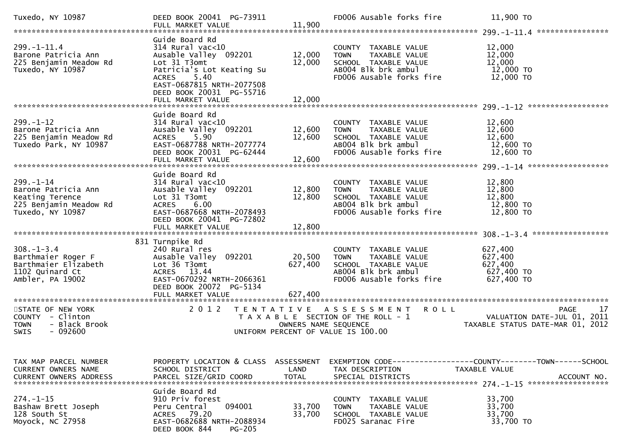| Tuxedo, NY 10987                                                                                        | DEED BOOK 20041 PG-73911<br>FULL MARKET VALUE                                                                                                                                               | 11,900                             | FD006 Ausable forks fire                                                                                                        | 11,900 TO                                                                                           |    |
|---------------------------------------------------------------------------------------------------------|---------------------------------------------------------------------------------------------------------------------------------------------------------------------------------------------|------------------------------------|---------------------------------------------------------------------------------------------------------------------------------|-----------------------------------------------------------------------------------------------------|----|
| $299. - 1 - 11.4$<br>Barone Patricia Ann<br>225 Benjamin Meadow Rd<br>Tuxedo, NY 10987                  | Guide Board Rd<br>$314$ Rural vac<10<br>Ausable Valley 092201<br>Lot 31 T3omt<br>Patricia's Lot Keating Su<br>5.40<br><b>ACRES</b><br>EAST-0687815 NRTH-2077508<br>DEED BOOK 20031 PG-55716 | 12,000<br>12,000                   | COUNTY TAXABLE VALUE<br><b>TOWN</b><br>TAXABLE VALUE<br>SCHOOL TAXABLE VALUE<br>AB004 Blk brk ambul<br>FD006 Ausable forks fire | 12,000<br>12,000<br>12,000<br>12,000 TO<br>12,000 TO                                                |    |
|                                                                                                         | Guide Board Rd                                                                                                                                                                              |                                    |                                                                                                                                 |                                                                                                     |    |
| $299. - 1 - 12$<br>Barone Patricia Ann<br>225 Benjamin Meadow Rd<br>Tuxedo Park, NY 10987               | $314$ Rural vac< $10$<br>Ausable Valley 092201<br>5.90<br><b>ACRES</b><br>EAST-0687788 NRTH-2077774<br>DEED BOOK 20031 PG-62444<br>FULL MARKET VALUE                                        | 12,600<br>12,600<br>12,600         | COUNTY TAXABLE VALUE<br>TAXABLE VALUE<br><b>TOWN</b><br>SCHOOL TAXABLE VALUE<br>AB004 Blk brk ambul<br>FD006 Ausable forks fire | 12,600<br>12,600<br>12,600<br>12,600 TO<br>12,600 TO                                                |    |
|                                                                                                         |                                                                                                                                                                                             |                                    |                                                                                                                                 |                                                                                                     |    |
| $299. - 1 - 14$<br>Barone Patricia Ann<br>Keating Terence<br>225 Benjamin Meadow Rd<br>Tuxedo, NY 10987 | Guide Board Rd<br>$314$ Rural vac<10<br>Ausable Valley 092201<br>Lot 31 T3omt<br>6.00<br><b>ACRES</b><br>EAST-0687668 NRTH-2078493<br>DEED BOOK 20041 PG-72802<br>FULL MARKET VALUE         | 12,800<br>12,800<br>12,800         | COUNTY TAXABLE VALUE<br>TAXABLE VALUE<br><b>TOWN</b><br>SCHOOL TAXABLE VALUE<br>AB004 Blk brk ambul<br>FD006 Ausable forks fire | 12,800<br>12,800<br>12,800<br>12,800 TO<br>12,800 TO                                                |    |
|                                                                                                         | 831 Turnpike Rd                                                                                                                                                                             |                                    |                                                                                                                                 |                                                                                                     |    |
| $308. - 1 - 3.4$<br>Barthmaier Roger F<br>Barthmaier Elizabeth<br>1102 Quinard Ct<br>Ambler, PA 19002   | 240 Rural res<br>Ausable Valley 092201<br>Lot 36 T3omt<br>ACRES 13.44<br>EAST-0670292 NRTH-2066361<br>DEED BOOK 20072 PG-5134                                                               | 20,500<br>627,400                  | COUNTY TAXABLE VALUE<br>TAXABLE VALUE<br><b>TOWN</b><br>SCHOOL TAXABLE VALUE<br>AB004 Blk brk ambul<br>FD006 Ausable forks fire | 627,400<br>627,400<br>627,400<br>627,400 TO<br>627,400 TO                                           |    |
|                                                                                                         |                                                                                                                                                                                             |                                    |                                                                                                                                 |                                                                                                     |    |
| STATE OF NEW YORK<br>COUNTY - Clinton<br>- Black Brook<br><b>TOWN</b><br><b>SWIS</b><br>- 092600        | 2 0 1 2<br>T E N T A T I V E                                                                                                                                                                | OWNERS NAME SEQUENCE               | <b>ROLL</b><br>A S S E S S M E N T<br>T A X A B L E SECTION OF THE ROLL - 1<br>UNIFORM PERCENT OF VALUE IS 100.00               | <b>PAGE</b><br>VALUATION DATE-JUL 01, 2011<br>TAXABLE STATUS DATE-MAR 01, 2012                      | 17 |
| TAX MAP PARCEL NUMBER<br>CURRENT OWNERS NAME<br><b>CURRENT OWNERS ADDRESS</b>                           | PROPERTY LOCATION & CLASS<br>SCHOOL DISTRICT<br>PARCEL SIZE/GRID COORD                                                                                                                      | ASSESSMENT<br>LAND<br><b>TOTAL</b> | TAX DESCRIPTION<br>SPECIAL DISTRICTS                                                                                            | EXEMPTION        CODE-----------------COUNTY-------TOWN------SCHOOL<br>TAXABLE VALUE<br>ACCOUNT NO. |    |
| $274. - 1 - 15$<br>Bashaw Brett Joseph<br>128 South St<br>Moyock, NC 27958                              | Guide Board Rd<br>910 Priv forest<br>094001<br>Peru Central<br>ACRES 79.20<br>EAST-0682688 NRTH-2088934<br>DEED BOOK 844<br><b>PG-205</b>                                                   | 33,700<br>33,700                   | TAXABLE VALUE<br><b>COUNTY</b><br>TAXABLE VALUE<br>TOWN<br>SCHOOL TAXABLE VALUE<br>FD025 Saranac Fire                           | 33,700<br>33,700<br>33,700<br>33,700 TO                                                             |    |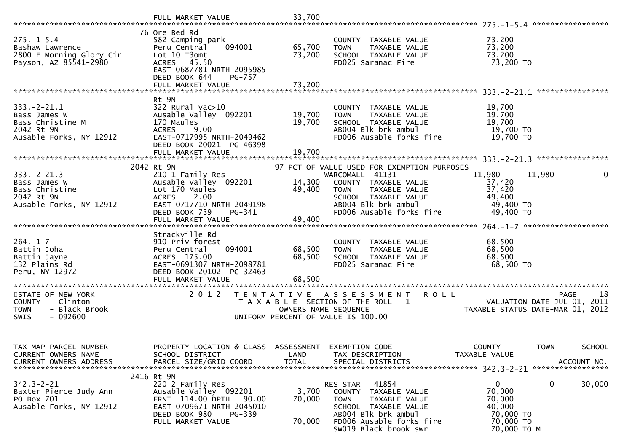|                                                                                               | FULL MARKET VALUE                                                                                                                                                       | 33,700                     |                                                                                                                                                                                  |                                                                                              |
|-----------------------------------------------------------------------------------------------|-------------------------------------------------------------------------------------------------------------------------------------------------------------------------|----------------------------|----------------------------------------------------------------------------------------------------------------------------------------------------------------------------------|----------------------------------------------------------------------------------------------|
| $275. - 1 - 5.4$<br>Bashaw Lawrence<br>2800 E Morning Glory Cir<br>Payson, AZ 85541-2980      | 76 Ore Bed Rd<br>582 Camping park<br>Peru Central<br>094001<br>Lot 10 T3omt<br>ACRES 45.50<br>EAST-0687781 NRTH-2095985<br>DEED BOOK 644<br>PG-757<br>FULL MARKET VALUE | 65,700<br>73,200<br>73,200 | COUNTY TAXABLE VALUE<br><b>TOWN</b><br>TAXABLE VALUE<br>SCHOOL TAXABLE VALUE<br>FD025 Saranac Fire                                                                               | 73,200<br>73,200<br>73,200<br>73,200 TO                                                      |
|                                                                                               | Rt 9N                                                                                                                                                                   |                            |                                                                                                                                                                                  |                                                                                              |
| $333. -2 - 21.1$<br>Bass James W<br>Bass Christine M<br>2042 Rt 9N<br>Ausable Forks, NY 12912 | $322$ Rural vac $>10$<br>Ausable Valley 092201<br>170 Maules<br><b>ACRES</b><br>9.00<br>EAST-0717995 NRTH-2049462<br>DEED BOOK 20021 PG-46398                           | 19,700<br>19,700           | COUNTY TAXABLE VALUE<br>TAXABLE VALUE<br><b>TOWN</b><br>SCHOOL TAXABLE VALUE<br>AB004 Blk brk ambul<br>FD006 Ausable forks fire                                                  | 19,700<br>19,700<br>19,700<br>19,700 TO<br>19,700 TO                                         |
|                                                                                               |                                                                                                                                                                         |                            |                                                                                                                                                                                  |                                                                                              |
|                                                                                               | 2042 Rt 9N                                                                                                                                                              |                            | 97 PCT OF VALUE USED FOR EXEMPTION PURPOSES                                                                                                                                      |                                                                                              |
| $333. -2 - 21.3$<br>Bass James W<br>Bass Christine<br>2042 Rt 9N<br>Ausable Forks, NY 12912   | 210 1 Family Res<br>Ausable Valley 092201<br>Lot 170 Maules<br>ACRES 2.00<br>EAST-0717710 NRTH-2049198<br>DEED BOOK 739<br>PG-341                                       | 14,300<br>49,400           | WARCOMALL 41131<br>COUNTY TAXABLE VALUE<br><b>TOWN</b><br>TAXABLE VALUE<br>SCHOOL TAXABLE VALUE<br>AB004 Blk brk ambul<br>FD006 Ausable forks fire                               | 11,980<br>11,980<br>0<br>37,420<br>37,420<br>49,400<br>49,400 TO<br>49,400 TO                |
|                                                                                               |                                                                                                                                                                         | 49,400                     |                                                                                                                                                                                  |                                                                                              |
|                                                                                               | Strackville Rd                                                                                                                                                          |                            |                                                                                                                                                                                  |                                                                                              |
| $264. - 1 - 7$<br>Battin Joha<br>Battin Jayne<br>132 Plains Rd<br>Peru, NY 12972              | 910 Priv forest<br>094001<br>Peru Central<br>ACRES 175.00<br>EAST-0691307 NRTH-2098781<br>DEED BOOK 20102 PG-32463                                                      | 68,500<br>68,500           | COUNTY TAXABLE VALUE<br>TAXABLE VALUE<br><b>TOWN</b><br>SCHOOL TAXABLE VALUE<br>FD025 Saranac Fire                                                                               | 68,500<br>68,500<br>68,500<br>68,500 TO                                                      |
| STATE OF NEW YORK                                                                             | 2 0 1 2                                                                                                                                                                 |                            | TENTATIVE ASSESSMENT ROLL                                                                                                                                                        | 18<br><b>PAGE</b>                                                                            |
| COUNTY - Clinton<br>- Black Brook<br><b>TOWN</b><br>$-092600$<br><b>SWIS</b>                  |                                                                                                                                                                         | OWNERS NAME SEQUENCE       | T A X A B L E SECTION OF THE ROLL - 1<br>UNIFORM PERCENT OF VALUE IS 100.00                                                                                                      | VALUATION DATE-JUL 01, 2011<br>TAXABLE STATUS DATE-MAR 01, 2012                              |
| TAX MAP PARCEL NUMBER<br>CURRENT OWNERS NAME<br>CURRENT OWNERS ADDRESS                        | PROPERTY LOCATION & CLASS ASSESSMENT<br>SCHOOL DISTRICT<br>PARCEL SIZE/GRID COORD                                                                                       | LAND<br><b>TOTAL</b>       | TAX DESCRIPTION<br>SPECIAL DISTRICTS                                                                                                                                             | EXEMPTION CODE-----------------COUNTY-------TOWN------SCHOOL<br>TAXABLE VALUE<br>ACCOUNT NO. |
| $342.3 - 2 - 21$<br>Baxter Pierce Judy Ann<br>PO Box 701<br>Ausable Forks, NY 12912           | 2416 Rt 9N<br>220 2 Family Res<br>Ausable Valley 092201<br>FRNT 114.00 DPTH<br>90.00<br>EAST-0709671 NRTH-2045010<br>DEED BOOK 980<br>PG-339<br>FULL MARKET VALUE       | 3,700<br>70,000<br>70,000  | 41854<br>RES STAR<br>COUNTY<br>TAXABLE VALUE<br><b>TOWN</b><br>TAXABLE VALUE<br>SCHOOL TAXABLE VALUE<br>AB004 Blk brk ambul<br>FD006 Ausable forks fire<br>SW019 Black brook swr | 0<br>0<br>30,000<br>70,000<br>70,000<br>40,000<br>70,000 TO<br>70,000 TO<br>70,000 TO M      |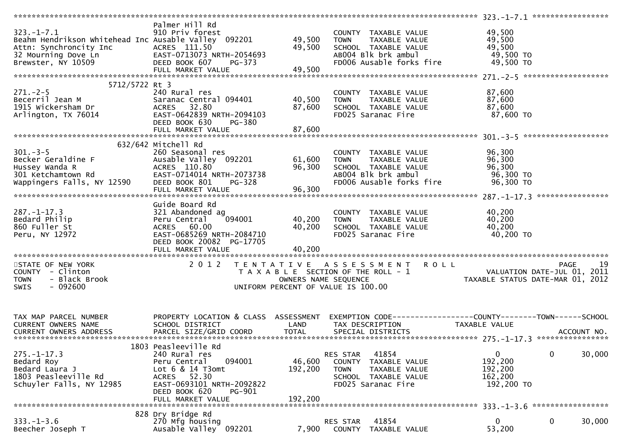|                                                      | Palmer Hill Rd                                                   |                      |                                       |                                                                        |    |
|------------------------------------------------------|------------------------------------------------------------------|----------------------|---------------------------------------|------------------------------------------------------------------------|----|
| $323. - 1 - 7.1$                                     | 910 Priv forest                                                  |                      | COUNTY TAXABLE VALUE                  | 49,500                                                                 |    |
| Beahm Hendrikson whitehead Inc Ausable Valley 092201 |                                                                  | 49,500               | <b>TOWN</b><br>TAXABLE VALUE          | 49,500                                                                 |    |
| Attn: Synchroncity Inc                               | ACRES 111.50                                                     | 49,500               | SCHOOL TAXABLE VALUE                  | 49,500                                                                 |    |
| 32 Mourning Dove Ln                                  | EAST-0713073 NRTH-2054693<br>DEED BOOK 607<br>EHEL BOOK FT VALUE |                      | ABOO4 Blk brk ambul                   | 49,500 TO                                                              |    |
| Brewster, NY 10509                                   |                                                                  |                      | FD006 Ausable forks fire              | 49,500 TO                                                              |    |
|                                                      | FULL MARKET VALUE                                                | 49,500               |                                       |                                                                        |    |
|                                                      |                                                                  |                      |                                       |                                                                        |    |
| 5712/5722 Rt 3                                       |                                                                  |                      |                                       |                                                                        |    |
|                                                      | 240 Rural res                                                    |                      | COUNTY TAXABLE VALUE                  | 87,600                                                                 |    |
|                                                      |                                                                  |                      |                                       |                                                                        |    |
|                                                      | Saranac Central 094401                                           | 40,500               | TAXABLE VALUE<br><b>TOWN</b>          | 87,600                                                                 |    |
| Becerril Jean m<br>1915 Wickersham Dr<br>Try 76014   | ACRES 32.80                                                      | 87,600               | SCHOOL TAXABLE VALUE                  | 87,600                                                                 |    |
|                                                      | EAST-0642839 NRTH-2094103                                        |                      | FD025 Saranac Fire                    | 87,600 TO                                                              |    |
|                                                      | DEED BOOK 630<br>PG-380                                          |                      |                                       |                                                                        |    |
|                                                      | FULL MARKET VALUE                                                | 87,600               |                                       |                                                                        |    |
|                                                      |                                                                  |                      |                                       |                                                                        |    |
|                                                      | 632/642 Mitchell Rd                                              |                      |                                       |                                                                        |    |
| $301. -3 - 5$                                        | 260 Seasonal res                                                 |                      | COUNTY TAXABLE VALUE                  | 96,300                                                                 |    |
| 301.-3-5<br>Becker Geraldine F                       | Ausable Valley 092201                                            | 61,600               | TAXABLE VALUE<br><b>TOWN</b>          | 96,300                                                                 |    |
|                                                      |                                                                  | 96,300               | SCHOOL TAXABLE VALUE                  | 96,300                                                                 |    |
|                                                      | EAST-0714014 NRTH-2073738                                        |                      | AB004 Blk brk ambul                   | 96,300 TO                                                              |    |
|                                                      | PG-328                                                           |                      | FD006 Ausable forks fire              | 96,300 TO                                                              |    |
|                                                      |                                                                  | 96,300               |                                       |                                                                        |    |
|                                                      | FULL MARKET VALUE                                                |                      |                                       |                                                                        |    |
|                                                      | Guide Board Rd                                                   |                      |                                       |                                                                        |    |
|                                                      |                                                                  |                      |                                       |                                                                        |    |
| $287. - 1 - 17.3$                                    | 321 Abandoned ag                                                 |                      | COUNTY TAXABLE VALUE                  | 40,200                                                                 |    |
| Bedard Philip                                        | 094001<br>Peru Central                                           | 40,200               | TAXABLE VALUE<br><b>TOWN</b>          | 40,200                                                                 |    |
| 860 Fuller St                                        | ACRES 60.00                                                      | 40,200               | SCHOOL TAXABLE VALUE                  | 40,200                                                                 |    |
| Peru, NY 12972                                       | EAST-0685269 NRTH-2084710                                        |                      | FD025 Saranac Fire                    | 40,200 TO                                                              |    |
|                                                      | DEED BOOK 20082 PG-17705                                         |                      |                                       |                                                                        |    |
|                                                      | FULL MARKET VALUE                                                | 40,200               |                                       |                                                                        |    |
|                                                      |                                                                  |                      |                                       |                                                                        |    |
| STATE OF NEW YORK                                    | 2 0 1 2                                                          |                      | TENTATIVE ASSESSMENT ROLL             | <b>PAGE</b>                                                            | 19 |
| COUNTY - Clinton                                     |                                                                  |                      | T A X A B L E SECTION OF THE ROLL - 1 |                                                                        |    |
| - Black Brook<br><b>TOWN</b>                         |                                                                  | OWNERS NAME SEQUENCE |                                       | - 1<br>VALUATION DATE-JUL 01, 2011<br>TAXABLE STATUS DATE-MAR 01, 2012 |    |
| $-092600$<br><b>SWIS</b>                             |                                                                  |                      | UNIFORM PERCENT OF VALUE IS 100.00    |                                                                        |    |
|                                                      |                                                                  |                      |                                       |                                                                        |    |
|                                                      |                                                                  |                      |                                       |                                                                        |    |
|                                                      |                                                                  |                      |                                       |                                                                        |    |
| TAX MAP PARCEL NUMBER                                | PROPERTY LOCATION & CLASS ASSESSMENT                             |                      |                                       | EXEMPTION CODE-----------------COUNTY--------TOWN------SCHOOL          |    |
| CURRENT OWNERS NAME                                  | SCHOOL DISTRICT                                                  | LAND                 | TAX DESCRIPTION                       | TAXABLE VALUE                                                          |    |
|                                                      |                                                                  |                      |                                       |                                                                        |    |
|                                                      |                                                                  |                      |                                       |                                                                        |    |
|                                                      | 1803 Peasleeville Rd                                             |                      |                                       |                                                                        |    |
| $275. - 1 - 17.3$                                    | 240 Rural res                                                    |                      | 41854<br>RES STAR                     | 30,000<br>$\mathbf{0}$<br>$\mathbf 0$                                  |    |
| Bedard Roy                                           | 094001<br>Peru Central                                           | 46,600               | COUNTY<br>TAXABLE VALUE               | 192,200                                                                |    |
|                                                      |                                                                  |                      |                                       |                                                                        |    |
| Bedard Laura J                                       | Lot 6 & 14 T3omt                                                 | 192,200              | <b>TOWN</b><br>TAXABLE VALUE          | 192,200                                                                |    |
| 1803 Peasleeville Rd                                 | 52.30<br>ACRES                                                   |                      | SCHOOL TAXABLE VALUE                  | 162,200                                                                |    |
| Schuyler Falls, NY 12985                             | EAST-0693101 NRTH-2092822                                        |                      | FD025 Saranac Fire                    | 192,200 TO                                                             |    |
|                                                      | DEED BOOK 620<br>PG-901                                          |                      |                                       |                                                                        |    |
|                                                      |                                                                  | 192,200              |                                       |                                                                        |    |
|                                                      | FULL MARKET VALUE                                                |                      |                                       |                                                                        |    |
|                                                      |                                                                  |                      |                                       | *****************<br>$333 - 1 - 3.6$                                   |    |
|                                                      | 828 Dry Bridge Rd                                                |                      |                                       |                                                                        |    |
| $333. - 1 - 3.6$                                     | 270 Mfg housing                                                  |                      | RES STAR<br>41854                     | 0<br>$\mathbf 0$<br>30,000                                             |    |
| Beecher Joseph T                                     | Ausable Valley 092201                                            | 7,900                | COUNTY<br>TAXABLE VALUE               | 53,200                                                                 |    |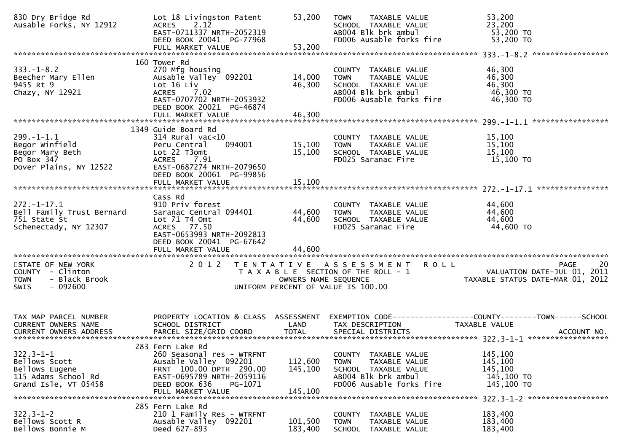| 830 Dry Bridge Rd<br>Ausable Forks, NY 12912                                                      | Lot 18 Livingston Patent<br>2.12<br><b>ACRES</b><br>EAST-0711337 NRTH-2052319<br>DEED BOOK 20041 PG-77968<br>FULL MARKET VALUE                                                  | 53,200<br>53,200              | <b>TOWN</b><br>TAXABLE VALUE<br>SCHOOL TAXABLE VALUE<br>AB004 Blk brk ambul<br>FD006 Ausable forks fire                         | 53,200<br>23,200<br>53,200 TO<br>53,200 TO                                       |
|---------------------------------------------------------------------------------------------------|---------------------------------------------------------------------------------------------------------------------------------------------------------------------------------|-------------------------------|---------------------------------------------------------------------------------------------------------------------------------|----------------------------------------------------------------------------------|
|                                                                                                   |                                                                                                                                                                                 |                               |                                                                                                                                 |                                                                                  |
| $333. - 1 - 8.2$<br>Beecher Mary Ellen<br>9455 Rt 9<br>Chazy, NY 12921                            | 160 Tower Rd<br>270 Mfg housing<br>Ausable Valley 092201<br>Lot 16 Liv<br>7.02<br><b>ACRES</b><br>EAST-0707702 NRTH-2053932<br>DEED BOOK 20021 PG-46874<br>FULL MARKET VALUE    | 14,000<br>46,300<br>46,300    | COUNTY TAXABLE VALUE<br>TAXABLE VALUE<br><b>TOWN</b><br>SCHOOL TAXABLE VALUE<br>AB004 Blk brk ambul<br>FD006 Ausable forks fire | 46,300<br>46,300<br>46,300<br>46,300 TO<br>46,300 TO                             |
|                                                                                                   |                                                                                                                                                                                 |                               |                                                                                                                                 |                                                                                  |
| $299. -1 - 1.1$<br>Begor Winfield<br>Begor Mary Beth<br>PO Box 347<br>Dover Plains, NY 12522      | 1349 Guide Board Rd<br>$314$ Rural vac<10<br>094001<br>Peru Central<br>Lot 22 T3omt<br>ACRES 7.91<br>EAST-0687274 NRTH-2079650<br>DEED BOOK 20061 PG-99856<br>FULL MARKET VALUE | 15,100<br>15,100<br>15,100    | COUNTY TAXABLE VALUE<br>TAXABLE VALUE<br><b>TOWN</b><br>SCHOOL TAXABLE VALUE<br>FD025 Saranac Fire                              | 15,100<br>15,100<br>15,100<br>15,100 TO                                          |
|                                                                                                   |                                                                                                                                                                                 |                               |                                                                                                                                 |                                                                                  |
| $272. - 1 - 17.1$<br>Bell Family Trust Bernard<br>751 State St<br>Schenectady, NY 12307           | Cass Rd<br>910 Priv forest<br>Saranac Central 094401<br>Lot 71 T4 Omt<br>ACRES 77.50<br>EAST-0653993 NRTH-2092813<br>DEED BOOK 20041 PG-67642<br>FULL MARKET VALUE              | 44,600<br>44,600<br>44,600    | COUNTY TAXABLE VALUE<br>TAXABLE VALUE<br><b>TOWN</b><br>SCHOOL TAXABLE VALUE<br>FD025 Saranac Fire                              | 44,600<br>44,600<br>44,600<br>44,600 TO                                          |
| STATE OF NEW YORK<br>COUNTY - Clinton<br><b>TOWN</b><br>- Black Brook<br>$-092600$<br>SWIS        | 2 0 1 2                                                                                                                                                                         | OWNERS NAME SEQUENCE          | TENTATIVE ASSESSMENT ROLL<br>T A X A B L E SECTION OF THE ROLL - 1<br>UNIFORM PERCENT OF VALUE IS 100.00                        | 20<br>PAGE<br>VALUATION DATE-JUL 01,<br>2011<br>TAXABLE STATUS DATE-MAR 01, 2012 |
| TAX MAP PARCEL NUMBER<br>CURRENT OWNERS NAME                                                      | PROPERTY LOCATION & CLASS ASSESSMENT<br>SCHOOL DISTRICT                                                                                                                         | LAND                          | TAX DESCRIPTION                                                                                                                 | EXEMPTION CODE------------------COUNTY--------TOWN------SCHOOL<br>TAXABLE VALUE  |
| $322.3 - 1 - 1$<br>Bellows Scott<br>Bellows Eugene<br>115 Adams School Rd<br>Grand Isle, VT 05458 | 283 Fern Lake Rd<br>260 Seasonal res - WTRFNT<br>Ausable Valley 092201<br>FRNT 100.00 DPTH 290.00<br>EAST-0695789 NRTH-2059116<br>DEED BOOK 636<br>PG-1071<br>FULL MARKET VALUE | 112,600<br>145,100<br>145,100 | COUNTY TAXABLE VALUE<br>TAXABLE VALUE<br><b>TOWN</b><br>SCHOOL TAXABLE VALUE<br>AB004 Blk brk ambul<br>FD006 Ausable forks fire | 145,100<br>145,100<br>145,100<br>145,100 TO<br>145,100 TO                        |
| $322.3 - 1 - 2$<br>Bellows Scott R<br>Bellows Bonnie M                                            | 285 Fern Lake Rd<br>210 1 Family Res - WTRFNT<br>Ausable Valley 092201<br>Deed 627-893                                                                                          | 101,500<br>183,400            | COUNTY TAXABLE VALUE<br>TAXABLE VALUE<br><b>TOWN</b><br><b>SCHOOL</b><br>TAXABLE VALUE                                          | 183,400<br>183,400<br>183,400                                                    |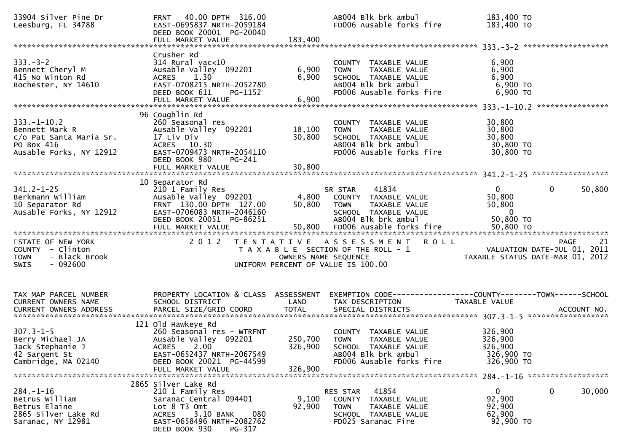| 33904 Silver Pine Dr<br>Leesburg, FL 34788                                                              | FRNT 40.00 DPTH 316.00<br>EAST-0695837 NRTH-2059184<br>DEED BOOK 20001 PG-20040<br>FULL MARKET VALUE                                                                           | 183,400                       | AB004 Blk brk ambul<br>FD006 Ausable forks fire                                                                                          | 183,400 TO<br>183,400 TO                                        |                                            |
|---------------------------------------------------------------------------------------------------------|--------------------------------------------------------------------------------------------------------------------------------------------------------------------------------|-------------------------------|------------------------------------------------------------------------------------------------------------------------------------------|-----------------------------------------------------------------|--------------------------------------------|
|                                                                                                         |                                                                                                                                                                                |                               |                                                                                                                                          |                                                                 |                                            |
| $333 - 3 - 2$<br>Bennett Cheryl M<br>415 No Winton Rd<br>Rochester, NY 14610                            | Crusher Rd<br>314 Rural vac<10<br>Ausable Valley 092201<br>ACRES 1.30<br>EAST-0708215 NRTH-2052780<br>DEED BOOK 611<br>PG-1152<br>FULL MARKET VALUE                            | 6,900<br>6,900<br>6,900       | COUNTY TAXABLE VALUE<br>TAXABLE VALUE<br><b>TOWN</b><br>SCHOOL TAXABLE VALUE<br>AB004 Blk brk ambul<br>FD006 Ausable forks fire          | 6,900<br>6,900<br>6,900<br>$6,900$ TO<br>6,900 ТО               |                                            |
|                                                                                                         |                                                                                                                                                                                |                               |                                                                                                                                          |                                                                 |                                            |
| $333. - 1 - 10.2$<br>Bennett Mark R<br>c/o Pat Santa Maria Sr.<br>PO Box 416<br>Ausable Forks, NY 12912 | 96 Coughlin Rd<br>260 Seasonal res<br>Ausable Valley 092201<br>17 Liv Div<br>ACRES 10.30<br>EAST-0709473 NRTH-2054110<br>DEED BOOK 980<br>$PG-241$                             | 18,100<br>30,800              | COUNTY TAXABLE VALUE<br>TAXABLE VALUE<br><b>TOWN</b><br>SCHOOL TAXABLE VALUE<br>AB004 Blk brk ambul<br>FD006 Ausable forks fire          | 30,800<br>30,800<br>30,800<br>30,800 TO<br>30,800 TO            |                                            |
|                                                                                                         | FULL MARKET VALUE                                                                                                                                                              | 30,800                        |                                                                                                                                          |                                                                 |                                            |
|                                                                                                         |                                                                                                                                                                                |                               |                                                                                                                                          |                                                                 |                                            |
| $341.2 - 1 - 25$<br>Berkmann William<br>10 Separator Rd<br>Ausable Forks, NY 12912                      | 10 Separator Rd<br>210 1 Family Res<br>Ausable Valley 092201<br>FRNT 130.00 DPTH 127.00<br>EAST-0706083 NRTH-2046160<br>DEED BOOK 20051 PG-86251                               | 50,800                        | 41834<br>SR STAR<br>4,800 COUNTY TAXABLE VALUE<br><b>TOWN</b><br>TAXABLE VALUE<br>SCHOOL TAXABLE VALUE<br>AB004 Blk brk ambul            | $\mathbf{0}$<br>50,800<br>50,800<br>$\overline{0}$<br>50,800 TO | $\mathbf{0}$<br>50,800                     |
|                                                                                                         |                                                                                                                                                                                |                               |                                                                                                                                          |                                                                 |                                            |
| STATE OF NEW YORK<br>COUNTY - Clinton<br>- Black Brook<br><b>TOWN</b><br>$-092600$<br><b>SWIS</b>       | 2 0 1 2                                                                                                                                                                        |                               | TENTATIVE ASSESSMENT ROLL<br>T A X A B L E SECTION OF THE ROLL - 1<br>OWNERS NAME SEQUENCE<br>UNIFORM PERCENT OF VALUE IS 100.00         | TAXABLE STATUS DATE-MAR 01, 2012                                | -21<br>PAGE<br>VALUATION DATE-JUL 01, 2011 |
| TAX MAP PARCEL NUMBER<br>CURRENT OWNERS NAME                                                            | PROPERTY LOCATION & CLASS ASSESSMENT<br>SCHOOL DISTRICT                                                                                                                        | LAND                          | EXEMPTION CODE------------------COUNTY--------TOWN------SCHOOL<br>TAX DESCRIPTION                                                        | TAXABLE VALUE                                                   |                                            |
| $307.3 - 1 - 5$<br>Berry Michael JA<br>Jack Stephanie J<br>42 Sargent St<br>Cambridge, MA 02140         | 121 old Hawkeye Rd<br>260 Seasonal res - WTRFNT<br>Ausable Valley 092201<br>2.00<br><b>ACRES</b><br>EAST-0652437 NRTH-2067549<br>DEED BOOK 20021 PG-44599<br>FULL MARKET VALUE | 250,700<br>326,900<br>326,900 | COUNTY TAXABLE VALUE<br><b>TOWN</b><br><b>TAXABLE VALUE</b><br>SCHOOL TAXABLE VALUE<br>AB004 Blk brk ambul<br>FD006 Ausable forks fire   | 326,900<br>326,900<br>326,900<br>326,900 TO<br>326,900 TO       |                                            |
|                                                                                                         | 2865 Silver Lake Rd                                                                                                                                                            |                               |                                                                                                                                          |                                                                 |                                            |
| $284. - 1 - 16$<br>Betrus William<br>Betrus Elaine<br>2865 Silver Lake Rd<br>Saranac, NY 12981          | 210 1 Family Res<br>Saranac Central 094401<br>Lot 8 T3 Omt<br>3.10 BANK<br><b>ACRES</b><br>080<br>EAST-0658496 NRTH-2082762<br>DEED BOOK 930<br>PG-317                         | 9,100<br>92,900               | RES STAR<br>41854<br>TAXABLE VALUE<br><b>COUNTY</b><br><b>TAXABLE VALUE</b><br><b>TOWN</b><br>SCHOOL TAXABLE VALUE<br>FD025 Saranac Fire | $\mathbf{0}$<br>92,900<br>92,900<br>62,900<br>92,900 TO         | 0<br>30,000                                |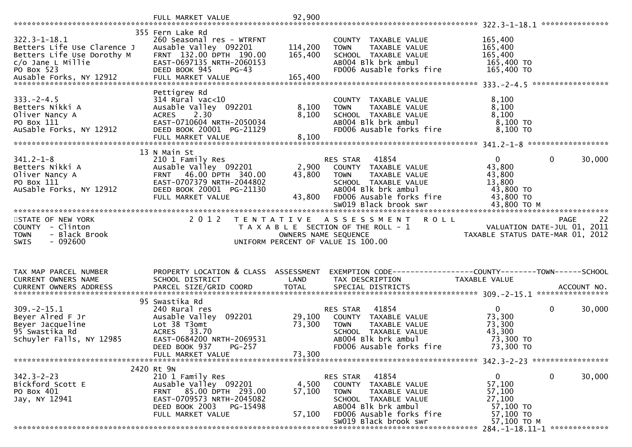|                                                                                                                      | FULL MARKET VALUE                                                                                                                                                 | 92,900                    |                                                                                                                                                                                         |                                                                                    |                                            |        |
|----------------------------------------------------------------------------------------------------------------------|-------------------------------------------------------------------------------------------------------------------------------------------------------------------|---------------------------|-----------------------------------------------------------------------------------------------------------------------------------------------------------------------------------------|------------------------------------------------------------------------------------|--------------------------------------------|--------|
|                                                                                                                      |                                                                                                                                                                   |                           |                                                                                                                                                                                         |                                                                                    |                                            |        |
| $322.3 - 1 - 18.1$<br>Betters Life Use Clarence J<br>Betters Life Use Dorothy M<br>$c/o$ Jane L Millie<br>PO Box 523 | 355 Fern Lake Rd<br>260 Seasonal res - WTRFNT<br>Ausable Valley 092201<br>FRNT 132.00 DPTH 190.00<br>EAST-0697135 NRTH-2060153<br>DEED BOOK 945<br>$PG-43$        | 114,200<br>165,400        | COUNTY TAXABLE VALUE<br>TAXABLE VALUE<br><b>TOWN</b><br>SCHOOL TAXABLE VALUE<br>AB004 Blk brk ambul<br>FD006 Ausable forks fire                                                         | 165,400<br>165,400<br>165,400<br>165,400 TO<br>165,400 TO                          |                                            |        |
|                                                                                                                      | Pettigrew Rd                                                                                                                                                      |                           |                                                                                                                                                                                         |                                                                                    |                                            |        |
| $333. -2 - 4.5$<br>Betters Nikki A<br>Oliver Nancy A<br>PO Box 111<br>AuSable Forks, NY 12912                        | $314$ Rural vac<10<br>Ausable Valley 092201<br>2.30<br><b>ACRES</b><br>EAST-0710604 NRTH-2050034<br>DEED BOOK 20001 PG-21129<br>FULL MARKET VALUE                 | 8,100<br>8,100<br>8,100   | COUNTY TAXABLE VALUE<br><b>TOWN</b><br>TAXABLE VALUE<br>SCHOOL TAXABLE VALUE<br>AB004 Blk brk ambul<br>FD006 Ausable forks fire                                                         | 8,100<br>8,100<br>8,100<br>8,100 TO<br>8,100 то                                    |                                            |        |
|                                                                                                                      |                                                                                                                                                                   |                           |                                                                                                                                                                                         |                                                                                    |                                            |        |
| $341.2 - 1 - 8$<br>Betters Nikki A<br>Oliver Nancy A<br>PO Box 111<br>AuSable Forks, NY 12912                        | 13 N Main St<br>210 1 Family Res<br>Ausable Valley 092201<br>FRNT 46.00 DPTH 340.00<br>EAST-0707379 NRTH-2044802<br>DEED BOOK 20001 PG-21130<br>FULL MARKET VALUE | 2,900<br>43,800<br>43,800 | 41854<br>RES STAR<br>COUNTY TAXABLE VALUE<br><b>TOWN</b><br>TAXABLE VALUE<br>SCHOOL TAXABLE VALUE<br>AB004 Blk brk ambul<br>FD006 Ausable forks fire<br>SW019 Black brook swr           | $\mathbf 0$<br>43,800<br>43,800<br>13,800<br>43,800 TO<br>43,800 TO<br>43,800 TO M | 0                                          | 30,000 |
|                                                                                                                      |                                                                                                                                                                   |                           |                                                                                                                                                                                         |                                                                                    |                                            |        |
|                                                                                                                      |                                                                                                                                                                   |                           |                                                                                                                                                                                         |                                                                                    |                                            |        |
| STATE OF NEW YORK<br>COUNTY - Clinton<br><b>TOWN</b><br>- Black Brook<br>$-092600$<br>SWIS                           | 2 0 1 2<br>T E N T A T I V E                                                                                                                                      | OWNERS NAME SEQUENCE      | A S S E S S M E N T R O L L<br>T A X A B L E SECTION OF THE ROLL - 1<br>UNIFORM PERCENT OF VALUE IS 100.00                                                                              | TAXABLE STATUS DATE-MAR 01, 2012                                                   | <b>PAGE</b><br>VALUATION DATE-JUL 01, 2011 | 22     |
|                                                                                                                      |                                                                                                                                                                   |                           |                                                                                                                                                                                         |                                                                                    |                                            |        |
| TAX MAP PARCEL NUMBER<br>CURRENT OWNERS NAME                                                                         | PROPERTY LOCATION & CLASS ASSESSMENT<br>SCHOOL DISTRICT                                                                                                           | LAND                      | EXEMPTION CODE-----------------COUNTY--------TOWN------SCHOOL<br>TAX DESCRIPTION                                                                                                        | TAXABLE VALUE                                                                      |                                            |        |
|                                                                                                                      |                                                                                                                                                                   |                           |                                                                                                                                                                                         |                                                                                    |                                            |        |
| $309. -2 - 15.1$<br>Beyer Alred F Jr<br>Beyer Jacqueline<br>95 Swastika Rd<br>Schuyler Falls, NY 12985               | 95 Swastika Rd<br>240 Rural res<br>Ausable Valley 092201<br>Lot 38 T3omt<br>ACRES 33.70<br>EAST-0684200 NRTH-2069531<br>DEED BOOK 937<br><b>PG-257</b>            | 29,100<br>73,300          | 41854<br>RES STAR<br>COUNTY TAXABLE VALUE<br><b>TOWN</b><br>TAXABLE VALUE<br>SCHOOL TAXABLE VALUE<br>AB004 Blk brk ambul<br>FD006 Ausable forks fire                                    | $\mathbf{0}$<br>73,300<br>73,300<br>43,300<br>73,300 TO<br>73,300 TO               | 0                                          | 30,000 |
|                                                                                                                      | FULL MARKET VALUE                                                                                                                                                 | 73,300                    |                                                                                                                                                                                         |                                                                                    |                                            |        |
|                                                                                                                      | 2420 Rt 9N                                                                                                                                                        |                           |                                                                                                                                                                                         |                                                                                    |                                            |        |
| $342.3 - 2 - 23$<br>Bickford Scott E<br>PO Box 401<br>Jay, NY 12941                                                  | 210 1 Family Res<br>Ausable Valley 092201<br>FRNT 85.00 DPTH 293.00<br>EAST-0709573 NRTH-2045082<br>DEED BOOK 2003<br>PG-15498<br>FULL MARKET VALUE               | 4,500<br>57,100<br>57,100 | 41854<br>RES STAR<br>TAXABLE VALUE<br><b>COUNTY</b><br><b>TOWN</b><br>TAXABLE VALUE<br>SCHOOL TAXABLE VALUE<br>AB004 Blk brk ambul<br>FD006 Ausable forks fire<br>SW019 Black brook swr | 0<br>57,100<br>57,100<br>27,100<br>57,100 TO<br>57,100 TO<br>57,100 ТО М           | 0                                          | 30,000 |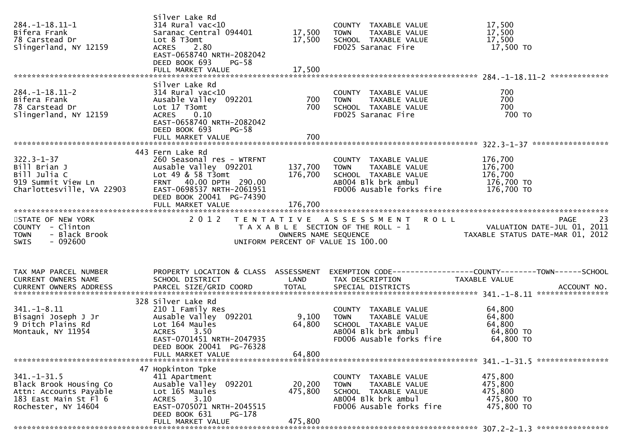| $284. -1 - 18.11 - 1$<br>Bifera Frank<br>78 Carstead Dr<br>Slingerland, NY 12159                                      | Silver Lake Rd<br>$314$ Rural vac<10<br>Saranac Central 094401<br>Lot 8 T3omt<br>ACRES 2.80<br>EAST-0658740 NRTH-2082042<br>DEED BOOK 693<br>$PG-58$                                    | 17,500<br>17,500             | COUNTY TAXABLE VALUE<br><b>TOWN</b><br>TAXABLE VALUE<br>SCHOOL TAXABLE VALUE<br>FD025 Saranac Fire                              | 17,500<br>17,500<br>17,500<br>17,500 TO                                                     |
|-----------------------------------------------------------------------------------------------------------------------|-----------------------------------------------------------------------------------------------------------------------------------------------------------------------------------------|------------------------------|---------------------------------------------------------------------------------------------------------------------------------|---------------------------------------------------------------------------------------------|
|                                                                                                                       |                                                                                                                                                                                         |                              |                                                                                                                                 |                                                                                             |
| $284. - 1 - 18.11 - 2$<br>Bifera Frank<br>78 Carstead Dr<br>Slingerland, NY 12159                                     | Silver Lake Rd<br>$314$ Rural vac<10<br>Ausable Valley 092201<br>Lot 17 T3omt<br><b>ACRES</b><br>0.10<br>EAST-0658740 NRTH-2082042<br>DEED BOOK 693<br>$PG-58$                          | 700<br>700                   | COUNTY TAXABLE VALUE<br>TAXABLE VALUE<br><b>TOWN</b><br>SCHOOL TAXABLE VALUE<br>FD025 Saranac Fire                              | 700<br>700<br>700<br>700 то                                                                 |
|                                                                                                                       | FULL MARKET VALUE                                                                                                                                                                       | 700                          |                                                                                                                                 |                                                                                             |
|                                                                                                                       |                                                                                                                                                                                         |                              |                                                                                                                                 |                                                                                             |
| $322.3 - 1 - 37$<br>Bill Brian J<br>Bill Julia C<br>919 Summit View Ln<br>Charlottesville, VA 22903                   | 443 Fern Lake Rd<br>260 Seasonal res - WTRFNT<br>Ausable Valley 092201<br>Lot $49$ & 58 T3omt<br>FRNT 40.00 DPTH 290.00<br>EAST-0698537 NRTH-2061951                                    | 137,700<br>176,700           | COUNTY TAXABLE VALUE<br>TAXABLE VALUE<br><b>TOWN</b><br>SCHOOL TAXABLE VALUE<br>AB004 Blk brk ambul<br>FD006 Ausable forks fire | 176,700<br>176,700<br>176,700<br>176,700 TO<br>176,700 TO                                   |
|                                                                                                                       | DEED BOOK 20041 PG-74390                                                                                                                                                                |                              |                                                                                                                                 |                                                                                             |
|                                                                                                                       |                                                                                                                                                                                         |                              |                                                                                                                                 |                                                                                             |
| STATE OF NEW YORK<br>COUNTY - Clinton<br>- Black Brook<br><b>TOWN</b><br><b>SWIS</b><br>- 092600                      | 2 0 1 2                                                                                                                                                                                 | OWNERS NAME SEQUENCE         | TENTATIVE ASSESSMENT ROLL<br>T A X A B L E SECTION OF THE ROLL - 1<br>UNIFORM PERCENT OF VALUE IS 100.00                        | 23<br>PAGE<br>VALUATION DATE-JUL $\overline{0}1$ , 2011<br>TAXABLE STATUS DATE-MAR 01, 2012 |
|                                                                                                                       |                                                                                                                                                                                         |                              |                                                                                                                                 |                                                                                             |
| TAX MAP PARCEL NUMBER<br>CURRENT OWNERS NAME                                                                          | PROPERTY LOCATION & CLASS ASSESSMENT<br>SCHOOL DISTRICT                                                                                                                                 | LAND                         | TAX DESCRIPTION                                                                                                                 | EXEMPTION CODE-----------------COUNTY-------TOWN------SCHOOL<br>TAXABLE VALUE               |
| $341. - 1 - 8.11$<br>Bisagni Joseph J Jr<br>9 Ditch Plains Rd<br>Montauk, NY 11954                                    | 328 Silver Lake Rd<br>210 1 Family Res<br>Ausable Valley 092201<br>Lot 164 Maules<br>3.50<br><b>ACRES</b><br>EAST-0701451 NRTH-2047935<br>DEED BOOK 20041 PG-76328<br>FULL MARKET VALUE | 9,100<br>64,800<br>64,800    | COUNTY TAXABLE VALUE<br><b>TOWN</b><br>TAXABLE VALUE<br>SCHOOL TAXABLE VALUE<br>AB004 Blk brk ambul<br>FD006 Ausable forks fire | 64,800<br>64,800<br>64,800<br>64,800 TO<br>64,800 TO                                        |
|                                                                                                                       |                                                                                                                                                                                         |                              |                                                                                                                                 |                                                                                             |
| $341. - 1 - 31.5$<br>Black Brook Housing Co<br>Attn: Accounts Payable<br>183 East Main St Fl 6<br>Rochester, NY 14604 | 47 Hopkinton Tpke<br>411 Apartment<br>Ausable Valley<br>092201<br>Lot 165 Maules<br>3.10<br><b>ACRES</b><br>EAST-0705071 NRTH-2045515<br>DEED BOOK 631<br>PG-178                        | 20,200<br>475,800<br>475,800 | COUNTY TAXABLE VALUE<br>TAXABLE VALUE<br><b>TOWN</b><br>SCHOOL TAXABLE VALUE<br>AB004 Blk brk ambul<br>FD006 Ausable forks fire | 475,800<br>475,800<br>475,800<br>475,800 TO<br>475,800 TO                                   |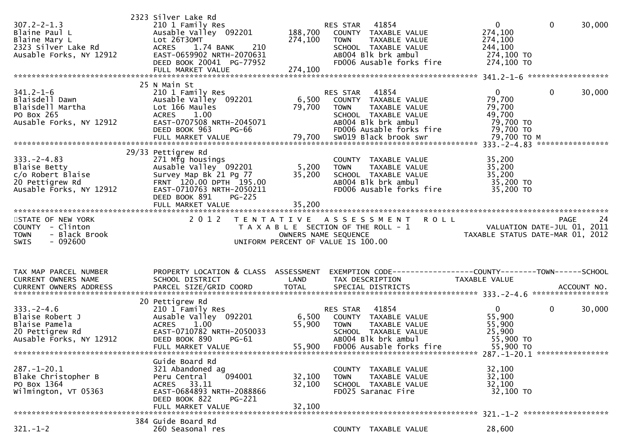| $307.2 - 2 - 1.3$<br>Blaine Paul L<br>Blaine Mary L<br>2323 Silver Lake Rd<br>Ausable Forks, NY 12912 | 2323 Silver Lake Rd<br>210 1 Family Res<br>Ausable Valley 092201<br>Lot 26T30MT<br>210<br>ACRES 1.74 BANK<br>EAST-0659902 NRTH-2070631<br>DEED BOOK 20041 PG-77952 | 188,700<br>274,100   | 41854<br>RES STAR<br>COUNTY TAXABLE VALUE<br><b>TOWN</b><br>TAXABLE VALUE<br>SCHOOL TAXABLE VALUE<br>AB004 Blk brk ambul<br>FD006 Ausable forks fire | $\mathbf{0}$<br>274,100<br>274,100<br>244,100<br>274,100 TO<br>274,100 TO | $\mathbf 0$<br>30,000  |
|-------------------------------------------------------------------------------------------------------|--------------------------------------------------------------------------------------------------------------------------------------------------------------------|----------------------|------------------------------------------------------------------------------------------------------------------------------------------------------|---------------------------------------------------------------------------|------------------------|
| $341.2 - 1 - 6$                                                                                       | 25 N Main St<br>210 1 Family Res                                                                                                                                   |                      | 41854<br>RES STAR                                                                                                                                    | $\mathbf{0}$                                                              | 30,000<br>0            |
| Blaisdell Dawn<br>Blaisdell Martha<br>PO Box 265                                                      | Ausable Valley 092201<br>Lot 166 Maules<br><b>ACRES</b><br>1.00                                                                                                    | 79,700               | 6,500 COUNTY TAXABLE VALUE<br>TAXABLE VALUE<br><b>TOWN</b><br>SCHOOL TAXABLE VALUE                                                                   | 79,700<br>79,700<br>49,700                                                |                        |
| Ausable Forks, NY 12912                                                                               | EAST-0707508 NRTH-2045071<br>DEED BOOK 963<br>PG-66<br>FULL MARKET VALUE                                                                                           | 79,700               | AB004 Blk brk ambul<br>FD006 Ausable forks fire<br>SW019 Black brook swr                                                                             | 79,700 TO<br>79,700 TO<br>79,700 TO M                                     |                        |
|                                                                                                       | 29/33 Pettigrew Rd                                                                                                                                                 |                      |                                                                                                                                                      |                                                                           |                        |
| $333. -2 - 4.83$                                                                                      | 271 Mfg housings                                                                                                                                                   |                      | COUNTY TAXABLE VALUE                                                                                                                                 | 35,200                                                                    |                        |
| Blaise Betty                                                                                          | Ausable Valley 092201                                                                                                                                              | 5,200                | <b>TOWN</b><br>TAXABLE VALUE                                                                                                                         | 35,200                                                                    |                        |
| c/o Robert Blaise<br>20 Pettigrew Rd                                                                  | Survey Map Bk 21 Pg 77<br>FRNT 120.00 DPTH 195.00                                                                                                                  | 35,200               | SCHOOL TAXABLE VALUE<br>ABOO4 Blk brk ambul                                                                                                          | 35,200<br>35,200 TO                                                       |                        |
| Ausable Forks, NY 12912                                                                               | EAST-0710763 NRTH-2050211                                                                                                                                          |                      | FD006 Ausable forks fire                                                                                                                             | 35,200 TO                                                                 |                        |
|                                                                                                       | <b>PG-225</b><br>DEED BOOK 891                                                                                                                                     |                      |                                                                                                                                                      |                                                                           |                        |
|                                                                                                       |                                                                                                                                                                    |                      |                                                                                                                                                      |                                                                           |                        |
| STATE OF NEW YORK                                                                                     |                                                                                                                                                                    |                      | 2012 TENTATIVE ASSESSMENT ROLL                                                                                                                       |                                                                           | PAGE<br>24             |
|                                                                                                       |                                                                                                                                                                    |                      |                                                                                                                                                      |                                                                           |                        |
| COUNTY - Clinton                                                                                      |                                                                                                                                                                    |                      |                                                                                                                                                      |                                                                           |                        |
| - Black Brook<br><b>TOWN</b>                                                                          |                                                                                                                                                                    | OWNERS NAME SEQUENCE | T A X A B L E SECTION OF THE ROLL - 1                                                                                                                | VALUATION DATE-JUL 01, 2011<br>TAXABLE STATUS DATE-MAR 01, 2012           |                        |
| $-092600$<br><b>SWIS</b>                                                                              |                                                                                                                                                                    |                      | UNIFORM PERCENT OF VALUE IS 100.00                                                                                                                   |                                                                           |                        |
|                                                                                                       |                                                                                                                                                                    |                      |                                                                                                                                                      |                                                                           |                        |
|                                                                                                       |                                                                                                                                                                    |                      |                                                                                                                                                      |                                                                           |                        |
| TAX MAP PARCEL NUMBER                                                                                 | PROPERTY LOCATION & CLASS ASSESSMENT                                                                                                                               |                      | EXEMPTION CODE------------------COUNTY--------TOWN------SCHOOL                                                                                       |                                                                           |                        |
| <b>CURRENT OWNERS NAME</b>                                                                            | SCHOOL DISTRICT                                                                                                                                                    | LAND                 | TAX DESCRIPTION                                                                                                                                      | TAXABLE VALUE                                                             |                        |
| CURRENT OWNERS ADDRESS                                                                                |                                                                                                                                                                    |                      |                                                                                                                                                      |                                                                           |                        |
|                                                                                                       | 20 Pettigrew Rd                                                                                                                                                    |                      |                                                                                                                                                      |                                                                           |                        |
| $333. - 2 - 4.6$                                                                                      | 210 1 Family Res                                                                                                                                                   |                      | 41854<br>RES STAR                                                                                                                                    | $\mathbf{0}$                                                              | $\mathbf{0}$<br>30,000 |
| Blaise Robert J<br>Blaise Pamela                                                                      | Ausable Valley 092201<br>1.00<br><b>ACRES</b>                                                                                                                      | 55,900               | 6,500 COUNTY TAXABLE VALUE<br>TAXABLE VALUE<br><b>TOWN</b>                                                                                           | 55,900                                                                    |                        |
| 20 Pettigrew Rd                                                                                       | EAST-0710782 NRTH-2050033                                                                                                                                          |                      | SCHOOL TAXABLE VALUE                                                                                                                                 | 55,900<br>25,900                                                          |                        |
| Ausable Forks, NY 12912                                                                               | DEED BOOK 890<br>$PG-61$                                                                                                                                           |                      | AB004 Blk brk ambul                                                                                                                                  | 55,900 TO                                                                 |                        |
|                                                                                                       | FULL MARKET VALUE                                                                                                                                                  |                      | 55,900 FD006 Ausable forks fire                                                                                                                      | 55,900 TO                                                                 |                        |
|                                                                                                       | Guide Board Rd                                                                                                                                                     |                      |                                                                                                                                                      |                                                                           |                        |
| $287. - 1 - 20.1$                                                                                     | 321 Abandoned ag                                                                                                                                                   |                      | COUNTY TAXABLE VALUE                                                                                                                                 | 32,100                                                                    |                        |
| Blake Christopher B                                                                                   | 094001<br>Peru Central                                                                                                                                             | 32,100               | TAXABLE VALUE<br><b>TOWN</b>                                                                                                                         | 32,100                                                                    |                        |
| PO Box 1364<br>Wilmington, VT 05363                                                                   | ACRES 33.11<br>EAST-0684893 NRTH-2088866                                                                                                                           | 32,100               | SCHOOL TAXABLE VALUE<br>FD025 Saranac Fire                                                                                                           | 32,100<br>32,100 TO                                                       |                        |
|                                                                                                       | DEED BOOK 822<br><b>PG-221</b>                                                                                                                                     |                      |                                                                                                                                                      |                                                                           |                        |
|                                                                                                       | FULL MARKET VALUE                                                                                                                                                  | 32,100               |                                                                                                                                                      |                                                                           |                        |
| $321. - 1 - 2$                                                                                        | 384 Guide Board Rd<br>260 Seasonal res                                                                                                                             |                      | COUNTY TAXABLE VALUE                                                                                                                                 | 28,600                                                                    |                        |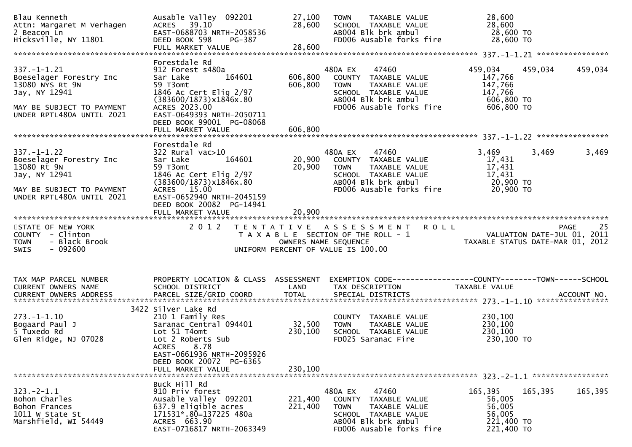| Blau Kenneth<br>Attn: Margaret M Verhagen<br>2 Beacon Ln<br>Hicksville, NY 11801                                                           | Ausable Valley 092201<br>ACRES 39.10<br>EAST-0688703 NRTH-2058536<br>DEED BOOK 598<br>PG-387<br>FULL MARKET VALUE                                                                                           | 27,100<br>28,600<br>28,600     | TAXABLE VALUE<br><b>TOWN</b><br>SCHOOL TAXABLE VALUE<br>ABOO4 Blk brk ambul<br>FD006 Ausable forks fire                                                       | 28,600<br>28,600<br>28,600 TO<br>28,600 TO                                                                     |         |
|--------------------------------------------------------------------------------------------------------------------------------------------|-------------------------------------------------------------------------------------------------------------------------------------------------------------------------------------------------------------|--------------------------------|---------------------------------------------------------------------------------------------------------------------------------------------------------------|----------------------------------------------------------------------------------------------------------------|---------|
| $337. - 1 - 1.21$<br>Boeselager Forestry Inc<br>13080 NYS Rt 9N<br>Jay, NY 12941<br>MAY BE SUBJECT TO PAYMENT<br>UNDER RPTL480A UNTIL 2021 | Forestdale Rd<br>912 Forest s480a<br>164601<br>Sar Lake<br>59 T3omt<br>1846 Ac Cert Elig 2/97<br>(383600/1873)x1846x.80<br>ACRES 2023.00<br>EAST-0649393 NRTH-2050711<br>DEED BOOK 99001 PG-08068           | 606,800<br>606,800             | 480A EX<br>47460 300<br>COUNTY TAXABLE VALUE<br>TAXABLE VALUE<br><b>TOWN</b><br>SCHOOL TAXABLE VALUE<br>AB004 Blk brk ambul<br>FD006 Ausable forks fire       | 459,034<br>459,034<br>147,766<br>147,766<br>147,766<br>606,800 TO<br>606,800 TO                                | 459,034 |
| $337. - 1 - 1.22$<br>Boeselager Forestry Inc<br>13080 Rt 9N<br>Jay, NY 12941<br>MAY BE SUBJECT TO PAYMENT<br>UNDER RPTL480A UNTIL 2021     | Forestdale Rd<br>322 Rural vac>10<br>164601<br>Sar Lake<br>59 T3omt<br>1846 Ac Cert Elig 2/97<br>(383600/1873)x1846x.80<br>ACRES 15.00<br>EAST-0652940 NRTH-2045159<br>DEED BOOK 20082 PG-14941             | 20,900<br>20,900               | 480A EX 47460<br>COUNTY TAXABLE VALUE<br>TAXABLE VALUE<br>TOWN<br>SCHOOL  TAXABLE VALUE<br>ABOO4 Blk brk ambul<br>FD006 Ausable forks fire                    | 3,469<br>3,469<br>17,431<br>17,431<br>17,431<br>$17,72$<br>20,900 TO<br>20,900 TO                              | 3,469   |
| STATE OF NEW YORK<br>COUNTY - Clinton<br><b>TOWN</b><br>- Black Brook<br>$-092600$<br>SWIS                                                 | FULL MARKET VALUE<br>2 0 1 2                                                                                                                                                                                | 20,900<br>OWNERS NAME SEQUENCE | TENTATIVE ASSESSMENT ROLL<br>T A X A B L E SECTION OF THE ROLL - 1<br>UNIFORM PERCENT OF VALUE IS 100.00                                                      | <b>PAGE</b><br>M E N T   R O L L<br>25.00 VALUATION DATE-JUL 01, 2011<br>2012 TAXABLE STATUS DATE-MAR 01, 2012 | 25      |
| TAX MAP PARCEL NUMBER<br>CURRENT OWNERS NAME                                                                                               | PROPERTY LOCATION & CLASS ASSESSMENT<br>SCHOOL DISTRICT                                                                                                                                                     | LAND                           | TAX DESCRIPTION                                                                                                                                               | EXEMPTION CODE------------------COUNTY--------TOWN------SCHOOL<br>TAXABLE VALUE                                |         |
| $273. - 1 - 1.10$<br>Bogaard Paul J<br>5 Tuxedo Rd<br>Glen Ridge, NJ 07028                                                                 | 3422 Silver Lake Rd<br>210 1 Family Res<br>Saranac Central 094401<br>Lot 51 T4omt<br>Lot 2 Roberts Sub<br><b>ACRES</b><br>8.78<br>EAST-0661936 NRTH-2095926<br>DEED BOOK 20072 PG-6365<br>FULL MARKET VALUE | 32,500<br>230,100<br>230,100   | COUNTY TAXABLE VALUE<br><b>TOWN</b><br>TAXABLE VALUE<br>SCHOOL TAXABLE VALUE<br>FD025 Saranac Fire                                                            | 230,100<br>230,100<br>230,100<br>230,100 то                                                                    |         |
| $323. -2 - 1.1$<br>Bohon Charles<br>Bohon Frances<br>1011 W State St<br>Marshfield, WI 54449                                               | Buck Hill Rd<br>910 Priv forest<br>Ausable Valley 092201<br>637.9 eligible acres<br>171531*.80=137225 480a<br>ACRES 663.90<br>EAST-0716817 NRTH-2063349                                                     | 221,400<br>221,400             | 480A EX<br>47460<br>TAXABLE VALUE<br><b>COUNTY</b><br><b>TOWN</b><br>TAXABLE VALUE<br>SCHOOL TAXABLE VALUE<br>AB004 Blk brk ambul<br>FD006 Ausable forks fire | 165,395<br>165,395<br>56,005<br>56,005<br>56,005<br>221,400 TO<br>221,400 TO                                   | 165,395 |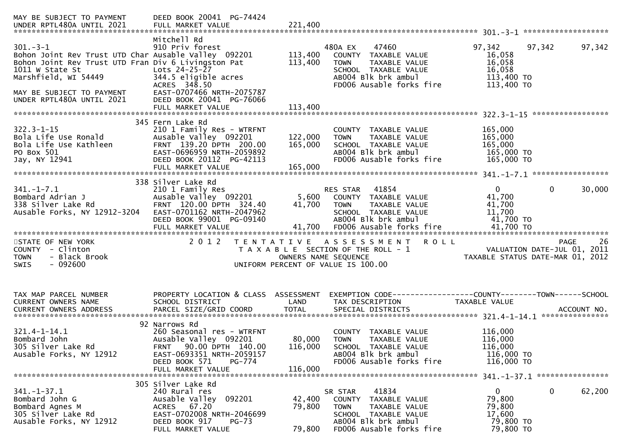| Mitchell Rd<br>$301 - 3 - 1$<br>910 Priv forest<br>97,342<br>480A EX<br>47460<br>97,342<br>113,400<br>Bohon Joint Rev Trust UTD Char Ausable Valley 092201<br>COUNTY TAXABLE VALUE<br>16,058<br>Bohon Joint Rev Trust UTD Fran Div 6 Livingston Pat<br>16,058<br>113,400<br><b>TOWN</b><br>TAXABLE VALUE<br>Lots $24-25-27$<br>16,058<br>1011 W State St<br>SCHOOL TAXABLE VALUE<br>Marshfield, WI 54449<br>344.5 eligible acres<br>AB004 Blk brk ambul<br>113,400 TO                                                                         | 97,342 |
|-----------------------------------------------------------------------------------------------------------------------------------------------------------------------------------------------------------------------------------------------------------------------------------------------------------------------------------------------------------------------------------------------------------------------------------------------------------------------------------------------------------------------------------------------|--------|
| FD006 Ausable forks fire<br>113,400 TO<br>ACRES 348.50<br>EAST-0707466 NRTH-2075787<br>MAY BE SUBJECT TO PAYMENT                                                                                                                                                                                                                                                                                                                                                                                                                              |        |
| DEED BOOK 20041 PG-76066<br>UNDER RPTL480A UNTIL 2021<br>113,400<br>FULL MARKET VALUE                                                                                                                                                                                                                                                                                                                                                                                                                                                         |        |
| 345 Fern Lake Rd                                                                                                                                                                                                                                                                                                                                                                                                                                                                                                                              |        |
| $322.3 - 1 - 15$<br>210 1 Family Res - WTRFNT<br>165,000<br>COUNTY TAXABLE VALUE<br>Bola Life Use Ronald<br>Ausable Valley 092201<br>122,000<br>165,000<br>TAXABLE VALUE<br><b>TOWN</b><br>Bola Life Use Kathleen<br>FRNT 139.20 DPTH 200.00<br>165,000<br>SCHOOL TAXABLE VALUE<br>165,000<br>PO Box 501<br>EAST-0696959 NRTH-2059892<br>AB004 Blk brk ambul<br>165,000 TO<br>Jay, NY 12941<br>DEED BOOK 20112 PG-42113<br>FD006 Ausable forks fire<br>165,000 TO                                                                             |        |
| 165,000<br>FULL MARKET VALUE                                                                                                                                                                                                                                                                                                                                                                                                                                                                                                                  |        |
| 338 Silver Lake Rd                                                                                                                                                                                                                                                                                                                                                                                                                                                                                                                            |        |
| $\mathbf{0}$<br>$\mathbf{0}$<br>$341. - 1 - 7.1$<br>41854<br>210 1 Family Res<br>RES STAR<br>Ausable Valley 092201<br>41,700<br>Bombard Adrian J<br>5,600 COUNTY TAXABLE VALUE<br>338 Silver Lake Rd<br>FRNT 120.00 DPTH 324.40<br>41,700<br>41,700<br><b>TOWN</b><br>TAXABLE VALUE<br>Ausable Forks, NY 12912-3204<br>EAST-0701162 NRTH-2047962<br>11,700<br>SCHOOL TAXABLE VALUE<br>AB004 Blk brk ambul<br>41,700 TO<br>DEED BOOK 99001 PG-09140                                                                                            | 30,000 |
|                                                                                                                                                                                                                                                                                                                                                                                                                                                                                                                                               |        |
| 2012 TENTATIVE ASSESSMENT ROLL<br>STATE OF NEW YORK<br>PAGE 26<br>VALUATION DATE-JUL 01, 2011<br>TAXARLE STATUS DATE USE 21, 2011<br>COUNTY - Clinton<br>T A X A B L E SECTION OF THE ROLL - 1<br>- Black Brook<br>OWNERS NAME SEQUENCE<br><b>TOWN</b><br>$-092600$<br><b>SWIS</b><br>UNIFORM PERCENT OF VALUE IS 100.00                                                                                                                                                                                                                      |        |
|                                                                                                                                                                                                                                                                                                                                                                                                                                                                                                                                               |        |
| PROPERTY LOCATION & CLASS ASSESSMENT<br>TAX MAP PARCEL NUMBER<br>EXEMPTION        CODE-----------------COUNTY-------TOWN------SCHOOL<br>CURRENT OWNERS NAME<br>SCHOOL DISTRICT<br>LAND<br>TAX DESCRIPTION<br>TAXABLE VALUE                                                                                                                                                                                                                                                                                                                    |        |
| 92 Narrows Rd<br>116,000<br>$321.4 - 1 - 14.1$<br>260 Seasonal res - WTRFNT<br>COUNTY TAXABLE VALUE<br>Bombard John<br>Ausable Valley 092201<br>80,000<br>116,000<br><b>TOWN</b><br>TAXABLE VALUE<br>305 Silver Lake Rd<br>90.00 DPTH 140.00<br>116,000<br>116,000<br><b>FRNT</b><br>SCHOOL TAXABLE VALUE<br>AB004 Blk brk ambul<br>116,000 TO<br>Ausable Forks, NY 12912<br>EAST-0693351 NRTH-2059157<br>FD006 Ausable forks fire<br>116,000 TO<br>PG-774<br>DEED BOOK 571<br>116,000<br>FULL MARKET VALUE<br>341. -1-37.1 ***************** |        |
| 305 Silver Lake Rd                                                                                                                                                                                                                                                                                                                                                                                                                                                                                                                            |        |
| $341. - 1 - 37.1$<br>$\mathbf 0$<br>240 Rural res<br>41834<br>$\mathbf{0}$<br>SR STAR<br>79,800<br>Ausable Valley 092201<br>Bombard John G<br>42,400<br>TAXABLE VALUE<br><b>COUNTY</b><br>ACRES 67.20<br>79,800<br>79,800<br>Bombard Agnes M<br>TAXABLE VALUE<br><b>TOWN</b><br>305 Silver Lake Rd<br>EAST-0702008 NRTH-2046699<br>SCHOOL TAXABLE VALUE<br>17,600<br>AB004 Blk brk ambul<br>79,800 TO<br>Ausable Forks, NY 12912<br>DEED BOOK 917<br>$PG-73$<br>FD006 Ausable forks fire<br>FULL MARKET VALUE<br>79,800<br>79,800 TO          | 62,200 |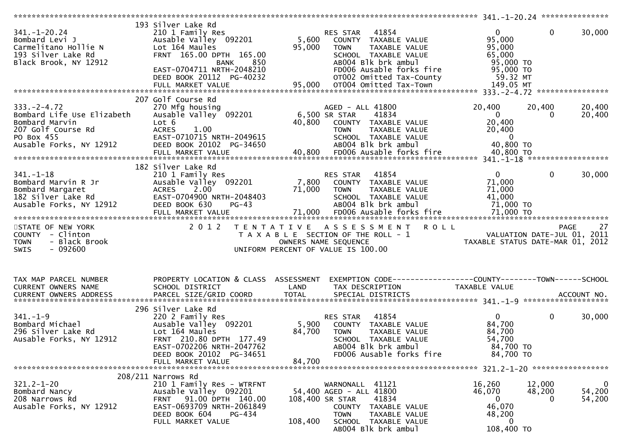|                                                                                                                                 |                                                                                                                                                                                                        |                           |                                                                                                                                                                                                                   | *************** 341.-1-20.24 ****************                                                 |                       |                                    |
|---------------------------------------------------------------------------------------------------------------------------------|--------------------------------------------------------------------------------------------------------------------------------------------------------------------------------------------------------|---------------------------|-------------------------------------------------------------------------------------------------------------------------------------------------------------------------------------------------------------------|-----------------------------------------------------------------------------------------------|-----------------------|------------------------------------|
| $341. - 1 - 20.24$<br>Bombard Levi J<br>Carmelitano Hollie N<br>193 Silver Lake Rd<br>Black Brook, NY 12912                     | 193 Silver Lake Rd<br>210 1 Family Res<br>Ausable Valley 092201<br>Lot 164 Maules<br>FRNT 165.00 DPTH 165.00<br>BANK 850<br>EAST-0704711 NRTH-2048210<br>DEED BOOK 20112 PG-40232<br>FULL MARKET VALUE | 5,600<br>95,000           | 41854<br>RES STAR<br>COUNTY TAXABLE VALUE<br>TAXABLE VALUE<br><b>TOWN</b><br>SCHOOL TAXABLE VALUE<br>AB004 Blk brk ambul<br>FD006 Ausable forks fire<br>OT002 Omitted Tax-County<br>95,000 OT004 Omitted Tax-Town | $\mathbf{0}$<br>95,000<br>95,000<br>65,000<br>95,000 TO<br>95,000 TO<br>59.32 MT<br>149.05 MT | $\mathbf 0$           | 30,000                             |
| $333. -2 - 4.72$<br>Bombard Life Use Elizabeth<br>Bombard Marvin<br>207 Golf Course Rd<br>PO Box 455<br>Ausable Forks, NY 12912 | 207 Golf Course Rd<br>270 Mfg housing<br>Ausable Valley 092201<br>Lot 6<br><b>ACRES</b><br>1.00<br>EAST-0710715 NRTH-2049615<br>DEED BOOK 20102 PG-34650                                               |                           | AGED - ALL 41800<br>6,500 SR STAR<br>41834<br>40,800 COUNTY TAXABLE VALUE<br>TAXABLE VALUE<br>TOWN<br>SCHOOL TAXABLE VALUE<br>AB004 Blk brk ambul                                                                 | 20,400<br>$\overline{0}$<br>20,400<br>20,400<br>$\overline{\mathbf{0}}$<br>40,800 TO          | 20,400<br>$\Omega$    | 20,400<br>20,400                   |
|                                                                                                                                 |                                                                                                                                                                                                        |                           |                                                                                                                                                                                                                   |                                                                                               |                       |                                    |
| $341 - 1 - 18$<br>Bombard Marvin R Jr<br>Bombard Margaret<br>182 Silver Lake Rd<br>Ausable Forks, NY 12912                      | 182 Silver Lake Rd<br>210 1 Family Res<br>Ausable Valley 092201<br><b>ACRES</b><br>2.00<br>EAST-0704900 NRTH-2048403<br>DEED BOOK 630<br>PG-43                                                         | 7,800<br>71,000           | 41854<br>RES STAR<br>COUNTY TAXABLE VALUE<br><b>TOWN</b><br>TAXABLE VALUE<br>SCHOOL TAXABLE VALUE<br>AB004 Blk brk ambul                                                                                          | $\overline{0}$<br>71,000<br>71,000<br>41,000<br>71,000 TO                                     | $\overline{0}$        | 30,000                             |
| STATE OF NEW YORK<br>COUNTY - Clinton<br>- Black Brook<br><b>TOWN</b><br>$-092600$<br>SWIS                                      | 2 0 1 2                                                                                                                                                                                                |                           | <b>ROLL</b><br>TENTATIVE ASSESSMENT<br>T A X A B L E SECTION OF THE ROLL - 1<br>OWNERS NAME SEQUENCE<br>UNIFORM PERCENT OF VALUE IS 100.00                                                                        | VALUATION DATE-JUL 01, 2011<br>TAXABLE STATUS DATE-MAR 01, 2012                               |                       | 27<br><b>PAGE</b>                  |
| TAX MAP PARCEL NUMBER<br>CURRENT OWNERS NAME                                                                                    | PROPERTY LOCATION & CLASS ASSESSMENT<br>SCHOOL DISTRICT                                                                                                                                                | LAND                      | TAX DESCRIPTION                                                                                                                                                                                                   | TAXABLE VALUE                                                                                 |                       |                                    |
| $341. - 1 - 9$<br>Bombard Michael<br>296 Silver Lake Rd<br>Ausable Forks, NY 12912                                              | 296 Silver Lake Rd<br>220 2 Family Res<br>Ausable Valley 092201<br>Lot 164 Maules<br>FRNT 210.80 DPTH 177.49<br>EAST-0702206 NRTH-2047762<br>DEED BOOK 20102 PG-34651<br>FULL MARKET VALUE             | 5,900<br>84,700<br>84,700 | 41854<br>RES STAR<br>COUNTY TAXABLE VALUE<br><b>TOWN</b><br>TAXABLE VALUE<br>SCHOOL TAXABLE VALUE<br>AB004 Blk brk ambul<br>FD006 Ausable forks fire                                                              | $0 \qquad \qquad$<br>84,700<br>84,700<br>54,700<br>84,700 TO<br>84,700 TO                     | $\mathbf 0$           | 30,000                             |
|                                                                                                                                 | 208/211 Narrows Rd                                                                                                                                                                                     |                           |                                                                                                                                                                                                                   |                                                                                               |                       |                                    |
| $321.2 - 1 - 20$<br>Bombard Nancy<br>208 Narrows Rd<br>Ausable Forks, NY 12912                                                  | 210 1 Family Res - WTRFNT<br>Ausable Valley 092201<br>FRNT 91.00 DPTH 140.00<br>EAST-0693709 NRTH-2061849<br>DEED BOOK 604<br>PG-434<br>FULL MARKET VALUE                                              | 108,400                   | WARNONALL 41121<br>54,400 AGED - ALL 41800<br>41834<br>108,400 SR STAR<br>COUNTY TAXABLE VALUE<br><b>TOWN</b><br>TAXABLE VALUE<br>SCHOOL TAXABLE VALUE<br>AB004 Blk brk ambul                                     | 16,260<br>46,070<br>$\overline{0}$<br>46,070<br>48,200<br>$\Omega$<br>108,400 TO              | 12,000<br>48,200<br>0 | $\overline{0}$<br>54,200<br>54,200 |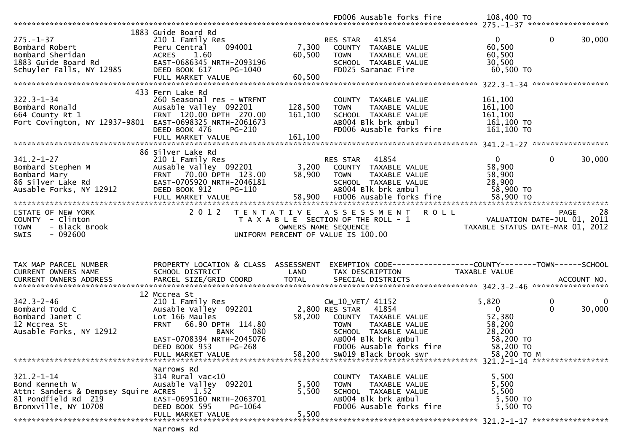|                                                                                                 |                                                  |                                    |                  | FD006 Ausable forks fire                                                                      | 108,400 TO                       |              |                             |
|-------------------------------------------------------------------------------------------------|--------------------------------------------------|------------------------------------|------------------|-----------------------------------------------------------------------------------------------|----------------------------------|--------------|-----------------------------|
|                                                                                                 |                                                  |                                    |                  |                                                                                               |                                  |              |                             |
|                                                                                                 | 1883 Guide Board Rd                              |                                    |                  |                                                                                               |                                  |              |                             |
| $275. - 1 - 37$                                                                                 | 210 1 Family Res                                 |                                    | RES STAR         | 41854                                                                                         | $\overline{0}$                   | $\mathbf{0}$ | 30,000                      |
| Bombard Robert                                                                                  | 094001<br>Peru Central                           | 7,300                              |                  | COUNTY TAXABLE VALUE                                                                          | 60,500                           |              |                             |
| ьотрага Snerıdan<br>1883 Guide Board Rd<br>Schuyler Falls, NY 12985                             | <b>ACRES</b><br>1.60                             | 60,500                             | <b>TOWN</b>      | TAXABLE VALUE                                                                                 | 60,500                           |              |                             |
|                                                                                                 | EAST-0686345 NRTH-2093196                        |                                    |                  | SCHOOL TAXABLE VALUE                                                                          | 30,500                           |              |                             |
|                                                                                                 | DEED BOOK 617<br>PG-1040                         |                                    |                  | FD025 Saranac Fire                                                                            | 60,500 TO                        |              |                             |
|                                                                                                 |                                                  |                                    |                  |                                                                                               |                                  |              |                             |
|                                                                                                 |                                                  |                                    |                  |                                                                                               |                                  |              |                             |
|                                                                                                 | 433 Fern Lake Rd                                 |                                    |                  |                                                                                               |                                  |              |                             |
| $322.3 - 1 - 34$<br>Bombard Ronald                                                              | 260 Seasonal res - WTRFNT                        |                                    |                  | COUNTY TAXABLE VALUE                                                                          | 161,100                          |              |                             |
| $\frac{1}{2}$                                                                                   | Ausable Valley 092201<br>FRNT 120.00 DPTH 270.00 | 128,500<br>161,100                 | <b>TOWN</b>      | TAXABLE VALUE                                                                                 | 161,100<br>161,100               |              |                             |
| 664 County Rt 1<br>Fort Covington, NY 12937-9801 EAST-0698325 NRTH-2061673                      |                                                  |                                    |                  | SCHOOL TAXABLE VALUE<br>AB004 Blk brk ambul                                                   | 161,100 TO                       |              |                             |
|                                                                                                 | DEED BOOK 476<br>PG-210                          |                                    |                  | FD006 Ausable forks fire                                                                      | 161,100 TO                       |              |                             |
|                                                                                                 |                                                  |                                    |                  |                                                                                               |                                  |              |                             |
|                                                                                                 |                                                  |                                    |                  |                                                                                               |                                  |              |                             |
|                                                                                                 | 86 Silver Lake Rd                                |                                    |                  |                                                                                               |                                  |              |                             |
| $341.2 - 1 - 27$                                                                                | 210 1 Family Res                                 |                                    |                  | 41854                                                                                         | $\mathbf{0}$                     | $\mathbf{0}$ | 30,000                      |
| 341.2-1-27<br>Bombard Stephen M<br>Bombard Mary<br>86 Silver Lake Rd<br>Ausable Forks. NY 12912 | Ausable Valley 092201                            |                                    |                  | 3,200 COUNTY TAXABLE VALUE<br>58,900 TOWN TAXABLE VALUE                                       | 58,900                           |              |                             |
|                                                                                                 | FRNT 70.00 DPTH 123.00                           |                                    |                  |                                                                                               | 58,900                           |              |                             |
|                                                                                                 | EAST-0705920 NRTH-2046181                        |                                    |                  | SCHOOL TAXABLE VALUE                                                                          | 28,900                           |              |                             |
|                                                                                                 | DEED BOOK 912<br>PG-110                          |                                    |                  | AB004 Blk brk ambul                                                                           | 58,900 TO                        |              |                             |
|                                                                                                 |                                                  |                                    |                  |                                                                                               |                                  |              |                             |
|                                                                                                 |                                                  |                                    |                  |                                                                                               |                                  |              |                             |
| STATE OF NEW YORK                                                                               | 2 0 1 2                                          |                                    |                  | TENTATIVE ASSESSMENT<br><b>ROLL</b>                                                           |                                  |              | -28<br>PAGE                 |
| COUNTY - Clinton                                                                                |                                                  |                                    |                  |                                                                                               |                                  |              |                             |
|                                                                                                 |                                                  |                                    |                  |                                                                                               |                                  |              |                             |
| <b>TOWN</b><br>- Black Brook                                                                    |                                                  |                                    |                  |                                                                                               |                                  |              | VALUATION DATE-JUL 01, 2011 |
| $-092600$<br><b>SWIS</b>                                                                        |                                                  | UNIFORM PERCENT OF VALUE IS 100.00 |                  | T A X A B L E SECTION OF THE ROLL - 1<br>OWNERS NAME SEQUENCE<br>NITEON PECTULE OF MULLUS CO. | TAXABLE STATUS DATE-MAR 01, 2012 |              |                             |
|                                                                                                 |                                                  |                                    |                  |                                                                                               |                                  |              |                             |
|                                                                                                 |                                                  |                                    |                  |                                                                                               |                                  |              |                             |
|                                                                                                 |                                                  |                                    |                  |                                                                                               |                                  |              |                             |
| TAX MAP PARCEL NUMBER                                                                           | PROPERTY LOCATION & CLASS ASSESSMENT             |                                    |                  | EXEMPTION CODE------------------COUNTY--------TOWN------SCHOOL                                |                                  |              |                             |
| CURRENT OWNERS NAME                                                                             | SCHOOL DISTRICT                                  | LAND                               |                  | TAX DESCRIPTION                                                                               | TAXABLE VALUE                    |              |                             |
|                                                                                                 |                                                  |                                    |                  |                                                                                               |                                  |              |                             |
|                                                                                                 |                                                  |                                    |                  |                                                                                               |                                  |              |                             |
|                                                                                                 | 12 Mccrea St                                     |                                    |                  |                                                                                               |                                  |              |                             |
| $342.3 - 2 - 46$                                                                                | 210 1 Family Res                                 |                                    | CW_10_VET/ 41152 |                                                                                               | 5,820                            | 0            | 0                           |
| Bombard Todd C                                                                                  | Ausable Valley 092201                            | 2,800 RES STAR                     |                  | 41854                                                                                         | $\overline{0}$                   | $\Omega$     | 30,000                      |
| Bombard Janet C                                                                                 | Lot 166 Maules                                   | 58,200                             |                  | COUNTY TAXABLE VALUE                                                                          | 52,380                           |              |                             |
| 12 Mccrea St                                                                                    | FRNT 66.90 DPTH 114.80                           |                                    | <b>TOWN</b>      | TAXABLE VALUE                                                                                 | 58,200                           |              |                             |
| Ausable Forks, NY 12912                                                                         | 080<br>BANK                                      |                                    |                  | SCHOOL TAXABLE VALUE                                                                          | 28,200                           |              |                             |
|                                                                                                 | EAST-0708394 NRTH-2045076                        |                                    |                  | AB004 Blk brk ambul                                                                           | 58,200 TO                        |              |                             |
|                                                                                                 | PG-268<br>DEED BOOK 953                          |                                    |                  | FD006 Ausable forks fire                                                                      | 58,200 TO                        |              |                             |
|                                                                                                 | FULL MARKET VALUE                                | 58,200                             |                  | SW019 Black brook swr                                                                         | 58,200 TO M                      |              |                             |
|                                                                                                 | Narrows Rd                                       |                                    |                  |                                                                                               |                                  |              |                             |
| $321.2 - 1 - 14$                                                                                | $314$ Rural vac<10                               |                                    |                  | COUNTY TAXABLE VALUE                                                                          | 5,500                            |              |                             |
| Bond Kenneth W                                                                                  | Ausable Valley 092201                            | 5,500                              | <b>TOWN</b>      | TAXABLE VALUE                                                                                 | 5,500                            |              |                             |
| Attn: Sanders & Dempsey Squire ACRES                                                            | 1.52                                             | 5,500                              |                  | SCHOOL TAXABLE VALUE                                                                          | 5,500                            |              |                             |
| 81 Pondfield Rd 219                                                                             | EAST-0695160 NRTH-2063701                        |                                    |                  | AB004 Blk brk ambul                                                                           | 5,500 TO                         |              |                             |
| Bronxville, NY 10708                                                                            | DEED BOOK 595<br>PG-1064                         |                                    |                  | FD006 Ausable forks fire                                                                      | 5,500 TO                         |              |                             |
|                                                                                                 | FULL MARKET VALUE                                | 5,500                              |                  |                                                                                               |                                  |              |                             |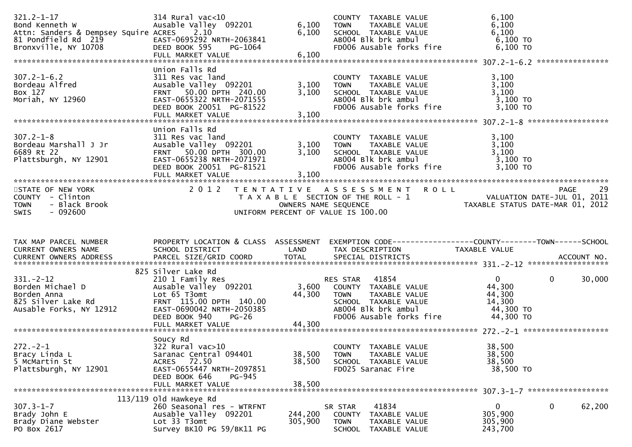| $321.2 - 1 - 17$<br>Bond Kenneth W North States and Senate Assembly<br>Attn: Sanders & Dempsey Squire ACRES 2.10<br>81 Pondfield Rd 219<br>Bronxville, NY 10708 | $314$ Rural vac<10<br>Ausable Valley 092201<br>EAST-0695292 NRTH-2063841<br>DEED BOOK 595<br>PG-1064                                                                | 6,100<br>6,100             | COUNTY TAXABLE VALUE<br>TOWN<br>TAXABLE VALUE<br>SCHOOL TAXABLE VALUE<br>AB004 Blk brk ambul<br>FD006 Ausable forks fire                          | 6,100<br>6,100<br>6,100<br>$6,100$ TO<br>$6,100$ TO                         |                       |
|-----------------------------------------------------------------------------------------------------------------------------------------------------------------|---------------------------------------------------------------------------------------------------------------------------------------------------------------------|----------------------------|---------------------------------------------------------------------------------------------------------------------------------------------------|-----------------------------------------------------------------------------|-----------------------|
| $307.2 - 1 - 6.2$<br>307.2-1-6.2<br>Bordeau Alfred<br>Box 127<br>Moriah, NY 12960                                                                               | Union Falls Rd<br>311 Res vac land<br>Ausable Valley 092201<br>FRNT 50.00 DPTH 240.00<br>EAST-0655322 NRTH-2071555<br>DEED BOOK 20051 PG-81522<br>FULL MARKET VALUE | 3,100<br>3,100<br>3,100    | COUNTY TAXABLE VALUE<br>TAXABLE VALUE<br><b>TOWN</b><br>SCHOOL TAXABLE VALUE<br>ABOO4 Blk brk ambul<br>FD006 Ausable forks fire                   | 3,100<br>3,100<br>3,100<br>$3,100$ TO<br>$3,100$ TO                         |                       |
| $307.2 - 1 - 8$<br>Bordeau Marshall J Jr<br>6689 Rt 22<br>Plattsburgh, NY 12901                                                                                 | Union Falls Rd<br>311 Res vac land<br>Ausable Valley 092201<br>FRNT 50.00 DPTH 300.00<br>EAST-0655238 NRTH-2071971<br>DEED BOOK 20051 PG-81521<br>FULL MARKET VALUE | 3,100<br>3,100<br>3,100    | COUNTY TAXABLE VALUE<br>TAXABLE VALUE<br><b>TOWN</b><br>SCHOOL TAXABLE VALUE<br>AB004 Blk brk ambul<br>FD006 Ausable forks fire                   | 3,100<br>3,100<br>3,100<br>3,100 TO<br>3,100 TO                             |                       |
| STATE OF NEW YORK<br>COUNTY - Clinton<br>- Black Brook<br><b>TOWN</b><br>SWIS<br>- 092600                                                                       | 2 0 1 2                                                                                                                                                             |                            | TENTATIVE ASSESSMENT ROLL<br>T A X A B L E SECTION OF THE ROLL - 1<br>OWNERS NAME SEQUENCE<br>UNIFORM PERCENT OF VALUE IS 100.00                  | ROLL - 1<br>VALUATION DATE-JUL 01, 2011<br>TAXABLE STATUS DATE-MAR 01, 2012 | -29<br>PAGE           |
| TAX MAP PARCEL NUMBER<br>CURRENT OWNERS NAME                                                                                                                    | SCHOOL DISTRICT<br><b>Example 18 The LAND</b>                                                                                                                       |                            | PROPERTY LOCATION & CLASS ASSESSMENT EXEMPTION CODE----------------COUNTY-------TOWN------SCHOOL<br>TAX DESCRIPTION                               | TAXABLE VALUE                                                               |                       |
| $331 - 2 - 12$<br>Borden Michael D<br>Borden Anna<br>825 Silver Lake Rd<br>Ausable Forks, NY 12912                                                              | 825 Silver Lake Rd<br>210 1 Family Res<br>Ausable Valley 092201<br>Lot 65 T3omt<br>FRNT 115.00 DPTH 140.00<br>EAST-0690042 NRTH-2050385<br>DEED BOOK 940<br>$PG-26$ | 44,300                     | RES STAR 41854<br>3,600 COUNTY TAXABLE VALUE<br>TAXABLE VALUE<br>TOWN<br>SCHOOL  TAXABLE VALUE<br>ABOO4 Blk brk ambul<br>FD006 Ausable forks fire | $\overline{0}$<br>44,300<br>44,300<br>14,300<br>44,300 TO<br>44,300 TO      | $\mathbf 0$<br>30,000 |
| $272 - 2 - 1$<br>Bracy Linda L<br>5 McMartin St<br>Plattsburgh, NY 12901                                                                                        | Soucy Rd<br>322 Rural vac>10<br>Saranac Central 094401<br>ACRES 72.50<br>EAST-0655447 NRTH-2097851<br>DEED BOOK 646<br><b>PG-945</b><br>FULL MARKET VALUE           | 38,500<br>38,500<br>38,500 | COUNTY TAXABLE VALUE<br><b>TOWN</b><br>TAXABLE VALUE<br>SCHOOL TAXABLE VALUE<br>FD025 Saranac Fire                                                | 38,500<br>38,500<br>38,500<br>38,500 TO                                     |                       |
| $307.3 - 1 - 7$<br>Brady John E<br>Brady Diane Webster<br>PO Box 2617                                                                                           | $113/119$ Old Hawkeye Rd<br>260 Seasonal res - WTRFNT<br>Ausable Valley 092201<br>Lot 33 T3omt<br>Survey BK10 PG 59/BK11 PG                                         | 244,200<br>305,900         | 41834<br>SR STAR<br>COUNTY TAXABLE VALUE<br>TOWN<br>TAXABLE VALUE<br>SCHOOL<br>TAXABLE VALUE                                                      | 0<br>305,900<br>305,900<br>243,700                                          | 0<br>62,200           |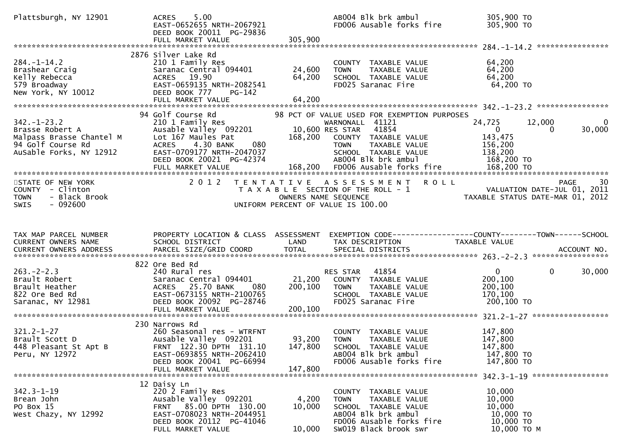| Plattsburgh, NY 12901                            | 5.00<br><b>ACRES</b><br>EAST-0652655 NRTH-2067921<br>DEED BOOK 20011 PG-29836 |                      | AB004 Blk brk ambul<br>FD006 Ausable forks fire                                   | 305,900 TO<br>305,900 TO                                        |                       |
|--------------------------------------------------|-------------------------------------------------------------------------------|----------------------|-----------------------------------------------------------------------------------|-----------------------------------------------------------------|-----------------------|
|                                                  | FULL MARKET VALUE                                                             | 305,900              |                                                                                   |                                                                 |                       |
|                                                  | 2876 Silver Lake Rd                                                           |                      |                                                                                   |                                                                 |                       |
| $284. -1 - 14.2$                                 | 210 1 Family Res                                                              |                      | COUNTY TAXABLE VALUE                                                              | 64,200                                                          |                       |
| Brashear Craig<br>Kelly Rebecca                  | Saranac Central 094401<br>ACRES 19.90                                         | 24,600<br>64,200     | TAXABLE VALUE<br><b>TOWN</b><br>SCHOOL TAXABLE VALUE                              | 64,200<br>64,200                                                |                       |
| 579 Broadway                                     | EAST-0659135 NRTH-2082541                                                     |                      | FD025 Saranac Fire                                                                | 64,200 TO                                                       |                       |
| New York, NY 10012                               | DEED BOOK 777<br>PG-142                                                       |                      |                                                                                   |                                                                 |                       |
|                                                  |                                                                               |                      |                                                                                   |                                                                 |                       |
|                                                  | 94 Golf Course Rd                                                             |                      | 98 PCT OF VALUE USED FOR EXEMPTION PURPOSES                                       |                                                                 |                       |
| $342. - 1 - 23.2$                                | 210 1 Family Res                                                              |                      | WARNONALL 41121<br>WARNONALL 41121<br>168 200 COUNTY                              | 24,725<br>12,000                                                | 0                     |
| Brasse Robert A<br>e1 M                          | Ausable Valley 092201                                                         |                      |                                                                                   | $\overline{0}$                                                  | 30,000<br>0           |
| Malpass Brasse Chantel M                         | Lot 167 Maules Pat                                                            |                      | 168,200 COUNTY TAXABLE VALUE                                                      | 143,475                                                         |                       |
| 94 Golf Course Rd<br>AuSable Forks, NY 12912     | 080<br>4.30 BANK<br><b>ACRES</b><br>EAST-0709177 NRTH-2047037                 |                      | TAXABLE VALUE<br><b>TOWN</b><br>SCHOOL TAXABLE VALUE                              | 156,200<br>138,200                                              |                       |
|                                                  | DEED BOOK 20021 PG-42374                                                      |                      | AB004 Blk brk ambul                                                               | 168,200 TO                                                      |                       |
|                                                  |                                                                               |                      |                                                                                   |                                                                 |                       |
|                                                  |                                                                               |                      |                                                                                   |                                                                 |                       |
| STATE OF NEW YORK                                | 2 0 1 2                                                                       |                      | TENTATIVE ASSESSMENT ROLL                                                         |                                                                 | PAGE<br>30            |
| COUNTY - Clinton<br>- Black Brook<br><b>TOWN</b> |                                                                               | OWNERS NAME SEQUENCE | T A X A B L E SECTION OF THE ROLL - 1                                             | VALUATION DATE-JUL 01, 2011<br>TAXABLE STATUS DATE-MAR 01, 2012 |                       |
| $-092600$<br><b>SWIS</b>                         |                                                                               |                      | UNIFORM PERCENT OF VALUE IS 100.00                                                |                                                                 |                       |
|                                                  |                                                                               |                      |                                                                                   |                                                                 |                       |
|                                                  |                                                                               |                      |                                                                                   |                                                                 |                       |
|                                                  |                                                                               |                      |                                                                                   |                                                                 |                       |
| TAX MAP PARCEL NUMBER                            |                                                                               |                      |                                                                                   |                                                                 |                       |
| CURRENT OWNERS NAME                              | PROPERTY LOCATION & CLASS ASSESSMENT<br>SCHOOL DISTRICT                       | LAND                 | EXEMPTION CODE------------------COUNTY--------TOWN------SCHOOL<br>TAX DESCRIPTION | TAXABLE VALUE                                                   |                       |
|                                                  |                                                                               |                      |                                                                                   |                                                                 |                       |
|                                                  |                                                                               |                      |                                                                                   |                                                                 |                       |
|                                                  | 822 Ore Bed Rd                                                                |                      |                                                                                   |                                                                 |                       |
| $263 - 2 - 2.3$<br>Brault Robert                 | 240 Rural res<br>Saranac Central 094401                                       | 21,200               | RES STAR<br>41854<br>COUNTY TAXABLE VALUE                                         | $\overline{0}$<br>200,100                                       | $\mathbf 0$<br>30,000 |
| Brault Heather                                   | ACRES 25.70 BANK<br>- 080                                                     | 200,100              | <b>TOWN</b><br>TAXABLE VALUE                                                      | 200,100                                                         |                       |
| 822 Ore Bed Rd                                   | EAST-0673155 NRTH-2100765                                                     |                      | SCHOOL TAXABLE VALUE                                                              | 170,100                                                         |                       |
| Saranac, NY 12981                                | DEED BOOK 20092 PG-28746                                                      |                      | FD025 Saranac Fire                                                                | 200,100 TO                                                      |                       |
|                                                  | FULL MARKET VALUE                                                             | 200,100              |                                                                                   |                                                                 |                       |
|                                                  | 230 Narrows Rd                                                                |                      |                                                                                   |                                                                 |                       |
| $321.2 - 1 - 27$                                 | 260 Seasonal res - WTRFNT                                                     |                      | COUNTY TAXABLE VALUE                                                              | 147,800                                                         |                       |
| Brault Scott D                                   | Ausable Valley 092201                                                         | 93,200               | <b>TOWN</b><br>TAXABLE VALUE                                                      | 147,800                                                         |                       |
| 448 Pleasant St Apt B                            | FRNT 122.30 DPTH 131.10                                                       | 147,800              | SCHOOL TAXABLE VALUE                                                              | 147,800                                                         |                       |
| Peru, NY 12972                                   | EAST-0693855 NRTH-2062410<br>DEED BOOK 20041 PG-66994                         |                      | AB004 Blk brk ambul<br>FD006 Ausable forks fire                                   | 147,800 TO<br>147,800 TO                                        |                       |
|                                                  | FULL MARKET VALUE                                                             | 147,800              |                                                                                   |                                                                 |                       |
|                                                  |                                                                               |                      |                                                                                   | 342.3-1-19 ******************                                   |                       |
|                                                  | 12 Daisy Ln                                                                   |                      |                                                                                   |                                                                 |                       |
| $342.3 - 1 - 19$<br>Brean John                   | 220 2 Family Res<br>Ausable Valley 092201                                     | 4,200                | COUNTY TAXABLE VALUE<br>TAXABLE VALUE<br><b>TOWN</b>                              | 10,000<br>10,000                                                |                       |
| PO Box 15                                        | FRNT 85.00 DPTH 130.00                                                        | 10,000               | SCHOOL TAXABLE VALUE                                                              | 10,000                                                          |                       |
| West Chazy, NY 12992                             | EAST-0708023 NRTH-2044951                                                     |                      | AB004 Blk brk ambul                                                               | 10,000 TO                                                       |                       |
|                                                  | DEED BOOK 20112 PG-41046<br>FULL MARKET VALUE                                 | 10,000               | FD006 Ausable forks fire<br>SW019 Black brook swr                                 | 10,000 TO<br>10,000 TO M                                        |                       |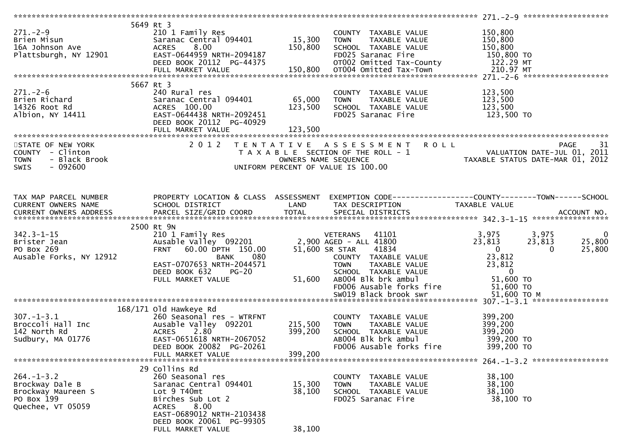|                                                                     | 5649 Rt 3                                                                                              |         |                                                                                                                                |                                                                                                   |                         |
|---------------------------------------------------------------------|--------------------------------------------------------------------------------------------------------|---------|--------------------------------------------------------------------------------------------------------------------------------|---------------------------------------------------------------------------------------------------|-------------------------|
| $271. - 2 - 9$                                                      | 210 1 Family Res                                                                                       |         | COUNTY TAXABLE VALUE                                                                                                           | 150,800                                                                                           |                         |
| 271.-2-9<br>Brien Misun<br>16A Johnson Ave<br>Plattsburgh, NY 12901 | Saranac Central 094401<br>ACRES 8.00 150,800<br>EAST-0644959 NRTH-2094187<br>EAST-0644959 NRTH-2094187 |         | TAXABLE VALUE                                                                                                                  | 150,800                                                                                           |                         |
|                                                                     |                                                                                                        |         | SCHOOL TAXABLE VALUE                                                                                                           | 150,800                                                                                           |                         |
|                                                                     |                                                                                                        |         |                                                                                                                                |                                                                                                   |                         |
|                                                                     |                                                                                                        |         |                                                                                                                                |                                                                                                   |                         |
|                                                                     |                                                                                                        |         |                                                                                                                                |                                                                                                   |                         |
|                                                                     | FULL MARKET VALUE                                                                                      |         | 2094187 FD025 Saranac Fire<br>2150,800 TO02 Omitted Tax-County 122.29 MT<br>210.97 MT 150,800 OT004 Omitted Tax-Town 122.29 MT |                                                                                                   |                         |
|                                                                     |                                                                                                        |         |                                                                                                                                |                                                                                                   |                         |
|                                                                     | 5667 Rt 3                                                                                              |         |                                                                                                                                |                                                                                                   |                         |
| $271 - 2 - 6$                                                       | 240 Rural res                                                                                          |         | COUNTY TAXABLE VALUE                                                                                                           | 123,500                                                                                           |                         |
|                                                                     | Saranac Central 094401 65,000                                                                          |         | <b>TOWN</b><br>TAXABLE VALUE                                                                                                   | 123,500                                                                                           |                         |
|                                                                     | ACRES 100.00                                                                                           | 123,500 | SCHOOL TAXABLE VALUE                                                                                                           | 123,500                                                                                           |                         |
| ∠/1.-∠-∪<br>Brien Richard<br>14326 Root Rd<br>∆lhion. NY 14411      | EAST-0644438 NRTH-2092451                                                                              |         | FD025 Saranac Fire                                                                                                             | 123,500 TO                                                                                        |                         |
|                                                                     | DEED BOOK 20112 PG-40929                                                                               |         |                                                                                                                                |                                                                                                   |                         |
|                                                                     | FULL MARKET VALUE                                                                                      | 123,500 |                                                                                                                                |                                                                                                   |                         |
|                                                                     |                                                                                                        |         |                                                                                                                                |                                                                                                   |                         |
| STATE OF NEW YORK                                                   |                                                                                                        |         | 2012 TENTATIVE ASSESSMENT ROLL                                                                                                 | <b>PAGE</b>                                                                                       | 31                      |
| COUNTY - Clinton                                                    |                                                                                                        |         |                                                                                                                                | T A X A B L E SECTION OF THE ROLL - 1<br>OWNERS NAME SEQUENCE<br>OWNERS NAME SEQUENCE             |                         |
| <b>TOWN</b><br>- Black Brook                                        |                                                                                                        |         |                                                                                                                                |                                                                                                   |                         |
|                                                                     |                                                                                                        |         |                                                                                                                                |                                                                                                   |                         |
| $-092600$<br><b>SWIS</b>                                            |                                                                                                        |         | UNIFORM PERCENT OF VALUE IS 100.00                                                                                             |                                                                                                   |                         |
|                                                                     |                                                                                                        |         |                                                                                                                                |                                                                                                   |                         |
|                                                                     |                                                                                                        |         |                                                                                                                                |                                                                                                   |                         |
|                                                                     |                                                                                                        |         |                                                                                                                                |                                                                                                   |                         |
| TAX MAP PARCEL NUMBER                                               |                                                                                                        |         |                                                                                                                                | PROPERTY LOCATION & CLASS ASSESSMENT EXEMPTION CODE-----------------COUNTY-------TOWN------SCHOOL |                         |
| CURRENT OWNERS NAME                                                 | SCHOOL DISTRICT                                                                                        | LAND    | TAX DESCRIPTION                                                                                                                | TAXABLE VALUE                                                                                     |                         |
|                                                                     |                                                                                                        |         |                                                                                                                                |                                                                                                   |                         |
|                                                                     |                                                                                                        |         |                                                                                                                                |                                                                                                   |                         |
|                                                                     |                                                                                                        |         |                                                                                                                                |                                                                                                   |                         |
|                                                                     | 2500 Rt 9N                                                                                             |         |                                                                                                                                |                                                                                                   |                         |
| $342.3 - 1 - 15$                                                    |                                                                                                        |         |                                                                                                                                | 3,975<br>3,975                                                                                    | $\overline{\mathbf{0}}$ |
| Brister Jean                                                        |                                                                                                        |         |                                                                                                                                |                                                                                                   |                         |
|                                                                     | 210 1 Family Res<br>2,900 AGED - ALL 41800<br>2,900 AGED - ALL 41800<br><b>FRNT</b>                    |         |                                                                                                                                | 23,813<br>25,800<br>23,813<br>$\Omega$                                                            |                         |
| PO Box 269                                                          | 60.00 DPTH 150.00                                                                                      |         | 51,600 SR STAR<br>41834                                                                                                        | $\overline{\mathbf{0}}$<br>25,800                                                                 |                         |
| Ausable Forks, NY 12912                                             | 080<br>BANK                                                                                            |         | COUNTY TAXABLE VALUE                                                                                                           | 23,812                                                                                            |                         |
|                                                                     | EAST-0707653 NRTH-2044571                                                                              |         | <b>TOWN</b><br>TAXABLE VALUE                                                                                                   | 23,812                                                                                            |                         |
|                                                                     | DEED BOOK 632<br><b>PG-20</b>                                                                          |         | SCHOOL TAXABLE VALUE                                                                                                           | $\overline{0}$                                                                                    |                         |
|                                                                     | FULL MARKET VALUE                                                                                      |         | 51,600 AB004 Blk brk ambul                                                                                                     | 51,600 TO                                                                                         |                         |
|                                                                     | $5 - 20$                                                                                               |         | FD006 Ausable forks fire                                                                                                       | 51,600 TO                                                                                         |                         |
|                                                                     |                                                                                                        |         | SW019 Black brook swr                                                                                                          | 51,600 ТО М                                                                                       |                         |
|                                                                     |                                                                                                        |         |                                                                                                                                |                                                                                                   |                         |
|                                                                     | 168/171 old Hawkeye Rd                                                                                 |         |                                                                                                                                |                                                                                                   |                         |
| $307. - 1 - 3.1$                                                    | 260 Seasonal res - WTRFNT                                                                              |         | COUNTY TAXABLE VALUE                                                                                                           | 399,200                                                                                           |                         |
|                                                                     | Ausable Valley 092201                                                                                  | 215,500 | TAXABLE VALUE<br>TOWN                                                                                                          | 399,200                                                                                           |                         |
|                                                                     | ACRES 2.80                                                                                             | 399,200 | SCHOOL TAXABLE VALUE                                                                                                           |                                                                                                   |                         |
| s∪/.-⊥-s.⊥<br>Broccoli Hall Inc<br>142 North Rd                     | EAST-0651618 NRTH-2067052                                                                              |         | AB004 Blk brk ambul                                                                                                            | $399,200$<br>$399,200$<br>399,200 TO                                                              |                         |
| sudbury, MA 01776                                                   | DEED BOOK 20082 PG-20261                                                                               |         |                                                                                                                                |                                                                                                   |                         |
|                                                                     | FULL MARKET VALUE                                                                                      |         | FD006 Ausable forks fire                                                                                                       | 399,200 TO                                                                                        |                         |
|                                                                     |                                                                                                        | 399,200 |                                                                                                                                |                                                                                                   |                         |
|                                                                     |                                                                                                        |         |                                                                                                                                |                                                                                                   |                         |
|                                                                     | 29 Collins Rd                                                                                          |         |                                                                                                                                |                                                                                                   |                         |
| $264. - 1 - 3.2$                                                    | 260 Seasonal res                                                                                       |         | COUNTY TAXABLE VALUE                                                                                                           | 38,100                                                                                            |                         |
| Brockway Dale B                                                     | Saranac Central 094401                                                                                 | 15,300  | TAXABLE VALUE<br><b>TOWN</b>                                                                                                   | 38,100                                                                                            |                         |
| Brockway Maureen S                                                  | Lot 9 T40mt                                                                                            | 38,100  | SCHOOL TAXABLE VALUE                                                                                                           | 38,100                                                                                            |                         |
| PO Box 199                                                          | Birches Sub Lot 2                                                                                      |         | FD025 Saranac Fire                                                                                                             | 38,100 TO                                                                                         |                         |
| Quechee, VT 05059                                                   | 8.00<br><b>ACRES</b>                                                                                   |         |                                                                                                                                |                                                                                                   |                         |
|                                                                     | EAST-0689012 NRTH-2103438                                                                              |         |                                                                                                                                |                                                                                                   |                         |
|                                                                     | DEED BOOK 20061 PG-99305<br>FULL MARKET VALUE                                                          | 38,100  |                                                                                                                                |                                                                                                   |                         |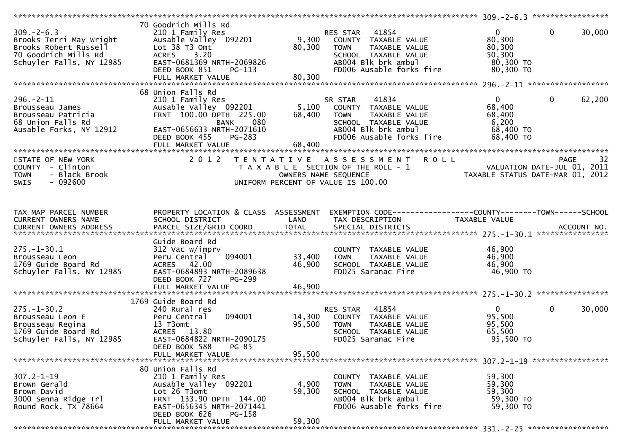|                                                                                                                          |                                                                                                                                                                                              |                            |                                                                                                                                                      |                                                                      | $309 - 2 - 6.3$ ******************                                                   |
|--------------------------------------------------------------------------------------------------------------------------|----------------------------------------------------------------------------------------------------------------------------------------------------------------------------------------------|----------------------------|------------------------------------------------------------------------------------------------------------------------------------------------------|----------------------------------------------------------------------|--------------------------------------------------------------------------------------|
| $309. - 2 - 6.3$<br>Brooks Terri May Wright<br>Brooks Robert Russell<br>70 Goodrich Mills Rd<br>Schuyler Falls, NY 12985 | 70 Goodrich Mills Rd<br>210 1 Family Res<br>Ausable Valley 092201<br>Lot 38 T3 Omt<br>ACRES 3.20<br>EAST-0681369 NRTH-2069826<br>DEED BOOK 851<br>$PG-113$                                   | 9,300<br>80,300            | 41854<br>RES STAR<br>COUNTY TAXABLE VALUE<br>TAXABLE VALUE<br><b>TOWN</b><br>SCHOOL TAXABLE VALUE<br>AB004 Blk brk ambul<br>FD006 Ausable forks fire | $\mathbf{0}$<br>80,300<br>80,300<br>50,300<br>80,300 TO<br>80,300 TO | $\mathbf{0}$<br>30,000                                                               |
|                                                                                                                          |                                                                                                                                                                                              |                            |                                                                                                                                                      |                                                                      |                                                                                      |
| $296. - 2 - 11$<br>Brousseau James<br>Brousseau Patricia<br>68 Union Falls Rd<br>Ausable Forks, NY 12912                 | 68 Union Falls Rd<br>210 1 Family Res<br>Ausable Valley 092201<br>FRNT 100.00 DPTH 225.00<br>080<br>BANK<br>EAST-0656633 NRTH-2071610<br>DEED BOOK 455<br><b>PG-283</b><br>FULL MARKET VALUE | 5,100<br>68,400<br>68,400  | 41834<br>SR STAR<br>COUNTY TAXABLE VALUE<br>TAXABLE VALUE<br>TOWN<br>SCHOOL TAXABLE VALUE<br>AB004 Blk brk ambul<br>FD006 Ausable forks fire         | $\mathbf{0}$<br>68,400<br>68,400<br>6,200<br>68,400 TO<br>68,400 TO  | $\mathbf{0}$<br>62,200                                                               |
|                                                                                                                          | *********************                                                                                                                                                                        |                            |                                                                                                                                                      | **********************************                                   |                                                                                      |
| STATE OF NEW YORK<br>COUNTY - Clinton<br>- Black Brook<br><b>TOWN</b><br>$-092600$<br>SWIS                               | 2 0 1 2                                                                                                                                                                                      | OWNERS NAME SEQUENCE       | TENTATIVE ASSESSMENT<br><b>ROLL</b><br>T A X A B L E SECTION OF THE ROLL - 1<br>UNIFORM PERCENT OF VALUE IS 100.00                                   |                                                                      | 32<br><b>PAGE</b><br>VALUATION DATE-JUL 01, 2011<br>TAXABLE STATUS DATE-MAR 01, 2012 |
| TAX MAP PARCEL NUMBER<br>CURRENT OWNERS NAME                                                                             | PROPERTY LOCATION & CLASS ASSESSMENT<br>SCHOOL DISTRICT                                                                                                                                      | LAND                       | EXEMPTION CODE------------------COUNTY-------TOWN------SCHOOL<br>TAX DESCRIPTION                                                                     | TAXABLE VALUE                                                        |                                                                                      |
| $275. - 1 - 30.1$<br>Brousseau Leon<br>1769 Guide Board Rd<br>Schuyler Falls, NY 12985                                   | Guide Board Rd<br>312 Vac w/imprv<br>094001<br>Peru Central<br>ACRES 42.00<br>EAST-0684893 NRTH-2089638<br>DEED BOOK 727<br>PG-299<br>FULL MARKET VALUE                                      | 33,400<br>46,900<br>46,900 | COUNTY TAXABLE VALUE<br>TAXABLE VALUE<br><b>TOWN</b><br>SCHOOL TAXABLE VALUE<br>FD025 Saranac Fire                                                   | 46,900<br>46,900<br>46,900<br>46,900 TO                              |                                                                                      |
|                                                                                                                          |                                                                                                                                                                                              |                            |                                                                                                                                                      |                                                                      |                                                                                      |
| $275. - 1 - 30.2$<br>Brousseau Leon E<br>Brousseau Regina<br>1769 Guide Board Rd<br>Schuyler Falls, NY 12985             | 1769 Guide Board Rd<br>240 Rural res<br>094001<br>Peru Central<br>13 T3omt<br>ACRES 13.80<br>EAST-0684822 NRTH-2090175<br>DEED BOOK 588<br>$PG-85$                                           | 14,300<br>95,500           | 41854<br>RES STAR<br>COUNTY TAXABLE VALUE<br>TAXABLE VALUE<br><b>TOWN</b><br>SCHOOL TAXABLE VALUE<br>FD025 Saranac Fire                              | $\mathbf{0}$<br>95,500<br>95,500<br>65,500<br>95,500 TO              | 30,000<br>$\mathbf{0}$                                                               |
|                                                                                                                          | FULL MARKET VALUE                                                                                                                                                                            | 95,500                     |                                                                                                                                                      |                                                                      |                                                                                      |
| $307.2 - 1 - 19$<br>Brown Gerald<br>Brown David<br>3000 Senna Ridge Trl<br>Round Rock, TX 78664                          | 80 Union Falls Rd<br>210 1 Family Res<br>Ausable Valley 092201<br>Lot 26 T3omt<br>FRNT 133.90 DPTH 144.00<br>EAST-0656345 NRTH-2071441<br>PG-158<br>DEED BOOK 626<br>FULL MARKET VALUE       | 4,900<br>59,300<br>59,300  | COUNTY TAXABLE VALUE<br>TAXABLE VALUE<br><b>TOWN</b><br>SCHOOL TAXABLE VALUE<br>AB004 Blk brk ambul<br>FD006 Ausable forks fire                      | 59,300<br>59,300<br>59,300<br>59,300 TO<br>59,300 TO                 |                                                                                      |
|                                                                                                                          |                                                                                                                                                                                              |                            |                                                                                                                                                      |                                                                      |                                                                                      |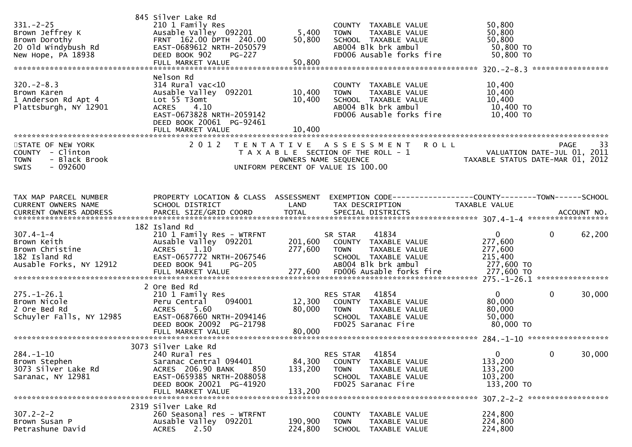| $331. - 2 - 25$<br>Brown Jeffrey K<br>Brown Dorothy<br>20 Old Windybush Rd<br>New Hope, PA 18938            | 845 Silver Lake Rd<br>210 1 Family Res<br>Ausable Valley 092201<br>FRNT 162.00 DPTH 240.00<br>EAST-0689612 NRTH-2050579<br>DEED BOOK 902<br><b>PG-227</b><br>FULL MARKET VALUE    | 5,400<br>50,800<br>50,800    | COUNTY TAXABLE VALUE<br><b>TOWN</b><br>TAXABLE VALUE<br>SCHOOL TAXABLE VALUE<br>AB004 Blk brk ambul<br>FD006 Ausable forks fire           | 50,800<br>50,800<br>50,800<br>50,800 TO<br>50,800 TO            | *****************                                |
|-------------------------------------------------------------------------------------------------------------|-----------------------------------------------------------------------------------------------------------------------------------------------------------------------------------|------------------------------|-------------------------------------------------------------------------------------------------------------------------------------------|-----------------------------------------------------------------|--------------------------------------------------|
| $320 - 2 - 8.3$<br>Brown Karen<br>1 Anderson Rd Apt 4<br>Plattsburgh, NY 12901<br>************************* | Nelson Rd<br>$314$ Rural vac< $10$<br>Ausable Valley 092201<br>Lot 55 T3omt<br><b>ACRES</b><br>4.10<br>EAST-0673828 NRTH-2059142<br>DEED BOOK 20061 PG-92461<br>FULL MARKET VALUE | 10,400<br>10,400<br>10,400   | COUNTY TAXABLE VALUE<br><b>TOWN</b><br>TAXABLE VALUE<br>SCHOOL TAXABLE VALUE<br>AB004 Blk brk ambul<br>FD006 Ausable forks fire           | 10,400<br>10,400<br>10,400<br>10,400 TO<br>10,400 TO            |                                                  |
| STATE OF NEW YORK<br>COUNTY - Clinton<br><b>TOWN</b><br>- Black Brook<br>$-092600$<br><b>SWIS</b>           | 2 0 1 2                                                                                                                                                                           | T E N T A T I V E            | A S S E S S M E N T<br><b>ROLL</b><br>T A X A B L E SECTION OF THE ROLL - 1<br>OWNERS NAME SEQUENCE<br>UNIFORM PERCENT OF VALUE IS 100.00 | VALUATION DATE-JUL 01, 2011<br>TAXABLE STATUS DATE-MAR 01, 2012 | <b>PAGE</b><br>33<br>VALUATION DATE-JUL 01, 2011 |
| TAX MAP PARCEL NUMBER<br>CURRENT OWNERS NAME                                                                | PROPERTY LOCATION & CLASS ASSESSMENT<br>SCHOOL DISTRICT                                                                                                                           | LAND                         | EXEMPTION CODE-----------------COUNTY--------TOWN------SCHOOL<br>TAX DESCRIPTION                                                          | TAXABLE VALUE                                                   |                                                  |
| $307.4 - 1 - 4$<br>Brown Keith<br>Brown Christine<br>182 Island Rd<br>Ausable Forks, NY 12912               | 182 Island Rd<br>210 1 Family Res - WTRFNT<br>Ausable Valley 092201<br>1.10<br><b>ACRES</b><br>EAST-0657772 NRTH-2067546<br>DEED BOOK 941<br><b>PG-205</b>                        | 201,600<br>277,600           | 41834<br>SR STAR<br>COUNTY TAXABLE VALUE<br><b>TOWN</b><br>TAXABLE VALUE<br>SCHOOL TAXABLE VALUE<br>AB004 Blk brk ambul                   | $\mathbf{0}$<br>277,600<br>277,600<br>215,400<br>277,600 TO     | $\mathbf 0$<br>62,200                            |
| $275. - 1 - 26.1$<br>Brown Nicole<br>2 Ore Bed Rd<br>Schuyler Falls, NY 12985                               | 2 Ore Bed Rd<br>210 1 Family Res<br>094001<br>Peru Central<br>5.60<br>ACRES<br>EAST-0687660 NRTH-2094146<br>DEED BOOK 20092 PG-21798                                              | 12,300<br>80,000             | 41854<br>RES STAR<br>COUNTY TAXABLE VALUE<br><b>TOWN</b><br>TAXABLE VALUE<br>SCHOOL TAXABLE VALUE<br>FD025 Saranac Fire                   | $\mathbf{0}$<br>80,000<br>80,000<br>50,000<br>80,000 TO         | $\mathbf 0$<br>30,000                            |
| $284. - 1 - 10$<br>Brown Stephen<br>3073 Silver Lake Rd<br>Saranac, NY 12981                                | 3073 Silver Lake Rd<br>240 Rural res<br>Saranac Central 094401<br>ACRES 206.90 BANK<br>850<br>EAST-0659385 NRTH-2088058<br>DEED BOOK 20021 PG-41920<br>FULL MARKET VALUE          | 84,300<br>133,200<br>133,200 | 41854<br><b>RES STAR</b><br>COUNTY<br>TAXABLE VALUE<br><b>TOWN</b><br>TAXABLE VALUE<br>SCHOOL TAXABLE VALUE<br>FD025 Saranac Fire         | $\mathbf 0$<br>133,200<br>133,200<br>103,200<br>133,200 TO      | 0<br>30,000                                      |
| $307.2 - 2 - 2$<br>Brown Susan P<br>Petrashune David                                                        | 2319 Silver Lake Rd<br>260 Seasonal res - WTRFNT<br>Ausable Valley 092201<br>2.50<br><b>ACRES</b>                                                                                 | 190,900<br>224,800           | COUNTY<br>TAXABLE VALUE<br><b>TOWN</b><br>TAXABLE VALUE<br><b>SCHOOL</b><br>TAXABLE VALUE                                                 | 224,800<br>224,800<br>224,800                                   | 307.2-2-2 *******************                    |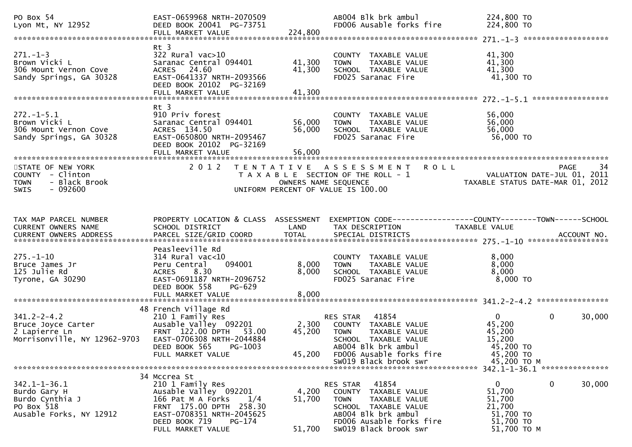| PO Box 54<br>Lyon Mt, NY 12952                                                                 | EAST-0659968 NRTH-2070509<br>DEED BOOK 20041 PG-73751<br>FULL MARKET VALUE                                                                                               | 224,800                    | AB004 Blk brk ambul<br>FD006 Ausable forks fire                                                                                                                                         | 224,800 TO<br>224,800 TO                                                              |                   |
|------------------------------------------------------------------------------------------------|--------------------------------------------------------------------------------------------------------------------------------------------------------------------------|----------------------------|-----------------------------------------------------------------------------------------------------------------------------------------------------------------------------------------|---------------------------------------------------------------------------------------|-------------------|
|                                                                                                |                                                                                                                                                                          |                            |                                                                                                                                                                                         |                                                                                       |                   |
| $271. - 1 - 3$<br>Brown Vicki L<br>306 Mount Vernon Cove<br>Sandy Springs, GA 30328            | Rt 3<br>$322$ Rural vac $>10$<br>Saranac Central 094401<br>ACRES 24.60<br>EAST-0641337 NRTH-2093566<br>DEED BOOK 20102 PG-32169<br>FULL MARKET VALUE                     | 41,300<br>41,300<br>41,300 | COUNTY TAXABLE VALUE<br>TAXABLE VALUE<br><b>TOWN</b><br>SCHOOL TAXABLE VALUE<br>FD025 Saranac Fire                                                                                      | 41,300<br>41,300<br>41,300<br>41,300 TO                                               |                   |
|                                                                                                | Rt 3                                                                                                                                                                     |                            |                                                                                                                                                                                         |                                                                                       |                   |
| $272. -1 - 5.1$<br>Brown Vicki L<br>306 Mount Vernon Cove<br>Sandy Springs, GA 30328           | 910 Priv forest<br>Saranac Central 094401<br>ACRES 134.50<br>EAST-0650800 NRTH-2095467<br>DEED BOOK 20102 PG-32169                                                       | 56,000<br>56,000           | COUNTY TAXABLE VALUE<br>TAXABLE VALUE<br><b>TOWN</b><br>SCHOOL TAXABLE VALUE<br>FD025 Saranac Fire                                                                                      | 56,000<br>56,000<br>56,000<br>56,000 TO                                               |                   |
|                                                                                                |                                                                                                                                                                          |                            |                                                                                                                                                                                         |                                                                                       |                   |
| STATE OF NEW YORK<br>COUNTY - Clinton<br>- Black Brook<br><b>TOWN</b><br>SWIS<br>- 092600      | 2 0 1 2                                                                                                                                                                  | OWNERS NAME SEQUENCE       | TENTATIVE ASSESSMENT<br><b>ROLL</b><br>T A X A B L E SECTION OF THE ROLL - 1<br>UNIFORM PERCENT OF VALUE IS 100.00                                                                      | VALUATION DATE-JUL 01, 2011<br>TAXABLE STATUS DATE-MAR 01, 2012                       | <b>PAGE</b><br>34 |
|                                                                                                |                                                                                                                                                                          |                            |                                                                                                                                                                                         |                                                                                       |                   |
| TAX MAP PARCEL NUMBER<br>CURRENT OWNERS NAME                                                   | PROPERTY LOCATION & CLASS ASSESSMENT<br>SCHOOL DISTRICT                                                                                                                  | LAND                       | EXEMPTION CODE-----------------COUNTY-------TOWN------SCHOOL<br>TAX DESCRIPTION                                                                                                         | TAXABLE VALUE                                                                         |                   |
|                                                                                                | Peasleeville Rd                                                                                                                                                          |                            |                                                                                                                                                                                         |                                                                                       |                   |
| $275. - 1 - 10$<br>Bruce James Jr<br>125 Julie Rd<br>Tyrone, GA 30290                          | $314$ Rural vac<10<br>094001<br>Peru Central<br>8.30<br>ACRES<br>EAST-0691187 NRTH-2096752<br>DEED BOOK 558<br><b>PG-629</b>                                             | 8,000<br>8,000             | COUNTY TAXABLE VALUE<br><b>TOWN</b><br>TAXABLE VALUE<br>SCHOOL TAXABLE VALUE<br>FD025 Saranac Fire                                                                                      | 8,000<br>8,000<br>8,000<br>$8,000$ TO                                                 |                   |
|                                                                                                | FULL MARKET VALUE                                                                                                                                                        | 8,000                      |                                                                                                                                                                                         |                                                                                       |                   |
|                                                                                                | 48 French Village Rd                                                                                                                                                     |                            |                                                                                                                                                                                         |                                                                                       |                   |
| $341.2 - 2 - 4.2$<br>Bruce Joyce Carter<br>2 Lapierre Ln<br>Morrisonville, NY 12962-9703       | 210 1 Family Res<br>Ausable Valley 092201<br>FRNT 122.00 DPTH<br>53.00<br>EAST-0706308 NRTH-2044884<br>DEED BOOK 565<br>PG-1003<br>FULL MARKET VALUE                     | 2,300<br>45,200<br>45,200  | 41854<br><b>RES STAR</b><br>TAXABLE VALUE<br>COUNTY<br><b>TOWN</b><br>TAXABLE VALUE<br>SCHOOL TAXABLE VALUE<br>AB004 Blk brk ambul<br>FD006 Ausable forks fire<br>SW019 Black brook swr | $\overline{0}$<br>45,200<br>45,200<br>15,200<br>45,200 TO<br>45,200 TO<br>45,200 TO M | 0<br>30,000       |
|                                                                                                |                                                                                                                                                                          |                            |                                                                                                                                                                                         |                                                                                       |                   |
| $342.1 - 1 - 36.1$<br>Burdo Gary H<br>Burdo Cynthia J<br>PO Box 518<br>Ausable Forks, NY 12912 | 34 Mccrea St<br>210 1 Family Res<br>Ausable Valley 092201<br>166 Pat M A Forks<br>1/4<br>FRNT 175.00 DPTH 258.30<br>EAST-0708351 NRTH-2045625<br>DEED BOOK 719<br>PG-174 | 4,200<br>51,700            | 41854<br>RES STAR<br>TAXABLE VALUE<br><b>COUNTY</b><br><b>TOWN</b><br>TAXABLE VALUE<br>SCHOOL TAXABLE VALUE<br>AB004 Blk brk ambul<br>FD006 Ausable forks fire                          | 0<br>0<br>51,700<br>51,700<br>21,700<br>51,700 TO<br>51,700 TO                        | 30,000            |
|                                                                                                | FULL MARKET VALUE                                                                                                                                                        | 51,700                     | SW019 Black brook swr                                                                                                                                                                   | 51,700 TO M                                                                           |                   |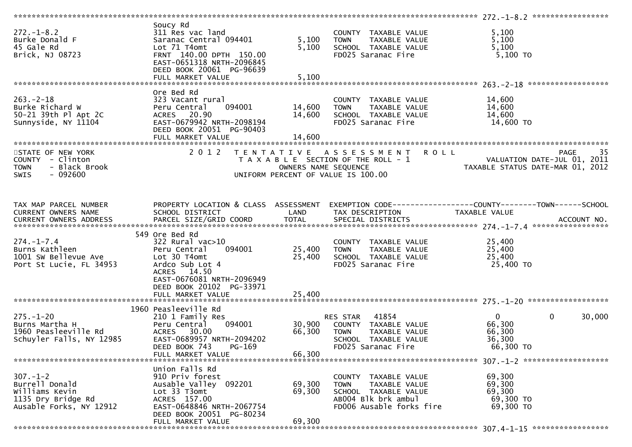| $272. - 1 - 8.2$<br>Burke Donald F<br>45 Gale Rd<br>Brick, NJ 08723                                 | Soucy Rd<br>311 Res vac land<br>Saranac Central 094401<br>Lot 71 T4omt<br>FRNT 140.00 DPTH 150.00<br>EAST-0651318 NRTH-2096845<br>DEED BOOK 20061 PG-96639                                        | 5,100<br>5,100             | COUNTY TAXABLE VALUE<br><b>TOWN</b><br>TAXABLE VALUE<br>SCHOOL TAXABLE VALUE<br>FD025 Saranac Fire                                 | 5,100<br>5,100<br>5,100<br>$5,100$ TO                           |                        |
|-----------------------------------------------------------------------------------------------------|---------------------------------------------------------------------------------------------------------------------------------------------------------------------------------------------------|----------------------------|------------------------------------------------------------------------------------------------------------------------------------|-----------------------------------------------------------------|------------------------|
|                                                                                                     | FULL MARKET VALUE                                                                                                                                                                                 | 5,100                      |                                                                                                                                    |                                                                 |                        |
| $263 - 2 - 18$<br>Burke Richard W<br>50-21 39th Pl Apt 2C<br>Sunnyside, NY 11104                    | Ore Bed Rd<br>323 Vacant rural<br>094001<br>Peru Central<br>ACRES 20.90<br>EAST-0679942 NRTH-2098194<br>DEED BOOK 20051 PG-90403<br>FULL MARKET VALUE                                             | 14,600<br>14,600<br>14,600 | COUNTY TAXABLE VALUE<br>TAXABLE VALUE<br><b>TOWN</b><br>SCHOOL TAXABLE VALUE<br>FD025 Saranac Fire                                 | 14,600<br>14,600<br>14,600<br>14,600 TO                         |                        |
|                                                                                                     |                                                                                                                                                                                                   |                            |                                                                                                                                    |                                                                 |                        |
| STATE OF NEW YORK<br>COUNTY - Clinton<br>- Black Brook<br><b>TOWN</b><br>$-092600$<br><b>SWIS</b>   | 2 0 1 2                                                                                                                                                                                           | OWNERS NAME SEQUENCE       | TENTATIVE ASSESSMENT<br><b>ROLL</b><br>T A X A B L E SECTION OF THE ROLL - 1<br>UNIFORM PERCENT OF VALUE IS 100.00                 | VALUATION DATE-JUL 01, 2011<br>TAXABLE STATUS DATE-MAR 01, 2012 | 35<br>PAGE             |
| TAX MAP PARCEL NUMBER<br>CURRENT OWNERS NAME                                                        | PROPERTY LOCATION & CLASS ASSESSMENT<br>SCHOOL DISTRICT                                                                                                                                           | LAND                       | EXEMPTION CODE------------------COUNTY--------TOWN------SCHOOL<br>TAX DESCRIPTION                                                  | TAXABLE VALUE                                                   |                        |
| $274. - 1 - 7.4$<br>Burns Kathleen<br>1001 SW Bellevue Ave<br>Port St Lucie, FL 34953               | 549 Ore Bed Rd<br>$322$ Rural vac $>10$<br>094001<br>Peru Central<br>Lot 30 T4omt<br>Ardco Sub Lot 4<br>ACRES 14.50<br>EAST-0676081 NRTH-2096949<br>DEED BOOK 20102 PG-33971<br>FULL MARKET VALUE | 25,400<br>25,400<br>25,400 | COUNTY TAXABLE VALUE<br><b>TOWN</b><br>TAXABLE VALUE<br>SCHOOL TAXABLE VALUE<br>FD025 Saranac Fire                                 | 25,400<br>25,400<br>25,400<br>25,400 TO                         |                        |
|                                                                                                     |                                                                                                                                                                                                   |                            |                                                                                                                                    |                                                                 |                        |
| $275. - 1 - 20$<br>Burns Martha H<br>1960 Peasleeville Rd<br>Schuyler Falls, NY 12985               | 1960 Peasleeville Rd<br>210 1 Family Res<br>094001<br>Peru Central<br>ACRES 30.00<br>EAST-0689957 NRTH-2094202<br>DEED BOOK 743<br>PG-169<br>FULL MARKET VALUE                                    | 30,900<br>66,300<br>66,300 | 41854<br>RES STAR<br>COUNTY TAXABLE VALUE<br><b>TOWN</b><br>TAXABLE VALUE<br>SCHOOL TAXABLE VALUE<br>FD025 Saranac Fire            | $\overline{0}$<br>66,300<br>66,300<br>36,300<br>66,300 TO       | 30,000<br>$\mathbf{0}$ |
| $307. - 1 - 2$<br>Burrell Donald<br>Williams Kevin<br>1135 Dry Bridge Rd<br>Ausable Forks, NY 12912 | Union Falls Rd<br>910 Priv forest<br>Ausable Valley 092201<br>Lot 33 T3omt<br>ACRES 157.00<br>EAST-0648846 NRTH-2067754<br>DEED BOOK 20051 PG-80234<br>FULL MARKET VALUE                          | 69,300<br>69,300<br>69,300 | COUNTY<br>TAXABLE VALUE<br>TAXABLE VALUE<br><b>TOWN</b><br>SCHOOL TAXABLE VALUE<br>AB004 Blk brk ambul<br>FD006 Ausable forks fire | 69,300<br>69,300<br>69,300<br>69,300 TO<br>69,300 TO            |                        |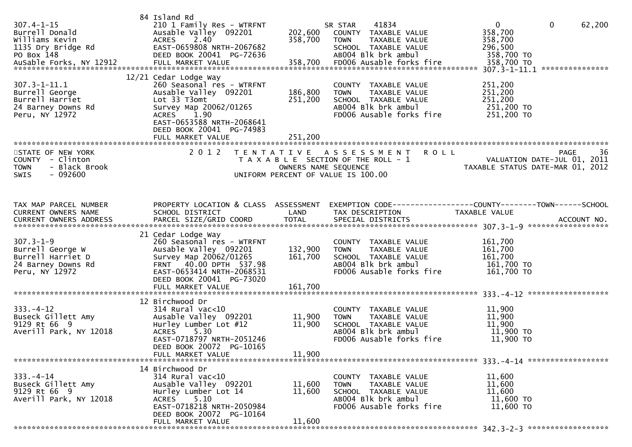| $307.4 - 1 - 15$<br>Burrell Donald<br>Williams Kevin<br>1135 Dry Bridge Rd<br>PO Box 148         | 84 Island Rd<br>210 1 Family Res - WTRFNT<br>Ausable Valley 092201<br>ACRES 2.40<br>EAST-0659808 NRTH-2067682<br>DEED BOOK 20041 PG-72636                                                                                   | 202,600<br>358,700                        | 41834<br>SR STAR<br>COUNTY TAXABLE VALUE<br>TAXABLE VALUE<br><b>TOWN</b><br>SCHOOL TAXABLE VALUE<br>AB004 Blk brk ambul         | $\overline{0}$<br>358,700<br>358,700<br>296,500<br>358,700 TO | $\mathbf 0$<br>62,200                            |
|--------------------------------------------------------------------------------------------------|-----------------------------------------------------------------------------------------------------------------------------------------------------------------------------------------------------------------------------|-------------------------------------------|---------------------------------------------------------------------------------------------------------------------------------|---------------------------------------------------------------|--------------------------------------------------|
| $307.3 - 1 - 11.1$<br>Burrell George<br>Burrell Harriet<br>24 Barney Downs Rd<br>Peru, NY 12972  | 12/21 Cedar Lodge Way<br>260 Seasonal res - WTRFNT<br>Ausable Valley 092201<br>Lot 33 T3omt<br>Survey Map 20062/01265<br>1.90<br><b>ACRES</b><br>EAST-0653588 NRTH-2068641<br>DEED BOOK 20041 PG-74983<br>FULL MARKET VALUE | 186,800<br>251,200<br>251,200             | COUNTY TAXABLE VALUE<br>TAXABLE VALUE<br><b>TOWN</b><br>SCHOOL TAXABLE VALUE<br>ABOO4 Blk brk ambul<br>FD006 Ausable forks fire | 251,200<br>251,200<br>251,200<br>251,200 TO<br>251,200 TO     |                                                  |
| STATE OF NEW YORK<br>COUNTY - Clinton<br>- Black Brook<br><b>TOWN</b><br>- 092600<br>SWIS        | 2 0 1 2                                                                                                                                                                                                                     | T E N T A T I V E<br>OWNERS NAME SEQUENCE | <b>ROLL</b><br>A S S E S S M E N T<br>T A X A B L E SECTION OF THE ROLL - 1<br>UNIFORM PERCENT OF VALUE IS 100.00               | TAXABLE STATUS DATE-MAR 01, 2012                              | 36<br><b>PAGE</b><br>VALUATION DATE-JUL 01, 2011 |
| TAX MAP PARCEL NUMBER<br>CURRENT OWNERS NAME<br>CURRENT OWNERS ADDRESS                           | PROPERTY LOCATION & CLASS ASSESSMENT<br>SCHOOL DISTRICT                                                                                                                                                                     | LAND                                      | TAX DESCRIPTION                                                                                                                 | TAXABLE VALUE                                                 |                                                  |
| $307.3 - 1 - 9$<br>Burrell George W<br>Burrell Harriet D<br>24 Barney Downs Rd<br>Peru, NY 12972 | 21 Cedar Lodge Way<br>260 Seasonal res - WTRFNT<br>Ausable Valley 092201<br>Survey Map 20062/01265<br>FRNT 40.00 DPTH 537.98<br>EAST-0653414 NRTH-2068531<br>DEED BOOK 20041 PG-73020                                       | 132,900<br>161,700                        | COUNTY TAXABLE VALUE<br>TAXABLE VALUE<br><b>TOWN</b><br>SCHOOL TAXABLE VALUE<br>AB004 Blk brk ambul<br>FD006 Ausable forks fire | 161,700<br>161,700<br>161,700<br>161,700 TO<br>161,700 TO     |                                                  |
|                                                                                                  |                                                                                                                                                                                                                             |                                           |                                                                                                                                 |                                                               |                                                  |
| $333. - 4 - 12$<br>Buseck Gillett Amy<br>9129 Rt 66 9<br>Averill Park, NY 12018                  | 12 Birchwood Dr<br>$314$ Rural vac<10<br>Ausable Valley 092201<br>Hurley Lumber Lot #12<br><b>ACRES</b><br>5.30<br>EAST-0718797 NRTH-2051246<br>DEED BOOK 20072 PG-10165<br>FULL MARKET VALUE                               | 11,900<br>11,900<br>11,900                | COUNTY TAXABLE VALUE<br>TAXABLE VALUE<br><b>TOWN</b><br>SCHOOL TAXABLE VALUE<br>AB004 Blk brk ambul<br>FD006 Ausable forks fire | 11,900<br>11,900<br>11,900<br>11,900 TO<br>11,900 TO          |                                                  |
| $333. - 4 - 14$<br>Buseck Gillett Amy<br>9129 Rt 66 9<br>Averill Park, NY 12018                  | 14 Birchwood Dr<br>$314$ Rural vac<10<br>Ausable Valley 092201<br>Hurley Lumber Lot 14<br>5.10<br>ACRES<br>EAST-0718218 NRTH-2050984<br>DEED BOOK 20072 PG-10164<br>FULL MARKET VALUE                                       | 11,600<br>11,600<br>11,600                | COUNTY TAXABLE VALUE<br>TAXABLE VALUE<br>TOWN<br>SCHOOL TAXABLE VALUE<br>AB004 Blk brk ambul<br>FD006 Ausable forks fire        | 11,600<br>11,600<br>11,600<br>11,600 TO<br>11,600 TO          |                                                  |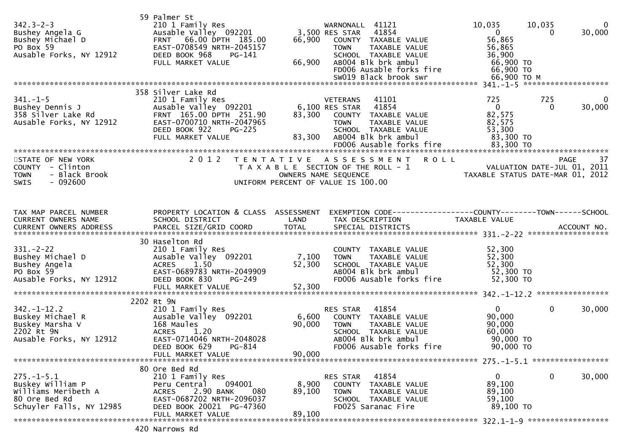| $342.3 - 2 - 3$<br>Bushey Angela G<br>Bushey Michael D<br>PO Box 59<br>Ausable Forks, NY 12912           | 59 Palmer St<br>210 1 Family Res<br>Ausable Valley 092201<br>66.00 DPTH 185.00<br><b>FRNT</b><br>EAST-0708549 NRTH-2045157<br>DEED BOOK 968<br>PG-141<br>FULL MARKET VALUE | 66,900<br>66,900          | WARNONALL 41121<br>3,500 RES STAR<br>41854<br>COUNTY TAXABLE VALUE<br><b>TOWN</b><br>TAXABLE VALUE<br>SCHOOL TAXABLE VALUE<br>AB004 Blk brk ambul<br>FD006 Ausable forks fire<br>SW019 Black brook swr | 10,035<br>$\mathbf{0}$<br>56,865<br>56,865<br>36,900<br>66,900 TO<br>66,900 TO<br>66,900 ТО М | 10,035<br>30,000<br>0                      | $\mathbf 0$ |
|----------------------------------------------------------------------------------------------------------|----------------------------------------------------------------------------------------------------------------------------------------------------------------------------|---------------------------|--------------------------------------------------------------------------------------------------------------------------------------------------------------------------------------------------------|-----------------------------------------------------------------------------------------------|--------------------------------------------|-------------|
|                                                                                                          | 358 Silver Lake Rd                                                                                                                                                         |                           |                                                                                                                                                                                                        |                                                                                               |                                            |             |
| $341 - 1 - 5$<br>Bushey Dennis J<br>358 Silver Lake Rd<br>Ausable Forks, NY 12912                        | 210 1 Family Res<br>Ausable Valley 092201<br>FRNT 165.00 DPTH 251.90<br>EAST-0700710 NRTH-2047965<br>DEED BOOK 922<br>$PG-225$<br>FULL MARKET VALUE                        | 83,300<br>83,300          | 41101<br><b>VETERANS</b><br>6,100 RES STAR<br>41854<br>COUNTY TAXABLE VALUE<br><b>TOWN</b><br>TAXABLE VALUE<br>SCHOOL TAXABLE VALUE<br>AB004 Blk brk ambul                                             | 725<br>$\mathbf{0}$<br>82,575<br>82,575<br>53,300<br>83,300 TO                                | 725<br>30,000<br>$\Omega$                  | 0           |
|                                                                                                          |                                                                                                                                                                            |                           | FD006 Ausable forks fire                                                                                                                                                                               | 83,300 TO                                                                                     |                                            |             |
| STATE OF NEW YORK<br>COUNTY - Clinton<br>- Black Brook<br><b>TOWN</b><br><b>SWIS</b><br>$-092600$        | 2 0 1 2                                                                                                                                                                    | OWNERS NAME SEQUENCE      | TENTATIVE ASSESSMENT<br><b>ROLL</b><br>T A X A B L E SECTION OF THE ROLL - 1<br>UNIFORM PERCENT OF VALUE IS 100.00                                                                                     | TAXABLE STATUS DATE-MAR 01, 2012                                                              | <b>PAGE</b><br>VALUATION DATE-JUL 01, 2011 | 37          |
| TAX MAP PARCEL NUMBER                                                                                    | PROPERTY LOCATION & CLASS ASSESSMENT                                                                                                                                       |                           | EXEMPTION CODE------------------COUNTY--------TOWN------SCHOOL                                                                                                                                         |                                                                                               |                                            |             |
| CURRENT OWNERS NAME                                                                                      | SCHOOL DISTRICT                                                                                                                                                            | LAND                      | TAX DESCRIPTION                                                                                                                                                                                        | <b>TAXABLE VALUE</b>                                                                          |                                            |             |
|                                                                                                          | 30 Haselton Rd                                                                                                                                                             |                           |                                                                                                                                                                                                        |                                                                                               |                                            |             |
| $331 - 2 - 22$<br>Bushey Michael D<br>Bushey Angela<br>PO Box 59<br>Ausable Forks, NY 12912              | 210 1 Family Res<br>Ausable Valley 092201<br><b>ACRES</b><br>1.50<br>EAST-0689783 NRTH-2049909<br>DEED BOOK 830<br>PG-249                                                  | 7,100<br>52,300           | COUNTY TAXABLE VALUE<br>TAXABLE VALUE<br><b>TOWN</b><br>SCHOOL TAXABLE VALUE<br>AB004 Blk brk ambul<br>FD006 Ausable forks fire                                                                        | 52,300<br>52,300<br>52,300<br>52,300 TO<br>52,300 TO                                          |                                            |             |
|                                                                                                          |                                                                                                                                                                            |                           |                                                                                                                                                                                                        |                                                                                               |                                            |             |
| $342. - 1 - 12.2$                                                                                        | 2202 Rt 9N<br>210 1 Family Res                                                                                                                                             |                           | 41854<br>RES STAR                                                                                                                                                                                      | $\overline{0}$                                                                                | $\mathbf 0$<br>30,000                      |             |
| Buskey Michael R<br>Buskey Marsha V<br>2202 Rt 9N<br>Ausable Forks, NY 12912                             | Ausable Valley 092201<br>168 Maules<br><b>ACRES</b><br>1.20<br>EAST-0714046 NRTH-2048028<br>DEED BOOK 629<br>PG-814                                                        | 6,600<br>90,000           | COUNTY TAXABLE VALUE<br>TAXABLE VALUE<br><b>TOWN</b><br>SCHOOL TAXABLE VALUE<br>AB004 Blk brk ambul<br>FD006 Ausable forks fire                                                                        | 90,000<br>90,000<br>60,000<br>90,000 TO<br>90,000 TO                                          |                                            |             |
|                                                                                                          | FULL MARKET VALUE                                                                                                                                                          | 90,000                    |                                                                                                                                                                                                        |                                                                                               |                                            |             |
|                                                                                                          | 80 Ore Bed Rd                                                                                                                                                              |                           |                                                                                                                                                                                                        |                                                                                               |                                            |             |
| $275. - 1 - 5.1$<br>Buskey William P<br>Williams Meribeth A<br>80 Ore Bed Rd<br>Schuyler Falls, NY 12985 | 210 1 Family Res<br>094001<br>Peru Central<br>2.90 BANK<br><b>ACRES</b><br>080<br>EAST-0687202 NRTH-2096037<br>DEED BOOK 20021 PG-47360<br>FULL MARKET VALUE               | 8,900<br>89,100<br>89,100 | RES STAR<br>41854<br>COUNTY TAXABLE VALUE<br>TAXABLE VALUE<br><b>TOWN</b><br>SCHOOL TAXABLE VALUE<br>FD025 Saranac Fire                                                                                | 0<br>89,100<br>89,100<br>59,100<br>89,100 TO                                                  | 0<br>30,000                                |             |
|                                                                                                          |                                                                                                                                                                            |                           |                                                                                                                                                                                                        |                                                                                               |                                            |             |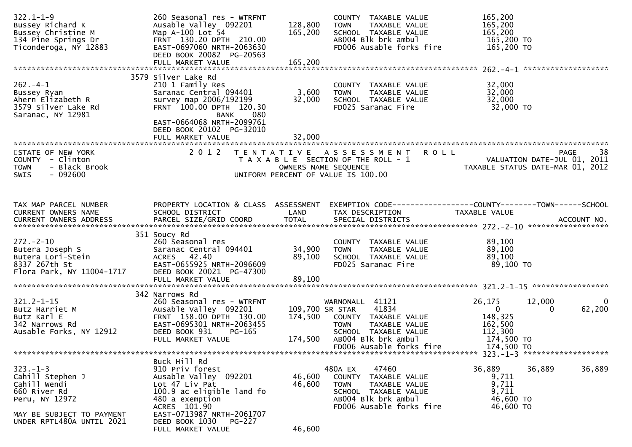| $322.1 - 1 - 9$<br>Bussey Richard K<br>Bussey Christine M<br>134 Pine Springs Dr<br>Ticonderoga, NY 12883        | 260 Seasonal res - WTRFNT<br>Ausable Valley 092201<br>Map A-100 Lot 54<br>FRNT 130.20 DPTH 210.00<br>EAST-0697060 NRTH-2063630<br>DEED BOOK 20082 PG-20563<br>FULL MARKET VALUE                     | 128,800<br>165,200<br>165,200 | COUNTY TAXABLE VALUE<br>TAXABLE VALUE<br><b>TOWN</b><br>SCHOOL TAXABLE VALUE<br>AB004 Blk brk ambul<br>FD006 Ausable forks fire                     | 165,200<br>165,200<br>165,200<br>165,200 TO<br>165,200 TO                                   |                       |
|------------------------------------------------------------------------------------------------------------------|-----------------------------------------------------------------------------------------------------------------------------------------------------------------------------------------------------|-------------------------------|-----------------------------------------------------------------------------------------------------------------------------------------------------|---------------------------------------------------------------------------------------------|-----------------------|
|                                                                                                                  | 3579 Silver Lake Rd                                                                                                                                                                                 |                               |                                                                                                                                                     |                                                                                             |                       |
| $262 - 4 - 1$<br>Bussey Ryan<br>Ahern Elizabeth R<br>3579 Silver Lake Rd<br>Saranac, NY 12981                    | 210 1 Family Res<br>Saranac Central 094401<br>survey map 2006/192199<br>FRNT 100.00 DPTH 120.30<br><b>BANK</b><br>080<br>EAST-0664068 NRTH-2099761<br>DEED BOOK 20102 PG-32010<br>FULL MARKET VALUE | 3,600<br>32,000<br>32,000     | COUNTY TAXABLE VALUE<br>TAXABLE VALUE<br><b>TOWN</b><br>SCHOOL TAXABLE VALUE<br>FD025 Saranac Fire                                                  | 32,000<br>32,000<br>32,000<br>32,000 TO                                                     |                       |
|                                                                                                                  |                                                                                                                                                                                                     |                               |                                                                                                                                                     |                                                                                             |                       |
| STATE OF NEW YORK<br>COUNTY - Clinton<br>- Black Brook<br><b>TOWN</b><br>SWIS<br>- 092600                        |                                                                                                                                                                                                     |                               | 2012 TENTATIVE ASSESSMENT<br><b>ROLL</b><br>T A X A B L E SECTION OF THE ROLL - 1<br>OWNERS NAME SEQUENCE<br>UNIFORM PERCENT OF VALUE IS 100.00     | PAGE<br>VALUATION DATE-JUL 01, 2011<br>TAXABLE STATUS DATE-MAR 01, 2012                     | 38                    |
| TAX MAP PARCEL NUMBER<br>CURRENT OWNERS NAME                                                                     | PROPERTY LOCATION & CLASS ASSESSMENT<br>SCHOOL DISTRICT                                                                                                                                             | LAND                          | TAX DESCRIPTION                                                                                                                                     | EXEMPTION CODE-----------------COUNTY-------TOWN------SCHOOL<br>TAXABLE VALUE               |                       |
| $272 - 2 - 10$<br>Butera Joseph S<br>Butera Lori-Stein<br>8337 267th St<br>Flora Park, NY 11004-1717             | 351 Soucy Rd<br>260 Seasonal res<br>Saranac Central 094401<br>ACRES 42.40<br>EAST-0655925 NRTH-2096609<br>DEED BOOK 20021 PG-47300<br>FULL MARKET VALUE                                             | 34,900<br>89,100<br>89,100    | COUNTY TAXABLE VALUE<br><b>TOWN</b><br>TAXABLE VALUE<br>SCHOOL TAXABLE VALUE<br>FD025 Saranac Fire                                                  | 89,100<br>89,100<br>89,100<br>89,100 TO                                                     |                       |
|                                                                                                                  | 342 Narrows Rd                                                                                                                                                                                      |                               |                                                                                                                                                     |                                                                                             |                       |
| $321.2 - 1 - 15$<br>Butz Harriet M<br>Butz Karl E<br>342 Narrows Rd<br>Ausable Forks, NY 12912                   | 260 Seasonal res - WTRFNT<br>Ausable Valley 092201<br>FRNT 158.00 DPTH 130.00<br>EAST-0695301 NRTH-2063455<br>DEED BOOK 931<br>PG-165<br>FULL MARKET VALUE                                          | 174,500<br>174,500            | WARNONALL 41121<br>41834<br>109,700 SR STAR<br>COUNTY TAXABLE VALUE<br>TAXABLE VALUE<br><b>TOWN</b><br>SCHOOL TAXABLE VALUE<br>AB004 Blk brk ambul  | 26,175<br>12,000<br>$\mathbf{0}$<br>$\Omega$<br>148,325<br>162,500<br>112,300<br>174,500 TO | $\mathbf 0$<br>62,200 |
|                                                                                                                  |                                                                                                                                                                                                     |                               | FD006 Ausable forks fire                                                                                                                            | 174,500 TO                                                                                  |                       |
| $323 - 1 - 3$<br>Cahill Stephen J<br>Cahill Wendi<br>660 River Rd<br>Peru, NY 12972<br>MAY BE SUBJECT TO PAYMENT | Buck Hill Rd<br>910 Priv forest<br>Ausable Valley 092201<br>Lot 47 Liv Pat<br>100.9 ac eligible land fo<br>480 a exemption<br>ACRES 101.90<br>EAST-0713987 NRTH-2061707                             | 46,600<br>46,600              | 480A EX<br>47460<br>COUNTY TAXABLE VALUE<br><b>TOWN</b><br>TAXABLE VALUE<br>SCHOOL TAXABLE VALUE<br>AB004 Blk brk ambul<br>FD006 Ausable forks fire | 36,889<br>36,889<br>9,711<br>9,711<br>9,711<br>46,600 TO<br>46,600 TO                       | 36,889                |
| UNDER RPTL480A UNTIL 2021                                                                                        | DEED BOOK 1030 PG-227<br>FULL MARKET VALUE                                                                                                                                                          | 46,600                        |                                                                                                                                                     |                                                                                             |                       |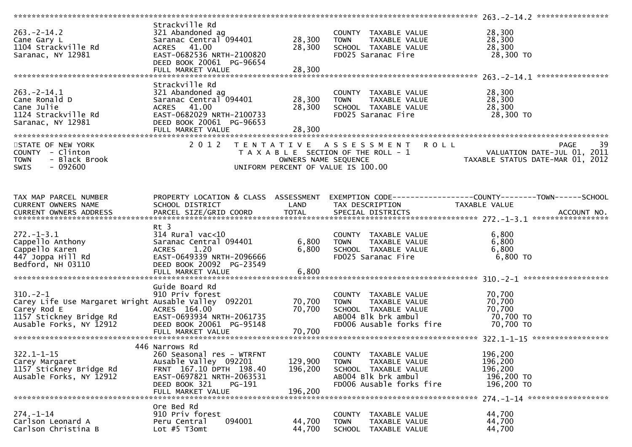|                                                                                                                                            |                                                                                                                                                                              |                               |                                                                                                                                           | 263. -2-14. 2 *****************                                                                      |
|--------------------------------------------------------------------------------------------------------------------------------------------|------------------------------------------------------------------------------------------------------------------------------------------------------------------------------|-------------------------------|-------------------------------------------------------------------------------------------------------------------------------------------|------------------------------------------------------------------------------------------------------|
| $263 - 2 - 14.2$<br>Cane Gary L<br>1104 Strackville Rd<br>Saranac, NY 12981                                                                | Strackville Rd<br>321 Abandoned ag<br>Saranac Central 094401<br><b>ACRES</b><br>41.00<br>EAST-0682536 NRTH-2100820<br>DEED BOOK 20061 PG-96654                               | 28,300<br>28,300              | COUNTY TAXABLE VALUE<br><b>TOWN</b><br>TAXABLE VALUE<br>SCHOOL TAXABLE VALUE<br>FD025 Saranac Fire                                        | 28,300<br>28,300<br>28,300<br>28,300 TO                                                              |
|                                                                                                                                            | FULL MARKET VALUE                                                                                                                                                            | 28,300                        |                                                                                                                                           |                                                                                                      |
| $263 - 2 - 14.1$<br>Cane Ronald D<br>Cane Julie<br>1124 Strackville Rd<br>Saranac, NY 12981                                                | Strackville Rd<br>321 Abandoned ag<br>Saranac Central 094401<br>ACRES 41.00<br>EAST-0682029 NRTH-2100733<br>DEED BOOK 20061 PG-96653<br>FULL MARKET VALUE                    | 28,300<br>28,300<br>28,300    | COUNTY TAXABLE VALUE<br><b>TOWN</b><br>TAXABLE VALUE<br>SCHOOL TAXABLE VALUE<br>FD025 Saranac Fire                                        | 28,300<br>28,300<br>28,300<br>28,300 TO                                                              |
| STATE OF NEW YORK<br>COUNTY - Clinton<br>- Black Brook<br><b>TOWN</b><br>$-092600$<br><b>SWIS</b>                                          | 2 0 1 2                                                                                                                                                                      | OWNERS NAME SEQUENCE          | TENTATIVE ASSESSMENT<br><b>ROLL</b><br>T A X A B L E SECTION OF THE ROLL - 1<br>UNIFORM PERCENT OF VALUE IS 100.00                        | 39<br>PAGE<br>VALUATION DATE-JUL 01, 2011<br>TAXABLE STATUS DATE-MAR 01, 2012                        |
|                                                                                                                                            |                                                                                                                                                                              |                               |                                                                                                                                           |                                                                                                      |
| TAX MAP PARCEL NUMBER<br>CURRENT OWNERS NAME<br>CURRENT OWNERS ADDRESS                                                                     | PROPERTY LOCATION & CLASS ASSESSMENT<br>SCHOOL DISTRICT<br>PARCEL SIZE/GRID COORD                                                                                            | LAND<br><b>TOTAL</b>          | TAX DESCRIPTION<br>SPECIAL DISTRICTS                                                                                                      | EXEMPTION CODE-----------------COUNTY--------TOWN------SCHOOL<br><b>TAXABLE VALUE</b><br>ACCOUNT NO. |
| $272. - 1 - 3.1$<br>Cappello Anthony<br>Cappello Karen<br>447 Joppa Hill Rd<br>Bedford, NH 03110                                           | Rt 3<br>$314$ Rural vac<10<br>Saranac Central 094401<br>1.20<br><b>ACRES</b><br>EAST-0649339 NRTH-2096666<br>DEED BOOK 20092 PG-23549                                        | 6,800<br>6,800                | COUNTY TAXABLE VALUE<br>TAXABLE VALUE<br><b>TOWN</b><br>SCHOOL TAXABLE VALUE<br>FD025 Saranac Fire                                        | 6,800<br>6,800<br>6,800<br>$6,800$ TO                                                                |
|                                                                                                                                            |                                                                                                                                                                              |                               |                                                                                                                                           |                                                                                                      |
| $310. -2 - 1$<br>Carey Life Use Margaret Wright Ausable Valley 092201<br>Carey Rod E<br>1157 Stickney Bridge Rd<br>Ausable Forks, NY 12912 | Guide Board Rd<br>910 Priv forest<br>ACRES 164.00<br>EAST-0693934 NRTH-2061735<br>DEED BOOK 20061 PG-95148<br>FULL MARKET VALUE                                              | 70,700<br>70,700<br>70,700    | COUNTY TAXABLE VALUE<br>TAXABLE VALUE<br><b>TOWN</b><br>SCHOOL TAXABLE VALUE<br>AB004 Blk brk ambul<br>FD006 Ausable forks fire           | 70,700<br>70,700<br>70,700<br>70,700 TO<br>70,700 TO                                                 |
|                                                                                                                                            |                                                                                                                                                                              |                               |                                                                                                                                           |                                                                                                      |
| $322.1 - 1 - 15$<br>Carey Margaret<br>1157 Stickney Bridge Rd<br>Ausable Forks, NY 12912                                                   | 446 Narrows Rd<br>260 Seasonal res - WTRFNT<br>Ausable Valley 092201<br>FRNT 167.10 DPTH 198.40<br>EAST-0697821 NRTH-2063531<br>DEED BOOK 321<br>PG-191<br>FULL MARKET VALUE | 129,900<br>196,200<br>196,200 | <b>COUNTY</b><br>TAXABLE VALUE<br>TAXABLE VALUE<br><b>TOWN</b><br>SCHOOL TAXABLE VALUE<br>AB004 Blk brk ambul<br>FD006 Ausable forks fire | 196,200<br>196,200<br>196,200<br>196,200 TO<br>196,200 TO                                            |
|                                                                                                                                            |                                                                                                                                                                              |                               |                                                                                                                                           | 274. -1-14 *******************                                                                       |
| $274. - 1 - 14$<br>Carlson Leonard A<br>Carlson Christina B                                                                                | Ore Bed Rd<br>910 Priv forest<br>Peru Central<br>094001<br>Lot $#5$ T3omt                                                                                                    | 44,700<br>44,700              | TAXABLE VALUE<br><b>COUNTY</b><br>TAXABLE VALUE<br><b>TOWN</b><br><b>SCHOOL</b><br>TAXABLE VALUE                                          | 44,700<br>44,700<br>44,700                                                                           |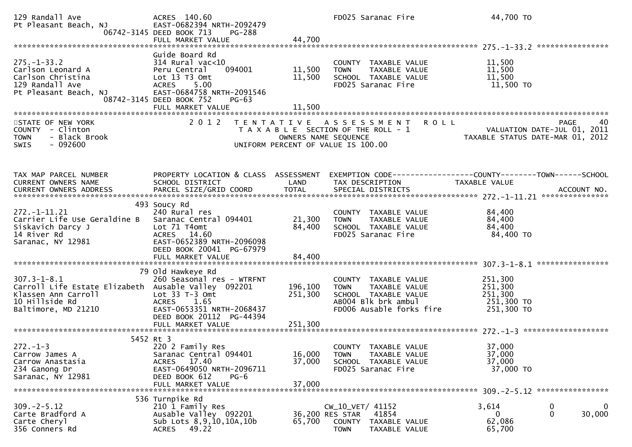| 129 Randall Ave<br>Pt Pleasant Beach, NJ                                                                                                 | ACRES 140.60<br>EAST-0682394 NRTH-2092479<br>06742-3145 DEED BOOK 713<br>PG-288<br>FULL MARKET VALUE                                                                        | 44,700                     | FD025 Saranac Fire                                                                                                                         | 44,700 TO                                                                                                         |
|------------------------------------------------------------------------------------------------------------------------------------------|-----------------------------------------------------------------------------------------------------------------------------------------------------------------------------|----------------------------|--------------------------------------------------------------------------------------------------------------------------------------------|-------------------------------------------------------------------------------------------------------------------|
| $275. - 1 - 33.2$<br>Carlson Leonard A<br>Carlson Christina<br>129 Randall Ave<br>Pt Pleasant Beach, NJ                                  | Guide Board Rd<br>$314$ Rural vac<10<br>Peru Central<br>094001<br>Lot 13 T3 Omt<br><b>ACRES</b><br>5.00<br>EAST-0684758 NRTH-2091546<br>08742-3145 DEED BOOK 752<br>$PG-63$ | 11,500<br>11,500           | COUNTY TAXABLE VALUE<br>TAXABLE VALUE<br><b>TOWN</b><br>SCHOOL TAXABLE VALUE<br>FD025 Saranac Fire                                         | 11,500<br>11,500<br>11,500<br>11,500 TO                                                                           |
| STATE OF NEW YORK<br>COUNTY - Clinton<br><b>TOWN</b><br>- Black Brook<br>$-092600$<br>SWIS                                               | 2 0 1 2                                                                                                                                                                     |                            | TENTATIVE ASSESSMENT<br><b>ROLL</b><br>T A X A B L E SECTION OF THE ROLL - 1<br>OWNERS NAME SEQUENCE<br>UNIFORM PERCENT OF VALUE IS 100.00 | 40<br>40 PAGE<br>VALUATION DATE-JUL 01, 2011<br>TAXARLE STATUS DATE ::: - ^ 1<br>TAXABLE STATUS DATE-MAR 01, 2012 |
| TAX MAP PARCEL NUMBER<br>CURRENT OWNERS NAME<br>CURRENT OWNERS ADDRESS                                                                   | PROPERTY LOCATION & CLASS ASSESSMENT<br>SCHOOL DISTRICT                                                                                                                     | LAND                       | TAX DESCRIPTION                                                                                                                            | EXEMPTION CODE-----------------COUNTY--------TOWN------SCHOOL<br><b>TAXABLE VALUE</b>                             |
| $272. -1 - 11.21$<br>Carrier Life Use Geraldine B<br>Siskavich Darcy J<br>14 River Rd<br>Saranac, NY 12981                               | 493 Soucy Rd<br>240 Rural res<br>Saranac Central 094401<br>Lot 71 T4omt<br>ACRES 14.60<br>EAST-0652389 NRTH-2096098<br>DEED BOOK 20041 PG-67979<br>FULL MARKET VALUE        | 21,300<br>84,400<br>84,400 | COUNTY TAXABLE VALUE<br><b>TOWN</b><br>TAXABLE VALUE<br>SCHOOL TAXABLE VALUE<br>FD025 Saranac Fire                                         | 84,400<br>84,400<br>84,400<br>84,400 TO                                                                           |
| $307.3 - 1 - 8.1$<br>Carroll Life Estate Elizabeth Ausable Valley 092201<br>Klassen Ann Carroll<br>10 Hillside Rd<br>Baltimore, MD 21210 | 79 Old Hawkeye Rd<br>260 Seasonal res - WTRFNT<br>Lot $33$ T-3 Omt<br><b>ACRES</b><br>1.65<br>EAST-0653351 NRTH-2068437<br>DEED BOOK 20112 PG-44394                         | 196,100<br>251,300         | COUNTY TAXABLE VALUE<br>TAXABLE VALUE<br><b>TOWN</b><br>SCHOOL TAXABLE VALUE<br>AB004 Blk brk ambul<br>FD006 Ausable forks fire            | 251,300<br>251,300<br>251,300<br>251,300 TO<br>251,300 TO                                                         |
| $272. - 1 - 3$<br>Carrow James A<br>Carrow Anastasia<br>234 Ganong Dr<br>Saranac, NY 12981                                               | 5452 Rt 3<br>220 2 Family Res<br>Saranac Central 094401<br>17.40<br>ACRES<br>EAST-0649050 NRTH-2096711<br>DEED BOOK 612<br>$PG-6$<br>FULL MARKET VALUE                      | 16,000<br>37,000<br>37,000 | COUNTY TAXABLE VALUE<br><b>TOWN</b><br>TAXABLE VALUE<br>SCHOOL TAXABLE VALUE<br>FD025 Saranac Fire                                         | 37,000<br>37,000<br>37,000<br>37,000 TO                                                                           |
| $309. -2 - 5.12$<br>Carte Bradford A<br>Carte Cheryl<br>356 Conners Rd                                                                   | 536 Turnpike Rd<br>210 1 Family Res<br>Ausable Valley 092201<br>Sub Lots 8, 9, 10, 10A, 10b<br>49.22<br>ACRES                                                               | 65,700                     | CW_10_VET/ 41152<br>41854<br>36,200 RES STAR<br>COUNTY<br>TAXABLE VALUE<br><b>TOWN</b><br>TAXABLE VALUE                                    | 3,614<br>0<br>$\bf{0}$<br>30,000<br>0<br>0<br>62,086<br>65,700                                                    |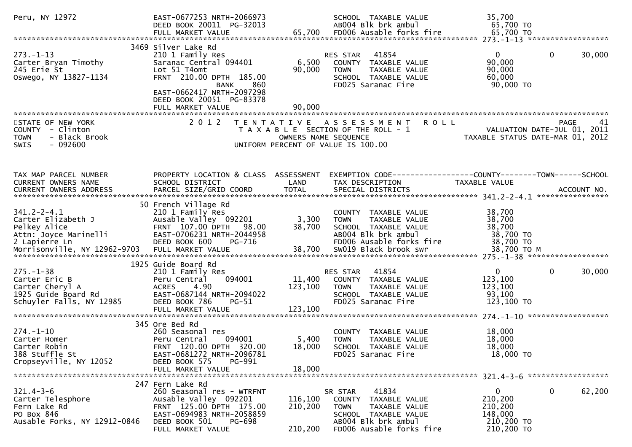| Peru, NY 12972                                                                                                                    | EAST-0677253 NRTH-2066973<br>DEED BOOK 20011 PG-32013                                                                                                                                 | SCHOOL TAXABLE VALUE<br>AB004 Blk brk ambul                                                                                                           | 35,700<br>65,700 TO                                                                              |                        |
|-----------------------------------------------------------------------------------------------------------------------------------|---------------------------------------------------------------------------------------------------------------------------------------------------------------------------------------|-------------------------------------------------------------------------------------------------------------------------------------------------------|--------------------------------------------------------------------------------------------------|------------------------|
|                                                                                                                                   |                                                                                                                                                                                       |                                                                                                                                                       |                                                                                                  |                        |
| $273. - 1 - 13$<br>Carter Bryan Timothy<br>245 Erie St<br>Oswego, NY 13827-1134                                                   | 3469 Silver Lake Rd<br>210 1 Family Res<br>Saranac Central 094401<br>Lot 51 T4omt<br>FRNT 210.00 DPTH 185.00<br>860<br>BANK<br>EAST-0662417 NRTH-2097298                              | 41854<br>RES STAR<br>6,500<br>COUNTY TAXABLE VALUE<br>90,000<br><b>TOWN</b><br>SCHOOL TAXABLE VALUE<br>FD025 Saranac Fire                             | $\mathbf{0}$<br>90,000<br>90,000<br>TAXABLE VALUE<br>60,000<br>90,000 TO                         | $\mathbf{0}$<br>30,000 |
|                                                                                                                                   | DEED BOOK 20051 PG-83378<br>FULL MARKET VALUE                                                                                                                                         | 90,000                                                                                                                                                |                                                                                                  |                        |
| STATE OF NEW YORK<br>COUNTY - Clinton<br><b>TOWN</b><br>- Black Brook<br><b>SWIS</b><br>- 092600                                  | 2 0 1 2                                                                                                                                                                               | TENTATIVE ASSESSMENT<br>T A X A B L E SECTION OF THE ROLL - 1<br>OWNERS NAME SEQUENCE<br>UNIFORM PERCENT OF VALUE IS 100.00                           | <b>ROLL</b><br>VALUATION DATE-JUL 01, 2011<br>TAXABLE STATUS DATE-MAR 01, 2012                   | <b>PAGE</b><br>41      |
| TAX MAP PARCEL NUMBER<br>CURRENT OWNERS NAME<br>CURRENT OWNERS ADDRESS                                                            | PROPERTY LOCATION & CLASS ASSESSMENT<br>SCHOOL DISTRICT                                                                                                                               | LAND<br>TAX DESCRIPTION                                                                                                                               | EXEMPTION CODE-----------------COUNTY-------TOWN------SCHOOL<br>TAXABLE VALUE                    |                        |
| $341.2 - 2 - 4.1$<br>Carter Elizabeth J<br>Pelkey Alice<br>Attn: Joyce Marinelli<br>2 Lapierre Ln<br>Morrisonville, NY 12962-9703 | 50 French Village Rd<br>210 1 Family Res<br>Ausable Valley 092201<br>FRNT 107.00 DPTH 98.00<br>EAST-0706231 NRTH-2044958<br>DEED BOOK 600<br>PG-716                                   | COUNTY TAXABLE VALUE<br>3,300<br><b>TOWN</b><br>38,700<br>SCHOOL TAXABLE VALUE<br>AB004 Blk brk ambul<br>FD006 Ausable forks fire                     | 38,700<br>38,700<br>TAXABLE VALUE<br>38,700<br>38,700 TO<br>38,700 TO                            |                        |
| $275. - 1 - 38$<br>Carter Eric B<br>Carter Cheryl A<br>1925 Guide Board Rd<br>Schuyler Falls, NY 12985                            | 1925 Guide Board Rd<br>210 1 Family Res<br>094001<br>Peru Central<br>4.90<br>ACRES<br>EAST-0687144 NRTH-2094022<br>DEED BOOK 786<br>$PG-51$<br>FULL MARKET VALUE                      | 41854<br>RES STAR<br>11,400<br>COUNTY TAXABLE VALUE<br>123,100<br><b>TOWN</b><br>SCHOOL TAXABLE VALUE<br>FD025 Saranac Fire<br>123,100                | $\mathbf{0}$<br>123,100<br>123,100<br>TAXABLE VALUE<br>93,100<br>123,100 TO                      | $\mathbf{0}$<br>30,000 |
| $274. - 1 - 10$<br>Carter Homer<br>Carter Robin<br>388 Stuffle St<br>Cropseyville, NY 12052                                       | 345 Ore Bed Rd<br>260 Seasonal res<br>Peru Central<br>094001<br>FRNT 120.00 DPTH 320.00<br>EAST-0681272 NRTH-2096781<br>DEED BOOK 575<br>PG-991<br>FULL MARKET VALUE                  | COUNTY TAXABLE VALUE<br>5,400<br><b>TOWN</b><br>18,000<br>SCHOOL TAXABLE VALUE<br>FD025 Saranac Fire<br>18,000                                        | 18,000<br>18,000<br><b>TAXABLE VALUE</b><br>18,000<br>18,000 TO                                  |                        |
| $321.4 - 3 - 6$<br>Carter Telesphore<br>Fern Lake Rd<br>PO Box 846<br>Ausable Forks, NY 12912-0846                                | 247 Fern Lake Rd<br>260 Seasonal res - WTRFNT<br>Ausable Valley 092201<br>FRNT 125.00 DPTH 175.00<br>EAST-0694983 NRTH-2058859<br>DEED BOOK 501<br><b>PG-698</b><br>FULL MARKET VALUE | 41834<br>SR STAR<br>116,100<br>COUNTY<br>210,200<br><b>TOWN</b><br>SCHOOL TAXABLE VALUE<br>AB004 Blk brk ambul<br>FD006 Ausable forks fire<br>210,200 | 0<br>210,200<br>TAXABLE VALUE<br>TAXABLE VALUE<br>210,200<br>148,000<br>210,200 TO<br>210,200 TO | 0<br>62,200            |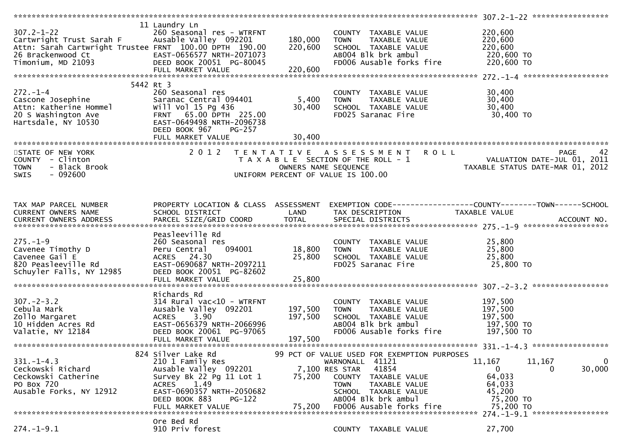| $307.2 - 1 - 22$<br>Cartwright Trust Sarah F<br>Attn: Sarah Cartwright Trustee FRNT 100.00 DPTH 190.00<br>26 Brackenwood Ct<br>Timonium, MD 21093 | 11 Laundry Ln<br>260 Seasonal res - WTRFNT<br>Ausable Valley 092201<br>EAST-0656577 NRTH-2071073<br>DEED BOOK 20051 PG-80045<br>FULL MARKET VALUE                                                  | 180,000<br>220,600<br>220,600 | COUNTY TAXABLE VALUE<br><b>TOWN</b><br>TAXABLE VALUE<br>SCHOOL TAXABLE VALUE<br>AB004 Blk brk ambul<br>FD006 Ausable forks fire                                                                                                    | 220,600<br>220,600<br>220,600<br>220,600 TO<br>220,600 TO                        |                                                                                      |
|---------------------------------------------------------------------------------------------------------------------------------------------------|----------------------------------------------------------------------------------------------------------------------------------------------------------------------------------------------------|-------------------------------|------------------------------------------------------------------------------------------------------------------------------------------------------------------------------------------------------------------------------------|----------------------------------------------------------------------------------|--------------------------------------------------------------------------------------|
|                                                                                                                                                   |                                                                                                                                                                                                    |                               |                                                                                                                                                                                                                                    |                                                                                  |                                                                                      |
| $272. - 1 - 4$<br>Cascone Josephine<br>Attn: Katherine Hommel<br>20 S Washington Ave<br>Hartsdale, NY 10530                                       | 5442 Rt 3<br>260 Seasonal res<br>Saranac Central 094401<br>will Vol 15 Pg 436<br>FRNT 65.00 DPTH 225.00<br>EAST-0649498 NRTH-2096738<br>DEED BOOK 967<br><b>PG-257</b><br>FULL MARKET VALUE        | 5,400<br>30,400<br>30,400     | COUNTY TAXABLE VALUE<br><b>TOWN</b><br><b>TAXABLE VALUE</b><br>SCHOOL TAXABLE VALUE<br>FD025 Saranac Fire                                                                                                                          | 30,400<br>30,400<br>30,400<br>30,400 TO                                          |                                                                                      |
|                                                                                                                                                   |                                                                                                                                                                                                    |                               |                                                                                                                                                                                                                                    |                                                                                  |                                                                                      |
| STATE OF NEW YORK<br>COUNTY - Clinton<br>- Black Brook<br><b>TOWN</b><br>SWIS<br>- 092600                                                         |                                                                                                                                                                                                    | OWNERS NAME SEQUENCE          | 2012 TENTATIVE ASSESSMENT<br>T A X A B L E SECTION OF THE ROLL - 1<br>UNIFORM PERCENT OF VALUE IS 100.00                                                                                                                           | <b>ROLL</b>                                                                      | 42<br><b>PAGE</b><br>VALUATION DATE-JUL 01, 2011<br>TAXABLE STATUS DATE-MAR 01, 2012 |
| TAX MAP PARCEL NUMBER<br>CURRENT OWNERS NAME                                                                                                      | PROPERTY LOCATION & CLASS ASSESSMENT<br>SCHOOL DISTRICT                                                                                                                                            | LAND                          | EXEMPTION CODE------------------COUNTY--------TOWN------SCHOOL<br>TAX DESCRIPTION                                                                                                                                                  | TAXABLE VALUE                                                                    |                                                                                      |
| $275. - 1 - 9$<br>Cavenee Timothy D<br>Cavenee Gail E<br>820 Peasleeville Rd<br>Schuyler Falls, NY 12985                                          | Peasleeville Rd<br>260 Seasonal res<br>094001<br>Peru Central<br>ACRES 24.30<br>EAST-0690687 NRTH-2097211<br>DEED BOOK 20051 PG-82602<br>FULL MARKET VALUE                                         | 18,800<br>25,800<br>25,800    | COUNTY TAXABLE VALUE<br><b>TOWN</b><br>TAXABLE VALUE<br>SCHOOL TAXABLE VALUE<br>FD025 Saranac Fire                                                                                                                                 | 25,800<br>25,800<br>25,800<br>25,800 TO                                          |                                                                                      |
|                                                                                                                                                   |                                                                                                                                                                                                    |                               |                                                                                                                                                                                                                                    |                                                                                  |                                                                                      |
| $307 - 2 - 3.2$<br>Cebula Mark<br>Zollo Margaret<br>10 Hidden Acres Rd<br>Valatie, NY 12184                                                       | Richards Rd<br>$314$ Rural vac<10 - WTRFNT<br>Ausable Valley 092201<br>3.90<br><b>ACRES</b><br>EAST-0656379 NRTH-2066996<br>DEED BOOK 20061 PG-97065<br>FULL MARKET VALUE                          | 197,500<br>197,500<br>197,500 | COUNTY TAXABLE VALUE<br><b>TOWN</b><br>TAXABLE VALUE<br>SCHOOL TAXABLE VALUE<br>AB004 Blk brk ambul<br>FD006 Ausable forks fire                                                                                                    | 197,500<br>197,500<br>197,500<br>197,500 TO<br>197,500 TO                        |                                                                                      |
|                                                                                                                                                   |                                                                                                                                                                                                    |                               |                                                                                                                                                                                                                                    |                                                                                  |                                                                                      |
| $331. - 1 - 4.3$<br>Ceckowski Richard<br>Ceckowski Catherine<br>PO Box 720<br>Ausable Forks, NY 12912                                             | 824 Silver Lake Rd<br>210 1 Family Res<br>Ausable Valley 092201<br>Survey Bk 22 Pg 11 Lot 1<br><b>ACRES</b><br>1.49<br>EAST-0690357 NRTH-2050682<br>DEED BOOK 883<br>$PG-122$<br>FULL MARKET VALUE | 75,200<br>75,200              | 99 PCT OF VALUE USED FOR EXEMPTION PURPOSES<br>41121<br>WARNONALL<br>41854<br>7,100 RES STAR<br>COUNTY<br>TAXABLE VALUE<br>TAXABLE VALUE<br><b>TOWN</b><br>SCHOOL TAXABLE VALUE<br>AB004 Blk brk ambul<br>FD006 Ausable forks fire | 11,167<br>$\overline{0}$<br>64,033<br>64,033<br>45,200<br>75,200 TO<br>75,200 TO | 11,167<br>0<br>30,000<br>$\bf{0}$<br>274. -1-9.1 ******************                  |
|                                                                                                                                                   |                                                                                                                                                                                                    |                               |                                                                                                                                                                                                                                    |                                                                                  |                                                                                      |
| $274. - 1 - 9.1$                                                                                                                                  | Ore Bed Rd<br>910 Priv forest                                                                                                                                                                      |                               | COUNTY TAXABLE VALUE                                                                                                                                                                                                               | 27,700                                                                           |                                                                                      |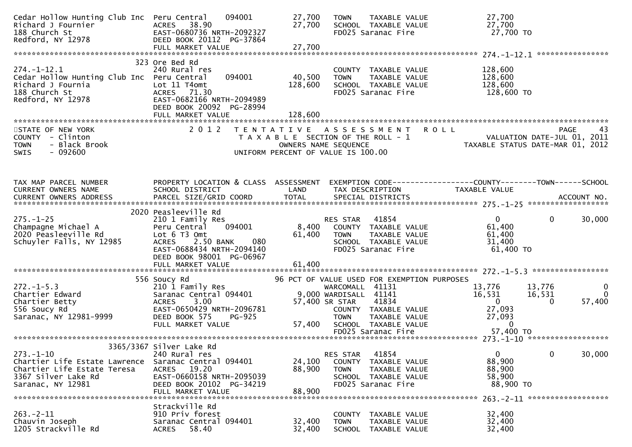| Cedar Hollow Hunting Club Inc Peru Central<br>Richard J Fournier<br>188 Church St<br>Redford, NY 12978                      | 094001<br>ACRES 38.90<br>EAST-0680736 NRTH-2092327<br>DEED BOOK 20112 PG-37864<br>FULL MARKET VALUE                                                                | 27,700<br>27,700<br>27,700 | TAXABLE VALUE<br><b>TOWN</b><br>SCHOOL TAXABLE VALUE<br>FD025 Saranac Fire                                                                          | 27,700<br>27,700<br>27,700 TO                                                                                                                                   |
|-----------------------------------------------------------------------------------------------------------------------------|--------------------------------------------------------------------------------------------------------------------------------------------------------------------|----------------------------|-----------------------------------------------------------------------------------------------------------------------------------------------------|-----------------------------------------------------------------------------------------------------------------------------------------------------------------|
|                                                                                                                             |                                                                                                                                                                    |                            |                                                                                                                                                     |                                                                                                                                                                 |
| $274. - 1 - 12.1$<br>Cedar Hollow Hunting Club Inc Peru Central<br>Richard J Fournia<br>188 Church St<br>Redford, NY 12978  | 323 Ore Bed Rd<br>240 Rural res<br>094001<br>Lot 11 T4omt<br>ACRES 71.30<br>EAST-0682166 NRTH-2094989<br>DEED BOOK 20092 PG-28994                                  | 40,500<br>128,600          | COUNTY TAXABLE VALUE<br>TAXABLE VALUE<br><b>TOWN</b><br>SCHOOL TAXABLE VALUE<br>FD025 Saranac Fire                                                  | 128,600<br>128,600<br>128,600<br>128,600 TO                                                                                                                     |
|                                                                                                                             | FULL MARKET VALUE                                                                                                                                                  | 128,600                    |                                                                                                                                                     |                                                                                                                                                                 |
| STATE OF NEW YORK<br>COUNTY - Clinton<br>- Black Brook<br><b>TOWN</b><br>$-092600$<br>SWIS                                  | 2 0 1 2                                                                                                                                                            | OWNERS NAME SEQUENCE       | TENTATIVE ASSESSMENT ROLL<br>T A X A B L E SECTION OF THE ROLL - 1<br>UNIFORM PERCENT OF VALUE IS 100.00                                            | PAGE<br>43<br>- 1<br>VALUATION DATE-JUL 01, 2011<br>TAXABLE STATUS DATE-MAR 01, 2012                                                                            |
| TAX MAP PARCEL NUMBER<br>CURRENT OWNERS NAME                                                                                | PROPERTY LOCATION & CLASS ASSESSMENT<br>SCHOOL DISTRICT                                                                                                            | LAND                       | TAX DESCRIPTION                                                                                                                                     | EXEMPTION CODE-----------------COUNTY--------TOWN-----SCHOOL<br>TAXABLE VALUE                                                                                   |
|                                                                                                                             | 2020 Peasleeville Rd                                                                                                                                               |                            |                                                                                                                                                     |                                                                                                                                                                 |
| $275. - 1 - 25$<br>Champagne Michael A<br>2020 Peasleeville Rd<br>Schuyler Falls, NY 12985                                  | 210 1 Family Res<br>094001<br>Peru Central<br>Lot 6 T3 Omt<br>ACRES 2.50 BANK<br>080<br>EAST-0688434 NRTH-2094140<br>DEED BOOK 98001 PG-06967<br>FULL MARKET VALUE | 8,400<br>61,400<br>61,400  | RES STAR 41854<br>COUNTY TAXABLE VALUE<br><b>TOWN</b><br>TAXABLE VALUE<br>SCHOOL TAXABLE VALUE<br>FD025 Saranac Fire                                | $\mathbf{0}$<br>$\mathbf{0}$<br>30,000<br>61,400<br>61,400<br>31,400<br>61,400 TO                                                                               |
|                                                                                                                             | 556 Soucy Rd                                                                                                                                                       |                            | 96 PCT OF VALUE USED FOR EXEMPTION PURPOSES                                                                                                         |                                                                                                                                                                 |
| $272 - 1 - 5.3$<br>Chartier Edward<br>Chartier Betty<br>556 Soucy Rd<br>Saranac, NY 12981-9999                              | 210 1 Family Res<br>Saranac Central 094401<br>3.00<br><b>ACRES</b><br>EAST-0650429 NRTH-2096781<br>DEED BOOK 575<br><b>PG-925</b><br>FULL MARKET VALUE             | 57,400                     | WARCOMALL 41131<br>9,000 WARDISALL 41141<br>57,400 SR STAR<br>41834<br>COUNTY TAXABLE VALUE<br><b>TOWN</b><br>TAXABLE VALUE<br>SCHOOL TAXABLE VALUE | 13,776<br>13,776<br>$\mathbf{0}$<br>$\overline{0}$<br>16,531<br>16,531<br>57,400<br>$\overline{0}$<br>$\mathbf{0}$<br>27,093<br>27,093<br>$\Omega$<br>57,400 TO |
|                                                                                                                             |                                                                                                                                                                    |                            | FD025 Saranac Fire                                                                                                                                  |                                                                                                                                                                 |
| $273. - 1 - 10$<br>Chartier Life Estate Lawrence<br>Chartier Life Estate Teresa<br>3367 Silver Lake Rd<br>Saranac, NY 12981 | 3365/3367 Silver Lake Rd<br>240 Rural res<br>Saranac Central 094401<br>ACRES 19.20<br>EAST-0660158 NRTH-2095039<br>DEED BOOK 20102 PG-34219<br>FULL MARKET VALUE   | 24,100<br>88,900<br>88,900 | 41854<br>RES STAR<br>COUNTY<br>TAXABLE VALUE<br><b>TOWN</b><br>TAXABLE VALUE<br>SCHOOL TAXABLE VALUE<br>FD025 Saranac Fire                          | $\mathbf{0}$<br>$\mathbf{0}$<br>30,000<br>88,900<br>88,900<br>58,900<br>88,900 TO                                                                               |
|                                                                                                                             | Strackville Rd                                                                                                                                                     |                            |                                                                                                                                                     |                                                                                                                                                                 |
| $263. -2 - 11$<br>Chauvin Joseph<br>1205 Strackville Rd                                                                     | 910 Priv forest<br>Saranac Central 094401<br>58.40<br><b>ACRES</b>                                                                                                 | 32,400<br>32,400           | <b>COUNTY</b><br>TAXABLE VALUE<br><b>TOWN</b><br>TAXABLE VALUE<br><b>SCHOOL</b><br>TAXABLE VALUE                                                    | 32,400<br>32,400<br>32,400                                                                                                                                      |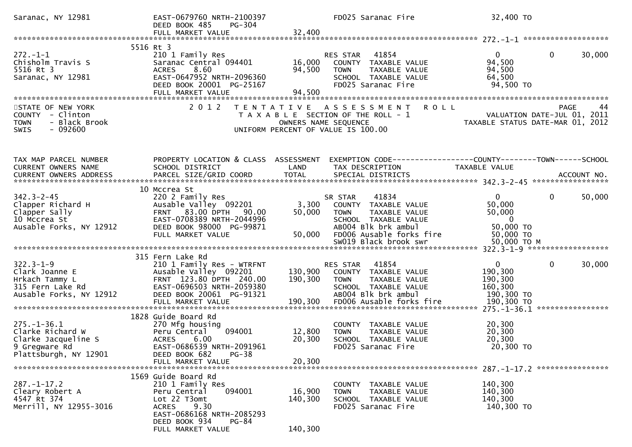| Saranac, NY 12981                                                                                      | EAST-0679760 NRTH-2100397<br>DEED BOOK 485<br>PG-304                                                                                                                                    |                              | FD025 Saranac Fire                                                                                                                                                           | 32,400 TO                                                                                   |                        |
|--------------------------------------------------------------------------------------------------------|-----------------------------------------------------------------------------------------------------------------------------------------------------------------------------------------|------------------------------|------------------------------------------------------------------------------------------------------------------------------------------------------------------------------|---------------------------------------------------------------------------------------------|------------------------|
|                                                                                                        |                                                                                                                                                                                         |                              |                                                                                                                                                                              |                                                                                             |                        |
| $272. - 1 - 1$<br>Chisholm Travis S<br>5516 Rt 3<br>Saranac, NY 12981                                  | 5516 Rt 3<br>210 1 Family Res<br>Saranac Central 094401<br><b>ACRES</b><br>8.60<br>EAST-0647952 NRTH-2096360<br>DEED BOOK 20001 PG-25167<br>FULL MARKET VALUE                           | 16,000<br>94,500<br>94,500   | RES STAR<br>41854<br>COUNTY TAXABLE VALUE<br><b>TOWN</b><br>TAXABLE VALUE<br>SCHOOL TAXABLE VALUE<br>FD025 Saranac Fire                                                      | $\overline{0}$<br>94,500<br>94,500<br>64,500<br>94,500 TO                                   | $\mathbf 0$<br>30,000  |
| STATE OF NEW YORK<br>COUNTY - Clinton<br>- Black Brook<br>TOWN<br>$-092600$<br>SWIS                    | 2 0 1 2                                                                                                                                                                                 |                              | <b>ROLL</b><br>TENTATIVE ASSESSMENT<br>T A X A B L E SECTION OF THE ROLL - 1<br>OWNERS NAME SEQUENCE<br>UNIFORM PERCENT OF VALUE IS 100.00                                   | VALUATION DATE-JUL 01, 2011<br>TAXABLE STATUS DATE-MAR 01, 2012                             | <b>PAGE</b><br>44      |
| TAX MAP PARCEL NUMBER<br>CURRENT OWNERS NAME<br>CURRENT OWNERS ADDRESS                                 | PROPERTY LOCATION & CLASS ASSESSMENT<br>SCHOOL DISTRICT<br>PARCEL SIZE/GRID COORD                                                                                                       | LAND<br><b>TOTAL</b>         | EXEMPTION CODE------------------COUNTY--------TOWN------SCHOOL<br>TAX DESCRIPTION<br>SPECIAL DISTRICTS                                                                       | TAXABLE VALUE                                                                               | ACCOUNT NO.            |
| $342.3 - 2 - 45$<br>Clapper Richard H<br>Clapper Sally<br>10 Mccrea St<br>Ausable Forks, NY 12912      | 10 Mccrea St<br>220 2 Family Res<br>Ausable Valley 092201<br>FRNT 83.00 DPTH 90.00<br>EAST-0708389 NRTH-2044996<br>DEED BOOK 98000 PG-99871<br>FULL MARKET VALUE                        | 3,300<br>50,000<br>50,000    | 41834<br>SR STAR<br>COUNTY TAXABLE VALUE<br><b>TOWN</b><br>TAXABLE VALUE<br>SCHOOL TAXABLE VALUE<br>AB004 Blk brk ambul<br>FD006 Ausable forks fire<br>SW019 Black brook swr | $\mathbf{0}$<br>50,000<br>50,000<br>$\overline{0}$<br>50,000 TO<br>50,000 TO<br>50,000 ТО М | $\mathbf{0}$<br>50,000 |
|                                                                                                        |                                                                                                                                                                                         |                              |                                                                                                                                                                              |                                                                                             |                        |
| $322.3 - 1 - 9$<br>Clark Joanne E<br>Hrkach Tammy L<br>315 Fern Lake Rd<br>Ausable Forks, NY 12912     | 315 Fern Lake Rd<br>210 1 Family Res - WTRFNT<br>Ausable Valley 092201<br>FRNT 123.80 DPTH 240.00<br>EAST-0696503 NRTH-2059380<br>DEED BOOK 20061 PG-91321                              | 130,900<br>190,300           | 41854<br>RES STAR<br>COUNTY TAXABLE VALUE<br><b>TOWN</b><br>TAXABLE VALUE<br>SCHOOL TAXABLE VALUE<br>AB004 Blk brk ambul                                                     | $\mathbf{0}$<br>190,300<br>190,300<br>160,300<br>190,300 TO                                 | $\mathbf{0}$<br>30,000 |
| $275. - 1 - 36.1$<br>Clarke Richard W<br>Clarke Jacqueline S<br>9 Gregware Rd<br>Plattsburgh, NY 12901 | 1828 Guide Board Rd<br>270 Mfg housing<br>094001<br>Peru Central<br><b>ACRES</b><br>6.00<br>EAST-0686539 NRTH-2091961<br>DEED BOOK 682<br>$PG-38$<br>FULL MARKET VALUE                  | 12,800<br>20,300<br>20,300   | COUNTY TAXABLE VALUE<br><b>TOWN</b><br>TAXABLE VALUE<br>SCHOOL TAXABLE VALUE<br>FD025 Saranac Fire                                                                           | 20,300<br>20,300<br>20,300<br>20,300 TO                                                     |                        |
| $287. - 1 - 17.2$<br>Cleary Robert A<br>4547 Rt 374<br>Merrill, NY 12955-3016                          | 1569 Guide Board Rd<br>210 1 Family Res<br>094001<br>Peru Central<br>Lot 22 T3omt<br>9.30<br><b>ACRES</b><br>EAST-0686168 NRTH-2085293<br>DEED BOOK 934<br>$PG-84$<br>FULL MARKET VALUE | 16,900<br>140,300<br>140,300 | COUNTY TAXABLE VALUE<br>TAXABLE VALUE<br><b>TOWN</b><br>SCHOOL TAXABLE VALUE<br>FD025 Saranac Fire                                                                           | 140,300<br>140,300<br>140,300<br>140,300 TO                                                 |                        |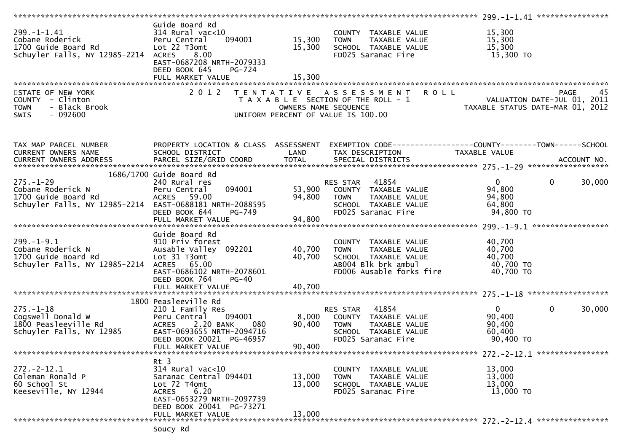|                                                                                                   |                                                                                                                                                                       |                                           |                                                                                                                   | 299. -1-1.41 *****************<br>************                  |            |
|---------------------------------------------------------------------------------------------------|-----------------------------------------------------------------------------------------------------------------------------------------------------------------------|-------------------------------------------|-------------------------------------------------------------------------------------------------------------------|-----------------------------------------------------------------|------------|
| $299. -1 - 1.41$<br>Cobane Roderick<br>1700 Guide Board Rd<br>Schuyler Falls, NY 12985-2214       | Guide Board Rd<br>$314$ Rural vac<10<br>Peru Central<br>094001<br>Lot 22 T3omt<br><b>ACRES</b><br>8.00<br>EAST-0687208 NRTH-2079333<br>DEED BOOK 645<br><b>PG-724</b> | 15,300<br>15,300<br>15,300                | COUNTY TAXABLE VALUE<br><b>TOWN</b><br>TAXABLE VALUE<br>SCHOOL TAXABLE VALUE<br>FD025 Saranac Fire                | 15,300<br>15,300<br>15,300<br>15,300 TO                         |            |
|                                                                                                   | FULL MARKET VALUE                                                                                                                                                     |                                           |                                                                                                                   |                                                                 |            |
| STATE OF NEW YORK<br>COUNTY - Clinton<br>- Black Brook<br><b>TOWN</b><br>$-092600$<br><b>SWIS</b> | 2 0 1 2                                                                                                                                                               | T E N T A T I V E<br>OWNERS NAME SEQUENCE | <b>ROLL</b><br>A S S E S S M E N T<br>T A X A B L E SECTION OF THE ROLL - 1<br>UNIFORM PERCENT OF VALUE IS 100.00 | VALUATION DATE-JUL 01, 2011<br>TAXABLE STATUS DATE-MAR 01, 2012 | PAGE<br>45 |
| TAX MAP PARCEL NUMBER                                                                             | PROPERTY LOCATION & CLASS ASSESSMENT                                                                                                                                  |                                           | EXEMPTION CODE------------------COUNTY--------TOWN------SCHOOL                                                    |                                                                 |            |
| CURRENT OWNERS NAME                                                                               | SCHOOL DISTRICT                                                                                                                                                       | LAND                                      | TAX DESCRIPTION                                                                                                   | TAXABLE VALUE                                                   |            |
|                                                                                                   |                                                                                                                                                                       |                                           |                                                                                                                   |                                                                 |            |
|                                                                                                   |                                                                                                                                                                       |                                           |                                                                                                                   |                                                                 |            |
|                                                                                                   | 1686/1700 Guide Board Rd                                                                                                                                              |                                           |                                                                                                                   |                                                                 |            |
| $275. - 1 - 29$                                                                                   | 240 Rural res                                                                                                                                                         |                                           | 41854<br>RES STAR                                                                                                 | $\overline{0}$<br>$\mathbf{0}$                                  | 30,000     |
| Cobane Roderick N                                                                                 | 094001<br>Peru Central                                                                                                                                                | 53,900                                    | COUNTY TAXABLE VALUE                                                                                              | 94,800                                                          |            |
| 1700 Guide Board Rd<br>Schuyler Falls, NY 12985-2214                                              | ACRES 59.00<br>EAST-0688181 NRTH-2088595                                                                                                                              | 94,800                                    | TAXABLE VALUE<br><b>TOWN</b><br>SCHOOL TAXABLE VALUE                                                              | 94,800<br>64,800                                                |            |
|                                                                                                   | DEED BOOK 644<br>PG-749                                                                                                                                               |                                           | FD025 Saranac Fire                                                                                                | 94,800 TO                                                       |            |
|                                                                                                   |                                                                                                                                                                       |                                           |                                                                                                                   |                                                                 |            |
|                                                                                                   |                                                                                                                                                                       |                                           |                                                                                                                   |                                                                 |            |
|                                                                                                   | Guide Board Rd                                                                                                                                                        |                                           |                                                                                                                   |                                                                 |            |
| $299. - 1 - 9.1$                                                                                  | 910 Priv forest                                                                                                                                                       |                                           | COUNTY TAXABLE VALUE                                                                                              | 40,700                                                          |            |
| Cobane Roderick N                                                                                 | Ausable Valley 092201                                                                                                                                                 | 40,700                                    | <b>TOWN</b><br>TAXABLE VALUE                                                                                      | 40,700                                                          |            |
| 1700 Guide Board Rd                                                                               | Lot 31 T3omt                                                                                                                                                          | 40,700                                    | SCHOOL TAXABLE VALUE                                                                                              | 40,700                                                          |            |
| Schuyler Falls, NY 12985-2214                                                                     | ACRES 65.00                                                                                                                                                           |                                           | AB004 Blk brk ambul                                                                                               | 40,700 TO                                                       |            |
|                                                                                                   | EAST-0686102 NRTH-2078601                                                                                                                                             |                                           | FD006 Ausable forks fire                                                                                          | 40,700 TO                                                       |            |
|                                                                                                   | DEED BOOK 764<br>$PG-40$<br>FULL MARKET VALUE                                                                                                                         | 40,700                                    |                                                                                                                   |                                                                 |            |
|                                                                                                   |                                                                                                                                                                       |                                           |                                                                                                                   |                                                                 |            |
|                                                                                                   | 1800 Peasleeville Rd                                                                                                                                                  |                                           |                                                                                                                   |                                                                 |            |
| $275. - 1 - 18$                                                                                   | 210 1 Family Res                                                                                                                                                      |                                           | 41854<br>RES STAR                                                                                                 | $\mathbf{0}$<br>0                                               | 30,000     |
| Cogswell Donald W                                                                                 | 094001<br>Peru Central                                                                                                                                                | 8,000                                     | COUNTY TAXABLE VALUE                                                                                              | 90,400                                                          |            |
| 1800 Peasleeville Rd                                                                              | ACRES 2.20 BANK<br>080                                                                                                                                                | 90,400                                    | TAXABLE VALUE<br><b>TOWN</b>                                                                                      | 90,400                                                          |            |
| Schuyler Falls, NY 12985                                                                          | EAST-0693655 NRTH-2094716                                                                                                                                             |                                           | SCHOOL TAXABLE VALUE                                                                                              | 60,400                                                          |            |
|                                                                                                   | DEED BOOK 20021 PG-46957                                                                                                                                              |                                           | FD025 Saranac Fire                                                                                                | 90,400 TO                                                       |            |
|                                                                                                   | FULL MARKET VALUE                                                                                                                                                     | 90,400                                    |                                                                                                                   |                                                                 |            |
|                                                                                                   |                                                                                                                                                                       |                                           |                                                                                                                   | $272. -2 - 12.1$ *****************                              |            |
| $272. - 2 - 12.1$                                                                                 | Rt 3<br>314 Rural vac<10                                                                                                                                              |                                           | COUNTY TAXABLE VALUE                                                                                              | 13,000                                                          |            |
| Coleman Ronald P                                                                                  | Saranac Central 094401                                                                                                                                                | 13,000                                    | TAXABLE VALUE<br><b>TOWN</b>                                                                                      | 13,000                                                          |            |
| 60 School St                                                                                      | Lot 72 T4omt                                                                                                                                                          | 13,000                                    | SCHOOL TAXABLE VALUE                                                                                              | 13,000                                                          |            |
| Keeseville, NY 12944                                                                              | 6.20<br><b>ACRES</b>                                                                                                                                                  |                                           | FD025 Saranac Fire                                                                                                | 13,000 TO                                                       |            |
|                                                                                                   | EAST-0653279 NRTH-2097739                                                                                                                                             |                                           |                                                                                                                   |                                                                 |            |
|                                                                                                   | DEED BOOK 20041 PG-73271                                                                                                                                              |                                           |                                                                                                                   |                                                                 |            |
|                                                                                                   | FULL MARKET VALUE                                                                                                                                                     | 13,000                                    |                                                                                                                   |                                                                 |            |
|                                                                                                   |                                                                                                                                                                       |                                           |                                                                                                                   |                                                                 |            |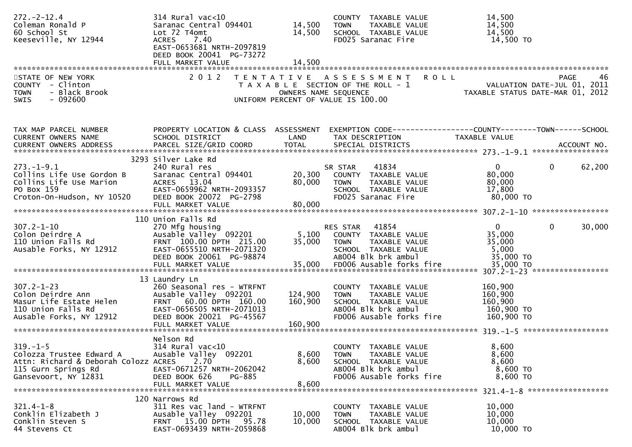| $272 - 2 - 12.4$<br>Coleman Ronald P<br>60 School St<br>Keeseville, NY 12944                                                                                           | 314 Rural vac<10<br>Saranac Central 094401<br>Lot 72 T4omt<br>7.40<br><b>ACRES</b><br>EAST-0653681 NRTH-2097819<br>DEED BOOK 20041 PG-73272<br>FULL MARKET VALUE | 14,500<br>14,500<br>14,500 | COUNTY TAXABLE VALUE<br>TAXABLE VALUE<br><b>TOWN</b><br>SCHOOL TAXABLE VALUE<br>FD025 Saranac Fire                                                   | 14,500<br>14,500<br>14,500<br>14,500 TO                                               |                   |
|------------------------------------------------------------------------------------------------------------------------------------------------------------------------|------------------------------------------------------------------------------------------------------------------------------------------------------------------|----------------------------|------------------------------------------------------------------------------------------------------------------------------------------------------|---------------------------------------------------------------------------------------|-------------------|
| STATE OF NEW YORK<br>COUNTY - Clinton<br><b>TOWN</b><br>- Black Brook<br>$-092600$<br>SWIS                                                                             | 2 0 1 2                                                                                                                                                          |                            | TENTATIVE ASSESSMENT<br><b>ROLL</b><br>T A X A B L E SECTION OF THE ROLL - 1<br>OWNERS NAME SEQUENCE<br>UNIFORM PERCENT OF VALUE IS 100.00           | VALUATION DATE-JUL 01, 2011<br>TAXABLE STATUS DATE-MAR 01, 2012                       | 46<br><b>PAGE</b> |
| TAX MAP PARCEL NUMBER<br><b>CURRENT OWNERS NAME</b><br>.0URRENT OWNERS ADDRESS PARCEL SIZE/GRID COORD TOTAL SPECIAL DISTRICTS ACCOUNT NO ACCOUNT NO ACCOUNT NO ACCOUNT | PROPERTY LOCATION & CLASS ASSESSMENT<br>SCHOOL DISTRICT                                                                                                          | LAND                       | EXEMPTION CODE-----------------COUNTY--------TOWN------SCHOOL<br>TAX DESCRIPTION                                                                     | TAXABLE VALUE                                                                         |                   |
| $273. - 1 - 9.1$<br>Collins Life Use Gordon B<br>Collins Life Use Marion<br>PO Box 159<br>Croton-On-Hudson, NY 10520                                                   | 3293 Silver Lake Rd<br>240 Rural res<br>Saranac Central 094401<br>ACRES 13.04<br>EAST-0659962 NRTH-2093357<br>DEED BOOK 20072 PG-2798<br>FULL MARKET VALUE       | 20,300<br>80,000<br>80,000 | 41834<br>SR STAR<br>COUNTY TAXABLE VALUE<br>TAXABLE VALUE<br>TOWN<br>SCHOOL TAXABLE VALUE<br>FD025 Saranac Fire                                      | $\overline{0}$<br>$\mathbf 0$<br>80,000<br>80,000<br>17,800<br>80,000 TO              | 62,200            |
|                                                                                                                                                                        | 110 Union Falls Rd                                                                                                                                               |                            |                                                                                                                                                      |                                                                                       |                   |
| $307.2 - 1 - 10$<br>Colon Deirdre A<br>110 Union Falls Rd<br>Ausable Forks, NY 12912                                                                                   | 270 Mfg housing<br>Ausable Valley 092201<br>FRNT 100.00 DPTH 215.00<br>EAST-0655510 NRTH-2071320<br>DEED BOOK 20061 PG-98874<br>FULL MARKET VALUE                | 5,100<br>35,000<br>35,000  | 41854<br>RES STAR<br>COUNTY TAXABLE VALUE<br><b>TOWN</b><br>TAXABLE VALUE<br>SCHOOL TAXABLE VALUE<br>AB004 Blk brk ambul<br>FD006 Ausable forks fire | $\overline{0}$<br>$\mathbf{0}$<br>35,000<br>35,000<br>5,000<br>35,000 TO<br>35,000 TO | 30,000            |
|                                                                                                                                                                        | 13 Laundry Ln                                                                                                                                                    |                            |                                                                                                                                                      |                                                                                       |                   |
| $307.2 - 1 - 23$<br>Colon Deirdre Ann<br>Masur Life Estate Helen<br>110 Union Falls Rd<br>Ausable Forks, NY 12912                                                      | 260 Seasonal res - WTRFNT<br>Ausable Valley 092201<br>FRNT 60.00 DPTH 160.00<br>EAST-0656505 NRTH-2071013<br>DEED BOOK 20021 PG-45567                            | 124,900<br>160,900         | COUNTY TAXABLE VALUE<br>TAXABLE VALUE<br><b>TOWN</b><br>SCHOOL TAXABLE VALUE<br>AB004 Blk brk ambul<br>FD006 Ausable forks fire                      | 160,900<br>160,900<br>160,900<br>160,900 TO<br>160,900 TO                             |                   |
| $319. - 1 - 5$<br>Colozza Trustee Edward A<br>Attn: Richard & Deborah Colozz ACRES<br>115 Gurn Springs Rd<br>Gansevoort, NY 12831                                      | Nelson Rd<br>314 Rural vac<10<br>Ausable Valley 092201<br>2.70<br>EAST-0671257 NRTH-2062042<br>DEED BOOK 626<br><b>PG-885</b><br>FULL MARKET VALUE               | 8,600<br>8,600<br>8,600    | COUNTY TAXABLE VALUE<br>TAXABLE VALUE<br><b>TOWN</b><br>SCHOOL TAXABLE VALUE<br>AB004 Blk brk ambul<br>FD006 Ausable forks fire                      | 8,600<br>8,600<br>8,600<br>8,600 TO<br>8,600 TO                                       |                   |
| $321.4 - 1 - 8$<br>Conklin Elizabeth J<br>Conklin Steven S<br>44 Stevens Ct                                                                                            | 120 Narrows Rd<br>311 Res vac land - WTRFNT<br>Ausable Valley 092201<br>FRNT 15.00 DPTH 95.78<br>EAST-0693439 NRTH-2059868                                       | 10,000<br>10,000           | COUNTY TAXABLE VALUE<br>TAXABLE VALUE<br><b>TOWN</b><br>SCHOOL TAXABLE VALUE<br>AB004 Blk brk ambul                                                  | 10,000<br>10,000<br>10,000<br>10,000 TO                                               |                   |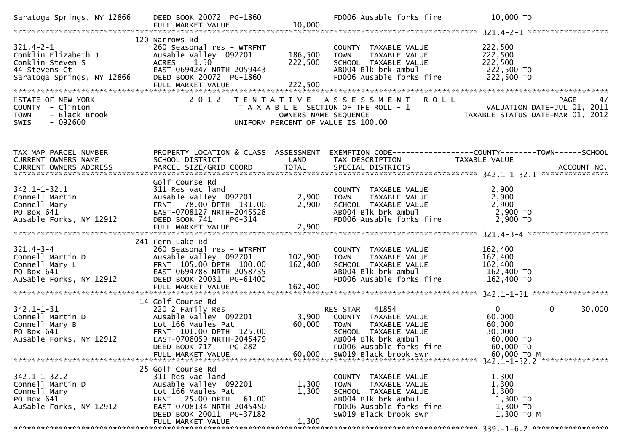| Saratoga Springs, NY 12866                                                                                                                                                                                                                                     | DEED BOOK 20072 PG-1860                                                                                                                                                                               | 10,000                        | FD006 Ausable forks fire                                                                                                                                                      | 10,000 TO                                                                                                                        |
|----------------------------------------------------------------------------------------------------------------------------------------------------------------------------------------------------------------------------------------------------------------|-------------------------------------------------------------------------------------------------------------------------------------------------------------------------------------------------------|-------------------------------|-------------------------------------------------------------------------------------------------------------------------------------------------------------------------------|----------------------------------------------------------------------------------------------------------------------------------|
| **************<br>121.4-2-1<br>Conklin Elizabeth J Ausable<br>Conklin Steven S ACRES<br>Conklin Steven S ACRES<br>Contract CAST-C<br>Consumer Section CAST-C<br>Consumer Section CAST-C<br>Consumer Section CAST-C<br>CONDER                                   | 120 Narrows Rd<br>260 Seasonal res - WTRFNT<br>Ausable Valley 092201<br>1.50<br>EAST-0694247 NRTH-2059443<br>DEED BOOK 20072 PG-1860<br>FULL MARKET VALUE                                             | 186,500<br>222,500<br>222,500 | COUNTY TAXABLE VALUE<br><b>TOWN</b><br>TAXABLE VALUE<br>SCHOOL TAXABLE VALUE<br>AB004 Blk brk ambul<br>FD006 Ausable forks fire                                               | 222,500<br>222,500<br>222,500<br>222,500 TO<br>222,500 TO                                                                        |
| STATE OF NEW YORK<br>COUNTY - Clinton<br>- Black Brook<br><b>TOWN</b><br>$-092600$<br>SWIS                                                                                                                                                                     | 2 0 1 2                                                                                                                                                                                               |                               | TENTATIVE ASSESSMENT ROLL                                                                                                                                                     | PAGE 47<br>OWNERS NAME SEQUENCE<br>ON DERES NAME SEQUENCE TAXABLE STATUS DATE-MAR 01, 2012<br>UNIFORM PERCENT OF VALUE IS 100.00 |
| TAX MAP PARCEL NUMBER<br>CURRENT OWNERS NAME                                                                                                                                                                                                                   | SCHOOL DISTRICT                                                                                                                                                                                       | LAND                          | TAX DESCRIPTION                                                                                                                                                               | PROPERTY LOCATION & CLASS ASSESSMENT EXEMPTION CODE---------------COUNTY-------TOWN------SCHOOL<br>TAXABLE VALUE                 |
| $342.1 - 1 - 32.1$<br>Connell Martin<br>Connell Mary<br>PO Box 641<br>Ausable Forks, NY 12912                                                                                                                                                                  | Golf Course Rd<br>311 Res vac land<br>Ausable Valley 092201<br>FRNT 78.00 DPTH 131.00<br>EAST-0708127 NRTH-2045528<br>DEED BOOK 741<br>PG-314                                                         | 2,900<br>2,900                | COUNTY TAXABLE VALUE<br>TAXABLE VALUE<br>TAXABLE VALUE<br><b>TOWN</b><br>SCHOOL TAXABLE VALUE<br>ABOO4 Blk brk ambul<br>FD006 Ausable forks fire                              | 2,900<br>2,900<br>2,900<br>$2,900$ TO<br>$2,900$ TO                                                                              |
| 321.4-3-4<br>Connell Martin D<br>Connell Mary L<br>PO Box 641<br>PO Box 641<br>PO Box 641<br>PO Box 641<br>PO Box 641<br>PO Box 641<br>PO Box 641<br>PO Box 641<br>PO Box 7.12912<br>PO Box 7.12912<br>PO BOX 20031<br>PO BOX 7.12912<br>PO BOOK 20031<br>PO M | 241 Fern Lake Rd                                                                                                                                                                                      | 102,900<br>162,400            | COUNTY TAXABLE VALUE<br>TAXABLE VALUE<br><b>TOWN</b><br>SCHOOL TAXABLE VALUE<br>ABOO4 Blk brk ambul<br>FD006 Ausable forks fire                                               | 162,400<br>162,400<br>162,400<br>162,400 TO<br>162,400 TO                                                                        |
| 342.1-1-31<br>Connell Martin D<br>Connell Mary B<br>PO ROX 641<br>Ausable Forks, NY 12912                                                                                                                                                                      | 14 Golf Course Rd<br>220 2 Family Res<br>Ausable Valley 092201<br>Lot 166 Maules Pat<br>FRNT 101.00 DPTH 125.00<br>EAST-0708059 NRTH-2045479<br>DEED BOOK 717 PG-282<br>FULL MARKET VALUE             | 3,900<br>60,000<br>60,000     | 41854<br>RES STAR<br>COUNTY TAXABLE VALUE<br>TAXABLE VALUE<br><b>TOWN</b><br>SCHOOL TAXABLE VALUE<br>AB004 Blk brk ambul<br>FD006 Ausable forks fire<br>SW019 Black brook swr | $\overline{0}$<br>$\mathbf{0}$<br>30,000<br>60,000<br>60,000<br>30,000<br>60,000 TO<br>60,000 TO<br>60,000 ТО М                  |
| $342.1 - 1 - 32.2$<br>Connell Martin D<br>Connell Mary<br>PO Box 641<br>AuSable Forks, NY 12912                                                                                                                                                                | 25 Golf Course Rd<br>311 Res vac land<br>Ausable Valley 092201<br>Lot 166 Maules Pat<br><b>FRNT 25.00 DPTH</b><br>61.00<br>EAST-0708134 NRTH-2045450<br>DEED BOOK 20011 PG-37182<br>FULL MARKET VALUE | 1,300<br>1,300<br>1,300       | COUNTY TAXABLE VALUE<br>TAXABLE VALUE<br>TOWN<br>SCHOOL TAXABLE VALUE<br>AB004 Blk brk ambul<br>FD006 Ausable forks fire<br>SW019 Black brook swr                             | 1,300<br>1,300<br>1,300<br>1,300 TO<br>1,300 TO<br>1,300 ТО М                                                                    |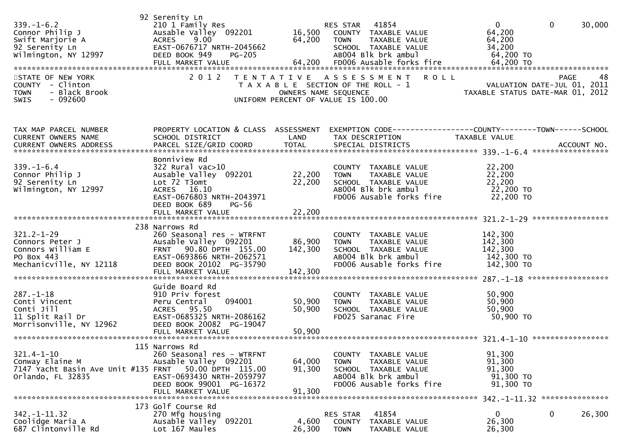| $339. - 1 - 6.2$<br>Connor Philip J<br>Swift Marjorie A<br>92 Serenity Ln<br>Wilmington, NY 12997 | 92 Serenity Ln<br>210 1 Family Res<br>Ausable Valley 092201<br>9.00<br><b>ACRES</b><br>EAST-0676717 NRTH-2045662<br>DEED BOOK 949<br><b>PG-205</b>                           | 16,500<br>64,200                          | 41854<br>RES STAR<br>COUNTY TAXABLE VALUE<br><b>TOWN</b><br>TAXABLE VALUE<br>SCHOOL TAXABLE VALUE<br>AB004 Blk brk ambul           | $\Omega$<br>64,200<br>64,200<br>34,200<br>64,200 TO       | $\mathbf 0$<br>30,000                         |
|---------------------------------------------------------------------------------------------------|------------------------------------------------------------------------------------------------------------------------------------------------------------------------------|-------------------------------------------|------------------------------------------------------------------------------------------------------------------------------------|-----------------------------------------------------------|-----------------------------------------------|
| STATE OF NEW YORK<br>COUNTY - Clinton<br>- Black Brook<br><b>TOWN</b><br>$-092600$<br>SWIS        | 2 0 1 2                                                                                                                                                                      | T E N T A T I V E<br>OWNERS NAME SEQUENCE | A S S E S S M E N T R O L L<br>T A X A B L E SECTION OF THE ROLL - 1<br>UNIFORM PERCENT OF VALUE IS 100.00                         | TAXABLE STATUS DATE-MAR 01, 2012                          | 48<br>PAGE<br>VALUATION DATE-JUL 01, 2011     |
| TAX MAP PARCEL NUMBER<br>CURRENT OWNERS NAME                                                      | PROPERTY LOCATION & CLASS ASSESSMENT<br>SCHOOL DISTRICT                                                                                                                      | LAND                                      | EXEMPTION CODE------------------COUNTY--------TOWN------SCHOOL<br>TAX DESCRIPTION                                                  | TAXABLE VALUE                                             |                                               |
| $339. - 1 - 6.4$<br>Connor Philip J<br>92 Serenity Ln<br>Wilmington, NY 12997                     | Bonniview Rd<br>322 Rural vac>10<br>Ausable Valley 092201<br>Lot 72 T3omt<br>ACRES 16.10<br>EAST-0676803 NRTH-2043971<br>DEED BOOK 689<br>PG-56<br>FULL MARKET VALUE         | 22,200<br>22,200<br>22,200                | COUNTY TAXABLE VALUE<br>TAXABLE VALUE<br><b>TOWN</b><br>SCHOOL TAXABLE VALUE<br>AB004 Blk brk ambul<br>FD006 Ausable forks fire    | 22,200<br>22,200<br>22,200<br>22,200 TO<br>22,200 TO      |                                               |
| $321.2 - 1 - 29$<br>Connors Peter J<br>Connors William E<br>PO Box 443<br>Mechanicville, NY 12118 | 238 Narrows Rd<br>260 Seasonal res - WTRFNT<br>Ausable Valley 092201<br>FRNT 90.80 DPTH 155.00<br>EAST-0693866 NRTH-2062571<br>DEED BOOK 20102 PG-35790<br>FULL MARKET VALUE | 86,900<br>142,300<br>142,300              | COUNTY TAXABLE VALUE<br>TAXABLE VALUE<br><b>TOWN</b><br>SCHOOL TAXABLE VALUE<br>AB004 Blk brk ambul<br>FD006 Ausable forks fire    | 142,300<br>142,300<br>142,300<br>142,300 TO<br>142,300 TO |                                               |
| $287. - 1 - 18$<br>Conti Vincent<br>Conti Jill<br>11 Split Rail Dr<br>Morrisonville, NY 12962     | Guide Board Rd<br>910 Priv forest<br>094001<br>Peru Central<br>ACRES 95.50<br>EAST-0685325 NRTH-2086162<br>DEED BOOK 20082 PG-19047                                          | 50,900<br>50,900                          | COUNTY TAXABLE VALUE<br>TAXABLE VALUE<br><b>TOWN</b><br>SCHOOL TAXABLE VALUE<br>FD025 Saranac Fire                                 | 50,900<br>50,900<br>50,900<br>50,900 TO                   |                                               |
| $321.4 - 1 - 10$<br>Conway Elaine M<br>7147 Yacht Basin Ave Unit #135 FRNT<br>Orlando, FL 32835   | 115 Narrows Rd<br>260 Seasonal res - WTRFNT<br>Ausable Valley 092201<br>50.00 DPTH 115.00<br>EAST-0693430 NRTH-2059797<br>DEED BOOK 99001 PG-16372<br>FULL MARKET VALUE      | 64,000<br>91,300<br>91,300                | TAXABLE VALUE<br>COUNTY<br><b>TOWN</b><br>TAXABLE VALUE<br>SCHOOL TAXABLE VALUE<br>AB004 Blk brk ambul<br>FD006 Ausable forks fire | 91,300<br>91,300<br>91,300<br>91,300 TO<br>91,300 TO      |                                               |
| $342. - 1 - 11.32$<br>Coolidge Maria A<br>687 Clintonville Rd                                     | 173 Golf Course Rd<br>270 Mfg housing<br>Ausable Valley 092201<br>Lot 167 Maules                                                                                             | 4,600<br>26,300                           | 41854<br>RES STAR<br>TAXABLE VALUE<br>COUNTY<br><b>TOWN</b><br>TAXABLE VALUE                                                       | 0<br>26,300<br>26,300                                     | 342. -1-11.32 ****************<br>0<br>26,300 |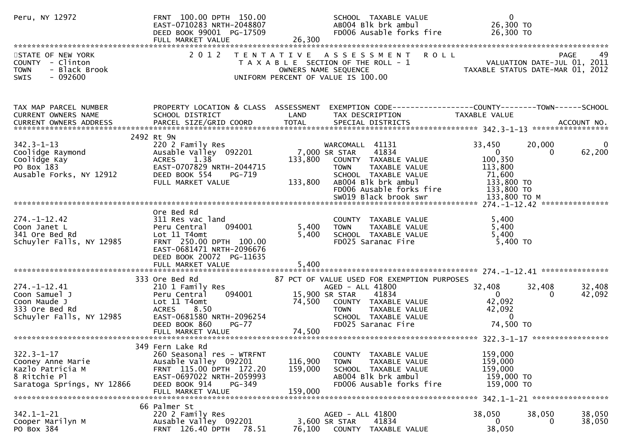| Peru, NY 12972                                                                                              | FRNT 100.00 DPTH 150.00<br>EAST-0710283 NRTH-2048807<br>DEED BOOK 99001 PG-17509<br>FULL MARKET VALUE                                                                             | SCHOOL TAXABLE VALUE<br>AB004 Blk brk ambul<br>FD006 Ausable forks fire<br>26,300                                                                                                                          | $\mathbf 0$<br>26,300 ТО<br>26,300 ТО                                                                                               |                                            |
|-------------------------------------------------------------------------------------------------------------|-----------------------------------------------------------------------------------------------------------------------------------------------------------------------------------|------------------------------------------------------------------------------------------------------------------------------------------------------------------------------------------------------------|-------------------------------------------------------------------------------------------------------------------------------------|--------------------------------------------|
| STATE OF NEW YORK<br>COUNTY - Clinton<br>- Black Brook<br><b>TOWN</b><br>SWIS<br>$-092600$                  | 2 0 1 2                                                                                                                                                                           | TENTATIVE ASSESSMENT ROLL<br>T A X A B L E SECTION OF THE ROLL - 1<br>OWNERS NAME SEQUENCE<br>UNIFORM PERCENT OF VALUE IS 100.00                                                                           | VALUATION DATE-JUL 01, 2011<br>TAXABLE STATUS DATE-MAR 01, 2012                                                                     | <b>PAGE</b><br>49                          |
| TAX MAP PARCEL NUMBER<br>CURRENT OWNERS NAME<br>CURRENT OWNERS ADDRESS                                      | PROPERTY LOCATION & CLASS ASSESSMENT<br>SCHOOL DISTRICT<br>PARCEL SIZE/GRID COORD                                                                                                 | LAND<br>TAX DESCRIPTION<br><b>TOTAL</b><br>SPECIAL DISTRICTS                                                                                                                                               | EXEMPTION CODE------------------COUNTY--------TOWN------SCHOOL<br>TAXABLE VALUE                                                     | ACCOUNT NO.                                |
| $342.3 - 1 - 13$<br>342.3-1-13<br>Coolidge Raymond<br>Coolidge Kay<br>PO Box 183<br>Ausable Forks, NY 12912 | 2492 Rt 9N<br>220 2 Family Res<br>Ausable Valley 092201<br>ACRES 1.38<br>EAST-0707829 NRTH-2044715<br>DEED BOOK 554<br>PG-719<br>FULL MARKET VALUE                                | WARCOMALL 41131<br>41834<br>7,000 SR STAR<br>133,800<br>COUNTY TAXABLE VALUE<br><b>TOWN</b><br>SCHOOL TAXABLE VALUE<br>ABOO4 Blk brk ambul<br>133,800<br>FD006 Ausable forks fire<br>SW019 Black brook swr | 33,450<br>$\overline{0}$<br>100,350<br>113,800<br>TAXABLE VALUE<br>71,600<br>133,800 TO<br>133,800 TO<br>133,800 ТО М               | 20,000<br>62,200<br>$\mathbf{0}$           |
| $274. - 1 - 12.42$<br>Coon Janet L<br>341 Ore Bed Rd<br>Schuyler Falls, NY 12985                            | Ore Bed Rd<br>311 Res vac land<br>094001<br>Peru Central<br>Lot 11 T4omt<br>FRNT 250.00 DPTH 100.00<br>EAST-0681471 NRTH-2096676<br>DEED BOOK 20072 PG-11635<br>FULL MARKET VALUE | COUNTY TAXABLE VALUE<br>5,400<br><b>TOWN</b><br>5,400<br>SCHOOL TAXABLE VALUE<br>FD025 Saranac Fire<br>5,400                                                                                               | 5,400<br>TAXABLE VALUE<br>5,400<br>5,400<br>$5,400$ TO                                                                              |                                            |
| $274. - 1 - 12.41$<br>Coon Samuel J<br>Coon Maude J<br>333 Ore Bed Rd<br>Schuyler Falls, NY 12985           | 333 Ore Bed Rd<br>210 1 Family Res<br>Peru Central<br>094001<br>Lot 11 T4omt<br>ACRES 8.50<br>EAST-0681580 NRTH-2096254<br>DEED BOOK 860<br>$PG-77$                               | 87 PCT OF VALUE USED FOR EXEMPTION PURPOSES<br>AGED - ALL 41800<br>15,900 SR STAR<br>41834<br>74,500<br><b>TOWN</b><br>SCHOOL TAXABLE VALUE<br>FD025 Saranac Fire                                          | 32,408<br>$\mathbf{0}$<br>42,092<br>COUNTY TAXABLE VALUE<br>42,092<br>TAXABLE VALUE<br>TAXABLE VALUE<br>$\overline{0}$<br>74,500 TO | 32,408<br>32,408<br>42,092<br>$\mathbf{0}$ |
| $322.3 - 1 - 17$<br>Cooney Anne Marie<br>Kazlo Patricia M<br>8 Ritchie Pl<br>Saratoga Springs, NY 12866     | 349 Fern Lake Rd<br>260 Seasonal res - WTRFNT<br>Ausable Valley 092201<br>FRNT 115.00 DPTH 172.20<br>EAST-0697022 NRTH-2059993<br>DEED BOOK 914<br>PG-349<br>FULL MARKET VALUE    | COUNTY TAXABLE VALUE<br>116,900<br><b>TOWN</b><br>159,000<br>SCHOOL TAXABLE VALUE<br>AB004 Blk brk ambul<br>FD006 Ausable forks fire<br>159,000                                                            | 159,000<br>159,000<br>TAXABLE VALUE<br>159,000<br>159,000 TO<br>159,000 TO                                                          |                                            |
| $342.1 - 1 - 21$<br>Cooper Marilyn M<br>PO Box 384                                                          | 66 Palmer St<br>220 2 Family Res<br>Ausable Valley 092201<br>FRNT 126.40 DPTH<br>78.51                                                                                            | AGED - ALL 41800<br>41834<br>3,600 SR STAR<br>76,100<br>COUNTY TAXABLE VALUE                                                                                                                               | 38,050<br>0<br>38,050                                                                                                               | 38,050<br>38,050<br>38,050<br>0            |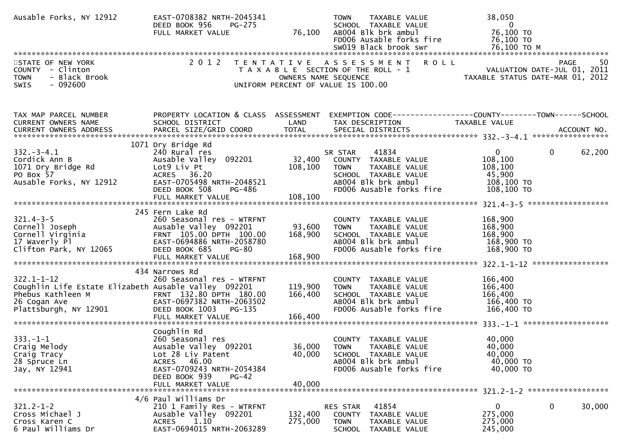| Ausable Forks, NY 12912                                                                                                                           | EAST-0708382 NRTH-2045341<br>DEED BOOK 956<br><b>PG-275</b><br>FULL MARKET VALUE                                                                                                     | 76,100                        | TAXABLE VALUE<br><b>TOWN</b><br>SCHOOL TAXABLE VALUE<br>AB004 Blk brk ambul<br>FD006 Ausable forks fire<br>SW019 Black brook swr                    | 38,050<br>$\overline{\mathbf{0}}$<br>76,100 TO<br>76,100 TO<br>76,100 ТО М                                               |
|---------------------------------------------------------------------------------------------------------------------------------------------------|--------------------------------------------------------------------------------------------------------------------------------------------------------------------------------------|-------------------------------|-----------------------------------------------------------------------------------------------------------------------------------------------------|--------------------------------------------------------------------------------------------------------------------------|
| STATE OF NEW YORK<br>COUNTY - Clinton<br>- Black Brook<br><b>TOWN</b><br>$-092600$<br>SWIS                                                        | 2 0 1 2                                                                                                                                                                              | OWNERS NAME SEQUENCE          | <b>ROLL</b><br>TENTATIVE ASSESSMENT<br>T A X A B L E SECTION OF THE ROLL - 1<br>UNIFORM PERCENT OF VALUE IS 100.00                                  | PAGE<br>50<br>VALUATION DATE-JUL 01, 2011<br>TAXABLE STATUS DATE-MAR 01, 2012                                            |
| TAX MAP PARCEL NUMBER<br>CURRENT OWNERS NAME                                                                                                      | SCHOOL DISTRICT                                                                                                                                                                      | LAND                          | TAX DESCRIPTION                                                                                                                                     | PROPERTY LOCATION & CLASS ASSESSMENT EXEMPTION CODE----------------COUNTY-------TOWN------SCHOOL<br><b>TAXABLE VALUE</b> |
| $332 - 3 - 4.1$<br>Cordick Ann B<br>1071 Dry Bridge Rd<br>PO Box 57<br>Ausable Forks, NY 12912                                                    | 1071 Dry Bridge Rd<br>240 Rural res<br>Ausable Valley 092201<br>Lot9 Liv Pt<br>ACRES 36.20<br>EAST-0705498 NRTH-2048521<br>DEED BOOK 508<br>PG-486                                   | 32,400<br>108,100             | 41834<br>SR STAR<br>COUNTY TAXABLE VALUE<br><b>TOWN</b><br>TAXABLE VALUE<br>SCHOOL TAXABLE VALUE<br>AB004 Blk brk ambul<br>FD006 Ausable forks fire | $\overline{0}$<br>$\mathbf{0}$<br>62,200<br>108,100<br>108,100<br>45,900<br>108,100 TO<br>108,100 TO                     |
| $321.4 - 3 - 5$<br>Cornell Joseph<br>Cornell Virginia<br>17 Waverly Pl<br>Clifton Park, NY 12065                                                  | 245 Fern Lake Rd<br>260 Seasonal res - WTRFNT<br>Ausable Valley 092201<br>FRNT 105.00 DPTH 100.00<br>EAST-0694886 NRTH-2058780<br>DEED BOOK 685<br>PG-80<br>FULL MARKET VALUE        | 93,600<br>168,900<br>168,900  | COUNTY TAXABLE VALUE<br><b>TOWN</b><br>TAXABLE VALUE<br>SCHOOL TAXABLE VALUE<br>AB004 Blk brk ambul<br>FD006 Ausable forks fire                     | 168,900<br>168,900<br>168,900<br>168,900 TO<br>168,900 TO                                                                |
| $322.1 - 1 - 12$<br>Coughlin Life Estate Elizabeth Ausable Valley 092201<br>Phebus Kathleen M<br>$M$ $M$<br>26 Cogan Ave<br>Plattsburgh, NY 12901 | 434 Narrows Rd<br>260 Seasonal res - WTRFNT<br>FRNT 132.80 DPTH 180.00<br>EAST-0697382 NRTH-2063502<br>DEED BOOK 1003 PG-135<br>FULL MARKET VALUE                                    | 119,900<br>166,400<br>166,400 | COUNTY TAXABLE VALUE<br><b>TOWN</b><br>TAXABLE VALUE<br>SCHOOL TAXABLE VALUE<br>AB004 Blk brk ambul<br>FD006 Ausable forks fire                     | 166,400<br>166,400<br>166,400<br>166,400 TO<br>166,400 TO                                                                |
| $333. - 1 - 1$<br>Craig Melody<br>Craig Tracy<br>28 Spruce Ln<br>Jay, NY 12941                                                                    | Coughlin Rd<br>260 Seasonal res<br>Ausable Valley 092201<br>Lot 28 Liv Patent<br>46.00<br><b>ACRES</b><br>EAST-0709243 NRTH-2054384<br>DEED BOOK 939<br>$PG-42$<br>FULL MARKET VALUE | 36,000<br>40,000<br>40,000    | COUNTY TAXABLE VALUE<br><b>TOWN</b><br>TAXABLE VALUE<br>SCHOOL TAXABLE VALUE<br>AB004 Blk brk ambul<br>FD006 Ausable forks fire                     | 40,000<br>40,000<br>40,000<br>40,000 TO<br>40,000 TO                                                                     |
| $321.2 - 1 - 2$<br>Cross Michael J<br>Cross Karen C<br>6 Paul Williams Dr                                                                         | 4/6 Paul Williams Dr<br>210 1 Family Res - WTRFNT<br>Ausable Valley 092201<br>1.10<br><b>ACRES</b><br>EAST-0694015 NRTH-2063289                                                      | 132,400<br>275,000            | 41854<br><b>RES STAR</b><br>TAXABLE VALUE<br>COUNTY<br><b>TOWN</b><br>TAXABLE VALUE<br>SCHOOL TAXABLE VALUE                                         | 0<br>30,000<br>0<br>275,000<br>275,000<br>245,000                                                                        |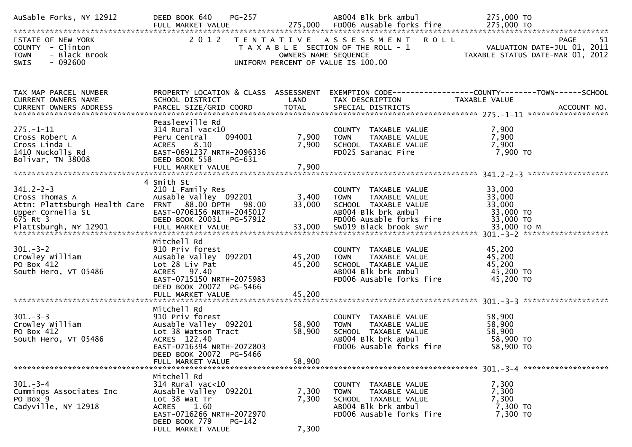| AuSable Forks, NY 12912                                               | <b>PG-257</b><br>DEED BOOK 640                          |                      | AB004 Blk brk ambul                                                                         | 275,000 TO                                                                                                           |
|-----------------------------------------------------------------------|---------------------------------------------------------|----------------------|---------------------------------------------------------------------------------------------|----------------------------------------------------------------------------------------------------------------------|
| STATE OF NEW YORK<br>COUNTY - Clinton<br>- Black Brook<br><b>TOWN</b> |                                                         |                      | 2012 TENTATIVE ASSESSMENT ROLL<br>UNIFORM PERCENT OF VALUE IS 100.00                        | <b>PAGE</b><br>-51<br>T A X A B L E SECTION OF THE ROLL - 1<br>OWNERS NAME SEQUENCE TAXABLE STATUS DATE-MAR 01, 2012 |
| SWIS<br>- 092600                                                      |                                                         |                      |                                                                                             |                                                                                                                      |
| TAX MAP PARCEL NUMBER<br>CURRENT OWNERS NAME                          | PROPERTY LOCATION & CLASS ASSESSMENT<br>SCHOOL DISTRICT | LAND                 | TAX DESCRIPTION                                                                             | EXEMPTION CODE------------------COUNTY--------TOWN------SCHOOL<br>TAXABLE VALUE                                      |
|                                                                       | Peasleeville Rd<br>314 Rural vac<10                     |                      |                                                                                             | 7,900                                                                                                                |
| 275.-1-11<br>Cross Robert A<br>Cross Linda L<br>1410 Nuckolls Rd      | 094001<br>Peru Central<br>ACRES 8.10                    | 7,900<br>7,900       | COUNTY TAXABLE VALUE<br>TOWN   TAXABLE VALUE<br>SCHOOL  TAXABLE VALUE<br>FDO25 Saranac Fire | 7,900<br>7,900                                                                                                       |
| Bolivar, TN 38008                                                     | EAST-0691237 NRTH-2096336<br>DEED BOOK 558<br>PG-631    |                      |                                                                                             | 7,900 TO                                                                                                             |
|                                                                       |                                                         |                      |                                                                                             |                                                                                                                      |
| $341.2 - 2 - 3$                                                       | 4 Smith St<br>210 1 Family Res                          |                      | COUNTY TAXABLE VALUE                                                                        | 33,000                                                                                                               |
| Cross Thomas A<br>Attn: Plattsburgh Health Care FRNT 88.00 DPTH 98.00 | Ausable Valley 092201                                   | $\frac{3}{33}$ , 400 | TAXABLE VALUE<br><b>TOWN</b><br>SCHOOL TAXABLE VALUE                                        | 33,000<br>33,000                                                                                                     |
|                                                                       |                                                         |                      |                                                                                             |                                                                                                                      |
|                                                                       |                                                         |                      |                                                                                             |                                                                                                                      |
| $301 - 3 - 2$                                                         | Mitchell Rd<br>910 Priv forest                          |                      | COUNTY TAXABLE VALUE                                                                        | 45,200                                                                                                               |
| Crowley William<br>PO Box 412                                         | Ausable Valley 092201<br>Lot 28 Liv Pat                 | 45,200<br>45,200     | TAXABLE VALUE<br>TOWN                                                                       | 45,200<br>45,200                                                                                                     |
| South Hero, VT 05486                                                  | ACRES 97.40<br>EAST-0715150 NRTH-2075983                |                      | SCHOOL TAXABLE VALUE<br>ABOO4 Blk brk ambul<br>FD006 Ausable forks fire                     | 45,200 TO<br>45,200 TO                                                                                               |
|                                                                       | DEED BOOK 20072 PG-5466                                 |                      |                                                                                             |                                                                                                                      |
|                                                                       | Mitchell Rd                                             |                      |                                                                                             |                                                                                                                      |
| $301 - 3 - 3$<br>Crowley William                                      | 910 Priv forest<br>Ausable Valley 092201                | 58,900               | COUNTY TAXABLE VALUE<br><b>TOWN</b><br>TAXABLE VALUE                                        | 58,900<br>58,900                                                                                                     |
| PO Box 412<br>South Hero, VT 05486                                    | Lot 38 Watson Tract<br>ACRES 122.40                     | 58,900               | SCHOOL TAXABLE VALUE<br>AB004 Blk brk ambul                                                 | 58,900<br>58,900 TO                                                                                                  |
|                                                                       | EAST-0716394 NRTH-2072803<br>DEED BOOK 20072 PG-5466    |                      | FD006 Ausable forks fire                                                                    | 58,900 TO                                                                                                            |
|                                                                       | FULL MARKET VALUE                                       | 58,900               |                                                                                             |                                                                                                                      |
| 301. – 3–4                                                            | Mitchell Rd<br>$314$ Rural vac<10                       |                      | COUNTY TAXABLE VALUE                                                                        | 7,300                                                                                                                |
| Cummings Associates Inc<br>PO Box 9                                   | Ausable Valley 092201<br>Lot 38 Wat Tr                  | 7,300<br>7,300       | <b>TOWN</b><br>TAXABLE VALUE<br>SCHOOL TAXABLE VALUE                                        | 7,300<br>7,300                                                                                                       |
| Cadyville, NY 12918                                                   | ACRES 1.60<br>EAST-0716266 NRTH-2072970                 |                      | AB004 Blk brk ambul<br>FD006 Ausable forks fire                                             | 7,300 TO<br>7,300 TO                                                                                                 |
|                                                                       | DEED BOOK 779<br>PG-142<br>FULL MARKET VALUE            | 7,300                |                                                                                             |                                                                                                                      |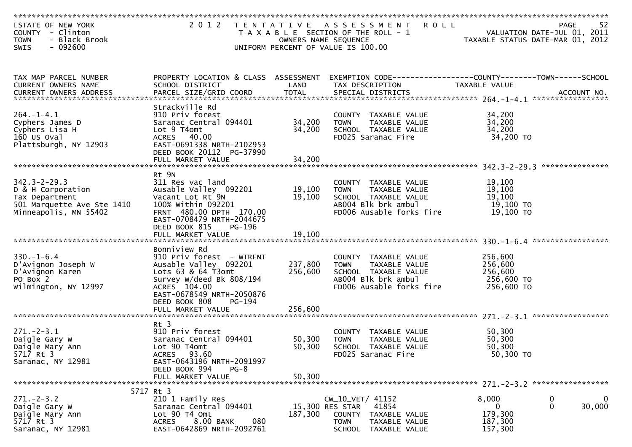| STATE OF NEW YORK<br>COUNTY - Clinton<br>- Black Brook<br><b>TOWN</b><br>$-092600$<br><b>SWIS</b>                | 2 0 1 2                                                                                                                                                                                     |                            | TENTATIVE ASSESSMENT<br><b>ROLL</b><br>T A X A B L E SECTION OF THE ROLL - 1<br>OWNERS NAME SEQUENCE<br>UNIFORM PERCENT OF VALUE IS 100.00 |                                                           | 52<br><b>PAGE</b><br>VALUATION DATE-JUL 01, 2011<br>TAXABLE STATUS DATE-MAR 01, 2012 |
|------------------------------------------------------------------------------------------------------------------|---------------------------------------------------------------------------------------------------------------------------------------------------------------------------------------------|----------------------------|--------------------------------------------------------------------------------------------------------------------------------------------|-----------------------------------------------------------|--------------------------------------------------------------------------------------|
|                                                                                                                  |                                                                                                                                                                                             |                            |                                                                                                                                            |                                                           |                                                                                      |
| TAX MAP PARCEL NUMBER<br>CURRENT OWNERS NAME                                                                     | PROPERTY LOCATION & CLASS ASSESSMENT<br>SCHOOL DISTRICT                                                                                                                                     | LAND                       | TAX DESCRIPTION                                                                                                                            | TAXABLE VALUE                                             |                                                                                      |
|                                                                                                                  | Strackville Rd                                                                                                                                                                              |                            |                                                                                                                                            |                                                           |                                                                                      |
| $264. -1 - 4.1$<br>Cyphers James D<br>Cyphers Lisa H<br>$160$ US Oval<br>Plattsburgh, NY 12903                   | 910 Priv forest<br>Saranac Central 094401<br>Lot 9 T4omt<br>ACRES 40.00<br>EAST-0691338 NRTH-2102953<br>DEED BOOK 20112 PG-37990<br>FULL MARKET VALUE                                       | 34,200<br>34,200<br>34,200 | COUNTY TAXABLE VALUE<br>TAXABLE VALUE<br><b>TOWN</b><br>SCHOOL TAXABLE VALUE<br>FD025 Saranac Fire                                         | 34,200<br>34,200<br>34,200<br>34,200 TO                   |                                                                                      |
|                                                                                                                  |                                                                                                                                                                                             |                            |                                                                                                                                            |                                                           |                                                                                      |
| $342.3 - 2 - 29.3$<br>D & H Corporation<br>Tax Department<br>501 Marquette Ave Ste 1410<br>Minneapolis, MN 55402 | Rt 9N<br>311 Res vac land<br>Ausable Valley 092201<br>Vacant Lot Rt 9N<br>100% Within 092201<br>FRNT 480.00 DPTH 170.00<br>EAST-0708479 NRTH-2044675<br>DEED BOOK 815<br>PG-196             | 19,100<br>19,100           | COUNTY TAXABLE VALUE<br>TAXABLE VALUE<br><b>TOWN</b><br>SCHOOL TAXABLE VALUE<br>AB004 Blk brk ambul<br>FD006 Ausable forks fire            | 19,100<br>19,100<br>19,100<br>19,100 TO<br>19,100 TO      |                                                                                      |
|                                                                                                                  |                                                                                                                                                                                             |                            |                                                                                                                                            |                                                           |                                                                                      |
| $330. - 1 - 6.4$<br>D'Avignon Joseph W<br>D'Avignon Karen<br>PO Box 2<br>Wilmington, NY 12997                    | Bonniview Rd<br>910 Priv forest - WTRFNT<br>Ausable Valley 092201<br>Lots 63 & 64 T3omt<br>Survey W/deed Bk 808/194<br>ACRES 104.00<br>EAST-0678549 NRTH-2050876<br>DEED BOOK 808<br>PG-194 | 237,800<br>256,600         | COUNTY TAXABLE VALUE<br>TAXABLE VALUE<br>TOWN<br>SCHOOL TAXABLE VALUE<br>AB004 Blk brk ambul<br>FD006 Ausable forks fire                   | 256,600<br>256,600<br>256,600<br>256,600 TO<br>256,600 TO |                                                                                      |
|                                                                                                                  | FULL MARKET VALUE                                                                                                                                                                           | 256,600                    |                                                                                                                                            |                                                           |                                                                                      |
| $271. - 2 - 3.1$<br>Daigle Gary W<br>Daigle Mary Ann<br>5717 Rt 3<br>Saranac, NY 12981                           | $Rt$ 3<br>910 Priv forest<br>Saranac Central 094401<br>Lot 90 T4omt<br>ACRES 93.60<br>EAST-0643196 NRTH-2091997<br>DEED BOOK 994<br>$PG-8$                                                  | 50,300<br>50,300           | COUNTY TAXABLE VALUE<br>TAXABLE VALUE<br><b>TOWN</b><br>SCHOOL TAXABLE VALUE<br>FD025 Saranac Fire                                         | 50,300<br>50,300<br>50,300<br>50,300 TO                   |                                                                                      |
|                                                                                                                  | FULL MARKET VALUE                                                                                                                                                                           | 50,300                     |                                                                                                                                            |                                                           |                                                                                      |
| $271 - 2 - 3.2$<br>Daigle Gary W<br>Daigle Mary Ann<br>5717 Rt 3<br>Saranac, NY 12981                            | 5717 Rt 3<br>210 1 Family Res<br>Saranac Central 094401<br>Lot 90 T4 Omt<br>8.00 BANK<br>080<br><b>ACRES</b><br>EAST-0642869 NRTH-2092761                                                   | 187,300                    | CW_10_VET/ 41152<br>15,300 RES STAR<br>41854<br>COUNTY<br>TAXABLE VALUE<br><b>TOWN</b><br>TAXABLE VALUE<br><b>SCHOOL</b><br>TAXABLE VALUE  | 8,000<br>0<br>179,300<br>187,300<br>157,300               | 0<br>0<br>30,000<br>$\mathbf{0}$                                                     |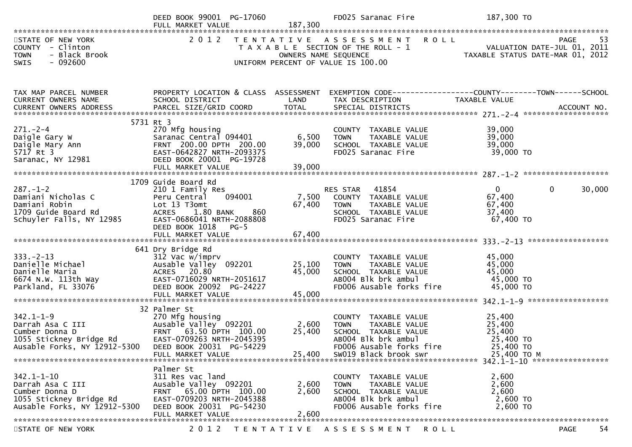| 2012 TENTATIVE ASSESSMENT ROLL<br>STATE OF NEW YORK<br>RESENSE PAGE 53<br>VALUATION DATE-JUL 01, 2011<br>TAXABLE STATIIS DATE MARI 2011<br>COUNTY - Clinton<br>T A X A B L E SECTION OF THE ROLL - 1<br>- Black Brook<br><b>TOWN</b><br>OWNERS NAME SEQUENCE<br>$-092600$<br>UNIFORM PERCENT OF VALUE IS 100.00<br>SWIS<br>TAX MAP PARCEL NUMBER<br>PROPERTY LOCATION & CLASS ASSESSMENT<br>EXEMPTION CODE------------------COUNTY--------TOWN------SCHOOL<br><b>Example 18 Service CAND</b><br>CURRENT OWNERS NAME<br>SCHOOL DISTRICT<br>TAX DESCRIPTION<br>TAXABLE VALUE<br>5731 Rt 3<br>270 Mfg housing<br>$271 - 2 - 4$<br>39,000<br>COUNTY TAXABLE VALUE<br>z/1.-z- <del>.</del><br>Daigle Gary W<br>Daigle Mary Ann<br>5717 Rt 3<br>6,500<br>39,000<br>Saranac Central 094401<br><b>TOWN</b><br>TAXABLE VALUE<br>FRNT 200.00 DPTH 200.00<br>39,000<br>SCHOOL TAXABLE VALUE<br>39,000<br>EAST-0642827 NRTH-2093375<br>FD025 Saranac Fire<br>39,000 TO<br>Saranac, NY 12981<br>DEED BOOK 20001 PG-19728<br>1709 Guide Board Rd<br>$\mathbf{0}$<br>$287. - 1 - 2$<br>$\mathbf{0}$<br>30,000<br>210 1 Family Res<br>RES STAR 41854<br>COUNTY TAXABLE VALUE<br>7,500<br>094001<br>67,400<br>Damiani Nicholas C<br>Peru Central<br>67,400<br>Lot 13 T3omt<br>67,400<br>Damiani Robin<br><b>TOWN</b><br>TAXABLE VALUE<br>1709 Guide Board Rd<br>ACRES 1.80 BANK<br>860<br>SCHOOL TAXABLE VALUE<br>37,400<br>Schuyler Falls, NY 12985<br>FD025 Saranac Fire<br>67,400 TO<br>EAST-0686041 NRTH-2088808<br>DEED BOOK 1018<br>$PG-5$<br>641 Dry Bridge Rd<br>$333. -2 - 13$<br>312 Vac w/imprv<br>45,000<br>COUNTY TAXABLE VALUE<br>Danielle Michael<br>Ausable Valley 092201<br>25,100<br>45,000<br><b>TOWN</b><br>TAXABLE VALUE<br>45,000<br>ACRES 20.80<br>45,000<br>SCHOOL TAXABLE VALUE<br>panielle Maria<br>6674 N.W. 113th Way<br>EAST-0716029 NRTH-2051617<br>45,000 TO<br>AB004 Blk brk ambul<br>DEED BOOK 20092 PG-24227<br>FD006 Ausable forks fire<br>45,000 TO<br>Parkland, FL 33076<br>32 Palmer St<br>270 Mfg housing<br>$342.1 - 1 - 9$<br>25,400<br>COUNTY TAXABLE VALUE<br>Ausable valley 092201<br>2,600<br>Darrah Asa C III<br>25,400<br><b>TOWN</b><br>TAXABLE VALUE<br>FRNT 63.50 DPTH 100.00<br>25,400<br>25,400<br>Cumber Donna D<br>SCHOOL TAXABLE VALUE<br>EAST-0709263 NRTH-2045395<br>1055 Stickney Bridge Rd<br>AB004 Blk brk ambul<br>25,400 TO<br>Ausable Forks, NY 12912-5300 DEED BOOK 20031 PG-54229<br>FD006 Ausable forks fire<br>25,400 TO<br>25,400<br>SW019 Black brook swr<br>25,400 TO M<br>FULL MARKET VALUE<br>Palmer St<br>$342.1 - 1 - 10$<br>2,600<br>311 Res vac land<br>COUNTY TAXABLE VALUE<br>Ausable Valley 092201<br>2,600<br>Darrah Asa C III<br>2,600<br><b>TOWN</b><br>TAXABLE VALUE<br>FRNT 65.00 DPTH 100.00<br>2,600<br>Cumber Donna D<br>2,600<br>SCHOOL TAXABLE VALUE |                         | DEED BOOK 99001 PG-17060<br>FULL MARKET VALUE | 187,300 | FD025 Saranac Fire  | 187,300 TO |
|------------------------------------------------------------------------------------------------------------------------------------------------------------------------------------------------------------------------------------------------------------------------------------------------------------------------------------------------------------------------------------------------------------------------------------------------------------------------------------------------------------------------------------------------------------------------------------------------------------------------------------------------------------------------------------------------------------------------------------------------------------------------------------------------------------------------------------------------------------------------------------------------------------------------------------------------------------------------------------------------------------------------------------------------------------------------------------------------------------------------------------------------------------------------------------------------------------------------------------------------------------------------------------------------------------------------------------------------------------------------------------------------------------------------------------------------------------------------------------------------------------------------------------------------------------------------------------------------------------------------------------------------------------------------------------------------------------------------------------------------------------------------------------------------------------------------------------------------------------------------------------------------------------------------------------------------------------------------------------------------------------------------------------------------------------------------------------------------------------------------------------------------------------------------------------------------------------------------------------------------------------------------------------------------------------------------------------------------------------------------------------------------------------------------------------------------------------------------------------------------------------------------------------------------------------------------------------------------------------------------------------------------------------------------------------------------------------------------------------------------------------------------------------------------------------------------------|-------------------------|-----------------------------------------------|---------|---------------------|------------|
|                                                                                                                                                                                                                                                                                                                                                                                                                                                                                                                                                                                                                                                                                                                                                                                                                                                                                                                                                                                                                                                                                                                                                                                                                                                                                                                                                                                                                                                                                                                                                                                                                                                                                                                                                                                                                                                                                                                                                                                                                                                                                                                                                                                                                                                                                                                                                                                                                                                                                                                                                                                                                                                                                                                                                                                                                              |                         |                                               |         |                     |            |
|                                                                                                                                                                                                                                                                                                                                                                                                                                                                                                                                                                                                                                                                                                                                                                                                                                                                                                                                                                                                                                                                                                                                                                                                                                                                                                                                                                                                                                                                                                                                                                                                                                                                                                                                                                                                                                                                                                                                                                                                                                                                                                                                                                                                                                                                                                                                                                                                                                                                                                                                                                                                                                                                                                                                                                                                                              |                         |                                               |         |                     |            |
|                                                                                                                                                                                                                                                                                                                                                                                                                                                                                                                                                                                                                                                                                                                                                                                                                                                                                                                                                                                                                                                                                                                                                                                                                                                                                                                                                                                                                                                                                                                                                                                                                                                                                                                                                                                                                                                                                                                                                                                                                                                                                                                                                                                                                                                                                                                                                                                                                                                                                                                                                                                                                                                                                                                                                                                                                              |                         |                                               |         |                     |            |
|                                                                                                                                                                                                                                                                                                                                                                                                                                                                                                                                                                                                                                                                                                                                                                                                                                                                                                                                                                                                                                                                                                                                                                                                                                                                                                                                                                                                                                                                                                                                                                                                                                                                                                                                                                                                                                                                                                                                                                                                                                                                                                                                                                                                                                                                                                                                                                                                                                                                                                                                                                                                                                                                                                                                                                                                                              |                         |                                               |         |                     |            |
|                                                                                                                                                                                                                                                                                                                                                                                                                                                                                                                                                                                                                                                                                                                                                                                                                                                                                                                                                                                                                                                                                                                                                                                                                                                                                                                                                                                                                                                                                                                                                                                                                                                                                                                                                                                                                                                                                                                                                                                                                                                                                                                                                                                                                                                                                                                                                                                                                                                                                                                                                                                                                                                                                                                                                                                                                              |                         |                                               |         |                     |            |
|                                                                                                                                                                                                                                                                                                                                                                                                                                                                                                                                                                                                                                                                                                                                                                                                                                                                                                                                                                                                                                                                                                                                                                                                                                                                                                                                                                                                                                                                                                                                                                                                                                                                                                                                                                                                                                                                                                                                                                                                                                                                                                                                                                                                                                                                                                                                                                                                                                                                                                                                                                                                                                                                                                                                                                                                                              |                         |                                               |         |                     |            |
| DEED BOOK 20031 PG-54230<br>FD006 Ausable forks fire<br>2,600 TO<br>Ausable Forks, NY 12912-5300<br>2,600<br>FULL MARKET VALUE<br>2 0 1 2<br>54<br>TENTATIVE ASSESSMENT ROLL<br>STATE OF NEW YORK<br>PAGE                                                                                                                                                                                                                                                                                                                                                                                                                                                                                                                                                                                                                                                                                                                                                                                                                                                                                                                                                                                                                                                                                                                                                                                                                                                                                                                                                                                                                                                                                                                                                                                                                                                                                                                                                                                                                                                                                                                                                                                                                                                                                                                                                                                                                                                                                                                                                                                                                                                                                                                                                                                                                    | 1055 Stickney Bridge Rd | EAST-0709203 NRTH-2045388                     |         | AB004 Blk brk ambul | 2,600 TO   |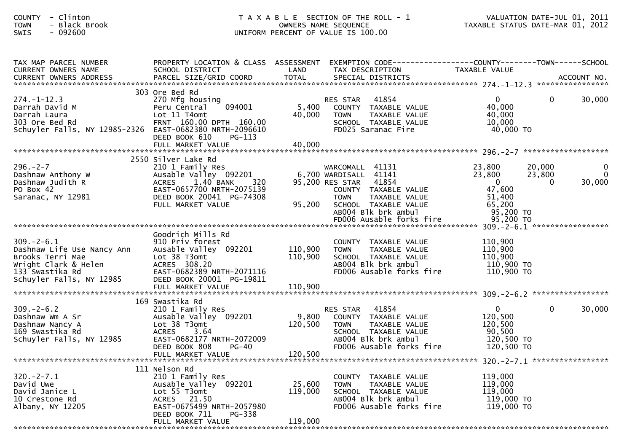| - Clinton<br><b>COUNTY</b><br>- Black Brook<br><b>TOWN</b><br>$-092600$<br>SWIS                                                          |                                                                                                                                                                                    |                               | T A X A B L E SECTION OF THE ROLL - 1<br>OWNERS NAME SEQUENCE<br>UNIFORM PERCENT OF VALUE IS 100.00                                                                         | TAXABLE STATUS DATE-MAR 01, 2012                                              |                              | VALUATION DATE-JUL 01, 2011               |
|------------------------------------------------------------------------------------------------------------------------------------------|------------------------------------------------------------------------------------------------------------------------------------------------------------------------------------|-------------------------------|-----------------------------------------------------------------------------------------------------------------------------------------------------------------------------|-------------------------------------------------------------------------------|------------------------------|-------------------------------------------|
| TAX MAP PARCEL NUMBER<br>CURRENT OWNERS NAME                                                                                             | PROPERTY LOCATION & CLASS ASSESSMENT<br>SCHOOL DISTRICT                                                                                                                            | LAND                          | TAX DESCRIPTION                                                                                                                                                             | TAXABLE VALUE                                                                 |                              |                                           |
| $274. - 1 - 12.3$<br>Darrah David M<br>Darrah Laura<br>303 Ore Bed Rd<br>Schuyler Falls, NY 12985-2326 EAST-0682380 NRTH-2096610         | 303 Ore Bed Rd<br>270 Mfg housing<br>094001<br>Peru Central<br>Lot 11 T4omt<br>FRNT 160.00 DPTH 160.00<br>DEED BOOK 610<br>$PG-113$                                                | 5,400<br>40,000               | 41854<br>RES STAR<br>COUNTY TAXABLE VALUE<br><b>TOWN</b><br>TAXABLE VALUE<br>SCHOOL TAXABLE VALUE<br>FD025 Saranac Fire                                                     | $\overline{0}$<br>40,000<br>40,000<br>10,000<br>40,000 TO                     | $\overline{0}$               | 30,000                                    |
| $296. - 2 - 7$<br>Dashnaw Anthony W<br>Dashnaw Judith R<br>PO Box 42<br>Saranac, NY 12981                                                | 2550 Silver Lake Rd<br>210 1 Family Res<br>Ausable Valley 092201<br>1.40 BANK<br>320<br><b>ACRES</b><br>EAST-0657700 NRTH-2075139<br>DEED BOOK 20041 PG-74308<br>FULL MARKET VALUE | 95,200                        | WARCOMALL 41131<br>6,700 WARDISALL 41141<br>95,200 RES STAR<br>41854<br>COUNTY TAXABLE VALUE<br><b>TOWN</b><br>TAXABLE VALUE<br>SCHOOL TAXABLE VALUE<br>AB004 Blk brk ambul | 23,800<br>23,800<br>$\overline{0}$<br>47,600<br>51,400<br>65,200<br>95,200 TO | 20,000<br>23,800<br>$\Omega$ | $\boldsymbol{0}$<br>$\mathbf 0$<br>30,000 |
| $309 - 2 - 6.1$<br>Dashnaw Life Use Nancy Ann<br>Brooks Terri Mae<br>wright Clark & Helen<br>133 Swastika Rd<br>Schuyler Falls, NY 12985 | Goodrich Mills Rd<br>910 Priv forest<br>Ausable Valley 092201<br>Lot 38 T3omt<br>ACRES 308.20<br>EAST-0682389 NRTH-2071116<br>DEED BOOK 20001 PG-19811<br>FULL MARKET VALUE        | 110,900<br>110,900<br>110,900 | COUNTY TAXABLE VALUE<br>TAXABLE VALUE<br><b>TOWN</b><br>SCHOOL TAXABLE VALUE<br>AB004 Blk brk ambul<br>FD006 Ausable forks fire                                             | 110,900<br>110,900<br>110,900<br>110,900 TO<br>110,900 TO                     |                              |                                           |
| $309 - 2 - 6.2$<br>Dashnaw Wm A Sr<br>Dashnaw Nancy A<br>169 Swastika Rd<br>Schuyler Falls, NY 12985                                     | 169 Swastika Rd<br>210 1 Family Res<br>Ausable Valley 092201<br>Lot 38 T3omt<br><b>ACRES</b><br>3.64<br>EAST-0682177 NRTH-2072009<br>DEED BOOK 808<br>$PG-40$<br>FULL MARKET VALUE | 9,800<br>120,500<br>120,500   | 41854<br><b>RES STAR</b><br>COUNTY TAXABLE VALUE<br><b>TOWN</b><br>TAXABLE VALUE<br>SCHOOL TAXABLE VALUE<br>AB004 Blk brk ambul<br>FD006 Ausable forks fire                 | $\mathbf{0}$<br>120,500<br>120,500<br>90,500<br>120,500 TO<br>120,500 TO      | $\mathbf{0}$                 | 30,000                                    |
| $320 - 2 - 7.1$<br>David Uwe<br>David Janice L<br>10 Crestone Rd<br>Albany, NY 12205                                                     | 111 Nelson Rd<br>210 1 Family Res<br>Ausable Valley 092201<br>Lot 55 T3omt<br>ACRES 21.50<br>EAST-0675499 NRTH-2057980<br>DEED BOOK 711<br>PG-338<br>FULL MARKET VALUE             | 25,600<br>119,000<br>119,000  | TAXABLE VALUE<br><b>COUNTY</b><br>TAXABLE VALUE<br><b>TOWN</b><br>SCHOOL TAXABLE VALUE<br>AB004 Blk brk ambul<br>FD006 Ausable forks fire                                   | 119,000<br>119,000<br>119,000<br>119,000 TO<br>119,000 TO                     |                              |                                           |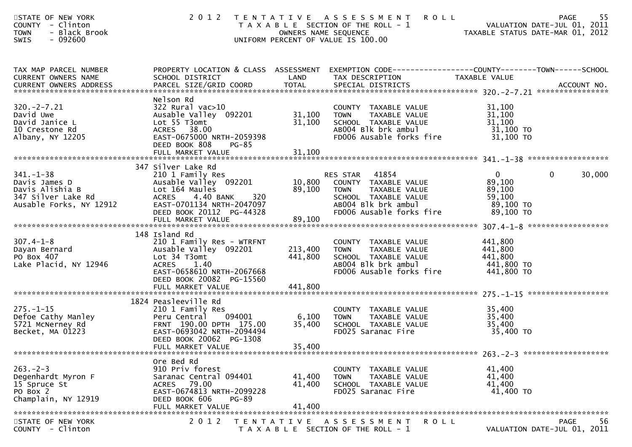| STATE OF NEW YORK<br><b>COUNTY</b><br>- Clinton<br>- Black Brook<br><b>TOWN</b><br>$-092600$<br><b>SWIS</b> | 2 0 1 2                                                                                                                                                                |                            | TENTATIVE ASSESSMENT<br><b>ROLL</b><br>T A X A B L E SECTION OF THE ROLL - 1<br>OWNERS NAME SEQUENCE<br>UNIFORM PERCENT OF VALUE IS 100.00           | VALUATION DATE-JUL 01, 2011<br>TAXABLE STATUS DATE-MAR 01, 2012        | 55<br><b>PAGE</b><br>VALUATION DATE-JUL 01, 2011 |
|-------------------------------------------------------------------------------------------------------------|------------------------------------------------------------------------------------------------------------------------------------------------------------------------|----------------------------|------------------------------------------------------------------------------------------------------------------------------------------------------|------------------------------------------------------------------------|--------------------------------------------------|
| TAX MAP PARCEL NUMBER<br>CURRENT OWNERS NAME                                                                | SCHOOL DISTRICT                                                                                                                                                        | LAND                       | PROPERTY LOCATION & CLASS ASSESSMENT EXEMPTION CODE----------------COUNTY-------TOWN------SCHOOL<br>TAX DESCRIPTION                                  | TAXABLE VALUE                                                          |                                                  |
| $320. -2 - 7.21$<br>David Uwe<br>David Janice L<br>10 Crestone Rd<br>Albany, NY 12205                       | Nelson Rd<br>$322$ Rural vac $>10$<br>Ausable Valley 092201<br>Lot 55 T3omt<br>ACRES 38.00<br>EAST-0675000 NRTH-2059398<br>DEED BOOK 808<br>PG-85<br>FULL MARKET VALUE | 31,100<br>31,100<br>31,100 | COUNTY TAXABLE VALUE<br>TAXABLE VALUE<br><b>TOWN</b><br>SCHOOL TAXABLE VALUE<br>AB004 Blk brk ambul<br>FD006 Ausable forks fire                      | 31,100<br>31,100<br>31,100<br>31,100 TO<br>31,100 TO                   |                                                  |
|                                                                                                             |                                                                                                                                                                        |                            |                                                                                                                                                      |                                                                        |                                                  |
| $341. - 1 - 38$<br>Davis James D<br>Davis Alishia B<br>347 Silver Lake Rd<br>Ausable Forks, NY 12912        | 347 Silver Lake Rd<br>210 1 Family Res<br>Ausable Valley 092201<br>Lot 164 Maules<br>ACRES 4.40 BANK<br>320<br>EAST-0701134 NRTH-2047097<br>DEED BOOK 20112 PG-44328   | 10,800<br>89,100           | 41854<br>RES STAR<br>COUNTY TAXABLE VALUE<br><b>TOWN</b><br>TAXABLE VALUE<br>SCHOOL TAXABLE VALUE<br>AB004 Blk brk ambul<br>FD006 Ausable forks fire | $\overline{0}$<br>89,100<br>89,100<br>59,100<br>89,100 TO<br>89,100 TO | 30,000<br>$\mathbf{0}$                           |
|                                                                                                             |                                                                                                                                                                        |                            |                                                                                                                                                      |                                                                        |                                                  |
| $307.4 - 1 - 8$<br>Dayan Bernard<br>PO Box 407<br>Lake Placid, NY 12946                                     | 148 Island Rd<br>210 1 Family Res - WTRFNT<br>Ausable Valley 092201<br>Lot 34 T3omt<br><b>ACRES</b><br>1.40<br>EAST-0658610 NRTH-2067668<br>DEED BOOK 20082 PG-15560   | 213,400<br>441,800         | COUNTY TAXABLE VALUE<br><b>TOWN</b><br>TAXABLE VALUE<br>SCHOOL TAXABLE VALUE<br>AB004 Blk brk ambul<br>FD006 Ausable forks fire                      | 441,800<br>441,800<br>441,800<br>441,800 TO<br>441,800 TO              |                                                  |
|                                                                                                             | 1824 Peasleeville Rd                                                                                                                                                   |                            |                                                                                                                                                      |                                                                        |                                                  |
| $275. - 1 - 15$<br>Defoe Cathy Manley<br>5721 McNerney Rd<br>Becket, MA 01223                               | 210 1 Family Res<br>Peru Central<br>094001<br>FRNT 190.00 DPTH 175.00<br>EAST-0693042 NRTH-2094494<br>DEED BOOK 20062 PG-1308                                          | 6,100<br>35,400            | COUNTY TAXABLE VALUE<br><b>TOWN</b><br>TAXABLE VALUE<br>SCHOOL TAXABLE VALUE<br>FD025 Saranac Fire                                                   | 35,400<br>35,400<br>35,400<br>35,400 TO                                |                                                  |
|                                                                                                             | FULL MARKET VALUE                                                                                                                                                      | 35,400                     |                                                                                                                                                      |                                                                        |                                                  |
| $263 - 2 - 3$<br>Degenhardt Myron F<br>15 Spruce St<br>PO Box 2<br>Champlain, NY 12919                      | Ore Bed Rd<br>910 Priv forest<br>Saranac Central 094401<br>ACRES 79.00<br>EAST-0674813 NRTH-2099228<br>DEED BOOK 606<br>PG-89<br>FULL MARKET VALUE                     | 41,400<br>41,400<br>41,400 | COUNTY TAXABLE VALUE<br>TAXABLE VALUE<br><b>TOWN</b><br>SCHOOL TAXABLE VALUE<br>FD025 Saranac Fire                                                   | 41,400<br>41,400<br>41,400<br>41,400 TO                                |                                                  |
| STATE OF NEW YORK<br>COUNTY - Clinton                                                                       | 2 0 1 2                                                                                                                                                                |                            | TENTATIVE ASSESSMENT<br>R O L L<br>T A X A B L E SECTION OF THE ROLL - 1                                                                             |                                                                        | <b>PAGE</b><br>56<br>VALUATION DATE-JUL 01, 2011 |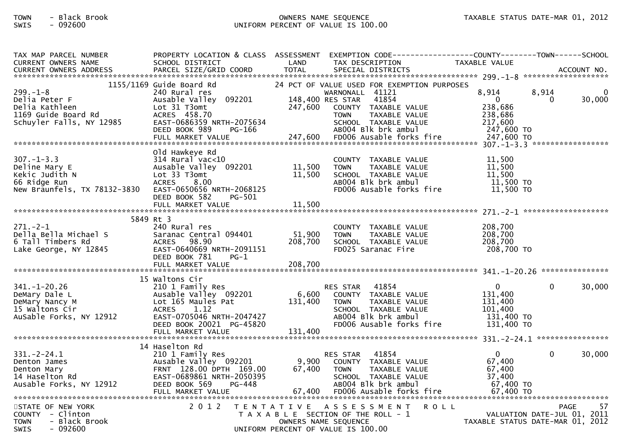## TOWN - Black Brook OWNERS NAME SEQUENCE TAXABLE STATUS DATE-MAR 01, 2012SWIS - 092600 UNIFORM PERCENT OF VALUE IS 100.00

| TAX MAP PARCEL NUMBER<br><b>CURRENT OWNERS NAME</b>               | PROPERTY LOCATION & CLASS ASSESSMENT EXEMPTION CODE---------------COUNTY-------TOWN------SCHOOL<br>SCHOOL DISTRICT | LAND              | TAX DESCRIPTION                                                                          | TAXABLE VALUE                    |                                  |
|-------------------------------------------------------------------|--------------------------------------------------------------------------------------------------------------------|-------------------|------------------------------------------------------------------------------------------|----------------------------------|----------------------------------|
|                                                                   |                                                                                                                    |                   |                                                                                          |                                  |                                  |
|                                                                   | 1155/1169 Guide Board Rd                                                                                           |                   |                                                                                          |                                  |                                  |
| $299. - 1 - 8$<br>Delia Peter F                                   | 240 Rural res<br>Ausable Valley 092201                                                                             |                   | 24 PCT OF VALUE USED FOR EXEMPTION PURPOSES<br>WARNONALL 41121<br>148,400 RES STAR 41854 | 8,914<br>$\overline{0}$          | 8,914<br>0<br>30,000<br>$\Omega$ |
| Delia Kathleen<br>1169 Guide Board Rd<br>Schuyler Falls, NY 12985 | Lot 31 T3omt<br>ACRES 458.70<br>EAST-0686359 NRTH-2075634                                                          | 247,600           | COUNTY TAXABLE VALUE<br>TAXABLE VALUE<br><b>TOWN</b><br>SCHOOL TAXABLE VALUE             | 238,686<br>238,686<br>217,600    |                                  |
|                                                                   | DEED BOOK 989<br>PG-166<br>FULL MARKET VALUE                                                                       |                   | AB004 Blk brk ambul<br>247,600 FD006 Ausable forks fire                                  | 247,600 TO<br>247,600 TO         |                                  |
|                                                                   |                                                                                                                    |                   |                                                                                          |                                  |                                  |
|                                                                   | Old Hawkeye Rd                                                                                                     |                   |                                                                                          |                                  |                                  |
| $307. - 1 - 3.3$<br>Deline Mary E                                 | $314$ Rural vac<10                                                                                                 |                   | COUNTY TAXABLE VALUE<br>TAXABLE VALUE                                                    | 11,500<br>11,500                 |                                  |
| Kekic Judith N                                                    | Ausable Valley 092201 11,500<br>Lot 33 T3omt                                                                       | 11,500            | <b>TOWN</b><br>SCHOOL TAXABLE VALUE                                                      | 11,500                           |                                  |
| 66 Ridge Run                                                      | <b>ACRES</b><br>8.00                                                                                               |                   | AB004 Blk brk ambul                                                                      | 11,500 TO                        |                                  |
| New Braunfels, TX 78132-3830                                      | EAST-0650656 NRTH-2068125                                                                                          |                   | FD006 Ausable forks fire                                                                 | 11,500 TO                        |                                  |
|                                                                   | DEED BOOK 582<br><b>PG-501</b>                                                                                     |                   |                                                                                          |                                  |                                  |
|                                                                   |                                                                                                                    |                   |                                                                                          |                                  |                                  |
|                                                                   | 5849 Rt 3                                                                                                          |                   |                                                                                          |                                  |                                  |
| 271.-2-1                                                          | 240 Rural res                                                                                                      |                   | COUNTY TAXABLE VALUE                                                                     | 208,700                          |                                  |
| Della Bella Michael S<br>6 Tall Timbers Rd                        | Saranac Central 094401<br>ACRES 98.90                                                                              | 51,900<br>208,700 | TAXABLE VALUE<br><b>TOWN</b><br>SCHOOL TAXABLE VALUE                                     | 208,700<br>208,700               |                                  |
| Lake George, NY 12845                                             | EAST-0640669 NRTH-2091151<br>DEED BOOK 781<br>$PG-1$                                                               |                   | FD025 Saranac Fire                                                                       | 208,700 TO                       |                                  |
|                                                                   |                                                                                                                    |                   |                                                                                          |                                  |                                  |
|                                                                   | 15 Waltons Cir                                                                                                     |                   |                                                                                          |                                  |                                  |
| $341. - 1 - 20.26$                                                | 210 1 Family Res                                                                                                   |                   | RES STAR 41854                                                                           | $\overline{0}$                   | $\Omega$<br>30,000               |
| DeMary Dale L                                                     | Ausable Valley 092201                                                                                              | 6,600             | COUNTY TAXABLE VALUE                                                                     | 131,400                          |                                  |
| DeMary Nancy M                                                    | Lot 165 Maules Pat                                                                                                 | 131,400           | <b>TOWN</b><br>TAXABLE VALUE                                                             | 131,400                          |                                  |
| 15 Waltons Cir<br>AuSable Forks, NY 12912                         | ACRES<br>1.12<br>EAST-0705046 NRTH-2047427                                                                         |                   | SCHOOL TAXABLE VALUE<br>AB004 Blk brk ambul                                              | 101,400<br>131,400 TO            |                                  |
|                                                                   | DEED BOOK 20021 PG-45820                                                                                           |                   | FD006 Ausable forks fire                                                                 | 131,400 TO                       |                                  |
|                                                                   | FULL MARKET VALUE                                                                                                  | 131,400           |                                                                                          |                                  |                                  |
|                                                                   |                                                                                                                    |                   |                                                                                          |                                  |                                  |
| $331 - 2 - 24.1$                                                  | 14 Haselton Rd<br>210 1 Family Res                                                                                 |                   | RES STAR 41854                                                                           | $\mathbf{0}$                     | $\mathbf{0}$<br>30,000           |
| Denton James                                                      | Ausable Valley 092201                                                                                              |                   | 9,900 COUNTY TAXABLE VALUE                                                               | 67,400                           |                                  |
| Denton Mary                                                       | FRNT 128.00 DPTH 169.00                                                                                            | 67,400            | <b>TOWN</b><br>TAXABLE VALUE                                                             | 67,400                           |                                  |
| 14 Haselton Rd                                                    | EAST-0689861 NRTH-2050395<br>PG-448                                                                                |                   | SCHOOL TAXABLE VALUE                                                                     | 37,400                           |                                  |
| Ausable Forks, NY 12912                                           | DEED BOOK 569<br>FULL MARKET VALUE                                                                                 | 67,400            | ABOO4 Blk brk ambul<br>FD006 Ausable forks fire                                          | 67,400 TO<br>67,400 TO           |                                  |
|                                                                   |                                                                                                                    |                   |                                                                                          |                                  |                                  |
| STATE OF NEW YORK                                                 | 2 0 1 2                                                                                                            |                   | TENTATIVE ASSESSMENT ROLL                                                                |                                  | <b>PAGE</b><br>57                |
| COUNTY - Clinton<br>- Black Brook                                 |                                                                                                                    |                   | T A X A B L E SECTION OF THE ROLL - 1                                                    |                                  | VALUATION DATE-JUL 01, 2011      |
| TOWN<br><b>SWIS</b><br>- 092600                                   |                                                                                                                    |                   | OWNERS NAME SEQUENCE<br>UNIFORM PERCENT OF VALUE IS 100.00                               | TAXABLE STATUS DATE-MAR 01, 2012 |                                  |
|                                                                   |                                                                                                                    |                   |                                                                                          |                                  |                                  |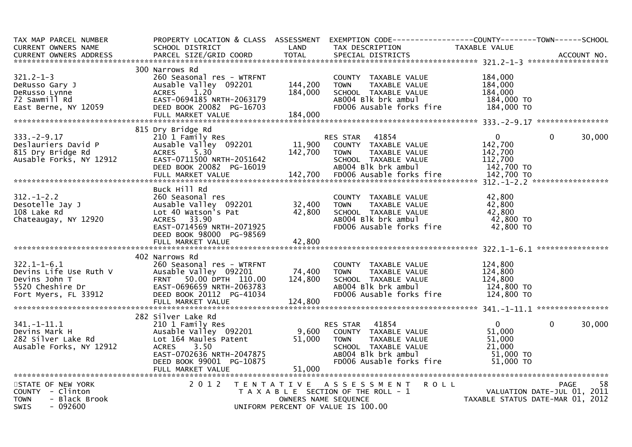| TAX MAP PARCEL NUMBER        |                           |         | PROPERTY LOCATION & CLASS ASSESSMENT EXEMPTION CODE----------------COUNTY-------TOWN------SCHOOL |                                  |                             |
|------------------------------|---------------------------|---------|--------------------------------------------------------------------------------------------------|----------------------------------|-----------------------------|
| CURRENT OWNERS NAME          | SCHOOL DISTRICT           | LAND    | TAX DESCRIPTION                                                                                  | TAXABLE VALUE                    |                             |
|                              |                           |         |                                                                                                  |                                  |                             |
|                              |                           |         |                                                                                                  |                                  |                             |
|                              | 300 Narrows Rd            |         |                                                                                                  |                                  |                             |
| $321.2 - 1 - 3$              | 260 Seasonal res - WTRFNT |         | COUNTY TAXABLE VALUE                                                                             | 184,000                          |                             |
| DeRusso Gary J               | Ausable Valley 092201     | 144,200 | <b>TOWN</b><br>TAXABLE VALUE                                                                     | 184,000                          |                             |
| DeRusso Lynne                | <b>ACRES</b><br>1.20      | 184,000 | SCHOOL TAXABLE VALUE                                                                             | 184,000                          |                             |
| 72 Sawmill Rd                | EAST-0694185 NRTH-2063179 |         | AB004 Blk brk ambul                                                                              | 184,000 TO                       |                             |
| East Berne, NY 12059         | DEED BOOK 20082 PG-16703  |         | FD006 Ausable forks fire                                                                         | 184,000 TO                       |                             |
|                              | FULL MARKET VALUE         | 184,000 |                                                                                                  |                                  |                             |
|                              |                           |         |                                                                                                  |                                  |                             |
|                              | 815 Dry Bridge Rd         |         |                                                                                                  |                                  |                             |
| $333. -2 - 9.17$             | 210 1 Family Res          |         | 41854<br>RES STAR                                                                                | $\mathbf{0}$                     | 30,000<br>$\Omega$          |
| Deslauriers David P          | Ausable Valley 092201     | 11,900  | COUNTY TAXABLE VALUE                                                                             | 142,700                          |                             |
| 815 Dry Bridge Rd            | <b>ACRES</b><br>5.30      | 142,700 | TAXABLE VALUE<br><b>TOWN</b>                                                                     | 142,700                          |                             |
| Ausable Forks, NY 12912      | EAST-0711500 NRTH-2051642 |         | SCHOOL TAXABLE VALUE                                                                             | 112,700                          |                             |
|                              | DEED BOOK 20082 PG-16019  |         | AB004 Blk brk ambul                                                                              | 142,700 TO                       |                             |
|                              |                           |         |                                                                                                  |                                  |                             |
|                              |                           |         |                                                                                                  |                                  |                             |
|                              | Buck Hill Rd              |         |                                                                                                  |                                  |                             |
| $312. - 1 - 2.2$             | 260 Seasonal res          |         | COUNTY TAXABLE VALUE                                                                             | 42,800                           |                             |
| Desotelle Jay J              | Ausable Valley 092201     | 32,400  | TAXABLE VALUE<br><b>TOWN</b>                                                                     | 42,800                           |                             |
| 108 Lake Rd                  | Lot 40 Watson's Pat       | 42,800  | SCHOOL TAXABLE VALUE                                                                             | 42,800                           |                             |
| Chateaugay, NY 12920         | ACRES 33.90               |         | AB004 Blk brk ambul                                                                              | 42,800 TO                        |                             |
|                              | EAST-0714569 NRTH-2071925 |         | FD006 Ausable forks fire                                                                         | 42,800 TO                        |                             |
|                              | DEED BOOK 98000 PG-98569  |         |                                                                                                  |                                  |                             |
|                              |                           |         |                                                                                                  |                                  |                             |
|                              |                           |         |                                                                                                  |                                  |                             |
|                              | 402 Narrows Rd            |         |                                                                                                  |                                  |                             |
| $322.1 - 1 - 6.1$            | 260 Seasonal res - WTRFNT |         |                                                                                                  | 124,800                          |                             |
|                              |                           |         | COUNTY TAXABLE VALUE                                                                             |                                  |                             |
| Devins Life Use Ruth V       | Ausable Valley 092201     | 74,400  | <b>TOWN</b><br>TAXABLE VALUE                                                                     | 124,800                          |                             |
| Devins John T                | FRNT 50.00 DPTH 110.00    | 124,800 | SCHOOL TAXABLE VALUE                                                                             | 124,800                          |                             |
| 5520 Cheshire Dr             | EAST-0696659 NRTH-2063783 |         | AB004 Blk brk ambul                                                                              | 124,800 TO                       |                             |
| Fort Myers, FL 33912         | DEED BOOK 20112 PG-41034  |         | FD006 Ausable forks fire                                                                         | 124,800 TO                       |                             |
|                              |                           |         |                                                                                                  |                                  |                             |
|                              |                           |         |                                                                                                  |                                  |                             |
|                              | 282 Silver Lake Rd        |         |                                                                                                  |                                  |                             |
| $341. - 1 - 11.1$            | 210 1 Family Res          |         | RES STAR 41854                                                                                   | $\mathbf{0}$                     | 30,000<br>$\Omega$          |
| Devins Mark H                | Ausable Valley 092201     | 9,600   | COUNTY TAXABLE VALUE                                                                             | 51,000                           |                             |
| 282 Silver Lake Rd           | Lot 164 Maules Patent     | 51,000  | <b>TOWN</b><br>TAXABLE VALUE                                                                     | 51,000                           |                             |
| Ausable Forks, NY 12912      | ACRES<br>3.50             |         | SCHOOL TAXABLE VALUE                                                                             | 21,000                           |                             |
|                              | EAST-0702636 NRTH-2047875 |         | ABOO4 Blk brk ambul                                                                              | 51,000 TO                        |                             |
|                              | DEED BOOK 99001 PG-10875  |         | FD006 Ausable forks fire                                                                         | $51,000$ TO                      |                             |
|                              | FULL MARKET VALUE         | 51,000  |                                                                                                  |                                  |                             |
|                              |                           |         |                                                                                                  |                                  |                             |
| STATE OF NEW YORK            | 2 0 1 2                   |         | TENTATIVE ASSESSMENT<br><b>ROLL</b>                                                              |                                  | PAGE<br>58                  |
| $COUNTY - Clinton$           |                           |         | T A X A B L E SECTION OF THE ROLL - 1                                                            |                                  | VALUATION DATE-JUL 01, 2011 |
| - Black Brook<br><b>TOWN</b> |                           |         | OWNERS NAME SEQUENCE                                                                             | TAXABLE STATUS DATE-MAR 01, 2012 |                             |
| $-092600$<br><b>SWIS</b>     |                           |         | UNIFORM PERCENT OF VALUE IS 100.00                                                               |                                  |                             |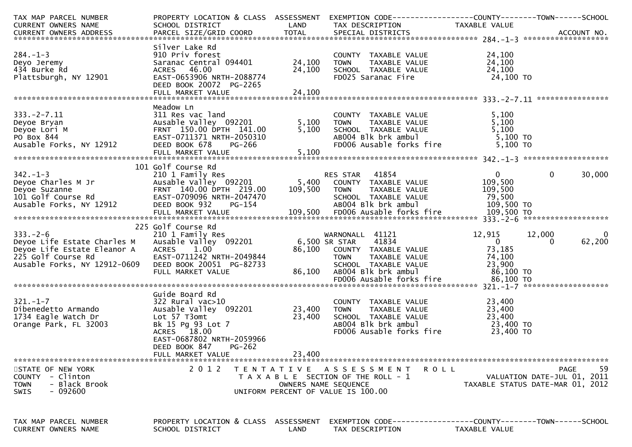| TAX MAP PARCEL NUMBER<br>CURRENT OWNERS NAME                                                                                                                                                                                         | PROPERTY LOCATION & CLASS ASSESSMENT EXEMPTION CODE----------------COUNTY-------TOWN------SCHOOL<br>SCHOOL DISTRICT                                                                                        | LAND                       | TAX DESCRIPTION                                                                                                                                           | TAXABLE VALUE                                                      |                                                                                      |
|--------------------------------------------------------------------------------------------------------------------------------------------------------------------------------------------------------------------------------------|------------------------------------------------------------------------------------------------------------------------------------------------------------------------------------------------------------|----------------------------|-----------------------------------------------------------------------------------------------------------------------------------------------------------|--------------------------------------------------------------------|--------------------------------------------------------------------------------------|
| $284. -1 - 3$<br>Deyo Jeremy<br>$284. -1 - 3$<br>$284. -1 - 3$<br>$284. -1 - 3$<br>$284. -1 - 3$<br>Plattsburgh, NY 12901                                                                                                            | Silver Lake Rd<br>910 Priv forest<br>Saranac Central 094401<br>ACRES 46.00<br>EAST-0653906 NRTH-2088774<br>DEED BOOK 20072 PG-2265<br>FULL MARKET VALUE                                                    | 24,100<br>24,100<br>24,100 | COUNTY TAXABLE VALUE<br>TOWN TAXABLE VALUE<br>SCHOOL TAXABLE VALUE<br>FD025 Saranac Fire 24,100 TO                                                        | 24,100<br>24,100<br>24,100                                         |                                                                                      |
| $333. -2 - 7.11$<br>Deyoe Bryan<br>Deyoe Lori M<br>PO Box 844<br>Ausable Forks, NY 12912                                                                                                                                             | Meadow Ln<br>311 Res vac land<br>Ausable Valley 092201 5,100<br>FRNT 150.00 DPTH 141.00 5,100<br>EAST-0711371 NRTH-2050310<br>FED BOOK 678 PG-266<br>FULL MARKET VALUE                                     | 5,100<br>5,100<br>5,100    | COUNTY TAXABLE VALUE 5,100<br>TOWN TAXABLE VALUE 5,100<br>SCHOOL TAXABLE VALUE 5,100<br>ABOO4 Blk brk ambul 5,100 TO<br>FD006 Ausable forks fire 5,100 TO |                                                                    |                                                                                      |
| CONTROLL IN THE STAR STAR AND SAID PRESS ON THE STAR AND RESS TAR 41854<br>Deyoe Suzanne FRNT 140.00 DPTH 219.00 109,500 TOWN TAXABLE VALUE<br>Deyoe Suzanne FRNT 140.00 DPTH 219.00 109,500 TOWN TAXABLE VALUE<br>Ausable Forks, NY | 101 Golf Course Rd                                                                                                                                                                                         |                            |                                                                                                                                                           | $0 \qquad \qquad$<br>109,500<br>$\frac{105}{79,500}$               | 30,000<br>$\overline{0}$                                                             |
| $333. - 2 - 6$<br>Deyoe Life Estate Charles M<br>Deyoe Life Estate Eleanor A<br>225 Golf Course Rd<br>Ausable Forks, NY 12912-0609                                                                                                   | 225 Golf Course Rd<br>210 1 Family Res<br>Ausable Valley 092201 6,500 SR STAR 41834<br>ACRES 1.00<br>EAST-0711242 NRTH-2049844<br>DEED BOOK 20051 PG-82733<br>FULL MARKET VALUE                            | 86,100                     | WARNONALL 41121<br>86,100 COUNTY TAXABLE VALUE<br>TOWN TAXABLE VALUE 74,100<br>SCHOOL TAXABLE VALUE 23,900<br>AB004 Blk brk ambul 86,100 TO               | 12,915<br>$\begin{bmatrix} 1 & 0 \\ 0 & 1 \end{bmatrix}$<br>73,185 | $\overline{\mathbf{0}}$<br>12,000<br>62,200<br>$\Omega$                              |
| $321. - 1 - 7$<br>Dibenedetto Armando<br>1734 Eagle Watch Dr<br>Orange Park, FL 32003                                                                                                                                                | Guide Board Rd<br>322 Rural vac>10<br>Ausable Valley 092201 23,400<br>Lot 57 T3omt<br>Bk 15 Pg 93 Lot 7<br>ACRES 18.00<br>EAST-0687802 NRTH-2059966<br>DEED BOOK 847<br><b>PG-262</b><br>FULL MARKET VALUE | 23,400<br>23,400           | COUNTY TAXABLE VALUE<br><b>TOWN</b><br>TOWN TAXABLE VALUE<br>SCHOOL TAXABLE VALUE 23,400<br>ABOO4 Blk brk ambule fire 23,400 TO                           | 23,400                                                             |                                                                                      |
| STATE OF NEW YORK<br>COUNTY - Clinton<br>- Black Brook<br><b>TOWN</b><br>- 092600<br><b>SWIS</b>                                                                                                                                     | 2 0 1 2                                                                                                                                                                                                    |                            | TENTATIVE ASSESSMENT<br>T A X A B L E SECTION OF THE ROLL - 1<br>OWNERS NAME SEQUENCE<br>UNIFORM PERCENT OF VALUE IS 100.00                               | R O L L                                                            | 59<br><b>PAGE</b><br>VALUATION DATE-JUL 01, 2011<br>TAXABLE STATUS DATE-MAR 01, 2012 |
| TAX MAP PARCEL NUMBER<br>CURRENT OWNERS NAME                                                                                                                                                                                         | PROPERTY LOCATION & CLASS ASSESSMENT<br>SCHOOL DISTRICT                                                                                                                                                    | LAND                       | TAX DESCRIPTION                                                                                                                                           | TAXABLE VALUE                                                      |                                                                                      |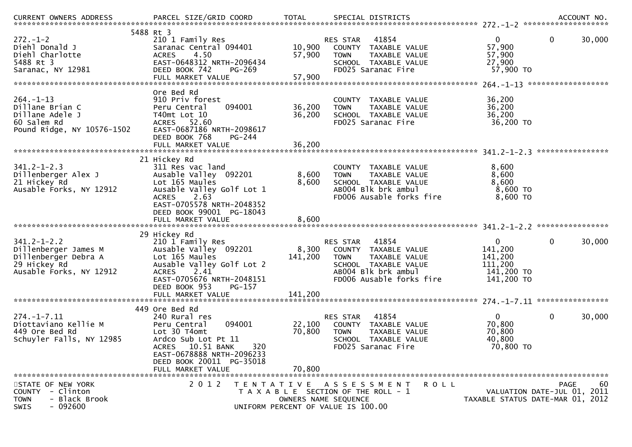| $272 - 1 - 2$<br>Diehl Donald J<br>Diehl Charlotte<br>5488 Rt 3<br>Saranac, NY 12981                         | 5488 Rt 3<br>210 1 Family Res<br>Saranac Central 094401<br>4.50<br><b>ACRES</b><br>EAST-0648312 NRTH-2096434<br>DEED BOOK 742<br>$PG-269$<br>FULL MARKET VALUE                                    | 10,900<br>57,900<br>57,900  | 41854<br>RES STAR<br>COUNTY TAXABLE VALUE<br>TAXABLE VALUE<br><b>TOWN</b><br>SCHOOL TAXABLE VALUE<br>FD025 Saranac Fire                              | $\overline{0}$<br>57,900<br>57,900<br>27,900<br>57,900 TO                   | $\mathbf 0$<br>30,000                            |
|--------------------------------------------------------------------------------------------------------------|---------------------------------------------------------------------------------------------------------------------------------------------------------------------------------------------------|-----------------------------|------------------------------------------------------------------------------------------------------------------------------------------------------|-----------------------------------------------------------------------------|--------------------------------------------------|
|                                                                                                              |                                                                                                                                                                                                   |                             |                                                                                                                                                      |                                                                             |                                                  |
| $264. - 1 - 13$<br>Dillane Brian C<br>Dillane Adele J<br>60 Salem Rd<br>Pound Ridge, NY 10576-1502           | Ore Bed Rd<br>910 Priv forest<br>094001<br>Peru Central<br>T40mt Lot 10<br>ACRES 52.60<br>EAST-0687186 NRTH-2098617<br>DEED BOOK 768<br>PG-244                                                    | 36,200<br>36,200            | COUNTY<br>TAXABLE VALUE<br><b>TOWN</b><br>TAXABLE VALUE<br>SCHOOL TAXABLE VALUE<br>FD025 Saranac Fire                                                | 36,200<br>36,200<br>36,200<br>36,200 TO                                     |                                                  |
|                                                                                                              |                                                                                                                                                                                                   |                             |                                                                                                                                                      |                                                                             |                                                  |
| $341.2 - 1 - 2.3$<br>Dillenberger Alex J<br>21 Hickey Rd<br>Ausable Forks, NY 12912                          | 21 Hickey Rd<br>311 Res vac land<br>Ausable Valley 092201<br>Lot 165 Maules<br>Ausable Valley Golf Lot 1<br>2.63<br><b>ACRES</b><br>EAST-0705578 NRTH-2048352<br>DEED BOOK 99001 PG-18043         | 8,600<br>8,600              | COUNTY TAXABLE VALUE<br>TAXABLE VALUE<br><b>TOWN</b><br>SCHOOL TAXABLE VALUE<br>AB004 Blk brk ambul<br>FD006 Ausable forks fire                      | 8,600<br>8,600<br>8,600<br>8,600 TO<br>8,600 TO                             |                                                  |
|                                                                                                              |                                                                                                                                                                                                   |                             |                                                                                                                                                      |                                                                             |                                                  |
|                                                                                                              | 29 Hickey Rd                                                                                                                                                                                      |                             |                                                                                                                                                      |                                                                             |                                                  |
| $341.2 - 1 - 2.2$<br>Dillenberger James M<br>Dillenberger Debra A<br>29 Hickey Rd<br>Ausable Forks, NY 12912 | 210 1 Family Res<br>Ausable Valley 092201<br>Lot 165 Maules<br>Ausable Valley Golf Lot 2<br>2.41<br><b>ACRES</b><br>EAST-0705676 NRTH-2048151<br>DEED BOOK 953<br>PG-157<br>FULL MARKET VALUE     | 8,300<br>141,200<br>141,200 | 41854<br>RES STAR<br>COUNTY TAXABLE VALUE<br><b>TOWN</b><br>TAXABLE VALUE<br>SCHOOL TAXABLE VALUE<br>AB004 Blk brk ambul<br>FD006 Ausable forks fire | $\overline{0}$<br>141,200<br>141,200<br>111,200<br>141,200 TO<br>141,200 TO | $\mathbf{0}$<br>30,000                           |
|                                                                                                              | 449 Ore Bed Rd                                                                                                                                                                                    |                             |                                                                                                                                                      |                                                                             |                                                  |
| $274. - 1 - 7.11$<br>Diottaviano Kellie M<br>449 Ore Bed Rd<br>Schuyler Falls, NY 12985                      | 240 Rural res<br>Peru Central<br>094001<br>Lot 30 T4omt<br>Ardco Sub Lot Pt 11<br>10.51 BANK<br>320<br><b>ACRES</b><br>EAST-0678888 NRTH-2096233<br>DEED BOOK 20011 PG-35018<br>FULL MARKET VALUE | 22,100<br>70,800<br>70.800  | 41854<br><b>RES STAR</b><br>COUNTY TAXABLE VALUE<br><b>TOWN</b><br>TAXABLE VALUE<br>SCHOOL TAXABLE VALUE<br>FD025 Saranac Fire                       | $\mathbf{0}$<br>70,800<br>70,800<br>40,800<br>70,800 TO                     | $\mathbf 0$<br>30,000                            |
| STATE OF NEW YORK<br>COUNTY - Clinton<br>- Black Brook<br><b>TOWN</b><br>$-092600$<br><b>SWIS</b>            | 2 0 1 2<br>T E N T A T I V E                                                                                                                                                                      |                             | A S S E S S M E N T<br>R O L L<br>T A X A B L E SECTION OF THE ROLL - 1<br>OWNERS NAME SEQUENCE<br>UNIFORM PERCENT OF VALUE IS 100.00                | TAXABLE STATUS DATE-MAR 01, 2012                                            | 60<br><b>PAGE</b><br>VALUATION DATE-JUL 01, 2011 |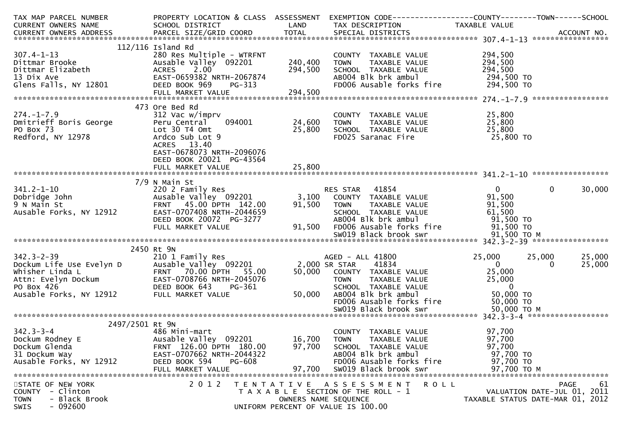| TAX MAP PARCEL NUMBER                                                                                                                                                                                                                                  |                                                                                                           |                   | PROPERTY LOCATION & CLASS ASSESSMENT EXEMPTION CODE----------------COUNTY-------TOWN------SCHOOL                                                                                                                                            |               |                                  |
|--------------------------------------------------------------------------------------------------------------------------------------------------------------------------------------------------------------------------------------------------------|-----------------------------------------------------------------------------------------------------------|-------------------|---------------------------------------------------------------------------------------------------------------------------------------------------------------------------------------------------------------------------------------------|---------------|----------------------------------|
| CURRENT OWNERS NAME                                                                                                                                                                                                                                    | SCHOOL DISTRICT<br><b>Example 12</b>                                                                      |                   | TAX DESCRIPTION                                                                                                                                                                                                                             | TAXABLE VALUE |                                  |
|                                                                                                                                                                                                                                                        |                                                                                                           |                   |                                                                                                                                                                                                                                             |               |                                  |
|                                                                                                                                                                                                                                                        |                                                                                                           |                   |                                                                                                                                                                                                                                             |               |                                  |
|                                                                                                                                                                                                                                                        | $112/116$ Island Rd                                                                                       |                   |                                                                                                                                                                                                                                             |               |                                  |
|                                                                                                                                                                                                                                                        |                                                                                                           |                   | COUNTY TAXABLE VALUE 294,500<br>TOWN TAXABLE VALUE 294,500<br>SCHOOL TAXABLE VALUE 294,500<br>294,500                                                                                                                                       |               |                                  |
|                                                                                                                                                                                                                                                        |                                                                                                           |                   |                                                                                                                                                                                                                                             |               |                                  |
|                                                                                                                                                                                                                                                        |                                                                                                           |                   |                                                                                                                                                                                                                                             |               |                                  |
|                                                                                                                                                                                                                                                        |                                                                                                           |                   |                                                                                                                                                                                                                                             |               |                                  |
|                                                                                                                                                                                                                                                        |                                                                                                           |                   | ABOO4 Blk brk ambul<br>FDOO6 Ausable forks fire 294,500 TO                                                                                                                                                                                  |               |                                  |
|                                                                                                                                                                                                                                                        |                                                                                                           | 294,500           |                                                                                                                                                                                                                                             |               |                                  |
|                                                                                                                                                                                                                                                        |                                                                                                           |                   |                                                                                                                                                                                                                                             |               |                                  |
|                                                                                                                                                                                                                                                        | 473 Ore Bed Rd                                                                                            |                   |                                                                                                                                                                                                                                             |               |                                  |
| $274. - 1 - 7.9$                                                                                                                                                                                                                                       | 312 Vac w/imprv                                                                                           |                   | COUNTY TAXABLE VALUE $24,600$ TOWN TAXABLE VALUE $25,800$ 24,600 TOWN TAXABLE VALUE $25,800$ 25,800 TO FDO25 Saranac Fire $25,800$ TO                                                                                                       |               |                                  |
|                                                                                                                                                                                                                                                        | Peru Central                                                                                              |                   |                                                                                                                                                                                                                                             |               |                                  |
| Dmitrieff Boris George<br>PO Box 73 Lot 30 T4 Omt<br>Redford, NY 12978 Ardco Sub Lot                                                                                                                                                                   |                                                                                                           |                   |                                                                                                                                                                                                                                             |               |                                  |
|                                                                                                                                                                                                                                                        | Ardco Sub Lot 9                                                                                           |                   |                                                                                                                                                                                                                                             |               |                                  |
|                                                                                                                                                                                                                                                        | ACRES 13.40                                                                                               |                   |                                                                                                                                                                                                                                             |               |                                  |
|                                                                                                                                                                                                                                                        | EAST-0678073 NRTH-2096076                                                                                 |                   |                                                                                                                                                                                                                                             |               |                                  |
|                                                                                                                                                                                                                                                        | DEED BOOK 20021 PG-43564                                                                                  |                   |                                                                                                                                                                                                                                             |               |                                  |
|                                                                                                                                                                                                                                                        |                                                                                                           |                   |                                                                                                                                                                                                                                             |               |                                  |
|                                                                                                                                                                                                                                                        |                                                                                                           |                   |                                                                                                                                                                                                                                             |               |                                  |
|                                                                                                                                                                                                                                                        | 7/9 N Main St                                                                                             |                   |                                                                                                                                                                                                                                             |               |                                  |
| 341.2-1-10 7/9 N Main St<br>220 2 Family Res (189201 1992201 1992201 1992201 1992201 1992201 1992201 1992201 1<br>9 N Main St FRNT 45.00 DPTH 142.00 91,500 TOWN TAXABLE VALUE 91,500<br>4 Ausable Forks, NY 12912 EAST-0707408 NRTH                   |                                                                                                           |                   |                                                                                                                                                                                                                                             |               | $\overline{0}$<br>30,000         |
|                                                                                                                                                                                                                                                        |                                                                                                           |                   |                                                                                                                                                                                                                                             |               |                                  |
|                                                                                                                                                                                                                                                        |                                                                                                           |                   |                                                                                                                                                                                                                                             |               |                                  |
|                                                                                                                                                                                                                                                        |                                                                                                           |                   |                                                                                                                                                                                                                                             |               |                                  |
|                                                                                                                                                                                                                                                        |                                                                                                           |                   |                                                                                                                                                                                                                                             |               |                                  |
|                                                                                                                                                                                                                                                        |                                                                                                           |                   |                                                                                                                                                                                                                                             |               |                                  |
|                                                                                                                                                                                                                                                        | EAST-0707408 NRTH-2044659<br>DEED BOOK 20072 PG-3277<br>FULL MARKET VALUE                         91,500  |                   | 91,500 FD006 Ausable forks fire 91,500 TO                                                                                                                                                                                                   |               |                                  |
|                                                                                                                                                                                                                                                        |                                                                                                           |                   |                                                                                                                                                                                                                                             |               |                                  |
|                                                                                                                                                                                                                                                        |                                                                                                           |                   |                                                                                                                                                                                                                                             |               |                                  |
| 2450 KT 9N<br>2450 KT 9N<br>210 1 Family Res<br>Dockum Life Use Evelyn D<br>Whisher Linda L<br>Attn: Evelyn Dockum<br>Attn: Evelyn Dockum<br>PO Box 426<br>PO Box 426<br>PO Box 426<br>Ausable Forks, NY 12912<br>PULL MARKET VALUE<br>FULL MARKET VAL | 2450 Rt 9N                                                                                                |                   | AGED - ALL 41800<br>25,000 COUNTY TAXABLE VALUE<br>50,000 COUNTY TAXABLE VALUE<br>TOWN TAXABLE VALUE<br>SCHOOL TAXABLE VALUE<br>50,000 ABO04 Blk brk ambul<br>TOWN ABOO4 Blk brk ambul<br>50,000 TO<br>7006 Ausable forks fire<br>50,000 TO |               |                                  |
|                                                                                                                                                                                                                                                        |                                                                                                           |                   |                                                                                                                                                                                                                                             |               | 25,000<br>25,000                 |
|                                                                                                                                                                                                                                                        |                                                                                                           |                   |                                                                                                                                                                                                                                             |               | 25,000<br>0                      |
|                                                                                                                                                                                                                                                        |                                                                                                           |                   |                                                                                                                                                                                                                                             |               |                                  |
|                                                                                                                                                                                                                                                        |                                                                                                           |                   |                                                                                                                                                                                                                                             |               |                                  |
|                                                                                                                                                                                                                                                        |                                                                                                           |                   |                                                                                                                                                                                                                                             |               |                                  |
|                                                                                                                                                                                                                                                        |                                                                                                           |                   |                                                                                                                                                                                                                                             |               |                                  |
|                                                                                                                                                                                                                                                        |                                                                                                           |                   |                                                                                                                                                                                                                                             |               |                                  |
|                                                                                                                                                                                                                                                        |                                                                                                           |                   |                                                                                                                                                                                                                                             |               |                                  |
|                                                                                                                                                                                                                                                        |                                                                                                           |                   |                                                                                                                                                                                                                                             |               |                                  |
| 2497/2501 Rt 9N                                                                                                                                                                                                                                        |                                                                                                           |                   |                                                                                                                                                                                                                                             |               |                                  |
| $342.3 - 3 - 4$                                                                                                                                                                                                                                        | 486 Mini-mart<br>Ausable Valley 092201        16,700   TOWN<br>FRNT 126.00 DPTH 180.00     97,700   SCHOO |                   | COUNTY TAXABLE VALUE                                                                                                                                                                                                                        | 97,700        |                                  |
| Dockum Rodney E<br>Dockum Glenda                                                                                                                                                                                                                       |                                                                                                           |                   | TAXABLE VALUE                                                                                                                                                                                                                               | 97,700        |                                  |
|                                                                                                                                                                                                                                                        |                                                                                                           |                   | SCHOOL TAXABLE VALUE                                                                                                                                                                                                                        | 97,700        |                                  |
| 31 Dockum Way                                                                                                                                                                                                                                          | EAST-0707662 NRTH-2044322                                                                                 |                   | ABOO4 Blk brk ambul                                                                                                                                                                                                                         | 97,700 TO     |                                  |
| Ausable Forks, NY 12912                                                                                                                                                                                                                                | DEED BOOK 594<br><b>PG-608</b>                                                                            |                   | FD006 Ausable forks fire                                                                                                                                                                                                                    | 97,700 TO     |                                  |
|                                                                                                                                                                                                                                                        | FULL MARKET VALUE                                                                                         | 97,700            | SW019 Black brook swr                                                                                                                                                                                                                       | 97,700 TO M   |                                  |
|                                                                                                                                                                                                                                                        |                                                                                                           |                   |                                                                                                                                                                                                                                             |               |                                  |
| STATE OF NEW YORK                                                                                                                                                                                                                                      | 2 0 1 2                                                                                                   | T E N T A T I V E | A S S E S S M E N T<br>R O L L                                                                                                                                                                                                              |               | 61<br><b>PAGE</b>                |
| COUNTY - Clinton                                                                                                                                                                                                                                       |                                                                                                           |                   | T A X A B L E SECTION OF THE ROLL - 1                                                                                                                                                                                                       |               | VALUATION DATE-JUL 01, 2011      |
| - Black Brook<br><b>TOWN</b>                                                                                                                                                                                                                           |                                                                                                           |                   | OWNERS NAME SEQUENCE                                                                                                                                                                                                                        |               | TAXABLE STATUS DATE-MAR 01, 2012 |
| $-092600$<br>SWIS                                                                                                                                                                                                                                      |                                                                                                           |                   | UNIFORM PERCENT OF VALUE IS 100.00                                                                                                                                                                                                          |               |                                  |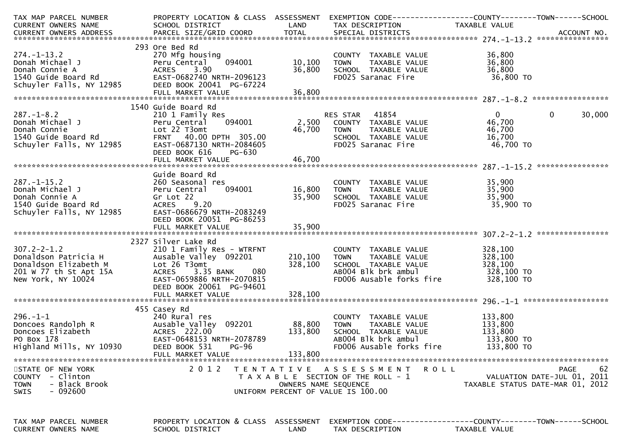| TAX MAP PARCEL NUMBER<br>CURRENT OWNERS NAME                                                                                                                   | PROPERTY LOCATION & CLASS ASSESSMENT<br>SCHOOL DISTRICT | LAND                 | EXEMPTION CODE-----------------COUNTY-------TOWN------SCHOOL<br>TAX DESCRIPTION                                         | TAXABLE VALUE          |                                  |
|----------------------------------------------------------------------------------------------------------------------------------------------------------------|---------------------------------------------------------|----------------------|-------------------------------------------------------------------------------------------------------------------------|------------------------|----------------------------------|
|                                                                                                                                                                |                                                         |                      |                                                                                                                         |                        |                                  |
|                                                                                                                                                                |                                                         |                      |                                                                                                                         |                        |                                  |
| $274. - 1 - 13.2$                                                                                                                                              | 293 Ore Bed Rd<br>270 Mfg housing                       |                      | COUNTY TAXABLE VALUE                                                                                                    | 36,800                 |                                  |
| Donah Michael J                                                                                                                                                | 094001<br>Peru Central                                  | 10,100               | TAXABLE VALUE<br><b>TOWN</b>                                                                                            | 36,800                 |                                  |
| Donah Connie A<br>1540 Guide Board Rd<br>Schuyler Falls, NY 12985                                                                                              | 3.90<br>ACRES                                           | 36,800               | SCHOOL TAXABLE VALUE                                                                                                    | 36,800                 |                                  |
|                                                                                                                                                                | EAST-0682740 NRTH-2096123<br>DEED BOOK 20041 PG-67224   |                      | FD025 Saranac Fire                                                                                                      | 36,800 TO              |                                  |
|                                                                                                                                                                |                                                         |                      |                                                                                                                         |                        |                                  |
|                                                                                                                                                                |                                                         |                      |                                                                                                                         |                        |                                  |
|                                                                                                                                                                | 1540 Guide Board Rd                                     |                      |                                                                                                                         |                        |                                  |
| $287. - 1 - 8.2$                                                                                                                                               | 210 1 Family Res<br>094001<br>Peru Central              |                      |                                                                                                                         | $\mathbf{0}$<br>46,700 | $\Omega$<br>30,000               |
|                                                                                                                                                                | Lot 22 T3omt                                            |                      |                                                                                                                         | 46,700                 |                                  |
|                                                                                                                                                                | FRNT 40.00 DPTH 305.00                                  |                      |                                                                                                                         | 16,700                 |                                  |
| Donah Michael J<br>Donah Connie<br>1540 Guide Board Rd<br>Schuyler Falls, NY 12985                                                                             | EAST-0687130 NRTH-2084605                               |                      | RES STAR 41854<br>2,500 COUNTY TAXABLE VALUE<br>46,700 TOWN TAXABLE VALUE<br>SCHOOL TAXABLE VALUE<br>FD025 Saranac Fire | 46,700 TO              |                                  |
|                                                                                                                                                                | DEED BOOK 616<br>PG-630                                 |                      |                                                                                                                         |                        |                                  |
|                                                                                                                                                                | FULL MARKET VALUE                                       | 46,700               |                                                                                                                         |                        |                                  |
|                                                                                                                                                                | Guide Board Rd                                          |                      |                                                                                                                         |                        |                                  |
| $287. - 1 - 15.2$                                                                                                                                              | 260 Seasonal res                                        |                      | COUNTY TAXABLE VALUE<br>TOWN     TAXABLE VALUE<br>SCHOOL   TAXABLE VALUE                                                | 35,900                 |                                  |
| Donah Michael J                                                                                                                                                | 094001<br>Peru Central                                  | 16,800               |                                                                                                                         | 35,900                 |                                  |
|                                                                                                                                                                | Gr Lot 22                                               | 35,900               |                                                                                                                         | 35,900                 |                                  |
| Donah Mıchael J<br>Donah Connie A<br>1540 Guide Board Rd<br>Schuyler Falls, NY 12985                                                                           | <b>ACRES</b><br>9.20<br>EAST-0686679 NRTH-2083249       |                      | FD025 Saranac Fire                                                                                                      | 35,900 TO              |                                  |
|                                                                                                                                                                | DEED BOOK 20051 PG-86253                                |                      |                                                                                                                         |                        |                                  |
|                                                                                                                                                                | FULL MARKET VALUE                                       | 35,900               |                                                                                                                         |                        |                                  |
|                                                                                                                                                                | 2327 Silver Lake Rd                                     |                      |                                                                                                                         |                        |                                  |
| 307.2-2-1.2<br>Donaldson Patricia H<br>Donaldson Elizabeth M<br>201 W 77 th St Apt 15A<br>201 W 77 th St Apt 15A<br>ACRES 3.35 BANK<br>EAST-0659886 NRTH-20708 | 210 1 Family Res - WTRFNT                               |                      | COUNTY TAXABLE VALUE                                                                                                    | 328,100                |                                  |
|                                                                                                                                                                |                                                         | 210,100              | TOWN TAXABLE VALUE                                                                                                      | 328,100                |                                  |
|                                                                                                                                                                |                                                         | 328,100              | SCHOOL TAXABLE VALUE                                                                                                    | 328,100                |                                  |
|                                                                                                                                                                | 080                                                     |                      | ABOO4 Blk brk ambul                                                                                                     | 328,100 TO             |                                  |
| New York, NY 10024                                                                                                                                             | EAST-0659886 NRTH-2070815                               |                      | FD006 Ausable forks fire                                                                                                | 328,100 TO             |                                  |
|                                                                                                                                                                | DEED BOOK 20061 PG-94601<br>FULL MARKET VALUE           | 328,100              |                                                                                                                         |                        |                                  |
|                                                                                                                                                                |                                                         |                      |                                                                                                                         |                        |                                  |
|                                                                                                                                                                | 455 Casey Rd                                            |                      |                                                                                                                         |                        |                                  |
| $296. - 1 - 1$                                                                                                                                                 | 240 Rural res                                           |                      | COUNTY TAXABLE VALUE                                                                                                    | 133,800<br>133,800     |                                  |
|                                                                                                                                                                |                                                         | 88,800<br>133,800    | TAXABLE VALUE<br><b>TOWN</b><br>SCHOOL TAXABLE VALUE                                                                    | 133,800                |                                  |
|                                                                                                                                                                | EAST-0648153 NRTH-2078789                               |                      | AB004 Blk brk ambul                                                                                                     | 133,800 TO             |                                  |
| Highland Mills, NY 10930                                                                                                                                       |                                                         |                      | FD006 Ausable forks fire                                                                                                | 133,800 TO             |                                  |
|                                                                                                                                                                | FULL MARKET VALUE                                       | 133,800              |                                                                                                                         |                        |                                  |
| STATE OF NEW YORK                                                                                                                                              | 2 0 1 2                                                 |                      | TENTATIVE ASSESSMENT ROLL                                                                                               |                        | 62<br><b>PAGE</b>                |
| COUNTY - Clinton                                                                                                                                               |                                                         |                      | T A X A B L E SECTION OF THE ROLL - 1                                                                                   |                        | VALUATION DATE-JUL 01, 2011      |
| - Black Brook<br><b>TOWN</b>                                                                                                                                   |                                                         | OWNERS NAME SEQUENCE |                                                                                                                         |                        | TAXABLE STATUS DATE-MAR 01, 2012 |
| - 092600<br><b>SWIS</b>                                                                                                                                        |                                                         |                      | UNIFORM PERCENT OF VALUE IS 100.00                                                                                      |                        |                                  |
|                                                                                                                                                                |                                                         |                      |                                                                                                                         |                        |                                  |
|                                                                                                                                                                |                                                         |                      |                                                                                                                         |                        |                                  |
| TAX MAP PARCEL NUMBER                                                                                                                                          | PROPERTY LOCATION & CLASS ASSESSMENT                    |                      |                                                                                                                         |                        |                                  |
| CURRENT OWNERS NAME                                                                                                                                            | SCHOOL DISTRICT                                         | LAND                 | TAX DESCRIPTION                                                                                                         | TAXABLE VALUE          |                                  |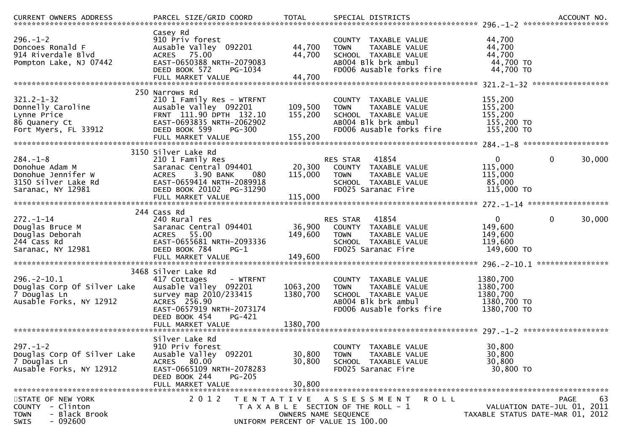| <b>CURRENT OWNERS ADDRESS</b>                                                                               | PARCEL SIZE/GRID COORD                                                                                                                                                              | <b>TOTAL</b>                  | SPECIAL DISTRICTS                                                                                                                          |                                                                 | ACCOUNT NO.        |
|-------------------------------------------------------------------------------------------------------------|-------------------------------------------------------------------------------------------------------------------------------------------------------------------------------------|-------------------------------|--------------------------------------------------------------------------------------------------------------------------------------------|-----------------------------------------------------------------|--------------------|
| $296. - 1 - 2$<br>Doncoes Ronald F<br>914 Riverdale Blvd<br>Pompton Lake, NJ 07442                          | Casey Rd<br>910 Priv forest<br>Ausable Valley 092201<br>ACRES 75.00<br>EAST-0650388 NRTH-2079083<br>DEED BOOK 572<br>PG-1034                                                        | 44,700<br>44,700              | COUNTY TAXABLE VALUE<br>TAXABLE VALUE<br><b>TOWN</b><br>SCHOOL TAXABLE VALUE<br>AB004 Blk brk ambul<br>FD006 Ausable forks fire            | 44,700<br>44,700<br>44,700<br>44,700 TO<br>44,700 TO            |                    |
| $321.2 - 1 - 32$<br>Donnelly Caroline<br>Lynne Price<br>86 Quanery Ct<br>Fort Myers, FL 33912               | 250 Narrows Rd<br>210 1 Family Res - WTRFNT<br>Ausable Valley 092201<br>FRNT 111.90 DPTH 132.10<br>EAST-0693835 NRTH-2062902<br>DEED BOOK 599<br><b>PG-300</b><br>FULL MARKET VALUE | 109,500<br>155,200<br>155,200 | COUNTY TAXABLE VALUE<br>TAXABLE VALUE<br><b>TOWN</b><br>SCHOOL TAXABLE VALUE<br>AB004 Blk brk ambul<br>FD006 Ausable forks fire            | 155,200<br>155,200<br>155,200<br>155,200 TO<br>155,200 TO       |                    |
| $284. - 1 - 8$<br>Donohue Adam M<br>Donohue Jennifer W<br>3150 Silver Lake Rd<br>Saranac, NY 12981          | 3150 Silver Lake Rd<br>210 1 Family Res<br>Saranac Central 094401<br>3.90 BANK<br><b>ACRES</b><br>080<br>EAST-0659414 NRTH-2089918<br>DEED BOOK 20102 PG-31290<br>FULL MARKET VALUE | 20,300<br>115,000<br>115,000  | 41854<br>RES STAR<br>COUNTY TAXABLE VALUE<br><b>TOWN</b><br>TAXABLE VALUE<br>SCHOOL TAXABLE VALUE<br>FD025 Saranac Fire                    | 0<br>115,000<br>115,000<br>85,000<br>115,000 TO                 | 30,000<br>$\bf{0}$ |
| $272. - 1 - 14$<br>Douglas Bruce M<br>Douglas Deborah<br>244 Cass Rd<br>Saranac, NY 12981                   | 244 Cass Rd<br>240 Rural res<br>Saranac Central 094401<br>ACRES 55.00<br>EAST-0655681 NRTH-2093336<br>DEED BOOK 784<br>PG-1<br>FULL MARKET VALUE                                    | 36,900<br>149,600<br>149,600  | 41854<br><b>RES STAR</b><br>COUNTY TAXABLE VALUE<br>TAXABLE VALUE<br><b>TOWN</b><br>SCHOOL TAXABLE VALUE<br>FD025 Saranac Fire             | $\mathbf 0$<br>149,600<br>149,600<br>119,600<br>149,600 TO      | 30,000<br>$\bf{0}$ |
| $296. - 2 - 10.1$<br>Douglas Corp Of Silver Lake<br>7 Douglas Ln<br>Ausable Forks, NY 12912                 | 3468 Silver Lake Rd<br>417 Cottages<br>- WTRFNT<br>Ausable Valley 092201<br>survey map 2010/233415<br>ACRES 256.90<br>EAST-0657919 NRTH-2073174<br>DEED BOOK 454<br>$PG-421$        | 1063,200<br>1380,700          | COUNTY TAXABLE VALUE<br>TAXABLE VALUE<br><b>TOWN</b><br>SCHOOL TAXABLE VALUE<br>ABOO4 Blk brk ambul<br>FD006 Ausable forks fire            | 1380,700<br>1380,700<br>1380,700<br>1380,700 TO<br>1380,700 TO  |                    |
| $297. - 1 - 2$<br>Douglas Corp Of Silver Lake<br>7 Douglas Ln<br>Ausable Forks, NY 12912                    | Silver Lake Rd<br>910 Priv forest<br>Ausable Valley 092201<br>ACRES 80.00<br>EAST-0665109 NRTH-2078283<br>DEED BOOK 244<br>$PG-205$<br>FULL MARKET VALUE                            | 30,800<br>30,800<br>30,800    | COUNTY TAXABLE VALUE<br>TAXABLE VALUE<br><b>TOWN</b><br>SCHOOL TAXABLE VALUE<br>FD025 Saranac Fire                                         | 30,800<br>30,800<br>30,800<br>30,800 TO                         |                    |
| STATE OF NEW YORK<br>- Clinton<br><b>COUNTY</b><br>- Black Brook<br><b>TOWN</b><br>$-092600$<br><b>SWIS</b> | 2 0 1 2                                                                                                                                                                             |                               | TENTATIVE ASSESSMENT<br><b>ROLL</b><br>T A X A B L E SECTION OF THE ROLL - 1<br>OWNERS NAME SEQUENCE<br>UNIFORM PERCENT OF VALUE IS 100.00 | VALUATION DATE-JUL 01, 2011<br>TAXABLE STATUS DATE-MAR 01, 2012 | 63<br><b>PAGE</b>  |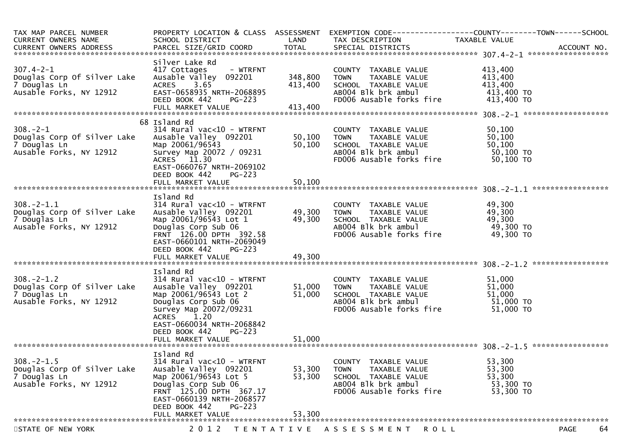| TAX MAP PARCEL NUMBER<br><b>CURRENT OWNERS NAME</b><br>CURRENT OWNERS ADDRESS              | PROPERTY LOCATION & CLASS ASSESSMENT<br>SCHOOL DISTRICT                                                                                                                                                                     | LAND                          | TAX DESCRIPTION                                                                                                                 | EXEMPTION CODE-----------------COUNTY-------TOWN------SCHOOL<br>TAXABLE VALUE |
|--------------------------------------------------------------------------------------------|-----------------------------------------------------------------------------------------------------------------------------------------------------------------------------------------------------------------------------|-------------------------------|---------------------------------------------------------------------------------------------------------------------------------|-------------------------------------------------------------------------------|
| $307.4 - 2 - 1$<br>Douglas Corp Of Silver Lake<br>7 Douglas Ln<br>Ausable Forks, NY 12912  | Silver Lake Rd<br>417 Cottages<br>- WTRFNT<br>Ausable Valley 092201<br>ACRES 3.65<br>EAST-0658935 NRTH-2068895<br>DEED BOOK 442<br>$PG-223$<br>FULL MARKET VALUE                                                            | 348,800<br>413,400<br>413,400 | COUNTY TAXABLE VALUE<br>TAXABLE VALUE<br><b>TOWN</b><br>SCHOOL TAXABLE VALUE<br>ABOO4 Blk brk ambul<br>FD006 Ausable forks fire | 413,400<br>413,400<br>413,400<br>413,400 TO<br>413,400 TO                     |
| $308. - 2 - 1$<br>Douglas Corp Of Silver Lake<br>7 Douglas Ln<br>Ausable Forks, NY 12912   | 68 Island Rd<br>$314$ Rural vac<10 - WTRFNT<br>Ausable Valley 092201<br>Map 20061/96543<br>Survey Map 20072 / 09231<br>ACRES 11.30<br>EAST-0660767 NRTH-2069102<br>DEED BOOK 442<br>$PG-223$<br>FULL MARKET VALUE           | 50,100<br>50,100<br>50,100    | COUNTY TAXABLE VALUE<br><b>TOWN</b><br>TAXABLE VALUE<br>SCHOOL TAXABLE VALUE<br>ABOO4 Blk brk ambul<br>FD006 Ausable forks fire | 50,100<br>50,100<br>50,100<br>50,100 TO<br>50,100 TO                          |
| $308. - 2 - 1.1$<br>Douglas Corp Of Silver Lake<br>7 Douglas Ln<br>Ausable Forks, NY 12912 | Island Rd<br>$314$ Rural vac<10 - WTRFNT<br>Ausable Valley 092201<br>Map 20061/96543 Lot 1<br>Douglas Corp Sub 06<br>FRNT 126.00 DPTH 392.58<br>EAST-0660101 NRTH-2069049<br>DEED BOOK 442<br>$PG-223$<br>FULL MARKET VALUE | 49,300<br>49,300<br>49,300    | COUNTY TAXABLE VALUE<br><b>TOWN</b><br>TAXABLE VALUE<br>SCHOOL TAXABLE VALUE<br>AB004 Blk brk ambul<br>FD006 Ausable forks fire | 49,300<br>49,300<br>49,300<br>49,300 TO<br>49,300 TO                          |
| $308. - 2 - 1.2$<br>Douglas Corp Of Silver Lake<br>7 Douglas Ln<br>Ausable Forks, NY 12912 | Island Rd<br>$314$ Rural vac<10 - WTRFNT<br>Ausable Valley 092201<br>Map 20061/96543 Lot 2<br>Douglas Corp Sub 06<br>Survey Map 20072/09231<br>ACRES 1.20<br>EAST-0660034 NRTH-2068842<br>DEED BOOK 442<br>$PG-223$         | 51,000<br>51,000              | COUNTY TAXABLE VALUE<br>TAXABLE VALUE<br><b>TOWN</b><br>SCHOOL TAXABLE VALUE<br>AB004 Blk brk ambul<br>FD006 Ausable forks fire | 51,000<br>51,000<br>51,000<br>51,000 TO<br>51,000 TO                          |
| $308. -2 - 1.5$<br>Douglas Corp Of Silver Lake<br>7 Douglas Ln<br>Ausable Forks, NY 12912  | Island Rd<br>314 Rural vac<10 - WTRFNT<br>Ausable Valley 092201<br>Map 20061/96543 Lot 5<br>Douglas Corp Sub 06<br>FRNT 125.00 DPTH 367.17<br>EAST-0660139 NRTH-2068577<br>DEED BOOK 442<br>$PG-223$<br>FULL MARKET VALUE   | 53,300<br>53,300<br>53,300    | COUNTY TAXABLE VALUE<br>TAXABLE VALUE<br><b>TOWN</b><br>SCHOOL TAXABLE VALUE<br>AB004 Blk brk ambul<br>FD006 Ausable forks fire | 53,300<br>53,300<br>53,300<br>53,300 TO<br>53,300 TO                          |
| STATE OF NEW YORK                                                                          | 2 0 1 2                                                                                                                                                                                                                     | T E N T A T I V E             | A S S E S S M E N T<br><b>ROLL</b>                                                                                              | 64<br><b>PAGE</b>                                                             |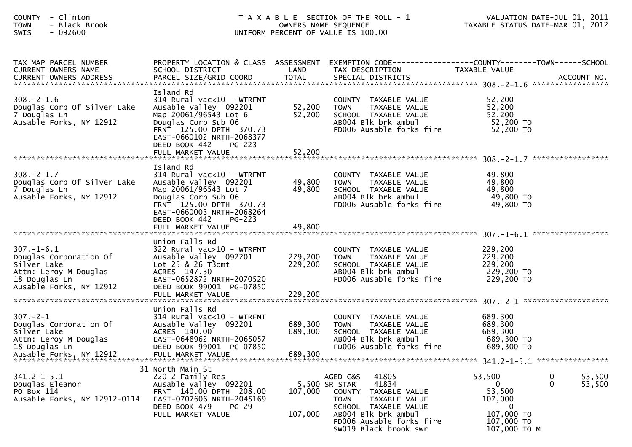| COUNTY - Clinton<br>- Black Brook<br><b>TOWN</b><br>SWIS<br>$-092600$                                                          |                                                                                                                                                                                                                           |                               | T A X A B L E SECTION OF THE ROLL - 1<br>OWNERS NAME SEQUENCE<br>UNIFORM PERCENT OF VALUE IS 100.00                                                                                                               | TAXABLE STATUS DATE-MAR 01, 2012                                                             | VALUATION DATE-JUL 01, 2011       |
|--------------------------------------------------------------------------------------------------------------------------------|---------------------------------------------------------------------------------------------------------------------------------------------------------------------------------------------------------------------------|-------------------------------|-------------------------------------------------------------------------------------------------------------------------------------------------------------------------------------------------------------------|----------------------------------------------------------------------------------------------|-----------------------------------|
| TAX MAP PARCEL NUMBER<br><b>CURRENT OWNERS NAME</b>                                                                            | SCHOOL DISTRICT                                                                                                                                                                                                           | <b>LAND</b>                   | PROPERTY LOCATION & CLASS ASSESSMENT EXEMPTION CODE----------------COUNTY-------TOWN------SCHOOL<br>TAX DESCRIPTION                                                                                               | TAXABLE VALUE                                                                                |                                   |
| $308. - 2 - 1.6$<br>Douglas Corp Of Silver Lake<br>7 Douglas Ln<br>Ausable Forks, NY 12912                                     | Island Rd<br>$314$ Rural vac< $10$ - WTRFNT<br>Ausable Valley 092201<br>Map 20061/96543 Lot 6<br>Douglas Corp Sub 06<br>FRNT 125.00 DPTH 370.73<br>EAST-0660102 NRTH-2068377<br>DEED BOOK 442<br>PG-223                   | 52,200 TOWN<br>52,200         | COUNTY TAXABLE VALUE<br>TAXABLE VALUE<br>SCHOOL TAXABLE VALUE<br>AB004 Blk brk ambul<br>FD006 Ausable forks fire                                                                                                  | 52,200<br>52,200<br>52,200<br>52,200 TO<br>52,200 TO                                         |                                   |
|                                                                                                                                |                                                                                                                                                                                                                           |                               |                                                                                                                                                                                                                   |                                                                                              |                                   |
| $308. - 2 - 1.7$<br>Douglas Corp Of Silver Lake<br>7 Douglas Ln<br>Ausable Forks, NY 12912                                     | Island Rd<br>$314$ Rural vac<10 - WTRFNT<br>Ausable Valley 092201<br>Map 20061/96543 Lot 7<br>Douglas Corp Sub 06<br>FRNT 125.00 DPTH 370.73<br>EAST-0660003 NRTH-2068264<br>DEED BOOK 442<br>PG-223<br>FULL MARKET VALUE | 49,800 TOWN<br>49,800         | COUNTY TAXABLE VALUE<br>TAXABLE VALUE<br>49,800 SCHOOL TAXABLE VALUE<br>ABOO4 Blk brk ambul<br>FD006 Ausable forks fire                                                                                           | 49,800<br>49,800<br>49,800<br>49,800 TO<br>49,800 TO                                         |                                   |
|                                                                                                                                |                                                                                                                                                                                                                           |                               |                                                                                                                                                                                                                   |                                                                                              |                                   |
| $307. - 1 - 6.1$<br>Douglas Corporation Of<br>Silver Lake<br>Attn: Leroy M Douglas<br>18 Douglas Ln<br>Ausable Forks, NY 12912 | Union Falls Rd<br>322 Rural vac>10 - WTRFNT<br>Ausable Valley 092201<br>Lot 25 & 26 T3omt<br>ACRES 147.30<br>EAST-0652872 NRTH-2070520<br>DEED BOOK 99001 PG-07850<br>FULL MARKET VALUE                                   | 229,200<br>229,200<br>229,200 | COUNTY TAXABLE VALUE<br>TAXABLE VALUE<br><b>TOWN</b><br>SCHOOL  TAXABLE VALUE<br>ABOO4 Blk brk ambul<br>FD006 Ausable forks fire                                                                                  | 229,200<br>229,200<br>229,200<br>229,200 TO<br>229,200 TO                                    |                                   |
|                                                                                                                                | Union Falls Rd                                                                                                                                                                                                            |                               |                                                                                                                                                                                                                   |                                                                                              |                                   |
| $307 - 2 - 1$<br>Douglas Corporation Of<br>Silver Lake<br>Attn: Leroy M Douglas<br>18 Douglas Ln<br>Ausable Forks, NY 12912    | 314 Rural vac<10 - WTRFNT<br>Ausable Valley 092201<br>ACRES 140.00<br>EAST-0648962 NRTH-2065057<br>DEED BOOK 99001 PG-07850<br>FULL MARKET VALUE                                                                          | 689,300<br>689,300<br>689,300 | COUNTY TAXABLE VALUE<br><b>TOWN</b><br>TAXABLE VALUE<br>SCHOOL TAXABLE VALUE<br>AB004 Blk brk ambul<br>FD006 Ausable forks fire                                                                                   | 689,300<br>689,300<br>689,300<br>689,300 TO<br>689,300 TO                                    |                                   |
|                                                                                                                                | 31 North Main St                                                                                                                                                                                                          |                               |                                                                                                                                                                                                                   |                                                                                              |                                   |
| $341.2 - 1 - 5.1$<br>Douglas Eleanor<br>PO Box 114<br>Ausable Forks, NY 12912-0114                                             | 220 2 Family Res<br>Ausable Valley 092201<br>FRNT 140.00 DPTH 208.00<br>EAST-0707606 NRTH-2045169<br>DEED BOOK 479<br>$PG-29$<br>FULL MARKET VALUE                                                                        | 107,000<br>107,000            | 41805<br>AGED C&S<br>41834<br>5,500 SR STAR<br><b>COUNTY</b><br>TAXABLE VALUE<br><b>TOWN</b><br>TAXABLE VALUE<br>SCHOOL TAXABLE VALUE<br>AB004 Blk brk ambul<br>FD006 Ausable forks fire<br>SW019 Black brook swr | 53,500<br>$\mathbf{0}$<br>53,500<br>107,000<br>0<br>107,000 TO<br>107,000 TO<br>107,000 ТО М | 53,500<br>0<br>$\Omega$<br>53,500 |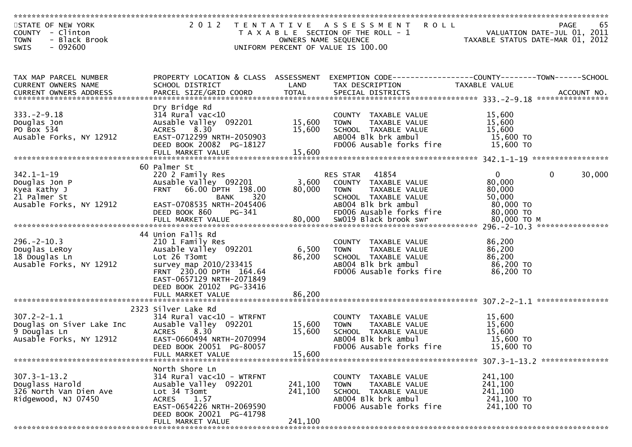| STATE OF NEW YORK<br>COUNTY - Clinton<br>- Black Brook<br><b>TOWN</b> | 2 0 1 2                                       | OWNERS NAME SEQUENCE | TENTATIVE ASSESSMENT<br><b>ROLL</b><br>T A X A B L E SECTION OF THE ROLL - 1 |                          | 65<br>PAGE<br>VALUATION DATE-JUL 01, 2011<br>TAXABLE STATUS DATE-MAR 01, 2012 |
|-----------------------------------------------------------------------|-----------------------------------------------|----------------------|------------------------------------------------------------------------------|--------------------------|-------------------------------------------------------------------------------|
| $-092600$<br>SWIS                                                     |                                               |                      | UNIFORM PERCENT OF VALUE IS 100.00                                           |                          |                                                                               |
|                                                                       |                                               |                      |                                                                              |                          |                                                                               |
| TAX MAP PARCEL NUMBER                                                 | PROPERTY LOCATION & CLASS ASSESSMENT          |                      | EXEMPTION CODE-----------------COUNTY-------TOWN------SCHOOL                 |                          |                                                                               |
| CURRENT OWNERS NAME<br><b>CURRENT OWNERS ADDRESS</b>                  | SCHOOL DISTRICT                               | LAND                 | TAX DESCRIPTION                                                              | TAXABLE VALUE            |                                                                               |
|                                                                       |                                               |                      |                                                                              |                          |                                                                               |
|                                                                       | Dry Bridge Rd                                 |                      |                                                                              |                          |                                                                               |
| $333. - 2 - 9.18$                                                     | $314$ Rural vac<10                            |                      | COUNTY TAXABLE VALUE                                                         | 15,600                   |                                                                               |
| Douglas Jon<br>PO Box 534                                             | Ausable Valley 092201<br>8.30                 | 15,600<br>15,600     | TAXABLE VALUE<br><b>TOWN</b>                                                 | 15,600<br>15,600         |                                                                               |
| Ausable Forks, NY 12912                                               | <b>ACRES</b><br>EAST-0712299 NRTH-2050903     |                      | SCHOOL TAXABLE VALUE<br>AB004 Blk brk ambul                                  | 15,600 TO                |                                                                               |
|                                                                       | DEED BOOK 20082 PG-18127                      |                      | FD006 Ausable forks fire                                                     | 15,600 TO                |                                                                               |
|                                                                       |                                               |                      |                                                                              |                          |                                                                               |
|                                                                       |                                               |                      |                                                                              |                          |                                                                               |
| $342.1 - 1 - 19$                                                      | 60 Palmer St<br>220 2 Family Res              |                      | 41854<br><b>RES STAR</b>                                                     | $\overline{0}$           | 30,000<br>$\overline{0}$                                                      |
| Douglas Jon P                                                         | Ausable Valley 092201                         | 3,600                | COUNTY TAXABLE VALUE                                                         | 80,000                   |                                                                               |
| Kyea Kathy J                                                          | 66.00 DPTH 198.00<br><b>FRNT</b>              | 80,000               | <b>TOWN</b><br>TAXABLE VALUE                                                 | 80,000                   |                                                                               |
| 21 Palmer St                                                          | 320<br><b>BANK</b>                            |                      | SCHOOL TAXABLE VALUE                                                         | 50,000                   |                                                                               |
| Ausable Forks, NY 12912                                               | EAST-0708535 NRTH-2045406                     |                      | AB004 Blk brk ambul                                                          | 80,000 TO                |                                                                               |
|                                                                       | PG-341<br>DEED BOOK 860<br>FULL MARKET VALUE  | 80,000               | FD006 Ausable forks fire<br>SW019 Black brook swr                            | 80,000 TO<br>80,000 ТО М |                                                                               |
|                                                                       |                                               |                      |                                                                              |                          |                                                                               |
|                                                                       | 44 Union Falls Rd                             |                      |                                                                              |                          |                                                                               |
| $296. - 2 - 10.3$                                                     | 210 1 Family Res                              |                      | COUNTY TAXABLE VALUE                                                         | 86,200                   |                                                                               |
| Douglas LeRoy<br>18 Douglas Ln                                        | Ausable Valley 092201<br>Lot 26 T3omt         | 6,500<br>86,200      | <b>TOWN</b><br>TAXABLE VALUE<br>SCHOOL TAXABLE VALUE                         | 86,200<br>86,200         |                                                                               |
| Ausable Forks, NY 12912                                               | survey map 2010/233415                        |                      | AB004 Blk brk ambul                                                          | 86,200 TO                |                                                                               |
|                                                                       | FRNT 230.00 DPTH 164.64                       |                      | FD006 Ausable forks fire                                                     | 86,200 TO                |                                                                               |
|                                                                       | EAST-0657129 NRTH-2071849                     |                      |                                                                              |                          |                                                                               |
|                                                                       | DEED BOOK 20102 PG-33416                      |                      |                                                                              |                          |                                                                               |
|                                                                       | FULL MARKET VALUE                             | 86,200               |                                                                              |                          |                                                                               |
|                                                                       | 2323 Silver Lake Rd                           |                      |                                                                              |                          |                                                                               |
| $307.2 - 2 - 1.1$                                                     | $314$ Rural vac<10 - WTRFNT                   |                      | COUNTY TAXABLE VALUE                                                         | 15,600                   |                                                                               |
| Douglas on Siver Lake Inc                                             | Ausable Valley 092201                         | 15,600               | TAXABLE VALUE<br><b>TOWN</b>                                                 | 15,600                   |                                                                               |
| 9 Douglas Ln                                                          | <b>ACRES</b><br>8.30                          | 15,600               | SCHOOL TAXABLE VALUE                                                         | 15,600                   |                                                                               |
| Ausable Forks, NY 12912                                               | EAST-0660494 NRTH-2070994                     |                      | AB004 Blk brk ambul<br>FD006 Ausable forks fire                              | 15,600 TO<br>15,600 TO   |                                                                               |
|                                                                       | DEED BOOK 20051 PG-80057<br>FULL MARKET VALUE | 15,600               |                                                                              |                          |                                                                               |
| *******************************                                       |                                               |                      |                                                                              |                          |                                                                               |
|                                                                       | North Shore Ln                                |                      |                                                                              |                          |                                                                               |
| $307.3 - 1 - 13.2$                                                    | 314 Rural vac<10 - WTRFNT                     |                      | <b>COUNTY</b><br>TAXABLE VALUE                                               | 241,100                  |                                                                               |
| Douglass Harold<br>326 North Van Dien Ave                             | Ausable Valley 092201<br>Lot 34 T3omt         | 241,100<br>241,100   | TAXABLE VALUE<br>TOWN<br>SCHOOL TAXABLE VALUE                                | 241,100<br>241,100       |                                                                               |
| Ridgewood, NJ 07450                                                   | <b>ACRES</b><br>1.57                          |                      | ABOO4 Blk brk ambul                                                          | 241,100 TO               |                                                                               |
|                                                                       | EAST-0654226 NRTH-2069590                     |                      | FD006 Ausable forks fire                                                     | 241,100 TO               |                                                                               |
|                                                                       | DEED BOOK 20021 PG-41798                      |                      |                                                                              |                          |                                                                               |
|                                                                       | FULL MARKET VALUE                             | 241,100              |                                                                              |                          |                                                                               |
|                                                                       |                                               |                      |                                                                              |                          |                                                                               |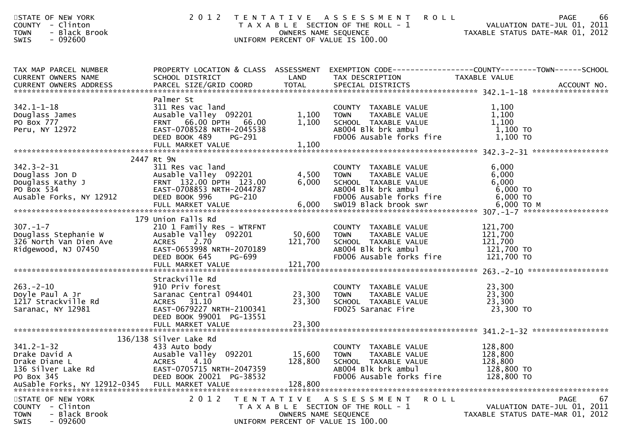| STATE OF NEW YORK<br>COUNTY - Clinton<br><b>TOWN</b><br>- Black Brook<br>$-092600$<br><b>SWIS</b>                      |                                                                                                                                                                               |                              | 2012 TENTATIVE ASSESSMENT<br><b>ROLL</b><br>T A X A B L E SECTION OF THE ROLL - 1<br>OWNERS NAME SEQUENCE<br>UNIFORM PERCENT OF VALUE IS 100.00 | 66<br><b>PAGE</b><br>VALUATION DATE-JUL 01, 2011<br>VALUATION DATE-JUL 01, 2011<br>TAXABLE STATUS DATE-MAR 01, 2012              |
|------------------------------------------------------------------------------------------------------------------------|-------------------------------------------------------------------------------------------------------------------------------------------------------------------------------|------------------------------|-------------------------------------------------------------------------------------------------------------------------------------------------|----------------------------------------------------------------------------------------------------------------------------------|
| TAX MAP PARCEL NUMBER<br>CURRENT OWNERS NAME<br>CURRENT OWNERS ADDRESS                                                 | SCHOOL DISTRICT<br>PARCEL SIZE/GRID COORD                                                                                                                                     | LAND<br>TOTAL                | TAX DESCRIPTION<br>SPECIAL DISTRICTS                                                                                                            | PROPERTY LOCATION & CLASS ASSESSMENT EXEMPTION CODE----------------COUNTY-------TOWN------SCHOOL<br>TAXABLE VALUE<br>ACCOUNT NO. |
| $342.1 - 1 - 18$<br>Douglass James<br>PO Box 777<br>Peru, NY 12972                                                     | Palmer St<br>311 Res vac land<br>Ausable Valley 092201<br>FRNT 66.00 DPTH 66.00<br>EAST-0708528 NRTH-2045538<br>DEED BOOK 489<br>PG-291<br>FULL MARKET VALUE                  | 1,100<br>1,100<br>1,100      | COUNTY TAXABLE VALUE<br><b>TOWN</b><br>TAXABLE VALUE<br>SCHOOL TAXABLE VALUE<br>AB004 Blk brk ambul<br>FD006 Ausable forks fire                 | 1,100<br>1,100<br>1,100<br>1,100 TO<br>1,100 TO                                                                                  |
| $342.3 - 2 - 31$<br>Douglass Jon D<br>Douglass Kathy J<br>Douglass Kathy J<br>PO Box 534<br>Ausable Forks, NY 12912    | 2447 Rt 9N<br>311 Res vac land<br>Ausable Valley 092201<br>FRNT 132.00 DPTH 123.00<br>EAST-0708853 NRTH-2044787<br>DEED BOOK 996<br>PG-210                                    | 4,500<br>6,000               | COUNTY TAXABLE VALUE<br><b>TOWN</b><br>TAXABLE VALUE<br>AAABLE VALUE<br>ABOO4 Blk brk ambul<br>FDOO6 AUSALIS<br>FD006 Ausable forks fire        | 6,000<br>6,000<br>6,000<br>6,000 TO<br>6,000 TO                                                                                  |
| $307. - 1 - 7$<br>Douglass Stephanie W<br>326 North Van Dien Ave<br>Ridgewood, NJ 07450                                | 179 Union Falls Rd<br>210 1 Family Res - WTRFNT<br>Ausable Valley 092201<br><b>ACRES</b><br>2.70<br>EAST-0653998 NRTH-2070189<br>DEED BOOK 645<br>PG-699<br>FULL MARKET VALUE | 50,600<br>121,700<br>121,700 | COUNTY TAXABLE VALUE<br>TAXABLE VALUE<br><b>TOWN</b><br>SCHOOL TAXABLE VALUE<br>ABOO4 Blk brk ambul<br>FD006 Ausable forks fire                 | 121,700<br>121,700<br>121,700<br>121,700 TO<br>121,700 TO                                                                        |
| $263 - 2 - 10$<br>Doyle Paul A Jr<br>1217 Strackville Rd<br>Saranac, NY 12981                                          | Strackville Rd<br>910 Priv forest<br>Saranac Central 094401<br>ACRES 31.10<br>EAST-0679227 NRTH-2100341<br>DEED BOOK 99001 PG-13551<br>FULL MARKET VALUE                      | 23,300<br>23,300<br>23,300   | COUNTY TAXABLE VALUE<br>TAXABLE VALUE<br><b>TOWN</b><br>SCHOOL TAXABLE VALUE<br>FD025 Saranac Fire                                              | 23,300<br>23,300<br>23,300<br>23,300 TO                                                                                          |
| $341.2 - 1 - 32$<br>Drake David A<br>Drake Diane L<br>136 Silver Lake Rd<br>PO Box 345<br>AuSable Forks, NY 12912-0345 | 136/138 Silver Lake Rd<br>433 Auto body<br>Ausable Valley 092201<br><b>ACRES</b><br>4.10<br>EAST-0705715 NRTH-2047359<br>DEED BOOK 20021 PG-38532<br>FULL MARKET VALUE        | 15,600<br>128,800<br>128,800 | COUNTY TAXABLE VALUE<br><b>TOWN</b><br>TAXABLE VALUE<br>SCHOOL TAXABLE VALUE<br>AB004 Blk brk ambul<br>FD006 Ausable forks fire                 | 128,800<br>128,800<br>128,800<br>128,800 TO<br>128,800 TO                                                                        |
| STATE OF NEW YORK<br>COUNTY - Clinton<br><b>TOWN</b><br>- Black Brook<br>SWIS<br>- 092600                              | 2 0 1 2                                                                                                                                                                       | OWNERS NAME SEQUENCE         | ROLL<br>TENTATIVE ASSESSMENT<br>T A X A B L E SECTION OF THE ROLL - 1<br>UNIFORM PERCENT OF VALUE IS 100.00                                     | 67<br><b>PAGE</b><br>VALUATION DATE-JUL 01, 2011<br>TAXABLE STATUS DATE-MAR 01, 2012                                             |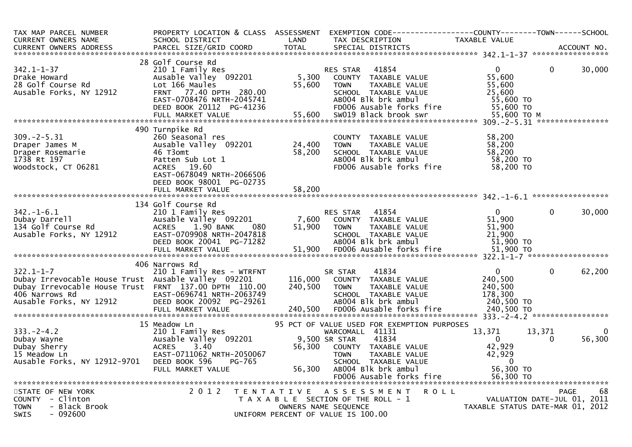| TAX MAP PARCEL NUMBER<br><b>CURRENT OWNERS NAME</b><br><b>CURRENT OWNERS ADDRESS</b>                                                                                         | PROPERTY LOCATION & CLASS ASSESSMENT<br>SCHOOL DISTRICT<br>PARCEL SIZE/GRID COORD                                                                                                         | LAND<br><b>TOTAL</b>          | EXEMPTION CODE-----------------COUNTY-------TOWN------SCHOOL<br>TAX DESCRIPTION<br>SPECIAL DISTRICTS                                                                          | TAXABLE VALUE                                                                   |                    | ACCOUNT NO. |
|------------------------------------------------------------------------------------------------------------------------------------------------------------------------------|-------------------------------------------------------------------------------------------------------------------------------------------------------------------------------------------|-------------------------------|-------------------------------------------------------------------------------------------------------------------------------------------------------------------------------|---------------------------------------------------------------------------------|--------------------|-------------|
|                                                                                                                                                                              | 28 Golf Course Rd                                                                                                                                                                         |                               |                                                                                                                                                                               |                                                                                 |                    |             |
| $342.1 - 1 - 37$<br>Drake Howard<br>28 Golf Course Rd<br>Ausable Forks, NY 12912                                                                                             | 210 1 Family Res<br>Ausable Valley 092201<br>Lot 166 Maules<br>FRNT 77.40 DPTH 280.00<br>EAST-0708476 NRTH-2045741<br>DEED BOOK 20112 PG-41236<br>FULL MARKET VALUE                       | 5,300<br>55,600<br>55,600     | 41854<br>RES STAR<br>COUNTY TAXABLE VALUE<br>TAXABLE VALUE<br><b>TOWN</b><br>SCHOOL TAXABLE VALUE<br>AB004 Blk brk ambul<br>FD006 Ausable forks fire<br>SW019 Black brook swr | $\Omega$<br>55,600<br>55,600<br>25,600<br>55,600 TO<br>55,600 TO<br>55,600 TO M | $\Omega$           | 30,000      |
|                                                                                                                                                                              |                                                                                                                                                                                           |                               |                                                                                                                                                                               |                                                                                 |                    |             |
| $309. -2 - 5.31$<br>Draper James M<br>Draper Rosemarie<br>1738 Rt 197<br>Woodstock, CT 06281                                                                                 | 490 Turnpike Rd<br>260 Seasonal res<br>Ausable Valley 092201<br>46 T3omt<br>Patten Sub Lot 1<br>ACRES 19.60<br>EAST-0678049 NRTH-2066506<br>DEED BOOK 98001 PG-02735<br>FULL MARKET VALUE | 24,400<br>58,200<br>58,200    | COUNTY TAXABLE VALUE<br>TAXABLE VALUE<br><b>TOWN</b><br>SCHOOL TAXABLE VALUE<br>ABOO4 Blk brk ambul<br>FD006 Ausable forks fire                                               | 58,200<br>58,200<br>58,200<br>58,200 TO<br>58,200 TO                            |                    |             |
|                                                                                                                                                                              | 134 Golf Course Rd                                                                                                                                                                        |                               |                                                                                                                                                                               |                                                                                 |                    |             |
| $342. - 1 - 6.1$<br>Dubay Darrell<br>134 Golf Course Rd<br>Ausable Forks, NY 12912                                                                                           | 210 1 Family Res<br>Ausable Valley 092201<br><b>ACRES</b><br>1.90 BANK<br>080<br>EAST-0709908 NRTH-2047818<br>DEED BOOK 20041 PG-71282<br>FULL MARKET VALUE                               | 7,600<br>51,900<br>51,900     | 41854<br>RES STAR<br>COUNTY TAXABLE VALUE<br>TAXABLE VALUE<br><b>TOWN</b><br>SCHOOL TAXABLE VALUE<br>AB004 Blk brk ambul<br>FD006 Ausable forks fire                          | $\overline{0}$<br>51,900<br>51,900<br>21,900<br>$51,900$ TO<br>51,900 TO        | $\Omega$           | 30,000      |
|                                                                                                                                                                              | 406 Narrows Rd                                                                                                                                                                            |                               |                                                                                                                                                                               |                                                                                 |                    |             |
| $322.1 - 1 - 7$<br>Dubay Irrevocable House Trust Ausable Valley 092201<br>Dubay Irrevocable House Trust FRNT 137.00 DPTH 110.00<br>406 Narrows Rd<br>Ausable Forks, NY 12912 | 210 1 Family Res - WTRFNT<br>EAST-0696741 NRTH-2063749<br>DEED BOOK 20092 PG-29261<br>FULL MARKET VALUE                                                                                   | 116,000<br>240,500<br>240.500 | 41834<br>SR STAR<br>COUNTY TAXABLE VALUE<br><b>TOWN</b><br>TAXABLE VALUE<br>SCHOOL TAXABLE VALUE<br>AB004 Blk brk ambul<br>FD006 Ausable forks fire                           | $\overline{0}$<br>240,500<br>240,500<br>178,300<br>240,500 TO<br>240,500 TO     | $\Omega$           | 62,200      |
|                                                                                                                                                                              | 15 Meadow Ln                                                                                                                                                                              |                               | 95 PCT OF VALUE USED FOR EXEMPTION PURPOSES                                                                                                                                   |                                                                                 |                    |             |
| $333. -2 - 4.2$<br>Dubay Wayne<br>Dubay Sherry<br>15 Meadow Ln<br>Ausable Forks, NY 12912-9701                                                                               | 210 1 Family Res<br>Ausable Valley 092201<br><b>ACRES</b><br>3.40<br>EAST-0711062 NRTH-2050067<br>DEED BOOK 596<br>PG-765<br>FULL MARKET VALUE                                            | 56,300<br>56,300              | WARCOMALL 41131<br>9,500 SR STAR<br>41834<br>COUNTY TAXABLE VALUE<br><b>TOWN</b><br>TAXABLE VALUE<br>SCHOOL TAXABLE VALUE<br>AB004 Blk brk ambul                              | 13,371<br>$\Omega$<br>42,929<br>42,929<br>$\Omega$<br>56,300 TO                 | 13,371<br>$\Omega$ | 0<br>56,300 |
| STATE OF NEW YORK                                                                                                                                                            | 2 0 1 2                                                                                                                                                                                   |                               | TENTATIVE ASSESSMENT<br><b>ROLL</b>                                                                                                                                           |                                                                                 | <b>PAGE</b>        | 68          |
| COUNTY - Clinton<br><b>TOWN</b><br>- Black Brook<br><b>SWIS</b><br>- 092600                                                                                                  |                                                                                                                                                                                           |                               | T A X A B L E SECTION OF THE ROLL - 1<br>OWNERS NAME SEQUENCE<br>UNIFORM PERCENT OF VALUE IS 100.00                                                                           | VALUATION DATE-JUL 01, 2011<br>TAXABLE STATUS DATE-MAR 01, 2012                 |                    |             |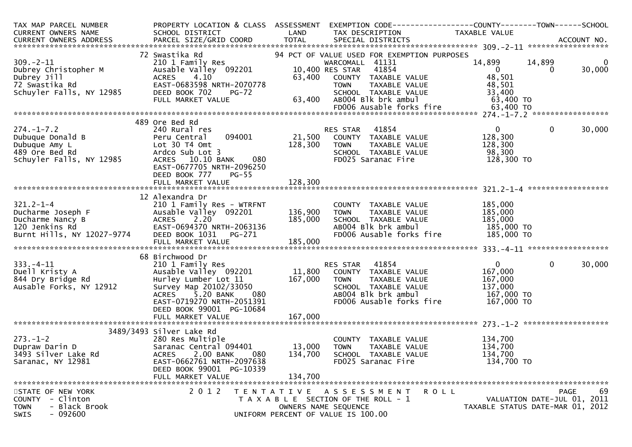| TAX MAP PARCEL NUMBER<br>CURRENT OWNERS NAME                                                                                                                                                                                           | PROPERTY LOCATION & CLASS ASSESSMENT<br>SCHOOL DISTRICT               | LAND              | TAX DESCRIPTION                                                                                                  | EXEMPTION CODE-----------------COUNTY-------TOWN------SCHOOL<br>TAXABLE VALUE |                          |
|----------------------------------------------------------------------------------------------------------------------------------------------------------------------------------------------------------------------------------------|-----------------------------------------------------------------------|-------------------|------------------------------------------------------------------------------------------------------------------|-------------------------------------------------------------------------------|--------------------------|
|                                                                                                                                                                                                                                        |                                                                       |                   |                                                                                                                  |                                                                               |                          |
|                                                                                                                                                                                                                                        | 72 Swastika Rd                                                        |                   | 94 PCT OF VALUE USED FOR EXEMPTION PURPOSES                                                                      |                                                                               |                          |
| $309. - 2 - 11$                                                                                                                                                                                                                        | 210 1 Family Res<br>Ausable Valley  092201                            |                   | WARCOMALL 41131<br>10,400 RES STAR 41854                                                                         | 14,899<br>14,899<br>$\overline{0}$<br>$\mathbf{0}$                            | $\overline{0}$<br>30,000 |
|                                                                                                                                                                                                                                        | ACRES 4.10<br>EAST-0683598 NRTH-2070778                               |                   | 63,400 COUNTY TAXABLE VALUE                                                                                      | 48,501<br>48,501                                                              |                          |
| 309.-2-11<br>Dubrey Christopher M<br>Dubrey Jill<br>72 Swastika Rd<br>Schuyler Falls, NY 12985                                                                                                                                         | DEED BOOK 702<br>PG-72<br>FULL MARKET VALUE                           |                   | ENTERNAL TOWN TAXABLE VALUE<br>3-72 SCHOOL TAXABLE VALUE<br>63,400 AB004 B1k brk ambul<br>FDOO6 Ausable foots of | 33,400<br>63,400 TO                                                           |                          |
|                                                                                                                                                                                                                                        |                                                                       |                   |                                                                                                                  |                                                                               |                          |
|                                                                                                                                                                                                                                        |                                                                       |                   |                                                                                                                  |                                                                               |                          |
|                                                                                                                                                                                                                                        | 489 Ore Bed Rd                                                        |                   |                                                                                                                  |                                                                               |                          |
| $274. - 1 - 7.2$                                                                                                                                                                                                                       | 240 Rural res                                                         |                   | RES STAR 41854<br>RES STAR     41854<br>21,500    COUNTY   TAXABLE VALUE                                         | $\mathbf{0}$<br>$\mathbf{0}$                                                  | 30,000                   |
|                                                                                                                                                                                                                                        | 094001<br>Peru Central                                                |                   |                                                                                                                  | 128,300                                                                       |                          |
|                                                                                                                                                                                                                                        | Lot 30 T4 Omt                                                         | 128,300           | <b>TOWN</b><br>TAXABLE VALUE                                                                                     | 128,300                                                                       |                          |
|                                                                                                                                                                                                                                        | Ardco Sub Lot 3                                                       |                   | SCHOOL TAXABLE VALUE                                                                                             | 98,300                                                                        |                          |
| 274.-1-7.2<br>Dubuque Donald B<br>Dubuque Amy L<br>489 Ore Bed Rd<br>Schuyler Falls, NY 12985                                                                                                                                          | ACRES 10.10 BANK 080                                                  |                   | FD025 Saranac Fire                                                                                               | 128,300 TO                                                                    |                          |
|                                                                                                                                                                                                                                        | EAST-0677705 NRTH-2096250                                             |                   |                                                                                                                  |                                                                               |                          |
|                                                                                                                                                                                                                                        | DEED BOOK 777<br>$PG-55$                                              |                   |                                                                                                                  |                                                                               |                          |
|                                                                                                                                                                                                                                        |                                                                       |                   |                                                                                                                  |                                                                               |                          |
|                                                                                                                                                                                                                                        |                                                                       |                   |                                                                                                                  |                                                                               |                          |
|                                                                                                                                                                                                                                        | 12 Alexandra Dr                                                       |                   |                                                                                                                  |                                                                               |                          |
| $321.2 - 1 - 4$                                                                                                                                                                                                                        | 210 1 Family Res - WTRFNT                                             |                   | COUNTY TAXABLE VALUE                                                                                             | 185,000                                                                       |                          |
|                                                                                                                                                                                                                                        | Ausable Valley 092201                                                 | 136,900           | TAXABLE VALUE<br><b>TOWN</b>                                                                                     | 185,000                                                                       |                          |
|                                                                                                                                                                                                                                        |                                                                       |                   |                                                                                                                  |                                                                               |                          |
|                                                                                                                                                                                                                                        |                                                                       |                   | SCHOOL TAXABLE VALUE<br>ABOO4 Blk brk ambul                                                                      | 185,000 TO<br>185,000 TO<br>25,000 TO                                         |                          |
| Ducharme Joseph F<br>Ducharme Nancy B<br>120 Jenkins Rd<br>Burnt Hills, NY 12027-9774                                                                                                                                                  |                                                                       |                   |                                                                                                                  |                                                                               |                          |
| Ducharme Nancy B ackES 2.20<br>185,000 EAST-0694370 NRTH-2063136 185,000 AB004 Blk brk ambul 185,000 TO<br>Burnt Hills, NY 12027-9774 DEED BOOK 1031 PG-271 FD006 Ausable forks fire 185,000 TO<br>FULL MARKET VALUE 185,000<br>****** |                                                                       |                   |                                                                                                                  |                                                                               |                          |
|                                                                                                                                                                                                                                        |                                                                       |                   |                                                                                                                  |                                                                               |                          |
|                                                                                                                                                                                                                                        | 68 Birchwood Dr                                                       |                   |                                                                                                                  |                                                                               |                          |
| $333. - 4 - 11$                                                                                                                                                                                                                        | 210 1 Family Res<br>Ausable Valley 092201 11,800 COUNTY TAXABLE VALUE |                   |                                                                                                                  | 0<br>$\mathbf 0$                                                              | 30,000                   |
| Duell Kristy A                                                                                                                                                                                                                         |                                                                       |                   |                                                                                                                  | 167,000                                                                       |                          |
| 844 Dry Bridge Rd                                                                                                                                                                                                                      | Hurley Lumber Lot 11 167,000                                          |                   | TAXABLE VALUE<br>TOWN                                                                                            | 167,000                                                                       |                          |
| Ausable Forks, NY 12912                                                                                                                                                                                                                | Survey Map 20102/33050                                                |                   | SCHOOL TAXABLE VALUE                                                                                             | 137,000                                                                       |                          |
|                                                                                                                                                                                                                                        | 080<br>ACRES 5.20 BANK                                                |                   | ABOO4 Blk brk ambul                                                                                              | 167,000 TO                                                                    |                          |
|                                                                                                                                                                                                                                        | EAST-0719270 NRTH-2051391                                             |                   | FD006 Ausable forks fire                                                                                         | 167,000 TO                                                                    |                          |
|                                                                                                                                                                                                                                        | DEED BOOK 99001 PG-10684                                              |                   |                                                                                                                  |                                                                               |                          |
|                                                                                                                                                                                                                                        |                                                                       |                   |                                                                                                                  |                                                                               |                          |
|                                                                                                                                                                                                                                        | FULL MARKET VALUE                                                     | 167,000           |                                                                                                                  |                                                                               |                          |
|                                                                                                                                                                                                                                        |                                                                       |                   |                                                                                                                  |                                                                               |                          |
|                                                                                                                                                                                                                                        | 3489/3493 Silver Lake Rd                                              |                   |                                                                                                                  |                                                                               |                          |
| $273. - 1 - 2$                                                                                                                                                                                                                         | 280 Res Multiple                                                      |                   | COUNTY TAXABLE VALUE                                                                                             | 134,700                                                                       |                          |
| Dupraw Darin D                                                                                                                                                                                                                         | Saranac Central 094401 13,000                                         |                   | TOWN<br>TAXABLE VALUE                                                                                            | 134,700                                                                       |                          |
| 3493 Silver Lake Rd                                                                                                                                                                                                                    | <b>ACRES</b><br>2.00 BANK<br>080                                      | 134,700           | SCHOOL TAXABLE VALUE                                                                                             | 134,700                                                                       |                          |
| Saranac, NY 12981                                                                                                                                                                                                                      | EAST-0662761 NRTH-2097638                                             |                   | FD025 Saranac Fire                                                                                               | 134,700 TO                                                                    |                          |
|                                                                                                                                                                                                                                        | DEED BOOK 99001 PG-10339                                              |                   |                                                                                                                  |                                                                               |                          |
|                                                                                                                                                                                                                                        | FULL MARKET VALUE                                                     | 134,700           |                                                                                                                  |                                                                               |                          |
|                                                                                                                                                                                                                                        |                                                                       |                   |                                                                                                                  |                                                                               |                          |
| STATE OF NEW YORK                                                                                                                                                                                                                      | 2012                                                                  | T E N T A T I V E | <b>ROLL</b><br>A S S E S S M E N T                                                                               |                                                                               | 69<br>PAGE               |
| COUNTY - Clinton                                                                                                                                                                                                                       |                                                                       |                   | T A X A B L E SECTION OF THE ROLL - 1                                                                            | VALUATION DATE-JUL 01, 2011                                                   |                          |
| - Black Brook<br><b>TOWN</b>                                                                                                                                                                                                           |                                                                       |                   | OWNERS NAME SEQUENCE                                                                                             | TAXABLE STATUS DATE-MAR 01, 2012                                              |                          |
| $-092600$<br><b>SWIS</b>                                                                                                                                                                                                               |                                                                       |                   | UNIFORM PERCENT OF VALUE IS 100.00                                                                               |                                                                               |                          |
|                                                                                                                                                                                                                                        |                                                                       |                   |                                                                                                                  |                                                                               |                          |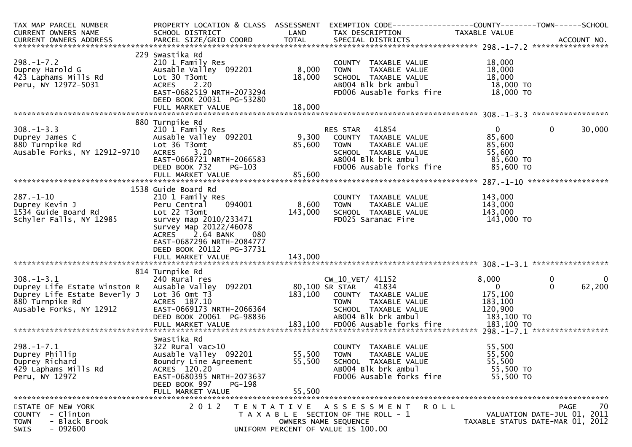| TAX MAP PARCEL NUMBER<br>CURRENT OWNERS NAME<br>CURRENT OWNERS ADDRESS                                                        | PROPERTY LOCATION & CLASS ASSESSMENT<br>SCHOOL DISTRICT<br>PARCEL SIZE/GRID COORD                                                                                               | LAND<br><b>TOTAL</b>      | EXEMPTION CODE-----------------COUNTY-------TOWN------SCHOOL<br>TAX DESCRIPTION<br>SPECIAL DISTRICTS                                                 | TAXABLE VALUE                                                        | ACCOUNT NO.                                                                          |
|-------------------------------------------------------------------------------------------------------------------------------|---------------------------------------------------------------------------------------------------------------------------------------------------------------------------------|---------------------------|------------------------------------------------------------------------------------------------------------------------------------------------------|----------------------------------------------------------------------|--------------------------------------------------------------------------------------|
|                                                                                                                               |                                                                                                                                                                                 |                           |                                                                                                                                                      |                                                                      |                                                                                      |
| $298. - 1 - 7.2$<br>Duprey Harold G<br>423 Laphams Mills Rd<br>Peru, NY 12972-5031                                            | 229 Swastika Rd<br>210 1 Family Res<br>Ausable Valley 092201<br>Lot 30 T3omt<br>2.20<br><b>ACRES</b><br>EAST-0682519 NRTH-2073294<br>DEED BOOK 20031 PG-53280                   | 8,000<br>18,000           | COUNTY TAXABLE VALUE<br>TAXABLE VALUE<br><b>TOWN</b><br>SCHOOL TAXABLE VALUE<br>AB004 Blk brk ambul<br>FD006 Ausable forks fire                      | 18,000<br>18,000<br>18,000<br>18,000 TO<br>18,000 TO                 |                                                                                      |
|                                                                                                                               | FULL MARKET VALUE                                                                                                                                                               | 18,000                    |                                                                                                                                                      |                                                                      |                                                                                      |
|                                                                                                                               |                                                                                                                                                                                 |                           |                                                                                                                                                      |                                                                      |                                                                                      |
|                                                                                                                               | 880 Turnpike Rd                                                                                                                                                                 |                           |                                                                                                                                                      |                                                                      |                                                                                      |
| $308. - 1 - 3.3$<br>Duprey James C<br>880 Turnpike Rd<br>Ausable Forks, NY 12912-9710                                         | 210 1 Family Res<br>Ausable Valley 092201<br>Lot 36 T3omt<br><b>ACRES</b><br>3.20<br>EAST-0668721 NRTH-2066583<br>DEED BOOK 732<br>PG-103<br>FULL MARKET VALUE                  | 9,300<br>85,600<br>85,600 | 41854<br>RES STAR<br>COUNTY TAXABLE VALUE<br>TAXABLE VALUE<br><b>TOWN</b><br>SCHOOL TAXABLE VALUE<br>AB004 Blk brk ambul<br>FD006 Ausable forks fire | $\mathbf{0}$<br>85,600<br>85,600<br>55,600<br>85,600 TO<br>85,600 TO | 30,000<br>$\Omega$                                                                   |
|                                                                                                                               |                                                                                                                                                                                 |                           |                                                                                                                                                      |                                                                      |                                                                                      |
|                                                                                                                               | 1538 Guide Board Rd                                                                                                                                                             |                           |                                                                                                                                                      |                                                                      |                                                                                      |
| $287. - 1 - 10$<br>Duprey Kevin J<br>1534 Guide Board Rd<br>Schyler Falls, NY 12985                                           | 210 1 Family Res<br>094001<br>Peru Central<br>Lot 22 T3omt<br>survey map 2010/233471<br>Survey Map 20122/46078<br>2.64 BANK<br><b>ACRES</b><br>080<br>EAST-0687296 NRTH-2084777 | 8,600<br>143,000          | COUNTY TAXABLE VALUE<br>TAXABLE VALUE<br><b>TOWN</b><br>SCHOOL TAXABLE VALUE<br>FD025 Saranac Fire                                                   | 143,000<br>143,000<br>143,000<br>143,000 TO                          |                                                                                      |
|                                                                                                                               | DEED BOOK 20112 PG-37731                                                                                                                                                        |                           |                                                                                                                                                      |                                                                      |                                                                                      |
|                                                                                                                               | FULL MARKET VALUE                                                                                                                                                               | 143,000                   |                                                                                                                                                      |                                                                      |                                                                                      |
|                                                                                                                               |                                                                                                                                                                                 |                           |                                                                                                                                                      |                                                                      |                                                                                      |
| $308 - 1 - 3.1$<br>Duprey Life Estate Winston R<br>Duprey Life Estate Beverly J<br>880 Turnpike Rd<br>Ausable Forks, NY 12912 | 814 Turnpike Rd<br>240 Rural res<br>Ausable Valley 092201<br>Lot $36$ Omt $T3$<br>ACRES 187.10<br>EAST-0669173 NRTH-2066364<br>DEED BOOK 20061 PG-98836                         | 183,100                   | $CW_10_VET/41152$<br>80,100 SR STAR<br>41834<br>COUNTY TAXABLE VALUE<br>TAXABLE VALUE<br><b>TOWN</b><br>SCHOOL TAXABLE VALUE<br>AB004 Blk brk ambul  | 8,000<br>$\Omega$<br>175,100<br>183,100<br>120,900<br>183,100 TO     | 0<br>0<br>62,200<br>$\mathbf{0}$                                                     |
|                                                                                                                               |                                                                                                                                                                                 |                           |                                                                                                                                                      |                                                                      |                                                                                      |
|                                                                                                                               |                                                                                                                                                                                 |                           |                                                                                                                                                      |                                                                      |                                                                                      |
| $298. - 1 - 7.1$<br>Duprey Phillip<br>Duprey Richard<br>429 Laphams Mills Rd<br>Peru, NY 12972                                | Swastika Rd<br>$322$ Rural vac $>10$<br>Ausable Valley 092201<br>Boundry Line Agreement<br>ACRES 120.20<br>EAST-0680395 NRTH-2073637<br>DEED BOOK 997<br>PG-198                 | 55,500<br>55,500          | COUNTY TAXABLE VALUE<br><b>TOWN</b><br>TAXABLE VALUE<br>SCHOOL TAXABLE VALUE<br>AB004 Blk brk ambul<br>FD006 Ausable forks fire                      | 55,500<br>55,500<br>55,500<br>55,500 TO<br>55,500 TO                 |                                                                                      |
|                                                                                                                               | FULL MARKET VALUE                                                                                                                                                               | 55,500                    |                                                                                                                                                      |                                                                      |                                                                                      |
| STATE OF NEW YORK<br>- Clinton<br><b>COUNTY</b><br>- Black Brook<br><b>TOWN</b><br>$-092600$<br>SWIS                          | 2 0 1 2                                                                                                                                                                         |                           | TENTATIVE ASSESSMENT<br>R O L L<br>T A X A B L E SECTION OF THE ROLL - 1<br>OWNERS NAME SEQUENCE<br>UNIFORM PERCENT OF VALUE IS 100.00               |                                                                      | 70<br><b>PAGE</b><br>VALUATION DATE-JUL 01, 2011<br>TAXABLE STATUS DATE-MAR 01, 2012 |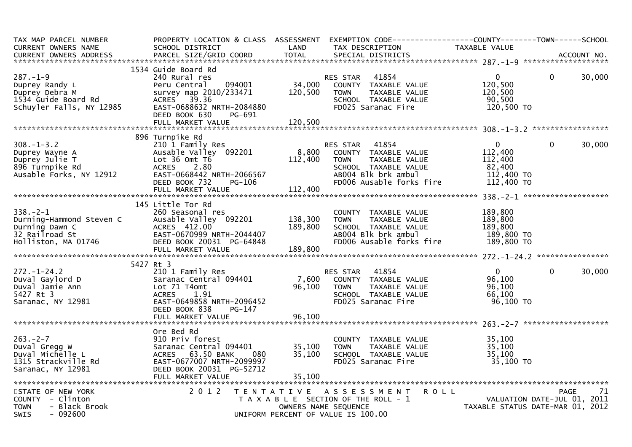| TAX MAP PARCEL NUMBER        |                           |                      | PROPERTY LOCATION & CLASS ASSESSMENT EXEMPTION CODE----------------COUNTY-------TOWN------SCHOOL |                                  |             |             |
|------------------------------|---------------------------|----------------------|--------------------------------------------------------------------------------------------------|----------------------------------|-------------|-------------|
| CURRENT OWNERS NAME          | SCHOOL DISTRICT           | LAND                 | TAX DESCRIPTION                                                                                  | TAXABLE VALUE                    |             |             |
| CURRENT OWNERS ADDRESS       | PARCEL SIZE/GRID COORD    | <b>TOTAL</b>         | SPECIAL DISTRICTS                                                                                |                                  |             | ACCOUNT NO. |
|                              | 1534 Guide Board Rd       |                      |                                                                                                  |                                  |             |             |
| $287. - 1 - 9$               | 240 Rural res             |                      | 41854                                                                                            | $\Omega$                         | $\Omega$    | 30,000      |
| Duprey Randy L               | 094001<br>Peru Central    | 34,000               | RES STAR<br>COUNTY TAXABLE VALUE                                                                 | 120,500                          |             |             |
| Duprey Debra M               | survey map 2010/233471    | 120,500              | <b>TOWN</b><br>TAXABLE VALUE                                                                     | 120,500                          |             |             |
| 1534 Guide Board Rd          | ACRES 39.36               |                      | SCHOOL TAXABLE VALUE                                                                             | 90.500                           |             |             |
| Schuyler Falls, NY 12985     | EAST-0688632 NRTH-2084880 |                      | FD025 Saranac Fire                                                                               | 120,500 TO                       |             |             |
|                              | DEED BOOK 630<br>PG-691   |                      |                                                                                                  |                                  |             |             |
|                              | FULL MARKET VALUE         | 120,500              |                                                                                                  |                                  |             |             |
|                              |                           |                      |                                                                                                  |                                  |             |             |
|                              | 896 Turnpike Rd           |                      |                                                                                                  |                                  |             |             |
| $308. - 1 - 3.2$             | 210 1 Family Res          |                      | 41854<br>RES STAR                                                                                | $\Omega$                         | $\Omega$    | 30,000      |
| Duprey Wayne A               | Ausable Valley 092201     | 8,800                | COUNTY TAXABLE VALUE                                                                             | 112,400                          |             |             |
| Duprey Julie T               | Lot 36 Omt T6             | 112,400              | TAXABLE VALUE<br><b>TOWN</b>                                                                     | 112,400                          |             |             |
| 896 Turnpike Rd              | ACRES 2.80                |                      | SCHOOL TAXABLE VALUE                                                                             | 82,400                           |             |             |
| Ausable Forks, NY 12912      | EAST-0668442 NRTH-2066567 |                      | AB004 Blk brk ambul                                                                              | 112,400 TO                       |             |             |
|                              | DEED BOOK 732<br>PG-106   |                      | FD006 Ausable forks fire                                                                         | 112,400 TO                       |             |             |
|                              | FULL MARKET VALUE         | 112,400              |                                                                                                  |                                  |             |             |
|                              |                           |                      |                                                                                                  |                                  |             |             |
|                              | 145 Little Tor Rd         |                      |                                                                                                  |                                  |             |             |
| $338. - 2 - 1$               | 260 Seasonal res          |                      | COUNTY TAXABLE VALUE                                                                             | 189,800                          |             |             |
| Durning-Hammond Steven C     | Ausable Valley 092201     | 138,300              | TOWN<br>TAXABLE VALUE                                                                            | 189,800                          |             |             |
| Durning Dawn C               | ACRES 412.00              | 189,800              | SCHOOL TAXABLE VALUE                                                                             | 189,800                          |             |             |
| 32 Railroad St               | EAST-0670999 NRTH-2044407 |                      | AB004 Blk brk ambul                                                                              | 189,800 TO                       |             |             |
| Holliston, MA 01746          | DEED BOOK 20031 PG-64848  |                      | FD006 Ausable forks fire                                                                         | 189,800 TO                       |             |             |
|                              |                           |                      |                                                                                                  |                                  |             |             |
|                              |                           |                      |                                                                                                  |                                  |             |             |
|                              | 5427 Rt 3                 |                      |                                                                                                  |                                  |             |             |
| $272. - 1 - 24.2$            | 210 1 Family Res          |                      | RES STAR 41854                                                                                   | $\Omega$                         | $\Omega$    | 30,000      |
| Duval Gaylord D              | Saranac Central 094401    | 7,600                | COUNTY TAXABLE VALUE                                                                             | 96,100                           |             |             |
| Duval Jamie Ann              | Lot 71 T4omt              | 96,100               | <b>TOWN</b><br>TAXABLE VALUE                                                                     | 96,100                           |             |             |
| 5427 Rt 3                    | <b>ACRES</b><br>1.91      |                      | SCHOOL TAXABLE VALUE                                                                             | 66,100                           |             |             |
| Saranac, NY 12981            | EAST-0649858 NRTH-2096452 |                      | FD025 Saranac Fire                                                                               | 96,100 TO                        |             |             |
|                              | DEED BOOK 838<br>PG-147   |                      |                                                                                                  |                                  |             |             |
|                              | FULL MARKET VALUE         | 96,100               |                                                                                                  |                                  |             |             |
|                              |                           |                      |                                                                                                  |                                  |             |             |
|                              | Ore Bed Rd                |                      |                                                                                                  |                                  |             |             |
| $263. -2 - 7$                | 910 Priv forest           |                      | COUNTY TAXABLE VALUE                                                                             | 35,100                           |             |             |
| Duval Gregg W                | Saranac Central 094401    | 35,100               | TAXABLE VALUE<br><b>TOWN</b>                                                                     | 35,100                           |             |             |
| Duval Michelle L             | ACRES 63.50 BANK          | 35,100               | SCHOOL TAXABLE VALUE                                                                             | 35,100                           |             |             |
| 1315 Strackville Rd          | EAST-0677007 NRTH-2099997 |                      | FD025 Saranac Fire                                                                               | 35,100 TO                        |             |             |
| Saranac, NY 12981            | DEED BOOK 20031 PG-52712  |                      |                                                                                                  |                                  |             |             |
|                              | FULL MARKET VALUE         | 35,100               |                                                                                                  |                                  |             |             |
| STATE OF NEW YORK            | 2 0 1 2                   |                      | TENTATIVE ASSESSMENT<br><b>ROLL</b>                                                              |                                  | <b>PAGE</b> | 71          |
| COUNTY - Clinton             |                           |                      | T A X A B L E SECTION OF THE ROLL - 1                                                            | VALUATION DATE-JUL 01, 2011      |             |             |
| <b>TOWN</b><br>- Black Brook |                           | OWNERS NAME SEQUENCE |                                                                                                  | TAXABLE STATUS DATE-MAR 01, 2012 |             |             |
| <b>SWIS</b><br>- 092600      |                           |                      | UNIFORM PERCENT OF VALUE IS 100.00                                                               |                                  |             |             |
|                              |                           |                      |                                                                                                  |                                  |             |             |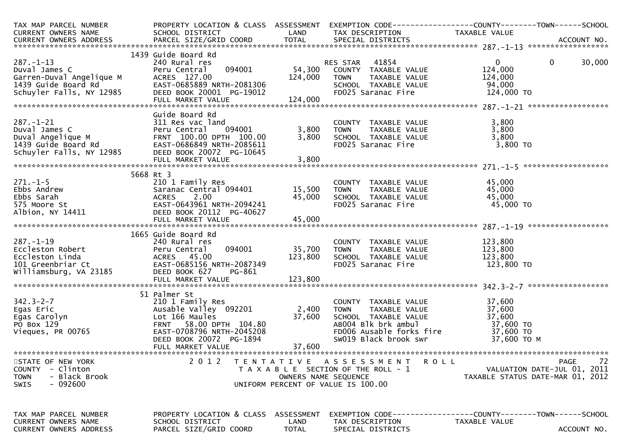| TAX MAP PARCEL NUMBER<br>CURRENT OWNERS NAME<br>CURRENT OWNERS ADDRESS                                          | SCHOOL DISTRICT                                                                                                                                                                    | LAND                               | TAX DESCRIPTION                                                                                                                                          | PROPERTY LOCATION & CLASS ASSESSMENT EXEMPTION CODE----------------COUNTY-------TOWN------SCHOOL<br>TAXABLE VALUE |
|-----------------------------------------------------------------------------------------------------------------|------------------------------------------------------------------------------------------------------------------------------------------------------------------------------------|------------------------------------|----------------------------------------------------------------------------------------------------------------------------------------------------------|-------------------------------------------------------------------------------------------------------------------|
|                                                                                                                 | 1439 Guide Board Rd                                                                                                                                                                |                                    |                                                                                                                                                          |                                                                                                                   |
| $287. - 1 - 13$<br>Duval James C<br>Garren-Duval Angelique M<br>1439 Guide Board Rd<br>Schuyler Falls, NY 12985 | 240 Rural res<br>094001<br>Peru Central<br>ACRES 127.00<br>EAST-0685889 NRTH-2081306<br>DEED BOOK 20001 PG-19012<br>FULL MARKET VALUE                                              | 54,300<br>124,000<br>124,000       | 41854<br>RES STAR<br>COUNTY TAXABLE VALUE<br><b>TOWN</b><br>TAXABLE VALUE<br>SCHOOL TAXABLE VALUE<br>FD025 Saranac Fire                                  | $\overline{0}$<br>$\overline{0}$<br>30,000<br>124,000<br>124,000<br>94,000<br>124,000 TO                          |
|                                                                                                                 |                                                                                                                                                                                    |                                    |                                                                                                                                                          |                                                                                                                   |
| $287. - 1 - 21$<br>Duval James C<br>Duval Angelique M<br>1439 Guide Board Rd<br>Schuyler Falls, NY 12985        | Guide Board Rd<br>311 Res vac land<br>094001<br>Peru Central<br>FRNT 100.00 DPTH 100.00<br>EAST-0686849 NRTH-2085611<br>DEED BOOK 20072 PG-10645<br>FULL MARKET VALUE              | 3,800<br>3,800<br>3,800            | COUNTY TAXABLE VALUE<br><b>TOWN</b><br>TAXABLE VALUE<br>SCHOOL TAXABLE VALUE<br>FD025 Saranac Fire                                                       | 3,800<br>3,800<br>3,800<br>3,800 TO                                                                               |
|                                                                                                                 |                                                                                                                                                                                    |                                    |                                                                                                                                                          | *******************                                                                                               |
| $271. - 1 - 5$<br>Ebbs Andrew<br>Ebbs Sarah<br>575 Moore St<br>Albion, NY 14411                                 | 5668 Rt 3<br>210 1 Family Res<br>Saranac Central 094401<br><b>ACRES</b><br>2.00<br>EAST-0643961 NRTH-2094241<br>DEED BOOK 20112 PG-40627<br>FULL MARKET VALUE                      | 15,500<br>45,000<br>45,000         | COUNTY TAXABLE VALUE<br><b>TOWN</b><br>TAXABLE VALUE<br>SCHOOL TAXABLE VALUE<br>FD025 Saranac Fire                                                       | 45,000<br>45,000<br>45,000<br>45,000 TO                                                                           |
|                                                                                                                 | 1665 Guide Board Rd                                                                                                                                                                |                                    |                                                                                                                                                          |                                                                                                                   |
| $287. - 1 - 19$<br>Eccleston Robert<br>Eccleston Linda<br>101 Greenbriar Ct<br>Williamsburg, VA 23185           | 240 Rural res<br>094001<br>Peru Central<br>ACRES 45.00<br>EAST-0685156 NRTH-2087349<br>DEED BOOK 627<br>PG-861                                                                     | 35,700<br>123,800                  | COUNTY TAXABLE VALUE<br>TAXABLE VALUE<br><b>TOWN</b><br>SCHOOL TAXABLE VALUE<br>FD025 Saranac Fire                                                       | 123,800<br>123,800<br>123,800<br>123,800 TO                                                                       |
|                                                                                                                 |                                                                                                                                                                                    |                                    |                                                                                                                                                          |                                                                                                                   |
| $342.3 - 2 - 7$<br>Egas Eric<br>Egas Carolyn<br>PO Box 129<br>Vieques, PR 00765                                 | 51 Palmer St<br>210 1 Family Res<br>Ausable Valley 092201<br>Lot 166 Maules<br>FRNT 58.00 DPTH 104.80<br>EAST-0708796 NRTH-2045208<br>DEED BOOK 20072 PG-1894<br>FULL MARKET VALUE | 2,400<br>37,600<br>37,600          | COUNTY TAXABLE VALUE<br><b>TOWN</b><br>TAXABLE VALUE<br>SCHOOL TAXABLE VALUE<br>AB004 Blk brk ambul<br>FD006 Ausable forks fire<br>SW019 Black brook swr | 37,600<br>37,600<br>37,600<br>37,600 TO<br>37,600 TO<br>37,600 ТО М                                               |
| STATE OF NEW YORK<br><b>COUNTY</b><br>- Clinton<br>- Black Brook<br><b>TOWN</b><br>- 092600<br>SWIS             | 2 0 1 2                                                                                                                                                                            | OWNERS NAME SEQUENCE               | TENTATIVE ASSESSMENT<br>T A X A B L E SECTION OF THE ROLL - 1<br>UNIFORM PERCENT OF VALUE IS 100.00                                                      | 72<br><b>ROLL</b><br>PAGE<br>VALUATION DATE-JUL 01, 2011<br>TAXABLE STATUS DATE-MAR 01, 2012                      |
| TAX MAP PARCEL NUMBER<br><b>CURRENT OWNERS NAME</b><br>CURRENT OWNERS ADDRESS                                   | PROPERTY LOCATION & CLASS<br>SCHOOL DISTRICT<br>PARCEL SIZE/GRID COORD                                                                                                             | ASSESSMENT<br>LAND<br><b>TOTAL</b> | TAX DESCRIPTION<br>SPECIAL DISTRICTS                                                                                                                     | TAXABLE VALUE<br>ACCOUNT NO.                                                                                      |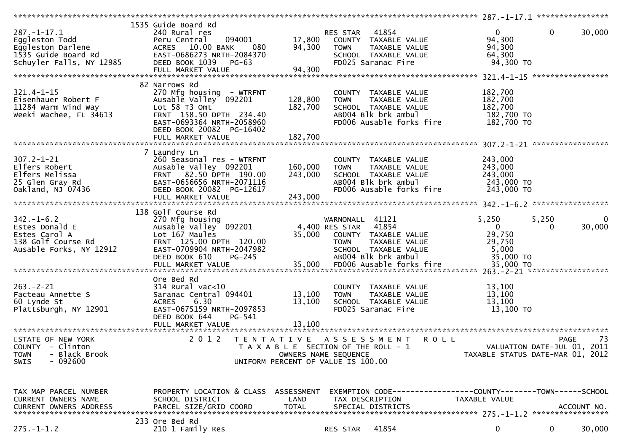|                               | 1535 Guide Board Rd                  |                                    |                                                                     |               |                                  |
|-------------------------------|--------------------------------------|------------------------------------|---------------------------------------------------------------------|---------------|----------------------------------|
| $287. - 1 - 17.1$             | 240 Rural res                        |                                    | 41854<br>RES STAR                                                   | $\mathbf{0}$  | $\mathbf{0}$<br>30,000           |
| Eggleston Todd                | 094001<br>Peru Central               | 17,800                             | COUNTY TAXABLE VALUE                                                | 94,300        |                                  |
|                               | ACRES 10.00 BANK<br>080              |                                    |                                                                     |               |                                  |
| Eggleston Darlene             |                                      | 94,300                             | TAXABLE VALUE<br>TOWN                                               | 94,300        |                                  |
| 1535 Guide Board Rd           | EAST-0686273 NRTH-2084370            |                                    | SCHOOL TAXABLE VALUE                                                | 64,300        |                                  |
| Schuyler Falls, NY 12985      | DEED BOOK 1039 PG-63                 |                                    | FD025 Saranac Fire                                                  | 94,300 TO     |                                  |
|                               | FULL MARKET VALUE                    | 94,300                             |                                                                     |               |                                  |
|                               |                                      |                                    |                                                                     |               |                                  |
|                               | 82 Narrows Rd                        |                                    |                                                                     |               |                                  |
| $321.4 - 1 - 15$              | 270 Mfg housing - WTRFNT             |                                    | COUNTY TAXABLE VALUE                                                | 182,700       |                                  |
|                               |                                      |                                    |                                                                     |               |                                  |
| Eisenhauer Robert F           | Ausable Valley 092201                | 128,800                            | TAXABLE VALUE<br><b>TOWN</b>                                        | 182,700       |                                  |
| 11284 Warm Wind Way           | Lot 58 T3 Omt                        | 182,700                            | SCHOOL TAXABLE VALUE                                                | 182,700       |                                  |
| Weeki Wachee, FL 34613        | FRNT 158.50 DPTH 234.40              |                                    | AB004 Blk brk ambul                                                 | 182,700 TO    |                                  |
|                               | EAST-0693364 NRTH-2058960            |                                    | FD006 Ausable forks fire                                            | 182,700 TO    |                                  |
|                               | DEED BOOK 20082 PG-16402             |                                    |                                                                     |               |                                  |
|                               | FULL MARKET VALUE                    | 182,700                            |                                                                     |               |                                  |
|                               |                                      |                                    |                                                                     |               |                                  |
|                               |                                      |                                    |                                                                     |               |                                  |
|                               | 7 Laundry Ln                         |                                    |                                                                     |               |                                  |
| $307.2 - 1 - 21$              | 260 Seasonal res - WTRFNT            |                                    | COUNTY TAXABLE VALUE                                                | 243,000       |                                  |
| Elfers Robert                 | Ausable Valley 092201                | 160,000                            | <b>TOWN</b><br>TAXABLE VALUE                                        | 243,000       |                                  |
| Elfers Melissa                | FRNT 82.50 DPTH 190.00               | 243,000                            | SCHOOL TAXABLE VALUE                                                | 243,000       |                                  |
| 25 Glen Gray Rd               | EAST-0656656 NRTH-2071116            |                                    | AB004 Blk brk ambul                                                 | 243,000 TO    |                                  |
| Oakland, NJ 07436             | DEED BOOK 20082 PG-12617             |                                    | FD006 Ausable forks fire                                            | 243,000 TO    |                                  |
|                               |                                      |                                    |                                                                     |               |                                  |
|                               | FULL MARKET VALUE                    | 243,000                            |                                                                     |               |                                  |
|                               |                                      |                                    |                                                                     |               |                                  |
|                               | 138 Golf Course Rd                   |                                    |                                                                     |               |                                  |
| $342. - 1 - 6.2$              | 270 Mfg housing                      |                                    | WARNONALL 41121                                                     | 5,250         | 5,250<br>$\Omega$                |
| Estes Donald E                | Ausable Valley 092201                | 4,400 RES STAR                     | 41854                                                               | $\Omega$      | 30,000<br>0                      |
| Estes Carol A                 | Lot 167 Maules                       | 35,000                             | COUNTY TAXABLE VALUE                                                | 29,750        |                                  |
| 138 Golf Course Rd            | FRNT 125.00 DPTH 120.00              |                                    | <b>TOWN</b><br>TAXABLE VALUE                                        | 29,750        |                                  |
|                               |                                      |                                    |                                                                     |               |                                  |
| Ausable Forks, NY 12912       | EAST-0709904 NRTH-2047982            |                                    | SCHOOL TAXABLE VALUE                                                | 5,000         |                                  |
|                               | DEED BOOK 610<br>PG-245              |                                    | AB004 Blk brk ambul                                                 | 35,000 TO     |                                  |
|                               | FULL MARKET VALUE                    |                                    | 35,000 FD006 Ausable forks fire                                     | 35,000 TO     |                                  |
|                               |                                      |                                    |                                                                     |               |                                  |
|                               | Ore Bed Rd                           |                                    |                                                                     |               |                                  |
| $263 - 2 - 21$                | $314$ Rural vac< $10$                |                                    | COUNTY TAXABLE VALUE                                                | 13,100        |                                  |
| Facteau Annette S             | Saranac Central 094401               | 13,100                             | TAXABLE VALUE<br><b>TOWN</b>                                        | 13,100        |                                  |
|                               |                                      |                                    |                                                                     |               |                                  |
| 60 Lynde St                   | 6.30<br><b>ACRES</b>                 | 13,100                             | SCHOOL TAXABLE VALUE                                                | 13,100        |                                  |
| Plattsburgh, NY 12901         | EAST-0675159 NRTH-2097853            |                                    | FD025 Saranac Fire                                                  | 13,100 TO     |                                  |
|                               | PG-541<br>DEED BOOK 644              |                                    |                                                                     |               |                                  |
|                               |                                      |                                    |                                                                     |               |                                  |
|                               |                                      |                                    |                                                                     |               |                                  |
| STATE OF NEW YORK             | 2 0 1 2                              |                                    | TENTATIVE ASSESSMENT<br>R O L L                                     |               | 73<br>PAGE                       |
| COUNTY - Clinton              |                                      |                                    | T A X A B L E SECTION OF THE ROLL - 1                               |               | VALUATION DATE-JUL 01, 2011      |
|                               |                                      |                                    |                                                                     |               |                                  |
| <b>TOWN</b><br>- Black Brook  |                                      | OWNERS NAME SEQUENCE               |                                                                     |               | TAXABLE STATUS DATE-MAR 01, 2012 |
| $-092600$<br>SWIS             |                                      | UNIFORM PERCENT OF VALUE IS 100.00 |                                                                     |               |                                  |
|                               |                                      |                                    |                                                                     |               |                                  |
|                               |                                      |                                    |                                                                     |               |                                  |
|                               |                                      |                                    |                                                                     |               |                                  |
| TAX MAP PARCEL NUMBER         | PROPERTY LOCATION & CLASS ASSESSMENT |                                    | EXEMPTION        CODE-----------------COUNTY-------TOWN------SCHOOL |               |                                  |
| <b>CURRENT OWNERS NAME</b>    | SCHOOL DISTRICT                      | LAND                               | TAX DESCRIPTION                                                     | TAXABLE VALUE |                                  |
|                               |                                      | <b>TOTAL</b>                       |                                                                     |               |                                  |
| <b>CURRENT OWNERS ADDRESS</b> | PARCEL SIZE/GRID COORD               |                                    | SPECIAL DISTRICTS                                                   |               | ACCOUNT NO.                      |
|                               |                                      |                                    |                                                                     |               |                                  |
|                               | 233 Ore Bed Rd                       |                                    |                                                                     |               |                                  |
| $275. - 1 - 1.2$              | 210 1 Family Res                     |                                    | 41854<br>RES STAR                                                   | 0             | $\mathbf 0$<br>30,000            |
|                               |                                      |                                    |                                                                     |               |                                  |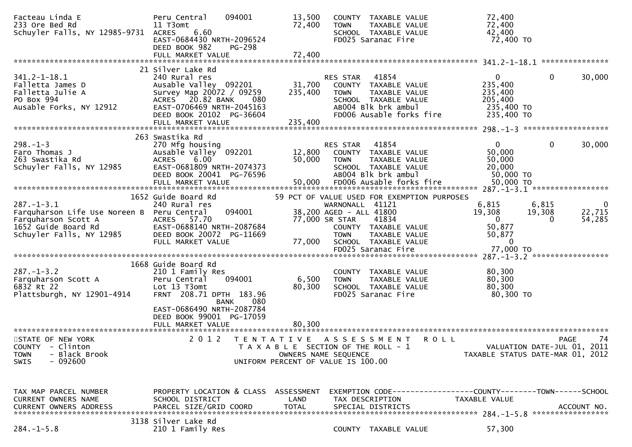| Facteau Linda E<br>233 Ore Bed Rd<br>Schuyler Falls, NY 12985-9731                                                                      | 094001<br>Peru Central<br>11 T3omt<br>6.60<br><b>ACRES</b><br>EAST-0684430 NRTH-2096524<br>DEED BOOK 982<br><b>PG-298</b>                                         | 13,500<br>72,400           | COUNTY TAXABLE VALUE<br>TAXABLE VALUE<br>TOWN<br>SCHOOL TAXABLE VALUE<br>FD025 Saranac Fire                                                                                                                                | 72,400<br>72,400<br>42,400<br>72,400 TO                                            |                                                                                      |
|-----------------------------------------------------------------------------------------------------------------------------------------|-------------------------------------------------------------------------------------------------------------------------------------------------------------------|----------------------------|----------------------------------------------------------------------------------------------------------------------------------------------------------------------------------------------------------------------------|------------------------------------------------------------------------------------|--------------------------------------------------------------------------------------|
|                                                                                                                                         | FULL MARKET VALUE                                                                                                                                                 | 72,400                     |                                                                                                                                                                                                                            |                                                                                    |                                                                                      |
|                                                                                                                                         | 21 Silver Lake Rd                                                                                                                                                 |                            |                                                                                                                                                                                                                            |                                                                                    | ***************                                                                      |
| $341.2 - 1 - 18.1$<br>Falletta James D<br>Falletta Julie A<br>PO Box 994<br>Ausable Forks, NY 12912                                     | 240 Rural res<br>Ausable Valley 092201<br>Survey Map 20072 / 09259<br>ACRES 20.82 BANK<br>080<br>EAST-0706469 NRTH-2045163<br>DEED BOOK 20102 PG-36604            | 31,700<br>235,400          | 41854<br><b>RES STAR</b><br>COUNTY TAXABLE VALUE<br><b>TOWN</b><br>TAXABLE VALUE<br>SCHOOL TAXABLE VALUE<br>AB004 Blk brk ambul<br>FD006 Ausable forks fire                                                                | $\overline{0}$<br>235,400<br>235,400<br>205,400<br>235,400 TO<br>235,400 TO        | $\mathbf{0}$<br>30,000                                                               |
|                                                                                                                                         | FULL MARKET VALUE                                                                                                                                                 | 235,400                    |                                                                                                                                                                                                                            |                                                                                    |                                                                                      |
| $298. - 1 - 3$<br>Faro Thomas J<br>263 Swastika Rd<br>Schuyler Falls, NY 12985                                                          | 263 Swastika Rd<br>270 Mfg housing<br>Ausable Valley 092201<br>6.00<br><b>ACRES</b><br>EAST-0681809 NRTH-2074373<br>DEED BOOK 20041 PG-76596<br>FULL MARKET VALUE | 12,800<br>50,000<br>50,000 | 41854<br>RES STAR<br>COUNTY TAXABLE VALUE<br>TAXABLE VALUE<br>TOWN<br>SCHOOL TAXABLE VALUE<br>AB004 Blk brk ambul<br>FD006 Ausable forks fire                                                                              | $\mathbf{0}$<br>50,000<br>50,000<br>20,000<br>50,000 TO<br>50,000 TO               | $\mathbf 0$<br>30,000                                                                |
|                                                                                                                                         |                                                                                                                                                                   |                            |                                                                                                                                                                                                                            |                                                                                    |                                                                                      |
| $287. -1 - 3.1$<br>Farquharson Life Use Noreen B Peru Central<br>Farquharson Scott A<br>1652 Guide Board Rd<br>Schuyler Falls, NY 12985 | 1652 Guide Board Rd<br>240 Rural res<br>094001<br>ACRES 57.70<br>EAST-0688140 NRTH-2087684<br>DEED BOOK 20072 PG-11669<br>FULL MARKET VALUE                       | 77,000                     | 59 PCT OF VALUE USED FOR EXEMPTION PURPOSES<br>WARNONALL 41121<br>38,200 AGED - ALL 41800<br>77,000 SR STAR<br>41834<br>COUNTY TAXABLE VALUE<br><b>TOWN</b><br>TAXABLE VALUE<br>SCHOOL TAXABLE VALUE<br>FD025 Saranac Fire | 6,815<br>19,308<br>$\overline{0}$<br>50,877<br>50,877<br>$\mathbf{0}$<br>77,000 TO | 6,815<br>0<br>22,715<br>19,308<br>54,285<br>$\Omega$                                 |
|                                                                                                                                         |                                                                                                                                                                   |                            |                                                                                                                                                                                                                            |                                                                                    |                                                                                      |
| $287. - 1 - 3.2$<br>Farquharson Scott A<br>6832 Rt 22<br>Plattsburgh, NY 12901-4914                                                     | 1668 Guide Board Rd<br>210 1 Family Res<br>094001<br>Peru Central<br>Lot 13 T3omt<br>FRNT 208.71 DPTH 183.96<br>080<br><b>BANK</b>                                | 6,500<br>80,300            | COUNTY TAXABLE VALUE<br>TAXABLE VALUE<br><b>TOWN</b><br>SCHOOL TAXABLE VALUE<br>FD025 Saranac Fire                                                                                                                         | 80,300<br>80,300<br>80,300<br>80,300 TO                                            |                                                                                      |
|                                                                                                                                         | EAST-0686490 NRTH-2087784<br>DEED BOOK 99001 PG-17059<br>FULL MARKET VALUE                                                                                        | 80,300                     |                                                                                                                                                                                                                            |                                                                                    |                                                                                      |
| STATE OF NEW YORK<br>COUNTY - Clinton<br><b>TOWN</b><br>- Black Brook<br>- 092600<br><b>SWIS</b>                                        | 2 0 1 2                                                                                                                                                           | T E N T A T I V E          | A S S E S S M E N T<br>T A X A B L E SECTION OF THE ROLL - 1<br>OWNERS NAME SEQUENCE<br>UNIFORM PERCENT OF VALUE IS 100.00                                                                                                 | ROLL                                                                               | 74<br><b>PAGE</b><br>VALUATION DATE-JUL 01, 2011<br>TAXABLE STATUS DATE-MAR 01, 2012 |
| TAX MAP PARCEL NUMBER<br>CURRENT OWNERS NAME<br><b>CURRENT OWNERS ADDRESS</b>                                                           | PROPERTY LOCATION & CLASS ASSESSMENT<br>SCHOOL DISTRICT<br>PARCEL SIZE/GRID COORD                                                                                 | LAND<br><b>TOTAL</b>       | EXEMPTION        CODE-----------------COUNTY-------TOWN------SCHOOL<br>TAX DESCRIPTION<br>SPECIAL DISTRICTS                                                                                                                | TAXABLE VALUE                                                                      | ACCOUNT NO.                                                                          |
| $284. -1 - 5.8$                                                                                                                         | 3138 Silver Lake Rd<br>210 1 Family Res                                                                                                                           |                            | COUNTY TAXABLE VALUE                                                                                                                                                                                                       | 57,300                                                                             |                                                                                      |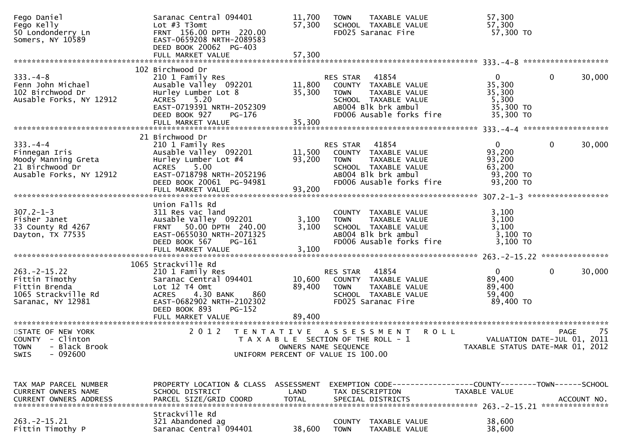| Fego Daniel<br>Fego Kelly<br>50 Londonderry Ln<br>Somers, NY 10589                                 | Saranac Central 094401<br>Lot $#3$ T3omt<br>FRNT 156.00 DPTH 220.00<br>EAST-0659208 NRTH-2089583<br>DEED BOOK 20062 PG-403                                                            | 11,700<br>57,300                                                                                    | <b>TOWN</b>                   | TAXABLE VALUE<br>SCHOOL TAXABLE VALUE<br>FD025 Saranac Fire                                                                                    | 57,300<br>57,300<br>57,300 TO                                                   |              |             |
|----------------------------------------------------------------------------------------------------|---------------------------------------------------------------------------------------------------------------------------------------------------------------------------------------|-----------------------------------------------------------------------------------------------------|-------------------------------|------------------------------------------------------------------------------------------------------------------------------------------------|---------------------------------------------------------------------------------|--------------|-------------|
|                                                                                                    |                                                                                                                                                                                       |                                                                                                     |                               |                                                                                                                                                |                                                                                 |              |             |
|                                                                                                    | 102 Birchwood Dr                                                                                                                                                                      |                                                                                                     |                               |                                                                                                                                                |                                                                                 |              |             |
| $333. -4 - 8$<br>Fenn John Michael<br>102 Birchwood Dr<br>Ausable Forks, NY 12912                  | 210 1 Family Res<br>Ausable Valley 092201<br>Hurley Lumber Lot 8<br>5.20<br>ACRES<br>EAST-0719391 NRTH-2052309<br>DEED BOOK 927<br>PG-176                                             | 35,300                                                                                              | RES STAR 41854                | RES STAR 41854<br>11,800 COUNTY TAXABLE VALUE<br>TOWN TAXABLE VALUE<br>SCHOOL TAXABLE VALUE<br>AB004 Blk brk ambul<br>FD006 Ausable forks fire | 0<br>35,300<br>35,300<br>5,300<br>35,300 TO<br>35,300 TO                        | $\mathbf{0}$ | 30,000      |
|                                                                                                    |                                                                                                                                                                                       |                                                                                                     |                               |                                                                                                                                                |                                                                                 |              |             |
|                                                                                                    | 21 Birchwood Dr                                                                                                                                                                       |                                                                                                     |                               |                                                                                                                                                |                                                                                 |              |             |
| $333. -4 -4$<br>Finnegan Iris<br>Moody Manning Greta<br>21 Birchwood Dr<br>Ausable Forks, NY 12912 | 210 1 Family Res<br>Ausable Valley 092201<br>Hurley Lumber Lot #4<br>ACRES 5.00<br>EAST-0718798 NRTH-2052196<br>DEED BOOK 20061 PG-94981                                              | 11,500<br>93,200                                                                                    | RES STAR 41854<br><b>TOWN</b> | COUNTY TAXABLE VALUE<br>TAXABLE VALUE<br>SCHOOL TAXABLE VALUE<br>ABOO4 Blk brk ambul<br>FD006 Ausable forks fire                               | $\mathbf{0}$<br>93,200<br>93,200<br>63,200<br>93,200 TO<br>93,200 TO            | $\mathbf 0$  | 30,000      |
|                                                                                                    |                                                                                                                                                                                       |                                                                                                     |                               |                                                                                                                                                |                                                                                 |              |             |
| $307.2 - 1 - 3$<br>Fisher Janet<br>33 County Rd 4267<br>Dayton, TX 77535                           | Union Falls Rd<br>311 Res vac land<br>Ausable Valley 092201<br>FRNT 50.00 DPTH 240.00<br>EAST-0655030 NRTH-2071325<br>DEED BOOK 567 PG-161                                            | 3,100                                                                                               | 3,100 TOWN                    | COUNTY TAXABLE VALUE<br>TAXABLE VALUE<br>SCHOOL TAXABLE VALUE<br>AB004 Blk brk ambul<br>FD006 Ausable forks fire                               | 3,100<br>3,100<br>3,100<br>3,100 TO<br>$3,100$ TO                               |              |             |
|                                                                                                    |                                                                                                                                                                                       |                                                                                                     |                               |                                                                                                                                                |                                                                                 |              |             |
| $263. -2 - 15.22$<br>Fittin Timothy<br>Fittin Brenda<br>1065 Strackville Rd<br>Saranac, NY 12981   | 1065 Strackville Rd<br>210 1 Family Res<br>Saranac Central 094401<br>Lot 12 T4 Omt<br><b>ACRES</b><br>4.30 BANK<br>860<br>EAST-0682902 NRTH-2102302<br><b>PG-152</b><br>DEED BOOK 893 | 89,400                                                                                              | RES STAR 41854<br>TOWN        | 10,600 COUNTY TAXABLE VALUE<br>TAXABLE VALUE<br>SCHOOL TAXABLE VALUE<br>FD025 Saranac Fire                                                     | $\overline{0}$<br>89,400<br>89,400<br>59,400<br>89,400 TO                       | $\mathbf{0}$ | 30,000      |
| STATE OF NEW YORK                                                                                  | 2 0 1 2                                                                                                                                                                               |                                                                                                     |                               | TENTATIVE ASSESSMENT ROLL                                                                                                                      |                                                                                 |              | -75<br>PAGE |
| COUNTY - Clinton<br>- Black Brook<br><b>TOWN</b><br>$-092600$<br><b>SWIS</b>                       |                                                                                                                                                                                       | T A X A B L E SECTION OF THE ROLL - 1<br>OWNERS NAME SEQUENCE<br>UNIFORM PERCENT OF VALUE IS 100.00 |                               |                                                                                                                                                | VALUATION DATE-JUL 01, 2011<br>TAXABLE STATUS DATE-MAR 01, 2012                 |              |             |
|                                                                                                    |                                                                                                                                                                                       |                                                                                                     |                               |                                                                                                                                                |                                                                                 |              |             |
| TAX MAP PARCEL NUMBER<br>CURRENT OWNERS NAME<br><b>CURRENT OWNERS ADDRESS</b>                      | PROPERTY LOCATION & CLASS ASSESSMENT<br>SCHOOL DISTRICT<br>PARCEL SIZE/GRID COORD                                                                                                     | LAND<br><b>TOTAL</b>                                                                                |                               | TAX DESCRIPTION<br>SPECIAL DISTRICTS                                                                                                           | EXEMPTION CODE------------------COUNTY--------TOWN------SCHOOL<br>TAXABLE VALUE |              | ACCOUNT NO. |
|                                                                                                    | Strackville Rd                                                                                                                                                                        |                                                                                                     |                               |                                                                                                                                                |                                                                                 |              |             |
| $263 - 2 - 15.21$<br>Fittin Timothy P                                                              | 321 Abandoned ag<br>Saranac Central 094401                                                                                                                                            | 38,600                                                                                              | <b>COUNTY</b><br><b>TOWN</b>  | TAXABLE VALUE<br>TAXABLE VALUE                                                                                                                 | 38,600<br>38,600                                                                |              |             |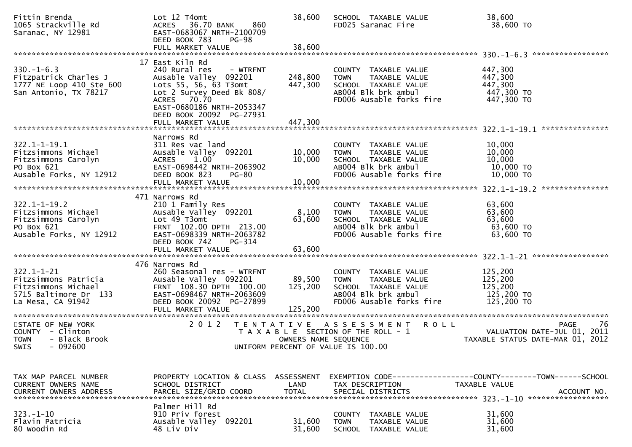| Fittin Brenda<br>1065 Strackville Rd<br>Saranac, NY 12981                                                     | Lot 12 T4omt<br>36.70 BANK<br><b>ACRES</b><br>860<br>EAST-0683067 NRTH-2100709<br>DEED BOOK 783<br>PG-98                                                                                            | 38,600                       | SCHOOL TAXABLE VALUE<br>FD025 Saranac Fire                                                                                             | 38,600<br>38,600 TO                                                                  |
|---------------------------------------------------------------------------------------------------------------|-----------------------------------------------------------------------------------------------------------------------------------------------------------------------------------------------------|------------------------------|----------------------------------------------------------------------------------------------------------------------------------------|--------------------------------------------------------------------------------------|
| $330. - 1 - 6.3$<br>Fitzpatrick Charles J<br>1777 NE Loop 410 Ste 600<br>San Antonio, TX 78217                | 17 East Kiln Rd<br>240 Rural res<br>- WTRFNT<br>Ausable Valley 092201<br>Lots 55, 56, 63 T3omt<br>Lot 2 Survey Deed Bk 808/<br>ACRES 70.70<br>EAST-0680186 NRTH-2053347<br>DEED BOOK 20092 PG-27931 | 248,800<br>447,300           | COUNTY TAXABLE VALUE<br><b>TAXABLE VALUE</b><br><b>TOWN</b><br>SCHOOL TAXABLE VALUE<br>AB004 Blk brk ambul<br>FD006 Ausable forks fire | 447,300<br>447,300<br>447,300<br>447,300 TO<br>447,300 TO                            |
|                                                                                                               | FULL MARKET VALUE                                                                                                                                                                                   | 447,300                      |                                                                                                                                        |                                                                                      |
| $322.1 - 1 - 19.1$<br>Fitzsimmons Michael<br>Fitzsimmons Carolyn<br>PO Box 621<br>Ausable Forks, NY 12912     | Narrows Rd<br>311 Res vac land<br>Ausable Valley 092201<br><b>ACRES</b><br>1.00<br>EAST-0698442 NRTH-2063902<br>DEED BOOK 823<br>PG-80                                                              | 10,000<br>10,000             | COUNTY TAXABLE VALUE<br>TAXABLE VALUE<br><b>TOWN</b><br>SCHOOL TAXABLE VALUE<br>AB004 Blk brk ambul<br>FD006 Ausable forks fire        | 10,000<br>10,000<br>10,000<br>10,000 TO<br>10,000 TO                                 |
| $322.1 - 1 - 19.2$<br>Fitzsimmons Michael<br>Fitzsimmons Carolyn<br>PO Box 621<br>Ausable Forks, NY 12912     | 471 Narrows Rd<br>210 1 Family Res<br>Ausable Valley 092201<br>Lot 49 T3omt<br>FRNT 102.00 DPTH 213.00<br>EAST-0698339 NRTH-2063782<br>DEED BOOK 742<br>PG-314<br>FULL MARKET VALUE                 | 8,100<br>63,600<br>63,600    | COUNTY TAXABLE VALUE<br>TAXABLE VALUE<br><b>TOWN</b><br>SCHOOL TAXABLE VALUE<br>AB004 Blk brk ambul<br>FD006 Ausable forks fire        | 63,600<br>63,600<br>63,600<br>$63,600$ TO<br>63,600 TO                               |
| $322.1 - 1 - 21$<br>Fitzsimmons Patricia<br>Fitzsimmons Michael<br>5715 Baltimore Dr 133<br>La Mesa, CA 91942 | 476 Narrows Rd<br>260 Seasonal res - WTRFNT<br>Ausable Valley 092201<br>FRNT 108.30 DPTH 100.00<br>EAST-0698467 NRTH-2063609<br>DEED BOOK 20092 PG-27899<br>FULL MARKET VALUE                       | 89,500<br>125,200<br>125,200 | COUNTY TAXABLE VALUE<br>TAXABLE VALUE<br><b>TOWN</b><br>SCHOOL TAXABLE VALUE<br>AB004 Blk brk ambul<br>FD006 Ausable forks fire        | 125,200<br>125,200<br>125,200<br>125,200 TO<br>125,200 TO                            |
| STATE OF NEW YORK<br>COUNTY - Clinton<br><b>TOWN</b><br>- Black Brook<br>$-092600$<br>SWIS                    | 2 0 1 2<br>T E N T A T I V E                                                                                                                                                                        | OWNERS NAME SEQUENCE         | A S S E S S M E N T<br><b>ROLL</b><br>T A X A B L E SECTION OF THE ROLL - 1<br>UNIFORM PERCENT OF VALUE IS 100.00                      | <b>PAGE</b><br>76<br>VALUATION DATE-JUL 01, 2011<br>TAXABLE STATUS DATE-MAR 01, 2012 |
| TAX MAP PARCEL NUMBER<br>CURRENT OWNERS NAME<br><b>CURRENT OWNERS ADDRESS</b>                                 | PROPERTY LOCATION & CLASS ASSESSMENT<br>SCHOOL DISTRICT<br>PARCEL SIZE/GRID COORD                                                                                                                   | LAND<br><b>TOTAL</b>         | TAX DESCRIPTION<br>SPECIAL DISTRICTS                                                                                                   | TAXABLE VALUE<br>ACCOUNT NO.                                                         |
| $323. - 1 - 10$<br>Flavin Patricia<br>80 Woodin Rd                                                            | Palmer Hill Rd<br>910 Priv forest<br>Ausable Valley 092201<br>48 Liv Div                                                                                                                            | 31,600<br>31,600             | <b>COUNTY</b><br>TAXABLE VALUE<br>TAXABLE VALUE<br><b>TOWN</b><br><b>SCHOOL</b><br>TAXABLE VALUE                                       | 31,600<br>31,600<br>31,600                                                           |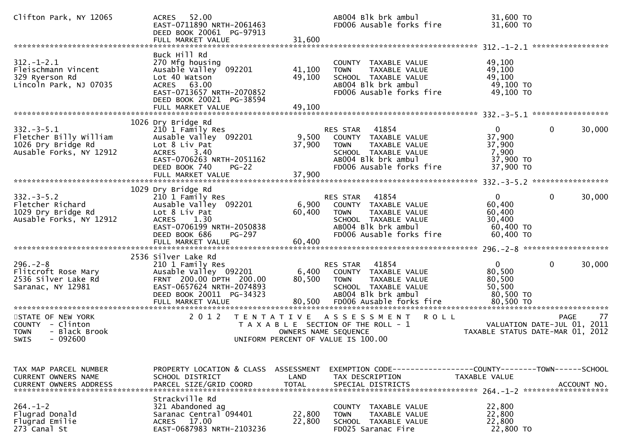| Clifton Park, NY 12065                                                                                                                              | 52.00<br>ACRES<br>EAST-0711890 NRTH-2061463<br>DEED BOOK 20061 PG-97913<br>FULL MARKET VALUE                                                                                                  | 31,600                                   | AB004 Blk brk ambul<br>FD006 Ausable forks fire                                                                                                                                                            | 31,600 TO<br>31,600 TO                                                                |                             |
|-----------------------------------------------------------------------------------------------------------------------------------------------------|-----------------------------------------------------------------------------------------------------------------------------------------------------------------------------------------------|------------------------------------------|------------------------------------------------------------------------------------------------------------------------------------------------------------------------------------------------------------|---------------------------------------------------------------------------------------|-----------------------------|
| $312. - 1 - 2.1$<br>Fleischmann Vincent<br>329 Ryerson Rd<br>Lincoln Park, NJ 07035                                                                 | Buck Hill Rd<br>270 Mfg housing<br>Ausable Valley 092201<br>Lot 40 Watson<br>ACRES 63.00<br>EAST-0713657 NRTH-2070852<br>DEED BOOK 20021 PG-38594<br>FULL MARKET VALUE                        | 41,100<br>49,100<br>49,100               | COUNTY TAXABLE VALUE<br>TAXABLE VALUE<br><b>TOWN</b><br>SCHOOL TAXABLE VALUE<br>AB004 Blk brk ambul<br>FD006 Ausable forks fire                                                                            | 49,100<br>49,100<br>49,100<br>49,100 TO<br>49,100 TO                                  |                             |
| $332 - 3 - 5.1$<br>Fletcher Billy William<br>1026 Dry Bridge Rd<br>Ausable Forks, NY 12912                                                          | 1026 Dry Bridge Rd<br>210 1 Family Res<br>Ausable Valley 092201<br>Lot 8 Liv Pat<br><b>ACRES</b><br>3.40<br>EAST-0706263 NRTH-2051162<br>DEED BOOK 740<br>$PG-22$<br>FULL MARKET VALUE        | 9,500<br>37,900<br>37,900                | 41854<br>RES STAR<br>COUNTY TAXABLE VALUE<br><b>TOWN</b><br>TAXABLE VALUE<br>SCHOOL TAXABLE VALUE<br>AB004 Blk brk ambul<br>FD006 Ausable forks fire                                                       | $\mathbf{0}$<br>0<br>37,900<br>37,900<br>7,900<br>37,900 TO<br>37,900 TO              | 30,000                      |
| $332 - 3 - 5.2$<br>Fletcher Richard<br>1029 Dry Bridge Rd<br>Ausable Forks, NY 12912                                                                | 1029 Dry Bridge Rd<br>210 1 Family Res<br>Ausable Valley 092201<br>Lot 8 Liv Pat<br>1.30<br><b>ACRES</b><br>EAST-0706199 NRTH-2050838<br>DEED BOOK 686<br>PG-297                              | 6,900<br>60,400                          | 41854<br>RES STAR<br>COUNTY TAXABLE VALUE<br><b>TOWN</b><br>TAXABLE VALUE<br>SCHOOL TAXABLE VALUE<br>AB004 Blk brk ambul<br>FD006 Ausable forks fire                                                       | $\overline{0}$<br>$\mathbf 0$<br>60,400<br>60,400<br>30,400<br>60,400 TO<br>60,400 TO | 30,000                      |
| $296. - 2 - 8$<br>Flitcroft Rose Mary<br>2536 Silver Lake Rd<br>Saranac, NY 12981<br>STATE OF NEW YORK                                              | 2536 Silver Lake Rd<br>210 1 Family Res<br>Ausable Valley 092201<br>FRNT 200.00 DPTH 200.00<br>EAST-0657624 NRTH-2074893<br>DEED BOOK 20011 PG-34323<br>2 0 1 2                               | 6,400<br>80,500<br>80,500                | 41854<br>RES STAR<br>COUNTY TAXABLE VALUE<br>TAXABLE VALUE<br><b>TOWN</b><br>SCHOOL TAXABLE VALUE<br>AB004 Blk brk ambul<br>FD006 Ausable forks fire<br>TENTATIVE ASSESSMENT ROLL                          | $\mathbf 0$<br>$\mathbf{0}$<br>80,500<br>80,500<br>50,500<br>80,500 TO                | 30,000<br><b>PAGE</b><br>77 |
| COUNTY - Clinton<br><b>TOWN</b><br>- Black Brook<br>SWIS<br>- 092600                                                                                |                                                                                                                                                                                               | OWNERS NAME SEQUENCE                     | T A X A B L E SECTION OF THE ROLL - 1<br>UNIFORM PERCENT OF VALUE IS 100.00                                                                                                                                | VALUATION DATE-JUL 01, 2011<br>TAXABLE STATUS DATE-MAR 01, 2012                       |                             |
| TAX MAP PARCEL NUMBER<br>CURRENT OWNERS NAME<br><b>CURRENT OWNERS ADDRESS</b><br>$264. - 1 - 2$<br>Flugrad Donald<br>Flugrad Emilie<br>273 Canal St | PROPERTY LOCATION & CLASS ASSESSMENT<br>SCHOOL DISTRICT<br>PARCEL SIZE/GRID COORD<br>Strackville Rd<br>321 Abandoned ag<br>Saranac Central 094401<br>ACRES 17.00<br>EAST-0687983 NRTH-2103236 | LAND<br><b>TOTAL</b><br>22,800<br>22,800 | EXEMPTION CODE-----------------COUNTY-------TOWN------SCHOOL<br>TAX DESCRIPTION<br>SPECIAL DISTRICTS<br>COUNTY TAXABLE VALUE<br><b>TOWN</b><br>TAXABLE VALUE<br>SCHOOL TAXABLE VALUE<br>FD025 Saranac Fire | TAXABLE VALUE<br>22,800<br>22,800<br>22,800<br>22,800 TO                              | ACCOUNT NO.                 |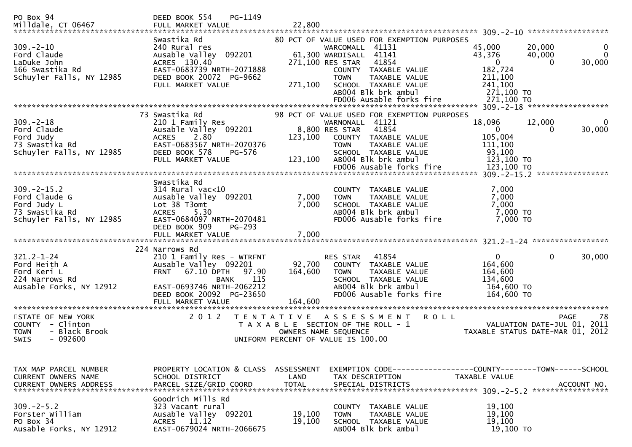| PO Box 94<br>Milldale, CT 06467                                                                | PG-1149<br>DEED BOOK 554<br>FULL MARKET VALUE                                                                                                                                                                                                  | 22,800                       |                                                                                                                                                                                                                                                          |                                                                                                                                                  |
|------------------------------------------------------------------------------------------------|------------------------------------------------------------------------------------------------------------------------------------------------------------------------------------------------------------------------------------------------|------------------------------|----------------------------------------------------------------------------------------------------------------------------------------------------------------------------------------------------------------------------------------------------------|--------------------------------------------------------------------------------------------------------------------------------------------------|
| $309. - 2 - 10$<br>Ford Claude<br>LaDuke John<br>166 Swastika Rd<br>Schuyler Falls, NY 12985   | Swastika Rd<br>240 Rural res<br>Ausable Valley 092201<br>ACRES 130.40<br>EAST-0683739 NRTH-2071888<br>DEED BOOK 20072 PG-9662<br>FULL MARKET VALUE                                                                                             | 271,100                      | 80 PCT OF VALUE USED FOR EXEMPTION PURPOSES<br>WARCOMALL 41131<br>61,300 WARDISALL 41141<br>41854<br>271,100 RES STAR<br>COUNTY TAXABLE VALUE<br><b>TOWN</b><br>TAXABLE VALUE<br>SCHOOL TAXABLE VALUE<br>AB004 Blk brk ambul<br>FD006 Ausable forks fire | 45,000<br>20,000<br>0<br>$\Omega$<br>43,376<br>40,000<br>$\mathbf 0$<br>30,000<br>0<br>182,724<br>211,100<br>241,100<br>271,100 TO<br>271,100 TO |
|                                                                                                | 73 Swastika Rd                                                                                                                                                                                                                                 |                              | 98 PCT OF VALUE USED FOR EXEMPTION PURPOSES                                                                                                                                                                                                              |                                                                                                                                                  |
| $309. -2 - 18$<br>Ford Claude<br>Ford Judy<br>73 Swastika Rd<br>Schuyler Falls, NY 12985       | 210 1 Family Res<br>Ausable Valley 092201<br>2.80<br><b>ACRES</b><br>EAST-0683567 NRTH-2070376<br>DEED BOOK 578<br>PG-576<br>FULL MARKET VALUE                                                                                                 | 123,100<br>123,100           | WARNONALL 41121<br>8,800 RES STAR<br>41854<br>COUNTY TAXABLE VALUE<br>TAXABLE VALUE<br><b>TOWN</b><br>SCHOOL TAXABLE VALUE<br>AB004 Blk brk ambul<br>FD006 Ausable forks fire                                                                            | 18,096<br>12,000<br>0<br>30,000<br>0<br>105,004<br>111,100<br>93,100<br>123,100 TO<br>123,100 TO                                                 |
|                                                                                                | Swastika Rd                                                                                                                                                                                                                                    |                              |                                                                                                                                                                                                                                                          |                                                                                                                                                  |
| $309. -2 - 15.2$<br>Ford Claude G<br>Ford Judy L<br>73 Swastika Rd<br>Schuyler Falls, NY 12985 | $314$ Rural vac<10<br>Ausable Valley 092201<br>Lot 38 T3omt<br>5.30<br><b>ACRES</b><br>EAST-0684097 NRTH-2070481<br>DEED BOOK 909<br>$PG-293$                                                                                                  | 7,000<br>7,000               | COUNTY TAXABLE VALUE<br>TAXABLE VALUE<br><b>TOWN</b><br>SCHOOL TAXABLE VALUE<br>AB004 Blk brk ambul<br>FD006 Ausable forks fire                                                                                                                          | 7,000<br>7,000<br>7,000<br>7,000 TO<br>7,000 TO                                                                                                  |
|                                                                                                |                                                                                                                                                                                                                                                |                              |                                                                                                                                                                                                                                                          |                                                                                                                                                  |
| $321.2 - 1 - 24$<br>Ford Heith A<br>Ford Keri L<br>224 Narrows Rd<br>Ausable Forks, NY 12912   | 224 Narrows Rd<br>210 1 Family Res - WTRFNT<br>Ausable Valley 092201<br>67.10 DPTH<br><b>FRNT</b><br>97.90<br><b>BANK</b><br>115<br>EAST-0693746 NRTH-2062212<br>DEED BOOK 20092 PG-23650<br>FULL MARKET VALUE<br>**************************** | 92,700<br>164,600<br>164,600 | 41854<br>RES STAR<br>COUNTY TAXABLE VALUE<br>TAXABLE VALUE<br><b>TOWN</b><br>SCHOOL TAXABLE VALUE<br>AB004 Blk brk ambul<br>FD006 Ausable forks fire                                                                                                     | $\mathbf 0$<br>0<br>30,000<br>164,600<br>164,600<br>134,600<br>164,600 TO<br>164,600 TO                                                          |
| STATE OF NEW YORK                                                                              | 2 0 1 2                                                                                                                                                                                                                                        | T E N T A T I V E            | <b>ROLL</b><br>A S S E S S M E N T                                                                                                                                                                                                                       | 78<br><b>PAGE</b>                                                                                                                                |
| COUNTY - Clinton<br>- Black Brook<br><b>TOWN</b><br><b>SWIS</b><br>$-092600$                   |                                                                                                                                                                                                                                                | OWNERS NAME SEQUENCE         | T A X A B L E SECTION OF THE ROLL - 1<br>UNIFORM PERCENT OF VALUE IS 100.00                                                                                                                                                                              | VALUATION DATE-JUL 01, 2011<br>TAXABLE STATUS DATE-MAR 01, 2012                                                                                  |
| TAX MAP PARCEL NUMBER<br><b>CURRENT OWNERS NAME</b><br><b>CURRENT OWNERS ADDRESS</b>           | PROPERTY LOCATION & CLASS ASSESSMENT<br>SCHOOL DISTRICT<br>PARCEL SIZE/GRID COORD                                                                                                                                                              | LAND<br><b>TOTAL</b>         | TAX DESCRIPTION<br>SPECIAL DISTRICTS                                                                                                                                                                                                                     | TAXABLE VALUE<br>ACCOUNT NO.                                                                                                                     |
| $309 - 2 - 5.2$<br>Forster William<br>PO Box 34<br>Ausable Forks, NY 12912                     | Goodrich Mills Rd<br>323 Vacant rural<br>Ausable Valley 092201<br>ACRES 11.12<br>EAST-0679024 NRTH-2066675                                                                                                                                     | 19,100<br>19,100             | COUNTY TAXABLE VALUE<br><b>TOWN</b><br>TAXABLE VALUE<br>SCHOOL TAXABLE VALUE<br>AB004 Blk brk ambul                                                                                                                                                      | 19,100<br>19,100<br>19,100<br>19,100 TO                                                                                                          |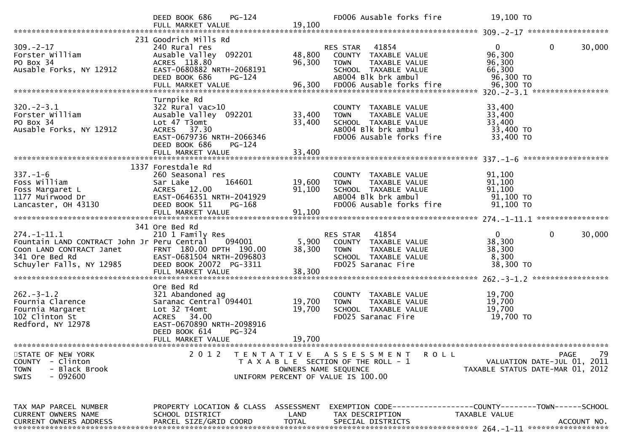|                                                                                                                                            | PG-124<br>DEED BOOK 686<br>FULL MARKET VALUE                                                                                                                 | 19,100                     | FD006 Ausable forks fire                                                                                                                                    | 19,100 TO                                                                                    |    |
|--------------------------------------------------------------------------------------------------------------------------------------------|--------------------------------------------------------------------------------------------------------------------------------------------------------------|----------------------------|-------------------------------------------------------------------------------------------------------------------------------------------------------------|----------------------------------------------------------------------------------------------|----|
|                                                                                                                                            |                                                                                                                                                              |                            |                                                                                                                                                             |                                                                                              |    |
| $309. - 2 - 17$<br>Forster William<br>PO Box 34<br>Ausable Forks, NY 12912                                                                 | 231 Goodrich Mills Rd<br>240 Rural res<br>Ausable Valley 092201<br>ACRES 118.80<br>EAST-0680882 NRTH-2068191<br>DEED BOOK 686<br>PG-124<br>FULL MARKET VALUE | 48,800<br>96,300<br>96,300 | 41854<br><b>RES STAR</b><br>COUNTY TAXABLE VALUE<br><b>TOWN</b><br>TAXABLE VALUE<br>SCHOOL TAXABLE VALUE<br>AB004 Blk brk ambul<br>FD006 Ausable forks fire | $\Omega$<br>0<br>30,000<br>96,300<br>96,300<br>66,300<br>96,300 TO<br>96,300 TO              |    |
|                                                                                                                                            |                                                                                                                                                              |                            |                                                                                                                                                             | $320 - 2 - 3 - 1$ ******************                                                         |    |
| $320. -2 - 3.1$<br>Forster William<br>PO Box 34<br>Ausable Forks, NY 12912                                                                 | Turnpike Rd<br>$322$ Rural vac $>10$<br>Ausable Valley 092201<br>Lot 47 T3omt<br>ACRES 37.30<br>EAST-0679736 NRTH-2066346<br>DEED BOOK 686<br>PG-124         | 33,400<br>33,400           | COUNTY TAXABLE VALUE<br>TAXABLE VALUE<br><b>TOWN</b><br>SCHOOL TAXABLE VALUE<br>AB004 Blk brk ambul<br>FD006 Ausable forks fire                             | 33,400<br>33,400<br>33,400<br>33,400 TO<br>33,400 TO                                         |    |
|                                                                                                                                            |                                                                                                                                                              |                            |                                                                                                                                                             | *******************                                                                          |    |
| $337. - 1 - 6$<br>Foss William<br>Foss Margaret L<br>1177 Muirwood Dr<br>Lancaster, OH 43130                                               | 1337 Forestdale Rd<br>260 Seasonal res<br>Sar Lake<br>164601<br>ACRES 12.00<br>EAST-0646351 NRTH-2041929<br>DEED BOOK 511<br>PG-168<br>FULL MARKET VALUE     | 19,600<br>91,100<br>91,100 | COUNTY TAXABLE VALUE<br>TAXABLE VALUE<br><b>TOWN</b><br>SCHOOL TAXABLE VALUE<br>AB004 Blk brk ambul<br>FD006 Ausable forks fire                             | 91,100<br>91,100<br>91,100<br>91,100 TO<br>$91,100$ TO                                       |    |
|                                                                                                                                            | 341 Ore Bed Rd                                                                                                                                               |                            |                                                                                                                                                             |                                                                                              |    |
| $274. - 1 - 11.1$<br>Fountain LAND CONTRACT John Jr Peru Central<br>Coon LAND CONTRACT Janet<br>341 Ore Bed Rd<br>Schuyler Falls, NY 12985 | 210 1 Family Res<br>094001<br>FRNT 180.00 DPTH 190.00<br>EAST-0681504 NRTH-2096803<br>DEED BOOK 20072 PG-3311<br>FULL MARKET VALUE                           | 5,900<br>38,300<br>38,300  | 41854<br>RES STAR<br>COUNTY TAXABLE VALUE<br><b>TAXABLE VALUE</b><br><b>TOWN</b><br>SCHOOL TAXABLE VALUE<br>FD025 Saranac Fire                              | $\mathbf{0}$<br>0<br>30,000<br>38,300<br>38,300<br>8,300<br>38,300 TO                        |    |
|                                                                                                                                            |                                                                                                                                                              |                            |                                                                                                                                                             |                                                                                              |    |
| $262 - 3 - 1.2$<br>Fournia Clarence<br>Fournia Margaret<br>102 Clinton St<br>Redford, NY 12978                                             | Ore Bed Rd<br>321 Abandoned ag<br>Saranac Central 094401<br>Lot 32 T4omt<br>34.00<br>ACRES<br>EAST-0670890 NRTH-2098916<br>DEED BOOK 614<br>$PG-324$         | 19,700<br>19,700           | COUNTY TAXABLE VALUE<br><b>TOWN</b><br>TAXABLE VALUE<br>SCHOOL TAXABLE VALUE<br>FD025 Saranac Fire                                                          | 19,700<br>19,700<br>19,700<br>19,700 TO                                                      |    |
|                                                                                                                                            | FULL MARKET VALUE                                                                                                                                            | 19,700                     |                                                                                                                                                             |                                                                                              |    |
| STATE OF NEW YORK<br>- Clinton<br><b>COUNTY</b><br>- Black Brook<br><b>TOWN</b><br>- 092600<br><b>SWIS</b>                                 | 2 0 1 2                                                                                                                                                      | OWNERS NAME SEQUENCE       | TENTATIVE ASSESSMENT<br>R O L L<br>T A X A B L E SECTION OF THE ROLL - 1<br>UNIFORM PERCENT OF VALUE IS 100.00                                              | <b>PAGE</b><br>VALUATION DATE-JUL 01, 2011<br>TAXABLE STATUS DATE-MAR 01, 2012               | 79 |
| TAX MAP PARCEL NUMBER<br>CURRENT OWNERS NAME<br><b>CURRENT OWNERS ADDRESS</b>                                                              | PROPERTY LOCATION & CLASS ASSESSMENT<br>SCHOOL DISTRICT<br>PARCEL SIZE/GRID COORD                                                                            | LAND<br><b>TOTAL</b>       | TAX DESCRIPTION<br>SPECIAL DISTRICTS                                                                                                                        | EXEMPTION CODE-----------------COUNTY-------TOWN------SCHOOL<br>TAXABLE VALUE<br>ACCOUNT NO. |    |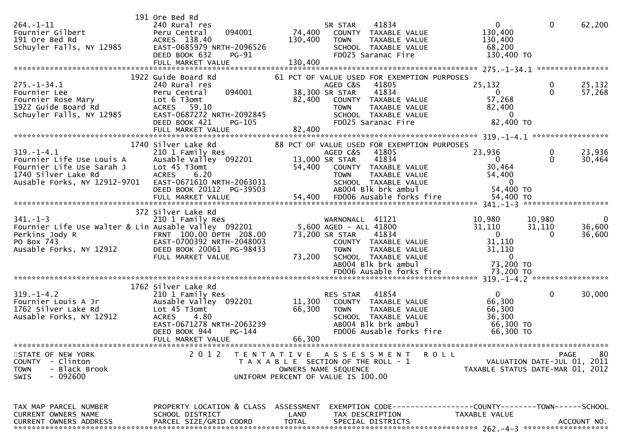| $264. - 1 - 11$<br>Fournier Gilbert<br>191 Ore Bed Rd<br>Schuyler Falls, NY 12985                                                   | 191 Ore Bed Rd<br>240 Rural res<br>094001<br>Peru Central<br>ACRES 138.40<br>EAST-0685979 NRTH-2096526<br>DEED BOOK 632<br><b>PG-91</b>                                                | SR STAR<br>74,400<br>130,400<br><b>TOWN</b>                                                                                 | 41834<br>COUNTY TAXABLE VALUE<br>TAXABLE VALUE<br>SCHOOL TAXABLE VALUE<br>FD025 Saranac Fire                                                                                      | $\mathbf{0}$<br>130,400<br>130,400<br>68,200<br>130,400 TO                             | $\mathbf{0}$                        | 62,200                       |
|-------------------------------------------------------------------------------------------------------------------------------------|----------------------------------------------------------------------------------------------------------------------------------------------------------------------------------------|-----------------------------------------------------------------------------------------------------------------------------|-----------------------------------------------------------------------------------------------------------------------------------------------------------------------------------|----------------------------------------------------------------------------------------|-------------------------------------|------------------------------|
| $275. - 1 - 34.1$<br>Fournier Lee<br>Fournier Rose Mary<br>1922 Guide Board Rd<br>Schuyler Falls, NY 12985                          | 1922 Guide Board Rd<br>240 Rural res<br>094001<br>Peru Central<br>Lot 6 T3omt<br>ACRES 59.10<br>EAST-0687272 NRTH-2092845<br>DEED BOOK 421<br>PG-105<br>FULL MARKET VALUE              | AGED C&S<br>38,300 SR STAR<br>82,400<br><b>TOWN</b><br>82,400                                                               | 61 PCT OF VALUE USED FOR EXEMPTION PURPOSES<br>41805<br>41834<br>COUNTY TAXABLE VALUE<br>TAXABLE VALUE<br>SCHOOL TAXABLE VALUE<br>FD025 Saranac Fire                              | 25,132<br>0<br>57,268<br>82,400<br>$\Omega$<br>82,400 TO                               | 0<br>$\Omega$                       | 25,132<br>57,268             |
| $319. - 1 - 4.1$<br>Fournier Life Use Louis A<br>Fournier Life Use Sarah J<br>1740 Silver Lake Rd<br>Ausable Forks, NY 12912-9701   | 1740 Silver Lake Rd<br>210 1 Family Res<br>Ausable Valley 092201<br>Lot 45 T3omt<br><b>ACRES</b><br>6.20<br>EAST-0671610 NRTH-2063031<br>DEED BOOK 20112 PG-39503<br>FULL MARKET VALUE | AGED C&S<br>13,000 SR STAR<br>54,400<br><b>TOWN</b><br>54,400                                                               | 88 PCT OF VALUE USED FOR EXEMPTION PURPOSES<br>41805<br>41834<br>COUNTY TAXABLE VALUE<br>TAXABLE VALUE<br>SCHOOL TAXABLE VALUE<br>AB004 Blk brk ambul<br>FD006 Ausable forks fire | 23,936<br>$\mathbf{0}$<br>30,464<br>54,400<br>$\Omega$<br>54,400 TO<br>54,400 TO       | 0<br>$\Omega$                       | 23,936<br>30,464             |
| $341. - 1 - 3$<br>Fournier Life Use Walter & Lin Ausable Valley 092201<br>Perkins Jody R<br>PO Box 743<br>Ausable Forks, NY 12912   | 372 Silver Lake Rd<br>210 1 Family Res<br>FRNT 100.00 DPTH 208.00<br>EAST-0700392 NRTH-2048003<br>DEED BOOK 20061 PG-98433<br>FULL MARKET VALUE                                        | 5,600 AGED - ALL 41800<br>73,200 SR STAR<br><b>TOWN</b><br>73,200                                                           | WARNONALL 41121<br>41834<br>COUNTY TAXABLE VALUE<br>TAXABLE VALUE<br>SCHOOL TAXABLE VALUE<br>AB004 Blk brk ambul<br>FD006 Ausable forks fire                                      | 10,980<br>31,110<br>$\Omega$<br>31,110<br>31,110<br>$\Omega$<br>73,200 TO<br>73,200 TO | 10,980<br>31,110<br>0               | $\Omega$<br>36,600<br>36,600 |
| $319. - 1 - 4.2$<br>Fournier Louis A Jr<br>1762 Silver Lake Rd<br>Ausable Forks, NY 12912                                           | 1762 Silver Lake Rd<br>210 1 Family Res<br>Ausable Valley 092201<br>Lot 45 T3omt<br><b>ACRES</b><br>4.80<br>EAST-0671278 NRTH-2063239<br>DEED BOOK 944<br>PG-144<br>FULL MARKET VALUE  | RES STAR<br>11,300<br>66,300<br><b>TOWN</b><br>66,300                                                                       | 41854<br>COUNTY TAXABLE VALUE<br>TAXABLE VALUE<br>SCHOOL TAXABLE VALUE<br>AB004 Blk brk ambul<br>FD006 Ausable forks fire                                                         | $\Omega$<br>66,300<br>66,300<br>36,300<br>66,300 TO<br>66,300 TO                       | 0                                   | 30,000                       |
| *********************<br>STATE OF NEW YORK<br>- Clinton<br><b>COUNTY</b><br>- Black Brook<br><b>TOWN</b><br>- 092600<br><b>SWIS</b> | 2 0 1 2                                                                                                                                                                                | TENTATIVE ASSESSMENT<br>T A X A B L E SECTION OF THE ROLL - 1<br>OWNERS NAME SEQUENCE<br>UNIFORM PERCENT OF VALUE IS 100.00 |                                                                                                                                                                                   | <b>ROLL</b><br>TAXABLE STATUS DATE-MAR 01, 2012                                        | PAGE<br>VALUATION DATE-JUL 01, 2011 | 80                           |
| TAX MAP PARCEL NUMBER<br>CURRENT OWNERS NAME<br>CURRENT OWNERS ADDRESS                                                              | PROPERTY LOCATION & CLASS ASSESSMENT<br>SCHOOL DISTRICT<br>PARCEL SIZE/GRID COORD                                                                                                      | LAND<br><b>TOTAL</b>                                                                                                        | EXEMPTION CODE-----------------COUNTY-------TOWN------SCHOOL<br>TAX DESCRIPTION<br>SPECIAL DISTRICTS                                                                              | TAXABLE VALUE                                                                          |                                     | ACCOUNT NO.                  |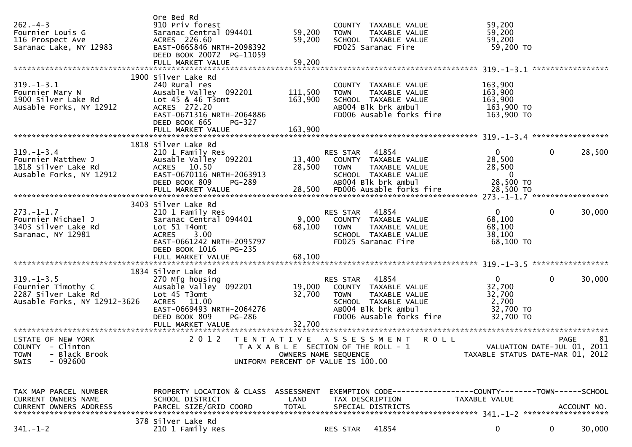| $262 - 4 - 3$<br>Fournier Louis G<br>116 Prospect Ave<br>Saranac Lake, NY 12983               | Ore Bed Rd<br>910 Priv forest<br>Saranac Central 094401<br>ACRES 226.60<br>EAST-0665846 NRTH-2098392<br>DEED BOOK 20072 PG-11059<br>FULL MARKET VALUE                                   | 59,200<br>59,200<br>59,200                                 | <b>TOWN</b>             | COUNTY TAXABLE VALUE<br>TAXABLE VALUE<br>SCHOOL TAXABLE VALUE<br>FD025 Saranac Fire                                       | 59,200<br>59,200<br>59,200<br>59,200 TO                           |             |        |
|-----------------------------------------------------------------------------------------------|-----------------------------------------------------------------------------------------------------------------------------------------------------------------------------------------|------------------------------------------------------------|-------------------------|---------------------------------------------------------------------------------------------------------------------------|-------------------------------------------------------------------|-------------|--------|
| $319. - 1 - 3.1$<br>Fournier Mary N<br>1900 Silver Lake Rd<br>Ausable Forks, NY 12912         | 1900 Silver Lake Rd<br>240 Rural res<br>Ausable Valley 092201<br>Lot 45 & 46 T3omt<br>ACRES 272.20<br>EAST-0671316 NRTH-2064886<br>DEED BOOK 665<br>PG-327                              | 111,500<br>163,900                                         | <b>TOWN</b>             | COUNTY TAXABLE VALUE<br>TAXABLE VALUE<br>SCHOOL TAXABLE VALUE<br>AB004 Blk brk ambul<br>FD006 Ausable forks fire          | 163,900<br>163,900<br>163,900<br>163,900 TO<br>163,900 TO         |             |        |
|                                                                                               |                                                                                                                                                                                         |                                                            |                         |                                                                                                                           |                                                                   |             |        |
| $319. - 1 - 3.4$<br>Fournier Matthew J<br>1818 Silver Lake Rd<br>Ausable Forks, NY 12912      | 1818 Silver Lake Rd<br>210 1 Family Res<br>Ausable Valley 092201<br>ACRES 10.50<br>EAST-0670116 NRTH-2063913<br>DEED BOOK 809<br>PG-289                                                 | 13,400<br>28,500                                           | RES STAR<br><b>TOWN</b> | 41854<br>COUNTY TAXABLE VALUE<br>TAXABLE VALUE<br>SCHOOL TAXABLE VALUE<br>AB004 Blk brk ambul                             | $\overline{0}$<br>28,500<br>28,500<br>$\overline{0}$<br>28,500 TO | 0           | 28,500 |
|                                                                                               |                                                                                                                                                                                         |                                                            |                         |                                                                                                                           |                                                                   |             |        |
| $273. - 1 - 1.7$<br>Fournier Michael J<br>3403 Silver Lake Rd<br>Saranac, NY 12981            | 3403 Silver Lake Rd<br>210 1 Family Res<br>Saranac Central 094401<br>Lot 51 T4omt<br>3.00<br><b>ACRES</b><br>EAST-0661242 NRTH-2095797<br>DEED BOOK 1016<br>PG-235<br>FULL MARKET VALUE | 68,100<br>68,100                                           | RES STAR<br><b>TOWN</b> | 41854<br>9,000 COUNTY TAXABLE VALUE<br>TAXABLE VALUE<br>SCHOOL TAXABLE VALUE<br>FD025 Saranac Fire                        | $\Omega$<br>68,100<br>68,100<br>38,100<br>$68,100$ TO             | 0           | 30,000 |
|                                                                                               |                                                                                                                                                                                         |                                                            |                         |                                                                                                                           |                                                                   |             |        |
| $319. - 1 - 3.5$<br>Fournier Timothy C<br>2287 Silver Lake Rd<br>Ausable Forks, NY 12912-3626 | 1834 Silver Lake Rd<br>270 Mfg housing<br>Ausable Valley 092201<br>Lot 45 T3omt<br>ACRES 11.00<br>EAST-0669493 NRTH-2064276<br>DEED BOOK 809<br><b>PG-286</b><br>FULL MARKET VALUE      | 19,000<br>32,700<br>32,700                                 | RES STAR<br><b>TOWN</b> | 41854<br>COUNTY TAXABLE VALUE<br>TAXABLE VALUE<br>SCHOOL TAXABLE VALUE<br>AB004 Blk brk ambul<br>FD006 Ausable forks fire | $\Omega$<br>32,700<br>32,700<br>2,700<br>32,700 TO<br>32,700 TO   | 0           | 30,000 |
|                                                                                               |                                                                                                                                                                                         |                                                            |                         |                                                                                                                           |                                                                   |             |        |
| STATE OF NEW YORK<br>COUNTY - Clinton<br>- Black Brook<br><b>TOWN</b><br>SWIS<br>- 092600     | 2 0 1 2<br>T E N T A T I V E                                                                                                                                                            | OWNERS NAME SEQUENCE<br>UNIFORM PERCENT OF VALUE IS 100.00 |                         | A S S E S S M E N T<br><b>ROLL</b><br>T A X A B L E SECTION OF THE ROLL - 1                                               | VALUATION DATE-JUL 01, 2011<br>TAXABLE STATUS DATE-MAR 01, 2012   | <b>PAGE</b> | 81     |
| TAX MAP PARCEL NUMBER<br>CURRENT OWNERS NAME                                                  | PROPERTY LOCATION & CLASS ASSESSMENT<br>SCHOOL DISTRICT                                                                                                                                 | LAND                                                       |                         | EXEMPTION CODE-----------------COUNTY--------TOWN------SCHOOL<br>TAX DESCRIPTION                                          | TAXABLE VALUE                                                     |             |        |
| $341. - 1 - 2$                                                                                | 378 Silver Lake Rd<br>210 1 Family Res                                                                                                                                                  |                                                            | RES STAR                | 41854                                                                                                                     | 0                                                                 | 0           | 30,000 |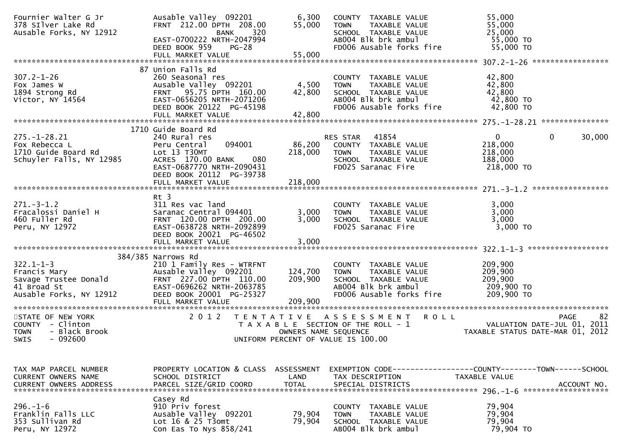| Fournier Walter G Jr<br>378 SIlver Lake Rd<br>Ausable Forks, NY 12912                              | Ausable Valley 092201<br>FRNT 212.00 DPTH 208.00<br>320<br><b>BANK</b><br>EAST-0700222 NRTH-2047994<br>DEED BOOK 959<br><b>PG-28</b><br>FULL MARKET VALUE                         | 6,300<br>55,000<br>55,000     | COUNTY TAXABLE VALUE<br>TAXABLE VALUE<br>TOWN<br>SCHOOL TAXABLE VALUE<br>AB004 Blk brk ambul<br>FD006 Ausable forks fire                  | 55,000<br>55,000<br>25,000<br>55,000 TO<br>55,000 TO                                         |
|----------------------------------------------------------------------------------------------------|-----------------------------------------------------------------------------------------------------------------------------------------------------------------------------------|-------------------------------|-------------------------------------------------------------------------------------------------------------------------------------------|----------------------------------------------------------------------------------------------|
|                                                                                                    |                                                                                                                                                                                   |                               |                                                                                                                                           |                                                                                              |
| $307.2 - 1 - 26$<br>Fox James W<br>1894 Strong Rd<br>Victor, NY 14564                              | 87 Union Falls Rd<br>260 Seasonal res<br>Ausable Valley 092201<br>FRNT 95.75 DPTH 160.00<br>EAST-0656205 NRTH-2071206<br>DEED BOOK 20122 PG-45198<br>FULL MARKET VALUE            | 4,500<br>42,800<br>42,800     | COUNTY TAXABLE VALUE<br>TAXABLE VALUE<br><b>TOWN</b><br>SCHOOL TAXABLE VALUE<br>AB004 Blk brk ambul<br>FD006 Ausable forks fire           | 42,800<br>42,800<br>42,800<br>42,800 TO<br>42,800 TO                                         |
|                                                                                                    | 1710 Guide Board Rd                                                                                                                                                               |                               |                                                                                                                                           |                                                                                              |
| $275. - 1 - 28.21$<br>Fox Rebecca L<br>1710 Guide Board Rd<br>Schuyler Falls, NY 12985             | 240 Rural res<br>Peru Central<br>094001<br>Lot 13 T30MT<br>ACRES 170.00 BANK<br>080<br>EAST-0687770 NRTH-2090431<br>DEED BOOK 20112 PG-39738<br>FULL MARKET VALUE                 | 86,200<br>218,000<br>218,000  | RES STAR<br>41854<br>COUNTY TAXABLE VALUE<br>TAXABLE VALUE<br><b>TOWN</b><br>SCHOOL TAXABLE VALUE<br>FD025 Saranac Fire                   | $\mathbf{0}$<br>$\mathbf{0}$<br>30,000<br>218,000<br>218,000<br>188,000<br>218,000 TO        |
|                                                                                                    |                                                                                                                                                                                   |                               |                                                                                                                                           |                                                                                              |
| $271. - 3 - 1.2$<br>Fracalossi Daniel H<br>460 Fuller Rd<br>Peru, NY 12972                         | $Rt$ 3<br>311 Res vac land<br>Saranac Central 094401<br>FRNT 120.00 DPTH 200.00<br>EAST-0638728 NRTH-2092899<br>DEED BOOK 20021 PG-46502<br>FULL MARKET VALUE                     | 3,000<br>3,000<br>3,000       | COUNTY TAXABLE VALUE<br>TAXABLE VALUE<br><b>TOWN</b><br>SCHOOL TAXABLE VALUE<br>FD025 Saranac Fire                                        | 3,000<br>3,000<br>3,000<br>3,000 TO                                                          |
|                                                                                                    |                                                                                                                                                                                   |                               |                                                                                                                                           |                                                                                              |
| $322.1 - 1 - 3$<br>Francis Mary<br>Savage Trustee Donald<br>41 Broad St<br>Ausable Forks, NY 12912 | 384/385 Narrows Rd<br>210 1 Family Res - WTRFNT<br>Ausable Valley 092201<br>FRNT 227.00 DPTH 110.00<br>EAST-0696262 NRTH-2063785<br>DEED BOOK 20001 PG-25327<br>FULL MARKET VALUE | 124,700<br>209,900<br>209,900 | COUNTY TAXABLE VALUE<br><b>TOWN</b><br>TAXABLE VALUE<br>SCHOOL TAXABLE VALUE<br>AB004 Blk brk ambul<br>FD006 Ausable forks fire           | 209,900<br>209,900<br>209,900<br>209,900 TO<br>209,900 ТО                                    |
|                                                                                                    |                                                                                                                                                                                   |                               |                                                                                                                                           |                                                                                              |
| STATE OF NEW YORK<br>COUNTY - Clinton<br><b>TOWN</b><br>- Black Brook<br><b>SWIS</b><br>- 092600   | 2 0 1 2                                                                                                                                                                           | T E N T A T I V E             | <b>ROLL</b><br>A S S E S S M E N T<br>T A X A B L E SECTION OF THE ROLL - 1<br>OWNERS NAME SEQUENCE<br>UNIFORM PERCENT OF VALUE IS 100.00 | 82<br><b>PAGE</b><br>VALUATION DATE-JUL 01, 2011<br>TAXABLE STATUS DATE-MAR 01, 2012         |
|                                                                                                    |                                                                                                                                                                                   |                               |                                                                                                                                           |                                                                                              |
| TAX MAP PARCEL NUMBER<br>CURRENT OWNERS NAME<br><b>CURRENT OWNERS ADDRESS</b>                      | PROPERTY LOCATION & CLASS ASSESSMENT<br>SCHOOL DISTRICT<br>PARCEL SIZE/GRID COORD                                                                                                 | LAND<br><b>TOTAL</b>          | TAX DESCRIPTION<br>SPECIAL DISTRICTS                                                                                                      | EXEMPTION CODE-----------------COUNTY-------TOWN------SCHOOL<br>TAXABLE VALUE<br>ACCOUNT NO. |
| $296. - 1 - 6$<br>Franklin Falls LLC<br>353 Sullivan Rd<br>Peru, NY 12972                          | Casey Rd<br>910 Priv forest<br>Ausable Valley 092201<br>Lot $16 & 25$ T3omt<br>Con Eas To Nys 858/241                                                                             | 79,904<br>79,904              | COUNTY TAXABLE VALUE<br><b>TOWN</b><br>TAXABLE VALUE<br>SCHOOL TAXABLE VALUE<br>AB004 Blk brk ambul                                       | 79,904<br>79,904<br>79,904<br>79,904 TO                                                      |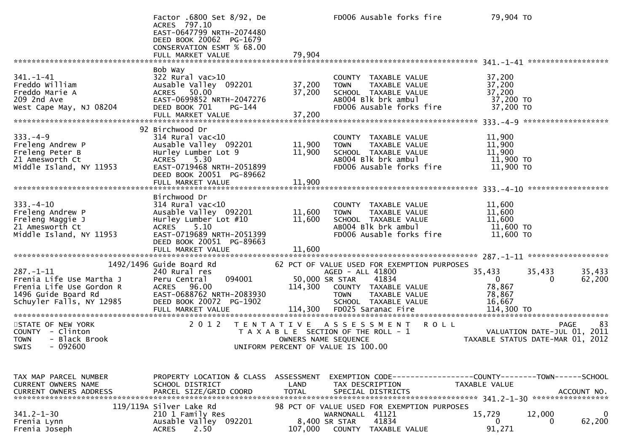|                                                                                                                            | Factor .6800 Set 8/92, De<br>ACRES 797.10<br>EAST-0647799 NRTH-2074480<br>DEED BOOK 20062 PG-1679<br>CONSERVATION ESMT % 68.00<br>FULL MARKET VALUE                              | 79,904                               | FD006 Ausable forks fire                                                                                                                                                       | 79,904 TO                                                                                    |                  |
|----------------------------------------------------------------------------------------------------------------------------|----------------------------------------------------------------------------------------------------------------------------------------------------------------------------------|--------------------------------------|--------------------------------------------------------------------------------------------------------------------------------------------------------------------------------|----------------------------------------------------------------------------------------------|------------------|
|                                                                                                                            | Bob Way                                                                                                                                                                          |                                      |                                                                                                                                                                                |                                                                                              |                  |
| $341. - 1 - 41$<br>Freddo William<br>Freddo Marie A<br>209 2nd Ave<br>West Cape May, NJ 08204                              | 322 Rural vac>10<br>Ausable Valley 092201<br>ACRES 50.00<br>EAST-0699852 NRTH-2047276<br>DEED BOOK 701<br>PG-144                                                                 | 37,200<br>37,200                     | COUNTY TAXABLE VALUE<br><b>TOWN</b><br>TAXABLE VALUE<br>SCHOOL TAXABLE VALUE<br>AB004 Blk brk ambul<br>FD006 Ausable forks fire                                                | 37,200<br>37,200<br>37,200<br>37,200 TO<br>37,200 TO                                         |                  |
|                                                                                                                            |                                                                                                                                                                                  |                                      |                                                                                                                                                                                |                                                                                              |                  |
| $333. - 4 - 9$<br>Freleng Andrew P<br>Freleng Peter B<br>21 Amesworth Ct<br>Middle Island, NY 11953                        | 92 Birchwood Dr<br>314 Rural vac<10<br>Ausable Valley 092201<br>Hurley Lumber Lot 9<br>ACRES 5.30<br>EAST-0719468 NRTH-2051899<br>DEED BOOK 20051 PG-89662                       | 11,900<br>11,900                     | COUNTY TAXABLE VALUE<br>TAXABLE VALUE<br><b>TOWN</b><br>SCHOOL TAXABLE VALUE<br>AB004 Blk brk ambul<br>FD006 Ausable forks fire                                                | 11,900<br>11,900<br>11,900<br>11,900 TO<br>11,900 TO                                         |                  |
|                                                                                                                            |                                                                                                                                                                                  |                                      |                                                                                                                                                                                |                                                                                              |                  |
| $333. - 4 - 10$<br>Freleng Andrew P<br>Freleng Maggie J<br>21 Amesworth Ct<br>Middle Island, NY 11953                      | Birchwood Dr<br>$314$ Rural vac<10<br>Ausable Valley 092201<br>Hurley Lumber Lot #10<br>ACRES 5.10<br>EAST-0719689 NRTH-2051399<br>DEED BOOK 20051 PG-89663<br>FULL MARKET VALUE | 11,600<br>11,600<br>11,600           | COUNTY TAXABLE VALUE<br>TAXABLE VALUE<br><b>TOWN</b><br>SCHOOL TAXABLE VALUE<br>AB004 Blk brk ambul<br>FD006 Ausable forks fire                                                | 11,600<br>11,600<br>11,600<br>11,600 TO<br>11,600 TO                                         |                  |
|                                                                                                                            |                                                                                                                                                                                  |                                      |                                                                                                                                                                                |                                                                                              |                  |
| $287. - 1 - 11$<br>Frenia Life Use Martha J<br>Frenia Life Use Gordon R<br>1496 Guide Board Rd<br>Schuyler Falls, NY 12985 | 1492/1496 Guide Board Rd<br>240 Rural res<br>094001<br>Peru Central<br>ACRES 96.00<br>EAST-0688762 NRTH-2083930<br>DEED BOOK 20072 PG-1902<br>FULL MARKET VALUE                  | 50,000 SR STAR<br>114,300<br>114,300 | 62 PCT OF VALUE USED FOR EXEMPTION PURPOSES<br>AGED - ALL 41800<br>41834<br>COUNTY TAXABLE VALUE<br>TAXABLE VALUE<br><b>TOWN</b><br>SCHOOL TAXABLE VALUE<br>FD025 Saranac Fire | 35,433<br>35,433<br>$\overline{0}$<br>0<br>78,867<br>78,867<br>16,667<br>114,300 TO          | 35,433<br>62,200 |
| STATE OF NEW YORK<br>COUNTY - Clinton<br>- Black Brook<br><b>TOWN</b><br>SWIS<br>- 092600                                  | 2 0 1 2                                                                                                                                                                          | OWNERS NAME SEQUENCE                 | <b>ROLL</b><br>TENTATIVE ASSESSMENT<br>T A X A B L E SECTION OF THE ROLL - 1<br>UNIFORM PERCENT OF VALUE IS 100.00                                                             | PAGE<br>VALUATION DATE-JUL 01, 2011<br>TAXABLE STATUS DATE-MAR 01, 2012                      | 83               |
| TAX MAP PARCEL NUMBER<br>CURRENT OWNERS NAME<br><b>CURRENT OWNERS ADDRESS</b>                                              | PROPERTY LOCATION & CLASS<br>SCHOOL DISTRICT<br>PARCEL SIZE/GRID COORD                                                                                                           | ASSESSMENT<br>LAND<br><b>TOTAL</b>   | TAX DESCRIPTION<br>SPECIAL DISTRICTS                                                                                                                                           | EXEMPTION CODE-----------------COUNTY-------TOWN------SCHOOL<br>TAXABLE VALUE<br>ACCOUNT NO. |                  |
| $341.2 - 1 - 30$<br>Frenia Lynn<br>Frenia Joseph                                                                           | 119/119A Silver Lake Rd<br>210 1 Family Res<br>Ausable Valley 092201<br>2.50<br><b>ACRES</b>                                                                                     | 8,400 SR STAR<br>107,000             | 98 PCT OF VALUE USED FOR EXEMPTION PURPOSES<br>WARNONALL 41121<br>41834<br>COUNTY<br>TAXABLE VALUE                                                                             | 15,729<br>12,000<br>$\Omega$<br>0<br>91,271                                                  | 0<br>62,200      |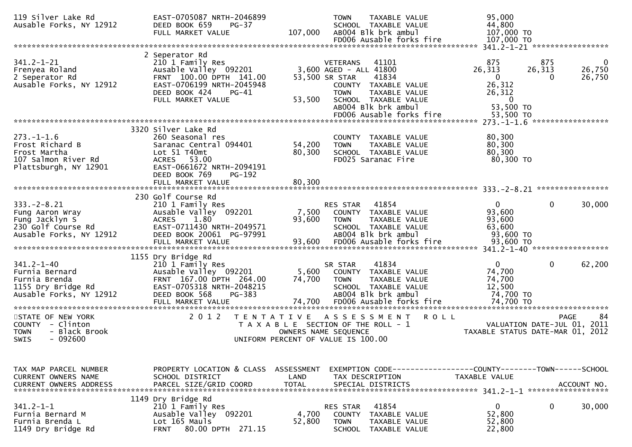| 119 Silver Lake Rd<br>Ausable Forks, NY 12912                                                          | EAST-0705087 NRTH-2046899<br>DEED BOOK 659<br>$PG-37$<br>FULL MARKET VALUE                                                                                                                | <b>TOWN</b><br>TAXABLE VALUE<br>SCHOOL TAXABLE VALUE<br>AB004 Blk brk ambul<br>107,000<br>FD006 Ausable forks fire                                                                                                         | 95,000<br>44,800<br>107,000 TO<br>107,000 TO                                                  |                                                    |
|--------------------------------------------------------------------------------------------------------|-------------------------------------------------------------------------------------------------------------------------------------------------------------------------------------------|----------------------------------------------------------------------------------------------------------------------------------------------------------------------------------------------------------------------------|-----------------------------------------------------------------------------------------------|----------------------------------------------------|
|                                                                                                        |                                                                                                                                                                                           |                                                                                                                                                                                                                            |                                                                                               |                                                    |
| $341.2 - 1 - 21$<br>Frenyea Roland<br>2 Seperator Rd<br>Ausable Forks, NY 12912                        | 2 Seperator Rd<br>210 1 Family Res<br>Ausable Valley 092201<br>FRNT 100.00 DPTH 141.00<br>EAST-0706199 NRTH-2045948<br>DEED BOOK 424<br>$PG-41$<br>FULL MARKET VALUE                      | <b>VETERANS</b><br>41101<br>3,600 AGED - ALL 41800<br>41834<br>53,500 SR STAR<br>COUNTY TAXABLE VALUE<br><b>TOWN</b><br>TAXABLE VALUE<br>53,500<br>SCHOOL TAXABLE VALUE<br>AB004 Blk brk ambul<br>FD006 Ausable forks fire | 875<br>26,313<br>$\mathbf{0}$<br>26,312<br>26,312<br>$\overline{0}$<br>53,500 TO<br>53,500 TO | 875<br>0<br>26,313<br>26,750<br>26,750<br>$\Omega$ |
|                                                                                                        |                                                                                                                                                                                           |                                                                                                                                                                                                                            |                                                                                               |                                                    |
| $273. - 1 - 1.6$<br>Frost Richard B<br>Frost Martha<br>107 Salmon River Rd<br>Plattsburgh, NY 12901    | 3320 Silver Lake Rd<br>260 Seasonal res<br>Saranac Central 094401<br>Lot 51 T40m <sub>t</sub><br>ACRES 53.00<br>EAST-0661672 NRTH-2094191<br>DEED BOOK 769<br>PG-192<br>FULL MARKET VALUE | COUNTY TAXABLE VALUE<br>54,200<br>TAXABLE VALUE<br><b>TOWN</b><br>80,300<br>SCHOOL TAXABLE VALUE<br>FD025 Saranac Fire<br>80,300                                                                                           | 80,300<br>80,300<br>80,300<br>80,300 TO                                                       |                                                    |
|                                                                                                        |                                                                                                                                                                                           |                                                                                                                                                                                                                            |                                                                                               |                                                    |
| $333. -2 - 8.21$<br>Fung Aaron Wray<br>Fung Jacklyn S<br>230 Golf Course Rd<br>Ausable Forks, NY 12912 | 230 Golf Course Rd<br>210 1 Family Res<br>Ausable Valley 092201<br><b>ACRES</b><br>1.80<br>EAST-0711430 NRTH-2049571<br>DEED BOOK 20061 PG-97991                                          | 41854<br>RES STAR<br>7,500<br>COUNTY TAXABLE VALUE<br>93,600<br><b>TOWN</b><br>TAXABLE VALUE<br>SCHOOL TAXABLE VALUE<br>AB004 Blk brk ambul                                                                                | $\overline{0}$<br>93,600<br>93,600<br>63,600<br>93,600 TO                                     | $\mathbf{0}$<br>30,000                             |
|                                                                                                        | 1155 Dry Bridge Rd                                                                                                                                                                        |                                                                                                                                                                                                                            |                                                                                               |                                                    |
| $341.2 - 1 - 40$<br>Furnia Bernard<br>Furnia Brenda<br>1155 Dry Bridge Rd<br>Ausable Forks, NY 12912   | 210 1 Family Res<br>Ausable Valley 092201<br>FRNT 167.00 DPTH 264.00<br>EAST-0705318 NRTH-2048215<br>DEED BOOK 568<br>PG-383<br>FULL MARKET VALUE                                         | 41834<br>SR STAR<br>5,600<br>COUNTY TAXABLE VALUE<br>74,700<br>TAXABLE VALUE<br><b>TOWN</b><br>SCHOOL TAXABLE VALUE<br>AB004 Blk brk ambul<br>74,700<br>FD006 Ausable forks fire<br>***********************                | $\overline{0}$<br>74,700<br>74,700<br>12,500<br>74,700 TO<br>74,700 TO                        | 0<br>62,200<br>********************************    |
| STATE OF NEW YORK<br>COUNTY - Clinton                                                                  | 2 0 1 2<br>T E N T A T I V E                                                                                                                                                              | A S S E S S M E N T<br>T A X A B L E SECTION OF THE ROLL - 1                                                                                                                                                               | <b>ROLL</b>                                                                                   | 84<br><b>PAGE</b><br>VALUATION DATE-JUL 01, 2011   |
| - Black Brook<br><b>TOWN</b><br>$-092600$<br>SWIS                                                      |                                                                                                                                                                                           | OWNERS NAME SEQUENCE<br>UNIFORM PERCENT OF VALUE IS 100.00                                                                                                                                                                 |                                                                                               | TAXABLE STATUS DATE-MAR 01, 2012                   |
| TAX MAP PARCEL NUMBER<br><b>CURRENT OWNERS NAME</b><br><b>CURRENT OWNERS ADDRESS</b>                   | PROPERTY LOCATION & CLASS ASSESSMENT<br>SCHOOL DISTRICT<br>PARCEL SIZE/GRID COORD                                                                                                         | LAND<br>TAX DESCRIPTION<br><b>TOTAL</b><br>SPECIAL DISTRICTS                                                                                                                                                               | EXEMPTION CODE------------------COUNTY--------TOWN------SCHOOL<br>TAXABLE VALUE               | ACCOUNT NO.                                        |
| $341.2 - 1 - 1$<br>Furnia Bernard M<br>Furnia Brenda L<br>1149 Dry Bridge Rd                           | 1149 Dry Bridge Rd<br>210 1 Family Res<br>Ausable Valley 092201<br>Lot 165 Mauls<br>80.00 DPTH 271.15<br><b>FRNT</b>                                                                      | 41854<br>RES STAR<br>4,700<br><b>COUNTY</b><br>TAXABLE VALUE<br>52,800<br><b>TOWN</b><br>TAXABLE VALUE<br>SCHOOL TAXABLE VALUE                                                                                             | $\mathbf{0}$<br>52,800<br>52,800<br>22,800                                                    | 0<br>30,000                                        |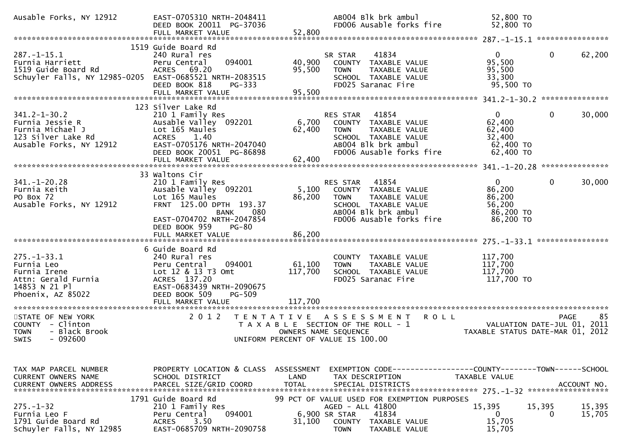| Ausable Forks, NY 12912                                                                                                | EAST-0705310 NRTH-2048411<br>DEED BOOK 20011 PG-37036<br>FULL MARKET VALUE                                                                                            | 52,800                             | AB004 Blk brk ambul<br>FD006 Ausable forks fire                                                                                                             | 52,800 TO<br>52,800 TO                                                 |                                 |
|------------------------------------------------------------------------------------------------------------------------|-----------------------------------------------------------------------------------------------------------------------------------------------------------------------|------------------------------------|-------------------------------------------------------------------------------------------------------------------------------------------------------------|------------------------------------------------------------------------|---------------------------------|
|                                                                                                                        |                                                                                                                                                                       |                                    |                                                                                                                                                             |                                                                        |                                 |
| $287. - 1 - 15.1$<br>Furnia Harriett<br>1519 Guide Board Rd<br>Schuyler Falls, NY 12985-0205 EAST-0685521 NRTH-2083515 | 1519 Guide Board Rd<br>240 Rural res<br>094001<br>Peru Central<br>ACRES 69.20<br>DEED BOOK 818<br>$PG-333$<br>FULL MARKET VALUE                                       | 40,900<br>95,500<br>95,500         | 41834<br>SR STAR<br>COUNTY TAXABLE VALUE<br>TAXABLE VALUE<br><b>TOWN</b><br>SCHOOL TAXABLE VALUE<br>FD025 Saranac Fire                                      | $\overline{0}$<br>95,500<br>95,500<br>33,300<br>95,500 TO              | $\mathbf{0}$<br>62,200          |
|                                                                                                                        | 123 Silver Lake Rd                                                                                                                                                    |                                    |                                                                                                                                                             |                                                                        |                                 |
| $341.2 - 1 - 30.2$<br>Furnia Jessie R<br>Furnia Michael J<br>123 Silver Lake Rd<br>Ausable Forks, NY 12912             | 210 1 Family Res<br>Ausable Valley 092201<br>Lot 165 Maules<br>1.40<br><b>ACRES</b><br>EAST-0705176 NRTH-2047040<br>DEED BOOK 20051 PG-86898<br>FULL MARKET VALUE     | 6,700<br>62,400<br>62,400          | 41854<br>RES STAR<br>COUNTY TAXABLE VALUE<br><b>TOWN</b><br>TAXABLE VALUE<br>SCHOOL TAXABLE VALUE<br>AB004 Blk brk ambul<br>FD006 Ausable forks fire        | $\mathbf{0}$<br>62,400<br>62,400<br>32,400<br>62,400 TO<br>62,400 TO   | $\mathbf{0}$<br>30,000          |
|                                                                                                                        | 33 Waltons Cir                                                                                                                                                        |                                    |                                                                                                                                                             |                                                                        |                                 |
| $341. - 1 - 20.28$<br>Furnia Keith<br>PO Box 72<br>Ausable Forks, NY 12912                                             | 210 1 Family Res<br>Ausable Valley 092201<br>Lot 165 Maules<br>FRNT 125.00 DPTH 193.37<br>080<br><b>BANK</b><br>EAST-0704702 NRTH-2047854<br>DEED BOOK 959<br>$PG-80$ | 5,100<br>86,200                    | 41854<br><b>RES STAR</b><br>COUNTY TAXABLE VALUE<br><b>TOWN</b><br>TAXABLE VALUE<br>SCHOOL TAXABLE VALUE<br>AB004 Blk brk ambul<br>FD006 Ausable forks fire | $\overline{0}$<br>86,200<br>86,200<br>56,200<br>86,200 TO<br>86,200 TO | 30,000<br>$\Omega$              |
|                                                                                                                        |                                                                                                                                                                       |                                    |                                                                                                                                                             |                                                                        |                                 |
| $275. - 1 - 33.1$<br>Furnia Leo<br>Furnia Irene<br>Attn: Gerald Furnia<br>14853 N 21 Pl<br>Phoenix, AZ 85022           | 6 Guide Board Rd<br>240 Rural res<br>Peru Central<br>094001<br>Lot 12 & 13 T3 Omt<br>ACRES 137.20<br>EAST-0683439 NRTH-2090675<br>PG-509<br>DEED BOOK 509             | 61,100<br>117,700                  | COUNTY TAXABLE VALUE<br><b>TOWN</b><br>TAXABLE VALUE<br>SCHOOL TAXABLE VALUE<br>FD025 Saranac Fire                                                          | 117,700<br>117,700<br>117,700<br>117,700 TO                            |                                 |
| STATE OF NEW YORK                                                                                                      | 2 0 1 2<br>T E N T A T I V E                                                                                                                                          |                                    |                                                                                                                                                             |                                                                        | 85<br><b>PAGE</b>               |
| COUNTY - Clinton<br><b>TOWN</b><br>- Black Brook<br>$-092600$<br>SWIS                                                  |                                                                                                                                                                       | OWNERS NAME SEQUENCE               | ASSESSMENT ROLL<br>T A X A B L E SECTION OF THE ROLL - 1<br>UNIFORM PERCENT OF VALUE IS 100.00                                                              | TAXABLE STATUS DATE-MAR 01, 2012                                       | VALUATION DATE-JUL 01, 2011     |
| TAX MAP PARCEL NUMBER<br>CURRENT OWNERS NAME<br><b>CURRENT OWNERS ADDRESS</b>                                          | PROPERTY LOCATION & CLASS<br>SCHOOL DISTRICT<br>PARCEL SIZE/GRID COORD                                                                                                | ASSESSMENT<br>LAND<br><b>TOTAL</b> | EXEMPTION CODE-----------------COUNTY-------TOWN------SCHOOL<br>TAX DESCRIPTION<br>SPECIAL DISTRICTS                                                        | TAXABLE VALUE                                                          | ACCOUNT NO.                     |
| $275. - 1 - 32$<br>Furnia Leo F<br>1791 Guide Board Rd<br>Schuyler Falls, NY 12985                                     | 1791 Guide Board Rd<br>210 1 Family Res<br>094001<br>Peru Central<br>3.50<br><b>ACRES</b><br>EAST-0685709 NRTH-2090758                                                | 31,100                             | 99 PCT OF VALUE USED FOR EXEMPTION PURPOSES<br>AGED - ALL 41800<br>6,900 SR STAR<br>41834<br><b>COUNTY</b><br>TAXABLE VALUE<br><b>TOWN</b><br>TAXABLE VALUE | 15,395<br>$\mathbf{0}$<br>15,705<br>15,705                             | 15,395<br>15,395<br>15,705<br>0 |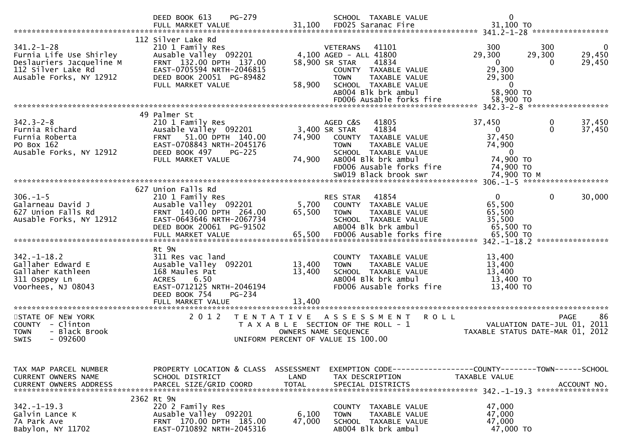|                                                                                                                          | PG-279<br>DEED BOOK 613<br>FULL MARKET VALUE                                                                                                                             | 31,100                     | SCHOOL TAXABLE VALUE<br>FD025 Saranac Fire                                                                                                                                                                       | $\mathbf 0$<br>31,100 TO                                                                                             |                       |
|--------------------------------------------------------------------------------------------------------------------------|--------------------------------------------------------------------------------------------------------------------------------------------------------------------------|----------------------------|------------------------------------------------------------------------------------------------------------------------------------------------------------------------------------------------------------------|----------------------------------------------------------------------------------------------------------------------|-----------------------|
| $341.2 - 1 - 28$<br>Furnia Life Use Shirley<br>Deslauriers Jacqueline M<br>112 Silver Lake Rd<br>Ausable Forks, NY 12912 | 112 Silver Lake Rd<br>210 1 Family Res<br>Ausable Valley 092201<br>FRNT 132.00 DPTH 137.00<br>EAST-0705594 NRTH-2046815<br>DEED BOOK 20051 PG-89482<br>FULL MARKET VALUE | 58,900                     | <b>VETERANS</b><br>41101<br>4,100 AGED - ALL 41800<br>58,900 SR STAR<br>41834<br>COUNTY TAXABLE VALUE<br>TAXABLE VALUE<br><b>TOWN</b><br>SCHOOL TAXABLE VALUE<br>AB004 Blk brk ambul<br>FD006 Ausable forks fire | 300<br>300<br>29,300<br>29,300<br>$\mathbf{0}$<br>$\Omega$<br>29,300<br>29,300<br>$\bf{0}$<br>58,900 TO<br>58,900 TO | 0<br>29,450<br>29,450 |
|                                                                                                                          | 49 Palmer St                                                                                                                                                             |                            |                                                                                                                                                                                                                  |                                                                                                                      |                       |
| $342.3 - 2 - 8$<br>Furnia Richard<br>Furnia Roberta<br>PO Box 162<br>Ausable Forks, NY 12912                             | 210 1 Family Res<br>Ausable Valley 092201<br>FRNT 51.00 DPTH 140.00<br>EAST-0708843 NRTH-2045176<br>DEED BOOK 497<br><b>PG-225</b><br>FULL MARKET VALUE                  | 74,900<br>74,900           | AGED C&S<br>41805<br>41834<br>3,400 SR STAR<br>COUNTY TAXABLE VALUE<br>TAXABLE VALUE<br><b>TOWN</b><br>SCHOOL TAXABLE VALUE<br>AB004 Blk brk ambul<br>FD006 Ausable forks fire<br>SW019 Black brook swr          | 37,450<br>0<br>0<br>$\mathbf{0}$<br>37,450<br>74,900<br>$\mathbf 0$<br>74,900 TO<br>74,900 TO<br>74,900 ТО М         | 37,450<br>37,450      |
|                                                                                                                          |                                                                                                                                                                          |                            |                                                                                                                                                                                                                  |                                                                                                                      |                       |
| $306. - 1 - 5$<br>Galarneau David J<br>627 Union Falls Rd<br>Ausable Forks, NY 12912                                     | 627 Union Falls Rd<br>210 1 Family Res<br>Ausable Valley 092201<br>FRNT 140.00 DPTH 264.00<br>EAST-0643646 NRTH-2067734<br>DEED BOOK 20061 PG-91502                      | 5,700<br>65,500            | 41854<br>RES STAR<br>COUNTY TAXABLE VALUE<br><b>TOWN</b><br>TAXABLE VALUE<br>SCHOOL TAXABLE VALUE<br>AB004 Blk brk ambul                                                                                         | 0<br>$\Omega$<br>65,500<br>65,500<br>35,500<br>65,500 TO<br>****************                                         | 30,000                |
|                                                                                                                          | Rt 9N                                                                                                                                                                    |                            |                                                                                                                                                                                                                  |                                                                                                                      |                       |
| $342. - 1 - 18.2$<br>Gallaher Edward E<br>Gallaher Kathleen<br>311 Osppey Ln<br>Voorhees, NJ 08043                       | 311 Res vac land<br>Ausable Valley 092201<br>168 Maules Pat<br><b>ACRES</b><br>6.50<br>EAST-0712125 NRTH-2046194<br>DEED BOOK 754<br>PG-234<br>FULL MARKET VALUE         | 13,400<br>13,400<br>13,400 | COUNTY TAXABLE VALUE<br>TAXABLE VALUE<br><b>TOWN</b><br>SCHOOL TAXABLE VALUE<br>AB004 Blk brk ambul<br>FD006 Ausable forks fire                                                                                  | 13,400<br>13,400<br>13,400<br>13,400 TO<br>13,400 TO                                                                 |                       |
| ***********************                                                                                                  |                                                                                                                                                                          |                            |                                                                                                                                                                                                                  |                                                                                                                      |                       |
| STATE OF NEW YORK<br>COUNTY - Clinton<br>- Black Brook<br><b>TOWN</b><br>$-092600$<br><b>SWIS</b>                        | 2 0 1 2<br>T E N T A T I V E                                                                                                                                             |                            | <b>ROLL</b><br>ASSESSMENT<br>T A X A B L E SECTION OF THE ROLL - 1<br>OWNERS NAME SEQUENCE<br>UNIFORM PERCENT OF VALUE IS 100.00                                                                                 | <b>PAGE</b><br>VALUATION DATE-JUL 01, 2011<br>TAXABLE STATUS DATE-MAR 01, 2012                                       | 86                    |
|                                                                                                                          |                                                                                                                                                                          |                            |                                                                                                                                                                                                                  |                                                                                                                      |                       |
| TAX MAP PARCEL NUMBER<br><b>CURRENT OWNERS NAME</b><br><b>CURRENT OWNERS ADDRESS</b>                                     | PROPERTY LOCATION & CLASS ASSESSMENT<br>SCHOOL DISTRICT<br>PARCEL SIZE/GRID COORD                                                                                        | LAND<br><b>TOTAL</b>       | TAX DESCRIPTION<br>SPECIAL DISTRICTS                                                                                                                                                                             | TAXABLE VALUE                                                                                                        | ACCOUNT NO.           |
|                                                                                                                          | 2362 Rt 9N                                                                                                                                                               |                            |                                                                                                                                                                                                                  |                                                                                                                      |                       |
| $342. - 1 - 19.3$<br>Galvin Lance K<br>7A Park Ave<br>Babylon, NY 11702                                                  | 220 2 Family Res<br>Ausable Valley 092201<br>FRNT 170.00 DPTH 185.00<br>EAST-0710892 NRTH-2045316                                                                        | 6,100<br>47,000            | COUNTY TAXABLE VALUE<br><b>TOWN</b><br>TAXABLE VALUE<br>SCHOOL TAXABLE VALUE<br>AB004 Blk brk ambul                                                                                                              | 47,000<br>47,000<br>47,000<br>47,000 TO                                                                              |                       |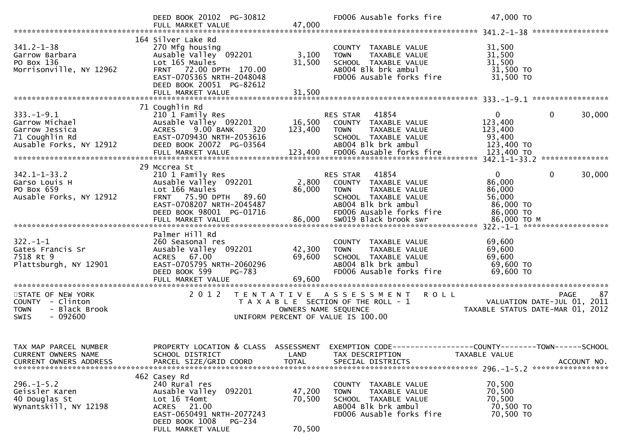|                                                                                                   | DEED BOOK 20102 PG-30812<br>FULL MARKET VALUE                                                                                                                                            | 47,000                     | FD006 Ausable forks fire                                                                                                                          | 47,000 TO                                                                                                         |
|---------------------------------------------------------------------------------------------------|------------------------------------------------------------------------------------------------------------------------------------------------------------------------------------------|----------------------------|---------------------------------------------------------------------------------------------------------------------------------------------------|-------------------------------------------------------------------------------------------------------------------|
| $341.2 - 1 - 38$<br>Garrow Barbara<br>PO Box 136<br>Morrisonville, NY 12962                       | 164 Silver Lake Rd<br>270 Mfg housing<br>Ausable Valley 092201<br>Lot 165 Maules<br>FRNT 72.00 DPTH 170.00<br>EAST-0705365 NRTH-2048048<br>DEED BOOK 20051 PG-82612<br>FULL MARKET VALUE | 3,100<br>31,500<br>31,500  | COUNTY TAXABLE VALUE<br>TAXABLE VALUE<br><b>TOWN</b><br>SCHOOL TAXABLE VALUE<br>AB004 Blk brk ambul<br>FD006 Ausable forks fire                   | 31,500<br>31,500<br>31,500<br>31,500 TO<br>31,500 TO                                                              |
|                                                                                                   | 71 Coughlin Rd                                                                                                                                                                           |                            |                                                                                                                                                   |                                                                                                                   |
| $333. - 1 - 9.1$<br>Garrow Michael<br>Garrow Jessica<br>71 Coughlin Rd<br>Ausable Forks, NY 12912 | 210 1 Family Res<br>Ausable Valley 092201 16,500 COUNTY TAXABLE VALUE<br>9.00 BANK<br><b>ACRES</b><br>320<br>EAST-0709430 NRTH-2053616<br>DEED BOOK 20072 PG-03564                       | 123,400                    | <b>RES STAR 41854</b><br><b>TOWN</b><br>TAXABLE VALUE<br>SCHOOL TAXABLE VALUE<br>AB004 Blk brk ambul                                              | $\mathbf{0}$<br>$\mathbf{0}$<br>30,000<br>123,400<br>123,400<br>93,400<br>123,400 TO                              |
|                                                                                                   | 29 Mccrea St                                                                                                                                                                             |                            |                                                                                                                                                   |                                                                                                                   |
| $342.1 - 1 - 33.2$<br>Garso Louis H<br>PO Box 659<br>Ausable Forks, NY 12912                      | 210 1 Family Res<br>Ausable Valley 092201<br>Lot 166 Maules<br>FRNT 75.90 DPTH 89.60<br>EAST-0708207 NRTH-2045487<br>DEED BOOK 98001 PG-01716                                            | 2,800<br>86,000            | RES STAR 41854<br>COUNTY TAXABLE VALUE<br>TAXABLE VALUE<br><b>TOWN</b><br>SCHOOL TAXABLE VALUE<br>AB004 Blk brk ambul<br>FD006 Ausable forks fire | $\mathbf{0}$<br>0<br>30,000<br>86,000<br>86,000<br>56,000<br>86,000 TO<br>86,000 TO                               |
|                                                                                                   |                                                                                                                                                                                          |                            |                                                                                                                                                   |                                                                                                                   |
| $322. - 1 - 1$<br>Gates Francis Sr<br>7518 Rt 9<br>Plattsburgh, NY 12901                          | Palmer Hill Rd<br>260 Seasonal res<br>Ausable Valley 092201<br>ACRES 67.00<br>EAST-0705795 NRTH-2060296<br>DEED BOOK 599<br>PG-783                                                       | 42,300<br>69,600           | COUNTY TAXABLE VALUE<br><b>TOWN</b><br>TAXABLE VALUE<br>SCHOOL TAXABLE VALUE<br>AB004 Blk brk ambul<br>FD006 Ausable forks fire                   | 69,600<br>69,600<br>69,600<br>69,600 TO<br>69,600 TO                                                              |
| STATE OF NEW YORK<br>COUNTY - Clinton<br>- Black Brook<br><b>TOWN</b><br>$-092600$<br><b>SWIS</b> |                                                                                                                                                                                          | OWNERS NAME SEQUENCE       | 2012 TENTATIVE ASSESSMENT<br><b>ROLL</b><br>T A X A B L E SECTION OF THE ROLL - 1<br>UNIFORM PERCENT OF VALUE IS 100.00                           | PAGE<br>87<br>$\frac{1}{2}$ - $\frac{1}{2}$ VALUATION DATE-JUL 01, 2011<br>TAXABLE STATUS DATE-MAR 01, 2012       |
| TAX MAP PARCEL NUMBER<br>CURRENT OWNERS NAME                                                      | SCHOOL DISTRICT                                                                                                                                                                          | LAND                       | TAX DESCRIPTION                                                                                                                                   | PROPERTY LOCATION & CLASS ASSESSMENT EXEMPTION CODE----------------COUNTY-------TOWN------SCHOOL<br>TAXABLE VALUE |
| CURRENT OWNERS ADDRESS                                                                            | PARCEL SIZE/GRID COORD                                                                                                                                                                   | <b>TOTAL</b>               | SPECIAL DISTRICTS                                                                                                                                 | ACCOUNT NO.                                                                                                       |
| $296. - 1 - 5.2$<br>Geissler Karen<br>40 Douglas St<br>Wynantskill, NY 12198                      | 462 Casey Rd<br>240 Rural res<br>Ausable Valley 092201<br>Lot 16 T4omt<br>ACRES 21.00<br>EAST-0650491 NRTH-2077243<br>DEED BOOK 1008<br>PG-234<br>FULL MARKET VALUE                      | 47,200<br>70,500<br>70,500 | COUNTY<br>TAXABLE VALUE<br><b>TOWN</b><br>TAXABLE VALUE<br>SCHOOL TAXABLE VALUE<br>AB004 Blk brk ambul<br>FD006 Ausable forks fire                | 70,500<br>70,500<br>70,500<br>70,500 TO<br>70,500 TO                                                              |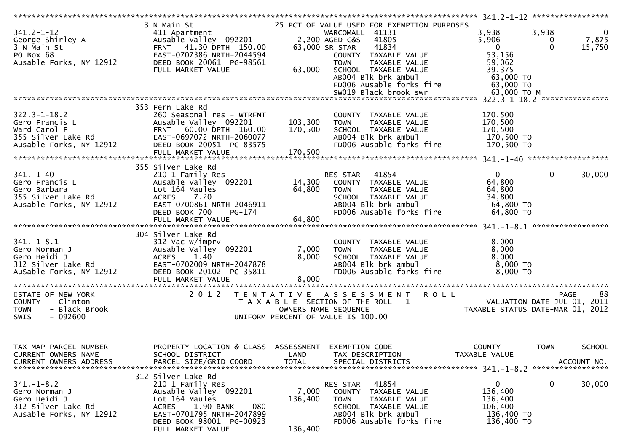|                                                                                                       |                                                                                                                                                                                                     |                               |                                                                                                                                                                                                                                                                                  | $341.2 - 1 - 12$ ******************                                                                                                                                  |
|-------------------------------------------------------------------------------------------------------|-----------------------------------------------------------------------------------------------------------------------------------------------------------------------------------------------------|-------------------------------|----------------------------------------------------------------------------------------------------------------------------------------------------------------------------------------------------------------------------------------------------------------------------------|----------------------------------------------------------------------------------------------------------------------------------------------------------------------|
| $341.2 - 1 - 12$<br>George Shirley A<br>3 N Main St<br>PO Box 68<br>Ausable Forks, NY 12912           | 3 N Main St<br>411 Apartment<br>Ausable Valley 092201<br>41.30 DPTH 150.00<br><b>FRNT</b><br>EAST-0707386 NRTH-2044594<br>DEED BOOK 20061 PG-98561<br>FULL MARKET VALUE                             | 63,000                        | 25 PCT OF VALUE USED FOR EXEMPTION PURPOSES<br>WARCOMALL 41131<br>2,200 AGED C&S<br>41805<br>41834<br>63,000 SR STAR<br>COUNTY TAXABLE VALUE<br><b>TOWN</b><br>TAXABLE VALUE<br>SCHOOL TAXABLE VALUE<br>AB004 Blk brk ambul<br>FD006 Ausable forks fire<br>SW019 Black brook swr | 3,938<br>3,938<br>$\mathbf{0}$<br>5,906<br>7,875<br>0<br>$\overline{0}$<br>$\Omega$<br>15,750<br>53,156<br>59,062<br>39,375<br>63,000 TO<br>63,000 TO<br>63,000 то м |
|                                                                                                       |                                                                                                                                                                                                     |                               |                                                                                                                                                                                                                                                                                  |                                                                                                                                                                      |
| $322.3 - 1 - 18.2$<br>Gero Francis L<br>Ward Carol F<br>355 Silver Lake Rd<br>Ausable Forks, NY 12912 | 353 Fern Lake Rd<br>260 Seasonal res - WTRFNT<br>Ausable Valley 092201<br>FRNT 60.00 DPTH 160.00<br>EAST-0697072 NRTH-2060077<br>DEED BOOK 20051 PG-83575<br>FULL MARKET VALUE                      | 103,300<br>170,500<br>170,500 | COUNTY TAXABLE VALUE<br>TAXABLE VALUE<br><b>TOWN</b><br>SCHOOL TAXABLE VALUE<br>AB004 Blk brk ambul<br>FD006 Ausable forks fire                                                                                                                                                  | 170,500<br>170,500<br>170,500<br>170,500 то<br>170,500 TO                                                                                                            |
|                                                                                                       |                                                                                                                                                                                                     |                               |                                                                                                                                                                                                                                                                                  |                                                                                                                                                                      |
| $341. - 1 - 40$<br>Gero Francis L<br>Gero Barbara<br>355 Silver Lake Rd<br>Ausable Forks, NY 12912    | 355 Silver Lake Rd<br>210 1 Family Res<br>Ausable Valley 092201<br>Lot 164 Maules<br><b>ACRES</b><br>7.20<br>EAST-0700861 NRTH-2046911<br>DEED BOOK 700<br>PG-174                                   | 14,300<br>64,800              | 41854<br>RES STAR<br>COUNTY TAXABLE VALUE<br>TAXABLE VALUE<br><b>TOWN</b><br>SCHOOL TAXABLE VALUE<br>AB004 Blk brk ambul<br>FD006 Ausable forks fire                                                                                                                             | $\mathbf{0}$<br>$\mathbf{0}$<br>30,000<br>64,800<br>64,800<br>34,800<br>64,800 TO<br>64,800 TO                                                                       |
|                                                                                                       | FULL MARKET VALUE                                                                                                                                                                                   | 64,800                        |                                                                                                                                                                                                                                                                                  |                                                                                                                                                                      |
|                                                                                                       |                                                                                                                                                                                                     |                               |                                                                                                                                                                                                                                                                                  |                                                                                                                                                                      |
| $341. - 1 - 8.1$<br>Gero Norman J<br>Gero Heidi J<br>312 Silver Lake Rd<br>AuSable Forks, NY 12912    | 304 Silver Lake Rd<br>312 Vac w/imprv<br>Ausable Valley 092201<br>1.40<br><b>ACRES</b><br>EAST-0702009 NRTH-2047878<br>DEED BOOK 20102 PG-35811<br>FULL MARKET VALUE                                | 7,000<br>8,000<br>8,000       | COUNTY TAXABLE VALUE<br>TAXABLE VALUE<br><b>TOWN</b><br>SCHOOL TAXABLE VALUE<br>AB004 Blk brk ambul<br>FD006 Ausable forks fire                                                                                                                                                  | 8,000<br>8,000<br>8,000<br>8,000 TO<br>8,000 TO                                                                                                                      |
|                                                                                                       | 2 0 1 2                                                                                                                                                                                             |                               | <b>ROLL</b>                                                                                                                                                                                                                                                                      | 88                                                                                                                                                                   |
| STATE OF NEW YORK<br>COUNTY - Clinton<br>- Black Brook<br><b>TOWN</b><br>$-092600$<br><b>SWIS</b>     | T E N T A T I V E                                                                                                                                                                                   |                               | A S S E S S M E N T<br>T A X A B L E SECTION OF THE ROLL - 1<br>OWNERS NAME SEQUENCE<br>UNIFORM PERCENT OF VALUE IS 100.00                                                                                                                                                       | PAGE<br>VALUATION DATE-JUL 01, 2011<br>TAXABLE STATUS DATE-MAR 01, 2012                                                                                              |
| TAX MAP PARCEL NUMBER<br>CURRENT OWNERS NAME<br><b>CURRENT OWNERS ADDRESS</b>                         | SCHOOL DISTRICT<br>PARCEL SIZE/GRID COORD                                                                                                                                                           | LAND<br><b>TOTAL</b>          | TAX DESCRIPTION<br>SPECIAL DISTRICTS                                                                                                                                                                                                                                             | PROPERTY LOCATION & CLASS ASSESSMENT EXEMPTION CODE----------------COUNTY-------TOWN------SCHOOL<br>TAXABLE VALUE<br>ACCOUNT NO.                                     |
| $341. - 1 - 8.2$<br>Gero Norman J<br>Gero Heidi J<br>312 Silver Lake Rd<br>Ausable Forks, NY 12912    | 312 Silver Lake Rd<br>210 1 Family Res<br>Ausable Valley 092201<br>Lot 164 Maules<br>1.90 BANK<br><b>ACRES</b><br>080<br>EAST-0701795 NRTH-2047899<br>DEED BOOK 98001 PG-00923<br>FULL MARKET VALUE | 7,000<br>136,400<br>136,400   | 41854<br>RES STAR<br>COUNTY TAXABLE VALUE<br>TAXABLE VALUE<br><b>TOWN</b><br>SCHOOL TAXABLE VALUE<br>AB004 Blk brk ambul<br>FD006 Ausable forks fire                                                                                                                             | 0<br>0<br>30,000<br>136,400<br>136,400<br>106,400<br>136,400 TO<br>136,400 TO                                                                                        |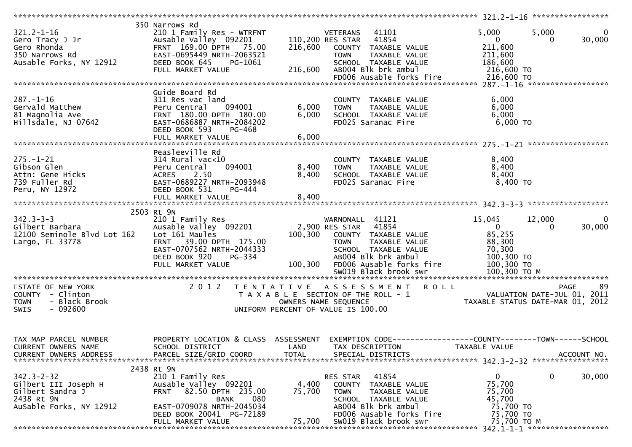|                               | 350 Narrows Rd                   |              |                                                              |                             |                                  |
|-------------------------------|----------------------------------|--------------|--------------------------------------------------------------|-----------------------------|----------------------------------|
| $321.2 - 1 - 16$              | 210 1 Family Res - WTRFNT        |              | 41101<br>VETERANS                                            | 5,000                       | 5,000<br>$\overline{0}$          |
| Gero Tracy J Jr               | Ausable Valley 092201            |              | 110,200 RES STAR 41854                                       | $\mathbf{0}$                | 30,000<br>$\Omega$               |
| Gero Rhonda                   | FRNT 169.00 DPTH 75.00           | 216,600      | COUNTY TAXABLE VALUE                                         | 211,600                     |                                  |
| 350 Narrows Rd                | EAST-0695449 NRTH-2063521        |              | <b>TOWN</b><br>TAXABLE VALUE                                 | 211,600                     |                                  |
| Ausable Forks, NY 12912       | DEED BOOK 645<br>PG-1061         |              | SCHOOL TAXABLE VALUE                                         | 186,600                     |                                  |
|                               |                                  | 216,600      | AB004 Blk brk ambul                                          | 216,600 TO                  |                                  |
|                               | FULL MARKET VALUE                |              |                                                              |                             |                                  |
|                               |                                  |              |                                                              |                             |                                  |
|                               |                                  |              |                                                              |                             |                                  |
|                               | Guide Board Rd                   |              |                                                              |                             |                                  |
| $287. - 1 - 16$               | 311 Res vac land                 |              | COUNTY TAXABLE VALUE                                         | 6,000                       |                                  |
| Gervald Matthew               | Peru Central<br>094001           | 6,000        | <b>TOWN</b><br>TAXABLE VALUE                                 | 6,000                       |                                  |
| 81 Magnolia Ave               | FRNT 180.00 DPTH 180.00          | 6,000        | SCHOOL TAXABLE VALUE                                         | 6,000                       |                                  |
| Hillsdale, NJ 07642           | EAST-0686887 NRTH-2084202        |              | FD025 Saranac Fire                                           | $6,000$ TO                  |                                  |
|                               | DEED BOOK 593<br>PG-468          |              |                                                              |                             |                                  |
|                               | FULL MARKET VALUE                | 6,000        |                                                              |                             |                                  |
|                               |                                  |              |                                                              |                             |                                  |
|                               | Peasleeville Rd                  |              |                                                              |                             |                                  |
| $275. - 1 - 21$               | 314 Rural vac<10                 |              |                                                              | 8,400                       |                                  |
|                               |                                  |              | COUNTY TAXABLE VALUE                                         |                             |                                  |
| Gibson Glen                   | 094001<br>Peru Central           | 8,400        | <b>TOWN</b><br>TAXABLE VALUE                                 | 8,400                       |                                  |
| Attn: Gene Hicks              | ACRES<br>2.50                    | 8,400        | SCHOOL TAXABLE VALUE                                         | 8,400                       |                                  |
| 739 Fuller Rd                 | EAST-0689227 NRTH-2093948        |              | FD025 Saranac Fire                                           | 8,400 TO                    |                                  |
| Peru, NY 12972                | DEED BOOK 531<br>PG-444          |              |                                                              |                             |                                  |
|                               | FULL MARKET VALUE                | 8,400        |                                                              |                             |                                  |
|                               |                                  |              |                                                              |                             |                                  |
|                               | 2503 Rt 9N                       |              |                                                              |                             |                                  |
| $342.3 - 3 - 3$               | 210 1 Family Res                 |              | WARNONALL 41121                                              | 15,045                      | 12,000<br>$\bf{0}$               |
| Gilbert Barbara               | Ausable Valley 092201            |              | 2,900 RES STAR<br>41854                                      | $\mathbf{0}$                | 30,000<br>$\Omega$               |
| 12100 Seminole Blvd Lot 162   | Lot 161 Maules                   | 100,300      | COUNTY TAXABLE VALUE                                         | 85,255                      |                                  |
| Largo, FL 33778               | FRNT 39.00 DPTH 175.00           |              | TAXABLE VALUE<br><b>TOWN</b>                                 | 88,300                      |                                  |
|                               | EAST-0707562 NRTH-2044333        |              | SCHOOL TAXABLE VALUE                                         | 70,300                      |                                  |
|                               | DEED BOOK 920<br>PG-334          |              | ABOO4 Blk brk ambul                                          | 100,300 TO                  |                                  |
|                               |                                  |              |                                                              |                             |                                  |
|                               | FULL MARKET VALUE                | 100,300      | FD006 Ausable forks fire                                     | 100,300 TO                  |                                  |
|                               |                                  |              |                                                              |                             |                                  |
|                               |                                  |              |                                                              |                             |                                  |
| STATE OF NEW YORK             |                                  |              | 2012 TENTATIVE ASSESSMENT<br>R O L L                         |                             | -89<br><b>PAGE</b>               |
| COUNTY - Clinton              |                                  |              | T A X A B L E SECTION OF THE ROLL - 1                        | VALUATION DATE-JUL 01, 2011 |                                  |
| - Black Brook<br><b>TOWN</b>  |                                  |              | OWNERS NAME SEQUENCE                                         |                             | TAXABLE STATUS DATE-MAR 01, 2012 |
| $-092600$<br><b>SWIS</b>      |                                  |              | UNIFORM PERCENT OF VALUE IS 100.00                           |                             |                                  |
|                               |                                  |              |                                                              |                             |                                  |
|                               |                                  |              |                                                              |                             |                                  |
|                               |                                  |              |                                                              |                             |                                  |
| TAX MAP PARCEL NUMBER         | PROPERTY LOCATION & CLASS        | ASSESSMENT   | EXEMPTION CODE-----------------COUNTY-------TOWN------SCHOOL |                             |                                  |
| <b>CURRENT OWNERS NAME</b>    | SCHOOL DISTRICT                  | LAND         | TAX DESCRIPTION                                              | TAXABLE VALUE               |                                  |
| <b>CURRENT OWNERS ADDRESS</b> | PARCEL SIZE/GRID COORD           | <b>TOTAL</b> | SPECIAL DISTRICTS                                            |                             | ACCOUNT NO.                      |
|                               |                                  |              |                                                              |                             |                                  |
|                               | 2438 Rt 9N                       |              |                                                              |                             |                                  |
|                               |                                  |              |                                                              |                             |                                  |
| $342.3 - 2 - 32$              | 210 1 Family Res                 |              | 41854<br><b>RES STAR</b>                                     | $\mathbf{0}$                | 0<br>30,000                      |
| Gilbert III Joseph H          | Ausable Valley 092201            | 4,400        | COUNTY<br>TAXABLE VALUE                                      | 75,700                      |                                  |
| Gilbert Sandra J              | 82.50 DPTH 235.00<br><b>FRNT</b> | 75,700       | <b>TOWN</b><br>TAXABLE VALUE                                 | 75,700                      |                                  |
| 2438 Rt 9N                    | 080<br><b>BANK</b>               |              | SCHOOL TAXABLE VALUE                                         | 45,700                      |                                  |
| AuSable Forks, NY 12912       | EAST-0709078 NRTH-2045034        |              | AB004 Blk brk ambul                                          | 75,700 TO                   |                                  |
|                               | DEED BOOK 20041 PG-72189         |              | FD006 Ausable forks fire                                     | 75,700 TO                   |                                  |
|                               | FULL MARKET VALUE                | 75,700       | SW019 Black brook swr                                        | 75,700 TO M                 |                                  |
|                               |                                  |              |                                                              |                             |                                  |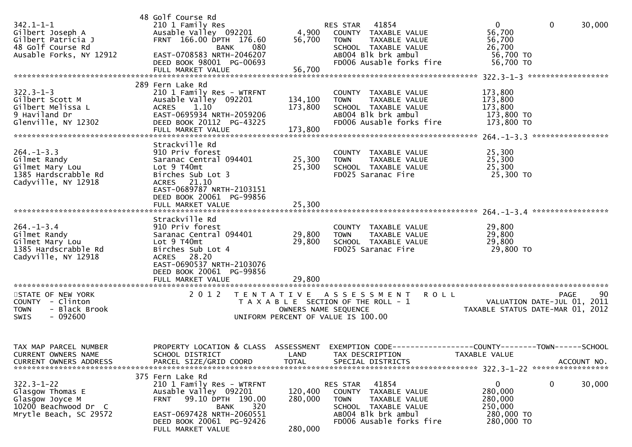| $342.1 - 1 - 1$<br>Gilbert Joseph A<br>Gilbert Patricia J<br>48 Golf Course Rd<br>Ausable Forks, NY 12912 | 48 Golf Course Rd<br>210 1 Family Res<br>Ausable Valley 092201<br>FRNT 166.00 DPTH 176.60<br>080<br><b>BANK</b><br>EAST-0708583 NRTH-2046207<br>DEED BOOK 98001 PG-00693                                | 4,900<br>56,700               | RES STAR 41854<br>COUNTY TAXABLE VALUE<br><b>TOWN</b><br>TAXABLE VALUE<br>SCHOOL TAXABLE VALUE<br>AB004 Blk brk ambul<br>FD006 Ausable forks fire              | 0<br>$\Omega$<br>30,000<br>56,700<br>56,700<br>26,700<br>56,700 TO<br>56,700 TO               |    |
|-----------------------------------------------------------------------------------------------------------|---------------------------------------------------------------------------------------------------------------------------------------------------------------------------------------------------------|-------------------------------|----------------------------------------------------------------------------------------------------------------------------------------------------------------|-----------------------------------------------------------------------------------------------|----|
|                                                                                                           | FULL MARKET VALUE                                                                                                                                                                                       | 56,700                        |                                                                                                                                                                |                                                                                               |    |
| $322.3 - 1 - 3$<br>Gilbert Scott M<br>Gilbert Melissa L<br>9 Haviland Dr<br>Glenville, NY 12302           | 289 Fern Lake Rd<br>210 1 Family Res - WTRFNT<br>Ausable Valley 092201<br>ACRES 1.10<br>EAST-0695934 NRTH-2059206<br>DEED BOOK 20112 PG-43225<br>FULL MARKET VALUE                                      | 134,100<br>173,800<br>173,800 | COUNTY TAXABLE VALUE<br>TAXABLE VALUE<br><b>TOWN</b><br>SCHOOL TAXABLE VALUE<br>AB004 Blk brk ambul<br>FD006 Ausable forks fire                                | 173,800<br>173,800<br>173,800<br>173,800 TO<br>173,800 TO                                     |    |
| $264. -1 - 3.3$<br>Gilmet Randy<br>Gilmet Mary Lou<br>1385 Hardscrabble Rd<br>Cadyville, NY 12918         | Strackville Rd<br>910 Priv forest<br>Saranac Central 094401<br>Lot 9 T40mt<br>Birches Sub Lot 3<br>ACRES 21.10<br>EAST-0689787 NRTH-2103151<br>DEED BOOK 20061 PG-99856<br>FULL MARKET VALUE            | 25,300<br>25,300<br>25,300    | COUNTY TAXABLE VALUE<br><b>TOWN</b><br>TAXABLE VALUE<br>SCHOOL TAXABLE VALUE<br>FD025 Saranac Fire                                                             | 25,300<br>25,300<br>25,300<br>25,300 TO                                                       |    |
| $264. -1 - 3.4$<br>Gilmet Randy<br>Gilmet Mary Lou<br>1385 Hardscrabble Rd<br>Cadyville, NY 12918         | Strackville Rd<br>910 Priv forest<br>Saranac Central 094401<br>Lot 9 T40mt<br>Birches Sub Lot 4<br>ACRES 28.20<br>EAST-0690537 NRTH-2103076<br>DEED BOOK 20061 PG-99856<br>FULL MARKET VALUE            | 29,800<br>29,800<br>29,800    | COUNTY TAXABLE VALUE<br>TAXABLE VALUE<br><b>TOWN</b><br>SCHOOL TAXABLE VALUE<br>FD025 Saranac Fire                                                             | 29,800<br>29,800<br>29,800<br>29,800 TO                                                       |    |
| STATE OF NEW YORK<br>COUNTY - Clinton<br>- Black Brook<br><b>TOWN</b><br>$-092600$<br>SWIS                | 2 0 1 2                                                                                                                                                                                                 | OWNERS NAME SEQUENCE          | TENTATIVE ASSESSMENT<br><b>ROLL</b><br>T A X A B L E SECTION OF THE ROLL - 1<br>UNIFORM PERCENT OF VALUE IS 100.00                                             | PAGE<br>VALUATION DATE-JUL 01, 2011<br>TAXABLE STATUS DATE-MAR 01, 2012                       | 90 |
| TAX MAP PARCEL NUMBER<br>CURRENT OWNERS NAME<br><b>CURRENT OWNERS ADDRESS</b>                             | PROPERTY LOCATION & CLASS ASSESSMENT<br>SCHOOL DISTRICT<br>PARCEL SIZE/GRID COORD                                                                                                                       | LAND<br><b>TOTAL</b>          | TAX DESCRIPTION<br>SPECIAL DISTRICTS                                                                                                                           | EXEMPTION CODE-----------------COUNTY--------TOWN------SCHOOL<br>TAXABLE VALUE<br>ACCOUNT NO. |    |
| $322.3 - 1 - 22$<br>Glasgow Thomas E<br>Glasgow Joyce M<br>10200 Beachwood Dr C<br>Mrytle Beach, SC 29572 | 375 Fern Lake Rd<br>210 1 Family Res - WTRFNT<br>Ausable Valley 092201<br>99.10 DPTH 190.00<br><b>FRNT</b><br>320<br>BANK<br>EAST-0697428 NRTH-2060551<br>DEED BOOK 20061 PG-92426<br>FULL MARKET VALUE | 120,400<br>280,000<br>280,000 | 41854<br>RES STAR<br>TAXABLE VALUE<br><b>COUNTY</b><br><b>TOWN</b><br>TAXABLE VALUE<br>SCHOOL TAXABLE VALUE<br>AB004 Blk brk ambul<br>FD006 Ausable forks fire | 0<br>0<br>30,000<br>280,000<br>280,000<br>250,000<br>280,000 TO<br>280,000 TO                 |    |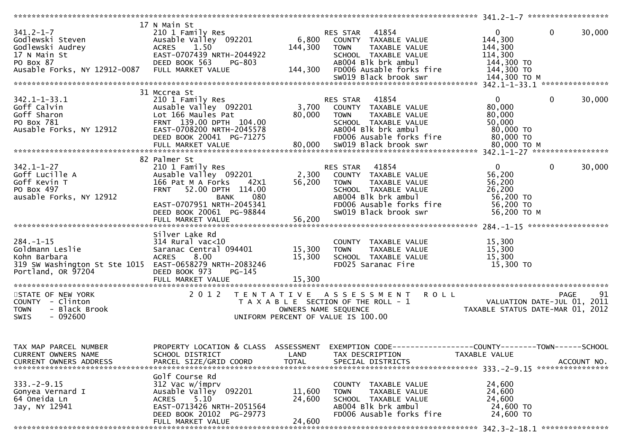|                                                         | 17 N Main St                         |                      |                                                               |                                  |                        |
|---------------------------------------------------------|--------------------------------------|----------------------|---------------------------------------------------------------|----------------------------------|------------------------|
| $341.2 - 1 - 7$                                         | 210 1 Family Res                     |                      | 41854<br>RES STAR                                             | $\mathbf{0}$                     | $\mathbf{0}$<br>30,000 |
| Godlewski Steven                                        | Ausable Valley 092201                | 6,800                | COUNTY TAXABLE VALUE                                          | 144,300                          |                        |
| Godlewski Audrey                                        | 1.50<br><b>ACRES</b>                 | 144,300              | TAXABLE VALUE<br><b>TOWN</b>                                  | 144,300                          |                        |
| 17 N Main St                                            | EAST-0707439 NRTH-2044922            |                      | SCHOOL TAXABLE VALUE                                          | 114,300                          |                        |
| PO Box 87                                               | DEED BOOK 563<br><b>PG-803</b>       |                      | AB004 Blk brk ambul                                           | 144,300 TO                       |                        |
| Ausable Forks, NY 12912-0087                            | FULL MARKET VALUE                    | 144,300              | FD006 Ausable forks fire                                      | 144,300 TO                       |                        |
|                                                         |                                      |                      | SW019 Black brook swr                                         | 144,300 ТО М                     |                        |
|                                                         |                                      |                      |                                                               |                                  |                        |
|                                                         | 31 Mccrea St                         |                      |                                                               |                                  |                        |
| $342.1 - 1 - 33.1$                                      | 210 1 Family Res                     |                      | 41854<br>RES STAR                                             | $\mathbf{0}$                     | $\mathbf{0}$<br>30,000 |
| Goff Calvin                                             | Ausable Valley 092201                | 3,700                | COUNTY TAXABLE VALUE                                          | 80,000                           |                        |
| Goff Sharon                                             | Lot 166 Maules Pat                   | 80,000               | <b>TAXABLE VALUE</b><br><b>TOWN</b>                           | 80,000                           |                        |
| PO Box 781                                              | FRNT 139.00 DPTH 104.00              |                      | SCHOOL TAXABLE VALUE                                          | 50,000                           |                        |
| Ausable Forks, NY 12912                                 | EAST-0708200 NRTH-2045578            |                      | AB004 Blk brk ambul                                           | 80,000 TO                        |                        |
|                                                         | DEED BOOK 20041 PG-71275             |                      | FD006 Ausable forks fire                                      | 80,000 TO                        |                        |
|                                                         |                                      |                      |                                                               |                                  |                        |
|                                                         |                                      |                      |                                                               |                                  |                        |
|                                                         | 82 Palmer St                         |                      |                                                               |                                  |                        |
| $342.1 - 1 - 27$                                        | 210 1 Family Res                     |                      | 41854<br>RES STAR                                             | $\overline{0}$                   | 0<br>30,000            |
| Goff Lucille A                                          | Ausable Valley 092201                | 2,300                | COUNTY TAXABLE VALUE                                          | 56,200                           |                        |
| Goff Kevin T                                            | 166 Pat M A Forks<br>42X1            | 56,200               | <b>TOWN</b><br>TAXABLE VALUE                                  | 56,200                           |                        |
| PO Box 497                                              | 52.00 DPTH 114.00<br><b>FRNT</b>     |                      | SCHOOL TAXABLE VALUE                                          | 26,200                           |                        |
| ausable Forks, NY 12912                                 | 080<br><b>BANK</b>                   |                      | AB004 Blk brk ambul                                           | 56,200 TO                        |                        |
|                                                         | EAST-0707951 NRTH-2045341            |                      | FD006 Ausable forks fire                                      | 56,200 TO                        |                        |
|                                                         | DEED BOOK 20061 PG-98844             |                      | SW019 Black brook swr                                         | 56,200 TO M                      |                        |
|                                                         | FULL MARKET VALUE                    | 56,200               |                                                               |                                  |                        |
|                                                         |                                      |                      |                                                               |                                  |                        |
|                                                         | Silver Lake Rd                       |                      |                                                               |                                  |                        |
| $284. - 1 - 15$                                         | $314$ Rural vac<10                   |                      | COUNTY TAXABLE VALUE                                          | 15,300                           |                        |
| Goldmann Leslie                                         | Saranac Central 094401               | 15,300               | TAXABLE VALUE<br><b>TOWN</b>                                  | 15,300                           |                        |
| Kohn Barbara                                            | 8.00<br><b>ACRES</b>                 | 15,300               | SCHOOL TAXABLE VALUE                                          | 15,300                           |                        |
| 319 SW Washington St Ste 1015 EAST-0658279 NRTH-2083246 |                                      |                      | FD025 Saranac Fire                                            | 15,300 TO                        |                        |
| Portland, OR 97204                                      | DEED BOOK 973<br>$PG-145$            |                      |                                                               |                                  |                        |
|                                                         |                                      |                      |                                                               |                                  |                        |
|                                                         |                                      |                      |                                                               |                                  |                        |
| STATE OF NEW YORK                                       | 2 0 1 2                              | T E N T A T I V E    | <b>ROLL</b><br>A S S E S S M E N T                            |                                  | 91<br><b>PAGE</b>      |
| COUNTY - Clinton                                        |                                      | OWNERS NAME SEQUENCE | T A X A B L E SECTION OF THE ROLL - 1                         | VALUATION DATE-JUL 01,           | 2011                   |
| <b>TOWN</b><br>- Black Brook<br><b>SWIS</b>             |                                      |                      | UNIFORM PERCENT OF VALUE IS 100.00                            | TAXABLE STATUS DATE-MAR 01, 2012 |                        |
| - 092600                                                |                                      |                      |                                                               |                                  |                        |
|                                                         |                                      |                      |                                                               |                                  |                        |
|                                                         |                                      |                      |                                                               |                                  |                        |
| TAX MAP PARCEL NUMBER                                   | PROPERTY LOCATION & CLASS ASSESSMENT |                      | EXEMPTION CODE-----------------COUNTY--------TOWN------SCHOOL |                                  |                        |
| CURRENT OWNERS NAME                                     | SCHOOL DISTRICT                      | LAND                 | TAX DESCRIPTION                                               | TAXABLE VALUE                    |                        |
| CURRENT OWNERS ADDRESS                                  | PARCEL SIZE/GRID COORD               | <b>TOTAL</b>         | SPECIAL DISTRICTS                                             |                                  | ACCOUNT NO.            |
|                                                         |                                      |                      |                                                               |                                  |                        |
|                                                         | Golf Course Rd                       |                      |                                                               |                                  |                        |
| $333. - 2 - 9.15$                                       | 312 Vac w/imprv                      |                      | TAXABLE VALUE<br><b>COUNTY</b>                                | 24,600                           |                        |
| Gonyea Vernard I                                        | Ausable Valley 092201                | 11,600               | TAXABLE VALUE<br><b>TOWN</b>                                  | 24,600                           |                        |
| 64 Oneida Ln                                            | 5.10<br><b>ACRES</b>                 | 24,600               | SCHOOL TAXABLE VALUE                                          | 24,600                           |                        |
| Jay, NY 12941                                           | EAST-0713426 NRTH-2051564            |                      | AB004 Blk brk ambul                                           | 24,600 TO                        |                        |
|                                                         | DEED BOOK 20102 PG-29773             |                      | FD006 Ausable forks fire                                      | 24,600 TO                        |                        |
|                                                         | FULL MARKET VALUE                    | 24,600               |                                                               |                                  |                        |
|                                                         |                                      |                      |                                                               |                                  | ***************        |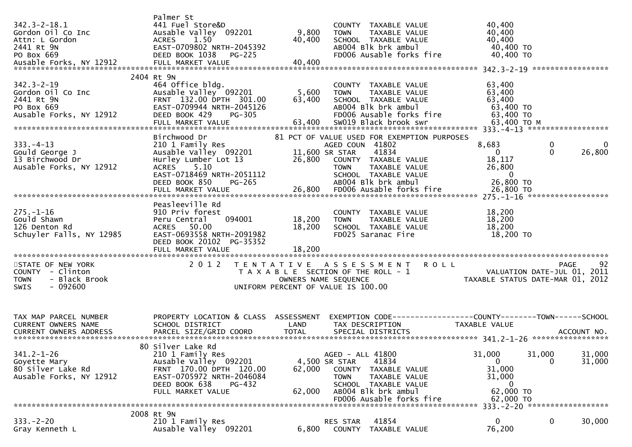| Palmer St<br>$342.3 - 2 - 18.1$<br>441 Fuel Store&D<br>9,800<br>Gordon Oil Co Inc<br>Ausable Valley 092201<br>Attn: L Gordon<br><b>ACRES</b><br>1.50<br>40,400<br>2441 Rt 9N<br>PO Box 669<br>ABOO4 Blk brk ambul 2014 ADO 40,400 TO<br>ABOO4 Blk brk ambul 2014 ADO 40,400 TO<br>Ausable Forks, NY 12912 FULL MARKET VALUE 40,400<br>Awstram Ann 2014 ADD 40,400<br>Awstram ADO 400 HD 40,400<br>ARCEL MARKET | 40,400<br>COUNTY TAXABLE VALUE<br>40,400<br><b>TOWN</b><br>TAXABLE VALUE<br>40,400<br>SCHOOL TAXABLE VALUE                                                                                                                                                                                                                       |
|----------------------------------------------------------------------------------------------------------------------------------------------------------------------------------------------------------------------------------------------------------------------------------------------------------------------------------------------------------------------------------------------------------------|----------------------------------------------------------------------------------------------------------------------------------------------------------------------------------------------------------------------------------------------------------------------------------------------------------------------------------|
| 2404 Rt 9N<br>$342.3 - 2 - 19$<br>464 Office bldg.<br>5,600<br>Gordon Oil Co Inc<br>Ausable Valley 092201<br>2441 Rt 9N<br>FRNT 132.00 DPTH 301.00<br>63,400<br>EAST-0709944 NRTH-2045126<br>PO Box 669<br>Ausable Forks, NY 12912<br>DEED BOOK 429<br>PG-305                                                                                                                                                  | 63,400<br>COUNTY TAXABLE VALUE<br>63,400<br><b>TOWN</b><br>TAXABLE VALUE<br>SCHOOL TAXABLE VALUE<br>63,400<br>AB004 Blk brk ambul<br>63,400 TO<br>FD006 Ausable forks fire<br>63,400 TO                                                                                                                                          |
| Birchwood Dr<br>$333. -4 - 13$<br>210 1 Family Res<br>Gould George J<br>Ausable Valley 092201<br>13 Birchwood Dr<br>Hurley Lumber Lot 13<br>26,800<br>ACRES 5.10<br>Ausable Forks, NY 12912<br>EAST-0718469 NRTH-2051112<br>DEED BOOK 850<br>PG-265<br>26,800 FDOO6 Ausable forks fire 26,800 70<br>FULL MARKET VALUE 26,800 70 26,800 FDOO6 Ausable forks fire 26,800 70                                      | 81 PCT OF VALUE USED FOR EXEMPTION PURPOSES<br>$\mathbf 0$<br>8,683<br>AGED COUN 41802<br>- 0<br>41834<br>26,800<br>11,600 SR STAR<br>$\overline{0}$<br>$\overline{0}$<br>18,117<br>COUNTY TAXABLE VALUE<br>26,800<br><b>TOWN</b><br>TAXABLE VALUE<br>$\overline{0}$<br>SCHOOL TAXABLE VALUE<br>26,800 TO<br>AB004 Blk brk ambul |
| Peasleeville Rd<br>$275. - 1 - 16$<br>910 Priv forest<br>Gould Shawn<br>094001<br>18,200<br>Peru Central<br>18,200<br>126 Denton Rd<br>ACRES 50.00<br>EAST-0693558 NRTH-2091982<br>Schuyler Falls, NY 12985<br>DEED BOOK 20102 PG-35352<br>18,200<br>FULL MARKET VALUE                                                                                                                                         | 18,200<br>COUNTY TAXABLE VALUE<br>18,200<br>TAXABLE VALUE<br><b>TOWN</b><br>SCHOOL TAXABLE VALUE<br>18,200<br>FD025 Saranac Fire<br>18,200 TO                                                                                                                                                                                    |
| STATE OF NEW YORK<br>2 0 1 2<br>T E N T A T I V E<br>COUNTY - Clinton<br>- Black Brook<br><b>TOWN</b><br>$-092600$<br><b>SWIS</b><br>UNIFORM PERCENT OF VALUE IS 100.00                                                                                                                                                                                                                                        | A S S E S S M E N T R O L L<br>92<br>PAGE<br>VALUATION DATE-JUL 01, 2011<br>TAXABLE STATUS DATE-MAR 01, 2012<br>T A X A B L E SECTION OF THE ROLL - 1<br>OWNERS NAME SEQUENCE                                                                                                                                                    |
| PROPERTY LOCATION & CLASS ASSESSMENT<br>TAX MAP PARCEL NUMBER<br>CURRENT OWNERS NAME<br>SCHOOL DISTRICT<br>LAND<br><b>TOTAL</b><br>PARCEL SIZE/GRID COORD<br><b>CURRENT OWNERS ADDRESS</b>                                                                                                                                                                                                                     | EXEMPTION CODE------------------COUNTY--------TOWN------SCHOOL<br>TAX DESCRIPTION<br>TAXABLE VALUE<br>SPECIAL DISTRICTS<br>ACCOUNT NO.                                                                                                                                                                                           |
| 80 Silver Lake Rd<br>$341.2 - 1 - 26$<br>210 1 Family Res<br>Ausable Valley 092201<br>Goyette Mary<br>80 Silver Lake Rd<br>FRNT 170.00 DPTH 120.00<br>62,000<br>Ausable Forks, NY 12912<br>EAST-0705972 NRTH-2046084<br>DEED BOOK 638<br>PG-432<br>FULL MARKET VALUE<br>62,000                                                                                                                                 | 31,000<br>AGED - ALL 41800<br>31,000<br>31,000<br>$\mathbf{0}$<br>31,000<br>4,500 SR STAR<br>41834<br>0<br>31,000<br>COUNTY<br>TAXABLE VALUE<br>TAXABLE VALUE<br>31,000<br><b>TOWN</b><br>SCHOOL TAXABLE VALUE<br>$\bf{0}$<br>AB004 Blk brk ambul<br>62,000 TO<br>FD006 Ausable forks fire<br>62,000 TO                          |
| 2008 Rt 9N<br>$333. - 2 - 20$<br>210 1 Family Res<br>Ausable Valley 092201<br>6,800<br>Gray Kenneth L                                                                                                                                                                                                                                                                                                          | 333. - 2 - 20 *******************<br>41854<br>$\Omega$<br>$\mathbf 0$<br>30,000<br>RES STAR<br>76,200<br>COUNTY<br>TAXABLE VALUE                                                                                                                                                                                                 |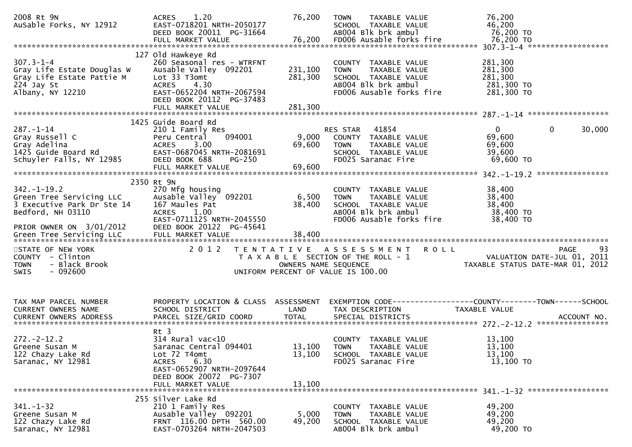| 2008 Rt 9N<br>AuSable Forks, NY 12912                                                                                        | 1.20<br><b>ACRES</b><br>EAST-0718201 NRTH-2050177<br>DEED BOOK 20011 PG-31664                                                                                                                  | 76,200                        | <b>TOWN</b><br>TAXABLE VALUE<br>SCHOOL TAXABLE VALUE<br>AB004 Blk brk ambul                                                     | 76,200<br>46,200<br>76,200 TO                                                                       |
|------------------------------------------------------------------------------------------------------------------------------|------------------------------------------------------------------------------------------------------------------------------------------------------------------------------------------------|-------------------------------|---------------------------------------------------------------------------------------------------------------------------------|-----------------------------------------------------------------------------------------------------|
| $307.3 - 1 - 4$<br>Gray Life Estate Douglas W<br>Gray Life Estate Pattie M<br>224 Jay St<br>Albany, NY 12210                 | 127 Old Hawkeye Rd<br>260 Seasonal res - WTRFNT<br>Ausable Valley 092201<br>Lot 33 T3omt<br><b>ACRES</b><br>4.30<br>EAST-0652204 NRTH-2067594<br>DEED BOOK 20112 PG-37483<br>FULL MARKET VALUE | 231,100<br>281,300<br>281,300 | COUNTY TAXABLE VALUE<br>TAXABLE VALUE<br><b>TOWN</b><br>SCHOOL TAXABLE VALUE<br>AB004 Blk brk ambul<br>FD006 Ausable forks fire | 281,300<br>281,300<br>281,300<br>281,300 TO<br>281,300 TO                                           |
|                                                                                                                              |                                                                                                                                                                                                |                               |                                                                                                                                 |                                                                                                     |
| $287. - 1 - 14$<br>Gray Russell C<br>Gray Adelina<br>1425 Guide Board Rd<br>Schuyler Falls, NY 12985                         | 1425 Guide Board Rd<br>210 1 Family Res<br>094001<br>Peru Central<br>ACRES 3.00<br>EAST-0687045 NRTH-2081691<br>DEED BOOK 688<br>$PG-250$<br>FULL MARKET VALUE                                 | 9,000<br>69,600<br>69,600     | 41854<br>RES STAR<br>COUNTY TAXABLE VALUE<br>TAXABLE VALUE<br><b>TOWN</b><br>SCHOOL TAXABLE VALUE<br>FD025 Saranac Fire         | $\mathbf{0}$<br>30,000<br>0<br>69,600<br>69,600<br>39,600<br>$69,600$ TO                            |
|                                                                                                                              | 2350 Rt 9N                                                                                                                                                                                     |                               |                                                                                                                                 |                                                                                                     |
| $342. - 1 - 19.2$<br>Green Tree Servicing LLC<br>3 Executive Park Dr Ste 14<br>Bedford, NH 03110<br>PRIOR OWNER ON 3/01/2012 | 270 Mfg housing<br>Ausable Valley 092201<br>167 Maules Pat<br>1.00<br><b>ACRES</b><br>EAST-0711125 NRTH-2045550<br>DEED BOOK 20122 PG-45641                                                    | 6,500<br>38,400               | COUNTY TAXABLE VALUE<br>TAXABLE VALUE<br><b>TOWN</b><br>SCHOOL TAXABLE VALUE<br>AB004 Blk brk ambul<br>FD006 Ausable forks fire | 38,400<br>38,400<br>38,400<br>38,400 TO<br>38,400 TO                                                |
|                                                                                                                              |                                                                                                                                                                                                |                               |                                                                                                                                 |                                                                                                     |
| STATE OF NEW YORK<br>COUNTY - Clinton<br>- Black Brook<br><b>TOWN</b><br>- 092600<br><b>SWIS</b>                             | 2 0 1 2                                                                                                                                                                                        | OWNERS NAME SEQUENCE          | TENTATIVE ASSESSMENT<br><b>ROLL</b><br>T A X A B L E SECTION OF THE ROLL - 1<br>UNIFORM PERCENT OF VALUE IS 100.00              | 93<br>PAGE<br>VALUATION DATE-JUL 01, 2011<br>TAXABLE STATUS DATE-MAR 01, 2012                       |
| TAX MAP PARCEL NUMBER<br>CURRENT OWNERS NAME<br>CURRENT OWNERS ADDRESS                                                       | PROPERTY LOCATION & CLASS ASSESSMENT<br>SCHOOL DISTRICT<br>PARCEL SIZE/GRID COORD                                                                                                              | LAND<br><b>TOTAL</b>          | TAX DESCRIPTION<br>SPECIAL DISTRICTS                                                                                            | EXEMPTION CODE-----------------COUNTY-------TOWN------SCHOOL<br><b>TAXABLE VALUE</b><br>ACCOUNT NO. |
| $272. - 2 - 12.2$<br>Greene Susan M<br>122 Chazy Lake Rd<br>Saranac, NY 12981                                                | $Rt$ 3<br>$314$ Rural vac<10<br>Saranac Central 094401<br>Lot 72 T4omt<br>6.30<br><b>ACRES</b><br>EAST-0652907 NRTH-2097644<br>DEED BOOK 20072 PG-7307<br>FULL MARKET VALUE                    | 13,100<br>13,100              | COUNTY TAXABLE VALUE<br>13,100 TOWN TAXABLE VALUE<br>SCHOOL TAXABLE VALUE<br>FD025 Saranac Fire                                 | 13,100<br>13,100<br>13,100<br>13,100 TO                                                             |
| $341 - 1 - 32$<br>Greene Susan M<br>122 Chazy Lake Rd<br>Saranac, NY 12981                                                   | 255 Silver Lake Rd<br>210 1 Family Res<br>Ausable Valley 092201<br>FRNT 116.00 DPTH 560.00<br>EAST-0703264 NRTH-2047503                                                                        | 5,000<br>49,200               | COUNTY TAXABLE VALUE<br>TAXABLE VALUE<br><b>TOWN</b><br>SCHOOL TAXABLE VALUE<br>AB004 Blk brk ambul                             | 49,200<br>49,200<br>49,200<br>49,200 TO                                                             |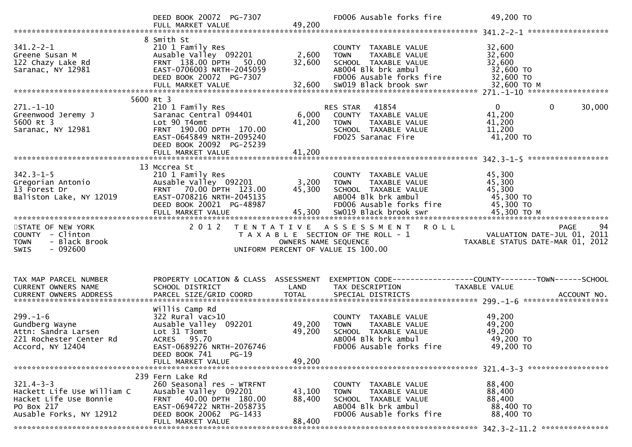|                              | DEED BOOK 20072 PG-7307<br>FULL MARKET VALUE       | 49,200               | FD006 Ausable forks fire              | 49,200 TO                                                                                                                                  |
|------------------------------|----------------------------------------------------|----------------------|---------------------------------------|--------------------------------------------------------------------------------------------------------------------------------------------|
|                              |                                                    |                      |                                       |                                                                                                                                            |
|                              | 8 Smith St                                         |                      |                                       |                                                                                                                                            |
| $341.2 - 2 - 1$              | 210 1 Family Res                                   |                      | COUNTY TAXABLE VALUE                  | 32,600                                                                                                                                     |
| Greene Susan M               | Ausable Valley 092201                              | 2,600                | TAXABLE VALUE<br><b>TOWN</b>          | 32,600                                                                                                                                     |
| 122 Chazy Lake Rd            | FRNT 138.00 DPTH<br>50.00                          | 32,600               | SCHOOL TAXABLE VALUE                  | 32,600                                                                                                                                     |
| Saranac, NY 12981            | EAST-0706003 NRTH-2045059                          |                      | AB004 Blk brk ambul                   | 32,600 TO                                                                                                                                  |
|                              | DEED BOOK 20072 PG-7307                            |                      | FD006 Ausable forks fire              | 32,600 TO                                                                                                                                  |
|                              | FULL MARKET VALUE                                  | 32,600               | SW019 Black brook swr                 | 32,600 TO M                                                                                                                                |
|                              |                                                    |                      |                                       |                                                                                                                                            |
|                              | 5600 Rt 3                                          |                      |                                       |                                                                                                                                            |
| $271. - 1 - 10$              | 210 1 Family Res                                   |                      | 41854<br>RES STAR                     | $\overline{0}$<br>$\mathbf{0}$<br>30,000                                                                                                   |
| Greenwood Jeremy J           | Saranac Central 094401                             | 6,000                | COUNTY TAXABLE VALUE                  | 41,200                                                                                                                                     |
| 5600 Rt 3                    | Lot 90 T4omt                                       | 41,200               | TAXABLE VALUE<br><b>TOWN</b>          | 41,200                                                                                                                                     |
| Saranac, NY 12981            | FRNT 190.00 DPTH 170.00                            |                      | SCHOOL TAXABLE VALUE                  | 11,200                                                                                                                                     |
|                              | EAST-0645849 NRTH-2095240                          |                      | FD025 Saranac Fire                    | 41,200 TO                                                                                                                                  |
|                              | DEED BOOK 20092 PG-25239                           |                      |                                       |                                                                                                                                            |
|                              |                                                    |                      |                                       |                                                                                                                                            |
|                              |                                                    |                      |                                       |                                                                                                                                            |
|                              | 13 Mccrea St                                       |                      |                                       |                                                                                                                                            |
| $342.3 - 1 - 5$              | 210 1 Family Res                                   |                      | COUNTY TAXABLE VALUE                  | 45,300                                                                                                                                     |
| Gregorian Antonio            | Ausable Valley 092201                              | 3,200                | <b>TOWN</b><br>TAXABLE VALUE          | 45,300                                                                                                                                     |
| 13 Forest Dr                 | FRNT 70.00 DPTH 123.00                             | 45,300               | SCHOOL TAXABLE VALUE                  | 45,300                                                                                                                                     |
| Baliston Lake, NY 12019      | EAST-0708216 NRTH-2045135                          |                      | AB004 Blk brk ambul                   | 45,300 TO                                                                                                                                  |
|                              | DEED BOOK 20021 PG-48987                           |                      | FD006 Ausable forks fire              | 45,300 TO                                                                                                                                  |
|                              | FULL MARKET VALUE                                  | 45,300               | SW019 Black brook swr                 | 45,300 ТО М                                                                                                                                |
|                              |                                                    |                      |                                       |                                                                                                                                            |
|                              |                                                    |                      |                                       |                                                                                                                                            |
| STATE OF NEW YORK            | 2 0 1 2                                            |                      | TENTATIVE ASSESSMENT ROLL             | 94<br><b>PAGE</b>                                                                                                                          |
| COUNTY - Clinton             |                                                    |                      | T A X A B L E SECTION OF THE ROLL - 1 | VALUATION DATE-JUL 01, 2011                                                                                                                |
| <b>TOWN</b><br>- Black Brook |                                                    | OWNERS NAME SEQUENCE |                                       | VALUATION DATE-JUL 01, 2011<br>TAXABLE STATUS DATE-MAR 01, 2012                                                                            |
| - 092600<br>SWIS             |                                                    |                      | UNIFORM PERCENT OF VALUE IS 100.00    |                                                                                                                                            |
|                              |                                                    |                      |                                       |                                                                                                                                            |
|                              |                                                    |                      |                                       |                                                                                                                                            |
|                              |                                                    |                      |                                       |                                                                                                                                            |
| TAX MAP PARCEL NUMBER        | PROPERTY LOCATION & CLASS ASSESSMENT               |                      |                                       | EXEMPTION CODE-----------------COUNTY--------TOWN------SCHOOL                                                                              |
| CURRENT OWNERS NAME          | SCHOOL DISTRICT                                    | LAND                 | TAX DESCRIPTION                       | TAXABLE VALUE                                                                                                                              |
|                              |                                                    |                      |                                       |                                                                                                                                            |
|                              |                                                    |                      |                                       | CURRENT OWNERS ADDRESS PARCEL SIZE/GRID COORD TOTAL SPECIAL DISTRICTS (2001-0-01-01) ACCOUNT NO ACCOUNT NO ACCOUNT AND A SPECIAL DISTRICTS |
|                              | Willis Camp Rd                                     |                      |                                       |                                                                                                                                            |
| $299. - 1 - 6$               | 322 Rural vac>10                                   |                      | COUNTY TAXABLE VALUE                  | 49,200                                                                                                                                     |
| Gundberg Wayne               | Ausable Valley 092201                              | 49,200               | TAXABLE VALUE<br><b>TOWN</b>          | 49,200                                                                                                                                     |
| Attn: Sandra Larsen          | Lot 31 T3omt                                       | 49,200               | SCHOOL TAXABLE VALUE                  | 49,200                                                                                                                                     |
| 221 Rochester Center Rd      | ACRES 95.70                                        |                      | AB004 Blk brk ambul                   | 49,200 TO                                                                                                                                  |
| Accord, NY 12404             | EAST-0689276 NRTH-2076746                          |                      | FD006 Ausable forks fire              | 49,200 TO                                                                                                                                  |
|                              | DEED BOOK 741<br>$PG-19$                           |                      |                                       |                                                                                                                                            |
|                              | FULL MARKET VALUE                                  | 49,200               |                                       |                                                                                                                                            |
|                              | 239 Fern Lake Rd                                   |                      |                                       |                                                                                                                                            |
| $321.4 - 3 - 3$              |                                                    |                      | COUNTY TAXABLE VALUE                  |                                                                                                                                            |
| Hackett Life Use William C   | 260 Seasonal res - WTRFNT<br>Ausable Valley 092201 |                      | <b>TOWN</b><br>TAXABLE VALUE          | 88,400                                                                                                                                     |
| Hacket Life Use Bonnie       | FRNT 40.00 DPTH 180.00                             | 43,100<br>88,400     | SCHOOL TAXABLE VALUE                  | 88,400<br>88,400                                                                                                                           |
| PO Box 217                   | EAST-0694722 NRTH-2058735                          |                      | AB004 Blk brk ambul                   | 88,400 TO                                                                                                                                  |
| Ausable Forks, NY 12912      | DEED BOOK 20062 PG-1433                            |                      | FD006 Ausable forks fire              | 88,400 TO                                                                                                                                  |
|                              | FULL MARKET VALUE                                  | 88,400               |                                       |                                                                                                                                            |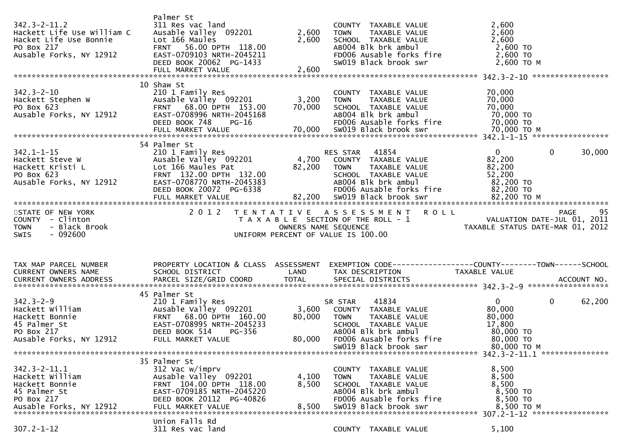| $342.3 - 2 - 11.2$<br>Hackett Life Use William C<br>Hacket Life Use Bonnie<br>PO Box 217<br>Ausable Forks, NY 12912 | Palmer St<br>311 Res vac land<br>Ausable Valley 092201<br>Lot 166 Maules<br>FRNT 56.00 DPTH 118.00<br>EAST-0709103 NRTH-2045211<br>DEED BOOK 20062 PG-1433         | 2,600<br>2,600       | COUNTY TAXABLE VALUE<br><b>TOWN</b><br>TAXABLE VALUE<br>SCHOOL TAXABLE VALUE<br>AB004 Blk brk ambul<br>FD006 Ausable forks fire<br>SW019 Black brook swr                           | 2,600<br>2,600<br>2,600<br>2,600 TO<br>2,600 TO<br>2,600 TO M                                                                                                                                             |     |
|---------------------------------------------------------------------------------------------------------------------|--------------------------------------------------------------------------------------------------------------------------------------------------------------------|----------------------|------------------------------------------------------------------------------------------------------------------------------------------------------------------------------------|-----------------------------------------------------------------------------------------------------------------------------------------------------------------------------------------------------------|-----|
| $342.3 - 2 - 10$<br>Hackett Stephen W<br>PO Box 623<br>PO Box 623<br>Ausable Forks, NY 12912                        | 10 Shaw St<br>210 1 Family Res<br>Ausable Valley 092201<br>FRNT 68.00 DPTH 153.00<br>EAST-0708996 NRTH-2045168<br>DEED BOOK 748<br>PG-16                           | 3,200 TOWN<br>70,000 | COUNTY TAXABLE VALUE<br>TAXABLE VALUE<br>SCHOOL TAXABLE VALUE<br>AB004 Blk brk ambul<br>FD006 Ausable forks fire                                                                   | 70,000<br>70,000<br>70,000<br>70,000 TO<br>70,000 TO                                                                                                                                                      |     |
| $342.1 - 1 - 15$<br>Hackett Steve W<br>Hackett Kristi L<br>PO Box 623<br>Ausable Forks, NY 12912                    | 54 Palmer St<br>210 1 Family Res<br>Ausable Valley 092201<br>Lot 166 Maules Pat<br>FRNT 132.00 DPTH 132.00<br>EAST-0708770 NRTH-2045383<br>DEED BOOK 20072 PG-6338 | $4,700$<br>82,200    | 41854<br>RES STAR<br>COUNTY TAXABLE VALUE<br><b>TOWN</b><br>TAXABLE VALUE<br>SCHOOL TAXABLE VALUE<br>AB004 Blk brk ambul<br>FD006 Ausable forks fire                               | $\mathbf{0}$<br>$\mathbf{0}$<br>30,000<br>82,200<br>82,200<br>52,200<br>82,200 TO<br>82,200 TO                                                                                                            |     |
| STATE OF NEW YORK<br>COUNTY - Clinton<br>- Black Brook<br><b>TOWN</b><br>$-092600$<br><b>SWIS</b>                   |                                                                                                                                                                    | OWNERS NAME SEQUENCE | 2012 TENTATIVE ASSESSMENT ROLL<br>T A X A B L E SECTION OF THE ROLL - 1<br>UNIFORM PERCENT OF VALUE IS 100.00                                                                      | PAGE<br>PAGE 95<br>VALUATION DATE-JUL 01, 2011<br>TAXABLE STATUS DATE-MAR 01, 2011                                                                                                                        | -95 |
|                                                                                                                     |                                                                                                                                                                    |                      |                                                                                                                                                                                    |                                                                                                                                                                                                           |     |
| TAX MAP PARCEL NUMBER<br>CURRENT OWNERS NAME                                                                        | PROPERTY LOCATION & CLASS ASSESSMENT<br>SCHOOL DISTRICT                                                                                                            | LAND                 | TAX DESCRIPTION                                                                                                                                                                    | TAXABLE VALUE                                                                                                                                                                                             |     |
| $342.3 - 2 - 9$<br>Hackett William<br>Hackett Bonnie<br>45 Palmer St<br>PO Box 217<br>Ausable Forks, NY 12912       | 45 Palmer St<br>210 1 Family Res<br>Ausable Valley 092201<br>FRNT 68.00 DPTH 160.00<br>EAST-0708995 NRTH-2045233<br>DEED BOOK 514<br>PG-356<br>FULL MARKET VALUE   | 80,000<br>80,000     | 41834<br>SR STAR<br>3,600 COUNTY TAXABLE VALUE<br>TAXABLE VALUE<br><b>TOWN</b><br>SCHOOL TAXABLE VALUE<br>AB004 Blk brk ambul<br>FD006 Ausable forks fire<br>SW019 Black brook swr | CURRENT OWNERS ADDRESS PARCEL SIZE/GRID COORD TOTAL SPECIAL DISTRICTS (2015) ACCOUNT NO.<br>$\mathbf{0}$<br>$\mathbf{0}$<br>62,200<br>80,000<br>80,000<br>17,800<br>80,000 TO<br>80,000 TO<br>80,000 то м |     |
| $342.3 - 2 - 11.1$<br>Hackett William<br>Hackett Bonnie<br>45 Palmer St<br>PO Box 217                               | 35 Palmer St<br>312 Vac w/imprv<br>Ausable Valley 092201<br>FRNT 104.00 DPTH 118.00<br>EAST-0709185 NRTH-2045220<br>DEED BOOK 20112 PG-40826<br>Union Falls Rd     | 4,100<br>8,500       | COUNTY TAXABLE VALUE<br>TAXABLE VALUE<br>TOWN<br>SCHOOL TAXABLE VALUE<br>AB004 Blk brk ambul<br>FD006 Ausable forks fire                                                           | 8,500<br>8,500<br>8,500<br>8,500 TO<br>8,500 TO                                                                                                                                                           |     |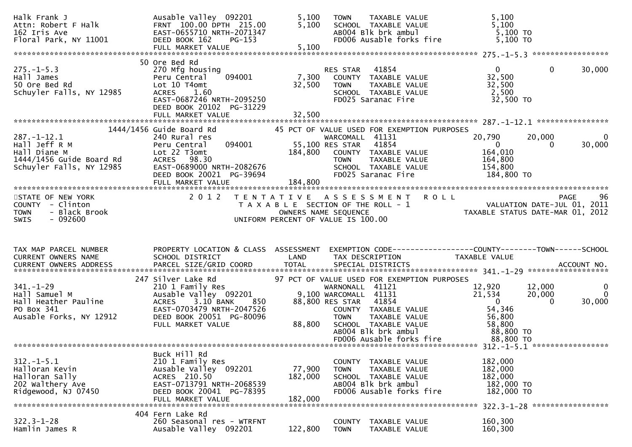| Halk Frank J<br>Attn: Robert F Halk<br>162 Iris Ave<br>Floral Park, NY 11001                               | Ausable Valley 092201<br>FRNT 100.00 DPTH 215.00<br>EAST-0655710 NRTH-2071347<br>DEED BOOK 162<br>PG-153<br>FULL MARKET VALUE                                                     | 5,100<br>5,100<br>5,100      | TAXABLE VALUE<br><b>TOWN</b><br>SCHOOL TAXABLE VALUE<br>ABOO4 Blk brk ambul<br>FD006 Ausable forks fire                                                                                                                 | 5,100<br>5,100<br>5,100 TO<br>5,100 TO                                           |                                                                   |
|------------------------------------------------------------------------------------------------------------|-----------------------------------------------------------------------------------------------------------------------------------------------------------------------------------|------------------------------|-------------------------------------------------------------------------------------------------------------------------------------------------------------------------------------------------------------------------|----------------------------------------------------------------------------------|-------------------------------------------------------------------|
| $275. - 1 - 5.3$<br>Hall James<br>50 Ore Bed Rd<br>Schuyler Falls, NY 12985                                | 50 Ore Bed Rd<br>270 Mfg housing<br>094001<br>Peru Central<br>Lot 10 T4omt<br><b>ACRES</b><br>1.60<br>EAST-0687246 NRTH-2095250<br>DEED BOOK 20102 PG-31229<br>FULL MARKET VALUE  | 7,300<br>32,500<br>32,500    | 41854<br>RES STAR<br>COUNTY TAXABLE VALUE<br><b>TOWN</b><br>TAXABLE VALUE<br>TAXABLE VALUE<br>SCHOOL TAXABLE VALUE<br>FD025 Saranac Fire                                                                                | $\mathbf{0}$<br>32,500<br>32,500<br>2,500<br>32,500 TO                           | $\mathbf{0}$<br>30,000                                            |
| $287. - 1 - 12.1$<br>Hall Jeff R M<br>Hall Diane M<br>1444/1456 Guide Board Rd<br>Schuyler Falls, NY 12985 | $1444/1456$ Guide Board Rd<br>240 Rural res<br>094001<br>Peru Central<br>Lot 22 T3omt<br>ACRES 98.30<br>EAST-0689000 NRTH-2082676<br>DEED BOOK 20021 PG-39694                     | 55,100 RES STAR<br>184,800   | 45 PCT OF VALUE USED FOR EXEMPTION PURPOSES<br>WARCOMALL 41131<br>41854<br>COUNTY TAXABLE VALUE<br>TAXABLE VALUE<br><b>TOWN</b><br>SCHOOL TAXABLE VALUE<br>FD025 Saranac Fire                                           | 20,790<br>$\overline{\mathbf{0}}$<br>164,010<br>164,800<br>154,800<br>184,800 TO | 20,000<br>$\mathbf 0$<br>30,000<br>$\Omega$                       |
| STATE OF NEW YORK<br>COUNTY - Clinton<br>- Black Brook<br><b>TOWN</b><br>$-092600$<br><b>SWIS</b>          | 2 0 1 2                                                                                                                                                                           | OWNERS NAME SEQUENCE         | TENTATIVE ASSESSMENT ROLL<br>T A X A B L E SECTION OF THE ROLL - 1<br>UNIFORM PERCENT OF VALUE IS 100.00                                                                                                                |                                                                                  | 96<br>PAGE                                                        |
| TAX MAP PARCEL NUMBER<br>CURRENT OWNERS NAME                                                               | PROPERTY LOCATION & CLASS ASSESSMENT<br>SCHOOL DISTRICT                                                                                                                           | LAND                         | TAX DESCRIPTION                                                                                                                                                                                                         | TAXABLE VALUE                                                                    |                                                                   |
|                                                                                                            |                                                                                                                                                                                   |                              |                                                                                                                                                                                                                         |                                                                                  |                                                                   |
| $341. - 1 - 29$<br>Hall Samuel M<br>Hall Heather Pauline<br>PO Box 341<br>Ausable Forks, NY 12912          | 247 Silver Lake Rd<br>210 1 Family Res<br>Ausable Valley 092201<br>3.10 BANK<br><b>ACRES</b><br>850<br>EAST-0703479 NRTH-2047526<br>DEED BOOK 20051 PG-80096<br>FULL MARKET VALUE | 88,800                       | 97 PCT OF VALUE USED FOR EXEMPTION PURPOSES<br>WARNONALL 41121<br>9,100 WARCOMALL 41131<br>88,800 RES STAR 41854<br>COUNTY TAXABLE VALUE<br>TAXABLE VALUE<br><b>TOWN</b><br>SCHOOL TAXABLE VALUE<br>AB004 Blk brk ambul | 12,920<br>21,534<br>$\overline{0}$<br>54,346<br>56,800<br>58,800<br>88,800 TO    | 12,000<br>$\mathbf 0$<br>$\Omega$<br>20,000<br>30,000<br>$\Omega$ |
|                                                                                                            |                                                                                                                                                                                   |                              | FD006 Ausable forks fire                                                                                                                                                                                                | 88,800 TO                                                                        |                                                                   |
| $312. - 1 - 5.1$<br>Halloran Kevin<br>Halloran Sally<br>202 Walthery Ave<br>Ridgewood, NJ 07450            | Buck Hill Rd<br>210 1 Family Res<br>Ausable Valley 092201<br>ACRES 210.50<br>EAST-0713791 NRTH-2068539<br>DEED BOOK 20041 PG-78395<br>FULL MARKET VALUE                           | 77,900<br>182,000<br>182,000 | COUNTY<br>TAXABLE VALUE<br>TAXABLE VALUE<br><b>TOWN</b><br>SCHOOL TAXABLE VALUE<br>AB004 Blk brk ambul<br>FD006 Ausable forks fire                                                                                      | 182,000<br>182,000<br>182,000<br>182,000 TO<br>182,000 TO<br>$322.3 - 1 - 28$    | *****************                                                 |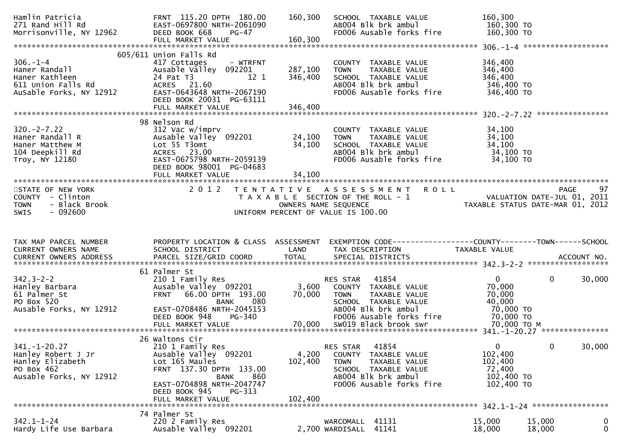| Hamlin Patricia<br>271 Rand Hill Rd<br>Morrisonville, NY 12962                                        | FRNT 115.20 DPTH 180.00<br>EAST-0697800 NRTH-2061090<br>DEED BOOK 668<br><b>PG-47</b><br>FULL MARKET VALUE                                                                                           | 160,300<br>160,300          | SCHOOL TAXABLE VALUE<br>AB004 Blk brk ambul<br>FD006 Ausable forks fire                                                                                    | 160,300<br>160,300 TO<br>160,300 TO                                  |                    |
|-------------------------------------------------------------------------------------------------------|------------------------------------------------------------------------------------------------------------------------------------------------------------------------------------------------------|-----------------------------|------------------------------------------------------------------------------------------------------------------------------------------------------------|----------------------------------------------------------------------|--------------------|
| 306.-1-4<br>Haner Randall<br>Haner Kathleen<br>611 Union Falls Rd<br>AuSable Forks, NY 12912          | 605/611 Union Falls Rd<br>- WTRFNT<br>417 Cottages<br>Ausable Valley 092201<br>24 Pat T3<br>12 1<br>ACRES 21.60<br>EAST-0643648 NRTH-2067190<br>DEED BOOK 20031 PG-63111                             | 287,100<br>346,400          | COUNTY TAXABLE VALUE<br>TAXABLE VALUE<br><b>TOWN</b><br>SCHOOL TAXABLE VALUE<br>AB004 Blk brk ambul<br>FD006 Ausable forks fire                            | 346,400<br>346,400<br>346,400<br>346,400 TO<br>346,400 TO            |                    |
| $320 - 2 - 7.22$<br>Haner Randall R<br>Haner Matthew M<br>104 Deepkill Rd<br>Troy, NY 12180           | 98 Nelson Rd<br>312 Vac w/imprv<br>Ausable Valley 092201<br>Lot 55 T3omt<br>ACRES 23.00<br>EAST-0675798 NRTH-2059139<br>DEED BOOK 98001 PG-04683<br>FULL MARKET VALUE                                | 24,100<br>34,100<br>34,100  | COUNTY TAXABLE VALUE<br>TAXABLE VALUE<br><b>TOWN</b><br>SCHOOL TAXABLE VALUE<br>AB004 Blk brk ambul<br>FD006 Ausable forks fire                            | 34,100<br>34,100<br>34,100<br>34,100 TO<br>34,100 TO                 |                    |
| STATE OF NEW YORK<br>COUNTY - Clinton<br>- Black Brook<br><b>TOWN</b><br>$-092600$<br><b>SWIS</b>     | 2 0 1 2                                                                                                                                                                                              |                             | <b>ROLL</b><br>TENTATIVE ASSESSMENT<br>T A X A B L E SECTION OF THE ROLL - 1<br>OWNERS NAME SEQUENCE<br>UNIFORM PERCENT OF VALUE IS 100.00                 | VALUATION DATE-JUL 01, 2011<br>TAXABLE STATUS DATE-MAR 01, 2012      | <b>PAGE</b><br>97  |
|                                                                                                       |                                                                                                                                                                                                      |                             |                                                                                                                                                            |                                                                      |                    |
| TAX MAP PARCEL NUMBER<br>CURRENT OWNERS NAME<br>CURRENT OWNERS ADDRESS                                | SCHOOL DISTRICT<br>PARCEL SIZE/GRID COORD                                                                                                                                                            | LAND<br><b>TOTAL</b>        | PROPERTY LOCATION & CLASS ASSESSMENT EXEMPTION CODE----------------COUNTY-------TOWN------SCHOOL<br>TAX DESCRIPTION<br>SPECIAL DISTRICTS                   | TAXABLE VALUE                                                        | ACCOUNT NO.        |
| $342.3 - 2 - 2$<br>Hanley Barbara<br>61 Palmer St<br>PO Box 520<br>Ausable Forks, NY 12912            | 61 Palmer St<br>210 1 Family Res<br>Ausable Valley 092201<br>FRNT 66.00 DPTH 193.00<br>080<br>BANK<br>EAST-0708486 NRTH-2045153<br>DEED BOOK 948<br><b>PG-340</b>                                    | 70,000                      | 41854<br>RES STAR<br>3,600 COUNTY TAXABLE VALUE<br><b>TOWN</b><br>TAXABLE VALUE<br>SCHOOL TAXABLE VALUE<br>AB004 Blk brk ambul<br>FD006 Ausable forks fire | $\mathbf{0}$<br>70,000<br>70,000<br>40,000<br>70,000 TO<br>70,000 TO | $\Omega$<br>30,000 |
| $341. - 1 - 20.27$<br>Hanley Robert J Jr<br>Hanley Elizabeth<br>PO Box 462<br>Ausable Forks, NY 12912 | 26 Waltons Cir<br>210 1 Family Res<br>Ausable Valley 092201<br>Lot 165 Maules<br>FRNT 137.30 DPTH 133.00<br>860<br>BANK<br>EAST-0704898 NRTH-2047747<br>DEED BOOK 945<br>PG-313<br>FULL MARKET VALUE | 4,200<br>102,400<br>102,400 | 41854<br>RES STAR<br>COUNTY TAXABLE VALUE<br><b>TOWN</b><br>TAXABLE VALUE<br>SCHOOL TAXABLE VALUE<br>AB004 Blk brk ambul<br>FD006 Ausable forks fire       | $\Omega$<br>102,400<br>102,400<br>72,400<br>102,400 TO<br>102,400 TO | 30,000<br>0        |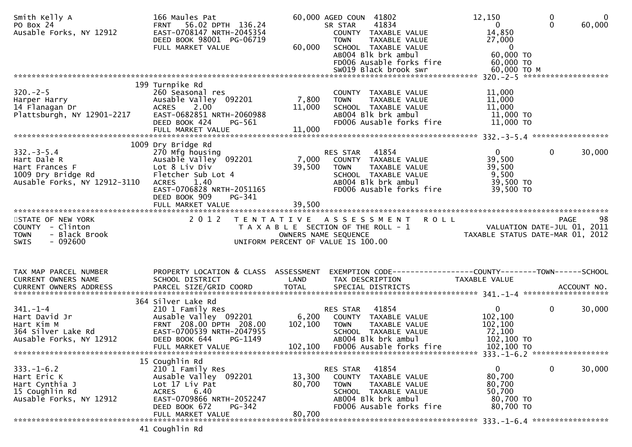| Smith Kelly A<br>PO Box 24<br>Ausable Forks, NY 12912                                                  | 166 Maules Pat<br>56.02 DPTH 136.24<br><b>FRNT</b><br>EAST-0708147 NRTH-2045354<br>DEED BOOK 98001 PG-06719<br>FULL MARKET VALUE                                                          | 60,000                      | 60,000 AGED COUN 41802<br>41834<br>SR STAR<br>COUNTY TAXABLE VALUE<br><b>TOWN</b><br>TAXABLE VALUE<br>SCHOOL TAXABLE VALUE<br>AB004 Blk brk ambul<br>FD006 Ausable forks fire<br>SW019 Black brook swr | 12,150<br>$\mathbf{0}$<br>14,850<br>27,000<br>$\overline{\phantom{0}}$<br>60,000 ТО<br>60,000 TO<br>60,000 ТО М | 0<br>$\Omega$ | $\mathbf{0}$<br>60,000 |
|--------------------------------------------------------------------------------------------------------|-------------------------------------------------------------------------------------------------------------------------------------------------------------------------------------------|-----------------------------|--------------------------------------------------------------------------------------------------------------------------------------------------------------------------------------------------------|-----------------------------------------------------------------------------------------------------------------|---------------|------------------------|
|                                                                                                        |                                                                                                                                                                                           |                             |                                                                                                                                                                                                        |                                                                                                                 |               |                        |
| $320 - 2 - 5$<br>Harper Harry<br>14 Flanagan Dr<br>Plattsburgh, NY 12901-2217                          | 199 Turnpike Rd<br>260 Seasonal res<br>Ausable Valley 092201<br>ACRES 2.00<br>EAST-0682851 NRTH-2060988<br>DEED BOOK 424<br>PG-561                                                        | 7,800<br>11,000             | COUNTY TAXABLE VALUE<br>TAXABLE VALUE<br><b>TOWN</b><br>SCHOOL TAXABLE VALUE<br>AB004 Blk brk ambul<br>FD006 Ausable forks fire                                                                        | 11,000<br>11,000<br>11,000<br>11,000 TO<br>$11,000$ TO                                                          |               |                        |
|                                                                                                        | 1009 Dry Bridge Rd                                                                                                                                                                        |                             |                                                                                                                                                                                                        |                                                                                                                 |               |                        |
| $332 - 3 - 5.4$<br>Hart Dale R<br>Hart Frances F<br>1009 Dry Bridge Rd<br>Ausable Forks, NY 12912-3110 | 270 Mfg housing<br>Ausable Valley 092201<br>Lot 8 Liv Div<br>Fletcher Sub Lot 4<br>1.40<br><b>ACRES</b><br>EAST-0706828 NRTH-2051165<br>DEED BOOK 909<br>PG-341                           | 39,500                      | RES STAR 41854<br>7,000 COUNTY TAXABLE VALUE<br>TAXABLE VALUE<br>TOWN<br>SCHOOL TAXABLE VALUE<br>AB004 Blk brk ambul<br>FD006 Ausable forks fire                                                       | $\mathbf{0}$<br>39,500<br>39,500<br>9,500<br>39,500 TO<br>39,500 TO                                             | $\mathbf 0$   | 30,000                 |
|                                                                                                        | FULL MARKET VALUE                                                                                                                                                                         | 39,500                      |                                                                                                                                                                                                        |                                                                                                                 |               |                        |
| STATE OF NEW YORK<br>COUNTY - Clinton<br>- Black Brook<br><b>TOWN</b><br>$-092600$<br><b>SWIS</b>      | 2 0 1 2                                                                                                                                                                                   |                             | TENTATIVE ASSESSMENT ROLL<br>T A X A B L E SECTION OF THE ROLL - 1<br>OWNERS NAME SEQUENCE<br>UNIFORM PERCENT OF VALUE IS 100.00                                                                       | - 1<br>VALUATION DATE-JUL 01, 2011<br>TAXABLE STATUS DATE-MAR 01, 2012                                          | <b>PAGE</b>   | 98                     |
| TAX MAP PARCEL NUMBER                                                                                  |                                                                                                                                                                                           |                             |                                                                                                                                                                                                        |                                                                                                                 |               |                        |
|                                                                                                        |                                                                                                                                                                                           |                             |                                                                                                                                                                                                        |                                                                                                                 |               |                        |
| CURRENT OWNERS NAME                                                                                    | PROPERTY LOCATION & CLASS ASSESSMENT<br>SCHOOL DISTRICT                                                                                                                                   | LAND                        | EXEMPTION CODE-----------------COUNTY-------TOWN------SCHOOL<br>TAX DESCRIPTION                                                                                                                        | TAXABLE VALUE                                                                                                   |               |                        |
|                                                                                                        | 364 Silver Lake Rd                                                                                                                                                                        |                             |                                                                                                                                                                                                        |                                                                                                                 |               |                        |
| $341. - 1 - 4$<br>Hart David Jr<br>Hart Kim M<br>364 Silver Lake Rd<br>Ausable Forks, NY 12912         | 210 1 Family Res<br>Ausable Valley 092201<br>FRNT 208.00 DPTH 208.00<br>EAST-0700539 NRTH-2047955<br>DEED BOOK 644<br>$PG-1149$<br>FULL MARKET VALUE                                      | 6,200<br>102,100<br>102,100 | RES STAR<br>41854<br>COUNTY TAXABLE VALUE<br><b>TOWN</b><br>TAXABLE VALUE<br>SCHOOL TAXABLE VALUE<br>AB004 Blk brk ambul<br>FD006 Ausable forks fire                                                   | $\mathbf{0}$<br>102,100<br>102,100<br>72,100<br>102,100 TO<br>102,100 TO                                        | 0             | 30,000                 |
|                                                                                                        |                                                                                                                                                                                           |                             |                                                                                                                                                                                                        |                                                                                                                 |               |                        |
| $333. - 1 - 6.2$<br>Hart Eric K<br>Hart Cynthia J<br>15 Coughlin Rd<br>Ausable Forks, NY 12912         | 15 Coughlin Rd<br>210 1 Family Res<br>Ausable Valley 092201<br>Lot 17 Liv Pat<br>6.40<br><b>ACRES</b><br>EAST-0709866 NRTH-2052247<br>DEED BOOK 672<br><b>PG-342</b><br>FULL MARKET VALUE | 13,300<br>80,700<br>80,700  | 41854<br>RES STAR<br>COUNTY TAXABLE VALUE<br><b>TOWN</b><br>TAXABLE VALUE<br>SCHOOL TAXABLE VALUE<br>AB004 Blk brk ambul<br>FD006 Ausable forks fire                                                   | $\mathbf{0}$<br>80,700<br>80,700<br>50,700<br>80,700 TO<br>80,700 TO                                            | 0             | 30,000                 |

41 Coughlin Rd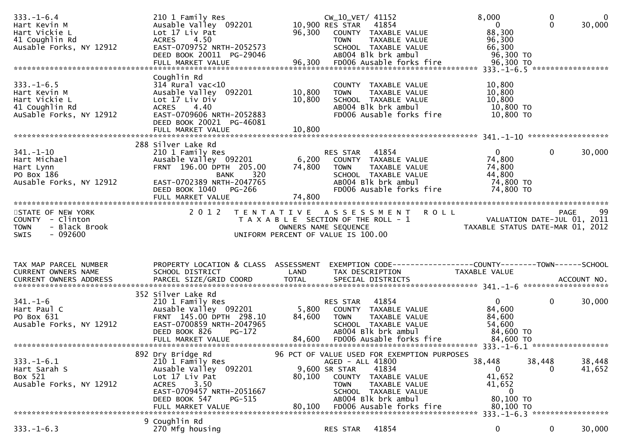| $333. - 1 - 6.4$<br>Hart Kevin M<br>Hart Vickie L<br>41 Coughlin Rd<br>Ausable Forks, NY 12912                                                                                                                  | 210 1 Family Res<br>Ausable Valley 092201<br>Lot 17 Liv Pat<br>4.50<br><b>ACRES</b><br>EAST-0709752 NRTH-2052573<br>DEED BOOK 20011 PG-29046                            |                  | CW_10_VET/ 41152<br>10,900 RES STAR 41854<br>96,300 COUNTY TAXABLE VALUE<br><b>TOWN</b><br>TAXABLE VALUE<br>SCHOOL TAXABLE VALUE<br>AB004 Blk brk ambul                   | 8,000<br>$\overline{\mathbf{0}}$<br>88,300<br>96,300<br>66,300<br>96,300 TO | 0<br>$\Omega$                                        | 0<br>30,000      |
|-----------------------------------------------------------------------------------------------------------------------------------------------------------------------------------------------------------------|-------------------------------------------------------------------------------------------------------------------------------------------------------------------------|------------------|---------------------------------------------------------------------------------------------------------------------------------------------------------------------------|-----------------------------------------------------------------------------|------------------------------------------------------|------------------|
| $333. - 1 - 6.5$<br>Hart Kevin M<br>Hart Vickie L<br>41 Coughlin Rd<br>AuSable Forks, NY 12912                                                                                                                  | Coughlin Rd<br>$314$ Rural vac<10<br>Ausable Valley 092201<br>Lot 17 Liv Div<br><b>ACRES</b><br>4.40<br>EAST-0709606 NRTH-2052883<br>DEED BOOK 20021 PG-46081           | 10,800<br>10,800 | COUNTY TAXABLE VALUE<br>TAXABLE VALUE<br><b>TOWN</b><br>SCHOOL TAXABLE VALUE<br>AB004 Blk brk ambul<br>FD006 Ausable forks fire                                           | 10,800<br>10,800<br>10,800<br>10,800 TO<br>10,800 TO                        |                                                      |                  |
|                                                                                                                                                                                                                 | 288 Silver Lake Rd                                                                                                                                                      |                  |                                                                                                                                                                           |                                                                             |                                                      |                  |
| $341. - 1 - 10$<br>Hart Michael<br>Hart Lynn<br>PO Box 186<br>Ausable Forks, NY 12912                                                                                                                           | 210 1 Family Res<br>Ausable valley 092201<br>FRNT 196.00 DPTH 205.00<br>320<br>BANK<br>EAST-0702389 NRTH-2047765<br>DEED BOOK 1040<br>PG-266                            | 74,800           | RES STAR 41854<br>6,200 COUNTY TAXABLE VALUE<br>TAXABLE VALUE<br>TOWN<br>SCHOOL TAXABLE VALUE<br>ABOO4 Blk brk ambul<br>FD006 Ausable forks fire                          | $\mathbf{0}$<br>74,800<br>74,800<br>44,800<br>74,800 TO<br>74,800 TO        | $\overline{0}$                                       | 30,000           |
| STATE OF NEW YORK                                                                                                                                                                                               | 2 0 1 2                                                                                                                                                                 |                  | TENTATIVE ASSESSMENT ROLL                                                                                                                                                 |                                                                             |                                                      | 99               |
| COUNTY - Clinton<br><b>TOWN</b><br>- Black Brook<br>$-092600$<br><b>SWIS</b>                                                                                                                                    |                                                                                                                                                                         |                  | T A X A B L E SECTION OF THE ROLL - 1<br>OWNERS NAME SEQUENCE<br>UNIFORM PERCENT OF VALUE IS 100.00                                                                       | VALUATION DATE-JUL 01, 2011<br>TAXABLE STATUS DATE-MAR 01, 2012             |                                                      | PAGE             |
| TAX MAP PARCEL NUMBER<br>CURRENT OWNERS NAME<br>-CURRENT OWNERS ADDRESS FARCEL SIZE/GRID COORD TOTAL SPECIAL DISTRICTS AND MONERS ADDRESS FARCEL SIZE/GRID COORD TOTAL SPECIAL DISTRICTS AND MONERS ACCOUNT NO. | PROPERTY LOCATION & CLASS ASSESSMENT<br>SCHOOL DISTRICT                                                                                                                 | LAND             | TAX DESCRIPTION                                                                                                                                                           | TAXABLE VALUE                                                               |                                                      |                  |
| $341. - 1 - 6$<br>Hart Paul C<br>PO Box 631<br>Ausable Forks, NY 12912                                                                                                                                          | 352 Silver Lake Rd<br>210 1 Family Res<br>Ausable Valley 092201<br>FRNT 145.00 DPTH 298.10<br>EAST-0700859 NRTH-2047965<br>DEED BOOK 826<br>PG-172<br>FULL MARKET VALUE | 5,800<br>84,600  | RES STAR<br>41854<br>COUNTY TAXABLE VALUE<br><b>TOWN</b><br>TAXABLE VALUE<br>SCHOOL TAXABLE VALUE<br>AB004 Blk brk ambul<br>84,600 FD006 Ausable forks fire               | $\mathbf{0}$<br>84,600<br>84,600<br>54,600<br>84,600 TO<br>84,600 TO        | $\mathbf 0$                                          | 30,000           |
|                                                                                                                                                                                                                 | 892 Dry Bridge Rd                                                                                                                                                       |                  | 96 PCT OF VALUE USED FOR EXEMPTION PURPOSES                                                                                                                               |                                                                             |                                                      |                  |
| $333. - 1 - 6.1$<br>Hart Sarah S<br>Box 521<br>Ausable Forks, NY 12912                                                                                                                                          | 210 1 Family Res<br>Ausable Valley 092201<br>Lot 17 Liv Pat<br>3.50<br><b>ACRES</b><br>EAST-0709457 NRTH-2051667<br>DEED BOOK 547<br>PG-515<br>FULL MARKET VALUE        | 80,100<br>80,100 | AGED - ALL 41800<br>9,600 SR STAR<br>41834<br>COUNTY<br>TAXABLE VALUE<br>TAXABLE VALUE<br>TOWN<br>SCHOOL TAXABLE VALUE<br>AB004 Blk brk ambul<br>FD006 Ausable forks fire | 38,448<br>0<br>41,652<br>41,652<br>$\bf{0}$<br>80,100 TO<br>80,100 TO       | 38,448<br>$\Omega$<br>333. -1-6.3 ****************** | 38,448<br>41,652 |
|                                                                                                                                                                                                                 | 9 Coughlin Rd                                                                                                                                                           |                  |                                                                                                                                                                           |                                                                             |                                                      |                  |
| $333. - 1 - 6.3$                                                                                                                                                                                                | 270 Mfg housing                                                                                                                                                         |                  | 41854<br>RES STAR                                                                                                                                                         | 0                                                                           | 0                                                    | 30,000           |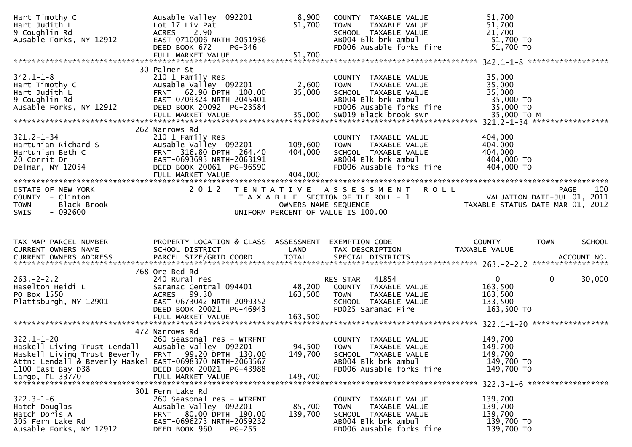| Hart Timothy C                                                                     | Ausable Valley 092201                                  | 8,900                | COUNTY TAXABLE VALUE                            | 51,700                                                                             |
|------------------------------------------------------------------------------------|--------------------------------------------------------|----------------------|-------------------------------------------------|------------------------------------------------------------------------------------|
| Hart Judith L<br>9 Coughlin Rd                                                     | Lot 17 Liv Pat<br>2.90<br><b>ACRES</b>                 | 51,700               | TAXABLE VALUE<br><b>TOWN</b>                    | 51,700<br>21,700                                                                   |
| Ausable Forks, NY 12912                                                            | EAST-0710006 NRTH-2051936                              |                      | ABOO4 Blk brk ambul<br>FDOO6 Ausshie S          | 51,700 TO                                                                          |
|                                                                                    | DEED BOOK 672<br>PG-346                                |                      | FD006 Ausable forks fire                        | 51,700 TO                                                                          |
|                                                                                    |                                                        |                      |                                                 |                                                                                    |
|                                                                                    | 30 Palmer St                                           |                      |                                                 |                                                                                    |
| $342.1 - 1 - 8$                                                                    | 210 1 Family Res                                       |                      | COUNTY TAXABLE VALUE                            | 35,000                                                                             |
| Hart Timothy C                                                                     | Ausable Valley 092201                                  | 2,600                | <b>TOWN</b><br>TAXABLE VALUE                    | 35,000                                                                             |
| Hart Judith L                                                                      | FRNT 62.90 DPTH 100.00                                 | 35,000               | SCHOOL TAXABLE VALUE                            | 35,000                                                                             |
| 9 Coughlin Rd                                                                      | EAST-0709324 NRTH-2045401                              |                      | AB004 Blk brk ambul                             | 35,000 TO                                                                          |
| Ausable Forks, NY 12912                                                            | DEED BOOK 20092 PG-23584                               |                      | FD006 Ausable forks fire                        | 35,000 TO                                                                          |
|                                                                                    |                                                        |                      |                                                 |                                                                                    |
|                                                                                    | 262 Narrows Rd                                         |                      |                                                 |                                                                                    |
| $321.2 - 1 - 34$                                                                   | 210 1 Family Res                                       |                      | COUNTY TAXABLE VALUE                            | 404,000                                                                            |
| Hartunian Richard S                                                                | Ausable Valley 092201                                  | 109,600              | <b>TOWN</b><br>TAXABLE VALUE                    | 404,000                                                                            |
| Hartunian Beth C                                                                   | FRNT 316.80 DPTH 264.40                                | 404,000              | SCHOOL TAXABLE VALUE<br>AB004 Blk brk ambul     | 404,000                                                                            |
| 20 Corrit Dr<br>Delmar, NY 12054                                                   | EAST-0693693 NRTH-2063191<br>DEED BOOK 20061 PG-96590  |                      | FD006 Ausable forks fire                        | 404,000 TO<br>404,000 TO                                                           |
|                                                                                    | FULL MARKET VALUE                                      | 404,000              |                                                 |                                                                                    |
|                                                                                    |                                                        |                      |                                                 |                                                                                    |
| STATE OF NEW YORK                                                                  |                                                        |                      | 2012 TENTATIVE ASSESSMENT ROLL                  | 100<br>PAGE                                                                        |
| COUNTY - Clinton                                                                   |                                                        |                      | T A X A B L E SECTION OF THE ROLL - 1           | ROLL - 1 No. 2 - - VALUATION DATE-JUL 01, 2011<br>TAXABLE STATUS DATE-MAR 01, 2012 |
| - Black Brook<br><b>TOWN</b><br>$-092600$<br>SWIS                                  |                                                        | OWNERS NAME SEQUENCE | UNIFORM PERCENT OF VALUE IS 100.00              |                                                                                    |
|                                                                                    |                                                        |                      |                                                 |                                                                                    |
|                                                                                    |                                                        |                      |                                                 |                                                                                    |
|                                                                                    |                                                        |                      |                                                 |                                                                                    |
|                                                                                    |                                                        |                      |                                                 |                                                                                    |
| TAX MAP PARCEL NUMBER                                                              | PROPERTY LOCATION & CLASS ASSESSMENT                   |                      |                                                 | EXEMPTION CODE------------------COUNTY--------TOWN------SCHOOL                     |
| CURRENT OWNERS NAME                                                                | <b>Example 12 DE LAND</b><br>SCHOOL DISTRICT           |                      | TAX DESCRIPTION                                 | <b>TAXABLE VALUE</b>                                                               |
|                                                                                    |                                                        |                      |                                                 |                                                                                    |
|                                                                                    | 768 Ore Bed Rd                                         |                      |                                                 |                                                                                    |
| $263. -2 - 2.2$                                                                    | 240 Rural res                                          |                      | <b>RES STAR 41854</b>                           | $\overline{0}$<br>30,000<br>$\mathbf{0}$                                           |
| Haselton Heidi L                                                                   | Saranac Central 094401                                 |                      | 48,200 COUNTY TAXABLE VALUE                     | 163,500                                                                            |
| PO Box 1550                                                                        | ACRES 99.30                                            | 163,500              | <b>TOWN</b><br>TAXABLE VALUE                    | 163,500                                                                            |
| Plattsburgh, NY 12901                                                              | EAST-0673042 NRTH-2099352<br>DEED BOOK 20021 PG-46943  |                      | SCHOOL TAXABLE VALUE<br>FD025 Saranac Fire      | 133,500<br>163,500 TO                                                              |
|                                                                                    |                                                        |                      |                                                 |                                                                                    |
|                                                                                    |                                                        |                      |                                                 |                                                                                    |
|                                                                                    | 472 Narrows Rd                                         |                      |                                                 |                                                                                    |
| $322.1 - 1 - 20$                                                                   | 260 Seasonal res - WTRFNT                              |                      | COUNTY TAXABLE VALUE<br><b>TOWN</b>             | 149,700                                                                            |
| Haskell Living Trust Lendall Ausable Valley 092201<br>Haskell Living Trust Beverly | <b>FRNT</b><br>99.20 DPTH 130.00                       | 94,500<br>149,700    | TAXABLE VALUE<br>SCHOOL TAXABLE VALUE           | 149,700<br>149,700                                                                 |
| Attn: Lendall & Beverly Haskel EAST-0698370 NRTH-2063567                           |                                                        |                      | AB004 Blk brk ambul                             | 149,700 TO                                                                         |
| 1100 East Bay D38                                                                  | DEED BOOK 20021 PG-43988                               |                      | FD006 Ausable forks fire                        | 149,700 TO                                                                         |
|                                                                                    |                                                        |                      |                                                 |                                                                                    |
|                                                                                    |                                                        |                      |                                                 |                                                                                    |
| $322.3 - 1 - 6$                                                                    | 301 Fern Lake Rd<br>260 Seasonal res - WTRFNT          |                      | COUNTY TAXABLE VALUE                            | 139,700                                                                            |
| Hatch Douglas                                                                      | Ausable Valley 092201                                  | 85,700               | <b>TOWN</b><br>TAXABLE VALUE                    | 139,700                                                                            |
| Hatch Doris A                                                                      | FRNT 80.00 DPTH 190.00                                 | 139,700              | SCHOOL TAXABLE VALUE                            | 139,700                                                                            |
| 305 Fern Lake Rd<br>Ausable Forks, NY 12912                                        | EAST-0696273 NRTH-2059232<br>DEED BOOK 960<br>$PG-255$ |                      | AB004 Blk brk ambul<br>FD006 Ausable forks fire | 139,700 TO<br>139,700 TO                                                           |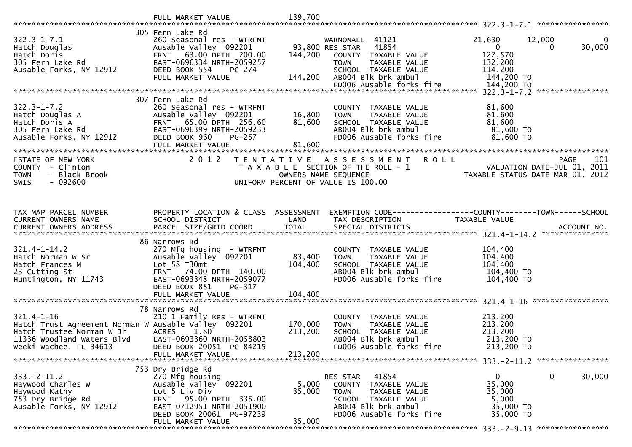|                                                                                                                                                               | FULL MARKET VALUE                                                                                                                                                                                    | 139,700                       |                                                                                                                                                                                |                                                                                                             |                        |
|---------------------------------------------------------------------------------------------------------------------------------------------------------------|------------------------------------------------------------------------------------------------------------------------------------------------------------------------------------------------------|-------------------------------|--------------------------------------------------------------------------------------------------------------------------------------------------------------------------------|-------------------------------------------------------------------------------------------------------------|------------------------|
|                                                                                                                                                               |                                                                                                                                                                                                      |                               |                                                                                                                                                                                |                                                                                                             |                        |
| $322.3 - 1 - 7.1$<br>Hatch Douglas<br>Hatch Doris<br>305 Fern Lake Rd<br>Ausable Forks, NY 12912                                                              | 305 Fern Lake Rd<br>260 Seasonal res - WTRFNT<br>Ausable Valley 092201<br>FRNT 63.00 DPTH 200.00<br>EAST-0696334 NRTH-2059257<br>DEED BOOK 554<br>PG-274<br>FULL MARKET VALUE                        | 144,200<br>144,200            | WARNONALL 41121<br>93,800 RES STAR<br>41854<br>COUNTY TAXABLE VALUE<br>TAXABLE VALUE<br><b>TOWN</b><br>SCHOOL TAXABLE VALUE<br>ABOO4 Blk brk ambul<br>FD006 Ausable forks fire | 21,630<br>12,000<br>$\overline{0}$<br>$\Omega$<br>122,570<br>132,200<br>114,200<br>144,200 TO<br>144,200 TO | $\mathbf{0}$<br>30,000 |
|                                                                                                                                                               |                                                                                                                                                                                                      |                               |                                                                                                                                                                                | ****************                                                                                            |                        |
| $322.3 - 1 - 7.2$<br>Hatch Douglas A<br>Hatch Doris A<br>305 Fern Lake Rd<br>Ausable Forks, NY 12912<br>Ausable Forks, NY 12912                               | 307 Fern Lake Rd<br>260 Seasonal res - WTRFNT<br>Ausable Valley 092201<br>FRNT 65.00 DPTH 256.60<br>EAST-0696399 NRTH-2059233<br>DEED BOOK 960<br>PG-257<br>FULL MARKET VALUE                        | 16,800<br>81,600<br>81,600    | COUNTY TAXABLE VALUE<br>TOWN<br>TAXABLE VALUE<br>SCHOOL TAXABLE VALUE<br>ABOO4 Blk brk ambul<br>FDOO6 Aussel<br>FD006 Ausable forks fire                                       | 81,600<br>81,600<br>81,600<br>81,600 TO<br>81,600 TO                                                        |                        |
|                                                                                                                                                               |                                                                                                                                                                                                      |                               |                                                                                                                                                                                |                                                                                                             |                        |
| STATE OF NEW YORK<br>COUNTY - Clinton<br><b>TOWN</b><br>- Black Brook<br>SWIS<br>- 092600                                                                     | 2 0 1 2                                                                                                                                                                                              | OWNERS NAME SEQUENCE          | TENTATIVE ASSESSMENT<br><b>ROLL</b><br>T A X A B L E SECTION OF THE ROLL - 1<br>UNIFORM PERCENT OF VALUE IS 100.00                                                             | <b>PAGE</b><br>PAGE 101<br>VALUATION DATE-JUL 01, 2011<br>TAXABLE STATUS DATE 112 2011                      | 101                    |
| TAX MAP PARCEL NUMBER<br>CURRENT OWNERS NAME                                                                                                                  | PROPERTY LOCATION & CLASS ASSESSMENT<br>SCHOOL DISTRICT                                                                                                                                              | LAND                          | TAX DESCRIPTION                                                                                                                                                                | EXEMPTION CODE------------------COUNTY--------TOWN------SCHOOL<br>TAXABLE VALUE                             |                        |
| $321.4 - 1 - 14.2$<br>B21.7 1 1:11<br>Hatch Norman W Sr<br>Hatch Frances M<br>23 Cutting St<br>Huntington, NY 11743                                           | 86 Narrows Rd<br>270 Mfg housing - WTRFNT<br>Ausable Valley <sup>O92201</sup><br>Lot 58 T30mt<br>FRNT 74.00 DPTH 140.00<br>EAST-0693348 NRTH-2059077<br>DEED BOOK 881<br>PG-317<br>FULL MARKET VALUE | 83,400<br>104,400<br>104,400  | COUNTY TAXABLE VALUE<br>TAXABLE VALUE<br><b>TOWN</b><br>SCHOOL TAXABLE VALUE<br>AB004 Blk brk ambul<br>FD006 Ausable forks fire                                                | 104,400<br>104,400<br>104,400<br>104,400 TO<br>104,400 TO                                                   |                        |
|                                                                                                                                                               | 78 Narrows Rd                                                                                                                                                                                        |                               |                                                                                                                                                                                |                                                                                                             |                        |
| $321.4 - 1 - 16$<br>Hatch Trust Agreement Norman W Ausable Valley 092201<br>Hatch Trustee Norman W Jr<br>11336 Woodland Waters Blvd<br>Weeki Wachee, FL 34613 | 210 1 Family Res - WTRFNT<br><b>ACRES</b><br>1.80<br>EAST-0693360 NRTH-2058803<br>DEED BOOK 20051 PG-84215<br>FULL MARKET VALUE                                                                      | 170,000<br>213,200<br>213,200 | COUNTY TAXABLE VALUE<br>TAXABLE VALUE<br><b>TOWN</b><br>SCHOOL TAXABLE VALUE<br>AB004 Blk brk ambul<br>FD006 Ausable forks fire                                                | 213,200<br>213,200<br>213,200<br>213,200 TO<br>213,200 TO                                                   |                        |
|                                                                                                                                                               |                                                                                                                                                                                                      |                               |                                                                                                                                                                                |                                                                                                             |                        |
| $333. -2 - 11.2$<br>Haywood Charles W<br>Haywood Kathy<br>753 Dry Bridge Rd<br>Ausable Forks, NY 12912                                                        | 753 Dry Bridge Rd<br>270 Mfg housing<br>Ausable Valley 092201<br>Lot 5 Liv Div<br>95.00 DPTH 335.00<br><b>FRNT</b><br>EAST-0712951 NRTH-2051900<br>DEED BOOK 20061 PG-97239                          | 5,000<br>35,000               | 41854<br><b>RES STAR</b><br>TAXABLE VALUE<br><b>COUNTY</b><br><b>TOWN</b><br>TAXABLE VALUE<br>SCHOOL TAXABLE VALUE<br>AB004 Blk brk ambul<br>FD006 Ausable forks fire          | 0<br>0<br>35,000<br>35,000<br>5,000<br>35,000 TO<br>35,000 TO                                               | 30,000                 |
|                                                                                                                                                               | FULL MARKET VALUE                                                                                                                                                                                    | 35,000                        |                                                                                                                                                                                |                                                                                                             |                        |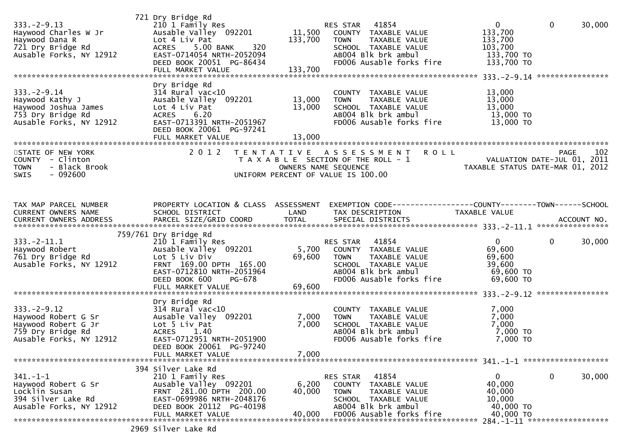| $333. - 2 - 9.13$<br>Haywood Charles W Jr<br>Haywood Dana R<br>721 Dry Bridge Rd<br>Ausable Forks, NY 12912     | 721 Dry Bridge Rd<br>210 1 Family Res<br>Ausable Valley 092201<br>Lot 4 Liv Pat<br>ACRES 5.00 BANK<br>320<br>EAST-0714054 NRTH-2052094<br>DEED BOOK 20051 PG-86434<br>FULL MARKET VALUE | 11,500<br>133,700<br>133,700 | RES STAR 41854<br>COUNTY TAXABLE VALUE<br>TAXABLE VALUE<br><b>TOWN</b><br>SCHOOL TAXABLE VALUE<br>AB004 Blk brk ambul<br>FD006 Ausable forks fire                               | $\overline{0}$<br>133,700<br>133,700<br>103,700<br>133,700 TO<br>133,700 TO | $\mathbf 0$<br>30,000                                |
|-----------------------------------------------------------------------------------------------------------------|-----------------------------------------------------------------------------------------------------------------------------------------------------------------------------------------|------------------------------|---------------------------------------------------------------------------------------------------------------------------------------------------------------------------------|-----------------------------------------------------------------------------|------------------------------------------------------|
| $333. - 2 - 9.14$<br>Haywood Kathy J<br>Haywood Joshua James<br>753 Dry Bridge Rd<br>Ausable Forks, NY 12912    | Dry Bridge Rd<br>$314$ Rural vac<10<br>Ausable Valley 092201<br>Lot 4 Liv Pat<br>ACRES 6.20<br>EAST-0713391 NRTH-2051967<br>DEED BOOK 20061 PG-97241<br>FULL MARKET VALUE               | 13,000<br>13,000<br>13,000   | COUNTY TAXABLE VALUE<br>TAXABLE VALUE<br><b>TOWN</b><br>SCHOOL TAXABLE VALUE<br>AB004 Blk brk ambul<br>FD006 Ausable forks fire                                                 | 13,000<br>13,000<br>13,000<br>13,000 TO<br>13,000 TO                        |                                                      |
| STATE OF NEW YORK<br>COUNTY - Clinton<br><b>TOWN</b><br>- Black Brook<br>$-092600$<br><b>SWIS</b>               | 2 0 1 2                                                                                                                                                                                 | T E N T A T I V E            | <b>ROLL</b><br>A S S E S S M E N T<br>T A X A B L E SECTION OF THE ROLL - 1<br>OWNERS NAME SEQUENCE<br>UNIFORM PERCENT OF VALUE IS 100.00                                       | VALUATION DATE-JUL 01, 2011<br>TAXABLE STATUS DATE-MAR 01, 2012             | 102<br><b>PAGE</b>                                   |
| TAX MAP PARCEL NUMBER<br>CURRENT OWNERS NAME<br>CURRENT OWNERS ADDRESS                                          | PROPERTY LOCATION & CLASS ASSESSMENT<br>SCHOOL DISTRICT                                                                                                                                 | LAND                         | EXEMPTION CODE-----------------COUNTY-------TOWN------SCHOOL<br>TAX DESCRIPTION                                                                                                 | TAXABLE VALUE                                                               |                                                      |
| $333. -2 - 11.1$<br>Haywood Robert<br>761 Dry Bridge Rd<br>Ausable Forks, NY 12912                              | 759/761 Dry Bridge Rd<br>210 1 Family Res<br>Ausable Valley 092201<br>Lot 5 Liv Div<br>FRNT 169.00 DPTH 165.00<br>EAST-0712810 NRTH-2051964<br>DEED BOOK 600<br>PG-678                  | 69,600                       | RES STAR<br>41854<br>5,700 COUNTY TAXABLE VALUE<br><b>TOWN</b><br>TAXABLE VALUE<br>SCHOOL TAXABLE VALUE<br>AB004 Blk brk ambul<br>FD006 Ausable forks fire                      | $\mathbf{0}$<br>69,600<br>69,600<br>39,600<br>69,600 TO<br>69,600 TO        | $\mathbf{0}$<br>30,000                               |
| $333. - 2 - 9.12$<br>Haywood Robert G Sr<br>Haywood Robert G Jr<br>759 Dry Bridge Rd<br>Ausable Forks, NY 12912 | Dry Bridge Rd<br>$314$ Rural vac<10<br>Ausable Valley 092201<br>Lot 5 Liv Pat<br><b>ACRES</b><br>1.40<br>EAST-0712951 NRTH-2051900<br>DEED BOOK 20061 PG-97240<br>FULL MARKET VALUE     | 7,000<br>7,000<br>7,000      | COUNTY TAXABLE VALUE<br>TAXABLE VALUE<br><b>TOWN</b><br>SCHOOL TAXABLE VALUE<br>AB004 Blk brk ambul<br>FD006 Ausable forks fire                                                 | 7,000<br>7,000<br>7,000<br>7,000 TO<br>$7,000$ TO                           |                                                      |
| $341 - 1 - 1$<br>Haywood Robert G Sr<br>Locklin Susan<br>394 Silver Lake Rd<br>Ausable Forks, NY 12912          | 394 Silver Lake Rd<br>210 1 Family Res<br>Ausable Valley 092201<br>FRNT 281.00 DPTH 200.00<br>EAST-0699986 NRTH-2048176<br>DEED BOOK 20112 PG-40198<br>FULL MARKET VALUE                | 6,200<br>40,000<br>40,000    | <b>RES STAR</b><br>41854<br><b>COUNTY</b><br>TAXABLE VALUE<br><b>TOWN</b><br>TAXABLE VALUE<br><b>SCHOOL</b><br>TAXABLE VALUE<br>AB004 Blk brk ambul<br>FD006 Ausable forks fire | 0<br>40,000<br>40,000<br>10,000<br>40,000 TO<br>40,000 TO                   | $\bf{0}$<br>30,000<br>284.-1-11 ******************** |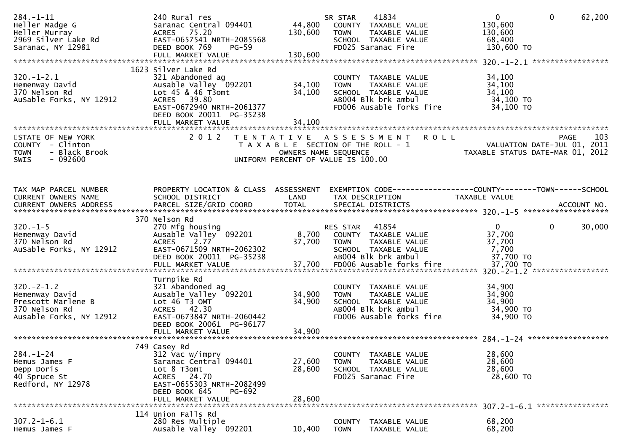| $284. - 1 - 11$              | 240 Rural res                                           |                                       | SR STAR       | 41834                                                          | $\mathbf{0}$                     | $\mathbf{0}$ | 62,200 |
|------------------------------|---------------------------------------------------------|---------------------------------------|---------------|----------------------------------------------------------------|----------------------------------|--------------|--------|
| Heller Madge G               | Saranac Central 094401                                  | 44,800                                |               | COUNTY TAXABLE VALUE                                           | 130,600                          |              |        |
| Heller Murray                | ACRES 75.20                                             | 130,600                               | <b>TOWN</b>   | TAXABLE VALUE                                                  | 130,600                          |              |        |
| 2969 Silver Lake Rd          | EAST-0657541 NRTH-2085568                               |                                       |               | SCHOOL TAXABLE VALUE                                           | 68,400                           |              |        |
| Saranac, NY 12981            | DEED BOOK 769<br>$PG-59$                                |                                       |               | FD025 Saranac Fire                                             | 130,600 TO                       |              |        |
|                              |                                                         |                                       |               |                                                                |                                  |              |        |
|                              |                                                         |                                       |               |                                                                |                                  |              |        |
|                              | 1623 Silver Lake Rd                                     |                                       |               |                                                                |                                  |              |        |
| $320. - 1 - 2.1$             | 321 Abandoned ag                                        |                                       |               | COUNTY TAXABLE VALUE                                           | 34,100                           |              |        |
| Hemenway David               | Ausable Valley 092201                                   | 34,100                                | <b>TOWN</b>   | TAXABLE VALUE                                                  | 34,100                           |              |        |
| 370 Nelson Rd                | Lot 45 & 46 T3omt                                       | 34,100                                |               | SCHOOL TAXABLE VALUE                                           | 34,100                           |              |        |
| AuSable Forks, NY 12912      | ACRES 39.80                                             |                                       |               | AB004 Blk brk ambul                                            | 34,100 TO                        |              |        |
|                              | EAST-0672940 NRTH-2061377                               |                                       |               | FD006 Ausable forks fire                                       | 34,100 TO                        |              |        |
|                              | DEED BOOK 20011 PG-35238                                |                                       |               |                                                                |                                  |              |        |
|                              | FULL MARKET VALUE                                       | 34,100                                |               |                                                                |                                  |              |        |
|                              |                                                         |                                       |               |                                                                |                                  |              |        |
| STATE OF NEW YORK            | 2 0 1 2                                                 | T E N T A T I V E                     |               | <b>ROLL</b><br>A S S E S S M E N T                             |                                  | <b>PAGE</b>  | 103    |
| COUNTY - Clinton             |                                                         | T A X A B L E SECTION OF THE ROLL - 1 |               |                                                                | VALUATION DATE-JUL 01, 2011      |              |        |
| <b>TOWN</b><br>- Black Brook |                                                         | OWNERS NAME SEQUENCE                  |               |                                                                | TAXABLE STATUS DATE-MAR 01, 2012 |              |        |
| $-092600$<br><b>SWIS</b>     |                                                         | UNIFORM PERCENT OF VALUE IS 100.00    |               |                                                                |                                  |              |        |
|                              |                                                         |                                       |               |                                                                |                                  |              |        |
|                              |                                                         |                                       |               |                                                                |                                  |              |        |
|                              |                                                         |                                       |               |                                                                |                                  |              |        |
| TAX MAP PARCEL NUMBER        | PROPERTY LOCATION & CLASS ASSESSMENT<br>SCHOOL DISTRICT |                                       |               | EXEMPTION CODE------------------COUNTY--------TOWN------SCHOOL |                                  |              |        |
| CURRENT OWNERS NAME          |                                                         | LAND                                  |               | TAX DESCRIPTION                                                | TAXABLE VALUE                    |              |        |
|                              |                                                         |                                       |               |                                                                |                                  |              |        |
|                              | 370 Nelson Rd                                           |                                       |               |                                                                |                                  |              |        |
| $320. -1 - 5$                | 270 Mfg housing                                         |                                       | RES STAR      | 41854                                                          | $\mathbf{0}$                     | $\mathbf 0$  | 30,000 |
| Hemenway David               | Ausable Valley 092201                                   |                                       |               | 8,700 COUNTY TAXABLE VALUE                                     | 37,700                           |              |        |
| 370 Nelson Rd                | ACRES 2.77                                              | 37,700                                | <b>TOWN</b>   | TAXABLE VALUE                                                  | 37,700                           |              |        |
| AuSable Forks, NY 12912      | EAST-0671509 NRTH-2062302                               |                                       |               | SCHOOL TAXABLE VALUE                                           | 7,700                            |              |        |
|                              | DEED BOOK 20011 PG-35238                                |                                       |               | AB004 Blk brk ambul                                            | 37,700 TO                        |              |        |
|                              |                                                         |                                       |               |                                                                |                                  |              |        |
|                              |                                                         |                                       |               |                                                                |                                  |              |        |
|                              | Turnpike Rd                                             |                                       |               |                                                                |                                  |              |        |
| $320 - 2 - 1.2$              | 321 Abandoned ag                                        |                                       |               | COUNTY TAXABLE VALUE                                           | 34,900                           |              |        |
| Hemenway David               | Ausable Valley 092201                                   | 34,900                                | <b>TOWN</b>   | TAXABLE VALUE                                                  | 34,900                           |              |        |
| Prescott Marlene B           | Lot 46 T3 OMT                                           | 34,900                                |               | SCHOOL TAXABLE VALUE                                           | 34,900                           |              |        |
| 370 Nelson Rd                | ACRES 42.30                                             |                                       |               | AB004 Blk brk ambul                                            | 34,900 TO                        |              |        |
| Ausable Forks, NY 12912      | EAST-0673847 NRTH-2060442                               |                                       |               | FD006 Ausable forks fire                                       | 34,900 TO                        |              |        |
|                              | DEED BOOK 20061 PG-96177                                |                                       |               |                                                                |                                  |              |        |
|                              | FULL MARKET VALUE                                       | 34,900                                |               |                                                                |                                  |              |        |
|                              |                                                         |                                       |               |                                                                |                                  |              |        |
|                              | 749 Casey Rd                                            |                                       |               |                                                                |                                  |              |        |
| $284. - 1 - 24$              | 312 Vac w/imprv                                         |                                       | COUNTY        | TAXABLE VALUE                                                  | 28,600                           |              |        |
| Hemus James F                | Saranac Central 094401                                  | 27,600                                | <b>TOWN</b>   | TAXABLE VALUE                                                  | 28,600                           |              |        |
| Depp Doris                   | Lot 8 T3omt                                             | 28,600                                |               | SCHOOL TAXABLE VALUE                                           | 28,600                           |              |        |
| 40 Spruce St                 | ACRES 24.70                                             |                                       |               | FD025 Saranac Fire                                             | 28,600 TO                        |              |        |
| Redford, NY 12978            | EAST-0655303 NRTH-2082499                               |                                       |               |                                                                |                                  |              |        |
|                              | DEED BOOK 645<br>PG-692                                 |                                       |               |                                                                |                                  |              |        |
|                              | FULL MARKET VALUE                                       | 28,600                                |               |                                                                |                                  |              |        |
|                              |                                                         |                                       |               |                                                                |                                  |              |        |
|                              | 114 Union Falls Rd                                      |                                       |               |                                                                |                                  |              |        |
| $307.2 - 1 - 6.1$            | 280 Res Multiple                                        |                                       | <b>COUNTY</b> | TAXABLE VALUE                                                  | 68,200                           |              |        |
| Hemus James F                | Ausable Valley 092201                                   | 10,400                                | <b>TOWN</b>   | TAXABLE VALUE                                                  | 68,200                           |              |        |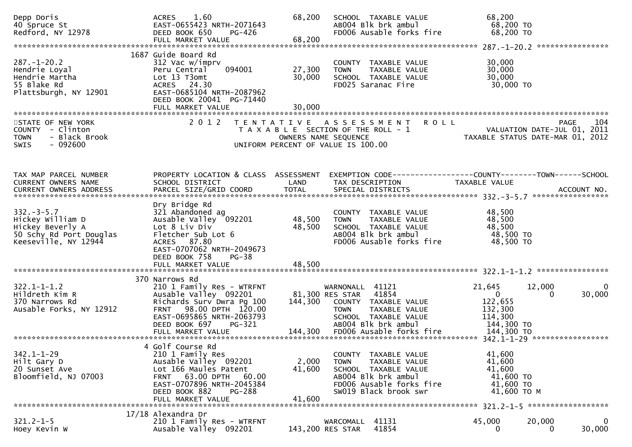| Depp Doris<br>40 Spruce St<br>Redford, NY 12978                                                            | 1.60<br><b>ACRES</b><br>EAST-0655423 NRTH-2071643<br>DEED BOOK 650<br>PG-426<br>FULL MARKET VALUE                                                                                                               | 68,200<br>68,200           | SCHOOL TAXABLE VALUE<br>AB004 Blk brk ambul<br>FD006 Ausable forks fire                                                                                                                | 68,200<br>68,200 TO<br>68,200 TO                                                                                      |             |
|------------------------------------------------------------------------------------------------------------|-----------------------------------------------------------------------------------------------------------------------------------------------------------------------------------------------------------------|----------------------------|----------------------------------------------------------------------------------------------------------------------------------------------------------------------------------------|-----------------------------------------------------------------------------------------------------------------------|-------------|
|                                                                                                            |                                                                                                                                                                                                                 |                            |                                                                                                                                                                                        |                                                                                                                       |             |
| $287. - 1 - 20.2$<br>Hendrie Loyal<br>Hendrie Martha<br>55 Blake Rd<br>Plattsburgh, NY 12901               | 1687 Guide Board Rd<br>312 Vac w/imprv<br>094001<br>Peru Central<br>Lot 13 T3omt<br>ACRES 24.30<br>EAST-0685104 NRTH-2087962<br>DEED BOOK 20041 PG-71440<br>FULL MARKET VALUE                                   | 27,300<br>30,000<br>30,000 | COUNTY TAXABLE VALUE<br>TAXABLE VALUE<br><b>TOWN</b><br>SCHOOL TAXABLE VALUE<br>FD025 Saranac Fire                                                                                     | 30,000<br>30,000<br>30,000<br>30,000 TO                                                                               |             |
| STATE OF NEW YORK<br>COUNTY - Clinton<br><b>TOWN</b><br>- Black Brook<br><b>SWIS</b><br>- 092600           | 2 0 1 2<br>T E N T A T I V E                                                                                                                                                                                    | OWNERS NAME SEQUENCE       | A S S E S S M E N T<br><b>ROLL</b><br>T A X A B L E SECTION OF THE ROLL - 1<br>UNIFORM PERCENT OF VALUE IS 100.00                                                                      | <b>PAGE</b><br>104<br>VALUATION DATE-JUL 01, 2011<br>TAXARLE STATUS DATE 111 C 21<br>TAXABLE STATUS DATE-MAR 01, 2012 | 104         |
| TAX MAP PARCEL NUMBER<br>CURRENT OWNERS NAME                                                               | PROPERTY LOCATION & CLASS ASSESSMENT<br>SCHOOL DISTRICT                                                                                                                                                         | LAND                       | TAX DESCRIPTION                                                                                                                                                                        | EXEMPTION CODE------------------COUNTY--------TOWN------SCHOOL<br>TAXABLE VALUE                                       |             |
| $332 - 3 - 5.7$<br>Hickey William D<br>Hickey Beverly A<br>50 Schy Rd Port Douglas<br>Keeseville, NY 12944 | Dry Bridge Rd<br>321 Abandoned ag<br>Ausable Valley 092201<br>Lot 8 Liv Div<br>Fletcher Sub Lot 6<br>ACRES 87.80<br>EAST-0707062 NRTH-2049673<br>DEED BOOK 758<br>$PG-38$<br>FULL MARKET VALUE                  | 48,500<br>48,500<br>48,500 | COUNTY TAXABLE VALUE<br><b>TOWN</b><br>TAXABLE VALUE<br>SCHOOL TAXABLE VALUE<br>AB004 Blk brk ambul<br>FD006 Ausable forks fire                                                        | 48,500<br>48,500<br>48,500<br>48,500 TO<br>48,500 TO                                                                  |             |
| $322.1 - 1 - 1.2$<br>Hildreth Kim R<br>370 Narrows Rd<br>Ausable Forks, NY 12912                           | 370 Narrows Rd<br>210 1 Family Res - WTRFNT<br>Ausable Valley 092201<br>Richards Surv Dwra Pg 100<br>FRNT 98.00 DPTH 120.00<br>EAST-0695865 NRTH-2063793<br>DEED BOOK 697<br><b>PG-321</b><br>FULL MARKET VALUE | 144,300                    | WARNONALL 41121<br>41854<br>81,300 RES STAR<br>COUNTY TAXABLE VALUE<br><b>TOWN</b><br>TAXABLE VALUE<br>SCHOOL TAXABLE VALUE<br>AB004 Blk brk ambul<br>144,300 FD006 Ausable forks fire | 21,645<br>12,000<br>$\mathbf 0$<br>0<br>122,655<br>132,300<br>114,300<br>144,300 TO<br>144,300 TO                     | 0<br>30,000 |
| $342.1 - 1 - 29$<br>Hilt Gary D<br>20 Sunset Ave<br>Bloomfield, NJ 07003                                   | 4 Golf Course Rd<br>210 1 Family Res<br>Ausable Valley 092201<br>Lot 166 Maules Patent<br>FRNT 63.00 DPTH 60.00<br>EAST-0707896 NRTH-2045384<br>DEED BOOK 882<br>PG-288<br>FULL MARKET VALUE                    | 2,000<br>41,600<br>41,600  | COUNTY TAXABLE VALUE<br><b>TOWN</b><br>TAXABLE VALUE<br>SCHOOL TAXABLE VALUE<br>AB004 Blk brk ambul<br>FD006 Ausable forks fire<br>SW019 Black brook swr                               | 41,600<br>41,600<br>41,600<br>41,600 TO<br>41,600 TO<br>41,600 ТО М                                                   |             |
| $321.2 - 1 - 5$<br>Hoey Kevin W                                                                            | 17/18 Alexandra Dr<br>210 1 Family Res - WTRFNT<br>Ausable Valley 092201                                                                                                                                        |                            | 41131<br>WARCOMALL<br>143,200 RES STAR<br>41854                                                                                                                                        | 45,000<br>20,000<br>0<br>0                                                                                            | 0<br>30,000 |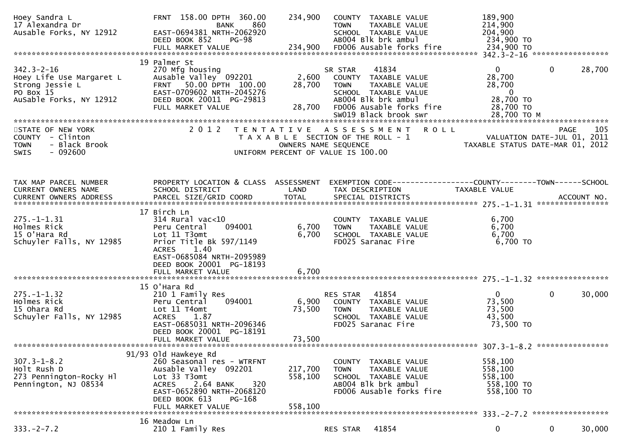| Hoey Sandra L<br>17 Alexandra Dr<br>Ausable Forks, NY 12912                                             | FRNT 158.00 DPTH 360.00<br><b>BANK</b><br>860<br>EAST-0694381 NRTH-2062920<br>DEED BOOK 852<br><b>PG-98</b>                                                                                | 234,900<br><b>TOWN</b>                                                                              | COUNTY TAXABLE VALUE<br>TAXABLE VALUE<br>SCHOOL TAXABLE VALUE<br>AB004 Blk brk ambul                                      | 189,900<br>214,900<br>204,900<br>234,900 TO                       |                                                                                |
|---------------------------------------------------------------------------------------------------------|--------------------------------------------------------------------------------------------------------------------------------------------------------------------------------------------|-----------------------------------------------------------------------------------------------------|---------------------------------------------------------------------------------------------------------------------------|-------------------------------------------------------------------|--------------------------------------------------------------------------------|
| $342.3 - 2 - 16$<br>Hoey Life Use Margaret L<br>Strong Jessie L<br>PO Box 15<br>AuSable Forks, NY 12912 | 19 Palmer St<br>270 Mfg housing<br>Ausable Valley 092201<br>FRNT 50.00 DPTH 100.00<br>EAST-0709602 NRTH-2045276<br>DEED BOOK 20011 PG-29813<br>FULL MARKET VALUE                           | SR STAR<br>2,600<br>28,700<br><b>TOWN</b><br>28,700                                                 | 41834<br>COUNTY TAXABLE VALUE<br>TAXABLE VALUE<br>SCHOOL TAXABLE VALUE<br>AB004 Blk brk ambul<br>FD006 Ausable forks fire | 0<br>28,700<br>28,700<br>$\overline{0}$<br>28,700 TO<br>28,700 TO | 28,700<br>$\Omega$                                                             |
| STATE OF NEW YORK<br>COUNTY - Clinton<br>- Black Brook<br><b>TOWN</b><br><b>SWIS</b><br>- 092600        | 2 0 1 2<br>T E N T A T I V E                                                                                                                                                               | T A X A B L E SECTION OF THE ROLL - 1<br>OWNERS NAME SEQUENCE<br>UNIFORM PERCENT OF VALUE IS 100.00 | ASSESSMENT<br><b>ROLL</b>                                                                                                 |                                                                   | PAGE<br>105<br>VALUATION DATE-JUL 01, 2011<br>TAXABLE STATUS DATE-MAR 01, 2012 |
| TAX MAP PARCEL NUMBER<br>CURRENT OWNERS NAME                                                            | PROPERTY LOCATION & CLASS ASSESSMENT<br>SCHOOL DISTRICT                                                                                                                                    | LAND                                                                                                | EXEMPTION CODE------------------COUNTY--------TOWN------SCHOOL<br>TAX DESCRIPTION                                         | TAXABLE VALUE                                                     |                                                                                |
| $275. - 1 - 1.31$<br>Holmes Rick<br>15 O'Hara Rd<br>Schuyler Falls, NY 12985                            | 17 Birch Ln<br>$314$ Rural vac< $10$<br>Peru Central<br>094001<br>Lot 11 T3omt<br>Prior Title Bk 597/1149<br><b>ACRES</b><br>1.40<br>EAST-0685084 NRTH-2095989<br>DEED BOOK 20001 PG-18193 | 6,700<br><b>TOWN</b><br>6,700                                                                       | COUNTY TAXABLE VALUE<br>TAXABLE VALUE<br>SCHOOL TAXABLE VALUE<br>FD025 Saranac Fire                                       | 6,700<br>6,700<br>6,700<br>$6,700$ TO                             |                                                                                |
|                                                                                                         |                                                                                                                                                                                            |                                                                                                     |                                                                                                                           |                                                                   |                                                                                |
| $275. - 1 - 1.32$<br>Holmes Rick<br>15 Ohara Rd<br>Schuyler Falls, NY 12985                             | 15 O'Hara Rd<br>210 1 Family Res<br>094001<br>Peru Central<br>Lot 11 T4omt<br><b>ACRES</b><br>1.87<br>EAST-0685031 NRTH-2096346<br>DEED BOOK 20001 PG-18191<br>FULL MARKET VALUE           | RES STAR<br>6,900<br>73,500<br><b>TOWN</b><br>73,500                                                | 41854<br>COUNTY TAXABLE VALUE<br>TAXABLE VALUE<br>SCHOOL TAXABLE VALUE<br>FD025 Saranac Fire                              | $\mathbf 0$<br>73,500<br>73,500<br>43,500<br>73,500 TO            | $\mathbf{0}$<br>30,000                                                         |
|                                                                                                         | 91/93 old Hawkeye Rd                                                                                                                                                                       |                                                                                                     |                                                                                                                           |                                                                   |                                                                                |
| $307.3 - 1 - 8.2$<br>Holt Rush D<br>273 Pennington-Rocky Hl<br>Pennington, NJ 08534                     | 260 Seasonal res - WTRFNT<br>Ausable Valley 092201<br>Lot 33 T3omt<br>320<br>2.64 BANK<br><b>ACRES</b><br>EAST-0652890 NRTH-2068120<br>DEED BOOK 613<br>PG-168<br>FULL MARKET VALUE        | 217,700<br>TOWN<br>558,100<br>558,100                                                               | COUNTY TAXABLE VALUE<br>TAXABLE VALUE<br>SCHOOL TAXABLE VALUE<br>AB004 Blk brk ambul<br>FD006 Ausable forks fire          | 558,100<br>558,100<br>558,100<br>558,100 TO<br>558,100 TO         |                                                                                |
|                                                                                                         | 16 Meadow Ln                                                                                                                                                                               |                                                                                                     |                                                                                                                           |                                                                   |                                                                                |
| $333. -2 - 7.2$                                                                                         | 210 1 Family Res                                                                                                                                                                           | RES STAR                                                                                            | 41854                                                                                                                     | 0                                                                 | $\mathbf{0}$<br>30,000                                                         |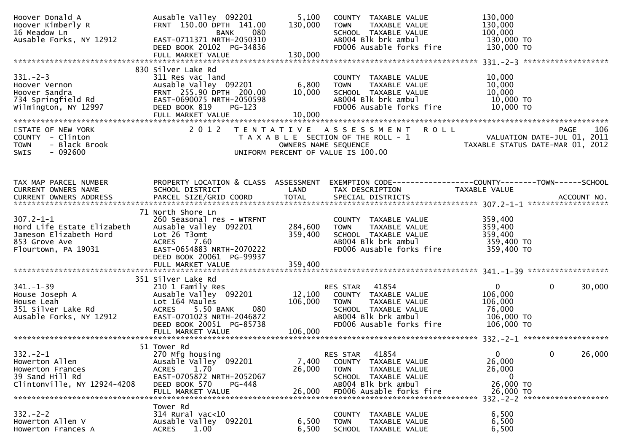| Hoover Donald A<br>Hoover Kimberly R<br>16 Meadow Ln                                                                                  | Ausable Valley 092201<br>FRNT 150.00 DPTH 141.00<br>080<br><b>BANK</b>                                                                                                                              | 5,100<br>130,000              | COUNTY TAXABLE VALUE<br>TAXABLE VALUE<br><b>TOWN</b><br>SCHOOL TAXABLE VALUE                                                                         | 130,000<br>130,000<br>100,000                                                                                                                                                                                                            |
|---------------------------------------------------------------------------------------------------------------------------------------|-----------------------------------------------------------------------------------------------------------------------------------------------------------------------------------------------------|-------------------------------|------------------------------------------------------------------------------------------------------------------------------------------------------|------------------------------------------------------------------------------------------------------------------------------------------------------------------------------------------------------------------------------------------|
| Ausable Forks, NY 12912                                                                                                               | EAST-0711371 NRTH-2050310<br>DEED BOOK 20102 PG-34836                                                                                                                                               |                               | AB004 Blk brk ambul<br>FD006 Ausable forks fire                                                                                                      | 130,000 TO<br>130,000 TO                                                                                                                                                                                                                 |
|                                                                                                                                       | FULL MARKET VALUE                                                                                                                                                                                   | 130,000                       |                                                                                                                                                      |                                                                                                                                                                                                                                          |
| $331 - 2 - 3$<br>Hoover Vernon<br>Hoover vernoon<br>Hoover Sandra<br>734 Springfield Rd<br>733 Springfield Rd<br>Wilmington, NY 12997 | 830 Silver Lake Rd<br>311 Res vac land<br>Ausable Valley 092201<br>FRNT 255.90 DPTH 200.00<br>EAST-0690075 NRTH-2050598<br>DEED BOOK 819<br>PG-123<br>FULL MARKET VALUE                             | 6,800<br>10,000<br>10,000     | COUNTY TAXABLE VALUE<br><b>TOWN</b><br>TAXABLE VALUE<br>SCHOOL TAXABLE VALUE<br>AB004 Blk brk ambul<br>FD006 Ausable forks fire                      | 10,000<br>10,000<br>10,000<br>10,000 TO<br>$10,000$ TO                                                                                                                                                                                   |
| STATE OF NEW YORK<br>COUNTY - Clinton<br>- Black Brook<br><b>TOWN</b><br>$-092600$<br><b>SWIS</b>                                     |                                                                                                                                                                                                     |                               | 2012 TENTATIVE ASSESSMENT ROLL                                                                                                                       | PAGE 106<br>OWNERS NAME SEQUENCE THE ROLL - 1<br>OWNERS NAME SEQUENCE TAXABLE STATUS DATE-MAR 01, 2012<br>UNIFORM PERCENT OF VALUE IS 100.00                                                                                             |
| TAX MAP PARCEL NUMBER<br>CURRENT OWNERS NAME<br>CURRENT OWNERS ADDRESS                                                                | SCHOOL DISTRICT                                                                                                                                                                                     | LAND                          | TAX DESCRIPTION                                                                                                                                      | PROPERTY LOCATION & CLASS ASSESSMENT EXEMPTION CODE----------------COUNTY-------TOWN------SCHOOL<br>TAXABLE VALUE<br>. CURRENT OWNERS ADDRESS PARCEL SIZE/GRID COORD TOTAL SPECIAL DISTRICTS ACCOUNT NO ACCOUNT NO ACCOUNT NO ACCOUNT NO |
| $307.2 - 1 - 1$<br>Hord Life Estate Elizabeth<br>Jameson Elizabeth Hord<br>853 Grove Ave<br>Flourtown, PA 19031                       | 71 North Shore Ln<br>260 Seasonal res - WTRFNT<br>Ausable Valley 092201<br>Lot 26 T3omt<br>ACRES 7.60<br>EAST-0654883 NRTH-2070222<br>DEED BOOK 20061 PG-99937<br>FULL MARKET VALUE                 | 284,600<br>359,400<br>359,400 | COUNTY TAXABLE VALUE<br><b>TOWN</b><br>TAXABLE VALUE<br>SCHOOL TAXABLE VALUE<br>ABOO4 Blk brk ambul<br>FD006 Ausable forks fire                      | 359,400<br>359,400<br>359,400<br>359,400 TO<br>359,400 TO                                                                                                                                                                                |
| $341.-1-39$<br>House Joseph A<br>$\therefore$ Leah<br>$\therefore$ Rd<br>Ausable Forks, NY 12912                                      | 351 Silver Lake Rd<br>210 1 Family Res<br>Ausable Valley 092201<br>Lot 164 Maules<br>5.50 BANK<br>080<br><b>ACRES</b><br>EAST-0701023 NRTH-2046872<br>DEED BOOK 20051 PG-85738<br>FULL MARKET VALUE | 106,000<br>106,000            | RES STAR 41854<br>12,100 COUNTY TAXABLE VALUE<br>TOWN TAXABLE VALUE<br>SCHOOL TAXABLE VALUE<br>AB004 Blk brk ambul<br>FD006 Ausable forks fire       | $\mathbf{0}$<br>$\mathbf{0}$<br>30,000<br>106,000<br>106,000<br>76,000<br>106,000 TO<br>106,000 TO                                                                                                                                       |
| $332 - 2 - 1$<br>Howerton Allen<br>Howerton Frances<br>39 Sand Hill Rd<br>Clintonville, NY 12924-4208                                 | 51 Tower Rd<br>270 Mfg housing<br>Ausable Valley <sup>O92201</sup><br>1.70<br><b>ACRES</b><br>EAST-0705872 NRTH-2052067<br>DEED BOOK 570<br>PG-448<br>FULL MARKET VALUE                             | 7,400<br>26,000<br>26,000     | RES STAR<br>41854<br>COUNTY TAXABLE VALUE<br><b>TOWN</b><br>TAXABLE VALUE<br>SCHOOL TAXABLE VALUE<br>AB004 Blk brk ambul<br>FD006 Ausable forks fire | 0<br>$\overline{0}$<br>26,000<br>26,000<br>26,000<br>$\mathbf{0}$<br>26,000 TO<br>26,000 TO<br>332. - 2 - 2 *********************                                                                                                        |
| $332 - 2 - 2$<br>Howerton Allen V<br>Howerton Frances A                                                                               | Tower Rd<br>$314$ Rural vac<10<br>Ausable Valley 092201<br>1.00<br><b>ACRES</b>                                                                                                                     | 6,500<br>6,500                | COUNTY<br>TAXABLE VALUE<br><b>TOWN</b><br>TAXABLE VALUE<br>SCHOOL TAXABLE VALUE                                                                      | 6,500<br>6,500<br>6,500                                                                                                                                                                                                                  |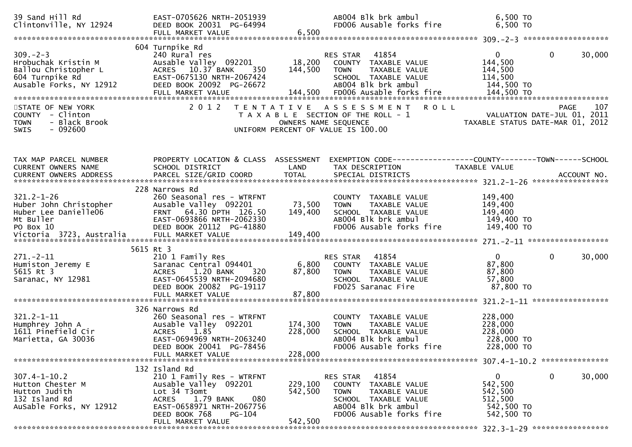| 39 Sand Hill Rd<br>Clintonville, NY 12924                                                                   | EAST-0705626 NRTH-2051939<br>DEED BOOK 20031 PG-64994<br>FULL MARKET VALUE                                                                                                                           | 6,500                         | AB004 Blk brk ambul<br>FD006 Ausable forks fire                                                                                                      | 6,500 TO<br>6,500 TO                                           |                                                        |
|-------------------------------------------------------------------------------------------------------------|------------------------------------------------------------------------------------------------------------------------------------------------------------------------------------------------------|-------------------------------|------------------------------------------------------------------------------------------------------------------------------------------------------|----------------------------------------------------------------|--------------------------------------------------------|
|                                                                                                             |                                                                                                                                                                                                      |                               |                                                                                                                                                      |                                                                |                                                        |
| $309. - 2 - 3$<br>Hrobuchak Kristin M<br>Ballou Christopher L<br>604 Turnpike Rd<br>Ausable Forks, NY 12912 | 604 Turnpike Rd<br>240 Rural res<br>Ausable Valley 092201<br>ACRES 10.37 BANK<br>350<br>EAST-0675130 NRTH-2067424<br>DEED BOOK 20092 PG-26672                                                        | 18,200<br>144,500             | RES STAR<br>41854<br>COUNTY TAXABLE VALUE<br>TAXABLE VALUE<br><b>TOWN</b><br>SCHOOL TAXABLE VALUE<br>AB004 Blk brk ambul                             | $\overline{0}$<br>144,500<br>144,500<br>114,500<br>144,500 TO  | $\mathbf{0}$<br>30,000                                 |
| STATE OF NEW YORK<br>COUNTY - Clinton<br><b>TOWN</b><br>- Black Brook<br>$-092600$<br>SWIS                  | 2 0 1 2                                                                                                                                                                                              |                               | <b>ROLL</b><br>TENTATIVE ASSESSMENT<br>T A X A B L E SECTION OF THE ROLL - 1<br>OWNERS NAME SEQUENCE<br>UNIFORM PERCENT OF VALUE IS 100.00           | VALUATION DATE-JUL 01, 2011                                    | 107<br><b>PAGE</b><br>TAXABLE STATUS DATE-MAR 01, 2012 |
| TAX MAP PARCEL NUMBER<br>CURRENT OWNERS NAME                                                                | SCHOOL DISTRICT                                                                                                                                                                                      | LAND                          | PROPERTY LOCATION & CLASS ASSESSMENT EXEMPTION CODE----------------COUNTY-------TOWN------SCHOOL<br>TAX DESCRIPTION                                  | TAXABLE VALUE                                                  |                                                        |
| $321.2 - 1 - 26$<br>Huber John Christopher<br>Huber Lee Danielle06<br>Mt Buller<br>PO Box 10                | 228 Narrows Rd<br>260 Seasonal res - WTRFNT<br>Ausable Valley 092201<br>FRNT 64.30 DPTH 126.50<br>EAST-0693866 NRTH-2062330<br>DEED BOOK 20112 PG-41880                                              | 73,500<br>149,400             | COUNTY TAXABLE VALUE<br>TAXABLE VALUE<br><b>TOWN</b><br>SCHOOL TAXABLE VALUE<br>AB004 Blk brk ambul<br>FD006 Ausable forks fire                      | 149,400<br>149,400<br>149,400<br>149,400 TO<br>149,400 TO      |                                                        |
| $271. - 2 - 11$<br>Humiston Jeremy E<br>5615 Rt 3<br>Saranac, NY 12981                                      | 5615 Rt 3<br>210 1 Family Res<br>Saranac Central 094401<br>ACRES 1.20 BANK<br>320<br>EAST-0645539 NRTH-2094680<br>DEED BOOK 20082 PG-19117<br>FULL MARKET VALUE                                      | 6,800<br>87,800<br>87,800     | 41854<br>RES STAR<br>COUNTY TAXABLE VALUE<br><b>TOWN</b><br>TAXABLE VALUE<br>SCHOOL TAXABLE VALUE<br>FD025 Saranac Fire                              | $\mathbf{0}$<br>87,800<br>87,800<br>57,800<br>87,800 TO        | $\Omega$<br>30,000                                     |
| $321.2 - 1 - 11$<br>Humphrey John A<br>1611 Pinefield Cir<br>Marietta, GA 30036                             | 326 Narrows Rd<br>260 Seasonal res - WTRFNT<br>Ausable Valley 092201<br>1.85<br><b>ACRES</b><br>EAST-0694969 NRTH-2063240<br>DEED BOOK 20041 PG-78456<br>FULL MARKET VALUE                           | 174,300<br>228,000<br>228,000 | COUNTY TAXABLE VALUE<br><b>TOWN</b><br>TAXABLE VALUE<br>SCHOOL TAXABLE VALUE<br>AB004 Blk brk ambul<br>FD006 Ausable forks fire                      | 228,000<br>228,000<br>228,000<br>228,000 TO<br>228,000 TO      |                                                        |
| $307.4 - 1 - 10.2$<br>Hutton Chester M<br>Hutton Judith<br>132 Island Rd<br>AuSable Forks, NY 12912         | 132 Island Rd<br>210 1 Family Res - WTRFNT<br>Ausable Valley 092201<br>Lot 34 T3omt<br>080<br>1.79 BANK<br><b>ACRES</b><br>EAST-0658971 NRTH-2067756<br>PG-104<br>DEED BOOK 768<br>FULL MARKET VALUE | 229,100<br>542,500<br>542,500 | 41854<br>RES STAR<br>COUNTY TAXABLE VALUE<br><b>TOWN</b><br>TAXABLE VALUE<br>SCHOOL TAXABLE VALUE<br>AB004 Blk brk ambul<br>FD006 Ausable forks fire | 0<br>542,500<br>542,500<br>512,500<br>542,500 TO<br>542,500 TO | $\mathbf 0$<br>30,000                                  |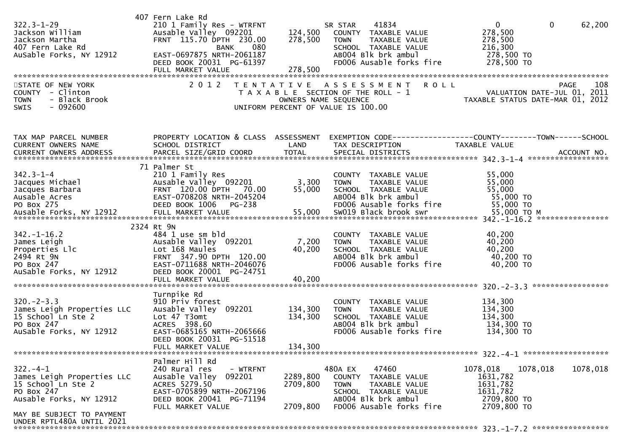| $322.3 - 1 - 29$<br>Jackson William<br>Jackson Martha<br>407 Fern Lake Rd<br>AuSable Forks, NY 12912<br>STATE OF NEW YORK<br>COUNTY - Clinton<br>- Black Brook<br><b>TOWN</b><br>- 092600<br>SWIS | 407 Fern Lake Rd<br>210 1 Family Res - WTRFNT<br>Ausable Valley 092201<br>FRNT 115.70 DPTH 230.00<br>080<br>BANK<br>EAST-0697875 NRTH-2061187<br>DEED BOOK 20031 PG-61397<br>2 0 1 2 | 124,500<br>278,500               | 41834<br>SR STAR<br>COUNTY TAXABLE VALUE<br><b>TOWN</b><br>TAXABLE VALUE<br>SCHOOL TAXABLE VALUE<br>AB004 Blk brk ambul<br>FD006 Ausable forks fire<br>TENTATIVE ASSESSMENT<br><b>ROLL</b><br>T A X A B L E SECTION OF THE ROLL - 1<br>OWNERS NAME SEQUENCE<br>UNIFORM PERCENT OF VALUE IS 100.00 | $\overline{0}$<br>$\mathbf{0}$<br>278,500<br>278,500<br>216,300<br>278,500 TO<br>278,500 TO<br>VALUATION DATE-JUL 01, 2011<br>TAXABLE STATUS DATE-MAR 01, 2012 | 62,200<br>108<br><b>PAGE</b> |
|---------------------------------------------------------------------------------------------------------------------------------------------------------------------------------------------------|--------------------------------------------------------------------------------------------------------------------------------------------------------------------------------------|----------------------------------|---------------------------------------------------------------------------------------------------------------------------------------------------------------------------------------------------------------------------------------------------------------------------------------------------|----------------------------------------------------------------------------------------------------------------------------------------------------------------|------------------------------|
| TAX MAP PARCEL NUMBER<br>CURRENT OWNERS NAME                                                                                                                                                      | PROPERTY LOCATION & CLASS ASSESSMENT<br>SCHOOL DISTRICT                                                                                                                              | LAND                             | EXEMPTION CODE-----------------COUNTY-------TOWN------SCHOOL<br>TAX DESCRIPTION                                                                                                                                                                                                                   | TAXABLE VALUE                                                                                                                                                  |                              |
| $342.3 - 1 - 4$<br>Jacques Michael<br>Jacques Barbara<br>Ausable Acres<br>PO Box 275<br>Ausable Forks, NY 12912                                                                                   | 71 Palmer St<br>210 1 Family Res<br>Ausable Valley 092201<br>FRNT 120.00 DPTH 70.00<br>EAST-0708208 NRTH-2045204<br>DEED BOOK 1006 PG-238<br>FULL MARKET VALUE                       | 3,300<br>55,000<br>55,000        | COUNTY TAXABLE VALUE<br><b>TOWN</b><br>TAXABLE VALUE<br>SCHOOL TAXABLE VALUE<br>AB004 Blk brk ambul<br>FD006 Ausable forks fire<br>SW019 Black brook swr                                                                                                                                          | 55,000<br>55,000<br>55,000<br>55,000 TO<br>55,000 TO<br>55,000 TO M                                                                                            |                              |
| $342. - 1 - 16.2$<br>James Leigh<br>Properties Llc<br>2494 Rt 9N<br>PO Box 247<br>AuSable Forks, NY 12912                                                                                         | 2324 Rt 9N<br>484 1 use sm bld<br>Ausable Valley 092201<br>Lot 168 Maules<br>FRNT 347.90 DPTH 120.00<br>EAST-0711688 NRTH-2046076<br>DEED BOOK 20001 PG-24751<br>FULL MARKET VALUE   | 7,200<br>40,200<br>40,200        | COUNTY TAXABLE VALUE<br>TAXABLE VALUE<br><b>TOWN</b><br>SCHOOL TAXABLE VALUE<br>AB004 Blk brk ambul<br>FD006 Ausable forks fire                                                                                                                                                                   | 40,200<br>40,200<br>40,200<br>40,200 TO<br>40,200 TO                                                                                                           |                              |
| $320 - 2 - 3.3$<br>James Leigh Properties LLC<br>15 School Ln Ste 2<br>PO Box 247<br>AuSable Forks, NY 12912                                                                                      | Turnpike Rd<br>910 Priv forest<br>Ausable Valley 092201<br>Lot 47 T3omt<br>ACRES 398.60<br>EAST-0685165 NRTH-2065666<br>DEED BOOK 20031 PG-51518<br>FULL MARKET VALUE                | 134,300<br>134,300<br>134,300    | COUNTY TAXABLE VALUE<br><b>TOWN</b><br>TAXABLE VALUE<br>SCHOOL TAXABLE VALUE<br>AB004 Blk brk ambul<br>FD006 Ausable forks fire                                                                                                                                                                   | 134,300<br>134,300<br>134,300<br>134,300 TO<br>134,300 TO                                                                                                      |                              |
|                                                                                                                                                                                                   | Palmer Hill Rd                                                                                                                                                                       |                                  |                                                                                                                                                                                                                                                                                                   |                                                                                                                                                                |                              |
| $322. - 4 - 1$<br>James Leigh Properties LLC<br>15 School Ln Ste 2<br>PO Box 247<br>Ausable Forks, NY 12912                                                                                       | 240 Rural res<br>- WTRFNT<br>Ausable Valley 092201<br>ACRES 5279.50<br>EAST-0705899 NRTH-2067196<br>DEED BOOK 20041 PG-71194<br>FULL MARKET VALUE                                    | 2289,800<br>2709,800<br>2709,800 | 480A EX<br>47460<br>COUNTY TAXABLE VALUE<br><b>TOWN</b><br>TAXABLE VALUE<br>SCHOOL TAXABLE VALUE<br>AB004 Blk brk ambul<br>FD006 Ausable forks fire                                                                                                                                               | 1078,018<br>1078,018<br>1631,782<br>1631,782<br>1631,782<br>2709,800 TO<br>2709,800 TO                                                                         | 1078,018                     |
| MAY BE SUBJECT TO PAYMENT<br>UNDER RPTL480A UNTIL 2021                                                                                                                                            |                                                                                                                                                                                      |                                  |                                                                                                                                                                                                                                                                                                   |                                                                                                                                                                |                              |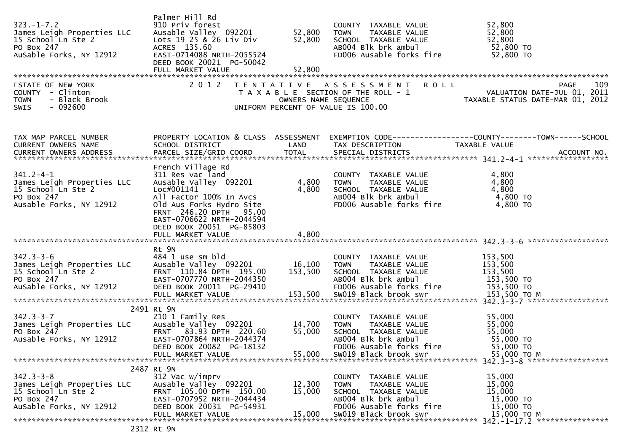| $323. -1 - 7.2$<br>James Leigh Properties LLC<br>15 School Ln Ste 2<br>PO Box 247<br>AuSable Forks, NY 12912<br>STATE OF NEW YORK<br>COUNTY - Clinton<br>- Black Brook<br><b>TOWN</b><br>$-092600$<br><b>SWIS</b> | Palmer Hill Rd<br>910 Priv forest<br>Ausable Valley 092201<br>Lots 19 25 & 26 Liv Div<br>ACRES 135.60<br>EAST-0714088 NRTH-2055524<br>DEED BOOK 20021 PG-50042<br>2 0 1 2                                                                   | 52,800<br>52,800<br>OWNERS NAME SEQUENCE | COUNTY TAXABLE VALUE<br><b>TOWN</b><br>TAXABLE VALUE<br>SCHOOL TAXABLE VALUE<br>ABOO4 Blk brk ambul<br>FD006 Ausable forks fire<br>TENTATIVE ASSESSMENT<br>T A X A B L E SECTION OF THE ROLL - 1<br>UNIFORM PERCENT OF VALUE IS 100.00 | 52,800<br>52,800<br>52,800<br>52,800 TO<br>52,800 TO<br>109<br>PAGE 109<br>VALUATION DATE-JUL 01, 2011 |
|-------------------------------------------------------------------------------------------------------------------------------------------------------------------------------------------------------------------|---------------------------------------------------------------------------------------------------------------------------------------------------------------------------------------------------------------------------------------------|------------------------------------------|----------------------------------------------------------------------------------------------------------------------------------------------------------------------------------------------------------------------------------------|--------------------------------------------------------------------------------------------------------|
| TAX MAP PARCEL NUMBER<br>CURRENT OWNERS NAME                                                                                                                                                                      | PROPERTY LOCATION & CLASS ASSESSMENT<br>SCHOOL DISTRICT                                                                                                                                                                                     | LAND                                     | EXEMPTION CODE------------------COUNTY--------TOWN------SCHOOL<br>TAX DESCRIPTION                                                                                                                                                      | TAXABLE VALUE                                                                                          |
| $341.2 - 4 - 1$<br>James Leigh Properties LLC<br>15 School Ln Ste 2<br>PO Box 247<br>Ausable Forks, NY 12912                                                                                                      | French Village Rd<br>311 Res vac land<br>Ausable Valley 092201<br>Loc#001141<br>All Factor 100% In Avcs<br>Old Aus Forks Hydro Site<br>FRNT 246.20 DPTH 95.00<br>EAST-0706622 NRTH-2044594<br>DEED BOOK 20051 PG-85803<br>FULL MARKET VALUE | 4,800<br>4,800<br>4,800                  | COUNTY TAXABLE VALUE<br>TOWN TAXABLE VALUE<br>SCHOOL TAXABLE VALUE<br>ABOO4 Blk brk ambul<br>FD006 Ausable forks fire                                                                                                                  | 4,800<br>4,800<br>4,800<br>4,800 TO<br>4,800 TO                                                        |
| $342.3 - 3 - 6$<br>James Leigh Properties LLC<br>15 School Ln Ste 2<br>PO Box 247<br>AuSable Forks, NY 12912                                                                                                      | Rt 9N<br>484 1 use sm bld<br>Ausable Valley 092201<br>FRNT 110.84 DPTH 195.00<br>EAST-0707770 NRTH-2044350<br>DEED BOOK 20011 PG-29410                                                                                                      | 16,100<br>153,500                        | COUNTY TAXABLE VALUE<br><b>TOWN</b><br>TAXABLE VALUE<br>SCHOOL TAXABLE VALUE<br>AB004 Blk brk ambul<br>FD006 Ausable forks fire                                                                                                        | 153,500<br>153,500<br>153,500<br>153,500 TO<br>153,500 TO                                              |
| $342.3 - 3 - 7$<br>James Leigh Properties LLC<br>PO Box 247<br>Ausable Forks, NY 12912                                                                                                                            | 2491 Rt 9N<br>210 1 Family Res<br>Ausable Valley 092201<br>FRNT 83.93 DPTH 220.60<br>EAST-0707864 NRTH-2044374<br>DEED BOOK 20082 PG-18132<br>FULL MARKET VALUE                                                                             | 14,700<br>55,000<br>55,000               | COUNTY TAXABLE VALUE<br>TAXABLE VALUE<br><b>TOWN</b><br>SCHOOL TAXABLE VALUE<br>AB004 Blk brk ambul<br>FD006 Ausable forks fire<br>SW019 Black brook swr                                                                               | 55,000<br>55,000<br>55,000<br>55,000 TO<br>55,000 TO<br>55,000 TO M                                    |
| $342.3 - 3 - 8$<br>James Leigh Properties LLC<br>15 School Ln Ste 2<br>PO Box 247<br>AuSable Forks, NY 12912                                                                                                      | 2487 Rt 9N<br>312 Vac w/imprv<br>Ausable Valley 092201<br>FRNT 105.00 DPTH 150.00<br>EAST-0707952 NRTH-2044434<br>DEED BOOK 20031 PG-54931<br>FULL MARKET VALUE                                                                             | 12,300<br>15,000<br>15,000               | COUNTY TAXABLE VALUE<br>TAXABLE VALUE<br>TOWN<br>SCHOOL TAXABLE VALUE<br>AB004 Blk brk ambul<br>FD006 Ausable forks fire<br>SW019 Black brook swr                                                                                      | 15,000<br>15,000<br>15,000<br>15,000 TO<br>15,000 TO<br>15,000 TO M                                    |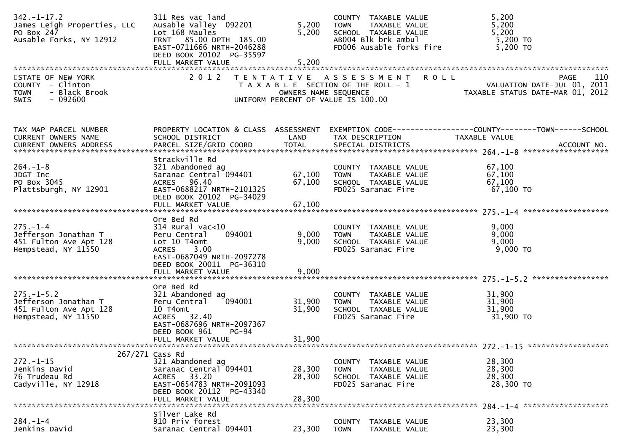| $342. - 1 - 17.2$<br>James Leigh Properties, LLC<br>PO Box 247<br>Ausable Forks, NY 12912         | 311 Res vac land<br>Ausable Valley 092201<br>Lot 168 Maules<br>FRNT 85.00 DPTH 185.00<br>EAST-0711666 NRTH-2046288<br>DEED BOOK 20102 PG-35597                    | 5,200<br>5,200             | COUNTY TAXABLE VALUE<br>TAXABLE VALUE<br><b>TOWN</b><br>SCHOOL TAXABLE VALUE<br>AB004 Blk brk ambul<br>FD006 Ausable forks fire | 5,200<br>5,200<br>5,200<br>5,200 TO<br>5,200 TO                                       |
|---------------------------------------------------------------------------------------------------|-------------------------------------------------------------------------------------------------------------------------------------------------------------------|----------------------------|---------------------------------------------------------------------------------------------------------------------------------|---------------------------------------------------------------------------------------|
| STATE OF NEW YORK<br>COUNTY - Clinton<br>- Black Brook<br><b>TOWN</b><br>$-092600$<br><b>SWIS</b> | 2 0 1 2                                                                                                                                                           | OWNERS NAME SEQUENCE       | <b>ROLL</b><br>TENTATIVE ASSESSMENT<br>T A X A B L E SECTION OF THE ROLL - 1<br>UNIFORM PERCENT OF VALUE IS 100.00              | 110<br><b>PAGE</b><br>VALUATION DATE-JUL 01, 2011<br>TAXABLE STATUS DATE-MAR 01, 2012 |
| TAX MAP PARCEL NUMBER<br>CURRENT OWNERS NAME                                                      | PROPERTY LOCATION & CLASS ASSESSMENT<br>SCHOOL DISTRICT                                                                                                           | LAND                       | TAX DESCRIPTION                                                                                                                 | EXEMPTION CODE-----------------COUNTY-------TOWN------SCHOOL<br>TAXABLE VALUE         |
| $264. - 1 - 8$<br>JDGT Inc<br>PO Box 3045<br>Plattsburgh, NY 12901                                | Strackville Rd<br>321 Abandoned ag<br>Saranac Central 094401<br>ACRES 96.40<br>EAST-0688217 NRTH-2101325<br>DEED BOOK 20102 PG-34029<br>FULL MARKET VALUE         | 67,100<br>67,100<br>67,100 | COUNTY TAXABLE VALUE<br>TAXABLE VALUE<br><b>TOWN</b><br>SCHOOL TAXABLE VALUE<br>FD025 Saranac Fire                              | 67,100<br>67,100<br>67,100<br>67,100 TO                                               |
| $275. - 1 - 4$<br>Jefferson Jonathan T<br>451 Fulton Ave Apt 128<br>Hempstead, NY 11550           | Ore Bed Rd<br>$314$ Rural vac< $10$<br>Peru Central<br>094001<br>Lot 10 T4omt<br>3.00<br><b>ACRES</b><br>EAST-0687049 NRTH-2097278<br>DEED BOOK 20011 PG-36310    | 9,000<br>9,000             | COUNTY TAXABLE VALUE<br>TAXABLE VALUE<br><b>TOWN</b><br>SCHOOL TAXABLE VALUE<br>FD025 Saranac Fire                              | 9,000<br>9,000<br>9,000<br>9,000 TO                                                   |
| $275. - 1 - 5.2$<br>Jefferson Jonathan T<br>451 Fulton Ave Apt 128<br>Hempstead, NY 11550         | Ore Bed Rd<br>321 Abandoned ag<br>094001<br>Peru Central<br>10 T4omt<br>ACRES 32.40<br>EAST-0687696 NRTH-2097367<br>DEED BOOK 961<br>$PG-94$<br>FULL MARKET VALUE | 31,900<br>31,900<br>31,900 | COUNTY TAXABLE VALUE<br>TAXABLE VALUE<br><b>TOWN</b><br>SCHOOL TAXABLE VALUE<br>FD025 Saranac Fire                              | 31,900<br>31,900<br>31,900<br>31,900 TO                                               |
| $272. - 1 - 15$<br>Jenkins David<br>76 Trudeau Rd<br>Cadyville, NY 12918                          | 267/271 Cass Rd<br>321 Abandoned ag<br>Saranac Central 094401<br>ACRES 33.20<br>EAST-0654783 NRTH-2091093<br>DEED BOOK 20112 PG-43340<br>FULL MARKET VALUE        | 28,300<br>28,300<br>28,300 | COUNTY TAXABLE VALUE<br><b>TOWN</b><br>TAXABLE VALUE<br>SCHOOL TAXABLE VALUE<br>FD025 Saranac Fire                              | 28,300<br>28,300<br>28,300<br>28,300 TO<br>284. -1-4 *********************            |
| $284. - 1 - 4$<br>Jenkins David                                                                   | Silver Lake Rd<br>910 Priv forest<br>Saranac Central 094401                                                                                                       | 23,300                     | <b>COUNTY</b><br>TAXABLE VALUE<br><b>TOWN</b><br>TAXABLE VALUE                                                                  | 23,300<br>23,300                                                                      |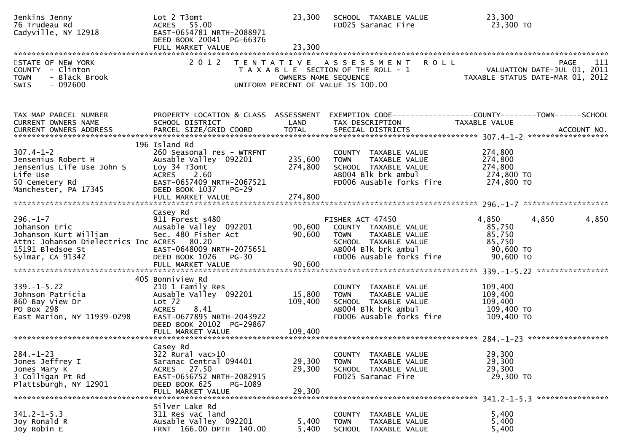| Jenkins Jenny<br>76 Trudeau Rd<br>Cadyville, NY 12918                                                                                          | Lot 2 T3omt<br>ACRES 55.00<br>EAST-0654781 NRTH-2088971<br>DEED BOOK 20041 PG-66376                                                                                                        | 23,300                        | SCHOOL TAXABLE VALUE<br>FD025 Saranac Fire                                                                                                          | 23,300<br>23,300 TO                                                                                               |
|------------------------------------------------------------------------------------------------------------------------------------------------|--------------------------------------------------------------------------------------------------------------------------------------------------------------------------------------------|-------------------------------|-----------------------------------------------------------------------------------------------------------------------------------------------------|-------------------------------------------------------------------------------------------------------------------|
| STATE OF NEW YORK<br>COUNTY - Clinton<br><b>TOWN</b><br>- Black Brook<br>$-092600$<br><b>SWIS</b>                                              | 2 0 1 2                                                                                                                                                                                    | OWNERS NAME SEQUENCE          | <b>ROLL</b><br>TENTATIVE ASSESSMENT<br>T A X A B L E SECTION OF THE ROLL - 1<br>UNIFORM PERCENT OF VALUE IS 100.00                                  | <b>PAGE</b><br>111<br>VALUATION DATE JUL 01, 2012                                                                 |
| TAX MAP PARCEL NUMBER<br>CURRENT OWNERS NAME<br>CURRENT OWNERS ADDRESS                                                                         | SCHOOL DISTRICT                                                                                                                                                                            | LAND                          | TAX DESCRIPTION                                                                                                                                     | PROPERTY LOCATION & CLASS ASSESSMENT EXEMPTION CODE----------------COUNTY-------TOWN------SCHOOL<br>TAXABLE VALUE |
| $307.4 - 1 - 2$<br>Jensenius Robert H<br>Jensenius Life Use John S<br>Life Use<br>50 Cemetery Rd<br>Manchester, PA 17345                       | 196 Island Rd<br>260 Seasonal res - WTRFNT<br>Ausable Valley 092201<br>Loy 34 T3omt<br><b>ACRES</b><br>2.60<br>EAST-0657409 NRTH-2067521<br>DEED BOOK 1037<br>$PG-29$<br>FULL MARKET VALUE | 235,600<br>274,800<br>274,800 | COUNTY TAXABLE VALUE<br>TAXABLE VALUE<br><b>TOWN</b><br>SCHOOL TAXABLE VALUE<br>AB004 Blk brk ambul<br>FD006 Ausable forks fire                     | 274,800<br>274,800<br>274,800<br>274,800 TO<br>274,800 TO                                                         |
| $296. - 1 - 7$<br>Johanson Eric<br>Johanson Kurt William<br>Attn: Johanson Dielectrics Inc ACRES 80.20<br>15191 Bledsoe St<br>Sylmar, CA 91342 | Casey Rd<br>911 Forest s480<br>Ausable Valley 092201<br>Sec. 480 Fisher Act<br>EAST-0648009 NRTH-2075651<br>DEED BOOK 1026<br>$PG-30$<br>FULL MARKET VALUE                                 | 90,600<br>90,600<br>90,600    | FISHER ACT 47450<br>COUNTY TAXABLE VALUE<br>TAXABLE VALUE<br><b>TOWN</b><br>SCHOOL TAXABLE VALUE<br>AB004 Blk brk ambul<br>FD006 Ausable forks fire | 4,850<br>4,850<br>4,850<br>85,750<br>85,750<br>85,750<br>90,600 TO<br>90,600 TO                                   |
| $339. - 1 - 5.22$<br>Johnson Patricia<br>860 Bay View Dr<br>PO Box 298<br>East Marion, NY 11939-0298                                           | 405 Bonniview Rd<br>210 1 Family Res<br>Ausable Valley 092201<br>Lot 72<br>8.41<br><b>ACRES</b><br>EAST-0677895 NRTH-2043922<br>DEED BOOK 20102 PG-29867                                   | 15,800<br>109,400             | COUNTY TAXABLE VALUE<br><b>TOWN</b><br>TAXABLE VALUE<br>SCHOOL TAXABLE VALUE<br>ABOO4 Blk brk ambul<br>FD006 Ausable forks fire                     | 109,400<br>109,400<br>109,400<br>109,400 TO<br>109,400 TO                                                         |
| $284. - 1 - 23$<br>Jones Jeffrey I<br>Jones Mary K<br>3 Colligan Pt Rd<br>Plattsburgh, NY 12901                                                | Casey Rd<br>322 Rural vac>10<br>Saranac Central 094401<br>ACRES 27.50<br>EAST-0656752 NRTH-2082915<br>DEED BOOK 625<br>PG-1089<br>FULL MARKET VALUE                                        | 29,300<br>29,300<br>29,300    | COUNTY TAXABLE VALUE<br>TAXABLE VALUE<br><b>TOWN</b><br>SCHOOL TAXABLE VALUE<br>FD025 Saranac Fire                                                  | 29,300<br>29,300<br>29,300<br>29,300 TO                                                                           |
| $341.2 - 1 - 5.3$<br>Joy Ronald R<br>Joy Robin E                                                                                               | Silver Lake Rd<br>311 Res vac land<br>Ausable Valley 092201<br>FRNT 166.00 DPTH 140.00                                                                                                     | 5,400<br>5,400                | COUNTY TAXABLE VALUE<br>TAXABLE VALUE<br><b>TOWN</b><br>SCHOOL TAXABLE VALUE                                                                        | 5,400<br>5,400<br>5,400                                                                                           |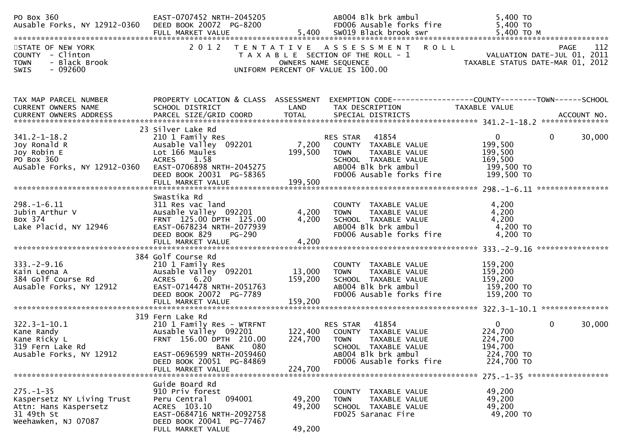| PO Box 360<br>Ausable Forks, NY 12912-0360 DEED BOOK 20072 PG-8200                                          | EAST-0707452 NRTH-2045205<br>FULL MARKET VALUE                                                                                                            |                            | AB004 Blk brk ambul<br>FD006 Ausable forks fire<br>5,400 SW019 Black brook swr                                                                       | 5,400 TO<br>5,400 TO<br>5,400 TO M                                       |                                            |
|-------------------------------------------------------------------------------------------------------------|-----------------------------------------------------------------------------------------------------------------------------------------------------------|----------------------------|------------------------------------------------------------------------------------------------------------------------------------------------------|--------------------------------------------------------------------------|--------------------------------------------|
| STATE OF NEW YORK<br>COUNTY - Clinton<br><b>TOWN</b><br>- Black Brook<br>SWIS<br>- 092600                   | 2 0 1 2                                                                                                                                                   | OWNERS NAME SEQUENCE       | TENTATIVE ASSESSMENT ROLL<br>T A X A B L E SECTION OF THE ROLL - 1<br>UNIFORM PERCENT OF VALUE IS 100.00                                             |                                                                          | PAGE<br>112<br>VALUATION DATE-JUL 01, 2011 |
|                                                                                                             |                                                                                                                                                           |                            |                                                                                                                                                      |                                                                          |                                            |
| TAX MAP PARCEL NUMBER<br>CURRENT OWNERS NAME                                                                | PROPERTY LOCATION & CLASS ASSESSMENT<br>SCHOOL DISTRICT                                                                                                   | LAND                       | EXEMPTION CODE-----------------COUNTY-------TOWN------SCHOOL<br>TAX DESCRIPTION                                                                      | TAXABLE VALUE                                                            |                                            |
|                                                                                                             |                                                                                                                                                           |                            |                                                                                                                                                      |                                                                          |                                            |
| $341.2 - 1 - 18.2$<br>Joy Ronald R<br>Joy Robin E<br>PO Box 360<br>AuSable Forks, NY 12912-0360             | 23 Silver Lake Rd<br>210 1 Family Res<br>Ausable Valley 092201<br>Lot 166 Maules<br>ACRES 1.58<br>EAST-0706898 NRTH-2045275<br>DEED BOOK 20031 PG-58365   | 7,200<br>199,500           | 41854<br>RES STAR<br>COUNTY TAXABLE VALUE<br><b>TOWN</b><br>TAXABLE VALUE<br>SCHOOL TAXABLE VALUE<br>AB004 Blk brk ambul<br>FD006 Ausable forks fire | $\mathbf 0$<br>199,500<br>199,500<br>169,500<br>199,500 TO<br>199,500 TO | $\mathbf{0}$<br>30,000                     |
|                                                                                                             | Swastika Rd                                                                                                                                               |                            |                                                                                                                                                      |                                                                          |                                            |
| $298. - 1 - 6.11$<br>Jubin Arthur V<br>Box 374<br>Lake Placid, NY 12946                                     | 311 Res vac land<br>Ausable Valley 092201<br>FRNT 125.00 DPTH 125.00<br>EAST-0678234 NRTH-2077939<br>DEED BOOK 829<br><b>PG-290</b>                       | 4,200<br>4,200             | COUNTY TAXABLE VALUE<br>TAXABLE VALUE<br>TOWN<br>SCHOOL TAXABLE VALUE<br>AB004 Blk brk ambul<br>FD006 Ausable forks fire                             | 4,200<br>4,200<br>4,200<br>4,200 TO<br>4,200 TO                          |                                            |
|                                                                                                             | 384 Golf Course Rd                                                                                                                                        |                            |                                                                                                                                                      |                                                                          |                                            |
| $333. -2 - 9.16$<br>Kain Leona A<br>384 Golf Course Rd<br>Ausable Forks, NY 12912                           | 210 1 Family Res<br>Ausable Valley 092201<br>ACRES<br>6.20<br>EAST-0714478 NRTH-2051763<br>DEED BOOK 20072 PG-7789                                        | 13,000<br>159,200          | COUNTY TAXABLE VALUE<br>TAXABLE VALUE<br><b>TOWN</b><br>SCHOOL TAXABLE VALUE<br>AB004 Blk brk ambul<br>FD006 Ausable forks fire                      | 159,200<br>159,200<br>159,200<br>159,200 TO<br>159,200 TO                |                                            |
|                                                                                                             | FULL MARKET VALUE                                                                                                                                         | 159,200                    |                                                                                                                                                      |                                                                          |                                            |
| $322.3 - 1 - 10.1$<br>Kane Randy<br>Kane Ricky L<br>319 Fern Lake Rd                                        | 319 Fern Lake Rd<br>210 1 Family Res - WTRFNT<br>Ausable Valley 092201<br>FRNT 156.00 DPTH 210.00<br>080<br>BANK                                          | 122,400<br>224,700         | 41854<br>RES STAR<br>COUNTY TAXABLE VALUE<br><b>TOWN</b><br>TAXABLE VALUE<br>SCHOOL TAXABLE VALUE                                                    | $\mathbf{0}$<br>224,700<br>224,700<br>194,700                            | $\mathbf{0}$<br>30,000                     |
| Ausable Forks, NY 12912                                                                                     | EAST-0696599 NRTH-2059460<br>DEED BOOK 20051 PG-84869                                                                                                     |                            | AB004 Blk brk ambul<br>FD006 Ausable forks fire                                                                                                      | 224,700 TO<br>224,700 TO                                                 |                                            |
|                                                                                                             | FULL MARKET VALUE                                                                                                                                         | 224,700                    |                                                                                                                                                      |                                                                          |                                            |
| $275. - 1 - 35$<br>Kaspersetz NY Living Trust<br>Attn: Hans Kaspersetz<br>31 49th St<br>Weehawken, NJ 07087 | Guide Board Rd<br>910 Priv forest<br>094001<br>Peru Central<br>ACRES 103.10<br>EAST-0684716 NRTH-2092758<br>DEED BOOK 20041 PG-77467<br>FULL MARKET VALUE | 49,200<br>49,200<br>49,200 | COUNTY TAXABLE VALUE<br>TAXABLE VALUE<br>TOWN<br>SCHOOL TAXABLE VALUE<br>FD025 Saranac Fire                                                          | 49,200<br>49,200<br>49,200<br>49,200 TO                                  |                                            |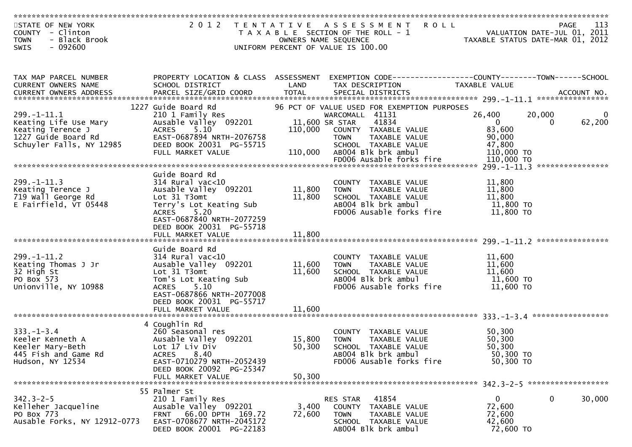| STATE OF NEW YORK<br>COUNTY - Clinton<br>- Black Brook<br><b>TOWN</b><br>$-092600$<br>SWIS                        | 2012 TENTATIVE                                                                                                                                                                                                    |                            | <b>ROLL</b><br>A S S E S S M E N T<br>T A X A B L E SECTION OF THE ROLL - 1<br>OWNERS NAME SEQUENCE<br>UNIFORM PERCENT OF VALUE IS 100.00                                                                                    | TAXABLE STATUS DATE-MAR 01, 2012                                                 | 113<br>PAGE<br>VALUATION DATE-JUL 01, 2011 |
|-------------------------------------------------------------------------------------------------------------------|-------------------------------------------------------------------------------------------------------------------------------------------------------------------------------------------------------------------|----------------------------|------------------------------------------------------------------------------------------------------------------------------------------------------------------------------------------------------------------------------|----------------------------------------------------------------------------------|--------------------------------------------|
|                                                                                                                   |                                                                                                                                                                                                                   |                            |                                                                                                                                                                                                                              |                                                                                  |                                            |
| TAX MAP PARCEL NUMBER<br>CURRENT OWNERS NAME                                                                      | SCHOOL DISTRICT                                                                                                                                                                                                   | LAND                       | PROPERTY LOCATION & CLASS ASSESSMENT EXEMPTION CODE----------------COUNTY-------TOWN------SCHOOL<br>TAX DESCRIPTION                                                                                                          | TAXABLE VALUE                                                                    |                                            |
| $299. -1 - 11.1$<br>Keating Life Use Mary<br>Keating Terence J<br>1227 Guide Board Rd<br>Schuyler Falls, NY 12985 | 1227 Guide Board Rd<br>210 1 Family Res<br>Ausable Valley 092201<br>5.10<br><b>ACRES</b><br>EAST-0687894 NRTH-2076758<br>DEED BOOK 20031 PG-55715<br>FULL MARKET VALUE                                            | 110,000<br>110,000         | 96 PCT OF VALUE USED FOR EXEMPTION PURPOSES<br>WARCOMALL 41131<br>11,600 SR STAR<br>41834<br>COUNTY TAXABLE VALUE<br>TAXABLE VALUE<br><b>TOWN</b><br>SCHOOL TAXABLE VALUE<br>AB004 Blk brk ambul<br>FD006 Ausable forks fire | 26,400<br>$\mathbf{0}$<br>83,600<br>90,000<br>47,800<br>110,000 TO<br>110,000 TO | 20,000<br>0<br>62,200<br>$\Omega$          |
| $299. -1 - 11.3$<br>Keating Terence J<br>719 Wall George Rd<br>E Fairfield, VT 05448                              | Guide Board Rd<br>$314$ Rural vac< $10$<br>Ausable Valley 092201<br>Lot 31 T3omt<br>Terry's Lot Keating Sub<br><b>ACRES</b><br>5.20<br>EAST-0687840 NRTH-2077259<br>DEED BOOK 20031 PG-55718<br>FULL MARKET VALUE | 11,800<br>11,800<br>11,800 | COUNTY TAXABLE VALUE<br>TAXABLE VALUE<br><b>TOWN</b><br>SCHOOL TAXABLE VALUE<br>AB004 Blk brk ambul<br>FD006 Ausable forks fire                                                                                              | 11,800<br>11,800<br>11,800<br>11,800 TO<br>11,800 TO                             |                                            |
| $299. -1 - 11.2$<br>Keating Thomas J Jr<br>32 High St<br>PO Box 573<br>Unionville, NY 10988                       | Guide Board Rd<br>$314$ Rural vac<10<br>Ausable Valley 092201<br>Lot 31 T3omt<br>Tom's Lot Keating Sub<br><b>ACRES</b><br>5.10<br>EAST-0687866 NRTH-2077008<br>DEED BOOK 20031 PG-55717<br>FULL MARKET VALUE      | 11,600<br>11,600<br>11,600 | COUNTY TAXABLE VALUE<br><b>TOWN</b><br>TAXABLE VALUE<br>SCHOOL TAXABLE VALUE<br>AB004 Blk brk ambul<br>FD006 Ausable forks fire                                                                                              | 11,600<br>11,600<br>11,600<br>11,600 TO<br>11,600 TO                             |                                            |
| $333. - 1 - 3.4$<br>Keeler Kenneth A<br>Keeler Mary-Beth<br>445 Fish and Game Rd<br>Hudson, NY 12534              | 4 Coughlin Rd<br>260 Seasonal res<br>Ausable Valley 092201<br>Lot 17 Liv Div<br>8.40<br><b>ACRES</b><br>EAST-0710279 NRTH-2052439<br>DEED BOOK 20092 PG-25347<br>FULL MARKET VALUE                                | 15,800<br>50,300<br>50,300 | COUNTY TAXABLE VALUE<br>TAXABLE VALUE<br><b>TOWN</b><br>SCHOOL TAXABLE VALUE<br>AB004 Blk brk ambul<br>FD006 Ausable forks fire                                                                                              | 50,300<br>50,300<br>50,300<br>50,300 TO<br>50,300 TO                             |                                            |
| $342.3 - 2 - 5$<br>Kelleher Jacqueline<br>PO Box 773<br>Ausable Forks, NY 12912-0773                              | 55 Palmer St<br>210 1 Family Res<br>Ausable Valley 092201<br>66.00 DPTH 169.72<br><b>FRNT</b><br>EAST-0708677 NRTH-2045172<br>DEED BOOK 20001 PG-22183                                                            | 3,400<br>72,600            | 41854<br>RES STAR<br><b>COUNTY</b><br>TAXABLE VALUE<br>TAXABLE VALUE<br><b>TOWN</b><br>SCHOOL TAXABLE VALUE<br>AB004 Blk brk ambul                                                                                           | $\mathbf{0}$<br>72,600<br>72,600<br>42,600<br>72,600 TO                          | 30,000<br>$\mathbf{0}$                     |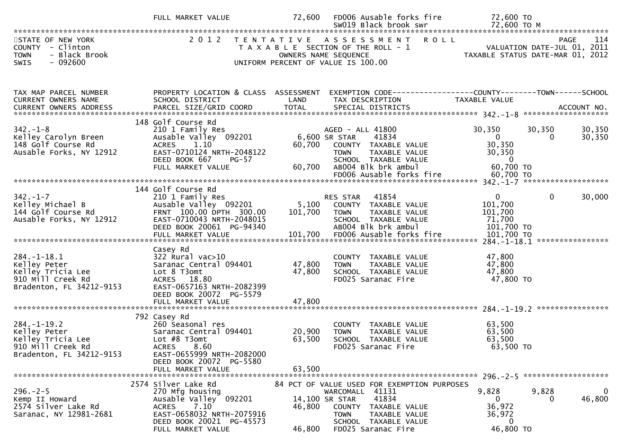| STATE OF NEW YORK<br>2012 TENTATIVE ASSESSMENT ROLL<br><b>PAGE</b><br>- Clinton<br>VALUATION DATE-JUL 01, 2011<br><b>COUNTY</b><br>T A X A B L E SECTION OF THE ROLL - 1<br>- Black Brook<br><b>TOWN</b><br>OWNERS NAME SEQUENCE<br>TAXABLE STATUS DATE-MAR 01, 2012<br>$-092600$<br><b>SWIS</b><br>UNIFORM PERCENT OF VALUE IS 100.00<br>TAX MAP PARCEL NUMBER<br>PROPERTY LOCATION & CLASS ASSESSMENT<br>EXEMPTION CODE-----------------COUNTY--------TOWN------SCHOOL<br>CURRENT OWNERS NAME<br>LAND<br>TAX DESCRIPTION<br><b>TAXABLE VALUE</b><br>SCHOOL DISTRICT<br>PARCEL SIZE/GRID COORD<br><b>TOTAL</b><br><b>CURRENT OWNERS ADDRESS</b><br>SPECIAL DISTRICTS<br>ACCOUNT NO.<br>148 Golf Course Rd<br>$342. - 1 - 8$<br>30,350<br>30,350<br>210 1 Family Res<br>AGED - ALL 41800<br>Kelley Carolyn Breen<br>Ausable Valley 092201<br>6,600 SR STAR<br>41834<br>$\overline{0}$<br>0<br>30,350<br>148 Golf Course Rd<br>1.10<br>60,700 COUNTY TAXABLE VALUE<br><b>ACRES</b><br>Ausable Forks, NY 12912<br>EAST-0710124 NRTH-2048122<br>30,350<br>TAXABLE VALUE<br><b>TOWN</b><br>SCHOOL TAXABLE VALUE<br>$\overline{0}$<br>DEED BOOK 667<br>PG-57<br>60,700 ТО<br>AB004 Blk brk ambul<br>FULL MARKET VALUE<br>60,700<br>FD006 Ausable forks fire<br>60,700 TO<br>144 Golf Course Rd<br>$342. - 1 - 7$<br>41854<br>$\mathbf{0}$<br>$\mathbf{0}$<br>210 1 Family Res<br>RES STAR<br>Kelley Michael B<br>Ausable Valley 092201<br>5,100<br>101,700<br>COUNTY TAXABLE VALUE<br>144 Golf Course Rd<br>FRNT 100.00 DPTH 300.00<br>101,700<br>101,700<br><b>TOWN</b><br>TAXABLE VALUE<br>Ausable Forks, NY 12912<br>EAST-0710043 NRTH-2048015<br>71,700<br>SCHOOL TAXABLE VALUE<br>DEED BOOK 20061 PG-94340<br>AB004 Blk brk ambul<br>101,700 TO<br>****************<br>Casey Rd<br>$284. - 1 - 18.1$<br>$322$ Rural vac $>10$<br>47,800<br>COUNTY TAXABLE VALUE | 114              |
|-----------------------------------------------------------------------------------------------------------------------------------------------------------------------------------------------------------------------------------------------------------------------------------------------------------------------------------------------------------------------------------------------------------------------------------------------------------------------------------------------------------------------------------------------------------------------------------------------------------------------------------------------------------------------------------------------------------------------------------------------------------------------------------------------------------------------------------------------------------------------------------------------------------------------------------------------------------------------------------------------------------------------------------------------------------------------------------------------------------------------------------------------------------------------------------------------------------------------------------------------------------------------------------------------------------------------------------------------------------------------------------------------------------------------------------------------------------------------------------------------------------------------------------------------------------------------------------------------------------------------------------------------------------------------------------------------------------------------------------------------------------------------------------------------------------------------------------------------------------------|------------------|
|                                                                                                                                                                                                                                                                                                                                                                                                                                                                                                                                                                                                                                                                                                                                                                                                                                                                                                                                                                                                                                                                                                                                                                                                                                                                                                                                                                                                                                                                                                                                                                                                                                                                                                                                                                                                                                                                 |                  |
|                                                                                                                                                                                                                                                                                                                                                                                                                                                                                                                                                                                                                                                                                                                                                                                                                                                                                                                                                                                                                                                                                                                                                                                                                                                                                                                                                                                                                                                                                                                                                                                                                                                                                                                                                                                                                                                                 |                  |
|                                                                                                                                                                                                                                                                                                                                                                                                                                                                                                                                                                                                                                                                                                                                                                                                                                                                                                                                                                                                                                                                                                                                                                                                                                                                                                                                                                                                                                                                                                                                                                                                                                                                                                                                                                                                                                                                 | 30,350<br>30,350 |
|                                                                                                                                                                                                                                                                                                                                                                                                                                                                                                                                                                                                                                                                                                                                                                                                                                                                                                                                                                                                                                                                                                                                                                                                                                                                                                                                                                                                                                                                                                                                                                                                                                                                                                                                                                                                                                                                 |                  |
|                                                                                                                                                                                                                                                                                                                                                                                                                                                                                                                                                                                                                                                                                                                                                                                                                                                                                                                                                                                                                                                                                                                                                                                                                                                                                                                                                                                                                                                                                                                                                                                                                                                                                                                                                                                                                                                                 | 30,000           |
|                                                                                                                                                                                                                                                                                                                                                                                                                                                                                                                                                                                                                                                                                                                                                                                                                                                                                                                                                                                                                                                                                                                                                                                                                                                                                                                                                                                                                                                                                                                                                                                                                                                                                                                                                                                                                                                                 |                  |
| Kelley Peter<br>47,800<br>47,800<br>Saranac Central 094401<br>TAXABLE VALUE<br><b>TOWN</b><br>47,800<br>Kelley Tricia Lee<br>Lot 8 T3omt<br>47,800<br>SCHOOL TAXABLE VALUE<br>910 Mill Creek Rd<br>FD025 Saranac Fire<br>47,800 TO<br>ACRES 18.80<br>Bradenton, FL 34212-9153<br>EAST-0657163 NRTH-2082399<br>DEED BOOK 20072 PG-5579                                                                                                                                                                                                                                                                                                                                                                                                                                                                                                                                                                                                                                                                                                                                                                                                                                                                                                                                                                                                                                                                                                                                                                                                                                                                                                                                                                                                                                                                                                                           |                  |
|                                                                                                                                                                                                                                                                                                                                                                                                                                                                                                                                                                                                                                                                                                                                                                                                                                                                                                                                                                                                                                                                                                                                                                                                                                                                                                                                                                                                                                                                                                                                                                                                                                                                                                                                                                                                                                                                 |                  |
| 792 Casey Rd<br>$284. -1 - 19.2$<br>260 Seasonal res<br>63,500<br>COUNTY TAXABLE VALUE<br>20,900<br>63,500<br>Kelley Peter<br>Saranac Central 094401<br><b>TOWN</b><br>TAXABLE VALUE<br>Kelley Tricia Lee<br>63,500<br>63,500<br>Lot #8 T3omt<br>SCHOOL TAXABLE VALUE<br>910 Mill Creek Rd<br>FD025 Saranac Fire<br>63,500 TO<br>ACRES 8.60<br>Bradenton, FL 34212-9153<br>EAST-0655999 NRTH-2082000<br>DEED BOOK 20072 PG-5580                                                                                                                                                                                                                                                                                                                                                                                                                                                                                                                                                                                                                                                                                                                                                                                                                                                                                                                                                                                                                                                                                                                                                                                                                                                                                                                                                                                                                                 |                  |
| 63.500<br>FULL MARKET VALUE                                                                                                                                                                                                                                                                                                                                                                                                                                                                                                                                                                                                                                                                                                                                                                                                                                                                                                                                                                                                                                                                                                                                                                                                                                                                                                                                                                                                                                                                                                                                                                                                                                                                                                                                                                                                                                     |                  |
| 2574 Silver Lake Rd<br>84 PCT OF VALUE USED FOR EXEMPTION PURPOSES<br>9,828<br>9,828<br>$296. - 2 - 5$<br>270 Mfg housing<br>WARCOMALL 41131<br>Ausable Valley <sup>O92201</sup><br>41834<br>14,100 SR STAR<br>Kemp II Howard<br>$\Omega$<br>$\Omega$<br>36,972<br>7.10<br>2574 Silver Lake Rd<br><b>ACRES</b><br>46,800<br>COUNTY TAXABLE VALUE<br>EAST-0658032 NRTH-2075916<br>Saranac, NY 12981-2681<br>36,972<br>TAXABLE VALUE<br><b>TOWN</b><br>DEED BOOK 20021 PG-45573<br>SCHOOL TAXABLE VALUE<br>$\bf{0}$<br>46,800 TO<br>46,800<br>FD025 Saranac Fire<br>FULL MARKET VALUE                                                                                                                                                                                                                                                                                                                                                                                                                                                                                                                                                                                                                                                                                                                                                                                                                                                                                                                                                                                                                                                                                                                                                                                                                                                                             | 0<br>46,800      |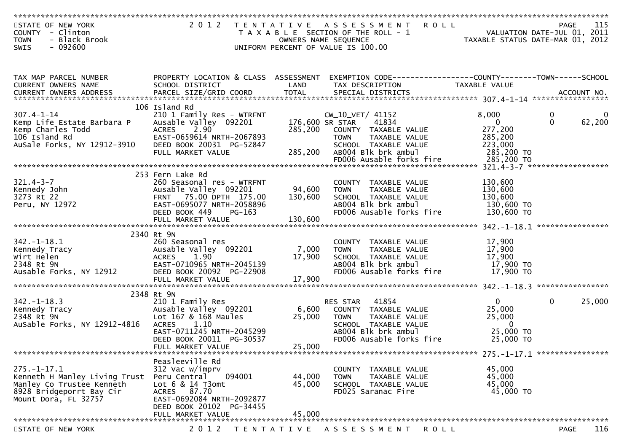| STATE OF NEW YORK<br>COUNTY - Clinton<br>- Black Brook<br><b>TOWN</b>                                                                                                                 |                                                                                                                               |                   | 2012 TENTATIVE ASSESSMENT<br><b>ROLL</b><br>T A X A B L E SECTION OF THE ROLL - 1<br>OWNERS NAME SEQUENCE          | VALUATION DATE-JUL 01, 2011<br>TAXABLE STATUS DATE-MAR 01, 2012 | PAGE                    | 115                   |
|---------------------------------------------------------------------------------------------------------------------------------------------------------------------------------------|-------------------------------------------------------------------------------------------------------------------------------|-------------------|--------------------------------------------------------------------------------------------------------------------|-----------------------------------------------------------------|-------------------------|-----------------------|
| - 092600<br><b>SWIS</b>                                                                                                                                                               |                                                                                                                               |                   | UNIFORM PERCENT OF VALUE IS 100.00                                                                                 |                                                                 |                         |                       |
| TAX MAP PARCEL NUMBER<br>CURRENT OWNERS NAME<br>.CURRENT OWNERS ADDRESS PARCEL SIZE/GRID COORD TOTAL SPECIAL DISTRICTS ACCOUNT NO ACCOUNT NO ACCOUNT NO AND A AND A SPECIAL DISTRICTS | SCHOOL DISTRICT                                                                                                               | LAND              | PROPERTY LOCATION & CLASS ASSESSMENT EXEMPTION CODE---------------COUNTY-------TOWN------SCHOOL<br>TAX DESCRIPTION | TAXABLE VALUE                                                   |                         |                       |
|                                                                                                                                                                                       | 106 Island Rd                                                                                                                 |                   |                                                                                                                    |                                                                 |                         |                       |
| $307.4 - 1 - 14$<br>Kemp Life Estate Barbara P<br>Kemp Charles Todd<br>106 Island Rd                                                                                                  | 210 1 Family Res - WTRFNT<br>Ausable Valley 092201<br>2.90<br><b>ACRES</b><br>EAST-0659614 NRTH-2067893                       | 176,600 SR STAR   | CW_10_VET/ 41152<br>41834<br>285,200 COUNTY TAXABLE VALUE<br>TAXABLE VALUE<br><b>TOWN</b>                          | 8,000<br>$\overline{0}$<br>277,200<br>285,200                   | $\mathbf 0$<br>$\Omega$ | $\mathbf 0$<br>62,200 |
| AuSale Forks, NY 12912-3910                                                                                                                                                           | DEED BOOK 20031 PG-52847<br>FULL MARKET VALUE                                                                                 | 285,200           | SCHOOL TAXABLE VALUE<br>ABOO4 Blk brk ambul<br>FD006 Ausable forks fire                                            | 223,000<br>285,200 TO<br>285,200 TO                             |                         |                       |
|                                                                                                                                                                                       |                                                                                                                               |                   |                                                                                                                    |                                                                 |                         |                       |
| $321.4 - 3 - 7$<br>Kennedy John<br>3273 Rt 22<br>Peru, NY 12972                                                                                                                       | 253 Fern Lake Rd<br>260 Seasonal res - WTRFNT<br>Ausable Valley 092201<br>FRNT 75.00 DPTH 175.00<br>EAST-0695077 NRTH-2058896 | 94,600<br>130,600 | COUNTY TAXABLE VALUE<br>TAXABLE VALUE<br><b>TOWN</b><br>SCHOOL TAXABLE VALUE<br>AB004 Blk brk ambul                | 130,600<br>130,600<br>130,600<br>130,600 TO                     |                         |                       |
|                                                                                                                                                                                       | DEED BOOK 449<br>$PG-163$                                                                                                     |                   | FD006 Ausable forks fire                                                                                           | 130,600 TO                                                      |                         |                       |
|                                                                                                                                                                                       |                                                                                                                               |                   |                                                                                                                    |                                                                 |                         |                       |
| $342. - 1 - 18.1$<br>Kennedy Tracy<br>Wirt Helen<br>2348 Rt 9N                                                                                                                        | 2340 Rt 9N<br>260 Seasonal res<br>Ausable Valley 092201<br><b>ACRES</b><br>1.90<br>EAST-0710965 NRTH-2045139                  | 7,000<br>17,900   | COUNTY TAXABLE VALUE<br>TAXABLE VALUE<br><b>TOWN</b><br>SCHOOL TAXABLE VALUE<br>AB004 Blk brk ambul                | 17,900<br>17,900<br>17,900<br>17,900 TO                         |                         |                       |
| Ausable Forks, NY 12912                                                                                                                                                               | DEED BOOK 20092 PG-22908<br>FULL MARKET VALUE                                                                                 | 17,900            | FD006 Ausable forks fire                                                                                           | 17,900 TO                                                       |                         |                       |
|                                                                                                                                                                                       |                                                                                                                               |                   |                                                                                                                    |                                                                 |                         |                       |
| $342. - 1 - 18.3$                                                                                                                                                                     | 2348 Rt 9N<br>210 1 Family Res                                                                                                |                   | 41854<br>RES STAR                                                                                                  | $\mathbf{0}$                                                    | $\mathbf{0}$            | 25,000                |
| Kennedy Tracy                                                                                                                                                                         | Ausable Valley 092201                                                                                                         | 6,600             | COUNTY TAXABLE VALUE                                                                                               | 25,000                                                          |                         |                       |
| 2348 Rt 9N<br>AuSable Forks, NY 12912-4816                                                                                                                                            | Lot 167 & 168 Maules<br><b>ACRES</b><br>1.10                                                                                  | 25,000            | TAXABLE VALUE<br>TOWN<br>SCHOOL TAXABLE VALUE                                                                      | 25,000<br>$\overline{0}$                                        |                         |                       |
|                                                                                                                                                                                       | EAST-0711245 NRTH-2045299                                                                                                     |                   | AB004 Blk brk ambul                                                                                                | 25,000 TO                                                       |                         |                       |
|                                                                                                                                                                                       | DEED BOOK 20011 PG-30537<br>FULL MARKET VALUE                                                                                 | 25,000            | FD006 Ausable forks fire                                                                                           | 25,000 TO                                                       |                         |                       |
|                                                                                                                                                                                       |                                                                                                                               |                   |                                                                                                                    |                                                                 |                         |                       |
| $275. - 1 - 17.1$                                                                                                                                                                     | Peasleeville Rd<br>312 Vac w/imprv                                                                                            |                   | COUNTY TAXABLE VALUE                                                                                               | 45,000                                                          |                         |                       |
| Kenneth H Manley Living Trust                                                                                                                                                         | Peru Central<br>094001                                                                                                        | 44,000            | TAXABLE VALUE<br><b>TOWN</b>                                                                                       | 45,000                                                          |                         |                       |
| Manley Co Trustee Kenneth<br>8928 Bridgeporrt Bay Cir<br>Mount Dora, FL 32757                                                                                                         | Lot $6 & 14$ T3omt<br>ACRES 87.70<br>EAST-0692084 NRTH-2092877<br>DEED BOOK 20102 PG-34455                                    | 45,000            | SCHOOL TAXABLE VALUE<br>FD025 Saranac Fire                                                                         | 45,000<br>45,000 TO                                             |                         |                       |
|                                                                                                                                                                                       | FULL MARKET VALUE                                                                                                             | 45,000            |                                                                                                                    |                                                                 |                         |                       |
| STATE OF NEW YORK                                                                                                                                                                     | 2 0 1 2                                                                                                                       | T E N T A T I V E | ASSESSMENT<br>R O L L                                                                                              |                                                                 | <b>PAGE</b>             | 116                   |
|                                                                                                                                                                                       |                                                                                                                               |                   |                                                                                                                    |                                                                 |                         |                       |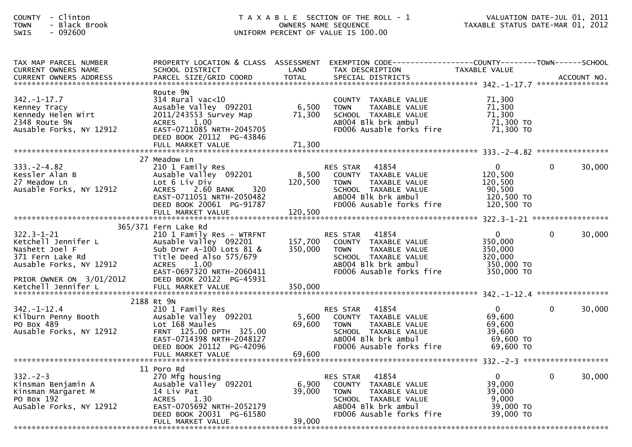| - Clinton<br><b>COUNTY</b><br>- Black Brook<br><b>TOWN</b><br>$-092600$<br>SWIS                                                      |                                                                                                                                                                                  |                           | T A X A B L E SECTION OF THE ROLL - 1<br>OWNERS NAME SEQUENCE<br>UNIFORM PERCENT OF VALUE IS 100.00                                                            | VALUATION DATE-JUL 01, 2011<br>TAXABLE STATUS DATE-MAR 01, 2012            |              |        |
|--------------------------------------------------------------------------------------------------------------------------------------|----------------------------------------------------------------------------------------------------------------------------------------------------------------------------------|---------------------------|----------------------------------------------------------------------------------------------------------------------------------------------------------------|----------------------------------------------------------------------------|--------------|--------|
| TAX MAP PARCEL NUMBER<br>CURRENT OWNERS NAME                                                                                         | PROPERTY LOCATION & CLASS ASSESSMENT<br>SCHOOL DISTRICT                                                                                                                          | LAND                      | EXEMPTION CODE------------------COUNTY--------TOWN------SCHOOL<br>TAX DESCRIPTION                                                                              | TAXABLE VALUE                                                              |              |        |
| $342. - 1 - 17.7$<br>Kenney Tracy<br>Kennedy Helen Wirt<br>2348 Route 9N<br>Ausable Forks, NY 12912                                  | Route 9N<br>$314$ Rural vac< $10$<br>Ausable Valley 092201<br>2011/243553 Survey Map<br>ACRES 1.00<br>EAST-0711085 NRTH-2045705<br>DEED BOOK 20112 PG-43846                      | 6,500<br>71,300           | COUNTY TAXABLE VALUE<br><b>TOWN</b><br>TAXABLE VALUE<br>SCHOOL TAXABLE VALUE<br>ABOO4 Blk brk ambul<br>FD006 Ausable forks fire                                | 71,300<br>71,300<br>71,300<br>71,300 TO<br>71,300 то                       |              |        |
|                                                                                                                                      |                                                                                                                                                                                  |                           |                                                                                                                                                                |                                                                            |              |        |
| $333. -2 - 4.82$<br>Kessler Alan B<br>27 Meadow Ln<br>Ausable Forks, NY 12912                                                        | 27 Meadow Ln<br>210 1 Family Res<br>Ausable Valley 092201<br>Lot 6 Liv Div<br>320<br><b>ACRES</b><br>2.60 BANK<br>EAST-0711051 NRTH-2050482<br>DEED BOOK 20061 PG-91787          | 120,500                   | 41854<br>RES STAR<br>8,500 COUNTY TAXABLE VALUE<br>TAXABLE VALUE<br>TOWN<br>SCHOOL TAXABLE VALUE<br>AB004 Blk brk ambul<br>FD006 Ausable forks fire            | $\overline{0}$<br>120,500<br>120,500<br>90,500<br>120,500 TO<br>120,500 TO | $\mathbf{0}$ | 30,000 |
|                                                                                                                                      | FULL MARKET VALUE                                                                                                                                                                | 120,500                   |                                                                                                                                                                |                                                                            |              |        |
|                                                                                                                                      | 365/371 Fern Lake Rd                                                                                                                                                             |                           |                                                                                                                                                                |                                                                            |              |        |
| $322.3 - 1 - 21$<br>Ketchell Jennifer L<br>Nashett Joel F<br>371 Fern Lake Rd<br>Ausable Forks, NY 12912<br>PRIOR OWNER ON 3/01/2012 | 210 1 Family Res - WTRFNT<br>Ausable Valley 092201<br>Sub Drwr A-100 Lots 81 &<br>Title Deed Also 575/679<br>ACRES 1.00<br>EAST-0697320 NRTH-2060411<br>DEED BOOK 20122 PG-45931 | 157,700<br>350,000        | 41854<br>RES STAR<br>COUNTY TAXABLE VALUE<br><b>TOWN</b><br>TAXABLE VALUE<br>SCHOOL TAXABLE VALUE<br>AB004 Blk brk ambul<br>FD006 Ausable forks fire           | $\mathbf{0}$<br>350,000<br>350,000<br>320,000<br>350,000 TO<br>350,000 TO  | $\mathbf{0}$ | 30,000 |
|                                                                                                                                      |                                                                                                                                                                                  |                           |                                                                                                                                                                |                                                                            |              |        |
|                                                                                                                                      |                                                                                                                                                                                  |                           |                                                                                                                                                                |                                                                            |              |        |
| $342. - 1 - 12.4$<br>Kilburn Penny Booth<br>PO Box 489<br>Ausable Forks, NY 12912                                                    | 2188 Rt 9N<br>210 1 Family Res<br>Ausable Valley 092201<br>Lot 168 Maules<br>FRNT 125.00 DPTH 325.00<br>EAST-0714398 NRTH-2048127<br>DEED BOOK 20112 PG-42096                    | 5,600<br>69,600           | RES STAR<br>41854<br>COUNTY TAXABLE VALUE<br>TAXABLE VALUE<br><b>TOWN</b><br>SCHOOL TAXABLE VALUE<br>AB004 Blk brk ambul<br>FD006 Ausable forks fire           | $\mathbf 0$<br>69,600<br>69,600<br>39,600<br>69,600 TO<br>69,600 TO        | $\mathbf{0}$ | 30,000 |
|                                                                                                                                      | FULL MARKET VALUE                                                                                                                                                                | 69,600                    |                                                                                                                                                                |                                                                            |              |        |
| $332 - 2 - 3$<br>Kinsman Benjamin A<br>Kinsman Margaret M<br>PO Box 192<br>AuSable Forks, NY 12912                                   | 11 Poro Rd<br>270 Mfg housing<br>Ausable Valley 092201<br>14 Liv Pat<br>1.30<br><b>ACRES</b><br>EAST-0705692 NRTH-2052179<br>DEED BOOK 20031 PG-61580<br>FULL MARKET VALUE       | 6,900<br>39,000<br>39,000 | 41854<br><b>RES STAR</b><br><b>COUNTY</b><br>TAXABLE VALUE<br>TOWN<br>TAXABLE VALUE<br>SCHOOL TAXABLE VALUE<br>AB004 Blk brk ambul<br>FD006 Ausable forks fire | 0<br>39,000<br>39,000<br>9,000<br>39,000 TO<br>39,000 TO                   | 0            | 30,000 |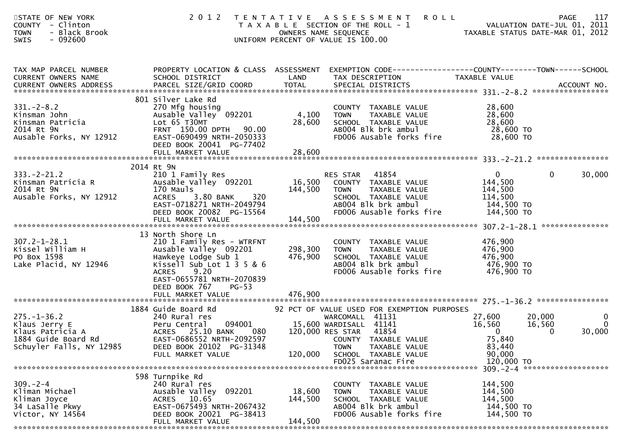| <b>ROLL</b><br>STATE OF NEW YORK<br>2012 TENTATIVE ASSESSMENT<br>COUNTY - Clinton<br>T A X A B L E SECTION OF THE ROLL - 1<br>- Black Brook<br><b>TOWN</b><br>OWNERS NAME SEQUENCE<br>UNIFORM PERCENT OF VALUE IS 100.00<br>SWIS<br>$-092600$                                                                                                                                                                                                                                                             | 117<br>PAGE<br>VALUATION DATE-JUL 01, 2011<br>TAXABLE STATUS DATE-MAR 01, 2012                                          |
|-----------------------------------------------------------------------------------------------------------------------------------------------------------------------------------------------------------------------------------------------------------------------------------------------------------------------------------------------------------------------------------------------------------------------------------------------------------------------------------------------------------|-------------------------------------------------------------------------------------------------------------------------|
| PROPERTY LOCATION & CLASS ASSESSMENT EXEMPTION CODE---------------COUNTY-------TOWN------SCHOOL<br>TAX MAP PARCEL NUMBER<br>CURRENT OWNERS NAME<br>SCHOOL DISTRICT<br>LAND<br>TAX DESCRIPTION<br>TAXABLE VALUE<br>PARCEL SIZE/GRID COORD<br><b>TOTAL</b><br>SPECIAL DISTRICTS<br>CURRENT OWNERS ADDRESS                                                                                                                                                                                                   | ACCOUNT NO.                                                                                                             |
| 801 Silver Lake Rd<br>$331 - 2 - 8.2$<br>270 Mfg housing<br>COUNTY TAXABLE VALUE<br>Ausable Valley 092201<br>4,100<br>Kinsman John<br>TAXABLE VALUE<br><b>TOWN</b><br>28,600<br>Lot 65 T30MT<br>Kinsman Patricia<br>SCHOOL TAXABLE VALUE<br>2014 Rt 9N<br>FRNT 150.00 DPTH 90.00<br>AB004 Blk brk ambul<br>FD006 Ausable forks fire<br>Ausable Forks, NY 12912<br>EAST-0690499 NRTH-2050333<br>DEED BOOK 20041 PG-77402                                                                                   | 28,600<br>28,600<br>28,600<br>28,600 TO<br>28,600 TO                                                                    |
| 2014 Rt 9N                                                                                                                                                                                                                                                                                                                                                                                                                                                                                                |                                                                                                                         |
| $333. -2 - 21.2$<br>41854<br>210 1 Family Res<br>RES STAR<br>Ausable Valley 092201<br>16,500 COUNTY TAXABLE VALUE<br>Kinsman Patricia R<br>2014 Rt 9N<br>170 Mauls<br>144,500<br>TAXABLE VALUE<br><b>TOWN</b><br>Ausable Forks, NY 12912<br>3.80 BANK<br>320<br><b>ACRES</b><br>SCHOOL TAXABLE VALUE<br>EAST-0718271 NRTH-2049794<br>ABOO4 Blk brk ambul<br>FD006 Ausable forks fire<br>DEED BOOK 20082 PG-15564                                                                                          | $\mathbf{0}$<br>$\mathbf{0}$<br>30,000<br>144,500<br>144,500<br>114,500<br>144,500 TO<br>144,500 TO                     |
| 144,500<br>FULL MARKET VALUE                                                                                                                                                                                                                                                                                                                                                                                                                                                                              |                                                                                                                         |
| 13 North Shore Ln<br>$307.2 - 1 - 28.1$<br>210 1 Family Res - WTRFNT<br>COUNTY TAXABLE VALUE<br>Kissel William H<br>Ausable Valley 092201<br>298,300<br>TAXABLE VALUE<br>TOWN<br>PO Box 1598<br>Hawkeye Lodge Sub 1<br>476,900<br>SCHOOL TAXABLE VALUE<br>Kissell Sub Lot 1 3 5 & 6<br>Lake Placid, NY 12946<br>AB004 Blk brk ambul<br><b>ACRES</b><br>9.20<br>FD006 Ausable forks fire<br>EAST-0655781 NRTH-2070839<br>DEED BOOK 767<br>$PG-53$                                                          | 476,900<br>476,900<br>476,900<br>476,900 TO<br>476,900 TO                                                               |
|                                                                                                                                                                                                                                                                                                                                                                                                                                                                                                           |                                                                                                                         |
| 1884 Guide Board Rd<br>92 PCT OF VALUE USED FOR EXEMPTION PURPOSES<br>$275. - 1 - 36.2$<br>240 Rural res<br>27,600<br>WARCOMALL 41131<br>094001 15,600 WARDISALL 41141<br>Klaus Jerry E<br>Peru Central<br>16,560<br>ACRES 25.10 BANK<br>080 120,000 RES STAR 41854<br>Klaus Patricia A<br>1884 Guide Board Rd<br>EAST-0686552 NRTH-2092597<br>COUNTY TAXABLE VALUE<br>Schuyler Falls, NY 12985<br>DEED BOOK 20102 PG-31348<br>TOWN TAXABLE VALUE<br>120,000<br>SCHOOL TAXABLE VALUE<br>FULL MARKET VALUE | $\mathbf 0$<br>20,000<br>$\overline{0}$<br>16,560<br>30,000<br>$\overline{0}$<br>$\Omega$<br>75,840<br>83,440<br>90,000 |
| FD025 Saranac Fire                                                                                                                                                                                                                                                                                                                                                                                                                                                                                        | 120,000 TO                                                                                                              |
|                                                                                                                                                                                                                                                                                                                                                                                                                                                                                                           |                                                                                                                         |
| 598 Turnpike Rd<br>$309. - 2 - 4$<br>240 Rural res<br>COUNTY TAXABLE VALUE<br>Ausable Valley 092201<br>Kliman Michael<br>18,600<br><b>TOWN</b><br>TAXABLE VALUE<br>144,500<br>Kliman Joyce<br>ACRES 10.65<br>SCHOOL TAXABLE VALUE<br>34 LaSalle Pkwy<br>EAST-0675493 NRTH-2067432<br>ABOO4 Blk brk ambul<br>FD006 Ausable forks fire<br>Victor, NY 14564<br>DEED BOOK 20021 PG-38413<br>144,500<br>FULL MARKET VALUE                                                                                      | 144,500<br>144,500<br>144,500<br>144,500 TO<br>144,500 TO                                                               |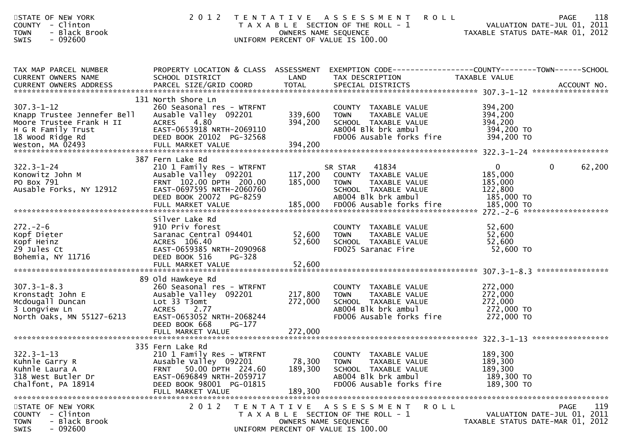| STATE OF NEW YORK<br><b>COUNTY</b><br>- Clinton<br>- Black Brook<br><b>TOWN</b><br>SWIS<br>- 092600                   | 2 0 1 2                                                                                                                                                                                  |                              | TENTATIVE ASSESSMENT<br><b>ROLL</b><br>T A X A B L E SECTION OF THE ROLL - 1<br>OWNERS NAME SEQUENCE<br>UNIFORM PERCENT OF VALUE IS 100.00 | VALUATION DATE-JUL 01, 2011<br>TAXABLE STATUS DATE-MAR 01, 2012 | 118<br><b>PAGE</b><br>VALUATION DATE-JUL 01, 2011 |
|-----------------------------------------------------------------------------------------------------------------------|------------------------------------------------------------------------------------------------------------------------------------------------------------------------------------------|------------------------------|--------------------------------------------------------------------------------------------------------------------------------------------|-----------------------------------------------------------------|---------------------------------------------------|
| TAX MAP PARCEL NUMBER<br>CURRENT OWNERS NAME<br>CURRENT OWNERS ADDRESS                                                | SCHOOL DISTRICT                                                                                                                                                                          | LAND                         | PROPERTY LOCATION & CLASS ASSESSMENT EXEMPTION CODE----------------COUNTY-------TOWN------SCHOOL<br>TAX DESCRIPTION                        | TAXABLE VALUE                                                   |                                                   |
| $307.3 - 1 - 12$<br>Knapp Trustee Jennefer Bell<br>Moore Trustee Frank H II<br>H G R Family Trust<br>18 Wood Ridge Rd | 131 North Shore Ln<br>260 Seasonal res - WTRFNT<br>Ausable Valley 092201<br>ACRES 4.80<br>EAST-0653918 NRTH-2069110<br>DEED BOOK 20102 PG-32568                                          | 339,600<br>394,200           | COUNTY TAXABLE VALUE<br><b>TOWN</b><br>TAXABLE VALUE<br>SCHOOL TAXABLE VALUE<br>ABOO4 Blk brk ambul<br>FD006 Ausable forks fire            | 394,200<br>394,200<br>394,200<br>394,200 TO<br>394,200 TO       |                                                   |
| $322.3 - 1 - 24$<br>Konowitz John M<br>PO Box 791<br>Ausable Forks, NY 12912                                          | 387 Fern Lake Rd<br>210 1 Family Res - WTRFNT<br>Ausable Valley 092201<br>FRNT 102.00 DPTH 200.00<br>EAST-0697595 NRTH-2060760<br>DEED BOOK 20072 PG-8259                                | 117,200<br>185,000           | 41834<br>SR STAR<br>COUNTY TAXABLE VALUE<br>TOWN<br>TAXABLE VALUE<br>SCHOOL TAXABLE VALUE<br>AB004 Blk brk ambul                           | $\overline{0}$<br>185,000<br>185,000<br>122,800<br>185,000 TO   | $\mathbf{0}$<br>62,200                            |
| $272 - 2 - 6$<br>Kopf Dieter<br>Kopf Heinz<br>29 Jules Ct<br>Bohemia, NY 11716                                        | Silver Lake Rd<br>910 Priv forest<br>Saranac Central 094401<br>ACRES 106.40<br>EAST-0659385 NRTH-2090968<br>DEED BOOK 516<br>PG-328<br>FULL MARKET VALUE                                 | 52,600<br>52,600<br>52,600   | COUNTY TAXABLE VALUE<br>TOWN      TAXABLE VALUE<br>SCHOOL   TAXABLE VALUE<br>FD025 Saranac Fire                                            | 52,600<br>52,600<br>52,600<br>52,600 TO                         |                                                   |
| $307.3 - 1 - 8.3$<br>Kronstadt John E<br>Mcdougall Duncan<br>3 Longview Ln<br>North Oaks, MN 55127-6213               | 89 Old Hawkeye Rd<br>260 Seasonal res - WTRFNT<br>Ausable Valley 092201<br>Lot 33 T3omt<br><b>ACRES</b><br>2.77<br>EAST-0653052 NRTH-2068244<br>DEED BOOK 668<br>PG-177                  | 217,800<br>272,000           | COUNTY TAXABLE VALUE<br>TAXABLE VALUE<br><b>TOWN</b><br>SCHOOL TAXABLE VALUE<br>AB004 Blk brk ambul<br>FD006 Ausable forks fire            | 272,000<br>272,000<br>272,000<br>272,000 TO<br>272,000 TO       |                                                   |
| $322.3 - 1 - 13$<br>Kuhnle Garry R<br>Kuhnle Laura A<br>318 West Butler Dr<br>Chalfont, PA 18914                      | 335 Fern Lake Rd<br>210 1 Family Res - WTRFNT<br>Ausable Valley 092201<br>50.00 DPTH 224.60<br><b>FRNT</b><br>EAST-0696849 NRTH-2059717<br>DEED BOOK 98001 PG-01815<br>FULL MARKET VALUE | 78,300<br>189,300<br>189,300 | TAXABLE VALUE<br><b>COUNTY</b><br><b>TOWN</b><br>TAXABLE VALUE<br>SCHOOL TAXABLE VALUE<br>AB004 Blk brk ambul<br>FD006 Ausable forks fire  | 189,300<br>189,300<br>189,300<br>189,300 TO<br>189,300 TO       |                                                   |
| STATE OF NEW YORK<br>COUNTY - Clinton<br><b>TOWN</b><br>- Black Brook<br>SWIS<br>$-092600$                            | 2 0 1 2                                                                                                                                                                                  |                              | TENTATIVE ASSESSMENT<br>ROLL<br>T A X A B L E SECTION OF THE ROLL - 1<br>OWNERS NAME SEQUENCE<br>UNIFORM PERCENT OF VALUE IS 100.00        | TAXABLE STATUS DATE-MAR 01, 2012                                | 119<br><b>PAGE</b><br>VALUATION DATE-JUL 01, 2011 |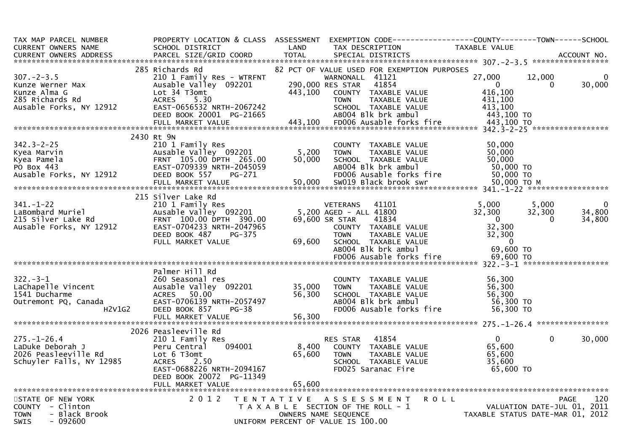| TAX MAP PARCEL NUMBER                             | PROPERTY LOCATION & CLASS ASSESSMENT |                  | EXEMPTION CODE------------------COUNTY--------TOWN------SCHOOL |                                  |          |                |
|---------------------------------------------------|--------------------------------------|------------------|----------------------------------------------------------------|----------------------------------|----------|----------------|
| <b>CURRENT OWNERS NAME</b>                        | SCHOOL DISTRICT                      | LAND             | TAX DESCRIPTION                                                | TAXABLE VALUE                    |          |                |
| <b>CURRENT OWNERS ADDRESS</b>                     | PARCEL SIZE/GRID COORD               | <b>TOTAL</b>     | SPECIAL DISTRICTS                                              |                                  |          | ACCOUNT NO.    |
|                                                   | 285 Richards Rd                      |                  | 82 PCT OF VALUE USED FOR EXEMPTION PURPOSES                    |                                  |          |                |
| $307 - 2 - 3.5$                                   | 210 1 Family Res - WTRFNT            |                  | WARNONALL 41121                                                | 27,000                           | 12,000   | $\Omega$       |
| Kunze Werner Max                                  | Ausable Valley 092201                | 290,000 RES STAR | 41854                                                          | $\overline{0}$                   | $\Omega$ | 30,000         |
| Kunze Alma G                                      | Lot 34 T3omt                         | 443,100          | COUNTY TAXABLE VALUE                                           | 416,100                          |          |                |
| 285 Richards Rd                                   | 5.30<br><b>ACRES</b>                 |                  | TAXABLE VALUE<br><b>TOWN</b>                                   | 431.100                          |          |                |
| Ausable Forks, NY 12912                           | EAST-0656532 NRTH-2067242            |                  | SCHOOL TAXABLE VALUE                                           | 413,100                          |          |                |
|                                                   | DEED BOOK 20001 PG-21665             |                  | AB004 Blk brk ambul                                            | 443,100 TO                       |          |                |
|                                                   | FULL MARKET VALUE                    | 443,100          | FD006 Ausable forks fire                                       | 443,100 TO                       |          |                |
|                                                   |                                      |                  |                                                                |                                  |          |                |
|                                                   | 2430 Rt 9N                           |                  |                                                                |                                  |          |                |
| $342.3 - 2 - 25$                                  | 210 1 Family Res                     |                  | COUNTY TAXABLE VALUE                                           | 50,000                           |          |                |
| Kyea Marvin                                       | Ausable Valley 092201                | 5,200            | <b>TOWN</b><br>TAXABLE VALUE                                   | 50,000                           |          |                |
| Kyea Pamela                                       | FRNT 105.00 DPTH 265.00              | 50,000           | SCHOOL TAXABLE VALUE                                           | 50,000                           |          |                |
| PO Box 443                                        | EAST-0709339 NRTH-2045059            |                  | AB004 Blk brk ambul                                            | 50,000 TO                        |          |                |
| Ausable Forks, NY 12912                           | DEED BOOK 557<br>PG-271              |                  | FD006 Ausable forks fire                                       | 50,000 TO                        |          |                |
|                                                   | FULL MARKET VALUE                    | 50,000           | SW019 Black brook swr                                          | 50,000 ТО М                      |          |                |
|                                                   |                                      |                  |                                                                |                                  |          |                |
|                                                   | 215 Silver Lake Rd                   |                  |                                                                |                                  |          |                |
| $341. - 1 - 22$                                   | 210 1 Family Res                     |                  | <b>VETERANS</b><br>41101                                       | 5,000                            | 5,000    | $\overline{0}$ |
| LaBombard Muriel                                  | Ausable Valley 092201                |                  | 5,200 AGED - ALL 41800                                         | 32,300                           | 32,300   | 34,800         |
| 215 Silver Lake Rd                                | FRNT 100.00 DPTH 390.00              |                  | 69,600 SR STAR<br>41834                                        | $\overline{0}$                   | $\Omega$ | 34,800         |
| Ausable Forks, NY 12912                           | EAST-0704233 NRTH-2047965            |                  | COUNTY TAXABLE VALUE                                           | 32,300                           |          |                |
|                                                   | DEED BOOK 487<br>PG-375              |                  | <b>TOWN</b><br>TAXABLE VALUE                                   | 32,300                           |          |                |
|                                                   | FULL MARKET VALUE                    | 69,600           | SCHOOL TAXABLE VALUE                                           | $\overline{0}$                   |          |                |
|                                                   |                                      |                  | AB004 Blk brk ambul<br>FD006 Ausable forks fire                | 69,600 TO                        |          |                |
|                                                   |                                      |                  |                                                                | 69,600 TO                        |          |                |
|                                                   | Palmer Hill Rd                       |                  |                                                                |                                  |          |                |
| $322 - 3 - 1$                                     | 260 Seasonal res                     |                  | COUNTY TAXABLE VALUE                                           | 56,300                           |          |                |
| LaChapelle Vincent                                | Ausable Valley 092201                | 35,000           | TAXABLE VALUE<br><b>TOWN</b>                                   | 56,300                           |          |                |
| 1541 Ducharme                                     | ACRES 50.00                          | 56,300           | SCHOOL TAXABLE VALUE                                           | 56,300                           |          |                |
| Outremont PQ, Canada                              | EAST-0706139 NRTH-2057497            |                  | AB004 Blk brk ambul                                            | 56,300 TO                        |          |                |
| H2V1G2                                            | DEED BOOK 857<br>$PG-38$             |                  | FD006 Ausable forks fire                                       | 56,300 TO                        |          |                |
|                                                   | FULL MARKET VALUE                    | 56,300           |                                                                |                                  |          |                |
|                                                   |                                      |                  |                                                                |                                  |          |                |
|                                                   | 2026 Peasleeville Rd                 |                  |                                                                |                                  |          |                |
| $275. - 1 - 26.4$                                 | 210 1 Family Res                     |                  | 41854<br>RES STAR                                              | $\mathbf{0}$                     | $\Omega$ | 30,000         |
| LaDuke Deborah J                                  | 094001<br>Peru Central               | 8,400            | COUNTY TAXABLE VALUE                                           | 65,600                           |          |                |
| 2026 Peasleeville Rd                              | Lot 6 T3omt                          | 65,600           | TAXABLE VALUE<br><b>TOWN</b>                                   | 65,600                           |          |                |
| Schuyler Falls, NY 12985                          | <b>ACRES</b><br>2.50                 |                  | SCHOOL TAXABLE VALUE                                           | 35,600                           |          |                |
|                                                   | EAST-0688226 NRTH-2094167            |                  | FD025 Saranac Fire                                             | 65,600 TO                        |          |                |
|                                                   | DEED BOOK 20072 PG-11349             |                  |                                                                |                                  |          |                |
|                                                   |                                      |                  |                                                                |                                  |          |                |
|                                                   |                                      |                  |                                                                |                                  |          |                |
| STATE OF NEW YORK                                 | 2 0 1 2                              |                  | TENTATIVE ASSESSMENT<br><b>ROLL</b>                            |                                  |          | 120<br>PAGE    |
| COUNTY - Clinton                                  |                                      |                  | T A X A B L E SECTION OF THE ROLL - 1                          | VALUATION DATE-JUL 01, 2011      |          |                |
| <b>TOWN</b><br>- Black Brook<br>$-092600$<br>SWIS |                                      |                  | OWNERS NAME SEQUENCE<br>UNIFORM PERCENT OF VALUE IS 100.00     | TAXABLE STATUS DATE-MAR 01, 2012 |          |                |
|                                                   |                                      |                  |                                                                |                                  |          |                |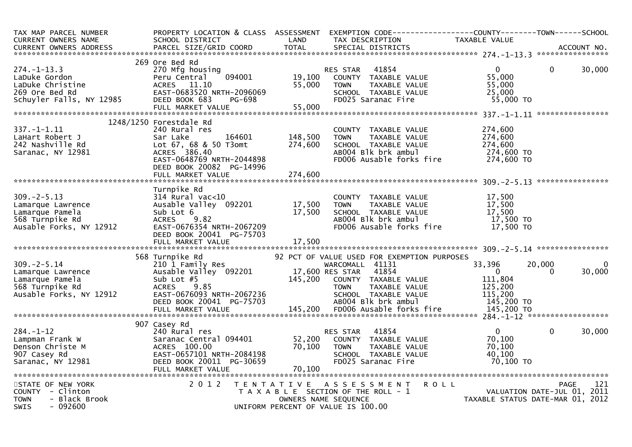| TAX MAP PARCEL NUMBER<br>CURRENT OWNERS NAME                                                            | PROPERTY LOCATION & CLASS ASSESSMENT<br>SCHOOL DISTRICT                                                                                                                     | LAND                       | EXEMPTION CODE-----------------COUNTY-------TOWN------SCHOOL<br>TAX DESCRIPTION                                                                                                        | TAXABLE VALUE                                                                   |                                                   |
|---------------------------------------------------------------------------------------------------------|-----------------------------------------------------------------------------------------------------------------------------------------------------------------------------|----------------------------|----------------------------------------------------------------------------------------------------------------------------------------------------------------------------------------|---------------------------------------------------------------------------------|---------------------------------------------------|
| CURRENT OWNERS ADDRESS                                                                                  | PARCEL SIZE/GRID COORD                                                                                                                                                      | <b>TOTAL</b>               | SPECIAL DISTRICTS                                                                                                                                                                      |                                                                                 | ACCOUNT NO.                                       |
| $274. - 1 - 13.3$<br>LaDuke Gordon<br>LaDuke Christine<br>269 Ore Bed Rd<br>Schuyler Falls, NY 12985    | 269 Ore Bed Rd<br>270 Mfg housing<br>Peru Central<br>094001<br>ACRES 11.10<br>EAST-0683520 NRTH-2096069<br>DEED BOOK 683<br>PG-698<br>FULL MARKET VALUE                     | 19,100<br>55,000<br>55,000 | 41854<br>RES STAR<br>COUNTY TAXABLE VALUE<br><b>TOWN</b><br>TAXABLE VALUE<br>SCHOOL TAXABLE VALUE<br>FD025 Saranac Fire                                                                | $\Omega$<br>55,000<br>55,000<br>25,000<br>55,000 TO                             | 30,000<br>$\mathbf{0}$                            |
|                                                                                                         |                                                                                                                                                                             |                            |                                                                                                                                                                                        |                                                                                 |                                                   |
| $337. - 1 - 1.11$<br>LaHart Robert J<br>242 Nashville Rd<br>Saranac, NY 12981                           | 1248/1250 Forestdale Rd<br>240 Rural res<br>164601<br>Sar Lake<br>Lot 67, 68 & 50 T3omt<br>ACRES 386.40<br>EAST-0648769 NRTH-2044898<br>DEED BOOK 20082 PG-14996            | 148,500<br>274,600         | COUNTY TAXABLE VALUE<br>TAXABLE VALUE<br><b>TOWN</b><br>SCHOOL TAXABLE VALUE<br>AB004 Blk brk ambul<br>FD006 Ausable forks fire                                                        | 274,600<br>274,600<br>274,600<br>274,600 TO<br>274,600 TO                       |                                                   |
|                                                                                                         | FULL MARKET VALUE                                                                                                                                                           | 274,600                    |                                                                                                                                                                                        |                                                                                 |                                                   |
| $309. -2 - 5.13$<br>Lamarque Lawrence<br>Lamarque Pamela<br>568 Turnpike Rd<br>Ausable Forks, NY 12912  | Turnpike Rd<br>314 Rural vac<10<br>Ausable Valley 092201<br>Sub Lot 6<br>9.82<br><b>ACRES</b><br>EAST-0676354 NRTH-2067209<br>DEED BOOK 20041 PG-75703<br>FULL MARKET VALUE | 17,500<br>17,500<br>17,500 | COUNTY TAXABLE VALUE<br><b>TAXABLE VALUE</b><br><b>TOWN</b><br>SCHOOL TAXABLE VALUE<br>ABOO4 Blk brk ambul<br>FD006 Ausable forks fire                                                 | 17,500<br>17,500<br>17,500<br>17,500 TO<br>17,500 TO                            |                                                   |
|                                                                                                         | 568 Turnpike Rd                                                                                                                                                             |                            | 92 PCT OF VALUE USED FOR EXEMPTION PURPOSES                                                                                                                                            |                                                                                 |                                                   |
| $309. - 2 - 5.14$<br>Lamarque Lawrence<br>Lamarque Pamela<br>568 Turnpike Rd<br>Ausable Forks, NY 12912 | 210 1 Family Res<br>Ausable Valley 092201<br>Sub Lot $#5$<br><b>ACRES</b><br>9.85<br>EAST-0676093 NRTH-2067236<br>DEED BOOK 20041 PG-75703<br>FULL MARKET VALUE             | 145,200                    | WARCOMALL 41131<br>17,600 RES STAR<br>41854<br>COUNTY TAXABLE VALUE<br>TAXABLE VALUE<br><b>TOWN</b><br>SCHOOL TAXABLE VALUE<br>AB004 Blk brk ambul<br>145,200 FD006 Ausable forks fire | 33,396<br>$\Omega$<br>111,804<br>125,200<br>115,200<br>145,200 TO<br>145,200 TO | $\mathbf 0$<br>20,000<br>30,000<br>0              |
|                                                                                                         | 907 Casey Rd                                                                                                                                                                |                            |                                                                                                                                                                                        |                                                                                 |                                                   |
| $284. -1 - 12$<br>Lampman Frank W<br>Denson Christe M<br>907 Casey Rd<br>Saranac, NY 12981              | 240 Rural res<br>Saranac Central 094401<br>ACRES 100.00<br>EAST-0657101 NRTH-2084198<br>DEED BOOK 20011 PG-30659<br>FULL MARKET VALUE                                       | 52,200<br>70,100<br>70,100 | 41854<br>RES STAR<br>COUNTY TAXABLE VALUE<br>TOWN<br>TAXABLE VALUE<br>SCHOOL TAXABLE VALUE<br>FD025 Saranac Fire                                                                       | $\overline{0}$<br>70,100<br>70,100<br>40,100<br>70,100 TO                       | $\mathbf{0}$<br>30,000                            |
| STATE OF NEW YORK<br>COUNTY - Clinton<br><b>TOWN</b><br>- Black Brook<br><b>SWIS</b><br>- 092600        | 2 0 1 2<br>T E N T A T I V E                                                                                                                                                |                            | <b>ROLL</b><br>A S S E S S M E N T<br>T A X A B L E SECTION OF THE ROLL - 1<br>OWNERS NAME SEQUENCE<br>UNIFORM PERCENT OF VALUE IS 100.00                                              | TAXABLE STATUS DATE-MAR 01, 2012                                                | 121<br><b>PAGE</b><br>VALUATION DATE-JUL 01, 2011 |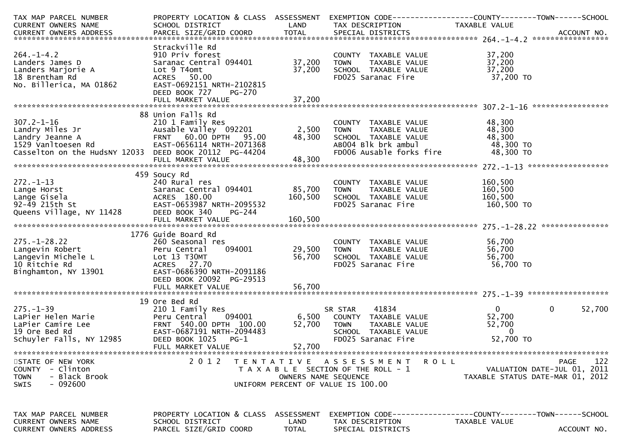| TAX MAP PARCEL NUMBER                                   | PROPERTY LOCATION & CLASS ASSESSMENT         |                      |                                       | EXEMPTION CODE------------------COUNTY--------TOWN------SCHOOL |
|---------------------------------------------------------|----------------------------------------------|----------------------|---------------------------------------|----------------------------------------------------------------|
| CURRENT OWNERS NAME                                     | SCHOOL DISTRICT                              | LAND                 | TAX DESCRIPTION                       | TAXABLE VALUE                                                  |
|                                                         |                                              |                      |                                       |                                                                |
|                                                         | Strackville Rd                               |                      |                                       |                                                                |
| $264. -1 - 4.2$                                         | 910 Priv forest                              |                      | COUNTY TAXABLE VALUE                  | 37,200                                                         |
| Landers James D                                         | Saranac Central 094401                       | 37,200               | TAXABLE VALUE<br><b>TOWN</b>          | 37,200                                                         |
| Landers Marjorie A                                      | Lot 9 T4omt                                  | 37,200               | SCHOOL TAXABLE VALUE                  | 37,200                                                         |
| 18 Brentham Rd                                          | ACRES 50.00                                  |                      | FD025 Saranac Fire                    | 37,200 TO                                                      |
| No. Billerica, MA 01862                                 | EAST-0692151 NRTH-2102815                    |                      |                                       |                                                                |
|                                                         | DEED BOOK 727<br>PG-270                      |                      |                                       |                                                                |
|                                                         |                                              |                      |                                       |                                                                |
|                                                         | 88 Union Falls Rd                            |                      |                                       |                                                                |
| $307.2 - 1 - 16$                                        | 210 1 Family Res                             |                      | COUNTY TAXABLE VALUE                  | 48,300                                                         |
| Landry Miles Jr                                         | Ausable Valley 092201                        | 2,500                | <b>TOWN</b><br>TAXABLE VALUE          | 48,300                                                         |
| Landry Jeanne A                                         | FRNT 60.00 DPTH 95.00                        | 48,300               | SCHOOL TAXABLE VALUE                  | 48,300                                                         |
| 1529 Vanltoesen Rd                                      | EAST-0656114 NRTH-2071368                    |                      | ABOO4 Blk brk ambul                   | 48,300 TO                                                      |
| Casselton on the HudsNY 12033 DEED BOOK 20112 PG-44204  |                                              |                      | FD006 Ausable forks fire              | 48,300 TO                                                      |
|                                                         | FULL MARKET VALUE                            | 48,300               |                                       |                                                                |
|                                                         |                                              |                      |                                       |                                                                |
|                                                         | 459 Soucy Rd                                 |                      |                                       |                                                                |
| $272 - 1 - 13$                                          | 240 Rural res                                |                      | COUNTY TAXABLE VALUE                  | 160,500                                                        |
| Lange Horst                                             | Saranac Central 094401                       | 85,700               | <b>TOWN</b><br>TAXABLE VALUE          | 160,500                                                        |
| Lange Gisela                                            | ACRES 180.00                                 | 160,500              | SCHOOL TAXABLE VALUE                  | 160,500                                                        |
| 92-49 215th St<br>Queens Village, NY 11428              | EAST-0653987 NRTH-2095532                    |                      | FD025 Saranac Fire                    | 160,500 TO                                                     |
|                                                         | DEED BOOK 340<br>PG-244<br>FULL MARKET VALUE | 160,500              |                                       |                                                                |
|                                                         |                                              |                      |                                       |                                                                |
|                                                         | 1776 Guide Board Rd                          |                      |                                       |                                                                |
| $275. - 1 - 28.22$                                      | 260 Seasonal res                             |                      | COUNTY TAXABLE VALUE                  | 56,700                                                         |
| Langevin Robert                                         | 094001<br>Peru Central                       | 29,500               | TAXABLE VALUE<br><b>TOWN</b>          | 56,700                                                         |
| Langevin Michele L                                      | Lot 13 T30MT                                 | 56,700               | SCHOOL TAXABLE VALUE                  | 56,700                                                         |
| 10 Ritchie Rd                                           | ACRES 27.70                                  |                      | FD025 Saranac Fire                    | 56,700 TO                                                      |
| Binghamton, NY 13901                                    | EAST-0686390 NRTH-2091186                    |                      |                                       |                                                                |
|                                                         | DEED BOOK 20092 PG-29513                     |                      |                                       |                                                                |
|                                                         |                                              |                      |                                       |                                                                |
|                                                         | 19 Ore Bed Rd                                |                      |                                       |                                                                |
| $275. - 1 - 39$                                         | 210 1 Family Res                             |                      | 41834<br>SR STAR                      | $\mathbf{0}$<br>0<br>52,700                                    |
| LaPier Helen Marie                                      | 094001<br>Peru Central                       | 6,500                | COUNTY TAXABLE VALUE                  | 52,700                                                         |
| LaPier Camire Lee                                       | FRNT 540.00 DPTH 100.00                      | 52,700               | <b>TOWN</b><br>TAXABLE VALUE          | 52,700                                                         |
| 19 Ore Bed Rd                                           | EAST-0687191 NRTH-2094483                    |                      | SCHOOL TAXABLE VALUE                  | $\Omega$                                                       |
| Schuyler Falls, NY 12985                                | DEED BOOK 1025<br>PG-1                       |                      | FD025 Saranac Fire                    | 52,700 TO                                                      |
|                                                         | FULL MARKET VALUE                            | 52,700               |                                       |                                                                |
|                                                         |                                              |                      |                                       |                                                                |
| STATE OF NEW YORK                                       | 2 0 1 2<br>T E N T A T I V E                 |                      | <b>ROLL</b><br>A S S E S S M E N T    | 122<br>PAGE                                                    |
| COUNTY - Clinton                                        |                                              |                      | T A X A B L E SECTION OF THE ROLL - 1 | VALUATION DATE-JUL 01, 2011                                    |
| - Black Brook<br><b>TOWN</b><br>- 092600<br><b>SWIS</b> |                                              | OWNERS NAME SEQUENCE | UNIFORM PERCENT OF VALUE IS 100.00    | TAXABLE STATUS DATE-MAR 01, 2012                               |
|                                                         |                                              |                      |                                       |                                                                |
|                                                         |                                              |                      |                                       |                                                                |
|                                                         |                                              |                      |                                       |                                                                |
| TAX MAP PARCEL NUMBER                                   | PROPERTY LOCATION & CLASS ASSESSMENT         |                      |                                       | EXEMPTION CODE-----------------COUNTY-------TOWN------SCHOOL   |
| <b>CURRENT OWNERS NAME</b>                              | SCHOOL DISTRICT                              | LAND                 | TAX DESCRIPTION                       | TAXABLE VALUE                                                  |
| CURRENT OWNERS ADDRESS                                  | PARCEL SIZE/GRID COORD                       | <b>TOTAL</b>         | SPECIAL DISTRICTS                     | ACCOUNT NO.                                                    |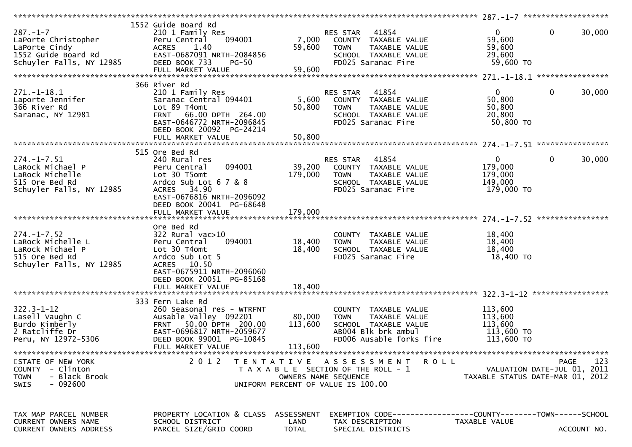| $287. - 1 - 7$<br>LaPorte Christopher<br>LaPorte Cindy<br>1552 Guide Board Rd<br>Schuyler Falls, NY 12985  | 1552 Guide Board Rd<br>210 1 Family Res<br>094001<br>Peru Central<br><b>ACRES</b><br>1.40<br>EAST-0687091 NRTH-2084856<br>DEED BOOK 733<br><b>PG-50</b><br>FULL MARKET VALUE       | 7,000<br>59,600<br>59,600    | RES STAR 41854<br>COUNTY TAXABLE VALUE<br><b>TOWN</b><br>TAXABLE VALUE<br>SCHOOL TAXABLE VALUE<br>FD025 Saranac Fire                  | $\mathbf{0}$<br>59,600<br>59,600<br>29,600<br>59,600 TO     | $\mathbf 0$<br>30,000                                            |
|------------------------------------------------------------------------------------------------------------|------------------------------------------------------------------------------------------------------------------------------------------------------------------------------------|------------------------------|---------------------------------------------------------------------------------------------------------------------------------------|-------------------------------------------------------------|------------------------------------------------------------------|
| $271. - 1 - 18.1$<br>Laporte Jennifer<br>366 River Rd<br>Saranac, NY 12981                                 | 366 River Rd<br>210 1 Family Res<br>Saranac Central 094401<br>Lot 89 T4omt<br>FRNT 66.00 DPTH 264.00<br>EAST-0646772 NRTH-2096845<br>DEED BOOK 20092 PG-24214<br>FULL MARKET VALUE | 5,600<br>50,800<br>50,800    | 41854<br>RES STAR<br>COUNTY TAXABLE VALUE<br><b>TOWN</b><br>TAXABLE VALUE<br>SCHOOL TAXABLE VALUE<br>FD025 Saranac Fire               | $\overline{0}$<br>50,800<br>50,800<br>20,800<br>50,800 TO   | $\mathbf 0$<br>30,000                                            |
|                                                                                                            |                                                                                                                                                                                    |                              |                                                                                                                                       |                                                             |                                                                  |
| $274. - 1 - 7.51$<br>LaRock Michael P<br>LaRock Michelle<br>515 Ore Bed Rd<br>Schuyler Falls, NY 12985     | 515 Ore Bed Rd<br>240 Rural res<br>094001<br>Peru Central<br>Lot 30 T5omt<br>Ardco Sub Lot 6 7 & 8<br>ACRES 34.90<br>EAST-0676816 NRTH-2096092                                     | 39,200<br>179,000            | 41854<br>RES STAR<br>COUNTY TAXABLE VALUE<br>TAXABLE VALUE<br><b>TOWN</b><br>SCHOOL TAXABLE VALUE<br>FD025 Saranac Fire               | $\mathbf{0}$<br>179,000<br>179,000<br>149,000<br>179,000 TO | 0<br>30,000                                                      |
| $274. - 1 - 7.52$<br>LaRock Michelle L                                                                     | DEED BOOK 20041 PG-68648<br>FULL MARKET VALUE<br>Ore Bed Rd<br>$322$ Rural vac $>10$<br>094001<br>Peru Central                                                                     | 179,000<br>18,400            | COUNTY TAXABLE VALUE<br>TAXABLE VALUE<br><b>TOWN</b>                                                                                  | 18,400<br>18,400                                            |                                                                  |
| LaRock Michael P<br>515 Ore Bed Rd<br>Schuyler Falls, NY 12985                                             | Lot 30 T4omt<br>Ardco Sub Lot 5<br>10.50<br><b>ACRES</b><br>EAST-0675911 NRTH-2096060<br>DEED BOOK 20051 PG-85168<br>FULL MARKET VALUE                                             | 18,400<br>18,400             | SCHOOL TAXABLE VALUE<br>FD025 Saranac Fire                                                                                            | 18,400<br>18,400 TO                                         |                                                                  |
|                                                                                                            |                                                                                                                                                                                    |                              |                                                                                                                                       |                                                             |                                                                  |
| $322.3 - 1 - 12$<br>Lasell Vaughn C<br>Burdo Kimberly<br>2 Ratcliffe Dr<br>Peru, NY 12972-5306             | 333 Fern Lake Rd<br>260 Seasonal res - WTRFNT<br>Ausable Valley 092201<br>FRNT 50.00 DPTH 200.00<br>EAST-0696817 NRTH-2059677<br>DEED BOOK 99001 PG-10845<br>FULL MARKET VALUE     | 80,000<br>113,600<br>113,600 | COUNTY TAXABLE VALUE<br>TAXABLE VALUE<br><b>TOWN</b><br>SCHOOL TAXABLE VALUE<br>AB004 Blk brk ambul<br>FD006 Ausable forks fire       | 113,600<br>113,600<br>113,600<br>113,600 TO<br>113,600 TO   |                                                                  |
| STATE OF NEW YORK<br>- Clinton<br><b>COUNTY</b><br>- Black Brook<br><b>TOWN</b><br>- 092600<br><b>SWIS</b> | **************************<br>2 0 1 2                                                                                                                                              | T E N T A T I V E            | A S S E S S M E N T<br>R O L L<br>T A X A B L E SECTION OF THE ROLL - 1<br>OWNERS NAME SEQUENCE<br>UNIFORM PERCENT OF VALUE IS 100.00 | TAXABLE STATUS DATE-MAR 01, 2012                            | ***********<br>123<br><b>PAGE</b><br>VALUATION DATE-JUL 01, 2011 |
| TAX MAP PARCEL NUMBER<br><b>CURRENT OWNERS NAME</b><br>CURRENT OWNERS ADDRESS                              | PROPERTY LOCATION & CLASS ASSESSMENT<br>SCHOOL DISTRICT<br>PARCEL SIZE/GRID COORD                                                                                                  | LAND<br><b>TOTAL</b>         | EXEMPTION        CODE------------------COUNTY-------TOWN------SCHOOL<br>TAX DESCRIPTION<br>SPECIAL DISTRICTS                          | TAXABLE VALUE                                               | ACCOUNT NO.                                                      |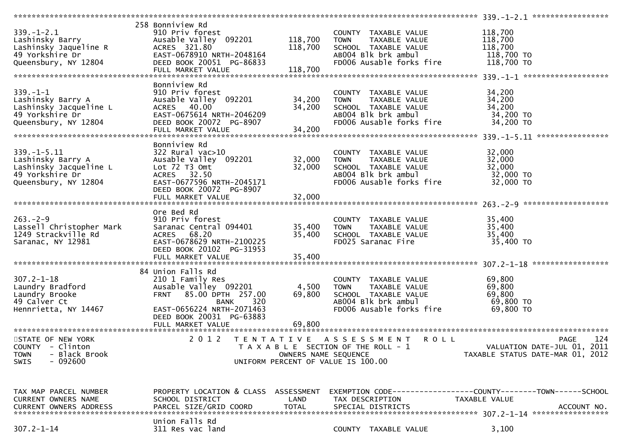|                               | 258 Bonniview Rd                     |                      |                                       |                                  |
|-------------------------------|--------------------------------------|----------------------|---------------------------------------|----------------------------------|
| $339. - 1 - 2.1$              | 910 Priv forest                      |                      | COUNTY TAXABLE VALUE                  | 118,700                          |
| Lashinsky Barry               | Ausable Valley 092201                | 118,700              | TAXABLE VALUE<br><b>TOWN</b>          | 118,700                          |
|                               |                                      |                      |                                       |                                  |
| Lashinsky Jaqueline R         | ACRES 321.80                         | 118,700              | SCHOOL TAXABLE VALUE                  | 118,700                          |
| 49 Yorkshire Dr               | EAST-0678910 NRTH-2048164            |                      | AB004 Blk brk ambul                   | 118,700 TO                       |
| Queensbury, NY 12804          | DEED BOOK 20051 PG-86833             |                      | FD006 Ausable forks fire              | 118,700 TO                       |
|                               | FULL MARKET VALUE                    | 118,700              |                                       |                                  |
|                               |                                      |                      |                                       |                                  |
|                               | Bonniview Rd                         |                      |                                       |                                  |
| $339. - 1 - 1$                | 910 Priv forest                      |                      | COUNTY TAXABLE VALUE                  | 34,200                           |
|                               |                                      |                      |                                       |                                  |
| Lashinsky Barry A             | Ausable Valley 092201                | 34,200               | TAXABLE VALUE<br><b>TOWN</b>          | 34,200                           |
| Lashinsky Jacqueline L        | ACRES 40.00                          | 34,200               | SCHOOL TAXABLE VALUE                  | 34,200                           |
| 49 Yorkshire Dr               | EAST-0675614 NRTH-2046209            |                      | AB004 Blk brk ambul                   | 34,200 TO                        |
| Queensbury, NY 12804          | DEED BOOK 20072 PG-8907              |                      | FD006 Ausable forks fire              | 34,200 TO                        |
|                               | FULL MARKET VALUE                    | 34,200               |                                       |                                  |
|                               |                                      |                      |                                       |                                  |
|                               |                                      |                      |                                       |                                  |
|                               | Bonniview Rd                         |                      |                                       |                                  |
| $339. - 1 - 5.11$             | $322$ Rural vac $>10$                |                      | COUNTY TAXABLE VALUE                  | 32,000                           |
| Lashinsky Barry A             | Ausable Valley 092201                | 32,000               | TAXABLE VALUE<br><b>TOWN</b>          | 32,000                           |
| Lashinsky Jacqueline L        | Lot 72 T3 Omt                        | 32,000               | SCHOOL TAXABLE VALUE                  | 32,000                           |
| 49 Yorkshire Dr               | ACRES 32.50                          |                      | AB004 Blk brk ambul                   | 32,000 TO                        |
|                               | EAST-0677596 NRTH-2045171            |                      | FD006 Ausable forks fire              | 32,000 TO                        |
| Queensbury, NY 12804          |                                      |                      |                                       |                                  |
|                               | DEED BOOK 20072 PG-8907              |                      |                                       |                                  |
|                               | FULL MARKET VALUE                    | 32,000               |                                       |                                  |
|                               |                                      |                      |                                       |                                  |
|                               | Ore Bed Rd                           |                      |                                       |                                  |
| $263 - 2 - 9$                 | 910 Priv forest                      |                      | COUNTY TAXABLE VALUE                  | 35,400                           |
| Lassell Christopher Mark      | Saranac Central 094401               | 35,400               | TAXABLE VALUE<br><b>TOWN</b>          | 35,400                           |
|                               |                                      |                      |                                       |                                  |
| 1249 Strackville Rd           | ACRES 68.20                          | 35,400               | SCHOOL TAXABLE VALUE                  | 35,400                           |
| Saranac, NY 12981             | EAST-0678629 NRTH-2100225            |                      | FD025 Saranac Fire                    | 35,400 TO                        |
|                               |                                      |                      |                                       |                                  |
|                               | DEED BOOK 20102 PG-31953             |                      |                                       |                                  |
|                               |                                      |                      |                                       |                                  |
|                               | FULL MARKET VALUE                    | 35,400               |                                       |                                  |
|                               |                                      |                      |                                       |                                  |
|                               | 84 Union Falls Rd                    |                      |                                       |                                  |
| $307.2 - 1 - 18$              | 210 1 Family Res                     |                      | COUNTY TAXABLE VALUE                  | 69,800                           |
| Laundry Bradford              | Ausable Valley 092201                | 4,500                | TAXABLE VALUE<br><b>TOWN</b>          | 69,800                           |
| Laundry Brooke                | 85.00 DPTH 257.00<br><b>FRNT</b>     | 69,800               | SCHOOL TAXABLE VALUE                  | 69,800                           |
|                               | <b>BANK</b>                          |                      |                                       |                                  |
| 49 Calver Ct                  | 320                                  |                      | AB004 Blk brk ambul                   | 69,800 TO                        |
| Hennrietta, NY 14467          | EAST-0656224 NRTH-2071463            |                      | FD006 Ausable forks fire              | 69,800 TO                        |
|                               | DEED BOOK 20031 PG-63883             |                      |                                       |                                  |
|                               |                                      |                      |                                       |                                  |
|                               |                                      |                      |                                       |                                  |
| STATE OF NEW YORK             | 2 0 1 2                              |                      | TENTATIVE ASSESSMENT<br><b>ROLL</b>   | 124<br><b>PAGE</b>               |
| COUNTY - Clinton              |                                      |                      |                                       | VALUATION DATE-JUL 01, 2011      |
|                               |                                      |                      | T A X A B L E SECTION OF THE ROLL - 1 |                                  |
| - Black Brook<br><b>TOWN</b>  |                                      | OWNERS NAME SEQUENCE |                                       | TAXABLE STATUS DATE-MAR 01, 2012 |
| $-092600$<br><b>SWIS</b>      |                                      |                      | UNIFORM PERCENT OF VALUE IS 100.00    |                                  |
|                               |                                      |                      |                                       |                                  |
|                               |                                      |                      |                                       |                                  |
|                               |                                      |                      |                                       |                                  |
| TAX MAP PARCEL NUMBER         | PROPERTY LOCATION & CLASS ASSESSMENT |                      |                                       |                                  |
| <b>CURRENT OWNERS NAME</b>    | SCHOOL DISTRICT                      | LAND                 | TAX DESCRIPTION                       | TAXABLE VALUE                    |
|                               |                                      |                      | SPECIAL DISTRICTS                     |                                  |
| <b>CURRENT OWNERS ADDRESS</b> | PARCEL SIZE/GRID COORD               | <b>TOTAL</b>         |                                       | ACCOUNT NO.                      |
|                               |                                      |                      |                                       |                                  |
| $307.2 - 1 - 14$              | Union Falls Rd<br>311 Res vac land   |                      | COUNTY TAXABLE VALUE                  | 3,100                            |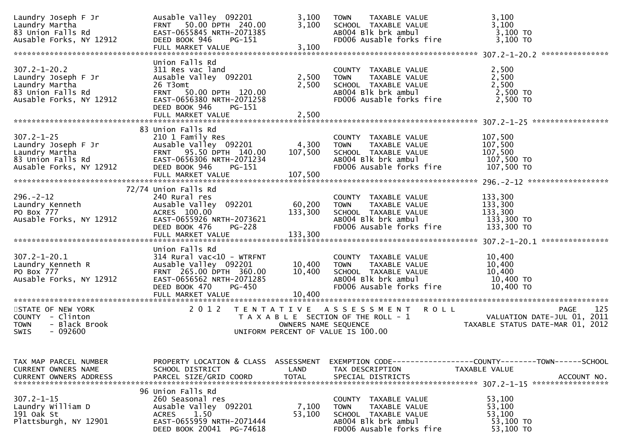| Laundry Joseph F Jr<br>Laundry Martha<br>83 Union Falls Rd<br>Ausable Forks, NY 12912                       | Ausable Valley 092201<br>50.00 DPTH 240.00<br><b>FRNT</b><br>EAST-0655845 NRTH-2071385<br>DEED BOOK 946<br>PG-151<br>FULL MARKET VALUE                                                   | 3,100<br>3,100<br>3,100     | TAXABLE VALUE<br><b>TOWN</b><br>SCHOOL TAXABLE VALUE<br>AB004 Blk brk ambul<br>FD006 Ausable forks fire                         | 3,100<br>3,100<br>3,100 TO<br>3,100 TO                                                       |
|-------------------------------------------------------------------------------------------------------------|------------------------------------------------------------------------------------------------------------------------------------------------------------------------------------------|-----------------------------|---------------------------------------------------------------------------------------------------------------------------------|----------------------------------------------------------------------------------------------|
|                                                                                                             |                                                                                                                                                                                          |                             |                                                                                                                                 |                                                                                              |
| $307.2 - 1 - 20.2$<br>Laundry Joseph F Jr<br>Laundry Martha<br>83 Union Falls Rd<br>Ausable Forks, NY 12912 | Union Falls Rd<br>311 Res vac land<br>Ausable Valley 092201<br>26 T3omt<br><b>FRNT</b><br>50.00 DPTH 120.00<br>EAST-0656380 NRTH-2071258<br>DEED BOOK 946<br>PG-151<br>FULL MARKET VALUE | 2,500<br>2,500<br>2,500     | COUNTY TAXABLE VALUE<br>TAXABLE VALUE<br><b>TOWN</b><br>SCHOOL TAXABLE VALUE<br>AB004 Blk brk ambul<br>FD006 Ausable forks fire | 2,500<br>2,500<br>2,500<br>2,500 TO<br>2,500 TO                                              |
|                                                                                                             |                                                                                                                                                                                          |                             |                                                                                                                                 |                                                                                              |
| $307.2 - 1 - 25$<br>Laundry Joseph F Jr<br>Laundry Martha<br>83 Union Falls Rd<br>Ausable Forks, NY 12912   | 83 Union Falls Rd<br>210 1 Family Res<br>Ausable Valley 092201<br>FRNT 95.50 DPTH 140.00<br>EAST-0656306 NRTH-2071234<br>DEED BOOK 946<br>PG-151<br>FULL MARKET VALUE                    | 4,300<br>107,500<br>107,500 | COUNTY TAXABLE VALUE<br>TAXABLE VALUE<br><b>TOWN</b><br>SCHOOL TAXABLE VALUE<br>AB004 Blk brk ambul<br>FD006 Ausable forks fire | 107,500<br>107,500<br>107,500<br>107,500 TO<br>107,500 TO                                    |
|                                                                                                             |                                                                                                                                                                                          |                             |                                                                                                                                 |                                                                                              |
| $296. - 2 - 12$<br>Laundry Kenneth<br>PO Box 777<br>Ausable Forks, NY 12912                                 | 72/74 Union Falls Rd<br>240 Rural res<br>Ausable Valley 092201<br>ACRES 100.00<br>EAST-0655926 NRTH-2073621<br>DEED BOOK 476<br><b>PG-228</b>                                            | 60,200<br>133,300           | COUNTY TAXABLE VALUE<br><b>TOWN</b><br>TAXABLE VALUE<br>SCHOOL TAXABLE VALUE<br>AB004 Blk brk ambul<br>FD006 Ausable forks fire | 133,300<br>133,300<br>133,300<br>133,300 TO<br>133,300 TO                                    |
|                                                                                                             |                                                                                                                                                                                          |                             |                                                                                                                                 |                                                                                              |
| $307.2 - 1 - 20.1$<br>Laundry Kenneth R<br>PO Box 777<br>Ausable Forks, NY 12912                            | Union Falls Rd<br>$314$ Rural vac<10 - WTRFNT<br>Ausable Valley 092201<br>FRNT 265.00 DPTH 360.00<br>EAST-0656562 NRTH-2071285<br><b>PG-450</b><br>DEED BOOK 470<br>FULL MARKET VALUE    | 10,400<br>10,400<br>10,400  | COUNTY TAXABLE VALUE<br><b>TOWN</b><br>TAXABLE VALUE<br>SCHOOL TAXABLE VALUE<br>ABOO4 Blk brk ambul<br>FD006 Ausable forks fire | 10,400<br>10,400<br>10,400<br>10,400 TO<br>10,400 TO                                         |
|                                                                                                             |                                                                                                                                                                                          |                             |                                                                                                                                 |                                                                                              |
| STATE OF NEW YORK<br>COUNTY - Clinton<br>- Black Brook<br><b>TOWN</b><br>SWIS<br>- 092600                   | 2 0 1 2                                                                                                                                                                                  | OWNERS NAME SEQUENCE        | TENTATIVE ASSESSMENT ROLL<br>T A X A B L E SECTION OF THE ROLL - 1<br>UNIFORM PERCENT OF VALUE IS 100.00                        | 125<br><b>PAGE</b><br>VALUATION DATE-JUL 01, 2011<br>TAXABLE STATUS DATE-MAR 01, 2012        |
|                                                                                                             |                                                                                                                                                                                          |                             |                                                                                                                                 |                                                                                              |
| TAX MAP PARCEL NUMBER<br>CURRENT OWNERS NAME<br><b>CURRENT OWNERS ADDRESS</b>                               | PROPERTY LOCATION & CLASS ASSESSMENT<br>SCHOOL DISTRICT<br>PARCEL SIZE/GRID COORD                                                                                                        | LAND<br><b>TOTAL</b>        | TAX DESCRIPTION<br>SPECIAL DISTRICTS                                                                                            | EXEMPTION CODE-----------------COUNTY-------TOWN------SCHOOL<br>TAXABLE VALUE<br>ACCOUNT NO. |
| $307.2 - 1 - 15$<br>Laundry William D<br>191 Oak St<br>Plattsburgh, NY 12901                                | 96 Union Falls Rd<br>260 Seasonal res<br>Ausable Valley 092201<br>1.50<br>ACRES<br>EAST-0655959 NRTH-2071444<br>DEED BOOK 20041 PG-74618                                                 | 7,100<br>53,100             | COUNTY TAXABLE VALUE<br>TAXABLE VALUE<br><b>TOWN</b><br>SCHOOL TAXABLE VALUE<br>AB004 Blk brk ambul<br>FD006 Ausable forks fire | 53,100<br>53,100<br>53,100<br>53,100 TO<br>53,100 TO                                         |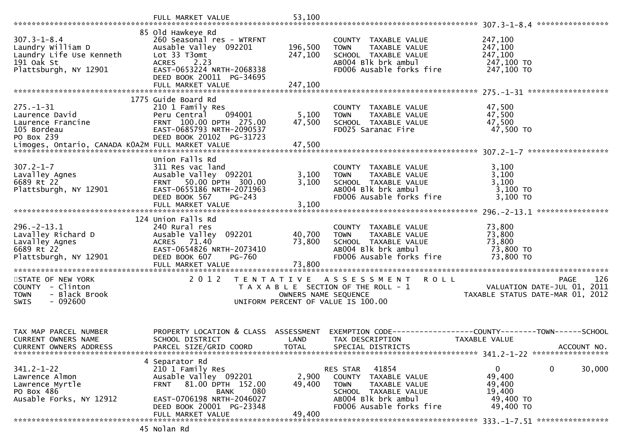|                                                                                                           | FULL MARKET VALUE                                                                                                                                                                            | 53,100                     |                                                                                                                                                      |                                                                                                            |
|-----------------------------------------------------------------------------------------------------------|----------------------------------------------------------------------------------------------------------------------------------------------------------------------------------------------|----------------------------|------------------------------------------------------------------------------------------------------------------------------------------------------|------------------------------------------------------------------------------------------------------------|
|                                                                                                           |                                                                                                                                                                                              |                            |                                                                                                                                                      |                                                                                                            |
| $307.3 - 1 - 8.4$<br>Laundry William D<br>Laundry Life Use Kenneth<br>191 Oak St<br>Plattsburgh, NY 12901 | 85 Old Hawkeye Rd<br>260 Seasonal res - WTRFNT<br>Ausable Valley 092201<br>Lot 33 T3omt<br>ACRES 2.23<br>EAST-0653224 NRTH-2068338                                                           | 196,500<br>247,100         | COUNTY TAXABLE VALUE<br><b>TOWN</b><br>TAXABLE VALUE<br>SCHOOL TAXABLE VALUE<br>AB004 Blk brk ambul<br>FD006 Ausable forks fire                      | 247,100<br>247,100<br>247,100<br>247,100 TO<br>247,100 TO                                                  |
|                                                                                                           | DEED BOOK 20011 PG-34695<br>FULL MARKET VALUE                                                                                                                                                | 247,100                    |                                                                                                                                                      |                                                                                                            |
| $275. - 1 - 31$<br>Laurence David<br>Laurence Francine<br>105 Bordeau<br>PO Box 239                       | 1775 Guide Board Rd<br>210 1 Family Res<br>094001<br>Peru Central<br>FRNT 100.00 DPTH 275.00<br>EAST-0685793 NRTH-2090537<br>DEED BOOK 20102 PG-31723                                        | 5,100<br>47,500            | COUNTY TAXABLE VALUE<br>TAXABLE VALUE<br><b>TOWN</b><br>SCHOOL TAXABLE VALUE<br>FD025 Saranac Fire                                                   | 47,500<br>47,500<br>47,500<br>47,500 TO                                                                    |
|                                                                                                           | Union Falls Rd                                                                                                                                                                               |                            |                                                                                                                                                      |                                                                                                            |
| $307.2 - 1 - 7$<br>Lavalley Agnes<br>6689 Rt 22<br>Plattsburgh, NY 12901                                  | 311 Res vac land<br>Ausable Valley 092201<br>FRNT 50.00 DPTH 300.00<br>EAST-0655186 NRTH-2071963<br>DEED BOOK 567<br>PG-243                                                                  | 3,100<br>3,100             | COUNTY TAXABLE VALUE<br><b>TOWN</b><br>TAXABLE VALUE<br>SCHOOL TAXABLE VALUE<br>AB004 Blk brk ambul<br>FD006 Ausable forks fire                      | 3,100<br>3,100<br>3,100<br>3,100 TO<br>3,100 TO                                                            |
|                                                                                                           | FULL MARKET VALUE                                                                                                                                                                            | 3,100                      |                                                                                                                                                      |                                                                                                            |
| $296. - 2 - 13.1$<br>Lavalley Richard D<br>Lavalley Agnes<br>6689 Rt 22<br>Plattsburgh, NY 12901          | 124 Union Falls Rd<br>240 Rural res<br>Ausable Valley 092201<br>ACRES 71.40<br>EAST-0654826 NRTH-2073410<br>DEED BOOK 607<br>PG-760<br>FULL MARKET VALUE                                     | 40,700<br>73,800<br>73,800 | COUNTY TAXABLE VALUE<br><b>TOWN</b><br>TAXABLE VALUE<br>SCHOOL TAXABLE VALUE<br>AB004 Blk brk ambul<br>FD006 Ausable forks fire                      | 73,800<br>73,800<br>73,800<br>73,800 TO<br>73,800 TO                                                       |
| STATE OF NEW YORK<br>COUNTY - Clinton<br>- Black Brook<br><b>TOWN</b><br>$-092600$<br>SWIS                | 2 0 1 2<br>T E N T A T I V E                                                                                                                                                                 | OWNERS NAME SEQUENCE       | <b>ROLL</b><br>A S S E S S M E N T<br>T A X A B L E SECTION OF THE ROLL - 1<br>UNIFORM PERCENT OF VALUE IS 100.00                                    | 126<br><b>PAGE</b><br>VALUATION DATE-JUL 01, 2011<br>TAXABLE STATUS DATE-MAR 01, 2012                      |
| TAX MAP PARCEL NUMBER<br><b>CURRENT OWNERS NAME</b><br>CURRENT OWNERS ADDRESS                             | PROPERTY LOCATION & CLASS ASSESSMENT<br>SCHOOL DISTRICT<br>PARCEL SIZE/GRID COORD                                                                                                            | LAND<br><b>TOTAL</b>       | TAX DESCRIPTION<br>SPECIAL DISTRICTS                                                                                                                 | EXEMPTION        CODE-----------------COUNTY-------TOWN------SCHOOL<br><b>TAXABLE VALUE</b><br>ACCOUNT NO. |
| $341.2 - 1 - 22$<br>Lawrence Almon<br>Lawrence Myrtle<br>PO Box 486<br>Ausable Forks, NY 12912            | 4 Separator Rd<br>210 1 Family Res<br>Ausable Valley 092201<br>81.00 DPTH 152.00<br>FRNT<br>080<br><b>BANK</b><br>EAST-0706198 NRTH-2046027<br>DEED BOOK 20001 PG-23348<br>FULL MARKET VALUE | 2,900<br>49,400<br>49,400  | 41854<br>RES STAR<br>COUNTY TAXABLE VALUE<br>TAXABLE VALUE<br><b>TOWN</b><br>SCHOOL TAXABLE VALUE<br>AB004 Blk brk ambul<br>FD006 Ausable forks fire | 0<br>0<br>30,000<br>49,400<br>49,400<br>19,400<br>49,400 TO<br>49,400 TO                                   |
|                                                                                                           |                                                                                                                                                                                              |                            |                                                                                                                                                      |                                                                                                            |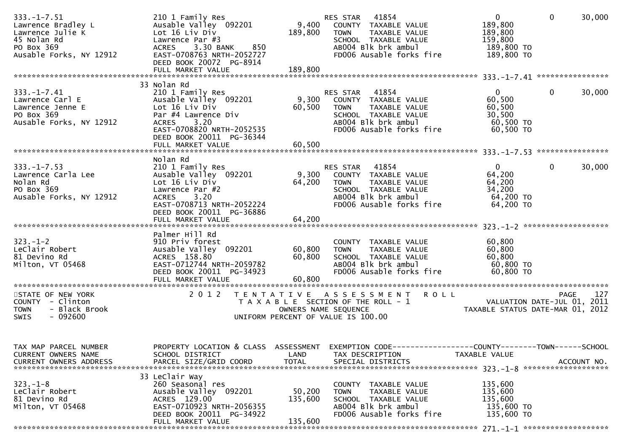| $333. - 1 - 7.51$<br>Lawrence Bradley L<br>Lawrence Julie K<br>45 Nolan Rd<br>PO Box 369<br>Ausable Forks, NY 12912 | 210 1 Family Res<br>Ausable Valley 092201<br>Lot 16 Liv Div<br>Lawrence Par #3<br>3.30 BANK<br>850<br><b>ACRES</b><br>EAST-0708763 NRTH-2052727<br>DEED BOOK 20072 PG-8914<br>FULL MARKET VALUE | 9,400<br>189,800<br>189,800  | RES STAR 41854<br>COUNTY TAXABLE VALUE<br>TAXABLE VALUE<br><b>TOWN</b><br>SCHOOL TAXABLE VALUE<br>AB004 Blk brk ambul<br>FD006 Ausable forks fire    | $\overline{0}$<br>189,800<br>189,800<br>159,800<br>189,800 TO<br>189,800 TO | $\mathbf{0}$<br>30,000                                                                   |
|---------------------------------------------------------------------------------------------------------------------|-------------------------------------------------------------------------------------------------------------------------------------------------------------------------------------------------|------------------------------|------------------------------------------------------------------------------------------------------------------------------------------------------|-----------------------------------------------------------------------------|------------------------------------------------------------------------------------------|
|                                                                                                                     | 33 Nolan Rd                                                                                                                                                                                     |                              |                                                                                                                                                      |                                                                             |                                                                                          |
| $333. - 1 - 7.41$<br>Lawrence Carl E<br>Lawrence Jenne E<br>PO Box 369<br>Ausable Forks, NY 12912                   | 210 1 Family Res<br>Ausable Valley 092201<br>Lot 16 Liv Div<br>Par #4 Lawrence Div<br>3.20<br><b>ACRES</b><br>EAST-0708820 NRTH-2052535<br>DEED BOOK 20011 PG-36344                             | 9,300<br>60,500              | 41854<br>RES STAR<br>COUNTY TAXABLE VALUE<br><b>TOWN</b><br>TAXABLE VALUE<br>SCHOOL TAXABLE VALUE<br>AB004 Blk brk ambul<br>FD006 Ausable forks fire | $\Omega$<br>60,500<br>60,500<br>30,500<br>60,500 TO<br>60,500 TO            | $\mathbf{0}$<br>30,000                                                                   |
|                                                                                                                     | Nolan Rd                                                                                                                                                                                        |                              |                                                                                                                                                      |                                                                             |                                                                                          |
| $333. - 1 - 7.53$<br>Lawrence Carla Lee<br>Nolan Rd<br>PO Box 369<br>Ausable Forks, NY 12912                        | 210 1 Family Res<br>Ausable Valley 092201<br>Lot 16 Liv Div<br>Lawrence Par #2<br>3.20<br><b>ACRES</b><br>EAST-0708713 NRTH-2052224<br>DEED BOOK 20011 PG-36886                                 | 9,300<br>64,200              | RES STAR<br>41854<br>COUNTY TAXABLE VALUE<br>TAXABLE VALUE<br><b>TOWN</b><br>SCHOOL TAXABLE VALUE<br>AB004 Blk brk ambul<br>FD006 Ausable forks fire | $\mathbf{0}$<br>64,200<br>64,200<br>34,200<br>64,200 TO<br>64,200 TO        | 30,000<br>0                                                                              |
|                                                                                                                     | FULL MARKET VALUE                                                                                                                                                                               | 64,200                       |                                                                                                                                                      |                                                                             |                                                                                          |
| $323. - 1 - 2$<br>LeClair Robert<br>81 Devino Rd<br>Milton, VT 05468                                                | Palmer Hill Rd<br>910 Priv forest<br>Ausable Valley 092201<br>ACRES 158.80<br>EAST-0712744 NRTH-2059782<br>DEED BOOK 20011 PG-34923<br>FULL MARKET VALUE                                        | 60,800<br>60,800<br>60,800   | COUNTY TAXABLE VALUE<br><b>TOWN</b><br>TAXABLE VALUE<br>SCHOOL TAXABLE VALUE<br>AB004 Blk brk ambul<br>FD006 Ausable forks fire                      | 60,800<br>60,800<br>60,800<br>60,800 TO<br>60,800 TO                        |                                                                                          |
| STATE OF NEW YORK<br>COUNTY - Clinton<br><b>TOWN</b><br>- Black Brook<br>SWIS<br>- 092600                           | 2 0 1 2                                                                                                                                                                                         |                              | TENTATIVE ASSESSMENT<br><b>ROLL</b><br>T A X A B L E SECTION OF THE ROLL - 1<br>OWNERS NAME SEQUENCE<br>UNIFORM PERCENT OF VALUE IS 100.00           |                                                                             | 127<br><b>PAGE</b><br>2011<br>VALUATION DATE-JUL 01,<br>TAXABLE STATUS DATE-MAR 01, 2012 |
| TAX MAP PARCEL NUMBER<br>CURRENT OWNERS NAME<br><b>CURRENT OWNERS ADDRESS</b>                                       | PROPERTY LOCATION & CLASS ASSESSMENT<br>SCHOOL DISTRICT<br>PARCEL SIZE/GRID COORD                                                                                                               | LAND<br><b>TOTAL</b>         | EXEMPTION CODE-----------------COUNTY-------TOWN------SCHOOL<br>TAX DESCRIPTION<br>SPECIAL DISTRICTS                                                 | TAXABLE VALUE                                                               | ACCOUNT NO.                                                                              |
| $323. - 1 - 8$<br>LeClair Robert<br>81 Devino Rd<br>Milton, VT 05468                                                | 33 Leclair Way<br>260 Seasonal res<br>Ausable Valley 092201<br>ACRES 129.00<br>EAST-0710923 NRTH-2056355<br>DEED BOOK 20011 PG-34922<br>FULL MARKET VALUE                                       | 50,200<br>135,600<br>135,600 | COUNTY TAXABLE VALUE<br>TAXABLE VALUE<br><b>TOWN</b><br>SCHOOL TAXABLE VALUE<br>AB004 Blk brk ambul<br>FD006 Ausable forks fire                      | 135,600<br>135,600<br>135,600<br>135,600 TO<br>135,600 TO                   |                                                                                          |
|                                                                                                                     |                                                                                                                                                                                                 |                              |                                                                                                                                                      |                                                                             |                                                                                          |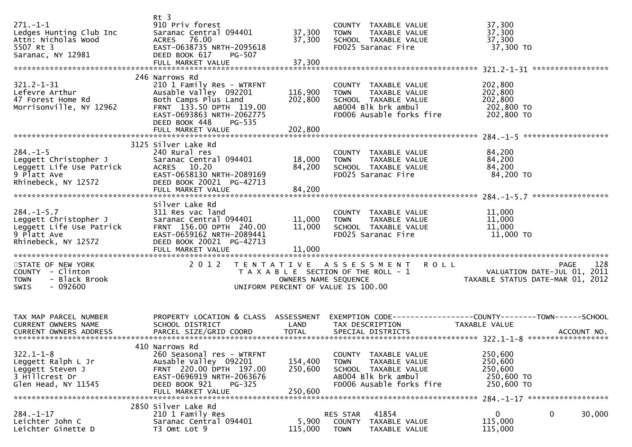| $271 - 1 - 1$<br>Ledges Hunting Club Inc<br>Attn: Nicholas Wood<br>5507 Rt 3<br>Saranac, NY 12981          | $Rt$ 3<br>910 Priv forest<br>Saranac Central 094401<br>76.00<br>ACRES<br>EAST-0638735 NRTH-2095618<br>DEED BOOK 617<br>PG-507<br>FULL MARKET VALUE                                                   | 37,300<br>37,300<br>37,300    | COUNTY TAXABLE VALUE<br>TAXABLE VALUE<br><b>TOWN</b><br>SCHOOL TAXABLE VALUE<br>FD025 Saranac Fire                                        | 37,300<br>37,300<br>37,300<br>37,300 TO                                                      |
|------------------------------------------------------------------------------------------------------------|------------------------------------------------------------------------------------------------------------------------------------------------------------------------------------------------------|-------------------------------|-------------------------------------------------------------------------------------------------------------------------------------------|----------------------------------------------------------------------------------------------|
| $321.2 - 1 - 31$<br>Lefevre Arthur<br>47 Forest Home Rd<br>Morrisonville, NY 12962                         | 246 Narrows Rd<br>210 1 Family Res - WTRFNT<br>Ausable Valley 092201<br>Both Camps Plus Land<br>FRNT 133.50 DPTH 119.00<br>EAST-0693863 NRTH-2062775<br>DEED BOOK 448<br>PG-535<br>FULL MARKET VALUE | 116,900<br>202,800<br>202,800 | COUNTY TAXABLE VALUE<br>TAXABLE VALUE<br><b>TOWN</b><br>SCHOOL TAXABLE VALUE<br>AB004 Blk brk ambul<br>FD006 Ausable forks fire           | 202,800<br>202,800<br>202,800<br>202,800 TO<br>202,800 TO                                    |
| $284. -1 - 5$<br>Leggett Christopher J<br>Leggett Life Use Patrick<br>9 Platt Ave<br>Rhinebeck, NY 12572   | 3125 Silver Lake Rd<br>240 Rural res<br>Saranac Central 094401<br>ACRES 10.20<br>EAST-0658130 NRTH-2089169<br>DEED BOOK 20021 PG-42713<br>FULL MARKET VALUE                                          | 18,000<br>84,200<br>84,200    | COUNTY TAXABLE VALUE<br>TAXABLE VALUE<br><b>TOWN</b><br>SCHOOL TAXABLE VALUE<br>FD025 Saranac Fire                                        | 84,200<br>84,200<br>84,200<br>84,200 TO<br>*****************                                 |
| $284. -1 - 5.7$<br>Leggett Christopher J<br>Leggett Life Use Patrick<br>9 Platt Ave<br>Rhinebeck, NY 12572 | Silver Lake Rd<br>311 Res vac land<br>Saranac Central 094401<br>FRNT 156.00 DPTH 240.00<br>EAST-0659162 NRTH-2089441<br>DEED BOOK 20021 PG-42713<br>FULL MARKET VALUE                                | 11,000<br>11,000<br>11,000    | COUNTY TAXABLE VALUE<br>TAXABLE VALUE<br><b>TOWN</b><br>SCHOOL TAXABLE VALUE<br>FD025 Saranac Fire                                        | 11,000<br>11,000<br>11,000<br>11,000 TO                                                      |
| STATE OF NEW YORK<br>COUNTY - Clinton<br><b>TOWN</b><br>- Black Brook<br>$-092600$<br><b>SWIS</b>          | 2 0 1 2<br>T E N T A T I V E                                                                                                                                                                         | OWNERS NAME SEQUENCE          | A S S E S S M E N T<br><b>ROLL</b><br>T A X A B L E SECTION OF THE ROLL - 1<br>UNIFORM PERCENT OF VALUE IS 100.00                         | 128<br>PAGE<br>VALUATION DATE-JUL 01, 2011<br>TAXABLE STATUS DATE-MAR 01, 2012               |
| TAX MAP PARCEL NUMBER<br>CURRENT OWNERS NAME<br>CURRENT OWNERS ADDRESS                                     | PROPERTY LOCATION & CLASS ASSESSMENT<br>SCHOOL DISTRICT<br>PARCEL SIZE/GRID COORD                                                                                                                    | LAND<br><b>TOTAL</b>          | TAX DESCRIPTION<br>SPECIAL DISTRICTS                                                                                                      | EXEMPTION CODE-----------------COUNTY-------TOWN------SCHOOL<br>TAXABLE VALUE<br>ACCOUNT NO. |
| $322.1 - 1 - 8$<br>Leggett Ralph $L$ Jr<br>Leggett Steven J<br>3 Hillcrest Dr<br>Glen Head, NY 11545       | 410 Narrows Rd<br>260 Seasonal res - WTRFNT<br>Ausable Valley 092201<br>FRNT 220.00 DPTH 197.00<br>EAST-0696919 NRTH-2063676<br>DEED BOOK 921<br>$PG-325$<br>FULL MARKET VALUE                       | 154,400<br>250,600<br>250,600 | <b>COUNTY</b><br>TAXABLE VALUE<br><b>TOWN</b><br>TAXABLE VALUE<br>SCHOOL TAXABLE VALUE<br>AB004 Blk brk ambul<br>FD006 Ausable forks fire | 250,600<br>250,600<br>250,600<br>250,600 TO<br>250,600 TO<br>284. -1-17 *******************  |
| $284. - 1 - 17$<br>Leichter John C<br>Leichter Ginette D                                                   | 2850 Silver Lake Rd<br>210 1 Family Res<br>Saranac Central 094401<br>T3 Omt Lot 9                                                                                                                    | 5,900<br>115,000              | RES STAR<br>41854<br><b>COUNTY</b><br>TAXABLE VALUE<br><b>TOWN</b><br>TAXABLE VALUE                                                       | 0<br>0<br>30,000<br>115,000<br>115,000                                                       |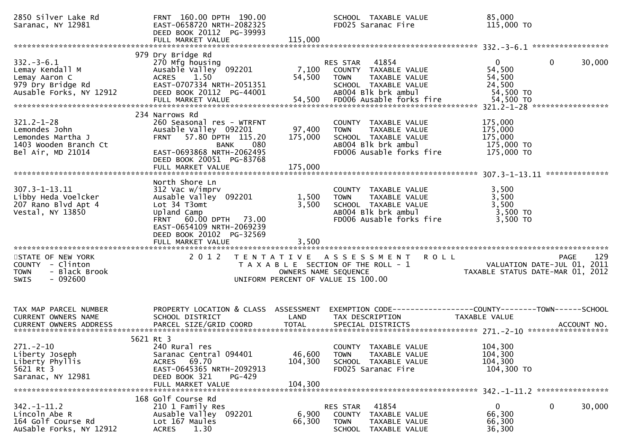| 2850 Silver Lake Rd<br>Saranac, NY 12981                                                             | FRNT 160.00 DPTH 190.00<br>EAST-0658720 NRTH-2082325<br>DEED BOOK 20112 PG-39993<br>FULL MARKET VALUE                                                                                                 | 115,000                            | SCHOOL TAXABLE VALUE<br>FD025 Saranac Fire                                                                                             | 85,000<br>115,000 TO                                                                                |
|------------------------------------------------------------------------------------------------------|-------------------------------------------------------------------------------------------------------------------------------------------------------------------------------------------------------|------------------------------------|----------------------------------------------------------------------------------------------------------------------------------------|-----------------------------------------------------------------------------------------------------|
| $332 - 3 - 6.1$<br>Lemay Kendall M<br>Lemay Aaron C<br>979 Dry Bridge Rd<br>Ausable Forks, NY 12912  | 979 Dry Bridge Rd<br>270 Mfg housing<br>Ausable Valley 092201<br>1.50<br><b>ACRES</b><br>EAST-0707334 NRTH-2051351<br>DEED BOOK 20112 PG-44001                                                        | 7,100<br>54,500                    | 41854<br><b>RES STAR</b><br>COUNTY TAXABLE VALUE<br>TAXABLE VALUE<br><b>TOWN</b><br>SCHOOL TAXABLE VALUE<br>AB004 Blk brk ambul        | 30,000<br>$\overline{0}$<br>0<br>54,500<br>54,500<br>24,500<br>54,500 TO                            |
| $321.2 - 1 - 28$<br>Lemondes John<br>Lemondes Martha J<br>1403 Wooden Branch Ct<br>Bel Air, MD 21014 | 234 Narrows Rd<br>260 Seasonal res - WTRFNT<br>Ausable Valley 092201<br>57.80 DPTH 115.20<br><b>FRNT</b><br>080<br>BANK<br>EAST-0693868 NRTH-2062495<br>DEED BOOK 20051 PG-83768<br>FULL MARKET VALUE | 97,400<br>175,000<br>175,000       | COUNTY TAXABLE VALUE<br><b>TAXABLE VALUE</b><br><b>TOWN</b><br>SCHOOL TAXABLE VALUE<br>AB004 Blk brk ambul<br>FD006 Ausable forks fire | 175,000<br>175,000<br>175,000<br>175,000 TO<br>175,000 TO<br>**************                         |
| $307.3 - 1 - 13.11$<br>Libby Heda Voelcker<br>207 Rano Blvd Apt 4<br>Vestal, NY 13850                | North Shore Ln<br>312 Vac w/imprv<br>Ausable Valley 092201<br>Lot 34 T3omt<br>Upland Camp<br>FRNT 60.00 DPTH 73.00<br>EAST-0654109 NRTH-2069239<br>DEED BOOK 20102 PG-32569<br>FULL MARKET VALUE      | 1,500<br>3,500<br>3,500            | COUNTY TAXABLE VALUE<br>TAXABLE VALUE<br><b>TOWN</b><br>SCHOOL TAXABLE VALUE<br>AB004 Blk brk ambul<br>FD006 Ausable forks fire        | 3,500<br>3,500<br>3,500<br>3,500 TO<br>3,500 TO                                                     |
| STATE OF NEW YORK<br>COUNTY - Clinton<br>- Black Brook<br><b>TOWN</b><br>$-092600$<br>SWIS           | 2 0 1 2                                                                                                                                                                                               | OWNERS NAME SEQUENCE               | TENTATIVE ASSESSMENT<br><b>ROLL</b><br>T A X A B L E SECTION OF THE ROLL - 1<br>UNIFORM PERCENT OF VALUE IS 100.00                     | 129<br>PAGE<br>VALUATION DATE-JUL 01, 2011<br>TAXABLE STATUS DATE-MAR 01, 2012                      |
| TAX MAP PARCEL NUMBER<br>CURRENT OWNERS NAME<br><b>CURRENT OWNERS ADDRESS</b>                        | PROPERTY LOCATION & CLASS<br>SCHOOL DISTRICT<br>PARCEL SIZE/GRID COORD                                                                                                                                | ASSESSMENT<br>LAND<br><b>TOTAL</b> | TAX DESCRIPTION<br>SPECIAL DISTRICTS                                                                                                   | EXEMPTION        CODE-----------------COUNTY-------TOWN------SCHOOL<br>TAXABLE VALUE<br>ACCOUNT NO. |
| $271.-2-10$<br>Liberty Joseph<br>Liberty Phyllis<br>5621 Rt 3<br>Saranac, NY 12981                   | 5621 Rt 3<br>240 Rural res<br>Saranac Central 094401<br>ACRES 69.70<br>EAST-0645365 NRTH-2092913<br>DEED BOOK 321<br>PG-429<br>FULL MARKET VALUE                                                      | 46,600<br>104,300<br>104,300       | COUNTY TAXABLE VALUE<br>TAXABLE VALUE<br>TOWN<br>SCHOOL TAXABLE VALUE<br>FD025 Saranac Fire                                            | 104,300<br>104,300<br>104,300<br>104,300 TO                                                         |
| $342. - 1 - 11.2$<br>Lincoln Abe R<br>164 Golf Course Rd<br>AuSable Forks, NY 12912                  | 168 Golf Course Rd<br>210 1 Family Res<br>Ausable Valley 092201<br>Lot 167 Maules<br>1.30<br><b>ACRES</b>                                                                                             | 6,900<br>66,300                    | 41854<br>RES STAR<br>COUNTY<br>TAXABLE VALUE<br><b>TOWN</b><br>TAXABLE VALUE<br>SCHOOL TAXABLE VALUE                                   | 0<br>30,000<br>$\bf{0}$<br>66,300<br>66,300<br>36,300                                               |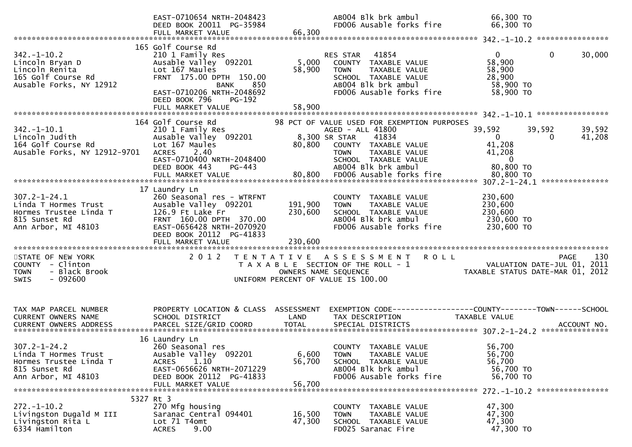|                                                                                                              | EAST-0710654 NRTH-2048423<br>DEED BOOK 20011 PG-35984                                                                                                                                      |                           | AB004 Blk brk ambul<br>FD006 Ausable forks fire                                                                                                                        | 66,300 ТО<br>66,300 TO                                                                 |                                 |
|--------------------------------------------------------------------------------------------------------------|--------------------------------------------------------------------------------------------------------------------------------------------------------------------------------------------|---------------------------|------------------------------------------------------------------------------------------------------------------------------------------------------------------------|----------------------------------------------------------------------------------------|---------------------------------|
|                                                                                                              |                                                                                                                                                                                            |                           |                                                                                                                                                                        |                                                                                        |                                 |
| $342. - 1 - 10.2$<br>Lincoln Bryan D<br>Lincoln Renita<br>165 Golf Course Rd<br>Ausable Forks, NY 12912      | 165 Golf Course Rd<br>210 1 Family Res<br>Ausable Valley 092201<br>Lot 167 Maules<br>FRNT 175.00 DPTH 150.00<br>850<br>BANK<br>EAST-0710206 NRTH-2048692<br><b>PG-192</b><br>DEED BOOK 796 | 5,000<br>58,900           | RES STAR<br>41854<br>COUNTY TAXABLE VALUE<br>TAXABLE VALUE<br><b>TOWN</b><br>SCHOOL TAXABLE VALUE<br>AB004 Blk brk ambul<br>FD006 Ausable forks fire                   | $\overline{0}$<br>58,900<br>58,900<br>28,900<br>58,900 TO<br>58,900 TO                 | $\mathbf 0$<br>30,000           |
|                                                                                                              |                                                                                                                                                                                            |                           |                                                                                                                                                                        |                                                                                        |                                 |
|                                                                                                              | 164 Golf Course Rd                                                                                                                                                                         |                           | 98 PCT OF VALUE USED FOR EXEMPTION PURPOSES                                                                                                                            |                                                                                        |                                 |
| $342. - 1 - 10.1$<br>Lincoln Judith<br>164 Golf Course Rd<br>Ausable Forks, NY 12912-9701                    | 210 1 Family Res<br>Ausable Valley 092201<br>Lot 167 Maules<br>2.40<br><b>ACRES</b><br>EAST-0710400 NRTH-2048400<br>DEED BOOK 443<br>PG-443                                                | 80,800<br>80,800          | AGED - ALL 41800<br>8,300 SR STAR<br>41834<br>COUNTY TAXABLE VALUE<br>TAXABLE VALUE<br>TOWN<br>SCHOOL TAXABLE VALUE<br>AB004 Blk brk ambul<br>FD006 Ausable forks fire | 39,592<br>$\mathbf{0}$<br>41,208<br>41,208<br>$\overline{0}$<br>80,800 TO<br>80,800 TO | 39,592<br>39,592<br>41,208<br>0 |
|                                                                                                              | FULL MARKET VALUE                                                                                                                                                                          |                           |                                                                                                                                                                        |                                                                                        |                                 |
| $307.2 - 1 - 24.1$<br>Linda T Hormes Trust<br>Hormes Trustee Linda T<br>815 Sunset Rd<br>Ann Arbor, MI 48103 | 17 Laundry Ln<br>260 Seasonal res - WTRFNT<br>Ausable Valley 092201<br>126.9 Ft Lake Fr<br>FRNT 160.00 DPTH 370.00<br>EAST-0656428 NRTH-2070920<br>DEED BOOK 20112 PG-41833                | 191,900<br>230,600        | COUNTY TAXABLE VALUE<br><b>TOWN</b><br>TAXABLE VALUE<br>SCHOOL TAXABLE VALUE<br>AB004 Blk brk ambul<br>FD006 Ausable forks fire                                        | 230,600<br>230,600<br>230,600<br>230,600 TO<br>230,600 TO                              |                                 |
| STATE OF NEW YORK                                                                                            | 2 0 1 2                                                                                                                                                                                    |                           | TENTATIVE ASSESSMENT<br><b>ROLL</b>                                                                                                                                    |                                                                                        | 130<br>PAGE                     |
| COUNTY - Clinton<br>- Black Brook<br><b>TOWN</b><br>$-092600$<br><b>SWIS</b>                                 |                                                                                                                                                                                            |                           | T A X A B L E SECTION OF THE ROLL - 1<br>OWNERS NAME SEQUENCE<br>UNIFORM PERCENT OF VALUE IS 100.00                                                                    | TAXABLE STATUS DATE-MAR 01, 2012                                                       | VALUATION DATE-JUL 01, 2011     |
| TAX MAP PARCEL NUMBER<br>CURRENT OWNERS NAME                                                                 | PROPERTY LOCATION & CLASS ASSESSMENT<br>SCHOOL DISTRICT                                                                                                                                    | LAND                      | TAX DESCRIPTION                                                                                                                                                        | TAXABLE VALUE                                                                          |                                 |
| $307.2 - 1 - 24.2$<br>Linda T Hormes Trust<br>Hormes Trustee Linda T<br>815 Sunset Rd<br>Ann Arbor, MI 48103 | 16 Laundry Ln<br>260 Seasonal res<br>Ausable Valley 092201<br>1.10<br><b>ACRES</b><br>EAST-0656626 NRTH-2071229<br>DEED BOOK 20112 PG-41833<br>FULL MARKET VALUE                           | 6,600<br>56,700<br>56.700 | COUNTY TAXABLE VALUE<br><b>TOWN</b><br>TAXABLE VALUE<br>SCHOOL TAXABLE VALUE<br>AB004 Blk brk ambul<br>FD006 Ausable forks fire                                        | 56,700<br>56,700<br>56,700<br>56,700 TO<br>56,700 TO                                   |                                 |
|                                                                                                              | 5327 Rt 3                                                                                                                                                                                  |                           |                                                                                                                                                                        |                                                                                        |                                 |
| $272. - 1 - 10.2$<br>Livingston Dugald M III<br>Livingston Rita L<br>6334 Hamilton                           | 270 Mfg housing<br>Saranac Central 094401<br>Lot 71 T4omt<br>9.00<br><b>ACRES</b>                                                                                                          | 16,500<br>47,300          | COUNTY TAXABLE VALUE<br>TAXABLE VALUE<br>TOWN<br>SCHOOL TAXABLE VALUE<br>FD025 Saranac Fire                                                                            | 47,300<br>47,300<br>47,300<br>47,300 TO                                                |                                 |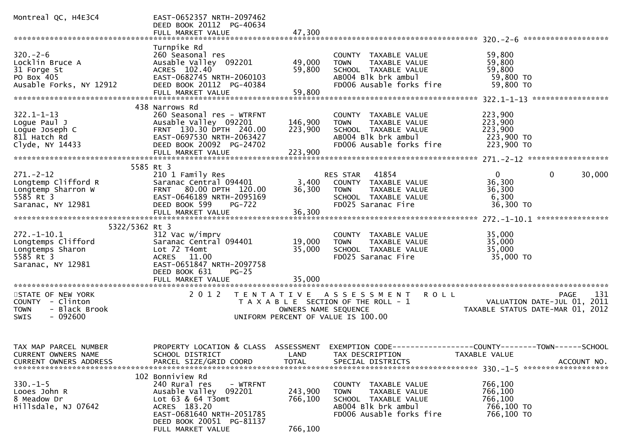| Montreal QC, H4E3C4                                                                                                 | EAST-0652357 NRTH-2097462<br>DEED BOOK 20112 PG-40634<br>FULL MARKET VALUE                                                                                                                | 47,300                        |                                                                                                                                           |                                                                                                                                  |
|---------------------------------------------------------------------------------------------------------------------|-------------------------------------------------------------------------------------------------------------------------------------------------------------------------------------------|-------------------------------|-------------------------------------------------------------------------------------------------------------------------------------------|----------------------------------------------------------------------------------------------------------------------------------|
|                                                                                                                     |                                                                                                                                                                                           |                               |                                                                                                                                           |                                                                                                                                  |
| $320 - 2 - 6$<br>Locklin Bruce A<br>31 Forge St<br>PO Box 405<br>Ausable Forks, NY 12912                            | Turnpike Rd<br>260 Seasonal res<br>Ausable Valley 092201<br>ACRES 102.40<br>EAST-0682745 NRTH-2060103<br>DEED BOOK 20112 PG-40384<br>FULL MARKET VALUE                                    | 49,000<br>59,800<br>59,800    | COUNTY TAXABLE VALUE<br>TAXABLE VALUE<br><b>TOWN</b><br>SCHOOL TAXABLE VALUE<br>AB004 Blk brk ambul<br>FD006 Ausable forks fire           | 59,800<br>59,800<br>59,800<br>59,800 TO<br>59,800 TO                                                                             |
|                                                                                                                     |                                                                                                                                                                                           |                               |                                                                                                                                           |                                                                                                                                  |
| $322.1 - 1 - 13$<br>Loque Paul J<br>Logue Joseph C<br>811 Hatch Rd<br>Clyde, NY 14433                               | 438 Narrows Rd<br>260 Seasonal res - WTRFNT<br>Ausable Valley 092201<br>FRNT 130.30 DPTH 240.00<br>EAST-0697530 NRTH-2063427<br>DEED BOOK 20092 PG-24702<br>FULL MARKET VALUE             | 146,900<br>223,900<br>223,900 | COUNTY TAXABLE VALUE<br><b>TOWN</b><br>TAXABLE VALUE<br>SCHOOL TAXABLE VALUE<br>AB004 Blk brk ambul<br>FD006 Ausable forks fire           | 223,900<br>223,900<br>223,900<br>223,900 TO<br>223,900 TO                                                                        |
|                                                                                                                     |                                                                                                                                                                                           |                               |                                                                                                                                           |                                                                                                                                  |
| $271 - 2 - 12$<br>Longtemp Clifford R<br>Longtemp Sharron W                                                         | 5585 Rt 3<br>210 1 Family Res<br>Saranac Central 094401<br>FRNT 80.00 DPTH 120.00                                                                                                         | 3,400<br>36,300               | RES STAR 41854<br>COUNTY TAXABLE VALUE<br>TAXABLE VALUE<br><b>TOWN</b>                                                                    | $\mathbf{0}$<br>0<br>30,000<br>36,300<br>36,300                                                                                  |
| 5585 Rt 3<br>Saranac, NY 12981                                                                                      | EAST-0646189 NRTH-2095169<br>DEED BOOK 599<br>PG-722<br>FULL MARKET VALUE                                                                                                                 | 36,300                        | SCHOOL TAXABLE VALUE<br>FD025 Saranac Fire                                                                                                | 6,300<br>36,300 TO                                                                                                               |
|                                                                                                                     |                                                                                                                                                                                           |                               |                                                                                                                                           |                                                                                                                                  |
| 5322/5362 Rt 3<br>$272. - 1 - 10.1$<br>Longtemps Clifford<br>Longtemps Sharon<br>$5585$ Rt $3$<br>Saranac, NY 12981 | 312 Vac w/imprv<br>Saranac Central 094401<br>Lot 72 T4omt<br>ACRES 11.00<br>EAST-0651847 NRTH-2097758<br>DEED BOOK 631<br>$PG-25$<br>FULL MARKET VALUE                                    | 19,000<br>35,000<br>35,000    | COUNTY TAXABLE VALUE<br><b>TOWN</b><br>TAXABLE VALUE<br>SCHOOL TAXABLE VALUE<br>FD025 Saranac Fire                                        | 35,000<br>35,000<br>35,000<br>35,000 TO                                                                                          |
|                                                                                                                     |                                                                                                                                                                                           |                               |                                                                                                                                           |                                                                                                                                  |
| STATE OF NEW YORK<br>COUNTY - Clinton<br>- Black Brook<br><b>TOWN</b><br>$-092600$<br>SWIS                          | 2 0 1 2                                                                                                                                                                                   | OWNERS NAME SEQUENCE          | TENTATIVE ASSESSMENT<br><b>ROLL</b><br>T A X A B L E SECTION OF THE ROLL - 1<br>UNIFORM PERCENT OF VALUE IS 100.00                        | 131<br><b>PAGE</b><br>VALUATION DATE-JUL 01, 2011<br>TAXABLE STATUS DATE-MAR 01, 2012                                            |
| TAX MAP PARCEL NUMBER<br>CURRENT OWNERS NAME<br><b>CURRENT OWNERS ADDRESS</b>                                       | SCHOOL DISTRICT<br>PARCEL SIZE/GRID COORD                                                                                                                                                 | LAND<br><b>TOTAL</b>          | TAX DESCRIPTION<br>SPECIAL DISTRICTS                                                                                                      | PROPERTY LOCATION & CLASS ASSESSMENT EXEMPTION CODE----------------COUNTY-------TOWN------SCHOOL<br>TAXABLE VALUE<br>ACCOUNT NO. |
| $330.-1-5$<br>Looes John R<br>8 Meadow Dr<br>Hillsdale, NJ 07642                                                    | 102 Bonniview Rd<br>240 Rural res<br>- WTRFNT<br>Ausable Valley 092201<br>Lot 63 & 64 T3omt<br>ACRES 183.20<br>EAST-0681640 NRTH-2051785<br>DEED BOOK 20051 PG-81137<br>FULL MARKET VALUE | 243,900<br>766,100<br>766,100 | <b>COUNTY</b><br>TAXABLE VALUE<br>TAXABLE VALUE<br><b>TOWN</b><br>SCHOOL TAXABLE VALUE<br>AB004 Blk brk ambul<br>FD006 Ausable forks fire | 766,100<br>766,100<br>766,100<br>766,100 TO<br>766,100 TO                                                                        |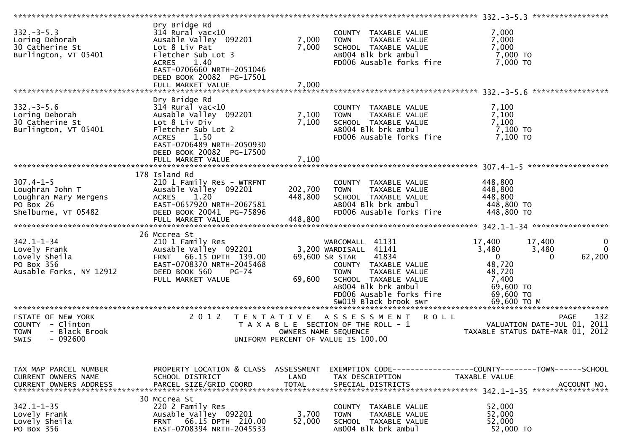| $332 - 3 - 5.3$<br>Loring Deborah<br>30 Catherine St<br>Burlington, VT 05401                      | Dry Bridge Rd<br>$314$ Rural vac<10<br>Ausable Valley 092201<br>Lot 8 Liv Pat<br>Fletcher Sub Lot 3<br>1.40<br><b>ACRES</b><br>EAST-0706660 NRTH-2051046<br>DEED BOOK 20082 PG-17501<br>FULL MARKET VALUE | 7,000<br>7,000<br>7,000       | COUNTY TAXABLE VALUE<br>TAXABLE VALUE<br><b>TOWN</b><br>SCHOOL TAXABLE VALUE<br>AB004 Blk brk ambul<br>FD006 Ausable forks fire                                                                                                 | 7,000<br>7,000<br>7,000<br>$7,000$ TO<br>$7,000$ TO                                                                                                                  |
|---------------------------------------------------------------------------------------------------|-----------------------------------------------------------------------------------------------------------------------------------------------------------------------------------------------------------|-------------------------------|---------------------------------------------------------------------------------------------------------------------------------------------------------------------------------------------------------------------------------|----------------------------------------------------------------------------------------------------------------------------------------------------------------------|
|                                                                                                   |                                                                                                                                                                                                           |                               |                                                                                                                                                                                                                                 |                                                                                                                                                                      |
| $332 - 3 - 5.6$<br>Loring Deborah<br>30 Catherine St<br>Burlington, VT 05401                      | Dry Bridge Rd<br>$314$ Rural vac<10<br>Ausable Valley 092201<br>Lot 8 Liv Div<br>Fletcher Sub Lot 2<br><b>ACRES</b><br>1.50<br>EAST-0706489 NRTH-2050930<br>DEED BOOK 20082 PG-17500                      | 7,100<br>7,100                | COUNTY TAXABLE VALUE<br>TAXABLE VALUE<br><b>TOWN</b><br>SCHOOL TAXABLE VALUE<br>AB004 Blk brk ambul<br>FD006 Ausable forks fire                                                                                                 | 7,100<br>7,100<br>7,100<br>7,100 TO<br>7,100 TO                                                                                                                      |
|                                                                                                   | FULL MARKET VALUE                                                                                                                                                                                         | 7,100                         |                                                                                                                                                                                                                                 |                                                                                                                                                                      |
| $307.4 - 1 - 5$<br>Loughran John T<br>Loughran Mary Mergens<br>PO Box 26<br>Shelburne, VT 05482   | 178 Island Rd<br>210 1 Family Res - WTRFNT<br>Ausable Valley 092201<br>ACRES 1.20<br>EAST-0657920 NRTH-2067581<br>DEED BOOK 20041 PG-75896<br>FULL MARKET VALUE                                           | 202,700<br>448,800<br>448,800 | COUNTY TAXABLE VALUE<br>TAXABLE VALUE<br><b>TOWN</b><br>SCHOOL TAXABLE VALUE<br>AB004 Blk brk ambul<br>FD006 Ausable forks fire                                                                                                 | 448,800<br>448,800<br>448,800<br>448,800 TO<br>448,800 TO                                                                                                            |
|                                                                                                   |                                                                                                                                                                                                           |                               |                                                                                                                                                                                                                                 |                                                                                                                                                                      |
| $342.1 - 1 - 34$<br>Lovely Frank<br>Lovely Sheila<br>PO Box 356<br>Ausable Forks, NY 12912        | 26 Mccrea St<br>210 1 Family Res<br>Ausable Valley 092201<br>FRNT 66.15 DPTH 139.00<br>EAST-0708370 NRTH-2045468<br>DEED BOOK 560<br>$PG-74$<br>FULL MARKET VALUE                                         | 69,600                        | WARCOMALL 41131<br>3,200 WARDISALL 41141<br>69,600 SR STAR<br>41834<br>COUNTY TAXABLE VALUE<br>TAXABLE VALUE<br><b>TOWN</b><br>SCHOOL TAXABLE VALUE<br>AB004 Blk brk ambul<br>FD006 Ausable forks fire<br>SW019 Black brook swr | 17,400<br>17,400<br>0<br>3,480<br>$\mathbf 0$<br>3,480<br>62,200<br>$\overline{0}$<br>$\Omega$<br>48,720<br>48,720<br>7,400<br>69,600 TO<br>69,600 TO<br>69,600 ТО М |
| STATE OF NEW YORK<br>COUNTY - Clinton<br>- Black Brook<br><b>TOWN</b><br>$-092600$<br><b>SWIS</b> | 2 0 1 2                                                                                                                                                                                                   | TENTATIVE                     | A S S E S S M E N T<br><b>ROLL</b><br>T A X A B L E SECTION OF THE ROLL - 1<br>OWNERS NAME SEQUENCE<br>UNIFORM PERCENT OF VALUE IS 100.00                                                                                       | 132<br><b>PAGE</b><br>VALUATION DATE-JUL 01, 2011<br>TAXABLE STATUS DATE-MAR 01, 2012                                                                                |
| TAX MAP PARCEL NUMBER<br><b>CURRENT OWNERS NAME</b><br><b>CURRENT OWNERS ADDRESS</b>              | PROPERTY LOCATION & CLASS ASSESSMENT<br>SCHOOL DISTRICT<br>PARCEL SIZE/GRID COORD                                                                                                                         | LAND<br><b>TOTAL</b>          | TAX DESCRIPTION<br>SPECIAL DISTRICTS                                                                                                                                                                                            | TAXABLE VALUE<br>ACCOUNT NO.                                                                                                                                         |
| $342.1 - 1 - 35$<br>Lovely Frank<br>Lovely Sheila                                                 | 30 Mccrea St<br>220 2 Family Res<br>Ausable Valley 092201                                                                                                                                                 | 3,700<br>52,000               | COUNTY TAXABLE VALUE<br>TAXABLE VALUE<br><b>TOWN</b>                                                                                                                                                                            | 52,000<br>52,000                                                                                                                                                     |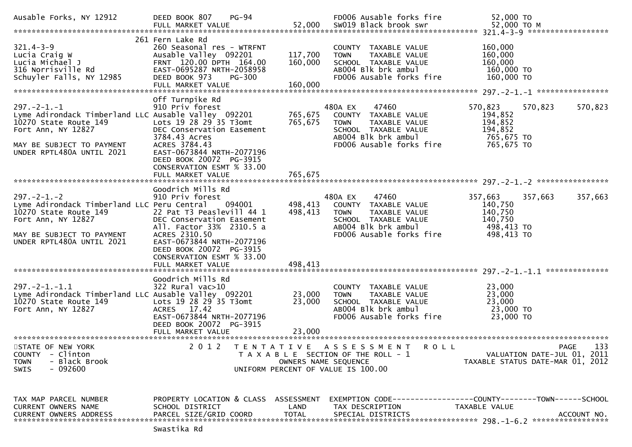| Ausable Forks, NY 12912                                                                                                                                                              | <b>PG-94</b><br>DEED BOOK 807<br>FULL MARKET VALUE                                                                                                                                                                                                              |                               | FD006 Ausable forks fire<br>52,000 SW019 Black brook swr                                                                                            | 52,000 TO<br>52,000 TO M                                                                   |
|--------------------------------------------------------------------------------------------------------------------------------------------------------------------------------------|-----------------------------------------------------------------------------------------------------------------------------------------------------------------------------------------------------------------------------------------------------------------|-------------------------------|-----------------------------------------------------------------------------------------------------------------------------------------------------|--------------------------------------------------------------------------------------------|
| $321.4 - 3 - 9$<br>Lucia Craig W<br>Lucia Michael J<br>316 Norrisville Rd<br>Schuyler Falls, NY 12985                                                                                | 261 Fern Lake Rd<br>260 Seasonal res - WTRFNT<br>Ausable Valley 092201<br>FRNT 120.00 DPTH 164.00<br>EAST-0695287 NRTH-2058958<br>DEED BOOK 973<br><b>PG-300</b><br>FULL MARKET VALUE                                                                           | 117,700<br>160,000<br>160,000 | COUNTY TAXABLE VALUE<br><b>TOWN</b><br>TAXABLE VALUE<br>SCHOOL TAXABLE VALUE<br>AB004 Blk brk ambul<br>FD006 Ausable forks fire                     | 160,000<br>160,000<br>160,000<br>160,000 TO<br>160,000 TO                                  |
| $297. - 2 - 1. - 1$<br>Lyme Adirondack Timberland LLC Ausable Valley 092201<br>10270 State Route 149<br>Fort Ann, NY 12827<br>MAY BE SUBJECT TO PAYMENT<br>UNDER RPTL480A UNTIL 2021 | Off Turnpike Rd<br>910 Priv forest<br>Lots 19 28 29 35 T3omt<br>DEC Conservation Easement<br>3784.43 Acres<br>ACRES 3784.43<br>EAST-0673844 NRTH-2077196<br>DEED BOOK 20072 PG-3915<br>CONSERVATION ESMT % 33.00<br>FULL MARKET VALUE                           | 765,675<br>765,675<br>765,675 | 47460<br>480A EX<br>COUNTY TAXABLE VALUE<br><b>TOWN</b><br>TAXABLE VALUE<br>SCHOOL TAXABLE VALUE<br>AB004 Blk brk ambul<br>FD006 Ausable forks fire | 570,823<br>570,823<br>570,823<br>194,852<br>194,852<br>194,852<br>765,675 TO<br>765,675 TO |
| $297. - 2 - 1. - 2$<br>Lyme Adirondack Timberland LLC Peru Central<br>10270 State Route 149<br>Fort Ann, NY 12827<br>MAY BE SUBJECT TO PAYMENT<br>UNDER RPTL480A UNTIL 2021          | Goodrich Mills Rd<br>910 Priv forest<br>094001<br>22 Pat T3 Peaslevill 44 1<br>DEC Conservation Easement<br>All. Factor 33% 2310.5 a<br>ACRES 2310.50<br>EAST-0673844 NRTH-2077196<br>DEED BOOK 20072 PG-3915<br>CONSERVATION ESMT % 33.00<br>FULL MARKET VALUE | 498,413<br>498,413<br>498,413 | 47460<br>480A EX<br>COUNTY TAXABLE VALUE<br><b>TOWN</b><br>TAXABLE VALUE<br>SCHOOL TAXABLE VALUE<br>AB004 Blk brk ambul<br>FD006 Ausable forks fire | 357,663<br>357,663<br>357,663<br>140,750<br>140,750<br>140,750<br>498,413 TO<br>498,413 TO |
|                                                                                                                                                                                      |                                                                                                                                                                                                                                                                 |                               |                                                                                                                                                     |                                                                                            |
| $297. -2 - 1. - 1.1$<br>Lyme Adirondack Timberland LLC Ausable Valley 092201<br>10270 State Route 149<br>Fort Ann, NY 12827                                                          | Goodrich Mills Rd<br>$322$ Rural vac $>10$<br>Lots 19 28 29 35 T3omt<br>ACRES 17.42<br>EAST-0673844 NRTH-2077196<br>DEED BOOK 20072 PG-3915<br>FULL MARKET VALUE                                                                                                | 23,000<br>23,000<br>23,000    | COUNTY TAXABLE VALUE<br>TAXABLE VALUE<br><b>TOWN</b><br>SCHOOL TAXABLE VALUE<br>AB004 Blk brk ambul<br>FD006 Ausable forks fire                     | 23,000<br>23,000<br>23,000<br>23,000 TO<br>23,000 TO                                       |
| STATE OF NEW YORK<br>- Clinton<br><b>COUNTY</b><br>- Black Brook<br><b>TOWN</b><br>$-092600$<br><b>SWIS</b>                                                                          | 2 0 1 2                                                                                                                                                                                                                                                         | OWNERS NAME SEQUENCE          | TENTATIVE ASSESSMENT<br>R O L L<br>T A X A B L E SECTION OF THE ROLL - 1<br>UNIFORM PERCENT OF VALUE IS 100.00                                      | 133<br>PAGE<br>VALUATION DATE-JUL 01, 2011<br>TAXABLE STATUS DATE-MAR 01, 2012             |
| TAX MAP PARCEL NUMBER<br>CURRENT OWNERS NAME<br><b>CURRENT OWNERS ADDRESS</b><br>******************************                                                                      | PROPERTY LOCATION & CLASS ASSESSMENT<br>SCHOOL DISTRICT<br>PARCEL SIZE/GRID COORD                                                                                                                                                                               | LAND<br><b>TOTAL</b>          | TAX DESCRIPTION<br>SPECIAL DISTRICTS                                                                                                                | TAXABLE VALUE<br>ACCOUNT NO.                                                               |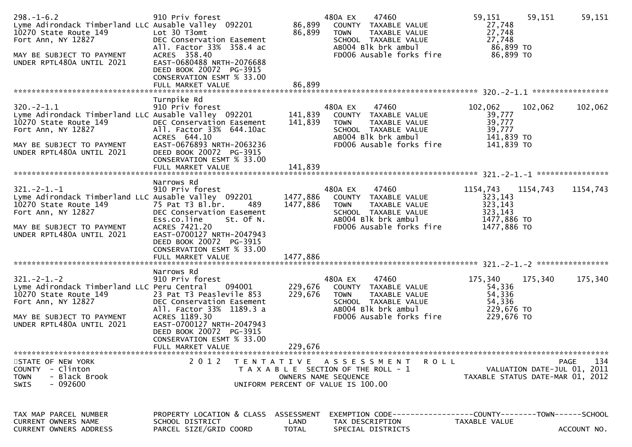| $298. - 1 - 6.2$<br>Lyme Adirondack Timberland LLC Ausable Valley 092201<br>10270 State Route 149<br>Fort Ann, NY 12827<br>MAY BE SUBJECT TO PAYMENT<br>UNDER RPTL480A UNTIL 2021  | 910 Priv forest<br>Lot 30 T3omt<br>DEC Conservation Easement<br>All. Factor 33% 358.4 ac<br>ACRES 358.40<br>EAST-0680488 NRTH-2076688<br>DEED BOOK 20072 PG-3915<br>CONSERVATION ESMT % 33.00<br>FULL MARKET VALUE                                      | 86,899<br>86,899<br>86,899       | 480A EX<br>47460<br>COUNTY TAXABLE VALUE<br>TAXABLE VALUE<br><b>TOWN</b><br>SCHOOL TAXABLE VALUE<br>CONSIDER TAAABLE VALUE<br>ABOO4 Blk brk ambul<br>EDOO6 Ausskl<br>FD006 Ausable forks fire | 59,151<br>59,151<br>27,748<br>27,748<br>27,748<br>86,899 TO<br>86,899 TO            | 59,151             |
|------------------------------------------------------------------------------------------------------------------------------------------------------------------------------------|---------------------------------------------------------------------------------------------------------------------------------------------------------------------------------------------------------------------------------------------------------|----------------------------------|-----------------------------------------------------------------------------------------------------------------------------------------------------------------------------------------------|-------------------------------------------------------------------------------------|--------------------|
| $320.-2-1.1$<br>Lyme Adirondack Timberland LLC Ausable Valley 092201<br>10270 State Route 149<br>Fort Ann, NY 12827<br>MAY BE SUBJECT TO PAYMENT<br>UNDER RPTL480A UNTIL 2021      | Turnpike Rd<br>910 Priv forest<br>DEC Conservation Easement<br>All. Factor 33% 644.10ac<br>ACRES 644.10<br>EAST-0676893 NRTH-2063236<br>DEED BOOK 20072 PG-3915<br>CONSERVATION ESMT % 33.00<br>FULL MARKET VALUE                                       | 141,839<br>141,839<br>141,839    | 47460<br>480A EX<br>COUNTY TAXABLE VALUE<br>TAXABLE VALUE<br>TOWN<br>SCHOOL TAXABLE VALUE<br>AB004 Blk brk ambul<br>FD006 Ausable forks fire                                                  | 102,062<br>102,062<br>39,777<br>39,777<br>39,777<br>141,839 TO<br>141,839 TO        | 102,062            |
| $321 - 2 - 1 - 1$<br>Lyme Adirondack Timberland LLC Ausable Valley 092201<br>10270 State Route 149<br>Fort Ann, NY 12827<br>MAY BE SUBJECT TO PAYMENT<br>UNDER RPTL480A UNTIL 2021 | Narrows Rd<br>910 Priv forest<br>75 Pat T3 Bl.br.<br>489<br>DEC Conservation Easement<br>St. Of N.<br>Ess.co.line<br>ACRES 7421.20<br>EAST-0700127 NRTH-2047943<br>DEED BOOK 20072 PG-3915<br>CONSERVATION ESMT % 33.00<br>FULL MARKET VALUE            | 1477,886<br>1477,886<br>1477,886 | 480A EX<br>47460<br>COUNTY TAXABLE VALUE<br>TAXABLE VALUE<br><b>TOWN</b><br>SCHOOL TAXABLE VALUE<br>AB004 Blk brk ambul<br>FD006 Ausable forks fire                                           | 1154,743<br>1154,743<br>323,143<br>323,143<br>323,143<br>1477,886 TO<br>1477,886 TO | 1154,743           |
| $321 - 2 - 1 - 2$<br>Lyme Adirondack Timberland LLC Peru Central<br>10270 State Route 149<br>Fort Ann, NY 12827<br>MAY BE SUBJECT TO PAYMENT<br>UNDER RPTL480A UNTIL 2021          | Narrows Rd<br>910 Priv forest<br>094001<br>23 Pat T3 Peaslevile 853<br>DEC Conservation Easement<br>All. Factor 33% 1189.3 a<br>ACRES 1189.30<br>EAST-0700127 NRTH-2047943<br>DEED BOOK 20072 PG-3915<br>CONSERVATION ESMT % 33.00<br>FULL MARKET VALUE | 229,676<br>229,676<br>229,676    | 480A EX<br>47460<br>COUNTY TAXABLE VALUE<br><b>TOWN</b><br>TAXABLE VALUE<br>SCHOOL TAXABLE VALUE<br>AB004 Blk brk ambul<br>FD006 Ausable forks fire                                           | 175,340<br>175,340<br>54,336<br>54,336<br>54,336<br>229,676 TO<br>229,676 TO        | 175,340            |
| STATE OF NEW YORK<br>COUNTY - Clinton<br>- Black Brook<br><b>TOWN</b><br>- 092600<br><b>SWIS</b>                                                                                   | 2 0 1 2<br>T E N T A T I V E                                                                                                                                                                                                                            |                                  | A S S E S S M E N T<br>R O L L<br>T A X A B L E SECTION OF THE ROLL - 1<br>OWNERS NAME SEQUENCE<br>UNIFORM PERCENT OF VALUE IS 100.00                                                         | VALUATION DATE-JUL 01, 2011<br>TAXABLE STATUS DATE-MAR 01, 2012                     | 134<br><b>PAGE</b> |
| TAX MAP PARCEL NUMBER<br>CURRENT OWNERS NAME<br><b>CURRENT OWNERS ADDRESS</b>                                                                                                      | PROPERTY LOCATION & CLASS ASSESSMENT<br>SCHOOL DISTRICT<br>PARCEL SIZE/GRID COORD                                                                                                                                                                       | LAND<br><b>TOTAL</b>             | EXEMPTION CODE-----------------COUNTY-------TOWN------SCHOOL<br>TAX DESCRIPTION<br>SPECIAL DISTRICTS                                                                                          | TAXABLE VALUE                                                                       | ACCOUNT NO.        |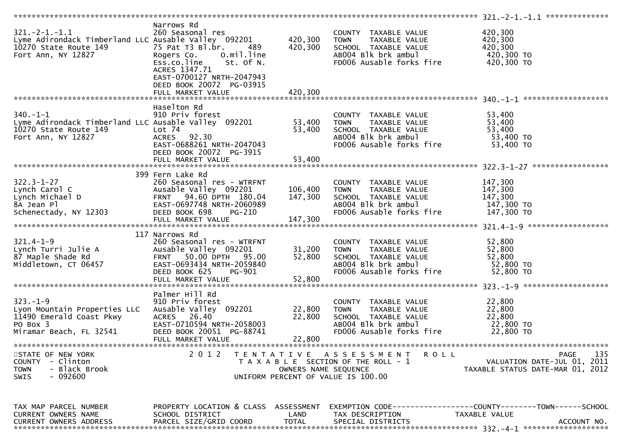| $321. -2 - 1. - 1.1$<br>Lyme Adirondack Timberland LLC Ausable Valley 092201<br>10270 State Route 149<br>Fort Ann, NY 12827 | Narrows Rd<br>260 Seasonal res<br>75 Pat T3 Bl.br.<br>489<br>O.mil.line<br>Rogers Co.<br>Ess.co.line<br>St. Of N.<br>ACRES 1347.71<br>EAST-0700127 NRTH-2047943<br>DEED BOOK 20072 PG-03915<br>FULL MARKET VALUE | 420,300<br>420,300<br>420,300 | COUNTY TAXABLE VALUE<br>TAXABLE VALUE<br><b>TOWN</b><br>SCHOOL TAXABLE VALUE<br>AB004 Blk brk ambul<br>FD006 Ausable forks fire | 420,300<br>420,300<br>420,300<br>420,300 TO<br>420,300 TO                      |
|-----------------------------------------------------------------------------------------------------------------------------|------------------------------------------------------------------------------------------------------------------------------------------------------------------------------------------------------------------|-------------------------------|---------------------------------------------------------------------------------------------------------------------------------|--------------------------------------------------------------------------------|
|                                                                                                                             |                                                                                                                                                                                                                  |                               |                                                                                                                                 |                                                                                |
| $340. - 1 - 1$<br>Lyme Adirondack Timberland LLC Ausable Valley 092201<br>10270 State Route 149<br>Fort Ann, NY 12827       | Haselton Rd<br>910 Priv forest<br>$Lot$ $74$<br><b>ACRES</b><br>92.30<br>EAST-0688261 NRTH-2047043<br>DEED BOOK 20072 PG-3915<br>FULL MARKET VALUE                                                               | 53,400<br>53,400<br>53,400    | COUNTY TAXABLE VALUE<br><b>TOWN</b><br>TAXABLE VALUE<br>SCHOOL TAXABLE VALUE<br>AB004 Blk brk ambul<br>FD006 Ausable forks fire | 53,400<br>53,400<br>53,400<br>53,400 TO<br>53,400 TO                           |
|                                                                                                                             |                                                                                                                                                                                                                  |                               |                                                                                                                                 |                                                                                |
| $322.3 - 1 - 27$<br>Lynch Carol C<br>Lynch Michael D<br>8A Jean Pl<br>Schenectady, NY 12303                                 | 399 Fern Lake Rd<br>260 Seasonal res - WTRFNT<br>Ausable Valley 092201<br>FRNT 94.60 DPTH 180.04<br>EAST-0697748 NRTH-2060989<br>DEED BOOK 698<br><b>PG-210</b><br>FULL MARKET VALUE                             | 106,400<br>147,300<br>147,300 | COUNTY TAXABLE VALUE<br>TAXABLE VALUE<br><b>TOWN</b><br>SCHOOL TAXABLE VALUE<br>AB004 Blk brk ambul<br>FD006 Ausable forks fire | 147,300<br>147,300<br>147,300<br>147,300 TO<br>147,300 TO                      |
|                                                                                                                             |                                                                                                                                                                                                                  |                               |                                                                                                                                 |                                                                                |
| $321.4 - 1 - 9$<br>Lynch Turri Julie A<br>87 Maple Shade Rd<br>Middletown, CT 06457                                         | 117 Narrows Rd<br>260 Seasonal res - WTRFNT<br>Ausable Valley 092201<br><b>FRNT 50.00 DPTH</b><br>95.00<br>EAST-0693434 NRTH-2059840<br>DEED BOOK 625<br>PG-901<br>FULL MARKET VALUE                             | 31,200<br>52,800<br>52,800    | COUNTY TAXABLE VALUE<br>TAXABLE VALUE<br><b>TOWN</b><br>SCHOOL TAXABLE VALUE<br>AB004 Blk brk ambul<br>FD006 Ausable forks fire | 52,800<br>52,800<br>52,800<br>52,800 TO<br>52,800 TO                           |
|                                                                                                                             | Palmer Hill Rd                                                                                                                                                                                                   |                               |                                                                                                                                 |                                                                                |
| $323. - 1 - 9$<br>Lyon Mountain Properties LLC<br>11490 Emerald Coast Pkwy<br>PO Box 3<br>Miramar Beach, FL 32541           | 910 Priv forest<br>Ausable Valley 092201<br>26.40<br><b>ACRES</b><br>EAST-0710594 NRTH-2058003<br>DEED BOOK 20051 PG-88741<br>FULL MARKET VALUE                                                                  | 22,800<br>22,800<br>22,800    | COUNTY TAXABLE VALUE<br><b>TOWN</b><br>TAXABLE VALUE<br>SCHOOL TAXABLE VALUE<br>AB004 Blk brk ambul<br>FD006 Ausable forks fire | 22,800<br>22,800<br>22,800<br>22,800 TO<br>22,800 TO                           |
|                                                                                                                             |                                                                                                                                                                                                                  |                               |                                                                                                                                 |                                                                                |
| STATE OF NEW YORK<br>- Clinton<br><b>COUNTY</b><br>- Black Brook<br><b>TOWN</b><br>SWIS<br>- 092600                         | 2 0 1 2                                                                                                                                                                                                          | OWNERS NAME SEQUENCE          | TENTATIVE ASSESSMENT<br>R O L L<br>T A X A B L E SECTION OF THE ROLL - 1<br>UNIFORM PERCENT OF VALUE IS 100.00                  | 135<br>PAGE<br>VALUATION DATE-JUL 01, 2011<br>TAXABLE STATUS DATE-MAR 01, 2012 |
| TAX MAP PARCEL NUMBER<br>CURRENT OWNERS NAME<br><b>CURRENT OWNERS ADDRESS</b>                                               | PROPERTY LOCATION & CLASS ASSESSMENT<br>SCHOOL DISTRICT<br>PARCEL SIZE/GRID COORD                                                                                                                                | LAND<br><b>TOTAL</b>          | TAX DESCRIPTION<br>SPECIAL DISTRICTS                                                                                            | TAXABLE VALUE<br>ACCOUNT NO.                                                   |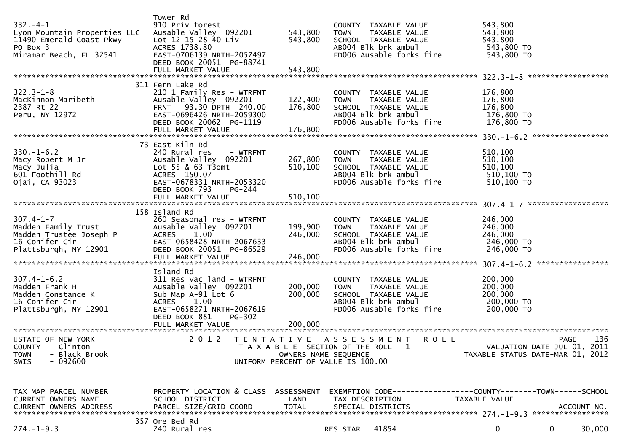|                                                                  | Tower Rd                                                |                      |                                                                |                                  |
|------------------------------------------------------------------|---------------------------------------------------------|----------------------|----------------------------------------------------------------|----------------------------------|
| $332 - 4 - 1$                                                    | 910 Priv forest                                         |                      | COUNTY TAXABLE VALUE                                           | 543,800                          |
| Lyon Mountain Properties LLC                                     | Ausable Valley 092201                                   | 543,800              | <b>TOWN</b><br>TAXABLE VALUE                                   | 543,800                          |
| 11490 Emerald Coast Pkwy                                         | Lot 12-15 28-40 Liv                                     | 543,800              | SCHOOL TAXABLE VALUE                                           | 543,800                          |
| PO Box 3                                                         | ACRES 1738.80                                           |                      | ABOO4 Blk brk ambul                                            | 543,800 TO                       |
| Miramar Beach, FL 32541                                          | EAST-0706139 NRTH-2057497                               |                      | FD006 Ausable forks fire                                       | 543,800 TO                       |
|                                                                  | DEED BOOK 20051 PG-88741                                |                      |                                                                |                                  |
|                                                                  | FULL MARKET VALUE                                       | 543,800              |                                                                |                                  |
|                                                                  |                                                         |                      |                                                                |                                  |
|                                                                  | 311 Fern Lake Rd                                        |                      |                                                                |                                  |
| $322.3 - 1 - 8$                                                  | 210 1 Family Res - WTRFNT                               |                      | COUNTY TAXABLE VALUE                                           | 176,800                          |
| MacKinnon Maribeth                                               | Ausable Valley 092201<br>FRNT 93.30 DPTH 240.00         | 122,400              | <b>TOWN</b><br>TAXABLE VALUE                                   | 176,800                          |
| 2387 Rt 22<br>Peru, NY 12972                                     | EAST-0696426 NRTH-2059300                               | 176,800              | SCHOOL TAXABLE VALUE<br>AB004 Blk brk ambul                    | 176,800<br>176,800 TO            |
|                                                                  | DEED BOOK 20062 PG-1119                                 |                      | FD006 Ausable forks fire 176,800 TO                            |                                  |
|                                                                  | FULL MARKET VALUE                                       | 176,800              |                                                                |                                  |
|                                                                  |                                                         |                      |                                                                |                                  |
|                                                                  | 73 East Kiln Rd                                         |                      |                                                                |                                  |
| $330 - 1 - 6.2$                                                  | 240 Rural res<br>- WTRFNT                               |                      | COUNTY TAXABLE VALUE                                           | 510,100                          |
|                                                                  | Ausable Valley 092201                                   | 267,800              | TAXABLE VALUE<br><b>TOWN</b>                                   | 510,100                          |
| Macy Robert M Jr<br>Macy Julia<br>601 Foothill Rd                | Lot 55 & 63 T3omt                                       | 510,100              | SCHOOL TAXABLE VALUE                                           | 510,100                          |
|                                                                  | ACRES 150.07                                            |                      | AB004 Blk brk ambul                                            | 510,100 TO                       |
| Ojai, CA 93023                                                   | EAST-0678331 NRTH-2053320                               |                      | FD006 Ausable forks fire                                       | 510,100 TO                       |
|                                                                  | DEED BOOK 793<br>PG-244                                 |                      |                                                                |                                  |
|                                                                  | FULL MARKET VALUE                                       | 510,100              |                                                                |                                  |
|                                                                  | 158 Island Rd                                           |                      |                                                                |                                  |
| $307.4 - 1 - 7$                                                  | 260 Seasonal res - WTRFNT                               |                      |                                                                | 246,000                          |
|                                                                  | Ausable Valley 092201                                   | 199,900              | COUNTY TAXABLE VALUE<br><b>TOWN</b><br>TAXABLE VALUE           | 246,000                          |
|                                                                  | ACRES 1.00                                              | 246,000              | SCHOOL TAXABLE VALUE                                           | 246,000                          |
| Madden Family Trust<br>Madden Trustee Joseph P<br>16 Conifer Cir | EAST-0658428 NRTH-2067633                               |                      | AB004 Blk brk ambul                                            | 246,000 TO                       |
| Plattsburgh, NY 12901                                            | DEED BOOK 20051 PG-86529                                |                      | FD006 Ausable forks fire                                       | 246,000 TO                       |
|                                                                  |                                                         |                      |                                                                |                                  |
|                                                                  |                                                         |                      |                                                                |                                  |
|                                                                  | Island Rd                                               |                      |                                                                |                                  |
| $307.4 - 1 - 6.2$                                                | 311 Res vac land - WTRFNT                               |                      | COUNTY TAXABLE VALUE                                           | 200,000                          |
| Madden Frank H                                                   | Ausable Valley 092201                                   | 200,000              | TAXABLE VALUE<br><b>TOWN</b>                                   | 200,000                          |
| Madden Constance K                                               | Sub Map A-91 Lot 6                                      | 200,000              | SCHOOL TAXABLE VALUE                                           | 200,000                          |
| 16 Conifer Cir<br>Plattsburgh, NY 12901                          | ACRES 1.00<br>EAST-0658271 NRTH-2067619                 |                      | AB004 Blk brk ambul<br>FD006 Ausable forks fire                | 200,000 TO<br>200,000 TO         |
|                                                                  | DEED BOOK 881<br>$PG-302$                               |                      |                                                                |                                  |
|                                                                  | FULL MARKET VALUE                                       | 200,000              |                                                                |                                  |
|                                                                  |                                                         |                      |                                                                |                                  |
| STATE OF NEW YORK                                                | 2 0 1 2<br>T E N T A T I V E                            |                      | A S S E S S M E N T<br><b>ROLL</b>                             | 136<br><b>PAGE</b>               |
| COUNTY - Clinton                                                 |                                                         |                      | T A X A B L E SECTION OF THE ROLL - 1                          | VALUATION DATE-JUL 01, 2011      |
| - Black Brook<br><b>TOWN</b>                                     |                                                         | OWNERS NAME SEQUENCE |                                                                | TAXABLE STATUS DATE-MAR 01, 2012 |
| SWIS<br>- 092600                                                 |                                                         |                      | UNIFORM PERCENT OF VALUE IS 100.00                             |                                  |
|                                                                  |                                                         |                      |                                                                |                                  |
|                                                                  |                                                         |                      |                                                                |                                  |
|                                                                  |                                                         |                      | EXEMPTION CODE------------------COUNTY--------TOWN------SCHOOL |                                  |
| TAX MAP PARCEL NUMBER<br>CURRENT OWNERS NAME                     | PROPERTY LOCATION & CLASS ASSESSMENT<br>SCHOOL DISTRICT | LAND                 | TAX DESCRIPTION                                                | TAXABLE VALUE                    |
| <b>CURRENT OWNERS ADDRESS</b>                                    | PARCEL SIZE/GRID COORD                                  | <b>TOTAL</b>         | SPECIAL DISTRICTS                                              | ACCOUNT NO.                      |
|                                                                  |                                                         |                      |                                                                |                                  |
|                                                                  | 357 Ore Bed Rd                                          |                      |                                                                |                                  |
| $274. - 1 - 9.3$                                                 | 240 Rural res                                           |                      | 41854<br>RES STAR                                              | 0<br>$\mathbf{0}$<br>30,000      |
|                                                                  |                                                         |                      |                                                                |                                  |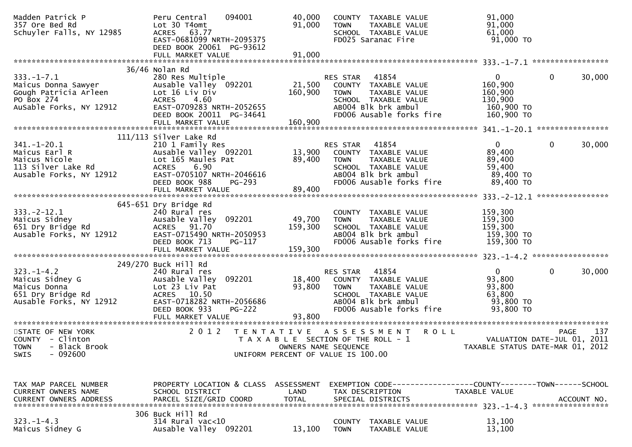| Madden Patrick P<br>357 Ore Bed Rd<br>Schuyler Falls, NY 12985                                 | 094001<br>Peru Central<br>Lot 30 T4omt<br>ACRES 63.77           | 40,000<br>91,000 | COUNTY TAXABLE VALUE<br>TOWN<br>SCHOOL TAXABLE VALUE | TAXABLE VALUE             | 91,000<br>91,000<br>61,000                                   |              |             |
|------------------------------------------------------------------------------------------------|-----------------------------------------------------------------|------------------|------------------------------------------------------|---------------------------|--------------------------------------------------------------|--------------|-------------|
|                                                                                                | EAST-0681099 NRTH-2095375<br>DEED BOOK 20061 PG-93612           |                  | FD025 Saranac Fire                                   |                           | $91,000$ TO                                                  |              |             |
|                                                                                                |                                                                 |                  |                                                      |                           |                                                              |              |             |
|                                                                                                | 36/46 Nolan Rd                                                  |                  |                                                      |                           |                                                              |              |             |
| $333. - 1 - 7.1$<br>Maicus Donna Sawyer<br>Gough Patricia Arleen<br>PO Box 274<br>Ausable Feri | 280 Res Multiple                                                |                  | 41854<br>RES STAR                                    |                           | $\mathbf{0}$                                                 | $\mathbf{0}$ | 30,000      |
|                                                                                                | Ausable Valley 092201                                           |                  | 21,500 COUNTY TAXABLE VALUE                          |                           | 160,900                                                      |              |             |
|                                                                                                | Lot 16 Liv Div<br><b>ACRES</b><br>4.60                          | 160,900          | TOWN<br>SCHOOL TAXABLE VALUE                         | TAXABLE VALUE             | 160,900<br>130,900                                           |              |             |
| AuSable Forks, NY 12912                                                                        | EAST-0709283 NRTH-2052655                                       |                  | ABOO4 Blk brk ambul                                  |                           | 160,900 то                                                   |              |             |
|                                                                                                | DEED BOOK 20011 PG-34641                                        |                  |                                                      | FD006 Ausable forks fire  | 160,900 TO                                                   |              |             |
|                                                                                                |                                                                 |                  |                                                      |                           |                                                              |              |             |
|                                                                                                |                                                                 |                  |                                                      |                           |                                                              |              |             |
|                                                                                                | $111/113$ Silver Lake Rd                                        |                  |                                                      |                           |                                                              |              |             |
| $341. - 1 - 20.1$                                                                              | 210 1 Family Res                                                |                  | RES STAR 41854<br>13,900 COUNTY TAXABLE VALUE        |                           | 0                                                            | $\mathbf{0}$ | 30,000      |
| Maicus Earl R<br>Maicus Nicole                                                                 | Ausable Valley 092201<br>Lot 165 Maules Pat                     | 89,400           | <b>TOWN</b>                                          | TAXABLE VALUE             | 89,400<br>89,400                                             |              |             |
| 113 Silver Lake Rd                                                                             | <b>ACRES</b><br>6.90                                            |                  | SCHOOL TAXABLE VALUE                                 |                           | 59,400                                                       |              |             |
| Ausable Forks, NY 12912                                                                        | EAST-0705107 NRTH-2046616                                       |                  | ABOO4 Blk brk ambul                                  |                           | 89,400 TO                                                    |              |             |
|                                                                                                | DEED BOOK 988<br>PG-293                                         |                  |                                                      | FD006 Ausable forks fire  | 89,400 TO                                                    |              |             |
|                                                                                                |                                                                 |                  |                                                      |                           |                                                              |              |             |
|                                                                                                |                                                                 |                  |                                                      |                           |                                                              |              |             |
|                                                                                                | 645-651 Dry Bridge Rd                                           |                  |                                                      |                           |                                                              |              |             |
| $333. -2 - 12.1$                                                                               | 240 Rural res<br>Ausable Valley 092201                          | 49,700 TOWN      | COUNTY TAXABLE VALUE                                 | TAXABLE VALUE             | 159,300<br>159,300                                           |              |             |
|                                                                                                | ACRES 91.70                                                     | 159,300          | SCHOOL TAXABLE VALUE                                 |                           | 159,300                                                      |              |             |
| 333.-2-12.1<br>Maicus Sidney<br>651 Dry Bridge Rd<br>Ausable Forks, NY 12912                   | EAST-0715490 NRTH-2050953                                       |                  |                                                      | AB004 Blk brk ambul       | 159,300 TO                                                   |              |             |
|                                                                                                | DEED BOOK 713<br><b>PG-117</b>                                  |                  |                                                      | FD006 Ausable forks fire  | 159,300 TO                                                   |              |             |
|                                                                                                | FULL MARKET VALUE                                               | 159,300          |                                                      |                           |                                                              |              |             |
|                                                                                                |                                                                 |                  |                                                      |                           |                                                              |              |             |
|                                                                                                | 249/270 Buck Hill Rd                                            |                  |                                                      |                           |                                                              |              |             |
| $323. - 1 - 4.2$<br>Maicus Sidney G                                                            | 240 Rural res<br>Ausable Valley 092201                          |                  | 41854<br>RES STAR<br>18,400 COUNTY TAXABLE VALUE     |                           | $\mathbf{0}$<br>93,800                                       | $\Omega$     | 30,000      |
| Maicus Donna                                                                                   | Lot 23 Liv Pat                                                  | 93,800           | <b>TOWN</b>                                          | TAXABLE VALUE             | 93,800                                                       |              |             |
| 651 Dry Bridge Rd                                                                              | ACRES 10.50                                                     |                  | SCHOOL TAXABLE VALUE                                 |                           | 63,800                                                       |              |             |
| Ausable Forks, NY 12912                                                                        | ACRES 10.50<br>EAST-0718282 NRTH-2056686<br>EED-0706 822 PC-222 |                  |                                                      | ABOO4 Blk brk ambul       | 93,800 TO                                                    |              |             |
|                                                                                                | DEED BOOK 933<br>PG-222                                         |                  |                                                      | FD006 Ausable forks fire  | 93,800 TO                                                    |              |             |
|                                                                                                |                                                                 |                  |                                                      |                           |                                                              |              |             |
|                                                                                                |                                                                 |                  |                                                      |                           |                                                              |              |             |
| STATE OF NEW YORK<br>COUNTY - Clinton                                                          | 2 0 1 2                                                         |                  | T A X A B L E SECTION OF THE ROLL - 1                | TENTATIVE ASSESSMENT ROLL | VALUATION DATE-JUL 01, 2011                                  | PAGE         | 137         |
| - Black Brook<br><b>TOWN</b>                                                                   |                                                                 |                  | OWNERS NAME SEQUENCE                                 |                           | TAXABLE STATUS DATE-MAR 01, 2012                             |              |             |
| - 092600<br><b>SWIS</b>                                                                        |                                                                 |                  | UNIFORM PERCENT OF VALUE IS 100.00                   |                           |                                                              |              |             |
|                                                                                                |                                                                 |                  |                                                      |                           |                                                              |              |             |
|                                                                                                |                                                                 |                  |                                                      |                           |                                                              |              |             |
|                                                                                                |                                                                 |                  |                                                      |                           |                                                              |              |             |
| TAX MAP PARCEL NUMBER                                                                          | PROPERTY LOCATION & CLASS ASSESSMENT                            | LAND             |                                                      |                           | EXEMPTION CODE-----------------COUNTY-------TOWN------SCHOOL |              |             |
| CURRENT OWNERS NAME<br><b>CURRENT OWNERS ADDRESS</b>                                           | SCHOOL DISTRICT<br>PARCEL SIZE/GRID COORD                       | <b>TOTAL</b>     | TAX DESCRIPTION<br>SPECIAL DISTRICTS                 |                           | TAXABLE VALUE                                                |              | ACCOUNT NO. |
|                                                                                                |                                                                 |                  |                                                      |                           |                                                              |              |             |
|                                                                                                | 306 Buck Hill Rd                                                |                  |                                                      |                           |                                                              |              |             |
| $323. - 1 - 4.3$                                                                               | 314 Rural vac<10                                                |                  | <b>COUNTY</b>                                        | TAXABLE VALUE             | 13,100                                                       |              |             |
| Maicus Sidney G                                                                                | Ausable Valley 092201                                           | 13,100           | <b>TOWN</b>                                          | TAXABLE VALUE             | 13,100                                                       |              |             |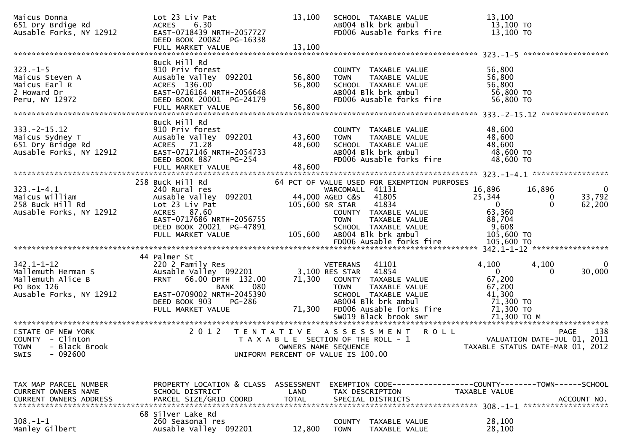| Maicus Donna<br>651 Dry Brdige Rd<br>Ausable Forks, NY 12912                                         | Lot 23 Liv Pat<br>6.30<br><b>ACRES</b><br>EAST-0718439 NRTH-2057727<br>DEED BOOK 20082 PG-16338<br>FULL MARKET VALUE                                                                             | 13,100<br>13,100           | SCHOOL TAXABLE VALUE<br>AB004 Blk brk ambul<br>FD006 Ausable forks fire                                                                                                                                                                                   | 13,100<br>13,100 TO<br>13,100 TO                                                          |                                                                    |
|------------------------------------------------------------------------------------------------------|--------------------------------------------------------------------------------------------------------------------------------------------------------------------------------------------------|----------------------------|-----------------------------------------------------------------------------------------------------------------------------------------------------------------------------------------------------------------------------------------------------------|-------------------------------------------------------------------------------------------|--------------------------------------------------------------------|
| $323. - 1 - 5$<br>Maicus Steven A<br>Maicus Earl R<br>2 Howard Dr<br>Peru, NY 12972                  | Buck Hill Rd<br>910 Priv forest<br>Ausable Valley 092201<br>ACRES 136.00<br>EAST-0716164 NRTH-2056648<br>DEED BOOK 20001 PG-24179<br>FULL MARKET VALUE                                           | 56,800<br>56,800<br>56,800 | COUNTY TAXABLE VALUE<br>TAXABLE VALUE<br><b>TOWN</b><br>SCHOOL TAXABLE VALUE<br>AB004 Blk brk ambul<br>FD006 Ausable forks fire                                                                                                                           | 56,800<br>56,800<br>56,800<br>56,800 TO<br>56,800 TO                                      | ***************                                                    |
| $333. -2 - 15.12$<br>Maicus Sydney T<br>651 Dry Bridge Rd<br>Ausable Forks, NY 12912                 | Buck Hill Rd<br>910 Priv forest<br>Ausable Valley 092201<br>ACRES 71.28<br>EAST-0717146 NRTH-2054733<br>DEED BOOK 887<br>PG-254                                                                  | 43,600<br>48,600           | COUNTY TAXABLE VALUE<br>TAXABLE VALUE<br><b>TOWN</b><br>SCHOOL TAXABLE VALUE<br>AB004 Blk brk ambul<br>FD006 Ausable forks fire                                                                                                                           | 48,600<br>48,600<br>48,600<br>48,600 TO<br>48,600 TO                                      |                                                                    |
| $323. - 1 - 4.1$<br>Maicus William<br>258 Buck Hill Rd<br>Ausable Forks, NY 12912                    | 258 Buck Hill Rd<br>240 Rural res<br>Ausable Valley 092201<br>Lot 23 Liv Pat<br>ACRES 87.60<br>EAST-0717686 NRTH-2056755<br>DEED BOOK 20021 PG-47891<br>FULL MARKET VALUE                        | 105,600                    | 64 PCT OF VALUE USED FOR EXEMPTION PURPOSES<br>WARCOMALL 41131<br>44,000 AGED C&S<br>41805<br>105,600 SR STAR<br>41834<br>COUNTY TAXABLE VALUE<br><b>TOWN</b><br>TAXABLE VALUE<br>SCHOOL TAXABLE VALUE<br>AB004 Blk brk ambul<br>FD006 Ausable forks fire | 16,896<br>25,344<br>$\mathbf{0}$<br>63,360<br>88,704<br>9,608<br>105,600 TO<br>105,600 TO | 16,896<br>$\mathbf{0}$<br>33,792<br>$\bf{0}$<br>62,200<br>$\Omega$ |
| $342.1 - 1 - 12$<br>Mallemuth Herman S<br>Mallemuth Alice B<br>PO Box 126<br>Ausable Forks, NY 12912 | 44 Palmer St<br>220 2 Family Res<br>Ausable Valley 092201<br>66.00 DPTH 132.00<br><b>FRNT</b><br>080<br><b>BANK</b><br>EAST-0709002 NRTH-2045390<br>PG-286<br>DEED BOOK 903<br>FULL MARKET VALUE | 71,300<br>71,300           | 41101<br><b>VETERANS</b><br>41854<br>3,100 RES STAR<br>COUNTY TAXABLE VALUE<br>TAXABLE VALUE<br><b>TOWN</b><br>SCHOOL TAXABLE VALUE<br>AB004 Blk brk ambul<br>FD006 Ausable forks fire                                                                    | 4,100<br>$\mathbf{0}$<br>67,200<br>67,200<br>41,300<br>71,300 TO<br>71,300 TO             | 4,100<br>$\mathbf{0}$<br>30,000<br>0                               |
| STATE OF NEW YORK<br>COUNTY - Clinton<br>- Black Brook<br><b>TOWN</b><br>$-092600$<br>SWIS           | 2 0 1 2                                                                                                                                                                                          |                            | TENTATIVE ASSESSMENT<br><b>ROLL</b><br>T A X A B L E SECTION OF THE ROLL - 1<br>OWNERS NAME SEQUENCE<br>UNIFORM PERCENT OF VALUE IS 100.00                                                                                                                | TAXABLE STATUS DATE-MAR 01, 2012                                                          | 138<br><b>PAGE</b><br>VALUATION DATE-JUL 01, 2011                  |
| TAX MAP PARCEL NUMBER<br>CURRENT OWNERS NAME                                                         | PROPERTY LOCATION & CLASS ASSESSMENT<br>SCHOOL DISTRICT                                                                                                                                          | LAND                       | EXEMPTION CODE-----------------COUNTY-------TOWN------SCHOOL<br>TAX DESCRIPTION                                                                                                                                                                           | TAXABLE VALUE                                                                             |                                                                    |
| $308. - 1 - 1$<br>Manley Gilbert                                                                     | 68 Silver Lake Rd<br>260 Seasonal res<br>Ausable Valley 092201                                                                                                                                   | 12,800                     | <b>COUNTY</b><br>TAXABLE VALUE<br><b>TOWN</b><br>TAXABLE VALUE                                                                                                                                                                                            | 28,100<br>28,100                                                                          |                                                                    |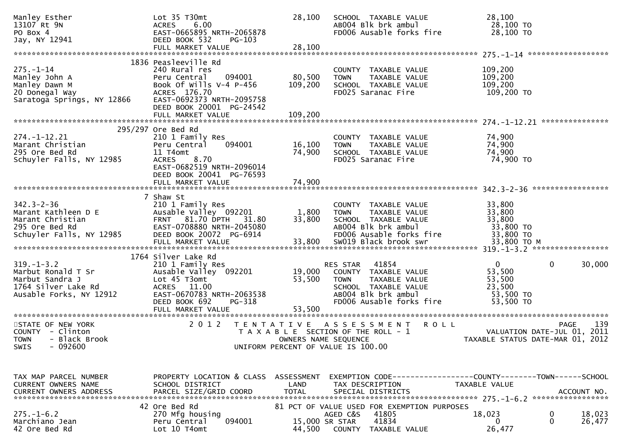| Manley Esther<br>13107 Rt 9N<br>PO Box 4<br>Jay, NY 12941                                                   | Lot 35 T30mt<br><b>ACRES</b><br>6.00<br>EAST-0665895 NRTH-2065878<br>DEED BOOK 532<br>$PG-103$                                                                                             | 28,100                                    | SCHOOL TAXABLE VALUE<br>AB004 Blk brk ambul<br>FD006 Ausable forks fire                                                                                  | 28,100<br>28,100 TO<br>28,100 TO                                     |                                                                                       |
|-------------------------------------------------------------------------------------------------------------|--------------------------------------------------------------------------------------------------------------------------------------------------------------------------------------------|-------------------------------------------|----------------------------------------------------------------------------------------------------------------------------------------------------------|----------------------------------------------------------------------|---------------------------------------------------------------------------------------|
|                                                                                                             | FULL MARKET VALUE                                                                                                                                                                          | 28,100                                    |                                                                                                                                                          |                                                                      |                                                                                       |
| $275. - 1 - 14$<br>Manley John A<br>Manley Dawn M<br>20 Donegal Way<br>Saratoga Springs, NY 12866           | 1836 Peasleeville Rd<br>240 Rural res<br>094001<br>Peru Central<br>Book Of Wills $V-4$ P-456<br>ACRES 176.70<br>EAST-0692373 NRTH-2095758<br>DEED BOOK 20001 PG-24542<br>FULL MARKET VALUE | 80,500<br>109,200<br>109,200              | COUNTY TAXABLE VALUE<br><b>TOWN</b><br>TAXABLE VALUE<br>SCHOOL TAXABLE VALUE<br>FD025 Saranac Fire                                                       | 109,200<br>109,200<br>109,200<br>109,200 TO                          |                                                                                       |
|                                                                                                             |                                                                                                                                                                                            |                                           |                                                                                                                                                          |                                                                      |                                                                                       |
| $274. - 1 - 12.21$<br>Marant Christian<br>295 Ore Bed Rd<br>Schuyler Falls, NY 12985                        | 295/297 Ore Bed Rd<br>210 1 Family Res<br>094001<br>Peru Central<br>11 T4omt<br>8.70<br><b>ACRES</b><br>EAST-0682519 NRTH-2096014<br>DEED BOOK 20041 PG-76593                              | 16,100<br>74,900                          | COUNTY TAXABLE VALUE<br>TAXABLE VALUE<br><b>TOWN</b><br>SCHOOL TAXABLE VALUE<br>FD025 Saranac Fire                                                       | 74,900<br>74,900<br>74,900<br>74,900 TO                              |                                                                                       |
|                                                                                                             |                                                                                                                                                                                            |                                           |                                                                                                                                                          |                                                                      |                                                                                       |
| $342.3 - 2 - 36$<br>Marant Kathleen D E<br>Marant Christian<br>295 Ore Bed Rd<br>Schuyler Falls, NY 12985   | 7 Shaw St<br>210 1 Family Res<br>Ausable Valley 092201<br>FRNT 81.70 DPTH 31.80<br>EAST-0708880 NRTH-2045080<br>DEED BOOK 20072 PG-6914<br>FULL MARKET VALUE                               | 1,800<br>33,800<br>33,800                 | COUNTY TAXABLE VALUE<br><b>TOWN</b><br>TAXABLE VALUE<br>SCHOOL TAXABLE VALUE<br>AB004 Blk brk ambul<br>FD006 Ausable forks fire<br>SW019 Black brook swr | 33,800<br>33,800<br>33,800<br>33,800 TO<br>33,800 TO<br>33,800 TO M  |                                                                                       |
|                                                                                                             | 1764 Silver Lake Rd                                                                                                                                                                        |                                           |                                                                                                                                                          |                                                                      |                                                                                       |
| $319. - 1 - 3.2$<br>Marbut Ronald T Sr<br>Marbut Sandra J<br>1764 Silver Lake Rd<br>Ausable Forks, NY 12912 | 210 1 Family Res<br>Ausable Valley 092201<br>Lot 45 T3omt<br>ACRES 11.00<br>EAST-0670783 NRTH-2063538<br>DEED BOOK 692<br>PG-318                                                           | 19,000<br>53,500                          | 41854<br>RES STAR<br>COUNTY TAXABLE VALUE<br><b>TOWN</b><br>TAXABLE VALUE<br>SCHOOL TAXABLE VALUE<br>AB004 Blk brk ambul<br>FD006 Ausable forks fire     | $\mathbf{0}$<br>53,500<br>53,500<br>23,500<br>53,500 TO<br>53,500 TO | 0<br>30,000                                                                           |
|                                                                                                             | FULL MARKET VALUE                                                                                                                                                                          | 53,500                                    |                                                                                                                                                          |                                                                      |                                                                                       |
| STATE OF NEW YORK<br>COUNTY - Clinton<br><b>TOWN</b><br>- Black Brook<br>$-092600$<br>SWIS                  | 2 0 1 2                                                                                                                                                                                    | T E N T A T I V E<br>OWNERS NAME SEQUENCE | <b>ROLL</b><br>A S S E S S M E N T<br>T A X A B L E SECTION OF THE ROLL - 1<br>UNIFORM PERCENT OF VALUE IS 100.00                                        |                                                                      | 139<br><b>PAGE</b><br>VALUATION DATE-JUL 01, 2011<br>TAXABLE STATUS DATE-MAR 01, 2012 |
| TAX MAP PARCEL NUMBER<br><b>CURRENT OWNERS NAME</b>                                                         | PROPERTY LOCATION & CLASS ASSESSMENT<br>SCHOOL DISTRICT                                                                                                                                    | LAND                                      | EXEMPTION CODE------------------COUNTY--------TOWN------SCHOOL<br>TAX DESCRIPTION                                                                        | TAXABLE VALUE                                                        |                                                                                       |
| $275. - 1 - 6.2$<br>Marchiano Jean<br>42 Ore Bed Rd                                                         | 42 Ore Bed Rd<br>270 Mfg housing<br>094001<br>Peru Central<br>Lot 10 T4omt                                                                                                                 | 15,000 SR STAR<br>44,500                  | 81 PCT OF VALUE USED FOR EXEMPTION PURPOSES<br>AGED C&S<br>41805<br>41834<br>COUNTY TAXABLE VALUE                                                        | 18,023<br>$\Omega$<br>26,477                                         | 0<br>18,023<br>0<br>26,477                                                            |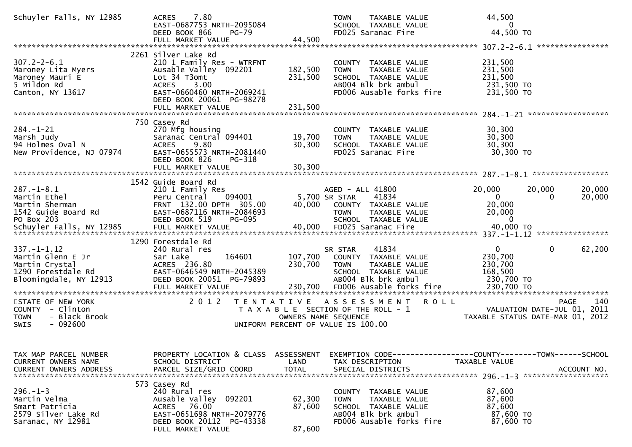| Schuyler Falls, NY 12985                                                                                 | 7.80<br><b>ACRES</b><br>EAST-0687753 NRTH-2095084<br>DEED BOOK 866<br><b>PG-79</b><br>FULL MARKET VALUE                                                                                         | 44,500                        | TAXABLE VALUE<br><b>TOWN</b><br>SCHOOL TAXABLE VALUE<br>FD025 Saranac Fire                                                      | 44,500<br>$\mathbf{0}$<br>44,500 TO                                                          |
|----------------------------------------------------------------------------------------------------------|-------------------------------------------------------------------------------------------------------------------------------------------------------------------------------------------------|-------------------------------|---------------------------------------------------------------------------------------------------------------------------------|----------------------------------------------------------------------------------------------|
|                                                                                                          |                                                                                                                                                                                                 |                               |                                                                                                                                 |                                                                                              |
| $307.2 - 2 - 6.1$<br>Maroney Lita Myers<br>Maroney Mauri E<br>5 Mildon Rd<br>Canton, NY 13617            | 2261 Silver Lake Rd<br>210 1 Family Res - WTRFNT<br>Ausable Valley 092201<br>Lot 34 T3omt<br>3.00<br><b>ACRES</b><br>EAST-0660460 NRTH-2069241<br>DEED BOOK 20061 PG-98278<br>FULL MARKET VALUE | 182,500<br>231,500<br>231,500 | COUNTY TAXABLE VALUE<br>TAXABLE VALUE<br><b>TOWN</b><br>SCHOOL TAXABLE VALUE<br>AB004 Blk brk ambul<br>FD006 Ausable forks fire | 231,500<br>231,500<br>231,500<br>231,500 TO<br>231,500 TO<br>******************              |
|                                                                                                          |                                                                                                                                                                                                 |                               |                                                                                                                                 |                                                                                              |
| $284. - 1 - 21$<br>Marsh Judy<br>94 Holmes Oval N<br>New Providence, NJ 07974                            | 750 Casey Rd<br>270 Mfg housing<br>Saranac Central 094401<br>9.80<br><b>ACRES</b><br>EAST-0655573 NRTH-2081440<br>DEED BOOK 826<br>PG-318                                                       | 19,700<br>30,300              | COUNTY TAXABLE VALUE<br>TAXABLE VALUE<br><b>TOWN</b><br>SCHOOL TAXABLE VALUE<br>FD025 Saranac Fire                              | 30,300<br>30,300<br>30,300<br>30,300 TO                                                      |
|                                                                                                          |                                                                                                                                                                                                 |                               |                                                                                                                                 |                                                                                              |
|                                                                                                          |                                                                                                                                                                                                 |                               |                                                                                                                                 |                                                                                              |
| $287. - 1 - 8.1$<br>Martin Ethel<br>Martin Sherman<br>1542 Guide Board Rd<br>PO Box 203                  | 1542 Guide Board Rd<br>210 1 Family Res<br>094001<br>Peru Central<br>FRNT 132.00 DPTH 305.00<br>EAST-0687116 NRTH-2084693<br>DEED BOOK 519<br><b>PG-095</b>                                     | 40,000                        | AGED - ALL 41800<br>41834<br>5,700 SR STAR<br>COUNTY TAXABLE VALUE<br><b>TOWN</b><br>TAXABLE VALUE<br>SCHOOL TAXABLE VALUE      | 20,000<br>20,000<br>20,000<br>$\mathbf{0}$<br>20,000<br>0<br>20,000<br>20,000<br>$\mathbf 0$ |
|                                                                                                          | 1290 Forestdale Rd                                                                                                                                                                              |                               |                                                                                                                                 |                                                                                              |
| $337. - 1 - 1.12$<br>Martin Glenn E Jr<br>Martin Crystal<br>1290 Forestdale Rd<br>Bloomingdale, NY 12913 | 240 Rural res<br>164601<br>Sar Lake<br>ACRES 236.80<br>EAST-0646549 NRTH-2045389<br>DEED BOOK 20051 PG-79893                                                                                    | 107,700<br>230,700            | 41834<br>SR STAR<br>COUNTY TAXABLE VALUE<br><b>TOWN</b><br>TAXABLE VALUE<br>SCHOOL TAXABLE VALUE<br>AB004 Blk brk ambul         | $\mathbf{0}$<br>$\mathbf{0}$<br>62,200<br>230,700<br>230,700<br>168,500<br>230,700 TO        |
| STATE OF NEW YORK<br>COUNTY - Clinton<br>- Black Brook<br><b>TOWN</b><br>$-092600$<br><b>SWIS</b>        | 2 0 1 2                                                                                                                                                                                         | OWNERS NAME SEQUENCE          | TENTATIVE ASSESSMENT<br><b>ROLL</b><br>T A X A B L E SECTION OF THE ROLL - 1<br>UNIFORM PERCENT OF VALUE IS 100.00              | 140<br><b>PAGE</b><br>2011<br>VALUATION DATE-JUL 01,<br>TAXABLE STATUS DATE-MAR 01, 2012     |
| TAX MAP PARCEL NUMBER<br>CURRENT OWNERS NAME<br><b>CURRENT OWNERS ADDRESS</b>                            | PROPERTY LOCATION & CLASS ASSESSMENT<br>SCHOOL DISTRICT<br>PARCEL SIZE/GRID COORD                                                                                                               | LAND<br><b>TOTAL</b>          | TAX DESCRIPTION<br>SPECIAL DISTRICTS                                                                                            | EXEMPTION CODE-----------------COUNTY-------TOWN------SCHOOL<br>TAXABLE VALUE<br>ACCOUNT NO. |
| $296. - 1 - 3$<br>Martin Velma<br>Smart Patricia<br>2579 Silver Lake Rd<br>Saranac, NY 12981             | 573 Casey Rd<br>240 Rural res<br>Ausable Valley 092201<br>ACRES 76.00<br>EAST-0651698 NRTH-2079776<br>DEED BOOK 20112 PG-43338<br>FULL MARKET VALUE                                             | 62,300<br>87,600<br>87,600    | COUNTY TAXABLE VALUE<br>TAXABLE VALUE<br><b>TOWN</b><br>SCHOOL TAXABLE VALUE<br>AB004 Blk brk ambul<br>FD006 Ausable forks fire | 87,600<br>87,600<br>87,600<br>87,600 TO<br>87,600 TO                                         |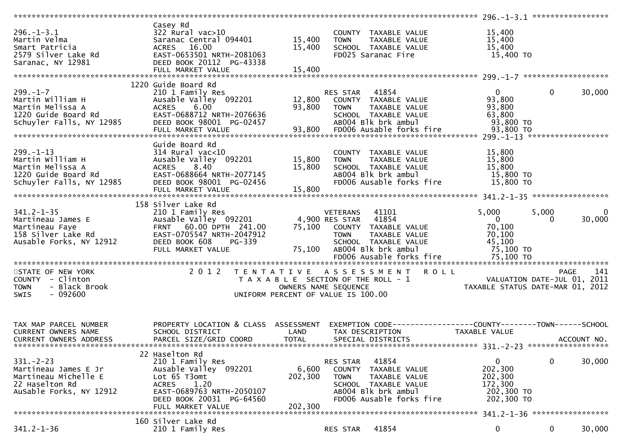|                                                                                                             |                                                                                                                                                                                   |                             |                                                                                                                                                                                    | 296. -1-3.1 ******************<br>***********                                                    |                   |             |
|-------------------------------------------------------------------------------------------------------------|-----------------------------------------------------------------------------------------------------------------------------------------------------------------------------------|-----------------------------|------------------------------------------------------------------------------------------------------------------------------------------------------------------------------------|--------------------------------------------------------------------------------------------------|-------------------|-------------|
| $296. - 1 - 3.1$<br>Martin Velma<br>Smart Patricia<br>2579 Silver Lake Rd<br>Saranac, NY 12981              | Casey Rd<br>$322$ Rural vac $>10$<br>Saranac Central 094401<br>16.00<br><b>ACRES</b><br>EAST-0653501 NRTH-2081063<br>DEED BOOK 20112 PG-43338<br>FULL MARKET VALUE                | 15,400<br>15,400<br>15,400  | COUNTY TAXABLE VALUE<br>TAXABLE VALUE<br><b>TOWN</b><br>SCHOOL TAXABLE VALUE<br>FD025 Saranac Fire                                                                                 | 15,400<br>15,400<br>15,400<br>15,400 TO                                                          |                   |             |
|                                                                                                             |                                                                                                                                                                                   |                             |                                                                                                                                                                                    |                                                                                                  |                   |             |
| $299. - 1 - 7$<br>Martin William H<br>Martin Melissa A<br>1220 Guide Board Rd<br>Schuyler Falls, NY 12985   | 1220 Guide Board Rd<br>210 1 Family Res<br>Ausable Valley 092201<br>6.00<br><b>ACRES</b><br>EAST-0688712 NRTH-2076636<br>DEED BOOK 98001 PG-02457<br>FULL MARKET VALUE            | 12,800<br>93,800<br>93,800  | 41854<br>RES STAR<br>COUNTY TAXABLE VALUE<br><b>TOWN</b><br>TAXABLE VALUE<br>SCHOOL TAXABLE VALUE<br>AB004 Blk brk ambul<br>FD006 Ausable forks fire                               | $\Omega$<br>93,800<br>93,800<br>63,800<br>93,800 TO<br>93,800 TO                                 | $\mathbf{0}$      | 30,000      |
| $299. - 1 - 13$<br>Martin William H<br>Martin Melissa A<br>1220 Guide Board Rd<br>Schuyler Falls, NY 12985  | Guide Board Rd<br>$314$ Rural vac<10<br>Ausable Valley 092201<br>8.40<br><b>ACRES</b><br>EAST-0688664 NRTH-2077145<br>DEED BOOK 98001 PG-02456                                    | 15,800<br>15,800            | COUNTY TAXABLE VALUE<br>TAXABLE VALUE<br><b>TOWN</b><br>SCHOOL TAXABLE VALUE<br>AB004 Blk brk ambul<br>FD006 Ausable forks fire                                                    | 15,800<br>15,800<br>15,800<br>15,800 TO<br>15,800 TO                                             |                   |             |
|                                                                                                             | 158 Silver Lake Rd                                                                                                                                                                |                             |                                                                                                                                                                                    |                                                                                                  |                   |             |
| $341.2 - 1 - 35$<br>Martineau James E<br>Martineau Faye<br>158 Silver Lake Rd<br>Ausable Forks, NY 12912    | 210 1 Family Res<br>Ausable Valley 092201<br>60.00 DPTH 241.00<br><b>FRNT</b><br>EAST-0705547 NRTH-2047912<br>DEED BOOK 608<br>PG-339<br>FULL MARKET VALUE                        | 75,100<br>75,100            | 41101<br>VETERANS<br>4,900 RES STAR<br>41854<br>TAXABLE VALUE<br>COUNTY<br><b>TOWN</b><br>TAXABLE VALUE<br>SCHOOL TAXABLE VALUE<br>AB004 Blk brk ambul<br>FD006 Ausable forks fire | 5,000<br>$\mathbf{0}$<br>70,100<br>70,100<br>45,100<br>75,100 TO<br>75,100 TO                    | 5,000<br>$\Omega$ | 0<br>30,000 |
|                                                                                                             |                                                                                                                                                                                   |                             |                                                                                                                                                                                    |                                                                                                  |                   |             |
| STATE OF NEW YORK<br>COUNTY - Clinton<br>- Black Brook<br><b>TOWN</b><br>$-092600$<br><b>SWIS</b>           | 2 0 1 2<br>T E N T A T I V E                                                                                                                                                      |                             | <b>ROLL</b><br>A S S E S S M E N T<br>T A X A B L E SECTION OF THE ROLL - 1<br>OWNERS NAME SEQUENCE<br>UNIFORM PERCENT OF VALUE IS 100.00                                          | VALUATION DATE-JUL 01, 2011<br>TAXABLE STATUS DATE-MAR 01, 2012                                  | <b>PAGE</b>       | 141         |
| TAX MAP PARCEL NUMBER<br><b>CURRENT OWNERS NAME</b><br>CURRENT OWNERS ADDRESS                               | PROPERTY LOCATION & CLASS ASSESSMENT<br>SCHOOL DISTRICT<br>PARCEL SIZE/GRID COORD                                                                                                 | LAND<br><b>TOTAL</b>        | TAX DESCRIPTION<br>SPECIAL DISTRICTS                                                                                                                                               | <b>TAXABLE VALUE</b>                                                                             |                   | ACCOUNT NO. |
| $331 - 2 - 23$<br>Martineau James E Jr<br>Martineau Michelle E<br>22 Haselton Rd<br>AuSable Forks, NY 12912 | 22 Haselton Rd<br>210 1 Family Res<br>Ausable Valley 092201<br>Lot 65 T3omt<br><b>ACRES</b><br>1.20<br>EAST-0689763 NRTH-2050107<br>DEED BOOK 20031 PG-64560<br>FULL MARKET VALUE | 6,600<br>202,300<br>202,300 | 41854<br>RES STAR<br><b>COUNTY</b><br>TAXABLE VALUE<br>TAXABLE VALUE<br><b>TOWN</b><br>SCHOOL TAXABLE VALUE<br>AB004 Blk brk ambul<br>FD006 Ausable forks fire                     | 0<br>202,300<br>202,300<br>172,300<br>202,300 TO<br>202,300 TO<br>341.2-1-36 ******************* | 0                 | 30,000      |
|                                                                                                             | 160 Silver Lake Rd                                                                                                                                                                |                             |                                                                                                                                                                                    |                                                                                                  |                   |             |
| $341.2 - 1 - 36$                                                                                            | 210 1 Family Res                                                                                                                                                                  |                             | 41854<br>RES STAR                                                                                                                                                                  | 0                                                                                                | 0                 | 30,000      |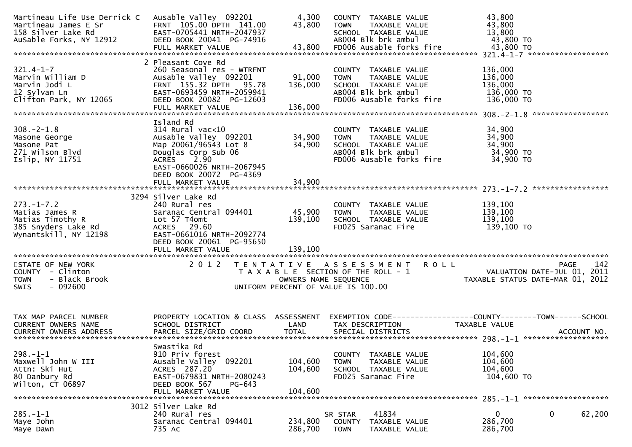| Martineau Life Use Derrick C<br>Martineau James E Sr<br>158 Silver Lake Rd<br>AuSable Forks, NY 12912  | Ausable Valley 092201<br>FRNT 105.00 DPTH 141.00<br>EAST-0705441 NRTH-2047937<br>DEED BOOK 20041 PG-74916                                                                                           | 4,300<br>43,800               | COUNTY TAXABLE VALUE<br>TAXABLE VALUE<br><b>TOWN</b><br>SCHOOL TAXABLE VALUE<br>AB004 Blk brk ambul                             | 43,800<br>43,800<br>13,800<br>43,800 TO                                               |
|--------------------------------------------------------------------------------------------------------|-----------------------------------------------------------------------------------------------------------------------------------------------------------------------------------------------------|-------------------------------|---------------------------------------------------------------------------------------------------------------------------------|---------------------------------------------------------------------------------------|
| $321.4 - 1 - 7$<br>Marvin William D<br>Marvin Jodi L<br>12 Sylvan Ln<br>Clifton Park, NY 12065         | 2 Pleasant Cove Rd<br>260 Seasonal res - WTRFNT<br>Ausable Valley 092201<br>FRNT 155.32 DPTH 95.78<br>EAST-0693459 NRTH-2059941<br>DEED BOOK 20082 PG-12603<br>FULL MARKET VALUE                    | 91,000<br>136,000<br>136,000  | COUNTY TAXABLE VALUE<br>TAXABLE VALUE<br><b>TOWN</b><br>SCHOOL TAXABLE VALUE<br>AB004 Blk brk ambul<br>FD006 Ausable forks fire | 136,000<br>136,000<br>136,000<br>136,000 TO<br>136,000 TO<br>*****************        |
| $308 - 2 - 1.8$<br>Masone George<br>Masone Pat<br>271 Wilson Blvd<br>Islip, NY 11751                   | Island Rd<br>$314$ Rural vac<10<br>Ausable Valley 092201<br>Map 20061/96543 Lot 8<br>Douglas Corp Sub 06<br>ACRES 2.90<br>EAST-0660026 NRTH-2067945<br>DEED BOOK 20072 PG-4369<br>FULL MARKET VALUE | 34,900<br>34,900<br>34,900    | COUNTY TAXABLE VALUE<br><b>TOWN</b><br>TAXABLE VALUE<br>SCHOOL TAXABLE VALUE<br>AB004 Blk brk ambul<br>FD006 Ausable forks fire | 34,900<br>34,900<br>34,900<br>34,900 TO<br>34,900 TO                                  |
| $273. - 1 - 7.2$<br>Matias James R<br>Matias Timothy R<br>385 Snyders Lake Rd<br>Wynantskill, NY 12198 | 3294 Silver Lake Rd<br>240 Rural res<br>Saranac Central 094401<br>Lot 57 T4omt<br>ACRES 29.60<br>EAST-0661016 NRTH-2092774<br>DEED BOOK 20061 PG-95650<br>FULL MARKET VALUE                         | 45,900<br>139,100<br>139,100  | COUNTY TAXABLE VALUE<br>TAXABLE VALUE<br><b>TOWN</b><br>SCHOOL TAXABLE VALUE<br>FD025 Saranac Fire                              | 139,100<br>139,100<br>139,100<br>139,100 TO                                           |
| STATE OF NEW YORK<br>COUNTY - Clinton<br>- Black Brook<br><b>TOWN</b><br>$-092600$<br><b>SWIS</b>      | 2 0 1 2                                                                                                                                                                                             | OWNERS NAME SEQUENCE          | TENTATIVE ASSESSMENT ROLL<br>T A X A B L E SECTION OF THE ROLL - 1<br>UNIFORM PERCENT OF VALUE IS 100.00                        | 142<br>PAGE<br>VALUATION DATE-JUL 01, 2011<br>TAXABLE STATUS DATE-MAR 01, 2012        |
| TAX MAP PARCEL NUMBER<br>CURRENT OWNERS NAME                                                           | PROPERTY LOCATION & CLASS ASSESSMENT<br>SCHOOL DISTRICT                                                                                                                                             | LAND                          | TAX DESCRIPTION                                                                                                                 | EXEMPTION CODE-----------------COUNTY--------TOWN------SCHOOL<br><b>TAXABLE VALUE</b> |
| $298. - 1 - 1$<br>Maxwell John W III<br>Attn: Ski Hut<br>80 Danbury Rd<br>Wilton, CT 06897             | Swastika Rd<br>910 Priv forest<br>Ausable Valley 092201<br>ACRES 287.20<br>EAST-0679831 NRTH-2080243<br>DEED BOOK 567<br>PG-643<br>FULL MARKET VALUE                                                | 104,600<br>104,600<br>104,600 | COUNTY TAXABLE VALUE<br>TAXABLE VALUE<br><b>TOWN</b><br>SCHOOL TAXABLE VALUE<br>FD025 Saranac Fire                              | 104,600<br>104,600<br>104,600<br>104,600 TO                                           |
| $285. - 1 - 1$<br>Maye John<br>Maye Dawn                                                               | 3012 Silver Lake Rd<br>240 Rural res<br>Saranac Central 094401<br>735 AC                                                                                                                            | 234,800<br>286,700            | 41834<br>SR STAR<br><b>COUNTY</b><br>TAXABLE VALUE<br><b>TOWN</b><br>TAXABLE VALUE                                              | 0<br>0<br>62,200<br>286,700<br>286,700                                                |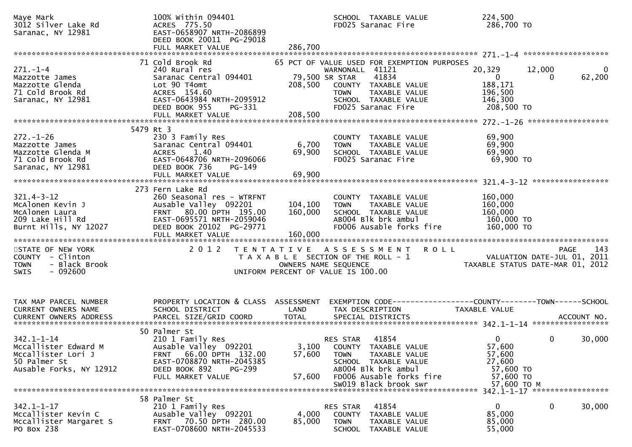| Maye Mark<br>3012 Silver Lake Rd<br>Saranac, NY 12981                                                     | 100% Within 094401<br>ACRES 775.50<br>EAST-0658907 NRTH-2086899<br>DEED BOOK 20011 PG-29018                                                                                       |                           | SCHOOL TAXABLE VALUE<br>FD025 Saranac Fire                                                                                                                                          | 224,500<br>286,700 то                                                                 |                                                 |
|-----------------------------------------------------------------------------------------------------------|-----------------------------------------------------------------------------------------------------------------------------------------------------------------------------------|---------------------------|-------------------------------------------------------------------------------------------------------------------------------------------------------------------------------------|---------------------------------------------------------------------------------------|-------------------------------------------------|
|                                                                                                           | 71 Cold Brook Rd                                                                                                                                                                  |                           |                                                                                                                                                                                     |                                                                                       |                                                 |
| $271. - 1 - 4$<br>Mazzotte James<br>Mazzotte Glenda<br>71 Cold Brook Rd<br>Saranac, NY 12981              | 240 Rural res<br>Saranac Central 094401<br>Lot 90 T4omt<br>ACRES 154.60<br>EAST-0643984 NRTH-2095912<br>DEED BOOK 955<br>PG-331                                                   | 79,500 SR STAR<br>208,500 | 65 PCT OF VALUE USED FOR EXEMPTION PURPOSES<br>WARNONALL 41121<br>41834<br>COUNTY TAXABLE VALUE<br><b>TOWN</b><br>TAXABLE VALUE<br>SCHOOL TAXABLE VALUE<br>FD025 Saranac Fire       | 20,329<br>$\overline{0}$<br>188,171<br>196,500<br>146,300<br>208,500 TO               | 12,000<br>$\overline{0}$<br>62,200<br>0         |
|                                                                                                           |                                                                                                                                                                                   |                           |                                                                                                                                                                                     |                                                                                       |                                                 |
| $272. - 1 - 26$<br>Mazzotte James<br>Mazzotte Glenda M<br>71 Cold Brook Rd<br>Saranac, NY 12981           | 5479 Rt 3<br>230 3 Family Res<br>Saranac Central 094401<br>1.40<br><b>ACRES</b><br>EAST-0648706 NRTH-2096066<br>DEED BOOK 736<br>$PG-149$<br>FULL MARKET VALUE                    | 6,700<br>69,900<br>69,900 | COUNTY TAXABLE VALUE<br>TAXABLE VALUE<br><b>TOWN</b><br>SCHOOL TAXABLE VALUE<br>FD025 Saranac Fire                                                                                  | 69,900<br>69,900<br>69,900<br>69,900 TO                                               |                                                 |
| $321.4 - 3 - 12$<br>McAlonen Kevin J<br>McAlonen Laura<br>209 Lake Hill Rd<br>Burnt Hills, NY 12027       | 273 Fern Lake Rd<br>260 Seasonal res - WTRFNT<br>Ausable Valley 092201<br>FRNT 80.00 DPTH 195.00<br>EAST-0695571 NRTH-2059046<br>DEED BOOK 20102 PG-29771                         | 104,100<br>160,000        | COUNTY TAXABLE VALUE<br><b>TOWN</b><br>TAXABLE VALUE<br>SCHOOL TAXABLE VALUE<br>AB004 Blk brk ambul<br>FD006 Ausable forks fire                                                     | 160,000<br>160,000<br>160,000<br>160,000 TO<br>160,000 TO                             |                                                 |
| STATE OF NEW YORK<br>COUNTY - Clinton<br>- Black Brook<br><b>TOWN</b><br>$-092600$<br><b>SWIS</b>         | 2 0 1 2                                                                                                                                                                           | OWNERS NAME SEQUENCE      | TENTATIVE ASSESSMENT ROLL<br>T A X A B L E SECTION OF THE ROLL - 1<br>UNIFORM PERCENT OF VALUE IS 100.00                                                                            | VALUATION DATE-JUL 01, 2011                                                           | 143<br>PAGE<br>TAXABLE STATUS DATE-MAR 01, 2012 |
| TAX MAP PARCEL NUMBER<br>CURRENT OWNERS NAME                                                              | PROPERTY LOCATION & CLASS ASSESSMENT<br>SCHOOL DISTRICT                                                                                                                           | LAND                      | EXEMPTION CODE------------------COUNTY--------TOWN------SCHOOL<br>TAX DESCRIPTION                                                                                                   | TAXABLE VALUE                                                                         |                                                 |
| $342.1 - 1 - 14$<br>Mccallister Edward M<br>Mccallister Lori J<br>50 Palmer St<br>Ausable Forks, NY 12912 | 50 Palmer St<br>210 1 Family Res<br>Ausable Valley 092201<br>66.00 DPTH 132.00<br><b>FRNT</b><br>EAST-0708870 NRTH-2045385<br>DEED BOOK 892<br><b>PG-299</b><br>FULL MARKET VALUE | 57,600<br>57,600          | 41854<br>RES STAR<br>3,100 COUNTY TAXABLE VALUE<br><b>TOWN</b><br>TAXABLE VALUE<br>SCHOOL TAXABLE VALUE<br>AB004 Blk brk ambul<br>FD006 Ausable forks fire<br>SW019 Black brook swr | $\overline{0}$<br>57,600<br>57,600<br>27,600<br>57,600 TO<br>57,600 TO<br>57,600 ТО М | $\mathbf{0}$<br>30,000                          |
|                                                                                                           |                                                                                                                                                                                   |                           |                                                                                                                                                                                     |                                                                                       |                                                 |
| $342.1 - 1 - 17$<br>Mccallister Kevin C<br>Mccallister Margaret S<br>PO Box 238                           | 58 Palmer St<br>210 1 Family Res<br>Ausable Valley 092201<br>FRNT 70.50 DPTH 280.00<br>EAST-0708600 NRTH-2045533                                                                  | 4,000<br>85,000           | RES STAR<br>41854<br><b>COUNTY</b><br>TAXABLE VALUE<br><b>TOWN</b><br>TAXABLE VALUE<br>SCHOOL TAXABLE VALUE                                                                         | $\mathbf{0}$<br>85,000<br>85,000<br>55,000                                            | 0<br>30,000                                     |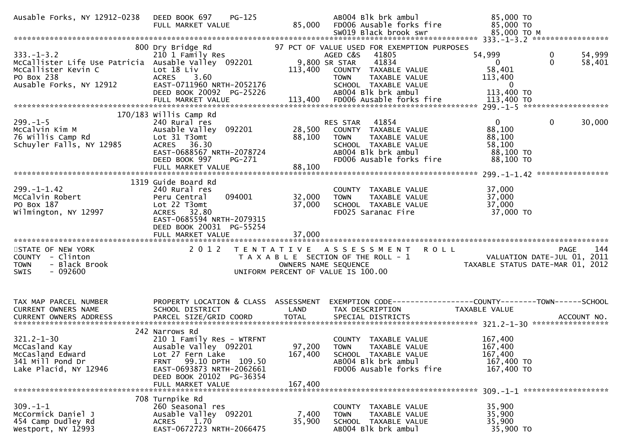| Ausable Forks, NY 12912-0238                                                                                                            | DEED BOOK 697<br>$PG-125$<br>FULL MARKET VALUE                                                                                                                                                             | 85,000                       | AB004 Blk brk ambul<br>FD006 Ausable forks fire                                                                                                                                                   | 85,000 TO<br>85,000 TO                                               |                                   |
|-----------------------------------------------------------------------------------------------------------------------------------------|------------------------------------------------------------------------------------------------------------------------------------------------------------------------------------------------------------|------------------------------|---------------------------------------------------------------------------------------------------------------------------------------------------------------------------------------------------|----------------------------------------------------------------------|-----------------------------------|
|                                                                                                                                         |                                                                                                                                                                                                            |                              |                                                                                                                                                                                                   |                                                                      |                                   |
| $333. - 1 - 3.2$<br>McCallister Life Use Patricia Ausable Valley 092201<br>McCallister Kevin C<br>PO Box 238<br>Ausable Forks, NY 12912 | 800 Dry Bridge Rd<br>210 1 Family Res<br>Lot 18 Liv<br>ACRES 3.60<br>EAST-0711960 NRTH-2052176<br>DEED BOOK 20092 PG-25226                                                                                 | 113,400                      | 97 PCT OF VALUE USED FOR EXEMPTION PURPOSES<br>AGED C&S<br>41805<br>9,800 SR STAR<br>41834<br>COUNTY TAXABLE VALUE<br>TAXABLE VALUE<br><b>TOWN</b><br>SCHOOL TAXABLE VALUE<br>AB004 Blk brk ambul | 54,999<br>$\Omega$<br>58,401<br>113,400<br>$\Omega$<br>113,400 TO    | 54,999<br>0<br>$\Omega$<br>58,401 |
|                                                                                                                                         |                                                                                                                                                                                                            |                              |                                                                                                                                                                                                   |                                                                      |                                   |
|                                                                                                                                         |                                                                                                                                                                                                            |                              |                                                                                                                                                                                                   |                                                                      |                                   |
|                                                                                                                                         | 170/183 willis Camp Rd                                                                                                                                                                                     |                              |                                                                                                                                                                                                   |                                                                      |                                   |
| $299. - 1 - 5$<br>McCalvin Kim M<br>76 Willis Camp Rd<br>Schuyler Falls, NY 12985                                                       | 240 Rural res<br>Ausable Valley 092201<br>Lot 31 T3omt<br>ACRES 36.30<br>EAST-0688567 NRTH-2078724<br>DEED BOOK 997<br>PG-271                                                                              | 28,500<br>88,100             | 41854<br>RES STAR<br>COUNTY TAXABLE VALUE<br><b>TOWN</b><br>TAXABLE VALUE<br>SCHOOL TAXABLE VALUE<br>AB004 Blk brk ambul<br>FD006 Ausable forks fire                                              | $\mathbf{0}$<br>88,100<br>88,100<br>58,100<br>88,100 TO<br>88,100 TO | $\mathbf 0$<br>30,000             |
|                                                                                                                                         | FULL MARKET VALUE                                                                                                                                                                                          | 88,100                       |                                                                                                                                                                                                   |                                                                      |                                   |
| $299. - 1 - 1.42$<br>McCalvin Robert<br>PO Box 187<br>Wilmington, NY 12997                                                              | 1319 Guide Board Rd<br>240 Rural res<br>Peru Central<br>094001<br>Lot 22 T3omt<br>ACRES 32.80<br>EAST-0685594 NRTH-2079315<br>DEED BOOK 20031 PG-55254<br>FULL MARKET VALUE                                | 32,000<br>37,000<br>37,000   | COUNTY<br>TAXABLE VALUE<br>TAXABLE VALUE<br><b>TOWN</b><br>SCHOOL TAXABLE VALUE<br>FD025 Saranac Fire                                                                                             | 37,000<br>37,000<br>37,000<br>37,000 TO                              |                                   |
|                                                                                                                                         | 2 0 1 2                                                                                                                                                                                                    |                              | TENTATIVE ASSESSMENT                                                                                                                                                                              |                                                                      | 144                               |
| STATE OF NEW YORK<br>COUNTY - Clinton<br>- Black Brook<br><b>TOWN</b><br>$-092600$<br><b>SWIS</b>                                       |                                                                                                                                                                                                            | OWNERS NAME SEQUENCE         | <b>ROLL</b><br>T A X A B L E SECTION OF THE ROLL - 1<br>UNIFORM PERCENT OF VALUE IS 100.00                                                                                                        | VALUATION DATE-JUL 01, 2011<br>TAXABLE STATUS DATE-MAR 01, 2012      | PAGE                              |
| TAX MAP PARCEL NUMBER                                                                                                                   | PROPERTY LOCATION & CLASS ASSESSMENT                                                                                                                                                                       |                              | EXEMPTION CODE------------------COUNTY--------TOWN------SCHOOL                                                                                                                                    |                                                                      |                                   |
| CURRENT OWNERS NAME                                                                                                                     | SCHOOL DISTRICT                                                                                                                                                                                            | LAND                         | TAX DESCRIPTION                                                                                                                                                                                   | TAXABLE VALUE                                                        |                                   |
| CURRENT OWNERS ADDRESS                                                                                                                  | PARCEL SIZE/GRID COORD                                                                                                                                                                                     | <b>TOTAL</b>                 | SPECIAL DISTRICTS                                                                                                                                                                                 |                                                                      | ACCOUNT NO.                       |
|                                                                                                                                         |                                                                                                                                                                                                            |                              |                                                                                                                                                                                                   |                                                                      |                                   |
| $321.2 - 1 - 30$<br>McCasland Kay<br>McCasland Edward<br>341 Mill Pond Dr<br>Lake Placid, NY 12946                                      | 242 Narrows Rd<br>210 1 Family Res - WTRFNT<br>Ausable Valley 092201<br>Lot 27 Fern Lake<br>99.10 DPTH 109.50<br><b>FRNT</b><br>EAST-0693873 NRTH-2062661<br>DEED BOOK 20102 PG-36354<br>FULL MARKET VALUE | 97,200<br>167,400<br>167,400 | COUNTY TAXABLE VALUE<br><b>TOWN</b><br>TAXABLE VALUE<br>SCHOOL TAXABLE VALUE<br>AB004 Blk brk ambul<br>FD006 Ausable forks fire                                                                   | 167,400<br>167,400<br>167,400<br>167,400 TO<br>167,400 TO            |                                   |
|                                                                                                                                         | 708 Turnpike Rd                                                                                                                                                                                            |                              |                                                                                                                                                                                                   |                                                                      |                                   |
| $309. - 1 - 1$<br>McCormick Daniel J<br>454 Camp Dudley Rd<br>Westport, NY 12993                                                        | 260 Seasonal res<br>Ausable Valley 092201<br>1.70<br><b>ACRES</b><br>EAST-0672723 NRTH-2066475                                                                                                             | 7,400<br>35,900              | COUNTY TAXABLE VALUE<br>TAXABLE VALUE<br><b>TOWN</b><br>SCHOOL TAXABLE VALUE<br>AB004 Blk brk ambul                                                                                               | 35,900<br>35,900<br>35,900<br>35,900 TO                              |                                   |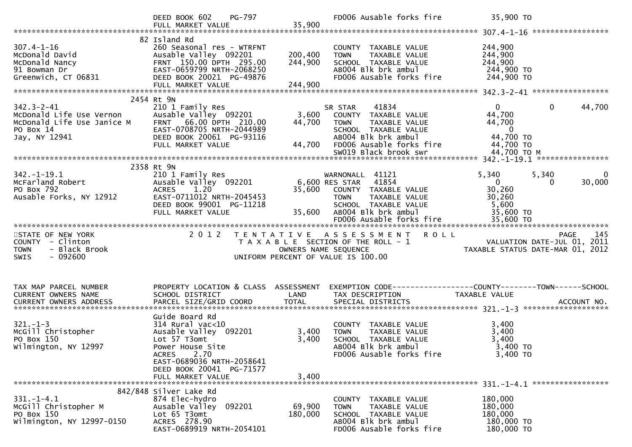|                                         | PG-797<br>DEED BOOK 602<br>FULL MARKET VALUE                       | 35,900            | FD006 Ausable forks fire                                     | 35,900 TO                        |                             |
|-----------------------------------------|--------------------------------------------------------------------|-------------------|--------------------------------------------------------------|----------------------------------|-----------------------------|
|                                         |                                                                    |                   |                                                              |                                  |                             |
| $307.4 - 1 - 16$<br>McDonald David      | 82 Island Rd<br>260 Seasonal res - WTRFNT<br>Ausable Valley 092201 | 200,400           | COUNTY TAXABLE VALUE<br>TAXABLE VALUE<br><b>TOWN</b>         | 244,900<br>244,900               |                             |
| McDonald Nancy                          | FRNT 150.00 DPTH 295.00                                            | 244,900           | SCHOOL TAXABLE VALUE                                         | 244,900                          |                             |
| 91 Bowman Dr                            | EAST-0659799 NRTH-2068250                                          |                   | AB004 Blk brk ambul                                          | 244,900 TO                       |                             |
| Greenwich, CT 06831                     | DEED BOOK 20021 PG-49876                                           |                   | FD006 Ausable forks fire                                     | 244,900 TO                       |                             |
|                                         | FULL MARKET VALUE                                                  | 244,900           |                                                              |                                  |                             |
|                                         | 2454 Rt 9N                                                         |                   |                                                              |                                  |                             |
| $342.3 - 2 - 41$                        | 210 1 Family Res                                                   |                   | 41834<br>SR STAR                                             | $\overline{0}$                   | 44,700<br>$\Omega$          |
| McDonald Life Use Vernon                | Ausable Valley 092201<br>FRNT 66.00 DPTH 210.00                    | 3,600             | COUNTY TAXABLE VALUE                                         | 44,700                           |                             |
| McDonald Life Use Janice M<br>PO Box 14 | EAST-0708705 NRTH-2044989                                          | 44,700            | TAXABLE VALUE<br><b>TOWN</b><br>SCHOOL TAXABLE VALUE         | 44,700<br>$\overline{0}$         |                             |
| Jay, NY 12941                           | DEED BOOK 20061 PG-93116                                           |                   | AB004 Blk brk ambul                                          | 44,700 TO                        |                             |
|                                         | FULL MARKET VALUE                                                  | 44,700            | FD006 Ausable forks fire                                     | 44,700 TO                        |                             |
|                                         |                                                                    |                   |                                                              |                                  |                             |
|                                         |                                                                    |                   |                                                              |                                  |                             |
|                                         | 2358 Rt 9N                                                         |                   |                                                              |                                  |                             |
| $342. - 1 - 19.1$                       | 210 1 Family Res                                                   |                   | WARNONALL 41121                                              | 5,340                            | 5,340<br>0                  |
| McFarland Robert                        | Ausable Valley 092201                                              |                   | 6,600 RES STAR<br>41854                                      | $\overline{0}$                   | 30,000<br>0                 |
| PO Box 792                              | 1.20<br><b>ACRES</b>                                               | 35,600            | COUNTY TAXABLE VALUE                                         | 30,260                           |                             |
| Ausable Forks, NY 12912                 | EAST-0711012 NRTH-2045453<br>DEED BOOK 99001 PG-11218              |                   | TAXABLE VALUE<br><b>TOWN</b><br>SCHOOL TAXABLE VALUE         | 30,260<br>5,600                  |                             |
|                                         | FULL MARKET VALUE                                                  | 35,600            | AB004 Blk brk ambul                                          | 35,600 TO                        |                             |
|                                         |                                                                    |                   | FD006 Ausable forks fire                                     | 35,600 TO                        |                             |
|                                         |                                                                    |                   |                                                              |                                  |                             |
|                                         |                                                                    |                   |                                                              |                                  |                             |
| STATE OF NEW YORK                       | 2 0 1 2                                                            | T E N T A T I V E | A S S E S S M E N T<br><b>ROLL</b>                           |                                  | 145<br><b>PAGE</b>          |
| COUNTY - Clinton                        |                                                                    |                   | T A X A B L E SECTION OF THE ROLL - 1                        |                                  | VALUATION DATE-JUL 01, 2011 |
| - Black Brook<br><b>TOWN</b>            |                                                                    |                   | OWNERS NAME SEQUENCE                                         | TAXABLE STATUS DATE-MAR 01, 2012 |                             |
| $-092600$<br><b>SWIS</b>                |                                                                    |                   | UNIFORM PERCENT OF VALUE IS 100.00                           |                                  |                             |
|                                         |                                                                    |                   |                                                              |                                  |                             |
|                                         |                                                                    |                   |                                                              |                                  |                             |
| TAX MAP PARCEL NUMBER                   | PROPERTY LOCATION & CLASS ASSESSMENT                               |                   | EXEMPTION CODE-----------------COUNTY-------TOWN------SCHOOL |                                  |                             |
| <b>CURRENT OWNERS NAME</b>              | SCHOOL DISTRICT                                                    | LAND              | TAX DESCRIPTION                                              | TAXABLE VALUE                    |                             |
|                                         |                                                                    |                   |                                                              |                                  |                             |
|                                         |                                                                    |                   |                                                              |                                  |                             |
| $321. - 1 - 3$                          | Guide Board Rd<br>$314$ Rural vac<10                               |                   | COUNTY TAXABLE VALUE                                         |                                  |                             |
| McGill Christopher                      | Ausable Valley 092201                                              | 3,400             | TAXABLE VALUE<br><b>TOWN</b>                                 | 3,400<br>3,400                   |                             |
| PO Box 150                              | Lot 57 T3omt                                                       | 3,400             | SCHOOL TAXABLE VALUE                                         | 3,400                            |                             |
| Wilmington, NY 12997                    | Power House Site                                                   |                   | AB004 Blk brk ambul                                          | 3,400 TO                         |                             |
|                                         | 2.70<br>ACRES                                                      |                   | FD006 Ausable forks fire                                     | 3,400 TO                         |                             |
|                                         | EAST-0689036 NRTH-2058641                                          |                   |                                                              |                                  |                             |
|                                         | DEED BOOK 20041<br>PG-71577                                        |                   |                                                              |                                  |                             |
|                                         | FULL MARKET VALUE                                                  | 3,400             |                                                              |                                  |                             |
|                                         |                                                                    |                   |                                                              |                                  |                             |
| $331. - 1 - 4.1$                        | 842/848 Silver Lake Rd<br>874 Elec-hydro                           |                   | COUNTY TAXABLE VALUE                                         | 180,000                          |                             |
| McGill Christopher M                    | 092201<br>Ausable Valley                                           | 69,900            | TAXABLE VALUE<br><b>TOWN</b>                                 | 180,000                          |                             |
| PO Box 150                              | Lot 65 T3omt                                                       | 180,000           | SCHOOL TAXABLE VALUE                                         | 180,000                          |                             |
| Wilmington, NY 12997-0150               | ACRES 278.90<br>EAST-0689919 NRTH-2054101                          |                   | AB004 Blk brk ambul<br>FD006 Ausable forks fire              | 180,000 TO<br>180,000 TO         |                             |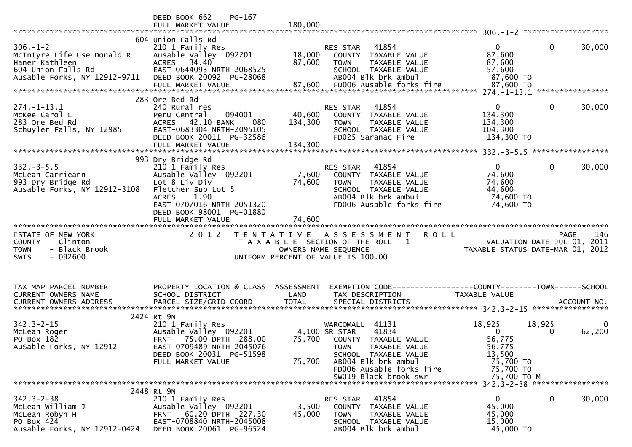|                                                                                                                      | DEED BOOK 662<br>PG-167<br>FULL MARKET VALUE                                                                                                                                           | 180,000                      |                                                                                                                                                                              |                                                                                |                   |        |
|----------------------------------------------------------------------------------------------------------------------|----------------------------------------------------------------------------------------------------------------------------------------------------------------------------------------|------------------------------|------------------------------------------------------------------------------------------------------------------------------------------------------------------------------|--------------------------------------------------------------------------------|-------------------|--------|
|                                                                                                                      |                                                                                                                                                                                        |                              |                                                                                                                                                                              |                                                                                |                   |        |
| $306. - 1 - 2$<br>McIntyre Life Use Donald R<br>Haner Kathleen<br>604 Union Falls Rd<br>Ausable Forks, NY 12912-9711 | 604 Union Falls Rd<br>210 1 Family Res<br>Ausable Valley 092201<br>ACRES 34.40<br>EAST-0644093 NRTH-2068525<br>DEED BOOK 20092 PG-28068<br>FULL MARKET VALUE                           | 18,000<br>87,600<br>87,600   | 41854<br>RES STAR<br>COUNTY TAXABLE VALUE<br>TAXABLE VALUE<br><b>TOWN</b><br>SCHOOL TAXABLE VALUE<br>AB004 Blk brk ambul<br>FD006 Ausable forks fire                         | $\mathbf{0}$<br>87,600<br>87,600<br>57,600<br>87,600 TO<br>87,600 TO           | 0                 | 30,000 |
|                                                                                                                      |                                                                                                                                                                                        |                              |                                                                                                                                                                              |                                                                                |                   |        |
| $274. - 1 - 13.1$<br>McKee Carol L<br>283 Ore Bed Rd<br>Schuyler Falls, NY 12985                                     | 283 Ore Bed Rd<br>240 Rural res<br>Peru Central<br>094001<br>ACRES 42.10 BANK<br>080<br>EAST-0683304 NRTH-2095105<br>DEED BOOK 20011 PG-32586<br>FULL MARKET VALUE                     | 40,600<br>134,300<br>134,300 | 41854<br>RES STAR<br>COUNTY TAXABLE VALUE<br><b>TOWN</b><br>TAXABLE VALUE<br>SCHOOL TAXABLE VALUE<br>FD025 Saranac Fire                                                      | 0<br>134,300<br>134,300<br>104,300<br>134,300 TO                               | 0                 | 30,000 |
|                                                                                                                      |                                                                                                                                                                                        |                              |                                                                                                                                                                              |                                                                                | ***************** |        |
| $332 - 3 - 5.5$<br>McLean Carrieann<br>993 Dry Bridge Rd<br>Ausable Forks, NY 12912-3108                             | 993 Dry Bridge Rd<br>210 1 Family Res<br>Ausable Valley 092201<br>Lot 8 Liv Div<br>Fletcher Sub Lot 5<br><b>ACRES</b><br>1.90<br>EAST-0707016 NRTH-2051320<br>DEED BOOK 98001 PG-01880 | 7,600<br>74,600              | 41854<br><b>RES STAR</b><br>COUNTY TAXABLE VALUE<br><b>TOWN</b><br>TAXABLE VALUE<br>SCHOOL TAXABLE VALUE<br>AB004 Blk brk ambul<br>FD006 Ausable forks fire                  | $\Omega$<br>74,600<br>74,600<br>44,600<br>74,600 TO<br>74,600 TO               | 0                 | 30,000 |
|                                                                                                                      |                                                                                                                                                                                        |                              |                                                                                                                                                                              |                                                                                |                   |        |
| STATE OF NEW YORK<br>COUNTY<br>- Clinton<br>- Black Brook<br>TOWN<br>SWIS<br>- 092600                                | 2 0 1 2                                                                                                                                                                                | OWNERS NAME SEQUENCE         | TENTATIVE ASSESSMENT<br>T A X A B L E SECTION OF THE ROLL - 1<br>UNIFORM PERCENT OF VALUE IS 100.00                                                                          | <b>ROLL</b><br>VALUATION DATE-JUL 01, 2011<br>TAXABLE STATUS DATE-MAR 01, 2012 | <b>PAGE</b>       | 146    |
| TAX MAP PARCEL NUMBER                                                                                                |                                                                                                                                                                                        |                              |                                                                                                                                                                              |                                                                                |                   |        |
| CURRENT OWNERS NAME                                                                                                  | PROPERTY LOCATION & CLASS<br>SCHOOL DISTRICT                                                                                                                                           | ASSESSMENT<br>LAND           | TAX DESCRIPTION                                                                                                                                                              | <b>TAXABLE VALUE</b>                                                           |                   |        |
|                                                                                                                      |                                                                                                                                                                                        |                              |                                                                                                                                                                              |                                                                                |                   |        |
| $342.3 - 2 - 15$<br>McLean Roger<br>PO Box 182<br>AuSable Forks, NY 12912                                            | 2424 Rt 9N<br>210 1 Family Res<br>Ausable Valley 092201<br>75.00 DPTH 288.00<br>FRNT<br>EAST-0709489 NRTH-2045076<br>DEED BOOK 20031 PG-51598<br>FULL MARKET VALUE                     | 75,700<br>75,700             | WARCOMALL 41131<br>41834<br>4,100 SR STAR<br>COUNTY TAXABLE VALUE<br><b>TOWN</b><br>TAXABLE VALUE<br>SCHOOL TAXABLE VALUE<br>AB004 Blk brk ambul<br>FD006 Ausable forks fire | 18,925<br>$\mathbf{0}$<br>56,775<br>56,775<br>13,500<br>75,700 TO              | 18,925<br>0       | 62,200 |
|                                                                                                                      |                                                                                                                                                                                        |                              | SW019 Black brook swr                                                                                                                                                        | 75,700 TO<br>75,700 TO M                                                       |                   |        |
|                                                                                                                      | 2448 Rt 9N                                                                                                                                                                             |                              |                                                                                                                                                                              |                                                                                |                   |        |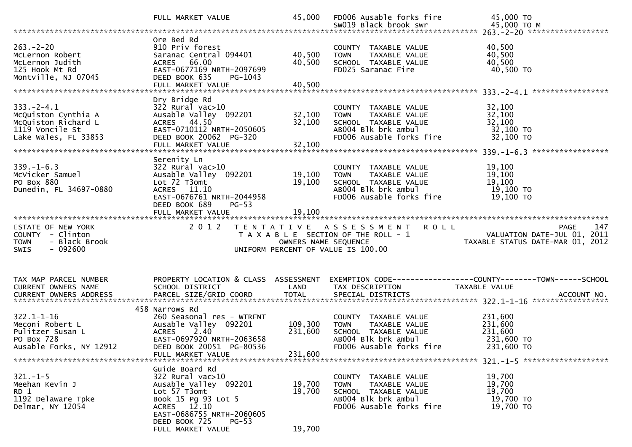|                                                                                                           | FULL MARKET VALUE                                                                                                                                                             | 45,000                        | FD006 Ausable forks fire<br>SW019 Black brook swr                                                                               | 45,000 TO<br>45,000 TO M                                                                                           |
|-----------------------------------------------------------------------------------------------------------|-------------------------------------------------------------------------------------------------------------------------------------------------------------------------------|-------------------------------|---------------------------------------------------------------------------------------------------------------------------------|--------------------------------------------------------------------------------------------------------------------|
|                                                                                                           |                                                                                                                                                                               |                               |                                                                                                                                 |                                                                                                                    |
| $263 - 2 - 20$<br>McLernon Robert<br>McLernon Judith<br>125 Hook Mt Rd<br>Montville, NJ 07045             | Ore Bed Rd<br>910 Priv forest<br>Saranac Central 094401<br>ACRES 66.00<br>EAST-0677169 NRTH-2097699<br>DEED BOOK 635<br>PG-1043<br>FULL MARKET VALUE                          | 40,500<br>40,500<br>40,500    | COUNTY TAXABLE VALUE<br><b>TOWN</b><br>TAXABLE VALUE<br>SCHOOL TAXABLE VALUE<br>FD025 Saranac Fire                              | 40,500<br>40,500<br>40,500<br>40,500 TO                                                                            |
|                                                                                                           | Dry Bridge Rd                                                                                                                                                                 |                               |                                                                                                                                 |                                                                                                                    |
| $333. - 2 - 4.1$<br>McQuiston Cynthia A<br>McQuiston Richard L<br>1119 Voncile St<br>Lake Wales, FL 33853 | $322$ Rural vac $>10$<br>Ausable Valley 092201<br>ACRES 44.50<br>EAST-0710112 NRTH-2050605<br>DEED BOOK 20062 PG-320                                                          | 32,100<br>32,100              | COUNTY TAXABLE VALUE<br>TAXABLE VALUE<br><b>TOWN</b><br>SCHOOL TAXABLE VALUE<br>ABOO4 Blk brk ambul<br>FD006 Ausable forks fire | 32,100<br>32,100<br>32,100<br>32,100 TO<br>32,100 TO                                                               |
|                                                                                                           |                                                                                                                                                                               |                               |                                                                                                                                 |                                                                                                                    |
| $339. - 1 - 6.3$<br>McVicker Samuel<br>PO Box 880<br>Dunedin, FL 34697-0880                               | Serenity Ln<br>322 Rural vac>10<br>Ausable Valley 092201<br>Lot 72 T3omt<br>ACRES 11.10<br>EAST-0676761 NRTH-2044958<br>DEED BOOK 689<br>$PG-53$<br>FULL MARKET VALUE         | 19,100<br>19,100<br>19,100    | COUNTY TAXABLE VALUE<br>TAXABLE VALUE<br><b>TOWN</b><br>SCHOOL TAXABLE VALUE<br>AB004 Blk brk ambul<br>FD006 Ausable forks fire | 19,100<br>19,100<br>19,100<br>19,100 TO<br>19,100 TO                                                               |
|                                                                                                           |                                                                                                                                                                               |                               |                                                                                                                                 |                                                                                                                    |
| STATE OF NEW YORK<br>COUNTY - Clinton<br>- Black Brook<br><b>TOWN</b><br>$-092600$<br><b>SWIS</b>         | 2 0 1 2                                                                                                                                                                       | OWNERS NAME SEQUENCE          | TENTATIVE ASSESSMENT ROLL<br>T A X A B L E SECTION OF THE ROLL - 1<br>UNIFORM PERCENT OF VALUE IS 100.00                        | 147<br>PAGE<br>VALUATION DATE-JUL 01, 2011<br>TAXARIF STATIIS DATE-MAP 01 2012<br>TAXABLE STATUS DATE-MAR 01, 2012 |
|                                                                                                           |                                                                                                                                                                               |                               |                                                                                                                                 |                                                                                                                    |
| TAX MAP PARCEL NUMBER<br>CURRENT OWNERS NAME                                                              | PROPERTY LOCATION & CLASS ASSESSMENT<br>SCHOOL DISTRICT                                                                                                                       | LAND                          | TAX DESCRIPTION                                                                                                                 | EXEMPTION CODE------------------COUNTY--------TOWN------SCHOOL<br>TAXABLE VALUE                                    |
|                                                                                                           | 458 Narrows Rd                                                                                                                                                                |                               |                                                                                                                                 |                                                                                                                    |
| $322.1 - 1 - 16$<br>Meconi Robert L<br>Pulitzer Susan L<br>PO Box 728<br>Ausable Forks, NY 12912          | 260 Seasonal res - WTRFNT<br>Ausable Valley 092201<br>2.40<br><b>ACRES</b><br>EAST-0697920 NRTH-2063658<br>DEED BOOK 20051 PG-80536<br>FULL MARKET VALUE                      | 109,300<br>231,600<br>231,600 | COUNTY TAXABLE VALUE<br>TAXABLE VALUE<br><b>TOWN</b><br>SCHOOL TAXABLE VALUE<br>AB004 Blk brk ambul<br>FD006 Ausable forks fire | 231,600<br>231,600<br>231,600<br>231,600 TO<br>231,600 TO                                                          |
|                                                                                                           | Guide Board Rd                                                                                                                                                                |                               |                                                                                                                                 |                                                                                                                    |
| $321. - 1 - 5$<br>Meehan Kevin J<br>RD 1<br>1192 Delaware Tpke<br>Delmar, NY 12054                        | 322 Rural vac>10<br>Ausable Valley 092201<br>Lot 57 T3omt<br>Book 15 Pg 93 Lot 5<br>ACRES 12.10<br>EAST-0686755 NRTH-2060605<br>DEED BOOK 725<br>$PG-53$<br>FULL MARKET VALUE | 19,700<br>19,700<br>19,700    | COUNTY TAXABLE VALUE<br><b>TOWN</b><br>TAXABLE VALUE<br>SCHOOL TAXABLE VALUE<br>AB004 Blk brk ambul<br>FD006 Ausable forks fire | 19,700<br>19,700<br>19,700<br>19,700 TO<br>19,700 TO                                                               |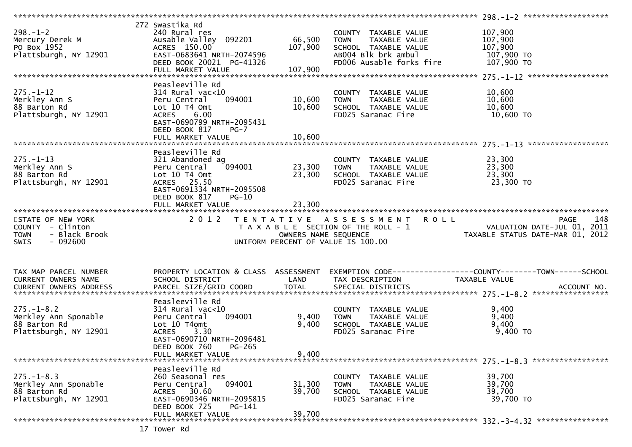|                              |                                      |                      |                                       | $298 - 1 - 2$ *********************                             |  |
|------------------------------|--------------------------------------|----------------------|---------------------------------------|-----------------------------------------------------------------|--|
|                              | 272 Swastika Rd                      |                      |                                       |                                                                 |  |
| $298. - 1 - 2$               | 240 Rural res                        |                      | COUNTY TAXABLE VALUE                  | 107,900                                                         |  |
|                              |                                      |                      |                                       |                                                                 |  |
| Mercury Derek M              | Ausable Valley 092201                | 66,500               | TAXABLE VALUE<br><b>TOWN</b>          | 107,900                                                         |  |
| PO Box 1952                  | ACRES 150.00                         | 107,900              | SCHOOL TAXABLE VALUE                  | 107,900                                                         |  |
| Plattsburgh, NY 12901        | EAST-0683641 NRTH-2074596            |                      | AB004 Blk brk ambul                   | 107,900 то                                                      |  |
|                              | DEED BOOK 20021 PG-41326             |                      | FD006 Ausable forks fire              | 107,900 TO                                                      |  |
|                              | FULL MARKET VALUE                    | 107,900              |                                       |                                                                 |  |
|                              |                                      |                      |                                       |                                                                 |  |
|                              |                                      |                      |                                       |                                                                 |  |
|                              | Peasleeville Rd                      |                      |                                       |                                                                 |  |
| $275. - 1 - 12$              | $314$ Rural vac< $10$                |                      | COUNTY TAXABLE VALUE                  | 10,600                                                          |  |
| Merkley Ann S                | Peru Central<br>094001               | 10,600               | TAXABLE VALUE<br><b>TOWN</b>          | 10,600                                                          |  |
| 88 Barton Rd                 | Lot 10 T4 Omt                        | 10,600               | SCHOOL TAXABLE VALUE                  | 10,600                                                          |  |
|                              |                                      |                      |                                       |                                                                 |  |
| Plattsburgh, NY 12901        | 6.00<br><b>ACRES</b>                 |                      | FD025 Saranac Fire                    | 10,600 TO                                                       |  |
|                              | EAST-0690799 NRTH-2095431            |                      |                                       |                                                                 |  |
|                              | DEED BOOK 817<br>$PG-7$              |                      |                                       |                                                                 |  |
|                              | FULL MARKET VALUE                    | 10,600               |                                       |                                                                 |  |
|                              |                                      |                      |                                       |                                                                 |  |
|                              |                                      |                      |                                       |                                                                 |  |
|                              | Peasleeville Rd                      |                      |                                       |                                                                 |  |
| $275. - 1 - 13$              | 321 Abandoned ag                     |                      | COUNTY TAXABLE VALUE                  | 23,300                                                          |  |
| Merkley Ann S                | 094001<br>Peru Central               | 23,300               | <b>TOWN</b><br>TAXABLE VALUE          | 23,300                                                          |  |
| 88 Barton Rd                 | Lot 10 T4 Omt                        | 23,300               | SCHOOL TAXABLE VALUE                  | 23,300                                                          |  |
| Plattsburgh, NY 12901        | ACRES 25.50                          |                      | FD025 Saranac Fire                    | 23,300 TO                                                       |  |
|                              |                                      |                      |                                       |                                                                 |  |
|                              | EAST-0691334 NRTH-2095508            |                      |                                       |                                                                 |  |
|                              | DEED BOOK 817<br>$PG-10$             |                      |                                       |                                                                 |  |
|                              | FULL MARKET VALUE                    | 23,300               |                                       |                                                                 |  |
|                              |                                      |                      |                                       |                                                                 |  |
|                              |                                      |                      |                                       |                                                                 |  |
|                              |                                      |                      |                                       |                                                                 |  |
| STATE OF NEW YORK            | 2 0 1 2                              |                      | TENTATIVE ASSESSMENT ROLL             | 148<br>PAGE                                                     |  |
| COUNTY - Clinton             |                                      |                      | T A X A B L E SECTION OF THE ROLL - 1 |                                                                 |  |
| - Black Brook<br><b>TOWN</b> |                                      | OWNERS NAME SEQUENCE |                                       |                                                                 |  |
| <b>SWIS</b>                  |                                      |                      |                                       | VALUATION DATE-JUL 01, 2011<br>TAXABLE STATUS DATE-MAR 01, 2012 |  |
| $-092600$                    |                                      |                      | UNIFORM PERCENT OF VALUE IS 100.00    |                                                                 |  |
|                              |                                      |                      |                                       |                                                                 |  |
|                              |                                      |                      |                                       |                                                                 |  |
|                              |                                      |                      |                                       |                                                                 |  |
| TAX MAP PARCEL NUMBER        | PROPERTY LOCATION & CLASS ASSESSMENT |                      |                                       | EXEMPTION CODE-----------------COUNTY--------TOWN------SCHOOL   |  |
| CURRENT OWNERS NAME          | SCHOOL DISTRICT                      | LAND                 | TAX DESCRIPTION                       | TAXABLE VALUE                                                   |  |
|                              |                                      |                      |                                       |                                                                 |  |
|                              |                                      |                      |                                       |                                                                 |  |
|                              |                                      |                      |                                       |                                                                 |  |
|                              | Peasleeville Rd                      |                      |                                       |                                                                 |  |
| $275. - 1 - 8.2$             | $314$ Rural vac< $10$                |                      | COUNTY TAXABLE VALUE                  | 9,400                                                           |  |
| Merkley Ann Sponable         | 094001<br>Peru Central               | 9,400                | TAXABLE VALUE<br><b>TOWN</b>          | 9,400                                                           |  |
|                              |                                      |                      |                                       |                                                                 |  |
| 88 Barton Rd                 | Lot 10 T4omt                         | 9,400                | SCHOOL TAXABLE VALUE                  | 9,400                                                           |  |
| Plattsburgh, NY 12901        | <b>ACRES</b><br>3.30                 |                      | FD025 Saranac Fire                    | $9,400$ TO                                                      |  |
|                              | EAST-0690710 NRTH-2096481            |                      |                                       |                                                                 |  |
|                              | DEED BOOK 760<br>$PG-265$            |                      |                                       |                                                                 |  |
|                              | FULL MARKET VALUE                    | 9,400                |                                       |                                                                 |  |
|                              |                                      |                      |                                       |                                                                 |  |
|                              |                                      |                      |                                       |                                                                 |  |
|                              | Peasleeville Rd                      |                      |                                       |                                                                 |  |
| $275. - 1 - 8.3$             | 260 Seasonal res                     |                      | <b>COUNTY</b><br>TAXABLE VALUE        | 39,700                                                          |  |
| Merkley Ann Sponable         | 094001<br>Peru Central               | 31,300               | TAXABLE VALUE<br><b>TOWN</b>          | 39,700                                                          |  |
| 88 Barton Rd                 | ACRES 30.60                          | 39,700               | SCHOOL TAXABLE VALUE                  | 39,700                                                          |  |
|                              |                                      |                      |                                       |                                                                 |  |
| Plattsburgh, NY 12901        | EAST-0690346 NRTH-2095815            |                      | FD025 Saranac Fire                    | 39,700 TO                                                       |  |
|                              | DEED BOOK 725<br>PG-141              |                      |                                       |                                                                 |  |
|                              | FULL MARKET VALUE                    | 39,700               |                                       |                                                                 |  |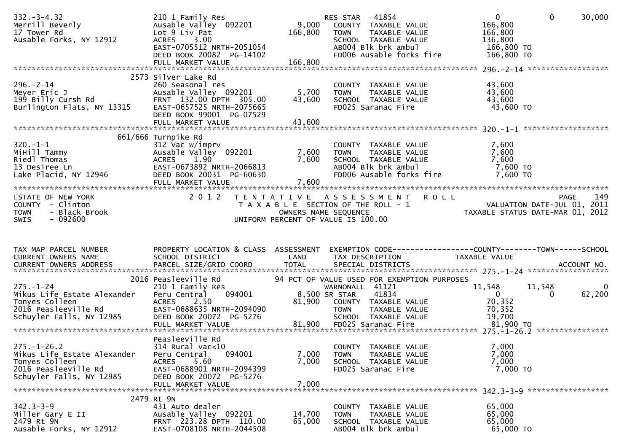| $332 - 3 - 4.32$<br>Merrill Beverly<br>17 Tower Rd<br>Ausable Forks, NY 12912                                          | 210 1 Family Res<br>Ausable Valley 092201<br>Lot 9 Liv Pat<br>ACRES 3.00<br>EAST-0705512 NRTH-2051054<br>DEED BOOK 20082 PG-14102                                    | 9,000<br>166,800        | 41854<br>RES STAR<br>COUNTY TAXABLE VALUE<br><b>TOWN</b><br>TAXABLE VALUE<br>SCHOOL TAXABLE VALUE<br>AB004 Blk brk ambul<br>FD006 Ausable forks fire | $\mathbf{0}$<br>$\mathbf{0}$<br>166,800<br>166,800<br>136,800<br>166,800 TO<br>166,800 TO      | 30,000      |
|------------------------------------------------------------------------------------------------------------------------|----------------------------------------------------------------------------------------------------------------------------------------------------------------------|-------------------------|------------------------------------------------------------------------------------------------------------------------------------------------------|------------------------------------------------------------------------------------------------|-------------|
| $296. - 2 - 14$<br>Meyer Eric J<br>199 Billy Cursh Rd<br>Burlington Flats, NY 13315                                    | 2573 Silver Lake Rd<br>260 Seasonal res<br>Ausable Valley 092201<br>FRNT 132.00 DPTH 305.00<br>EAST-0657525 NRTH-2075665<br>DEED BOOK 99001 PG-07529                 | 5,700<br>43,600         | COUNTY TAXABLE VALUE<br>TAXABLE VALUE<br><b>TOWN</b><br>SCHOOL TAXABLE VALUE<br>FD025 Saranac Fire                                                   | 43,600<br>43,600<br>43,600<br>43,600 TO                                                        |             |
| $320. -1 - 1$<br>320.-⊥-⊥<br>МіНі]] Татту<br>талотая<br>13 Desiree Ln<br>Lake Placid, NY 12946                         | 661/666 Turnpike Rd<br>312 Vac w/imprv<br>Ausable Valley 092201<br>ACRES 1.90<br>EAST-0673892 NRTH-2066813<br>DEED BOOK 20031 PG-60630                               | 7,600<br>7,600          | COUNTY TAXABLE VALUE<br>TAXABLE VALUE<br><b>TOWN</b><br>SCHOOL TAXABLE VALUE<br>AB004 Blk brk ambul<br>FD006 Ausable forks fire                      | 7,600<br>7,600<br>7,600<br>7,600 TO<br>7,600 TO                                                |             |
| STATE OF NEW YORK<br>COUNTY - Clinton<br>- Black Brook<br><b>TOWN</b><br>$-092600$<br>SWIS                             | 2012                                                                                                                                                                 | OWNERS NAME SEQUENCE    | TENTATIVE ASSESSMENT ROLL<br>T A X A B L E SECTION OF THE ROLL - 1<br>UNIFORM PERCENT OF VALUE IS 100.00                                             | PAGE<br>VALUATION DATE-JUL 01, 2011<br>TAXABLE STATUS DATE-MAR 01, 2012                        | 149         |
| TAX MAP PARCEL NUMBER<br>CURRENT OWNERS NAME<br>CURRENT OWNERS ADDRESS                                                 | PROPERTY LOCATION & CLASS ASSESSMENT<br><b>Example 18 The LAND</b><br>SCHOOL DISTRICT<br>PARCEL SIZE/GRID COORD                                                      | <b>TOTAL</b>            | TAX DESCRIPTION<br>SPECIAL DISTRICTS                                                                                                                 | EXEMPTION CODE------------------COUNTY--------TOWN------SCHOOL<br>TAXABLE VALUE<br>ACCOUNT NO. |             |
| $275. - 1 - 24$<br>Mikus Life Estate Alexander<br>Tonyes Colleen<br>2016 Peasleeville Rd<br>Schuyler Falls, NY 12985   | 2016 Peasleeville Rd<br>210 1 Family Res<br>094001<br>Peru Central<br><b>ACRES</b><br>2.50<br>EAST-0688635 NRTH-2094090<br>DEED BOOK 20072 PG-5276                   | 8,500 SR STAR<br>81,900 | 94 PCT OF VALUE USED FOR EXEMPTION PURPOSES<br>WARNONALL 41121<br>41834<br>COUNTY TAXABLE VALUE<br>TOWN     TAXABLE VALUE<br>SCHOOL TAXABLE VALUE    | 11,548<br>11,548<br>$\mathbf{0}$<br>$\Omega$<br>70,352<br>70,352<br>19,700                     | 0<br>62,200 |
| $275. - 1 - 26.2$<br>Mikus Life Estate Alexander<br>Tonyes Colleen<br>2016 Peasleeville Rd<br>Schuyler Falls, NY 12985 | Peasleeville Rd<br>$314$ Rural vac<10<br>094001<br>Peru Central<br><b>ACRES</b><br>5.60<br>EAST-0688901 NRTH-2094399<br>DEED BOOK 20072 PG-5276<br>FULL MARKET VALUE | 7,000<br>7,000<br>7,000 | COUNTY TAXABLE VALUE<br>TAXABLE VALUE<br><b>TOWN</b><br>SCHOOL TAXABLE VALUE<br>FD025 Saranac Fire                                                   | 7,000<br>7,000<br>7,000<br>7,000 TO                                                            |             |
| $342.3 - 3 - 9$<br>Miller Gary E II<br>2479 Rt 9N<br>Ausable Forks, NY 12912                                           | 2479 Rt 9N<br>431 Auto dealer<br>Ausable Valley 092201<br>FRNT 223.28 DPTH 110.00<br>EAST-0708108 NRTH-2044508                                                       | 14,700<br>65,000        | COUNTY TAXABLE VALUE<br>TAXABLE VALUE<br><b>TOWN</b><br>SCHOOL TAXABLE VALUE<br>AB004 Blk brk ambul                                                  | 65,000<br>65,000<br>65,000<br>65,000 TO                                                        |             |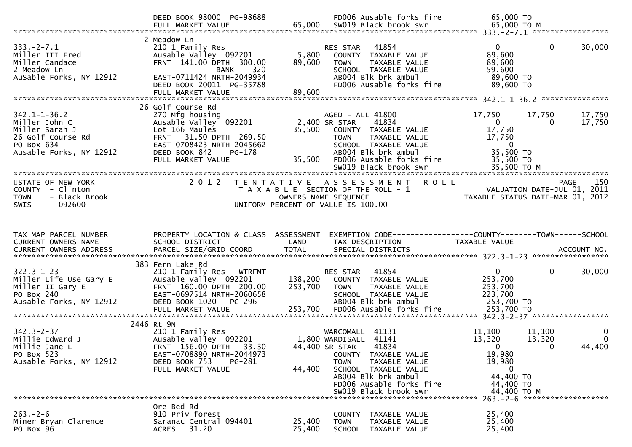|                                                                                                         | DEED BOOK 98000 PG-98688                                                                                                                                   |                    | FD006 Ausable forks fire                                                                                                                                                         | 65,000 TO                                                              |                                     |                                      |
|---------------------------------------------------------------------------------------------------------|------------------------------------------------------------------------------------------------------------------------------------------------------------|--------------------|----------------------------------------------------------------------------------------------------------------------------------------------------------------------------------|------------------------------------------------------------------------|-------------------------------------|--------------------------------------|
| $333. -2 - 7.1$<br>Miller III Fred<br>Miller Candace<br>2 Meadow Ln<br>AuSable Forks, NY 12912          | 2 Meadow Ln<br>210 1 Family Res<br>Ausable Valley 092201<br>FRNT 141.00 DPTH 300.00<br>BANK<br>320<br>EAST-0711424 NRTH-2049934                            | 5,800<br>89,600    | 41854<br>RES STAR<br>COUNTY TAXABLE VALUE<br><b>TOWN</b><br>TAXABLE VALUE<br>SCHOOL TAXABLE VALUE<br>AB004 Blk brk ambul                                                         | $\overline{0}$<br>89,600<br>89,600<br>59,600<br>89,600 TO              | $\mathbf{0}$                        | 30,000                               |
|                                                                                                         | DEED BOOK 20011 PG-35788<br>FULL MARKET VALUE                                                                                                              | 89,600             | FD006 Ausable forks fire                                                                                                                                                         | 89,600 TO                                                              |                                     |                                      |
| $342.1 - 1 - 36.2$<br>Miller John C                                                                     | 26 Golf Course Rd<br>270 Mfg housing<br>Ausable Valley <sup>-</sup> 092201                                                                                 |                    | AGED - ALL 41800<br>2,400 SR STAR<br>41834                                                                                                                                       | 17,750<br>$\overline{0}$                                               | 17,750<br>$\bf{0}$                  | 17,750<br>17,750                     |
| Miller Sarah J<br>26 Golf Course Rd<br>PO Box 634<br>Ausable Forks, NY 12912                            | Lot 166 Maules<br>FRNT 31.50 DPTH 269.50<br>EAST-0708423 NRTH-2045662<br>DEED BOOK 842<br>PG-178<br>FULL MARKET VALUE                                      | 35,500             | 35,500 COUNTY TAXABLE VALUE<br>TAXABLE VALUE<br><b>TOWN</b><br>SCHOOL TAXABLE VALUE<br>AB004 Blk brk ambul<br>FD006 Ausable forks fire                                           | 17,750<br>17,750<br>$\overline{0}$<br>35,500 TO<br>35,500 TO           |                                     |                                      |
|                                                                                                         |                                                                                                                                                            |                    | SW019 Black brook swr                                                                                                                                                            | 35,500 TO M                                                            |                                     |                                      |
| STATE OF NEW YORK<br>COUNTY - Clinton<br><b>TOWN</b><br>- Black Brook<br>$-092600$<br><b>SWIS</b>       | 2 0 1 2<br>T E N T A T I V E                                                                                                                               |                    | A S S E S S M E N T<br><b>ROLL</b><br>T A X A B L E SECTION OF THE ROLL - 1<br>OWNERS NAME SEQUENCE<br>UNIFORM PERCENT OF VALUE IS 100.00                                        | VALUATION DATE-JUL 01, ZUII<br>TAXABLE STATUS DATE-MAR 01, 2012        | PAGE<br>VALUATION DATE-JUL 01, 2011 | 150                                  |
|                                                                                                         |                                                                                                                                                            |                    |                                                                                                                                                                                  |                                                                        |                                     |                                      |
| TAX MAP PARCEL NUMBER<br>CURRENT OWNERS NAME                                                            | PROPERTY LOCATION & CLASS ASSESSMENT<br>SCHOOL DISTRICT                                                                                                    | LAND               | TAX DESCRIPTION                                                                                                                                                                  | TAXABLE VALUE                                                          |                                     |                                      |
| $322.3 - 1 - 23$<br>Miller Life Use Gary E<br>Miller II Gary E<br>PO Box 240<br>Ausable Forks, NY 12912 | 383 Fern Lake Rd<br>210 1 Family Res - WTRFNT<br>Ausable Valley 092201<br>FRNT 160.00 DPTH 200.00<br>EAST-0697514 NRTH-2060658<br>DEED BOOK 1020<br>PG-296 | 138,200<br>253,700 | 41854<br>RES STAR<br>COUNTY TAXABLE VALUE<br><b>TOWN</b><br>TAXABLE VALUE<br>SCHOOL TAXABLE VALUE<br>AB004 Blk brk ambul                                                         | $\mathbf{0}$<br>253,700<br>253,700<br>223,700<br>253,700 TO            | $\mathbf{0}$                        | 30,000                               |
|                                                                                                         | FULL MARKET VALUE<br>2446 Rt 9N                                                                                                                            | 253,700            | FD006 Ausable forks fire                                                                                                                                                         | 253,700 TO                                                             |                                     |                                      |
| $342.3 - 2 - 37$<br>Millie Edward J<br>Millie Jane L<br>PO Box 523<br>Ausable Forks, NY 12912           | 210 1 Family Res<br>Ausable Valley 092201<br>FRNT 156.00 DPTH<br>33.30<br>EAST-0708890 NRTH-2044973<br>DEED BOOK 753<br>PG-281<br>FULL MARKET VALUE        | 44,400             | WARCOMALL<br>41131<br>41141<br>1,800 WARDISALL<br>44,400 SR STAR<br>41834<br>COUNTY TAXABLE VALUE<br><b>TOWN</b><br>TAXABLE VALUE<br>SCHOOL TAXABLE VALUE<br>AB004 Blk brk ambul | 11,100<br>13,320<br>$\mathbf{0}$<br>19,980<br>19,980<br>0<br>44,400 TO | 11,100<br>13,320<br>$\bf{0}$        | $\overline{0}$<br>$\Omega$<br>44,400 |
|                                                                                                         |                                                                                                                                                            |                    | FD006 Ausable forks fire<br>SW019 Black brook swr                                                                                                                                | 44,400 TO<br>44,400 TO M                                               | 263. - 2 - 6 *********************  |                                      |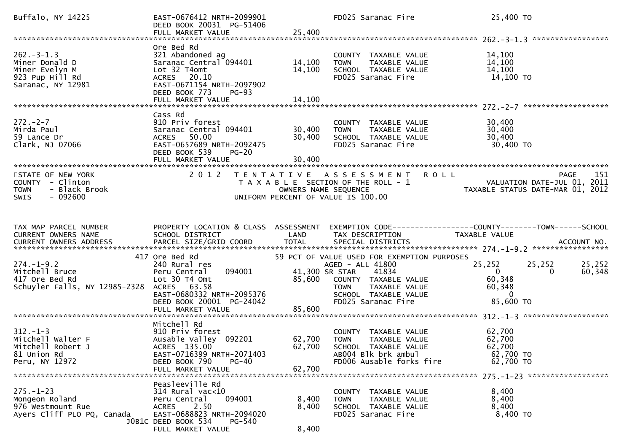| Buffalo, NY 14225                                                                           | EAST-0676412 NRTH-2099901<br>DEED BOOK 20031 PG-51406                                                                                                                         |                           | FD025 Saranac Fire                                                                                                                     | 25,400 TO                                                                                     |
|---------------------------------------------------------------------------------------------|-------------------------------------------------------------------------------------------------------------------------------------------------------------------------------|---------------------------|----------------------------------------------------------------------------------------------------------------------------------------|-----------------------------------------------------------------------------------------------|
|                                                                                             | Ore Bed Rd                                                                                                                                                                    |                           |                                                                                                                                        |                                                                                               |
| $262 - 3 - 1.3$<br>Miner Donald D<br>Miner Evelyn M<br>923 Pup Hill Rd<br>Saranac, NY 12981 | 321 Abandoned ag<br>Saranac Central 094401<br>Lot 32 T4omt<br>ACRES 20.10<br>EAST-0671154 NRTH-2097902<br>DEED BOOK 773<br><b>PG-93</b>                                       | 14,100<br>14,100          | COUNTY TAXABLE VALUE<br>TAXABLE VALUE<br><b>TOWN</b><br>SCHOOL TAXABLE VALUE<br>FD025 Saranac Fire                                     | 14,100<br>14,100<br>14,100<br>14,100 TO                                                       |
|                                                                                             |                                                                                                                                                                               |                           |                                                                                                                                        |                                                                                               |
| $272 - 2 - 7$<br>Mirda Paul<br>59 Lance Dr<br>Clark, NJ 07066                               | Cass Rd<br>910 Priv forest<br>Saranac Central 094401<br>ACRES 50.00<br>EAST-0657689 NRTH-2092475<br>DEED BOOK 539<br><b>PG-20</b>                                             | 30,400<br>30,400          | COUNTY TAXABLE VALUE<br><b>TOWN</b><br>TAXABLE VALUE<br>SCHOOL TAXABLE VALUE<br>FD025 Saranac Fire                                     | 30,400<br>30,400<br>30,400<br>30,400 TO                                                       |
| STATE OF NEW YORK<br>COUNTY - Clinton<br>- Black Brook<br><b>TOWN</b><br>$-092600$<br>SWIS  | 2 0 1 2                                                                                                                                                                       | OWNERS NAME SEQUENCE      | TENTATIVE ASSESSMENT ROLL<br>T A X A B L E SECTION OF THE ROLL - 1<br>UNIFORM PERCENT OF VALUE IS 100.00                               | 151<br><b>PAGE</b><br>VALUATION DATE-JUL 01, 2011<br>TAXABLE STATUS DATE-MAR 01, 2012         |
| TAX MAP PARCEL NUMBER<br>CURRENT OWNERS NAME<br>CURRENT OWNERS ADDRESS                      | PROPERTY LOCATION & CLASS ASSESSMENT<br>SCHOOL DISTRICT                                                                                                                       | <b>Example 12 DE LAND</b> | TAX DESCRIPTION                                                                                                                        | EXEMPTION CODE------------------COUNTY--------TOWN------SCHOOL<br>TAXABLE VALUE               |
| $274. - 1 - 9.2$                                                                            | 417 Ore Bed Rd<br>240 Rural res                                                                                                                                               |                           | 59 PCT OF VALUE USED FOR EXEMPTION PURPOSES<br>AGED - ALL 41800                                                                        | 25,252<br>25,252<br>25,252                                                                    |
| Mitchell Bruce<br>417 Ore Bed Rd<br>Schuyler Falls, NY 12985-2328                           | 094001<br>Peru Central<br>Lot 30 T4 Omt<br>ACRES 63.58<br>EAST-0680332 NRTH-2095376<br>DEED BOOK 20001 PG-24042                                                               | 41,300 SR STAR            | 41834<br>85,600 COUNTY TAXABLE VALUE<br>TAXABLE VALUE<br><b>TOWN</b><br>SCHOOL TAXABLE VALUE<br>FD025 Saranac Fire                     | $\overline{0}$<br>60,348<br>$\overline{0}$<br>60,348<br>60,348<br>$\overline{0}$<br>85,600 TO |
|                                                                                             | FULL MARKET VALUE                                                                                                                                                             | 85,600                    |                                                                                                                                        |                                                                                               |
| $312 - 1 - 3$<br>Mitchell Walter F<br>Mitchell Robert J<br>81 Union Rd<br>Peru, NY 12972    | Mitchell Rd<br>910 Priv forest<br>Ausable Valley 092201<br>ACRES 135.00<br>EAST-0716399 NRTH-2071403<br>DEED BOOK 790<br>PG-40<br>FULL MARKET VALUE                           | 62,700<br>62,700          | COUNTY TAXABLE VALUE<br><b>TOWN</b><br>TAXABLE VALUE<br>62,700 SCHOOL TAXABLE VALUE<br>AB004 Blk brk ambul<br>FD006 Ausable forks fire | 62,700<br>62,700<br>62,700<br>62,700 TO<br>62,700 TO                                          |
| $275. - 1 - 23$<br>Mongeon Roland<br>976 Westmount Rue<br>Ayers Cliff PLO PQ, Canada        | Peasleeville Rd<br>$314$ Rural vac< $10$<br>094001<br>Peru Central<br><b>ACRES</b><br>2.50<br>EAST-0688823 NRTH-2094020<br>JOB1C DEED BOOK 534<br>PG-540<br>FULL MARKET VALUE | 8,400<br>8,400<br>8,400   | COUNTY TAXABLE VALUE<br>TAXABLE VALUE<br><b>TOWN</b><br>SCHOOL TAXABLE VALUE<br>FD025 Saranac Fire                                     | 8,400<br>8,400<br>8,400<br>8,400 TO                                                           |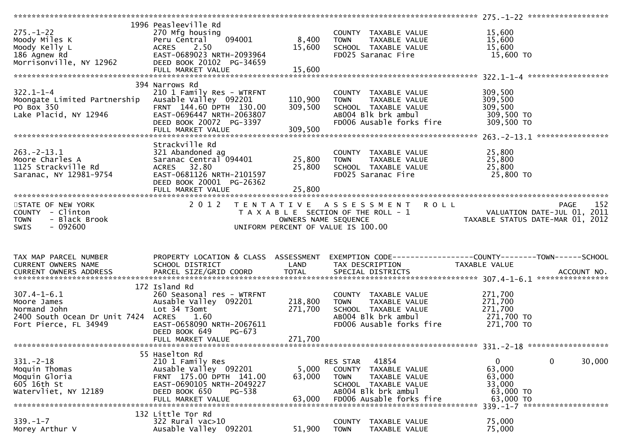|                                 | 1996 Peasleeville Rd                      |                      |                                                                |                                                                  |
|---------------------------------|-------------------------------------------|----------------------|----------------------------------------------------------------|------------------------------------------------------------------|
| $275. - 1 - 22$                 | 270 Mfg housing                           |                      | COUNTY TAXABLE VALUE                                           | 15,600                                                           |
| Moody Miles K                   | 094001<br>Peru Central                    | 8,400                | TAXABLE VALUE<br><b>TOWN</b>                                   | 15,600                                                           |
| Moody Kelly L                   | 2.50<br>ACRES                             | 15,600               | SCHOOL TAXABLE VALUE                                           | 15,600                                                           |
| 186 Agnew Rd                    | EAST-0689023 NRTH-2093964                 |                      | FD025 Saranac Fire                                             | 15,600 TO                                                        |
| Morrisonville, NY 12962         | DEED BOOK 20102 PG-34659                  |                      |                                                                |                                                                  |
|                                 |                                           | 15,600               |                                                                |                                                                  |
|                                 | FULL MARKET VALUE                         |                      |                                                                |                                                                  |
|                                 |                                           |                      |                                                                |                                                                  |
|                                 | 394 Narrows Rd                            |                      |                                                                |                                                                  |
| $322.1 - 1 - 4$                 | 210 1 Family Res - WTRFNT                 |                      | COUNTY TAXABLE VALUE                                           | 309,500                                                          |
| Moongate Limited Partnership    | Ausable Valley 092201                     | 110,900              | TAXABLE VALUE<br><b>TOWN</b>                                   | 309,500                                                          |
| PO Box 350                      | FRNT 144.60 DPTH 130.00                   | 309,500              | SCHOOL TAXABLE VALUE                                           | 309,500                                                          |
| Lake Placid, NY 12946           | EAST-0696447 NRTH-2063807                 |                      | AB004 Blk brk ambul                                            | 309,500 TO                                                       |
|                                 | DEED BOOK 20072 PG-3397                   |                      | FD006 Ausable forks fire                                       | 309,500 TO                                                       |
|                                 | FULL MARKET VALUE                         | 309,500              |                                                                |                                                                  |
|                                 |                                           |                      |                                                                |                                                                  |
|                                 | Strackville Rd                            |                      |                                                                |                                                                  |
| $263. -2 - 13.1$                | 321 Abandoned ag                          |                      | COUNTY TAXABLE VALUE                                           | 25,800                                                           |
| Moore Charles A                 | Saranac Central 094401                    | 25,800               | <b>TOWN</b><br>TAXABLE VALUE                                   | 25,800                                                           |
| 1125 Strackville Rd             | ACRES 32.80                               | 25,800               | SCHOOL TAXABLE VALUE                                           | 25,800                                                           |
| Saranac, NY 12981-9754          | EAST-0681126 NRTH-2101597                 |                      | FD025 Saranac Fire                                             | 25,800 TO                                                        |
|                                 | DEED BOOK 20001 PG-26362                  |                      |                                                                |                                                                  |
|                                 |                                           |                      |                                                                |                                                                  |
|                                 |                                           |                      |                                                                |                                                                  |
|                                 |                                           |                      |                                                                |                                                                  |
| STATE OF NEW YORK               | 2 0 1 2                                   |                      | TENTATIVE ASSESSMENT<br><b>ROLL</b>                            | 152<br><b>PAGE</b>                                               |
| COUNTY - Clinton                |                                           |                      | T A X A B L E SECTION OF THE ROLL - 1                          | VALUATION DATE-JUL 01, 2011<br>TAXARLE STATIIS DATE-MAR 01, 2013 |
| - Black Brook<br><b>TOWN</b>    |                                           | OWNERS NAME SEQUENCE |                                                                | TAXABLE STATUS DATE-MAR 01, 2012                                 |
|                                 |                                           |                      |                                                                |                                                                  |
| <b>SWIS</b><br>$-092600$        |                                           |                      | UNIFORM PERCENT OF VALUE IS 100.00                             |                                                                  |
|                                 |                                           |                      |                                                                |                                                                  |
|                                 |                                           |                      |                                                                |                                                                  |
|                                 |                                           |                      |                                                                |                                                                  |
| TAX MAP PARCEL NUMBER           | PROPERTY LOCATION & CLASS ASSESSMENT      |                      |                                                                | EXEMPTION CODE-----------------COUNTY-------TOWN------SCHOOL     |
| CURRENT OWNERS NAME             | SCHOOL DISTRICT                           | LAND                 | TAX DESCRIPTION                                                | TAXABLE VALUE                                                    |
|                                 |                                           |                      |                                                                |                                                                  |
|                                 |                                           |                      |                                                                |                                                                  |
|                                 | 172 Island Rd                             |                      |                                                                |                                                                  |
| $307.4 - 1 - 6.1$               | 260 Seasonal res - WTRFNT                 |                      | COUNTY TAXABLE VALUE                                           | 271,700                                                          |
| Moore James                     | Ausable Valley 092201                     | 218,800              | <b>TOWN</b><br>TAXABLE VALUE                                   | 271,700                                                          |
| Normand John                    | Lot 34 T3omt                              | 271,700              | SCHOOL TAXABLE VALUE                                           | 271,700                                                          |
| 2400 South Ocean Dr Unit 7424   | <b>ACRES</b><br>1.60                      |                      | AB004 Blk brk ambul                                            | 271,700 TO                                                       |
| Fort Pierce, FL 34949           | EAST-0658090 NRTH-2067611                 |                      | FD006 Ausable forks fire                                       | 271,700 TO                                                       |
|                                 | DEED BOOK 649<br>$PG-673$                 |                      |                                                                |                                                                  |
|                                 | FULL MARKET VALUE                         | 271,700              |                                                                |                                                                  |
|                                 |                                           |                      |                                                                |                                                                  |
|                                 | 55 Haselton Rd                            |                      |                                                                |                                                                  |
| $331 - 2 - 18$                  | 210 1 Family Res                          |                      | 41854<br>RES STAR                                              | 0<br>30,000<br>$\mathbf{0}$                                      |
|                                 |                                           |                      |                                                                |                                                                  |
| Moquin Thomas                   | Ausable Valley 092201                     | 5,000                | <b>COUNTY</b><br>TAXABLE VALUE<br><b>TOWN</b><br>TAXABLE VALUE | 63,000                                                           |
| Moquin Gloria                   | FRNT 175.00 DPTH 141.00                   | 63,000               |                                                                | 63,000                                                           |
| 605 16th St                     | EAST-0690105 NRTH-2049227                 |                      | SCHOOL TAXABLE VALUE                                           | 33,000                                                           |
| Watervliet, NY 12189            | DEED BOOK 650<br>PG-538                   |                      | AB004 Blk brk ambul                                            | 63,000 TO                                                        |
|                                 | FULL MARKET VALUE                         | 63.000               | FD006 Ausable forks fire                                       | 63,000 TO                                                        |
|                                 |                                           |                      |                                                                | $339 - 1 - 7$ *********************                              |
|                                 | 132 Little Tor Rd                         |                      |                                                                |                                                                  |
| $339 - 1 - 7$<br>Morey Arthur V | 322 Rural vac>10<br>Ausable Valley 092201 | 51,900               | <b>COUNTY</b><br>TAXABLE VALUE<br><b>TOWN</b><br>TAXABLE VALUE | 75,000<br>75,000                                                 |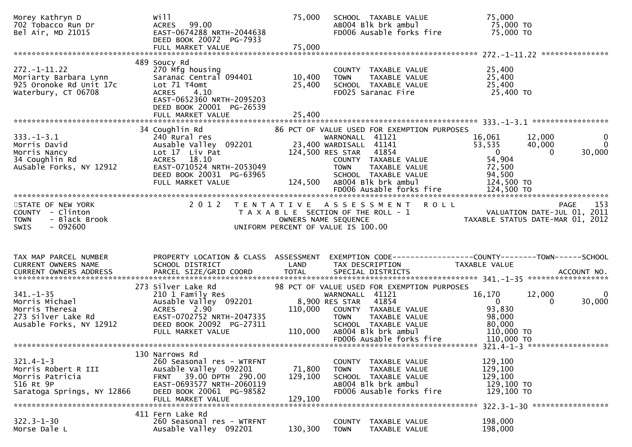| Morey Kathryn D<br>702 Tobacco Run Dr<br>Bel Air, MD 21015                                           | will<br>ACRES 99.00<br>EAST-0674288 NRTH-2044638<br>DEED BOOK 20072 PG-7933                                                                                                            | 75,000                       | SCHOOL TAXABLE VALUE<br>AB004 Blk brk ambul<br>FD006 Ausable forks fire                                                                                                                                                                               | 75,000<br>75,000 TO<br>75,000 TO                                                                                                                 |
|------------------------------------------------------------------------------------------------------|----------------------------------------------------------------------------------------------------------------------------------------------------------------------------------------|------------------------------|-------------------------------------------------------------------------------------------------------------------------------------------------------------------------------------------------------------------------------------------------------|--------------------------------------------------------------------------------------------------------------------------------------------------|
|                                                                                                      |                                                                                                                                                                                        |                              |                                                                                                                                                                                                                                                       | ***************                                                                                                                                  |
| $272. - 1 - 11.22$<br>Moriarty Barbara Lynn<br>925 Oronoke Rd Unit 17c<br>Waterbury, CT 06708        | 489 Soucy Rd<br>270 Mfg housing<br>Saranac Central 094401<br>Lot 71 T4omt<br><b>ACRES</b><br>4.10<br>EAST-0652360 NRTH-2095203<br>DEED BOOK 20001 PG-26539                             | 10,400<br>25,400             | COUNTY TAXABLE VALUE<br><b>TOWN</b><br>TAXABLE VALUE<br>SCHOOL TAXABLE VALUE<br>FD025 Saranac Fire                                                                                                                                                    | 25,400<br>25,400<br>25,400<br>25,400 TO                                                                                                          |
|                                                                                                      |                                                                                                                                                                                        |                              |                                                                                                                                                                                                                                                       |                                                                                                                                                  |
| $333. - 1 - 3.1$<br>Morris David<br>Morris Nancy<br>34 Coughlin Rd<br>AuSable Forks, NY 12912        | 34 Coughlin Rd<br>240 Rural res<br>Ausable Valley 092201<br>Lot 17 Liv Pat<br>ACRES 18.10<br>EAST-0710524 NRTH-2053049<br>DEED BOOK 20031 PG-63965<br>FULL MARKET VALUE                | 124,500                      | 86 PCT OF VALUE USED FOR EXEMPTION PURPOSES<br>WARNONALL 41121<br>23,400 WARDISALL 41141<br>124,500 RES STAR 41854<br>COUNTY TAXABLE VALUE<br><b>TOWN</b><br>TAXABLE VALUE<br>SCHOOL TAXABLE VALUE<br>AB004 Blk brk ambul<br>FD006 Ausable forks fire | 16,061<br>12,000<br>0<br>$\Omega$<br>53,535<br>40,000<br>30,000<br>$\overline{0}$<br>0<br>54,904<br>72,500<br>94,500<br>124,500 TO<br>124,500 TO |
|                                                                                                      |                                                                                                                                                                                        |                              |                                                                                                                                                                                                                                                       |                                                                                                                                                  |
| STATE OF NEW YORK<br>COUNTY - Clinton<br>- Black Brook<br><b>TOWN</b>                                |                                                                                                                                                                                        |                              | 2012 TENTATIVE ASSESSMENT<br><b>ROLL</b><br>T A X A B L E SECTION OF THE ROLL - 1                                                                                                                                                                     | 153<br>PAGE<br>VALUATION DATE-JUL 01, 2011<br>TAXABLE STATUS DATE-MAR 01, 2012                                                                   |
| $-092600$<br><b>SWIS</b>                                                                             |                                                                                                                                                                                        |                              | OWNERS NAME SEQUENCE<br>UNIFORM PERCENT OF VALUE IS 100.00                                                                                                                                                                                            |                                                                                                                                                  |
| TAX MAP PARCEL NUMBER<br>CURRENT OWNERS NAME                                                         | PROPERTY LOCATION & CLASS ASSESSMENT<br>SCHOOL DISTRICT                                                                                                                                | LAND                         | TAX DESCRIPTION                                                                                                                                                                                                                                       | TAXABLE VALUE                                                                                                                                    |
|                                                                                                      | 273 Silver Lake Rd                                                                                                                                                                     |                              | 98 PCT OF VALUE USED FOR EXEMPTION PURPOSES                                                                                                                                                                                                           |                                                                                                                                                  |
| $341. - 1 - 35$<br>Morris Michael<br>Morris Theresa<br>273 Silver Lake Rd<br>Ausable Forks, NY 12912 | 210 1 Family Res<br>Ausable Valley 092201<br>2.90<br><b>ACRES</b><br>EAST-0702752 NRTH-2047335<br>DEED BOOK 20092 PG-27311                                                             | 110,000                      | WARNONALL 41121<br>41854<br>8,900 RES STAR<br>COUNTY TAXABLE VALUE<br>TAXABLE VALUE<br><b>TOWN</b><br>SCHOOL TAXABLE VALUE                                                                                                                            | 16,170<br>12,000<br>$\Omega$<br>$\mathbf{0}$<br>30,000<br>0<br>93,830<br>98,000<br>80,000                                                        |
|                                                                                                      | FULL MARKET VALUE                                                                                                                                                                      | 110,000                      | AB004 Blk brk ambul<br>FD006 Ausable forks fire                                                                                                                                                                                                       | 110,000 TO<br>110,000 TO                                                                                                                         |
|                                                                                                      |                                                                                                                                                                                        |                              |                                                                                                                                                                                                                                                       |                                                                                                                                                  |
| $321.4 - 1 - 3$<br>Morris Robert R III<br>Morris Patricia<br>516 Rt 9P<br>Saratoga Springs, NY 12866 | 130 Narrows Rd<br>260 Seasonal res - WTRFNT<br>Ausable Valley 092201<br>39.00 DPTH 290.00<br><b>FRNT</b><br>EAST-0693577 NRTH-2060119<br>DEED BOOK 20061 PG-98582<br>FULL MARKET VALUE | 71,800<br>129,100<br>129,100 | COUNTY TAXABLE VALUE<br><b>TOWN</b><br>TAXABLE VALUE<br>SCHOOL TAXABLE VALUE<br>AB004 Blk brk ambul<br>FD006 Ausable forks fire                                                                                                                       | 129,100<br>129,100<br>129,100<br>129,100 TO<br>129,100 TO                                                                                        |
| $322.3 - 1 - 30$                                                                                     | 411 Fern Lake Rd<br>260 Seasonal res - WTRFNT                                                                                                                                          |                              |                                                                                                                                                                                                                                                       | 322.3-1-30 ******************<br>198,000                                                                                                         |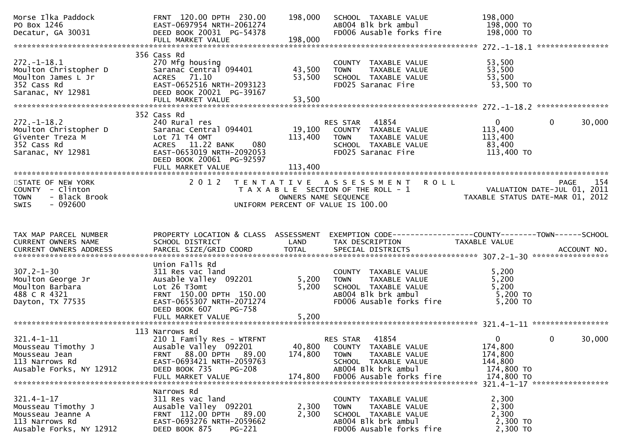| Morse Ilka Paddock<br>PO Box 1246<br>Decatur, GA 30031                                               | FRNT 120.00 DPTH 230.00<br>EAST-0697954 NRTH-2061274<br>DEED BOOK 20031 PG-54378<br>FULL MARKET VALUE                                                                                | 198,000<br>198,000           | SCHOOL TAXABLE VALUE<br>AB004 Blk brk ambul<br>FD006 Ausable forks fire                                                                              | 198,000<br>198,000 TO<br>198,000 TO                                                                                  |                                                         |
|------------------------------------------------------------------------------------------------------|--------------------------------------------------------------------------------------------------------------------------------------------------------------------------------------|------------------------------|------------------------------------------------------------------------------------------------------------------------------------------------------|----------------------------------------------------------------------------------------------------------------------|---------------------------------------------------------|
| $272. - 1 - 18.1$<br>Moulton Christopher D<br>Moulton James L Jr<br>352 Cass Rd<br>Saranac, NY 12981 | 356 Cass Rd<br>270 Mfg housing<br>Saranac Central 094401<br>ACRES 71.10<br>EAST-0652516 NRTH-2093123<br>DEED BOOK 20021 PG-39167                                                     | 43,500<br>53,500             | COUNTY TAXABLE VALUE<br>TAXABLE VALUE<br><b>TOWN</b><br>SCHOOL TAXABLE VALUE<br>FD025 Saranac Fire                                                   | 53,500<br>53,500<br>53,500<br>53,500 TO                                                                              |                                                         |
| $272. - 1 - 18.2$<br>Moulton Christopher D<br>Giventer Treza M<br>352 Cass Rd<br>Saranac, NY 12981   | 352 Cass Rd<br>240 Rural res<br>Saranac Central 094401<br>Lot 71 T4 OMT<br>ACRES 11.22 BANK<br>080<br>EAST-0653019 NRTH-2092053<br>DEED BOOK 20061 PG-92597<br>FULL MARKET VALUE     | 113,400<br>113,400           | 41854<br>RES STAR<br>19,100 COUNTY TAXABLE VALUE<br>TAXABLE VALUE<br><b>TOWN</b><br>SCHOOL TAXABLE VALUE<br>FD025 Saranac Fire                       | $\Omega$<br>113,400<br>113,400<br>83,400<br>113,400 TO                                                               | 30,000<br>$\mathbf{0}$                                  |
| STATE OF NEW YORK<br>COUNTY - Clinton<br>- Black Brook<br><b>TOWN</b><br>$-092600$<br><b>SWIS</b>    | 2 0 1 2                                                                                                                                                                              | OWNERS NAME SEQUENCE         | TENTATIVE ASSESSMENT ROLL<br>T A X A B L E SECTION OF THE ROLL - 1<br>UNIFORM PERCENT OF VALUE IS 100.00                                             | ric Nii Kullarion Date-Jul 01, 2011<br>2011 - VALUATION DATE-JUL 01, 2011<br>2012 - TAXABLE STATUS DATE-MAR 01, 2012 | 154<br>PAGE                                             |
| TAX MAP PARCEL NUMBER<br>CURRENT OWNERS NAME                                                         | PROPERTY LOCATION & CLASS ASSESSMENT<br>SCHOOL DISTRICT                                                                                                                              | LAND                         | EXEMPTION CODE-----------------COUNTY-------TOWN------SCHOOL<br>TAX DESCRIPTION                                                                      | TAXABLE VALUE                                                                                                        |                                                         |
| $307.2 - 1 - 30$<br>Moulton George Jr<br>Moulton Barbara<br>488 C R 4321<br>Dayton, TX 77535         | Union Falls Rd<br>311 Res vac land<br>Ausable Valley 092201<br>Lot 26 T3omt<br>FRNT 150.00 DPTH 150.00<br>EAST-0655307 NRTH-2071274<br>DEED BOOK 607<br>PG-758<br>FULL MARKET VALUE  | 5,200<br>5,200<br>5,200      | COUNTY TAXABLE VALUE<br><b>TOWN</b><br>TAXABLE VALUE<br>SCHOOL TAXABLE VALUE<br>AB004 Blk brk ambul<br>FD006 Ausable forks fire                      | 5,200<br>5,200<br>5,200<br>$5,200$ TO<br>5,200 TO                                                                    |                                                         |
| $321.4 - 1 - 11$<br>Mousseau Timothy J<br>Mousseau Jean<br>113 Narrows Rd<br>Ausable Forks, NY 12912 | 113 Narrows Rd<br>210 1 Family Res - WTRFNT<br>Ausable Valley 092201<br>88.00 DPTH 89.00<br><b>FRNT</b><br>EAST-0693421 NRTH-2059763<br>DEED BOOK 735<br>PG-208<br>FULL MARKET VALUE | 40,800<br>174,800<br>174,800 | 41854<br>RES STAR<br>COUNTY TAXABLE VALUE<br><b>TOWN</b><br>TAXABLE VALUE<br>SCHOOL TAXABLE VALUE<br>AB004 Blk brk ambul<br>FD006 Ausable forks fire | $\overline{0}$<br>174,800<br>174,800<br>144,800<br>174,800 TO<br>174,800 TO                                          | $\mathbf{0}$<br>30,000<br>321.4-1-17 ****************** |
| $321.4 - 1 - 17$<br>Mousseau Timothy J                                                               | Narrows Rd                                                                                                                                                                           |                              |                                                                                                                                                      | 2,300                                                                                                                |                                                         |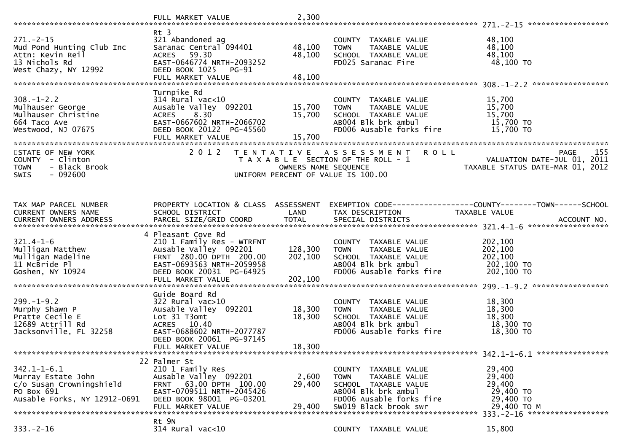|                                                                                                                   | FULL MARKET VALUE                                                                                                                                                                 | 2,300                         |                                                                                                                                                          |                                                                                                                    |  |
|-------------------------------------------------------------------------------------------------------------------|-----------------------------------------------------------------------------------------------------------------------------------------------------------------------------------|-------------------------------|----------------------------------------------------------------------------------------------------------------------------------------------------------|--------------------------------------------------------------------------------------------------------------------|--|
|                                                                                                                   |                                                                                                                                                                                   |                               |                                                                                                                                                          |                                                                                                                    |  |
| $271. - 2 - 15$<br>Mud Pond Hunting Club Inc<br>Attn: Kevin Reil<br>13 Nichols Rd<br>West Chazy, NY 12992         | $Rt$ 3<br>321 Abandoned ag<br>Saranac Central 094401<br>59.30<br><b>ACRES</b><br>EAST-0646774 NRTH-2093252<br>DEED BOOK 1025<br>PG-91<br>FULL MARKET VALUE                        | 48,100<br>48,100<br>48,100    | COUNTY TAXABLE VALUE<br>TAXABLE VALUE<br><b>TOWN</b><br>SCHOOL TAXABLE VALUE<br>FD025 Saranac Fire                                                       | 48,100<br>48,100<br>48,100<br>48,100 TO                                                                            |  |
|                                                                                                                   |                                                                                                                                                                                   |                               |                                                                                                                                                          |                                                                                                                    |  |
| $308. - 1 - 2.2$<br>Mulhauser George<br>Mulhauser Christine<br>664 Taco Ave<br>Westwood, NJ 07675                 | Turnpike Rd<br>$314$ Rural vac<10<br>Ausable Valley 092201<br>8.30<br><b>ACRES</b><br>EAST-0667602 NRTH-2066702<br>DEED BOOK 20122 PG-45560<br>FULL MARKET VALUE                  | 15,700<br>15,700<br>15,700    | TAXABLE VALUE<br>COUNTY<br>TAXABLE VALUE<br><b>TOWN</b><br>SCHOOL TAXABLE VALUE<br>AB004 Blk brk ambul<br>FD006 Ausable forks fire                       | 15,700<br>15,700<br>15,700<br>15,700 TO<br>15,700 TO                                                               |  |
| STATE OF NEW YORK<br>- Clinton<br><b>COUNTY</b><br>- Black Brook<br><b>TOWN</b><br>SWIS<br>$-092600$              | 2 0 1 2                                                                                                                                                                           | OWNERS NAME SEQUENCE          | <b>ROLL</b><br>TENTATIVE ASSESSMENT<br>T A X A B L E SECTION OF THE ROLL - 1<br>UNIFORM PERCENT OF VALUE IS 100.00                                       | 155<br><b>PAGE</b><br>VALUATION DATE-JUL 01, 2011<br>TAXABLE STATUS DATE-MAR 01, 2012                              |  |
| TAX MAP PARCEL NUMBER<br>CURRENT OWNERS NAME                                                                      | PROPERTY LOCATION & CLASS ASSESSMENT<br>SCHOOL DISTRICT                                                                                                                           | LAND                          | TAX DESCRIPTION                                                                                                                                          | EXEMPTION CODE-----------------COUNTY-------TOWN------SCHOOL<br>TAXABLE VALUE<br>ACCOUNT NO.<br>****************** |  |
| $321.4 - 1 - 6$<br>Mulligan Matthew<br>Mulligan Madeline<br>11 McBride Pl<br>Goshen, NY 10924                     | 4 Pleasant Cove Rd<br>210 1 Family Res - WTRFNT<br>Ausable Valley 092201<br>FRNT 280.00 DPTH 200.00<br>EAST-0693563 NRTH-2059958<br>DEED BOOK 20031 PG-64925<br>FULL MARKET VALUE | 128,300<br>202,100<br>202,100 | COUNTY TAXABLE VALUE<br>TAXABLE VALUE<br><b>TOWN</b><br>SCHOOL TAXABLE VALUE<br>AB004 Blk brk ambul<br>FD006 Ausable forks fire                          | 202,100<br>202,100<br>202,100<br>202,100 TO<br>202,100 TO                                                          |  |
| $299. - 1 - 9.2$<br>Murphy Shawn P<br>Pratte Cecile E<br>12689 Attrill Rd<br>Jacksonville, FL 32258               | Guide Board Rd<br>$322$ Rural vac $>10$<br>Ausable Valley 092201<br>Lot 31 T3omt<br>ACRES 10.40<br>EAST-0688602 NRTH-2077787<br>DEED BOOK 20061 PG-97145<br>FULL MARKET VALUE     | 18,300<br>18,300<br>18,300    | COUNTY TAXABLE VALUE<br><b>TOWN</b><br>TAXABLE VALUE<br>SCHOOL TAXABLE VALUE<br>AB004 Blk brk ambul<br>FD006 Ausable forks fire                          | 18,300<br>18,300<br>18,300<br>18,300 TO<br>18,300 TO                                                               |  |
| $342.1 - 1 - 6.1$<br>Murray Estate John<br>c/o Susan Crowningshield<br>PO Box 691<br>Ausable Forks, NY 12912-0691 | 22 Palmer St<br>210 1 Family Res<br>Ausable Valley 092201<br>63.00 DPTH 100.00<br><b>FRNT</b><br>EAST-0709511 NRTH-2045426<br>DEED BOOK 98001 PG-03201<br>FULL MARKET VALUE       | 2,600<br>29,400<br>29,400     | COUNTY TAXABLE VALUE<br>TAXABLE VALUE<br><b>TOWN</b><br>SCHOOL TAXABLE VALUE<br>AB004 Blk brk ambul<br>FD006 Ausable forks fire<br>SW019 Black brook swr | 29,400<br>29,400<br>29,400<br>29,400 TO<br>29,400 TO<br>29,400 ТО М                                                |  |
| $333. - 2 - 16$                                                                                                   | Rt 9N<br>314 Rural vac<10                                                                                                                                                         |                               | COUNTY TAXABLE VALUE                                                                                                                                     | 15,800                                                                                                             |  |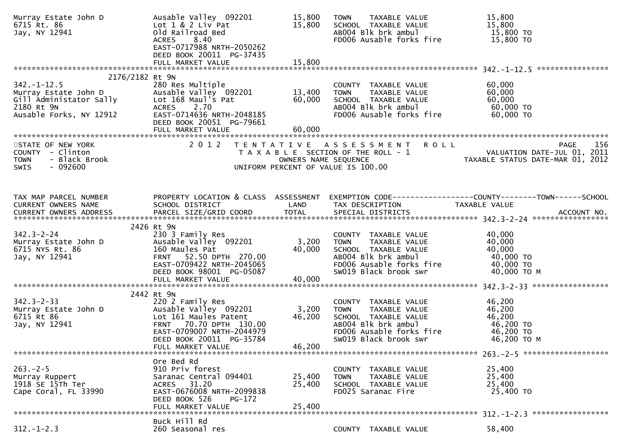| Murray Estate John D<br>6715 Rt. 86<br>Jay, NY 12941                         | Ausable Valley 092201<br>Lot 1 & 2 Liv Pat<br>Old Railroad Bed<br>ACRES 8.40<br>EAST-0717988 NRTH-2050262<br>DEED BOOK 20011 PG-37435                  | 15,800<br>15,800           | TAXABLE VALUE<br><b>TOWN</b><br>SCHOOL TAXABLE VALUE<br>AB004 Blk brk ambul<br>FD006 Ausable forks fire                                                  | 15,800<br>15,800<br>15,800 TO<br>15,800 TO                                                                                       |
|------------------------------------------------------------------------------|--------------------------------------------------------------------------------------------------------------------------------------------------------|----------------------------|----------------------------------------------------------------------------------------------------------------------------------------------------------|----------------------------------------------------------------------------------------------------------------------------------|
| 2176/2182 Rt 9N                                                              |                                                                                                                                                        |                            |                                                                                                                                                          |                                                                                                                                  |
| Ausable Forks, NY 12912                                                      | EAST-0714636 NRTH-2048185<br>DEED BOOK 20051 PG-79661                                                                                                  |                            | COUNTY TAXABLE VALUE<br><b>TOWN</b><br>TAXABLE VALUE<br>SCHOOL TAXABLE VALUE<br>ABOO4 Blk brk ambul<br>FD006 Ausable forks fire                          | 60,000<br>60,000<br>60,000<br>60,000 TO<br>60,000 TO                                                                             |
| STATE OF NEW YORK                                                            | 2 0 1 2                                                                                                                                                |                            | TENTATIVE ASSESSMENT ROLL                                                                                                                                | 156<br><b>PAGE</b>                                                                                                               |
| COUNTY - Clinton<br><b>TOWN</b><br>- Black Brook<br>$-092600$<br>SWIS        |                                                                                                                                                        |                            | UNIFORM PERCENT OF VALUE IS 100.00                                                                                                                       | T A X A B L E SECTION OF THE ROLL - 1 VALUATION DATE-JUL 01, 2011<br>OWNERS NAME SEQUENCE TAXABLE STATUS DATE-MAR 01, 2012       |
|                                                                              |                                                                                                                                                        |                            |                                                                                                                                                          |                                                                                                                                  |
| TAX MAP PARCEL NUMBER<br>CURRENT OWNERS NAME<br>CURRENT OWNERS ADDRESS       | SCHOOL DISTRICT<br>PARCEL SIZE/GRID COORD                                                                                                              | LAND<br><b>TOTAL</b>       | TAX DESCRIPTION<br>SPECIAL DISTRICTS                                                                                                                     | PROPERTY LOCATION & CLASS ASSESSMENT EXEMPTION CODE----------------COUNTY-------TOWN------SCHOOL<br>TAXABLE VALUE<br>ACCOUNT NO. |
|                                                                              | 2426 Rt 9N                                                                                                                                             |                            |                                                                                                                                                          |                                                                                                                                  |
| $342.3 - 2 - 24$<br>Murray Estate John D<br>6715 NYS Rt. 86<br>Jay, NY 12941 | 230 3 Family Res<br>Ausable Valley 092201<br>160 Maules Pat<br>FRNT 52.50 DPTH 270.00<br>EAST-0709422 NRTH-2045065<br>DEED BOOK 98001 PG-05087         | 3,200<br>40,000            | COUNTY TAXABLE VALUE<br><b>TOWN</b><br>TAXABLE VALUE<br>SCHOOL TAXABLE VALUE<br>ABOO4 Blk brk ambul<br>FD006 Ausable forks fire<br>SW019 Black brook swr | 40,000<br>40,000<br>40,000<br>40,000 TO<br>40,000 TO<br>40,000 ТО М                                                              |
|                                                                              | 2442 Rt 9N                                                                                                                                             |                            |                                                                                                                                                          |                                                                                                                                  |
| $342.3 - 2 - 33$<br>Murray Estate John D<br>6715 Rt 86<br>Jay, NY 12941      | 220 2 Family Res<br>Ausable Valley 092201<br>Lot 161 Maules Patent<br>FRNT 70.70 DPTH 130.00<br>EAST-0709007 NRTH-2044979<br>DEED BOOK 20011 PG-35784  | 3,200<br>46,200<br>46,200  | COUNTY TAXABLE VALUE<br><b>TOWN</b><br>TAXABLE VALUE<br>SCHOOL TAXABLE VALUE<br>ABOO4 Blk brk ambul<br>FD006 Ausable forks fire<br>SW019 Black brook swr | 46,200<br>46,200<br>46,200<br>46,200 TO<br>46,200 TO<br>46,200 ТО М                                                              |
|                                                                              | FULL MARKET VALUE                                                                                                                                      |                            |                                                                                                                                                          |                                                                                                                                  |
| $263. -2 - 5$<br>Murray Ruppert<br>1918 SE 15Th Ter<br>Cape Coral, FL 33990  | Ore Bed Rd<br>910 Priv forest<br>Saranac Central 094401<br>31.20<br>ACRES<br>EAST-0676008 NRTH-2099838<br>DEED BOOK 526<br>PG-172<br>FULL MARKET VALUE | 25,400<br>25,400<br>25,400 | COUNTY TAXABLE VALUE<br>TAXABLE VALUE<br><b>TOWN</b><br>SCHOOL TAXABLE VALUE<br>FD025 Saranac Fire                                                       | 25,400<br>25,400<br>25,400<br>25,400 TO                                                                                          |
|                                                                              | Buck Hill Rd                                                                                                                                           |                            |                                                                                                                                                          |                                                                                                                                  |
| $312. - 1 - 2.3$                                                             | 260 Seasonal res                                                                                                                                       |                            | COUNTY TAXABLE VALUE                                                                                                                                     | 58,400                                                                                                                           |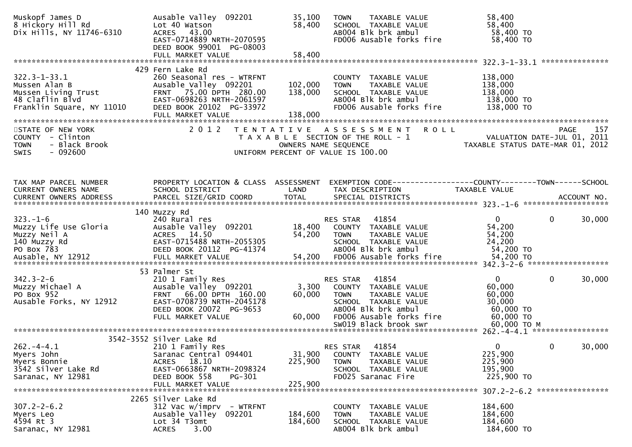| Muskopf James D<br>8 Hickory Hill Rd<br>Dix Hills, NY 11746-6310                                           | Ausable Valley 092201<br>Lot 40 Watson<br>ACRES 43.00<br>EAST-0714889 NRTH-2070595<br>DEED BOOK 99001 PG-08003<br>FULL MARKET VALUE                                            | 35,100<br>58,400<br>58,400    | TAXABLE VALUE<br><b>TOWN</b><br>SCHOOL TAXABLE VALUE<br>AB004 Blk brk ambul<br>FD006 Ausable forks fire                                              | 58,400<br>58,400<br>58,400 TO<br>58,400 TO                                             |                 |
|------------------------------------------------------------------------------------------------------------|--------------------------------------------------------------------------------------------------------------------------------------------------------------------------------|-------------------------------|------------------------------------------------------------------------------------------------------------------------------------------------------|----------------------------------------------------------------------------------------|-----------------|
|                                                                                                            |                                                                                                                                                                                |                               |                                                                                                                                                      |                                                                                        | *************** |
| $322.3 - 1 - 33.1$<br>Mussen Alan B<br>Mussen Living Trust<br>48 Claflin Blvd<br>Franklin Square, NY 11010 | 429 Fern Lake Rd<br>260 Seasonal res - WTRFNT<br>Ausable Valley 092201<br>FRNT 75.00 DPTH 280.00<br>EAST-0698263 NRTH-2061597<br>DEED BOOK 20102 PG-33972<br>FULL MARKET VALUE | 102,000<br>138,000<br>138,000 | COUNTY TAXABLE VALUE<br>TAXABLE VALUE<br><b>TOWN</b><br>SCHOOL TAXABLE VALUE<br>AB004 Blk brk ambul<br>FD006 Ausable forks fire                      | 138,000<br>138,000<br>138,000<br>138,000 TO<br>138,000 TO                              |                 |
| STATE OF NEW YORK<br>COUNTY - Clinton<br><b>TOWN</b><br>- Black Brook<br>$-092600$<br><b>SWIS</b>          | 2 0 1 2                                                                                                                                                                        | OWNERS NAME SEQUENCE          | <b>ROLL</b><br>TENTATIVE ASSESSMENT<br>T A X A B L E SECTION OF THE ROLL - 1<br>UNIFORM PERCENT OF VALUE IS 100.00                                   | VALUATION DATE-JUL 01, 2011<br>TAXABLE STATUS DATE-MAR 01, 2012                        | 157<br>PAGE     |
| TAX MAP PARCEL NUMBER<br>CURRENT OWNERS NAME                                                               | PROPERTY LOCATION & CLASS ASSESSMENT<br>SCHOOL DISTRICT                                                                                                                        | LAND                          | EXEMPTION CODE------------------COUNTY-------TOWN------SCHOOL<br>TAX DESCRIPTION                                                                     | <b>TAXABLE VALUE</b>                                                                   |                 |
| $323. - 1 - 6$<br>Muzzy Life Use Gloria<br>Muzzy Neil A<br>140 Muzzy Rd<br>PO Box 783<br>Ausable, NY 12912 | 140 Muzzy Rd<br>240 Rural res<br>Ausable Valley 092201<br>ACRES 14.50<br>EAST-0715488 NRTH-2055305<br>DEED BOOK 20112 PG-41374<br>FULL MARKET VALUE                            | 18,400<br>54,200<br>54,200    | 41854<br>RES STAR<br>COUNTY TAXABLE VALUE<br>TAXABLE VALUE<br><b>TOWN</b><br>SCHOOL TAXABLE VALUE<br>AB004 Blk brk ambul<br>FD006 Ausable forks fire | $\mathbf{0}$<br>$\mathbf{0}$<br>54,200<br>54,200<br>24,200<br>54,200 TO<br>54,200 TO   | 30,000          |
| $342.3 - 2 - 6$<br>Muzzy Michael A<br>PO Box 952<br>Ausable Forks, NY 12912                                | 53 Palmer St<br>210 1 Family Res<br>Ausable Valley 092201<br>FRNT 66.00 DPTH 160.00<br>EAST-0708739 NRTH-2045178<br>DEED BOOK 20072 PG-9653<br>FULL MARKET VALUE               | 3,300<br>60,000<br>60,000     | 41854<br>RES STAR<br>COUNTY TAXABLE VALUE<br><b>TOWN</b><br>TAXABLE VALUE<br>SCHOOL TAXABLE VALUE<br>AB004 Blk brk ambul<br>FD006 Ausable forks fire | $\mathbf{0}$<br>$\overline{0}$<br>60,000<br>60,000<br>30,000<br>60,000 TO<br>60,000 TO | 30,000          |
|                                                                                                            |                                                                                                                                                                                |                               |                                                                                                                                                      |                                                                                        |                 |
| $262. -4 - 4.1$<br>Myers John<br>Myers Bonnie<br>3542 Silver Lake Rd<br>Saranac, NY 12981                  | 3542-3552 Silver Lake Rd<br>210 1 Family Res<br>Saranac Central 094401<br>ACRES 18.10<br>EAST-0663867 NRTH-2098324<br>DEED BOOK 558<br>PG-301<br>FULL MARKET VALUE             | 31,900<br>225,900<br>225,900  | 41854<br><b>RES STAR</b><br>COUNTY TAXABLE VALUE<br><b>TOWN</b><br>TAXABLE VALUE<br>SCHOOL TAXABLE VALUE<br>FD025 Saranac Fire                       | $\mathbf{0}$<br>0<br>225,900<br>225,900<br>195,900<br>225,900 TO                       | 30,000          |
| $307.2 - 2 - 6.2$<br>Myers Leo<br>4594 Rt 3<br>Saranac, NY 12981                                           | 2265 Silver Lake Rd<br>312 Vac w/imprv<br>- WTRFNT<br>Ausable Valley<br>092201<br>Lot 34 T3omt<br>3.00<br><b>ACRES</b>                                                         | 184,600<br>184,600            | COUNTY TAXABLE VALUE<br>TAXABLE VALUE<br><b>TOWN</b><br>SCHOOL TAXABLE VALUE<br>AB004 Blk brk ambul                                                  | 184,600<br>184,600<br>184,600<br>184,600 TO                                            |                 |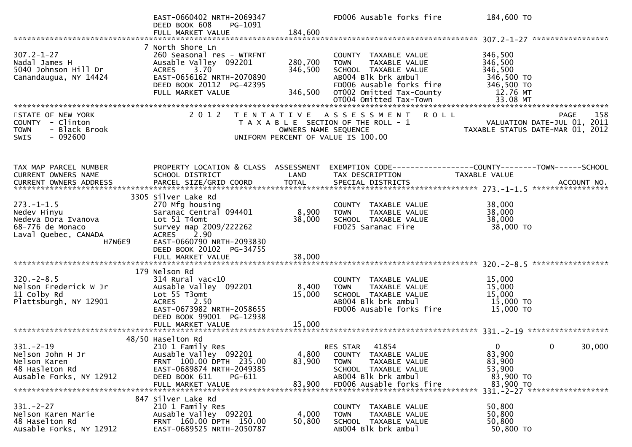|                                                                                                  | EAST-0660402 NRTH-2069347<br>DEED BOOK 608<br>PG-1091<br>FULL MARKET VALUE                                                                                                         | 184,600                       | FD006 Ausable forks fire                                                                                                                                    | 184,600 TO                                                              |        |
|--------------------------------------------------------------------------------------------------|------------------------------------------------------------------------------------------------------------------------------------------------------------------------------------|-------------------------------|-------------------------------------------------------------------------------------------------------------------------------------------------------------|-------------------------------------------------------------------------|--------|
|                                                                                                  |                                                                                                                                                                                    |                               |                                                                                                                                                             |                                                                         |        |
| $307.2 - 1 - 27$<br>Nadal James H<br>5040 Johnson Hill Dr<br>Canandaugua, NY 14424               | 7 North Shore Ln<br>260 Seasonal res - WTRFNT<br>Ausable Valley 092201<br>$3.70^{7}$<br><b>ACRES</b><br>EAST-0656162 NRTH-2070890<br>DEED BOOK 20112 PG-42395<br>FULL MARKET VALUE | 280,700<br>346,500<br>346,500 | COUNTY TAXABLE VALUE<br>TAXABLE VALUE<br><b>TOWN</b><br>SCHOOL TAXABLE VALUE<br>AB004 Blk brk ambul<br>FD006 Ausable forks fire<br>OT002 Omitted Tax-County | 346,500<br>346,500<br>346,500<br>346,500 TO<br>346,500 TO<br>12.76 MT   |        |
|                                                                                                  |                                                                                                                                                                                    |                               |                                                                                                                                                             |                                                                         |        |
| STATE OF NEW YORK<br>COUNTY - Clinton<br>- Black Brook<br><b>TOWN</b><br>$-092600$<br>SWIS       | 2 0 1 2                                                                                                                                                                            | OWNERS NAME SEQUENCE          | TENTATIVE ASSESSMENT<br><b>ROLL</b><br>T A X A B L E SECTION OF THE ROLL - 1<br>UNIFORM PERCENT OF VALUE IS 100.00                                          | PAGE<br>VALUATION DATE-JUL 01, 2011<br>TAXABLE STATUS DATE-MAR 01, 2012 | 158    |
| TAX MAP PARCEL NUMBER                                                                            | PROPERTY LOCATION & CLASS ASSESSMENT                                                                                                                                               |                               |                                                                                                                                                             | EXEMPTION CODE-----------------COUNTY-------TOWN------SCHOOL            |        |
| CURRENT OWNERS NAME                                                                              | SCHOOL DISTRICT                                                                                                                                                                    | LAND                          | TAX DESCRIPTION                                                                                                                                             | TAXABLE VALUE                                                           |        |
|                                                                                                  | 3305 Silver Lake Rd                                                                                                                                                                |                               |                                                                                                                                                             |                                                                         |        |
| $273. - 1 - 1.5$<br>Nedev Hinyu<br>Nedeva Dora Ivanova                                           | 270 Mfg housing<br>Saranac Central 094401<br>Lot 51 T4omt                                                                                                                          | 8,900<br>38,000               | COUNTY TAXABLE VALUE<br>TAXABLE VALUE<br><b>TOWN</b><br>SCHOOL TAXABLE VALUE                                                                                | 38,000<br>38,000<br>38,000                                              |        |
| 68-776 de Monaco<br>Laval Quebec, CANADA<br>H7N6E9                                               | Survey map 2009/222262<br><b>ACRES</b><br>2.90<br>EAST-0660790 NRTH-2093830<br>DEED BOOK 20102 PG-34755<br>FULL MARKET VALUE                                                       | 38,000                        | FD025 Saranac Fire                                                                                                                                          | 38,000 TO                                                               |        |
|                                                                                                  |                                                                                                                                                                                    |                               |                                                                                                                                                             |                                                                         |        |
| $320 - 2 - 8.5$<br>Nelson Frederick W Jr<br>11 Colby Rd<br>Plattsburgh, NY 12901                 | 179 Nelson Rd<br>$314$ Rural vac<10<br>Ausable Valley 092201<br>Lot 55 T3omt<br><b>ACRES</b><br>2.50<br>EAST-0673982 NRTH-2058655<br>DEED BOOK 99001 PG-12938                      | 8,400<br>15,000               | COUNTY TAXABLE VALUE<br><b>TOWN</b><br>TAXABLE VALUE<br>SCHOOL TAXABLE VALUE<br>AB004 Blk brk ambul<br>FD006 Ausable forks fire                             | 15,000<br>15,000<br>15,000<br>15,000 TO<br>15,000 TO                    |        |
|                                                                                                  | FULL MARKET VALUE                                                                                                                                                                  | 15,000                        |                                                                                                                                                             |                                                                         |        |
|                                                                                                  |                                                                                                                                                                                    |                               |                                                                                                                                                             |                                                                         |        |
| $331. - 2 - 19$<br>Nelson John H Jr<br>Nelson Karen<br>48 Hasleton Rd<br>Ausable Forks, NY 12912 | 48/50 Haselton Rd<br>210 1 Family Res<br>Ausable Valley 092201<br>FRNT 100.00 DPTH 235.00<br>EAST-0689874 NRTH-2049385<br>DEED BOOK 611<br>$PG-611$                                | 4,800<br>83,900               | 41854<br><b>RES STAR</b><br>COUNTY TAXABLE VALUE<br>TAXABLE VALUE<br><b>TOWN</b><br>SCHOOL TAXABLE VALUE<br>AB004 Blk brk ambul                             | $\mathbf{0}$<br>0<br>83,900<br>83,900<br>53,900<br>83,900 TO            | 30,000 |
|                                                                                                  | FULL MARKET VALUE                                                                                                                                                                  | 83,900                        | FD006 Ausable forks fire                                                                                                                                    | 83,900 TO<br>331. - 2 - 27 *******************                          |        |
|                                                                                                  | 847 Silver Lake Rd                                                                                                                                                                 |                               |                                                                                                                                                             |                                                                         |        |
| $331 - 2 - 27$<br>Nelson Karen Marie<br>48 Haselton Rd<br>Ausable Forks, NY 12912                | 210 1 Family Res<br>Ausable Valley 092201<br>FRNT 160.00 DPTH 150.00<br>EAST-0689525 NRTH-2050787                                                                                  | 4,000<br>50,800               | COUNTY TAXABLE VALUE<br><b>TOWN</b><br>TAXABLE VALUE<br>SCHOOL TAXABLE VALUE<br>AB004 Blk brk ambul                                                         | 50,800<br>50,800<br>50,800<br>50,800 TO                                 |        |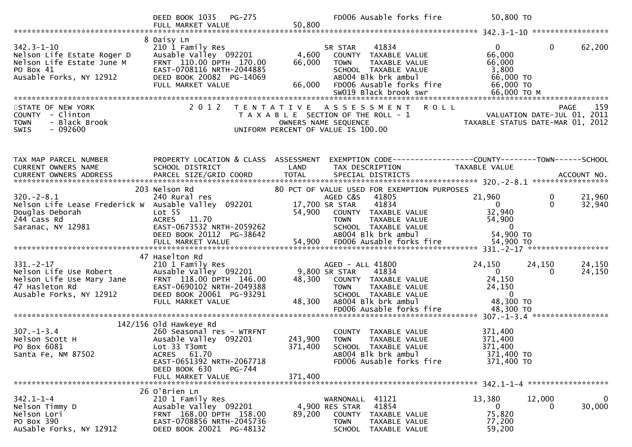|                                                                                                                                             | DEED BOOK 1035 PG-275                                                                                                                                                 |                           | FD006 Ausable forks fire                                                                                                                                                                           | 50,800 TO                                                                                         |                                             |
|---------------------------------------------------------------------------------------------------------------------------------------------|-----------------------------------------------------------------------------------------------------------------------------------------------------------------------|---------------------------|----------------------------------------------------------------------------------------------------------------------------------------------------------------------------------------------------|---------------------------------------------------------------------------------------------------|---------------------------------------------|
| $342.3 - 1 - 10$<br>Nelson Life Estate Roger D<br>Nelson Life Estate June M<br>$-16$ M<br>$-912$ E.<br>PO Box 41<br>Ausable Forks, NY 12912 | 8 Daisy Ln<br>210 1 Family Res<br>Ausable Valley 092201<br>FRNT 110.00 DPTH 170.00<br>EAST-0708116 NRTH-2044885<br>DEED BOOK 20082 PG-14069<br>FULL MARKET VALUE      | 4,600<br>66,000<br>66,000 | 41834<br>SR STAR<br>COUNTY TAXABLE VALUE<br>TAXABLE VALUE<br><b>TOWN</b><br>SCHOOL TAXABLE VALUE<br>AB004 Blk brk ambul<br>FD006 Ausable forks fire<br>SW019 Black brook swr                       | 0<br>66,000<br>66,000<br>3,800<br>66,000 TO<br>66,000 TO<br>66,000 ТО М                           | $\mathbf{0}$<br>62,200                      |
| STATE OF NEW YORK<br>COUNTY - Clinton<br>- Black Brook<br><b>TOWN</b><br>$-092600$<br><b>SWIS</b>                                           | 2 0 1 2                                                                                                                                                               |                           | TENTATIVE ASSESSMENT ROLL<br>T A X A B L E SECTION OF THE ROLL - 1<br>OWNERS NAME SEQUENCE<br>UNIFORM PERCENT OF VALUE IS 100.00                                                                   | - 1<br>VALUATION DATE-JUL 01, 2011<br>TAXABLE STATUS DATE-MAR 01, 2012                            | 159<br><b>PAGE</b>                          |
| TAX MAP PARCEL NUMBER<br>CURRENT OWNERS NAME                                                                                                | PROPERTY LOCATION & CLASS ASSESSMENT<br>SCHOOL DISTRICT                                                                                                               | LAND                      | EXEMPTION CODE-----------------COUNTY-------TOWN-----SCHOOL<br>TAX DESCRIPTION                                                                                                                     | <b>TAXABLE VALUE</b>                                                                              |                                             |
| $320 - 2 - 8.1$<br>Nelson Life Lease Frederick W Ausable Valley 092201<br>Douglas Deborah<br>244 Cass Rd<br>Saranac, NY 12981               | 203 Nelson Rd<br>240 Rural res<br>Lot <sub>55</sub><br>ACRES 11.70<br>EAST-0673532 NRTH-2059262<br>DEED BOOK 20112 PG-38642                                           | 54,900                    | 80 PCT OF VALUE USED FOR EXEMPTION PURPOSES<br>AGED C&S<br>41805<br>41834<br>17,700 SR STAR<br>COUNTY TAXABLE VALUE<br><b>TOWN</b><br>TAXABLE VALUE<br>SCHOOL TAXABLE VALUE<br>AB004 Blk brk ambul | 21,960<br>$\overline{0}$<br>32,940<br>54,900<br>$\overline{0}$<br>54,900 TO                       | $\mathbf 0$<br>21,960<br>$\Omega$<br>32,940 |
|                                                                                                                                             | 47 Haselton Rd                                                                                                                                                        |                           |                                                                                                                                                                                                    |                                                                                                   |                                             |
| $331. - 2 - 17$<br>Nelson Life Use Robert<br>Nelson Life Use Mary Jane<br>47 Hasleton Rd<br>Ausable Forks, NY 12912                         | 210 1 Family Res<br>Ausable Valley 092201<br>FRNT 118.00 DPTH 146.00<br>EAST-0690102 NRTH-2049388<br>DEED BOOK 20061 PG-93291<br>FULL MARKET VALUE                    | 48,300<br>48,300          | AGED - ALL 41800<br>9,800 SR STAR<br>41834<br>COUNTY TAXABLE VALUE<br><b>TOWN</b><br>TAXABLE VALUE<br>SCHOOL TAXABLE VALUE<br>AB004 Blk brk ambul<br>FD006 Ausable forks fire                      | 24,150<br>$\overline{0}$<br>24,150<br>24,150<br>$\overline{\mathbf{0}}$<br>48,300 TO<br>48,300 TO | 24,150<br>24,150<br>24,150<br>0             |
|                                                                                                                                             |                                                                                                                                                                       |                           |                                                                                                                                                                                                    |                                                                                                   |                                             |
| $307. - 1 - 3.4$<br>Nelson Scott H<br>PO Box 6081<br>Santa Fe, NM 87502                                                                     | $142/156$ Old Hawkeye Rd<br>260 Seasonal res - WTRFNT<br>Ausable Valley 092201<br>Lot 33 T3omt<br>ACRES 61.70<br>EAST-0651392 NRTH-2067718<br>DEED BOOK 630<br>PG-744 | 243,900<br>371,400        | COUNTY TAXABLE VALUE<br><b>TOWN</b><br>TAXABLE VALUE<br>SCHOOL TAXABLE VALUE<br>AB004 Blk brk ambul<br>FD006 Ausable forks fire                                                                    | 371,400<br>371,400<br>371,400<br>371,400 TO<br>371,400 TO                                         |                                             |
|                                                                                                                                             | FULL MARKET VALUE                                                                                                                                                     | 371,400                   |                                                                                                                                                                                                    |                                                                                                   |                                             |
| $342.1 - 1 - 4$<br>Nelson Timmy D<br>Nelson Lori<br>PO Box 390<br>AuSable Forks, NY 12912                                                   | 26 O'Brien Ln<br>210 1 Family Res<br>Ausable Valley 092201<br>FRNT 168.00 DPTH 158.00<br>EAST-0708856 NRTH-2045736<br>DEED BOOK 20021 PG-48132                        | 89,200                    | WARNONALL 41121<br>41854<br>4,900 RES STAR<br><b>COUNTY</b><br>TAXABLE VALUE<br><b>TOWN</b><br>TAXABLE VALUE<br>SCHOOL<br>TAXABLE VALUE                                                            | 13,380<br>$\mathbf{0}$<br>75,820<br>77,200<br>59,200                                              | $\mathbf 0$<br>12,000<br>30,000<br>0        |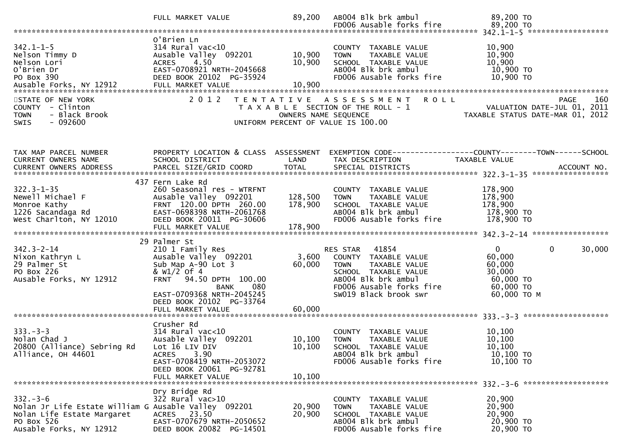|                                                                                                                                              | FULL MARKET VALUE                                                                                                                                                                                                              | 89,200                        | AB004 Blk brk ambul                                                                                                                                                        | 89,200 TO                                                                                                       |
|----------------------------------------------------------------------------------------------------------------------------------------------|--------------------------------------------------------------------------------------------------------------------------------------------------------------------------------------------------------------------------------|-------------------------------|----------------------------------------------------------------------------------------------------------------------------------------------------------------------------|-----------------------------------------------------------------------------------------------------------------|
|                                                                                                                                              |                                                                                                                                                                                                                                |                               |                                                                                                                                                                            |                                                                                                                 |
| $342.1 - 1 - 5$<br>Nelson Timmy D<br>Nelson Lori<br>O'Brien Dr<br>PO Box 390<br>Ausable Forks, NY 12912                                      | O'Brien Ln<br>$314$ Rural vac<10<br>Ausable Valley 092201<br>4.50<br>ACRES<br>EAST-0708921 NRTH-2045668<br>DEED BOOK 20102 PG-35924<br>FULL MARKET VALUE                                                                       | 10,900<br>10,900<br>10,900    | COUNTY TAXABLE VALUE<br>TAXABLE VALUE<br><b>TOWN</b><br>SCHOOL TAXABLE VALUE<br>AB004 Blk brk ambul<br>FD006 Ausable forks fire                                            | 10,900<br>10,900<br>10,900<br>10,900 TO<br>10,900 TO                                                            |
| STATE OF NEW YORK<br>COUNTY - Clinton<br>- Black Brook<br><b>TOWN</b><br>$-092600$<br><b>SWIS</b>                                            | 2 0 1 2                                                                                                                                                                                                                        |                               | TENTATIVE ASSESSMENT ROLL<br>T A X A B L E SECTION OF THE ROLL - 1<br>OWNERS NAME SEQUENCE<br>UNIFORM PERCENT OF VALUE IS 100.00                                           | PAGE<br>160<br>VALUATION DATE-JUL 01, 2011<br>TAXABLE STATUS DATE-MAR 01, 2012                                  |
| TAX MAP PARCEL NUMBER<br>CURRENT OWNERS NAME                                                                                                 | PROPERTY LOCATION & CLASS ASSESSMENT<br>SCHOOL DISTRICT                                                                                                                                                                        | LAND                          | TAX DESCRIPTION                                                                                                                                                            | EXEMPTION CODE-----------------COUNTY-------TOWN------SCHOOL<br>TAXABLE VALUE                                   |
| $322.3 - 1 - 35$<br>Newell Michael F<br>Monroe Kathy<br>1226 Sacandaga Rd<br>West Charlton, NY 12010                                         | 437 Fern Lake Rd<br>260 Seasonal res - WTRFNT<br>Ausable Valley 092201<br>FRNT 120.00 DPTH 260.00<br>EAST-0698398 NRTH-2061768<br>DEED BOOK 20011 PG-30606<br>FULL MARKET VALUE                                                | 128,500<br>178,900<br>178,900 | COUNTY TAXABLE VALUE<br>TAXABLE VALUE<br><b>TOWN</b><br>SCHOOL TAXABLE VALUE<br>AB004 Blk brk ambul<br>FD006 Ausable forks fire                                            | 178,900<br>178,900<br>178,900<br>178,900 TO<br>178,900 TO                                                       |
| $342.3 - 2 - 14$<br>Nixon Kathryn L<br>29 Palmer St<br>PO Box 226<br>Ausable Forks, NY 12912                                                 | 29 Palmer St<br>210 1 Family Res<br>Ausable Valley 092201<br>Sub Map A-90 Lot 3<br>& $W1/2$ of 4<br>FRNT 94.50 DPTH 100.00<br><b>BANK</b><br>080<br>EAST-0709368 NRTH-2045245<br>DEED BOOK 20102 PG-33764<br>FULL MARKET VALUE | 3,600<br>60,000<br>60,000     | RES STAR 41854<br>COUNTY TAXABLE VALUE<br><b>TOWN</b><br>TAXABLE VALUE<br>SCHOOL TAXABLE VALUE<br>AB004 Blk brk ambul<br>FD006 Ausable forks fire<br>SW019 Black brook swr | $\overline{0}$<br>$\mathbf{0}$<br>30,000<br>60,000<br>60,000<br>30,000<br>60,000 TO<br>60,000 TO<br>60,000 ТО М |
| $333. -3 -3$<br>Nolan Chad J<br>20800 (Alliance) Sebring Rd<br>Alliance, OH 44601                                                            | Crusher Rd<br>$314$ Rural vac<10<br>Ausable Valley 092201<br>Lot 16 LIV DIV<br>3.90<br><b>ACRES</b><br>EAST-0708419 NRTH-2053072<br>DEED BOOK 20061 PG-92781<br>FULL MARKET VALUE                                              | 10, 100<br>10,100<br>10,100   | COUNTY TAXABLE VALUE<br><b>TOWN</b><br>TAXABLE VALUE<br>SCHOOL TAXABLE VALUE<br>AB004 Blk brk ambul<br>FD006 Ausable forks fire                                            | 10, 100<br>10,100<br>10,100<br>10,100 TO<br>10,100 TO                                                           |
| $332 - 3 - 6$<br>Nolan Jr Life Estate William G Ausable Valley 092201<br>Nolan Life Estate Margaret<br>PO Box 526<br>Ausable Forks, NY 12912 | Dry Bridge Rd<br>$322$ Rural vac $>10$<br>ACRES 23.50<br>EAST-0707679 NRTH-2050652<br>DEED BOOK 20082 PG-14501                                                                                                                 | 20,900<br>20,900              | COUNTY TAXABLE VALUE<br>TAXABLE VALUE<br><b>TOWN</b><br>SCHOOL TAXABLE VALUE<br>AB004 Blk brk ambul<br>FD006 Ausable forks fire                                            | 20,900<br>20,900<br>20,900<br>20,900 ТО<br>20,900 ТО                                                            |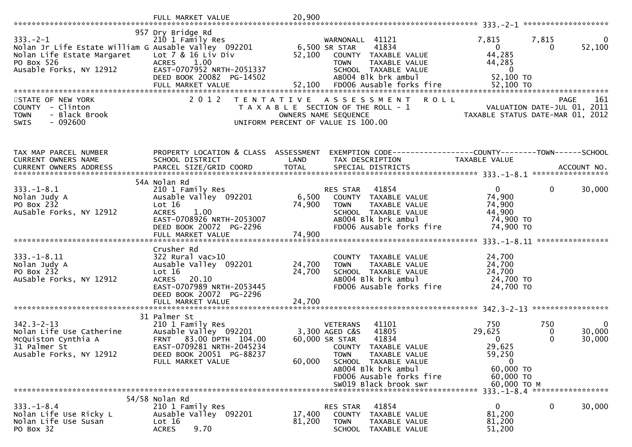|                                                                                                                                               | FULL MARKET VALUE                                                                                                                                                              | 20,900                     |                                                                                                                                                                                                                                            |                                                                                                        |                                                            |
|-----------------------------------------------------------------------------------------------------------------------------------------------|--------------------------------------------------------------------------------------------------------------------------------------------------------------------------------|----------------------------|--------------------------------------------------------------------------------------------------------------------------------------------------------------------------------------------------------------------------------------------|--------------------------------------------------------------------------------------------------------|------------------------------------------------------------|
| $333. - 2 - 1$<br>Nolan Jr Life Estate William G Ausable Valley 092201<br>Nolan Life Estate Margaret<br>PO Box 526<br>Ausable Forks, NY 12912 | 957 Dry Bridge Rd<br>210 1 Family Res<br>Lot 7 & 16 Liv Div<br><b>ACRES</b><br>1.00<br>EAST-0707952 NRTH-2051337<br>DEED BOOK 20082 PG-14502<br>FULL MARKET VALUE              | 52,100<br>52,100           | WARNONALL 41121<br>6,500 SR STAR<br>41834<br>COUNTY TAXABLE VALUE<br><b>TOWN</b><br>TAXABLE VALUE<br>SCHOOL TAXABLE VALUE<br>AB004 Blk brk ambul<br>FD006 Ausable forks fire                                                               | 7,815<br>$\mathbf{0}$<br>44,285<br>44,285<br>$\bf{0}$<br>52,100 TO<br>52,100 TO                        | 7,815<br>$\bf{0}$<br>52,100<br>$\Omega$                    |
| STATE OF NEW YORK<br>COUNTY - Clinton<br><b>TOWN</b><br>- Black Brook<br>$-092600$<br><b>SWIS</b>                                             | 2 0 1 2                                                                                                                                                                        | T E N T A T I V E          | A S S E S S M E N T<br>T A X A B L E SECTION OF THE ROLL - 1<br>OWNERS NAME SEQUENCE<br>UNIFORM PERCENT OF VALUE IS 100.00                                                                                                                 | <b>ROLL</b><br>TAXABLE STATUS DATE-MAR 01, 2012                                                        | 161<br><b>PAGE</b><br>VALUATION DATE-JUL 01, 2011          |
| TAX MAP PARCEL NUMBER<br>CURRENT OWNERS NAME                                                                                                  | PROPERTY LOCATION & CLASS ASSESSMENT<br>SCHOOL DISTRICT                                                                                                                        | LAND                       | TAX DESCRIPTION                                                                                                                                                                                                                            | TAXABLE VALUE                                                                                          |                                                            |
| $333. - 1 - 8.1$<br>Nolan Judy A<br>PO Box 232<br>AuSable Forks, NY 12912                                                                     | 54A Nolan Rd<br>210 1 Family Res<br>Ausable Valley 092201<br>Lot 16<br><b>ACRES</b><br>1.00<br>EAST-0708926 NRTH-2053007<br>DEED BOOK 20072 PG-2296                            | 6,500<br>74,900            | 41854<br>RES STAR<br>COUNTY TAXABLE VALUE<br>TAXABLE VALUE<br>TOWN<br>SCHOOL TAXABLE VALUE<br>AB004 Blk brk ambul<br>FD006 Ausable forks fire                                                                                              | $\overline{0}$<br>74,900<br>74,900<br>44,900<br>74,900 TO<br>74,900 TO                                 | $\mathbf 0$<br>30,000<br>****************                  |
| $333. - 1 - 8.11$<br>Nolan Judy A<br>PO Box 232<br>AuSable Forks, NY 12912                                                                    | Crusher Rd<br>$322$ Rural vac $>10$<br>Ausable Valley 092201<br>Lot $16$<br><b>ACRES</b><br>20.10<br>EAST-0707989 NRTH-2053445<br>DEED BOOK 20072 PG-2296<br>FULL MARKET VALUE | 24,700<br>24,700<br>24,700 | COUNTY TAXABLE VALUE<br>TAXABLE VALUE<br><b>TOWN</b><br>SCHOOL TAXABLE VALUE<br>AB004 Blk brk ambul<br>FD006 Ausable forks fire                                                                                                            | 24,700<br>24,700<br>24,700<br>24,700 TO<br>24,700 TO                                                   |                                                            |
| $342.3 - 2 - 13$<br>Nolan Life Use Catherine<br>McQuiston Cynthia A<br>31 Palmer St<br>Ausable Forks, NY 12912                                | 31 Palmer St<br>210 1 Family Res<br>Ausable Valley 092201<br>FRNT 83.00 DPTH 104.00<br>EAST-0709281 NRTH-2045234<br>DEED BOOK 20051 PG-88237<br>FULL MARKET VALUE              | 60,000                     | 41101<br><b>VETERANS</b><br>41805<br>3,300 AGED C&S<br>41834<br>60,000 SR STAR<br>COUNTY TAXABLE VALUE<br><b>TOWN</b><br>TAXABLE VALUE<br>SCHOOL TAXABLE VALUE<br>AB004 Blk brk ambul<br>FD006 Ausable forks fire<br>SW019 Black brook swr | 750<br>29,625<br>$\Omega$<br>29,625<br>59,250<br>$\mathbf{0}$<br>60,000 TO<br>60,000 TO<br>60,000 ТО М | 750<br>$\overline{0}$<br>30,000<br>0<br>$\Omega$<br>30,000 |
|                                                                                                                                               | $54/58$ Nolan Rd                                                                                                                                                               |                            |                                                                                                                                                                                                                                            |                                                                                                        |                                                            |
| $333. - 1 - 8.4$<br>Nolan Life Use Ricky L<br>Nolan Life Use Susan<br>PO Box 32                                                               | 210 1 Family Res<br>Ausable Valley 092201<br>Lot 16<br>9.70<br><b>ACRES</b>                                                                                                    | 17,400<br>81,200           | 41854<br>RES STAR<br>COUNTY<br>TAXABLE VALUE<br><b>TOWN</b><br>TAXABLE VALUE<br>SCHOOL<br>TAXABLE VALUE                                                                                                                                    | 0<br>81,200<br>81,200<br>51,200                                                                        | 30,000<br>$\bf{0}$                                         |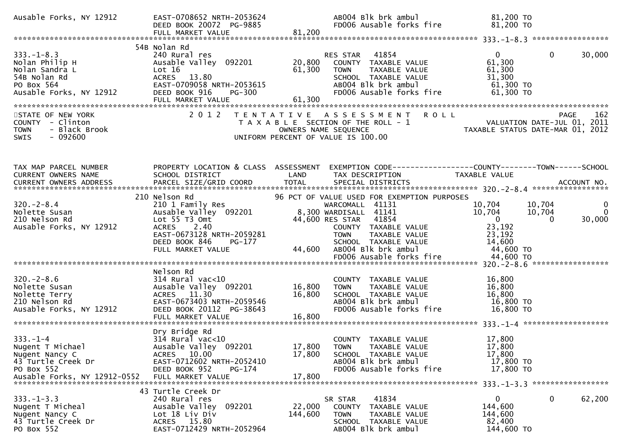| Ausable Forks, NY 12912                                                                                       | EAST-0708652 NRTH-2053624<br>DEED BOOK 20072 PG-9885<br>FULL MARKET VALUE                                                                                              | AB004 Blk brk ambul<br>FD006 Ausable forks fire<br>81,200                                                                                                                                                                                                     | 81,200 TO<br>81,200 TO                                                                                                                                         |
|---------------------------------------------------------------------------------------------------------------|------------------------------------------------------------------------------------------------------------------------------------------------------------------------|---------------------------------------------------------------------------------------------------------------------------------------------------------------------------------------------------------------------------------------------------------------|----------------------------------------------------------------------------------------------------------------------------------------------------------------|
|                                                                                                               |                                                                                                                                                                        |                                                                                                                                                                                                                                                               |                                                                                                                                                                |
| $333. - 1 - 8.3$<br>Nolan Philip H<br>Nolan Sandra L<br>54B Nolan Rd<br>PO Box 564<br>Ausable Forks, NY 12912 | 54B Nolan Rd<br>240 Rural res<br>Ausable Valley 092201<br>Lot 16<br>ACRES 13.80<br>EAST-0709058 NRTH-2053615<br>DEED BOOK 916<br>PG-300                                | 41854<br>RES STAR<br>20,800<br>COUNTY TAXABLE VALUE<br>61,300<br>TAXABLE VALUE<br><b>TOWN</b><br>SCHOOL TAXABLE VALUE<br>AB004 Blk brk ambul<br>FD006 Ausable forks fire                                                                                      | $\Omega$<br>30,000<br>$\mathbf{0}$<br>61,300<br>61,300<br>31,300<br>$61,300$ TO<br>61,300 TO                                                                   |
| STATE OF NEW YORK<br>COUNTY - Clinton<br>- Black Brook<br><b>TOWN</b><br>$-092600$<br><b>SWIS</b>             | 2 0 1 2                                                                                                                                                                | <b>ROLL</b><br>TENTATIVE ASSESSMENT<br>T A X A B L E SECTION OF THE ROLL - 1<br>OWNERS NAME SEQUENCE<br>UNIFORM PERCENT OF VALUE IS 100.00                                                                                                                    | 162<br>PAGE<br>PAGE 162<br>VALUATION DATE-JUL 01, 2011<br>TAXABLE STATUS DATE-MAR 01, 2012                                                                     |
| TAX MAP PARCEL NUMBER<br>CURRENT OWNERS NAME                                                                  | PROPERTY LOCATION & CLASS ASSESSMENT<br>SCHOOL DISTRICT                                                                                                                | LAND<br>TAX DESCRIPTION                                                                                                                                                                                                                                       | <b>TAXABLE VALUE</b>                                                                                                                                           |
| $320 - 2 - 8.4$<br>Nolette Susan<br>210 Nelson Rd<br>Ausable Forks, NY 12912                                  | 210 Nelson Rd<br>210 1 Family Res<br>Ausable Valley 092201<br>Lot 55 T3 Omt<br>ACRES 2.40<br>EAST-0673128 NRTH-2059281<br>DEED BOOK 846<br>PG-177<br>FULL MARKET VALUE | 96 PCT OF VALUE USED FOR EXEMPTION PURPOSES<br>WARCOMALL 41131<br>8,300 WARDISALL 41141<br>44,600 RES STAR 41854<br>COUNTY TAXABLE VALUE<br>TAXABLE VALUE<br><b>TOWN</b><br>SCHOOL TAXABLE VALUE<br>AB004 Blk brk ambul<br>44,600<br>FD006 Ausable forks fire | 10,704<br>10,704<br>$\bf{0}$<br>10,704<br>10,704<br>$\Omega$<br>$\mathbf{0}$<br>30,000<br>$\mathbf{0}$<br>23,192<br>23,192<br>14,600<br>44,600 TO<br>44,600 TO |
| $320 - 2 - 8.6$<br>Nolette Susan<br>Nolette Terry<br>210 Nelson Rd<br>Ausable Forks, NY 12912                 | Nelson Rd<br>$314$ Rural vac<10<br>Ausable Valley 092201<br>ACRES 11.30<br>EAST-0673403 NRTH-2059546<br>DEED BOOK 20112 PG-38643<br>FULL MARKET VALUE                  | COUNTY TAXABLE VALUE<br>16,800<br><b>TOWN</b><br>TAXABLE VALUE<br>16,800<br>SCHOOL TAXABLE VALUE<br>AB004 Blk brk ambul<br>FD006 Ausable forks fire<br>16,800                                                                                                 | 16,800<br>16,800<br>16,800<br>16,800 TO<br>16,800 TO                                                                                                           |
| $333. - 1 - 4$<br>Nugent T Michael<br>Nugent Nancy C<br>43 Turtle Creek Dr<br>PO Box 552                      | Dry Bridge Rd<br>$314$ Rural vac<10<br>Ausable Valley 092201<br>ACRES 10.00<br>EAST-0712602 NRTH-2052410<br>DEED BOOK 952<br>PG-174                                    | COUNTY TAXABLE VALUE<br>17,800<br><b>TOWN</b><br>TAXABLE VALUE<br>17,800<br>SCHOOL TAXABLE VALUE<br>AB004 Blk brk ambul<br>FD006 Ausable forks fire                                                                                                           | 17,800<br>17,800<br>17,800<br>17,800 TO<br>17,800 TO                                                                                                           |
| $333. -1 - 3.3$<br>Nugent T Micheal<br>Nugent Nancy C<br>43 Turtle Creek Dr<br>PO Box 552                     | 43 Turtle Creek Dr<br>240 Rural res<br>Ausable Valley<br>092201<br>Lot 18 Liv Div<br>ACRES 15.80<br>EAST-0712429 NRTH-2052964                                          | 41834<br>SR STAR<br>22,000<br>COUNTY TAXABLE VALUE<br>144,600<br><b>TOWN</b><br>TAXABLE VALUE<br>SCHOOL TAXABLE VALUE<br>AB004 Blk brk ambul                                                                                                                  | 0<br>0<br>62,200<br>144,600<br>144,600<br>82,400<br>144,600 TO                                                                                                 |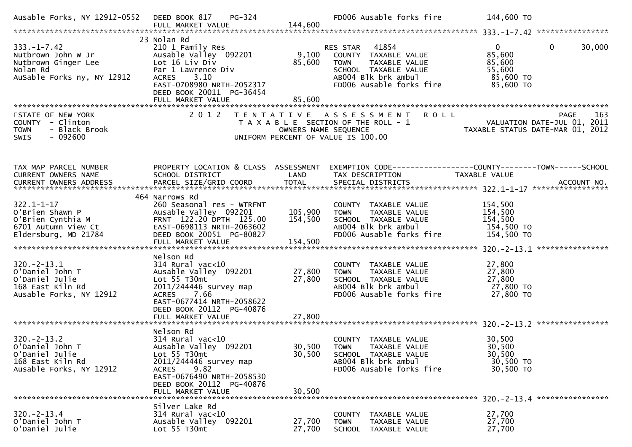| Ausable Forks, NY 12912-0552                                                                             | PG-324<br>DEED BOOK 817                                                                                                                                                                                     |                                 | FD006 Ausable forks fire                                                                                                                          | 144,600 TO                                                                            |
|----------------------------------------------------------------------------------------------------------|-------------------------------------------------------------------------------------------------------------------------------------------------------------------------------------------------------------|---------------------------------|---------------------------------------------------------------------------------------------------------------------------------------------------|---------------------------------------------------------------------------------------|
| $333. - 1 - 7.42$<br>Nutbrown John W Jr<br>Nutbrown Ginger Lee<br>Nolan Rd<br>AuSable Forks ny, NY 12912 | 23 Nolan Rd<br>210 1 Family Res<br>Ausable Valley 092201<br>Lot 16 Liv Div<br>Par 1 Lawrence Div<br>3.10<br><b>ACRES</b><br>EAST-0708980 NRTH-2052317<br>DEED BOOK 20011 PG-36454<br>FULL MARKET VALUE      | 9,100<br>85,600<br>85,600       | RES STAR 41854<br>COUNTY TAXABLE VALUE<br>TAXABLE VALUE<br><b>TOWN</b><br>SCHOOL TAXABLE VALUE<br>AB004 Blk brk ambul<br>FD006 Ausable forks fire | $\overline{0}$<br>0<br>30,000<br>85,600<br>85,600<br>55,600<br>85,600 TO<br>85,600 TO |
| STATE OF NEW YORK<br>COUNTY - Clinton<br>- Black Brook<br><b>TOWN</b><br>$-092600$<br><b>SWIS</b>        | 2 0 1 2                                                                                                                                                                                                     | OWNERS NAME SEQUENCE            | R O L L<br>TENTATIVE ASSESSMENT<br>T A X A B L E SECTION OF THE ROLL - 1<br>UNIFORM PERCENT OF VALUE IS 100.00                                    | 163<br>PAGE<br>VALUATION DATE-JUL 01, 2011<br>TAXABLE STATUS DATE-MAR 01, 2012        |
| TAX MAP PARCEL NUMBER<br>CURRENT OWNERS NAME                                                             | PROPERTY LOCATION & CLASS ASSESSMENT<br>SCHOOL DISTRICT                                                                                                                                                     | LAND                            | TAX DESCRIPTION                                                                                                                                   | EXEMPTION CODE-----------------COUNTY-------TOWN------SCHOOL<br>TAXABLE VALUE         |
| $322.1 - 1 - 17$<br>O'Brien Shawn P<br>O'Brien Cynthia M<br>6701 Autumn View Ct<br>Eldersburg, MD 21784  | 464 Narrows Rd<br>260 Seasonal res - WTRFNT<br>Ausable Valley 092201<br>FRNT 122.20 DPTH 125.00<br>EAST-0698113 NRTH-2063602<br>DEED BOOK 20051 PG-80827                                                    | 105,900<br>154,500              | COUNTY TAXABLE VALUE<br>TAXABLE VALUE<br><b>TOWN</b><br>SCHOOL TAXABLE VALUE<br>AB004 Blk brk ambul<br>FD006 Ausable forks fire                   | 154,500<br>154,500<br>154,500<br>154,500 TO<br>154,500 TO                             |
| $320. -2 - 13.1$<br>O'Daniel John T<br>O'Daniel Julie<br>168 East Kiln Rd<br>Ausable Forks, NY 12912     | Nelson Rd<br>$314$ Rural vac< $10$<br>Ausable Valley 092201<br>Lot 55 T30mt<br>2011/244446 survey map<br><b>ACRES</b><br>7.66<br>EAST-0677414 NRTH-2058622<br>DEED BOOK 20112 PG-40876<br>FULL MARKET VALUE | 27,800<br>27,800<br>27,800      | COUNTY TAXABLE VALUE<br><b>TOWN</b><br>TAXABLE VALUE<br>SCHOOL TAXABLE VALUE<br>AB004 Blk brk ambul<br>FD006 Ausable forks fire                   | 27,800<br>27,800<br>27,800<br>27,800 TO<br>27,800 TO                                  |
| $320 - 2 - 13.2$<br>O'Daniel John T<br>O'Daniel Julie<br>168 East Kiln Rd<br>Ausable Forks, NY 12912     | Nelson Rd<br>$314$ Rural vac<10<br>Ausable Valley 092201<br>Lot 55 T30mt<br>2011/244446 survey map<br>ACRES 9.82<br>EAST-0676490 NRTH-2058530<br>DEED BOOK 20112 PG-40876<br>FULL MARKET VALUE              | 30,500 TOWN<br>30,500<br>30,500 | COUNTY TAXABLE VALUE<br>TAXABLE VALUE<br>SCHOOL TAXABLE VALUE<br>ABOO4 Blk brk ambul<br>FD006 Ausable forks fire                                  | 30,500<br>30,500<br>30,500<br>30,500 TO<br>30,500 TO                                  |
| $320. -2 - 13.4$<br>O'Daniel John T<br>O'Daniel Julie                                                    | Silver Lake Rd<br>$314$ Rural vac<10<br>Ausable Valley 092201<br>Lot 55 T30mt                                                                                                                               | 27,700<br>27,700                | COUNTY TAXABLE VALUE<br><b>TOWN</b><br>TAXABLE VALUE<br><b>SCHOOL</b><br>TAXABLE VALUE                                                            | 27,700<br>27,700<br>27,700                                                            |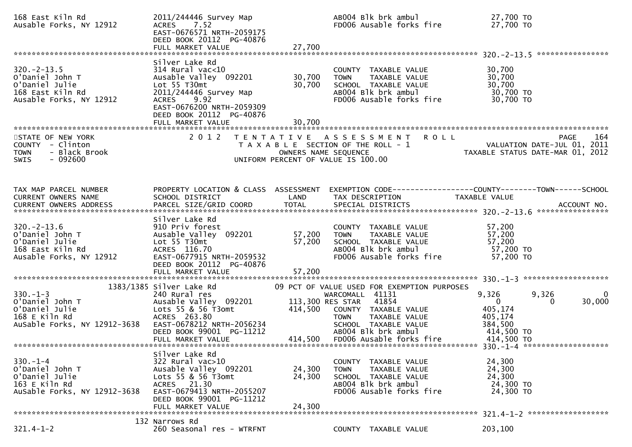| 168 East Kiln Rd<br>Ausable Forks, NY 12912                                                           | 2011/244446 Survey Map<br>ACRES 7.52<br>EAST-0676571 NRTH-2059175<br>DEED BOOK 20112 PG-40876                                                                          |                                           | AB004 Blk brk ambul<br>FD006 Ausable forks fire                                                                                 | 27,700 TO<br>27,700 TO                                                                                                 |
|-------------------------------------------------------------------------------------------------------|------------------------------------------------------------------------------------------------------------------------------------------------------------------------|-------------------------------------------|---------------------------------------------------------------------------------------------------------------------------------|------------------------------------------------------------------------------------------------------------------------|
|                                                                                                       | Silver Lake Rd                                                                                                                                                         |                                           |                                                                                                                                 |                                                                                                                        |
| $320 - 2 - 13.5$<br>O'Daniel John T<br>O'Daniel Julie<br>168 East Kiln Rd<br>Ausable Forks, NY 12912  | $314$ Rural vac<10<br>Ausable Valley 092201<br>Lot 55 T30mt<br>2011/244446 Survey Map<br>9.92<br><b>ACRES</b><br>EAST-0676200 NRTH-2059309<br>DEED BOOK 20112 PG-40876 | 30,700<br>30,700                          | COUNTY TAXABLE VALUE<br>TAXABLE VALUE<br><b>TOWN</b><br>SCHOOL TAXABLE VALUE<br>AB004 Blk brk ambul<br>FD006 Ausable forks fire | 30,700<br>30,700<br>30,700<br>30,700 TO<br>30,700 TO                                                                   |
|                                                                                                       | FULL MARKET VALUE                                                                                                                                                      | 30,700                                    |                                                                                                                                 |                                                                                                                        |
| STATE OF NEW YORK<br>COUNTY - Clinton<br>- Black Brook<br><b>TOWN</b><br>$-092600$<br>SWIS            | 2 0 1 2                                                                                                                                                                | T E N T A T I V E<br>OWNERS NAME SEQUENCE | A S S E S S M E N T R O L L<br>T A X A B L E SECTION OF THE ROLL - 1<br>UNIFORM PERCENT OF VALUE IS 100.00                      | 164<br><b>PAGE</b><br>VALUATION DATE-JUL 01, 2011<br>VALUATION DATE-JUL 01, 2011 -<br>TAXABLE STATUS DATE-MAR 01, 2012 |
|                                                                                                       |                                                                                                                                                                        |                                           |                                                                                                                                 |                                                                                                                        |
| TAX MAP PARCEL NUMBER<br>CURRENT OWNERS NAME                                                          | PROPERTY LOCATION & CLASS ASSESSMENT<br>SCHOOL DISTRICT                                                                                                                | LAND                                      | TAX DESCRIPTION                                                                                                                 | EXEMPTION CODE------------------COUNTY--------TOWN------SCHOOL<br>TAXABLE VALUE<br>ACCOUNT NO.<br>****************     |
|                                                                                                       | Silver Lake Rd                                                                                                                                                         |                                           |                                                                                                                                 |                                                                                                                        |
| $320. -2 - 13.6$<br>O'Daniel John T<br>O'Daniel Julie<br>168 East Kiln Rd<br>Ausable Forks, NY 12912  | 910 Priv forest<br>Ausable Valley 092201<br>Lot 55 T30mt<br>ACRES 116.70<br>EAST-0677915 NRTH-2059532<br>DEED BOOK 20112 PG-40876                                      | 57,200<br>57,200                          | COUNTY TAXABLE VALUE<br><b>TOWN</b><br>TAXABLE VALUE<br>SCHOOL TAXABLE VALUE<br>AB004 Blk brk ambul<br>FD006 Ausable forks fire | 57,200<br>57,200<br>57,200<br>57,200 TO<br>57,200 TO                                                                   |
|                                                                                                       |                                                                                                                                                                        |                                           |                                                                                                                                 |                                                                                                                        |
|                                                                                                       | 1383/1385 Silver Lake Rd                                                                                                                                               |                                           | 09 PCT OF VALUE USED FOR EXEMPTION PURPOSES                                                                                     |                                                                                                                        |
| $330. - 1 - 3$<br>O'Daniel John T<br>O'Daniel Julie<br>168 E Kiln Rd<br>AuSable Forks, NY 12912-3638  | 240 Rural res<br>Ausable Valley 092201<br>Lots 55 & 56 T3omt<br>ACRES 263.80<br>EAST-0678212 NRTH-2056234<br>DEED BOOK 99001 PG-11212                                  | 113,300 RES STAR<br>414,500               | WARCOMALL 41131<br>41854<br>COUNTY TAXABLE VALUE<br>TAXABLE VALUE<br><b>TOWN</b><br>SCHOOL TAXABLE VALUE<br>AB004 Blk brk ambul | 9,326<br>9,326<br>0<br>$\mathbf{0}$<br>30,000<br>0<br>405,174<br>405,174<br>384,500<br>414,500 TO                      |
|                                                                                                       | FULL MARKET VALUE                                                                                                                                                      |                                           | 414,500 FD006 Ausable forks fire                                                                                                | 414,500 TO                                                                                                             |
|                                                                                                       | Silver Lake Rd                                                                                                                                                         |                                           |                                                                                                                                 |                                                                                                                        |
| $330 - 1 - 4$<br>O'Daniel John T<br>O'Daniel Julie<br>$163$ E Kiln Rd<br>AuSable Forks, NY 12912-3638 | $322$ Rural vac $>10$<br>Ausable Valley 092201<br>Lots 55 & 56 T3omt<br>ACRES 21.30<br>EAST-0679413 NRTH-2055207<br>DEED BOOK 99001 PG-11212                           | 24,300<br>24,300                          | COUNTY TAXABLE VALUE<br><b>TOWN</b><br>TAXABLE VALUE<br>SCHOOL TAXABLE VALUE<br>AB004 Blk brk ambul<br>FD006 Ausable forks fire | 24,300<br>24,300<br>24,300<br>24,300 TO<br>24,300 TO                                                                   |
|                                                                                                       | FULL MARKET VALUE                                                                                                                                                      | 24,300                                    |                                                                                                                                 | 321.4-1-2 *******************                                                                                          |
| $321.4 - 1 - 2$                                                                                       | 132 Narrows Rd<br>260 Seasonal res - WTRFNT                                                                                                                            |                                           | COUNTY TAXABLE VALUE                                                                                                            | 203,100                                                                                                                |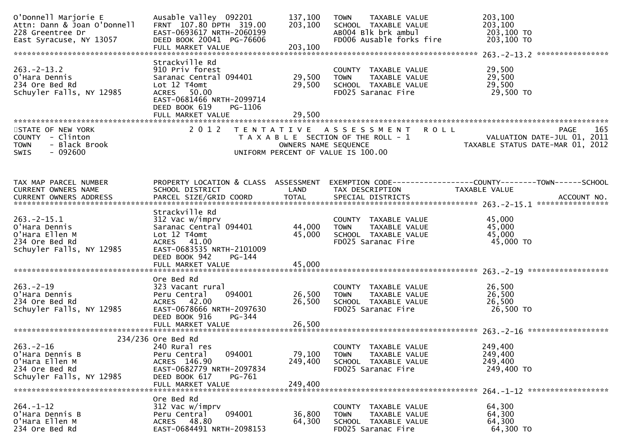| O'Donnell Marjorie E<br>Attn: Dann & Joan O'Donnell<br>228 Greentree Dr<br>East Syracuse, NY 13057 | Ausable Valley 092201<br>FRNT 107.80 DPTH 319.00<br>EAST-0693617 NRTH-2060199<br>DEED BOOK 20041 PG-76606<br>FULL MARKET VALUE                                          | 137,100<br>203,100<br>203,100 | TAXABLE VALUE<br><b>TOWN</b><br>SCHOOL TAXABLE VALUE<br>AB004 Blk brk ambul<br>FD006 Ausable forks fire | 203,100<br>203,100<br>203,100 TO<br>203,100 ТО                                               |
|----------------------------------------------------------------------------------------------------|-------------------------------------------------------------------------------------------------------------------------------------------------------------------------|-------------------------------|---------------------------------------------------------------------------------------------------------|----------------------------------------------------------------------------------------------|
| $263. -2 - 13.2$<br>O'Hara Dennis<br>234 Ore Bed Rd<br>Schuyler Falls, NY 12985                    | Strackville Rd<br>910 Priv forest<br>Saranac Central 094401<br>Lot 12 T4omt<br>50.00<br>ACRES                                                                           | 29,500<br>29,500              | COUNTY TAXABLE VALUE<br>TAXABLE VALUE<br><b>TOWN</b><br>SCHOOL TAXABLE VALUE<br>FD025 Saranac Fire      | 29,500<br>29,500<br>29,500<br>29,500 TO                                                      |
| STATE OF NEW YORK                                                                                  | EAST-0681466 NRTH-2099714<br>DEED BOOK 619<br>PG-1106<br>FULL MARKET VALUE<br>2 0 1 2                                                                                   | 29,500                        | TENTATIVE ASSESSMENT ROLL                                                                               | PAGE<br>165                                                                                  |
| COUNTY - Clinton<br>- Black Brook<br><b>TOWN</b><br>$-092600$<br><b>SWIS</b>                       |                                                                                                                                                                         | OWNERS NAME SEQUENCE          | T A X A B L E SECTION OF THE ROLL - 1<br>UNIFORM PERCENT OF VALUE IS 100.00                             | VALUATION DATE-JUL 01, 2011<br>TAXABLE STATUS DATE-MAR 01, 2012                              |
| TAX MAP PARCEL NUMBER<br><b>CURRENT OWNERS NAME</b><br><b>CURRENT OWNERS ADDRESS</b>               | PROPERTY LOCATION & CLASS ASSESSMENT<br>SCHOOL DISTRICT<br>PARCEL SIZE/GRID COORD                                                                                       | LAND<br><b>TOTAL</b>          | TAX DESCRIPTION<br>SPECIAL DISTRICTS                                                                    | EXEMPTION CODE-----------------COUNTY-------TOWN------SCHOOL<br>TAXABLE VALUE<br>ACCOUNT NO. |
| $263. -2 - 15.1$<br>O'Hara Dennis<br>O'Hara Ellen M<br>234 Ore Bed Rd<br>Schuyler Falls, NY 12985  | Strackville Rd<br>312 Vac w/imprv<br>Saranac Central 094401<br>Lot 12 T4omt<br>ACRES 41.00<br>EAST-0683535 NRTH-2101009<br>DEED BOOK 942<br>PG-144<br>FULL MARKET VALUE | 44,000<br>45,000<br>45,000    | COUNTY TAXABLE VALUE<br><b>TOWN</b><br>TAXABLE VALUE<br>SCHOOL TAXABLE VALUE<br>FD025 Saranac Fire      | 45,000<br>45,000<br>45,000<br>45,000 TO                                                      |
| $263 - 2 - 19$<br>O'Hara Dennis<br>234 Ore Bed Rd<br>Schuyler Falls, NY 12985                      | Ore Bed Rd<br>323 Vacant rural<br>094001<br>Peru Central<br>ACRES 42.00<br>EAST-0678666 NRTH-2097630<br>DEED BOOK 916<br>PG-344<br>FULL MARKET VALUE                    | 26,500<br>26,500<br>26,500    | COUNTY TAXABLE VALUE<br>TAXABLE VALUE<br><b>TOWN</b><br>SCHOOL TAXABLE VALUE<br>FD025 Saranac Fire      | 26,500<br>26,500<br>26,500<br>26,500 TO                                                      |
| $263. -2 - 16$<br>O'Hara Dennis B<br>O'Hara Ellen M<br>234 Ore Bed Rd<br>Schuyler Falls, NY 12985  | 234/236 Ore Bed Rd<br>240 Rural res<br>094001<br>Peru Central<br>ACRES 146.90<br>EAST-0682779 NRTH-2097834<br>DEED BOOK 617<br>PG-761<br>FULL MARKET VALUE              | 79,100<br>249,400<br>249,400  | COUNTY TAXABLE VALUE<br><b>TOWN</b><br>TAXABLE VALUE<br>SCHOOL TAXABLE VALUE<br>FD025 Saranac Fire      | 249,400<br>249,400<br>249,400<br>249,400 TO<br>264. -1-12 *******************                |
| $264. - 1 - 12$<br>O'Hara Dennis B<br>O'Hara Ellen M<br>234 Ore Bed Rd                             | Ore Bed Rd<br>312 Vac w/imprv<br>094001<br>Peru Central<br>ACRES 48.80<br>EAST-0684491 NRTH-2098153                                                                     | 36,800<br>64,300              | COUNTY TAXABLE VALUE<br>TAXABLE VALUE<br><b>TOWN</b><br>SCHOOL TAXABLE VALUE<br>FD025 Saranac Fire      | 64,300<br>64,300<br>64,300<br>64,300 TO                                                      |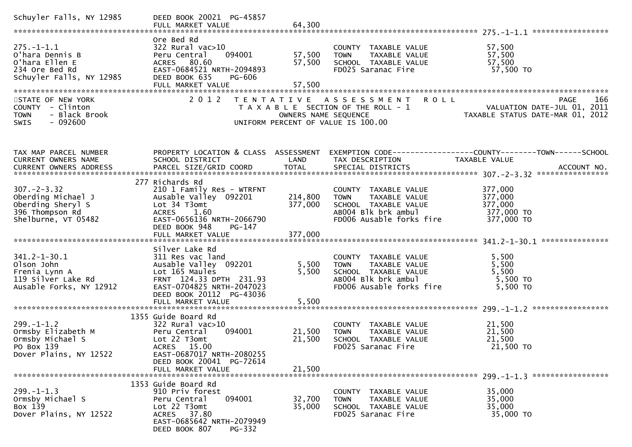| Schuyler Falls, NY 12985                                                                              | DEED BOOK 20021 PG-45857                                                                                                                                                               |                            |                                                                                                                                 |                                                                                       |
|-------------------------------------------------------------------------------------------------------|----------------------------------------------------------------------------------------------------------------------------------------------------------------------------------------|----------------------------|---------------------------------------------------------------------------------------------------------------------------------|---------------------------------------------------------------------------------------|
| $275. - 1 - 1.1$<br>O'hara Dennis B<br>O'hara Ellen E<br>234 Ore Bed Rd<br>Schuyler Falls, NY 12985   | Ore Bed Rd<br>$322$ Rural vac $>10$<br>Peru Central<br>094001<br>ACRES 80.60<br>EAST-0684521 NRTH-2094893<br>DEED BOOK 635<br><b>PG-606</b><br>FULL MARKET VALUE                       | 57,500<br>57,500<br>57,500 | COUNTY TAXABLE VALUE<br>TAXABLE VALUE<br><b>TOWN</b><br>SCHOOL TAXABLE VALUE<br>FD025 Saranac Fire                              | 57,500<br>57,500<br>57,500<br>57,500 TO                                               |
| STATE OF NEW YORK<br>COUNTY - Clinton<br>- Black Brook<br><b>TOWN</b><br>$-092600$<br><b>SWIS</b>     | 2 0 1 2                                                                                                                                                                                | OWNERS NAME SEQUENCE       | <b>ROLL</b><br>TENTATIVE ASSESSMENT<br>T A X A B L E SECTION OF THE ROLL - 1<br>UNIFORM PERCENT OF VALUE IS 100.00              | <b>PAGE</b><br>166<br>VALUATION DATE-JUL 01, 2011<br>TAXABLE STATUS DATE-MAR 01, 2012 |
| TAX MAP PARCEL NUMBER<br><b>CURRENT OWNERS NAME</b>                                                   | PROPERTY LOCATION & CLASS ASSESSMENT<br>SCHOOL DISTRICT                                                                                                                                | LAND                       | TAX DESCRIPTION                                                                                                                 | EXEMPTION CODE-----------------COUNTY-------TOWN------SCHOOL<br>TAXABLE VALUE         |
| $307 - 2 - 3.32$<br>Oberding Michael J<br>Oberding Sheryl S<br>396 Thompson Rd<br>Shelburne, VT 05482 | 277 Richards Rd<br>210 1 Family Res - WTRFNT<br>Ausable Valley 092201<br>Lot 34 T3omt<br><b>ACRES</b><br>1.60<br>EAST-0656136 NRTH-2066790<br>DEED BOOK 948<br>PG-147                  | 214,800<br>377,000         | COUNTY TAXABLE VALUE<br>TAXABLE VALUE<br><b>TOWN</b><br>SCHOOL TAXABLE VALUE<br>AB004 Blk brk ambul<br>FD006 Ausable forks fire | 377,000<br>377,000<br>377,000<br>377,000 TO<br>377,000 TO                             |
| $341.2 - 1 - 30.1$<br>Olson John<br>Frenia Lynn A<br>119 Silver Lake Rd<br>Ausable Forks, NY 12912    | Silver Lake Rd<br>311 Res vac land<br>Ausable Valley 092201<br>Lot 165 Maules<br>FRNT 124.33 DPTH 231.93<br>EAST-0704825 NRTH-2047023<br>DEED BOOK 20112 PG-43036<br>FULL MARKET VALUE | 5,500<br>5,500<br>5,500    | COUNTY TAXABLE VALUE<br>TAXABLE VALUE<br><b>TOWN</b><br>SCHOOL TAXABLE VALUE<br>ABOO4 Blk brk ambul<br>FD006 Ausable forks fire | 5,500<br>5,500<br>5,500<br>5,500 TO<br>5,500 TO                                       |
| $299. - 1 - 1.2$<br>Ormsby Elizabeth M<br>Ormsby Michael S<br>PO Box 139<br>Dover Plains, NY 12522    | 1355 Guide Board Rd<br>$322$ Rural vac $>10$<br>094001<br>Peru Central<br>Lot 22 T3omt<br>ACRES 15.00<br>EAST-0687017 NRTH-2080255<br>DEED BOOK 20041 PG-72614<br>FULL MARKET VALUE    | 21,500<br>21,500<br>21,500 | COUNTY TAXABLE VALUE<br><b>TOWN</b><br>TAXABLE VALUE<br>SCHOOL TAXABLE VALUE<br>FD025 Saranac Fire                              | 21,500<br>21,500<br>21,500<br>21,500 TO                                               |
| $299. -1 - 1.3$<br>Ormsby Michael S<br>Box 139<br>Dover Plains, NY 12522                              | 1353 Guide Board Rd<br>910 Priv forest<br>094001<br>Peru Central<br>Lot 22 T3omt<br>ACRES 37.80<br>EAST-0685642 NRTH-2079949<br>DEED BOOK 807<br>PG-332                                | 32,700<br>35,000           | COUNTY TAXABLE VALUE<br>TAXABLE VALUE<br><b>TOWN</b><br>SCHOOL TAXABLE VALUE<br>FD025 Saranac Fire                              | 35,000<br>35,000<br>35,000<br>35,000 TO                                               |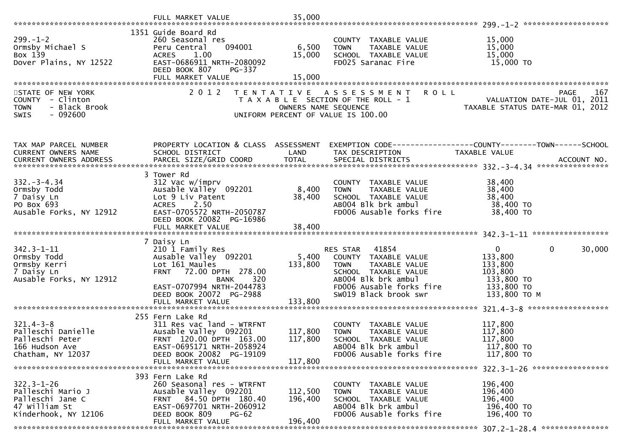|                                                                                                    | FULL MARKET VALUE                                                                                                                                                                                      | 35,000                        |                                                                                                                                                                            |                                                                                                                       |
|----------------------------------------------------------------------------------------------------|--------------------------------------------------------------------------------------------------------------------------------------------------------------------------------------------------------|-------------------------------|----------------------------------------------------------------------------------------------------------------------------------------------------------------------------|-----------------------------------------------------------------------------------------------------------------------|
| $299. - 1 - 2$<br>Ormsby Michael S<br>Box 139<br>Dover Plains, NY 12522<br>STATE OF NEW YORK       | 1351 Guide Board Rd<br>260 Seasonal res<br>094001<br>Peru Central<br>1.00<br>ACRES<br>EAST-0686911 NRTH-2080092<br>DEED BOOK 807<br><b>PG-337</b><br>FULL MARKET VALUE<br>2 0 1 2                      | 6,500<br>15,000<br>15,000     | COUNTY TAXABLE VALUE<br>TAXABLE VALUE<br><b>TOWN</b><br>SCHOOL TAXABLE VALUE<br>FD025 Saranac Fire<br>TENTATIVE ASSESSMENT<br><b>ROLL</b>                                  | 15,000<br>15,000<br>15,000<br>15,000 TO<br><b>PAGE</b><br>167                                                         |
| COUNTY - Clinton<br><b>TOWN</b><br>- Black Brook<br>$-092600$<br>SWIS                              |                                                                                                                                                                                                        | OWNERS NAME SEQUENCE          | T A X A B L E SECTION OF THE ROLL - 1<br>UNIFORM PERCENT OF VALUE IS 100.00                                                                                                | VALUATION DATE-JUL 01, 2011<br>TAXABLE STATUS DATE-MAR 01, 2012                                                       |
| TAX MAP PARCEL NUMBER<br>CURRENT OWNERS NAME                                                       | SCHOOL DISTRICT                                                                                                                                                                                        | LAND                          | PROPERTY LOCATION & CLASS ASSESSMENT EXEMPTION CODE---------------COUNTY-------TOWN------SCHOOL<br>TAX DESCRIPTION                                                         | TAXABLE VALUE                                                                                                         |
| $332 - 3 - 4.34$<br>Ormsby Todd<br>7 Daisy Ln<br>PO Box 693<br>Ausable Forks, NY 12912             | 3 Tower Rd<br>312 Vac w/imprv<br>Ausable Valley 092201<br>Lot 9 Liv Patent<br>ACRES 2.50<br>EAST-0705572 NRTH-2050787<br>DEED BOOK 20082 PG-16986<br>FULL MARKET VALUE                                 | 8,400<br>38,400<br>38,400     | COUNTY TAXABLE VALUE<br><b>TOWN</b><br>TAXABLE VALUE<br>SCHOOL TAXABLE VALUE<br>AB004 Blk brk ambul<br>FD006 Ausable forks fire                                            | 38,400<br>38,400<br>38,400<br>38,400 TO<br>38,400 TO                                                                  |
| $342.3 - 1 - 11$<br>Ormsby Todd<br>Ormsby Kerri<br>7 Daisy Ln<br>Ausable Forks, NY 12912           | 7 Daisy Ln<br>210 1 Family Res<br>Ausable Valley 092201<br>Lot 161 Maules<br>FRNT 72.00 DPTH 278.00<br><b>BANK</b><br>320<br>EAST-0707994 NRTH-2044783<br>DEED BOOK 20072 PG-2988<br>FULL MARKET VALUE | 5,400<br>133,800<br>133,800   | RES STAR 41854<br>COUNTY TAXABLE VALUE<br>TAXABLE VALUE<br><b>TOWN</b><br>SCHOOL TAXABLE VALUE<br>AB004 Blk brk ambul<br>FD006 Ausable forks fire<br>SW019 Black brook swr | $\overline{0}$<br>30,000<br>$\mathbf{0}$<br>133,800<br>133,800<br>103,800<br>133,800 TO<br>133,800 TO<br>133,800 ТО М |
| $321.4 - 3 - 8$<br>Palleschi Danielle<br>Palleschi Peter<br>166 Hudson Ave<br>Chatham, NY 12037    | 255 Fern Lake Rd<br>311 Res vac land - WTRFNT<br>Ausable Valley 092201<br>FRNT 120.00 DPTH 163.00<br>EAST-0695171 NRTH-2058924<br>DEED BOOK 20082 PG-19109<br>FULL MARKET VALUE                        | 117,800<br>117,800<br>117,800 | COUNTY TAXABLE VALUE<br>TAXABLE VALUE<br><b>TOWN</b><br>SCHOOL TAXABLE VALUE<br>AB004 Blk brk ambul<br>FD006 Ausable forks fire                                            | 117,800<br>117,800<br>117,800<br>117,800 TO<br>117,800 TO<br>322.3-1-26 *******************                           |
| $322.3 - 1 - 26$<br>Palleschi Mario J<br>Palleschi Jane C<br>47 William St<br>Kinderhook, NY 12106 | 393 Fern Lake Rd<br>260 Seasonal res - WTRFNT<br>Ausable Valley 092201<br>FRNT 84.50 DPTH 180.40<br>EAST-0697701 NRTH-2060912<br>DEED BOOK 809<br><b>PG-62</b><br>FULL MARKET VALUE                    | 112,500<br>196,400<br>196,400 | COUNTY TAXABLE VALUE<br><b>TOWN</b><br>TAXABLE VALUE<br>SCHOOL TAXABLE VALUE<br>AB004 Blk brk ambul<br>FD006 Ausable forks fire                                            | 196,400<br>196,400<br>196,400<br>196,400 TO<br>196,400 TO                                                             |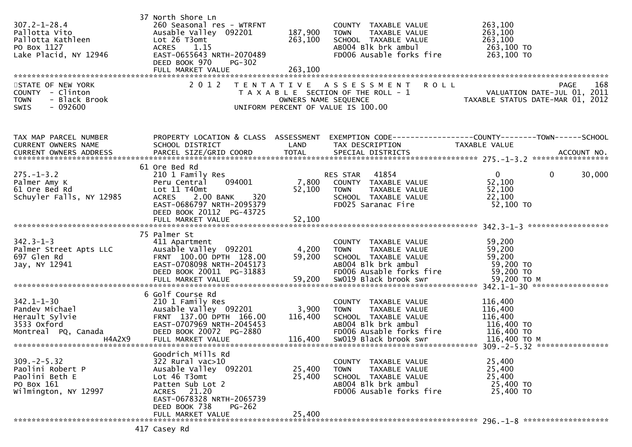| $307.2 - 1 - 28.4$<br>Pallotta Vito<br>Pallotta Kathleen<br>PO Box 1127<br>Lake Placid, NY 12946<br>STATE OF NEW YORK<br>COUNTY - Clinton<br>- Black Brook<br><b>TOWN</b><br>SWIS<br>- 092600 | 37 North Shore Ln<br>260 Seasonal res - WTRFNT<br>Ausable Valley 092201<br>Lot 26 T3omt<br><b>ACRES</b><br>1.15<br>EAST-0655643 NRTH-2070489<br>DEED BOOK 970<br><b>PG-302</b>                   | 187,900<br>263,100<br>OWNERS NAME SEQUENCE | COUNTY TAXABLE VALUE<br><b>TOWN</b><br>TAXABLE VALUE<br>SCHOOL TAXABLE VALUE<br>ABOO4 Blk brk ambul<br>FD006 Ausable forks fire<br>2012 TENTATIVE ASSESSMENT ROLL<br>T A X A B L E SECTION OF THE ROLL - 1<br>UNIFORM PERCENT OF VALUE IS 100.00 | 263,100<br>263,100<br>263,100<br>263,100 TO<br>263,100 TO<br>PAGE 168<br>ROLL - 1 VALUATION DATE-JUL 01, 2011<br>TAXABLE STATUS DATE-MAR 01 |
|-----------------------------------------------------------------------------------------------------------------------------------------------------------------------------------------------|--------------------------------------------------------------------------------------------------------------------------------------------------------------------------------------------------|--------------------------------------------|--------------------------------------------------------------------------------------------------------------------------------------------------------------------------------------------------------------------------------------------------|---------------------------------------------------------------------------------------------------------------------------------------------|
| TAX MAP PARCEL NUMBER<br>CURRENT OWNERS NAME                                                                                                                                                  | SCHOOL DISTRICT                                                                                                                                                                                  | LAND                                       | TAX DESCRIPTION                                                                                                                                                                                                                                  | PROPERTY LOCATION & CLASS ASSESSMENT EXEMPTION CODE---------------COUNTY-------TOWN------SCHOOL<br>TAXABLE VALUE                            |
| $275. - 1 - 3.2$<br>Palmer Amy K<br>61 Ore Bed Rd<br>Schuyler Falls, NY 12985                                                                                                                 | 61 Ore Bed Rd<br>210 1 Family Res<br>094001<br>Peru Central<br>Lot 11 T40mt<br>ACRES 2.00 BANK<br>EAST-0686797 NRTH-2095379<br>DEED BOOK 20112 PG-43725                                          |                                            | RES STAR 41854<br>4001<br>7,800 COUNTY TAXABLE VALUE<br>52,100 TOWN TAXABLE VALUE<br>SCHOOL TAXABLE VALUE<br>TOWN TAXABLE VALUE<br>SCHOOL TAXABLE VALUE<br>FDO25 Saranac Fire                                                                    | $\mathbf{0}$<br>30,000<br>$\mathbf{0}$<br>52,100<br>52,100<br>22,100<br>52,100 TO                                                           |
| $342.3 - 1 - 3$<br>Palmer Street Apts LLC<br>697 Glen Rd<br>Jay, NY 12941                                                                                                                     | 75 Palmer St<br>411 Apartment<br>Ausable Valley 092201<br>FRNT 100.00 DPTH 128.00<br>EAST-0708098 NRTH-2045173<br>DEED BOOK 20011 PG-31883                                                       | 4,200<br>59,200                            | COUNTY TAXABLE VALUE<br><b>TOWN</b><br>TAXABLE VALUE<br>SCHOOL TAXABLE VALUE<br>AB004 Blk brk ambul<br>FD006 Ausable forks fire                                                                                                                  | 59,200<br>59,200<br>59,200<br>59,200 TO<br>59,200 TO                                                                                        |
| $342.1 - 1 - 30$<br>Pandev Michael<br>Herault Sylvie<br>3533 Oxford<br>Montreal PQ, Canada<br>H4A2X9                                                                                          | 6 Golf Course Rd<br>210 1 Family Res<br>Ausable Valley 092201<br>FRNT 137.00 DPTH 166.00<br>EAST-0707969 NRTH-2045453<br>DEED BOOK 20072 PG-2880<br>FULL MARKET VALUE                            | 3,900<br>116,400<br>116,400                | COUNTY TAXABLE VALUE<br>TAXABLE VALUE<br><b>TOWN</b><br>SCHOOL TAXABLE VALUE<br>AB004 Blk brk ambul<br>FD006 Ausable forks fire 116,400 TO<br>SWO19 Black brook swr                                                                              | 116,400<br>116,400<br>116,400<br>116,400 TO<br>116,400 ТО М                                                                                 |
| $309. -2 - 5.32$<br>Paolini Robert P<br>Paolini Beth E<br>PO Box 161<br>Wilmington, NY 12997                                                                                                  | Goodrich Mills Rd<br>322 Rural vac>10<br>Ausable Valley 092201<br>Lot 46 T3omt<br>Patten Sub Lot 2<br>ACRES 21.20<br>EAST-0678328 NRTH-2065739<br>DEED BOOK 738<br>$PG-262$<br>FULL MARKET VALUE | 25,400<br>25,400<br>25,400                 | COUNTY TAXABLE VALUE<br>TAXABLE VALUE<br><b>TOWN</b><br>SCHOOL TAXABLE VALUE<br>AB004 Blk brk ambul<br>FD006 Ausable forks fire                                                                                                                  | 25,400<br>25,400<br>25,400<br>25,400 TO<br>25,400 TO                                                                                        |
|                                                                                                                                                                                               | $117$ $C_2$ cou Dd                                                                                                                                                                               |                                            |                                                                                                                                                                                                                                                  | 296. -1-8 *********************                                                                                                             |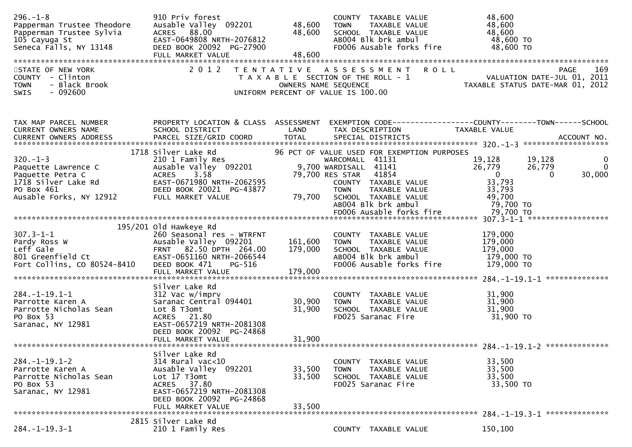| $296. - 1 - 8$<br>Papperman Trustee Theodore<br>essue and the series of the series of the series of the series of the series of the series of the series of th<br>series and the series of the series of the series of the series of the series of the series of the series of<br> | 910 Priv forest<br>Ausable Valley 092201<br>ACRES 88.00<br>EAST-0649808 NRTH-2076812<br>DEED BOOK 20092 PG-27900<br>FULL MARKET VALUE                                      | 48,600<br>48,600<br>48,600 | COUNTY TAXABLE VALUE<br>TAXABLE VALUE<br><b>TOWN</b><br>SCHOOL TAXABLE VALUE<br>AB004 Blk brk ambul<br>FD006 Ausable forks fire                                                                                                                     | 48,600<br>48,600<br>48,600<br>48,600 TO<br>48,600 TO                                                                                                         |
|------------------------------------------------------------------------------------------------------------------------------------------------------------------------------------------------------------------------------------------------------------------------------------|----------------------------------------------------------------------------------------------------------------------------------------------------------------------------|----------------------------|-----------------------------------------------------------------------------------------------------------------------------------------------------------------------------------------------------------------------------------------------------|--------------------------------------------------------------------------------------------------------------------------------------------------------------|
| STATE OF NEW YORK<br>COUNTY - Clinton<br>- Black Brook<br><b>TOWN</b><br>$-092600$<br><b>SWIS</b>                                                                                                                                                                                  |                                                                                                                                                                            |                            | 2012 TENTATIVE ASSESSMENT ROLL<br>T A X A B L E SECTION OF THE ROLL - 1<br>OWNERS NAME SEQUENCE<br>UNIFORM PERCENT OF VALUE IS 100.00                                                                                                               | PAGE 169<br>VALUATION DATE-JUL 01, 2011                                                                                                                      |
| TAX MAP PARCEL NUMBER<br>CURRENT OWNERS NAME                                                                                                                                                                                                                                       | PROPERTY LOCATION & CLASS ASSESSMENT<br>SCHOOL DISTRICT                                                                                                                    | LAND                       | TAX DESCRIPTION                                                                                                                                                                                                                                     | EXEMPTION CODE------------------COUNTY--------TOWN------SCHOOL<br>TAXABLE VALUE                                                                              |
| $320. -1 - 3$<br>Paquette Lawrence C<br>Paquette Petra C<br>1718 Silver Lake Rd<br>PO Box 461<br>Ausable Forks, NY 12912                                                                                                                                                           | 1718 Silver Lake Rd<br>210 1 Family Res<br>Ausable Valley 092201<br>3.58<br><b>ACRES</b><br>EAST-0671980 NRTH-2062595<br>DEED BOOK 20021 PG-43877<br>FULL MARKET VALUE     | 79,700                     | 96 PCT OF VALUE USED FOR EXEMPTION PURPOSES<br>WARCOMALL 41131<br>9,700 WARDISALL 41141<br>79,700 RES STAR 41854<br>COUNTY TAXABLE VALUE<br><b>TOWN</b><br>TAXABLE VALUE<br>SCHOOL TAXABLE VALUE<br>AB004 Blk brk ambul<br>FD006 Ausable forks fire | 19,128<br>19,128<br>$\bf{0}$<br>$\Omega$<br>26,779<br>26,779<br>$\overline{0}$<br>30,000<br>$\Omega$<br>33,793<br>33,793<br>49,700<br>79,700 TO<br>79,700 TO |
| $307.3 - 1 - 1$<br>Pardy Ross W<br>Leff Gale<br>801 Greenfield Ct<br>Fort Collins, CO 80524-8410                                                                                                                                                                                   | 195/201 old Hawkeye Rd<br>260 Seasonal res - WTRFNT<br>Ausable Valley 092201<br>FRNT 82.50 DPTH 264.00<br>EAST-0651160 NRTH-2066544<br>DEED BOOK 471<br>PG-516             | 161,600<br>179,000         | COUNTY TAXABLE VALUE<br>TAXABLE VALUE<br><b>TOWN</b><br>SCHOOL TAXABLE VALUE<br>ABOO4 Blk brk ambul<br>FD006 Ausable forks fire                                                                                                                     | 179,000<br>179,000<br>179,000<br>179,000 TO<br>179,000 TO                                                                                                    |
| $284. -1 - 19.1 - 1$<br>Parrotte Karen A<br>Parrotte Nicholas Sean<br>PO Box 53<br>Saranac, NY 12981                                                                                                                                                                               | Silver Lake Rd<br>312 Vac w/imprv<br>Saranac Central 094401<br>Lot 8 T3omt<br>ACRES 21.80<br>EAST-0657219 NRTH-2081308<br>DEED BOOK 20092 PG-24868<br>FULL MARKET VALUE    | 30,900<br>31,900<br>31,900 | COUNTY TAXABLE VALUE<br>TAXABLE VALUE<br><b>TOWN</b><br>SCHOOL TAXABLE VALUE<br>FD025 Saranac Fire                                                                                                                                                  | 31,900<br>31,900<br>31,900<br>31,900 TO                                                                                                                      |
| $284. -1 - 19.1 - 2$<br>Parrotte Karen A<br>Parrotte Nicholas Sean<br>PO Box 53<br>Saranac, NY 12981                                                                                                                                                                               | Silver Lake Rd<br>$314$ Rural vac<10<br>Ausable Valley 092201<br>Lot 17 T3omt<br>ACRES 37.80<br>EAST-0657219 NRTH-2081308<br>DEED BOOK 20092 PG-24868<br>FULL MARKET VALUE | 33,500<br>33,500<br>33,500 | COUNTY TAXABLE VALUE<br>TAXABLE VALUE<br><b>TOWN</b><br>SCHOOL TAXABLE VALUE<br>FD025 Saranac Fire                                                                                                                                                  | 33,500<br>33,500<br>33,500<br>33,500 TO                                                                                                                      |
| $284. -1 - 19.3 - 1$                                                                                                                                                                                                                                                               | 2815 Silver Lake Rd<br>210 1 Family Res                                                                                                                                    |                            | COUNTY TAXABLE VALUE                                                                                                                                                                                                                                | 150,100                                                                                                                                                      |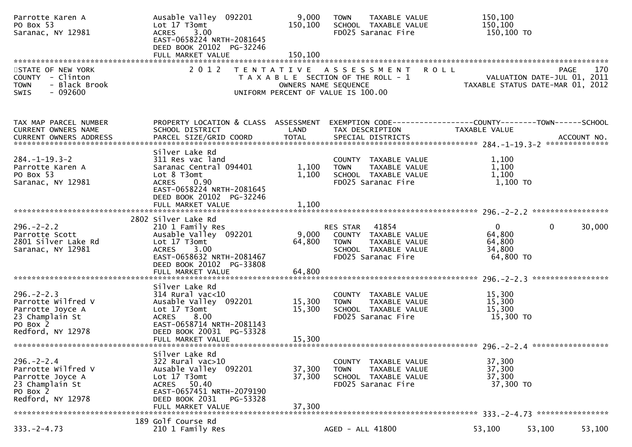| Parrotte Karen A<br>PO Box 53<br>Saranac, NY 12981                                                             | Ausable Valley 092201<br>Lot 17 T3omt<br>3.00<br><b>ACRES</b><br>EAST-0658224 NRTH-2081645<br>DEED BOOK 20102 PG-32246<br>FULL MARKET VALUE                                         | 9,000<br>150,100<br>150,100 | <b>TAXABLE VALUE</b><br><b>TOWN</b><br>SCHOOL TAXABLE VALUE<br>FD025 Saranac Fire                                       | 150,100<br>150,100<br>150,100 TO                                              |        |
|----------------------------------------------------------------------------------------------------------------|-------------------------------------------------------------------------------------------------------------------------------------------------------------------------------------|-----------------------------|-------------------------------------------------------------------------------------------------------------------------|-------------------------------------------------------------------------------|--------|
| STATE OF NEW YORK<br>COUNTY - Clinton<br>- Black Brook<br><b>TOWN</b><br>$-092600$<br>SWIS                     | 2 0 1 2                                                                                                                                                                             | OWNERS NAME SEQUENCE        | TENTATIVE ASSESSMENT<br><b>ROLL</b><br>T A X A B L E SECTION OF THE ROLL - 1<br>UNIFORM PERCENT OF VALUE IS 100.00      | PAGE<br>VALUATION DATE-JUL 01, 2011<br>TAXABLE STATUS DATE-MAR 01, 2012       | 170    |
| TAX MAP PARCEL NUMBER<br>CURRENT OWNERS NAME                                                                   | PROPERTY LOCATION & CLASS ASSESSMENT<br>SCHOOL DISTRICT                                                                                                                             | LAND                        | TAX DESCRIPTION                                                                                                         | EXEMPTION CODE-----------------COUNTY-------TOWN------SCHOOL<br>TAXABLE VALUE |        |
| $284. -1 - 19.3 - 2$<br>Parrotte Karen A<br>PO Box 53<br>Saranac, NY 12981                                     | Silver Lake Rd<br>311 Res vac land<br>Saranac Central 094401<br>Lot 8 T3omt<br>0.90<br><b>ACRES</b><br>EAST-0658224 NRTH-2081645<br>DEED BOOK 20102 PG-32246<br>FULL MARKET VALUE   | 1,100<br>1,100<br>1,100     | COUNTY TAXABLE VALUE<br>TAXABLE VALUE<br><b>TOWN</b><br>SCHOOL TAXABLE VALUE<br>FD025 Saranac Fire                      | 1,100<br>1,100<br>1,100<br>1,100 TO                                           |        |
|                                                                                                                | 2802 Silver Lake Rd                                                                                                                                                                 |                             |                                                                                                                         |                                                                               |        |
| $296. - 2 - 2.2$<br>Parrotte Scott<br>2801 Silver Lake Rd<br>Saranac, NY 12981                                 | 210 1 Family Res<br>Ausable Valley 092201<br>Lot 17 T3omt<br>ACRES 3.00<br>EAST-0658632 NRTH-2081467<br>DEED BOOK 20102 PG-33808                                                    | 9,000<br>64,800             | 41854<br>RES STAR<br>COUNTY TAXABLE VALUE<br><b>TOWN</b><br>TAXABLE VALUE<br>SCHOOL TAXABLE VALUE<br>FD025 Saranac Fire | $\mathbf{0}$<br>$\overline{0}$<br>64,800<br>64,800<br>34,800<br>64,800 TO     | 30,000 |
|                                                                                                                | FULL MARKET VALUE                                                                                                                                                                   | 64,800                      |                                                                                                                         |                                                                               |        |
| $296. - 2 - 2.3$<br>Parrotte Wilfred V<br>Parrotte Joyce A<br>23 Champlain St<br>PO Box 2<br>Redford, NY 12978 | Silver Lake Rd<br>$314$ Rural vac<10<br>Ausable Valley 092201<br>Lot 17 T3omt<br>8.00<br><b>ACRES</b><br>EAST-0658714 NRTH-2081143<br>DEED BOOK 20031 PG-53328<br>FULL MARKET VALUE | 15,300<br>15,300<br>15,300  | COUNTY TAXABLE VALUE<br><b>TOWN</b><br>TAXABLE VALUE<br>SCHOOL TAXABLE VALUE<br>FD025 Saranac Fire                      | 15,300<br>15,300<br>15,300<br>15,300 TO                                       |        |
|                                                                                                                |                                                                                                                                                                                     |                             |                                                                                                                         |                                                                               |        |
| $296. - 2 - 2.4$<br>Parrotte Wilfred V<br>Parrotte Joyce A<br>23 Champlain St<br>PO Box 2<br>Redford, NY 12978 | Silver Lake Rd<br>322 Rural vac>10<br>Ausable Valley 092201<br>Lot 17 T3omt<br>ACRES 50.40<br>EAST-0657451 NRTH-2079190<br>DEED BOOK 2031<br>PG-53328<br>FULL MARKET VALUE          | 37,300<br>37,300<br>37,300  | COUNTY TAXABLE VALUE<br>TAXABLE VALUE<br><b>TOWN</b><br>SCHOOL TAXABLE VALUE<br>FD025 Saranac Fire                      | 37,300<br>37,300<br>37,300<br>37,300 TO                                       |        |
| $333. -2 - 4.73$                                                                                               | 189 Golf Course Rd<br>210 1 Family Res                                                                                                                                              |                             | AGED - ALL 41800                                                                                                        | 53,100<br>53,100                                                              | 53,100 |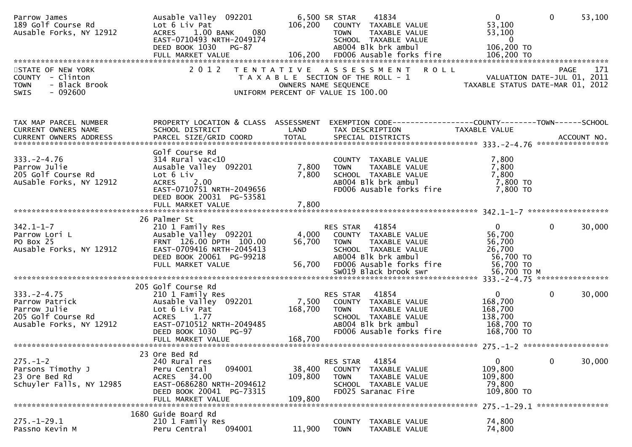| Parrow James<br>189 Golf Course Rd<br>Ausable Forks, NY 12912                                       | Ausable Valley 092201<br>Lot 6 Liv Pat<br>1.00 BANK<br>080<br><b>ACRES</b><br>EAST-0710493 NRTH-2049174<br>DEED BOOK 1030 PG-87                                                                                                                                                           | 106,200                      | 41834<br>6,500 SR STAR<br>COUNTY TAXABLE VALUE<br><b>TOWN</b><br>TAXABLE VALUE<br>SCHOOL TAXABLE VALUE<br>AB004 Blk brk ambul                        | $\mathbf{0}$<br>53,100<br>53,100<br>$\overline{0}$<br>106,200 TO          | $\Omega$<br>53,100                                     |
|-----------------------------------------------------------------------------------------------------|-------------------------------------------------------------------------------------------------------------------------------------------------------------------------------------------------------------------------------------------------------------------------------------------|------------------------------|------------------------------------------------------------------------------------------------------------------------------------------------------|---------------------------------------------------------------------------|--------------------------------------------------------|
| STATE OF NEW YORK<br>COUNTY - Clinton<br>- Black Brook<br><b>TOWN</b><br>$-092600$<br>SWIS          | 2 0 1 2                                                                                                                                                                                                                                                                                   | OWNERS NAME SEQUENCE         | TENTATIVE ASSESSMENT<br><b>ROLL</b><br>T A X A B L E SECTION OF THE ROLL - 1<br>UNIFORM PERCENT OF VALUE IS 100.00                                   | 1/1<br>VALUATION DATE-JUL 01, 2011                                        | 171<br><b>PAGE</b><br>TAXABLE STATUS DATE-MAR 01, 2012 |
| TAX MAP PARCEL NUMBER<br>CURRENT OWNERS NAME                                                        | PROPERTY LOCATION & CLASS ASSESSMENT<br>SCHOOL DISTRICT<br>.4CCOUNT NO . PARCEL SIZE/GRID COORD TOTAL SPECIAL DISTRICTS . ACCOUNT NO . ACCOUNT NO . ACCOUNT NO . بالمكتبة المستوى المستوى المستوى المستوى المستوى المستوى المستوى المستوى المستوى المستوى المستوى المستوى المستوى المستوى | LAND                         | EXEMPTION CODE------------------COUNTY--------TOWN------SCHOOL<br>TAX DESCRIPTION                                                                    | TAXABLE VALUE                                                             |                                                        |
| $333. -2 - 4.76$<br>Parrow Julie<br>205 Golf Course Rd<br>AuSable Forks, NY 12912                   | Golf Course Rd<br>$314$ Rural vac<10<br>Ausable Valley 092201<br>Lot 6 Liv<br>2.00<br><b>ACRES</b><br>EAST-0710751 NRTH-2049656<br>DEED BOOK 20031 PG-53581<br>FULL MARKET VALUE                                                                                                          | 7,800<br>7,800<br>7,800      | COUNTY TAXABLE VALUE<br>TAXABLE VALUE<br><b>TOWN</b><br>SCHOOL TAXABLE VALUE<br>AB004 Blk brk ambul<br>FD006 Ausable forks fire                      | 7,800<br>7,800<br>7,800<br>7,800 TO<br>7,800 TO                           |                                                        |
|                                                                                                     |                                                                                                                                                                                                                                                                                           |                              |                                                                                                                                                      |                                                                           |                                                        |
| $342.1 - 1 - 7$<br>Parrow Lori L<br>PO Box 25<br>Ausable Forks, NY 12912                            | 26 Palmer St<br>210 1 Family Res<br>Ausable Valley 092201<br>FRNT 126.00 DPTH 100.00<br>EAST-0709416 NRTH-2045413<br>DEED BOOK 20061 PG-99218<br>FULL MARKET VALUE                                                                                                                        | 4,000<br>56,700<br>56,700    | 41854<br>RES STAR<br>COUNTY TAXABLE VALUE<br>TAXABLE VALUE<br><b>TOWN</b><br>SCHOOL TAXABLE VALUE<br>AB004 Blk brk ambul<br>FD006 Ausable forks fire | $\mathbf{0}$<br>56,700<br>56,700<br>26,700<br>56,700 TO<br>56,700 TO      | $\mathbf{0}$<br>30,000                                 |
|                                                                                                     |                                                                                                                                                                                                                                                                                           |                              |                                                                                                                                                      |                                                                           |                                                        |
| $333. -2 - 4.75$<br>Parrow Patrick<br>Parrow Julie<br>205 Golf Course Rd<br>Ausable Forks, NY 12912 | 205 Golf Course Rd<br>210 1 Family Res<br>Ausable Valley 092201<br>Lot 6 Liv Pat<br><b>ACRES</b><br>1.77<br>EAST-0710512 NRTH-2049485<br>DEED BOOK 1030<br>PG-97                                                                                                                          | 7,500<br>168,700<br>168,700  | 41854<br>RES STAR<br>COUNTY TAXABLE VALUE<br>TAXABLE VALUE<br><b>TOWN</b><br>SCHOOL TAXABLE VALUE<br>AB004 Blk brk ambul<br>FD006 Ausable forks fire | $\mathbf{0}$<br>168,700<br>168,700<br>138,700<br>168,700 TO<br>168,700 TO | $\mathbf{0}$<br>30,000                                 |
|                                                                                                     | FULL MARKET VALUE                                                                                                                                                                                                                                                                         |                              |                                                                                                                                                      |                                                                           |                                                        |
| $275. - 1 - 2$<br>Parsons Timothy J<br>23 Ore Bed Rd<br>Schuyler Falls, NY 12985                    | 23 Ore Bed Rd<br>240 Rural res<br>094001<br>Peru Central<br>ACRES 34.00<br>EAST-0686280 NRTH-2094612<br>DEED BOOK 20041 PG-73315<br>FULL MARKET VALUE                                                                                                                                     | 38,400<br>109,800<br>109,800 | 41854<br>RES STAR<br>COUNTY<br>TAXABLE VALUE<br><b>TOWN</b><br>TAXABLE VALUE<br>SCHOOL TAXABLE VALUE<br>FD025 Saranac Fire                           | 0<br>109,800<br>109,800<br>79,800<br>109,800 TO                           | $\mathbf 0$<br>30,000                                  |
|                                                                                                     | 1680 Guide Board Rd                                                                                                                                                                                                                                                                       |                              |                                                                                                                                                      |                                                                           | 275. -1-29.1 *****************                         |
| $275. - 1 - 29.1$<br>Passno Kevin M                                                                 | 210 1 Family Res<br>094001<br>Peru Central                                                                                                                                                                                                                                                | 11,900                       | <b>COUNTY</b><br>TAXABLE VALUE<br><b>TOWN</b><br>TAXABLE VALUE                                                                                       | 74,800<br>74,800                                                          |                                                        |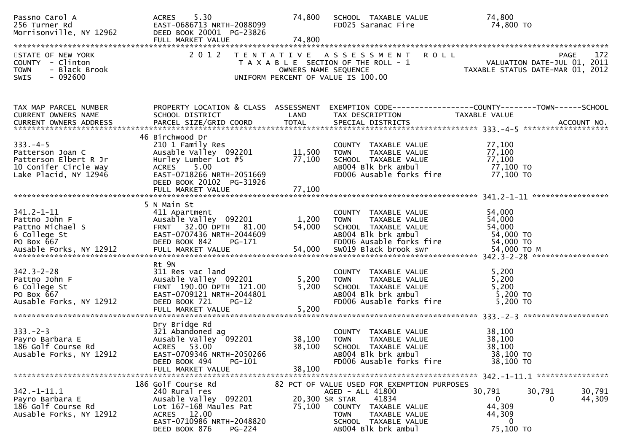| Passno Carol A<br>256 Turner Rd<br>Morrisonville, NY 12962                                                   | ACRES 5.30<br>EAST-0686713 NRTH-2088099<br>DEED BOOK 20001 PG-23826<br>FULL MARKET VALUE                                                                        | 74,800<br>74,800           | SCHOOL TAXABLE VALUE<br>FD025 Saranac Fire                                                                                                                                         | 74,800<br>74,800 TO                                                                                                                       |
|--------------------------------------------------------------------------------------------------------------|-----------------------------------------------------------------------------------------------------------------------------------------------------------------|----------------------------|------------------------------------------------------------------------------------------------------------------------------------------------------------------------------------|-------------------------------------------------------------------------------------------------------------------------------------------|
| STATE OF NEW YORK<br>COUNTY - Clinton<br><b>TOWN</b><br>- Black Brook<br>- 092600<br>SWIS                    | 2 0 1 2                                                                                                                                                         |                            | <b>ROLL</b><br>TENTATIVE ASSESSMENT<br>UNIFORM PERCENT OF VALUE IS 100.00                                                                                                          | 172<br>PAGE<br>T A X A B L E SECTION OF THE ROLL - 1 VALUATION DATE-JUL 01, 2011<br>OWNERS NAME SEQUENCE TAXABLE STATUS DATE-MAR 01, 2012 |
| TAX MAP PARCEL NUMBER<br>CURRENT OWNERS NAME                                                                 | SCHOOL DISTRICT                                                                                                                                                 | LAND                       | TAX DESCRIPTION                                                                                                                                                                    | PROPERTY LOCATION & CLASS ASSESSMENT EXEMPTION CODE----------------COUNTY-------TOWN------SCHOOL<br>TAXABLE VALUE                         |
| $333. -4 - 5$<br>Patterson Joan C<br>Patterson Elbert R Jr<br>10 Conifer Circle Way<br>Lake Placid, NY 12946 | 46 Birchwood Dr<br>210 1 Family Res<br>Ausable Valley 092201<br>Hurley Lumber Lot #5<br>ACRES 5.00<br>EAST-0718266 NRTH-2051669<br>DEED BOOK 20102 PG-31926     | 11,500<br>77,100           | COUNTY TAXABLE VALUE<br><b>TOWN</b><br>TAXABLE VALUE<br>SCHOOL TAXABLE VALUE<br>AB004 Blk brk ambul<br>FD006 Ausable forks fire                                                    | 77,100<br>77,100<br>77,100<br>77,100 TO<br>77,100 TO                                                                                      |
| $341.2 - 1 - 11$<br>Pattno John F<br>Pattno Michael S<br>6 College St<br>PO Box 667                          | 5 N Main St<br>411 Apartment<br>ALL Apple University<br>Ausable Valley 092201<br>FRNT 32.00 DPTH 81.00<br>EAST-0707436 NRTH-2044609<br>DEED BOOK 842            | 1,200<br>54,000            | COUNTY TAXABLE VALUE<br><b>TOWN</b><br>TAXABLE VALUE<br>SCHOOL TAXABLE VALUE<br>AB004 Blk brk ambul<br>FD006 Ausable forks fire                                                    | 54,000<br>54,000<br>54,000<br>54,000 TO<br>54,000 TO                                                                                      |
| $342.3 - 2 - 28$<br>Pattno John F<br>6 College St<br>PO Box 667<br>Ausable Forks, NY 12912                   | Rt 9N<br>311 Res vac land<br>Ausable Valley 092201<br>FRNT 190.00 DPTH 121.00<br>EAST-0709121 NRTH-2044801<br>DEED BOOK 721<br>$PG-12$<br>FULL MARKET VALUE     | 5,200<br>5,200<br>5,200    | COUNTY TAXABLE VALUE<br>TAXABLE VALUE<br><b>TOWN</b><br>SCHOOL TAXABLE VALUE<br>AB004 Blk brk ambul<br>FD006 Ausable forks fire                                                    | 5,200<br>5,200<br>5,200<br>5,200 TO<br>5,200 TO                                                                                           |
| $333. - 2 - 3$<br>Payro Barbara E<br>186 Golf Course Rd<br>Ausable Forks, NY 12912                           | Dry Bridge Rd<br>321 Abandoned ag<br>Ausable Valley 092201<br>ACRES 53.00<br>EAST-0709346 NRTH-2050266<br>DEED BOOK 494<br>PG-101<br>FULL MARKET VALUE          | 38,100<br>38,100<br>38,100 | COUNTY TAXABLE VALUE<br>TAXABLE VALUE<br><b>TOWN</b><br>SCHOOL TAXABLE VALUE<br>AB004 Blk brk ambul<br>FD006 Ausable forks fire                                                    | 38,100<br>38,100<br>38,100<br>38,100 TO<br>38,100 TO                                                                                      |
| $342. - 1 - 11.1$<br>Payro Barbara E<br>186 Golf Course Rd<br>Ausable Forks, NY 12912                        | 186 Golf Course Rd<br>240 Rural res<br>Ausable Valley 092201<br>Lot 167-168 Maules Pat<br>ACRES 12.00<br>EAST-0710986 NRTH-2048820<br>DEED BOOK 876<br>$PG-224$ | 20,300 SR STAR<br>75,100   | 82 PCT OF VALUE USED FOR EXEMPTION PURPOSES<br>AGED - ALL 41800<br>41834<br>COUNTY<br>TAXABLE VALUE<br><b>TOWN</b><br>TAXABLE VALUE<br>SCHOOL TAXABLE VALUE<br>AB004 Blk brk ambul | 30,791<br>30,791<br>30,791<br>$\mathbf{0}$<br>44,309<br>0<br>44,309<br>44,309<br>$\Omega$<br>75,100 TO                                    |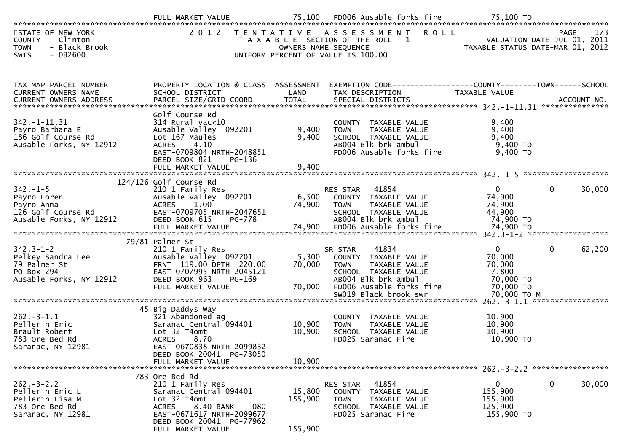|                                                                                               | FULL MARKET VALUE                                                                                                                                                                              | 75,100                       | FD006 Ausable forks fire                                                                                                                            | 75,100 TO                                                             |                                                   |
|-----------------------------------------------------------------------------------------------|------------------------------------------------------------------------------------------------------------------------------------------------------------------------------------------------|------------------------------|-----------------------------------------------------------------------------------------------------------------------------------------------------|-----------------------------------------------------------------------|---------------------------------------------------|
| STATE OF NEW YORK<br>COUNTY - Clinton<br>- Black Brook<br><b>TOWN</b><br>SWIS<br>- 092600     | 2 0 1 2                                                                                                                                                                                        |                              | TENTATIVE ASSESSMENT<br><b>ROLL</b><br>T A X A B L E SECTION OF THE ROLL - 1<br>OWNERS NAME SEQUENCE<br>UNIFORM PERCENT OF VALUE IS 100.00          | TAXABLE STATUS DATE-MAR 01, 2012                                      | 173<br><b>PAGE</b><br>VALUATION DATE-JUL 01, 2011 |
| TAX MAP PARCEL NUMBER<br>CURRENT OWNERS NAME                                                  | PROPERTY LOCATION & CLASS ASSESSMENT<br>SCHOOL DISTRICT                                                                                                                                        | LAND                         | TAX DESCRIPTION                                                                                                                                     | TAXABLE VALUE                                                         |                                                   |
| $342. - 1 - 11.31$<br>Payro Barbara E<br>186 Golf Course Rd<br>Ausable Forks, NY 12912        | Golf Course Rd<br>314 Rural vac<10<br>Ausable Valley 092201<br>Lot 167 Maules<br><b>ACRES</b><br>4.10<br>EAST-0709804 NRTH-2048851<br>DEED BOOK 821<br>PG-136                                  | 9,400<br>9,400               | COUNTY TAXABLE VALUE<br><b>TOWN</b><br>TAXABLE VALUE<br>SCHOOL TAXABLE VALUE<br>AB004 Blk brk ambul<br>FD006 Ausable forks fire                     | 9,400<br>9,400<br>9,400<br>9,400 TO<br>9,400 TO                       |                                                   |
| $342. - 1 - 5$<br>Payro Loren<br>Payro Anna<br>126 Golf Course Rd<br>Ausable Forks, NY 12912  | 124/126 Golf Course Rd<br>210 1 Family Res<br>Ausable Valley 092201<br>ACRES 1.00<br>EAST-0709705 NRTH-2047651<br>DEED BOOK 615<br>PG-778                                                      | 6,500<br>74,900              | 41854<br>RES STAR<br>COUNTY TAXABLE VALUE<br>TAXABLE VALUE<br><b>TOWN</b><br>SCHOOL TAXABLE VALUE<br>AB004 Blk brk ambul                            | $\overline{0}$<br>74,900<br>74,900<br>44,900<br>74,900 TO             | $\mathbf 0$<br>30,000                             |
| $342.3 - 1 - 2$<br>Pelkey Sandra Lee<br>79 Palmer St<br>PO Box 294<br>Ausable Forks, NY 12912 | 79/81 Palmer St<br>210 1 Family Res<br>Ausable Valley 092201<br>FRNT 119.00 DPTH 220.00<br>EAST-0707995 NRTH-2045121<br>DEED BOOK 963<br>PG-169<br>FULL MARKET VALUE                           | 5,300<br>70,000<br>70,000    | 41834<br>SR STAR<br>COUNTY TAXABLE VALUE<br>TAXABLE VALUE<br><b>TOWN</b><br>SCHOOL TAXABLE VALUE<br>AB004 Blk brk ambul<br>FD006 Ausable forks fire | $\overline{0}$<br>70,000<br>70,000<br>7,800<br>70,000 TO<br>70,000 TO | $\mathbf 0$<br>62,200                             |
| $262 - 3 - 1.1$<br>Pellerin Eric<br>Brault Robert<br>783 Ore Bed Rd<br>Saranac, NY 12981      | 45 Big Daddys Way<br>321 Abandoned ag<br>Saranac Central 094401<br>Lot 32 T4omt<br><b>ACRES</b><br>8.70<br>EAST-0670838 NRTH-2099832<br>DEED BOOK 20041 PG-73050<br>FULL MARKET VALUE          | 10,900<br>10,900<br>10,900   | SW019 Black brook swr<br>COUNTY TAXABLE VALUE<br>TAXABLE VALUE<br><b>TOWN</b><br>SCHOOL TAXABLE VALUE<br>FD025 Saranac Fire                         | 70,000 ТО М<br>10,900<br>10,900<br>10,900<br>10,900 TO                |                                                   |
| $262 - 3 - 2.2$<br>Pellerin Eric L<br>Pellerin Lisa M<br>783 Ore Bed Rd<br>Saranac, NY 12981  | 783 Ore Bed Rd<br>210 1 Family Res<br>Saranac Central 094401<br>Lot 32 T4omt<br>8.40 BANK<br>080<br><b>ACRES</b><br>EAST-0671617 NRTH-2099677<br>DEED BOOK 20041 PG-77962<br>FULL MARKET VALUE | 15,800<br>155,900<br>155,900 | RES STAR<br>41854<br>COUNTY TAXABLE VALUE<br><b>TOWN</b><br>TAXABLE VALUE<br>SCHOOL TAXABLE VALUE<br>FD025 Saranac Fire                             | $\mathbf{0}$<br>155,900<br>155,900<br>125,900<br>155,900 TO           | 0<br>30,000                                       |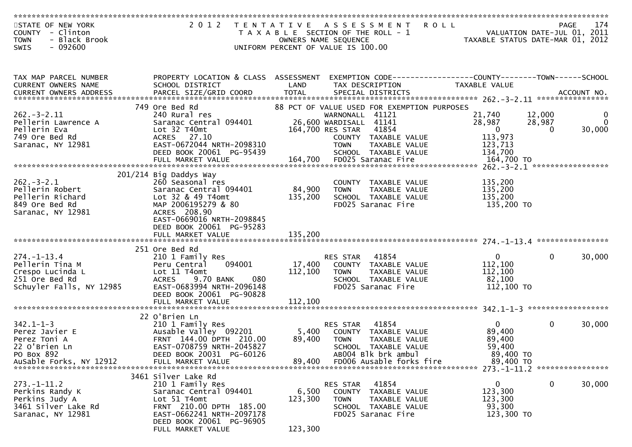| STATE OF NEW YORK<br>COUNTY - Clinton<br><b>TOWN</b><br>- Black Brook | 2 0 1 2                                                                                                             |                  | TENTATIVE ASSESSMENT<br>T A X A B L E SECTION OF THE ROLL - 1<br>OWNERS NAME SEQUENCE | <b>ROLL</b><br>TAXABLE STATUS DATE-MAR 01, 2012 | PAGE<br>VALUATION DATE-JUL 01, 2011 | 174      |
|-----------------------------------------------------------------------|---------------------------------------------------------------------------------------------------------------------|------------------|---------------------------------------------------------------------------------------|-------------------------------------------------|-------------------------------------|----------|
| $-092600$<br><b>SWIS</b>                                              |                                                                                                                     |                  | UNIFORM PERCENT OF VALUE IS 100.00                                                    |                                                 |                                     |          |
|                                                                       |                                                                                                                     |                  |                                                                                       |                                                 |                                     |          |
| TAX MAP PARCEL NUMBER<br>CURRENT OWNERS NAME                          | PROPERTY LOCATION & CLASS ASSESSMENT EXEMPTION CODE----------------COUNTY-------TOWN------SCHOOL<br>SCHOOL DISTRICT | LAND             | TAX DESCRIPTION                                                                       | TAXABLE VALUE                                   |                                     |          |
|                                                                       |                                                                                                                     |                  |                                                                                       |                                                 |                                     |          |
|                                                                       | 749 Ore Bed Rd                                                                                                      |                  | 88 PCT OF VALUE USED FOR EXEMPTION PURPOSES                                           |                                                 |                                     |          |
| $262 - 3 - 2.11$                                                      | 240 Rural res                                                                                                       |                  | WARNONALL 41121                                                                       | 21,740                                          | 12,000                              | 0        |
| Pellerin Lawrence A                                                   | Saranac Central 094401                                                                                              |                  | 26,600 WARDISALL 41141                                                                | 28,987                                          | 28,987                              | $\Omega$ |
| Pellerin Eva                                                          | Lot 32 T40mt<br>ACRES 27.10                                                                                         |                  | 164,700 RES STAR<br>41854                                                             | $\overline{\mathbf{0}}$                         | $\Omega$                            | 30,000   |
| 749 Ore Bed Rd<br>Saranac, NY 12981                                   | EAST-0672044 NRTH-2098310                                                                                           |                  | COUNTY TAXABLE VALUE<br><b>TOWN</b><br>TAXABLE VALUE                                  | 113,973<br>123,713                              |                                     |          |
|                                                                       | DEED BOOK 20061 PG-95439                                                                                            |                  | SCHOOL TAXABLE VALUE                                                                  | 134,700                                         |                                     |          |
|                                                                       | FULL MARKET VALUE                                                                                                   |                  | 164,700 FD025 Saranac Fire                                                            | 164,700 TO                                      |                                     |          |
|                                                                       |                                                                                                                     |                  |                                                                                       |                                                 |                                     |          |
|                                                                       | 201/214 Big Daddys Way                                                                                              |                  |                                                                                       |                                                 |                                     |          |
| $262 - 3 - 2.1$<br>Pellerin Robert                                    | 260 Seasonal res<br>Saranac Central 094401                                                                          | 84,900           | COUNTY TAXABLE VALUE                                                                  | 135,200<br>135,200                              |                                     |          |
| Pellerin Richard                                                      | Lot 32 & 49 T4omt                                                                                                   | 135,200          | <b>TOWN</b><br>TAXABLE VALUE<br>SCHOOL TAXABLE VALUE                                  | 135,200                                         |                                     |          |
| 849 Ore Bed Rd                                                        | MAP 2006195279 & 80                                                                                                 |                  | FD025 Saranac Fire                                                                    | 135,200 TO                                      |                                     |          |
| Saranac, NY 12981                                                     | ACRES 208.90                                                                                                        |                  |                                                                                       |                                                 |                                     |          |
|                                                                       | EAST-0669016 NRTH-2098845                                                                                           |                  |                                                                                       |                                                 |                                     |          |
|                                                                       | DEED BOOK 20061 PG-95283                                                                                            |                  |                                                                                       |                                                 |                                     |          |
|                                                                       |                                                                                                                     |                  |                                                                                       |                                                 |                                     |          |
|                                                                       | 251 Ore Bed Rd                                                                                                      |                  |                                                                                       |                                                 |                                     |          |
| $274. - 1 - 13.4$                                                     | 210 1 Family Res                                                                                                    |                  | 41854<br><b>RES STAR</b>                                                              | $\Omega$                                        | $\mathbf{0}$                        | 30,000   |
| Pellerin Tina M                                                       | 094001<br>Peru Central                                                                                              | 17,400           | COUNTY TAXABLE VALUE                                                                  | 112,100                                         |                                     |          |
| Crespo Lucinda L                                                      | Lot 11 T4omt                                                                                                        | 112,100          | <b>TOWN</b><br>TAXABLE VALUE                                                          | 112,100                                         |                                     |          |
| 251 Ore Bed Rd                                                        | 080<br><b>ACRES</b><br>9.70 BANK                                                                                    |                  | SCHOOL TAXABLE VALUE                                                                  | 82,100                                          |                                     |          |
| Schuyler Falls, NY 12985                                              | EAST-0683994 NRTH-2096148<br>DEED BOOK 20061 PG-90828                                                               |                  | FD025 Saranac Fire                                                                    | 112,100 TO                                      |                                     |          |
|                                                                       | FULL MARKET VALUE                                                                                                   | 112,100          |                                                                                       |                                                 |                                     |          |
|                                                                       |                                                                                                                     |                  |                                                                                       |                                                 |                                     |          |
|                                                                       | 22 O'Brien Ln                                                                                                       |                  |                                                                                       |                                                 |                                     |          |
| $342.1 - 1 - 3$                                                       | 210 1 Family Res                                                                                                    |                  | 41854<br>RES STAR                                                                     | $\overline{0}$                                  | $\mathbf{0}$                        | 30,000   |
| Perez Javier E                                                        | Ausable Valley 092201                                                                                               | 5,400            | COUNTY TAXABLE VALUE                                                                  | 89,400                                          |                                     |          |
| Perez Toni A<br>22 O'Brien Ln                                         | FRNT 144.00 DPTH 210.00<br>EAST-0708759 NRTH-2045827                                                                | 89,400           | <b>TOWN</b><br>TAXABLE VALUE<br>SCHOOL TAXABLE VALUE                                  | 89,400<br>59,400                                |                                     |          |
| PO Box 892                                                            | DEED BOOK 20031 PG-60126                                                                                            |                  | AB004 Blk brk ambul                                                                   | 89,400 TO                                       |                                     |          |
| AuSable Forks, NY 12912                                               | FULL MARKET VALUE                                                                                                   | 89,400           | FD006 Ausable forks fire                                                              | 89,400 TO                                       |                                     |          |
|                                                                       |                                                                                                                     |                  |                                                                                       |                                                 |                                     |          |
|                                                                       | 3461 Silver Lake Rd                                                                                                 |                  |                                                                                       |                                                 |                                     |          |
| $273. - 1 - 11.2$                                                     | 210 1 Family Res                                                                                                    |                  | 41854<br>RES STAR                                                                     | 0                                               | 0                                   | 30,000   |
| Perkins Randy K<br>Perkins Judy A                                     | Saranac Central 094401<br>Lot 51 T4omt                                                                              | 6,500<br>123,300 | TAXABLE VALUE<br><b>COUNTY</b><br><b>TOWN</b><br>TAXABLE VALUE                        | 123,300<br>123,300                              |                                     |          |
| 3461 Silver Lake Rd                                                   | FRNT 210.00 DPTH 185.00                                                                                             |                  | SCHOOL TAXABLE VALUE                                                                  | 93,300                                          |                                     |          |
| Saranac, NY 12981                                                     | EAST-0662241 NRTH-2097178                                                                                           |                  | FD025 Saranac Fire                                                                    | 123,300 TO                                      |                                     |          |
|                                                                       | DEED BOOK 20061 PG-96905                                                                                            |                  |                                                                                       |                                                 |                                     |          |
|                                                                       | FULL MARKET VALUE                                                                                                   | 123,300          |                                                                                       |                                                 |                                     |          |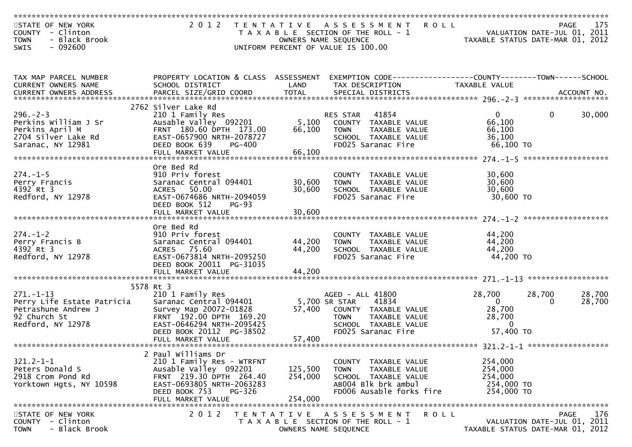| STATE OF NEW YORK<br>- Clinton<br><b>COUNTY</b><br><b>TOWN</b><br>- Black Brook<br>$-092600$<br><b>SWIS</b> | 2 0 1 2                                                                                                                                                                                 | T E N T A T I V E<br>OWNERS NAME SEQUENCE | <b>ROLL</b><br>A S S E S S M E N T<br>T A X A B L E SECTION OF THE ROLL - 1<br>UNIFORM PERCENT OF VALUE IS 100.00                                | VALUATION DATE-JUL 01, 2011<br>TAXABLE STATUS DATE-MAR 01, 2012                               | PAGE<br>175      |
|-------------------------------------------------------------------------------------------------------------|-----------------------------------------------------------------------------------------------------------------------------------------------------------------------------------------|-------------------------------------------|--------------------------------------------------------------------------------------------------------------------------------------------------|-----------------------------------------------------------------------------------------------|------------------|
| TAX MAP PARCEL NUMBER<br>CURRENT OWNERS NAME                                                                | PROPERTY LOCATION & CLASS ASSESSMENT<br>SCHOOL DISTRICT                                                                                                                                 | LAND                                      | EXEMPTION CODE------------------COUNTY--------TOWN------SCHOOL<br>TAX DESCRIPTION                                                                | TAXABLE VALUE                                                                                 |                  |
| $296. - 2 - 3$<br>Perkins William J Sr<br>Perkins April M<br>2704 Silver Lake Rd<br>Saranac, NY 12981       | 2762 Silver Lake Rd<br>210 1 Family Res<br>Ausable Valley 092201<br>FRNT 180.60 DPTH 173.00<br>EAST-0657900 NRTH-2078727<br>DEED BOOK 639<br>PG-400<br>FULL MARKET VALUE                | 5,100<br>66,100<br>66,100                 | RES STAR<br>41854<br>COUNTY TAXABLE VALUE<br><b>TOWN</b><br>TAXABLE VALUE<br>SCHOOL TAXABLE VALUE<br>FD025 Saranac Fire                          | $\mathbf{0}$<br>0<br>66,100<br>66,100<br>36,100<br>66,100 TO                                  | 30,000           |
| $274. - 1 - 5$<br>Perry Francis<br>4392 Rt 3<br>Redford, NY 12978                                           | Ore Bed Rd<br>910 Priv forest<br>Saranac Central 094401<br>50.00<br><b>ACRES</b><br>EAST-0674686 NRTH-2094059<br>DEED BOOK 512<br>$PG-93$<br>FULL MARKET VALUE                          | 30,600<br>30,600<br>30,600                | COUNTY TAXABLE VALUE<br>TAXABLE VALUE<br><b>TOWN</b><br>SCHOOL TAXABLE VALUE<br>FD025 Saranac Fire                                               | 30,600<br>30,600<br>30,600<br>30,600 TO                                                       |                  |
| $274. - 1 - 2$<br>Perry Francis B<br>4392 Rt 3<br>Redford, NY 12978                                         | Ore Bed Rd<br>910 Priv forest<br>Saranac Central 094401<br>75.60<br><b>ACRES</b><br>EAST-0673814 NRTH-2095250<br>DEED BOOK 20011 PG-31035                                               | 44,200<br>44,200                          | COUNTY TAXABLE VALUE<br><b>TOWN</b><br>TAXABLE VALUE<br>SCHOOL TAXABLE VALUE<br>FD025 Saranac Fire                                               | 44,200<br>44,200<br>44,200<br>44,200 TO                                                       |                  |
|                                                                                                             | 5578 Rt 3                                                                                                                                                                               |                                           |                                                                                                                                                  |                                                                                               |                  |
| $271. - 1 - 13$<br>Perry Life Estate Patricia<br>Petrashune Andrew J<br>92 Church St<br>Redford, NY 12978   | 210 1 Family Res<br>Saranac Central 094401<br>Survey Map 20072-01828<br>FRNT 192.00 DPTH 169.20<br>EAST-0646294 NRTH-2095425<br>DEED BOOK 20112 PG-38502<br>FULL MARKET VALUE           | 57,400<br>57,400                          | AGED - ALL 41800<br>5,700 SR STAR<br>41834<br>COUNTY TAXABLE VALUE<br><b>TOWN</b><br>TAXABLE VALUE<br>SCHOOL TAXABLE VALUE<br>FD025 Saranac Fire | 28,700<br>28,700<br>$\mathbf{0}$<br>$\Omega$<br>28,700<br>28,700<br>$\mathbf{0}$<br>57,400 TO | 28,700<br>28,700 |
|                                                                                                             |                                                                                                                                                                                         |                                           |                                                                                                                                                  |                                                                                               |                  |
| $321.2 - 1 - 1$<br>Peters Donald S<br>2918 Crom Pond Rd<br>Yorktown Hgts, NY 10598                          | 2 Paul Williams Dr<br>210 1 Family Res - WTRFNT<br>Ausable Valley 092201<br>FRNT 219.30 DPTH 264.40<br>EAST-0693805 NRTH-2063283<br>DEED BOOK 753<br><b>PG-326</b><br>FULL MARKET VALUE | 125,500<br>254,000<br>254,000             | COUNTY TAXABLE VALUE<br>TAXABLE VALUE<br>TOWN<br>SCHOOL TAXABLE VALUE<br>ABOO4 Blk brk ambul<br>FD006 Ausable forks fire                         | 254,000<br>254,000<br>254,000<br>254,000 TO<br>254,000 TO                                     |                  |
|                                                                                                             |                                                                                                                                                                                         |                                           |                                                                                                                                                  |                                                                                               |                  |
| STATE OF NEW YORK<br>COUNTY - Clinton<br>- Black Brook<br><b>TOWN</b>                                       | 2 0 1 2                                                                                                                                                                                 | T E N T A T I V E<br>OWNERS NAME SEQUENCE | A S S E S S M E N T<br>R O L L<br>T A X A B L E SECTION OF THE ROLL - 1                                                                          | VALUATION DATE-JUL 01, 2011<br>TAXABLE STATUS DATE-MAR 01, 2012                               | 176<br>PAGE      |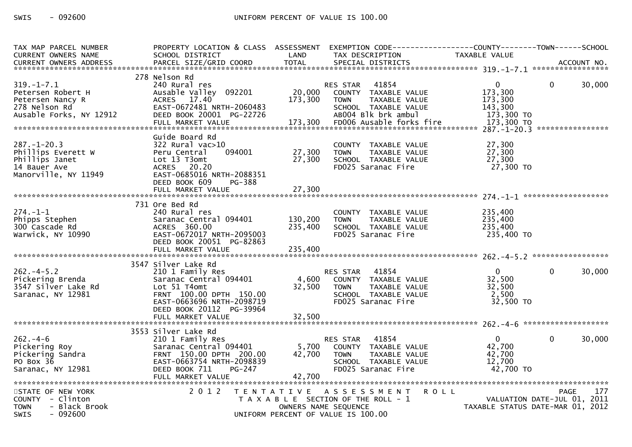SWIS  $-092600$ 

| TAX MAP PARCEL NUMBER<br>CURRENT OWNERS NAME                                                          | PROPERTY LOCATION & CLASS ASSESSMENT<br>SCHOOL DISTRICT                                                                                                                       | LAND                       | EXEMPTION CODE-----------------COUNTY-------TOWN-----SCHOOL<br>TAX DESCRIPTION                                          | TAXABLE VALUE                                                                  |          |             |
|-------------------------------------------------------------------------------------------------------|-------------------------------------------------------------------------------------------------------------------------------------------------------------------------------|----------------------------|-------------------------------------------------------------------------------------------------------------------------|--------------------------------------------------------------------------------|----------|-------------|
| CURRENT OWNERS ADDRESS                                                                                | PARCEL SIZE/GRID COORD                                                                                                                                                        | <b>TOTAL</b>               | SPECIAL DISTRICTS                                                                                                       |                                                                                |          | ACCOUNT NO. |
|                                                                                                       |                                                                                                                                                                               |                            |                                                                                                                         |                                                                                |          |             |
| $319. - 1 - 7.1$<br>Petersen Robert H<br>Petersen Nancy R<br>278 Nelson Rd<br>Ausable Forks, NY 12912 | 278 Nelson Rd<br>240 Rural res<br>Ausable Valley 092201<br>ACRES 17.40<br>EAST-0672481 NRTH-2060483<br>DEED BOOK 20001 PG-22726                                               | 20,000<br>173,300          | RES STAR 41854<br>COUNTY TAXABLE VALUE<br><b>TOWN</b><br>TAXABLE VALUE<br>SCHOOL TAXABLE VALUE<br>AB004 Blk brk ambul   | $\mathbf{0}$<br>173,300<br>173,300<br>143,300<br>173,300 TO                    | $\Omega$ | 30,000      |
| $287. - 1 - 20.3$<br>Phillips Everett W<br>Phillips Janet<br>14 Bauer Ave<br>Manorville, NY 11949     | Guide Board Rd<br>$322$ Rural vac $>10$<br>Peru Central<br>094001<br>Lot 13 T3omt<br>ACRES 20.20<br>EAST-0685016 NRTH-2088351<br>DEED BOOK 609<br>PG-388<br>FULL MARKET VALUE | 27,300<br>27,300<br>27,300 | COUNTY TAXABLE VALUE<br>TAXABLE VALUE<br><b>TOWN</b><br>SCHOOL TAXABLE VALUE<br>FD025 Saranac Fire                      | 27,300<br>27,300<br>27,300<br>27,300 TO                                        |          |             |
|                                                                                                       |                                                                                                                                                                               |                            |                                                                                                                         |                                                                                |          |             |
| $274. - 1 - 1$<br>Phipps Stephen<br>300 Cascade Rd<br>Warwick, NY 10990                               | 731 Ore Bed Rd<br>240 Rural res<br>Saranac Central 094401<br>ACRES 360.00<br>EAST-0672017 NRTH-2095003<br>DEED BOOK 20051 PG-82863                                            | 130,200<br>235,400         | COUNTY TAXABLE VALUE<br><b>TOWN</b><br>TAXABLE VALUE<br>SCHOOL TAXABLE VALUE<br>FD025 Saranac Fire                      | 235,400<br>235,400<br>235,400<br>235,400 TO                                    |          |             |
|                                                                                                       |                                                                                                                                                                               |                            |                                                                                                                         |                                                                                |          |             |
| $262 - 4 - 5.2$<br>Pickering Brenda<br>3547 Silver Lake Rd<br>Saranac, NY 12981                       | 3547 Silver Lake Rd<br>210 1 Family Res<br>Saranac Central 094401<br>Lot 51 T4omt<br>FRNT 100.00 DPTH 150.00<br>EAST-0663696 NRTH-2098719<br>DEED BOOK 20112 PG-39964         | 4,600<br>32,500            | 41854<br>RES STAR<br>COUNTY TAXABLE VALUE<br>TAXABLE VALUE<br><b>TOWN</b><br>SCHOOL TAXABLE VALUE<br>FD025 Saranac Fire | $\overline{0}$<br>32,500<br>32,500<br>2,500<br>32,500 TO                       | $\Omega$ | 30,000      |
|                                                                                                       | FULL MARKET VALUE                                                                                                                                                             | 32,500                     |                                                                                                                         |                                                                                |          |             |
| $262 - 4 - 6$<br>Pickering Roy<br>Pickering Sandra<br>PO Box 36<br>Saranac, NY 12981                  | 3553 Silver Lake Rd<br>210 1 Family Res<br>Saranac Central 094401<br>FRNT 150.00 DPTH 200.00<br>EAST-0663754 NRTH-2098839<br>DEED BOOK 711<br>$PG-247$<br>FULL MARKET VALUE   | 5,700<br>42,700<br>42,700  | RES STAR 41854<br>COUNTY TAXABLE VALUE<br>TOWN<br>TAXABLE VALUE<br>SCHOOL TAXABLE VALUE<br>FD025 Saranac Fire           | $\Omega$<br>42,700<br>42,700<br>12,700<br>42,700 TO                            | $\Omega$ | 30,000      |
| STATE OF NEW YORK<br>COUNTY - Clinton<br>- Black Brook<br><b>TOWN</b><br>$-092600$<br><b>SWIS</b>     | 2 0 1 2                                                                                                                                                                       | OWNERS NAME SEQUENCE       | TENTATIVE ASSESSMENT<br>T A X A B L E SECTION OF THE ROLL - 1<br>UNIFORM PERCENT OF VALUE IS 100.00                     | <b>ROLL</b><br>VALUATION DATE-JUL 01, 2011<br>TAXABLE STATUS DATE-MAR 01, 2012 | PAGE     | 177         |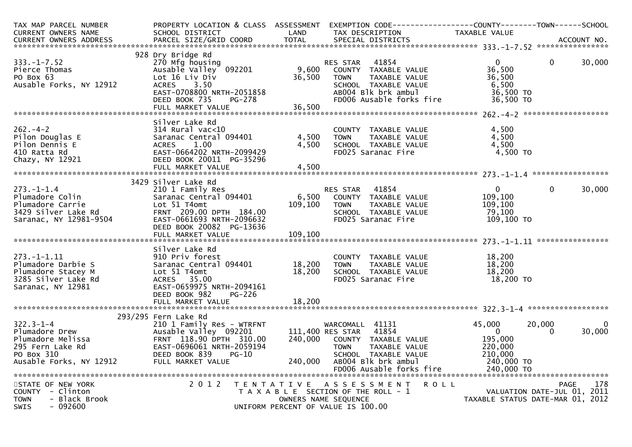| TAX MAP PARCEL NUMBER<br><b>CURRENT OWNERS NAME</b>                                                                 | PROPERTY LOCATION & CLASS ASSESSMENT<br>SCHOOL DISTRICT                                                                                                                              | LAND                      | EXEMPTION CODE-----------------COUNTY-------TOWN------SCHOOL<br>TAX DESCRIPTION                                                                          | TAXABLE VALUE                                                           |                    |             |
|---------------------------------------------------------------------------------------------------------------------|--------------------------------------------------------------------------------------------------------------------------------------------------------------------------------------|---------------------------|----------------------------------------------------------------------------------------------------------------------------------------------------------|-------------------------------------------------------------------------|--------------------|-------------|
|                                                                                                                     |                                                                                                                                                                                      |                           |                                                                                                                                                          |                                                                         |                    |             |
| $333. - 1 - 7.52$<br>Pierce Thomas<br>PO Box 63<br>Ausable Forks, NY 12912                                          | 928 Dry Bridge Rd<br>270 Mfg housing<br>Ausable Valley 092201<br>Lot 16 Liv Div<br><b>ACRES</b><br>3.50<br>EAST-0708800 NRTH-2051858<br>PG-278<br>DEED BOOK 735<br>FULL MARKET VALUE | 9,600<br>36,500<br>36,500 | RES STAR<br>41854<br>COUNTY TAXABLE VALUE<br><b>TOWN</b><br>TAXABLE VALUE<br>SCHOOL TAXABLE VALUE<br>ABOO4 Blk brk ambul<br>FD006 Ausable forks fire     | 0<br>36,500<br>36,500<br>6,500<br>36,500 TO<br>36,500 TO                | $\Omega$           | 30,000      |
|                                                                                                                     | Silver Lake Rd                                                                                                                                                                       |                           |                                                                                                                                                          |                                                                         |                    |             |
| $262 - 4 - 2$<br>Pilon Douglas E<br>Pilon Dennis E<br>410 Ratta Rd<br>Chazy, NY 12921                               | $314$ Rural vac< $10$<br>Saranac Central 094401<br>1.00<br><b>ACRES</b><br>EAST-0664202 NRTH-2099429<br>DEED BOOK 20011 PG-35296                                                     | 4,500<br>4,500            | COUNTY TAXABLE VALUE<br>TAXABLE VALUE<br><b>TOWN</b><br>SCHOOL TAXABLE VALUE<br>FD025 Saranac Fire                                                       | 4,500<br>4,500<br>4,500<br>4,500 TO                                     |                    |             |
|                                                                                                                     | 3429 Silver Lake Rd                                                                                                                                                                  |                           |                                                                                                                                                          |                                                                         |                    |             |
| $273 - 1 - 1.4$<br>Plumadore Colin<br>Plumadore Carrie<br>3429 Silver Lake Rd<br>Saranac, NY 12981-9504             | 210 1 Family Res<br>Saranac Central 094401<br>Lot 51 T4omt<br>FRNT 209.00 DPTH 184.00<br>EAST-0661693 NRTH-2096632<br>DEED BOOK 20082 PG-13636                                       | 6,500<br>109, 100         | 41854<br>RES STAR<br>COUNTY TAXABLE VALUE<br>TAXABLE VALUE<br><b>TOWN</b><br>SCHOOL TAXABLE VALUE<br>FD025 Saranac Fire                                  | $\mathbf{0}$<br>109,100<br>109,100<br>79,100<br>109,100 TO              | $\Omega$           | 30,000      |
|                                                                                                                     | Silver Lake Rd                                                                                                                                                                       |                           |                                                                                                                                                          |                                                                         |                    |             |
| $273. - 1 - 1.11$<br>Plumadore Darbie S<br>Plumadore Stacey M<br>3285 Silver Lake Rd<br>Saranac, NY 12981           | 910 Priv forest<br>Saranac Central 094401<br>Lot 51 T4omt<br>ACRES 35.00<br>EAST-0659975 NRTH-2094161<br>DEED BOOK 982<br><b>PG-226</b>                                              | 18,200<br>18,200          | COUNTY TAXABLE VALUE<br>TAXABLE VALUE<br><b>TOWN</b><br>SCHOOL TAXABLE VALUE<br>FD025 Saranac Fire                                                       | 18,200<br>18,200<br>18,200<br>18,200 TO                                 |                    |             |
|                                                                                                                     | FULL MARKET VALUE                                                                                                                                                                    | 18,200                    |                                                                                                                                                          |                                                                         |                    |             |
| $322.3 - 1 - 4$<br>Plumadore Drew<br>Plumadore Melissa<br>295 Fern Lake Rd<br>PO Box 310<br>Ausable Forks, NY 12912 | 293/295 Fern Lake Rd<br>210 1 Family Res - WTRFNT<br>Ausable Valley 092201<br>FRNT 118.90 DPTH 310.00<br>EAST-0696061 NRTH-2059194<br>DEED BOOK 839<br>PG-10<br>FULL MARKET VALUE    | 240,000                   | WARCOMALL 41131<br>111,400 RES STAR 41854<br>240,000 COUNTY TAXABLE VALUE<br><b>TOWN</b><br>TAXABLE VALUE<br>SCHOOL TAXABLE VALUE<br>ABOO4 Blk brk ambul | 45,000<br>$\overline{0}$<br>195,000<br>220,000<br>210,000<br>240,000 TO | 20,000<br>$\Omega$ | 0<br>30,000 |
| STATE OF NEW YORK                                                                                                   | 2 0 1 2                                                                                                                                                                              |                           | TENTATIVE ASSESSMENT                                                                                                                                     | R O L L                                                                 | PAGE               | 178         |
| COUNTY - Clinton<br>- Black Brook<br><b>TOWN</b><br><b>SWIS</b><br>$-092600$                                        |                                                                                                                                                                                      |                           | T A X A B L E SECTION OF THE ROLL - 1<br>OWNERS NAME SEQUENCE<br>UNIFORM PERCENT OF VALUE IS 100.00                                                      | VALUATION DATE-JUL 01, 2011<br>TAXABLE STATUS DATE-MAR 01, 2012         |                    |             |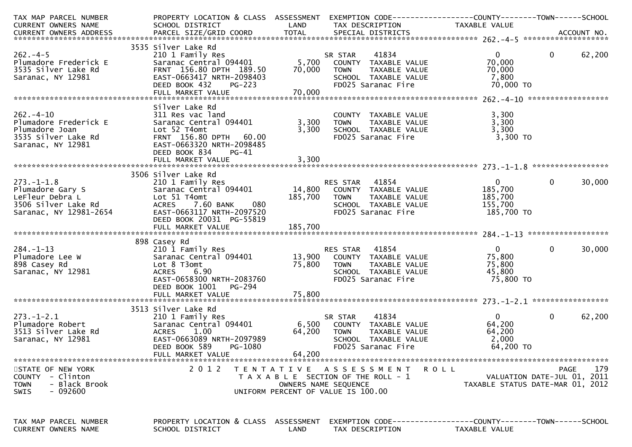| TAX MAP PARCEL NUMBER<br>CURRENT OWNERS NAME                                                             | PROPERTY LOCATION & CLASS ASSESSMENT<br>SCHOOL DISTRICT                                                                                                                          | LAND                      | TAX DESCRIPTION                                                                                                                | TAXABLE VALUE                                                 |                                     |        |
|----------------------------------------------------------------------------------------------------------|----------------------------------------------------------------------------------------------------------------------------------------------------------------------------------|---------------------------|--------------------------------------------------------------------------------------------------------------------------------|---------------------------------------------------------------|-------------------------------------|--------|
|                                                                                                          |                                                                                                                                                                                  |                           |                                                                                                                                |                                                               |                                     |        |
| $262 - 4 - 5$<br>Plumadore Frederick E<br>3535 Silver Lake Rd<br>Saranac, NY 12981                       | 3535 Silver Lake Rd<br>210 1 Family Res<br>Saranac Central 094401<br>FRNT 156.80 DPTH 189.50<br>EAST-0663417 NRTH-2098403<br>DEED BOOK 432<br><b>PG-223</b><br>FULL MARKET VALUE | 5,700<br>70,000<br>70,000 | 41834<br>SR STAR<br>COUNTY TAXABLE VALUE<br>TAXABLE VALUE<br><b>TOWN</b><br>SCHOOL TAXABLE VALUE<br>FD025 Saranac Fire         | $\mathbf{0}$<br>70,000<br>70,000<br>7,800<br>70,000 TO        | $\mathbf{0}$                        | 62,200 |
|                                                                                                          |                                                                                                                                                                                  |                           |                                                                                                                                |                                                               |                                     |        |
| $262 - 4 - 10$<br>Plumadore Frederick E<br>Plumadore Joan<br>3535 Silver Lake Rd<br>Saranac, NY 12981    | Silver Lake Rd<br>311 Res vac land<br>Saranac Central 094401<br>Lot 52 T4omt<br>FRNT 156.80 DPTH<br>60.00<br>EAST-0663320 NRTH-2098485<br>DEED BOOK 834<br>PG-41                 | 3,300<br>3,300            | COUNTY TAXABLE VALUE<br><b>TOWN</b><br>TAXABLE VALUE<br>SCHOOL TAXABLE VALUE<br>FD025 Saranac Fire                             | 3,300<br>3,300<br>3,300<br>3,300 TO                           |                                     |        |
|                                                                                                          | FULL MARKET VALUE                                                                                                                                                                | 3,300                     |                                                                                                                                |                                                               |                                     |        |
| $273. - 1 - 1.8$<br>Plumadore Gary S<br>LeFleur Debra L<br>3506 Silver Lake Rd<br>Saranac, NY 12981-2654 | 3506 Silver Lake Rd<br>210 1 Family Res<br>Saranac Central 094401<br>Lot 51 T4omt<br>080<br><b>ACRES</b><br>7.60 BANK<br>EAST-0663117 NRTH-2097520<br>DEED BOOK 20031 PG-55819   | 14,800<br>185,700         | 41854<br>RES STAR<br>COUNTY TAXABLE VALUE<br><b>TOWN</b><br>TAXABLE VALUE<br>SCHOOL TAXABLE VALUE<br>FD025 Saranac Fire        | $\overline{0}$<br>185,700<br>185,700<br>155,700<br>185,700 TO | $\mathbf{0}$                        | 30,000 |
|                                                                                                          |                                                                                                                                                                                  |                           |                                                                                                                                |                                                               |                                     |        |
| $284. -1 - 13$<br>Plumadore Lee W<br>898 Casey Rd<br>Saranac, NY 12981                                   | 898 Casey Rd<br>210 1 Family Res<br>Saranac Central 094401<br>Lot 8 T3omt<br>6.90<br><b>ACRES</b><br>EAST-0658300 NRTH-2083760<br>DEED BOOK 1001<br><b>PG-294</b>                | 75,800                    | 41854<br>RES STAR<br>13,900 COUNTY TAXABLE VALUE<br>TAXABLE VALUE<br><b>TOWN</b><br>SCHOOL TAXABLE VALUE<br>FD025 Saranac Fire | $\overline{0}$<br>75,800<br>75,800<br>45,800<br>75,800 TO     | $\Omega$                            | 30,000 |
|                                                                                                          | FULL MARKET VALUE                                                                                                                                                                | 75,800                    |                                                                                                                                |                                                               |                                     |        |
| $273. - 1 - 2.1$<br>Plumadore Robert<br>3513 Silver Lake Rd<br>Saranac, NY 12981                         | 3513 Silver Lake Rd<br>210 1 Family Res<br>Saranac Central 094401<br>ACRES<br>1.00<br>EAST-0663089 NRTH-2097989<br>DEED BOOK 589<br>PG-1080                                      | 6,500<br>64,200           | 41834<br>SR STAR<br>COUNTY TAXABLE VALUE<br><b>TOWN</b><br>TAXABLE VALUE<br>SCHOOL TAXABLE VALUE<br>FD025 Saranac Fire         | $\overline{0}$<br>64,200<br>64,200<br>2,000<br>64,200 TO      | $\Omega$                            | 62,200 |
|                                                                                                          | FULL MARKET VALUE                                                                                                                                                                | 64,200                    |                                                                                                                                |                                                               |                                     |        |
| STATE OF NEW YORK<br>COUNTY - Clinton<br>- Black Brook<br><b>TOWN</b><br>- 092600<br><b>SWIS</b>         | 2012                                                                                                                                                                             |                           | TENTATIVE ASSESSMENT<br>T A X A B L E SECTION OF THE ROLL - 1<br>OWNERS NAME SEQUENCE<br>UNIFORM PERCENT OF VALUE IS 100.00    | R O L L<br>TAXABLE STATUS DATE-MAR 01, 2012                   | PAGE<br>VALUATION DATE-JUL 01, 2011 | 179    |
| TAX MAP PARCEL NUMBER<br><b>CURRENT OWNERS NAME</b>                                                      | PROPERTY LOCATION & CLASS ASSESSMENT<br>SCHOOL DISTRICT                                                                                                                          | LAND                      | TAX DESCRIPTION                                                                                                                | TAXABLE VALUE                                                 |                                     |        |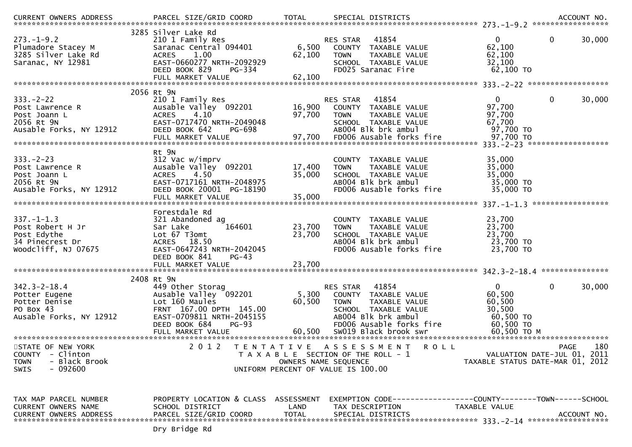| <b>CURRENT OWNERS ADDRESS</b>                                                                               | PARCEL SIZE/GRID COORD                                                                                                                                                 | <b>TOTAL</b>                                               | SPECIAL DISTRICTS                                                                                                                                                          |                                                                                                       | ACCOUNT NO.        |
|-------------------------------------------------------------------------------------------------------------|------------------------------------------------------------------------------------------------------------------------------------------------------------------------|------------------------------------------------------------|----------------------------------------------------------------------------------------------------------------------------------------------------------------------------|-------------------------------------------------------------------------------------------------------|--------------------|
| $273. - 1 - 9.2$<br>Plumadore Stacey M<br>3285 Silver Lake Rd<br>Saranac, NY 12981                          | 3285 Silver Lake Rd<br>210 1 Family Res<br>Saranac Central 094401<br><b>ACRES</b><br>1.00<br>EAST-0660277 NRTH-2092929<br>DEED BOOK 829<br>PG-334<br>FULL MARKET VALUE | 6,500<br>62,100<br>62,100                                  | RES STAR 41854<br>COUNTY TAXABLE VALUE<br><b>TOWN</b><br>TAXABLE VALUE<br>SCHOOL TAXABLE VALUE<br>FD025 Saranac Fire                                                       | $\mathbf{0}$<br>$\mathbf{0}$<br>62,100<br>62,100<br>32,100<br>62,100 TO                               | 30,000             |
|                                                                                                             |                                                                                                                                                                        |                                                            |                                                                                                                                                                            |                                                                                                       |                    |
| $333. -2 - 22$<br>Post Lawrence R<br>Post Joann L<br>2056 Rt 9N<br>Ausable Forks, NY 12912                  | 2056 Rt 9N<br>210 1 Family Res<br>Ausable Valley 092201<br><b>ACRES</b><br>4.10<br>EAST-0717470 NRTH-2049048<br>PG-698<br>DEED BOOK 642                                | 97,700                                                     | 41854<br>RES STAR<br>16,900 COUNTY TAXABLE VALUE<br><b>TOWN</b><br>TAXABLE VALUE<br>SCHOOL TAXABLE VALUE<br>AB004 Blk brk ambul                                            | $\mathbf{0}$<br>$\mathbf{0}$<br>97,700<br>97,700<br>67,700<br>97,700 TO                               | 30,000             |
|                                                                                                             | Rt 9N                                                                                                                                                                  |                                                            |                                                                                                                                                                            |                                                                                                       |                    |
| $333. -2 - 23$<br>Post Lawrence R<br>Post Joann L<br>2056 Rt 9N<br>Ausable Forks, NY 12912                  | 312 Vac w/imprv<br>Ausable Valley 092201<br>4.50<br><b>ACRES</b><br>EAST-0717161 NRTH-2048975<br>DEED BOOK 20001 PG-18190<br>FULL MARKET VALUE                         | 17,400<br>35,000<br>35,000                                 | COUNTY TAXABLE VALUE<br>TAXABLE VALUE<br><b>TOWN</b><br>SCHOOL TAXABLE VALUE<br>AB004 Blk brk ambul<br>FD006 Ausable forks fire                                            | 35,000<br>35,000<br>35,000<br>35,000 TO<br>35,000 TO                                                  |                    |
|                                                                                                             |                                                                                                                                                                        |                                                            |                                                                                                                                                                            |                                                                                                       |                    |
| $337. - 1 - 1.3$<br>Post Robert H Jr<br>Post Edythe<br>34 Pinecrest Dr<br>Woodcliff, NJ 07675               | Forestdale Rd<br>321 Abandoned ag<br>164601<br>Sar Lake<br>Lot 67 T3omt<br>ACRES 18.50<br>EAST-0647243 NRTH-2042045<br>DEED BOOK 841<br>$PG-43$                        | 23,700<br>23,700                                           | COUNTY TAXABLE VALUE<br>TAXABLE VALUE<br><b>TOWN</b><br>SCHOOL TAXABLE VALUE<br>AB004 Blk brk ambul<br>FD006 Ausable forks fire                                            | 23,700<br>23,700<br>23,700<br>23,700 TO<br>23,700 TO                                                  |                    |
|                                                                                                             |                                                                                                                                                                        |                                                            |                                                                                                                                                                            |                                                                                                       |                    |
|                                                                                                             | 2408 Rt 9N                                                                                                                                                             |                                                            |                                                                                                                                                                            |                                                                                                       |                    |
| $342.3 - 2 - 18.4$<br>Potter Eugene<br>Potter Denise<br>PO Box 43<br>Ausable Forks, NY 12912                | 449 Other Storag<br>Ausable Valley 092201<br>Lot 160 Maules<br>FRNT 167.00 DPTH 145.00<br>EAST-0709811 NRTH-2045155<br>DEED BOOK 684<br>$PG-93$<br>FULL MARKET VALUE   | 5,300<br>60,500<br>60,500                                  | RES STAR 41854<br>COUNTY TAXABLE VALUE<br><b>TOWN</b><br>TAXABLE VALUE<br>SCHOOL TAXABLE VALUE<br>AB004 Blk brk ambul<br>FD006 Ausable forks fire<br>SW019 Black brook swr | $\mathbf{0}$<br>$\overline{0}$<br>60,500<br>60,500<br>30,500<br>60,500 TO<br>60,500 TO<br>60,500 TO M | 30,000             |
|                                                                                                             |                                                                                                                                                                        |                                                            |                                                                                                                                                                            |                                                                                                       |                    |
| STATE OF NEW YORK<br><b>COUNTY</b><br>- Clinton<br>- Black Brook<br><b>TOWN</b><br>$-092600$<br><b>SWIS</b> | 2 0 1 2                                                                                                                                                                | OWNERS NAME SEQUENCE<br>UNIFORM PERCENT OF VALUE IS 100.00 | TENTATIVE ASSESSMENT<br><b>ROLL</b><br>T A X A B L E SECTION OF THE ROLL - 1                                                                                               | VALUATION DATE-JUL 01, 2011<br>TAXABLE STATUS DATE-MAR 01, 2012                                       | 180<br><b>PAGE</b> |
| TAX MAP PARCEL NUMBER<br>CURRENT OWNERS NAME<br><b>CURRENT OWNERS ADDRESS</b>                               | PROPERTY LOCATION & CLASS ASSESSMENT<br>SCHOOL DISTRICT<br>PARCEL SIZE/GRID COORD                                                                                      | LAND<br><b>TOTAL</b>                                       | EXEMPTION        CODE-----------------COUNTY-------TOWN------SCHOOL<br>TAX DESCRIPTION<br>SPECIAL DISTRICTS                                                                | TAXABLE VALUE                                                                                         | ACCOUNT NO.        |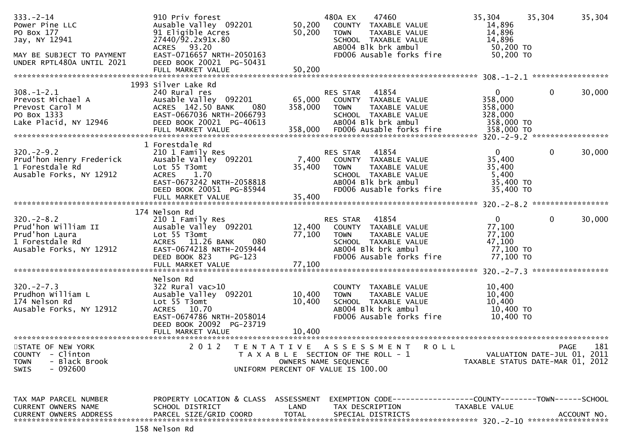| $333. - 2 - 14$<br>Power Pine LLC<br>PO Box 177<br>Jay, NY 12941<br>MAY BE SUBJECT TO PAYMENT<br>UNDER RPTL480A UNTIL 2021 | 910 Priv forest<br>Ausable Valley 092201<br>91 Eligible Acres<br>27440/92.2x91x.80<br>93.20<br>ACRES<br>EAST-0716657 NRTH-2050163<br>DEED BOOK 20021 PG-50431<br>FULL MARKET VALUE   | 50,200<br>50,200<br>50,200   | 480A EX<br>47460<br>COUNTY TAXABLE VALUE<br>TAXABLE VALUE<br><b>TOWN</b><br>SCHOOL TAXABLE VALUE<br>AB004 Blk brk ambul<br>FD006 Ausable forks fire            | 35,304<br>35,304<br>14,896<br>14,896<br>14,896<br>50,200 TO<br>50,200 TO | 35,304                                            |
|----------------------------------------------------------------------------------------------------------------------------|--------------------------------------------------------------------------------------------------------------------------------------------------------------------------------------|------------------------------|----------------------------------------------------------------------------------------------------------------------------------------------------------------|--------------------------------------------------------------------------|---------------------------------------------------|
|                                                                                                                            | 1993 Silver Lake Rd                                                                                                                                                                  |                              |                                                                                                                                                                |                                                                          |                                                   |
| $308. - 1 - 2.1$<br>Prevost Michael A<br>Prevost Carol M<br>PO Box 1333<br>Lake Placid, NY 12946                           | 240 Rural res<br>Ausable Valley 092201<br>ACRES 142.50 BANK<br>080<br>EAST-0667036 NRTH-2066793<br>DEED BOOK 20021 PG-40613<br>FULL MARKET VALUE                                     | 65,000<br>358,000<br>358,000 | 41854<br>RES STAR<br>COUNTY TAXABLE VALUE<br>TAXABLE VALUE<br><b>TOWN</b><br>SCHOOL TAXABLE VALUE<br>AB004 Blk brk ambul<br>FD006 Ausable forks fire           | 0<br>358,000<br>358,000<br>328,000<br>358,000 TO<br>358,000 TO           | $\mathbf{0}$<br>30,000                            |
| $320. -2 - 9.2$<br>Prud'hon Henry Frederick<br>1 Forestdale Rd<br>Ausable Forks, NY 12912                                  | 1 Forestdale Rd<br>210 1 Family Res<br>Ausable Valley 092201<br>Lot 55 T3omt<br>ACRES 1.70<br>EAST-0673242 NRTH-2058818<br>DEED BOOK 20051 PG-85944<br>FULL MARKET VALUE             | 7,400<br>35,400<br>35,400    | 41854<br>RES STAR<br>COUNTY TAXABLE VALUE<br><b>TOWN</b><br>TAXABLE VALUE<br>SCHOOL TAXABLE VALUE<br>AB004 Blk brk ambul<br>FD006 Ausable forks fire           | $\Omega$<br>35,400<br>35,400<br>5,400<br>35,400 TO<br>35,400 TO          | $\mathbf{0}$<br>30,000                            |
|                                                                                                                            | 174 Nelson Rd                                                                                                                                                                        |                              |                                                                                                                                                                |                                                                          |                                                   |
| $320. -2 - 8.2$<br>Prud'hon William II<br>Prud'hon Laura<br>1 Forestdale Rd<br>Ausable Forks, NY 12912                     | 210 1 Family Res<br>Ausable Valley 092201<br>Lot 55 T3omt<br>ACRES 11.26 BANK<br>080<br>EAST-0674218 NRTH-2059444<br>DEED BOOK 823<br>$PG-123$<br>FULL MARKET VALUE                  | 12,400<br>77,100<br>77,100   | 41854<br><b>RES STAR</b><br>TAXABLE VALUE<br>COUNTY<br><b>TOWN</b><br>TAXABLE VALUE<br>SCHOOL TAXABLE VALUE<br>AB004 Blk brk ambul<br>FD006 Ausable forks fire | $\mathbf{0}$<br>77,100<br>77,100<br>47,100<br>77,100 TO<br>77,100 TO     | $\mathbf 0$<br>30,000                             |
|                                                                                                                            | Nelson Rd                                                                                                                                                                            |                              |                                                                                                                                                                |                                                                          |                                                   |
| $320 - 2 - 7.3$<br>Prudhon William L<br>174 Nelson Rd<br>Ausable Forks, NY 12912                                           | $322$ Rural vac $>10$<br>Ausable Valley 092201<br>Lot 55 T3omt<br>ACRES 10.70<br>EAST-0674786 NRTH-2058014<br>DEED BOOK 20092 PG-23719<br>FULL MARKET VALUE<br>********************* | 10,400<br>10,400<br>10,400   | COUNTY TAXABLE VALUE<br><b>TOWN</b><br>TAXABLE VALUE<br>SCHOOL TAXABLE VALUE<br>AB004 Blk brk ambul<br>FD006 Ausable forks fire                                | 10,400<br>10,400<br>10,400<br>10,400 TO<br>10,400 TO                     |                                                   |
| STATE OF NEW YORK<br><b>COUNTY</b><br>- Clinton<br>- Black Brook<br><b>TOWN</b><br>$-092600$<br><b>SWIS</b>                | 2 0 1 2                                                                                                                                                                              | T E N T A T I V E            | ASSESSMENT ROLL<br>T A X A B L E SECTION OF THE ROLL - 1<br>OWNERS NAME SEQUENCE<br>UNIFORM PERCENT OF VALUE IS 100.00                                         | TAXABLE STATUS DATE-MAR 01, 2012                                         | 181<br><b>PAGE</b><br>VALUATION DATE-JUL 01, 2011 |
| TAX MAP PARCEL NUMBER<br>CURRENT OWNERS NAME<br><b>CURRENT OWNERS ADDRESS</b>                                              | PROPERTY LOCATION & CLASS ASSESSMENT<br>SCHOOL DISTRICT<br>PARCEL SIZE/GRID COORD                                                                                                    | LAND<br><b>TOTAL</b>         | TAX DESCRIPTION<br>SPECIAL DISTRICTS                                                                                                                           | TAXABLE VALUE                                                            | ACCOUNT NO.                                       |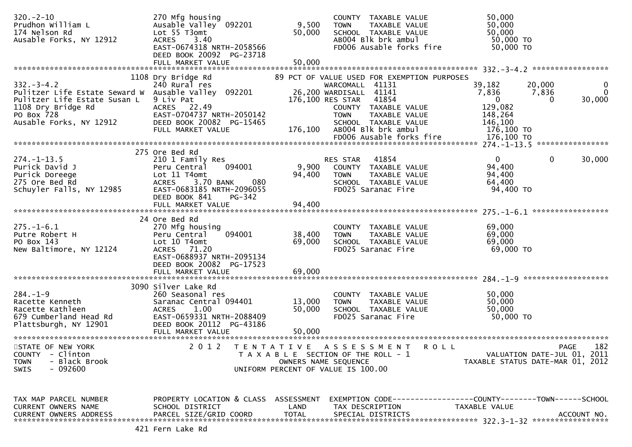| $320 - 2 - 10$<br>Prudhon William L<br>174 Nelson Rd<br>Ausable Forks, NY 12912                                                                 | 270 Mfg housing<br>Ausable Valley 092201<br>Lot 55 T3omt<br>3.40<br><b>ACRES</b><br>EAST-0674318 NRTH-2058566<br>DEED BOOK 20092 PG-23718<br>FULL MARKET VALUE                                       | 9,500<br>50,000<br>50,000  | COUNTY TAXABLE VALUE<br>TAXABLE VALUE<br><b>TOWN</b><br>SCHOOL TAXABLE VALUE<br>AB004 Blk brk ambul<br>FD006 Ausable forks fire                                                                       | 50,000<br>50,000<br>50,000<br>50,000 TO<br>50,000 TO                                                                          |
|-------------------------------------------------------------------------------------------------------------------------------------------------|------------------------------------------------------------------------------------------------------------------------------------------------------------------------------------------------------|----------------------------|-------------------------------------------------------------------------------------------------------------------------------------------------------------------------------------------------------|-------------------------------------------------------------------------------------------------------------------------------|
|                                                                                                                                                 |                                                                                                                                                                                                      |                            |                                                                                                                                                                                                       |                                                                                                                               |
| $332 - 3 - 4.2$<br>Pulitzer Life Estate Seward W<br>Pulitzer Life Estate Susan L<br>1108 Dry Bridge Rd<br>PO Box 728<br>Ausable Forks, NY 12912 | 1108 Dry Bridge Rd<br>240 Rural res<br>Ausable Valley 092201<br>9 Liv Pat<br>ACRES 22.49<br>EAST-0704737 NRTH-2050142<br>DEED BOOK 20082 PG-15465                                                    |                            | 89 PCT OF VALUE USED FOR EXEMPTION PURPOSES<br>WARCOMALL 41131<br>26,200 WARDISALL 41141<br>41854<br>176,100 RES STAR<br>COUNTY TAXABLE VALUE<br><b>TOWN</b><br>TAXABLE VALUE<br>SCHOOL TAXABLE VALUE | 39,182<br>20,000<br>$\mathbf 0$<br>7,836<br>$\Omega$<br>7,836<br>$\mathbf{0}$<br>30,000<br>0<br>129,082<br>148,264<br>146,100 |
|                                                                                                                                                 | FULL MARKET VALUE                                                                                                                                                                                    | 176,100                    | AB004 Blk brk ambul                                                                                                                                                                                   | 176,100 TO                                                                                                                    |
|                                                                                                                                                 |                                                                                                                                                                                                      |                            | FD006 Ausable forks fire                                                                                                                                                                              | 176,100 TO                                                                                                                    |
|                                                                                                                                                 |                                                                                                                                                                                                      |                            |                                                                                                                                                                                                       |                                                                                                                               |
| $274. - 1 - 13.5$<br>Purick David J<br>Purick Doreege<br>275 Ore Bed Rd<br>Schuyler Falls, NY 12985                                             | 275 Ore Bed Rd<br>210 1 Family Res<br>094001<br>Peru Central<br>Lot 11 T4omt<br>3.70 BANK<br>080<br><b>ACRES</b><br>EAST-0683185 NRTH-2096055<br>DEED BOOK 841<br><b>PG-342</b><br>FULL MARKET VALUE | 9,900<br>94,400<br>94,400  | 41854<br>RES STAR<br>COUNTY TAXABLE VALUE<br><b>TOWN</b><br>TAXABLE VALUE<br>SCHOOL TAXABLE VALUE<br>FD025 Saranac Fire                                                                               | $\mathbf{0}$<br>30,000<br>$\bf{0}$<br>94,400<br>94,400<br>64,400<br>94,400 TO                                                 |
|                                                                                                                                                 |                                                                                                                                                                                                      |                            |                                                                                                                                                                                                       |                                                                                                                               |
| $275. - 1 - 6.1$<br>Putre Robert H<br>PO Box 143<br>New Baltimore, NY 12124                                                                     | 24 Ore Bed Rd<br>270 Mfg housing<br>094001<br>Peru Central<br>Lot 10 T4omt<br>ACRES 71.20<br>EAST-0688937 NRTH-2095134<br>DEED BOOK 20082 PG-17523<br>FULL MARKET VALUE                              | 38,400<br>69,000<br>69,000 | COUNTY TAXABLE VALUE<br>TAXABLE VALUE<br><b>TOWN</b><br>SCHOOL TAXABLE VALUE<br>FD025 Saranac Fire                                                                                                    | 69,000<br>69,000<br>69,000<br>69,000 TO                                                                                       |
|                                                                                                                                                 |                                                                                                                                                                                                      |                            |                                                                                                                                                                                                       |                                                                                                                               |
| $284. - 1 - 9$<br>Racette Kenneth<br>Racette Kathleen<br>679 Cumberland Head Rd<br>Plattsburgh, NY 12901                                        | 3090 Silver Lake Rd<br>260 Seasonal res<br>Saranac Central 094401<br>1.00<br><b>ACRES</b><br>EAST-0659331 NRTH-2088409<br>DEED BOOK 20112 PG-43186<br>FULL MARKET VALUE                              | 13,000<br>50,000<br>50,000 | COUNTY TAXABLE VALUE<br>TAXABLE VALUE<br><b>TOWN</b><br>SCHOOL TAXABLE VALUE<br>FD025 Saranac Fire                                                                                                    | 50,000<br>50,000<br>50,000<br>50,000 TO                                                                                       |
|                                                                                                                                                 |                                                                                                                                                                                                      | ********************       |                                                                                                                                                                                                       |                                                                                                                               |
| STATE OF NEW YORK<br><b>COUNTY</b><br>- Clinton<br>- Black Brook<br><b>TOWN</b><br>$-092600$<br><b>SWIS</b>                                     | 2 0 1 2                                                                                                                                                                                              | T E N T A T I V E          | A S S E S S M E N T<br>R O L L<br>T A X A B L E SECTION OF THE ROLL - 1<br>OWNERS NAME SEQUENCE<br>UNIFORM PERCENT OF VALUE IS 100.00                                                                 | 182<br>PAGE<br>VALUATION DATE-JUL 01, 2011<br>TAXABLE STATUS DATE-MAR 01, 2012                                                |
| TAX MAP PARCEL NUMBER<br><b>CURRENT OWNERS NAME</b><br><b>CURRENT OWNERS ADDRESS</b>                                                            | PROPERTY LOCATION & CLASS ASSESSMENT<br>SCHOOL DISTRICT<br>PARCEL SIZE/GRID COORD                                                                                                                    | LAND<br><b>TOTAL</b>       | TAX DESCRIPTION<br>SPECIAL DISTRICTS                                                                                                                                                                  | EXEMPTION        CODE-----------------COUNTY-------TOWN------SCHOOL<br>TAXABLE VALUE<br>ACCOUNT NO.                           |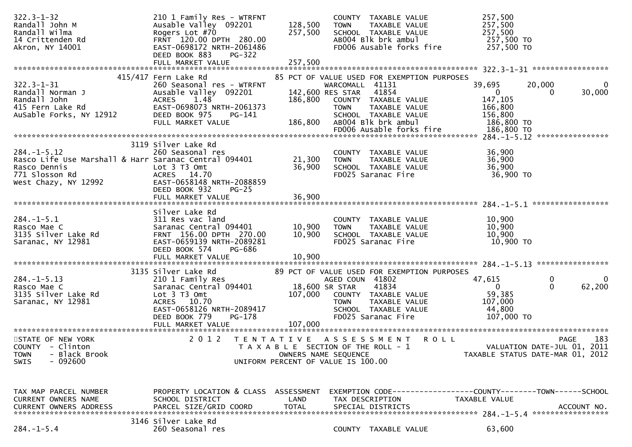| $322.3 - 1 - 32$<br>Randall John M<br>Randall Wilma<br>14 Crittenden Rd<br>Akron, NY 14001                                          | 210 1 Family Res - WTRFNT<br>Ausable Valley 092201<br>Rogers Lot #70<br>FRNT 120.00 DPTH 280.00<br>EAST-0698172 NRTH-2061486<br>DEED BOOK 883<br><b>PG-322</b> | 128,500<br>257,500                                                                                                          | <b>TOWN</b>                                        | COUNTY TAXABLE VALUE<br>TAXABLE VALUE<br>SCHOOL TAXABLE VALUE<br>AB004 Blk brk ambul<br>FD006 Ausable forks fire                            | 257,500<br>257,500<br>257,500<br>257,500 TO<br>257,500 TO       |                                                                                |
|-------------------------------------------------------------------------------------------------------------------------------------|----------------------------------------------------------------------------------------------------------------------------------------------------------------|-----------------------------------------------------------------------------------------------------------------------------|----------------------------------------------------|---------------------------------------------------------------------------------------------------------------------------------------------|-----------------------------------------------------------------|--------------------------------------------------------------------------------|
|                                                                                                                                     | FULL MARKET VALUE                                                                                                                                              | 257,500                                                                                                                     |                                                    |                                                                                                                                             |                                                                 |                                                                                |
| $322.3 - 1 - 31$<br>Randall Norman J<br>Randall John<br>415 Fern Lake Rd<br>AuSable Forks, NY 12912                                 | 415/417 Fern Lake Rd<br>260 Seasonal res - WTRFNT<br>Ausable Valley 092201<br>ACRES 1.48<br>EAST-0698073 NRTH-2061373<br>DEED BOOK 975<br>PG-141               | 186,800                                                                                                                     | WARCOMALL 41131<br>142,600 RES STAR<br><b>TOWN</b> | 85 PCT OF VALUE USED FOR EXEMPTION PURPOSES<br>41854<br>COUNTY TAXABLE VALUE<br>TAXABLE VALUE<br>SCHOOL TAXABLE VALUE                       | 39,695<br>$\overline{0}$<br>147,105<br>166,800<br>156,800       | 20,000<br>0<br>30,000<br>0                                                     |
|                                                                                                                                     | FULL MARKET VALUE                                                                                                                                              | 186,800                                                                                                                     |                                                    | ABOO4 Blk brk ambul                                                                                                                         | 186,800 TO                                                      |                                                                                |
|                                                                                                                                     |                                                                                                                                                                |                                                                                                                             |                                                    |                                                                                                                                             |                                                                 | ****************                                                               |
| $284. -1 - 5.12$<br>Rasco Life Use Marshall & Harr Saranac Central 094401<br>Rasco Dennis<br>771 Slosson Rd<br>West Chazy, NY 12992 | 3119 Silver Lake Rd<br>260 Seasonal res<br>Lot $3$ T $3$ Omt<br>ACRES 14.70<br>EAST-0658148 NRTH-2088859<br>DEED BOOK 932<br>$PG-25$<br>FULL MARKET VALUE      | 21,300<br>36,900<br>36,900                                                                                                  | <b>TOWN</b>                                        | COUNTY TAXABLE VALUE<br>TAXABLE VALUE<br>SCHOOL TAXABLE VALUE<br>FD025 Saranac Fire                                                         | 36,900<br>36,900<br>36,900<br>36,900 TO                         |                                                                                |
|                                                                                                                                     | Silver Lake Rd                                                                                                                                                 |                                                                                                                             |                                                    |                                                                                                                                             |                                                                 |                                                                                |
| $284. -1 - 5.1$<br>Rasco Mae C<br>3135 Silver Lake Rd<br>Saranac, NY 12981                                                          | 311 Res vac land<br>Saranac Central 094401<br>FRNT 156.00 DPTH 270.00<br>EAST-0659139 NRTH-2089281<br>DEED BOOK 574<br>PG-686                                  | 10,900<br>10,900                                                                                                            | <b>TOWN</b>                                        | COUNTY TAXABLE VALUE<br>TAXABLE VALUE<br>SCHOOL TAXABLE VALUE<br>FD025 Saranac Fire                                                         | 10,900<br>10,900<br>10,900<br>10,900 то                         |                                                                                |
|                                                                                                                                     | FULL MARKET VALUE                                                                                                                                              | 10,900                                                                                                                      |                                                    |                                                                                                                                             |                                                                 |                                                                                |
| $284. -1 - 5.13$<br>Rasco Mae C<br>3135 Silver Lake Rd<br>Saranac, NY 12981                                                         | 3135 Silver Lake Rd<br>210 1 Family Res<br>Saranac Central 094401<br>Lot 3 T3 Omt<br>ACRES 10.70<br>EAST-0658126 NRTH-2089417<br>DEED BOOK 779<br>PG-178       | 107,000                                                                                                                     | AGED COUN 41802<br>18,600 SR STAR<br><b>TOWN</b>   | 89 PCT OF VALUE USED FOR EXEMPTION PURPOSES<br>41834<br>COUNTY TAXABLE VALUE<br>TAXABLE VALUE<br>SCHOOL TAXABLE VALUE<br>FD025 Saranac Fire | 47,615<br>$\Omega$<br>59,385<br>107,000<br>44,800<br>107,000 TO | 0<br>$\overline{0}$<br>62,200<br>$\Omega$                                      |
|                                                                                                                                     |                                                                                                                                                                |                                                                                                                             |                                                    |                                                                                                                                             |                                                                 |                                                                                |
| STATE OF NEW YORK<br>COUNTY - Clinton<br>- Black Brook<br><b>TOWN</b><br>$-092600$<br><b>SWIS</b>                                   | 2 0 1 2                                                                                                                                                        | TENTATIVE ASSESSMENT<br>T A X A B L E SECTION OF THE ROLL - 1<br>OWNERS NAME SEQUENCE<br>UNIFORM PERCENT OF VALUE IS 100.00 |                                                    |                                                                                                                                             | <b>ROLL</b>                                                     | 183<br>PAGE<br>VALUATION DATE-JUL 01, 2011<br>TAXABLE STATUS DATE-MAR 01, 2012 |
| TAX MAP PARCEL NUMBER<br><b>CURRENT OWNERS NAME</b><br><b>CURRENT OWNERS ADDRESS</b>                                                | PROPERTY LOCATION & CLASS<br>SCHOOL DISTRICT<br>PARCEL SIZE/GRID COORD                                                                                         | ASSESSMENT<br>LAND<br><b>TOTAL</b>                                                                                          |                                                    | TAX DESCRIPTION<br>SPECIAL DISTRICTS                                                                                                        | TAXABLE VALUE                                                   | ACCOUNT NO.                                                                    |
|                                                                                                                                     |                                                                                                                                                                |                                                                                                                             |                                                    |                                                                                                                                             |                                                                 |                                                                                |
| $284. - 1 - 5.4$                                                                                                                    | 3146 Silver Lake Rd<br>260 Seasonal res                                                                                                                        |                                                                                                                             |                                                    | COUNTY TAXABLE VALUE                                                                                                                        | 63,600                                                          |                                                                                |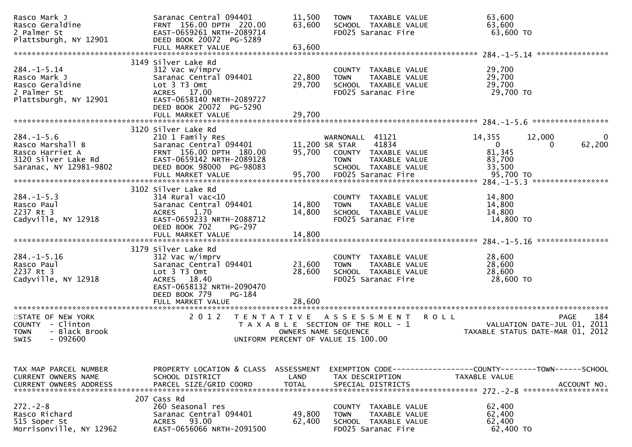| Rasco Mark J<br>Rasco Geraldine<br>2 Palmer St                                                          | Saranac Central 094401<br>FRNT 156.00 DPTH 220.00<br>EAST-0659261 NRTH-2089714                                                                                             | 11,500<br>63,600                   | <b>TAXABLE VALUE</b><br><b>TOWN</b><br>SCHOOL TAXABLE VALUE<br>FD025 Saranac Fire                                              | 63,600<br>63,600<br>63,600 TO                                                                    |
|---------------------------------------------------------------------------------------------------------|----------------------------------------------------------------------------------------------------------------------------------------------------------------------------|------------------------------------|--------------------------------------------------------------------------------------------------------------------------------|--------------------------------------------------------------------------------------------------|
| Plattsburgh, NY 12901                                                                                   | DEED BOOK 20072 PG-5289<br>FULL MARKET VALUE                                                                                                                               | 63,600                             |                                                                                                                                |                                                                                                  |
|                                                                                                         |                                                                                                                                                                            |                                    |                                                                                                                                |                                                                                                  |
| $284. - 1 - 5.14$<br>Rasco Mark J<br>Rasco Geraldine                                                    | 3149 Silver Lake Rd<br>312 Vac w/imprv<br>Saranac Central 094401<br>Lot 3 T3 Omt                                                                                           | 22,800<br>29,700                   | COUNTY TAXABLE VALUE<br><b>TOWN</b><br>TAXABLE VALUE<br>SCHOOL TAXABLE VALUE                                                   | 29,700<br>29,700<br>29,700                                                                       |
| 2 Palmer St<br>Plattsburgh, NY 12901                                                                    | ACRES 17.00<br>EAST-0658140 NRTH-2089727<br>DEED BOOK 20072 PG-5290<br>FULL MARKET VALUE                                                                                   | 29,700                             | FD025 Saranac Fire                                                                                                             | 29,700 TO                                                                                        |
|                                                                                                         |                                                                                                                                                                            |                                    |                                                                                                                                |                                                                                                  |
| $284. -1 - 5.6$<br>Rasco Marshall B<br>Rasco Harriet A<br>3120 Silver Lake Rd<br>Saranac, NY 12981-9802 | 3120 Silver Lake Rd<br>210 1 Family Res<br>Saranac Central 094401<br>FRNT 156.00 DPTH 180.00<br>EAST-0659142 NRTH-2089128<br>DEED BOOK 98000 PG-98083<br>FULL MARKET VALUE | 11,200 SR STAR<br>95,700<br>95,700 | WARNONALL 41121<br>41834<br>COUNTY TAXABLE VALUE<br>TAXABLE VALUE<br><b>TOWN</b><br>SCHOOL TAXABLE VALUE<br>FD025 Saranac Fire | 14,355<br>12,000<br>62,200<br>$\overline{0}$<br>0<br>81,345<br>83,700<br>33,500<br>95,700 TO     |
|                                                                                                         | 3102 Silver Lake Rd                                                                                                                                                        |                                    |                                                                                                                                |                                                                                                  |
| $284. -1 - 5.3$<br>Rasco Paul<br>2237 Rt 3<br>Cadyville, NY 12918                                       | $314$ Rural vac<10<br>Saranac Central 094401<br>1.70<br><b>ACRES</b><br>EAST-0659233 NRTH-2088712<br>DEED BOOK 702<br>PG-297                                               | 14,800<br>14,800                   | COUNTY TAXABLE VALUE<br>TAXABLE VALUE<br><b>TOWN</b><br>SCHOOL TAXABLE VALUE<br>FD025 Saranac Fire                             | 14,800<br>14,800<br>14,800<br>14,800 TO                                                          |
|                                                                                                         |                                                                                                                                                                            |                                    |                                                                                                                                | ****************                                                                                 |
| $284. - 1 - 5.16$<br>Rasco Paul<br>2237 Rt 3<br>Cadyville, NY 12918                                     | 3179 Silver Lake Rd<br>312 Vac w/imprv<br>Saranac Central 094401<br>Lot 3 T3 Omt<br>ACRES 18.40<br>EAST-0658132 NRTH-2090470                                               | 23,600<br>28,600                   | COUNTY TAXABLE VALUE<br>TAXABLE VALUE<br><b>TOWN</b><br>SCHOOL TAXABLE VALUE<br>FD025 Saranac Fire                             | 28,600<br>28,600<br>28,600<br>28,600 TO                                                          |
|                                                                                                         | $PG-184$<br>DEED BOOK 779                                                                                                                                                  | 28,600                             |                                                                                                                                |                                                                                                  |
|                                                                                                         | FULL MARKET VALUE                                                                                                                                                          | *******************                |                                                                                                                                |                                                                                                  |
| STATE OF NEW YORK<br>COUNTY - Clinton<br><b>TOWN</b><br>- Black Brook<br>$-092600$<br><b>SWIS</b>       | 2 0 1 2<br>T E N T A T I V E                                                                                                                                               |                                    | A S S E S S M E N T<br>T A X A B L E SECTION OF THE ROLL - 1<br>OWNERS NAME SEQUENCE<br>UNIFORM PERCENT OF VALUE IS 100.00     | 184<br><b>ROLL</b><br>PAGE<br>2011<br>VALUATION DATE-JUL 01,<br>TAXABLE STATUS DATE-MAR 01, 2012 |
|                                                                                                         |                                                                                                                                                                            |                                    |                                                                                                                                |                                                                                                  |
| TAX MAP PARCEL NUMBER<br>CURRENT OWNERS NAME<br><b>CURRENT OWNERS ADDRESS</b>                           | PROPERTY LOCATION & CLASS ASSESSMENT<br>SCHOOL DISTRICT<br>PARCEL SIZE/GRID COORD                                                                                          | LAND<br><b>TOTAL</b>               | TAX DESCRIPTION<br>SPECIAL DISTRICTS                                                                                           | EXEMPTION CODE-----------------COUNTY--------TOWN------SCHOOL<br>TAXABLE VALUE<br>ACCOUNT NO.    |
| $272 - 2 - 8$<br>Rasco Richard<br>515 Soper St<br>Morrisonville, NY 12962                               | 207 Cass Rd<br>260 Seasonal res<br>Saranac Central 094401<br>93.00<br><b>ACRES</b><br>EAST-0656066 NRTH-2091500                                                            | 49,800<br>62,400                   | COUNTY TAXABLE VALUE<br>TAXABLE VALUE<br>TOWN<br>SCHOOL TAXABLE VALUE<br>FD025 Saranac Fire                                    | 62,400<br>62,400<br>62,400<br>62,400 TO                                                          |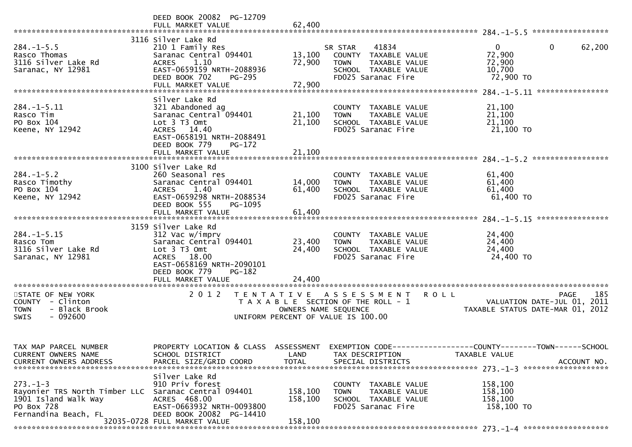|                                                                                                               | DEED BOOK 20082 PG-12709<br>FULL MARKET VALUE                                                                                                                              | 62,400                        |                                                                                                                                           |                                                                                              |
|---------------------------------------------------------------------------------------------------------------|----------------------------------------------------------------------------------------------------------------------------------------------------------------------------|-------------------------------|-------------------------------------------------------------------------------------------------------------------------------------------|----------------------------------------------------------------------------------------------|
| $284. -1 - 5.5$<br>Rasco Thomas<br>3116 Silver Lake Rd<br>Saranac, NY 12981                                   | 3116 Silver Lake Rd<br>210 1 Family Res<br>Saranac Central 094401<br>1.10<br><b>ACRES</b><br>EAST-0659159 NRTH-2088936<br>DEED BOOK 702<br>PG-295<br>FULL MARKET VALUE     | 13,100<br>72,900<br>72,900    | 41834<br>SR STAR<br>COUNTY TAXABLE VALUE<br><b>TOWN</b><br>TAXABLE VALUE<br>SCHOOL TAXABLE VALUE<br>FD025 Saranac Fire                    | $\mathbf{0}$<br>$\mathbf{0}$<br>62,200<br>72,900<br>72,900<br>10,700<br>72,900 TO            |
| $284. -1 - 5.11$<br>Rasco Tim<br>PO Box 104<br>Keene, NY 12942                                                | Silver Lake Rd<br>321 Abandoned ag<br>Saranac Central 094401<br>Lot 3 T3 Omt<br>ACRES 14.40<br>EAST-0658191 NRTH-2088491<br>DEED BOOK 779<br>$PG-172$<br>FULL MARKET VALUE | 21,100<br>21,100<br>21,100    | COUNTY TAXABLE VALUE<br>TAXABLE VALUE<br><b>TOWN</b><br>SCHOOL TAXABLE VALUE<br>FD025 Saranac Fire                                        | 21,100<br>21,100<br>21,100<br>21,100 TO                                                      |
|                                                                                                               |                                                                                                                                                                            |                               |                                                                                                                                           |                                                                                              |
| $284. -1 - 5.2$<br>Rasco Timothy<br>PO Box 104<br>Keene, NY 12942                                             | 3100 Silver Lake Rd<br>260 Seasonal res<br>Saranac Central 094401<br>1.40<br><b>ACRES</b><br>EAST-0659298 NRTH-2088534<br>DEED BOOK 555<br>PG-1095<br>FULL MARKET VALUE    | 14,000<br>61,400<br>61,400    | COUNTY TAXABLE VALUE<br>TAXABLE VALUE<br><b>TOWN</b><br>SCHOOL TAXABLE VALUE<br>FD025 Saranac Fire                                        | 61,400<br>61,400<br>61,400<br>61,400 TO                                                      |
|                                                                                                               | 3159 Silver Lake Rd                                                                                                                                                        |                               |                                                                                                                                           |                                                                                              |
| $284. -1 - 5.15$<br>Rasco Tom<br>3116 Silver Lake Rd<br>Saranac, NY 12981                                     | 312 Vac w/imprv<br>Saranac Central 094401<br>Lot 3 T3 Omt<br>ACRES 18.00<br>EAST-0658169 NRTH-2090101<br>DEED BOOK 779<br>PG-182                                           | 23,400<br>24,400              | COUNTY TAXABLE VALUE<br>TAXABLE VALUE<br><b>TOWN</b><br>SCHOOL TAXABLE VALUE<br>FD025 Saranac Fire                                        | 24,400<br>24,400<br>24,400<br>24,400 TO                                                      |
|                                                                                                               | FULL MARKET VALUE                                                                                                                                                          | 24,400                        |                                                                                                                                           |                                                                                              |
| STATE OF NEW YORK<br>COUNTY - Clinton<br>- Black Brook<br><b>TOWN</b><br><b>SWIS</b><br>- 092600              | 2 0 1 2<br>T E N T A T I V E                                                                                                                                               |                               | A S S E S S M E N T<br><b>ROLL</b><br>T A X A B L E SECTION OF THE ROLL - 1<br>OWNERS NAME SEQUENCE<br>UNIFORM PERCENT OF VALUE IS 100.00 | 185<br>PAGE<br>2011<br>VALUATION DATE-JUL 01,<br>TAXABLE STATUS DATE-MAR 01, 2012            |
| TAX MAP PARCEL NUMBER<br>CURRENT OWNERS NAME<br><b>CURRENT OWNERS ADDRESS</b>                                 | PROPERTY LOCATION & CLASS ASSESSMENT<br>SCHOOL DISTRICT<br>PARCEL SIZE/GRID COORD                                                                                          | LAND<br><b>TOTAL</b>          | TAX DESCRIPTION<br>SPECIAL DISTRICTS                                                                                                      | EXEMPTION CODE-----------------COUNTY-------TOWN------SCHOOL<br>TAXABLE VALUE<br>ACCOUNT NO. |
| $273. - 1 - 3$<br>Rayonier TRS North Timber LLC<br>1901 Island Walk Way<br>PO Box 728<br>Fernandina Beach, FL | Silver Lake Rd<br>910 Priv forest<br>Saranac Central 094401<br>ACRES 468.00<br>EAST-0663932 NRTH-0093800<br>DEED BOOK 20082 PG-14410<br>32035-0728 FULL MARKET VALUE       | 158,100<br>158,100<br>158,100 | COUNTY TAXABLE VALUE<br>TAXABLE VALUE<br><b>TOWN</b><br>SCHOOL TAXABLE VALUE<br>FD025 Saranac Fire                                        | 158,100<br>158,100<br>158,100<br>158,100 TO                                                  |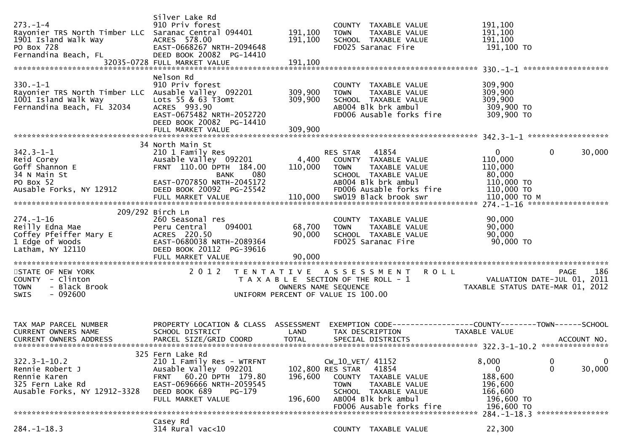| $273. - 1 - 4$<br>Rayonier TRS North Timber LLC Saranac Central 094401<br>1901 Island Walk Way<br>PO Box 728<br>Fernandina Beach, FL | Silver Lake Rd<br>910 Priv forest<br>ACRES 578.00<br>EAST-0668267 NRTH-2094648<br>DEED BOOK 20082 PG-14410<br>32035-0728 FULL MARKET VALUE                                                | 191,100<br>191,100<br>191,100          | COUNTY TAXABLE VALUE<br>TAXABLE VALUE<br><b>TOWN</b><br>SCHOOL TAXABLE VALUE<br>FD025 Saranac Fire                                         | 191,100<br>191,100<br>191,100<br>191,100 TO               |                                                   |
|--------------------------------------------------------------------------------------------------------------------------------------|-------------------------------------------------------------------------------------------------------------------------------------------------------------------------------------------|----------------------------------------|--------------------------------------------------------------------------------------------------------------------------------------------|-----------------------------------------------------------|---------------------------------------------------|
| $330. - 1 - 1$<br>Rayonier TRS North Timber LLC Ausable Valley 092201<br>1001 Island Walk Way<br>Fernandina Beach, FL 32034          | Nelson Rd<br>910 Priv forest<br>Lots 55 & 63 T3omt<br>ACRES 993.90<br>EAST-0675482 NRTH-2052720<br>DEED BOOK 20082 PG-14410<br>FULL MARKET VALUE                                          | 309,900<br>309,900<br>309,900          | COUNTY TAXABLE VALUE<br>TAXABLE VALUE<br><b>TOWN</b><br>SCHOOL TAXABLE VALUE<br>AB004 Blk brk ambul<br>FD006 Ausable forks fire            | 309,900<br>309,900<br>309,900<br>309,900 TO<br>309,900 TO |                                                   |
|                                                                                                                                      | 34 North Main St                                                                                                                                                                          |                                        |                                                                                                                                            |                                                           |                                                   |
| $342.3 - 1 - 1$<br>Reid Corey<br>Goff Shannon E<br>34 N Main St                                                                      | 210 1 Family Res<br>Ausable Valley 092201<br>FRNT 110.00 DPTH 184.00<br>080<br>BANK                                                                                                       | 4,400<br>110,000                       | 41854<br>RES STAR<br>COUNTY TAXABLE VALUE<br>TAXABLE VALUE<br><b>TOWN</b><br>SCHOOL TAXABLE VALUE                                          | $\mathbf{0}$<br>110,000<br>110,000<br>80,000              | $\mathbf{0}$<br>30,000                            |
| PO Box 52<br>Ausable Forks, NY 12912                                                                                                 | EAST-0707850 NRTH-2045172<br>DEED BOOK 20092 PG-25542<br>FULL MARKET VALUE                                                                                                                | 110,000                                | AB004 Blk brk ambul<br>FD006 Ausable forks fire<br>SW019 Black brook swr                                                                   | 110,000 TO<br>110,000 TO<br>110,000 ТО М                  |                                                   |
|                                                                                                                                      | 209/292 Birch Ln                                                                                                                                                                          |                                        |                                                                                                                                            |                                                           |                                                   |
| $274. - 1 - 16$<br>Reilly Edna Mae<br>Coffey Pfeiffer Mary E<br>1 Edge of Woods<br>Latham, NY 12110                                  | 260 Seasonal res<br>Peru Central<br>094001<br>ACRES 220.50<br>EAST-0680038 NRTH-2089364<br>DEED BOOK 20112 PG-39616                                                                       | 68,700<br>90,000                       | COUNTY TAXABLE VALUE<br>TAXABLE VALUE<br><b>TOWN</b><br>SCHOOL TAXABLE VALUE<br>FD025 Saranac Fire                                         | 90,000<br>90,000<br>90,000<br>90,000 TO                   |                                                   |
|                                                                                                                                      | FULL MARKET VALUE                                                                                                                                                                         | 90,000                                 |                                                                                                                                            |                                                           |                                                   |
| STATE OF NEW YORK<br>COUNTY - Clinton<br>- Black Brook<br><b>TOWN</b><br>$-092600$<br>SWIS                                           | 2 0 1 2                                                                                                                                                                                   | OWNERS NAME SEQUENCE                   | TENTATIVE ASSESSMENT<br><b>ROLL</b><br>T A X A B L E SECTION OF THE ROLL - 1<br>UNIFORM PERCENT OF VALUE IS 100.00                         | TAXABLE STATUS DATE-MAR 01, 2012                          | 186<br><b>PAGE</b><br>VALUATION DATE-JUL 01, 2011 |
| TAX MAP PARCEL NUMBER<br>CURRENT OWNERS NAME                                                                                         | PROPERTY LOCATION & CLASS ASSESSMENT<br>SCHOOL DISTRICT                                                                                                                                   | LAND                                   | TAX DESCRIPTION                                                                                                                            | <b>TAXABLE VALUE</b>                                      |                                                   |
| $322.3 - 1 - 10.2$<br>Rennie Robert J<br>Rennie Karen<br>325 Fern Lake Rd<br>Ausable Forks, NY 12912-3328                            | 325 Fern Lake Rd<br>210 1 Family Res - WTRFNT<br>Ausable Valley 092201<br>60.20 DPTH 179.80<br><b>FRNT</b><br>EAST-0696666 NRTH-2059545<br>DEED BOOK 689<br>$PG-179$<br>FULL MARKET VALUE | 102,800 RES STAR<br>196,600<br>196,600 | CW_10_VET/ 41152<br>41854<br><b>COUNTY</b><br>TAXABLE VALUE<br><b>TOWN</b><br>TAXABLE VALUE<br>SCHOOL TAXABLE VALUE<br>AB004 Blk brk ambul | 8,000<br>0<br>188,600<br>196,600<br>166,600<br>196,600 TO | 0<br>$\mathbf 0$<br>30,000<br>0                   |
|                                                                                                                                      |                                                                                                                                                                                           |                                        | FD006 Ausable forks fire                                                                                                                   | 196,600 TO                                                | 284. -1-18.3 *****************                    |
| $284. - 1 - 18.3$                                                                                                                    | Casey Rd<br>314 Rural vac<10                                                                                                                                                              |                                        | COUNTY TAXABLE VALUE                                                                                                                       | 22,300                                                    |                                                   |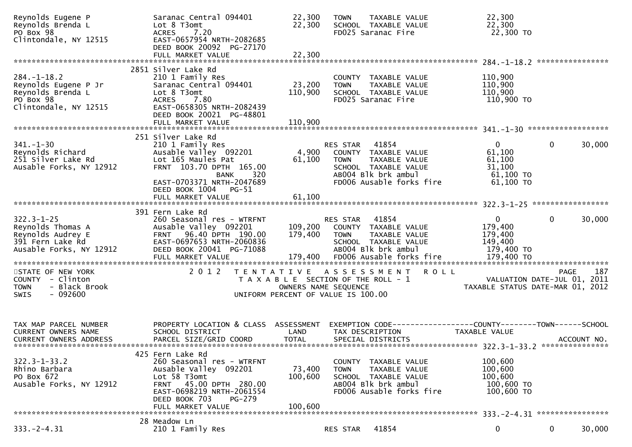| Reynolds Eugene P<br>Reynolds Brenda L<br>PO Box 98                                                       | Saranac Central 094401<br>Lot 8 T3omt<br>7.20<br><b>ACRES</b>                                                                                                                                        | 22,300<br>22,300                                                                                    | <b>TOWN</b>             | TAXABLE VALUE<br>SCHOOL TAXABLE VALUE<br>FD025 Saranac Fire                                                      | 22,300<br>22,300<br>22,300 TO                               |                                            |     |
|-----------------------------------------------------------------------------------------------------------|------------------------------------------------------------------------------------------------------------------------------------------------------------------------------------------------------|-----------------------------------------------------------------------------------------------------|-------------------------|------------------------------------------------------------------------------------------------------------------|-------------------------------------------------------------|--------------------------------------------|-----|
| Clintondale, NY 12515                                                                                     | EAST-0657954 NRTH-2082685<br>DEED BOOK 20092 PG-27170<br>FULL MARKET VALUE                                                                                                                           | 22,300                                                                                              |                         |                                                                                                                  |                                                             |                                            |     |
|                                                                                                           |                                                                                                                                                                                                      |                                                                                                     |                         |                                                                                                                  |                                                             |                                            |     |
| $284. - 1 - 18.2$<br>Reynolds Eugene P Jr<br>Reynolds Brenda L<br>PO Box 98<br>Clintondale, NY 12515      | 2851 Silver Lake Rd<br>210 1 Family Res<br>Saranac Central 094401<br>Lot 8 T3omt<br><b>ACRES</b><br>7.80<br>EAST-0658305 NRTH-2082439                                                                | 23,200<br>110,900                                                                                   | <b>TOWN</b>             | COUNTY TAXABLE VALUE<br>TAXABLE VALUE<br>SCHOOL TAXABLE VALUE<br>FD025 Saranac Fire                              | 110,900<br>110,900<br>110,900<br>110,900 TO                 |                                            |     |
|                                                                                                           | DEED BOOK 20021 PG-48801<br>FULL MARKET VALUE                                                                                                                                                        | 110,900                                                                                             |                         |                                                                                                                  |                                                             |                                            |     |
|                                                                                                           | 251 Silver Lake Rd                                                                                                                                                                                   |                                                                                                     |                         |                                                                                                                  |                                                             |                                            |     |
| $341. - 1 - 30$<br>Reynolds Richard<br>251 Silver Lake Rd<br>Ausable Forks, NY 12912                      | 210 1 Family Res<br>Ausable Valley 092201<br>Lot 165 Maules Pat<br>FRNT 103.70 DPTH 165.00<br>320<br><b>BANK</b>                                                                                     | 4,900<br>61,100                                                                                     | RES STAR<br><b>TOWN</b> | 41854<br>COUNTY TAXABLE VALUE<br>TAXABLE VALUE<br>SCHOOL TAXABLE VALUE<br>AB004 Blk brk ambul                    | $\overline{0}$<br>61,100<br>61,100<br>31,100<br>$61,100$ TO | $\mathbf{0}$<br>30,000                     |     |
|                                                                                                           | EAST-0703371 NRTH-2047689<br>DEED BOOK 1004 PG-51<br>FULL MARKET VALUE                                                                                                                               | 61,100                                                                                              |                         | FD006 Ausable forks fire                                                                                         | 61,100 TO                                                   |                                            |     |
|                                                                                                           |                                                                                                                                                                                                      |                                                                                                     |                         |                                                                                                                  |                                                             |                                            |     |
| $322.3 - 1 - 25$<br>Reynolds Thomas A<br>Reynolds Audrey E<br>391 Fern Lake Rd<br>Ausable Forks, NY 12912 | 391 Fern Lake Rd<br>260 Seasonal res - WTRFNT<br>Ausable Valley 092201<br>FRNT 96.40 DPTH 190.00<br>EAST-0697653 NRTH-2060836<br>DEED BOOK 20041 PG-71088                                            | 109,200<br>179,400                                                                                  | RES STAR<br><b>TOWN</b> | 41854<br>COUNTY TAXABLE VALUE<br>TAXABLE VALUE<br>SCHOOL TAXABLE VALUE<br>AB004 Blk brk ambul                    | $\mathbf 0$<br>179,400<br>179,400<br>149,400<br>179,400 TO  | 30,000<br>$\mathbf{0}$                     |     |
|                                                                                                           | FULL MARKET VALUE                                                                                                                                                                                    | 179,400                                                                                             |                         | FD006 Ausable forks fire                                                                                         | 179,400 TO                                                  |                                            |     |
| STATE OF NEW YORK<br>COUNTY - Clinton<br>- Black Brook<br><b>TOWN</b><br>SWIS<br>- 092600                 | 2012<br>T E N T A T I V E                                                                                                                                                                            | T A X A B L E SECTION OF THE ROLL - 1<br>OWNERS NAME SEQUENCE<br>UNIFORM PERCENT OF VALUE IS 100.00 |                         | A S S E S S M E N T<br><b>ROLL</b>                                                                               | TAXABLE STATUS DATE-MAR 01, 2012                            | <b>PAGE</b><br>VALUATION DATE-JUL 01, 2011 | 187 |
| TAX MAP PARCEL NUMBER<br>CURRENT OWNERS NAME<br>CURRENT OWNERS ADDRESS                                    | PROPERTY LOCATION & CLASS ASSESSMENT<br>SCHOOL DISTRICT<br>PARCEL SIZE/GRID COORD                                                                                                                    | LAND<br><b>TOTAL</b>                                                                                |                         | EXEMPTION        CODE------------------COUNTY-------TOWN------SCHOOL<br>TAX DESCRIPTION<br>SPECIAL DISTRICTS     | <b>TAXABLE VALUE</b>                                        | ACCOUNT NO.                                |     |
|                                                                                                           |                                                                                                                                                                                                      |                                                                                                     |                         |                                                                                                                  |                                                             |                                            |     |
| $322.3 - 1 - 33.2$<br>Rhino Barbara<br>PO Box 672<br>Ausable Forks, NY 12912                              | 425 Fern Lake Rd<br>260 Seasonal res - WTRFNT<br>Ausable Valley 092201<br>Lot 58 T3omt<br>FRNT 45.00 DPTH 280.00<br>EAST-0698219 NRTH-2061554<br>DEED BOOK 703<br><b>PG-279</b><br>FULL MARKET VALUE | 73,400<br>100,600<br>100,600                                                                        | <b>TOWN</b>             | COUNTY TAXABLE VALUE<br>TAXABLE VALUE<br>SCHOOL TAXABLE VALUE<br>AB004 Blk brk ambul<br>FD006 Ausable forks fire | 100,600<br>100,600<br>100,600<br>100,600 TO<br>100,600 TO   |                                            |     |
|                                                                                                           |                                                                                                                                                                                                      |                                                                                                     |                         |                                                                                                                  |                                                             |                                            |     |
| $333. -2 - 4.31$                                                                                          | 28 Meadow Ln<br>210 1 Family Res                                                                                                                                                                     |                                                                                                     | RES STAR                | 41854                                                                                                            | 0                                                           | 0<br>30,000                                |     |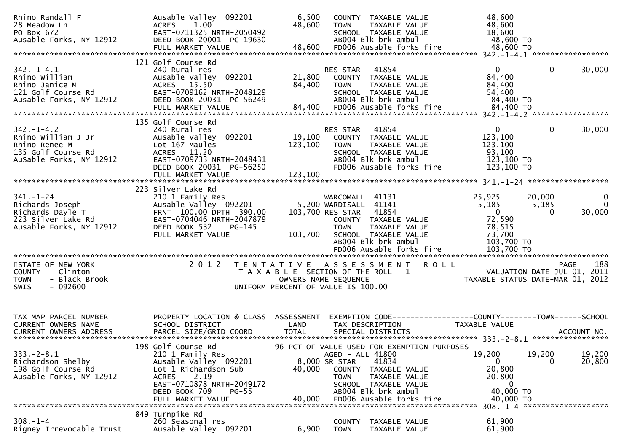| Rhino Randall F<br>28 Meadow Ln<br>PO Box 672<br>Ausable Forks, NY 12912                                 | Ausable Valley 092201<br>1.00<br><b>ACRES</b><br>EAST-0711325 NRTH-2050492<br>DEED BOOK 20001 PG-19630                                                                                        | 6,500<br>48,600              | COUNTY TAXABLE VALUE<br>TAXABLE VALUE<br><b>TOWN</b><br>SCHOOL TAXABLE VALUE<br>AB004 Blk brk ambul                                                                                                                             | 48,600<br>48,600<br>18,600<br>48,600 TO                                                   |                                                                                       |
|----------------------------------------------------------------------------------------------------------|-----------------------------------------------------------------------------------------------------------------------------------------------------------------------------------------------|------------------------------|---------------------------------------------------------------------------------------------------------------------------------------------------------------------------------------------------------------------------------|-------------------------------------------------------------------------------------------|---------------------------------------------------------------------------------------|
| $342. - 1 - 4.1$<br>Rhino William<br>Rhino Janice M<br>121 Golf Course Rd<br>Ausable Forks, NY 12912     | 121 Golf Course Rd<br>240 Rural res<br>Ausable Valley 092201<br>ACRES 15.50<br>EAST-0709162 NRTH-2048129<br>DEED BOOK 20031 PG-56249<br>FULL MARKET VALUE                                     | 21,800<br>84,400<br>84,400   | 41854<br>RES STAR<br>COUNTY TAXABLE VALUE<br><b>TOWN</b><br>TAXABLE VALUE<br>SCHOOL TAXABLE VALUE<br>AB004 Blk brk ambul<br>FD006 Ausable forks fire                                                                            | $\overline{0}$<br>84,400<br>84,400<br>54,400<br>84,400 TO<br>84,400 TO                    | $\mathbf{0}$<br>30,000                                                                |
| $342. - 1 - 4.2$<br>Rhino William J Jr<br>Rhino Renee M<br>135 Golf Course Rd<br>AuSable Forks, NY 12912 | 135 Golf Course Rd<br>240 Rural res<br>Ausable Valley 092201<br>Lot 167 Maules<br>ACRES 11.20<br>EAST-0709733 NRTH-2048431<br>DEED BOOK 20031 PG-56250<br>FULL MARKET VALUE                   | 19,100<br>123,100<br>123,100 | 41854<br>RES STAR<br>COUNTY TAXABLE VALUE<br>TAXABLE VALUE<br><b>TOWN</b><br>SCHOOL TAXABLE VALUE<br>AB004 Blk brk ambul<br>FD006 Ausable forks fire                                                                            | $\mathbf{0}$<br>123,100<br>123,100<br>93,100<br>123,100 TO<br>123,100 TO                  | 0<br>30,000                                                                           |
| $341. - 1 - 24$<br>Richards Joseph<br>Richards Dayle T<br>223 Silver Lake Rd<br>Ausable Forks, NY 12912  | 223 Silver Lake Rd<br>210 1 Family Res<br>Ausable Valley 092201<br>FRNT 100.00 DPTH 390.00<br>EAST-0704046 NRTH-2047879<br>DEED BOOK 532<br>$PG-145$<br>FULL MARKET VALUE                     | 103,700                      | WARCOMALL 41131<br>5,200 WARDISALL 41141<br>103,700 RES STAR<br>41854<br>COUNTY TAXABLE VALUE<br>TAXABLE VALUE<br><b>TOWN</b><br>SCHOOL TAXABLE VALUE<br>AB004 Blk brk ambul<br>FD006 Ausable forks fire                        | 25,925<br>5,185<br>$\mathbf{0}$<br>72,590<br>78,515<br>73,700<br>103,700 TO<br>103,700 TO | $\mathbf{0}$<br>20,000<br>$\mathbf{0}$<br>5,185<br>30,000<br>$\Omega$                 |
| STATE OF NEW YORK<br>COUNTY - Clinton<br>- Black Brook<br><b>TOWN</b><br>SWIS<br>- 092600                | 2 0 1 2                                                                                                                                                                                       |                              | TENTATIVE ASSESSMENT<br>T A X A B L E SECTION OF THE ROLL - 1<br>OWNERS NAME SEQUENCE<br>UNIFORM PERCENT OF VALUE IS 100.00                                                                                                     | <b>ROLL</b>                                                                               | 188<br><b>PAGE</b><br>VALUATION DATE-JUL 01, 2011<br>TAXABLE STATUS DATE-MAR 01, 2012 |
| TAX MAP PARCEL NUMBER<br>CURRENT OWNERS NAME                                                             | PROPERTY LOCATION & CLASS<br>SCHOOL DISTRICT                                                                                                                                                  | ASSESSMENT<br>LAND           | TAX DESCRIPTION                                                                                                                                                                                                                 | EXEMPTION CODE-----------------COUNTY-------TOWN------SCHOOL<br>TAXABLE VALUE             |                                                                                       |
| $333. -2 - 8.1$<br>Richardson Shelby<br>198 Golf Course Rd<br>Ausable Forks, NY 12912                    | 198 Golf Course Rd<br>210 1 Family Res<br>Ausable Valley 092201<br>Lot 1 Richardson Sub<br>2.19<br><b>ACRES</b><br>EAST-0710878 NRTH-2049172<br>DEED BOOK 709<br>$PG-55$<br>FULL MARKET VALUE | 40,000<br>40,000             | 96 PCT OF VALUE USED FOR EXEMPTION PURPOSES<br>AGED - ALL 41800<br>41834<br>8,000 SR STAR<br>TAXABLE VALUE<br>COUNTY<br><b>TOWN</b><br>TAXABLE VALUE<br>SCHOOL TAXABLE VALUE<br>AB004 Blk brk ambul<br>FD006 Ausable forks fire | 19,200<br>0<br>20,800<br>20,800<br>0<br>40,000 TO<br>40,000 TO                            | 19,200<br>19,200<br>20,800<br>$\Omega$<br>$308. - 1 - 4$ *********************        |
| $308. - 1 - 4$<br>Rigney Irrevocable Trust                                                               | 849 Turnpike Rd<br>260 Seasonal res<br>Ausable Valley 092201                                                                                                                                  | 6,900                        | TAXABLE VALUE<br><b>COUNTY</b><br><b>TOWN</b><br>TAXABLE VALUE                                                                                                                                                                  | 61,900<br>61,900                                                                          |                                                                                       |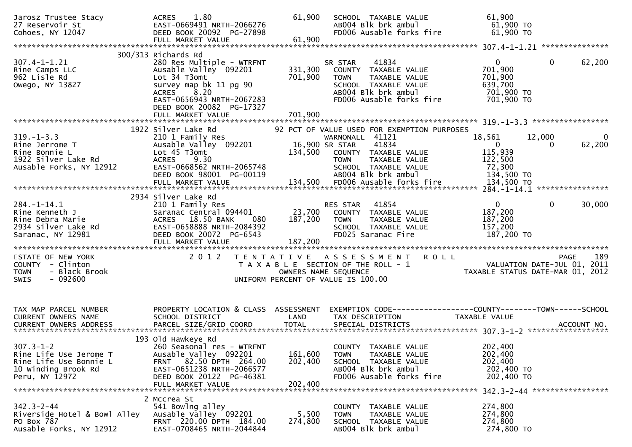| Jarosz Trustee Stacy<br>27 Reservoir St<br>Cohoes, NY 12047                                                  | 1.80<br><b>ACRES</b><br>EAST-0669491 NRTH-2066276<br>DEED BOOK 20092 PG-27898<br>FULL MARKET VALUE                                                                                                   | 61,900<br>61,900              | SCHOOL TAXABLE VALUE<br>AB004 Blk brk ambul<br>FD006 Ausable forks fire                                                                                                                          | 61,900<br>61,900 TO<br>61,900 TO                                            |                                       |
|--------------------------------------------------------------------------------------------------------------|------------------------------------------------------------------------------------------------------------------------------------------------------------------------------------------------------|-------------------------------|--------------------------------------------------------------------------------------------------------------------------------------------------------------------------------------------------|-----------------------------------------------------------------------------|---------------------------------------|
| $307.4 - 1 - 1.21$<br>Rine Camps LLC<br>962 Lisle Rd<br>Owego, NY 13827                                      | 300/313 Richards Rd<br>280 Res Multiple - WTRFNT<br>Ausable Valley 092201<br>Lot 34 T3omt<br>survey map bk 11 pg 90<br>8.20<br><b>ACRES</b><br>EAST-0656943 NRTH-2067283<br>DEED BOOK 20082 PG-17327 | 331,300<br>701,900            | 41834<br>SR STAR<br>COUNTY TAXABLE VALUE<br>TAXABLE VALUE<br><b>TOWN</b><br>SCHOOL TAXABLE VALUE<br>AB004 Blk brk ambul<br>FD006 Ausable forks fire                                              | $\overline{0}$<br>701,900<br>701,900<br>639,700<br>701,900 TO<br>701,900 TO | $\mathbf{0}$<br>62,200                |
|                                                                                                              |                                                                                                                                                                                                      |                               |                                                                                                                                                                                                  |                                                                             |                                       |
| $319. - 1 - 3.3$<br>Rine Jerrome T<br>Rine Bonnie L<br>1922 Silver Lake Rd<br>Ausable Forks, NY 12912        | 1922 Silver Lake Rd<br>210 1 Family Res<br>Ausable Valley 092201<br>Lot 45 T3omt<br><b>ACRES</b><br>9.30<br>EAST-0668562 NRTH-2065748<br>DEED BOOK 98001 PG-00119                                    | 134,500                       | 92 PCT OF VALUE USED FOR EXEMPTION PURPOSES<br>WARNONALL 41121<br>41834<br>16,900 SR STAR<br>COUNTY TAXABLE VALUE<br>TAXABLE VALUE<br><b>TOWN</b><br>SCHOOL TAXABLE VALUE<br>AB004 Blk brk ambul | 18,561<br>$\overline{0}$<br>115,939<br>122,500<br>72,300<br>134,500 TO      | 12,000<br>$\mathbf{0}$<br>62,200<br>0 |
|                                                                                                              | 2934 Silver Lake Rd                                                                                                                                                                                  |                               |                                                                                                                                                                                                  |                                                                             |                                       |
| $284. - 1 - 14.1$<br>Rine Kenneth J<br>Rine Debra Marie<br>2934 Silver Lake Rd<br>Saranac, NY 12981          | 210 1 Family Res<br>Saranac Central 094401<br>ACRES 18.50 BANK<br>- 080<br>EAST-0658888 NRTH-2084392<br>DEED BOOK 20072 PG-6543                                                                      | 23,700<br>187,200             | 41854<br>RES STAR<br>COUNTY TAXABLE VALUE<br><b>TOWN</b><br>TAXABLE VALUE<br>SCHOOL TAXABLE VALUE<br>FD025 Saranac Fire                                                                          | $\overline{0}$<br>187,200<br>187,200<br>157,200<br>187,200 TO               | $\mathbf{0}$<br>30,000                |
| STATE OF NEW YORK<br>COUNTY - Clinton<br>- Black Brook<br><b>TOWN</b><br><b>SWIS</b><br>- 092600             | 2 0 1 2                                                                                                                                                                                              |                               | TENTATIVE ASSESSMENT<br><b>ROLL</b><br>T A X A B L E SECTION OF THE ROLL - 1<br>OWNERS NAME SEQUENCE<br>UNIFORM PERCENT OF VALUE IS 100.00                                                       | VALUATION DATE-JUL 01, 2011<br>TAXABLE STATUS DATE-MAR 01, 2012             | 189<br><b>PAGE</b>                    |
| TAX MAP PARCEL NUMBER<br>CURRENT OWNERS NAME                                                                 | PROPERTY LOCATION & CLASS ASSESSMENT<br>SCHOOL DISTRICT                                                                                                                                              | LAND                          | EXEMPTION CODE------------------COUNTY--------TOWN------SCHOOL<br>TAX DESCRIPTION                                                                                                                | TAXABLE VALUE                                                               |                                       |
| $307.3 - 1 - 2$<br>Rine Life Use Jerome T<br>Rine Life Use Bonnie L<br>10 Winding Brook Rd<br>Peru, NY 12972 | 193 Old Hawkeye Rd<br>260 Seasonal res - WTRFNT<br>Ausable Valley 092201<br>FRNT 82.50 DPTH 264.00<br>EAST-0651238 NRTH-2066577<br>DEED BOOK 20122 PG-46381<br>FULL MARKET VALUE                     | 161,600<br>202,400<br>202,400 | COUNTY TAXABLE VALUE<br><b>TOWN</b><br>TAXABLE VALUE<br>SCHOOL TAXABLE VALUE<br>AB004 Blk brk ambul<br>FD006 Ausable forks fire                                                                  | 202,400<br>202,400<br>202,400<br>202,400 TO<br>202,400 TO                   |                                       |
| $342.3 - 2 - 44$<br>Riverside Hotel & Bowl Alley<br>PO Box 787<br>Ausable Forks, NY 12912                    | 2 Mccrea St<br>541 Bowlng alley<br>Ausable Valley 092201<br>FRNT 220.00 DPTH 184.00<br>EAST-0708465 NRTH-2044844                                                                                     | 5,500<br>274,800              | COUNTY TAXABLE VALUE<br><b>TOWN</b><br>TAXABLE VALUE<br>SCHOOL TAXABLE VALUE<br>AB004 Blk brk ambul                                                                                              | 274,800<br>274,800<br>274,800<br>274,800 TO                                 | 342.3-2-44 ******************         |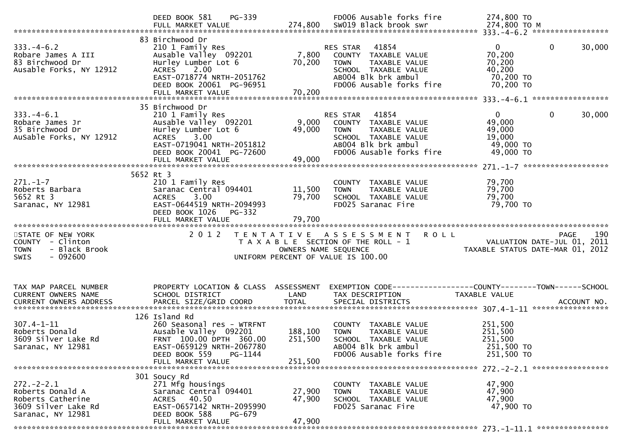|                                                                                                       | PG-339<br>DEED BOOK 581                                                                                                                                                            |                               | FD006 Ausable forks fire                                                                                                                             | 274,800 TO                                                                     |        |
|-------------------------------------------------------------------------------------------------------|------------------------------------------------------------------------------------------------------------------------------------------------------------------------------------|-------------------------------|------------------------------------------------------------------------------------------------------------------------------------------------------|--------------------------------------------------------------------------------|--------|
|                                                                                                       |                                                                                                                                                                                    |                               |                                                                                                                                                      |                                                                                |        |
| $333. -4 - 6.2$<br>Robare James A III<br>83 Birchwood Dr<br>Ausable Forks, NY 12912                   | 83 Birchwood Dr<br>210 1 Family Res<br>Ausable Valley 092201<br>Hurley Lumber Lot 6<br>ACRES 2.00<br>EAST-0718774 NRTH-2051762<br>DEED BOOK 20061 PG-96951<br>FULL MARKET VALUE    | 7,800<br>70,200<br>70,200     | 41854<br>RES STAR<br>COUNTY TAXABLE VALUE<br><b>TOWN</b><br>TAXABLE VALUE<br>SCHOOL TAXABLE VALUE<br>AB004 Blk brk ambul<br>FD006 Ausable forks fire | $\Omega$<br>$\Omega$<br>70,200<br>70,200<br>40,200<br>70,200 TO<br>70,200 TO   | 30,000 |
|                                                                                                       |                                                                                                                                                                                    |                               |                                                                                                                                                      |                                                                                |        |
| $333 - 4 - 6.1$<br>Robare James Jr<br>35 Birchwood Dr<br>AuSable Forks, NY 12912                      | 35 Birchwood Dr<br>210 1 Family Res<br>Ausable Valley 092201<br>Hurley Lumber Lot 6<br>3.00<br>ACRES<br>EAST-0719041 NRTH-2051812<br>DEED BOOK 20041 PG-72600<br>FULL MARKET VALUE | 9,000<br>49,000<br>49,000     | RES STAR 41854<br>COUNTY TAXABLE VALUE<br>TAXABLE VALUE<br><b>TOWN</b><br>SCHOOL TAXABLE VALUE<br>AB004 Blk brk ambul<br>FD006 Ausable forks fire    | 0<br>0<br>49,000<br>49,000<br>19,000<br>49,000 TO<br>49,000 TO                 | 30,000 |
|                                                                                                       |                                                                                                                                                                                    |                               |                                                                                                                                                      |                                                                                |        |
| $271. - 1 - 7$<br>Roberts Barbara<br>5652 Rt 3<br>Saranac, NY 12981                                   | 5652 Rt 3<br>210 1 Family Res<br>Saranac Central 094401<br>3.00<br><b>ACRES</b><br>EAST-0644519 NRTH-2094993<br>DEED BOOK 1026<br>PG-332                                           | 11,500<br>79,700              | COUNTY TAXABLE VALUE<br><b>TOWN</b><br>TAXABLE VALUE<br>SCHOOL TAXABLE VALUE<br>FD025 Saranac Fire                                                   | 79,700<br>79,700<br>79,700<br>79,700 TO                                        |        |
|                                                                                                       |                                                                                                                                                                                    |                               |                                                                                                                                                      |                                                                                |        |
|                                                                                                       | FULL MARKET VALUE                                                                                                                                                                  | 79,700                        |                                                                                                                                                      |                                                                                |        |
| STATE OF NEW YORK<br>COUNTY - Clinton<br>- Black Brook<br><b>TOWN</b><br>$-092600$<br><b>SWIS</b>     | 2 0 1 2                                                                                                                                                                            | OWNERS NAME SEQUENCE          | TENTATIVE ASSESSMENT ROLL<br>T A X A B L E SECTION OF THE ROLL - 1<br>UNIFORM PERCENT OF VALUE IS 100.00                                             | <b>PAGE</b><br>VALUATION DATE-JUL 01, 2011<br>TAXABLE STATUS DATE-MAR 01, 2012 | 190    |
| TAX MAP PARCEL NUMBER<br>CURRENT OWNERS NAME                                                          | PROPERTY LOCATION & CLASS ASSESSMENT<br>SCHOOL DISTRICT                                                                                                                            | LAND                          | EXEMPTION CODE-----------------COUNTY-------TOWN------SCHOOL<br>TAX DESCRIPTION                                                                      | TAXABLE VALUE                                                                  |        |
| $307.4 - 1 - 11$<br>Roberts Donald<br>3609 Silver Lake Rd<br>Saranac, NY 12981                        | 126 Island Rd<br>260 Seasonal res - WTRFNT<br>Ausable Valley 092201<br>FRNT 100.00 DPTH 360.00<br>EAST-0659129 NRTH-2067780<br>DEED BOOK 559<br>PG-1144<br>FULL MARKET VALUE       | 188,100<br>251,500<br>251,500 | COUNTY TAXABLE VALUE<br>TAXABLE VALUE<br><b>TOWN</b><br>SCHOOL TAXABLE VALUE<br>AB004 Blk brk ambul<br>FD006 Ausable forks fire                      | 251,500<br>251,500<br>251,500<br>251,500 TO<br>251,500 TO                      |        |
|                                                                                                       |                                                                                                                                                                                    |                               |                                                                                                                                                      |                                                                                |        |
| $272. - 2 - 2.1$<br>Roberts Donald A<br>Roberts Catherine<br>3609 Silver Lake Rd<br>Saranac, NY 12981 | 301 Soucy Rd<br>271 Mfg housings<br>Saranac Central 094401<br>ACRES 40.50<br>EAST-0657142 NRTH-2095990<br>DEED BOOK 588<br>PG-679<br>FULL MARKET VALUE                             | 27,900<br>47,900<br>47,900    | COUNTY TAXABLE VALUE<br>TAXABLE VALUE<br><b>TOWN</b><br>SCHOOL TAXABLE VALUE<br>FD025 Saranac Fire                                                   | 47,900<br>47,900<br>47,900<br>47,900 TO                                        |        |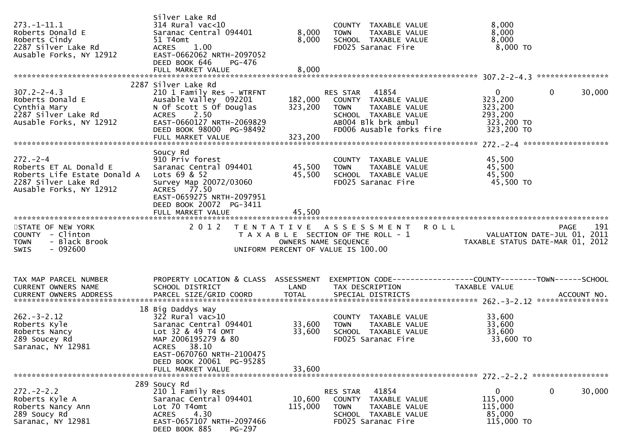| $273. - 1 - 11.1$<br>Roberts Donald E<br>Roberts Cindy<br>2287 Silver Lake Rd<br>Ausable Forks, NY 12912                  | Silver Lake Rd<br>$314$ Rural vac<10<br>Saranac Central 094401<br>51 T4omt<br>ACRES 1.00<br>EAST-0662062 NRTH-2097052<br>DEED BOOK 646<br>PG-476<br>FULL MARKET VALUE     | 8,000<br>8,000<br>8,000       | COUNTY TAXABLE VALUE<br>TAXABLE VALUE<br><b>TOWN</b><br>SCHOOL TAXABLE VALUE<br>FD025 Saranac Fire                                                | 8,000<br>8,000<br>8,000<br>8,000 TO                                                                           |
|---------------------------------------------------------------------------------------------------------------------------|---------------------------------------------------------------------------------------------------------------------------------------------------------------------------|-------------------------------|---------------------------------------------------------------------------------------------------------------------------------------------------|---------------------------------------------------------------------------------------------------------------|
|                                                                                                                           | 2287 Silver Lake Rd                                                                                                                                                       |                               |                                                                                                                                                   |                                                                                                               |
| $307.2 - 2 - 4.3$<br>Roberts Donald E<br>Cynthia Mary<br>2287 Silver Lake Rd<br>Ausable Forks, NY 12912                   | 210 1 Family Res - WTRFNT<br>Ausable Valley 092201<br>N Of Scott S Of Douglas<br>ACRES 2.50<br>EAST-0660127 NRTH-2069829<br>DEED BOOK 98000 PG-98492<br>FULL MARKET VALUE | 182,000<br>323,200<br>323,200 | RES STAR 41854<br>COUNTY TAXABLE VALUE<br>TAXABLE VALUE<br><b>TOWN</b><br>SCHOOL TAXABLE VALUE<br>AB004 Blk brk ambul<br>FD006 Ausable forks fire | $\mathbf 0$<br>$\mathbf{0}$<br>30,000<br>323,200<br>323,200<br>293,200<br>323,200 TO<br>323,200 TO            |
|                                                                                                                           | Soucy Rd                                                                                                                                                                  |                               |                                                                                                                                                   |                                                                                                               |
| $272 - 2 - 4$<br>Roberts ET AL Donald E<br>Roberts Life Estate Donald A<br>2287 Silver Lake Rd<br>Ausable Forks, NY 12912 | 910 Priv forest<br>Saranac Central 094401<br>Lots 69 & 52<br>Survey Map 20072/03060<br>ACRES 77.50<br>EAST-0659275 NRTH-2097951<br>DEED BOOK 20072 PG-3411                | 45,500<br>45,500              | COUNTY TAXABLE VALUE<br>TAXABLE VALUE<br><b>TOWN</b><br>SCHOOL TAXABLE VALUE<br>FD025 Saranac Fire                                                | 45,500<br>45,500<br>45,500<br>45,500 TO                                                                       |
|                                                                                                                           | FULL MARKET VALUE                                                                                                                                                         | 45,500                        |                                                                                                                                                   |                                                                                                               |
| STATE OF NEW YORK<br>COUNTY - Clinton<br>- Black Brook<br><b>TOWN</b><br>$-092600$<br><b>SWIS</b>                         | 2 0 1 2                                                                                                                                                                   |                               | TENTATIVE ASSESSMENT ROLL<br>UNIFORM PERCENT OF VALUE IS 100.00                                                                                   | 191<br>PAGE<br>T A X A B L E SECTION OF THE ROLL - 1<br>OWNERS NAME SEQUENCE TAXABLE STATUS DATE-MAR 01, 2012 |
| TAX MAP PARCEL NUMBER<br>CURRENT OWNERS NAME                                                                              | PROPERTY LOCATION & CLASS ASSESSMENT<br>SCHOOL DISTRICT                                                                                                                   | LAND                          | TAX DESCRIPTION                                                                                                                                   | EXEMPTION CODE------------------COUNTY--------TOWN------SCHOOL<br>TAXABLE VALUE                               |
|                                                                                                                           |                                                                                                                                                                           |                               |                                                                                                                                                   |                                                                                                               |
| $262 - 3 - 2.12$<br>Roberts Kyle<br>Roberts Nancy<br>289 Soucey Rd<br>Saranac, NY 12981                                   | 18 Big Daddys Way<br>$322$ Rural vac $>10$<br>Saranac Central 094401<br>Lot 32 & 49 T4 OMT<br>MAP 2006195279 & 80<br>ACRES 38.10<br>EAST-0670760 NRTH-2100475             | 33,600<br>33,600              | COUNTY TAXABLE VALUE<br>TAXABLE VALUE<br><b>TOWN</b><br>SCHOOL TAXABLE VALUE<br>FD025 Saranac Fire                                                | 33,600<br>33,600<br>33,600<br>33,600 TO                                                                       |
|                                                                                                                           | DEED BOOK 20061 PG-95285<br>FULL MARKET VALUE                                                                                                                             | 33,600                        |                                                                                                                                                   |                                                                                                               |
|                                                                                                                           | 289 Soucy Rd                                                                                                                                                              |                               |                                                                                                                                                   |                                                                                                               |
| $272 - 2 - 2.2$<br>Roberts Kyle A<br>Roberts Nancy Ann                                                                    | 210 1 Family Res<br>Saranac Central 094401                                                                                                                                | 10,600                        | RES STAR<br>41854<br>COUNTY TAXABLE VALUE                                                                                                         | 0<br>0<br>30,000<br>115,000                                                                                   |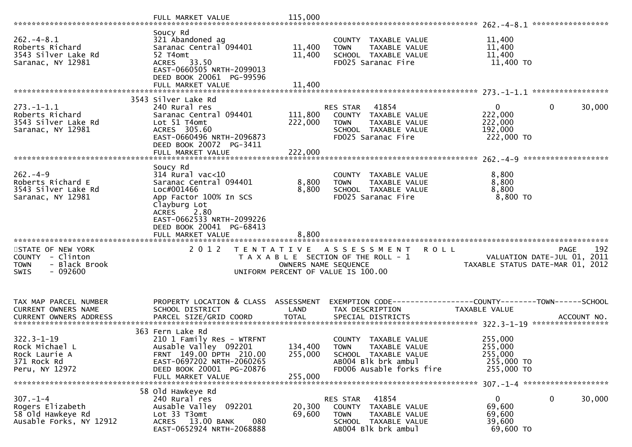|                                                                                                   | FULL MARKET VALUE                                                                                                                                                               | 115,000                       |                                                                                                                                 |                                                                                                            |
|---------------------------------------------------------------------------------------------------|---------------------------------------------------------------------------------------------------------------------------------------------------------------------------------|-------------------------------|---------------------------------------------------------------------------------------------------------------------------------|------------------------------------------------------------------------------------------------------------|
| $262. -4 - 8.1$<br>Roberts Richard<br>3543 Silver Lake Rd<br>Saranac, NY 12981                    | Soucy Rd<br>321 Abandoned ag<br>Saranac Central 094401<br>52 T4omt<br>ACRES 33.50<br>EAST-0660505 NRTH-2099013<br>DEED BOOK 20061 PG-99596<br>FULL MARKET VALUE                 | 11,400<br>11,400<br>11,400    | COUNTY TAXABLE VALUE<br><b>TOWN</b><br>TAXABLE VALUE<br>SCHOOL TAXABLE VALUE<br>FD025 Saranac Fire                              | 11,400<br>11,400<br>11,400<br>11,400 TO                                                                    |
|                                                                                                   |                                                                                                                                                                                 |                               |                                                                                                                                 |                                                                                                            |
| $273. - 1 - 1.1$<br>Roberts Richard<br>3543 Silver Lake Rd<br>Saranac, NY 12981                   | 3543 Silver Lake Rd<br>240 Rural res<br>Saranac Central 094401<br>Lot 51 T4omt<br>ACRES 305.60<br>EAST-0660496 NRTH-2096873<br>DEED BOOK 20072 PG-3411                          | 111,800<br>222,000            | 41854<br>RES STAR<br>COUNTY TAXABLE VALUE<br>TAXABLE VALUE<br><b>TOWN</b><br>SCHOOL TAXABLE VALUE<br>FD025 Saranac Fire         | $\mathbf{0}$<br>$\mathbf 0$<br>30,000<br>222,000<br>222,000<br>192,000<br>222,000 TO                       |
|                                                                                                   |                                                                                                                                                                                 |                               |                                                                                                                                 |                                                                                                            |
| $262 - 4 - 9$<br>Roberts Richard E<br>3543 Silver Lake Rd<br>Saranac, NY 12981                    | Soucy Rd<br>$314$ Rural vac<10<br>Saranac Central 094401<br>Loc#001466<br>App Factor 100% In SCS<br>Clayburg Lot<br>ACRES 2.80                                                  | 8,800<br>8,800                | COUNTY TAXABLE VALUE<br>TAXABLE VALUE<br><b>TOWN</b><br>SCHOOL TAXABLE VALUE<br>FD025 Saranac Fire                              | 8,800<br>8,800<br>8,800<br>8,800 TO                                                                        |
| STATE OF NEW YORK<br>COUNTY - Clinton<br>- Black Brook<br><b>TOWN</b><br>$-092600$<br><b>SWIS</b> | EAST-0662533 NRTH-2099226<br>DEED BOOK 20041 PG-68413<br>2 0 1 2                                                                                                                | OWNERS NAME SEQUENCE          | TENTATIVE ASSESSMENT<br>R O L L<br>T A X A B L E SECTION OF THE ROLL - 1<br>UNIFORM PERCENT OF VALUE IS 100.00                  | 192<br>PAGE<br>VALUATION DATE-JUL 01, 2011<br>TAXABLE STATUS DATE-MAR 01, 2012                             |
|                                                                                                   |                                                                                                                                                                                 |                               |                                                                                                                                 |                                                                                                            |
| TAX MAP PARCEL NUMBER<br>CURRENT OWNERS NAME<br><b>CURRENT OWNERS ADDRESS</b>                     | PROPERTY LOCATION & CLASS ASSESSMENT<br>SCHOOL DISTRICT<br>PARCEL SIZE/GRID COORD                                                                                               | LAND<br><b>TOTAL</b>          | TAX DESCRIPTION<br>SPECIAL DISTRICTS                                                                                            | EXEMPTION        CODE-----------------COUNTY-------TOWN------SCHOOL<br><b>TAXABLE VALUE</b><br>ACCOUNT NO. |
| $322.3 - 1 - 19$<br>Rock Michael L<br>Rock Laurie A<br>371 Rock Rd<br>Peru, NY 12972              | 363 Fern Lake Rd<br>210 1 Family Res - WTRFNT<br>Ausable Valley 092201<br>FRNT 149.00 DPTH 210.00<br>EAST-0697202 NRTH-2060265<br>DEED BOOK 20001 PG-20876<br>FULL MARKET VALUE | 134,400<br>255,000<br>255,000 | COUNTY TAXABLE VALUE<br><b>TOWN</b><br>TAXABLE VALUE<br>SCHOOL TAXABLE VALUE<br>AB004 Blk brk ambul<br>FD006 Ausable forks fire | 255,000<br>255,000<br>255,000<br>255,000 TO<br>255,000 TO<br>$307. - 1 - 4$ *********************          |
|                                                                                                   | 58 Old Hawkeye Rd                                                                                                                                                               |                               |                                                                                                                                 |                                                                                                            |
| $307. - 1 - 4$<br>Rogers Elizabeth<br>58 Old Hawkeye Rd<br>Ausable Forks, NY 12912                | 240 Rural res<br>Ausable Valley 092201<br>Lot 33 T3omt<br>ACRES 13.00 BANK<br>080<br>EAST-0652924 NRTH-2068888                                                                  | 20,300<br>69,600              | 41854<br>RES STAR<br>COUNTY<br>TAXABLE VALUE<br><b>TOWN</b><br>TAXABLE VALUE<br>SCHOOL TAXABLE VALUE<br>AB004 Blk brk ambul     | 0<br>$\mathbf{0}$<br>30,000<br>69,600<br>69,600<br>39,600<br>69,600 TO                                     |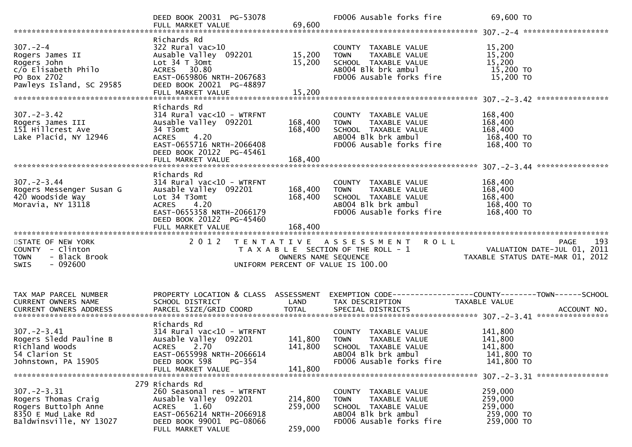|                                                                                                                   | DEED BOOK 20031 PG-53078<br>FULL MARKET VALUE                                                                                                                                           | 69,600                        | FD006 Ausable forks fire                                                                                                           | 69,600 TO                                                                       |
|-------------------------------------------------------------------------------------------------------------------|-----------------------------------------------------------------------------------------------------------------------------------------------------------------------------------------|-------------------------------|------------------------------------------------------------------------------------------------------------------------------------|---------------------------------------------------------------------------------|
| $307 - 2 - 4$<br>Rogers James II<br>Rogers John<br>c/o Elisabeth Philo<br>PO Box 2702<br>Pawleys Island, SC 29585 | Richards Rd<br>322 Rural vac>10<br>Ausable Valley 092201<br>Lot $34$ T $30$ mt<br>ACRES 30.80<br>EAST-0659806 NRTH-2067683<br>DEED BOOK 20021 PG-48897<br>FULL MARKET VALUE             | 15,200<br>15,200<br>15,200    | COUNTY TAXABLE VALUE<br><b>TOWN</b><br>TAXABLE VALUE<br>SCHOOL TAXABLE VALUE<br>AB004 Blk brk ambul<br>FD006 Ausable forks fire    | 15,200<br>15,200<br>15,200<br>15,200 TO<br>15,200 TO                            |
| $307 - 2 - 3.42$<br>Rogers James III<br>151 Hillcrest Ave<br>Lake Placid, NY 12946                                | Richards Rd<br>$314$ Rural vac<10 - WTRFNT<br>Ausable Valley 092201<br>34 T3omt<br>ACRES 4.20<br>EAST-0655716 NRTH-2066408<br>DEED BOOK 20122 PG-45461                                  | 168,400<br>168,400            | COUNTY TAXABLE VALUE<br><b>TOWN</b><br>TAXABLE VALUE<br>SCHOOL TAXABLE VALUE<br>AB004 Blk brk ambul<br>FD006 Ausable forks fire    | 168,400<br>168,400<br>168,400<br>168,400 TO<br>168,400 TO                       |
| $307. - 2 - 3.44$<br>Rogers Messenger Susan G<br>420 Woodside Way<br>Moravia, NY 13118                            | Richards Rd<br>314 Rural vac<10 - WTRFNT<br>Ausable Valley 092201<br>Lot 34 T3omt<br><b>ACRES</b><br>4.20<br>EAST-0655358 NRTH-2066179<br>DEED BOOK 20122 PG-45460<br>FULL MARKET VALUE | 168,400<br>168,400<br>168,400 | COUNTY TAXABLE VALUE<br><b>TOWN</b><br>TAXABLE VALUE<br>SCHOOL TAXABLE VALUE<br>AB004 Blk brk ambul<br>FD006 Ausable forks fire    | 168,400<br>168,400<br>168,400<br>168,400 TO<br>168,400 TO                       |
| STATE OF NEW YORK<br>COUNTY - Clinton<br>- Black Brook<br><b>TOWN</b><br>$-092600$<br><b>SWIS</b>                 | 2 0 1 2                                                                                                                                                                                 | OWNERS NAME SEQUENCE          | TENTATIVE ASSESSMENT ROLL<br>T A X A B L E SECTION OF THE ROLL - 1<br>UNIFORM PERCENT OF VALUE IS 100.00                           | 193<br>PAGE<br>VALUATION DATE-JUL 01, 2011<br>TAXABLE STATUS DATE-MAR 01, 2012  |
| TAX MAP PARCEL NUMBER<br>CURRENT OWNERS NAME<br><b>CURRENT OWNERS ADDRESS</b>                                     | PROPERTY LOCATION & CLASS ASSESSMENT<br>SCHOOL DISTRICT                                                                                                                                 | LAND                          | TAX DESCRIPTION                                                                                                                    | EXEMPTION CODE------------------COUNTY--------TOWN------SCHOOL<br>TAXABLE VALUE |
| $307. - 2 - 3.41$<br>Rogers Sledd Pauline B<br>Richland Woods<br>54 Clarion St<br>Johnstown, PA 15905             | Richards Rd<br>$314$ Rural vac<10 - WTRFNT<br>Ausable Valley 092201<br>ACRES 2.70<br>EAST-0655998 NRTH-2066614<br>DEED BOOK 598<br>PG-354<br>FULL MARKET VALUE                          | 141,800<br>141,800<br>141,800 | COUNTY TAXABLE VALUE<br><b>TOWN</b><br>TAXABLE VALUE<br>SCHOOL TAXABLE VALUE<br>AB004 Blk brk ambul<br>FD006 Ausable forks fire    | 141,800<br>141,800<br>141,800<br>141,800 TO<br>141,800 TO                       |
|                                                                                                                   |                                                                                                                                                                                         |                               |                                                                                                                                    |                                                                                 |
| $307. - 2 - 3.31$<br>Rogers Thomas Craig<br>Rogers Buttolph Anne<br>8350 E Mud Lake Rd<br>Baldwinsville, NY 13027 | 279 Richards Rd<br>260 Seasonal res - WTRFNT<br>Ausable Valley 092201<br>ACRES 1.60<br>EAST-0656214 NRTH-2066918<br>DEED BOOK 99001 PG-08066<br>FULL MARKET VALUE                       | 214,800<br>259,000<br>259,000 | COUNTY<br>TAXABLE VALUE<br><b>TOWN</b><br>TAXABLE VALUE<br>SCHOOL TAXABLE VALUE<br>AB004 Blk brk ambul<br>FD006 Ausable forks fire | 259,000<br>259,000<br>259,000<br>259,000 TO<br>259,000 TO                       |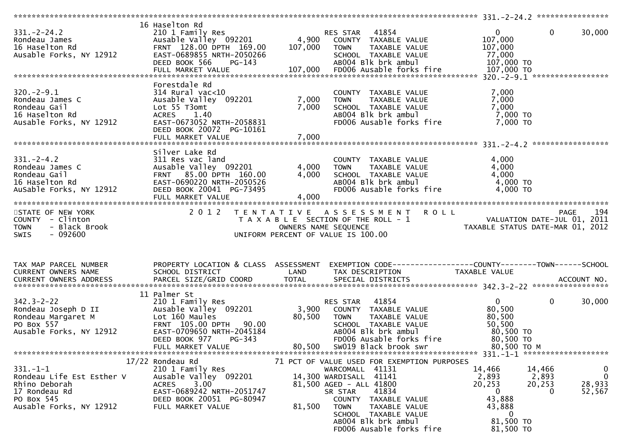| $331 - 2 - 24.2$<br>Rondeau <sup>1</sup> James<br>16 Haselton Rd<br>Ausable Forks, NY 12912<br>$320. -2 - 9.1$<br>Rondeau James C<br>Rondeau Gail<br>16 Haselton Rd<br>Ausable Forks, NY 12912 | 16 Haselton Rd<br>210 1 Family Res<br>Ausable Valley 092201 1992 4,900 COUNTY TAXABLE VALUE<br>FRNT 128.00 DPTH 169.00<br>EAST-0689855 NRTH-2050266<br>DEED BOOK 566<br>PG-143<br>Forestdale Rd<br>$314$ Rural vac< $10$<br>Ausable Valley 092201<br>Lot 55 T3omt<br>ACRES 1.40<br>ACRES      1.40<br>EAST-0673052  NRTH-2058831 | $7,000$ TOWN<br>7,000                         | 107,000 TOWN<br>TAXABLE VALUE<br>SCHOOL TAXABLE VALUE<br>ABOO4 Blk brk ambul<br>COUNTY TAXABLE VALUE<br>TAXABLE VALUE<br>SCHOOL TAXABLE VALUE<br>ABOO4 Blk brk ambul<br>FD006 Ausable forks fire                                                                           | 0<br>107,000<br>107,000<br>77,000<br>107,000 TO<br>7,000<br>7,000<br>7,000<br>7,000 TO<br>7,000 TO                          | $\overline{0}$<br>30,000                            |
|------------------------------------------------------------------------------------------------------------------------------------------------------------------------------------------------|----------------------------------------------------------------------------------------------------------------------------------------------------------------------------------------------------------------------------------------------------------------------------------------------------------------------------------|-----------------------------------------------|----------------------------------------------------------------------------------------------------------------------------------------------------------------------------------------------------------------------------------------------------------------------------|-----------------------------------------------------------------------------------------------------------------------------|-----------------------------------------------------|
|                                                                                                                                                                                                | DEED BOOK 20072 PG-10161                                                                                                                                                                                                                                                                                                         |                                               |                                                                                                                                                                                                                                                                            |                                                                                                                             |                                                     |
| $331 - 2 - 4.2$<br>Rondeau James C<br>Rondeau Gail<br>16 Haselton Rd<br>AuSable Forks, NY 12912                                                                                                | Silver Lake Rd<br>311 Res vac land<br>Ausable Valley 092201<br>FRNT 85.00 DPTH 160.00<br>EAST-0690220 NRTH-2050526<br>DEED BOOK 20041 PG-73495<br>FULL MARKET VALUE                                                                                                                                                              | 4,000      TOWN<br>4,000      SCHOOL<br>4,000 | COUNTY TAXABLE VALUE<br>4,000 TOWN TAXABLE VALUE<br>4,000 SCHOOL TAXABLE VALUE<br>AB004 Blk brk ambul<br>FD006 Ausable forks fire                                                                                                                                          | 4,000<br>4,000<br>4,000<br>4,000 TO<br>4,000 TO                                                                             |                                                     |
| STATE OF NEW YORK<br>COUNTY - Clinton<br>- Black Brook<br><b>TOWN</b><br>- 092600<br>SWIS                                                                                                      |                                                                                                                                                                                                                                                                                                                                  |                                               | 2012 TENTATIVE ASSESSMENT ROLL<br>T A X A B L E SECTION OF THE ROLL - 1<br>OWNERS NAME SEQUENCE THE ROLL - 1<br>UNIFORM PERCENT OF VALUE IS 100.00<br>UNIFORM PERCENT OF VALUE IS 100.00                                                                                   |                                                                                                                             | 194<br>PAGE                                         |
| TAX MAP PARCEL NUMBER                                                                                                                                                                          | PROPERTY LOCATION & CLASS ASSESSMENT                                                                                                                                                                                                                                                                                             |                                               | EXEMPTION CODE-----------------COUNTY-------TOWN------SCHOOL                                                                                                                                                                                                               |                                                                                                                             |                                                     |
| $342.3 - 2 - 22$<br>Rondeau Joseph D II<br>Rondeau Margaret M<br>PO Box 557<br>Ausable Forks, NY 12912                                                                                         | 11 Palmer St<br>210 1 Family Res<br>Lot 160 Maules<br>FRNT 105.00 DPTH 90.00<br>EAST-0709650 NRTH-2045184<br>DEED BOOK 977<br>PG-343<br>FULL MARKET VALUE                                                                                                                                                                        | 80,500                                        | RES STAR 41854<br>Ausable Valley 092201 3,900 COUNTY TAXABLE VALUE<br>TAXABLE VALUE<br><b>TOWN</b><br>SCHOOL TAXABLE VALUE<br>ABOO4 Blk brk ambul<br>FD006 Ausable forks fire<br>80,500 SW019 Black brook swr                                                              | $\overline{0}$<br>80,500<br>80,500<br>50,500<br>80,500 TO<br>80,500 TO<br>80,500 ТО М                                       | $\mathbf 0$<br>30,000                               |
| $331. - 1 - 1$<br>Rondeau Life Est Esther V<br>Rhino Deborah<br>17 Rondeau Rd<br>PO Box 545<br>Ausable Forks, NY 12912                                                                         | 17/22 Rondeau Rd<br>210 1 Family Res<br>Ausable Valley 092201<br><b>ACRES</b><br>3.00<br>EAST-0689242 NRTH-2051747<br>DEED BOOK 20051 PG-80947<br>FULL MARKET VALUE                                                                                                                                                              | 81,500                                        | 71 PCT OF VALUE USED FOR EXEMPTION PURPOSES<br>WARCOMALL 41131<br>14,300 WARDISALL 41141<br>81,500 AGED - ALL 41800<br>41834<br>SR STAR<br>COUNTY TAXABLE VALUE<br><b>TOWN</b><br>TAXABLE VALUE<br>SCHOOL TAXABLE VALUE<br>AB004 Blk brk ambul<br>FD006 Ausable forks fire | 14,466<br>14,466<br>2,893<br>2,893<br>20,253<br>20,253<br>$\overline{0}$<br>43,888<br>43,888<br>0<br>81,500 TO<br>81,500 TO | $\bf{0}$<br>$\overline{0}$<br>28,933<br>52,567<br>0 |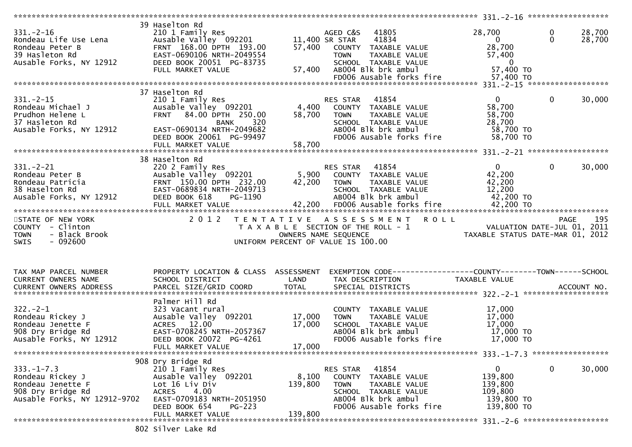|                                                                                                                                                                                               | 39 Haselton Rd                                                                                   |             |                                                              |                                                                                      |              |        |
|-----------------------------------------------------------------------------------------------------------------------------------------------------------------------------------------------|--------------------------------------------------------------------------------------------------|-------------|--------------------------------------------------------------|--------------------------------------------------------------------------------------|--------------|--------|
| Produced use the control of the Musable Valley Captian Condeau Peter B<br>Rondeau Peter B<br>39 Hasleton Rd<br>Ausable Forks, NY 12912<br>Ausable Forks, NY 12912<br>DEED BOOK 20051 PG-83735 | 210 1 Family Res<br>Ausable Valley  092201                                                       |             | AGED C&S 41805                                               | 28,700                                                                               | $\mathbf 0$  | 28,700 |
|                                                                                                                                                                                               |                                                                                                  |             | 11,400 SR STAR<br>41834                                      | $\overline{\mathbf{0}}$                                                              | $\Omega$     | 28,700 |
|                                                                                                                                                                                               |                                                                                                  |             | 57,400 COUNTY TAXABLE VALUE                                  | 28,700                                                                               |              |        |
|                                                                                                                                                                                               |                                                                                                  |             | <b>TOWN</b><br>TAXABLE VALUE                                 | 57,400                                                                               |              |        |
|                                                                                                                                                                                               |                                                                                                  |             | SCHOOL TAXABLE VALUE                                         | $\overline{\mathbf{0}}$                                                              |              |        |
|                                                                                                                                                                                               |                                                                                                  |             | 57,400 AB004 Blk brk ambul                                   | 57,400 TO                                                                            |              |        |
|                                                                                                                                                                                               | FULL MARKET VALUE                                                                                |             |                                                              |                                                                                      |              |        |
|                                                                                                                                                                                               |                                                                                                  |             |                                                              |                                                                                      |              |        |
|                                                                                                                                                                                               |                                                                                                  |             |                                                              |                                                                                      |              |        |
|                                                                                                                                                                                               | 37 Haselton Rd                                                                                   |             |                                                              |                                                                                      |              |        |
| $331 - 2 - 15$                                                                                                                                                                                | 210 1 Family Res                                                                                 |             |                                                              | $\overline{0}$                                                                       | $\mathbf 0$  | 30,000 |
| Rondeau Michael J                                                                                                                                                                             | Ausable Valley 092201                                                                            |             | RES STAR 41854<br>4,400 COUNTY TAXABLE VALUE                 | 58,700                                                                               |              |        |
| Prudhon Helene L                                                                                                                                                                              | FRNT 84.00 DPTH 250.00                                                                           | 58,700      | TAXABLE VALUE<br><b>TOWN</b>                                 | 58,700                                                                               |              |        |
| 37 Hasleton Rd                                                                                                                                                                                | 320<br>BANK                                                                                      |             | SCHOOL TAXABLE VALUE                                         | 28,700                                                                               |              |        |
| Ausable Forks, NY 12912                                                                                                                                                                       | EAST-0690134 NRTH-2049682                                                                        |             | AB004 Blk brk ambul                                          | 58,700 TO                                                                            |              |        |
|                                                                                                                                                                                               | DEED BOOK 20061 PG-99497                                                                         |             | FD006 Ausable forks fire                                     | 58,700 TO                                                                            |              |        |
|                                                                                                                                                                                               |                                                                                                  |             |                                                              |                                                                                      |              |        |
|                                                                                                                                                                                               |                                                                                                  |             |                                                              |                                                                                      |              |        |
|                                                                                                                                                                                               |                                                                                                  |             |                                                              |                                                                                      |              |        |
|                                                                                                                                                                                               | 38 Haselton Rd                                                                                   |             |                                                              |                                                                                      |              |        |
|                                                                                                                                                                                               | 220 2 Family Res                                                                                 |             | RES STAR 41854                                               | $\overline{0}$                                                                       | $\mathbf{0}$ | 30,000 |
| 331.-2-21<br>Rondeau Peter B<br>Rondeau Patricia<br><sup>29 Hocalton Rd</sup>                                                                                                                 | 220 Z Family<br>Ausable Valley 092201<br>FRNT 150.00 DPTH 232.00 42,200<br>-0689834 NRTH-2049713 |             | Ausable Valley 092201 5,900 COUNTY TAXABLE VALUE             | 42,200                                                                               |              |        |
|                                                                                                                                                                                               |                                                                                                  | 42,200 TOWN | TAXABLE VALUE                                                | 42,200                                                                               |              |        |
|                                                                                                                                                                                               |                                                                                                  |             | SCHOOL TAXABLE VALUE                                         | 12,200                                                                               |              |        |
| Ausable Forks, NY 12912                                                                                                                                                                       |                                                                                                  |             | ABOO4 Blk brk ambul                                          | 42,200 TO                                                                            |              |        |
|                                                                                                                                                                                               |                                                                                                  |             |                                                              |                                                                                      |              |        |
|                                                                                                                                                                                               |                                                                                                  |             |                                                              |                                                                                      |              |        |
|                                                                                                                                                                                               |                                                                                                  |             |                                                              |                                                                                      |              |        |
|                                                                                                                                                                                               |                                                                                                  |             |                                                              |                                                                                      |              |        |
| STATE OF NEW YORK                                                                                                                                                                             |                                                                                                  |             | 2012 TENTATIVE ASSESSMENT ROLL                               |                                                                                      | PAGE         | 195    |
| COUNTY - Clinton                                                                                                                                                                              |                                                                                                  |             | T A X A B L E SECTION OF THE ROLL - 1                        |                                                                                      |              |        |
| <b>TOWN</b><br>- Black Brook                                                                                                                                                                  |                                                                                                  |             | OWNERS NAME SEQUENCE                                         | יש PAGE PAGE<br>2011 VALUATION DATE-JUL 01, 2011<br>TAXABLE STATUS DATE-MAR 01, 2012 |              |        |
| $-092600$<br><b>SWIS</b>                                                                                                                                                                      |                                                                                                  |             | UNIFORM PERCENT OF VALUE IS 100.00                           |                                                                                      |              |        |
|                                                                                                                                                                                               |                                                                                                  |             |                                                              |                                                                                      |              |        |
|                                                                                                                                                                                               |                                                                                                  |             |                                                              |                                                                                      |              |        |
|                                                                                                                                                                                               |                                                                                                  |             |                                                              |                                                                                      |              |        |
|                                                                                                                                                                                               |                                                                                                  |             |                                                              |                                                                                      |              |        |
| TAX MAP PARCEL NUMBER                                                                                                                                                                         | PROPERTY LOCATION & CLASS ASSESSMENT                                                             |             | EXEMPTION CODE-----------------COUNTY-------TOWN------SCHOOL |                                                                                      |              |        |
| CURRENT OWNERS NAME                                                                                                                                                                           | SCHOOL DISTRICT                                                                                  | LAND        | TAX DESCRIPTION                                              | TAXABLE VALUE                                                                        |              |        |
| <b>CURRENT OWNERS ADDRESS</b>                                                                                                                                                                 |                                                                                                  |             |                                                              |                                                                                      |              |        |
|                                                                                                                                                                                               |                                                                                                  |             |                                                              |                                                                                      |              |        |
|                                                                                                                                                                                               | Palmer Hill Rd                                                                                   |             |                                                              |                                                                                      |              |        |
| $322 - 2 - 1$                                                                                                                                                                                 | 323 Vacant rural                                                                                 |             | COUNTY TAXABLE VALUE                                         | 17,000                                                                               |              |        |
| Rondeau Rickey J                                                                                                                                                                              | Ausable Valley 092201                                                                            | 17,000      | <b>TOWN</b><br>TAXABLE VALUE                                 | 17,000                                                                               |              |        |
| Rondeau Jenette F                                                                                                                                                                             | ACRES 12.00                                                                                      | 17,000      | SCHOOL TAXABLE VALUE                                         | 17,000                                                                               |              |        |
| 908 Dry Bridge Rd                                                                                                                                                                             | EAST-0708245 NRTH-2057367                                                                        |             | AB004 Blk brk ambul                                          | 17,000 TO                                                                            |              |        |
| Ausable Forks, NY 12912                                                                                                                                                                       | DEED BOOK 20072 PG-4261                                                                          |             | FD006 Ausable forks fire                                     | 17,000 TO                                                                            |              |        |
|                                                                                                                                                                                               | FULL MARKET VALUE                                                                                | 17,000      |                                                              |                                                                                      |              |        |
|                                                                                                                                                                                               |                                                                                                  |             |                                                              |                                                                                      |              |        |
|                                                                                                                                                                                               |                                                                                                  |             |                                                              |                                                                                      |              |        |
|                                                                                                                                                                                               | 908 Dry Bridge Rd                                                                                |             |                                                              |                                                                                      |              |        |
| $333. - 1 - 7.3$                                                                                                                                                                              | 210 1 Family Res                                                                                 |             | 41854<br>RES STAR                                            | 0                                                                                    | 0            | 30,000 |
| Rondeau Rickey J                                                                                                                                                                              | Ausable Valley 092201                                                                            | 8,100       | COUNTY TAXABLE VALUE                                         | 139,800                                                                              |              |        |
| Rondeau Jenette F                                                                                                                                                                             | Lot 16 Liv Div                                                                                   | 139,800     | <b>TOWN</b><br>TAXABLE VALUE                                 | 139,800                                                                              |              |        |
| 908 Dry Bridge Rd                                                                                                                                                                             | 4.00<br>ACRES                                                                                    |             | SCHOOL TAXABLE VALUE                                         | 109,800                                                                              |              |        |
| Ausable Forks, NY 12912-9702                                                                                                                                                                  | EAST-0709183 NRTH-2051950                                                                        |             | AB004 Blk brk ambul                                          | 139,800 TO                                                                           |              |        |
|                                                                                                                                                                                               | DEED BOOK 654<br>$PG-223$                                                                        |             | FD006 Ausable forks fire                                     | 139,800 TO                                                                           |              |        |
|                                                                                                                                                                                               | FULL MARKET VALUE                                                                                | 139,800     |                                                              |                                                                                      |              |        |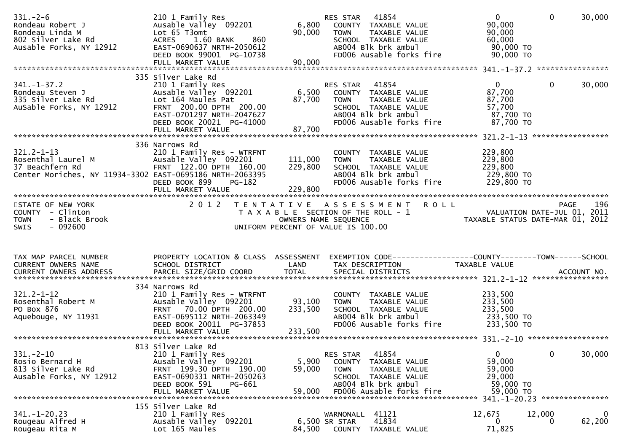| $331. - 2 - 6$<br>Rondeau Robert J<br>Rondeau Linda M<br>802 Silver Lake Rd<br>Ausable Forks, NY 12912                                     | 210 1 Family Res<br>Ausable Valley 092201<br>Lot 65 T3omt<br>ACRES 1.60 BANK<br>860<br>EAST-0690637 NRTH-2050612<br>DEED BOOK 99001 PG-10738<br>FULL MARKET VALUE                              | 6,800<br>90,000<br>90,000    | 41854<br>RES STAR<br>COUNTY TAXABLE VALUE<br><b>TOWN</b><br>TAXABLE VALUE<br>SCHOOL TAXABLE VALUE<br>AB004 Blk brk ambul<br>FD006 Ausable forks fire         | $\overline{0}$<br>90,000<br>90,000<br>60,000<br>90,000 TO<br>90,000 TO | $\Omega$    | 30,000             |
|--------------------------------------------------------------------------------------------------------------------------------------------|------------------------------------------------------------------------------------------------------------------------------------------------------------------------------------------------|------------------------------|--------------------------------------------------------------------------------------------------------------------------------------------------------------|------------------------------------------------------------------------|-------------|--------------------|
| $341. - 1 - 37.2$<br>Rondeau Steven J<br>335 Silver Lake Rd<br>AuSable Forks, NY 12912                                                     | 335 Silver Lake Rd<br>210 1 Family Res<br>Ausable Valley 092201<br>Lot 164 Maules Pat<br>FRNT 200.00 DPTH 200.00<br>EAST-0701297 NRTH-2047627<br>DEED BOOK 20021 PG-41000<br>FULL MARKET VALUE | 6,500<br>87,700<br>87,700    | 41854<br>RES STAR<br>COUNTY TAXABLE VALUE<br><b>TOWN</b><br>TAXABLE VALUE<br>SCHOOL TAXABLE VALUE<br>AB004 Blk brk ambul<br>FD006 Ausable forks fire         | $\mathbf{0}$<br>87,700<br>87,700<br>57,700<br>87,700 TO<br>87,700 TO   | 0           | 30,000             |
| $321.2 - 1 - 13$<br>Rosenthal Laurel M<br>37 Beachfern Rd<br>Center Moriches, NY 11934-3302 EAST-0695186 NRTH-2063395<br>STATE OF NEW YORK | 336 Narrows Rd<br>210 1 Family Res - WTRFNT<br>Ausable Valley 092201<br>FRNT 122.00 DPTH 160.00<br>DEED BOOK 899<br>PG-182<br>2 0 1 2                                                          | 111,000<br>229,800           | COUNTY TAXABLE VALUE<br>TAXABLE VALUE<br><b>TOWN</b><br>SCHOOL TAXABLE VALUE<br>AB004 Blk brk ambul<br>FD006 Ausable forks fire<br>TENTATIVE ASSESSMENT ROLL | 229,800<br>229,800<br>229,800<br>229,800 TO<br>229,800 TO              | <b>PAGE</b> | 196                |
| COUNTY - Clinton<br>- Black Brook<br><b>TOWN</b><br><b>SWIS</b><br>- 092600                                                                |                                                                                                                                                                                                |                              | T A X A B L E SECTION OF THE ROLL - 1<br>OWNERS NAME SEQUENCE<br>UNIFORM PERCENT OF VALUE IS 100.00                                                          | VALUATION DATE-JUL 01, 2011<br>TAXABLE STATUS DATE-MAR 01, 2012        |             |                    |
| TAX MAP PARCEL NUMBER<br>CURRENT OWNERS NAME                                                                                               | PROPERTY LOCATION & CLASS ASSESSMENT<br>SCHOOL DISTRICT                                                                                                                                        | LAND                         | EXEMPTION CODE------------------COUNTY--------TOWN------SCHOOL<br>TAX DESCRIPTION                                                                            | TAXABLE VALUE                                                          |             |                    |
| $321.2 - 1 - 12$<br>Rosenthal Robert M<br>PO Box 876<br>Aquebouge, NY 11931                                                                | 334 Narrows Rd<br>210 1 Family Res - WTRFNT<br>Ausable Valley 092201<br>FRNT 70.00 DPTH 200.00<br>EAST-0695112 NRTH-2063349<br>DEED BOOK 20011 PG-37853<br>FULL MARKET VALUE                   | 93,100<br>233,500<br>233,500 | COUNTY TAXABLE VALUE<br><b>TOWN</b><br>TAXABLE VALUE<br>SCHOOL TAXABLE VALUE<br>AB004 Blk brk ambul<br>FD006 Ausable forks fire                              | 233,500<br>233,500<br>233,500<br>233,500 TO<br>233,500 TO              |             |                    |
| $331. - 2 - 10$<br>Rosio Bernard H<br>813 Silver Lake Rd<br>Ausable Forks, NY 12912                                                        | 813 Silver Lake Rd<br>210 1 Family Res<br>Ausable Valley 092201<br>FRNT 199.30 DPTH 190.00<br>EAST-0690331 NRTH-2050263<br>DEED BOOK 591<br>PG-661                                             | 5,900<br>59,000              | 41854<br>RES STAR<br>COUNTY<br>TAXABLE VALUE<br><b>TOWN</b><br>TAXABLE VALUE<br>SCHOOL TAXABLE VALUE<br>AB004 Blk brk ambul                                  | $\mathbf{0}$<br>59,000<br>59,000<br>29,000<br>59,000 TO                | 0           | 30,000             |
| $341. - 1 - 20.23$<br>Rougeau Alfred H<br>Rougeau Rita M                                                                                   | 155 Silver Lake Rd<br>210 1 Family Res<br>Ausable Valley 092201                                                                                                                                |                              | 41121<br>WARNONALL<br>41834<br>6,500 SR STAR                                                                                                                 | 12,675<br>0                                                            | 12,000<br>0 | $\bf{0}$<br>62,200 |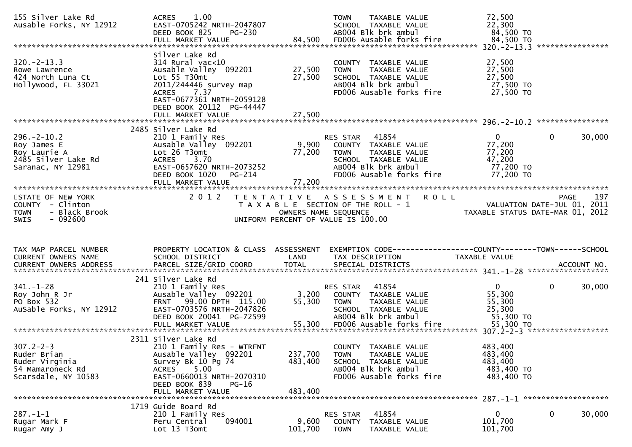| 155 Silver Lake Rd<br>Ausable Forks, NY 12912                                                                                                             | 1.00<br><b>ACRES</b><br>EAST-0705242 NRTH-2047807<br>DEED BOOK 825<br><b>PG-230</b><br>FULL MARKET VALUE                                                                                            | 84,500                        | <b>TOWN</b><br>TAXABLE VALUE<br>SCHOOL TAXABLE VALUE<br>AB004 Blk brk ambul<br>FD006 Ausable forks fire                                              | 72,500<br>22,300<br>84,500 TO<br>84,500 TO                           |                                            |
|-----------------------------------------------------------------------------------------------------------------------------------------------------------|-----------------------------------------------------------------------------------------------------------------------------------------------------------------------------------------------------|-------------------------------|------------------------------------------------------------------------------------------------------------------------------------------------------|----------------------------------------------------------------------|--------------------------------------------|
| $320 - 2 - 13.3$<br>Rowe Lawrence<br>424 North Luna Ct<br>Hollywood, FL 33021                                                                             | Silver Lake Rd<br>$314$ Rural vac<10<br>Ausable Valley 092201<br>Lot 55 T30mt<br>2011/244446 survey map<br>ACRES 7.37<br>EAST-0677361 NRTH-2059128<br>DEED BOOK 20112 PG-44447<br>FULL MARKET VALUE | 27,500<br>27,500<br>27,500    | COUNTY TAXABLE VALUE<br>TAXABLE VALUE<br><b>TOWN</b><br>SCHOOL TAXABLE VALUE<br>AB004 Blk brk ambul<br>FD006 Ausable forks fire                      | 27,500<br>27,500<br>27,500<br>27,500 TO<br>27,500 TO                 |                                            |
|                                                                                                                                                           |                                                                                                                                                                                                     |                               |                                                                                                                                                      |                                                                      |                                            |
| $296. - 2 - 10.2$<br>Roy James E<br>Roy Laurie A<br>2485 Silver Lake Rd<br>Saranac, NY 12981                                                              | 2485 Silver Lake Rd<br>210 1 Family Res<br>Ausable Valley 092201<br>Lot 26 T3omt<br>ACRES 3.70<br>EAST-0657620 NRTH-2073252<br>PG-214<br>DEED BOOK 1020<br>FULL MARKET VALUE                        | 9,900<br>77,200<br>77,200     | RES STAR<br>41854<br>COUNTY TAXABLE VALUE<br><b>TOWN</b><br>TAXABLE VALUE<br>SCHOOL TAXABLE VALUE<br>AB004 Blk brk ambul<br>FD006 Ausable forks fire | $\mathbf{0}$<br>77,200<br>77,200<br>47,200<br>77,200 TO<br>77,200 TO | 30,000<br>0                                |
|                                                                                                                                                           |                                                                                                                                                                                                     |                               |                                                                                                                                                      |                                                                      |                                            |
| STATE OF NEW YORK<br>COUNTY - Clinton<br>- Black Brook<br><b>TOWN</b><br>$-092600$<br><b>SWIS</b>                                                         | 2 0 1 2                                                                                                                                                                                             | OWNERS NAME SEQUENCE          | <b>ROLL</b><br>TENTATIVE ASSESSMENT<br>T A X A B L E SECTION OF THE ROLL - 1<br>UNIFORM PERCENT OF VALUE IS 100.00                                   | TAXABLE STATUS DATE-MAR 01, 2012                                     | 197<br>PAGE<br>VALUATION DATE-JUL 01, 2011 |
|                                                                                                                                                           |                                                                                                                                                                                                     |                               |                                                                                                                                                      |                                                                      |                                            |
|                                                                                                                                                           |                                                                                                                                                                                                     |                               |                                                                                                                                                      |                                                                      |                                            |
| TAX MAP PARCEL NUMBER<br>CURRENT OWNERS NAME                                                                                                              | PROPERTY LOCATION & CLASS ASSESSMENT<br>SCHOOL DISTRICT                                                                                                                                             | LAND                          | EXEMPTION CODE-----------------COUNTY-------TOWN------SCHOOL<br>TAX DESCRIPTION                                                                      | TAXABLE VALUE                                                        |                                            |
| .CURRENT OWNERS ADDRESS PARCEL SIZE/GRID COORD TOTAL SPECIAL DISTRICTS ACCOUNT NO ACCOUNT NO ACCOUNT NO AND ARCEL SIZE/GRID COORD TOTAL SPECIAL DISTRICTS |                                                                                                                                                                                                     |                               |                                                                                                                                                      |                                                                      |                                            |
| $341. - 1 - 28$<br>Roy John R Jr<br>PO Box 532<br>AuSable Forks, NY 12912                                                                                 | 241 Silver Lake Rd<br>210 1 Family Res<br>Ausable Valley 092201<br>FRNT 99.00 DPTH 115.00<br>EAST-0703576 NRTH-2047826<br>DEED BOOK 20041 PG-72599                                                  | 3,200<br>55,300               | RES STAR 41854<br>COUNTY TAXABLE VALUE<br>TAXABLE VALUE<br><b>TOWN</b><br>SCHOOL TAXABLE VALUE<br>AB004 Blk brk ambul                                | $\overline{0}$<br>55,300<br>55,300<br>25,300<br>55,300 TO            | 0<br>30,000                                |
|                                                                                                                                                           |                                                                                                                                                                                                     |                               |                                                                                                                                                      |                                                                      |                                            |
| $307.2 - 2 - 3$<br>Ruder Brian<br>Ruder Virginia<br>54 Mamaroneck Rd<br>Scarsdale, NY 10583                                                               | 2311 Silver Lake Rd<br>210 1 Family Res - WTRFNT<br>Ausable Valley 092201<br>Survey Bk 10 Pg 74<br>5.00<br>ACRES<br>EAST-0660013 NRTH-2070310<br>DEED BOOK 839<br>$PG-16$<br>FULL MARKET VALUE      | 237,700<br>483,400<br>483,400 | COUNTY TAXABLE VALUE<br>TAXABLE VALUE<br><b>TOWN</b><br>SCHOOL TAXABLE VALUE<br>AB004 Blk brk ambul<br>FD006 Ausable forks fire                      | 483,400<br>483,400<br>483,400<br>483,400 TO<br>483,400 TO            |                                            |
|                                                                                                                                                           | 1719 Guide Board Rd                                                                                                                                                                                 |                               |                                                                                                                                                      |                                                                      |                                            |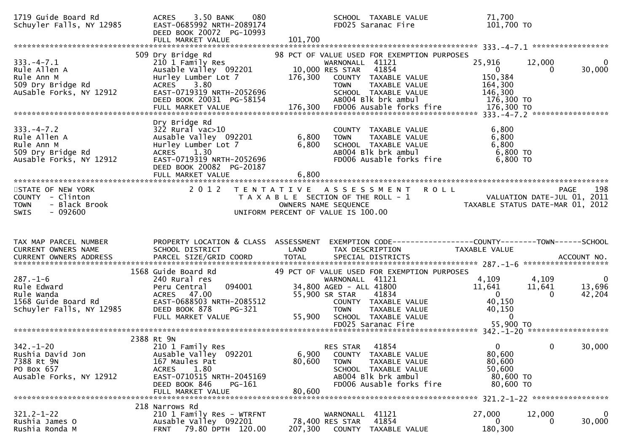| 1719 Guide Board Rd<br>Schuyler Falls, NY 12985                                                   | 3.50 BANK<br>080<br><b>ACRES</b><br>EAST-0685992 NRTH-2089174<br>DEED BOOK 20072 PG-10993<br>FULL MARKET VALUE                                                                     | SCHOOL TAXABLE VALUE<br>FD025 Saranac Fire<br>101,700                                                                                                                                                                                           | 71,700<br>101,700 TO                                                                                                         |                                             |
|---------------------------------------------------------------------------------------------------|------------------------------------------------------------------------------------------------------------------------------------------------------------------------------------|-------------------------------------------------------------------------------------------------------------------------------------------------------------------------------------------------------------------------------------------------|------------------------------------------------------------------------------------------------------------------------------|---------------------------------------------|
| $333. -4 - 7.1$<br>Rule Allen A<br>Rule Ann M<br>509 Dry Bridge Rd<br>AuSable Forks, NY 12912     | 509 Dry Bridge Rd<br>210 1 Family Res<br>Ausable Valley 092201<br>Hurley Lumber Lot 7<br>ACRES 3.80<br>EAST-0719319 NRTH-2052696<br>DEED BOOK 20031 PG-58154                       | 98 PCT OF VALUE USED FOR EXEMPTION PURPOSES<br>WARNONALL 41121<br>10,000 RES STAR<br>41854<br>176,300<br>COUNTY TAXABLE VALUE<br>TAXABLE VALUE<br><b>TOWN</b><br>SCHOOL TAXABLE VALUE<br>AB004 Blk brk ambul                                    | 25,916<br>12,000<br>$\overline{\mathbf{0}}$<br>$\Omega$<br>150,384<br>164,300<br>146,300<br>176,300 TO                       | $\overline{0}$<br>30,000                    |
| $333. -4 - 7.2$<br>Rule Allen A<br>Rule Ann M<br>509 Dry Bridge Rd<br>Ausable Forks, NY 12912     | Dry Bridge Rd<br>$322$ Rural vac $>10$<br>Ausable Valley 092201<br>Hurley Lumber Lot 7<br>ACRES 1.30<br>EAST-0719319 NRTH-2052696<br>DEED BOOK 20082 PG-20187<br>FULL MARKET VALUE | COUNTY TAXABLE VALUE<br>6,800<br><b>TOWN</b><br>TAXABLE VALUE<br>SCHOOL TAXABLE VALUE<br>ABOO4 Blk brk ambul<br>6,800<br>FD006 Ausable forks fire<br>6,800                                                                                      | 6,800<br>6,800<br>6,800<br>6,800 TO<br>6,800 TO                                                                              |                                             |
| STATE OF NEW YORK<br>COUNTY - Clinton<br>- Black Brook<br><b>TOWN</b><br>$-092600$<br><b>SWIS</b> | 2 0 1 2                                                                                                                                                                            | TENTATIVE ASSESSMENT ROLL<br>T A X A B L E SECTION OF THE ROLL - 1<br>OWNERS NAME SEQUENCE<br>UNIFORM PERCENT OF VALUE IS 100.00                                                                                                                | <b>PAGE</b><br>ROLL - 1<br>VALUATION DATE-JUL 01, 2011<br>TAXABLE STATUS DATE-MAR 01, 2012                                   | 198                                         |
| TAX MAP PARCEL NUMBER<br>CURRENT OWNERS NAME                                                      | PROPERTY LOCATION & CLASS ASSESSMENT<br>SCHOOL DISTRICT                                                                                                                            | LAND<br>TAX DESCRIPTION                                                                                                                                                                                                                         | EXEMPTION CODE-----------------COUNTY-------TOWN------SCHOOL<br>TAXABLE VALUE                                                |                                             |
| $287. - 1 - 6$<br>Rule Edward<br>Rule Wanda<br>1568 Guide Board Rd<br>Schuyler Falls, NY 12985    | 1568 Guide Board Rd<br>240 Rural res<br>094001<br>Peru Central<br>ACRES 47.00<br>EAST-0688503 NRTH-2085512<br>DEED BOOK 878<br>PG-321<br>FULL MARKET VALUE                         | 49 PCT OF VALUE USED FOR EXEMPTION PURPOSES<br>WARNONALL 41121<br>34,800 AGED - ALL 41800<br>55,900 SR STAR 41834<br>COUNTY TAXABLE VALUE<br>TAXABLE VALUE<br>TAXABLE VALUE<br><b>TOWN</b><br>55,900 SCHOOL TAXABLE VALUE<br>FD025 Saranac Fire | 4,109<br>4,109<br>11,641<br>11,641<br>$\overline{\mathbf{0}}$<br>$\Omega$<br>40,150<br>40,150<br>$\overline{0}$<br>55,900 TO | $\overline{\mathbf{0}}$<br>13,696<br>42,204 |
| $342. - 1 - 20$<br>Rushia David Jon<br>7388 Rt 9N<br>PO Box 657<br>Ausable Forks, NY 12912        | 2388 Rt 9N<br>210 1 Family Res<br>Ausable Valley<br>092201<br>167 Maules Pat<br>1.80<br><b>ACRES</b><br>EAST-0710515 NRTH-2045169<br>DEED BOOK 846<br>PG-161<br>FULL MARKET VALUE  | 41854<br>RES STAR<br>6,900<br>COUNTY TAXABLE VALUE<br>80,600<br><b>TOWN</b><br>TAXABLE VALUE<br>SCHOOL TAXABLE VALUE<br>AB004 Blk brk ambul<br>FD006 Ausable forks fire<br>80,600                                                               | $\mathbf{0}$<br>0<br>80,600<br>80,600<br>50,600<br>80,600 TO<br>80,600 TO                                                    | 30,000                                      |
| $321.2 - 1 - 22$<br>Rushia James O<br>Rushia Ronda M                                              | 218 Narrows Rd<br>210 1 Family Res - WTRFNT<br>Ausable Valley 092201<br>79.80 DPTH 120.00<br><b>FRNT</b>                                                                           | WARNONALL<br>41121<br>41854<br>78,400 RES STAR<br>207,300<br>COUNTY<br>TAXABLE VALUE                                                                                                                                                            | 27,000<br>12,000<br>0<br>0<br>180,300                                                                                        | 0<br>30,000                                 |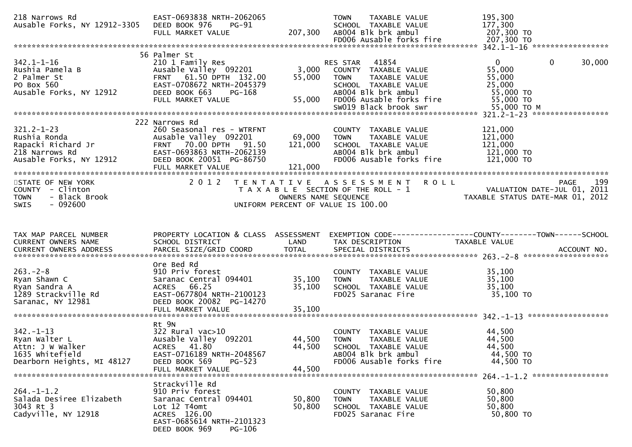| 218 Narrows Rd                                                                                                                                                                                                                                           | EAST-0693838 NRTH-2062065                                                                                                                             |                                   | TAXABLE VALUE<br><b>TOWN</b>                                                                                                                                      | 195,300                                                                                                               |
|----------------------------------------------------------------------------------------------------------------------------------------------------------------------------------------------------------------------------------------------------------|-------------------------------------------------------------------------------------------------------------------------------------------------------|-----------------------------------|-------------------------------------------------------------------------------------------------------------------------------------------------------------------|-----------------------------------------------------------------------------------------------------------------------|
| 342.1-1-16<br>Rushia Pamela B<br>2 Palmer St<br>PO Box 560<br>Ausable Forks, NY 12912<br>Ausable Forks, NY 12912<br>PO Box 663<br>PO Box 560<br>Ausable Forks, NY 12912<br>PO BOOK 663<br>PO BOOK 663<br>PO BOOK 663<br>PO BOOK 663<br>PO PO PO PO PO PO | 56 Palmer St<br>and a caminy Res<br>Ausable Valley 092201<br>FRNT 61 50 DRT:<br>PG-168                                                                | 55,000<br>55,000                  | RES STAR 41854<br>3,000 COUNTY TAXABLE VALUE<br><b>TOWN</b><br>TAXABLE VALUE<br>SCHOOL TAXABLE VALUE<br>AB004 Blk brk ambul<br>FD006 Ausable forks fire 55,000 TO | $\overline{0}$<br>$\mathbf 0$<br>30,000<br>55,000<br>55,000<br>25,000<br>55,000 TO                                    |
| $321.2 - 1 - 23$<br>Ausable Forks, NY 12912                                                                                                                                                                                                              | 222 Narrows Rd<br>260 Seasonal res - WTRFNT<br>Ausable Valley 092201<br>DEED BOOK 20051 PG-86750<br>FULL MARKET VALUE                                 | 69,000 TOWN<br>121,000<br>121,000 | COUNTY TAXABLE VALUE<br>TAXABLE VALUE<br>SCHOOL TAXABLE VALUE 121,000<br>ABOO4 Blk brk ambul<br>FD006 Ausable forks fire                                          | 121,000<br>121,000<br>121,000 TO<br>121,000 TO                                                                        |
| STATE OF NEW YORK<br>COUNTY - Clinton<br>- Black Brook<br><b>TOWN</b><br>$-092600$<br><b>SWIS</b>                                                                                                                                                        | 2 0 1 2                                                                                                                                               |                                   | TENTATIVE ASSESSMENT ROLL<br>UNIFORM PERCENT OF VALUE IS 100.00                                                                                                   | T A X A B L E SECTION OF THE ROLL - 1<br>OWNERS NAME SEQUENCE<br>UNIFORM PERCENT OF VALUE IS 100.00                   |
| TAX MAP PARCEL NUMBER<br>CURRENT OWNERS NAME                                                                                                                                                                                                             | SCHOOL DISTRICT                                                                                                                                       | LAND                              | TAX DESCRIPTION                                                                                                                                                   | PROPERTY LOCATION & CLASS  ASSESSMENT  EXEMPTION CODE-----------------COUNTY--------TOWN------SCHOOL<br>TAXABLE VALUE |
| $263. -2 - 8$<br>Ryan Shawn C<br>Ryan Sandra A<br>1289 Strackville Rd<br>Saranac, NY 12981                                                                                                                                                               | Ore Bed Rd<br>Saranac Central 094401 35,100<br>DEED BOOK 20082 PG-14270<br>FULL MARKET VALUE                                                          | 35,100<br>35,100                  | COUNTY TAXABLE VALUE<br>TAXABLE VALUE<br><b>TOWN</b><br>SCHOOL TAXABLE VALUE<br>FD025 Saranac Fire                                                                | 35,100<br>35,100<br>35,100<br>$35,100$ TO                                                                             |
| 342.-1-13<br>Ryan Walter L<br>^++n· עשר Walker<br>Attn: J W Walker<br>1635 Whitefield<br>Dearborn Heights, MI 48127                                                                                                                                      | Rt 9N<br>$322$ Rural vac $>10$<br>Ausable Valley 092201<br>ACRES 41.80<br>EAST-0716189 NRTH-2048567<br>DEED BOOK 569<br>$PG-523$<br>FULL MARKET VALUE | 44,500<br>44,500<br>44,500        | COUNTY TAXABLE VALUE<br>TAXABLE VALUE<br><b>TOWN</b><br>SCHOOL TAXABLE VALUE<br>AB004 Blk brk ambul<br>FD006 Ausable forks fire                                   | 44,500<br>44,500<br>44,500<br>44,500 TO<br>44,500 TO                                                                  |
| $264. -1 - 1.2$<br>Salada Desiree Elizabeth<br>3043 Rt 3<br>Cadyville, NY 12918                                                                                                                                                                          | Strackville Rd<br>910 Priv forest<br>Saranac Central 094401<br>Lot 12 T4omt<br>ACRES 126.00<br>EAST-0685614 NRTH-2101323<br>DEED BOOK 969<br>PG-106   | 50,800<br>50,800                  | COUNTY TAXABLE VALUE<br>TAXABLE VALUE<br><b>TOWN</b><br>SCHOOL TAXABLE VALUE<br>FD025 Saranac Fire                                                                | 50,800<br>50,800<br>50,800<br>50,800 TO                                                                               |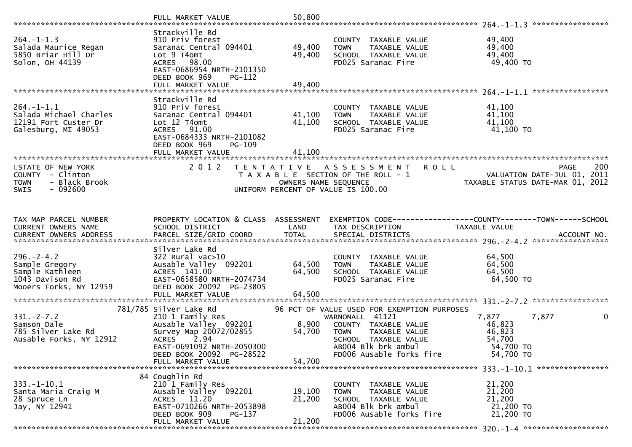|                                                                                                    | FULL MARKET VALUE                                                                                                                                              | 50,800                     |                                                                                                                                                    |                                                                                   |     |
|----------------------------------------------------------------------------------------------------|----------------------------------------------------------------------------------------------------------------------------------------------------------------|----------------------------|----------------------------------------------------------------------------------------------------------------------------------------------------|-----------------------------------------------------------------------------------|-----|
| $264. -1 - 1.3$<br>Salada Maurice Regan<br>5850 Briar Hill Dr<br>Solon, OH 44139                   | Strackville Rd<br>910 Priv forest<br>Saranac Central 094401<br>Lot 9 T4omt<br>ACRES 98.00<br>EAST-0686954 NRTH-2101350<br>DEED BOOK 969<br>PG-112              | 49,400<br>49,400           | COUNTY TAXABLE VALUE<br>TAXABLE VALUE<br><b>TOWN</b><br>SCHOOL TAXABLE VALUE<br>FD025 Saranac Fire                                                 | 264. -1-1.3 ******************<br>49,400<br>49,400<br>49,400<br>49,400 TO         |     |
|                                                                                                    | FULL MARKET VALUE                                                                                                                                              | 49,400                     |                                                                                                                                                    |                                                                                   |     |
| $264. -1 - 1.1$<br>Salada Michael Charles<br>12191 Fort Custer Dr<br>Galesburg, MI 49053           | Strackville Rd<br>910 Priv forest<br>Saranac Central 094401<br>Lot 12 T4omt<br>ACRES 91.00<br>EAST-0684333 NRTH-2101082<br>DEED BOOK 969<br><b>PG-109</b>      | 41,100<br>41,100           | COUNTY TAXABLE VALUE<br>TAXABLE VALUE<br><b>TOWN</b><br>SCHOOL TAXABLE VALUE<br>FD025 Saranac Fire                                                 | 41,100<br>41,100<br>41,100<br>41,100 TO                                           |     |
|                                                                                                    |                                                                                                                                                                |                            |                                                                                                                                                    |                                                                                   |     |
| STATE OF NEW YORK<br>COUNTY - Clinton<br>- Black Brook<br><b>TOWN</b><br><b>SWIS</b><br>- 092600   | 2 0 1 2                                                                                                                                                        | OWNERS NAME SEQUENCE       | TENTATIVE ASSESSMENT<br><b>ROLL</b><br>T A X A B L E SECTION OF THE ROLL - 1<br>UNIFORM PERCENT OF VALUE IS 100.00                                 | <b>PAGE</b><br>VALUATION DATE-JUL 01,<br>2011<br>TAXABLE STATUS DATE-MAR 01, 2012 | 200 |
| TAX MAP PARCEL NUMBER<br>CURRENT OWNERS NAME                                                       | PROPERTY LOCATION & CLASS ASSESSMENT<br>SCHOOL DISTRICT                                                                                                        | LAND                       | TAX DESCRIPTION                                                                                                                                    | EXEMPTION CODE-----------------COUNTY-------TOWN------SCHOOL<br>TAXABLE VALUE     |     |
| $296. - 2 - 4.2$<br>Sample Gregory<br>Sample Kathleen<br>1043 Davison Rd<br>Mooers Forks, NY 12959 | Silver Lake Rd<br>$322$ Rural vac $>10$<br>Ausable Valley 092201<br>ACRES 141.00<br>EAST-0658580 NRTH-2074734<br>DEED BOOK 20092 PG-23805<br>FULL MARKET VALUE | 64,500<br>64,500<br>64,500 | COUNTY TAXABLE VALUE<br><b>TOWN</b><br>TAXABLE VALUE<br>SCHOOL TAXABLE VALUE<br>FD025 Saranac Fire                                                 | 64,500<br>64,500<br>64,500<br>64,500 TO                                           |     |
|                                                                                                    | 781/785 Silver Lake Rd                                                                                                                                         |                            | 96 PCT OF VALUE USED FOR EXEMPTION PURPOSES                                                                                                        |                                                                                   |     |
| $331 - 2 - 7.2$<br>Samson Dale<br>785 Silver Lake Rd<br>Ausable Forks, NY 12912                    | 210 1 Family Res<br>Ausable Valley 092201<br>Survey Map 20072/02855<br>2.94<br><b>ACRES</b><br>EAST-0691092 NRTH-2050300<br>DEED BOOK 20092 PG-28522           | 8,900<br>54,700            | WARNONALL 41121<br>COUNTY TAXABLE VALUE<br>TAXABLE VALUE<br><b>TOWN</b><br>SCHOOL TAXABLE VALUE<br>AB004 Blk brk ambul<br>FD006 Ausable forks fire | 7,877<br>7,877<br>46,823<br>46,823<br>54,700<br>54,700 TO<br>54,700 TO            | 0   |
|                                                                                                    | FULL MARKET VALUE                                                                                                                                              | 54,700                     |                                                                                                                                                    |                                                                                   |     |
| $333. -1 - 10.1$<br>Santa Maria Craig M<br>28 Spruce Ln<br>Jay, NY 12941                           | 84 Coughlin Rd<br>210 1 Family Res<br>Ausable Valley 092201<br>ACRES 11.20<br>EAST-0710266 NRTH-2053898<br>DEED BOOK 909<br>$PG-137$<br>FULL MARKET VALUE      | 19,100<br>21,200<br>21,200 | <b>COUNTY</b><br>TAXABLE VALUE<br>TOWN<br>TAXABLE VALUE<br>TAXABLE VALUE<br>SCHOOL<br>AB004 Blk brk ambul<br>FD006 Ausable forks fire              | 21,200<br>21,200<br>21,200<br>21,200 TO<br>21,200 TO                              |     |
|                                                                                                    |                                                                                                                                                                |                            |                                                                                                                                                    |                                                                                   |     |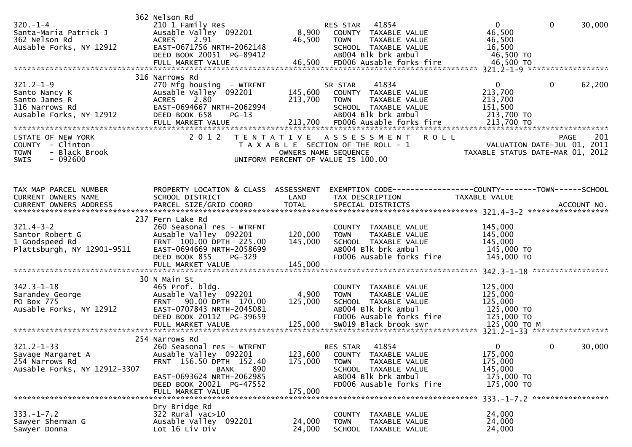| $320. - 1 - 4$<br>Santa-Maria Patrick J<br>362 Nelson Rd<br>Ausable Forks, NY 12912                                                                                                          | 362 Nelson Rd<br>210 1 Family Res<br>Ausable Valley 092201<br><b>ACRES</b><br>2.91<br>EAST-0671756 NRTH-2062148<br>DEED BOOK 20051 PG-89412                                                  | 46,500                          | RES STAR 41854<br>8,900 COUNTY TAXABLE VALUE<br><b>TOWN</b><br>TAXABLE VALUE<br>SCHOOL TAXABLE VALUE<br>AB004 Blk brk ambul                                                                                                                 | $\overline{0}$<br>46,500<br>46,500<br>16,500<br>46,500 TO                                                                      | $\mathbf 0$                | 30,000        |
|----------------------------------------------------------------------------------------------------------------------------------------------------------------------------------------------|----------------------------------------------------------------------------------------------------------------------------------------------------------------------------------------------|---------------------------------|---------------------------------------------------------------------------------------------------------------------------------------------------------------------------------------------------------------------------------------------|--------------------------------------------------------------------------------------------------------------------------------|----------------------------|---------------|
| $321.2 - 1 - 9$<br>Santo Nancy K<br>Santo James R<br>316 Narrows Rd<br>Ausable Forks, NY 12912<br>STATE OF NEW YORK<br>COUNTY - Clinton<br>- Black Brook<br><b>TOWN</b><br>$-092600$<br>SWIS | 316 Narrows Rd<br>270 Mfg housing - WTRFNT<br>Ausable Valley 092201<br>2.80<br><b>ACRES</b><br>EAST-0694667 NRTH-2062994<br>DEED BOOK 658<br>$PG-13$<br>2 0 1 2                              | 213,700<br>OWNERS NAME SEQUENCE | 41834<br>SR STAR<br>145,600 COUNTY TAXABLE VALUE<br>TAXABLE VALUE<br><b>TOWN</b><br>SCHOOL TAXABLE VALUE<br>AB004 Blk brk ambul<br>TENTATIVE ASSESSMENT ROLL<br>T A X A B L E SECTION OF THE ROLL - 1<br>UNIFORM PERCENT OF VALUE IS 100.00 | $\mathbf{0}$<br>213,700<br>213,700<br>151,500<br>213,700 TO<br>VALUATION DATE-JUL 01, 2011<br>TAXABLE STATUS DATE-MAR 01, 2012 | $\mathbf 0$<br><b>PAGE</b> | 62,200<br>201 |
| TAX MAP PARCEL NUMBER<br>CURRENT OWNERS NAME                                                                                                                                                 | PROPERTY LOCATION & CLASS ASSESSMENT<br>SCHOOL DISTRICT                                                                                                                                      | LAND                            | EXEMPTION CODE-----------------COUNTY-------TOWN------SCHOOL<br>TAX DESCRIPTION                                                                                                                                                             | TAXABLE VALUE                                                                                                                  |                            |               |
| $321.4 - 3 - 2$<br>Santor Robert G<br>1 Goodspeed Rd<br>Plattsburgh, NY 12901-9511                                                                                                           | 237 Fern Lake Rd<br>260 Seasonal res - WTRFNT<br>Ausable Valley 092201<br>FRNT 100.00 DPTH 225.00<br>EAST-0694669 NRTH-2058699<br>DEED BOOK 855<br>$PG-329$<br>FULL MARKET VALUE             | 120,000<br>145,000<br>145,000   | COUNTY TAXABLE VALUE<br>TAXABLE VALUE<br><b>TOWN</b><br>SCHOOL TAXABLE VALUE<br>AB004 Blk brk ambul<br>FD006 Ausable forks fire                                                                                                             | 145,000<br>145,000<br>145,000<br>145,000 TO<br>145,000 TO                                                                      |                            |               |
| $342.3 - 1 - 18$<br>Sarandev George<br>Po Pox 775<br>PO Box 775<br>Ausable Forks, NY 12912                                                                                                   | 30 N Main St<br>465 Prof. bldg.<br>Ausable Valley 092201<br>FRNT 90.00 DPTH 170.00<br>EAST-0707843 NRTH-2045081<br>DEED BOOK 20112 PG-39659                                                  | 4,900<br>125,000                | COUNTY TAXABLE VALUE<br>TAXABLE VALUE<br><b>TOWN</b><br>SCHOOL TAXABLE VALUE<br>AB004 Blk brk ambul<br>FD006 Ausable forks fire                                                                                                             | 125,000<br>125,000<br>125,000<br>125,000 TO<br>125,000 TO                                                                      |                            |               |
| $321.2 - 1 - 33$<br>Savage Margaret A<br>254 Narrows Rd<br>Ausable Forks, NY 12912-3307                                                                                                      | 254 Narrows Rd<br>260 Seasonal res - WTRFNT<br>Ausable Valley 092201<br>FRNT 156.50 DPTH 152.40<br>890<br>BANK<br>EAST-0693624 NRTH-2062985<br>DEED BOOK 20021 PG-47552<br>FULL MARKET VALUE | 123,600<br>175,000<br>175,000   | 41854<br>RES STAR<br>COUNTY TAXABLE VALUE<br>TAXABLE VALUE<br><b>TOWN</b><br>SCHOOL TAXABLE VALUE<br>AB004 Blk brk ambul<br>FD006 Ausable forks fire                                                                                        | $\Omega$<br>175,000<br>175,000<br>145,000<br>175,000 TO<br>175,000 TO                                                          | 0                          | 30,000        |
| $333. - 1 - 7.2$<br>Sawyer Sherman G<br>Sawyer Donna                                                                                                                                         | Dry Bridge Rd<br>$322$ Rural vac $>10$<br>Ausable Valley 092201<br>Lot 16 Liv Div                                                                                                            | 24,000<br>24,000                | COUNTY TAXABLE VALUE<br>TAXABLE VALUE<br><b>TOWN</b><br>SCHOOL TAXABLE VALUE                                                                                                                                                                | 333. -1-7.2 ******************<br>24,000<br>24,000<br>24,000                                                                   |                            |               |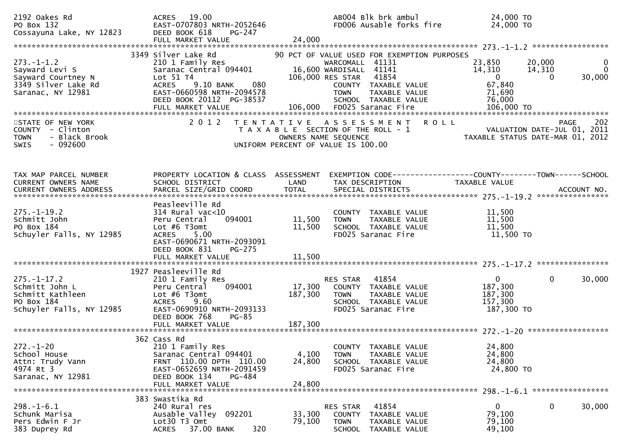| 2192 Oakes Rd<br>PO Box 132<br>Cossayuna Lake, NY 12823                                              | ACRES 19.00<br>EAST-0707803 NRTH-2052646<br>DEED BOOK 618<br>PG-247<br>FULL MARKET VALUE                                                                                                  | AB004 Blk brk ambul<br>FD006 Ausable forks fire<br>24,000                                                                                                                                             | 24,000 TO<br>24,000 TO                                                                                                      |
|------------------------------------------------------------------------------------------------------|-------------------------------------------------------------------------------------------------------------------------------------------------------------------------------------------|-------------------------------------------------------------------------------------------------------------------------------------------------------------------------------------------------------|-----------------------------------------------------------------------------------------------------------------------------|
| $273. - 1 - 1.2$<br>Sayward Levi S<br>Sayward Courtney N<br>3349 Silver Lake Rd<br>Saranac, NY 12981 | 3349 Silver Lake Rd<br>210 1 Family Res<br>Saranac Central 094401<br>Lot 51 T4<br>080<br><b>ACRES</b><br>9.10 BANK<br>EAST-0660598 NRTH-2094578<br>DEED BOOK 20112 PG-38537               | 90 PCT OF VALUE USED FOR EXEMPTION PURPOSES<br>WARCOMALL 41131<br>16,600 WARDISALL 41141<br>41854<br>106,000 RES STAR<br>COUNTY TAXABLE VALUE<br><b>TOWN</b><br>TAXABLE VALUE<br>SCHOOL TAXABLE VALUE | 23,850<br>20,000<br>0<br>14,310<br>$\Omega$<br>14,310<br>30,000<br>$\overline{0}$<br>$\Omega$<br>67,840<br>71,690<br>76,000 |
| STATE OF NEW YORK<br>COUNTY - Clinton<br>- Black Brook<br><b>TOWN</b><br>$-092600$<br><b>SWIS</b>    | 2 0 1 2                                                                                                                                                                                   | TENTATIVE ASSESSMENT ROLL<br>T A X A B L E SECTION OF THE ROLL - 1<br>OWNERS NAME SEQUENCE<br>UNIFORM PERCENT OF VALUE IS 100.00                                                                      | 202<br>PAGE<br>VALUATION DATE-JUL 01, 2011<br>TAXABLE STATUS DATE-MAR 01, 2012                                              |
| TAX MAP PARCEL NUMBER<br><b>CURRENT OWNERS NAME</b>                                                  | PROPERTY LOCATION & CLASS ASSESSMENT<br>SCHOOL DISTRICT                                                                                                                                   | LAND<br>TAX DESCRIPTION                                                                                                                                                                               | EXEMPTION CODE-----------------COUNTY--------TOWN------SCHOOL<br>TAXABLE VALUE                                              |
| $275. - 1 - 19.2$<br>Schmitt John<br>PO Box 184<br>Schuyler Falls, NY 12985                          | Peasleeville Rd<br>$314$ Rural vac< $10$<br>094001<br>Peru Central<br>Lot $#6$ T3omt<br><b>ACRES</b><br>5.00<br>EAST-0690671 NRTH-2093091<br>DEED BOOK 831<br>PG-275<br>FULL MARKET VALUE | COUNTY TAXABLE VALUE<br>11,500<br><b>TOWN</b><br>TAXABLE VALUE<br>11,500<br>SCHOOL TAXABLE VALUE<br>FD025 Saranac Fire<br>11,500                                                                      | 11,500<br>11,500<br>11,500<br>11,500 TO                                                                                     |
| $275. - 1 - 17.2$<br>Schmitt John L<br>Schmitt Kathleen<br>PO Box 184<br>Schuyler Falls, NY 12985    | 1927 Peasleeville Rd<br>210 1 Family Res<br>094001<br>Peru Central<br>Lot $#6$ T3omt<br><b>ACRES</b><br>9.60<br>EAST-0690910 NRTH-2093133<br>DEED BOOK 768<br><b>PG-85</b>                | 41854<br>RES STAR<br>17,300<br>COUNTY TAXABLE VALUE<br>187,300<br><b>TOWN</b><br>TAXABLE VALUE<br>SCHOOL TAXABLE VALUE<br>FD025 Saranac Fire                                                          | $\mathbf{0}$<br>$\mathbf{0}$<br>30,000<br>187,300<br>187,300<br>157,300<br>187,300 TO                                       |
| $272. - 1 - 20$<br>School House<br>Attn: Trudy Vann<br>4974 Rt 3<br>Saranac, NY 12981                | 362 Cass Rd<br>210 1 Family Res<br>Saranac Central 094401<br>FRNT 110.00 DPTH 110.00<br>EAST-0652659 NRTH-2091459<br>DEED BOOK 134<br>PG-484<br>FULL MARKET VALUE                         | COUNTY TAXABLE VALUE<br>4,100<br><b>TOWN</b><br><b>TAXABLE VALUE</b><br>24,800<br>SCHOOL TAXABLE VALUE<br>FD025 Saranac Fire<br>24,800                                                                | 24,800<br>24,800<br>24,800<br>24,800 TO                                                                                     |
| $298. - 1 - 6.1$<br>Schunk Marisa<br>Pers Edwin F Jr<br>383 Duprey Rd                                | 383 Swastika Rd<br>240 Rural res<br>Ausable Valley 092201<br>Lot30 T3 Omt<br>37.00 BANK<br>320<br><b>ACRES</b>                                                                            | RES STAR<br>41854<br>33,300<br>TAXABLE VALUE<br><b>COUNTY</b><br>79,100<br><b>TOWN</b><br>TAXABLE VALUE<br><b>SCHOOL</b><br>TAXABLE VALUE                                                             | 0<br>0<br>30,000<br>79,100<br>79,100<br>49,100                                                                              |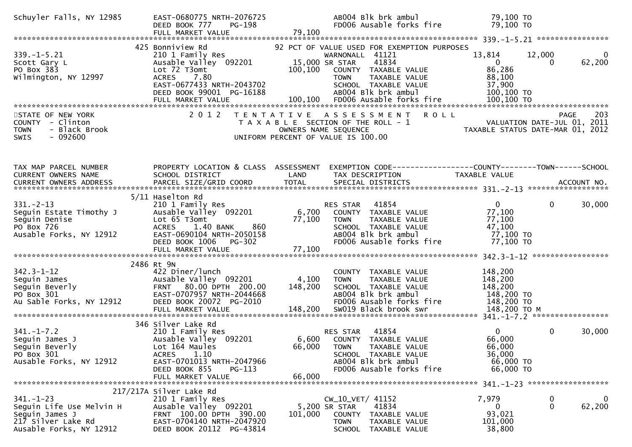| Schuyler Falls, NY 12985                                                                                       | EAST-0680775 NRTH-2076725<br>PG-198<br>DEED BOOK 777<br>FULL MARKET VALUE                                                                                                                | 79,100                      | AB004 Blk brk ambul<br>FD006 Ausable forks fire                                                                                                                                                  | 79,100 TO<br>79,100 TO                                                    |                    |                       |
|----------------------------------------------------------------------------------------------------------------|------------------------------------------------------------------------------------------------------------------------------------------------------------------------------------------|-----------------------------|--------------------------------------------------------------------------------------------------------------------------------------------------------------------------------------------------|---------------------------------------------------------------------------|--------------------|-----------------------|
|                                                                                                                |                                                                                                                                                                                          |                             |                                                                                                                                                                                                  |                                                                           |                    |                       |
| $339. - 1 - 5.21$<br>Scott Gary L<br>PO Box 383<br>Wilmington, NY 12997                                        | 425 Bonniview Rd<br>210 1 Family Res<br>Ausable Valley 092201<br>Lot 72 T3omt<br>7.80<br><b>ACRES</b><br>EAST-0677433 NRTH-2043702<br>DEED BOOK 99001 PG-16188                           | 100,100                     | 92 PCT OF VALUE USED FOR EXEMPTION PURPOSES<br>WARNONALL 41121<br>41834<br>15,000 SR STAR<br>COUNTY TAXABLE VALUE<br>TAXABLE VALUE<br><b>TOWN</b><br>SCHOOL TAXABLE VALUE<br>AB004 Blk brk ambul | 13,814<br>$\overline{0}$<br>86,286<br>88,100<br>37,900<br>100,100 TO      | 12,000<br>$\Omega$ | 0<br>62,200           |
| STATE OF NEW YORK<br>COUNTY - Clinton<br>- Black Brook<br><b>TOWN</b><br>$-092600$<br>SWIS                     | 2 0 1 2                                                                                                                                                                                  |                             | TENTATIVE ASSESSMENT<br>ROLL<br>T A X A B L E SECTION OF THE ROLL - 1<br>OWNERS NAME SEQUENCE<br>UNIFORM PERCENT OF VALUE IS 100.00                                                              | VALUATION DATE-JUL 01, 2011<br>TAXABLE STATUS DATE-MAR 01, 2012           | PAGE               | 203                   |
| TAX MAP PARCEL NUMBER<br>CURRENT OWNERS NAME                                                                   | PROPERTY LOCATION & CLASS ASSESSMENT<br>SCHOOL DISTRICT                                                                                                                                  | LAND                        | EXEMPTION CODE------------------COUNTY--------TOWN------SCHOOL<br>TAX DESCRIPTION                                                                                                                | <b>TAXABLE VALUE</b>                                                      |                    |                       |
| $331 - 2 - 13$<br>Seguin Estate Timothy J<br>Seguin Denise<br>PO Box 726<br>Ausable Forks, NY 12912            | 5/11 Haselton Rd<br>210 1 Family Res<br>Ausable Valley 092201<br>Lot 65 T3omt<br>860<br>ACRES 1.40 BANK<br>EAST-0690104 NRTH-2050158<br>DEED BOOK 1006 PG-302<br>FULL MARKET VALUE       | 6,700<br>77,100<br>77,100   | 41854<br>RES STAR<br>COUNTY TAXABLE VALUE<br><b>TOWN</b><br>TAXABLE VALUE<br>SCHOOL TAXABLE VALUE<br>AB004 Blk brk ambul<br>FD006 Ausable forks fire                                             | $\mathbf{0}$<br>77,100<br>77,100<br>47,100<br>77,100 TO<br>77,100 TO      | $\Omega$           | 30,000                |
| $342.3 - 1 - 12$<br>Seguin James<br>Seguin Beverly<br>PO Box 301<br>Au Sable Forks, NY 12912                   | 2486 Rt 9N<br>422 Diner/lunch<br>Ausable Valley 092201<br>FRNT 80.00 DPTH 200.00<br>EAST-0707957 NRTH-2044668<br>DEED BOOK 20072 PG-2010<br>FULL MARKET VALUE                            | 4,100<br>148,200<br>148,200 | COUNTY TAXABLE VALUE<br>TAXABLE VALUE<br><b>TOWN</b><br>SCHOOL TAXABLE VALUE<br>AB004 Blk brk ambul<br>FD006 Ausable forks fire<br>SW019 Black brook swr                                         | 148,200<br>148,200<br>148,200<br>148,200 TO<br>148,200 TO<br>148,200 ТО М |                    |                       |
| $341. - 1 - 7.2$<br>Seguin James J<br>Seguin Beverly<br>PO Box 301<br>Ausable Forks, NY 12912                  | 346 Silver Lake Rd<br>210 1 Family Res<br>Ausable Valley 092201<br>Lot 164 Maules<br>1.10<br><b>ACRES</b><br>EAST-0701013 NRTH-2047966<br>DEED BOOK 855<br>$PG-113$<br>FULL MARKET VALUE | 66,000<br>66,000            | 41854<br>RES STAR<br>6,600 COUNTY<br>TAXABLE VALUE<br><b>TOWN</b><br>TAXABLE VALUE<br>SCHOOL TAXABLE VALUE<br>AB004 Blk brk ambul<br>FD006 Ausable forks fire                                    | $\Omega$<br>66,000<br>66,000<br>36,000<br>66,000 TO<br>66,000 TO          | $\mathbf 0$        | 30,000                |
|                                                                                                                |                                                                                                                                                                                          |                             |                                                                                                                                                                                                  | 341. -1-23 *******************                                            |                    |                       |
| $341. - 1 - 23$<br>Seguin Life Use Melvin H<br>Seguin James J<br>217 Silver Lake Rd<br>Ausable Forks, NY 12912 | 217/217A Silver Lake Rd<br>210 1 Family Res<br>Ausable Valley 092201<br>FRNT 100.00 DPTH 390.00<br>EAST-0704140 NRTH-2047920<br>DEED BOOK 20112 PG-43814                                 | 101,000                     | CW_10_VET/ 41152<br>41834<br>5,200 SR STAR<br>COUNTY<br>TAXABLE VALUE<br>TOWN<br>TAXABLE VALUE<br>SCHOOL<br>TAXABLE VALUE                                                                        | 7,979<br>0<br>93,021<br>101,000<br>38,800                                 | 0<br>$\mathbf 0$   | $\mathbf 0$<br>62,200 |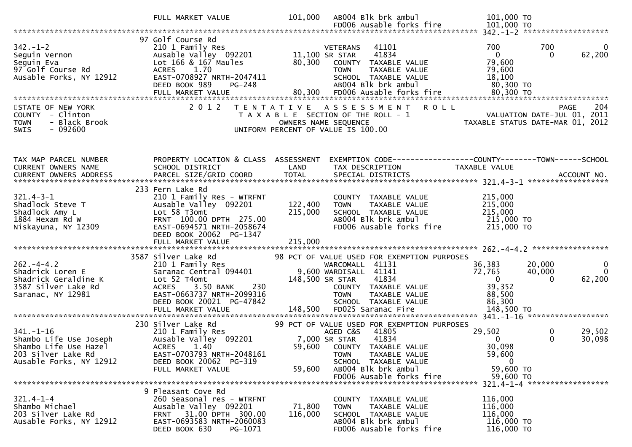|                                                                                                                     | FULL MARKET VALUE                                                                                                                                                                                                           | 101,000            | AB004 Blk brk ambul                                                                                                                                                                                      | 101,000 TO                                                                                                            |                                             |
|---------------------------------------------------------------------------------------------------------------------|-----------------------------------------------------------------------------------------------------------------------------------------------------------------------------------------------------------------------------|--------------------|----------------------------------------------------------------------------------------------------------------------------------------------------------------------------------------------------------|-----------------------------------------------------------------------------------------------------------------------|---------------------------------------------|
|                                                                                                                     |                                                                                                                                                                                                                             |                    | FD006 Ausable forks fire                                                                                                                                                                                 | 101,000 TO                                                                                                            |                                             |
| $342. - 1 - 2$<br>seguin Vernon<br>Seguin Eva<br>97 Golf Course Rd<br>Ausable Forks, NY 12912                       | 97 Golf Course Rd<br>210 1 Family Res<br>210 1 Family Res<br>Ausable Valley 092201 11,100 SR STAR<br>Lot 166 & 167 Maules 80,300 COUNTY TAXABLE VALUE<br>ACRES 1.70<br>EAST-0708927 NRTH-2047411<br>DEED BOOK 989<br>PG-248 |                    | VETERANS<br>41101<br>41834<br><b>TOWN</b><br>TAXABLE VALUE<br>SCHOOL TAXABLE VALUE<br>ABOO4 Blk brk ambul                                                                                                | 700<br>700<br>$\overline{0}$<br>79,600<br>79,600<br>18,100<br>$80,300$ TO                                             | $\Omega$<br>62,200<br>$\Omega$              |
| STATE OF NEW YORK<br>COUNTY - Clinton<br>- Black Brook<br><b>TOWN</b><br>$-092600$<br>SWIS                          | 2 0 1 2                                                                                                                                                                                                                     |                    | TENTATIVE ASSESSMENT ROLL<br>T A X A B L E SECTION OF THE ROLL - 1<br>OWNERS NAME SEQUENCE<br>UNIFORM PERCENT OF VALUE IS 100.00                                                                         | PAGE 204<br>ROLL - 1 VALUATION DATE-JUL 01, 2011<br>TAXABLE STATIIS DATE-MAR 27                                       |                                             |
| TAX MAP PARCEL NUMBER<br>CURRENT OWNERS NAME                                                                        | PROPERTY LOCATION & CLASS ASSESSMENT<br>SCHOOL DISTRICT                                                                                                                                                                     | LAND               | TAX DESCRIPTION                                                                                                                                                                                          | EXEMPTION CODE-----------------COUNTY-------TOWN------SCHOOL<br>TAXABLE VALUE                                         |                                             |
| $321.4 - 3 - 1$<br>Shadlock Steve T<br>Shadlock Amy L<br>1884 Hexam Rd W<br>Niskayuna, NY 12309                     | 233 Fern Lake Rd<br>210 1 Family Res - WTRFNT<br>Ausable Valley 092201<br>Lot 58 T3omt<br>FRNT 100.00 DPTH 275.00<br>EAST-0694571 NRTH-2058674<br>DEED BOOK 20062 PG-1347                                                   | 122,400<br>215,000 | COUNTY TAXABLE VALUE<br><b>TOWN</b><br>TAXABLE VALUE<br>SCHOOL TAXABLE VALUE<br>AB004 Blk brk ambul<br>FD006 Ausable forks fire                                                                          | 215,000<br>215,000<br>215,000<br>215,000 то<br>215,000 то                                                             |                                             |
|                                                                                                                     |                                                                                                                                                                                                                             |                    |                                                                                                                                                                                                          |                                                                                                                       |                                             |
| $262 - 4 - 4.2$<br>Shadrick Loren E<br>Shadrick Geraldine K<br>3587 Silver Lake Rd<br>Saranac, NY 12981             | 3587 Silver Lake Rd<br>210 1 Family Res<br>Saranac Central 094401 9,600 WARDISALL 41141<br>Lot 52 T4omt<br>ACRES 3.50 BANK<br>230<br>EAST-0663737 NRTH-2099316<br>DEED BOOK 20021 PG-47842                                  |                    | 98 PCT OF VALUE USED FOR EXEMPTION PURPOSES<br>ARDISALL TILT<br>R STAR 41834<br>COUNTY TAXABLE VALUE<br>TOWN TAXABLE VALUE<br>148,500 SR STAR<br>SCHOOL TAXABLE VALUE                                    | 36,383<br>20,000<br>72,765<br>40,000<br>$\overline{\mathbf{0}}$<br>39,352<br>88,500<br>86,300<br>LUE <b>Australia</b> | $\mathbf 0$<br>$\overline{0}$<br>62,200     |
|                                                                                                                     |                                                                                                                                                                                                                             |                    |                                                                                                                                                                                                          |                                                                                                                       |                                             |
| $341. - 1 - 16$<br>Shambo Life Use Joseph<br>Shambo Life Use Hazel<br>203 Silver Lake Rd<br>Ausable Forks, NY 12912 | 230 Silver Lake Rd<br>210 1 Family Res<br>Ausable Valley 092201<br>ACRES 1.40<br>EAST-0703793 NRTH-2048161<br>DEED BOOK 20062 PG-319<br>FULL MARKET VALUE                                                                   | 59,600             | 99 PCT OF VALUE USED FOR EXEMPTION PURPOSES<br>AGED C&S<br>41805<br>41834<br>7,000 SR STAR<br>59,600 COUNTY TAXABLE VALUE<br>TAXABLE VALUE<br><b>TOWN</b><br>SCHOOL TAXABLE VALUE<br>AB004 Blk brk ambul | 29,502<br>$\mathbf{0}$<br>30,098<br>59,600<br>$\bf{0}$<br>59,600 TO                                                   | $\mathbf 0$<br>29,502<br>$\Omega$<br>30,098 |
|                                                                                                                     |                                                                                                                                                                                                                             |                    | FD006 Ausable forks fire                                                                                                                                                                                 | 59,600 TO<br>321.4-1-4 ********************                                                                           |                                             |
| $321.4 - 1 - 4$<br>Shambo Michael<br>203 Silver Lake Rd<br>Ausable Forks, NY 12912                                  | 9 Pleasant Cove Rd<br>260 Seasonal res - WTRFNT<br>Ausable Valley 092201<br>31.00 DPTH 300.00<br><b>FRNT</b><br>EAST-0693583 NRTH-2060083<br>DEED BOOK 630<br>PG-1071                                                       | 71,800<br>116,000  | COUNTY TAXABLE VALUE<br>TAXABLE VALUE<br><b>TOWN</b><br>SCHOOL TAXABLE VALUE<br>AB004 Blk brk ambul<br>FD006 Ausable forks fire                                                                          | 116,000<br>116,000<br>116,000<br>116,000 TO<br>116,000 TO                                                             |                                             |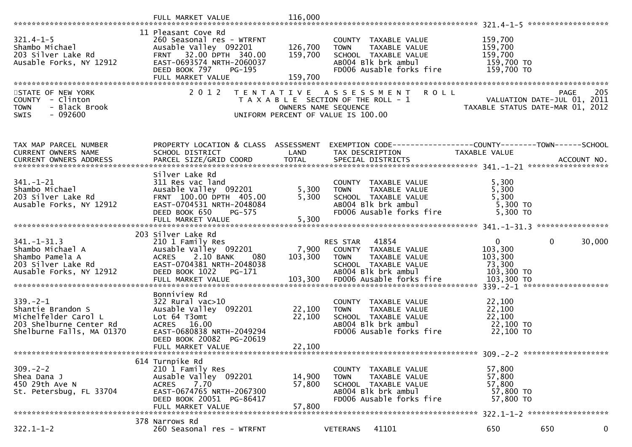| $321.4 - 1 - 5$<br>Shambo Michael<br>203 Silver Lake Rd<br>Ausable Forks, NY 12912                                 | 11 Pleasant Cove Rd<br>260 Seasonal res - WTRFNT<br>Ausable Valley 092201<br>FRNT 32.00 DPTH 340.00<br>EAST-0693574 NRTH-2060037<br>DEED BOOK 797<br>PG-195<br>FULL MARKET VALUE<br>2 0 1 2 | 126,700<br>159,700<br>159,700 | COUNTY TAXABLE VALUE<br><b>TOWN</b><br>TAXABLE VALUE<br>SCHOOL TAXABLE VALUE<br>AB004 Blk brk ambul<br>FD006 Ausable forks fire | 159,700<br>159,700<br>159,700<br>159,700 TO<br>159,700 TO                                                         | 205    |
|--------------------------------------------------------------------------------------------------------------------|---------------------------------------------------------------------------------------------------------------------------------------------------------------------------------------------|-------------------------------|---------------------------------------------------------------------------------------------------------------------------------|-------------------------------------------------------------------------------------------------------------------|--------|
| STATE OF NEW YORK<br>COUNTY - Clinton<br><b>TOWN</b><br>- Black Brook<br>$-092600$<br><b>SWIS</b>                  |                                                                                                                                                                                             | OWNERS NAME SEQUENCE          | TENTATIVE ASSESSMENT<br><b>ROLL</b><br>T A X A B L E SECTION OF THE ROLL - 1<br>UNIFORM PERCENT OF VALUE IS 100.00              | PAGE<br>PAGE 205<br>ROLL - 1 VALUATION DATE-JUL 01, 2011<br>TAXABLE STATUS DATE-MAR 01, 2012                      |        |
| TAX MAP PARCEL NUMBER<br>CURRENT OWNERS NAME                                                                       | SCHOOL DISTRICT                                                                                                                                                                             | LAND                          | TAX DESCRIPTION                                                                                                                 | PROPERTY LOCATION & CLASS ASSESSMENT EXEMPTION CODE----------------COUNTY-------TOWN------SCHOOL<br>TAXABLE VALUE |        |
| $341. - 1 - 21$<br>Shambo Michael<br>203 Silver Lake Rd<br>Ausable Forks, NY 12912                                 | Silver Lake Rd<br>311 Res vac land<br>Ausable Valley 092201<br>FRNT 100.00 DPTH 405.00<br>EAST-0704531 NRTH-2048084<br>DEED BOOK 650<br>PG-575                                              | 5,300<br>5,300                | COUNTY TAXABLE VALUE<br>TAXABLE VALUE<br><b>TOWN</b><br>SCHOOL TAXABLE VALUE<br>AB004 Blk brk ambul<br>FD006 Ausable forks fire | 5,300<br>5,300<br>5,300<br>5,300 TO<br>$5,300$ TO                                                                 |        |
| $341. - 1 - 31.3$<br>Shambo Michael A<br>Shambo Pamela A<br>203 Silver Lake Rd<br>Ausable Forks, NY 12912          | 203 Silver Lake Rd<br>210 1 Family Res<br>Ausable Valley 092201<br>2.10 BANK<br>ACRES<br>- 080<br>EAST-0704381 NRTH-2048038<br>DEED BOOK 1022<br>PG-171                                     | 103,300                       | RES STAR 41854<br>7,900 COUNTY TAXABLE VALUE<br>TOWN<br>TAXABLE VALUE<br>SCHOOL TAXABLE VALUE<br>AB004 Blk brk ambul            | $\overline{0}$<br>$\mathbf 0$<br>103,300<br>103,300<br>73,300<br>103,300 TO                                       | 30,000 |
| $339 - 2 - 1$<br>Shantie Brandon S<br>Michelfelder Carol L<br>203 Shelburne Center Rd<br>Shelburne Falls, MA 01370 | Bonniview Rd<br>$322$ Rural vac $>10$<br>Ausable Valley 092201<br>Lot 64 T3omt<br>ACRES 16.00<br>EAST-0680838 NRTH-2049294<br>DEED BOOK 20082 PG-20619<br>FULL MARKET VALUE                 | 22,100<br>22,100<br>22,100    | COUNTY TAXABLE VALUE<br>TAXABLE VALUE<br><b>TOWN</b><br>SCHOOL TAXABLE VALUE<br>ABOO4 Blk brk ambul<br>FD006 Ausable forks fire | 22,100<br>22,100<br>22,100<br>22,100 TO<br>22,100 TO                                                              |        |
| $309. - 2 - 2$<br>Shea Dana J<br>450 29th Ave N<br>St. Petersbug, FL 33704                                         | 614 Turnpike Rd<br>210 1 Family Res<br>Ausable Valley 092201<br>7.70<br><b>ACRES</b><br>EAST-0674765 NRTH-2067300<br>DEED BOOK 20051 PG-86417<br>FULL MARKET VALUE                          | 14,900<br>57,800<br>57,800    | COUNTY TAXABLE VALUE<br><b>TOWN</b><br>TAXABLE VALUE<br>SCHOOL TAXABLE VALUE<br>AB004 Blk brk ambul<br>FD006 Ausable forks fire | 57,800<br>57,800<br>57,800<br>57,800 TO<br>57,800 TO                                                              |        |
| $322.1 - 1 - 2$                                                                                                    | 378 Narrows Rd<br>260 Seasonal res - WTRFNT                                                                                                                                                 |                               | 41101<br><b>VETERANS</b>                                                                                                        | 650<br>650                                                                                                        | 0      |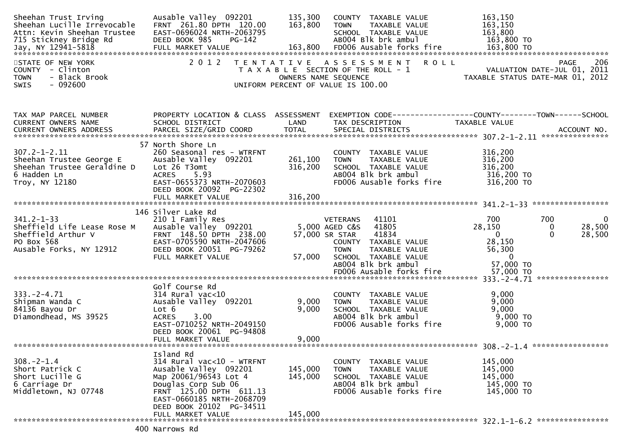| Ausable Valley 092201<br>FRNT 261.80 DPTH 120.00<br>EAST-0696024 NRTH-2063795<br>DEED BOOK 985<br>PG-142                                                                                                                 | 135,300<br>163,800            | COUNTY TAXABLE VALUE<br><b>TOWN</b><br>TAXABLE VALUE<br>SCHOOL TAXABLE VALUE<br>AB004 Blk brk ambul<br>FD006 Ausable forks fire        | 163,150<br>163,150<br>163,800<br>163,800 TO                                                                                                                                        |                                                                                                                                                                 |
|--------------------------------------------------------------------------------------------------------------------------------------------------------------------------------------------------------------------------|-------------------------------|----------------------------------------------------------------------------------------------------------------------------------------|------------------------------------------------------------------------------------------------------------------------------------------------------------------------------------|-----------------------------------------------------------------------------------------------------------------------------------------------------------------|
| 2012                                                                                                                                                                                                                     |                               |                                                                                                                                        | TAXABLE STATUS DATE-MAR 01,                                                                                                                                                        | 206<br>PAGE<br>VALUATION DATE-JUL 01, 2011<br>2012                                                                                                              |
| SCHOOL DISTRICT                                                                                                                                                                                                          | LAND                          | TAX DESCRIPTION                                                                                                                        | TAXABLE VALUE                                                                                                                                                                      |                                                                                                                                                                 |
| 57 North Shore Ln<br>260 Seasonal res - WTRFNT<br>Ausable Valley 092201<br>Lot 26 T3omt<br>5.93<br><b>ACRES</b><br>EAST-0655373 NRTH-2070603<br>DEED BOOK 20092 PG-22302<br>FULL MARKET VALUE                            | 261,100<br>316,200<br>316,200 | COUNTY TAXABLE VALUE<br><b>TOWN</b><br>TAXABLE VALUE<br>SCHOOL TAXABLE VALUE<br>AB004 Blk brk ambul<br>FD006 Ausable forks fire        | 316,200<br>316,200<br>316,200<br>316,200 TO<br>316,200 TO                                                                                                                          | *****************                                                                                                                                               |
| 146 Silver Lake Rd<br>210 1 Family Res<br>Ausable Valley 092201<br>FRNT 148.50 DPTH 238.00<br>EAST-0705590 NRTH-2047606<br>DEED BOOK 20051 PG-79262<br>FULL MARKET VALUE                                                 | 57,000                        | 41101<br>41805<br>41834<br>COUNTY TAXABLE VALUE<br><b>TOWN</b><br>TAXABLE VALUE<br>SCHOOL TAXABLE VALUE<br>AB004 Blk brk ambul         | 700<br>28,150<br>$\Omega$<br>28,150<br>56,300<br>$\mathbf{0}$<br>57,000 TO                                                                                                         | 700<br>$\overline{0}$<br>28,500<br>0<br>28,500<br>$\Omega$                                                                                                      |
| Golf Course Rd<br>$314$ Rural vac< $10$<br>Ausable Valley 092201<br>Lot 6<br>3.00<br><b>ACRES</b><br>EAST-0710252 NRTH-2049150<br>DEED BOOK 20061 PG-94808<br>FULL MARKET VALUE                                          | 9,000<br>9,000<br>9,000       | COUNTY TAXABLE VALUE<br><b>TOWN</b><br>TAXABLE VALUE<br>SCHOOL TAXABLE VALUE<br>AB004 Blk brk ambul<br>FD006 Ausable forks fire        | 9,000<br>9,000<br>9,000<br>9,000 TO<br>9,000 TO                                                                                                                                    | ****************                                                                                                                                                |
| Island Rd<br>314 Rural vac<10 - WTRFNT<br>Ausable Valley 092201<br>Map 20061/96543 Lot 4<br>Douglas Corp Sub 06<br>FRNT 125.00 DPTH 611.13<br>EAST-0660185 NRTH-2068709<br>DEED BOOK 20102 PG-34511<br>FULL MARKET VALUE | 145,000<br>145,000<br>145,000 | COUNTY TAXABLE VALUE<br><b>TOWN</b><br><b>TAXABLE VALUE</b><br>SCHOOL TAXABLE VALUE<br>AB004 Blk brk ambul<br>FD006 Ausable forks fire | 145,000<br>145,000<br>145,000<br>145,000 TO<br>145,000 TO                                                                                                                          |                                                                                                                                                                 |
|                                                                                                                                                                                                                          |                               | PROPERTY LOCATION & CLASS ASSESSMENT                                                                                                   | TENTATIVE ASSESSMENT<br>T A X A B L E SECTION OF THE ROLL - 1<br>OWNERS NAME SEQUENCE<br>UNIFORM PERCENT OF VALUE IS 100.00<br><b>VETERANS</b><br>5,000 AGED C&S<br>57,000 SR STAR | R O L L<br>EXEMPTION CODE-----------------COUNTY-------TOWN------SCHOOL<br>57,000 TO<br>EDOO6 Ausable forks fire 57,000 TO<br>E-1.71 -2- 331. -2-4.71 - 333. -3 |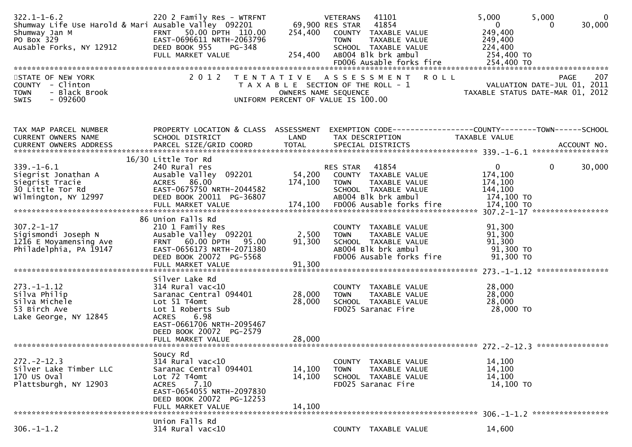| $322.1 - 1 - 6.2$<br>Shumway Life Use Harold & Mari Ausable Valley 092201<br>Shumway Jan M<br>PO Box 329<br>Ausable Forks, NY 12912 | 220 2 Family Res - WTRFNT<br>FRNT 50.00 DPTH 110.00<br>EAST-0696611 NRTH-2063796<br>DEED BOOK 955<br>PG-348<br>FULL MARKET VALUE                                                                       | 254,400                    | 41101<br>VETERANS<br>69,900 RES STAR 41854<br>254,400 COUNTY TAXABLE VALUE<br><b>TOWN</b><br>TAXABLE VALUE<br>SCHOOL TAXABLE VALUE<br>AB004 Blk brk ambul | 5,000<br>5,000<br>$\overline{0}$<br>249,400<br>249,400<br>224,400<br>254,400 TO | $\mathbf{0}$<br>30,000<br>$\Omega$ |
|-------------------------------------------------------------------------------------------------------------------------------------|--------------------------------------------------------------------------------------------------------------------------------------------------------------------------------------------------------|----------------------------|-----------------------------------------------------------------------------------------------------------------------------------------------------------|---------------------------------------------------------------------------------|------------------------------------|
| STATE OF NEW YORK<br>COUNTY - Clinton<br>- Black Brook<br><b>TOWN</b><br>SWIS<br>- 092600                                           | 2 0 1 2<br>T E N T A T I V E                                                                                                                                                                           | OWNERS NAME SEQUENCE       | A S S E S S M E N T<br><b>ROLL</b><br>T A X A B L E SECTION OF THE ROLL - 1<br>UNIFORM PERCENT OF VALUE IS 100.00                                         | VALUATION DATE-JUL 01, 2011<br>TAXABLE STATUS DATE-MAR 01, 2012                 | 207<br><b>PAGE</b>                 |
| TAX MAP PARCEL NUMBER<br>CURRENT OWNERS NAME                                                                                        | SCHOOL DISTRICT<br>16/30 Little Tor Rd                                                                                                                                                                 | LAND                       | PROPERTY LOCATION & CLASS ASSESSMENT EXEMPTION CODE----------------COUNTY-------TOWN------SCHOOL<br>TAX DESCRIPTION                                       | TAXABLE VALUE                                                                   |                                    |
| $339. - 1 - 6.1$<br>Siegrist Jonathan A<br>Siegrist Tracie<br>30 Little Tor Rd<br>Wilmington, NY 12997                              | 240 Rural res<br>Ausable Valley 092201<br>ACRES 86.00<br>EAST-0675750 NRTH-2044582<br>DEED BOOK 20011 PG-36807                                                                                         | 174,100                    | 41854<br>RES STAR<br>54,200 COUNTY TAXABLE VALUE<br>TAXABLE VALUE<br><b>TOWN</b><br>SCHOOL TAXABLE VALUE<br>AB004 Blk brk ambul                           | $\mathbf{0}$<br>174,100<br>174,100<br>144,100<br>174,100 TO                     | $\mathbf{0}$<br>30,000             |
| $307.2 - 1 - 17$<br>Sigismondi Joseph N<br>1216 E Moyamensing Ave<br>Philadelphia, PA 19147                                         | 86 Union Falls Rd<br>210 1 Family Res<br>Ausable Valley 092201<br>FRNT 60.00 DPTH<br>95.00<br>EAST-0656173 NRTH-2071380<br>DEED BOOK 20072 PG-5568<br>FULL MARKET VALUE                                | 2,500<br>91,300<br>91,300  | COUNTY TAXABLE VALUE<br><b>TOWN</b><br>TAXABLE VALUE<br>SCHOOL TAXABLE VALUE<br>ABOO4 Blk brk ambul<br>FD006 Ausable forks fire                           | 91,300<br>91,300<br>91,300<br>91,300 то<br>91,300 TO                            |                                    |
| $273. -1 - 1.12$<br>Silva Philip<br>Silva Michele<br>53 Birch Ave<br>Lake George, NY 12845                                          | Silver Lake Rd<br>314 Rural vac<10<br>Saranac Central 094401<br>Lot 51 T4omt<br>Lot 1 Roberts Sub<br><b>ACRES</b><br>6.98<br>EAST-0661706 NRTH-2095467<br>DEED BOOK 20072 PG-2579<br>FULL MARKET VALUE | 28,000<br>28,000<br>28,000 | COUNTY TAXABLE VALUE<br>TAXABLE VALUE<br><b>TOWN</b><br>SCHOOL TAXABLE VALUE<br>FD025 Saranac Fire                                                        | 28,000<br>28,000<br>28,000<br>28,000 TO                                         |                                    |
| $272 - 2 - 12.3$<br>Silver Lake Timber LLC<br>$170$ US Oval<br>Plattsburgh, NY 12903                                                | Soucy Rd<br>$314$ Rural vac<10<br>Saranac Central 094401<br>Lot 72 T4omt<br>7.10<br><b>ACRES</b><br>EAST-0654055 NRTH-2097830<br>DEED BOOK 20072 PG-12253<br>FULL MARKET VALUE                         | 14,100<br>14,100<br>14.100 | COUNTY TAXABLE VALUE<br><b>TOWN</b><br>TAXABLE VALUE<br>SCHOOL TAXABLE VALUE<br>FD025 Saranac Fire                                                        | 14,100<br>14,100<br>14,100<br>14,100 TO                                         |                                    |
| $306. - 1 - 1.2$                                                                                                                    | Union Falls Rd<br>314 Rural vac<10                                                                                                                                                                     |                            | COUNTY TAXABLE VALUE                                                                                                                                      | 14,600                                                                          |                                    |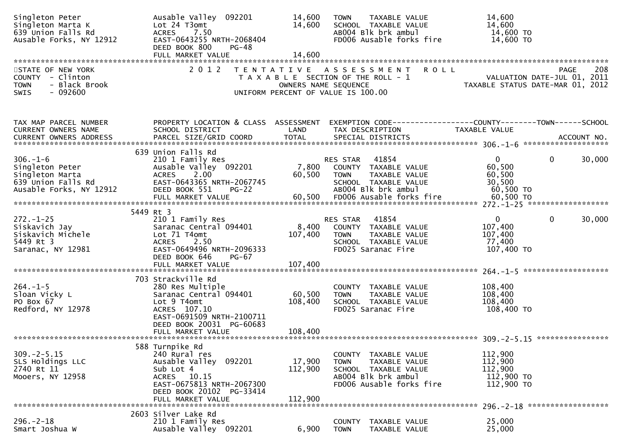| Singleton Peter<br>Singleton Marta K<br>639 Union Falls Rd<br>Ausable Forks, NY 12912                 | Ausable Valley 092201<br>Lot 24 T3omt<br>7.50<br><b>ACRES</b><br>EAST-0643255 NRTH-2068404<br>DEED BOOK 800<br>PG-48                                                          | 14,600<br>14,600             | <b>TAXABLE VALUE</b><br><b>TOWN</b><br>SCHOOL TAXABLE VALUE<br>AB004 Blk brk ambul<br>FD006 Ausable forks fire                                                    | 14,600<br>14,600<br>14,600 TO<br>14,600 TO                                                                      |             |
|-------------------------------------------------------------------------------------------------------|-------------------------------------------------------------------------------------------------------------------------------------------------------------------------------|------------------------------|-------------------------------------------------------------------------------------------------------------------------------------------------------------------|-----------------------------------------------------------------------------------------------------------------|-------------|
| STATE OF NEW YORK<br>COUNTY - Clinton<br>- Black Brook<br><b>TOWN</b><br>$-092600$<br>SWIS            | 2 0 1 2                                                                                                                                                                       | OWNERS NAME SEQUENCE         | TENTATIVE ASSESSMENT<br><b>ROLL</b><br>T A X A B L E SECTION OF THE ROLL - 1<br>UNIFORM PERCENT OF VALUE IS 100.00                                                | 208 PAGE<br>VALUATION DATE-JUL 01, 2011<br>TAXARLE STATUS DATE USE 01, 2011<br>TAXABLE STATUS DATE-MAR 01, 2012 | 208<br>PAGE |
| TAX MAP PARCEL NUMBER<br>CURRENT OWNERS NAME<br>CURRENT OWNERS ADDRESS                                | SCHOOL DISTRICT                                                                                                                                                               | LAND                         | PROPERTY LOCATION & CLASS ASSESSMENT EXEMPTION CODE----------------COUNTY-------TOWN------SCHOOL<br>TAX DESCRIPTION                                               | TAXABLE VALUE                                                                                                   |             |
| $306. - 1 - 6$<br>Singleton Peter<br>Singleton Marta<br>639 Union Falls Rd<br>Ausable Forks, NY 12912 | 639 Union Falls Rd<br>210 1 Family Res<br>Ausable Valley 092201<br>ACRES 2.00<br>EAST-0643365 NRTH-2067745<br>DEED BOOK 551<br><b>PG-22</b><br>FULL MARKET VALUE              | 60,500                       | 41854<br>RES STAR<br>7,800 COUNTY TAXABLE VALUE<br>TAXABLE VALUE<br><b>TOWN</b><br>SCHOOL TAXABLE VALUE<br>AB004 Blk brk ambul<br>60,500 FD006 Ausable forks fire | $\mathbf{0}$<br>0<br>60,500<br>60,500<br>30,500<br>60,500 TO<br>60,500 TO                                       | 30,000      |
| $272. - 1 - 25$<br>Siskavich Jay<br>Siskavich Michele<br>5449 Rt 3<br>Saranac, NY 12981               | 5449 Rt 3<br>210 1 Family Res<br>Saranac Central 094401<br>Lot 71 T4omt<br>ACRES 2.50<br>EAST-0649496 NRTH-2096333<br>DEED BOOK 646<br>PG-67<br>FULL MARKET VALUE             | 8,400<br>107,400<br>107,400  | RES STAR 41854<br>COUNTY TAXABLE VALUE<br><b>TOWN</b><br>TAXABLE VALUE<br>SCHOOL TAXABLE VALUE<br>FD025 Saranac Fire                                              | $\mathbf{0}$<br>$\mathbf{0}$<br>107,400<br>107,400<br>77,400<br>107,400 TO                                      | 30,000      |
| $264. -1 - 5$<br>Sloan Vicky L<br>PO Box 67<br>Redford, NY 12978                                      | 703 Strackville Rd<br>280 Res Multiple<br>Saranac Central 094401<br>Lot 9 T4omt<br>ACRES 107.10<br>EAST-0691509 NRTH-2100711<br>DEED BOOK 20031 PG-60683<br>FULL MARKET VALUE | 60,500<br>108,400<br>108,400 | COUNTY TAXABLE VALUE<br><b>TOWN</b><br>TAXABLE VALUE<br>SCHOOL TAXABLE VALUE<br>FD025 Saranac Fire                                                                | 108,400<br>108,400<br>108,400<br>108,400 TO                                                                     |             |
| $309. -2 - 5.15$<br>SLS Holdings LLC<br>2740 Rt 11<br>Mooers, NY 12958                                | 588 Turnpike Rd<br>240 Rural res<br>Ausable Valley 092201<br>Sub Lot 4<br>ACRES 10.15<br>EAST-0675813 NRTH-2067300<br>DEED BOOK 20102 PG-33414<br>FULL MARKET VALUE           | 17,900<br>112,900<br>112,900 | COUNTY TAXABLE VALUE<br><b>TOWN</b><br>TAXABLE VALUE<br>SCHOOL TAXABLE VALUE<br>AB004 Blk brk ambul<br>FD006 Ausable forks fire                                   | 112,900<br>112,900<br>112,900<br>112,900 TO<br>112,900 TO<br>296. - 2 - 18 *******************                  |             |
| $296. - 2 - 18$<br>Smart Joshua W                                                                     | 2603 Silver Lake Rd<br>210 1 Family Res<br>Ausable Valley 092201                                                                                                              | 6,900                        | COUNTY<br>TAXABLE VALUE<br><b>TOWN</b><br>TAXABLE VALUE                                                                                                           | 25,000<br>25,000                                                                                                |             |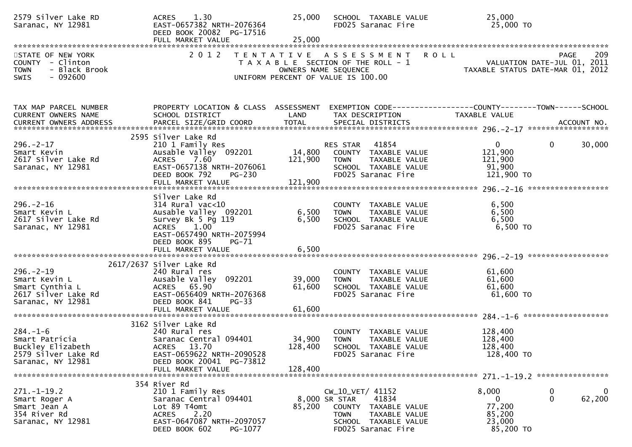| 2579 Silver Lake RD<br>Saranac, NY 12981                                                          | 1.30<br><b>ACRES</b><br>EAST-0657382 NRTH-2076364<br>DEED BOOK 20082 PG-17516<br>FULL MARKET VALUE                                                          | 25,000<br>25,000             | SCHOOL TAXABLE VALUE<br>FD025 Saranac Fire                                                                                                                 | 25,000<br>25,000 TO                                                                                               |
|---------------------------------------------------------------------------------------------------|-------------------------------------------------------------------------------------------------------------------------------------------------------------|------------------------------|------------------------------------------------------------------------------------------------------------------------------------------------------------|-------------------------------------------------------------------------------------------------------------------|
|                                                                                                   |                                                                                                                                                             |                              |                                                                                                                                                            |                                                                                                                   |
| STATE OF NEW YORK<br>COUNTY - Clinton<br>- Black Brook<br><b>TOWN</b><br>$-092600$<br><b>SWIS</b> | 2 0 1 2                                                                                                                                                     |                              | <b>ROLL</b><br>TENTATIVE ASSESSMENT<br>T A X A B L E SECTION OF THE ROLL - 1<br>OWNERS NAME SEQUENCE<br>UNIFORM PERCENT OF VALUE IS 100.00                 | 209<br>PAGE<br>VALUATION DATE-JUL 01, 2011<br>VALUATION DATE-JUL U1, 2U11<br>TAXABLE STATUS DATE-MAR 01, 2012     |
| TAX MAP PARCEL NUMBER<br>CURRENT OWNERS NAME                                                      | SCHOOL DISTRICT                                                                                                                                             | LAND                         | TAX DESCRIPTION                                                                                                                                            | PROPERTY LOCATION & CLASS ASSESSMENT EXEMPTION CODE----------------COUNTY-------TOWN------SCHOOL<br>TAXABLE VALUE |
| CURRENT OWNERS ADDRESS                                                                            | PARCEL SIZE/GRID COORD                                                                                                                                      | <b>TOTAL</b>                 | SPECIAL DISTRICTS                                                                                                                                          | ACCOUNT NO.                                                                                                       |
| $296. - 2 - 17$<br>Smart Kevin<br>2617 Silver Lake Rd<br>Saranac, NY 12981                        | 2595 Silver Lake Rd<br>210 1 Family Res<br>Ausable Valley 092201<br>ACRES 7.60<br>EAST-0657138 NRTH-2076061<br>DEED BOOK 792<br>PG-230<br>FULL MARKET VALUE | 14,800<br>121,900<br>121,900 | 41854<br>RES STAR<br>COUNTY TAXABLE VALUE<br><b>TOWN</b><br>TAXABLE VALUE<br>SCHOOL TAXABLE VALUE<br>FD025 Saranac Fire                                    | $\mathbf{0}$<br>$\mathbf{0}$<br>30,000<br>121,900<br>121,900<br>91,900<br>121,900 TO                              |
|                                                                                                   | Silver Lake Rd                                                                                                                                              |                              |                                                                                                                                                            |                                                                                                                   |
| $296. - 2 - 16$<br>Smart Kevin L<br>2617 Silver Lake Rd<br>Saranac, NY 12981                      | $314$ Rural vac< $10$<br>Ausable Valley 092201<br>Survey Bk 5 Pg 119<br>ACRES 1.00<br>EAST-0657490 NRTH-2075994<br>DEED BOOK 895<br>PG-71                   | 6,500<br>6,500               | COUNTY TAXABLE VALUE<br>TAXABLE VALUE<br><b>TOWN</b><br>SCHOOL TAXABLE VALUE<br>FD025 Saranac Fire                                                         | 6,500<br>6,500<br>6,500<br>$6,500$ TO                                                                             |
|                                                                                                   | FULL MARKET VALUE                                                                                                                                           | 6,500                        |                                                                                                                                                            |                                                                                                                   |
|                                                                                                   |                                                                                                                                                             |                              |                                                                                                                                                            |                                                                                                                   |
| $296. - 2 - 19$<br>Smart Kevin L<br>Smart Cynthia L<br>2617 Silver Lake Rd<br>Saranac, NY 12981   | 2617/2637 Silver Lake Rd<br>240 Rural res<br>Ausable Valley 092201<br>ACRES 65.90<br>EAST-0656409 NRTH-2076368<br>DEED BOOK 841<br>$PG-33$                  | 39,000<br>61,600             | COUNTY TAXABLE VALUE<br><b>TOWN</b><br>TAXABLE VALUE<br>SCHOOL TAXABLE VALUE<br>FD025 Saranac Fire                                                         | 61,600<br>61,600<br>61,600<br>$61,600$ TO                                                                         |
|                                                                                                   | FULL MARKET VALUE                                                                                                                                           | 61,600                       |                                                                                                                                                            |                                                                                                                   |
| $284. - 1 - 6$<br>Smart Patricia<br>Buckley Elizabeth<br>2579 Silver Lake Rd<br>Saranac, NY 12981 | 3162 Silver Lake Rd<br>240 Rural res<br>Saranac Central 094401<br>ACRES 13.70<br>EAST-0659622 NRTH-2090528<br>DEED BOOK 20041 PG-73812                      | 34,900<br>128,400            | COUNTY TAXABLE VALUE<br><b>TOWN</b><br>TAXABLE VALUE<br>SCHOOL TAXABLE VALUE<br>FD025 Saranac Fire                                                         | 128,400<br>128,400<br>128,400<br>128,400 TO                                                                       |
|                                                                                                   | FULL MARKET VALUE                                                                                                                                           | 128,400                      |                                                                                                                                                            |                                                                                                                   |
|                                                                                                   | 354 River Rd                                                                                                                                                |                              |                                                                                                                                                            |                                                                                                                   |
| $271.-1-19.2$<br>Smart Roger A<br>Smart Jean A<br>354 River Rd<br>Saranac, NY 12981               | 210 1 Family Res<br>Saranac Central 094401<br>Lot 89 T4omt<br>2.20<br>ACRES<br>EAST-0647087 NRTH-2097057<br>PG-1077<br>DEED BOOK 602                        | 85,200                       | CW_10_VET/ 41152<br>41834<br>8,000 SR STAR<br><b>COUNTY</b><br>TAXABLE VALUE<br><b>TOWN</b><br>TAXABLE VALUE<br>SCHOOL TAXABLE VALUE<br>FD025 Saranac Fire | 8,000<br>$\mathbf 0$<br>0<br>62,200<br>0<br>$\bf{0}$<br>77,200<br>85,200<br>23,000<br>85,200 TO                   |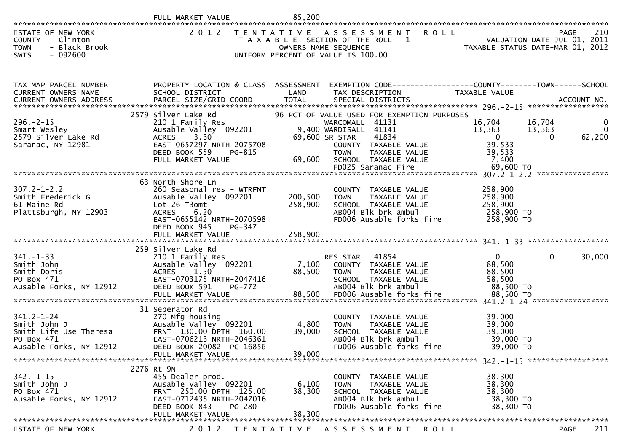|                                                                                                     | FULL MARKET VALUE                                                                                                                                                                 | 85,200                    |                                                                                                                                                                                                                                                         |                                                                              |                                                                    |
|-----------------------------------------------------------------------------------------------------|-----------------------------------------------------------------------------------------------------------------------------------------------------------------------------------|---------------------------|---------------------------------------------------------------------------------------------------------------------------------------------------------------------------------------------------------------------------------------------------------|------------------------------------------------------------------------------|--------------------------------------------------------------------|
| STATE OF NEW YORK<br>COUNTY - Clinton<br>- Black Brook<br><b>TOWN</b><br>SWIS<br>$-092600$          | 2 0 1 2                                                                                                                                                                           |                           | <b>ROLL</b><br>TENTATIVE ASSESSMENT<br>T A X A B L E SECTION OF THE ROLL - 1<br>OWNERS NAME SEQUENCE<br>UNIFORM PERCENT OF VALUE IS 100.00                                                                                                              | 210<br>VALUATION DATE-JUL 01, 2011<br>TAXABLE STATIIS DATE-MAR 01 2013       | 210<br><b>PAGE</b>                                                 |
| TAX MAP PARCEL NUMBER<br>CURRENT OWNERS NAME                                                        | PROPERTY LOCATION & CLASS ASSESSMENT<br>SCHOOL DISTRICT                                                                                                                           | LAND                      | EXEMPTION CODE------------------COUNTY--------TOWN------SCHOOL<br>TAX DESCRIPTION                                                                                                                                                                       | TAXABLE VALUE                                                                |                                                                    |
| $296. - 2 - 15$<br>Smart Wesley<br>2579 Silver Lake Rd<br>Saranac, NY 12981                         | 2579 Silver Lake Rd<br>210 1 Family Res<br>Ausable Valley 092201 9.40<br>3.30<br><b>ACRES</b><br>EAST-0657297 NRTH-2075708<br>DEED BOOK 559<br>PG-815<br>FULL MARKET VALUE        | 69,600                    | 96 PCT OF VALUE USED FOR EXEMPTION PURPOSES<br>WARCOMALL 41131<br>9,400 WARDISALL 41141<br>69,600 SR STAR<br>41834<br>COUNTY TAXABLE VALUE<br><b>TOWN</b><br>TAXABLE VALUE<br>TAXABLE VALUE<br>TILL VALUE<br>SCHOOL TAXABLE VALUE<br>FD025 Saranac Fire | 16,704<br>13,363<br>$\overline{0}$<br>39,533<br>39,533<br>7,400<br>69,600 TO | 16,704<br>$\bf{0}$<br>$\mathbf{0}$<br>13,363<br>62,200<br>$\Omega$ |
| $307.2 - 1 - 2.2$<br>Smith Frederick G<br>61 Maine Rd<br>Plattsburgh, NY 12903                      | 63 North Shore Ln<br>260 Seasonal res - WTRFNT<br>Ausable Valley 092201<br>Lot 26 T3omt<br>6.20<br><b>ACRES</b><br>EAST-0655142 NRTH-2070598<br>DEED BOOK 945<br>PG-347           | 200,500<br>258,900        | COUNTY TAXABLE VALUE<br>TAXABLE VALUE<br><b>TOWN</b><br>SCHOOL TAXABLE VALUE<br>AB004 Blk brk ambul<br>FD006 Ausable forks fire                                                                                                                         | 258,900<br>258,900<br>258,900<br>258,900 TO<br>258,900 TO                    |                                                                    |
| $341. - 1 - 33$<br>Smith John<br>Smith Doris<br>PO Box 471<br>Ausable Forks, NY 12912               | 259 Silver Lake Rd<br>210 1 Family Res<br>Ausable Valley 092201<br>1.50<br><b>ACRES</b><br>EAST-0703175 NRTH-2047416<br>DEED BOOK 591<br><b>PG-772</b><br>FULL MARKET VALUE       | 7,100<br>88,500<br>88,500 | RES STAR<br>41854<br>COUNTY TAXABLE VALUE<br>TAXABLE VALUE<br>TOWN<br>SCHOOL TAXABLE VALUE<br>AB004 Blk brk ambul<br>FD006 Ausable forks fire                                                                                                           | $\mathbf{0}$<br>88,500<br>88,500<br>58,500<br>88,500 TO<br>88,500 TO         | 0<br>30,000                                                        |
| $341.2 - 1 - 24$<br>Smith John J<br>Smith Life Use Theresa<br>PO Box 471<br>Ausable Forks, NY 12912 | 31 Seperator Rd<br>270 Mfg housing<br>Ausable Valley <sup>o 092201</sup><br>FRNT 130.00 DPTH 160.00<br>EAST-0706213 NRTH-2046361<br>DEED BOOK 20082 PG-16856<br>FULL MARKET VALUE | 4,800<br>39,000<br>39,000 | COUNTY TAXABLE VALUE<br><b>TOWN</b><br>TAXABLE VALUE<br>SCHOOL TAXABLE VALUE<br>AB004 Blk brk ambul<br>FD006 Ausable forks fire                                                                                                                         | 39,000<br>39,000<br>39,000<br>39,000 TO<br>39,000 TO                         |                                                                    |
| $342. - 1 - 15$<br>Smith John J<br>PO Box 471<br>Ausable Forks, NY 12912                            | 2276 Rt 9N<br>455 Dealer-prod.<br>Ausable Valley 092201<br>FRNT 250.00 DPTH 125.00<br>EAST-0712435 NRTH-2047016<br>DEED BOOK 843<br>PG-280<br>FULL MARKET VALUE                   | 6,100<br>38,300<br>38,300 | <b>COUNTY</b><br>TAXABLE VALUE<br><b>TAXABLE VALUE</b><br>TOWN<br>SCHOOL TAXABLE VALUE<br>AB004 Blk brk ambul<br>FD006 Ausable forks fire                                                                                                               | 38,300<br>38,300<br>38,300<br>38,300 TO<br>38,300 TO                         |                                                                    |
| STATE OF NEW YORK                                                                                   | 2 0 1 2                                                                                                                                                                           |                           | TENTATIVE ASSESSMENT<br>R O L L                                                                                                                                                                                                                         |                                                                              | 211<br><b>PAGE</b>                                                 |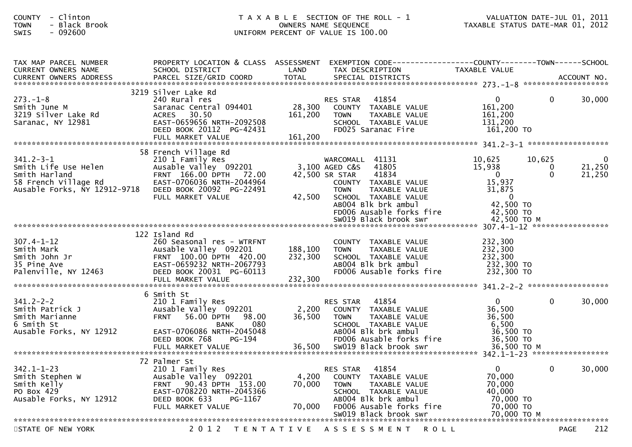| COUNTY - Clinton<br><b>TOWN</b><br>- Black Brook<br>SWIS<br>$-092600$                                            |                                                                                                                                                                                                  |                           | T A X A B L E SECTION OF THE ROLL - 1<br>OWNERS NAME SEQUENCE<br>UNIFORM PERCENT OF VALUE IS 100.00                                                                                                      | TAXABLE STATUS DATE-MAR 01, 2012                                                                            |                         | VALUATION DATE-JUL 01, 2011 |
|------------------------------------------------------------------------------------------------------------------|--------------------------------------------------------------------------------------------------------------------------------------------------------------------------------------------------|---------------------------|----------------------------------------------------------------------------------------------------------------------------------------------------------------------------------------------------------|-------------------------------------------------------------------------------------------------------------|-------------------------|-----------------------------|
| TAX MAP PARCEL NUMBER<br>CURRENT OWNERS NAME                                                                     | SCHOOL DISTRICT                                                                                                                                                                                  | LAND                      | PROPERTY LOCATION & CLASS ASSESSMENT EXEMPTION CODE----------------COUNTY-------TOWN------SCHOOL<br>TAX DESCRIPTION                                                                                      | <b>TAXABLE VALUE</b>                                                                                        |                         |                             |
| $273. - 1 - 8$<br>Smith June M<br>3219 Silver Lake Rd<br>Saranac, NY 12981                                       | 3219 Silver Lake Rd<br>240 Rural res<br>Saranac Central 094401<br><b>ACRES</b><br>30.50<br>EAST-0659656 NRTH-2092508<br>DEED BOOK 20112 PG-42431                                                 | 28,300<br>161,200         | 41854<br>RES STAR<br>COUNTY TAXABLE VALUE<br><b>TOWN</b><br>TAXABLE VALUE<br>SCHOOL TAXABLE VALUE<br>FD025 Saranac Fire                                                                                  | $\overline{0}$<br>161,200<br>161,200<br>131,200<br>161,200 TO                                               | $\overline{0}$          | 30,000                      |
| $341.2 - 3 - 1$<br>Smith Life Use Helen<br>Smith Harland<br>58 French Village Rd<br>Ausable Forks, NY 12912-9718 | 58 French Village Rd<br>210 1 Family Res<br>Ausable Valley 092201<br>FRNT 166.00 DPTH 72.00<br>EAST-0706036 NRTH-2044964<br>DEED BOOK 20092 PG-22491<br>FULL MARKET VALUE                        | 42,500                    | WARCOMALL 41131<br>41805<br>3,100 AGED C&S<br>41834<br>42,500 SR STAR<br>COUNTY TAXABLE VALUE<br><b>TOWN</b><br>TAXABLE VALUE<br>SCHOOL TAXABLE VALUE<br>AB004 Blk brk ambul<br>FD006 Ausable forks fire | 10,625<br>15,938<br>$\overline{0}$<br>15,937<br>31,875<br>$\overline{\mathbf{0}}$<br>42,500 TO<br>42,500 TO | 10,625<br>0<br>$\Omega$ | 0<br>21,250<br>21,250       |
| $307.4 - 1 - 12$<br>Smith Mark<br>Smith John Jr<br>35 Pine Ave<br>Palenville, NY 12463                           | 122 Island Rd<br>260 Seasonal res - WTRFNT<br>Ausable Valley 092201<br>FRNT 100.00 DPTH 420.00<br>EAST-0659232 NRTH-2067793<br>DEED BOOK 20031 PG-60113                                          | 188,100<br>232,300        | COUNTY TAXABLE VALUE<br><b>TOWN</b><br>TAXABLE VALUE<br>SCHOOL TAXABLE VALUE<br>AB004 Blk brk ambul<br>FD006 Ausable forks fire                                                                          | 232,300<br>232,300<br>232,300<br>232,300 TO<br>232,300 TO                                                   |                         |                             |
| $341.2 - 2 - 2$<br>Smith Patrick J<br>Smith Marianne<br>6 Smith St<br>Ausable Forks, NY 12912                    | 6 Smith St<br>210 1 Family Res<br>Ausable Valley 092201<br><b>FRNT</b><br>56.00 DPTH<br>98.00<br>080<br><b>BANK</b><br>EAST-0706086 NRTH-2045048<br>DEED BOOK 768<br>PG-194<br>FULL MARKET VALUE | 2,200<br>36,500<br>36,500 | 41854<br><b>RES STAR</b><br>COUNTY TAXABLE VALUE<br><b>TOWN</b><br>TAXABLE VALUE<br>SCHOOL TAXABLE VALUE<br>AB004 Blk brk ambul<br>FD006 Ausable forks fire<br>SW019 Black brook swr                     | $\mathbf{0}$<br>36,500<br>36,500<br>6,500<br>36,500 TO<br>36,500 TO<br>36,500 ТО М                          | $\mathbf{0}$            | 30,000                      |
| $342.1 - 1 - 23$<br>Smith Stephen W<br>Smith Kelly<br>PO Box 429<br>Ausable Forks, NY 12912                      | 72 Palmer St<br>210 1 Family Res<br>Ausable Valley 092201<br>FRNT 90.43 DPTH 153.00<br>EAST-0708220 NRTH-2045366<br>DEED BOOK 633<br>PG-1167<br>FULL MARKET VALUE                                | 4,200<br>70,000<br>70,000 | 41854<br><b>RES STAR</b><br>COUNTY TAXABLE VALUE<br><b>TOWN</b><br>TAXABLE VALUE<br>SCHOOL TAXABLE VALUE<br>AB004 Blk brk ambul<br>FD006 Ausable forks fire<br>SW019 Black brook swr                     | $\mathbf{0}$<br>70,000<br>70,000<br>40,000<br>70,000 TO<br>70,000 TO<br>70,000 TO M                         | $\mathbf{0}$            | 30,000                      |
| STATE OF NEW YORK                                                                                                |                                                                                                                                                                                                  |                           | 2012 TENTATIVE ASSESSMENT<br>R O L L                                                                                                                                                                     |                                                                                                             |                         | 212<br><b>PAGE</b>          |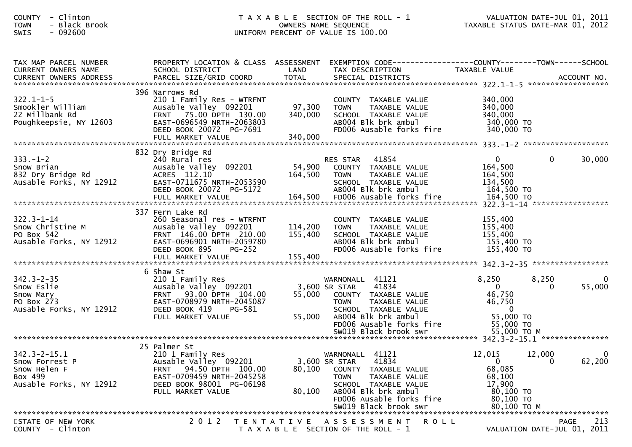| - Clinton<br><b>COUNTY</b><br>- Black Brook<br><b>TOWN</b><br>$-092600$<br>SWIS            |                                                                                                                                                                                       | T A X A B L E SECTION OF THE ROLL - 1<br>TAXABLE STATUS DATE-MAR 01, 2012<br>OWNERS NAME SEQUENCE<br>UNIFORM PERCENT OF VALUE IS 100.00 |                                                                                                                                                                                                                 |                                                                                                 |                   |                                   |
|--------------------------------------------------------------------------------------------|---------------------------------------------------------------------------------------------------------------------------------------------------------------------------------------|-----------------------------------------------------------------------------------------------------------------------------------------|-----------------------------------------------------------------------------------------------------------------------------------------------------------------------------------------------------------------|-------------------------------------------------------------------------------------------------|-------------------|-----------------------------------|
| TAX MAP PARCEL NUMBER<br>CURRENT OWNERS NAME<br>CURRENT OWNERS ADDRESS                     | PROPERTY LOCATION & CLASS ASSESSMENT<br>SCHOOL DISTRICT                                                                                                                               | LAND                                                                                                                                    | EXEMPTION CODE------------------COUNTY--------TOWN------SCHOOL<br>TAX DESCRIPTION                                                                                                                               | TAXABLE VALUE                                                                                   |                   |                                   |
| $322.1 - 1 - 5$<br>Smookler William<br>22 Millbank Rd<br>Poughkeepsie, NY 12603            | 396 Narrows Rd<br>210 1 Family Res - WTRFNT<br>Ausable Valley 092201<br>FRNT 75.00 DPTH 130.00<br>EAST-0696549 NRTH-2063803<br>DEED BOOK 20072 PG-7691<br>FULL MARKET VALUE           | 97,300<br>340,000<br>340,000                                                                                                            | COUNTY TAXABLE VALUE<br>TAXABLE VALUE<br><b>TOWN</b><br>SCHOOL TAXABLE VALUE<br>AB004 Blk brk ambul<br>FD006 Ausable forks fire                                                                                 | 340,000<br>340,000<br>340,000<br>340,000 TO<br>340,000 TO                                       |                   |                                   |
| $333. - 1 - 2$<br>Snow Brian<br>832 Dry Bridge Rd<br>Ausable Forks, NY 12912               | 832 Dry Bridge Rd<br>240 Rural res<br>Ausable Valley 092201<br>ACRES 112.10<br>EAST-0711675 NRTH-2053590<br>DEED BOOK 20072 PG-5172                                                   | 54,900<br>164,500                                                                                                                       | RES STAR 41854<br>COUNTY TAXABLE VALUE<br>TAXABLE VALUE<br><b>TOWN</b><br>SCHOOL TAXABLE VALUE<br>AB004 Blk brk ambul                                                                                           | $\overline{0}$<br>164,500<br>164,500<br>134,500<br>164,500 TO                                   | $\mathbf{0}$      | 30,000                            |
| $322.3 - 1 - 14$<br>Snow Christine M<br>PO Box 542<br>Ausable Forks, NY 12912              | 337 Fern Lake Rd<br>260 Seasonal res - WTRFNT<br>Ausable Valley 092201<br>FRNT 146.00 DPTH 210.00<br>EAST-0696901 NRTH-2059780<br>DEED BOOK 895<br><b>PG-252</b><br>FULL MARKET VALUE | 114,200<br>155,400<br>155,400                                                                                                           | COUNTY TAXABLE VALUE<br><b>TOWN</b><br>TAXABLE VALUE<br>SCHOOL TAXABLE VALUE<br>AB004 Blk brk ambul<br>FD006 Ausable forks fire                                                                                 | 155,400<br>155,400<br>155,400<br>155,400 TO<br>155,400 TO                                       |                   |                                   |
|                                                                                            |                                                                                                                                                                                       |                                                                                                                                         |                                                                                                                                                                                                                 |                                                                                                 |                   |                                   |
| $342.3 - 2 - 35$<br>Snow Eslie<br>Snow Mary<br>PO Box 273<br>Ausable Forks, NY 12912       | 6 Shaw St<br>210 1 Family Res<br>Ausable Valley 092201<br>FRNT 93.00 DPTH 104.00<br>EAST-0708979 NRTH-2045087<br>DEED BOOK 419<br>PG-581<br>FULL MARKET VALUE                         | 55,000<br>55,000                                                                                                                        | WARNONALL 41121<br>3,600 SR STAR<br>41834<br>COUNTY TAXABLE VALUE<br>TAXABLE VALUE<br><b>TOWN</b><br>SCHOOL TAXABLE VALUE<br>ABOO4 Blk brk ambul<br>FD006 Ausable forks fire                                    | 8,250<br>$\overline{0}$<br>46,750<br>46,750<br>$\mathbf 0$<br>55,000 TO<br>55,000 TO            | 8,250<br>$\Omega$ | 0<br>55,000                       |
|                                                                                            |                                                                                                                                                                                       |                                                                                                                                         |                                                                                                                                                                                                                 |                                                                                                 |                   |                                   |
| $342.3 - 2 - 15.1$<br>Snow Forrest P<br>Snow Helen F<br>Box 499<br>Ausable Forks, NY 12912 | 25 Palmer St<br>210 1 Family Res<br>Ausable Valley 092201<br>94.50 DPTH 100.00<br><b>FRNT</b><br>EAST-0709459 NRTH-2045258<br>DEED BOOK 98001 PG-06198<br>FULL MARKET VALUE           | 80,100<br>80,100                                                                                                                        | WARNONALL 41121<br>41834<br>3,600 SR STAR<br><b>COUNTY</b><br>TAXABLE VALUE<br><b>TOWN</b><br>TAXABLE VALUE<br>SCHOOL TAXABLE VALUE<br>AB004 Blk brk ambul<br>FD006 Ausable forks fire<br>SW019 Rlack hrook swr | 12,015<br>$\overline{0}$<br>68,085<br>68,100<br>17,900<br>80,100 TO<br>80,100 TO<br>80 100 TO M | 12,000<br>0       | $\overline{\mathbf{0}}$<br>62,200 |

 SW019 Black brook swr 80,100 TO M \*\*\*\*\*\*\*\*\*\*\*\*\*\*\*\*\*\*\*\*\*\*\*\*\*\*\*\*\*\*\*\*\*\*\*\*\*\*\*\*\*\*\*\*\*\*\*\*\*\*\*\*\*\*\*\*\*\*\*\*\*\*\*\*\*\*\*\*\*\*\*\*\*\*\*\*\*\*\*\*\*\*\*\*\*\*\*\*\*\*\*\*\*\*\*\*\*\*\*\*\*\*\*\*\*\*\*\*\*\*\*\*\*\*\*\*\*\*\*\*\*\*\*\*\*\*\*\*\*\*\*\*213 STATE OF NEW YORK 2 0 1 2 T E N T A T I V E A S S E S S M E N T R O L L PAGE <sup>213</sup>VALUATION DATE-JUL 01, 2011 T A X A B L E SECTION OF THE ROLL - 1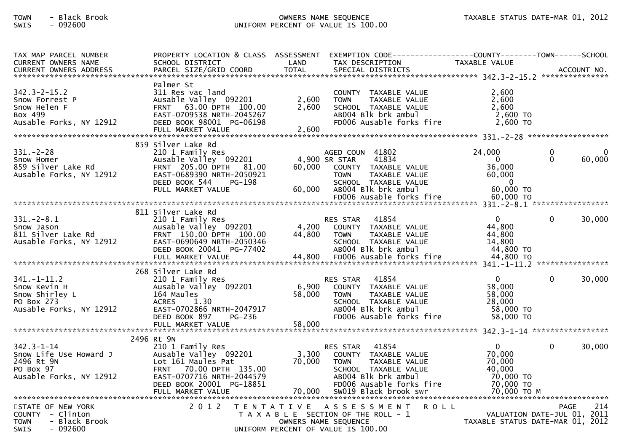## TOWN - Black Brook OWNERS NAME SEQUENCE TAXABLE STATUS DATE-MAR 01, 2012SWIS - 092600 UNIFORM PERCENT OF VALUE IS 100.00

| TAX MAP PARCEL NUMBER<br>CURRENT OWNERS NAME<br>-CURRENT OWNERS ADDRESS PARCEL SIZE/GRID COORD TOTAL SPECIAL DISTRICTS AND MONERS ADDRESS PARCEL SIZE/GRID COORD TOTAL SPECIAL DISTRICTS AND MONERS ADDRESS ACCOUNT NO. | PROPERTY LOCATION & CLASS ASSESSMENT<br>SCHOOL DISTRICT                                                                                                                               | LAND                      | EXEMPTION        CODE------------------COUNTY-------TOWN------SCHOOL<br>TAX DESCRIPTION                                                                                                                          | <b>TAXABLE VALUE</b>                                                                  |                                            |     |
|-------------------------------------------------------------------------------------------------------------------------------------------------------------------------------------------------------------------------|---------------------------------------------------------------------------------------------------------------------------------------------------------------------------------------|---------------------------|------------------------------------------------------------------------------------------------------------------------------------------------------------------------------------------------------------------|---------------------------------------------------------------------------------------|--------------------------------------------|-----|
| $342.3 - 2 - 15.2$<br>Snow Forrest P<br>Snow Helen F<br>Box 499<br>Ausable Forks, NY 12912                                                                                                                              | Palmer St<br>311 Res vac land<br>Ausable Valley 092201<br>63.00 DPTH 100.00<br><b>FRNT</b><br>EAST-0709538 NRTH-2045267<br>DEED BOOK 98001 PG-06198<br>FULL MARKET VALUE              | 2,600<br>2,600<br>2,600   | COUNTY TAXABLE VALUE<br>TAXABLE VALUE<br><b>TOWN</b><br>SCHOOL TAXABLE VALUE<br>AB004 Blk brk ambul<br>FD006 Ausable forks fire                                                                                  | 2,600<br>2,600<br>2,600<br>$2,600$ TO<br>$2,600$ TO                                   |                                            |     |
| $331 - 2 - 28$<br>Snow Homer<br>859 Silver Lake Rd<br>Ausable Forks, NY 12912                                                                                                                                           | 859 Silver Lake Rd<br>210 1 Family Res<br>Ausable Valley 092201<br>FRNT 205.00 DPTH<br>81.00<br>EAST-0689390 NRTH-2050921<br>DEED BOOK 544<br>PG-198<br>FULL MARKET VALUE             | 60,000<br>60,000          | AGED COUN 41802<br>4,900 SR STAR<br>41834<br>COUNTY TAXABLE VALUE<br><b>TOWN</b><br>TAXABLE VALUE<br>SCHOOL TAXABLE VALUE<br>AB004 Blk brk ambul<br>FD006 Ausable forks fire                                     | 24,000<br>$\Omega$<br>36,000<br>60,000<br>$\mathbf 0$<br>60,000 TO<br>60,000 TO       | 0<br>$\Omega$<br>60,000                    |     |
|                                                                                                                                                                                                                         |                                                                                                                                                                                       |                           |                                                                                                                                                                                                                  |                                                                                       |                                            |     |
| $331 - 2 - 8.1$<br>Snow Jason<br>811 Silver Lake Rd<br>Ausable Forks, NY 12912                                                                                                                                          | 811 Silver Lake Rd<br>210 1 Family Res<br>Ausable Valley 092201<br>FRNT 150.00 DPTH 100.00<br>EAST-0690649 NRTH-2050346<br>DEED BOOK 20041 PG-77402<br>FULL MARKET VALUE              | 4,200<br>44,800<br>44,800 | 41854<br><b>RES STAR</b><br>COUNTY<br>TAXABLE VALUE<br><b>TOWN</b><br>TAXABLE VALUE<br>SCHOOL TAXABLE VALUE<br>AB004 Blk brk ambul<br>FD006 Ausable forks fire                                                   | $\Omega$<br>44,800<br>44,800<br>14,800<br>44,800 TO<br>44,800 TO                      | $\Omega$<br>30,000                         |     |
|                                                                                                                                                                                                                         | 268 Silver Lake Rd                                                                                                                                                                    |                           |                                                                                                                                                                                                                  |                                                                                       |                                            |     |
| $341. - 1 - 11.2$<br>Snow Kevin H<br>Snow Shirley L<br>PO Box 273<br>Ausable Forks, NY 12912                                                                                                                            | 210 1 Family Res<br>Ausable Valley 092201<br>164 Maules<br>1.30<br><b>ACRES</b><br>EAST-0702866 NRTH-2047917<br>DEED BOOK 897<br>PG-236                                               | 6,900<br>58,000           | 41854<br><b>RES STAR</b><br><b>COUNTY</b><br>TAXABLE VALUE<br>TAXABLE VALUE<br><b>TOWN</b><br>SCHOOL TAXABLE VALUE<br>AB004 Blk brk ambul<br>FD006 Ausable forks fire                                            | $\mathbf{0}$<br>58,000<br>58,000<br>28,000<br>58,000 TO<br>58,000 TO                  | 30,000<br>$\Omega$                         |     |
|                                                                                                                                                                                                                         |                                                                                                                                                                                       |                           |                                                                                                                                                                                                                  |                                                                                       |                                            |     |
| $342.3 - 1 - 14$<br>Snow Life Use Howard J<br>2496 Rt 9N<br>PO Box 97<br>Ausable Forks, NY 12912                                                                                                                        | 2496 Rt 9N<br>210 1 Family Res<br>Ausable Valley 092201<br>Lot 161 Maules Pat<br>FRNT 70.00 DPTH 135.00<br>EAST-0707716 NRTH-2044579<br>DEED BOOK 20001 PG-18851<br>FULL MARKET VALUE | 3,300<br>70,000<br>70,000 | 41854<br><b>RES STAR</b><br><b>COUNTY</b><br>TAXABLE VALUE<br><b>TOWN</b><br>TAXABLE VALUE<br>SCHOOL TAXABLE VALUE<br>AB004 Blk brk ambul<br>FD006 Ausable forks fire<br>SW019 Black brook swr<br>************** | $\overline{0}$<br>70,000<br>70,000<br>40,000<br>70,000 TO<br>70,000 TO<br>70,000 TO M | 30,000<br>$\Omega$                         |     |
| STATE OF NEW YORK<br>COUNTY - Clinton<br><b>TOWN</b><br>- Black Brook<br><b>SWIS</b><br>- 092600                                                                                                                        | 2 0 1 2                                                                                                                                                                               | T E N T A T I V E         | A S S E S S M E N T<br><b>ROLL</b><br>T A X A B L E SECTION OF THE ROLL - 1<br>OWNERS NAME SEQUENCE<br>UNIFORM PERCENT OF VALUE IS 100.00                                                                        | TAXABLE STATUS DATE-MAR 01, 2012                                                      | <b>PAGE</b><br>VALUATION DATE-JUL 01, 2011 | 214 |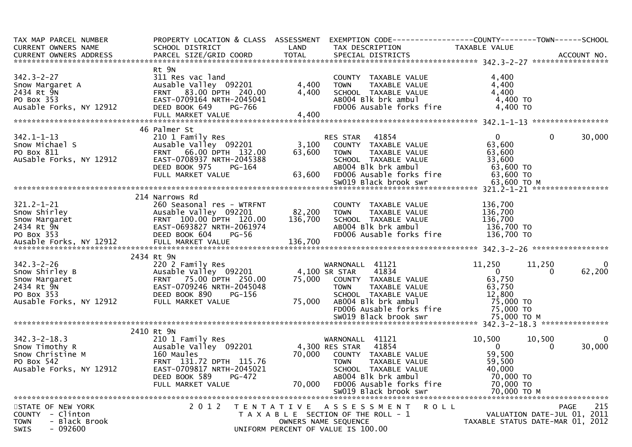| TAX MAP PARCEL NUMBER                                                                                                                                                                                                                                  | PROPERTY LOCATION & CLASS ASSESSMENT                                                                                                                    |                   | EXEMPTION CODE------------------COUNTY--------TOWN------SCHOOL                                                                                                                                                                           |                                               |                                   |
|--------------------------------------------------------------------------------------------------------------------------------------------------------------------------------------------------------------------------------------------------------|---------------------------------------------------------------------------------------------------------------------------------------------------------|-------------------|------------------------------------------------------------------------------------------------------------------------------------------------------------------------------------------------------------------------------------------|-----------------------------------------------|-----------------------------------|
| CURRENT OWNERS NAME                                                                                                                                                                                                                                    | SCHOOL DISTRICT                                                                                                                                         | LAND              | TAX DESCRIPTION                                                                                                                                                                                                                          | TAXABLE VALUE                                 |                                   |
|                                                                                                                                                                                                                                                        |                                                                                                                                                         |                   |                                                                                                                                                                                                                                          |                                               |                                   |
|                                                                                                                                                                                                                                                        |                                                                                                                                                         |                   |                                                                                                                                                                                                                                          |                                               |                                   |
|                                                                                                                                                                                                                                                        | Rt 9N                                                                                                                                                   |                   |                                                                                                                                                                                                                                          |                                               |                                   |
|                                                                                                                                                                                                                                                        |                                                                                                                                                         |                   |                                                                                                                                                                                                                                          | 4,400                                         |                                   |
|                                                                                                                                                                                                                                                        | Ausable valley 092201                                                                                                                                   | 4,400             |                                                                                                                                                                                                                                          | 4,400                                         |                                   |
|                                                                                                                                                                                                                                                        |                                                                                                                                                         | 4,400             |                                                                                                                                                                                                                                          | 4,400                                         |                                   |
|                                                                                                                                                                                                                                                        |                                                                                                                                                         |                   | COUNTY TAXABLE VALUE<br>TOWN TAXABLE VALUE<br>SCHOOL TAXABLE VALUE<br>ABOO4 Blk brk ambul<br>FDOO6 Ausable forks fire                                                                                                                    | 4,400 TO                                      |                                   |
|                                                                                                                                                                                                                                                        | PG-766                                                                                                                                                  |                   |                                                                                                                                                                                                                                          | 4,400 TO                                      |                                   |
| 342.3-2-27<br>Snow Margaret A<br>2434 Rt 9N<br>PO Box 353<br>PO Box 353<br>All Res vacable Valley 092201<br>FRNT 83.00 DPTH 240.00<br>EAST-0709164 NRTH-2045041<br>PO Box 353<br>EAST-0709164 NRTH-2045041<br>PEED BOOK 649<br>PG-766<br>FILL MARKET V |                                                                                                                                                         |                   |                                                                                                                                                                                                                                          |                                               |                                   |
|                                                                                                                                                                                                                                                        |                                                                                                                                                         |                   |                                                                                                                                                                                                                                          |                                               |                                   |
|                                                                                                                                                                                                                                                        | 46 Palmer St                                                                                                                                            |                   |                                                                                                                                                                                                                                          |                                               |                                   |
|                                                                                                                                                                                                                                                        |                                                                                                                                                         |                   |                                                                                                                                                                                                                                          | $\mathbf{0}$                                  | 30,000<br>$\mathbf{0}$            |
| 342.1-1-13<br>Snow Michael S<br>PO Box 811<br>Ausable Forks, NY 12912                                                                                                                                                                                  | ∠10 1 Family Res<br>Ausable Valley 092201<br>EPUT                                                                                                       |                   | RES STAR 41854<br>3,100 COUNTY TAXABLE VALUE<br>63,600 TOWN TAXABLE VALUE                                                                                                                                                                | 63,600                                        |                                   |
|                                                                                                                                                                                                                                                        | FRNT 66.00 DPTH 132.00                                                                                                                                  |                   |                                                                                                                                                                                                                                          |                                               |                                   |
|                                                                                                                                                                                                                                                        | EAST-0708937 NRTH-2045388                                                                                                                               |                   | SCHOOL TAXABLE VALUE                                                                                                                                                                                                                     |                                               |                                   |
|                                                                                                                                                                                                                                                        | DEED BOOK 975<br>PG-164                                                                                                                                 |                   | ABOO4 Blk brk ambul<br>63,600   FDOO6 Ausable forks fire                                                                                                                                                                                 |                                               |                                   |
|                                                                                                                                                                                                                                                        | FULL MARKET VALUE                                                                                                                                       |                   |                                                                                                                                                                                                                                          | 33,600<br>63,600 TO<br>63,600 TO<br>13,600 TO |                                   |
|                                                                                                                                                                                                                                                        |                                                                                                                                                         |                   |                                                                                                                                                                                                                                          |                                               |                                   |
|                                                                                                                                                                                                                                                        |                                                                                                                                                         |                   |                                                                                                                                                                                                                                          |                                               |                                   |
|                                                                                                                                                                                                                                                        | 214 Narrows Rd                                                                                                                                          |                   |                                                                                                                                                                                                                                          |                                               |                                   |
| $321.2 - 1 - 21$                                                                                                                                                                                                                                       |                                                                                                                                                         |                   |                                                                                                                                                                                                                                          | 136,700                                       |                                   |
|                                                                                                                                                                                                                                                        |                                                                                                                                                         |                   |                                                                                                                                                                                                                                          |                                               |                                   |
|                                                                                                                                                                                                                                                        |                                                                                                                                                         |                   |                                                                                                                                                                                                                                          |                                               |                                   |
|                                                                                                                                                                                                                                                        |                                                                                                                                                         |                   |                                                                                                                                                                                                                                          |                                               |                                   |
|                                                                                                                                                                                                                                                        |                                                                                                                                                         |                   |                                                                                                                                                                                                                                          |                                               |                                   |
| 321.2-1-21 260 Seasonal res - WTRFNT<br>Show Shirley (Ausable Valley 092201 282,200 TOWN TAXABLE VALUE 136,700<br>Show Margaret FRNT 100.00 DPTH 120.00 136,700 SCHOOL TAXABLE VALUE 136,700<br>2434 Rt 9M EAST 100.00 DPTH 120.00 1                   |                                                                                                                                                         |                   |                                                                                                                                                                                                                                          |                                               |                                   |
|                                                                                                                                                                                                                                                        | 2434 Rt 9N                                                                                                                                              |                   |                                                                                                                                                                                                                                          |                                               |                                   |
| $342.3 - 2 - 26$                                                                                                                                                                                                                                       | 220 2 Family Res                                                                                                                                        |                   | WARNONALL 41121                                                                                                                                                                                                                          | 11,250                                        | 11,250<br>$\overline{\mathbf{0}}$ |
| Snow Shirley B                                                                                                                                                                                                                                         | Ausable Valley 092201                                                                                                                                   |                   | 41834<br>4,100 SR STAR                                                                                                                                                                                                                   |                                               | 62,200<br>$\Omega$                |
| Snow Margaret                                                                                                                                                                                                                                          |                                                                                                                                                         |                   |                                                                                                                                                                                                                                          | 63                                            |                                   |
| 2434 Rt 9N                                                                                                                                                                                                                                             |                                                                                                                                                         |                   |                                                                                                                                                                                                                                          |                                               |                                   |
| PO Box 353                                                                                                                                                                                                                                             |                                                                                                                                                         |                   |                                                                                                                                                                                                                                          |                                               |                                   |
| Ausable Forks, NY 12912                                                                                                                                                                                                                                | 220 2 1 amily NCS<br>Ausable Valley 092201<br>FRNT 75.00 DPTH 250.00<br>EAST-0709246 NRTH-2045048<br>DEED BOOK 890 PG-156<br>NY 12912 FULL MARKET VALUE |                   | 2013.00 75,000 COUNTY TAXABLE VALUE 63,750<br>2045048 75,000 COUNTY TAXABLE VALUE 63,750<br>3-156 SCHOOL TAXABLE VALUE 63,750<br>75,000 AB004 Blk brk ambul 75,000 TO<br>FD006 Ausable forks fire 75,000 TO<br>SW019 Black brook swr 75, |                                               |                                   |
|                                                                                                                                                                                                                                                        |                                                                                                                                                         |                   |                                                                                                                                                                                                                                          |                                               |                                   |
|                                                                                                                                                                                                                                                        |                                                                                                                                                         |                   |                                                                                                                                                                                                                                          |                                               |                                   |
|                                                                                                                                                                                                                                                        |                                                                                                                                                         |                   |                                                                                                                                                                                                                                          |                                               |                                   |
|                                                                                                                                                                                                                                                        | 2410 Rt 9N                                                                                                                                              |                   |                                                                                                                                                                                                                                          |                                               |                                   |
| 342.3-2-18.3<br>Show Timothy R<br>Show Christine M<br>PO Box 542<br>Ausable Valley 092201<br>PO Box 542<br>Ausable Forks, NY 12912<br>EAST-0709817 NRTH-2045021<br>EAST-0709817 NRTH-2045021<br>EAST-0709817 NRTH-2045021<br>CALL SCHOOL TAXABLE       |                                                                                                                                                         |                   |                                                                                                                                                                                                                                          | 10,500                                        | 10,500<br>$\overline{\mathbf{0}}$ |
|                                                                                                                                                                                                                                                        |                                                                                                                                                         |                   |                                                                                                                                                                                                                                          | $\overline{0}$                                | 30,000<br>$\Omega$                |
|                                                                                                                                                                                                                                                        |                                                                                                                                                         |                   |                                                                                                                                                                                                                                          | 59,500                                        |                                   |
|                                                                                                                                                                                                                                                        |                                                                                                                                                         |                   | 70,000 COUNTY TAXABLE_VALUE<br>TOWN TAXABLE_VALUE<br>TAXABLE VALUE                                                                                                                                                                       | 59,500                                        |                                   |
|                                                                                                                                                                                                                                                        |                                                                                                                                                         |                   | SCHOOL TAXABLE VALUE                                                                                                                                                                                                                     | 40,000                                        |                                   |
|                                                                                                                                                                                                                                                        | DEED BOOK 589<br><b>PG-472</b>                                                                                                                          |                   | AB004 Blk brk ambul                                                                                                                                                                                                                      | 70,000 TO                                     |                                   |
|                                                                                                                                                                                                                                                        | FULL MARKET VALUE                                                                                                                                       | 70,000            | FD006 Ausable forks fire                                                                                                                                                                                                                 | 70,000 TO                                     |                                   |
|                                                                                                                                                                                                                                                        |                                                                                                                                                         |                   | SW019 Black brook swr                                                                                                                                                                                                                    | 70,000 ТО М                                   |                                   |
|                                                                                                                                                                                                                                                        |                                                                                                                                                         |                   |                                                                                                                                                                                                                                          |                                               |                                   |
| STATE OF NEW YORK                                                                                                                                                                                                                                      | 2 0 1 2                                                                                                                                                 | T E N T A T I V E | A S S E S S M E N T<br>ROLL                                                                                                                                                                                                              |                                               | 215<br><b>PAGE</b>                |
| - Clinton<br><b>COUNTY</b>                                                                                                                                                                                                                             |                                                                                                                                                         |                   | T A X A B L E SECTION OF THE ROLL - 1                                                                                                                                                                                                    |                                               | VALUATION DATE-JUL 01, 2011       |
| - Black Brook<br><b>TOWN</b>                                                                                                                                                                                                                           |                                                                                                                                                         |                   | OWNERS NAME SEQUENCE                                                                                                                                                                                                                     |                                               | TAXABLE STATUS DATE-MAR 01, 2012  |
| - 092600<br>SWIS                                                                                                                                                                                                                                       |                                                                                                                                                         |                   | UNIFORM PERCENT OF VALUE IS 100.00                                                                                                                                                                                                       |                                               |                                   |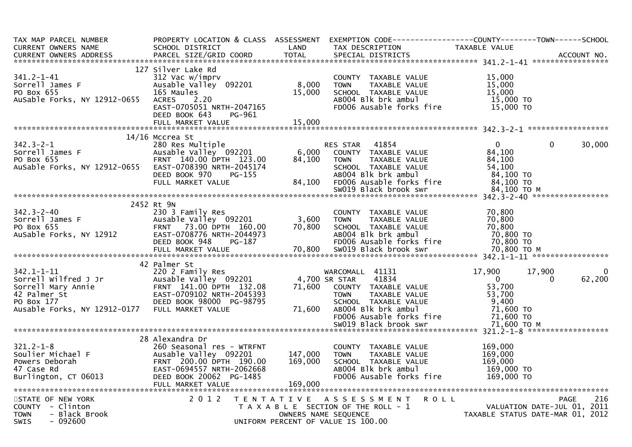| TAX MAP PARCEL NUMBER                                                    |                                                   |         |                                                                              | PROPERTY LOCATION & CLASS ASSESSMENT EXEMPTION CODE----------------COUNTY--------TOWN------SCHOOL |     |
|--------------------------------------------------------------------------|---------------------------------------------------|---------|------------------------------------------------------------------------------|---------------------------------------------------------------------------------------------------|-----|
| CURRENT OWNERS NAME                                                      | SCHOOL DISTRICT                                   | LAND    | TAX DESCRIPTION                                                              | TAXABLE VALUE                                                                                     |     |
|                                                                          |                                                   |         |                                                                              |                                                                                                   |     |
|                                                                          | 127 Silver Lake Rd                                |         |                                                                              |                                                                                                   |     |
| $341.2 - 1 - 41$                                                         | 312 Vac w/imprv                                   |         |                                                                              | 15,000                                                                                            |     |
| Sorrell James F                                                          | Ausable Valley 092201                             | 8,000   | COUNTY TAXABLE VALUE<br>TAXABLE VALUE<br><b>TOWN</b>                         | 15,000                                                                                            |     |
| PO Box 655                                                               | 165 Maules                                        | 15,000  | SCHOOL TAXABLE VALUE                                                         | 15,000                                                                                            |     |
| AuSable Forks, NY 12912-0655                                             |                                                   |         | AB004 Blk brk ambul                                                          | 15,000 TO                                                                                         |     |
|                                                                          | <b>ACRES</b><br>2.20<br>EAST-0705051 NRTH-2047165 |         | FD006 Ausable forks fire                                                     | 15,000 TO                                                                                         |     |
|                                                                          | DEED BOOK 643<br>PG-961                           |         |                                                                              |                                                                                                   |     |
|                                                                          | FULL MARKET VALUE                                 | 15,000  |                                                                              |                                                                                                   |     |
|                                                                          |                                                   |         |                                                                              |                                                                                                   |     |
|                                                                          | 14/16 Mccrea St                                   |         |                                                                              |                                                                                                   |     |
| $342.3 - 2 - 1$                                                          | 280 Res Multiple                                  |         | RES STAR 41854                                                               | $\Omega$<br>$\Omega$<br>30,000                                                                    |     |
| Sorrell James F                                                          | Ausable Valley 092201                             | 6,000   | COUNTY TAXABLE VALUE                                                         | 84,100                                                                                            |     |
| PO Box 655                                                               | FRNT 140.00 DPTH 123.00                           | 84,100  | TAXABLE VALUE<br><b>TOWN</b>                                                 | 84,100                                                                                            |     |
| AuSable Forks, NY 12912-0655                                             | EAST-0708390 NRTH-2045174                         |         | SCHOOL TAXABLE VALUE                                                         | 54.100                                                                                            |     |
|                                                                          | DEED BOOK 970<br>$PG-155$                         |         | AB004 Blk brk ambul                                                          | 84,100 TO                                                                                         |     |
|                                                                          | FULL MARKET VALUE                                 | 84,100  | FD006 Ausable forks fire                                                     | 84,100 TO                                                                                         |     |
|                                                                          |                                                   |         | SW019 Black brook swr                                                        | 84,100 ТО М                                                                                       |     |
|                                                                          |                                                   |         |                                                                              |                                                                                                   |     |
|                                                                          | 2452 Rt 9N                                        |         |                                                                              |                                                                                                   |     |
| $342.3 - 2 - 40$                                                         | 230 3 Family Res                                  |         | COUNTY TAXABLE VALUE                                                         | 70,800                                                                                            |     |
| Sorrell James F                                                          | Ausable Valley 092201                             | 3,600   | TAXABLE VALUE<br><b>TOWN</b>                                                 | 70,800                                                                                            |     |
| PO Box 655                                                               | FRNT 73.00 DPTH 160.00                            | 70,800  | SCHOOL TAXABLE VALUE                                                         | 70,800                                                                                            |     |
| AuSable Forks, NY 12912                                                  | EAST-0708776 NRTH-2044973                         |         | AB004 Blk brk ambul                                                          | 70,800 TO                                                                                         |     |
|                                                                          | DEED BOOK 948<br>PG-187                           |         | FD006 Ausable forks fire                                                     | 70,800 TO                                                                                         |     |
|                                                                          |                                                   |         |                                                                              |                                                                                                   |     |
|                                                                          |                                                   |         |                                                                              |                                                                                                   |     |
|                                                                          | 42 Palmer St                                      |         |                                                                              |                                                                                                   |     |
|                                                                          | 220 2 Family Res                                  |         | WARCOMALL 41131                                                              | 17,900<br>17,900                                                                                  |     |
|                                                                          | Ausable Valley 092201                             |         | 41834<br>4,700 SR STAR                                                       | $\Omega$<br>62,200<br>$\Omega$                                                                    |     |
| 342.1-1-11<br>Sorrell wilfred J Jr<br>Sorrell Mary Annie<br>42 Palmer St | FRNT 141.00 DPTH 132.08                           | 71,600  | COUNTY TAXABLE VALUE                                                         | 53,700                                                                                            |     |
|                                                                          | EAST-0709102 NRTH-2045393                         |         | <b>TOWN</b><br>TAXABLE VALUE                                                 | 53,700                                                                                            |     |
|                                                                          | DEED BOOK 98000 PG-98795                          |         | SCHOOL TAXABLE VALUE                                                         | 9,400                                                                                             |     |
| Ausable Forks, NY 12912-0177 FULL MARKET VALUE                           |                                                   | 71,600  | $AB004$ Blk brk ambul                                                        | 71,600 TO                                                                                         |     |
|                                                                          |                                                   |         | FD006 Ausable forks fire                                                     | 71,600 TO                                                                                         |     |
|                                                                          |                                                   |         | SW019 Black brook swr                                                        | 71,600 то м                                                                                       |     |
|                                                                          |                                                   |         |                                                                              |                                                                                                   |     |
|                                                                          | 28 Alexandra Dr                                   |         |                                                                              |                                                                                                   |     |
| $321.2 - 1 - 8$                                                          | 260 Seasonal res - WTRFNT                         |         | COUNTY TAXABLE VALUE                                                         | 169,000                                                                                           |     |
| Soulier Michael F                                                        | Ausable Valley 092201                             | 147,000 | <b>TOWN</b><br>TAXABLE VALUE                                                 | 169,000                                                                                           |     |
| Powers Deborah                                                           | FRNT 200.00 DPTH 190.00                           | 169,000 | SCHOOL TAXABLE VALUE                                                         | 169,000                                                                                           |     |
| 47 Case Rd                                                               | EAST-0694557 NRTH-2062668                         |         | AB004 Blk brk ambul                                                          | 169,000 TO                                                                                        |     |
| Burlington, CT 06013                                                     | DEED BOOK 20062 PG-1485                           |         | FD006 Ausable forks fire                                                     | 169,000 TO                                                                                        |     |
|                                                                          |                                                   |         |                                                                              |                                                                                                   |     |
|                                                                          | 2 0 1 2                                           |         |                                                                              |                                                                                                   |     |
| STATE OF NEW YORK<br>COUNTY - Clinton                                    |                                                   |         | TENTATIVE ASSESSMENT<br><b>ROLL</b><br>T A X A B L E SECTION OF THE ROLL - 1 | PAGE                                                                                              | 216 |
| - Black Brook<br><b>TOWN</b>                                             |                                                   |         | OWNERS NAME SEQUENCE                                                         | VALUATION DATE-JUL 01, 2011<br>TAXABLE STATUS DATE-MAR 01, 2012                                   |     |
| $-092600$<br><b>SWIS</b>                                                 |                                                   |         | UNIFORM PERCENT OF VALUE IS 100.00                                           |                                                                                                   |     |
|                                                                          |                                                   |         |                                                                              |                                                                                                   |     |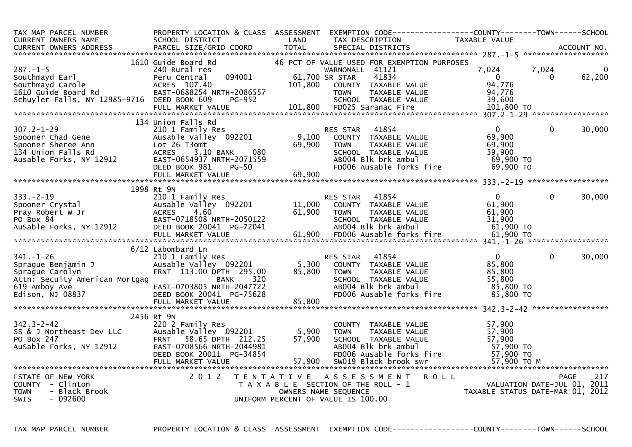| TAX MAP PARCEL NUMBER<br><b>CURRENT OWNERS NAME</b>                                                                             | PROPERTY LOCATION & CLASS ASSESSMENT<br>SCHOOL DISTRICT                                                                                                           | LAND                      | TAX DESCRIPTION                                                                                                                                                                        |                      | EXEMPTION        CODE-----------------COUNTY-------TOWN------SCHOOL<br>TAXABLE VALUE |                   |             |
|---------------------------------------------------------------------------------------------------------------------------------|-------------------------------------------------------------------------------------------------------------------------------------------------------------------|---------------------------|----------------------------------------------------------------------------------------------------------------------------------------------------------------------------------------|----------------------|--------------------------------------------------------------------------------------|-------------------|-------------|
|                                                                                                                                 |                                                                                                                                                                   |                           |                                                                                                                                                                                        |                      |                                                                                      |                   |             |
| $287. - 1 - 5$<br>Southmayd Earl<br>Southmayd Carole<br>1610 Guide Board Rd<br>Schuyler Falls, NY 12985-9716 DEED BOOK 609      | 1610 Guide Board Rd<br>240 Rural res<br>094001<br>Peru Central<br>ACRES 107.40<br>EAST-0688254 NRTH-2086557<br>PG-952<br>FULL MARKET VALUE                        | 101,800                   | 46 PCT OF VALUE USED FOR EXEMPTION PURPOSES<br>WARNONALL 41121<br>41834<br>61,700 SR STAR<br>COUNTY TAXABLE VALUE<br><b>TOWN</b><br>SCHOOL TAXABLE VALUE<br>101,800 FD025 Saranac Fire | TAXABLE VALUE        | 7,024<br>$\overline{0}$<br>94,776<br>94,776<br>39,600<br>$101,800$ TO                | 7,024<br>$\Omega$ | 0<br>62,200 |
|                                                                                                                                 | 134 Union Falls Rd                                                                                                                                                |                           |                                                                                                                                                                                        |                      |                                                                                      |                   |             |
| $307.2 - 1 - 29$<br>Spooner Chad Gene<br>Spooner Sheree Ann<br>134 Union Falls Rd<br>Ausable Forks, NY 12912                    | 210 1 Family Res<br>Ausable Valley 092201<br>Lot 26 T3omt<br>080<br><b>ACRES</b><br>3.10 BANK<br>EAST-0654937 NRTH-2071559<br>$PG-50$<br>DEED BOOK 981            | 9,100<br>69,900           | 41854<br>RES STAR<br>COUNTY TAXABLE VALUE<br><b>TOWN</b><br>SCHOOL TAXABLE VALUE<br>AB004 Blk brk ambul<br>FD006 Ausable forks fire                                                    | <b>TAXABLE VALUE</b> | $\Omega$<br>69,900<br>69,900<br>39,900<br>69,900 TO<br>69,900 TO                     | $\mathbf{0}$      | 30,000      |
|                                                                                                                                 |                                                                                                                                                                   |                           |                                                                                                                                                                                        |                      |                                                                                      |                   |             |
| $333. - 2 - 19$<br>Spooner Crystal<br>Pray Robert W Jr<br>PO Box 84<br>AuSable Forks, NY 12912                                  | 1998 Rt 9N<br>210 1 Family Res<br>Ausable Valley 092201<br><b>ACRES</b><br>4.60<br>EAST-0718508 NRTH-2050122<br>DEED BOOK 20041 PG-72041                          | 11,000<br>61,900          | 41854<br>RES STAR<br>COUNTY TAXABLE VALUE<br><b>TOWN</b><br>SCHOOL TAXABLE VALUE<br>AB004 Blk brk ambul                                                                                | TAXABLE VALUE        | $\mathbf{0}$<br>61,900<br>61,900<br>31,900<br>$61,900$ TO                            | $\Omega$          | 30,000      |
|                                                                                                                                 | 6/12 Labombard Ln                                                                                                                                                 |                           |                                                                                                                                                                                        |                      |                                                                                      |                   |             |
| $341. - 1 - 26$<br>Sprague Benjamin J<br>Sprague Carolyn<br>Attn: Secuity American Mortgag<br>619 Amboy Ave<br>Edison, NJ 08837 | 210 1 Family Res<br>Ausable Valley 092201<br>FRNT 113.00 DPTH 295.00<br>320<br>BANK<br>EAST-0703805 NRTH-2047722<br>DEED BOOK 20041 PG-75628<br>FULL MARKET VALUE | 5,300<br>85,800<br>85,800 | 41854<br><b>RES STAR</b><br>COUNTY TAXABLE VALUE<br><b>TOWN</b><br>SCHOOL TAXABLE VALUE<br>AB004 Blk brk ambul<br>FD006 Ausable forks fire                                             | <b>TAXABLE VALUE</b> | $\mathbf{0}$<br>85,800<br>85,800<br>55,800<br>85,800 TO<br>85,800 TO                 | $\mathbf{0}$      | 30,000      |
|                                                                                                                                 | 2456 Rt 9N                                                                                                                                                        |                           |                                                                                                                                                                                        |                      |                                                                                      |                   |             |
| $342.3 - 2 - 42$<br>SS & J Northeast Dev LLC<br>PO Box 247<br>AuSable Forks, NY 12912                                           | 220 2 Family Res<br>Ausable Valley 092201<br>FRNT 58.65 DPTH 212.25<br>EAST-0708566 NRTH-2044981<br>DEED BOOK 20011 PG-34854                                      | 5,900<br>57,900           | COUNTY TAXABLE VALUE<br><b>TOWN</b><br>SCHOOL TAXABLE VALUE<br>AB004 Blk brk ambul<br>FD006 Ausable forks fire                                                                         | TAXABLE VALUE        | 57,900<br>57,900<br>57,900<br>57,900 TO<br>57,900 TO                                 |                   |             |
| STATE OF NEW YORK<br>COUNTY - Clinton<br><b>TOWN</b><br>- Black Brook<br><b>SWIS</b><br>- 092600                                | 2 0 1 2                                                                                                                                                           |                           | TENTATIVE ASSESSMENT<br>T A X A B L E SECTION OF THE ROLL - 1<br>OWNERS NAME SEQUENCE<br>UNIFORM PERCENT OF VALUE IS 100.00                                                            | <b>ROLL</b>          | VALUATION DATE-JUL 01, 2011<br>TAXABLE STATUS DATE-MAR 01, 2012                      |                   | 217<br>PAGE |

TAX MAP PARCEL NUMBER PROPERTY LOCATION & CLASS ASSESSMENT EXEMPTION CODE------------------COUNTY--------TOWN------SCHOOL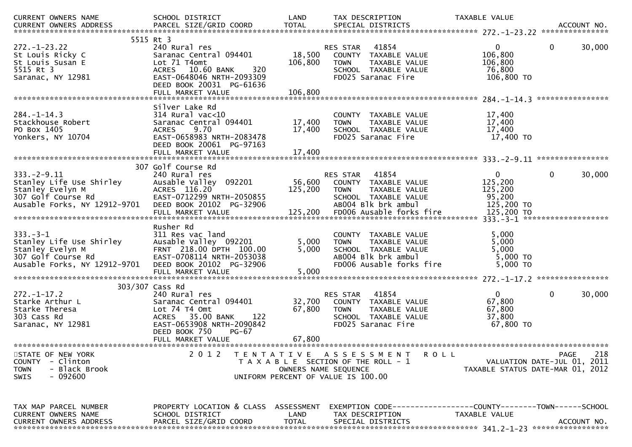| CURRENT OWNERS NAME            | SCHOOL DISTRICT                                      | LAND                 | TAX DESCRIPTION                                              | TAXABLE VALUE                    |                             |
|--------------------------------|------------------------------------------------------|----------------------|--------------------------------------------------------------|----------------------------------|-----------------------------|
| <b>CURRENT OWNERS ADDRESS</b>  | PARCEL SIZE/GRID COORD                               | <b>TOTAL</b>         | SPECIAL DISTRICTS                                            |                                  | ACCOUNT NO.                 |
|                                | 5515 Rt 3                                            |                      |                                                              |                                  |                             |
| $272. - 1 - 23.22$             | 240 Rural res                                        |                      | RES STAR<br>41854                                            | 0                                | 30,000<br>0                 |
| St Louis Ricky C               | Saranac Central 094401                               | 18,500               | TAXABLE VALUE<br>COUNTY                                      | 106,800                          |                             |
| St Louis Susan E               | Lot 71 T4omt                                         | 106,800              | <b>TOWN</b><br>TAXABLE VALUE                                 | 106,800                          |                             |
| 5515 Rt 3<br>Saranac, NY 12981 | ACRES 10.60 BANK<br>320<br>EAST-0648046 NRTH-2093309 |                      | SCHOOL TAXABLE VALUE<br>FD025 Saranac Fire                   | 76,800<br>106,800 TO             |                             |
|                                | DEED BOOK 20031 PG-61636                             |                      |                                                              |                                  |                             |
|                                | FULL MARKET VALUE                                    | 106,800              |                                                              |                                  |                             |
|                                |                                                      |                      |                                                              |                                  | ****************            |
| $284. - 1 - 14.3$              | Silver Lake Rd<br>$314$ Rural vac<10                 |                      | COUNTY TAXABLE VALUE                                         |                                  |                             |
| Stackhouse Robert              | Saranac Central 094401                               | 17,400               | <b>TOWN</b><br>TAXABLE VALUE                                 | 17,400<br>17,400                 |                             |
| PO Box 1405                    | 9.70<br><b>ACRES</b>                                 | 17,400               | SCHOOL TAXABLE VALUE                                         | 17,400                           |                             |
| Yonkers, NY 10704              | EAST-0658983 NRTH-2083478                            |                      | FD025 Saranac Fire                                           | 17,400 TO                        |                             |
|                                | DEED BOOK 20061 PG-97163                             |                      |                                                              |                                  |                             |
|                                |                                                      |                      |                                                              |                                  |                             |
|                                | 307 Golf Course Rd                                   |                      |                                                              |                                  | ****************            |
| $333. -2 - 9.11$               | 240 Rural res                                        |                      | 41854<br><b>RES STAR</b>                                     | $\mathbf{0}$                     | 0<br>30,000                 |
| Stanley Life Use Shirley       | Ausable Valley<br>092201                             | 56,600               | COUNTY TAXABLE VALUE                                         | 125,200                          |                             |
| Stanley Evelyn M               | ACRES 116.20                                         | 125,200              | <b>TOWN</b><br>TAXABLE VALUE                                 | 125,200                          |                             |
| 307 Golf Course Rd             | EAST-0712299 NRTH-2050855                            |                      | SCHOOL TAXABLE VALUE                                         | 95,200                           |                             |
| Ausable Forks, NY 12912-9701   | DEED BOOK 20102 PG-32906                             |                      | AB004 Blk brk ambul                                          | 125,200 TO                       |                             |
|                                | FULL MARKET VALUE                                    | 125,200              | FD006 Ausable forks fire                                     | 125,200 TO                       |                             |
|                                | Rusher Rd                                            |                      |                                                              |                                  |                             |
| $333. -3 - 1$                  | 311 Res vac land                                     |                      | COUNTY TAXABLE VALUE                                         | 5,000                            |                             |
| Stanley Life Use Shirley       | Ausable Valley 092201                                | 5,000                | TAXABLE VALUE<br><b>TOWN</b>                                 | 5,000                            |                             |
| Stanley Evelyn M               | FRNT 218.00 DPTH 100.00                              | 5,000                | SCHOOL TAXABLE VALUE                                         | 5,000                            |                             |
| 307 Golf Course Rd             | EAST-0708114 NRTH-2053038                            |                      | AB004 Blk brk ambul                                          | 5,000 TO                         |                             |
| Ausable Forks, NY 12912-9701   | DEED BOOK 20102 PG-32906                             |                      | FD006 Ausable forks fire                                     | 5,000 TO                         |                             |
|                                | FULL MARKET VALUE                                    | 5,000                |                                                              |                                  |                             |
|                                | 303/307 Cass Rd                                      |                      |                                                              |                                  |                             |
| $272 - 1 - 17.2$               | 240 Rural res                                        |                      | 41854<br>RES STAR                                            | 0                                | 30,000<br>0                 |
| Starke Arthur L                | Saranac Central 094401                               | 32,700               | COUNTY TAXABLE VALUE                                         | 67,800                           |                             |
| Starke Theresa                 | Lot 74 T4 Omt                                        | 67,800               | <b>TOWN</b><br>TAXABLE VALUE                                 | 67,800                           |                             |
| 303 Cass Rd                    | <b>ACRES</b><br>35.00 BANK<br>122                    |                      | SCHOOL TAXABLE VALUE                                         | 37,800                           |                             |
| Saranac, NY 12981              | EAST-0653908 NRTH-2090842                            |                      | FD025 Saranac Fire                                           | 67,800 TO                        |                             |
|                                | DEED BOOK 750<br>$PG-67$                             | 67,800               |                                                              |                                  |                             |
|                                | FULL MARKET VALUE                                    |                      |                                                              |                                  |                             |
| STATE OF NEW YORK              | 2 0 1 2                                              |                      | TENTATIVE ASSESSMENT<br><b>ROLL</b>                          |                                  | 218<br><b>PAGE</b>          |
| - Clinton<br><b>COUNTY</b>     |                                                      |                      | T A X A B L E SECTION OF THE ROLL - 1                        |                                  | VALUATION DATE-JUL 01, 2011 |
| <b>TOWN</b><br>- Black Brook   |                                                      | OWNERS NAME SEQUENCE |                                                              | TAXABLE STATUS DATE-MAR 01, 2012 |                             |
| $-092600$<br>SWIS              |                                                      |                      | UNIFORM PERCENT OF VALUE IS 100.00                           |                                  |                             |
|                                |                                                      |                      |                                                              |                                  |                             |
|                                |                                                      |                      |                                                              |                                  |                             |
| TAX MAP PARCEL NUMBER          | PROPERTY LOCATION & CLASS ASSESSMENT                 |                      | EXEMPTION CODE-----------------COUNTY-------TOWN------SCHOOL |                                  |                             |
| <b>CURRENT OWNERS NAME</b>     | SCHOOL DISTRICT                                      | LAND                 | TAX DESCRIPTION                                              | TAXABLE VALUE                    |                             |
| <b>CURRENT OWNERS ADDRESS</b>  | PARCEL SIZE/GRID COORD                               | <b>TOTAL</b>         | SPECIAL DISTRICTS                                            |                                  | ACCOUNT NO.                 |
|                                |                                                      |                      |                                                              |                                  |                             |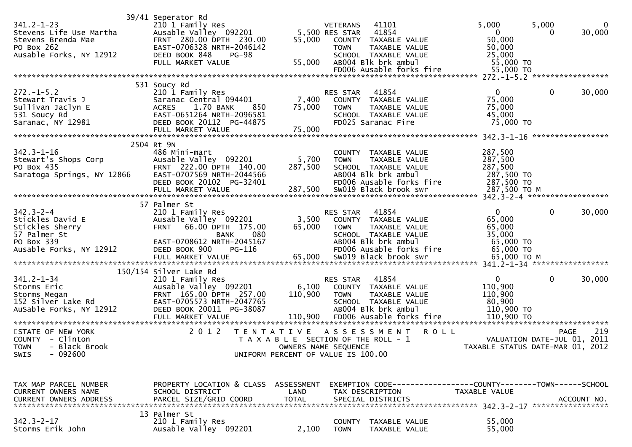| $341.2 - 1 - 23$<br>Stevens Life Use Martha<br>Stevens Brenda Mae<br>PO Box 262<br>Ausable Forks, NY 12912                                     | 39/41 Seperator Rd<br>210 1 Family Res<br>Ausable Valley 092201<br>FRNT 280.00 DPTH 230.00<br>EAST-0706328 NRTH-2046142<br>DEED BOOK 848<br>PG-98<br>FULL MARKET VALUE       | 55,000                                                                                              | VETERANS<br>5,500 RES STAR 41854<br><b>TOWN</b> | 41101<br>55,000 COUNTY TAXABLE VALUE<br>TAXABLE VALUE<br>SCHOOL TAXABLE VALUE<br>AB004 Blk brk ambul<br>FD006 Ausable forks fire          | 5,000<br>$\mathbf{0}$<br>50,000<br>50,000<br>25,000<br>55,000 TO<br>55,000 TO | 5,000<br>0   | 0<br>30,000        |
|------------------------------------------------------------------------------------------------------------------------------------------------|------------------------------------------------------------------------------------------------------------------------------------------------------------------------------|-----------------------------------------------------------------------------------------------------|-------------------------------------------------|-------------------------------------------------------------------------------------------------------------------------------------------|-------------------------------------------------------------------------------|--------------|--------------------|
|                                                                                                                                                | 531 Soucy Rd                                                                                                                                                                 |                                                                                                     |                                                 |                                                                                                                                           |                                                                               |              |                    |
| $272. -1 - 5.2$<br>Stewart Travis J<br>Sullivan Jaclyn E<br>531 Soucy Rd<br>Saranac, NY 12981                                                  | 210 1 Family Res<br>Saranac Central 094401<br>1.70 BANK<br>850<br><b>ACRES</b><br>EAST-0651264 NRTH-2096581<br>DEED BOOK 20112 PG-44875                                      | 7,400<br>75,000                                                                                     | RES STAR<br><b>TOWN</b>                         | 41854<br>COUNTY TAXABLE VALUE<br>TAXABLE VALUE<br>SCHOOL TAXABLE VALUE<br>FD025 Saranac Fire                                              | $\mathbf{0}$<br>75,000<br>75,000<br>45,000<br>75,000 TO                       | $\mathbf 0$  | 30,000             |
|                                                                                                                                                | FULL MARKET VALUE                                                                                                                                                            | 75,000                                                                                              |                                                 |                                                                                                                                           |                                                                               |              |                    |
| $342.3 - 1 - 16$<br>Stewart's Shops Corp<br>PO Box 435<br>Saratoga Springs, NY 12866<br>EAST-0707569 NRTH-2044566<br>EAST-0707569 NRTH-2044566 | 2504 Rt 9N<br>486 Mini-mart<br>DEED BOOK 20102 PG-32401<br>FULL MARKET VALUE                                                                                                 | 5,700<br>287,500<br>287,500                                                                         | <b>TOWN</b>                                     | COUNTY TAXABLE VALUE<br>TAXABLE VALUE<br>SCHOOL TAXABLE VALUE<br>AB004 Blk brk ambul<br>FD006 Ausable forks fire<br>SW019 Black brook swr | 287,500<br>287,500<br>287,500<br>287,500 TO<br>287,500 TO<br>287,500 ТО М     |              |                    |
|                                                                                                                                                | 57 Palmer St                                                                                                                                                                 |                                                                                                     |                                                 |                                                                                                                                           |                                                                               |              |                    |
| $342.3 - 2 - 4$<br>Stickles David E<br>Stickles Sherry<br>57 Palmer St<br>PO Box 339<br>Ausable Forks, NY 12912                                | 210 1 Family Res<br>Ausable Valley 092201<br>FRNT 66.00 DPTH 175.00<br>080<br>BANK<br>EAST-0708612 NRTH-2045167<br>DEED BOOK 900<br>PG-116                                   | 3,500<br>65,000                                                                                     | RES STAR<br><b>TOWN</b>                         | 41854<br>COUNTY TAXABLE VALUE<br>TAXABLE VALUE<br>SCHOOL TAXABLE VALUE<br>AB004 Blk brk ambul<br>FD006 Ausable forks fire                 | $\mathbf{0}$<br>65,000<br>65,000<br>35,000<br>65,000 TO<br>65,000 TO          | $\mathbf{0}$ | 30,000             |
|                                                                                                                                                |                                                                                                                                                                              |                                                                                                     |                                                 |                                                                                                                                           |                                                                               |              |                    |
| $341.2 - 1 - 34$<br>Storms Eric<br>Storms Megan<br>$152$ Silver Lake Rd<br>AuSable Forks, NY 12912                                             | 150/154 Silver Lake Rd<br>210 1 Family Res<br>Ausable Valley 092201<br>FRNT 165.00 DPTH 257.00<br>EAST-0705573 NRTH-2047765<br>DEED BOOK 20011 PG-38087<br>FULL MARKET VALUE | 6,100<br>110,900<br>110,900                                                                         | RES STAR<br><b>TOWN</b>                         | 41854<br>COUNTY TAXABLE VALUE<br>TAXABLE VALUE<br>SCHOOL TAXABLE VALUE<br>ABOO4 Blk brk ambul<br>FD006 Ausable forks fire                 | $\mathbf{0}$<br>110,900<br>110,900<br>80,900<br>110,900 TO<br>110,900 TO      | $\mathbf{0}$ | 30,000             |
| STATE OF NEW YORK<br>COUNTY - Clinton<br>TOWN - Black Brook<br>$-092600$<br>SWIS                                                               | 2 0 1 2<br>T E N T A T I V E                                                                                                                                                 | T A X A B L E SECTION OF THE ROLL - 1<br>OWNERS NAME SEQUENCE<br>UNIFORM PERCENT OF VALUE IS 100.00 |                                                 | A S S E S S M E N T<br><b>ROLL</b>                                                                                                        | VALUATION DATE-JUL 01, 2011<br>TAXABLE STATUS DATE-MAR 01, 2012               |              | 219<br><b>PAGE</b> |
|                                                                                                                                                |                                                                                                                                                                              |                                                                                                     |                                                 |                                                                                                                                           |                                                                               |              |                    |
| TAX MAP PARCEL NUMBER<br>CURRENT OWNERS NAME<br>CURRENT OWNERS ADDRESS                                                                         | PROPERTY LOCATION & CLASS ASSESSMENT<br>SCHOOL DISTRICT<br>PARCEL SIZE/GRID COORD                                                                                            | LAND<br><b>TOTAL</b>                                                                                |                                                 | TAX DESCRIPTION<br>SPECIAL DISTRICTS                                                                                                      | EXEMPTION CODE-----------------COUNTY--------TOWN-----SCHOOL<br>TAXABLE VALUE |              | ACCOUNT NO.        |
| $342.3 - 2 - 17$<br>Storms Erik John                                                                                                           | 13 Palmer St<br>210 1 Family Res<br>Ausable Valley 092201                                                                                                                    | 2,100                                                                                               | <b>TOWN</b>                                     | COUNTY TAXABLE VALUE<br>TAXABLE VALUE                                                                                                     | 55,000<br>55,000                                                              |              |                    |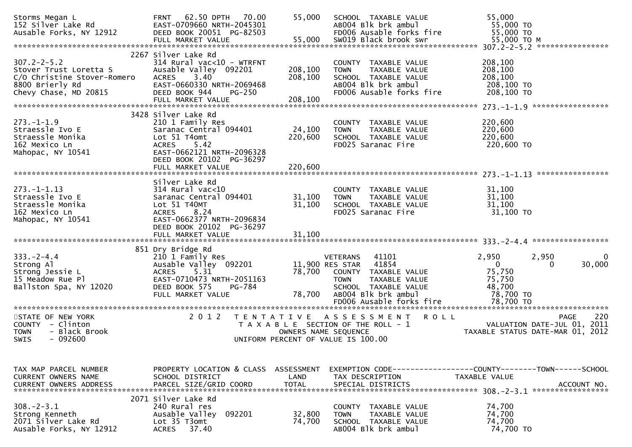| Storms Megan L<br>152 Silver Lake Rd<br>Ausable Forks, NY 12912                                                        | 62.50 DPTH<br>70.00<br><b>FRNT</b><br>EAST-0709660 NRTH-2045301<br>DEED BOOK 20051 PG-82503<br>FULL MARKET VALUE                                                    | 55,000<br>55,000                   | SCHOOL TAXABLE VALUE<br>AB004 Blk brk ambul<br>FD006 Ausable forks fire<br>SW019 Black brook swr                                                                                        | 55,000<br>55,000 TO<br>55,000 TO<br>55,000 TO M                                                            |
|------------------------------------------------------------------------------------------------------------------------|---------------------------------------------------------------------------------------------------------------------------------------------------------------------|------------------------------------|-----------------------------------------------------------------------------------------------------------------------------------------------------------------------------------------|------------------------------------------------------------------------------------------------------------|
| $307.2 - 2 - 5.2$<br>Stover Trust Loretta S<br>C/O Christine Stover-Romero<br>8800 Brierly Rd<br>Chevy Chase, MD 20815 | 2267 Silver Lake Rd<br>$314$ Rural vac< $10$ - WTRFNT<br>Ausable Valley 092201<br>3.40<br><b>ACRES</b><br>EAST-0660330 NRTH-2069468<br>DEED BOOK 944<br>$PG-250$    | 208,100<br>208,100                 | COUNTY TAXABLE VALUE<br>TAXABLE VALUE<br><b>TOWN</b><br>SCHOOL TAXABLE VALUE<br>AB004 Blk brk ambul<br>FD006 Ausable forks fire                                                         | 208,100<br>208,100<br>208,100<br>208,100 TO<br>208,100 TO                                                  |
|                                                                                                                        |                                                                                                                                                                     |                                    |                                                                                                                                                                                         | *****************                                                                                          |
| $273. - 1 - 1.9$<br>Straessle Ivo E<br>Straessle Monika<br>162 Mexico Ln<br>Mahopac, NY 10541                          | 3428 Silver Lake Rd<br>210 1 Family Res<br>Saranac Central 094401<br>Lot 51 T4omt<br>5.42<br><b>ACRES</b><br>EAST-0662121 NRTH-2096328<br>DEED BOOK 20102 PG-36297  | 24,100<br>220,600                  | COUNTY TAXABLE VALUE<br>TAXABLE VALUE<br><b>TOWN</b><br>SCHOOL TAXABLE VALUE<br>FD025 Saranac Fire                                                                                      | 220,600<br>220,600<br>220,600<br>220,600 TO                                                                |
|                                                                                                                        |                                                                                                                                                                     |                                    |                                                                                                                                                                                         |                                                                                                            |
| $273. - 1 - 1.13$<br>Straessle Ivo E<br>Straessle Monika<br>162 Mexico Ln<br>Mahopac, NY 10541                         | Silver Lake Rd<br>$314$ Rural vac<10<br>Saranac Central 094401<br>Lot 51 T40MT<br>8.24<br><b>ACRES</b><br>EAST-0662377 NRTH-2096834<br>DEED BOOK 20102 PG-36297     | 31,100<br>31,100                   | COUNTY TAXABLE VALUE<br>TAXABLE VALUE<br><b>TOWN</b><br>SCHOOL TAXABLE VALUE<br>FD025 Saranac Fire                                                                                      | 31,100<br>31,100<br>31,100<br>31,100 TO                                                                    |
| $333. - 2 - 4.4$<br>Strong Al<br>Strong Jessie L<br>15 Meadow Rue Pl<br>Ballston Spa, NY 12020                         | 851 Dry Bridge Rd<br>210 1 Family Res<br>Ausable Valley 092201<br>5.31<br><b>ACRES</b><br>EAST-0710473 NRTH-2051163<br>DEED BOOK 575<br>PG-784<br>FULL MARKET VALUE | 78,700<br>78,700                   | <b>VETERANS</b><br>41101<br>11,900 RES STAR<br>41854<br>COUNTY TAXABLE VALUE<br><b>TOWN</b><br>TAXABLE VALUE<br>SCHOOL TAXABLE VALUE<br>AB004 Blk brk ambul<br>FD006 Ausable forks fire | 2,950<br>2,950<br>0<br>30,000<br>$\mathbf{0}$<br>0<br>75,750<br>75,750<br>48,700<br>78,700 TO<br>78,700 TO |
| STATE OF NEW YORK<br>COUNTY - Clinton<br>- Black Brook<br><b>TOWN</b><br>$-092600$<br><b>SWIS</b>                      | 2 0 1 2<br>T E N T A T I V E                                                                                                                                        | OWNERS NAME SEQUENCE               | A S S E S S M E N T<br><b>ROLL</b><br>T A X A B L E SECTION OF THE ROLL - 1<br>UNIFORM PERCENT OF VALUE IS 100.00                                                                       | 220<br>PAGE<br>VALUATION DATE-JUL 01, 2011<br>TAXABLE STATUS DATE-MAR 01, 2012                             |
| TAX MAP PARCEL NUMBER<br><b>CURRENT OWNERS NAME</b><br><b>CURRENT OWNERS ADDRESS</b>                                   | PROPERTY LOCATION & CLASS<br>SCHOOL DISTRICT<br>PARCEL SIZE/GRID COORD                                                                                              | ASSESSMENT<br>LAND<br><b>TOTAL</b> | TAX DESCRIPTION<br>SPECIAL DISTRICTS                                                                                                                                                    | EXEMPTION CODE-----------------COUNTY-------TOWN------SCHOOL<br><b>TAXABLE VALUE</b><br>ACCOUNT NO.        |
| $308. -2 - 3.1$<br>Strong Kenneth<br>2071 Silver Lake Rd<br>Ausable Forks, NY 12912                                    | 2071 Silver Lake Rd<br>240 Rural res<br>Ausable Valley<br>092201<br>Lot 35 T3omt<br>37.40<br><b>ACRES</b>                                                           | 32,800<br>74,700                   | COUNTY TAXABLE VALUE<br><b>TOWN</b><br>TAXABLE VALUE<br>SCHOOL TAXABLE VALUE<br>AB004 Blk brk ambul                                                                                     | 74,700<br>74,700<br>74,700<br>74,700 TO                                                                    |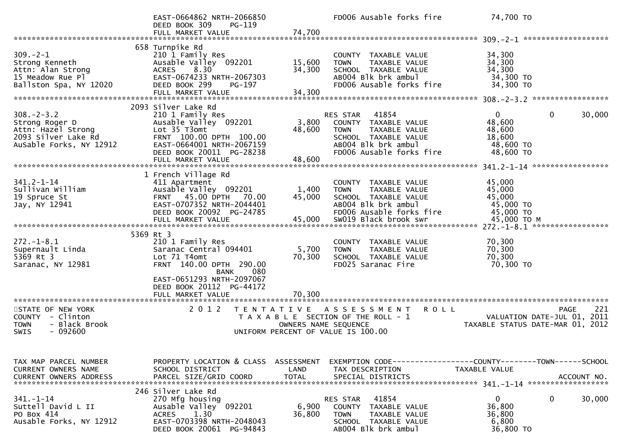|                                                                                                            | EAST-0664862 NRTH-2066850<br>DEED BOOK 309<br>PG-119<br>FULL MARKET VALUE                                                                                                      | 74,700                     | FD006 Ausable forks fire                                                                                                                                 | 74,700 TO                                                                                             |                            |
|------------------------------------------------------------------------------------------------------------|--------------------------------------------------------------------------------------------------------------------------------------------------------------------------------|----------------------------|----------------------------------------------------------------------------------------------------------------------------------------------------------|-------------------------------------------------------------------------------------------------------|----------------------------|
|                                                                                                            |                                                                                                                                                                                |                            |                                                                                                                                                          |                                                                                                       |                            |
| $309. -2 - 1$<br>Strong Kenneth<br>Attn: Alan Strong<br>15 Meadow Rue Pl<br>Ballston Spa, NY 12020         | 658 Turnpike Rd<br>210 1 Family Res<br>Ausable Valley 092201<br>8.30<br><b>ACRES</b><br>EAST-0674233 NRTH-2067303<br>DEED BOOK 299<br>PG-197<br>FULL MARKET VALUE              | 15,600<br>34,300<br>34,300 | COUNTY TAXABLE VALUE<br>TAXABLE VALUE<br><b>TOWN</b><br>SCHOOL TAXABLE VALUE<br>AB004 Blk brk ambul<br>FD006 Ausable forks fire                          | 34,300<br>34,300<br>34,300<br>34,300 TO<br>34,300 TO                                                  |                            |
|                                                                                                            | 2093 Silver Lake Rd                                                                                                                                                            |                            |                                                                                                                                                          |                                                                                                       |                            |
| $308. - 2 - 3.2$<br>Strong Roger D<br>Attn: Hazel Strong<br>2093 Silver Lake Rd<br>AuSable Forks, NY 12912 | 210 1 Family Res<br>Ausable Valley 092201<br>Lot 35 T3omt<br>FRNT 100.00 DPTH 100.00<br>EAST-0664001 NRTH-2067159<br>DEED BOOK 20011 PG-28238<br>FULL MARKET VALUE             | 3,800<br>48,600<br>48,600  | 41854<br>RES STAR<br>COUNTY TAXABLE VALUE<br>TAXABLE VALUE<br><b>TOWN</b><br>SCHOOL TAXABLE VALUE<br>AB004 Blk brk ambul<br>FD006 Ausable forks fire     | $\Omega$<br>$\mathbf 0$<br>48,600<br>48,600<br>18,600<br>48,600 TO<br>48,600 TO                       | 30,000                     |
|                                                                                                            |                                                                                                                                                                                |                            |                                                                                                                                                          |                                                                                                       |                            |
| $341.2 - 1 - 14$<br>Sullivan William<br>19 Spruce St<br>Jay, NY 12941                                      | 1 French Village Rd<br>411 Apartment<br>Ausable Valley 092201<br>45.00 DPTH 70.00<br><b>FRNT</b><br>EAST-0707352 NRTH-2044401<br>DEED BOOK 20092 PG-24785<br>FULL MARKET VALUE | 1,400<br>45,000<br>45,000  | COUNTY TAXABLE VALUE<br>TAXABLE VALUE<br><b>TOWN</b><br>SCHOOL TAXABLE VALUE<br>AB004 Blk brk ambul<br>FD006 Ausable forks fire<br>SW019 Black brook swr | 45,000<br>45,000<br>45,000<br>45,000 TO<br>45,000 TO<br>45,000 TO M<br>272. -1-8.1 ****************** |                            |
|                                                                                                            | 5369 Rt 3                                                                                                                                                                      |                            |                                                                                                                                                          |                                                                                                       |                            |
| $272. - 1 - 8.1$<br>Supernault Linda<br>5369 Rt 3<br>Saranac, NY 12981                                     | 210 1 Family Res<br>Saranac Central 094401<br>Lot 71 T4omt<br>FRNT 140.00 DPTH 290.00<br><b>BANK</b><br>080                                                                    | 5,700<br>70,300            | COUNTY TAXABLE VALUE<br><b>TOWN</b><br>TAXABLE VALUE<br>SCHOOL TAXABLE VALUE<br>FD025 Saranac Fire                                                       | 70,300<br>70,300<br>70,300<br>70,300 TO                                                               |                            |
|                                                                                                            | EAST-0651293 NRTH-2097067<br>DEED BOOK 20112 PG-44172<br>FULL MARKET VALUE                                                                                                     | 70,300                     |                                                                                                                                                          |                                                                                                       |                            |
| STATE OF NEW YORK<br>COUNTY - Clinton<br><b>TOWN</b><br>- Black Brook<br><b>SWIS</b><br>- 092600           | 2 0 1 2<br>T E N T A T I V E                                                                                                                                                   | OWNERS NAME SEQUENCE       | ASSESSMENT<br><b>ROLL</b><br>T A X A B L E SECTION OF THE ROLL - 1<br>UNIFORM PERCENT OF VALUE IS 100.00                                                 | VALUATION DATE-JUL 01,<br>TAXABLE STATUS DATE-MAR 01, 2012                                            | 221<br><b>PAGE</b><br>2011 |
|                                                                                                            |                                                                                                                                                                                |                            |                                                                                                                                                          |                                                                                                       |                            |
| TAX MAP PARCEL NUMBER<br><b>CURRENT OWNERS NAME</b>                                                        | PROPERTY LOCATION & CLASS<br>SCHOOL DISTRICT                                                                                                                                   | ASSESSMENT<br>LAND         | EXEMPTION CODE-----------------COUNTY-------TOWN------SCHOOL<br>TAX DESCRIPTION                                                                          | TAXABLE VALUE                                                                                         |                            |
| $341. - 1 - 14$<br>Suttell David L II<br>PO Box 414<br>Ausable Forks, NY 12912                             | 246 Silver Lake Rd<br>270 Mfg housing<br>Ausable Valley 092201<br>1.30<br><b>ACRES</b><br>EAST-0703398 NRTH-2048043<br>DEED BOOK 20061 PG-94843                                | 6,900<br>36,800            | 41854<br>RES STAR<br><b>COUNTY</b><br>TAXABLE VALUE<br><b>TOWN</b><br>TAXABLE VALUE<br>SCHOOL TAXABLE VALUE<br>AB004 Blk brk ambul                       | $\mathbf{0}$<br>0<br>36,800<br>36,800<br>6,800<br>36,800 TO                                           | 30,000                     |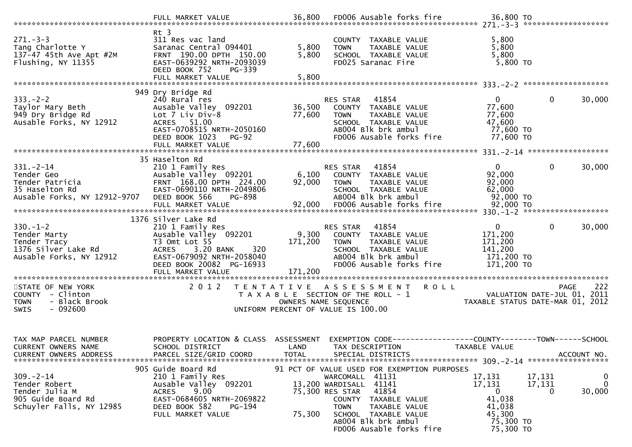|                                                                                                     | FULL MARKET VALUE                                                                                                                                                    |                                    | 36,800 FD006 Ausable forks fire                                                                                                                                                                                                                                  | 36,800 TO                                                                               |                                                               |
|-----------------------------------------------------------------------------------------------------|----------------------------------------------------------------------------------------------------------------------------------------------------------------------|------------------------------------|------------------------------------------------------------------------------------------------------------------------------------------------------------------------------------------------------------------------------------------------------------------|-----------------------------------------------------------------------------------------|---------------------------------------------------------------|
| $271 - 3 - 3$<br>Tang Charlotte Y<br>137-47 45th Ave Apt #2M<br>Flushing, NY 11355                  | $Rt$ 3<br>311 Res vac land<br>Saranac Central 094401<br>FRNT 190.00 DPTH 150.00<br>EAST-0639292 NRTH-2093039<br>DEED BOOK 752<br>PG-339                              | 5,800<br>5,800                     | COUNTY TAXABLE VALUE<br>TAXABLE VALUE<br><b>TOWN</b><br>SCHOOL TAXABLE VALUE<br>FD025 Saranac Fire                                                                                                                                                               | 5,800<br>5,800<br>5,800<br>5,800 TO                                                     |                                                               |
|                                                                                                     | 949 Dry Bridge Rd                                                                                                                                                    |                                    |                                                                                                                                                                                                                                                                  |                                                                                         |                                                               |
| $333. -2 - 2$<br>Taylor Mary Beth<br>949 Dry Bridge Rd<br>Ausable Forks, NY 12912                   | 240 Rural res<br>Ausable Valley 092201<br>Lot 7 Liv Div-8<br>ACRES 51.00<br>EAST-0708515 NRTH-2050160<br>DEED BOOK 1023 PG-92<br>FULL MARKET VALUE                   | 77,600<br>77,600                   | RES STAR 41854<br>36,500 COUNTY TAXABLE VALUE<br><b>TOWN</b><br>TAXABLE VALUE<br>SCHOOL TAXABLE VALUE<br>ABOO4 Blk brk ambul<br>FD006 Ausable forks fire                                                                                                         | 0<br>77,600<br>77,600<br>47,600<br>77,600 TO<br>77,600 TO                               | $\mathbf{0}$<br>30,000                                        |
|                                                                                                     | 35 Haselton Rd                                                                                                                                                       |                                    |                                                                                                                                                                                                                                                                  |                                                                                         |                                                               |
| $331 - 2 - 14$<br>Tender Geo<br>Tender Patricia<br>35 Haselton Rd<br>Ausable Forks, NY 12912-9707   | 210 1 Family Res<br>Ausable Valley 092201<br>FRNT 168.00 DPTH 224.00<br>EAST-0690110 NRTH-2049806<br>DEED BOOK 566<br>PG-898                                         | 6,100<br>92,000                    | RES STAR 41854<br>COUNTY TAXABLE VALUE<br><b>TOWN</b><br>TAXABLE VALUE<br>SCHOOL TAXABLE VALUE<br>AB004 Blk brk ambul                                                                                                                                            | 0<br>92,000<br>92,000<br>62,000<br>92,000 TO                                            | $\mathbf{0}$<br>30,000                                        |
|                                                                                                     | 1376 Silver Lake Rd                                                                                                                                                  |                                    |                                                                                                                                                                                                                                                                  |                                                                                         |                                                               |
| $330. - 1 - 2$<br>Tender Marty<br>Tender Tracy<br>1376 Silver Lake Rd<br>Ausable Forks, NY 12912    | 210 1 Family Res<br>Ausable Valley 092201<br>T3 Omt Lot 55<br>3.20 BANK<br>320<br><b>ACRES</b><br>EAST-0679092 NRTH-2058040<br>DEED BOOK 20082 PG-16933              | 171,200                            | 41854<br>RES STAR<br>9,300 COUNTY TAXABLE VALUE<br>TAXABLE VALUE<br><b>TOWN</b><br>SCHOOL TAXABLE VALUE<br>ABOO4 Blk brk ambul<br>FD006 Ausable forks fire                                                                                                       | $\overline{0}$<br>171,200<br>171,200<br>141,200<br>171,200 TO<br>171,200 TO             | 30,000<br>$\overline{0}$                                      |
|                                                                                                     |                                                                                                                                                                      |                                    |                                                                                                                                                                                                                                                                  |                                                                                         |                                                               |
| STATE OF NEW YORK<br>COUNTY - Clinton<br>- Black Brook<br><b>TOWN</b><br>$-092600$<br><b>SWIS</b>   | 2 0 1 2                                                                                                                                                              |                                    | TENTATIVE ASSESSMENT ROLL<br>T A X A B L E SECTION OF THE ROLL - 1<br>OWNERS NAME SEQUENCE<br>UNIFORM PERCENT OF VALUE IS 100.00                                                                                                                                 |                                                                                         | 222<br><b>PAGE</b><br>TAXABLE STATUS DATE-MAR 01, 2012        |
| TAX MAP PARCEL NUMBER<br><b>CURRENT OWNERS NAME</b><br><b>CURRENT OWNERS ADDRESS</b>                | PROPERTY LOCATION & CLASS<br>SCHOOL DISTRICT<br>PARCEL SIZE/GRID COORD                                                                                               | ASSESSMENT<br>LAND<br><b>TOTAL</b> | TAX DESCRIPTION<br>SPECIAL DISTRICTS                                                                                                                                                                                                                             | EXEMPTION CODE-----------------COUNTY-------TOWN------SCHOOL<br>TAXABLE VALUE           | ACCOUNT NO.                                                   |
| $309 - 2 - 14$<br>Tender Robert<br>Tender Julia M<br>905 Guide Board Rd<br>Schuyler Falls, NY 12985 | 905 Guide Board Rd<br>210 1 Family Res<br>Ausable Valley 092201<br><b>ACRES</b><br>9.00<br>EAST-0684605 NRTH-2069822<br>DEED BOOK 582<br>PG-194<br>FULL MARKET VALUE | 75,300                             | 91 PCT OF VALUE USED FOR EXEMPTION PURPOSES<br>41131<br>WARCOMALL<br>41141<br>13,200 WARDISALL<br>75,300 RES STAR<br>41854<br>COUNTY<br>TAXABLE VALUE<br><b>TOWN</b><br>TAXABLE VALUE<br>SCHOOL TAXABLE VALUE<br>AB004 Blk brk ambul<br>FD006 Ausable forks fire | 17,131<br>17,131<br>$\mathbf 0$<br>41,038<br>41,038<br>45,300<br>75,300 TO<br>75,300 TO | 17,131<br>$\mathbf 0$<br>$\mathbf 0$<br>17,131<br>30,000<br>0 |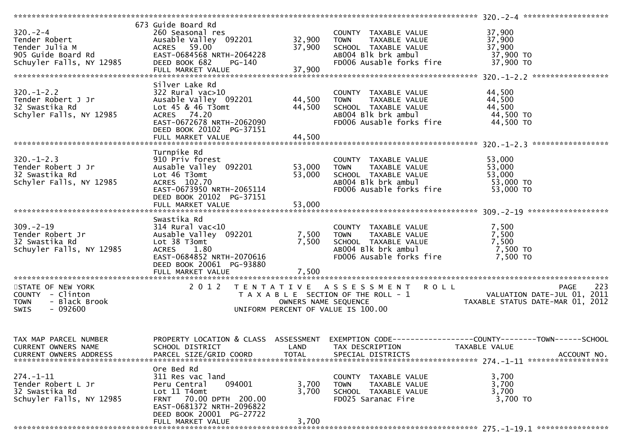|                                                                   | 673 Guide Board Rd                                         |                      |                                                                                                   |                                                                          |
|-------------------------------------------------------------------|------------------------------------------------------------|----------------------|---------------------------------------------------------------------------------------------------|--------------------------------------------------------------------------|
| $320 - 2 - 4$                                                     |                                                            |                      | COUNTY TAXABLE VALUE                                                                              | 37,900                                                                   |
| 320.-2-4<br>Tender Robert                                         | 260 Seasonal res<br>Ausable Valley 092201           32,900 |                      | <b>TOWN</b>                                                                                       | 37,900                                                                   |
|                                                                   |                                                            | 37,900               | TAXABLE VALUE<br>TAXABLE VALUE<br>IL TAXABLE VALUE<br>SCHOOL TAXABLE VALUE<br>ABOO4 Blk brk ambul | 37,900                                                                   |
|                                                                   | EAST-0684568 NRTH-2064228                                  |                      |                                                                                                   |                                                                          |
|                                                                   | PG-140                                                     |                      | ABOO4 Blk brk ambul 37,900 TO<br>FDOO6 Ausable forks fire 37,900 TO                               |                                                                          |
|                                                                   | FULL MARKET VALUE                                          | 37,900               |                                                                                                   |                                                                          |
|                                                                   |                                                            |                      |                                                                                                   |                                                                          |
|                                                                   | Silver Lake Rd                                             |                      |                                                                                                   |                                                                          |
| $320. - 1 - 2.2$                                                  |                                                            |                      |                                                                                                   |                                                                          |
|                                                                   | 322 Rural vac>10                                           |                      | COUNTY TAXABLE VALUE                                                                              | 44,500                                                                   |
| Tender Robert J Jr<br>32 Swastika Rd                              | Ausable Valley 092201                                      | 44,500               | <b>TOWN</b><br>TAXABLE VALUE                                                                      | 44,500                                                                   |
| 32 Swastika Rd                                                    | Lot $45$ & $46$ T3omt                                      | 44,500               | SCHOOL TAXABLE VALUE                                                                              | 44,500                                                                   |
| Schyler Falls, NY 12985                                           | ACRES 74.20                                                |                      | ABOO4 Blk brk ambul                                                                               | 44,500 TO                                                                |
|                                                                   | EAST-0672678 NRTH-2062090                                  |                      | FD006 Ausable forks fire                                                                          | 44,500 TO                                                                |
|                                                                   | DEED BOOK 20102 PG-37151                                   |                      |                                                                                                   |                                                                          |
|                                                                   | FULL MARKET VALUE                                          | 44,500               |                                                                                                   |                                                                          |
|                                                                   |                                                            |                      |                                                                                                   |                                                                          |
|                                                                   | Turnpike Rd                                                |                      |                                                                                                   |                                                                          |
|                                                                   | 910 Priv forest                                            |                      | COUNTY TAXABLE VALUE 53,000                                                                       |                                                                          |
| 320.-1-2.3<br>Tender Robert J Jr<br>32 Swastika Rd                | Ausable valley 092201 53,000<br>Lot 46 T3omt 53,000        |                      | TOWN     TAXABLE VALUE<br>SCHOOL  TAXABLE VALUE<br>ABOO4 Blk brk ambul                            | 53,000                                                                   |
|                                                                   |                                                            |                      |                                                                                                   | 53,000                                                                   |
| Schyler Falls, NY 12985                                           | ACRES 102.70                                               |                      |                                                                                                   | 53,000 TO                                                                |
|                                                                   | EAST-0673950 NRTH-2065114                                  |                      | FD006 Ausable forks fire                                                                          | 53,000 TO                                                                |
|                                                                   | DEED BOOK 20102 PG-37151                                   |                      |                                                                                                   |                                                                          |
|                                                                   | FULL MARKET VALUE                                          | 53,000               |                                                                                                   |                                                                          |
|                                                                   |                                                            |                      |                                                                                                   |                                                                          |
|                                                                   | Swastika Rd                                                |                      |                                                                                                   |                                                                          |
|                                                                   |                                                            |                      |                                                                                                   |                                                                          |
|                                                                   |                                                            |                      |                                                                                                   |                                                                          |
| $309 - 2 - 19$                                                    | $314$ Rural vac<10                                         |                      | COUNTY TAXABLE VALUE                                                                              | 7,500                                                                    |
|                                                                   | Ausable Valley 092201                                      | 7,500                | TOWN                                                                                              | 7,500                                                                    |
| 309.-2-19<br>Tender Robert Jr<br>32 Swastika Rd<br>32 Swastika Rd | Lot 38 T3omt                                               | 7,500                | TOWN      TAXABLE VALUE<br>SCHOOL   TAXABLE VALUE                                                 | 7,500                                                                    |
| Schuyler Falls, NY 12985                                          | ACRES 1.80                                                 |                      | ABOO4 Blk brk ambul                                                                               | 7,500 TO                                                                 |
|                                                                   | EAST-0684852 NRTH-2070616                                  |                      | FD006 Ausable forks fire                                                                          | 7,500 TO                                                                 |
|                                                                   | DEED BOOK 20061 PG-93880                                   |                      |                                                                                                   |                                                                          |
|                                                                   |                                                            |                      |                                                                                                   |                                                                          |
|                                                                   |                                                            |                      |                                                                                                   |                                                                          |
| STATE OF NEW YORK                                                 |                                                            |                      | 2012 TENTATIVE ASSESSMENT ROLL                                                                    |                                                                          |
| COUNTY - Clinton                                                  |                                                            |                      | T A X A B L E SECTION OF THE ROLL - 1                                                             |                                                                          |
| TOWN - Black Brook                                                |                                                            | OWNERS NAME SEQUENCE |                                                                                                   |                                                                          |
| $-092600$<br><b>SWIS</b>                                          |                                                            |                      | $\overline{a}$<br>UNIFORM PERCENT OF VALUE IS 100.00                                              | PAGE 223<br>VALUATION DATE-JUL 01, 2011<br>TAXABLE STATILE DATE 111 2011 |
|                                                                   |                                                            |                      |                                                                                                   |                                                                          |
|                                                                   |                                                            |                      |                                                                                                   |                                                                          |
|                                                                   |                                                            |                      |                                                                                                   |                                                                          |
| TAX MAP PARCEL NUMBER                                             | PROPERTY LOCATION & CLASS ASSESSMENT                       |                      |                                                                                                   | EXEMPTION CODE-----------------COUNTY-------TOWN------SCHOOL             |
|                                                                   | SCHOOL DISTRICT                                            | LAND                 |                                                                                                   | TAXABLE VALUE                                                            |
| CURRENT OWNERS NAME                                               |                                                            |                      | TAX DESCRIPTION                                                                                   |                                                                          |
| CURRENT OWNERS ADDRESS                                            | PARCEL SIZE/GRID COORD                                     | <b>TOTAL</b>         | SPECIAL DISTRICTS                                                                                 | ACCOUNT NO.                                                              |
|                                                                   |                                                            |                      |                                                                                                   |                                                                          |
|                                                                   | Ore Bed Rd                                                 |                      |                                                                                                   |                                                                          |
| $274. - 1 - 11$                                                   | 311 Res vac land                                           |                      | <b>COUNTY</b><br>TAXABLE VALUE                                                                    | 3,700                                                                    |
| Tender Robert L Jr                                                | 094001<br>Peru Central                                     | 3,700                | TAXABLE VALUE<br><b>TOWN</b>                                                                      | 3,700                                                                    |
| 32 Swastika Rd                                                    | Lot 11 T4omt                                               | 3,700                | SCHOOL TAXABLE VALUE                                                                              | 3,700                                                                    |
| Schuyler Falls, NY 12985                                          | FRNT 70.00 DPTH 200.00                                     |                      | FD025 Saranac Fire                                                                                | 3,700 TO                                                                 |
|                                                                   | EAST-0681372 NRTH-2096822                                  |                      |                                                                                                   |                                                                          |
|                                                                   | DEED BOOK 20001 PG-27722                                   |                      |                                                                                                   |                                                                          |
|                                                                   | FULL MARKET VALUE                                          | 3,700                |                                                                                                   |                                                                          |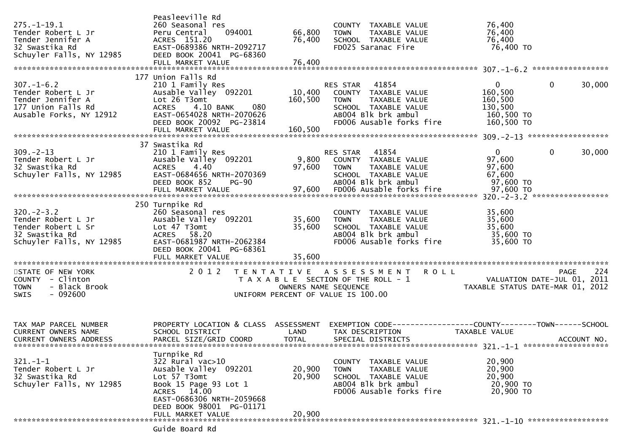| $275. - 1 - 19.1$<br>Tender Robert L Jr<br>Tender Jennifer A<br>32 Swastika Rd<br>Schuyler Falls, NY 12985   | Peasleeville Rd<br>260 Seasonal res<br>094001<br>Peru Central<br>ACRES 151.20<br>EAST-0689386 NRTH-2092717<br>DEED BOOK 20041 PG-68360                                                         | 66,800<br>76,400           | COUNTY TAXABLE VALUE<br>TAXABLE VALUE<br><b>TOWN</b><br>SCHOOL TAXABLE VALUE<br>FD025 Saranac Fire                                            | 76,400<br>76,400<br>76,400<br>76,400 TO                                        |             |
|--------------------------------------------------------------------------------------------------------------|------------------------------------------------------------------------------------------------------------------------------------------------------------------------------------------------|----------------------------|-----------------------------------------------------------------------------------------------------------------------------------------------|--------------------------------------------------------------------------------|-------------|
|                                                                                                              | 177 Union Falls Rd                                                                                                                                                                             |                            |                                                                                                                                               |                                                                                |             |
| $307. - 1 - 6.2$<br>Tender Robert L Jr<br>Tender Jennifer A<br>177 Union Falls Rd<br>Ausable Forks, NY 12912 | 210 1 Family Res<br>Ausable Valley 092201<br>Lot 26 T3omt<br><b>ACRES</b><br>4.10 BANK<br>080<br>EAST-0654028 NRTH-2070626<br>DEED BOOK 20092 PG-23814                                         | 10,400<br>160,500          | RES STAR<br>41854<br>COUNTY TAXABLE VALUE<br>TAXABLE VALUE<br>TOWN<br>SCHOOL TAXABLE VALUE<br>AB004 Blk brk ambul<br>FD006 Ausable forks fire | $\mathbf{0}$<br>0<br>160,500<br>160,500<br>130,500<br>160,500 TO<br>160,500 TO | 30,000      |
|                                                                                                              |                                                                                                                                                                                                |                            |                                                                                                                                               |                                                                                |             |
| $309. -2 - 13$<br>Tender Robert L Jr<br>32 Swastika Rd<br>Schuyler Falls, NY 12985                           | 37 Swastika Rd<br>210 1 Family Res<br>Ausable Valley 092201<br>ACRES 4.40<br>EAST-0684656 NRTH-2070369<br>DEED BOOK 852<br>$PG-90$                                                             | 97,600                     | RES STAR 41854<br>9,800 COUNTY TAXABLE VALUE<br><b>TOWN</b><br>TAXABLE VALUE<br>SCHOOL TAXABLE VALUE<br>AB004 Blk brk ambul                   | $\mathbf{0}$<br>$\mathbf{0}$<br>97,600<br>97,600<br>67,600<br>97,600 TO        | 30,000      |
|                                                                                                              | 250 Turnpike Rd                                                                                                                                                                                |                            |                                                                                                                                               |                                                                                |             |
| $320 - 2 - 3.2$<br>Tender Robert L Jr<br>Tender Robert L Sr<br>32 Swastika Rd<br>Schuyler Falls, NY 12985    | 260 Seasonal res<br>Ausable Valley 092201<br>Lot 47 T3omt<br>ACRES 58.20<br>EAST-0681987 NRTH-2062384<br>DEED BOOK 20041 PG-68361                                                              | 35,600<br>35,600           | COUNTY TAXABLE VALUE<br>TAXABLE VALUE<br><b>TOWN</b><br>SCHOOL TAXABLE VALUE<br>AB004 Blk brk ambul<br>FD006 Ausable forks fire               | 35,600<br>35,600<br>35,600<br>35,600 TO<br>35,600 TO                           |             |
|                                                                                                              | FULL MARKET VALUE                                                                                                                                                                              | 35,600                     |                                                                                                                                               |                                                                                |             |
| STATE OF NEW YORK<br>COUNTY - Clinton<br>- Black Brook<br><b>TOWN</b><br>SWIS<br>- 092600                    | 2 0 1 2                                                                                                                                                                                        | OWNERS NAME SEQUENCE       | TENTATIVE ASSESSMENT ROLL<br>T A X A B L E SECTION OF THE ROLL - 1<br>UNIFORM PERCENT OF VALUE IS 100.00                                      | PAGE 224<br>VALUATION DATE-JUL 01, 2011<br>TAXABLE STATUS DATE-MAR 01, 2012    | PAGE<br>224 |
|                                                                                                              |                                                                                                                                                                                                |                            |                                                                                                                                               |                                                                                |             |
| TAX MAP PARCEL NUMBER<br><b>CURRENT OWNERS NAME</b><br><b>CURRENT OWNERS ADDRESS</b>                         | PROPERTY LOCATION & CLASS ASSESSMENT<br>SCHOOL DISTRICT<br>PARCEL SIZE/GRID COORD                                                                                                              | LAND<br><b>TOTAL</b>       | EXEMPTION CODE-----------------COUNTY-------TOWN------SCHOOL<br>TAX DESCRIPTION<br>SPECIAL DISTRICTS                                          | TAXABLE VALUE                                                                  | ACCOUNT NO. |
| $321 - 1 - 1$<br>Tender Robert L Jr<br>32 Swastika Rd<br>Schuyler Falls, NY 12985                            | Turnpike Rd<br>322 Rural vac>10<br>Ausable Valley 092201<br>Lot 57 T3omt<br>Book 15 Page 93 Lot 1<br>ACRES 14.00<br>EAST-0686306 NRTH-2059668<br>DEED BOOK 98001 PG-01171<br>FULL MARKET VALUE | 20,900<br>20,900<br>20,900 | COUNTY<br>TAXABLE VALUE<br><b>TOWN</b><br>TAXABLE VALUE<br>SCHOOL TAXABLE VALUE<br>AB004 Blk brk ambul<br>FD006 Ausable forks fire            | 20,900<br>20,900<br>20,900<br>20,900 TO<br>20,900 TO                           |             |
|                                                                                                              | Guide Board Rd                                                                                                                                                                                 |                            |                                                                                                                                               |                                                                                |             |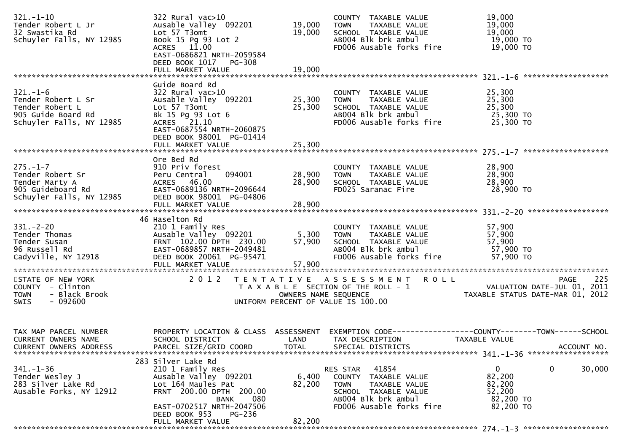| $321. - 1 - 10$<br>Tender Robert L Jr<br>32 Swastika Rd<br>Schuyler Falls, NY 12985                       | $322$ Rural vac $>10$<br>Ausable Valley 092201<br>Lot 57 T3omt<br>Book 15 Pg 93 Lot 2<br>ACRES 11.00<br>EAST-0686821 NRTH-2059584<br>DEED BOOK 1017 PG-308<br>FULL MARKET VALUE                           | 19,000<br>19,000<br>19,000 | COUNTY TAXABLE VALUE<br>TAXABLE VALUE<br><b>TOWN</b><br>SCHOOL TAXABLE VALUE<br>AB004 Blk brk ambul<br>FD006 Ausable forks fire                                   | 19,000<br>19,000<br>19,000<br>19,000 TO<br>19,000 TO                                                                             |
|-----------------------------------------------------------------------------------------------------------|-----------------------------------------------------------------------------------------------------------------------------------------------------------------------------------------------------------|----------------------------|-------------------------------------------------------------------------------------------------------------------------------------------------------------------|----------------------------------------------------------------------------------------------------------------------------------|
|                                                                                                           |                                                                                                                                                                                                           |                            |                                                                                                                                                                   |                                                                                                                                  |
| $321. - 1 - 6$<br>Tender Robert L Sr<br>Tender Robert L<br>905 Guide Board Rd<br>Schuyler Falls, NY 12985 | Guide Board Rd<br>$322$ Rural vac $>10$<br>Ausable Valley 092201 25,300<br>Lot 57 T3omt<br>Bk 15 Pg 93 Lot 6<br>ACRES 21.10<br>EAST-0687554 NRTH-2060875<br>DEED BOOK 98001 PG-01414<br>FULL MARKET VALUE | 25,300<br>25,300           | COUNTY TAXABLE VALUE<br><b>TOWN</b><br>TAXABLE VALUE<br>SCHOOL TAXABLE VALUE<br>s⊂н∪∪∟ ∣AXABLE VALUE<br>ABOO4 Blk brk ambul<br>FD006 Ausable forks fire 25,300 TO | 25,300<br>25,300<br>25,300<br>25,300 TO                                                                                          |
|                                                                                                           |                                                                                                                                                                                                           |                            |                                                                                                                                                                   |                                                                                                                                  |
| $275. - 1 - 7$<br>Tender Robert Sr<br>Tender Marty A<br>905 Guideboard Rd<br>Schuyler Falls, NY 12985     | Ore Bed Rd<br>910 Priv forest<br>094001<br>Peru Central<br>ACRES 46.00<br>EAST-0689136 NRTH-2096644<br>DEED BOOK 98001 PG-04806                                                                           | 28,900<br>28,900           | COUNTY TAXABLE VALUE<br>TOWN     TAXABLE VALUE<br>SCHOOL  TAXABLE VALUE<br>FDO25 Saranac Fire                                                                     | 28,900<br>28,900<br>28,900<br>28,900 TO                                                                                          |
|                                                                                                           |                                                                                                                                                                                                           |                            |                                                                                                                                                                   |                                                                                                                                  |
|                                                                                                           |                                                                                                                                                                                                           |                            |                                                                                                                                                                   |                                                                                                                                  |
| $331 - 2 - 20$<br>Tender Thomas<br>Tender Susan<br>96 Russell Rd<br>Cadyville, NY 12918                   | 46 Haselton Rd<br>210 1 Family Res<br>210 1 Family Res<br>Ausable Valley 092201 5,300<br>FRNT 102.00 DPTH 230.00 57,900<br>EAST-0689857 NRTH-2049481<br>DFFD ROOK 20061 PG-95471<br>FULL MARKET VALUE     | 57,900                     | COUNTY TAXABLE VALUE<br>TAXABLE VALUE<br><b>TOWN</b><br>SCHOOL TAXABLE VALUE<br>AB004 Blk brk ambul<br>FD006 Ausable forks fire                                   | 57,900<br>57,900<br>57,900<br>57,900 TO<br>57,900 TO                                                                             |
| STATE OF NEW YORK<br>COUNTY - Clinton<br>- Black Brook<br><b>TOWN</b><br>$-092600$<br>SWIS                | 2012                                                                                                                                                                                                      | OWNERS NAME SEQUENCE       | TENTATIVE ASSESSMENT ROLL<br>T A X A B L E SECTION OF THE ROLL - 1<br>UNIFORM PERCENT OF VALUE IS 100.00                                                          | 225<br><b>PAGE</b><br>VALUATION DATE-JUL 01, 2011<br>TAXABLE STATUS DATE-MAR 01, 2012                                            |
| TAX MAP PARCEL NUMBER<br>CURRENT OWNERS NAME<br>CURRENT OWNERS ADDRESS                                    | SCHOOL DISTRICT<br>PARCEL SIZE/GRID COORD                                                                                                                                                                 | LAND<br><b>TOTAL</b>       | TAX DESCRIPTION<br>SPECIAL DISTRICTS                                                                                                                              | PROPERTY LOCATION & CLASS ASSESSMENT EXEMPTION CODE----------------COUNTY-------TOWN------SCHOOL<br>TAXABLE VALUE<br>ACCOUNT NO. |
|                                                                                                           | 283 Silver Lake Rd                                                                                                                                                                                        |                            |                                                                                                                                                                   |                                                                                                                                  |
| $341. - 1 - 36$<br>Tender Wesley J<br>283 Silver Lake Rd<br>Ausable Forks, NY 12912                       | 210 1 Family Res<br>Ausable Valley 092201<br>Lot 164 Maules Pat<br>FRNT 200.00 DPTH 200.00<br>080<br>BANK<br>EAST-0702517 NRTH-2047506<br><b>PG-236</b><br>DEED BOOK 953                                  | 6,400<br>82,200            | 41854<br>RES STAR<br>COUNTY TAXABLE VALUE<br>TAXABLE VALUE<br>TOWN<br>SCHOOL TAXABLE VALUE<br>AB004 Blk brk ambul<br>FD006 Ausable forks fire                     | 0<br>$\mathbf{0}$<br>30,000<br>82,200<br>82,200<br>52,200<br>82,200 TO<br>82,200 TO                                              |
|                                                                                                           | FULL MARKET VALUE                                                                                                                                                                                         | 82,200                     |                                                                                                                                                                   |                                                                                                                                  |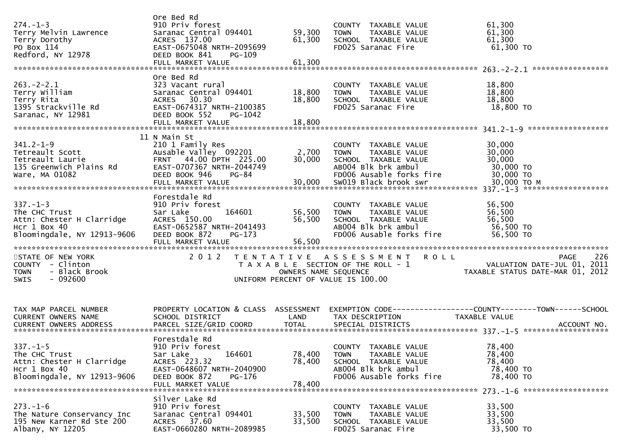| $274. - 1 - 3$<br>Terry Melvin Lawrence                                                                       | Ore Bed Rd<br>910 Priv forest<br>Saranac Central 094401                                                                                               | 59,300                     | COUNTY TAXABLE VALUE<br><b>TOWN</b><br>TAXABLE VALUE                                                                            | 61,300<br>61,300                                                                                    |
|---------------------------------------------------------------------------------------------------------------|-------------------------------------------------------------------------------------------------------------------------------------------------------|----------------------------|---------------------------------------------------------------------------------------------------------------------------------|-----------------------------------------------------------------------------------------------------|
| Terry Dorothy<br>PO Box 114<br>Redford, NY 12978                                                              | ACRES 137.00<br>EAST-0675048 NRTH-2095699<br>DEED BOOK 841<br>PG-109                                                                                  | 61,300                     | SCHOOL TAXABLE VALUE<br>FD025 Saranac Fire                                                                                      | 61,300<br>61,300 TO                                                                                 |
|                                                                                                               | FULL MARKET VALUE                                                                                                                                     | 61,300                     |                                                                                                                                 |                                                                                                     |
| $263. -2 - 2.1$<br>Terry William<br>Terry Rita<br>1395 Strackville Rd                                         | Ore Bed Rd<br>323 Vacant rural<br>Saranac Central 094401<br>ACRES 30.30<br>EAST-0674317 NRTH-2100385                                                  | 18,800<br>18,800           | COUNTY TAXABLE VALUE<br>TAXABLE VALUE<br><b>TOWN</b><br>SCHOOL TAXABLE VALUE<br>FD025 Saranac Fire                              | 18,800<br>18,800<br>18,800<br>18,800 TO                                                             |
| Saranac, NY 12981                                                                                             | DEED BOOK 552<br>PG-1042                                                                                                                              |                            |                                                                                                                                 |                                                                                                     |
|                                                                                                               | 11 N Main St                                                                                                                                          |                            |                                                                                                                                 |                                                                                                     |
| $341.2 - 1 - 9$<br>Tetreault Scott<br>Tetreault Laurie<br>135 Greenwich Plains Rd<br>Ware, MA 01082           | 210 1 Family Res<br>Ausable Valley 092201<br>FRNT 44.00 DPTH 225.00<br>EAST-0707367 NRTH-2044749<br>DEED BOOK 946<br><b>PG-84</b>                     | 2,700<br>30,000            | COUNTY TAXABLE VALUE<br><b>TOWN</b><br>TAXABLE VALUE<br>SCHOOL TAXABLE VALUE<br>AB004 Blk brk ambul<br>FD006 Ausable forks fire | 30,000<br>30,000<br>30,000<br>30,000 TO<br>30,000 TO                                                |
|                                                                                                               |                                                                                                                                                       |                            |                                                                                                                                 |                                                                                                     |
| $337. - 1 - 3$<br>The CHC Trust<br>Attn: Chester H Clarridge<br>$Hcr$ 1 Box 40<br>Bloomingdale, NY 12913-9606 | Forestdale Rd<br>910 Priv forest<br>Sar Lake<br>164601<br>ACRES 150.00<br>EAST-0652587 NRTH-2041493<br>DEED BOOK 872<br>$PG-173$<br>FULL MARKET VALUE | 56,500<br>56,500<br>56,500 | COUNTY TAXABLE VALUE<br>TAXABLE VALUE<br><b>TOWN</b><br>SCHOOL TAXABLE VALUE<br>AB004 Blk brk ambul<br>FD006 Ausable forks fire | 56,500<br>56,500<br>56,500<br>56,500 TO<br>56,500 TO                                                |
| STATE OF NEW YORK<br>COUNTY - Clinton<br>- Black Brook<br><b>TOWN</b><br>$-092600$<br>SWIS                    | 2 0 1 2                                                                                                                                               | OWNERS NAME SEQUENCE       | <b>ROLL</b><br>TENTATIVE ASSESSMENT<br>T A X A B L E SECTION OF THE ROLL - 1<br>UNIFORM PERCENT OF VALUE IS 100.00              | 226<br>PAGE<br>VALUATION DATE-JUL 01, 2011<br>TAXABLE STATUS DATE-MAR 01, 2012                      |
| TAX MAP PARCEL NUMBER<br>CURRENT OWNERS NAME<br><b>CURRENT OWNERS ADDRESS</b>                                 | PROPERTY LOCATION & CLASS ASSESSMENT<br>SCHOOL DISTRICT<br>PARCEL SIZE/GRID COORD                                                                     | LAND<br><b>TOTAL</b>       | TAX DESCRIPTION<br>SPECIAL DISTRICTS                                                                                            | EXEMPTION        CODE-----------------COUNTY-------TOWN------SCHOOL<br>TAXABLE VALUE<br>ACCOUNT NO. |
| $337. - 1 - 5$<br>The CHC Trust<br>Attn: Chester H Clarridge<br>$Hcr$ 1 Box 40<br>Bloomingdale, NY 12913-9606 | Forestdale Rd<br>910 Priv forest<br>164601<br>Sar Lake<br>ACRES 223.32<br>EAST-0648607 NRTH-2040900<br>DEED BOOK 872<br>PG-176<br>FULL MARKET VALUE   | 78,400<br>78,400<br>78,400 | COUNTY TAXABLE VALUE<br>TAXABLE VALUE<br>TOWN<br>SCHOOL TAXABLE VALUE<br>AB004 Blk brk ambul<br>FD006 Ausable forks fire        | 78,400<br>78,400<br>78,400<br>78,400 TO<br>78,400 TO                                                |
| $273. - 1 - 6$<br>The Nature Conservancy Inc<br>195 New Karner Rd Ste 200<br>Albany, NY 12205                 | Silver Lake Rd<br>910 Priv forest<br>Saranac Central 094401<br>ACRES 37.60<br>EAST-0660280 NRTH-2089985                                               | 33,500<br>33,500           | COUNTY TAXABLE VALUE<br>TAXABLE VALUE<br><b>TOWN</b><br>SCHOOL TAXABLE VALUE<br>FD025 Saranac Fire                              | 33,500<br>33,500<br>33,500<br>33,500 TO                                                             |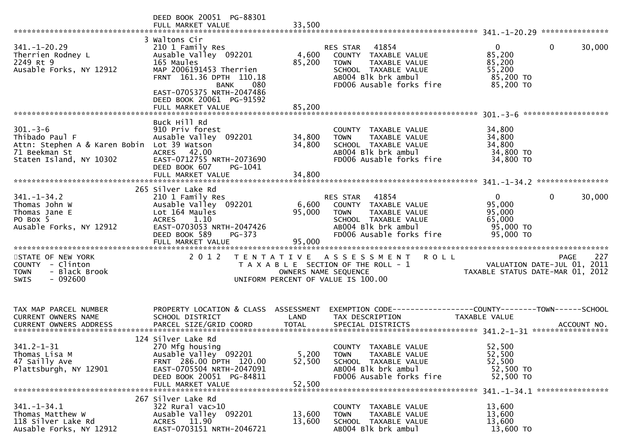|                                                                                                                            | DEED BOOK 20051 PG-88301<br>FULL MARKET VALUE                                                                                                                                      | 33,500                     |                                                                                                                                                      |                                                                        |                                                   |
|----------------------------------------------------------------------------------------------------------------------------|------------------------------------------------------------------------------------------------------------------------------------------------------------------------------------|----------------------------|------------------------------------------------------------------------------------------------------------------------------------------------------|------------------------------------------------------------------------|---------------------------------------------------|
| $341. - 1 - 20.29$<br>Therrien Rodney L<br>2249 Rt 9<br>Ausable Forks, NY 12912                                            | 3 Waltons Cir<br>210 1 Family Res<br>Ausable Valley 092201<br>165 Maules<br>MAP 2006191453 Therrien<br>FRNT 161.36 DPTH 110.18<br>080<br>BANK<br>EAST-0705375 NRTH-2047486         | 4,600<br>85,200            | 41854<br>RES STAR<br>COUNTY TAXABLE VALUE<br>TAXABLE VALUE<br><b>TOWN</b><br>SCHOOL TAXABLE VALUE<br>AB004 Blk brk ambul<br>FD006 Ausable forks fire | $\overline{0}$<br>85,200<br>85,200<br>55,200<br>85,200 TO<br>85,200 TO | $\mathbf{0}$<br>30,000                            |
|                                                                                                                            | DEED BOOK 20061 PG-91592<br>FULL MARKET VALUE                                                                                                                                      | 85,200                     |                                                                                                                                                      |                                                                        | *******************                               |
| $301 - 3 - 6$<br>Thibado Paul F<br>Attn: Stephen A & Karen Bobin Lot 39 Watson<br>71 Beekman St<br>Staten Island, NY 10302 | Buck Hill Rd<br>910 Priv forest<br>Ausable Valley 092201<br>ACRES 42.00<br>EAST-0712755 NRTH-2073690<br>DEED BOOK 607<br>PG-1041<br>FULL MARKET VALUE                              | 34,800<br>34,800<br>34,800 | COUNTY TAXABLE VALUE<br>TAXABLE VALUE<br><b>TOWN</b><br>SCHOOL TAXABLE VALUE<br>AB004 Blk brk ambul<br>FD006 Ausable forks fire                      | 34,800<br>34,800<br>34,800<br>34,800 TO<br>34,800 TO                   |                                                   |
|                                                                                                                            |                                                                                                                                                                                    |                            |                                                                                                                                                      |                                                                        |                                                   |
| $341. - 1 - 34.2$<br>Thomas John W<br>Thomas Jane E<br>PO Box 5<br>Ausable Forks, NY 12912                                 | 265 Silver Lake Rd<br>210 1 Family Res<br>Ausable Valley 092201<br>Lot 164 Maules<br>ACRES 1.10<br>EAST-0703053 NRTH-2047426<br>DEED BOOK 589<br>PG-373<br>FULL MARKET VALUE       | 6,600<br>95,000<br>95,000  | RES STAR<br>41854<br>COUNTY TAXABLE VALUE<br><b>TOWN</b><br>TAXABLE VALUE<br>SCHOOL TAXABLE VALUE<br>AB004 Blk brk ambul<br>FD006 Ausable forks fire | $\mathbf{0}$<br>95,000<br>95,000<br>65,000<br>95,000 TO<br>95,000 TO   | $\mathbf{0}$<br>30,000                            |
| STATE OF NEW YORK<br>COUNTY - Clinton<br><b>TOWN</b><br>- Black Brook<br><b>SWIS</b><br>- 092600                           | 2 0 1 2                                                                                                                                                                            | OWNERS NAME SEQUENCE       | TENTATIVE ASSESSMENT ROLL<br>T A X A B L E SECTION OF THE ROLL - 1<br>UNIFORM PERCENT OF VALUE IS 100.00                                             | TAXABLE STATUS DATE-MAR 01, 2012                                       | 227<br><b>PAGE</b><br>VALUATION DATE-JUL 01, 2011 |
| TAX MAP PARCEL NUMBER<br><b>CURRENT OWNERS NAME</b>                                                                        | PROPERTY LOCATION & CLASS ASSESSMENT<br>SCHOOL DISTRICT                                                                                                                            | LAND                       | EXEMPTION CODE------------------COUNTY--------TOWN------SCHOOL<br>TAX DESCRIPTION                                                                    | TAXABLE VALUE                                                          |                                                   |
| $341.2 - 1 - 31$<br>Thomas Lisa M<br>47 Sailly Ave<br>Plattsburgh, NY 12901                                                | 124 Silver Lake Rd<br>270 Mfg housing<br>Ausable Valley <sup>O92201</sup><br>FRNT 286.00 DPTH 120.00<br>EAST-0705504 NRTH-2047091<br>DEED BOOK 20051 PG-84811<br>FULL MARKET VALUE | 5,200<br>52,500<br>52,500  | COUNTY TAXABLE VALUE<br><b>TOWN</b><br>TAXABLE VALUE<br>SCHOOL TAXABLE VALUE<br>AB004 Blk brk ambul<br>FD006 Ausable forks fire                      | 52,500<br>52,500<br>52,500<br>52,500 TO<br>52,500 TO                   | 341. -1-34.1 *****************                    |
| $341. - 1 - 34.1$<br>Thomas Matthew W<br>118 Silver Lake Rd<br>Ausable Forks, NY 12912                                     | 267 Silver Lake Rd<br>$322$ Rural vac $>10$<br>Ausable Valley 092201<br>ACRES 11.90<br>EAST-0703151 NRTH-2046721                                                                   | 13,600<br>13,600           | COUNTY TAXABLE VALUE<br>TAXABLE VALUE<br><b>TOWN</b><br>SCHOOL TAXABLE VALUE<br>AB004 Blk brk ambul                                                  | 13,600<br>13,600<br>13,600<br>13,600 TO                                |                                                   |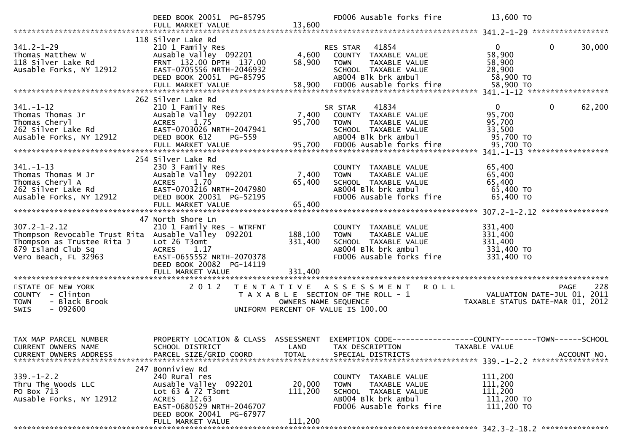|                                                                                                                                                       | DEED BOOK 20051 PG-85795<br>FULL MARKET VALUE                                                                                                                                | 13,600                        | FD006 Ausable forks fire                                                                                                                             | 13,600 TO                                                                              |        |
|-------------------------------------------------------------------------------------------------------------------------------------------------------|------------------------------------------------------------------------------------------------------------------------------------------------------------------------------|-------------------------------|------------------------------------------------------------------------------------------------------------------------------------------------------|----------------------------------------------------------------------------------------|--------|
|                                                                                                                                                       |                                                                                                                                                                              |                               |                                                                                                                                                      |                                                                                        |        |
| $341.2 - 1 - 29$<br>Thomas Matthew W<br>118 Silver Lake Rd<br>Ausable Forks, NY 12912                                                                 | 118 Silver Lake Rd<br>210 1 Family Res<br>Ausable Valley 092201<br>FRNT 132.00 DPTH 137.00<br>EAST-0705556 NRTH-2046932<br>DEED BOOK 20051 PG-85795<br>FULL MARKET VALUE     | 4,600<br>58,900<br>58,900     | 41854<br>RES STAR<br>COUNTY TAXABLE VALUE<br>TAXABLE VALUE<br><b>TOWN</b><br>SCHOOL TAXABLE VALUE<br>AB004 Blk brk ambul<br>FD006 Ausable forks fire | $\overline{0}$<br>0<br>58,900<br>58,900<br>28,900<br>58,900 TO<br>58,900 TO            | 30,000 |
|                                                                                                                                                       |                                                                                                                                                                              |                               |                                                                                                                                                      |                                                                                        |        |
| $341. - 1 - 12$<br>Thomas Thomas Jr<br>Thomas Cheryl<br>262 Silver Lake Rd<br>Ausable Forks, NY 12912                                                 | 262 Silver Lake Rd<br>210 1 Family Res<br>Ausable Valley 092201<br>ACRES 1.75<br>EAST-0703026 NRTH-2047941<br>DEED BOOK 612<br>PG-559<br>FULL MARKET VALUE                   | 7,400<br>95,700<br>95,700     | 41834<br>SR STAR<br>COUNTY TAXABLE VALUE<br><b>TOWN</b><br>TAXABLE VALUE<br>SCHOOL TAXABLE VALUE<br>AB004 Blk brk ambul<br>FD006 Ausable forks fire  | $\overline{0}$<br>$\mathbf{0}$<br>95,700<br>95,700<br>33,500<br>95,700 TO<br>95,700 TO | 62,200 |
|                                                                                                                                                       | 254 Silver Lake Rd                                                                                                                                                           |                               |                                                                                                                                                      |                                                                                        |        |
| $341 - 1 - 13$<br>Thomas Thomas M Jr<br>Thomas Cheryl A<br>262 Silver Lake Rd<br>Ausable Forks, NY 12912                                              | 230 3 Family Res<br>Ausable Valley 092201<br><b>ACRES</b><br>1.70<br>EAST-0703216 NRTH-2047980<br>DEED BOOK 20031 PG-52195<br>FULL MARKET VALUE                              | 7,400<br>65,400<br>65,400     | COUNTY TAXABLE VALUE<br><b>TOWN</b><br>TAXABLE VALUE<br>SCHOOL TAXABLE VALUE<br>AB004 Blk brk ambul<br>FD006 Ausable forks fire                      | 65,400<br>65,400<br>65,400<br>65,400 TO<br>65,400 TO                                   |        |
|                                                                                                                                                       | 47 North Shore Ln                                                                                                                                                            |                               |                                                                                                                                                      |                                                                                        |        |
| $307.2 - 1 - 2.12$<br>Thompson Revocable Trust Rita Ausable Valley 092201<br>Thompson as Trustee Rita J<br>879 Island Club Sq<br>Vero Beach, FL 32963 | 210 1 Family Res - WTRFNT<br>Lot 26 T3omt<br>ACRES 1.17<br>EAST-0655552 NRTH-2070378<br>DEED BOOK 20082 PG-14119<br>FULL MARKET VALUE                                        | 188,100<br>331,400<br>331,400 | COUNTY TAXABLE VALUE<br>TAXABLE VALUE<br><b>TOWN</b><br>SCHOOL TAXABLE VALUE<br>AB004 Blk brk ambul<br>FD006 Ausable forks fire                      | 331,400<br>331,400<br>331,400<br>331,400 TO<br>331,400 TO                              |        |
|                                                                                                                                                       |                                                                                                                                                                              |                               |                                                                                                                                                      |                                                                                        |        |
| STATE OF NEW YORK<br>COUNTY - Clinton<br>- Black Brook<br><b>TOWN</b><br>$-092600$<br>SWIS                                                            | 2 0 1 2                                                                                                                                                                      | OWNERS NAME SEQUENCE          | TENTATIVE ASSESSMENT<br><b>ROLL</b><br>T A X A B L E SECTION OF THE ROLL - 1<br>UNIFORM PERCENT OF VALUE IS 100.00                                   | PAGE<br>VALUATION DATE-JUL 01, 2011<br>TAXABLE STATUS DATE-MAR 01, 2012                | 228    |
| TAX MAP PARCEL NUMBER<br><b>CURRENT OWNERS NAME</b>                                                                                                   | PROPERTY LOCATION & CLASS ASSESSMENT<br>SCHOOL DISTRICT                                                                                                                      | LAND                          | TAX DESCRIPTION                                                                                                                                      | EXEMPTION CODE-----------------COUNTY-------TOWN------SCHOOL<br>TAXABLE VALUE          |        |
| $339 - 1 - 2.2$<br>Thru The Woods LLC<br>PO Box 713<br>Ausable Forks, NY 12912                                                                        | 247 Bonniview Rd<br>240 Rural res<br>Ausable Valley 092201<br>Lot 63 & 72 T3omt<br>ACRES 12.63<br>EAST-0680529 NRTH-2046707<br>DEED BOOK 20041 PG-67977<br>FULL MARKET VALUE | 20,000<br>111,200<br>111,200  | COUNTY TAXABLE VALUE<br>TAXABLE VALUE<br><b>TOWN</b><br>SCHOOL TAXABLE VALUE<br>AB004 Blk brk ambul<br>FD006 Ausable forks fire                      | 111,200<br>111,200<br>111,200<br>111,200 TO<br>111,200 TO                              |        |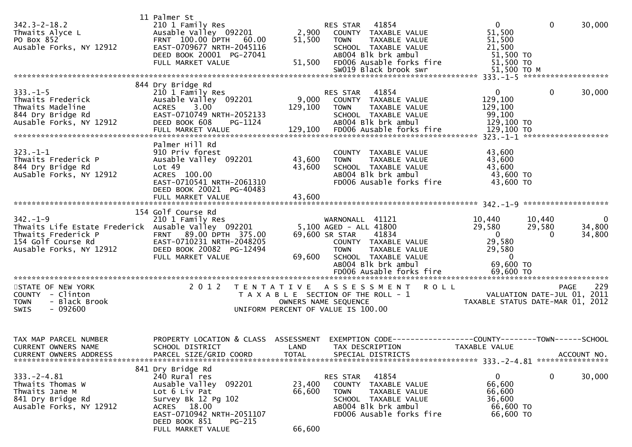| $342.3 - 2 - 18.2$<br>Thwaits Alyce L<br>PO Box 852<br>Ausable Forks, NY 12912                                                                | 11 Palmer St<br>210 1 Family Res<br>Ausable Valley 092201<br>FRNT 100.00 DPTH 60.00<br>EAST-0709677 NRTH-2045116<br>DEED BOOK 20001 PG-27041<br>FULL MARKET VALUE                               | 2,900<br>51,500<br>51,500  | RES STAR 41854<br>COUNTY TAXABLE VALUE<br>TAXABLE VALUE<br><b>TOWN</b><br>SCHOOL TAXABLE VALUE<br>AB004 Blk brk ambul<br>FD006 Ausable forks fire                                                       | $\mathbf{0}$<br>51,500<br>51,500<br>21,500<br>51,500 TO<br>51,500 TO                                               | $\mathbf{0}$                | 30,000                          |
|-----------------------------------------------------------------------------------------------------------------------------------------------|-------------------------------------------------------------------------------------------------------------------------------------------------------------------------------------------------|----------------------------|---------------------------------------------------------------------------------------------------------------------------------------------------------------------------------------------------------|--------------------------------------------------------------------------------------------------------------------|-----------------------------|---------------------------------|
|                                                                                                                                               |                                                                                                                                                                                                 |                            |                                                                                                                                                                                                         |                                                                                                                    |                             |                                 |
| $333. - 1 - 5$<br>Thwaits Frederick<br>Thwaits Madeline<br>844 Dry Bridge Rd<br>Ausable Forks, NY 12912                                       | 844 Dry Bridge Rd<br>210 1 Family Res<br>Ausable Valley 092201<br>$3.00^{\circ}$<br><b>ACRES</b><br>EAST-0710749 NRTH-2052133<br>DEED BOOK 608<br>PG-1124                                       | 9,000<br>129,100           | 41854<br>RES STAR<br>COUNTY TAXABLE VALUE<br>TAXABLE VALUE<br><b>TOWN</b><br>SCHOOL TAXABLE VALUE<br>AB004 Blk brk ambul                                                                                | $\mathbf{0}$<br>129,100<br>129,100<br>99,100<br>129,100 TO                                                         | $\mathbf{0}$                | 30,000                          |
| $323. - 1 - 1$<br>Thwaits Frederick P<br>844 Dry Bridge Rd<br>AuSable Forks, NY 12912                                                         | Palmer Hill Rd<br>910 Priv forest<br>Ausable Valley 092201<br>Lot 49<br>ACRES 100.00<br>EAST-0710541 NRTH-2061310<br>DEED BOOK 20021 PG-40483                                                   | 43,600<br>43,600           | COUNTY TAXABLE VALUE<br>TAXABLE VALUE<br><b>TOWN</b><br>SCHOOL TAXABLE VALUE<br>AB004 Blk brk ambul<br>FD006 Ausable forks fire                                                                         | 43,600<br>43,600<br>43,600<br>43,600 TO<br>43,600 TO                                                               |                             |                                 |
|                                                                                                                                               | 154 Golf Course Rd                                                                                                                                                                              |                            |                                                                                                                                                                                                         |                                                                                                                    |                             |                                 |
| $342. - 1 - 9$<br>Thwaits Life Estate Frederick Ausable Valley 092201<br>Thwaits Frederick P<br>154 Golf Course Rd<br>Ausable Forks, NY 12912 | 210 1 Family Res<br>FRNT 89.00 DPTH 375.00<br>EAST-0710231 NRTH-2048205<br>DEED BOOK 20082 PG-12494<br>FULL MARKET VALUE                                                                        | 69,600                     | WARNONALL 41121<br>5,100 AGED - ALL 41800<br>69,600 SR STAR<br>41834<br>COUNTY TAXABLE VALUE<br><b>TOWN</b><br>TAXABLE VALUE<br>SCHOOL TAXABLE VALUE<br>AB004 Blk brk ambul<br>FD006 Ausable forks fire | 10,440 10,440<br>29,580<br>$\overline{0}$<br>29,580<br>29,580<br>$\overline{\mathbf{0}}$<br>69,600 TO<br>69,600 TO | 29,580<br>$\Omega$          | $\mathbf 0$<br>34,800<br>34,800 |
| STATE OF NEW YORK<br>COUNTY - Clinton<br>- Black Brook<br><b>TOWN</b><br><b>SWIS</b><br>- 092600                                              | 2 0 1 2                                                                                                                                                                                         | T E N T A T I V E          | <b>ROLL</b><br>A S S E S S M E N T<br>T A X A B L E SECTION OF THE ROLL - 1<br>OWNERS NAME SEQUENCE<br>UNIFORM PERCENT OF VALUE IS 100.00                                                               | TAXABLE STATUS DATE-MAR 01, 2012                                                                                   | VALUATION DATE-JUL 01, 2011 | 229<br><b>PAGE</b>              |
| TAX MAP PARCEL NUMBER<br>CURRENT OWNERS NAME<br><b>CURRENT OWNERS ADDRESS</b>                                                                 | PROPERTY LOCATION & CLASS ASSESSMENT<br>SCHOOL DISTRICT LAND TAX DESCRIPTION<br>PARCEL SIZE/GRID COORD                                                                                          | <b>TOTAL</b>               | EXEMPTION CODE-----------------COUNTY-------TOWN------SCHOOL<br>SPECIAL DISTRICTS                                                                                                                       | TAXABLE VALUE                                                                                                      |                             | ACCOUNT NO.                     |
| $333. -2 - 4.81$<br>Thwaits Thomas W<br>Thwaits Jane M<br>841 Dry Bridge Rd<br>Ausable Forks, NY 12912                                        | 841 Dry Bridge Rd<br>240 Rural res<br>Ausable Valley 092201<br>Lot 6 Liv Pat<br>Survey Bk 12 Pg 102<br>ACRES 18.00<br>EAST-0710942 NRTH-2051107<br>DEED BOOK 851<br>PG-215<br>FULL MARKET VALUE | 23,400<br>66,600<br>66,600 | 41854<br>RES STAR<br>COUNTY TAXABLE VALUE<br>TAXABLE VALUE<br><b>TOWN</b><br>SCHOOL TAXABLE VALUE<br>AB004 Blk brk ambul<br>FD006 Ausable forks fire                                                    | $\mathbf{0}$<br>66,600<br>66,600<br>36,600<br>66,600 TO<br>66,600 TO                                               | 0                           | 30,000                          |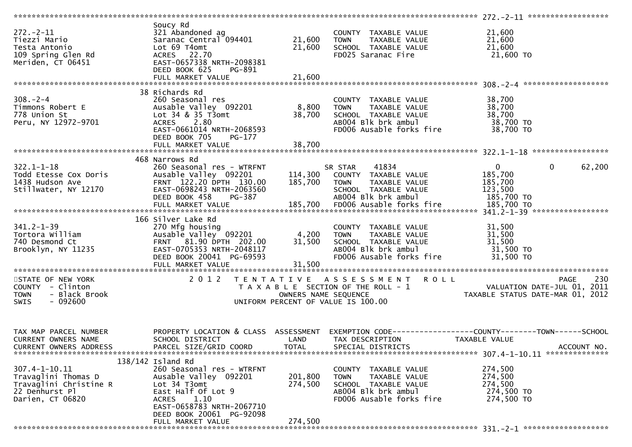| $272 - 2 - 11$<br>Tiezzi Mario<br>Testa Antonio<br>109 Spring Glen Rd<br>Meriden, CT 06451                 | Soucy Rd<br>321 Abandoned ag<br>$\frac{321}{21}$ manuolled ay 094401 21,600<br>Lot 69 T4omt<br>ACRES 22.70<br>EAST-0657338 NRTH-2098381<br>DEED BOOK 625<br>PG-891                               | 21,600               | COUNTY TAXABLE VALUE<br><b>TOWN</b>                                                                                             | 21,600<br>21,600<br>21,600<br>21,600 TO                                                      |
|------------------------------------------------------------------------------------------------------------|--------------------------------------------------------------------------------------------------------------------------------------------------------------------------------------------------|----------------------|---------------------------------------------------------------------------------------------------------------------------------|----------------------------------------------------------------------------------------------|
|                                                                                                            |                                                                                                                                                                                                  |                      |                                                                                                                                 |                                                                                              |
| $308. - 2 - 4$<br>Timmons Robert E<br>778 Union St<br>Peru, NY 12972-9701                                  | 38 Richards Rd<br>260 Seasonal res<br>Ausable Valley 092201<br>Lot 34 & 35 T3omt<br>ACRES 2.80<br>EAST-0661014 NRTH-2068593<br>DEED BOOK 705<br>PG-177                                           | 8,800<br>38,700      | COUNTY TAXABLE VALUE<br>TAXABLE VALUE<br><b>TOWN</b><br>SCHOOL TAXABLE VALUE<br>AB004 Blk brk ambul<br>FD006 Ausable forks fire | 38,700<br>38,700<br>38,700<br>38,700 TO<br>38,700 TO                                         |
|                                                                                                            |                                                                                                                                                                                                  |                      |                                                                                                                                 |                                                                                              |
| $322.1 - 1 - 18$<br>Todd Etesse Cox Doris<br>1438 Hudson Ave<br>Stillwater, NY 12170                       | 468 Narrows Rd<br>260 Seasonal res - WTRFNT<br>Ausable Valley 092201<br>FRNT 122.20 DPTH 130.00<br>EAST-0698243 NRTH-2063560<br>DEED BOOK 458<br>PG-387                                          | 185,700              | 41834<br>SR STAR<br>114,300 COUNTY TAXABLE VALUE<br>TOWN TAXABLE VALUE<br>SCHOOL TAXABLE VALUE<br>AB004 Blk brk ambul           | $\overline{0}$<br>$\mathbf{0}$<br>62,200<br>185,700<br>185,700<br>123,500<br>185,700 TO      |
|                                                                                                            | 166 Silver Lake Rd                                                                                                                                                                               |                      |                                                                                                                                 |                                                                                              |
| $341.2 - 1 - 39$<br>Tortora William<br>740 Desmond Ct<br>Brooklyn, NY 11235                                | 270 Mfg housing<br>Ausable valley 092201 4,200<br>FRNT 81.90 DPTH 202.00 31,500<br>EAST-0705353 NRTH-2048117<br>DEED BOOK 20041 PG-69593<br>FULL MARKET VALUE                                    | 31,500               | COUNTY TAXABLE VALUE<br>TAXABLE VALUE<br>TOWN<br>SCHOOL TAXABLE VALUE<br>AB004 Blk brk ambul<br>FD006 Ausable forks fire        | 31,500<br>31,500<br>31,500<br>31,500 TO<br>31,500 TO                                         |
| STATE OF NEW YORK<br>COUNTY - Clinton<br><b>TOWN</b><br>- Black Brook<br>- 092600<br><b>SWIS</b>           |                                                                                                                                                                                                  | OWNERS NAME SEQUENCE | 2012 TENTATIVE ASSESSMENT ROLL<br>T A X A B L E SECTION OF THE ROLL - 1<br>UNIFORM PERCENT OF VALUE IS 100.00                   | 230<br>PAGE<br>VALUATION DATE-JUL 01, 2011<br>TAXABLE STATUS DATE-MAR 01, 2012               |
| TAX MAP PARCEL NUMBER<br>CURRENT OWNERS NAME<br><b>CURRENT OWNERS ADDRESS</b>                              | PROPERTY LOCATION & CLASS ASSESSMENT<br>SCHOOL DISTRICT<br>PARCEL SIZE/GRID COORD                                                                                                                | LAND<br><b>TOTAL</b> | TAX DESCRIPTION<br>SPECIAL DISTRICTS                                                                                            | EXEMPTION CODE-----------------COUNTY-------TOWN------SCHOOL<br>TAXABLE VALUE<br>ACCOUNT NO. |
| $307.4 - 1 - 10.11$<br>Travaglini Thomas D<br>Travaglini Christine R<br>22 Denhurst Pl<br>Darien, CT 06820 | $138/142$ Island Rd<br>260 Seasonal res - WTRFNT<br>Ausable Valley 092201<br>Lot 34 T3omt<br>East Half Of Lot 9<br>1.10<br><b>ACRES</b><br>EAST-0658783 NRTH-2067710<br>DEED BOOK 20061 PG-92098 | 201,800<br>274,500   | COUNTY TAXABLE VALUE<br>TAXABLE VALUE<br>TOWN<br>SCHOOL TAXABLE VALUE<br>AB004 Blk brk ambul<br>FD006 Ausable forks fire        | 274,500<br>274,500<br>274,500<br>274,500 TO<br>274,500 TO                                    |
|                                                                                                            | FULL MARKET VALUE                                                                                                                                                                                | 274,500              |                                                                                                                                 |                                                                                              |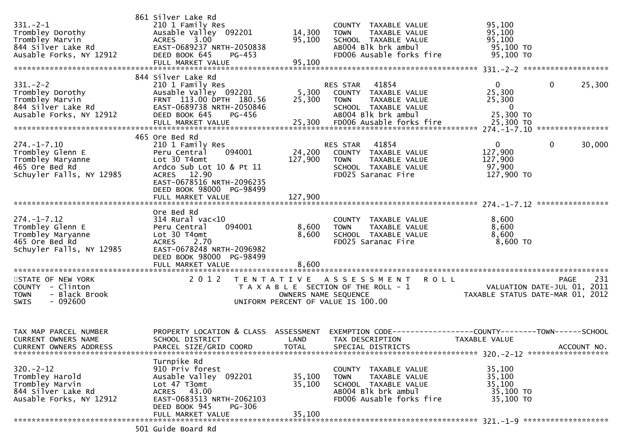| $331 - 2 - 1$<br>Trombley Dorothy<br>Trombley Marvin<br>844 Silver Lake Rd<br>Ausable Forks, NY 12912    | 861 Silver Lake Rd<br>210 1 Family Res<br>Ausable Valley 092201<br>ACRES 3.00<br>EAST-0689237 NRTH-2050838<br>DEED BOOK 645<br>$PG-453$                                                               | 14,300<br>95,100             | COUNTY TAXABLE VALUE<br><b>TOWN</b><br>SCHOOL TAXABLE VALUE<br>AB004 Blk brk ambul                                                         | TAXABLE VALUE<br>FD006 Ausable forks fire | 95,100<br>95,100<br>95,100<br>95,100 TO<br>95,100 TO            |              |             |
|----------------------------------------------------------------------------------------------------------|-------------------------------------------------------------------------------------------------------------------------------------------------------------------------------------------------------|------------------------------|--------------------------------------------------------------------------------------------------------------------------------------------|-------------------------------------------|-----------------------------------------------------------------|--------------|-------------|
| $331. - 2 - 2$<br>Trombley Dorothy<br>Trombley Marvin<br>844 Silver Lake Rd<br>Ausable Forks, NY 12912   | 844 Silver Lake Rd<br>210 1 Family Res<br>Ausable Valley 092201<br>FRNT 113.00 DPTH 180.56<br>EAST-0689738 NRTH-2050846<br>DEED BOOK 645<br>PG-456<br>FULL MARKET VALUE                               | 5,300<br>25,300              | 41854<br>RES STAR<br>COUNTY TAXABLE VALUE<br><b>TOWN</b><br>SCHOOL TAXABLE VALUE<br>AB004 Blk brk ambul<br>25,300 FD006 Ausable forks fire | TAXABLE VALUE                             | 0<br>25,300<br>25,300<br>$\mathbf{0}$<br>25,300 TO<br>25,300 TO | $\mathbf{0}$ | 25,300      |
| $274. - 1 - 7.10$<br>Trombley Glenn E<br>Trombley Maryanne<br>465 Ore Bed Rd<br>Schuyler Falls, NY 12985 | 465 Ore Bed Rd<br>210 1 Family Res<br>094001<br>Peru Central<br>Lot 30 T4omt<br>Ardco Sub Lot 10 & Pt 11<br>ACRES 12.90<br>EAST-0678516 NRTH-2096235<br>DEED BOOK 98000 PG-98499<br>FULL MARKET VALUE | 24,200<br>127,900<br>127,900 | 41854<br>RES STAR<br>COUNTY TAXABLE VALUE<br><b>TOWN</b><br>SCHOOL TAXABLE VALUE<br>FD025 Saranac Fire                                     | TAXABLE VALUE                             | $\mathbf{0}$<br>127,900<br>127,900<br>97,900<br>127,900 TO      | $\mathbf 0$  | 30,000      |
| $274. - 1 - 7.12$<br>Trombley Glenn E<br>Trombley Maryanne<br>465 Ore Bed Rd<br>Schuyler Falls, NY 12985 | Ore Bed Rd<br>$314$ Rural vac<10<br>094001<br>Peru Central<br>Lot 30 T4omt<br>2.70<br><b>ACRES</b><br>EAST-0678248 NRTH-2096982<br>DEED BOOK 98000 PG-98499<br>FULL MARKET VALUE                      | 8,600<br>8,600<br>8,600      | COUNTY TAXABLE VALUE<br><b>TOWN</b><br>SCHOOL TAXABLE VALUE<br>FD025 Saranac Fire                                                          | TAXABLE VALUE                             | 8,600<br>8,600<br>8,600<br>8,600 TO                             |              |             |
| STATE OF NEW YORK<br>COUNTY - Clinton<br>- Black Brook<br><b>TOWN</b><br>$-092600$<br>SWIS               | 2 0 1 2                                                                                                                                                                                               | OWNERS NAME SEQUENCE         | TENTATIVE ASSESSMENT<br>T A X A B L E SECTION OF THE ROLL - 1<br>UNIFORM PERCENT OF VALUE IS 100.00                                        | <b>ROLL</b>                               | VALUATION DATE-JUL 01, 2011<br>TAXABLE STATUS DATE-MAR 01, 2012 | <b>PAGE</b>  | 231         |
| TAX MAP PARCEL NUMBER<br><b>CURRENT OWNERS NAME</b><br>CURRENT OWNERS ADDRESS                            | PROPERTY LOCATION & CLASS<br>SCHOOL DISTRICT<br>PARCEL SIZE/GRID COORD<br>Turnpike Rd                                                                                                                 | ASSESSMENT<br>LAND<br>TOTAL  | TAX DESCRIPTION<br>SPECIAL DISTRICTS                                                                                                       |                                           | <b>TAXABLE VALUE</b>                                            |              | ACCOUNT NO. |
| $320 - 2 - 12$<br>Trombley Harold<br>Trombley Marvin<br>844 Silver Lake Rd<br>Ausable Forks, NY 12912    | 910 Priv forest<br>Ausable Valley 092201<br>Lot 47 T3omt<br>ACRES 43.00<br>EAST-0683513 NRTH-2062103<br>DEED BOOK 945<br><b>PG-306</b><br>FULL MARKET VALUE                                           | 35,100<br>35,100<br>35,100   | COUNTY TAXABLE VALUE<br>TOWN<br>SCHOOL TAXABLE VALUE<br>AB004 Blk brk ambul                                                                | TAXABLE VALUE<br>FD006 Ausable forks fire | 35,100<br>35,100<br>35,100<br>35,100 TO<br>35,100 TO            |              |             |
|                                                                                                          | $\sqrt{2}$                                                                                                                                                                                            |                              |                                                                                                                                            |                                           |                                                                 |              |             |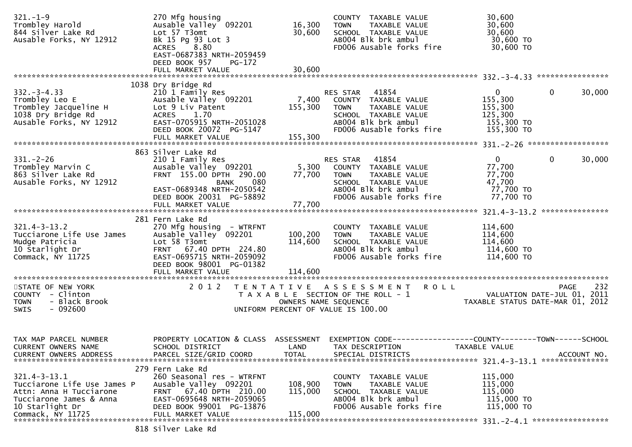| $321. - 1 - 9$<br>Trombley Harold<br>844 Silver Lake Rd<br>Ausable Forks, NY 12912                                                              | 270 Mfg housing<br>Ausable Valley 092201<br>Lot 57 T3omt<br>Bk 15 Pg 93 Lot 3<br>ACRES 8.80<br>EAST-0687383 NRTH-2059459<br>DEED BOOK 957<br>PG-172<br>FULL MARKET VALUE                       | 16,300<br>30,600<br>30,600         | COUNTY TAXABLE VALUE<br>TAXABLE VALUE<br><b>TOWN</b><br>SCHOOL TAXABLE VALUE<br>AB004 Blk brk ambul<br>FD006 Ausable forks fire                      | 30,600<br>30,600<br>30,600<br>30,600 TO<br>30,600 TO                                                                  |             |
|-------------------------------------------------------------------------------------------------------------------------------------------------|------------------------------------------------------------------------------------------------------------------------------------------------------------------------------------------------|------------------------------------|------------------------------------------------------------------------------------------------------------------------------------------------------|-----------------------------------------------------------------------------------------------------------------------|-------------|
|                                                                                                                                                 |                                                                                                                                                                                                |                                    |                                                                                                                                                      |                                                                                                                       |             |
| $332 - 3 - 4.33$<br>Trombley Leo E<br>Trombley Jacqueline H<br>1038 Dry Bridge Rd<br>Ausable Forks, NY 12912                                    | 1038 Dry Bridge Rd<br>210 1 Family Res<br>Ausable Valley 092201<br>Lot 9 Liv Patent<br>ACRES 1.70<br>EAST-0705915 NRTH-2051028<br>DEED BOOK 20072 PG-5147<br>FULL MARKET VALUE                 | 7,400<br>155,300<br>155,300        | RES STAR<br>41854<br>COUNTY TAXABLE VALUE<br><b>TOWN</b><br>TAXABLE VALUE<br>SCHOOL TAXABLE VALUE<br>AB004 Blk brk ambul<br>FD006 Ausable forks fire | $\mathbf{0}$<br>$\mathbf{0}$<br>155,300<br>155,300<br>125,300<br>155,300 TO<br>155,300 TO                             | 30,000      |
|                                                                                                                                                 |                                                                                                                                                                                                |                                    |                                                                                                                                                      |                                                                                                                       |             |
| $331 - 2 - 26$<br>Trombley Marvin C<br>863 Silver Lake Rd<br>Ausable Forks, NY 12912                                                            | 863 Silver Lake Rd<br>210 1 Family Res<br>Ausable Valley 092201<br>FRNT 155.00 DPTH 290.00<br>080<br><b>BANK</b><br>EAST-0689348 NRTH-2050542<br>DEED BOOK 20031 PG-58892<br>FULL MARKET VALUE | 5,300<br>77,700<br>77,700          | RES STAR 41854<br>COUNTY TAXABLE VALUE<br><b>TOWN</b><br>TAXABLE VALUE<br>SCHOOL TAXABLE VALUE<br>AB004 Blk brk ambul<br>FD006 Ausable forks fire    | $\mathbf{0}$<br>$\mathbf{0}$<br>77,700<br>77,700<br>47,700<br>77,700 TO<br>77,700 TO                                  | 30,000      |
|                                                                                                                                                 |                                                                                                                                                                                                |                                    |                                                                                                                                                      |                                                                                                                       |             |
| $321.4 - 3 - 13.2$<br>Tucciarone Life Use James<br>Mudge Patricia<br>10 Starlight Dr<br>Commack, NY 11725                                       | 281 Fern Lake Rd<br>270 Mfg housing - WTRFNT<br>Ausable Valley 092201<br>Lot 58 T3omt<br>FRNT 67.40 DPTH 224.80<br>EAST-0695715 NRTH-2059092<br>DEED BOOK 98001 PG-01382<br>FULL MARKET VALUE  | 100,200<br>114,600<br>114,600      | COUNTY TAXABLE VALUE<br>TAXABLE VALUE<br><b>TOWN</b><br>SCHOOL TAXABLE VALUE<br>AB004 Blk brk ambul<br>FD006 Ausable forks fire                      | 114,600<br>114,600<br>114,600<br>114,600 TO<br>114,600 TO                                                             |             |
| STATE OF NEW YORK                                                                                                                               | 2 0 1 2                                                                                                                                                                                        |                                    | TENTATIVE ASSESSMENT<br><b>ROLL</b>                                                                                                                  | PAGE                                                                                                                  | 232         |
| COUNTY - Clinton<br>- Black Brook<br><b>TOWN</b><br>$-092600$<br>SWIS                                                                           |                                                                                                                                                                                                |                                    | T A X A B L E SECTION OF THE ROLL - 1<br>OWNERS NAME SEQUENCE<br>UNIFORM PERCENT OF VALUE IS 100.00                                                  | VALUATION DATE-JUL 01, 2011<br>TAXABLE STATUS DATE-MAR 01, 2012                                                       |             |
| TAX MAP PARCEL NUMBER<br><b>CURRENT OWNERS NAME</b><br><b>CURRENT OWNERS ADDRESS</b>                                                            | PROPERTY LOCATION & CLASS<br>SCHOOL DISTRICT<br>PARCEL SIZE/GRID COORD                                                                                                                         | ASSESSMENT<br>LAND<br><b>TOTAL</b> | TAX DESCRIPTION<br>SPECIAL DISTRICTS                                                                                                                 | EXEMPTION CODE-----------------COUNTY-------TOWN------SCHOOL<br><b>TAXABLE VALUE</b><br>321.4-3-13.1 **************** | ACCOUNT NO. |
| $321.4 - 3 - 13.1$<br>Tucciarone Life Use James P<br>Attn: Anna H Tucciarone<br>Tucciarone James & Anna<br>10 Starlight Dr<br>Commack, NY 11725 | 279 Fern Lake Rd<br>260 Seasonal res - WTRFNT<br>Ausable Valley 092201<br>FRNT 67.40 DPTH 210.00<br>EAST-0695648 NRTH-2059065<br>DEED BOOK 99001 PG-13876<br>FULL MARKET VALUE                 | 108,900<br>115,000<br>115,000      | <b>COUNTY</b><br>TAXABLE VALUE<br>TAXABLE VALUE<br><b>TOWN</b><br>SCHOOL TAXABLE VALUE<br>AB004 Blk brk ambul<br>FD006 Ausable forks fire            | 115,000<br>115,000<br>115,000<br>115,000 TO<br>115,000 TO<br>331. - 2 - 4.1 *******************                       |             |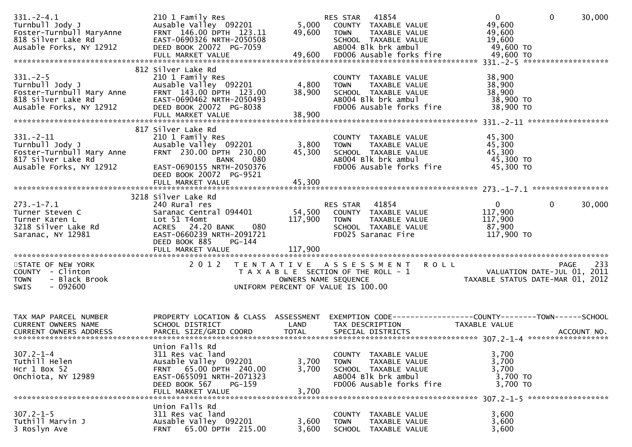| $331. - 2 - 4.1$                                                                                                                                                                                                                    | 210 1 Family Res<br>Ausable Valley 092201                                                                                                                                 | 49,600                  | <b>RES STAR 41854</b><br>5,000 COUNTY TAXABLE VALUE<br>TAXABLE VALUE<br>TOWN                                                    | $\mathbf 0$<br>$\mathbf{0}$<br>49,600<br>49,600                                                                                                        | 30,000 |
|-------------------------------------------------------------------------------------------------------------------------------------------------------------------------------------------------------------------------------------|---------------------------------------------------------------------------------------------------------------------------------------------------------------------------|-------------------------|---------------------------------------------------------------------------------------------------------------------------------|--------------------------------------------------------------------------------------------------------------------------------------------------------|--------|
|                                                                                                                                                                                                                                     | DEED BOOK 20072 PG-7059                                                                                                                                                   |                         | SCHOOL TAXABLE VALUE<br>AB004 Blk brk ambul                                                                                     | 19,600<br>49,600 TO                                                                                                                                    |        |
|                                                                                                                                                                                                                                     | FULL MARKET VALUE                                                                                                                                                         |                         | 49,600 FD006 Ausable forks fire                                                                                                 | 49,600 TO                                                                                                                                              |        |
| $331. - 2 - 5$<br>Turnbull Jody J<br>Foster-Turnbull Mary Anne<br>818 Silver Lake Rd<br>818 Silver Lake Rd<br>818 Silver Lake Rd<br>818 Silver Lake Rd<br>818 Silver Lake Rd<br>818 Silver Lake Rd<br>82912 DEED BOOK 20072 PG-8038 | 812 Silver Lake Rd<br>210 1 Family Res                                                                                                                                    | 4,800<br>38,900         | COUNTY TAXABLE VALUE<br><b>TOWN</b><br>TAXABLE VALUE<br>SCHOOL TAXABLE VALUE<br>ABOO4 Blk brk ambul<br>FD006 Ausable forks fire | 38,900<br>38,900<br>38,900<br>38,900 TO<br>38,900 TO                                                                                                   |        |
|                                                                                                                                                                                                                                     | FULL MARKET VALUE                                                                                                                                                         | 38,900                  |                                                                                                                                 |                                                                                                                                                        |        |
| $331 - 2 - 11$<br>Turnbull Jody J<br>Foster-Turnbull Mary Anne<br>817 Silver Lake Rd<br>817 Silver Lake Rd<br>Ausable Forks, NY 12912                                                                                               | 817 Silver Lake Rd<br>210 1 Family Res<br>Ausable Valley 092201<br>FRNT 230.00 DPTH 230.00<br><b>BANK</b><br>080<br>EAST-0690155 NRTH-2050376                             | 3,800<br>45,300         | COUNTY TAXABLE VALUE<br>TAXABLE VALUE<br><b>TOWN</b><br>SCHOOL TAXABLE VALUE<br>AB004 Blk brk ambul<br>FD006 Ausable forks fire | 45,300<br>45,300<br>45,300<br>45,300 TO<br>45,300 TO                                                                                                   |        |
|                                                                                                                                                                                                                                     | DEED BOOK 20072 PG-9521                                                                                                                                                   |                         |                                                                                                                                 |                                                                                                                                                        |        |
|                                                                                                                                                                                                                                     | 3218 Silver Lake Rd                                                                                                                                                       |                         |                                                                                                                                 |                                                                                                                                                        |        |
| $273. - 1 - 7.1$<br>Turner Steven C<br>Turner Karen L<br>3218 Silver Lake Rd<br>Saranac, NY 12981                                                                                                                                   | 240 Rural res<br>Saranac Central 094401<br>Lot 51 T4omt<br>080<br>ACRES 24.20 BANK<br>EAST-0660239 NRTH-2091721<br>DEED BOOK 885<br><b>PG-144</b><br>FULL MARKET VALUE    | 117,900<br>117,900      | RES STAR 41854<br>54,500 COUNTY TAXABLE VALUE<br>TAXABLE VALUE<br><b>TOWN</b><br>SCHOOL TAXABLE VALUE<br>FD025 Saranac Fire     | $\mathbf{0}$<br>$\mathbf{0}$<br>117,900<br>117,900<br>87,900<br>117,900 TO                                                                             | 30,000 |
|                                                                                                                                                                                                                                     |                                                                                                                                                                           |                         |                                                                                                                                 |                                                                                                                                                        |        |
| STATE OF NEW YORK<br>COUNTY - Clinton<br><b>TOWN</b><br>- Black Brook<br>$-092600$<br><b>SWIS</b>                                                                                                                                   | 2 0 1 2                                                                                                                                                                   |                         | TENTATIVE ASSESSMENT ROLL<br>UNIFORM PERCENT OF VALUE IS 100.00                                                                 | PAGE<br>T A X A B L E SECTION OF THE ROLL - 1<br>OWNERS NAME SEQUENCE THE TRING TAXABLE STATUS DATE-JUL 01, 2011<br>UNIFORM PERCENT OF VALUE IS 100.00 | 233    |
| TAX MAP PARCEL NUMBER<br>CURRENT OWNERS NAME                                                                                                                                                                                        | PROPERTY LOCATION & CLASS ASSESSMENT<br>SCHOOL DISTRICT                                                                                                                   | LAND                    | TAX DESCRIPTION                                                                                                                 | EXEMPTION CODE-----------------COUNTY--------TOWN------SCHOOL<br>TAXABLE VALUE                                                                         |        |
| $307.2 - 1 - 4$<br>Tuthill Helen<br>Hcr $1$ Box 52<br>Onchiota, NY 12989                                                                                                                                                            | Union Falls Rd<br>311 Res vac land<br>Ausable Valley 092201<br>FRNT 65.00 DPTH 240.00<br>EAST-0655091 NRTH-2071323<br>DEED BOOK 567<br><b>PG-159</b><br>FULL MARKET VALUE | 3,700<br>3,700<br>3,700 | COUNTY TAXABLE VALUE<br>TAXABLE VALUE<br><b>TOWN</b><br>SCHOOL TAXABLE VALUE<br>AB004 Blk brk ambul<br>FD006 Ausable forks fire | 3,700<br>3,700<br>3,700<br>3,700 TO<br>3,700 TO                                                                                                        |        |
|                                                                                                                                                                                                                                     |                                                                                                                                                                           |                         |                                                                                                                                 |                                                                                                                                                        |        |
| $307.2 - 1 - 5$<br>Tuthill Marvin J<br>3 Roslyn Ave                                                                                                                                                                                 | Union Falls Rd<br>311 Res vac land<br>Ausable Valley 092201<br>65.00 DPTH 215.00<br><b>FRNT</b>                                                                           | 3,600<br>3,600          | COUNTY TAXABLE VALUE<br>TAXABLE VALUE<br><b>TOWN</b><br>SCHOOL<br>TAXABLE VALUE                                                 | 3,600<br>3,600<br>3,600                                                                                                                                |        |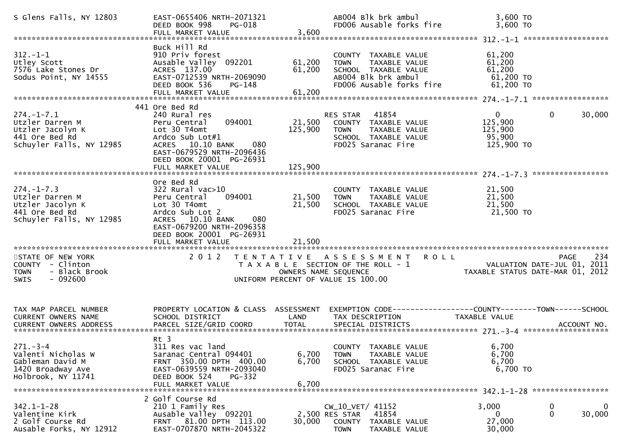| S Glens Falls, NY 12803                                                                               | EAST-0655406 NRTH-2071321<br>DEED BOOK 998<br><b>PG-018</b><br>FULL MARKET VALUE                                                                                                                      | 3,600                      | AB004 Blk brk ambul<br>FD006 Ausable forks fire                                                                                        | 3,600 TO<br>3,600 TO                                                      |                    |
|-------------------------------------------------------------------------------------------------------|-------------------------------------------------------------------------------------------------------------------------------------------------------------------------------------------------------|----------------------------|----------------------------------------------------------------------------------------------------------------------------------------|---------------------------------------------------------------------------|--------------------|
| $312. - 1 - 1$<br>Utley Scott<br>7576 Lake Stones Dr<br>Sodus Point, NY 14555                         | Buck Hill Rd<br>910 Priv forest<br>Ausable Valley 092201<br>ACRES 137.00<br>EAST-0712539 NRTH-2069090<br>DEED BOOK 536<br>PG-148<br>FULL MARKET VALUE                                                 | 61,200<br>61,200<br>61,200 | COUNTY TAXABLE VALUE<br><b>TAXABLE VALUE</b><br><b>TOWN</b><br>SCHOOL TAXABLE VALUE<br>AB004 Blk brk ambul<br>FD006 Ausable forks fire | 61,200<br>61,200<br>61,200<br>61,200 TO<br>$61,200$ TO                    |                    |
| $274. - 1 - 7.1$<br>Utzler Darren M<br>Utzler Jacolyn K<br>441 Ore Bed Rd<br>Schuyler Falls, NY 12985 | 441 Ore Bed Rd<br>240 Rural res<br>094001<br>Peru Central<br>Lot 30 T4omt<br>Ardco Sub Lot#1<br>ACRES 10.10 BANK<br>080<br>EAST-0679529 NRTH-2096436<br>DEED BOOK 20001 PG-26931<br>FULL MARKET VALUE | 125,900<br>125,900         | RES STAR 41854<br>21,500 COUNTY TAXABLE VALUE<br>TAXABLE VALUE<br><b>TOWN</b><br>SCHOOL TAXABLE VALUE<br>FD025 Saranac Fire            | $\mathbf{0}$<br>$\mathbf 0$<br>125,900<br>125,900<br>95,900<br>125,900 TO | 30,000             |
| $274. - 1 - 7.3$<br>Utzler Darren M<br>Utzler Jacolyn K<br>441 Ore Bed Rd<br>Schuyler Falls, NY 12985 | Ore Bed Rd<br>322 Rural vac>10<br>094001<br>Peru Central<br>Lot 30 T4omt<br>Ardco Sub Lot 2<br>ACRES 10.10 BANK<br>080<br>EAST-0679200 NRTH-2096358<br>DEED BOOK 20001 PG-26931                       | 21,500<br>21,500           | COUNTY TAXABLE VALUE<br>TAXABLE VALUE<br><b>TOWN</b><br>SCHOOL TAXABLE VALUE<br>FD025 Saranac Fire                                     | 21,500<br>21,500<br>21,500<br>21,500 TO                                   |                    |
| STATE OF NEW YORK<br>COUNTY - Clinton<br>- Black Brook<br>TOWN<br><b>SWIS</b><br>- 092600             | 2 0 1 2                                                                                                                                                                                               | OWNERS NAME SEQUENCE       | TENTATIVE ASSESSMENT ROLL<br>T A X A B L E SECTION OF THE ROLL - 1<br>UNIFORM PERCENT OF VALUE IS 100.00                               | VALUATION DATE-JUL 01, 2011<br>TAXABLE STATUS DATE-MAR 01, 2012           | 234<br><b>PAGE</b> |
| TAX MAP PARCEL NUMBER<br>CURRENT OWNERS NAME<br><b>CURRENT OWNERS ADDRESS</b>                         | PROPERTY LOCATION & CLASS ASSESSMENT<br>SCHOOL DISTRICT<br>PARCEL SIZE/GRID COORD                                                                                                                     | LAND<br><b>TOTAL</b>       | EXEMPTION CODE-----------------COUNTY-------TOWN------SCHOOL<br>TAX DESCRIPTION<br>SPECIAL DISTRICTS                                   | <b>TAXABLE VALUE</b>                                                      | ACCOUNT NO.        |
| $271 - 3 - 4$<br>Valenti Nicholas W<br>Gableman David M<br>1420 Broadway Ave<br>Holbrook, NY 11741    | $Rt$ 3<br>311 Res vac land<br>Saranac Central 094401<br>FRNT 350.00 DPTH 400.00<br>EAST-0639559 NRTH-2093040<br>DEED BOOK 524<br>PG-332<br>FULL MARKET VALUE                                          | 6,700<br>6,700<br>6,700    | COUNTY TAXABLE VALUE<br>TAXABLE VALUE<br><b>TOWN</b><br>SCHOOL TAXABLE VALUE<br>FD025 Saranac Fire                                     | 6,700<br>6,700<br>6,700<br>6,700 TO                                       |                    |
| $342.1 - 1 - 28$<br>Valentine Kirk<br>2 Golf Course Rd<br>Ausable Forks, NY 12912                     | 2 Golf Course Rd<br>210 1 Family Res<br>Ausable Valley 092201<br>FRNT 81.00 DPTH 113.00<br>EAST-0707870 NRTH-2045322                                                                                  | 30,000                     | CW_10_VET/ 41152<br>2,500 RES STAR<br>41854<br><b>COUNTY</b><br>TAXABLE VALUE<br>TAXABLE VALUE<br><b>TOWN</b>                          | 3,000<br>0<br>$\mathbf 0$<br>0<br>27,000<br>30,000                        | $\bf{0}$<br>30,000 |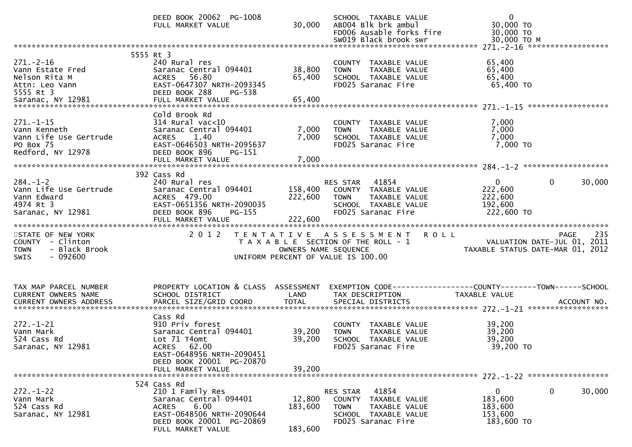|                                                                                                   | DEED BOOK 20062 PG-1008<br>FULL MARKET VALUE                                                                                                                      | 30,000                        | SCHOOL TAXABLE VALUE<br>AB004 Blk brk ambul<br>FD006 Ausable forks fire<br>SW019 Black brook swr                        | $\mathbf 0$<br>30,000 TO<br>30,000 TO<br>30,000 TO M                           |
|---------------------------------------------------------------------------------------------------|-------------------------------------------------------------------------------------------------------------------------------------------------------------------|-------------------------------|-------------------------------------------------------------------------------------------------------------------------|--------------------------------------------------------------------------------|
|                                                                                                   |                                                                                                                                                                   |                               |                                                                                                                         |                                                                                |
| $271. - 2 - 16$<br>Vann Estate Fred<br>Nelson Rita M<br>Attn: Leo Vann<br>5555 Rt 3               | 5555 Rt 3<br>240 Rural res<br>Saranac Central 094401<br>ACRES 56.80<br>EAST-0647307 NRTH-2093345<br>DEED BOOK 288<br>PG-538                                       | 38,800<br>65,400              | COUNTY TAXABLE VALUE<br>TAXABLE VALUE<br><b>TOWN</b><br>SCHOOL TAXABLE VALUE<br>FD025 Saranac Fire                      | 65,400<br>65,400<br>65,400<br>65,400 TO                                        |
| $271. - 1 - 15$<br>Vann Kenneth<br>Vann Life Use Gertrude<br>PO Box 75<br>Redford, NY 12978       | Cold Brook Rd<br>$314$ Rural vac< $10$<br>Saranac Central 094401<br>1.40<br><b>ACRES</b><br>EAST-0646503 NRTH-2095637<br>DEED BOOK 896<br>PG-151                  | 7,000<br>7,000                | COUNTY TAXABLE VALUE<br>TAXABLE VALUE<br><b>TOWN</b><br>SCHOOL TAXABLE VALUE<br>FD025 Saranac Fire                      | 7,000<br>7,000<br>7,000<br>7,000 TO                                            |
| $284. - 1 - 2$<br>Vann Life Use Gertrude<br>Vann Edward<br>4974 Rt 3<br>Saranac, NY 12981         | 392 Cass Rd<br>240 Rural res<br>Saranac Central 094401<br>ACRES 479.00<br>EAST-0651356 NRTH-2090035<br>DEED BOOK 896<br>$PG-155$<br>FULL MARKET VALUE             | 158,400<br>222,600<br>222,600 | 41854<br>RES STAR<br>COUNTY TAXABLE VALUE<br>TAXABLE VALUE<br><b>TOWN</b><br>SCHOOL TAXABLE VALUE<br>FD025 Saranac Fire | $\mathbf 0$<br>0<br>30,000<br>222,600<br>222,600<br>192,600<br>222,600 TO      |
| STATE OF NEW YORK<br>COUNTY - Clinton<br><b>TOWN</b><br>- Black Brook<br>$-092600$<br><b>SWIS</b> | 2 0 1 2                                                                                                                                                           | OWNERS NAME SEQUENCE          | <b>ROLL</b><br>TENTATIVE ASSESSMENT<br>T A X A B L E SECTION OF THE ROLL - 1<br>UNIFORM PERCENT OF VALUE IS 100.00      | 235<br>PAGE<br>VALUATION DATE-JUL 01, 2011<br>TAXABLE STATUS DATE-MAR 01, 2012 |
| TAX MAP PARCEL NUMBER<br>CURRENT OWNERS NAME                                                      | PROPERTY LOCATION & CLASS ASSESSMENT<br>SCHOOL DISTRICT                                                                                                           | LAND                          | TAX DESCRIPTION                                                                                                         | EXEMPTION CODE-----------------COUNTY-------TOWN------SCHOOL<br>TAXABLE VALUE  |
| $272. - 1 - 21$<br>Vann Mark<br>524 Cass Rd<br>Saranac, NY 12981                                  | Cass Rd<br>910 Priv forest<br>Saranac Central 094401<br>Lot 71 T4omt<br>ACRES 62.00<br>EAST-0648956 NRTH-2090451<br>DEED BOOK 20001 PG-20870<br>FULL MARKET VALUE | 39,200<br>39,200<br>39,200    | COUNTY TAXABLE VALUE<br>TAXABLE VALUE<br><b>TOWN</b><br>SCHOOL TAXABLE VALUE<br>FD025 Saranac Fire                      | 39,200<br>39,200<br>39,200<br>39,200 TO                                        |
| $272. - 1 - 22$<br>Vann Mark<br>524 Cass Rd<br>Saranac, NY 12981                                  | 524 Cass Rd<br>210 1 Family Res<br>Saranac Central 094401<br>6.00<br><b>ACRES</b><br>EAST-0648506 NRTH-2090644<br>DEED BOOK 20001 PG-20869<br>FULL MARKET VALUE   | 12,800<br>183,600<br>183,600  | 41854<br>RES STAR<br>COUNTY TAXABLE VALUE<br><b>TOWN</b><br>TAXABLE VALUE<br>SCHOOL TAXABLE VALUE<br>FD025 Saranac Fire | 0<br>$\mathbf{0}$<br>30,000<br>183,600<br>183,600<br>153,600<br>183,600 TO     |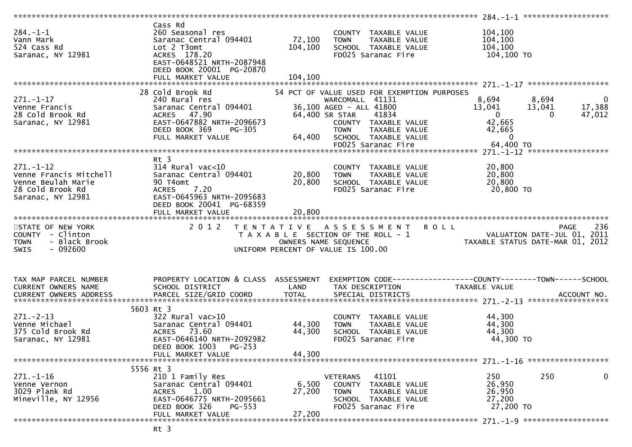|                                                                                                          |                                                                                                                                                                        |                              |                                                                                                                                                                                                                            | 284.-1-1 *********************                                                                                                                   |
|----------------------------------------------------------------------------------------------------------|------------------------------------------------------------------------------------------------------------------------------------------------------------------------|------------------------------|----------------------------------------------------------------------------------------------------------------------------------------------------------------------------------------------------------------------------|--------------------------------------------------------------------------------------------------------------------------------------------------|
| $284. - 1 - 1$<br>Vann Mark<br>524 Cass Rd<br>Saranac, NY 12981                                          | Cass Rd<br>260 Seasonal res<br>Saranac Central 094401<br>Lot 2 T3omt<br>ACRES 178.20<br>EAST-0648521 NRTH-2087948<br>DEED BOOK 20001 PG-20870<br>FULL MARKET VALUE     | 72,100<br>104,100<br>104,100 | COUNTY TAXABLE VALUE<br>TAXABLE VALUE<br><b>TOWN</b><br>SCHOOL TAXABLE VALUE<br>FD025 Saranac Fire                                                                                                                         | 104,100<br>104,100<br>104,100<br>104,100 TO                                                                                                      |
|                                                                                                          |                                                                                                                                                                        |                              |                                                                                                                                                                                                                            |                                                                                                                                                  |
| $271. - 1 - 17$<br>Venne Francis<br>28 Cold Brook Rd<br>Saranac, NY 12981                                | 28 Cold Brook Rd<br>240 Rural res<br>Saranac Central 094401<br>ACRES 47.90<br>EAST-0647882 NRTH-2096673<br>DEED BOOK 369<br>$PG-305$<br>FULL MARKET VALUE              | 64,400                       | 54 PCT OF VALUE USED FOR EXEMPTION PURPOSES<br>WARCOMALL 41131<br>36,100 AGED - ALL 41800<br>41834<br>64,400 SR STAR<br>COUNTY TAXABLE VALUE<br>TAXABLE VALUE<br><b>TOWN</b><br>SCHOOL TAXABLE VALUE<br>FD025 Saranac Fire | 8,694<br>$\mathbf 0$<br>8,694<br>17,388<br>13,041<br>13,041<br>$\overline{0}$<br>47,012<br>$\Omega$<br>42,665<br>42,665<br>$\Omega$<br>64,400 TO |
|                                                                                                          |                                                                                                                                                                        |                              |                                                                                                                                                                                                                            |                                                                                                                                                  |
| $271. - 1 - 12$<br>Venne Francis Mitchell<br>Venne Beulah Marie<br>28 Cold Brook Rd<br>Saranac, NY 12981 | Rt 3<br>$314$ Rural vac<10<br>Saranac Central 094401<br>90 T4omt<br><b>ACRES</b><br>7.20<br>EAST-0645963 NRTH-2095683<br>DEED BOOK 20041 PG-68359<br>FULL MARKET VALUE | 20,800<br>20,800<br>20,800   | COUNTY TAXABLE VALUE<br>TAXABLE VALUE<br><b>TOWN</b><br>SCHOOL TAXABLE VALUE<br>FD025 Saranac Fire                                                                                                                         | 20,800<br>20,800<br>20,800<br>20,800 TO                                                                                                          |
|                                                                                                          |                                                                                                                                                                        |                              |                                                                                                                                                                                                                            |                                                                                                                                                  |
|                                                                                                          |                                                                                                                                                                        |                              |                                                                                                                                                                                                                            |                                                                                                                                                  |
| STATE OF NEW YORK<br>COUNTY - Clinton<br>- Black Brook<br><b>TOWN</b><br>$-092600$<br><b>SWIS</b>        | 2 0 1 2                                                                                                                                                                | T E N T A T I V E            | A S S E S S M E N T<br>T A X A B L E SECTION OF THE ROLL - 1<br>OWNERS NAME SEQUENCE<br>UNIFORM PERCENT OF VALUE IS 100.00                                                                                                 | 236<br><b>ROLL</b><br><b>PAGE</b><br>VALUATION DATE-JUL 01, 2011<br>TAXABLE STATUS DATE-MAR 01, 2012                                             |
| TAX MAP PARCEL NUMBER<br>CURRENT OWNERS NAME<br>CURRENT OWNERS ADDRESS                                   | PROPERTY LOCATION & CLASS ASSESSMENT<br>SCHOOL DISTRICT<br>PARCEL SIZE/GRID COORD                                                                                      | LAND<br><b>TOTAL</b>         | TAX DESCRIPTION<br>SPECIAL DISTRICTS                                                                                                                                                                                       | TAXABLE VALUE<br>ACCOUNT NO.                                                                                                                     |
| $271. - 2 - 13$<br>Venne Michael<br>375 Cold Brook Rd<br>Saranac, NY 12981                               | 5603 Rt 3<br>$322$ Rural vac $>10$<br>Saranac Central 094401<br><b>ACRES</b><br>73.60<br>EAST-0646140 NRTH-2092982<br>DEED BOOK 1003<br>PG-253                         | 44,300<br>44,300             | COUNTY TAXABLE VALUE<br>TAXABLE VALUE<br><b>TOWN</b><br>SCHOOL TAXABLE VALUE<br>FD025 Saranac Fire                                                                                                                         | 44,300<br>44,300<br>44,300<br>44,300 TO                                                                                                          |
|                                                                                                          | FULL MARKET VALUE                                                                                                                                                      | 44,300                       |                                                                                                                                                                                                                            |                                                                                                                                                  |
| $271. - 1 - 16$<br>Venne Vernon<br>3029 Plank Rd<br>Mineville, NY 12956                                  | 5556 Rt 3<br>210 1 Family Res<br>Saranac Central 094401<br><b>ACRES</b><br>1.00<br>EAST-0646775 NRTH-2095661<br>DEED BOOK 326<br>PG-553<br>FULL MARKET VALUE           | 6,500<br>27,200<br>27,200    | 41101<br><b>VETERANS</b><br>TAXABLE VALUE<br>COUNTY<br><b>TOWN</b><br>TAXABLE VALUE<br>SCHOOL TAXABLE VALUE<br>FD025 Saranac Fire                                                                                          | 250<br>250<br>0<br>26,950<br>26,950<br>27,200<br>27,200 TO                                                                                       |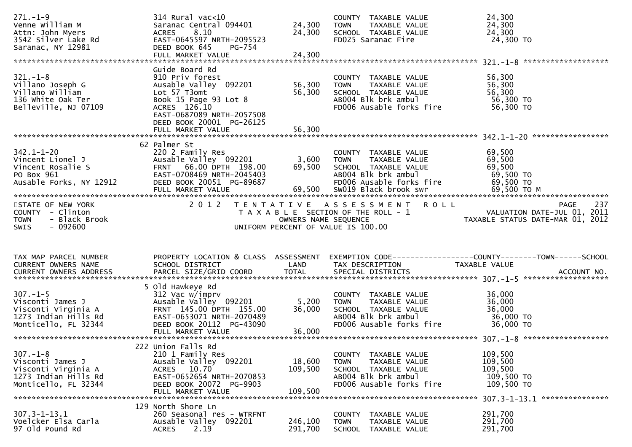| $271. - 1 - 9$<br>Venne William M<br>Attn: John Myers<br>3542 Silver Lake Rd<br>Saranac, NY 12981                | $314$ Rural vac<10<br>Saranac Central 094401<br>ACRES 8.10<br>EAST-0645597 NRTH-2095523<br>DEED BOOK 645<br>PG-754                                                           | 24,300<br>24,300             | COUNTY TAXABLE VALUE<br>TAXABLE VALUE<br><b>TOWN</b><br>SCHOOL TAXABLE VALUE<br>FD025 Saranac Fire                                        | 24,300<br>24,300<br>24,300<br>24,300 TO                                                                                                                                              |
|------------------------------------------------------------------------------------------------------------------|------------------------------------------------------------------------------------------------------------------------------------------------------------------------------|------------------------------|-------------------------------------------------------------------------------------------------------------------------------------------|--------------------------------------------------------------------------------------------------------------------------------------------------------------------------------------|
| $321 - 1 - 8$<br>Villano Joseph G<br>Villano William<br>136 White Oak Ter<br>Belleville, NJ 07109                | Guide Board Rd<br>910 Priv forest<br>Ausable Valley 092201<br>Lot 57 T3omt<br>Book 15 Page 93 Lot 8<br>ACRES 126.10<br>EAST-0687089 NRTH-2057508<br>DEED BOOK 20001 PG-26125 | 56,300<br>56,300             | COUNTY TAXABLE VALUE<br>TAXABLE VALUE<br><b>TOWN</b><br>SCHOOL TAXABLE VALUE<br>ABOO4 Blk brk ambul<br>FD006 Ausable forks fire           | 56,300<br>56,300<br>56,300<br>56,300 TO<br>56,300 TO                                                                                                                                 |
| $342.1 - 1 - 20$<br>Vincent Lionel J<br>Vincent Rosalie S<br>PO Box 961<br>PO Box 961<br>Ausable Forks, NY 12912 | 62 Palmer St<br>220 2 Family Res<br>Ausable Valley 092201<br>FRNT 66.00 DPTH 198.00<br>EAST-0708469 NRTH-2045403<br>DEED BOOK 20051 PG-89687                                 | 3,600<br>69,500              | COUNTY TAXABLE VALUE<br>TAXABLE VALUE<br>TOWN<br>HAABLE VALUE<br>ABOO4 Blk brk ambul<br>FDOO6 Aussel<br>FD006 Ausable forks fire          | 69,500<br>69,500<br>69,500<br>69,500 TO<br>69,500 TO                                                                                                                                 |
| STATE OF NEW YORK<br>COUNTY - Clinton<br>- Black Brook<br><b>TOWN</b><br><b>SWIS</b><br>- 092600                 | 2012                                                                                                                                                                         | OWNERS NAME SEQUENCE         | TENTATIVE ASSESSMENT ROLL<br>UNIFORM PERCENT OF VALUE IS 100.00                                                                           | 237<br><b>PAGE</b><br>T A X A B L E SECTION OF THE ROLL - 1 VALUATION DATE-JUL 01, 2011<br>OWNERS NAME SFOUENCE TAXARIE STATIIS DATE-MAR 01 2012<br>TAXABLE STATUS DATE-MAR 01, 2012 |
| TAX MAP PARCEL NUMBER<br>CURRENT OWNERS NAME                                                                     | SCHOOL DISTRICT                                                                                                                                                              | LAND                         | TAX DESCRIPTION                                                                                                                           | PROPERTY LOCATION & CLASS ASSESSMENT EXEMPTION CODE----------------COUNTY-------TOWN------SCHOOL<br>TAXABLE VALUE                                                                    |
| $307. - 1 - 5$<br>1273 Indian Hills Rd<br>Monticello, FL 32344                                                   | 5 Old Hawkeye Rd<br>312 Vac w/imprv<br>EAST-0653071 NRTH-2070489<br>DEED BOOK 20112 PG-43090<br>FULL MARKET VALUE                                                            | 5,200<br>36,000<br>36,000    | COUNTY TAXABLE VALUE<br>TOWN TAXABLE VALUE<br>SCHOOL TAXABLE VALUE<br>ABOO4 Blk brk ambul<br>FD006 Ausable forks fire                     | 36,000<br>36,000<br>36,000<br>36,000 TO<br>36,000 TO                                                                                                                                 |
| $307. - 1 - 8$<br>Visconti James J<br>Visconti Virginia A<br>1273 Indian Hills Rd<br>Monticello, FL 32344        | 222 Union Falls Rd<br>210 1 Family Res<br>Ausable Valley 092201<br>ACRES 10.70<br>EAST-0652654 NRTH-2070853<br>DEED BOOK 20072 PG-9903<br>FULL MARKET VALUE                  | 18,600<br>109,500<br>109,500 | TAXABLE VALUE<br><b>COUNTY</b><br><b>TOWN</b><br>TAXABLE VALUE<br>SCHOOL TAXABLE VALUE<br>AB004 Blk brk ambul<br>FD006 Ausable forks fire | 109,500<br>109,500<br>109,500<br>109,500 TO<br>109,500 TO<br>307.3-1-13.1 ****************                                                                                           |
| $307.3 - 1 - 13.1$<br>Voelcker Elsa Carla                                                                        | 129 North Shore Ln<br>260 Seasonal res - WTRFNT                                                                                                                              |                              | <b>COUNTY</b><br>TAXABLE VALUE                                                                                                            | 291,700                                                                                                                                                                              |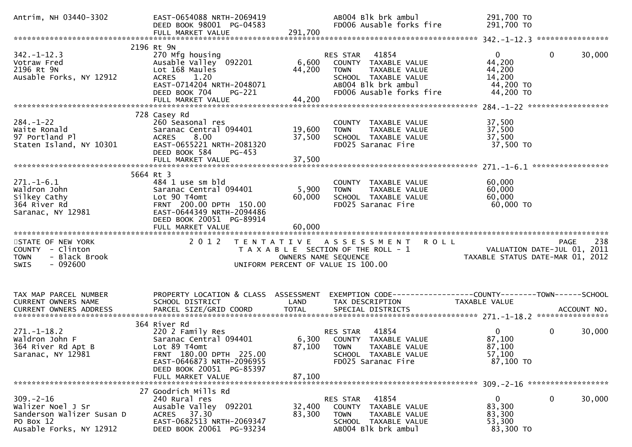| Antrim, NH 03440-3302                                                                                     | EAST-0654088 NRTH-2069419<br>DEED BOOK 98001 PG-04583<br>FULL MARKET VALUE                                                                                                          | 291,700                    | AB004 Blk brk ambul<br>FD006 Ausable forks fire                                                                                                      | 291,700 TO<br>291,700 TO                                             |                                                                                |
|-----------------------------------------------------------------------------------------------------------|-------------------------------------------------------------------------------------------------------------------------------------------------------------------------------------|----------------------------|------------------------------------------------------------------------------------------------------------------------------------------------------|----------------------------------------------------------------------|--------------------------------------------------------------------------------|
|                                                                                                           |                                                                                                                                                                                     |                            |                                                                                                                                                      |                                                                      |                                                                                |
| $342 - 1 - 12.3$<br>Votraw Fred<br>2196 Rt 9N<br>Ausable Forks, NY 12912                                  | 2196 Rt 9N<br>270 Mfg housing<br>Ausable Valley 092201<br>Lot 168 Maules<br>ACRES 1.20<br>EAST-0714204 NRTH-2048071<br>DEED BOOK 704<br>PG-221                                      | 6,600<br>44,200            | 41854<br>RES STAR<br>COUNTY TAXABLE VALUE<br><b>TOWN</b><br>TAXABLE VALUE<br>SCHOOL TAXABLE VALUE<br>AB004 Blk brk ambul<br>FD006 Ausable forks fire | $\mathbf{0}$<br>44,200<br>44,200<br>14,200<br>44,200 TO<br>44,200 TO | $\mathbf{0}$<br>30,000                                                         |
|                                                                                                           |                                                                                                                                                                                     |                            |                                                                                                                                                      |                                                                      |                                                                                |
| $284. - 1 - 22$<br>Waite Ronald<br>97 Portland Pl<br>Staten Island, NY 10301                              | 728 Casey Rd<br>260 Seasonal res<br>Saranac Central 094401<br>8.00<br><b>ACRES</b><br>EAST-0655221 NRTH-2081320<br>DEED BOOK 584<br>PG-453                                          | 19,600<br>37,500<br>37,500 | COUNTY TAXABLE VALUE<br><b>TOWN</b><br>TAXABLE VALUE<br>SCHOOL TAXABLE VALUE<br>FD025 Saranac Fire                                                   | 37,500<br>37,500<br>37,500<br>37,500 TO                              |                                                                                |
|                                                                                                           | FULL MARKET VALUE                                                                                                                                                                   |                            |                                                                                                                                                      |                                                                      |                                                                                |
| $271.-1-6.1$<br>Waldron John<br>Silkey Cathy<br>364 River Rd<br>Saranac, NY 12981                         | 5664 Rt 3<br>484 1 use sm bld<br>Saranac Central 094401<br>Lot 90 T4omt<br>FRNT 200.00 DPTH 150.00<br>EAST-0644349 NRTH-2094486<br>DEED BOOK 20051 PG-89914<br>FULL MARKET VALUE    | 5,900<br>60,000<br>60,000  | COUNTY TAXABLE VALUE<br>TAXABLE VALUE<br><b>TOWN</b><br>SCHOOL TAXABLE VALUE<br>FD025 Saranac Fire                                                   | 60,000<br>60,000<br>60,000<br>60,000 TO                              |                                                                                |
| STATE OF NEW YORK<br>COUNTY - Clinton<br><b>TOWN</b><br>- Black Brook<br>$-092600$<br><b>SWIS</b>         | 2 0 1 2                                                                                                                                                                             |                            | TENTATIVE ASSESSMENT ROLL<br>T A X A B L E SECTION OF THE ROLL - 1<br>OWNERS NAME SEQUENCE<br>UNIFORM PERCENT OF VALUE IS 100.00                     |                                                                      | 238<br>PAGE<br>VALUATION DATE-JUL 01, 2011<br>TAXABLE STATUS DATE-MAR 01, 2012 |
| TAX MAP PARCEL NUMBER<br>CURRENT OWNERS NAME                                                              | PROPERTY LOCATION & CLASS ASSESSMENT<br>SCHOOL DISTRICT                                                                                                                             | LAND                       | EXEMPTION CODE------------------COUNTY--------TOWN------SCHOOL<br>TAX DESCRIPTION                                                                    | TAXABLE VALUE                                                        |                                                                                |
| $271. - 1 - 18.2$<br>Waldron John F<br>364 River Rd Apt B<br>Saranac, NY 12981                            | 364 River Rd<br>220 2 Family Res<br>Saranac Central 094401<br>Lot 89 T4omt<br>FRNT 180.00 DPTH 225.00<br>EAST-0646873 NRTH-2096955<br>DEED BOOK 20051 PG-85397<br>FULL MARKET VALUE | 87,100<br>87,100           | RES STAR 41854<br>6,300 COUNTY TAXABLE VALUE<br><b>TOWN</b><br>TAXABLE VALUE<br>SCHOOL TAXABLE VALUE<br>FD025 Saranac Fire                           | $\mathbf{0}$<br>87,100<br>87,100<br>57,100<br>87,100 TO              | 0<br>30,000                                                                    |
|                                                                                                           | 27 Goodrich Mills Rd                                                                                                                                                                |                            |                                                                                                                                                      |                                                                      |                                                                                |
| $309. - 2 - 16$<br>Walizer Noel J Sr<br>Sanderson Walizer Susan D<br>PO Box 12<br>Ausable Forks, NY 12912 | 240 Rural res<br>Ausable Valley 092201<br>ACRES 37.30<br>EAST-0682513 NRTH-2069347<br>DEED BOOK 20061 PG-93234                                                                      | 32,400<br>83,300           | RES STAR 41854<br>COUNTY TAXABLE VALUE<br>TAXABLE VALUE<br><b>TOWN</b><br>SCHOOL TAXABLE VALUE<br>AB004 Blk brk ambul                                | 0<br>83,300<br>83,300<br>53,300<br>83,300 TO                         | 0<br>30,000                                                                    |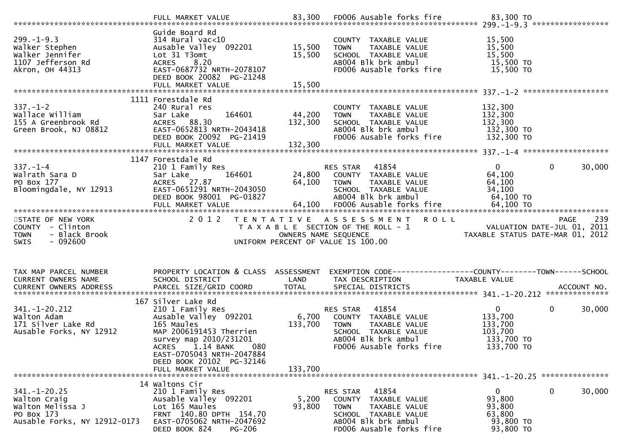| $299. - 1 - 9.3$<br>Walker Stephen<br>Walker Jennifer<br>1107 Jefferson Rd<br>Akron, OH 44313        | Guide Board Rd<br>$314$ Rural vac<10<br>Ausable Valley 092201 15,500<br>Lot 31 T3omt<br>ACRES 8.20<br>EAST-0687732 NRTH-2078107<br>DEED BOOK 20082 PG-21248                                                                                                                  | 15,500                       | COUNTY TAXABLE VALUE<br><b>TOWN</b><br>TAXABLE VALUE<br>SCHOOL TAXABLE VALUE<br>ABOO4 Blk brk ambul<br>FD006 Ausable forks fire                                        | 15,500<br>15,500<br>15,500<br>15,500 TO                                   |                       |
|------------------------------------------------------------------------------------------------------|------------------------------------------------------------------------------------------------------------------------------------------------------------------------------------------------------------------------------------------------------------------------------|------------------------------|------------------------------------------------------------------------------------------------------------------------------------------------------------------------|---------------------------------------------------------------------------|-----------------------|
|                                                                                                      | 1111 Forestdale Rd                                                                                                                                                                                                                                                           |                              |                                                                                                                                                                        |                                                                           |                       |
| $337. - 1 - 2$<br>Wallace William<br>155 A Greenbrook Rd<br>Green Brook, NJ 08812                    | 240 Rural res<br>164601<br>Sar Lake<br>FULL MARKET VALUE                                                                                                                                                                                                                     | 44,200<br>132,300<br>132,300 | COUNTY TAXABLE VALUE<br>TAXABLE VALUE<br><b>TOWN</b><br>SCHOOL TAXABLE VALUE<br>ABOO4 Blk brk ambul<br>FD006 Ausable forks fire                                        | 132,300<br>132,300<br>132,300<br>132,300 TO<br>132,300 TO                 |                       |
|                                                                                                      | 1147 Forestdale Rd                                                                                                                                                                                                                                                           |                              |                                                                                                                                                                        |                                                                           |                       |
| $337. - 1 - 4$<br>Walrath Sara D<br>PO Box 177<br>Bloomingdale, NY 12913                             | 210 1 Family Res<br>164601<br>Sar Lake<br>ACRES 27.87<br>EAST-0651291 NRTH-2043050<br>DEED BOOK 98001 PG-01827                                                                                                                                                               |                              | RES STAR    41854<br>24,800    COUNTY   TAXABLE VALUE<br>64,100    TOWN      TAXABLE VALUE<br>SCHOOL TAXABLE VALUE<br>ABOO4 Blk brk ambul                              | $0 \qquad \qquad$<br>64,100<br>64,100<br>34,100<br>64,100 TO              | $\mathbf 0$<br>30,000 |
|                                                                                                      |                                                                                                                                                                                                                                                                              |                              |                                                                                                                                                                        |                                                                           |                       |
| STATE OF NEW YORK<br>COUNTY - Clinton<br>- Black Brook<br><b>TOWN</b><br><b>SWIS</b><br>- 092600     | 2 0 1 2                                                                                                                                                                                                                                                                      |                              | TENTATIVE ASSESSMENT ROLL<br>T A X A B L E SECTION OF THE ROLL - 1<br>OWNERS NAME SEQUENCE<br>JNIFORM PERCENT OF VALUE IS 100.00<br>UNIFORM PERCENT OF VALUE IS 100.00 |                                                                           |                       |
| TAX MAP PARCEL NUMBER<br>CURRENT OWNERS NAME                                                         | PROPERTY LOCATION & CLASS ASSESSMENT<br>SCHOOL DISTRICT                                                                                                                                                                                                                      | LAND                         | EXEMPTION CODE-----------------COUNTY-------TOWN-----SCHOOL<br>TAX DESCRIPTION                                                                                         | TAXABLE VALUE                                                             |                       |
| $341. - 1 - 20.212$<br>Walton Adam<br>171 Silver Lake Rd<br>Ausable Forks, NY 12912                  | 167 Silver Lake Rd<br>210 1 Family Res                        RE<br>Ausable Valley  092201             6,700<br>165 Maules<br>MAP 2006191453 Therrien<br>survey map 2010/231201<br>1.14 BANK<br>080<br><b>ACRES</b><br>EAST-0705043 NRTH-2047884<br>DEED BOOK 20102 PG-32146 | 133,700                      | RES STAR<br>41854<br>COUNTY TAXABLE VALUE<br><b>TOWN</b><br>TAXABLE VALUE<br>SCHOOL TAXABLE VALUE<br>AB004 Blk brk ambul<br>FD006 Ausable forks fire                   | $\mathbf{0}$<br>133,700<br>133,700<br>103,700<br>133,700 TO<br>133,700 TO | $\mathbf 0$<br>30,000 |
|                                                                                                      | FULL MARKET VALUE                                                                                                                                                                                                                                                            | 133,700                      |                                                                                                                                                                        |                                                                           |                       |
| $341. - 1 - 20.25$<br>Walton Craig<br>Walton Melissa J<br>PO Box 173<br>Ausable Forks, NY 12912-0173 | 14 Waltons Cir<br>210 1 Family Res<br>Ausable Valley 092201<br>Lot 165 Maules<br>FRNT 140.80 DPTH 154.70<br>EAST-0705062 NRTH-2047692<br>DEED BOOK 824<br>PG-206                                                                                                             | 5,200<br>93,800              | 41854<br>RES STAR<br>COUNTY<br>TAXABLE VALUE<br><b>TOWN</b><br>TAXABLE VALUE<br>SCHOOL TAXABLE VALUE<br>AB004 Blk brk ambul<br>FD006 Ausable forks fire                | $\mathbf{0}$<br>93,800<br>93,800<br>63,800<br>93,800 TO<br>93,800 TO      | $\mathbf 0$<br>30,000 |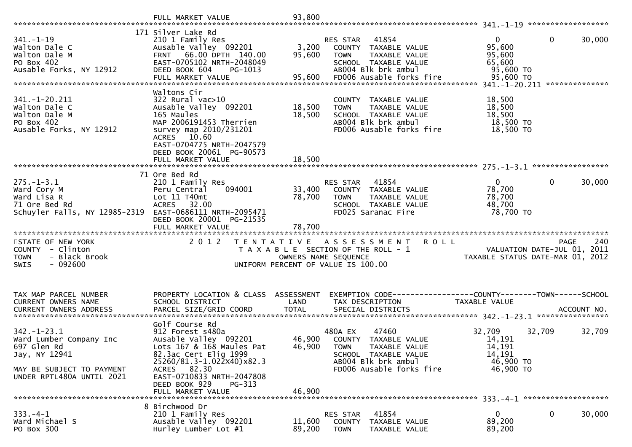|                                                                                                                                       | FULL MARKET VALUE                                                                                                                                                                                                                          | 93,800                     |                                                                                                                                                            |                                                                          |                        |
|---------------------------------------------------------------------------------------------------------------------------------------|--------------------------------------------------------------------------------------------------------------------------------------------------------------------------------------------------------------------------------------------|----------------------------|------------------------------------------------------------------------------------------------------------------------------------------------------------|--------------------------------------------------------------------------|------------------------|
| $341. - 1 - 19$<br>Walton Dale C<br>Walton Dale M<br>PO Box 402<br>Ausable Forks, NY 12912                                            | 171 Silver Lake Rd<br>210 1 Family Res<br>Ausable Valley 092201<br>FRNT 66.00 DPTH 140.00<br>EAST-0705102 NRTH-2048049<br>DEED BOOK 604<br>PG-1013<br>FULL MARKET VALUE                                                                    | 3,200<br>95,600<br>95,600  | RES STAR<br>41854<br>COUNTY TAXABLE VALUE<br><b>TOWN</b><br>TAXABLE VALUE<br>SCHOOL TAXABLE VALUE<br>AB004 Blk brk ambul<br>FD006 Ausable forks fire       | $\mathbf{0}$<br>95,600<br>95,600<br>65,600<br>95,600 TO<br>95,600 TO     | $\mathbf 0$<br>30,000  |
| 341. -1 -20. 211<br>Walton Dale C<br>Walton Dale M<br>PO Box 402<br>Ausable Forks, NY 12912                                           | Waltons Cir<br>$322$ Rural vac $>10$<br>Ausable Valley 092201<br>165 Maules<br>MAP 2006191453 Therrien<br>survey map 2010/231201<br>ACRES 10.60<br>EAST-0704775 NRTH-2047579<br>DEED BOOK 20061 PG-90573<br>FULL MARKET VALUE              | 18,500<br>18,500<br>18,500 | COUNTY TAXABLE VALUE<br>TAXABLE VALUE<br><b>TOWN</b><br>SCHOOL TAXABLE VALUE<br>AB004 Blk brk ambul<br>FD006 Ausable forks fire                            | 18,500<br>18,500<br>18,500<br>18,500 TO<br>18,500 TO                     |                        |
|                                                                                                                                       | 71 Ore Bed Rd                                                                                                                                                                                                                              |                            |                                                                                                                                                            |                                                                          |                        |
| $275. - 1 - 3.1$<br>Ward Cory M<br>Ward Lisa R<br>71 Ore Bed Rd<br>Schuyler Falls, NY 12985-2319                                      | 210 1 Family Res<br>094001<br>Peru Central<br>Lot 11 T40mt<br>ACRES 32.00<br>EAST-0686111 NRTH-2095471<br>DEED BOOK 20001 PG-21535                                                                                                         | 33,400<br>78,700           | 41854<br>RES STAR<br>COUNTY TAXABLE VALUE<br><b>TOWN</b><br>TAXABLE VALUE<br>SCHOOL TAXABLE VALUE<br>FD025 Saranac Fire                                    | $\overline{0}$<br>78,700<br>78,700<br>48,700<br>78,700 TO                | $\mathbf{0}$<br>30,000 |
| STATE OF NEW YORK<br>COUNTY - Clinton<br>- Black Brook<br><b>TOWN</b><br>$-092600$<br><b>SWIS</b>                                     | 2 0 1 2                                                                                                                                                                                                                                    |                            | TENTATIVE ASSESSMENT ROLL<br>T A X A B L E SECTION OF THE ROLL - 1<br>OWNERS NAME SEQUENCE<br>UNIFORM PERCENT OF VALUE IS 100.00                           | VALUATION DATE-JUL 01, 2011<br>TAXABLE STATUS DATE-MAR 01, 2012          | 240<br><b>PAGE</b>     |
| TAX MAP PARCEL NUMBER<br>CURRENT OWNERS NAME                                                                                          | PROPERTY LOCATION & CLASS ASSESSMENT<br>SCHOOL DISTRICT                                                                                                                                                                                    | LAND                       | TAX DESCRIPTION                                                                                                                                            | TAXABLE VALUE                                                            |                        |
| $342 - 1 - 23.1$<br>Ward Lumber Company Inc<br>697 Glen Rd<br>Jay, NY 12941<br>MAY BE SUBJECT TO PAYMENT<br>UNDER RPTL480A UNTIL 2021 | Golf Course Rd<br>912 Forest s480a<br>Ausable Valley 092201<br>Lots 167 & 168 Maules Pat<br>82.3ac Cert Elig 1999<br>25260/81.3-1.022x40)x82.3<br>ACRES 82.30<br>EAST-0710833 NRTH-2047808<br>DEED BOOK 929<br>PG-313<br>FULL MARKET VALUE | 46,900<br>46,900           | 480A EX<br>47460<br>46,900 COUNTY TAXABLE VALUE<br><b>TOWN</b><br>TAXABLE VALUE<br>SCHOOL TAXABLE VALUE<br>AB004 Blk brk ambul<br>FD006 Ausable forks fire | 32,709<br>32,709<br>14,191<br>14,191<br>14,191<br>46,900 TO<br>46,900 TO | 32,709                 |
|                                                                                                                                       | 8 Birchwood Dr                                                                                                                                                                                                                             |                            |                                                                                                                                                            |                                                                          |                        |
| $333. -4 - 1$<br>Ward Michael S<br>PO Box 300                                                                                         | 210 1 Family Res<br>Ausable Valley 092201<br>Hurley Lumber Lot #1                                                                                                                                                                          | 11,600<br>89,200           | 41854<br>RES STAR<br>COUNTY<br>TAXABLE VALUE<br><b>TOWN</b><br>TAXABLE VALUE                                                                               | $\bf{0}$<br>89,200<br>89,200                                             | $\bf{0}$<br>30,000     |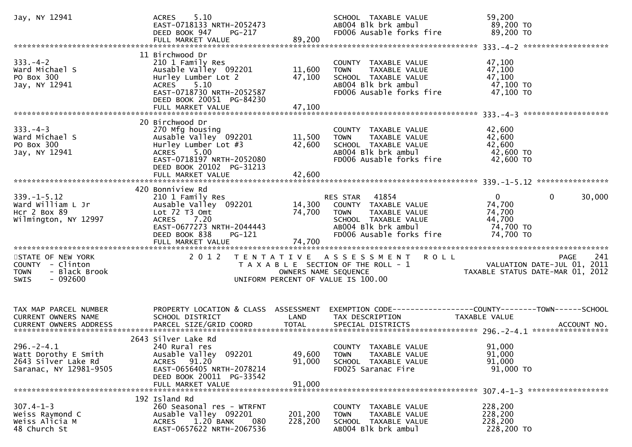| Jay, NY 12941                                                                                     | 5.10<br><b>ACRES</b><br>EAST-0718133 NRTH-2052473<br>DEED BOOK 947<br>PG-217<br>FULL MARKET VALUE                                                                                  | 89,200                     | SCHOOL TAXABLE VALUE<br>AB004 Blk brk ambul<br>FD006 Ausable forks fire                                                                    | 59,200<br>89,200 TO<br>89,200 TO                                                               |
|---------------------------------------------------------------------------------------------------|------------------------------------------------------------------------------------------------------------------------------------------------------------------------------------|----------------------------|--------------------------------------------------------------------------------------------------------------------------------------------|------------------------------------------------------------------------------------------------|
| $333. - 4 - 2$<br>Ward Michael S<br>PO Box 300<br>Jay, NY 12941                                   | 11 Birchwood Dr<br>210 1 Family Res<br>Ausable Valley 092201<br>Hurley Lumber Lot 2<br>ACRES 5.10<br>EAST-0718730 NRTH-2052587<br>DEED BOOK 20051 PG-84230<br>FULL MARKET VALUE    | 11,600<br>47,100<br>47,100 | COUNTY TAXABLE VALUE<br>TAXABLE VALUE<br><b>TOWN</b><br>SCHOOL TAXABLE VALUE<br>ABOO4 Blk brk ambul<br>FD006 Ausable forks fire            | 47,100<br>47,100<br>47,100<br>47,100 TO<br>47,100 TO                                           |
| $333. -4 -3$<br>Ward Michael S<br>PO Box 300<br>Jay, NY 12941                                     | 20 Birchwood Dr<br>270 Mfg housing<br>Ausable Valley 092201<br>Hurley Lumber Lot #3<br>5.00<br>ACRES<br>EAST-0718197 NRTH-2052080<br>DEED BOOK 20102 PG-31213<br>FULL MARKET VALUE | 11,500<br>42,600<br>42,600 | COUNTY TAXABLE VALUE<br><b>TOWN</b><br>TAXABLE VALUE<br>SCHOOL TAXABLE VALUE<br>AB004 Blk brk ambul<br>FD006 Ausable forks fire            | 42,600<br>42,600<br>42,600<br>42,600 TO<br>42,600 TO                                           |
| $339. - 1 - 5.12$<br>Ward William L Jr<br>Hcr 2 Box 89<br>Wilmington, NY 12997                    | 420 Bonniview Rd<br>210 1 Family Res<br>Ausable Valley 092201<br>Lot 72 T3 Omt<br>ACRES 7.20<br>EAST-0677273 NRTH-2044443<br>DEED BOOK 838<br>PG-121                               | 14,300<br>74,700           | RES STAR 41854<br>COUNTY TAXABLE VALUE<br>TAXABLE VALUE<br>TOWN<br>SCHOOL TAXABLE VALUE<br>ABOO4 Blk brk ambul<br>FD006 Ausable forks fire | $\mathbf{0}$<br>$\mathbf{0}$<br>30,000<br>74,700<br>74,700<br>44,700<br>74,700 TO<br>74,700 TO |
| STATE OF NEW YORK<br>COUNTY - Clinton<br>- Black Brook<br><b>TOWN</b><br>$-092600$<br><b>SWIS</b> |                                                                                                                                                                                    | OWNERS NAME SEQUENCE       | 2012 TENTATIVE ASSESSMENT ROLL<br>T A X A B L E SECTION OF THE ROLL - 1<br>UNIFORM PERCENT OF VALUE IS 100.00                              | 241<br><b>PAGE</b><br>VALUATION DATE-JUL 01, 2011<br>TAXABLE STATUS DATE-MAR 01, 2012          |
| TAX MAP PARCEL NUMBER<br>CURRENT OWNERS NAME                                                      | PROPERTY LOCATION & CLASS ASSESSMENT<br>SCHOOL DISTRICT                                                                                                                            | LAND                       | TAX DESCRIPTION                                                                                                                            | EXEMPTION CODE-----------------COUNTY--------TOWN------SCHOOL<br>TAXABLE VALUE                 |
| $296. -2 - 4.1$<br>Watt Dorothy E Smith<br>2643 Silver Lake Rd<br>Saranac, NY 12981-9505          | 2643 Silver Lake Rd<br>240 Rural res<br>Ausable Valley 092201<br>ACRES 91.20<br>EAST-0656405 NRTH-2078214<br>DEED BOOK 20011 PG-33542<br>FULL MARKET VALUE                         | 49,600<br>91,000<br>91,000 | COUNTY TAXABLE VALUE<br>TAXABLE VALUE<br><b>TOWN</b><br>SCHOOL TAXABLE VALUE<br>FD025 Saranac Fire                                         | 91,000<br>91,000<br>91,000<br>91,000 TO                                                        |
| $307.4 - 1 - 3$<br>Weiss Raymond C<br>Weiss Alicia M<br>48 Church St                              | 192 Island Rd<br>260 Seasonal res - WTRFNT<br>Ausable Valley 092201<br>1.20 BANK<br><b>ACRES</b><br>080<br>EAST-0657622 NRTH-2067536                                               | 201,200<br>228,200         | COUNTY TAXABLE VALUE<br>TAXABLE VALUE<br><b>TOWN</b><br>SCHOOL TAXABLE VALUE<br>AB004 Blk brk ambul                                        | 228,200<br>228,200<br>228,200<br>228,200 TO                                                    |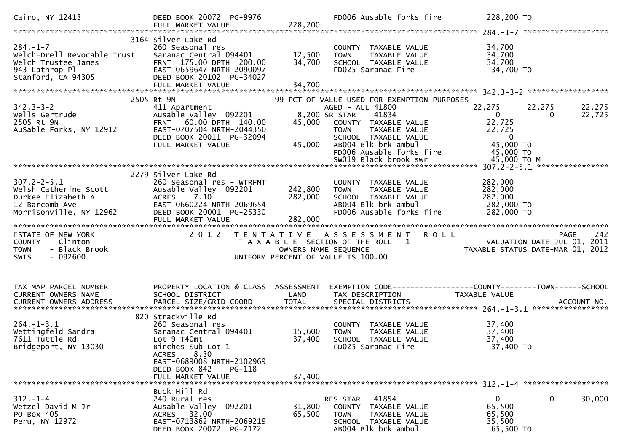| 3164 Silver Lake Rd<br>$284. - 1 - 7$<br>34,700<br>260 Seasonal res<br>COUNTY TAXABLE VALUE<br>Welch-Drell Revocable Trust<br>12,500<br>34,700<br>Saranac Central 094401<br><b>TOWN</b><br>TAXABLE VALUE                                                                                                                                                                                                                                                                                                           |                    |
|--------------------------------------------------------------------------------------------------------------------------------------------------------------------------------------------------------------------------------------------------------------------------------------------------------------------------------------------------------------------------------------------------------------------------------------------------------------------------------------------------------------------|--------------------|
| Welch Trustee James<br>FRNT 175.00 DPTH 200.00<br>34,700<br>34,700<br>SCHOOL TAXABLE VALUE<br>34,700 TO<br>943 Lathrop Pl<br>EAST-0659647 NRTH-2090097<br>FD025 Saranac Fire<br>Stanford, CA 94305<br>DEED BOOK 20102 PG-34027<br>34,700<br>FULL MARKET VALUE                                                                                                                                                                                                                                                      |                    |
| 2505 Rt 9N<br>99 PCT OF VALUE USED FOR EXEMPTION PURPOSES                                                                                                                                                                                                                                                                                                                                                                                                                                                          |                    |
| $342.3 - 3 - 2$<br>22,275<br>AGED - ALL 41800<br>22,275<br>411 Apartment<br>Wells Gertrude<br>Ausable Valley 092201<br>8,200 SR STAR<br>41834<br>$\mathbf{0}$<br>$\Omega$<br>22,725<br>FRNT 60.00 DPTH 140.00<br>2505 Rt 9N<br>45,000<br>COUNTY TAXABLE VALUE<br>AuSable Forks, NY 12912<br>EAST-0707504 NRTH-2044350<br>22,725<br>TAXABLE VALUE<br><b>TOWN</b><br>DEED BOOK 20011 PG-32094<br>SCHOOL TAXABLE VALUE<br>$\overline{\phantom{0}}$<br>45,000 TO<br>45,000<br>ABOO4 Blk brk ambul<br>FULL MARKET VALUE | 22,275<br>22,725   |
| FD006 Ausable forks fire<br>45,000 TO                                                                                                                                                                                                                                                                                                                                                                                                                                                                              |                    |
| SW019 Black brook swr<br>45,000 TO M                                                                                                                                                                                                                                                                                                                                                                                                                                                                               |                    |
| 2279 Silver Lake Rd                                                                                                                                                                                                                                                                                                                                                                                                                                                                                                |                    |
| $307.2 - 2 - 5.1$<br>282,000<br>260 Seasonal res - WTRFNT<br>COUNTY TAXABLE VALUE<br>welsh Catherine Scott<br>Durkee Elizabeth A<br>242,800<br>282,000<br>Ausable Valley 092201<br><b>TOWN</b><br>TAXABLE VALUE<br>282,000<br>7.10<br>282,000<br><b>ACRES</b><br>SCHOOL TAXABLE VALUE<br>AB004 Blk brk ambul<br>EAST-0660224 NRTH-2069654<br>282,000 TO<br>12 Barcomb Ave                                                                                                                                          |                    |
| Morrisonville, NY 12962<br>FD006 Ausable forks fire<br>282,000 TO<br>DEED BOOK 20001 PG-25330<br>282,000<br>FULL MARKET VALUE                                                                                                                                                                                                                                                                                                                                                                                      |                    |
| 2012<br>TENTATIVE ASSESSMENT ROLL<br>STATE OF NEW YORK                                                                                                                                                                                                                                                                                                                                                                                                                                                             | 242<br><b>PAGE</b> |
| VALUATION DATE-JUL 01, 2011<br>TAXABLE STATUS DATE-MAR 01, 2012<br>COUNTY - Clinton<br>T A X A B L E SECTION OF THE ROLL - 1<br>- Black Brook<br>OWNERS NAME SEQUENCE<br><b>TOWN</b><br>$-092600$<br><b>SWIS</b><br>UNIFORM PERCENT OF VALUE IS 100.00                                                                                                                                                                                                                                                             |                    |
| PROPERTY LOCATION & CLASS ASSESSMENT<br>EXEMPTION CODE------------------COUNTY--------TOWN------SCHOOL<br>TAX MAP PARCEL NUMBER<br>CURRENT OWNERS NAME<br>SCHOOL DISTRICT<br>LAND<br>TAX DESCRIPTION<br>TAXABLE VALUE                                                                                                                                                                                                                                                                                              |                    |
| 820 Strackville Rd<br>$264. -1 - 3.1$<br>37,400<br>260 Seasonal res<br>COUNTY TAXABLE VALUE<br>15,600<br>Wettingfeld Sandra<br>Saranac Central 094401<br><b>TOWN</b><br>TAXABLE VALUE<br>37,400<br>7611 Tuttle Rd<br>Lot 9 T40mt<br>37,400<br>37,400<br>SCHOOL TAXABLE VALUE<br>Bridgeport, NY 13030<br>37,400 TO<br>Birches Sub Lot 1<br>FD025 Saranac Fire<br>8.30<br>ACRES                                                                                                                                      |                    |
| EAST-0689008 NRTH-2102969<br>DEED BOOK 842<br>PG-118<br>FULL MARKET VALUE<br>37,400                                                                                                                                                                                                                                                                                                                                                                                                                                |                    |
| Buck Hill Rd<br>41854<br>$\mathbf{0}$<br>0<br>$312. - 1 - 4$<br>240 Rural res<br>RES STAR                                                                                                                                                                                                                                                                                                                                                                                                                          | 30,000             |
| 65,500<br>Wetzel David M Jr<br>Ausable Valley 092201<br>31,800<br>COUNTY TAXABLE VALUE<br>ACRES 32.00<br>PO Box 405<br>65,500<br>65,500<br><b>TOWN</b><br>TAXABLE VALUE<br>EAST-0713862 NRTH-2069219<br>Peru, NY 12972<br>35,500<br>SCHOOL TAXABLE VALUE<br>65,500 TO<br>DEED BOOK 20072 PG-7172<br>AB004 Blk brk ambul                                                                                                                                                                                            |                    |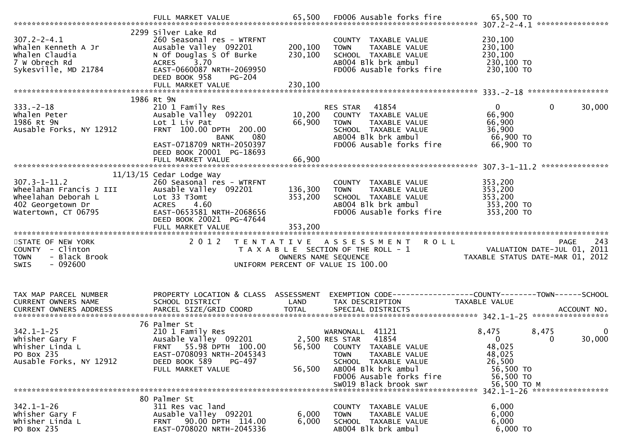|                                                | 2299 Silver Lake Rd                                           |                    |                                                               |                          |                                                                                                                 |
|------------------------------------------------|---------------------------------------------------------------|--------------------|---------------------------------------------------------------|--------------------------|-----------------------------------------------------------------------------------------------------------------|
| $307.2 - 2 - 4.1$                              | 260 Seasonal res - WTRFNT                                     |                    | COUNTY TAXABLE VALUE                                          | 230,100                  |                                                                                                                 |
| Whalen Kenneth A Jr                            | Ausable Valley 092201                                         | 200,100            | TAXABLE VALUE<br><b>TOWN</b>                                  | 230,100                  |                                                                                                                 |
| Whalen Claudia                                 | N Of Douglas S Of Burke                                       | 230,100            | SCHOOL TAXABLE VALUE                                          | 230,100                  |                                                                                                                 |
| 7 w Obrech Rd<br>Sykesville, MD 21784          | ACRES 3.70<br>EAST-0660087 NRTH-2069950                       |                    | AB004 Blk brk ambul<br>FD006 Ausable forks fire               | 230,100 TO<br>230,100 TO |                                                                                                                 |
|                                                | DEED BOOK 958<br>PG-204                                       |                    |                                                               |                          |                                                                                                                 |
|                                                | FULL MARKET VALUE                                             | 230,100            |                                                               |                          |                                                                                                                 |
|                                                |                                                               |                    |                                                               |                          |                                                                                                                 |
|                                                | 1986 Rt 9N                                                    |                    |                                                               | $\overline{0}$           |                                                                                                                 |
| $333. -2 - 18$<br>whalen Peter                 | 210 1 Family Res<br>Ausable Valley 092201                     | 10,200             | RES STAR 41854<br>COUNTY TAXABLE VALUE                        | 66,900                   | $\mathbf 0$<br>30,000                                                                                           |
| 1986 Rt 9N                                     | Lot 1 Liv Pat                                                 | 66,900             | <b>TOWN</b><br>TAXABLE VALUE                                  | 66,900                   |                                                                                                                 |
| Ausable Forks, NY 12912                        | FRNT 100.00 DPTH 200.00                                       |                    | SCHOOL TAXABLE VALUE                                          | 36,900                   |                                                                                                                 |
|                                                | 080<br><b>BANK</b>                                            |                    | AB004 Blk brk ambul                                           | 66,900 TO                |                                                                                                                 |
|                                                | EAST-0718709 NRTH-2050397                                     |                    | FD006 Ausable forks fire                                      | 66,900 TO                |                                                                                                                 |
|                                                | DEED BOOK 20001 PG-18693<br>FULL MARKET VALUE                 | 66,900             |                                                               |                          |                                                                                                                 |
|                                                |                                                               |                    |                                                               |                          |                                                                                                                 |
|                                                | $11/13/15$ Cedar Lodge Way                                    |                    |                                                               |                          |                                                                                                                 |
| $307.3 - 1 - 11.2$                             | 260 Seasonal res - WTRFNT                                     |                    | COUNTY TAXABLE VALUE                                          | 353,200                  |                                                                                                                 |
| Wheelahan Francis J III<br>Wheelahan Deborah L | Ausable Valley 092201<br>Lot 33 T3omt                         | 136,300<br>353,200 | TAXABLE VALUE<br><b>TOWN</b><br>SCHOOL TAXABLE VALUE          | 353,200<br>353,200       |                                                                                                                 |
| 402 Georgetown Dr                              | <b>ACRES</b><br>4.60                                          |                    | AB004 Blk brk ambul                                           | 353,200 TO               |                                                                                                                 |
| Watertown, CT 06795                            | EAST-0653581 NRTH-2068656                                     |                    | FD006 Ausable forks fire                                      | 353,200 TO               |                                                                                                                 |
|                                                | DEED BOOK 20021 PG-47644                                      |                    |                                                               |                          |                                                                                                                 |
|                                                |                                                               |                    |                                                               |                          |                                                                                                                 |
|                                                |                                                               |                    |                                                               |                          |                                                                                                                 |
|                                                |                                                               |                    |                                                               |                          |                                                                                                                 |
| STATE OF NEW YORK<br>COUNTY - Clinton          | 2 0 1 2                                                       |                    | TENTATIVE ASSESSMENT ROLL                                     |                          | 243<br>PAGE                                                                                                     |
| <b>TOWN</b><br>- Black Brook                   |                                                               |                    | T A X A B L E SECTION OF THE ROLL - 1<br>OWNERS NAME SEQUENCE |                          | PAGE 243<br>VALUATION DATE-JUL 01, 2011<br>TAXARLE STATIS ATE 2011 01, 2011<br>TAXABLE STATUS DATE-MAR 01, 2012 |
| $-092600$<br><b>SWIS</b>                       |                                                               |                    | UNIFORM PERCENT OF VALUE IS 100.00                            |                          |                                                                                                                 |
|                                                |                                                               |                    |                                                               |                          |                                                                                                                 |
|                                                |                                                               |                    |                                                               |                          |                                                                                                                 |
| TAX MAP PARCEL NUMBER                          | PROPERTY LOCATION & CLASS ASSESSMENT                          |                    | EXEMPTION CODE-----------------COUNTY-------TOWN------SCHOOL  |                          |                                                                                                                 |
| CURRENT OWNERS NAME                            | SCHOOL DISTRICT                                               | LAND               | TAX DESCRIPTION                                               | TAXABLE VALUE            |                                                                                                                 |
|                                                |                                                               |                    |                                                               |                          |                                                                                                                 |
|                                                |                                                               |                    |                                                               |                          |                                                                                                                 |
| $342.1 - 1 - 25$                               | 76 Palmer St<br>210 1 Family Res                              |                    | WARNONALL 41121                                               | 8,475                    | 8,475<br>0                                                                                                      |
| Whisher Gary F                                 | Ausable Valley 092201 2,500 RES STAR                          |                    | 41854                                                         | $\Omega$                 | 30,000<br>0                                                                                                     |
| Whisher Linda L                                | FRNT 55.98 DPTH 100.00                                        |                    | 56,500 COUNTY TAXABLE VALUE                                   | 48,025                   |                                                                                                                 |
| PO Box 235                                     | EAST-0708093 NRTH-2045343                                     |                    | TAXABLE VALUE<br><b>TOWN</b>                                  | 48,025                   |                                                                                                                 |
| Ausable Forks, NY 12912                        | DEED BOOK 589<br>PG-497                                       |                    | SCHOOL TAXABLE VALUE                                          | 26,500                   |                                                                                                                 |
|                                                | FULL MARKET VALUE                                             | 56,500             | AB004 Blk brk ambul<br>FD006 Ausable forks fire               | 56,500 TO<br>56,500 TO   |                                                                                                                 |
|                                                |                                                               |                    | SW019 Black brook swr                                         | 56,500 TO M              |                                                                                                                 |
|                                                |                                                               |                    |                                                               |                          |                                                                                                                 |
|                                                | 80 Palmer St                                                  |                    |                                                               |                          |                                                                                                                 |
| $342.1 - 1 - 26$<br>Whisher Gary F             | 311 Res vac land<br>Ausable Valley 092201                     | 6,000              | COUNTY TAXABLE VALUE<br>TAXABLE VALUE<br><b>TOWN</b>          | 6,000<br>6,000           |                                                                                                                 |
| Whisher Linda L<br>PO Box 235                  | 90.00 DPTH 114.00<br><b>FRNT</b><br>EAST-0708020 NRTH-2045336 | 6,000              | SCHOOL TAXABLE VALUE<br>AB004 Blk brk ambul                   | 6,000<br>6,000 TO        |                                                                                                                 |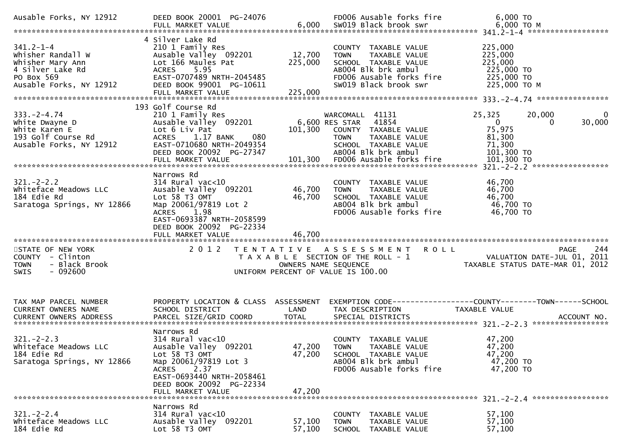| Ausable Forks, NY 12912                                                                                               | DEED BOOK 20001 PG-24076                                                                                                                                                                                  |                   | FD006 Ausable forks fire                                                                                                                                 | 6,000 TO<br>6,000 TO M FULL MARKET VALUE<br>FULL MARKET VALUE 6,000 SW019 Black brook swr 6,000 TO M FULL MARKET VALUE 6,000 SW019 Black brook swr                         |
|-----------------------------------------------------------------------------------------------------------------------|-----------------------------------------------------------------------------------------------------------------------------------------------------------------------------------------------------------|-------------------|----------------------------------------------------------------------------------------------------------------------------------------------------------|----------------------------------------------------------------------------------------------------------------------------------------------------------------------------|
| $341.2 - 1 - 4$<br>Whisher Randall W<br>Whisher Mary Ann<br>4 Silver Lake Rd<br>PO Box 569<br>Ausable Forks, NY 12912 | 4 Silver Lake Rd<br>210 1 Family Res<br>Ausable Valley 092201<br>Lot 166 Maules Pat<br>ACRES 5.95<br>EAST-0707489 NRTH-2045485<br>DEED BOOK 99001 PG-10611                                                | 12,700<br>225,000 | COUNTY TAXABLE VALUE<br><b>TOWN</b><br>TAXABLE VALUE<br>SCHOOL TAXABLE VALUE<br>ABOO4 Blk brk ambul<br>FD006 Ausable forks fire<br>SW019 Black brook swr | 225,000<br>225,000<br>225,000<br>225,000 TO<br>225,000 TO<br>225,000 ТО М                                                                                                  |
|                                                                                                                       | 193 Golf Course Rd                                                                                                                                                                                        |                   |                                                                                                                                                          |                                                                                                                                                                            |
| $333. -2 - 4.74$<br>White Dwayne D<br>White Karen E<br>193 Golf Course Rd<br>Ausable Forks, NY 12912                  | 210 1 Family Res<br>210 1 Family Res<br>Ausable Valley 092201 6,600 RES STAR 41854<br>Lot 6 Liv Pat<br>ACRES 1.17 BANK<br>080<br>EAST-0710680 NRTH-2049354<br>DEED BOOK 20092 PG-27347                    | 101,300           | COUNTY TAXABLE VALUE<br>TAXABLE VALUE<br><b>TOWN</b><br>SCHOOL TAXABLE VALUE<br>AB004 Blk brk ambul                                                      | 25,325<br>20,000<br>$\mathbf{0}$<br>$\overline{0}$<br>30,000<br>$\Omega$<br>75,975<br>81,300<br>71,300<br>101,300 TO                                                       |
|                                                                                                                       |                                                                                                                                                                                                           |                   |                                                                                                                                                          |                                                                                                                                                                            |
| $321 - 2 - 2.2$<br>Whiteface Meadows LLC<br>184 Edie Rd<br>Saratoga Springs, NY 12866                                 | Narrows Rd<br>$314$ Rural vac<10<br>Ausable Valley 092201<br>Lot 58 T3 OMT<br>Map 20061/97819 Lot 2<br><b>ACRES</b><br>1.98<br>EAST-0693387 NRTH-2058599<br>DEED BOOK 20092 PG-22334                      | 46,700<br>46,700  | COUNTY TAXABLE VALUE<br>TAXABLE VALUE<br><b>TOWN</b><br>SCHOOL TAXABLE VALUE<br>AB004 Blk brk ambul<br>FD006 Ausable forks fire                          | 46,700<br>46,700<br>46,700<br>46,700 TO<br>46,700 TO                                                                                                                       |
|                                                                                                                       |                                                                                                                                                                                                           |                   |                                                                                                                                                          |                                                                                                                                                                            |
| STATE OF NEW YORK<br>COUNTY - Clinton<br><b>TOWN</b><br>- Black Brook<br>$-092600$<br>SWIS                            | 2 0 1 2                                                                                                                                                                                                   |                   | TENTATIVE ASSESSMENT ROLL<br>UNIFORM PERCENT OF VALUE IS 100.00                                                                                          | 244<br>PAGE<br>T A X A B L E SECTION OF THE ROLL - 1<br>T A X A B L E SECTION OF THE ROLL - 1<br>OWNERS NAME SEQUENCE TAXABLE STATUS DATE-MAR 01, 2012                     |
| TAX MAP PARCEL NUMBER<br>CURRENT OWNERS NAME                                                                          | PROPERTY LOCATION & CLASS ASSESSMENT<br>SCHOOL DISTRICT                                                                                                                                                   | LAND              | TAX DESCRIPTION                                                                                                                                          | TAXABLE VALUE<br>.CURRENT OWNERS ADDRESS PARCEL SIZE/GRID COORD TOTAL SPECIAL DISTRICTS ACCOUNT NO ACCOUNT NO ACCOUNT NO AND ARCEL SIZE/GRID COORD TOTAL SPECIAL DISTRICTS |
| $321 - 2 - 2.3$<br>Whiteface Meadows LLC<br>184 Edie Rd<br>Saratoga Springs, NY 12866                                 | Narrows Rd<br>$314$ Rural vac<10<br>Ausable Valley 092201<br>Lot 58 T3 OMT<br>Map 20061/97819 Lot 3<br><b>ACRES</b><br>2.37<br>EAST-0693440 NRTH-2058461<br>DEED BOOK 20092 PG-22334<br>FULL MARKET VALUE | 47,200<br>47,200  | COUNTY TAXABLE VALUE<br>47,200 TOWN TAXABLE VALUE<br>SCHOOL TAXABLE VALUE<br>AB004 Blk brk ambul<br>FD006 Ausable forks fire                             | 47,200<br>47,200<br>47,200<br>47,200 TO<br>47,200 TO                                                                                                                       |
|                                                                                                                       | Narrows Rd                                                                                                                                                                                                |                   |                                                                                                                                                          |                                                                                                                                                                            |
| $321 - 2 - 2.4$<br>Whiteface Meadows LLC<br>184 Edie Rd                                                               | $314$ Rural vac<10<br>Ausable Valley 092201<br>Lot 58 T3 OMT                                                                                                                                              | 57,100<br>57,100  | COUNTY TAXABLE VALUE<br>TAXABLE VALUE<br><b>TOWN</b><br>SCHOOL TAXABLE VALUE                                                                             | 57,100<br>57,100<br>57,100                                                                                                                                                 |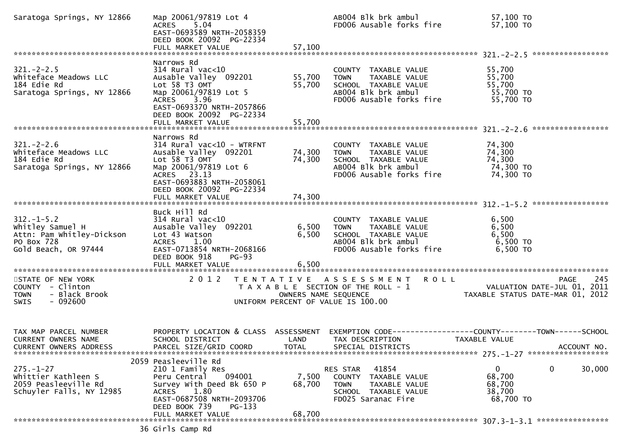| Saratoga Springs, NY 12866                                                                                                                                                        | EAST-0693589 NRTH-2058359<br>DEED BOOK 20092 PG-22334                                                                                                                                                             |                            | AB004 Blk brk ambul<br>FD006 Ausable forks fire                                                                                                              | 57,100 TO<br>0ו 100, /s<br>57,100 סד                                                                       |
|-----------------------------------------------------------------------------------------------------------------------------------------------------------------------------------|-------------------------------------------------------------------------------------------------------------------------------------------------------------------------------------------------------------------|----------------------------|--------------------------------------------------------------------------------------------------------------------------------------------------------------|------------------------------------------------------------------------------------------------------------|
|                                                                                                                                                                                   | Narrows Rd                                                                                                                                                                                                        |                            |                                                                                                                                                              |                                                                                                            |
| 321.-2-2.5<br>whiteface Meadows LLC<br>124 Edie Rd<br>ALV 12866                                                                                                                   | $314$ Rural vac<10<br>Ausable Valley 092201<br>Lot 58 T3 OMT<br>Map 20061/97819 Lot 5<br>ACRES 3.96<br>EAST-0693370 NRTH-2057866<br>DEED BOOK 20092 PG-22334<br>FULL MARKET VALUE                                 | 55,700<br>55,700<br>55,700 | COUNTY TAXABLE VALUE<br>TOWN TAXABLE VALUE 55,700<br>SCHOOL TAXABLE VALUE 55,700<br>AB004 Blk brk ambul 55,700 TO<br><b>TOWN</b><br>FD006 Ausable forks fire | 55,700 TO                                                                                                  |
|                                                                                                                                                                                   | Narrows Rd                                                                                                                                                                                                        |                            |                                                                                                                                                              |                                                                                                            |
| $321 - 2 - 2.6$<br>Whiteface Meadows LLC<br>184 Edie Rd<br>Saratoga Springs, NY 12866                                                                                             | $314$ Rural vac< $10$ - WTRFNT<br>Ausable Valley 092201<br>Lot 58 T3 OMT<br>Map 20061/97819 Lot 6<br>ACRES 23.13<br>EAST-0693883 NRTH-2058061<br>DEED BOOK 20092 PG-22334                                         | 74,300<br>74,300           | COUNTY TAXABLE VALUE<br><b>TOWN</b><br>TAXABLE VALUE<br>SCHOOL TAXABLE VALUE<br>AB004 Blk brk ambul<br>FD006 Ausable forks fire                              | 74,300<br>74,300<br>74,300<br>74,300 TO<br>74,300 TO                                                       |
|                                                                                                                                                                                   |                                                                                                                                                                                                                   |                            |                                                                                                                                                              |                                                                                                            |
| 312.-1-5.2<br>whitley Samuel H<br>Attn: Pam Whitley-Dickson<br>PO Box 728<br>Gold Beach, OR 97444<br>ACRES<br>LOC 43 Watson<br>ACRES<br>ACRES<br>ACRES<br>1.00<br>EAST-0713854 NI | Buck Hill Rd<br>314 Rural vac<10<br>Ausable Valley 092201 6,500 TOWN TAXABLE VALUE<br>Lot 43 Watson 6,500 SCHOOL TAXABLE VALUE<br>EAST-0713854 NRTH-2068166<br>DEED BOOK 918<br><b>PG-93</b><br>FULL MARKET VALUE | 6,500                      | ABOO4 Blk brk ambul<br>FD006 Ausable forks fire                                                                                                              | 6,500<br>6,500<br>6,500<br>6,500 TO<br>6,500 TO                                                            |
| STATE OF NEW YORK                                                                                                                                                                 |                                                                                                                                                                                                                   |                            | 2012 TENTATIVE ASSESSMENT ROLL                                                                                                                               | 245<br><b>PAGE</b>                                                                                         |
| COUNTY - Clinton<br>TOWN - Black Brook<br><b>SWIS</b><br>- 092600                                                                                                                 |                                                                                                                                                                                                                   |                            | UNIFORM PERCENT OF VALUE IS 100.00                                                                                                                           | PAGE 245<br>T A X A B L E SECTION OF THE ROLL - 1 VALUATION DATE-JUL 01, 2011<br>OWNERS NAME SEQUENCE 2020 |
| TAX MAP PARCEL NUMBER<br>CURRENT OWNERS NAME<br>CURRENT OWNERS ADDRESS                                                                                                            | PROPERTY LOCATION & CLASS ASSESSMENT<br>SCHOOL DISTRICT<br>PARCEL SIZE/GRID COORD                                                                                                                                 | LAND<br><b>TOTAL</b>       | TAX DESCRIPTION<br>SPECIAL DISTRICTS                                                                                                                         | EXEMPTION CODE-----------------COUNTY-------TOWN------SCHOOL<br>TAXABLE VALUE<br>ACCOUNT NO.               |
|                                                                                                                                                                                   | 2059 Peasleeville Rd                                                                                                                                                                                              |                            |                                                                                                                                                              |                                                                                                            |
| $275. - 1 - 27$<br>Whittier Kathleen S<br>2059 Peasleeville Rd<br>Schuyler Falls, NY 12985                                                                                        | 210 1 Family Res<br>094001<br>Peru Central<br>Survey With Deed Bk 650 P<br>ACRES<br>1.80<br>EAST-0687508 NRTH-2093706<br>DEED BOOK 739<br>PG-133                                                                  | 7,500<br>68,700            | 41854<br>RES STAR<br>COUNTY TAXABLE VALUE<br>TAXABLE VALUE<br>TOWN<br>SCHOOL TAXABLE VALUE<br>FD025 Saranac Fire                                             | 0<br>0<br>30,000<br>68,700<br>68,700<br>38,700<br>68,700 TO                                                |
|                                                                                                                                                                                   | FULL MARKET VALUE                                                                                                                                                                                                 | 68,700                     |                                                                                                                                                              |                                                                                                            |
|                                                                                                                                                                                   | 36 Girls Camp Rd                                                                                                                                                                                                  |                            |                                                                                                                                                              |                                                                                                            |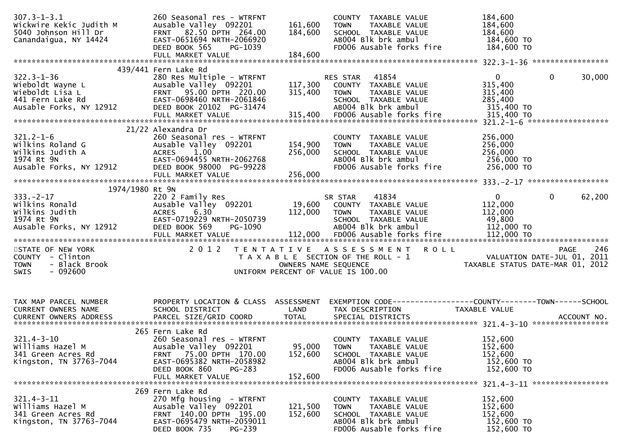| $307.3 - 1 - 3.1$<br>Wickwire Kekic Judith M<br>5040 Johnson Hill Dr                             | 260 Seasonal res - WTRFNT<br>Ausable Valley 092201<br>FRNT 82.50 DPTH 264.00                             | 161,600<br>184,600           | COUNTY TAXABLE VALUE<br>TAXABLE VALUE<br><b>TOWN</b><br>SCHOOL TAXABLE VALUE | 184,600<br>184,600<br>184,600                            |        |
|--------------------------------------------------------------------------------------------------|----------------------------------------------------------------------------------------------------------|------------------------------|------------------------------------------------------------------------------|----------------------------------------------------------|--------|
| Canandaigua, NY 14424                                                                            | EAST-0651694 NRTH-2066920<br>DEED BOOK 565<br>PG-1039                                                    |                              | AB004 Blk brk ambul<br>FD006 Ausable forks fire                              | 184,600 TO<br>184,600 TO                                 |        |
|                                                                                                  | FULL MARKET VALUE                                                                                        | 184,600                      |                                                                              |                                                          |        |
|                                                                                                  | 439/441 Fern Lake Rd                                                                                     |                              |                                                                              |                                                          |        |
| $322.3 - 1 - 36$                                                                                 | 280 Res Multiple - WTRFNT                                                                                |                              | 41854<br>RES STAR                                                            | $\mathbf{0}$<br>0                                        | 30,000 |
| 322.3-1-36<br>Wieboldt Wayne L<br>Wieboldt Lisa L<br>441 Fern Lake Rd<br>Ausable Forks, NY 12912 | Ausable Valley 092201                                                                                    |                              | 117,300 COUNTY TAXABLE VALUE                                                 | 315,400                                                  |        |
|                                                                                                  | FRNT 95.00 DPTH 220.00                                                                                   | 315,400                      | TAXABLE VALUE<br><b>TOWN</b>                                                 | 315,400                                                  |        |
|                                                                                                  | EAST-0698460 NRTH-2061846                                                                                |                              | SCHOOL TAXABLE VALUE                                                         | 285,400                                                  |        |
|                                                                                                  | DEED BOOK 20102 PG-31474                                                                                 |                              | AB004 Blk brk ambul                                                          | 315,400 TO                                               |        |
|                                                                                                  |                                                                                                          |                              |                                                                              |                                                          |        |
|                                                                                                  | 21/22 Alexandra Dr                                                                                       |                              |                                                                              |                                                          |        |
| $321.2 - 1 - 6$                                                                                  | 260 Seasonal res - WTRFNT                                                                                |                              | COUNTY TAXABLE VALUE                                                         | 256,000                                                  |        |
| Wilkins Roland G                                                                                 |                                                                                                          | 154,900                      | <b>TOWN</b><br>TAXABLE VALUE                                                 | 256,000                                                  |        |
| Wilkins Judith A                                                                                 |                                                                                                          | 256,000                      | SCHOOL TAXABLE VALUE                                                         | 256,000                                                  |        |
| 1974 Rt 9N                                                                                       |                                                                                                          |                              | AB004 Blk brk ambul                                                          | 256,000 TO                                               |        |
| Ausable Forks, NY 12912                                                                          | Ausable Valley USALLARES<br>ACRES 1.00<br>EAST-0694455 NRTH-2062768<br>IY 12912 DEED BOOK 98000 PG-99228 |                              | FD006 Ausable forks fire                                                     | 256,000 TO                                               |        |
|                                                                                                  |                                                                                                          | 256,000                      |                                                                              |                                                          |        |
| 1974/1980 Rt 9N                                                                                  |                                                                                                          |                              |                                                                              |                                                          |        |
| $333. -2 - 17$                                                                                   | 220 2 Family Res                                                                                         |                              | 41834<br>SR STAR                                                             | $\mathbf 0$<br>$0 \qquad \qquad$                         | 62,200 |
| Wilkins Ronald                                                                                   | Ausable Valley 092201 19,600 COUNTY TAXABLE VALUE                                                        |                              |                                                                              | 112,000                                                  |        |
| Wilkins Judith                                                                                   | <b>ACRES</b><br>6.30                                                                                     | 112 ,000 TOWN<br>SCHOO SCHOO | TAXABLE VALUE                                                                | 112,000                                                  |        |
| 1974 Rt 9N                                                                                       | EAST-0719229 NRTH-2050739                                                                                |                              | SCHOOL TAXABLE VALUE                                                         | 49,800                                                   |        |
| Ausable Forks, NY 12912                                                                          | DEED BOOK 569<br>PG-1090                                                                                 |                              | AB004 Blk brk ambul                                                          | 112,000 TO                                               |        |
|                                                                                                  |                                                                                                          |                              |                                                                              |                                                          |        |
| STATE OF NEW YORK                                                                                |                                                                                                          |                              | 2012 TENTATIVE ASSESSMENT ROLL                                               | PAGE 246<br>PAGE 246<br>TAXARIF STATIL DATE-JUL 01, 2011 |        |
| COUNTY - Clinton                                                                                 |                                                                                                          |                              | T A X A B L E SECTION OF THE ROLL - 1                                        |                                                          |        |
| - Black Brook<br><b>TOWN</b>                                                                     |                                                                                                          | OWNERS NAME SEQUENCE         |                                                                              |                                                          |        |
|                                                                                                  |                                                                                                          |                              |                                                                              |                                                          |        |
| $-092600$<br>SWIS                                                                                |                                                                                                          |                              | UNIFORM PERCENT OF VALUE IS 100.00                                           |                                                          |        |
|                                                                                                  |                                                                                                          |                              |                                                                              |                                                          |        |
|                                                                                                  |                                                                                                          |                              |                                                                              |                                                          |        |
| TAX MAP PARCEL NUMBER                                                                            | PROPERTY LOCATION & CLASS ASSESSMENT                                                                     |                              | EXEMPTION CODE-----------------COUNTY-------TOWN------SCHOOL                 |                                                          |        |
| CURRENT OWNERS NAME                                                                              | SCHOOL DISTRICT                                                                                          | <b>Example 18 The LAND</b>   | TAX DESCRIPTION                                                              | TAXABLE VALUE                                            |        |
| CURRENT OWNERS ADDRESS                                                                           |                                                                                                          |                              |                                                                              |                                                          |        |
|                                                                                                  |                                                                                                          |                              |                                                                              |                                                          |        |
| $321.4 - 3 - 10$                                                                                 | 265 Fern Lake Rd<br>260 Seasonal res - WTRFNT                                                            |                              | COUNTY TAXABLE VALUE                                                         | 152,600                                                  |        |
| Williams Hazel M                                                                                 | Ausable Valley 092201                                                                                    | 95,000                       | <b>TOWN</b><br>TAXABLE VALUE                                                 | 152,600                                                  |        |
| 341 Green Acres Rd                                                                               | 75.00 DPTH 170.00<br><b>FRNT</b>                                                                         | 152,600                      | SCHOOL TAXABLE VALUE                                                         | 152,600                                                  |        |
| Kingston, TN 37763-7044                                                                          | EAST-0695382 NRTH-2058982                                                                                |                              | AB004 Blk brk ambul                                                          | 152,600 TO                                               |        |
|                                                                                                  | DEED BOOK 860<br>PG-283                                                                                  |                              | FD006 Ausable forks fire                                                     | 152,600 TO                                               |        |
|                                                                                                  | FULL MARKET VALUE                                                                                        | 152,600                      |                                                                              | 321.4-3-11 ******************                            |        |
|                                                                                                  | 269 Fern Lake Rd                                                                                         |                              |                                                                              |                                                          |        |
| $321.4 - 3 - 11$                                                                                 | 270 Mfg housing - WTRFNT                                                                                 |                              | COUNTY TAXABLE VALUE                                                         | 152,600                                                  |        |
| Williams Hazel M                                                                                 | Ausable Valley 092201                                                                                    | 121,500                      | TAXABLE VALUE<br><b>TOWN</b>                                                 | 152,600                                                  |        |
| 341 Green Acres Rd                                                                               | FRNT 140.00 DPTH 195.00                                                                                  | 152,600                      | SCHOOL TAXABLE VALUE                                                         | 152,600                                                  |        |
| Kingston, TN 37763-7044                                                                          | EAST-0695479 NRTH-2059011<br>DEED BOOK 735<br>$PG-239$                                                   |                              | AB004 Blk brk ambul<br>FD006 Ausable forks fire                              | 152,600 TO<br>152,600 TO                                 |        |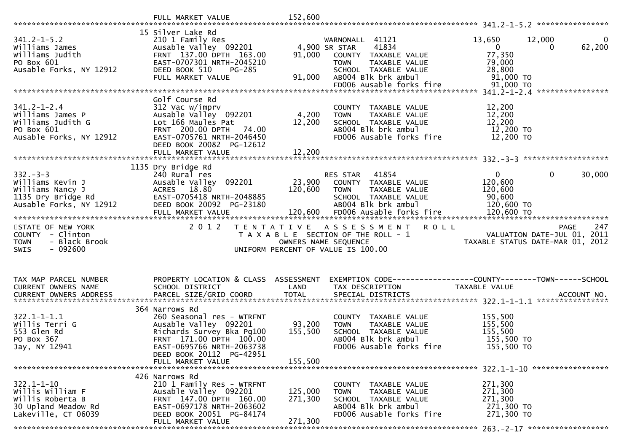|                                                                                                        | FULL MARKET VALUE                                                                                                                                                                                          | 152,600                      |                                                                                                                                                      |                                                                   |                                                                                       |
|--------------------------------------------------------------------------------------------------------|------------------------------------------------------------------------------------------------------------------------------------------------------------------------------------------------------------|------------------------------|------------------------------------------------------------------------------------------------------------------------------------------------------|-------------------------------------------------------------------|---------------------------------------------------------------------------------------|
| $341.2 - 1 - 5.2$<br>Williams James<br>Williams Judith<br>PO Box 601<br>Ausable Forks, NY 12912        | 15 Silver Lake Rd<br>210 1 Family Res<br>Ausable Valley 092201<br>FRNT 137.00 DPTH 163.00<br>EAST-0707301 NRTH-2045210<br>DEED BOOK 510<br>PG-285<br>FULL MARKET VALUE                                     | 91,000<br>91,000             | WARNONALL 41121<br>41834<br>4,900 SR STAR<br>COUNTY TAXABLE VALUE<br>TAXABLE VALUE<br><b>TOWN</b><br>SCHOOL TAXABLE VALUE<br>AB004 Blk brk ambul     | 13,650<br>$\mathbf{0}$<br>77,350<br>79,000<br>28,800<br>91,000 TO | 12,000<br>0<br>62,200<br>$\Omega$                                                     |
|                                                                                                        |                                                                                                                                                                                                            |                              | FD006 Ausable forks fire                                                                                                                             | $91,000$ TO                                                       |                                                                                       |
| $341.2 - 1 - 2.4$<br>Williams James P<br>Williams Judith G<br>PO Box 601<br>Ausable Forks, NY 12912    | Golf Course Rd<br>312 Vac w/imprv<br>Ausable Valley 092201<br>Lot 166 Maules Pat<br>FRNT 200.00 DPTH 74.00<br>EAST-0705761 NRTH-2046450<br>DEED BOOK 20082 PG-12612<br>FULL MARKET VALUE                   | 4,200<br>12,200<br>12,200    | COUNTY TAXABLE VALUE<br>TAXABLE VALUE<br><b>TOWN</b><br>SCHOOL TAXABLE VALUE<br>AB004 Blk brk ambul<br>FD006 Ausable forks fire                      | 12,200<br>12,200<br>12,200<br>12,200 TO<br>12,200 TO              | ****************                                                                      |
|                                                                                                        |                                                                                                                                                                                                            |                              |                                                                                                                                                      |                                                                   |                                                                                       |
| $332 - 3 - 3$<br>Williams Kevin J<br>Williams Nancy J<br>1135 Dry Bridge Rd<br>Ausable Forks, NY 12912 | 1135 Dry Bridge Rd<br>240 Rural res<br>Ausable Valley 092201<br>ACRES 18.80<br>EAST-0705418 NRTH-2048885<br>DEED BOOK 20092 PG-23180<br>FULL MARKET VALUE                                                  | 23,900<br>120,600<br>120,600 | 41854<br>RES STAR<br>COUNTY TAXABLE VALUE<br><b>TOWN</b><br>TAXABLE VALUE<br>SCHOOL TAXABLE VALUE<br>AB004 Blk brk ambul<br>FD006 Ausable forks fire | 0<br>120,600<br>120,600<br>90,600<br>120,600 TO<br>120,600 TO     | 0<br>30,000                                                                           |
| STATE OF NEW YORK<br>COUNTY - Clinton<br>- Black Brook<br><b>TOWN</b><br><b>SWIS</b><br>- 092600       | 2012<br>T E N T A T I V E                                                                                                                                                                                  | OWNERS NAME SEQUENCE         | A S S E S S M E N T<br><b>ROLL</b><br>T A X A B L E SECTION OF THE ROLL - 1<br>UNIFORM PERCENT OF VALUE IS 100.00                                    |                                                                   | 247<br><b>PAGE</b><br>VALUATION DATE-JUL 01, 2011<br>TAXABLE STATUS DATE-MAR 01, 2012 |
| TAX MAP PARCEL NUMBER<br>CURRENT OWNERS NAME<br><b>CURRENT OWNERS ADDRESS</b>                          | PROPERTY LOCATION & CLASS ASSESSMENT<br>SCHOOL DISTRICT<br>PARCEL SIZE/GRID COORD                                                                                                                          | LAND<br><b>TOTAL</b>         | EXEMPTION CODE-----------------COUNTY-------TOWN------SCHOOL<br>TAX DESCRIPTION<br>SPECIAL DISTRICTS                                                 | TAXABLE VALUE                                                     | ACCOUNT NO.                                                                           |
| $322.1 - 1 - 1.1$<br>Willis Terri G<br>553 Glen Rd<br>PO Box 367<br>Jay, NY 12941                      | 364 Narrows Rd<br>260 Seasonal res - WTRFNT<br>Ausable Valley 092201<br>Richards Survey Bka Pg100<br>FRNT 171.00 DPTH 100.00<br>EAST-0695766 NRTH-2063738<br>DEED BOOK 20112 PG-42951<br>FULL MARKET VALUE | 93,200<br>155,500<br>155,500 | COUNTY TAXABLE VALUE<br>TAXABLE VALUE<br><b>TOWN</b><br>SCHOOL TAXABLE VALUE<br>AB004 Blk brk ambul<br>FD006 Ausable forks fire                      | 155,500<br>155,500<br>155,500<br>155,500 TO<br>155,500 TO         |                                                                                       |
| $322.1 - 1 - 10$<br>Willis William F<br>Willis Roberta B<br>30 Upland Meadow Rd<br>Lakeville, CT 06039 | 426 Narrows Rd<br>210 1 Family Res - WTRFNT<br>Ausable Valley 092201<br>FRNT 147.00 DPTH 160.00<br>EAST-0697178 NRTH-2063602<br>DEED BOOK 20051 PG-84174                                                   | 125,000<br>271,300           | COUNTY TAXABLE VALUE<br>TAXABLE VALUE<br>TOWN<br>SCHOOL TAXABLE VALUE<br>AB004 Blk brk ambul                                                         | 271,300<br>271,300<br>271,300<br>271,300 TO                       |                                                                                       |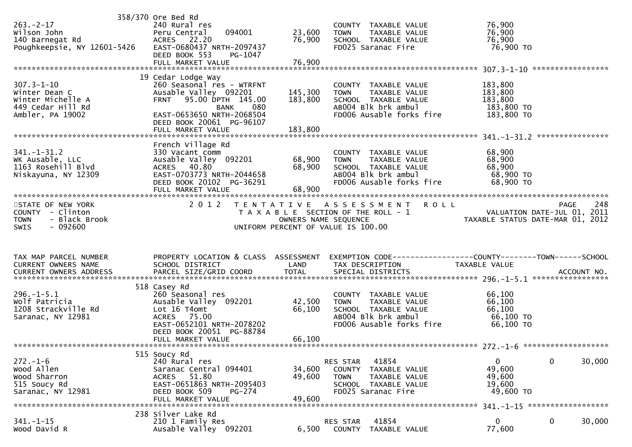| $263. -2 - 17$<br>Wilson John                                         | 358/370 Ore Bed Rd<br>240 Rural res<br>094001<br>Peru Central             | 23,600               | COUNTY TAXABLE VALUE<br>TAXABLE VALUE<br><b>TOWN</b>                                             | 76,900<br>76,900                                                            |                       |
|-----------------------------------------------------------------------|---------------------------------------------------------------------------|----------------------|--------------------------------------------------------------------------------------------------|-----------------------------------------------------------------------------|-----------------------|
| 140 Barnegat Rd<br>Poughkeepsie, NY 12601-5426                        | ACRES 22.20<br>EAST-0680437 NRTH-2097437<br>DEED BOOK 553<br>PG-1047      | 76,900               | SCHOOL TAXABLE VALUE<br>FD025 Saranac Fire                                                       | 76,900<br>76,900 то                                                         |                       |
|                                                                       | 19 Cedar Lodge Way                                                        |                      |                                                                                                  |                                                                             |                       |
| $307.3 - 1 - 10$<br>Winter Dean C                                     | 260 Seasonal res - WTRFNT<br>Ausable Valley 092201                        | 145,300              | COUNTY TAXABLE VALUE<br>TAXABLE VALUE<br>TOWN                                                    | 183,800<br>183,800                                                          |                       |
| Winter Michelle A<br>449 Cedar Hill Rd<br>Ambler, PA 19002            | FRNT 95.00 DPTH 145.00<br><b>BANK</b><br>080<br>EAST-0653650 NRTH-2068504 | 183,800              | SCHOOL TAXABLE VALUE<br>AB004 Blk brk ambul<br>FD006 Ausable forks fire                          | 183,800<br>183,800 TO<br>183,800 TO                                         |                       |
|                                                                       | DEED BOOK 20061 PG-96107                                                  |                      |                                                                                                  |                                                                             | ****************      |
|                                                                       | French Village Rd                                                         |                      |                                                                                                  |                                                                             |                       |
| $341. - 1 - 31.2$<br>WK Ausable, LLC                                  | 330 Vacant comm<br>Ausable Valley 092201 68,900                           |                      | COUNTY TAXABLE VALUE<br><b>TOWN</b><br>TAXABLE VALUE                                             | 68,900<br>68,900                                                            |                       |
| 1163 Rosehill Blvd<br>Niskayuna, NY 12309                             | ACRES 40.80<br>EAST-0703773 NRTH-2044658<br>DEED BOOK 20102 PG-36291      | 68,900               | SCHOOL TAXABLE VALUE<br>ABOO4 Blk brk ambul<br>FD006 Ausable forks fire                          | 68,900<br>68,900 TO<br>68,900 TO                                            |                       |
|                                                                       | FULL MARKET VALUE                                                         | 68,900               |                                                                                                  |                                                                             |                       |
| STATE OF NEW YORK<br>COUNTY - Clinton<br>- Black Brook<br><b>TOWN</b> | 2 0 1 2                                                                   | OWNERS NAME SEQUENCE | TENTATIVE ASSESSMENT ROLL<br>T A X A B L E SECTION OF THE ROLL - 1                               | 248 PAGE<br>VALUATION DATE-JUL 01, 2011<br>TAXABLE STATUS DATE-MAR 01, 2012 | 248<br><b>PAGE</b>    |
| $-092600$<br><b>SWIS</b>                                              |                                                                           |                      | UNIFORM PERCENT OF VALUE IS 100.00                                                               |                                                                             |                       |
| TAX MAP PARCEL NUMBER                                                 |                                                                           |                      | PROPERTY LOCATION & CLASS ASSESSMENT EXEMPTION CODE----------------COUNTY-------TOWN------SCHOOL |                                                                             |                       |
| CURRENT OWNERS NAME                                                   | SCHOOL DISTRICT                                                           | LAND                 | TAX DESCRIPTION                                                                                  | TAXABLE VALUE                                                               |                       |
|                                                                       | 518 Casey Rd                                                              |                      |                                                                                                  |                                                                             |                       |
| $296. - 1 - 5.1$<br>Wolf Patricia                                     | 260 Seasonal res<br>Ausable Valley 092201                                 | 42,500               | COUNTY TAXABLE VALUE<br>TAXABLE VALUE<br><b>TOWN</b>                                             | 66,100<br>66,100                                                            |                       |
| 1208 Strackville Rd<br>Saranac, NY 12981                              | Lot 16 T4omt<br>ACRES 75.00                                               | 66,100               | SCHOOL TAXABLE VALUE<br>AB004 Blk brk ambul                                                      | 66,100<br>66,100 TO                                                         |                       |
|                                                                       | EAST-0652101 NRTH-2078202<br>DEED BOOK 20051 PG-88784                     |                      | FD006 Ausable forks fire                                                                         | 66,100 ТО                                                                   |                       |
|                                                                       | FULL MARKET VALUE                                                         | 66,100               |                                                                                                  |                                                                             |                       |
| $272. - 1 - 6$                                                        | 515 Soucy Rd<br>240 Rural res                                             |                      | 41854<br>RES STAR                                                                                | $\mathbf{0}$                                                                | $\mathbf 0$<br>30,000 |
| Wood Allen                                                            | Saranac Central 094401                                                    | 34,600               | COUNTY<br>TAXABLE VALUE                                                                          | 49,600                                                                      |                       |
| Wood Sharron<br>515 Soucy Rd                                          | 51.80<br><b>ACRES</b><br>EAST-0651863 NRTH-2095403                        | 49,600               | <b>TOWN</b><br>TAXABLE VALUE<br>SCHOOL TAXABLE VALUE                                             | 49,600<br>19,600                                                            |                       |
| Saranac, NY 12981                                                     | DEED BOOK 509<br>PG-274<br>FULL MARKET VALUE                              | 49,600               | FD025 Saranac Fire                                                                               | 49,600 TO                                                                   |                       |
|                                                                       |                                                                           |                      |                                                                                                  |                                                                             | ******************    |
| $341. - 1 - 15$                                                       | 238 Silver Lake Rd<br>210 1 Family Res                                    |                      | RES STAR<br>41854                                                                                | $\overline{0}$                                                              | $\mathbf 0$<br>30,000 |
| Wood David R                                                          | Ausable Valley 092201                                                     | 6,500                | <b>COUNTY</b><br>TAXABLE VALUE                                                                   | 77,600                                                                      |                       |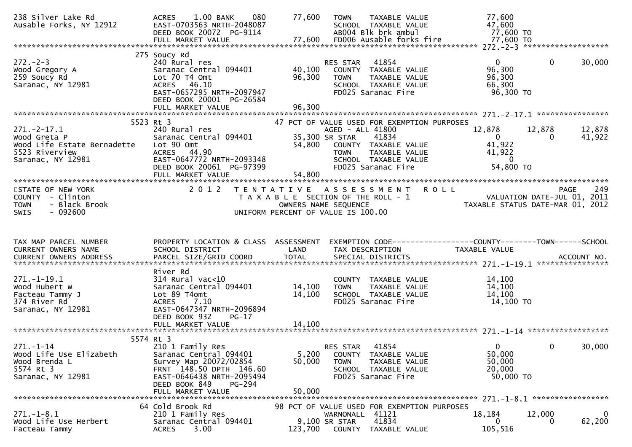| 238 Silver Lake Rd<br>Ausable Forks, NY 12912                                                       | ACRES 1.00 BANK<br>080<br>EAST-0703563 NRTH-2048087<br>DEED BOOK 20072 PG-9114<br>FULL MARKET VALUE                                                                         | 77,600                     | TAXABLE VALUE<br><b>TOWN</b><br>SCHOOL TAXABLE VALUE<br>AB004 Blk brk ambul<br>77,600 FD006 Ausable forks fire                                    | 77,600<br>47,600<br>77,600 TO<br>77,600 TO                                                                                     |     |
|-----------------------------------------------------------------------------------------------------|-----------------------------------------------------------------------------------------------------------------------------------------------------------------------------|----------------------------|---------------------------------------------------------------------------------------------------------------------------------------------------|--------------------------------------------------------------------------------------------------------------------------------|-----|
| $272 - 2 - 3$<br>Wood Gregory A<br>259 Soucy Rd<br>Saranac, NY 12981                                | 275 Soucy Rd<br>240 Rural res<br>Saranac Central 094401<br>Lot 70 T4 Omt<br>ACRES 46.10<br>EAST-0657295 NRTH-2097947<br>DEED BOOK 20001 PG-26584<br>FULL MARKET VALUE       | 40,100<br>96,300<br>96,300 | 41854<br>RES STAR<br>COUNTY TAXABLE VALUE<br>TAXABLE VALUE<br><b>TOWN</b><br>SCHOOL TAXABLE VALUE<br>FD025 Saranac Fire                           | $\mathbf 0$<br>$\overline{0}$<br>30,000<br>96,300<br>96,300<br>66,300<br>96,300 TO                                             |     |
|                                                                                                     | 5523 Rt 3                                                                                                                                                                   |                            | 47 PCT OF VALUE USED FOR EXEMPTION PURPOSES                                                                                                       |                                                                                                                                |     |
| $271.-2-17.1$<br>Wood Greta P<br>Wood Life Estate Bernadette<br>5523 Riverview<br>Saranac, NY 12981 | 240 Rural res<br>Saranac Central 094401<br>Lot 90 Omt<br>ACRES 44.90<br>EAST-0647772 NRTH-2093348<br>DEED BOOK 20061 PG-97399<br>FULL MARKET VALUE                          | 54,800<br>54,800           | AGED - ALL 41800<br>35,300 SR STAR<br>41834<br>COUNTY TAXABLE VALUE<br>TAXABLE VALUE<br><b>TOWN</b><br>SCHOOL TAXABLE VALUE<br>FD025 Saranac Fire | 12,878<br>12,878<br>12,878<br>$\overline{0}$<br>41,922<br>$\Omega$<br>41,922<br>41,922<br>$\overline{\mathbf{0}}$<br>54,800 TO |     |
| STATE OF NEW YORK<br>COUNTY - Clinton<br>- Black Brook<br><b>TOWN</b><br>$-092600$<br>SWIS          | 2 0 1 2                                                                                                                                                                     | T E N T A T I V E          | A S S E S S M E N T<br>T A X A B L E SECTION OF THE ROLL - 1<br>OWNERS NAME SEQUENCE<br>UNIFORM PERCENT OF VALUE IS 100.00                        | <b>ROLL</b><br><b>PAGE</b><br>VALUATION DATE-JUL 01, 2011<br>TAXABLE STATUS DATE-MAR 01, 2012                                  | 249 |
|                                                                                                     |                                                                                                                                                                             |                            |                                                                                                                                                   |                                                                                                                                |     |
| TAX MAP PARCEL NUMBER<br>CURRENT OWNERS NAME<br><b>CURRENT OWNERS ADDRESS</b>                       | PROPERTY LOCATION & CLASS ASSESSMENT<br>SCHOOL DISTRICT<br>PARCEL SIZE/GRID COORD                                                                                           | LAND<br><b>TOTAL</b>       | TAX DESCRIPTION<br>SPECIAL DISTRICTS                                                                                                              | EXEMPTION CODE------------------COUNTY--------TOWN------SCHOOL<br>TAXABLE VALUE<br>ACCOUNT NO.                                 |     |
| $271. - 1 - 19.1$<br>Wood Hubert W<br>Facteau Tammy J<br>374 River Rd<br>Saranac, NY 12981          | River Rd<br>$314$ Rural vac< $10$<br>Saranac Central 094401<br>Lot 89 T4omt<br>7.10<br><b>ACRES</b><br>EAST-0647347 NRTH-2096894<br>DEED BOOK 932<br>$PG-17$                | 14,100<br>14,100           | COUNTY TAXABLE VALUE<br>TAXABLE VALUE<br><b>TOWN</b><br>SCHOOL TAXABLE VALUE<br>FD025 Saranac Fire                                                | 14,100<br>14,100<br>14,100<br>14,100 TO                                                                                        |     |
|                                                                                                     |                                                                                                                                                                             |                            |                                                                                                                                                   |                                                                                                                                |     |
| $271. - 1 - 14$<br>Wood Life Use Elizabeth<br>Wood Brenda L<br>5574 Rt 3<br>Saranac, NY 12981       | 5574 Rt 3<br>210 1 Family Res<br>Saranac Central 094401<br>Survey Map 20072/02854<br>FRNT 148.50 DPTH 146.60<br>EAST-0646438 NRTH-2095494<br>DEED BOOK 849<br><b>PG-294</b> | 5,200<br>50,000<br>50,000  | 41854<br>RES STAR<br>COUNTY TAXABLE VALUE<br>TAXABLE VALUE<br><b>TOWN</b><br>SCHOOL TAXABLE VALUE<br>FD025 Saranac Fire                           | $\mathbf{0}$<br>$\mathbf{0}$<br>30,000<br>50,000<br>50,000<br>20,000<br>50,000 TO                                              |     |
|                                                                                                     | FULL MARKET VALUE<br>64 Cold Brook Rd                                                                                                                                       |                            | 98 PCT OF VALUE USED FOR EXEMPTION PURPOSES                                                                                                       |                                                                                                                                |     |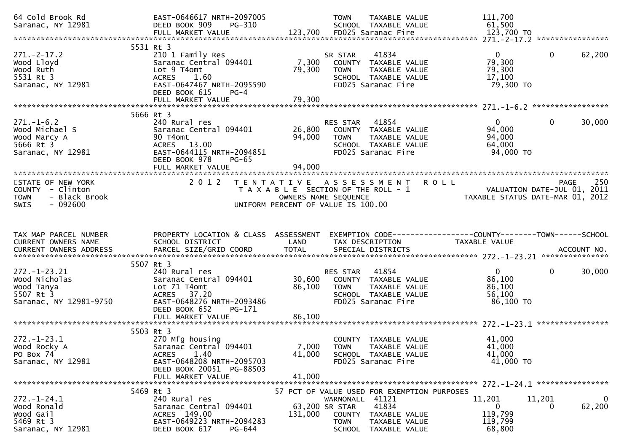| 64 Cold Brook Rd<br>Saranac, NY 12981                                                             | EAST-0646617 NRTH-2097005<br>DEED BOOK 909<br>PG-310                                                                                                   |                            | <b>TOWN</b><br>TAXABLE VALUE<br>SCHOOL TAXABLE VALUE                                                                             | 111,700<br>61,500                                                                   |                        |
|---------------------------------------------------------------------------------------------------|--------------------------------------------------------------------------------------------------------------------------------------------------------|----------------------------|----------------------------------------------------------------------------------------------------------------------------------|-------------------------------------------------------------------------------------|------------------------|
|                                                                                                   |                                                                                                                                                        |                            |                                                                                                                                  |                                                                                     |                        |
| $271. - 2 - 17.2$<br>Wood Lloyd<br>wood Ruth<br>5531 Rt 3<br>Saranac, NY 12981                    | 5531 Rt 3<br>210 1 Family Res<br>Saranac Central 094401<br>Lot 9 T4omt<br><b>ACRES</b><br>1.60<br>EAST-0647467 NRTH-2095590<br>DEED BOOK 615<br>$PG-4$ | 7,300<br>79,300            | 41834<br>SR STAR<br>COUNTY TAXABLE VALUE<br>TAXABLE VALUE<br><b>TOWN</b><br>SCHOOL TAXABLE VALUE<br>FD025 Saranac Fire           | $\overline{0}$<br>79,300<br>79,300<br>17,100<br>79,300 TO                           | $\mathbf{0}$<br>62,200 |
|                                                                                                   | FULL MARKET VALUE                                                                                                                                      | 79,300                     |                                                                                                                                  |                                                                                     |                        |
|                                                                                                   |                                                                                                                                                        |                            |                                                                                                                                  |                                                                                     |                        |
| $271.-1-6.2$<br>Wood Michael S<br>Wood Marcy A<br>5666 Rt 3<br>Saranac, NY 12981                  | 5666 Rt 3<br>240 Rural res<br>Saranac Central 094401<br>90 T4omt<br>ACRES 13.00<br>EAST-0644115 NRTH-2094851<br>DEED BOOK 978<br>$PG-65$               | 94,000                     | 41854<br>RES STAR<br>26,800 COUNTY TAXABLE VALUE<br>TOWN TAXABLE VALUE<br>SCHOOL TAXABLE VALUE<br>FD025 Saranac Fire             | $\overline{0}$<br>94,000<br>94,000<br>64,000<br>94,000 TO                           | 30,000<br>$\mathbf{0}$ |
|                                                                                                   | FULL MARKET VALUE                                                                                                                                      | 94,000                     |                                                                                                                                  |                                                                                     |                        |
| STATE OF NEW YORK<br>COUNTY - Clinton<br>- Black Brook<br><b>TOWN</b><br>$-092600$<br><b>SWIS</b> | 2 0 1 2                                                                                                                                                |                            | TENTATIVE ASSESSMENT ROLL<br>T A X A B L E SECTION OF THE ROLL - 1<br>OWNERS NAME SEQUENCE<br>UNIFORM PERCENT OF VALUE IS 100.00 | WENI KULL<br>2011 - VALUATION DATE-JUL 01, 2011<br>TAXABLE STATUS DATE-MAR 01, 2012 | PAGE<br>250            |
| TAX MAP PARCEL NUMBER<br>CURRENT OWNERS NAME                                                      | PROPERTY LOCATION & CLASS ASSESSMENT<br>SCHOOL DISTRICT                                                                                                | LAND                       | EXEMPTION CODE-----------------COUNTY-------TOWN-----SCHOOL<br>TAX DESCRIPTION                                                   | TAXABLE VALUE                                                                       |                        |
|                                                                                                   |                                                                                                                                                        |                            |                                                                                                                                  |                                                                                     |                        |
|                                                                                                   | 5507 Rt 3                                                                                                                                              |                            |                                                                                                                                  |                                                                                     |                        |
| $272. - 1 - 23.21$<br>Wood Nicholas<br>Wood Tanya<br>5507 Rt 3<br>Saranac, NY 12981-9750          | 240 Rural res<br>Saranac Central 094401<br>Lot 71 T4omt<br>ACRES 37.20<br>EAST-0648276 NRTH-2093486<br>DEED BOOK 652<br>PG-171<br>FULL MARKET VALUE    | 30,600<br>86,100<br>86,100 | 41854<br>RES STAR<br>COUNTY TAXABLE VALUE<br>TAXABLE VALUE<br><b>TOWN</b><br>SCHOOL TAXABLE VALUE<br>FD025 Saranac Fire          | $\overline{0}$<br>86,100<br>86,100<br>56,100<br>86,100 TO                           | $\mathbf{0}$<br>30,000 |
|                                                                                                   |                                                                                                                                                        |                            |                                                                                                                                  |                                                                                     |                        |
| $272. - 1 - 23.1$<br>Wood Rocky A<br>PO Box 74<br>Saranac, NY 12981                               | 5503 Rt 3<br>270 Mfg housing<br>Saranac Central 094401<br>1.40<br><b>ACRES</b><br>EAST-0648208 NRTH-2095703<br>DEED BOOK 20051 PG-88503                | 7,000<br>41,000            | COUNTY TAXABLE VALUE<br><b>TOWN</b><br>TAXABLE VALUE<br>SCHOOL TAXABLE VALUE<br>FD025 Saranac Fire                               | 41,000<br>41,000<br>41,000<br>41,000 TO                                             |                        |
|                                                                                                   | FULL MARKET VALUE                                                                                                                                      | 41,000                     |                                                                                                                                  |                                                                                     |                        |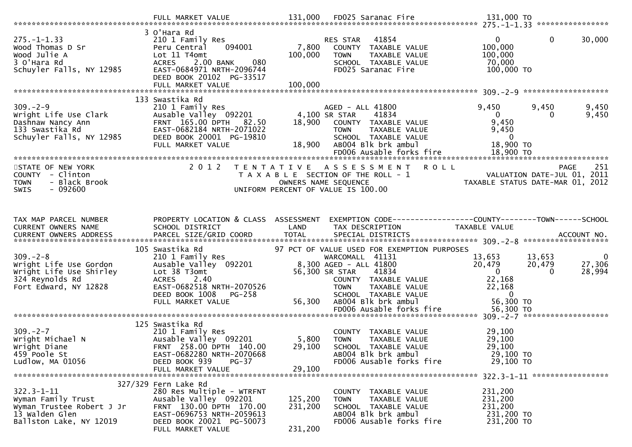|                                                                                                                  | FULL MARKET VALUE                                                                                                                                                                    | 131,000                       | FD025 Saranac Fire                                                                                                                                                                                                                                     | 131,000 TO                                                                                         |                                                                                       |
|------------------------------------------------------------------------------------------------------------------|--------------------------------------------------------------------------------------------------------------------------------------------------------------------------------------|-------------------------------|--------------------------------------------------------------------------------------------------------------------------------------------------------------------------------------------------------------------------------------------------------|----------------------------------------------------------------------------------------------------|---------------------------------------------------------------------------------------|
| $275. - 1 - 1.33$<br>Wood Thomas D Sr<br>Wood Julie A<br>3 O'Hara Rd<br>Schuyler Falls, NY 12985                 | 3 O'Hara Rd<br>210 1 Family Res<br>094001<br>Peru Central<br>Lot 11 T4omt<br>ACRES 2.00 BANK<br>080<br>EAST-0684971 NRTH-2096744<br>DEED BOOK 20102 PG-33517<br>FULL MARKET VALUE    | 7,800<br>100,000<br>100,000   | RES STAR<br>41854<br>COUNTY TAXABLE VALUE<br>TAXABLE VALUE<br><b>TOWN</b><br>SCHOOL TAXABLE VALUE<br>FD025 Saranac Fire                                                                                                                                | $\overline{0}$<br>100,000<br>100,000<br>70,000<br>100,000 TO                                       | $\mathbf{0}$<br>30,000                                                                |
|                                                                                                                  |                                                                                                                                                                                      |                               |                                                                                                                                                                                                                                                        |                                                                                                    |                                                                                       |
| $309. - 2 - 9$<br>Wright Life Use Clark<br>Dashnaw Nancy Ann<br>133 Swastika Rd<br>Schuyler Falls, NY 12985      | 133 Swastika Rd<br>210 1 Family Res<br>Ausable Valley 092201<br>FRNT 165.00 DPTH<br>82.50<br>EAST-0682184 NRTH-2071022<br>DEED BOOK 20001 PG-19810<br>FULL MARKET VALUE              | 18,900                        | AGED - ALL 41800<br>4,100 SR STAR<br>41834<br>18,900 COUNTY TAXABLE VALUE<br><b>TOWN</b><br>TAXABLE VALUE<br>SCHOOL TAXABLE VALUE<br>AB004 Blk brk ambul<br>FD006 Ausable forks fire                                                                   | 9,450<br>$\mathbf{0}$<br>9,450<br>9,450<br>$\overline{0}$<br>18,900 TO<br>18,900 TO                | 9,450<br>9,450<br>$\Omega$<br>9,450                                                   |
| STATE OF NEW YORK<br>COUNTY - Clinton<br><b>TOWN</b><br>- Black Brook<br><b>SWIS</b><br>- 092600                 | 2 0 1 2                                                                                                                                                                              |                               | TENTATIVE ASSESSMENT<br><b>ROLL</b><br>T A X A B L E SECTION OF THE ROLL - 1<br>OWNERS NAME SEQUENCE<br>UNIFORM PERCENT OF VALUE IS 100.00                                                                                                             |                                                                                                    | 251<br><b>PAGE</b><br>VALUATION DATE-JUL 01, 2011<br>TAXABLE STATUS DATE-MAR 01, 2012 |
| TAX MAP PARCEL NUMBER<br>CURRENT OWNERS NAME                                                                     | PROPERTY LOCATION & CLASS ASSESSMENT<br>SCHOOL DISTRICT                                                                                                                              | LAND                          | EXEMPTION CODE-----------------COUNTY-------TOWN------SCHOOL<br>TAX DESCRIPTION                                                                                                                                                                        | TAXABLE VALUE                                                                                      |                                                                                       |
| $309. - 2 - 8$<br>Wright Life Use Gordon<br>Wright Life Use Shirley<br>324 Reynolds Rd<br>Fort Edward, NY 12828  | 105 Swastika Rd<br>210 1 Family Res<br>Ausable Valley 092201<br>Lot 38 T3omt<br>2.40<br><b>ACRES</b><br>EAST-0682518 NRTH-2070526<br>DEED BOOK 1008<br>$PG-258$<br>FULL MARKET VALUE | 56,300                        | 97 PCT OF VALUE USED FOR EXEMPTION PURPOSES<br>WARCOMALL 41131<br>8,300 AGED - ALL 41800<br>56,300 SR STAR<br>41834<br>COUNTY TAXABLE VALUE<br>TAXABLE VALUE<br><b>TOWN</b><br>SCHOOL TAXABLE VALUE<br>AB004 Blk brk ambul<br>FD006 Ausable forks fire | 13,653<br>20,479<br>$\overline{0}$<br>22,168<br>22,168<br>$\overline{0}$<br>56,300 TO<br>56,300 TO | $\mathbf 0$<br>13,653<br>27,306<br>20,479<br>28,994<br>$\Omega$                       |
| $309. - 2 - 7$<br>Wright Michael N<br>Wright Diane<br>459 Poole St<br>Ludlow, MA 01056                           | 125 Swastika Rd<br>210 1 Family Res<br>Ausable Valley 092201<br>FRNT 258.00 DPTH 140.00<br>EAST-0682280 NRTH-2070668<br>DEED BOOK 939<br>$PG-37$<br>FULL MARKET VALUE                | 5,800<br>29,100<br>29,100     | COUNTY TAXABLE VALUE<br><b>TOWN</b><br><b>TAXABLE VALUE</b><br>SCHOOL TAXABLE VALUE<br>AB004 Blk brk ambul<br>FD006 Ausable forks fire                                                                                                                 | 29,100<br>29,100<br>29,100<br>29,100 TO<br>29,100 TO                                               |                                                                                       |
| $322.3 - 1 - 11$<br>Wyman Family Trust<br>Wyman Trustee Robert J Jr<br>13 Walden Glen<br>Ballston Lake, NY 12019 | 327/329 Fern Lake Rd<br>280 Res Multiple - WTRFNT<br>Ausable Valley 092201<br>FRNT 130.00 DPTH 170.00<br>EAST-0696753 NRTH-2059613<br>DEED BOOK 20021 PG-50073<br>FULL MARKET VALUE  | 125,200<br>231,200<br>231,200 | COUNTY TAXABLE VALUE<br>TAXABLE VALUE<br><b>TOWN</b><br>SCHOOL TAXABLE VALUE<br>AB004 Blk brk ambul<br>FD006 Ausable forks fire                                                                                                                        | 231,200<br>231,200<br>231,200<br>231,200 TO<br>231,200 TO                                          |                                                                                       |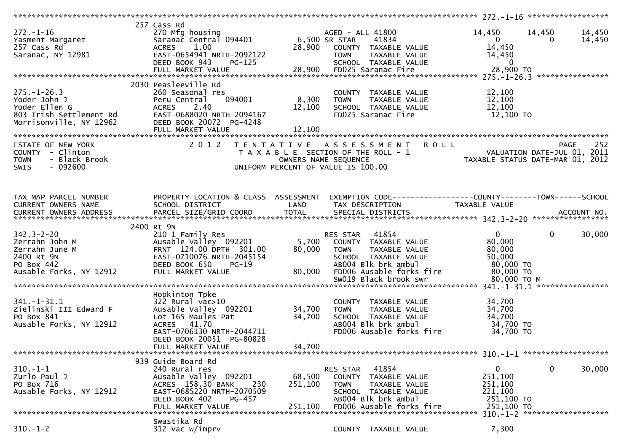| 272.-1-16<br>Yasment Margaret<br>257 Cass Rd<br>Saranac, NY 12981                                           | 257 Cass Rd<br>270 Mfg housing<br>1.00<br><b>ACRES</b><br>EAST-0654941 NRTH-2092122<br>DEED BOOK 943<br><b>PG-125</b><br>FULL MARKET VALUE                                                  |                                | AGED - ALL 41800<br>41834<br>28,900 COUNTY TAXABLE VALUE<br><b>TOWN</b><br>TAXABLE VALUE<br>TAXABLE VALUE<br>aranac Fire<br>SCHOOL TAXABLE VALUE<br>28,900 FD025 Saranac Fire | 14,450<br>$\begin{bmatrix} 0 \end{bmatrix}$<br>14,450<br>14,450<br>$\overline{\phantom{0}}$ 0<br>28,900 TO | 14,450<br>14,450<br>14,450<br>$\Omega$ |
|-------------------------------------------------------------------------------------------------------------|---------------------------------------------------------------------------------------------------------------------------------------------------------------------------------------------|--------------------------------|-------------------------------------------------------------------------------------------------------------------------------------------------------------------------------|------------------------------------------------------------------------------------------------------------|----------------------------------------|
|                                                                                                             | 2030 Peasleeville Rd                                                                                                                                                                        | 8,300 TOWN<br>12,100<br>12,100 | COUNTY TAXABLE VALUE<br>TAXABLE VALUE<br>SCHOOL TAXABLE VALUE<br>FD025 Saranac Fire                                                                                           | 12,100<br>12,100<br>12,100<br>12,100 TO                                                                    |                                        |
| STATE OF NEW YORK<br>COUNTY - Clinton<br>- Black Brook<br><b>TOWN</b><br>$-092600$<br><b>SWIS</b>           |                                                                                                                                                                                             |                                | 2012 TENTATIVE ASSESSMENT ROLL<br>T A X A B L E SECTION OF THE ROLL - 1<br>OWNERS NAME SEQUENCE<br>OWNERS NAME STATUS DATE-MAR 01, 2012<br>UNIFORM PERCENT OF VALUE IS 100.00 |                                                                                                            | 252<br>PAGE                            |
| TAX MAP PARCEL NUMBER<br>CURRENT OWNERS NAME                                                                | SCHOOL DISTRICT<br><b>Example 18 The LAND</b>                                                                                                                                               |                                | PROPERTY LOCATION & CLASS ASSESSMENT EXEMPTION CODE----------------COUNTY-------TOWN------SCHOOL<br>TAX DESCRIPTION                                                           | TAXABLE VALUE                                                                                              |                                        |
| $342.3 - 2 - 20$<br>Zerrahn John M<br>Zerrahn June M<br>2400 Rt 9N<br>PO Box 442<br>Ausable Forks, NY 12912 | 2400 Rt 9N<br>210 1 Family Res<br>Ausable Valley 092201 5,700 COUNTY TAXABLE VALUE<br>FRNT 124.00 DPTH 301.00<br>EAST-0710076 NRTH-2045154<br>DEED BOOK 650<br>$PG-19$<br>FULL MARKET VALUE | 80,000                         | <b>RES STAR 41854</b><br>80,000 TOWN<br>TAXABLE VALUE<br>SCHOOL TAXABLE VALUE<br>AB004 Blk brk ambul<br>FD006 Ausable forks fire<br>SW019 Black brook swr                     | $\overline{0}$<br>80,000<br>80,000<br>50,000<br>80,000 TO<br>80,000 TO<br>80,000 то м                      | $\overline{0}$<br>30,000               |
| $341. - 1 - 31.1$<br>Zielinski III Edward F<br>PO Box 841<br>Ausable Forks, NY 12912                        | Hopkinton Tpke<br>322 Rural vac>10<br>Ausable Valley 092201 34,700<br>Lot 165 Maules Pat<br>ACRES 41.70<br>EAST-0706130 NRTH-2044711<br>DEED BOOK 20051 PG-80828<br>FULL MARKET VALUE       | 34,700<br>34,700               | COUNTY TAXABLE VALUE<br><b>TOWN</b><br>TAXABLE VALUE<br>SCHOOL TAXABLE VALUE<br>AB004 Blk brk ambul<br>FD006 Ausable forks fire                                               | 34,700<br>34,700<br>34,700<br>34,700 TO<br>34,700 TO                                                       | ****************                       |
| $310. - 1 - 1$                                                                                              | 939 Guide Board Rd<br>240 Rural res                                                                                                                                                         |                                |                                                                                                                                                                               | $\mathbf{0}$                                                                                               | 30,000<br>$\mathbf 0$                  |
| Zurlo Paul J<br>PO Box 716<br>Ausable Forks, NY 12912                                                       | Ausable Valley 092201<br>ACRES 158.30 BANK<br>230<br>EAST-0685220 NRTH-2070509<br>DEED BOOK 402<br>PG-457<br>FULL MARKET VALUE                                                              | 68,500<br>251,100<br>251.100   | 41854<br>RES STAR<br>COUNTY TAXABLE VALUE<br><b>TOWN</b><br>TAXABLE VALUE<br>SCHOOL TAXABLE VALUE<br>AB004 Blk brk ambul<br>FD006 Ausable forks fire                          | 251,100<br>251,100<br>221,100<br>251,100 TO<br>251,100 TO                                                  |                                        |
| $310. - 1 - 2$                                                                                              | Swastika Rd<br>312 Vac w/imprv                                                                                                                                                              |                                | COUNTY TAXABLE VALUE                                                                                                                                                          | 7,300                                                                                                      |                                        |
|                                                                                                             |                                                                                                                                                                                             |                                |                                                                                                                                                                               |                                                                                                            |                                        |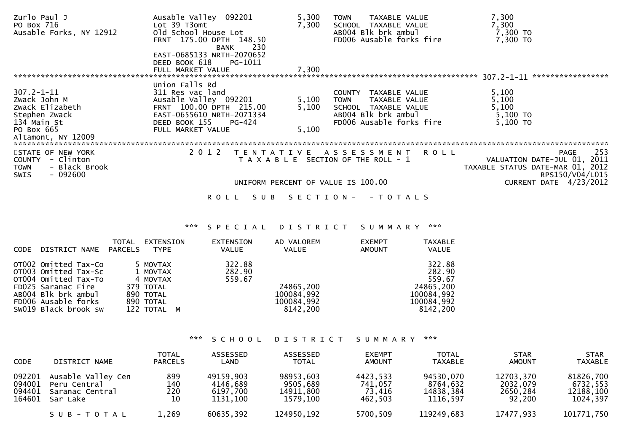| Zurlo Paul J                 | Ausable Valley 092201     | 5,300                              | <b>TOWN</b><br>TAXABLE VALUE          | 7,300                            |                             |
|------------------------------|---------------------------|------------------------------------|---------------------------------------|----------------------------------|-----------------------------|
| PO Box 716                   | Lot 39 T3omt              | 7,300                              | SCHOOL TAXABLE VALUE                  | 7,300                            |                             |
| Ausable Forks, NY 12912      | old School House Lot      |                                    | AB004 Blk brk ambul                   | 7,300 TO                         |                             |
|                              | FRNT 175.00 DPTH 148.50   |                                    | FD006 Ausable forks fire              | 7,300 TO                         |                             |
|                              | 230<br>BANK               |                                    |                                       |                                  |                             |
|                              | EAST-0685133 NRTH-2070652 |                                    |                                       |                                  |                             |
|                              | DEED BOOK 618<br>PG-1011  |                                    |                                       |                                  |                             |
|                              | FULL MARKET VALUE         | 7,300                              |                                       |                                  |                             |
|                              |                           |                                    |                                       | $307.2 - 1 - 11$                 | *****************           |
|                              | Union Falls Rd            |                                    |                                       |                                  |                             |
| $307.2 - 1 - 11$             | 311 Res vac land          |                                    | TAXABLE VALUE<br>COUNTY               | 5,100                            |                             |
| Zwack John M                 | Ausable Valley 092201     | 5,100                              | TAXABLE VALUE<br><b>TOWN</b>          | 5,100                            |                             |
| Zwack Elizabeth              | FRNT 100.00 DPTH 215.00   | 5,100                              | SCHOOL TAXABLE VALUE                  | 5,100                            |                             |
| Stephen Zwack                | EAST-0655610 NRTH-2071334 |                                    | AB004 Blk brk ambul                   | 5,100 TO                         |                             |
| 134 Main St                  | DEED BOOK 155<br>PG-424   |                                    | FD006 Ausable forks fire              | $5,100$ TO                       |                             |
| PO Box 665                   | FULL MARKET VALUE         | 5,100                              |                                       |                                  |                             |
| Altamont, NY 12009           |                           |                                    |                                       |                                  |                             |
|                              |                           |                                    |                                       |                                  |                             |
| STATE OF NEW YORK            | 2 0 1 2                   | T E N T A T I V E                  | A S S E S S M E N T                   | R O L L                          | 253<br>PAGE                 |
| - Clinton<br><b>COUNTY</b>   |                           |                                    | T A X A B L E SECTION OF THE ROLL - 1 |                                  | VALUATION DATE-JUL 01, 2011 |
| - Black Brook<br><b>TOWN</b> |                           |                                    |                                       | TAXABLE STATUS DATE-MAR 01, 2012 |                             |
| $-092600$<br><b>SWIS</b>     |                           |                                    |                                       |                                  | RPS150/V04/L015             |
|                              |                           | UNIFORM PERCENT OF VALUE IS 100.00 |                                       |                                  | CURRENT DATE 4/23/2012      |
|                              |                           |                                    |                                       |                                  |                             |

ROLL SUB SECTION - - TOTALS

### \*\*\* S P E C I A L D I S T R I C T S U M M A R Y \*\*\*

| CODE | DISTRICT NAME                                                                                                                                                    | TOTAL<br><b>PARCELS</b> | EXTENSION<br><b>TYPE</b>                                                               | EXTENSION<br><b>VALUE</b>  | AD VALOREM<br>VALUE                               | <b>EXEMPT</b><br><b>AMOUNT</b> | <b>TAXABLE</b><br>VALUE                                                         |
|------|------------------------------------------------------------------------------------------------------------------------------------------------------------------|-------------------------|----------------------------------------------------------------------------------------|----------------------------|---------------------------------------------------|--------------------------------|---------------------------------------------------------------------------------|
|      | OT002 Omitted Tax-Co<br>OT003 Omitted Tax-Sc<br>OT004 Omitted Tax-To<br>FD025 Saranac Fire<br>AB004 Blk brk ambul<br>FD006 Ausable forks<br>SW019 Black brook sw |                         | 5 MOVTAX<br>1 MOVTAX<br>4 MOVTAX<br>379 TOTAL<br>890 TOTAL<br>890 TOTAL<br>122 TOTAL M | 322.88<br>282.90<br>559.67 | 24865,200<br>100084,992<br>100084,992<br>8142,200 |                                | 322.88<br>282.90<br>559.67<br>24865,200<br>100084,992<br>100084,992<br>8142,200 |

\*\*\* S C H O O L D I S T R I C T S U M M A R Y \*\*\*

| <b>CODE</b>                          | DISTRICT NAME                                                     | <b>TOTAL</b><br><b>PARCELS</b> | ASSESSED<br>LAND                              | ASSESSED<br><b>TOTAL</b>                       | <b>EXEMPT</b><br><b>AMOUNT</b>           | <b>TOTAL</b><br><b>TAXABLE</b>                 | <b>STAR</b><br><b>AMOUNT</b>                | <b>STAR</b><br><b>TAXABLE</b>                  |
|--------------------------------------|-------------------------------------------------------------------|--------------------------------|-----------------------------------------------|------------------------------------------------|------------------------------------------|------------------------------------------------|---------------------------------------------|------------------------------------------------|
| 092201<br>094001<br>094401<br>164601 | Ausable Valley Cen<br>Peru Central<br>Saranac Central<br>Sar Lake | 899<br>140<br>220<br>10        | 49159,903<br>4146,689<br>6197.700<br>1131,100 | 98953,603<br>9505,689<br>14911.800<br>1579,100 | 4423,533<br>741,057<br>73.416<br>462,503 | 94530,070<br>8764,632<br>14838,384<br>1116,597 | 12703,370<br>2032,079<br>2650,284<br>92,200 | 81826,700<br>6732,553<br>12188,100<br>1024,397 |
|                                      | SUB-TOTAL                                                         | 1,269                          | 60635,392                                     | 124950,192                                     | 5700.509                                 | 119249,683                                     | 17477,933                                   | 101771,750                                     |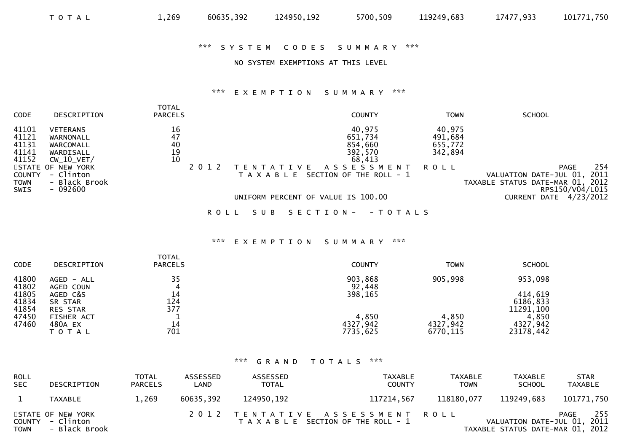#### \*\*\* S Y S T E M C O D E S S U M M A R Y \*\*\*

## NO SYSTEM EXEMPTIONS AT THIS LEVEL

#### \*\*\* E X E M P T I O N S U M M A R Y \*\*\*

| CODE                                      | DESCRIPTION                                                            | <b>TOTAL</b><br><b>PARCELS</b>        | <b>COUNTY</b>                                                                                                | <b>SCHOOL</b><br><b>TOWN</b>                                                                                                              |
|-------------------------------------------|------------------------------------------------------------------------|---------------------------------------|--------------------------------------------------------------------------------------------------------------|-------------------------------------------------------------------------------------------------------------------------------------------|
| 41101<br>41121<br>41131<br>41141<br>41152 | <b>VETERANS</b><br>WARNONALL<br>WARCOMALL<br>WARDISALL<br>$CW_10_VET/$ | 16<br>47<br>40<br>$\substack{19\\10}$ | 40,975<br>651,734<br>854,660<br>392,570<br>68,413                                                            | 40,975<br>491,684<br>655,772<br>342,894                                                                                                   |
| COUNTY<br>TOWN<br>SWIS                    | STATE OF NEW YORK<br>- Clinton<br>- Black Brook<br>$-092600$           |                                       | A S S E S S M E N T<br>VF.<br>SECTION OF THE ROLL - 1<br>T A X A B L E<br>UNIFORM PERCENT OF VALUE IS 100.00 | 254<br>PAGE<br>ROLL<br>2011<br>VALUATION DATE-JUL 01,<br>TAXABLE STATUS DATE-MAR 01, 2012<br>RPS150/V04/L015<br>4/23/2012<br>CURRENT DATE |
|                                           |                                                                        | ROLL                                  | S E C T I O N -<br>SUB<br>- T O T A L S                                                                      |                                                                                                                                           |

#### \*\*\* E X E M P T I O N S U M M A R Y \*\*\*

| <b>CODE</b>             | DESCRIPTION                            | <b>TOTAL</b><br><b>PARCELS</b> | <b>COUNTY</b>                 | <b>TOWN</b>                   | <b>SCHOOL</b>                     |
|-------------------------|----------------------------------------|--------------------------------|-------------------------------|-------------------------------|-----------------------------------|
| 41800<br>41802          | AGED - ALL<br>AGED COUN                | 35<br>4                        | 903,868<br>92,448             | 905,998                       | 953,098                           |
| 41805<br>41834<br>41854 | AGED C&S<br>SR STAR<br><b>RES STAR</b> | 14<br>124<br>377               | 398,165                       |                               | 414,619<br>6186,833<br>11291, 100 |
| 47450<br>47460          | FISHER ACT<br>480A EX<br>T O T A L     | 14<br>701                      | 4,850<br>4327,942<br>7735,625 | 4,850<br>4327,942<br>6770,115 | 4,850<br>4327,942<br>23178,442    |

## \*\*\* G R A N D T O T A L S \*\*\*

| <b>ROLL</b><br><b>SEC</b> | DESCRIPTION                                            | <b>TOTAL</b><br><b>PARCELS</b> | ASSESSED<br>LAND | ASSESSED<br><b>TOTAL</b> | TAXABLE<br><b>COUNTY</b>                                                | <b>TAXABLE</b><br><b>TOWN</b> | TAXABLE<br><b>SCHOOL</b>                                        | <b>STAR</b><br><b>TAXABLE</b> |
|---------------------------|--------------------------------------------------------|--------------------------------|------------------|--------------------------|-------------------------------------------------------------------------|-------------------------------|-----------------------------------------------------------------|-------------------------------|
|                           | TAXABLE                                                | 1,269                          | 60635,392        | 124950,192               | 117214,567                                                              | 118180,077                    | 119249,683                                                      | 101771,750                    |
| <b>TOWN</b>               | STATE OF NEW YORK<br>COUNTY - Clinton<br>- Black Brook |                                |                  |                          | 2012 TENTATIVE ASSESSMENT ROLL<br>T A X A B L E SECTION OF THE ROLL - 1 |                               | VALUATION DATE-JUL 01, 2011<br>TAXABLE STATUS DATE-MAR 01, 2012 | 255<br>PAGE                   |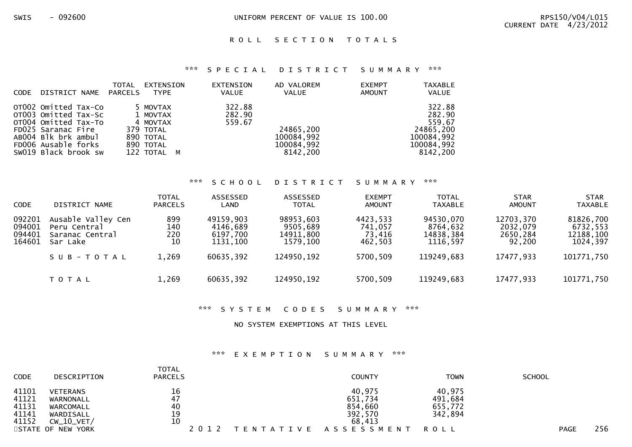### ROLL SECTION TOTALS

#### \*\*\* S P E C I A L D I S T R I C T S U M M A R Y \*\*\*

| <b>CODE</b> | DISTRICT NAME                                                                                                                                                    | TOTAL<br>PARCELS | EXTENSION<br><b>TYPE</b>                                                               | EXTENSION<br><b>VALUE</b>  | AD VALOREM<br><b>VALUE</b>                        | <b>EXEMPT</b><br>AMOUNT | <b>TAXABLE</b><br><b>VALUE</b>                                                  |
|-------------|------------------------------------------------------------------------------------------------------------------------------------------------------------------|------------------|----------------------------------------------------------------------------------------|----------------------------|---------------------------------------------------|-------------------------|---------------------------------------------------------------------------------|
|             | OTO02 Omitted Tax-Co<br>OT003 Omitted Tax-Sc<br>OT004 Omitted Tax-To<br>FD025 Saranac Fire<br>ABOO4 Blk brk ambul<br>FD006 Ausable forks<br>SW019 Black brook sw |                  | 5 MOVTAX<br>1 MOVTAX<br>4 MOVTAX<br>379 TOTAL<br>890 TOTAL<br>890 TOTAL<br>122 TOTAL M | 322.88<br>282.90<br>559.67 | 24865,200<br>100084,992<br>100084,992<br>8142,200 |                         | 322.88<br>282.90<br>559.67<br>24865,200<br>100084,992<br>100084,992<br>8142,200 |

#### \*\*\* S C H O O L D I S T R I C T S U M M A R Y \*\*\*

| <b>CODE</b>                          | DISTRICT NAME                                                     | <b>TOTAL</b><br><b>PARCELS</b> | ASSESSED<br>LAND                              | ASSESSED<br><b>TOTAL</b>                       | <b>EXEMPT</b><br>AMOUNT                  | <b>TOTAL</b><br><b>TAXABLE</b>                 | <b>STAR</b><br>AMOUNT                       | <b>STAR</b><br><b>TAXABLE</b>                  |
|--------------------------------------|-------------------------------------------------------------------|--------------------------------|-----------------------------------------------|------------------------------------------------|------------------------------------------|------------------------------------------------|---------------------------------------------|------------------------------------------------|
| 092201<br>094001<br>094401<br>164601 | Ausable Valley Cen<br>Peru Central<br>Saranac Central<br>Sar Lake | 899<br>140<br>220<br>10        | 49159,903<br>4146,689<br>6197,700<br>1131,100 | 98953,603<br>9505,689<br>14911,800<br>1579,100 | 4423,533<br>741,057<br>73,416<br>462,503 | 94530,070<br>8764,632<br>14838,384<br>1116,597 | 12703,370<br>2032,079<br>2650,284<br>92,200 | 81826,700<br>6732,553<br>12188,100<br>1024,397 |
|                                      | SUB-TOTAL                                                         | 1,269                          | 60635,392                                     | 124950,192                                     | 5700,509                                 | 119249,683                                     | 17477,933                                   | 101771,750                                     |
|                                      | T O T A L                                                         | 1,269                          | 60635,392                                     | 124950,192                                     | 5700,509                                 | 119249,683                                     | 17477,933                                   | 101771,750                                     |

#### \*\*\* S Y S T E M C O D E S S U M M A R Y \*\*\*

NO SYSTEM EXEMPTIONS AT THIS LEVEL

#### \*\*\* E X E M P T I O N S U M M A R Y \*\*\*

|      | <b>COUNTY</b>              | <b>TOWN</b>                     | <b>SCHOOL</b> |              |
|------|----------------------------|---------------------------------|---------------|--------------|
|      | 40,975                     | 40,975                          |               |              |
| 47   | 651,734                    | 491,684                         |               |              |
|      |                            |                                 |               |              |
| 19   | 392,570                    | 342,894                         |               |              |
| 10   | 68,413                     |                                 |               |              |
| 2012 |                            | ROLL                            | <b>PAGE</b>   | 256          |
|      | <b>PARCELS</b><br>16<br>40 | 854,660<br>TENTATIVE ASSESSMENT | 655,772       | <b>TOTAL</b> |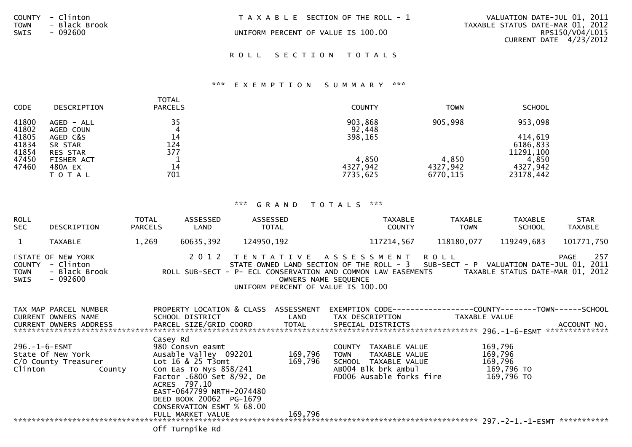| <b>TOWN</b><br>SWIS | COUNTY - Clinton<br>- Black Brook | T A X A B L E SECTION OF THE ROLL - 1 | VALUATION DATE-JUL 01, 2011<br>TAXABLE STATUS DATE-MAR 01, 2012 |  |  |
|---------------------|-----------------------------------|---------------------------------------|-----------------------------------------------------------------|--|--|
|                     | - 092600                          | UNIFORM PERCENT OF VALUE IS 100.00    | RPS150/V04/L015<br>CURRENT DATE 4/23/2012                       |  |  |
|                     |                                   | ROLL SECTION TOTALS                   |                                                                 |  |  |

## \*\*\* E X E M P T I O N S U M M A R Y \*\*\*

| <b>CODE</b>             | <b>DESCRIPTION</b>                     | TOTAL<br><b>PARCELS</b> | <b>COUNTY</b>                 | <b>TOWN</b>                   | <b>SCHOOL</b>                    |
|-------------------------|----------------------------------------|-------------------------|-------------------------------|-------------------------------|----------------------------------|
| 41800<br>41802          | AGED - ALL<br>AGED COUN                | 35<br>4                 | 903,868<br>92,448             | 905,998                       | 953,098                          |
| 41805<br>41834<br>41854 | AGED C&S<br>SR STAR<br><b>RES STAR</b> | 14<br>124<br>377        | 398,165                       |                               | 414,619<br>6186,833<br>11291,100 |
| 47450<br>47460          | <b>FISHER ACT</b><br>480A EX<br>ΤΟΤΑΙ  | 14<br>701               | 4,850<br>4327,942<br>7735,625 | 4,850<br>4327,942<br>6770,115 | 4,850<br>4327,942<br>23178,442   |

# \*\*\* G R A N D T O T A L S \*\*\*

| <b>ROLL</b><br><b>SEC</b>            | DESCRIPTION                                                                          | <b>TOTAL</b><br><b>PARCELS</b> | ASSESSED<br>LAND                                                        | ASSESSED   | <b>TOTAL</b>                                                                            |                  | <b>TAXABLE</b><br><b>COUNTY</b>      |                         | <b>TAXABLE</b><br><b>TOWN</b> | <b>TAXABLE</b><br><b>SCHOOL</b> | <b>STAR</b><br><b>TAXABLE</b>                                                                                                        |
|--------------------------------------|--------------------------------------------------------------------------------------|--------------------------------|-------------------------------------------------------------------------|------------|-----------------------------------------------------------------------------------------|------------------|--------------------------------------|-------------------------|-------------------------------|---------------------------------|--------------------------------------------------------------------------------------------------------------------------------------|
| 1                                    | <b>TAXABLE</b>                                                                       | 1,269                          | 60635,392                                                               | 124950,192 |                                                                                         |                  | 117214,567                           | 118180,077              |                               | 119249,683                      | 101771,750                                                                                                                           |
| <b>COUNTY</b><br><b>TOWN</b><br>SWIS | STATE OF NEW YORK<br>- Clinton<br>- Black Brook<br>$-092600$                         |                                | 2 0 1 2<br>ROLL SUB-SECT - P- ECL CONSERVATION AND COMMON LAW EASEMENTS |            | TENTATIVE ASSESSMENT ROLL<br>OWNERS NAME SEQUENCE<br>UNIFORM PERCENT OF VALUE IS 100.00 |                  |                                      |                         |                               |                                 | 257<br>PAGE<br>STATE OWNED LAND SECTION OF THE ROLL - 3 SUB-SECT - P VALUATION DATE-JUL 01, 2011<br>TAXABLE STATUS DATE-MAR 01, 2012 |
|                                      | TAX MAP PARCEL NUMBER<br><b>CURRENT OWNERS NAME</b><br><b>CURRENT OWNERS ADDRESS</b> |                                | PROPERTY LOCATION & CLASS<br>SCHOOL DISTRICT<br>PARCEL SIZE/GRID COORD  |            | ASSESSMENT<br>LAND<br>TOTAL                                                             | EXEMPTION CODE-- | TAX DESCRIPTION<br>SPECIAL DISTRICTS | -----------COUNTY------ | TAXABLE VALUE                 |                                 | $---TOWN---$<br>-SCHOOL<br>ACCOUNT NO.<br>**************                                                                             |
| $296. - 1 - 6 - ESMT$                |                                                                                      | Casey Rd                       | 980 Consyn easmt                                                        |            |                                                                                         |                  | COUNTY TAXABLE VALUE                 |                         |                               | 169.796                         |                                                                                                                                      |

| 296.-1-6-ESMT<br>State Of New York<br>C/O County Treasurer |  | 980 Consvn easmt<br>Ausable Valley 092201<br>Lot $16$ & $25$ T3omt                                                                                                              | 169.796<br>169,796 | TAXABLE VALUE<br><b>COUNTY</b><br>TAXABLE VALUE<br><b>TOWN</b><br>SCHOOL TAXABLE VALUE | 169,796<br>169,796<br>169,796 |
|------------------------------------------------------------|--|---------------------------------------------------------------------------------------------------------------------------------------------------------------------------------|--------------------|----------------------------------------------------------------------------------------|-------------------------------|
| Clinton<br>County                                          |  | Con Eas To Nys $858/241$<br>Factor .6800 Set 8/92, De<br>ACRES 797.10<br>EAST-0647799 NRTH-2074480<br>DEED BOOK 20062 PG-1679<br>CONSERVATION ESMT % 68.00<br>FULL MARKET VALUE | 169,796            | ABOO4 Blk brk ambul<br>FD006 Ausable forks fire                                        | 169,796 TO<br>169,796 TO      |
|                                                            |  |                                                                                                                                                                                 |                    |                                                                                        | ***********                   |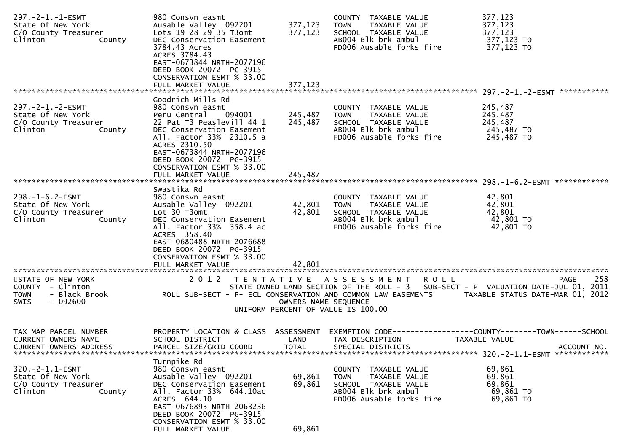| 297. - 2 - 1. - 1 - ESMT<br>State Of New York<br>C/O County Treasurer<br>Clinton<br>County        | 980 Consvn easmt<br>Ausable Valley 092201<br>Lots 19 28 29 35 T3omt<br>DEC Conservation Easement<br>3784.43 Acres<br>ACRES 3784.43<br>EAST-0673844 NRTH-2077196<br>DEED BOOK 20072 PG-3915<br>CONSERVATION ESMT % 33.00                     | 377,123<br>377,123         | COUNTY TAXABLE VALUE<br><b>TOWN</b><br>TAXABLE VALUE<br>SCHOOL TAXABLE VALUE<br>AB004 Blk brk ambul<br>FD006 Ausable forks fire        | 377,123<br>377,123<br>377,123<br>377,123 TO<br>377,123 TO |
|---------------------------------------------------------------------------------------------------|---------------------------------------------------------------------------------------------------------------------------------------------------------------------------------------------------------------------------------------------|----------------------------|----------------------------------------------------------------------------------------------------------------------------------------|-----------------------------------------------------------|
| 297. - 2 - 1. - 2 - ESMT                                                                          | Goodrich Mills Rd<br>980 Consyn easmt                                                                                                                                                                                                       |                            |                                                                                                                                        | 245,487                                                   |
| State Of New York<br>C/O County Treasurer<br>Clinton<br>County                                    | Peru Central<br>094001<br>22 Pat T3 Peaslevill 44 1<br>DEC Conservation Easement<br>All. Factor 33% 2310.5 a<br>ACRES 2310.50<br>EAST-0673844 NRTH-2077196<br>DEED BOOK 20072 PG-3915                                                       | 245,487<br>245,487         | COUNTY TAXABLE VALUE<br><b>TOWN</b><br>TAXABLE VALUE<br>SCHOOL TAXABLE VALUE<br>AB004 Blk brk ambul<br>FD006 Ausable forks fire        | 245,487<br>245,487<br>245,487 TO<br>245,487 TO            |
|                                                                                                   | CONSERVATION ESMT % 33.00                                                                                                                                                                                                                   | 245,487                    |                                                                                                                                        |                                                           |
|                                                                                                   | FULL MARKET VALUE                                                                                                                                                                                                                           |                            |                                                                                                                                        |                                                           |
| 298. -1-6.2-ESMT<br>State Of New York<br>C/O County Treasurer<br>Clinton<br>County                | Swastika Rd<br>980 Consvn easmt<br>Ausable Valley 092201<br>Lot 30 T3omt<br>DEC Conservation Easement<br>All. Factor 33% 358.4 ac<br>ACRES 358.40<br>EAST-0680488 NRTH-2076688                                                              | 42,801<br>42,801           | COUNTY TAXABLE VALUE<br>TAXABLE VALUE<br>TOWN<br>SCHOOL TAXABLE VALUE<br>AB004 Blk brk ambul<br>FD006 Ausable forks fire               | 42,801<br>42,801<br>42,801<br>42,801 TO<br>42,801 TO      |
|                                                                                                   | DEED BOOK 20072 PG-3915<br>CONSERVATION ESMT % 33.00                                                                                                                                                                                        | 42.801                     |                                                                                                                                        |                                                           |
|                                                                                                   | FULL MARKET VALUE                                                                                                                                                                                                                           |                            |                                                                                                                                        |                                                           |
| STATE OF NEW YORK<br>COUNTY - Clinton<br>- Black Brook<br><b>TOWN</b><br>$-092600$<br><b>SWIS</b> | 2012 TENTATIVE ASSESSMENT<br>ROLL SUB-SECT - P- ECL CONSERVATION AND COMMON LAW EASEMENTS                                                                                                                                                   | OWNERS NAME SEQUENCE       | <b>ROLL</b><br>STATE OWNED LAND SECTION OF THE ROLL - 3 SUB-SECT - P VALUATION DATE-JUL 01, 2011<br>UNIFORM PERCENT OF VALUE IS 100.00 | 258<br>PAGE<br>TAXABLE STATUS DATE-MAR 01, 2012           |
| TAX MAP PARCEL NUMBER<br><b>CURRENT OWNERS NAME</b><br><b>CURRENT OWNERS ADDRESS</b>              | PROPERTY LOCATION & CLASS ASSESSMENT<br>SCHOOL DISTRICT<br>PARCEL SIZE/GRID COORD                                                                                                                                                           | LAND<br><b>TOTAL</b>       | EXEMPTION CODE-----------------COUNTY-------TOWN------SCHOOL<br>TAX DESCRIPTION<br>SPECIAL DISTRICTS                                   | <b>TAXABLE VALUE</b><br>ACCOUNT NO.                       |
| $320. -2 - 1.1 - ESMT$<br>State Of New York<br>C/O County Treasurer<br>Clinton<br>County          | Turnpike Rd<br>980 Consvn easmt<br>Ausable Valley 092201<br>DEC Conservation Easement<br>All. Factor 33% 644.10ac<br>ACRES 644.10<br>EAST-0676893 NRTH-2063236<br>DEED BOOK 20072 PG-3915<br>CONSERVATION ESMT % 33.00<br>FULL MARKET VALUE | 69,861<br>69,861<br>69,861 | COUNTY TAXABLE VALUE<br>TAXABLE VALUE<br><b>TOWN</b><br>SCHOOL TAXABLE VALUE<br>AB004 Blk brk ambul<br>FD006 Ausable forks fire        | 69,861<br>69,861<br>69,861<br>69,861 TO<br>69,861 TO      |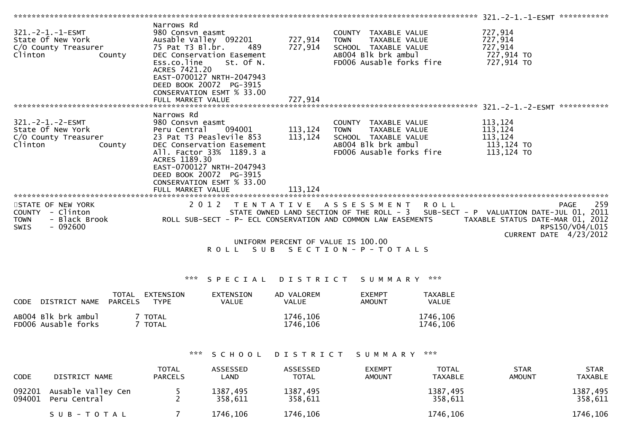| $321. -2 - 1. -1 - ESMT$<br>State Of New York<br>C/O County Treasurer<br>Clinton<br>County          | Narrows Rd<br>980 Consvn easmt<br>Ausable Valley 092201<br>75 Pat T3 B1.br.<br>489<br>DEC Conservation Easement<br>Ess.co.line<br>St. Of N.<br>ACRES 7421.20<br>EAST-0700127 NRTH-2047943<br>DEED BOOK 20072 PG-3915<br>CONSERVATION ESMT % 33.00          | 727,914<br>727,914            | COUNTY TAXABLE VALUE<br><b>TOWN</b><br>TAXABLE VALUE<br>SCHOOL TAXABLE VALUE<br>AB004 Blk brk ambul<br>FD006 Ausable forks fire                      | 727,914<br>727,914<br>727,914<br>727,914 TO<br>727,914 TO  |                                |
|-----------------------------------------------------------------------------------------------------|------------------------------------------------------------------------------------------------------------------------------------------------------------------------------------------------------------------------------------------------------------|-------------------------------|------------------------------------------------------------------------------------------------------------------------------------------------------|------------------------------------------------------------|--------------------------------|
|                                                                                                     | Narrows Rd                                                                                                                                                                                                                                                 |                               |                                                                                                                                                      |                                                            |                                |
| $321. - 2 - 1. - 2 - ESMT$<br>State Of New York<br>C/O County Treasurer<br>Clinton<br>County        | 980 Consvn easmt<br>Peru Central<br>094001<br>23 Pat T3 Peaslevile 853<br>DEC Conservation Easement<br>All. Factor 33% 1189.3 a<br>ACRES 1189.30<br>EAST-0700127 NRTH-2047943<br>DEED BOOK 20072 PG-3915<br>CONSERVATION ESMT % 33.00<br>FULL MARKET VALUE | 113,124<br>113,124<br>113,124 | COUNTY TAXABLE VALUE<br>TAXABLE VALUE<br><b>TOWN</b><br>SCHOOL TAXABLE VALUE<br>AB004 Blk brk ambul<br>FD006 Ausable forks fire                      | 113,124<br>113,124<br>113,124<br>113,124 TO<br>113,124 TO  |                                |
| STATE OF NEW YORK<br>- Clinton<br><b>COUNTY</b><br>- Black Brook<br><b>TOWN</b><br>- 092600<br>SWIS | 2 0 1 2<br>ROLL SUB-SECT - P- ECL CONSERVATION AND COMMON LAW EASEMENTS                                                                                                                                                                                    |                               | TENTATIVE ASSESSMENT ROLL<br>STATE OWNED LAND SECTION OF THE ROLL - 3 SUB-SECT - P VALUATION DATE-JUL 01, 2011<br>UNIFORM PERCENT OF VALUE IS 100.00 | TAXABLE STATUS DATE-MAR 01, 2012<br>CURRENT DATE 4/23/2012 | 259<br>PAGE<br>RPS150/V04/L015 |
|                                                                                                     | S U B<br>R O L L                                                                                                                                                                                                                                           |                               | S E C T I O N - P - T O T A L S                                                                                                                      |                                                            |                                |
|                                                                                                     |                                                                                                                                                                                                                                                            |                               |                                                                                                                                                      |                                                            |                                |

# \*\*\* SPECIAL DISTRICT SUMMARY \*\*\*

| CODE | DISTRICT NAME                              | TOTAL<br>EXTENSION<br>PARCELS<br>TYPE | <b>EXTENSION</b><br>VALUE | AD VALOREM<br><b>VALUE</b> | <b>EXEMPT</b><br><b>AMOUNT</b> | TAXABLE<br><b>VALUE</b> |
|------|--------------------------------------------|---------------------------------------|---------------------------|----------------------------|--------------------------------|-------------------------|
|      | ABOO4 Blk brk ambul<br>FD006 Ausable forks | TOTAL<br><b>TOTAL</b>                 |                           | 1746,106<br>1746,106       |                                | 1746,106<br>1746,106    |

# \*\*\* SCHOOL DISTRICT SUMMARY \*\*\*

| <b>CODE</b> | DISTRICT NAME                             | <b>TOTAL</b><br><b>PARCELS</b> | <b>ASSESSED</b><br>LAND | <b>ASSESSED</b><br><b>TOTAL</b> | <b>EXEMPT</b><br><b>AMOUNT</b> | <b>TOTAL</b><br><b>TAXABLE</b> | <b>STAR</b><br><b>AMOUNT</b> | <b>STAR</b><br><b>TAXABLE</b> |
|-------------|-------------------------------------------|--------------------------------|-------------------------|---------------------------------|--------------------------------|--------------------------------|------------------------------|-------------------------------|
| 094001      | 092201 Ausable Valley Cen<br>Peru Central |                                | 1387,495<br>358.611     | 1387,495<br>358,611             |                                | 1387,495<br>358,611            |                              | 1387,495<br>358,611           |
|             | SUB-TOTAL                                 |                                | 1746,106                | 1746,106                        |                                | 1746,106                       |                              | 1746,106                      |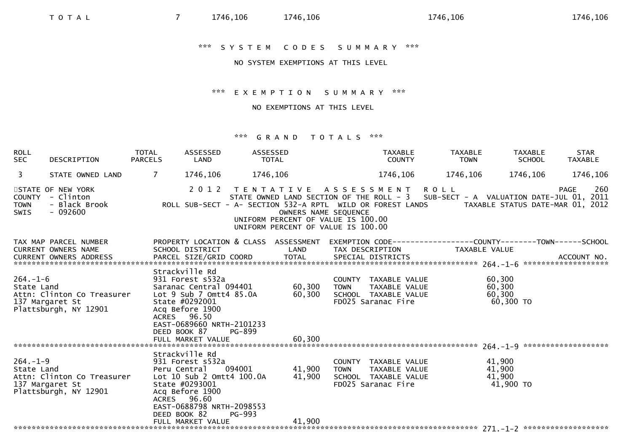# NO SYSTEM EXEMPTIONS AT THIS LEVEL

## \*\*\* E X E M P T I O N S U M M A R Y \*\*\*

## NO EXEMPTIONS AT THIS LEVEL

| <b>ROLL</b><br><b>SEC</b>    | DESCRIPTION                                                                                                                                                                                                                                                                             | <b>TOTAL</b><br><b>PARCELS</b> | ASSESSED<br>LAND                                                                                                                                    | ASSESSED<br>TOTAL                                                                                                                                                                               |                      | <b>TAXABLE</b><br><b>COUNTY</b>                                                     | <b>TAXABLE</b><br><b>TOWN</b>                                                 | TAXABLE<br><b>SCHOOL</b>                | <b>STAR</b><br><b>TAXABLE</b> |
|------------------------------|-----------------------------------------------------------------------------------------------------------------------------------------------------------------------------------------------------------------------------------------------------------------------------------------|--------------------------------|-----------------------------------------------------------------------------------------------------------------------------------------------------|-------------------------------------------------------------------------------------------------------------------------------------------------------------------------------------------------|----------------------|-------------------------------------------------------------------------------------|-------------------------------------------------------------------------------|-----------------------------------------|-------------------------------|
| 3                            | STATE OWNED LAND                                                                                                                                                                                                                                                                        | $\overline{7}$                 | 1746,106                                                                                                                                            | 1746,106                                                                                                                                                                                        |                      | 1746,106                                                                            | 1746,106                                                                      | 1746,106                                | 1746,106                      |
| <b>TOWN</b><br>SWIS          | STATE OF NEW YORK<br>COUNTY - Clinton<br>STATE OWNED LAND SECTION OF THE ROLL - 3 SUB-SECT - A VALUATION DATE-JUL 01, 2011 - STATE OWNED LAND SECTION OF THE ROLL - 3 SUB-SECT - A VALUATION DATE-JUL 01, 2012<br>Black Brook                ROLL SUB-SECT - A- SECTION 53<br>$-092600$ |                                |                                                                                                                                                     | 2012 TENTATIVE ASSESSMENT ROLL<br>STATE OWNED LAND SECTION OF THE ROLL - 3 SUB-SECT - A VALUATION DATE-JUL 01, 2011<br>UNIFORM PERCENT OF VALUE IS 100.00<br>UNIFORM PERCENT OF VALUE IS 100.00 | OWNERS NAME SEQUENCE |                                                                                     |                                                                               |                                         | 260<br>PAGE                   |
|                              | TAX MAP PARCEL NUMBER<br>CURRENT OWNERS NAME<br>. CURRENT OWNERS ADDRESS PARCEL SIZE/GRID COORD TOTAL SPECIAL DISTRICTS ACCOUNT NO ACCOUNT NO ACCOUNT NO ACCOUNT NO                                                                                                                     |                                | SCHOOL DISTRICT                                                                                                                                     | PROPERTY LOCATION & CLASS ASSESSMENT<br><b>Example 18 The LAND</b>                                                                                                                              |                      | TAX DESCRIPTION                                                                     | EXEMPTION CODE-----------------COUNTY-------TOWN------SCHOOL<br>TAXABLE VALUE |                                         |                               |
| $264. - 1 - 6$<br>State Land | Attn: Clinton Co Treasurer Lot 9 Sub 7 Omtt4 85.0A<br>137 Margaret St<br>Plattsburgh, NY 12901                                                                                                                                                                                          |                                | Strackville Rd<br>931 Forest s532a<br>State #0292001<br>Acq Before 1900<br>ACRES 96.50<br>EAST-0689660 NRTH-2101233<br>DEED BOOK 87                 | Saranac Central 094401 60,300<br>60, 300<br>PG-899                                                                                                                                              | <b>TOWN</b>          | COUNTY TAXABLE VALUE<br>TAXABLE VALUE<br>SCHOOL TAXABLE VALUE<br>FD025 Saranac Fire |                                                                               | 60,300<br>60,300<br>60,300<br>60,300 TO |                               |
|                              |                                                                                                                                                                                                                                                                                         |                                |                                                                                                                                                     |                                                                                                                                                                                                 |                      |                                                                                     |                                                                               |                                         |                               |
| $264. - 1 - 9$<br>State Land | Attn: Clinton Co Treasurer Lot 10 Sub 2 Omtt4 100.0A<br>137 Margaret St<br>Plattsburgh, NY 12901                                                                                                                                                                                        |                                | Strackville Rd<br>931 Forest s532a<br>Peru Central<br>State #0293001<br>Acq Before 1900<br>ACRES 96.60<br>EAST-0688798 NRTH-2098553<br>DEED BOOK 82 | 094001 41,900<br>41,900<br>PG-993                                                                                                                                                               | <b>TOWN</b>          | COUNTY TAXABLE VALUE<br>TAXABLE VALUE<br>SCHOOL TAXABLE VALUE<br>FD025 Saranac Fire |                                                                               | 41,900<br>41,900<br>41,900<br>41,900 TO |                               |
|                              |                                                                                                                                                                                                                                                                                         |                                | FULL MARKET VALUE                                                                                                                                   |                                                                                                                                                                                                 | 41,900               |                                                                                     |                                                                               |                                         |                               |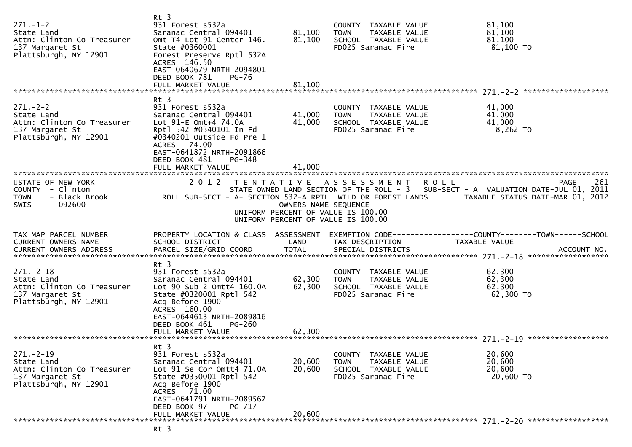| $271 - 1 - 2$<br>State Land<br>Attn: Clinton Co Treasurer<br>137 Margaret St<br>Plattsburgh, NY 12901   | Rt 3<br>931 Forest s532a<br>Saranac Central 094401<br>Omt T4 Lot 91 Center 146.<br>State #0360001<br>Forest Preserve Rptl 532A<br>ACRES 146.50<br>EAST-0640679 NRTH-2094801<br>DEED BOOK 781<br>PG-76<br>FULL MARKET VALUE   | 81,100<br>81,100<br>81,100 | COUNTY TAXABLE VALUE<br>TAXABLE VALUE<br>TOWN<br>SCHOOL TAXABLE VALUE<br>FD025 Saranac Fire                                                                                                                                                                                                              | 81,100<br>81,100<br>81,100<br>81,100 TO |             |
|---------------------------------------------------------------------------------------------------------|------------------------------------------------------------------------------------------------------------------------------------------------------------------------------------------------------------------------------|----------------------------|----------------------------------------------------------------------------------------------------------------------------------------------------------------------------------------------------------------------------------------------------------------------------------------------------------|-----------------------------------------|-------------|
|                                                                                                         | $Rt$ 3                                                                                                                                                                                                                       |                            |                                                                                                                                                                                                                                                                                                          |                                         |             |
| $271 - 2 - 2$<br>State Land<br>Attn: Clinton Co Treasurer<br>137 Margaret St<br>Plattsburgh, NY 12901   | 931 Forest s532a<br>Saranac Central 094401<br>Lot 91-E Omt+4 74.0A<br>Rpt] 542 #0340101 In Fd<br>#0340201 Outside Fd Pre 1<br>ACRES 74.00<br>EAST-0641872 NRTH-2091866<br>DEED BOOK 481<br>PG-348<br>FULL MARKET VALUE       | 41,000<br>41,000<br>41,000 | COUNTY TAXABLE VALUE<br><b>TOWN</b><br>TAXABLE VALUE<br>SCHOOL TAXABLE VALUE<br>FD025 Saranac Fire                                                                                                                                                                                                       | 41,000<br>41,000<br>41,000<br>8,262 TO  |             |
|                                                                                                         |                                                                                                                                                                                                                              |                            |                                                                                                                                                                                                                                                                                                          |                                         |             |
| STATE OF NEW YORK<br>COUNTY - Clinton<br><b>TOWN</b><br>- Black Brook<br>$-092600$<br><b>SWIS</b>       |                                                                                                                                                                                                                              | OWNERS NAME SEQUENCE       | 2012 TENTATIVE ASSESSMENT<br><b>ROLL</b><br>STATE OWNED LAND SECTION OF THE ROLL - 3 SUB-SECT - A VALUATION DATE-JUL 01, 2011<br>ROLL SUB-SECT - A- SECTION 532-A RPTL WILD OR FOREST LANDS TAXABLE STATUS DATE-MAR 01, 2012<br>UNIFORM PERCENT OF VALUE IS 100.00<br>UNIFORM PERCENT OF VALUE IS 100.00 |                                         | 261<br>PAGE |
| TAX MAP PARCEL NUMBER<br>CURRENT OWNERS NAME                                                            | PROPERTY LOCATION & CLASS ASSESSMENT<br>SCHOOL DISTRICT                                                                                                                                                                      | LAND                       | TAX DESCRIPTION                                                                                                                                                                                                                                                                                          | TAXABLE VALUE                           |             |
| $271. - 2 - 18$<br>State Land<br>Attn: Clinton Co Treasurer<br>137 Margaret St<br>Plattsburgh, NY 12901 | Rt 3<br>931 Forest s532a<br>Saranac Central 094401<br>Lot 90 Sub 2 Omtt4 160.0A<br>State #0320001 Rptl 542<br>Acq Before 1900<br>ACRES 160.00<br>EAST-0644613 NRTH-2089816<br>DEED BOOK 461<br>$PG-260$<br>FULL MARKET VALUE | 62,300<br>62,300<br>62,300 | COUNTY TAXABLE VALUE<br><b>TOWN</b><br>TAXABLE VALUE<br>SCHOOL TAXABLE VALUE<br>FD025 Saranac Fire                                                                                                                                                                                                       | 62,300<br>62,300<br>62,300<br>62,300 TO |             |
|                                                                                                         |                                                                                                                                                                                                                              |                            |                                                                                                                                                                                                                                                                                                          |                                         |             |
| $271. - 2 - 19$<br>State Land<br>Attn: Clinton Co Treasurer<br>137 Margaret St<br>Plattsburgh, NY 12901 | Rt 3<br>931 Forest s532a<br>Saranac Central 094401<br>Lot 91 Se Cor Omtt4 71.0A<br>State #0350001 Rptl 542<br>Acq Before 1900<br>ACRES 71.00<br>EAST-0641791 NRTH-2089567                                                    | 20,600<br>20,600           | TAXABLE VALUE<br><b>COUNTY</b><br><b>TOWN</b><br><b>TAXABLE VALUE</b><br>SCHOOL TAXABLE VALUE<br>FD025 Saranac Fire                                                                                                                                                                                      | 20,600<br>20,600<br>20,600<br>20,600 TO |             |
|                                                                                                         | DEED BOOK 97<br>PG-717<br>FULL MARKET VALUE                                                                                                                                                                                  | 20,600                     |                                                                                                                                                                                                                                                                                                          |                                         |             |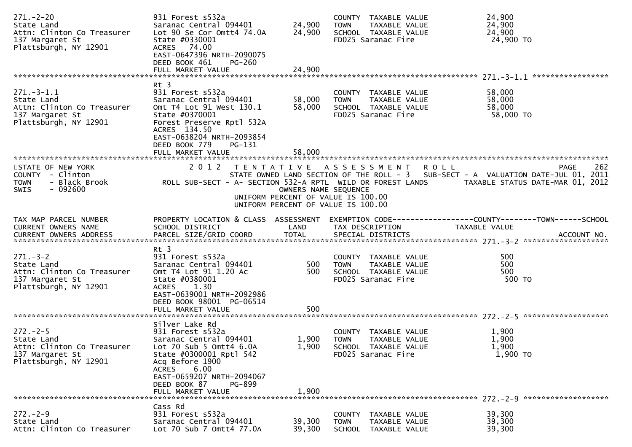| $271 - 2 - 20$<br>State Land<br>Attn: Clinton Co Treasurer<br>137 Margaret St<br>Plattsburgh, NY 12901   | 931 Forest s532a<br>Saranac Central 094401<br>Lot 90 Se Cor Omtt4 74.0A<br>State #0330001<br>ACRES 74.00<br>EAST-0647396 NRTH-2090075<br>DEED BOOK 461<br>PG-260                                                                              | 24,900<br>24,900        | COUNTY TAXABLE VALUE<br>TOWN<br>SCHOOL TAXABLE VALUE<br>FD025 Saranac Fire                       | TAXABLE VALUE                  | 24,900<br>24,900<br>24,900<br>24,900 TO                                                                                                                                                         |
|----------------------------------------------------------------------------------------------------------|-----------------------------------------------------------------------------------------------------------------------------------------------------------------------------------------------------------------------------------------------|-------------------------|--------------------------------------------------------------------------------------------------|--------------------------------|-------------------------------------------------------------------------------------------------------------------------------------------------------------------------------------------------|
|                                                                                                          | FULL MARKET VALUE                                                                                                                                                                                                                             | 24,900                  |                                                                                                  |                                |                                                                                                                                                                                                 |
|                                                                                                          | Rt 3                                                                                                                                                                                                                                          |                         |                                                                                                  |                                |                                                                                                                                                                                                 |
| $271. - 3 - 1.1$<br>State Land<br>Attn: Clinton Co Treasurer<br>137 Margaret St<br>Plattsburgh, NY 12901 | 931 Forest s532a<br>Saranac Central 094401<br>Omt T4 Lot 91 West 130.1<br>State #0370001<br>Forest Preserve Rptl 532A<br>ACRES 134.50<br>EAST-0638204 NRTH-2093854<br>DEED BOOK 779<br>PG-131                                                 | 58,000<br>58,000        | COUNTY TAXABLE VALUE<br><b>TOWN</b><br>SCHOOL TAXABLE VALUE<br>FD025 Saranac Fire                | TAXABLE VALUE                  | 58,000<br>58,000<br>58,000<br>58,000 TO                                                                                                                                                         |
|                                                                                                          | FULL MARKET VALUE                                                                                                                                                                                                                             | 58,000                  |                                                                                                  |                                |                                                                                                                                                                                                 |
| STATE OF NEW YORK<br>COUNTY - Clinton<br><b>TOWN</b><br>- Black Brook<br>- 092600<br>SWIS                | 2 0 1 2                                                                                                                                                                                                                                       | OWNERS NAME SEQUENCE    | TENTATIVE ASSESSMENT<br>UNIFORM PERCENT OF VALUE IS 100.00<br>UNIFORM PERCENT OF VALUE IS 100.00 | <b>ROLL</b>                    | 262<br>PAGE<br>STATE OWNED LAND SECTION OF THE ROLL - 3 SUB-SECT - A VALUATION DATE-JUL 01, 2011<br>ROLL SUB-SECT - A- SECTION 532-A RPTL WILD OR FOREST LANDS TAXABLE STATUS DATE-MAR 01, 2012 |
| TAX MAP PARCEL NUMBER<br>CURRENT OWNERS NAME                                                             | SCHOOL DISTRICT                                                                                                                                                                                                                               | LAND                    | TAX DESCRIPTION                                                                                  |                                | PROPERTY LOCATION & CLASS ASSESSMENT EXEMPTION CODE----------------COUNTY-------TOWN------SCHOOL<br>TAXABLE VALUE                                                                               |
| $271 - 3 - 2$<br>State Land<br>Attn: Clinton Co Treasurer<br>137 Margaret St<br>Plattsburgh, NY 12901    | $Rt$ 3<br>931 Forest s532a<br>Saranac Central 094401<br>Omt T4 Lot 91 1.20 Ac<br>State #0380001<br>ACRES 1.30<br>EAST-0639001 NRTH-2092986<br>DEED BOOK 98001 PG-06514<br>FULL MARKET VALUE                                                   | 500<br>500<br>500       | COUNTY TAXABLE VALUE<br>TOWN<br>SCHOOL TAXABLE VALUE<br>FD025 Saranac Fire                       | TAXABLE VALUE                  | 500<br>500<br>500<br>500 TO                                                                                                                                                                     |
| $272 - 2 - 5$<br>State Land<br>Attn: Clinton Co Treasurer<br>137 Margaret St<br>Plattsburgh, NY 12901    | Silver Lake Rd<br>931 Forest s532a<br>Saranac Central 094401<br>Lot $70$ Sub 5 Omtt4 $6.0A$<br>State #0300001 Rptl 542<br>Acq Before 1900<br>6.00<br><b>ACRES</b><br>EAST-0659207 NRTH-2094067<br>DEED BOOK 87<br>PG-899<br>FULL MARKET VALUE | 1,900<br>1,900<br>1,900 | COUNTY TAXABLE VALUE<br><b>TOWN</b><br>SCHOOL TAXABLE VALUE<br>FD025 Saranac Fire                | TAXABLE VALUE                  | 1,900<br>1,900<br>1,900<br>1,900 TO                                                                                                                                                             |
|                                                                                                          | Cass Rd                                                                                                                                                                                                                                       |                         |                                                                                                  |                                |                                                                                                                                                                                                 |
| $272. - 2 - 9$<br>State Land<br>Attn: Clinton Co Treasurer                                               | 931 Forest s532a<br>Saranac Central 094401<br>Lot 70 Sub 7 Omtt4 77.0A                                                                                                                                                                        | 39,300<br>39,300        | COUNTY TAXABLE VALUE<br><b>TOWN</b><br><b>SCHOOL</b>                                             | TAXABLE VALUE<br>TAXABLE VALUE | 39,300<br>39,300<br>39,300                                                                                                                                                                      |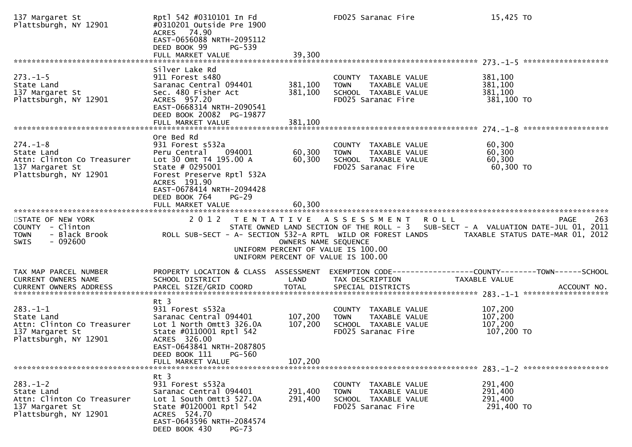| 137 Margaret St<br>Plattsburgh, NY 12901                                                               | Rpt] 542 #0310101 In Fd<br>#0310201 Outside Pre 1900<br>ACRES 74.90<br>EAST-0656088 NRTH-2095112<br>DEED BOOK 99<br>PG-539<br>FULL MARKET VALUE                                    | 39,300                        | FD025 Saranac Fire                                                                                 | 15,425 TO                                                                                                                                                  |
|--------------------------------------------------------------------------------------------------------|------------------------------------------------------------------------------------------------------------------------------------------------------------------------------------|-------------------------------|----------------------------------------------------------------------------------------------------|------------------------------------------------------------------------------------------------------------------------------------------------------------|
|                                                                                                        |                                                                                                                                                                                    |                               |                                                                                                    |                                                                                                                                                            |
| $273. - 1 - 5$<br>State Land<br>137 Margaret St<br>Plattsburgh, NY 12901                               | Silver Lake Rd<br>911 Forest s480<br>Saranac Central 094401<br>Sec. 480 Fisher Act<br>ACRES 957.20<br>EAST-0668314 NRTH-2090541<br>DEED BOOK 20082 PG-19877<br>FULL MARKET VALUE   | 381,100<br>381,100<br>381,100 | COUNTY TAXABLE VALUE<br><b>TOWN</b><br>TAXABLE VALUE<br>SCHOOL TAXABLE VALUE<br>FD025 Saranac Fire | 381,100<br>381,100<br>381,100<br>381,100 TO                                                                                                                |
|                                                                                                        | Ore Bed Rd                                                                                                                                                                         |                               |                                                                                                    |                                                                                                                                                            |
| $274. - 1 - 8$<br>State Land<br>Attn: Clinton Co Treasurer<br>137 Margaret St<br>Plattsburgh, NY 12901 | 931 Forest s532a<br>Peru Central<br>094001<br>Lot 30 Omt T4 195.00 A<br>State # 0295001<br>Forest Preserve Rptl 532A<br>ACRES 191.90                                               | 60,300<br>60,300              | COUNTY TAXABLE VALUE<br>TAXABLE VALUE<br><b>TOWN</b><br>SCHOOL TAXABLE VALUE<br>FD025 Saranac Fire | 60,300<br>60,300<br>60,300<br>60,300 TO                                                                                                                    |
|                                                                                                        | EAST-0678414 NRTH-2094428<br>DEED BOOK 764<br>$PG-29$<br>FULL MARKET VALUE                                                                                                         | 60,300                        |                                                                                                    |                                                                                                                                                            |
| STATE OF NEW YORK<br>COUNTY - Clinton<br><b>TOWN</b><br>- Black Brook<br>- 092600<br>SWIS              | 2012<br>ROLL SUB-SECT - A- SECTION 532-A RPTL WILD OR FOREST LANDS                                                                                                                 | OWNERS NAME SEQUENCE          | TENTATIVE ASSESSMENT<br>UNIFORM PERCENT OF VALUE IS 100.00<br>UNIFORM PERCENT OF VALUE IS 100.00   | 263<br><b>ROLL</b><br><b>PAGE</b><br>STATE OWNED LAND SECTION OF THE ROLL - 3 SUB-SECT - A VALUATION DATE-JUL 01, 2011<br>TAXABLE STATUS DATE-MAR 01, 2012 |
| TAX MAP PARCEL NUMBER<br>CURRENT OWNERS NAME                                                           | PROPERTY LOCATION & CLASS ASSESSMENT<br>SCHOOL DISTRICT                                                                                                                            | LAND                          | TAX DESCRIPTION                                                                                    | EXEMPTION CODE-----------------COUNTY-------TOWN------SCHOOL<br>TAXABLE VALUE                                                                              |
| $283. - 1 - 1$<br>State Land<br>Attn: Clinton Co Treasurer<br>137 Margaret St<br>Plattsburgh, NY 12901 | Rt 3<br>931 Forest s532a<br>Saranac Central 094401<br>Lot 1 North Omtt3 326.0A<br>State #0110001 Rptl 542<br>ACRES 326.00<br>EAST-0643841 NRTH-2087805<br>PG-560<br>DEED BOOK 111  | 107,200<br>107,200            | COUNTY TAXABLE VALUE<br><b>TOWN</b><br>TAXABLE VALUE<br>SCHOOL TAXABLE VALUE<br>FD025 Saranac Fire | 107,200<br>107,200<br>107,200<br>107,200 TO                                                                                                                |
|                                                                                                        | FULL MARKET VALUE                                                                                                                                                                  | 107,200                       |                                                                                                    | $283. - 1 - 2$ *********************                                                                                                                       |
| $283. - 1 - 2$<br>State Land<br>Attn: Clinton Co Treasurer<br>137 Margaret St<br>Plattsburgh, NY 12901 | $Rt$ 3<br>931 Forest s532a<br>Saranac Central 094401<br>Lot 1 South Omtt3 527.0A<br>State #0120001 Rptl 542<br>ACRES 524.70<br>EAST-0643596 NRTH-2084574<br>DEED BOOK 430<br>PG-73 | 291,400<br>291,400            | COUNTY TAXABLE VALUE<br>TAXABLE VALUE<br><b>TOWN</b><br>SCHOOL TAXABLE VALUE<br>FD025 Saranac Fire | 291,400<br>291,400<br>291,400<br>291,400 TO                                                                                                                |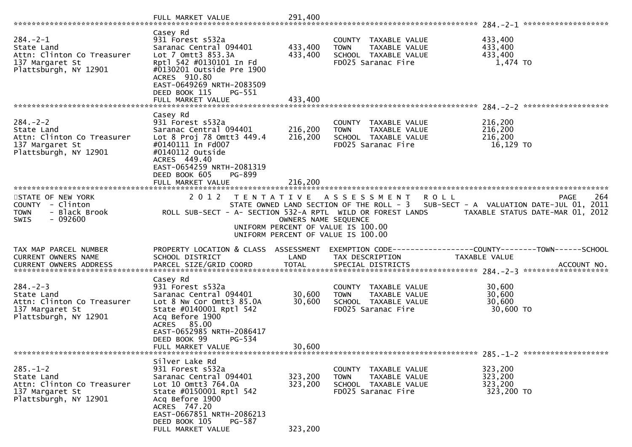|                                                                                                        | FULL MARKET VALUE                                                                                                                                                                                                                 | 291,400                       |                                                                                                                                                             |                                                                               |             |
|--------------------------------------------------------------------------------------------------------|-----------------------------------------------------------------------------------------------------------------------------------------------------------------------------------------------------------------------------------|-------------------------------|-------------------------------------------------------------------------------------------------------------------------------------------------------------|-------------------------------------------------------------------------------|-------------|
| $284. - 2 - 1$<br>State Land<br>Attn: Clinton Co Treasurer<br>137 Margaret St<br>Plattsburgh, NY 12901 | Casey Rd<br>931 Forest s532a<br>Saranac Central 094401<br>Lot 7 Omtt3 853.3A<br>Rpt] 542 #0130101 In Fd<br>#0130201 Outside Pre 1900<br>ACRES 910.80<br>EAST-0649269 NRTH-2083509<br>DEED BOOK 115<br>PG-551<br>FULL MARKET VALUE | 433,400<br>433,400<br>433,400 | COUNTY TAXABLE VALUE<br>TAXABLE VALUE<br><b>TOWN</b><br>SCHOOL TAXABLE VALUE<br>FD025 Saranac Fire                                                          | 433,400<br>433,400<br>433,400<br>1,474 TO                                     |             |
|                                                                                                        | Casey Rd                                                                                                                                                                                                                          |                               |                                                                                                                                                             |                                                                               |             |
| $284. - 2 - 2$<br>State Land<br>Attn: Clinton Co Treasurer<br>137 Margaret St<br>Plattsburgh, NY 12901 | 931 Forest s532a<br>Saranac Central 094401<br>Lot 8 Proj 78 Omtt3 449.4<br>#0140111 In Fd007<br>#0140112 Outside<br>ACRES 449.40<br>EAST-0654259 NRTH-2081319<br>DEED BOOK 605<br>PG-899<br>FULL MARKET VALUE                     | 216,200<br>216,200<br>216,200 | COUNTY TAXABLE VALUE<br>TAXABLE VALUE<br><b>TOWN</b><br>SCHOOL TAXABLE VALUE<br>FD025 Saranac Fire                                                          | 216,200<br>216,200<br>216,200<br>16,129 TO                                    |             |
|                                                                                                        |                                                                                                                                                                                                                                   |                               |                                                                                                                                                             |                                                                               |             |
| STATE OF NEW YORK<br>COUNTY - Clinton<br><b>TOWN</b><br>- Black Brook<br>$-092600$<br><b>SWIS</b>      | 2 0 1 2<br>ROLL SUB-SECT - A- SECTION 532-A RPTL WILD OR FOREST LANDS                                                                                                                                                             | OWNERS NAME SEQUENCE          | TENTATIVE ASSESSMENT<br><b>ROLL</b><br>STATE OWNED LAND SECTION OF THE ROLL - 3<br>UNIFORM PERCENT OF VALUE IS 100.00<br>UNIFORM PERCENT OF VALUE IS 100.00 | SUB-SECT - A VALUATION DATE-JUL 01, 2011<br>TAXABLE STATUS DATE-MAR 01, 2012  | 264<br>PAGE |
| TAX MAP PARCEL NUMBER<br><b>CURRENT OWNERS NAME</b><br>CURRENT OWNERS ADDRESS                          | PROPERTY LOCATION & CLASS ASSESSMENT<br>SCHOOL DISTRICT<br>PARCEL SIZE/GRID COORD                                                                                                                                                 | LAND<br><b>TOTAL</b>          | TAX DESCRIPTION<br>SPECIAL DISTRICTS                                                                                                                        | EXEMPTION CODE-----------------COUNTY-------TOWN------SCHOOL<br>TAXABLE VALUE | ACCOUNT NO. |
| $284 - 2 - 3$<br>State Land<br>Attn: Clinton Co Treasurer<br>137 Margaret St<br>Plattsburgh, NY 12901  | Casey Rd<br>931 Forest s532a<br>Saranac Central 094401<br>Lot 8 Nw Cor Omtt3 85.0A<br>State #0140001 Rptl 542<br>Acq Before 1900<br>ACRES 85.00<br>EAST-0652985 NRTH-2086417<br>DEED BOOK 99<br>PG-534                            | 30,600<br>30,600<br>30,600    | COUNTY TAXABLE VALUE<br><b>TOWN</b><br>TAXABLE VALUE<br>SCHOOL TAXABLE VALUE<br>FD025 Saranac Fire                                                          | 30,600<br>30,600<br>30,600<br>30,600 TO                                       |             |
|                                                                                                        | FULL MARKET VALUE                                                                                                                                                                                                                 |                               |                                                                                                                                                             |                                                                               |             |
| $285. - 1 - 2$<br>State Land<br>Attn: Clinton Co Treasurer<br>137 Margaret St<br>Plattsburgh, NY 12901 | Silver Lake Rd<br>931 Forest s532a<br>Saranac Central 094401<br>Lot 10 Omtt3 764.0A<br>State #0150001 Rptl 542<br>Acq Before 1900<br>ACRES 747.20<br>EAST-0667851 NRTH-2086213<br>DEED BOOK 105<br>PG-587<br>FULL MARKET VALUE    | 323,200<br>323,200<br>323,200 | COUNTY TAXABLE VALUE<br><b>TOWN</b><br>TAXABLE VALUE<br>SCHOOL TAXABLE VALUE<br>FD025 Saranac Fire                                                          | 323,200<br>323,200<br>323,200<br>323,200 TO                                   |             |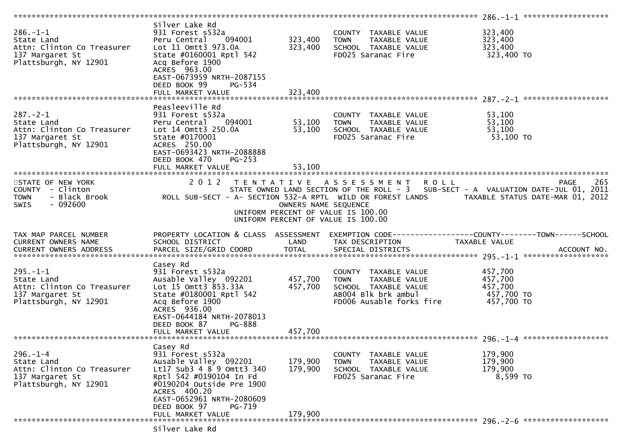| $286. - 1 - 1$<br>State Land<br>Attn: Clinton Co Treasurer<br>137 Margaret St<br>Plattsburgh, NY 12901 | Silver Lake Rd<br>931 Forest s532a<br>Peru Central 094001<br>Lot 11 Omtt3 973.0A<br>State #0160001 Rptl 542<br>Acq Before 1900<br>ACRES 963.00<br>EAST-0673959 NRTH-2087155<br>DEED BOOK 99<br>PG-534<br>FULL MARKET VALUE             | 323,400<br>323,400<br>323,400 | COUNTY TAXABLE VALUE<br>TAXABLE VALUE<br><b>TOWN</b><br>SCHOOL TAXABLE VALUE<br>FD025 Saranac Fire                                                                                                   | 323,400<br>323,400<br>323,400<br>323,400 TO               |             |
|--------------------------------------------------------------------------------------------------------|----------------------------------------------------------------------------------------------------------------------------------------------------------------------------------------------------------------------------------------|-------------------------------|------------------------------------------------------------------------------------------------------------------------------------------------------------------------------------------------------|-----------------------------------------------------------|-------------|
|                                                                                                        |                                                                                                                                                                                                                                        |                               |                                                                                                                                                                                                      |                                                           |             |
| $287. - 2 - 1$<br>State Land<br>Attn: Clinton Co Treasurer<br>137 Margaret St<br>Plattsburgh, NY 12901 | Peasleeville Rd<br>931 Forest s532a<br>094001<br>Peru Central<br>Lot 14 Omtt3 250.0A<br>State #0170001<br>ACRES 250.00<br>EAST-0693423 NRTH-2088888<br>DEED BOOK 470<br>$PG-253$<br>FULL MARKET VALUE                                  | 53,100<br>53,100<br>53,100    | COUNTY TAXABLE VALUE<br>TAXABLE VALUE<br>TAXABLE VALUE<br><b>TOWN</b><br>SCHOOL TAXABLE VALUE<br>FD025 Saranac Fire                                                                                  | 53,100<br>53,100<br>53,100<br>$53,100$ TO                 |             |
|                                                                                                        |                                                                                                                                                                                                                                        |                               |                                                                                                                                                                                                      |                                                           |             |
| STATE OF NEW YORK<br>COUNTY - Clinton<br><b>TOWN</b><br>$-092600$<br><b>SWIS</b>                       | 2012                                                                                                                                                                                                                                   | OWNERS NAME SEQUENCE          | TENTATIVE ASSESSMENT<br><b>ROLL</b><br>STATE OWNED LAND SECTION OF THE ROLL - 3 SUB-SECT - A VALUATION DATE-JUL 01, 2011<br>UNIFORM PERCENT OF VALUE IS 100.00<br>UNIFORM PERCENT OF VALUE IS 100.00 |                                                           | 265<br>PAGE |
| TAX MAP PARCEL NUMBER<br>CURRENT OWNERS NAME<br>CURRENT OWNERS ADDRESS                                 | PROPERTY LOCATION & CLASS ASSESSMENT<br>SCHOOL DISTRICT<br>PARCEL SIZE/GRID COORD                                                                                                                                                      | LAND<br>TOTAL                 | EXEMPTION CODE------------------COUNTY--------TOWN------SCHOOL<br>TAX DESCRIPTION<br>SPECIAL DISTRICTS                                                                                               | TAXABLE VALUE                                             | ACCOUNT NO. |
| $295. - 1 - 1$<br>State Land<br>Attn: Clinton Co Treasurer<br>137 Margaret St<br>Plattsburgh, NY 12901 | Casey Rd<br>931 Forest s532a<br>Ausable Valley 092201<br>Lot 15 Omtt3 853.33A<br>State #0180001 Rptl 542<br>Acq Before 1900<br>ACRES 936.00<br>EAST-0644184 NRTH-2078013<br>DEED BOOK 87<br>PG-888<br>FULL MARKET VALUE                | 457,700<br>457,700<br>457,700 | COUNTY TAXABLE VALUE<br>TAXABLE VALUE<br><b>TOWN</b><br>SCHOOL TAXABLE VALUE<br>AB004 Blk brk ambul<br>FD006 Ausable forks fire                                                                      | 457,700<br>457,700<br>457,700<br>457,700 TO<br>457,700 TO |             |
|                                                                                                        |                                                                                                                                                                                                                                        |                               |                                                                                                                                                                                                      |                                                           |             |
| $296. - 1 - 4$<br>State Land<br>Attn: Clinton Co Treasurer<br>137 Margaret St<br>Plattsburgh, NY 12901 | Casey Rd<br>931 Forest s532a<br>Ausable Valley 092201<br>Lt17 Sub3 4 8 9 Omtt3 340<br>Rpt] 542 #0190104 In Fd<br>#0190204 Outside Pre 1900<br>ACRES 400.20<br>EAST-0652961 NRTH-2080609<br>DEED BOOK 97<br>PG-719<br>FULL MARKET VALUE | 179,900<br>179,900<br>179,900 | COUNTY TAXABLE VALUE<br>TAXABLE VALUE<br><b>TOWN</b><br>SCHOOL TAXABLE VALUE<br>FD025 Saranac Fire                                                                                                   | 179,900<br>179,900<br>179,900<br>8,599 TO                 |             |
|                                                                                                        | Silver Lake Rd                                                                                                                                                                                                                         |                               |                                                                                                                                                                                                      |                                                           |             |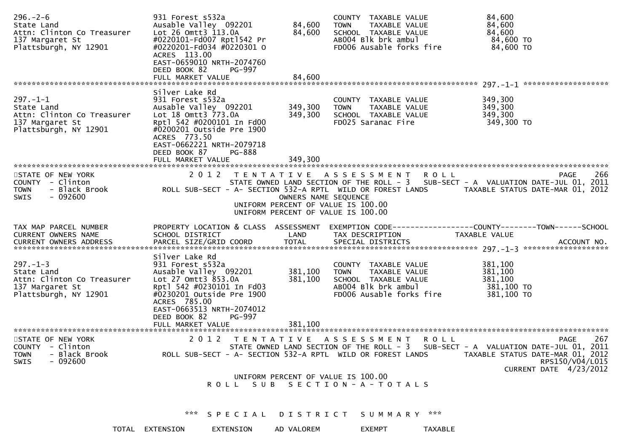| $296. - 2 - 6$<br>State Land<br>Attn: Clinton Co Treasurer<br>137 Margaret St<br>Plattsburgh, NY 12901 | 931 Forest s532a<br>Ausable Valley 092201<br>Lot 26 Omtt3 113.0A<br>#0220101-Fd007 Rpt1542 Pr<br>#0220201-Fd034 #0220301 0<br>ACRES 113.00<br>EAST-0659010 NRTH-2074760<br>DEED BOOK 82<br>PG-997                                               | 84,600<br><b>TOWN</b><br>84,600                                                                                          | COUNTY TAXABLE VALUE<br>TAXABLE VALUE<br>SCHOOL TAXABLE VALUE<br>ABOO4 Blk brk ambul<br>FD006 Ausable forks fire | 84,600<br>84,600<br>84,600<br>84,600 TO<br>84,600 TO                                                                                 |
|--------------------------------------------------------------------------------------------------------|-------------------------------------------------------------------------------------------------------------------------------------------------------------------------------------------------------------------------------------------------|--------------------------------------------------------------------------------------------------------------------------|------------------------------------------------------------------------------------------------------------------|--------------------------------------------------------------------------------------------------------------------------------------|
|                                                                                                        |                                                                                                                                                                                                                                                 |                                                                                                                          |                                                                                                                  |                                                                                                                                      |
| $297. - 1 - 1$<br>State Land<br>Attn: Clinton Co Treasurer<br>137 Margaret St<br>Plattsburgh, NY 12901 | Silver Lake Rd<br>931 Forest s532a<br>Ausable Valley 092201<br>Lot 18 Omtt3 773.0A<br>Rptl 542 #0200101 In Fd00<br>#0200201 Outside Pre 1900<br>ACRES 773.50<br>EAST-0662221 NRTH-2079718<br>DEED BOOK 87<br>PG-888                             | 349,300<br><b>TOWN</b><br>349,300                                                                                        | COUNTY TAXABLE VALUE<br>TAXABLE VALUE<br>SCHOOL TAXABLE VALUE<br>FD025 Saranac Fire                              | 349,300<br>349,300<br>349,300<br>349,300 TO                                                                                          |
|                                                                                                        | FULL MARKET VALUE                                                                                                                                                                                                                               | 349,300                                                                                                                  |                                                                                                                  |                                                                                                                                      |
| STATE OF NEW YORK<br>COUNTY - Clinton<br>- Black Brook<br><b>TOWN</b><br>$-092600$<br><b>SWIS</b>      | 2 0 1 2<br>ROLL SUB-SECT - A- SECTION 532-A RPTL WILD OR FOREST LANDS                                                                                                                                                                           | TENTATIVE ASSESSMENT<br>OWNERS NAME SEQUENCE<br>UNIFORM PERCENT OF VALUE IS 100.00<br>UNIFORM PERCENT OF VALUE IS 100.00 | R O L L                                                                                                          | 266<br>PAGE<br>STATE OWNED LAND SECTION OF THE ROLL - 3 SUB-SECT - A VALUATION DATE-JUL 01, 2011<br>TAXABLE STATUS DATE-MAR 01, 2012 |
| TAX MAP PARCEL NUMBER<br>CURRENT OWNERS NAME<br>CURRENT OWNERS ADDRESS                                 | PROPERTY LOCATION & CLASS ASSESSMENT<br>SCHOOL DISTRICT<br>PARCEL SIZE/GRID COORD                                                                                                                                                               | LAND<br><b>TOTAL</b>                                                                                                     | TAX DESCRIPTION<br>SPECIAL DISTRICTS                                                                             | EXEMPTION CODE-----------------COUNTY-------TOWN------SCHOOL<br>TAXABLE VALUE<br>ACCOUNT NO.                                         |
| $297. - 1 - 3$<br>State Land<br>Attn: Clinton Co Treasurer<br>137 Margaret St<br>Plattsburgh, NY 12901 | Silver Lake Rd<br>931 Forest s532a<br>Ausable Valley 092201<br>Lot 27 Omtt3 853.0A<br>Rpt] 542 #0230101 In Fd03<br>#0230201 Outside Pre 1900<br>ACRES 785.00<br>EAST-0663513 NRTH-2074012<br>DEED BOOK 82<br><b>PG-997</b><br>FULL MARKET VALUE | 381,100<br><b>TOWN</b><br>381,100<br>381,100                                                                             | COUNTY TAXABLE VALUE<br>TAXABLE VALUE<br>SCHOOL TAXABLE VALUE<br>ABOO4 Blk brk ambul<br>FD006 Ausable forks fire | 381,100<br>381,100<br>381,100<br>381,100 TO<br>381,100 TO                                                                            |
| STATE OF NEW YORK                                                                                      | 2 0 1 2                                                                                                                                                                                                                                         | TENTATIVE ASSESSMENT                                                                                                     | <b>ROLL</b>                                                                                                      | 267<br>PAGE                                                                                                                          |
| COUNTY - Clinton<br>- Black Brook<br><b>TOWN</b><br>$-092600$<br><b>SWIS</b>                           | ROLL SUB-SECT - A- SECTION 532-A RPTL WILD OR FOREST LANDS                                                                                                                                                                                      | STATE OWNED LAND SECTION OF THE ROLL - 3                                                                                 |                                                                                                                  | SUB-SECT - A VALUATION DATE-JUL 01, 2011<br>TAXABLE STATUS DATE-MAR 01, 2012<br>RPS150/V04/L015                                      |
|                                                                                                        |                                                                                                                                                                                                                                                 | UNIFORM PERCENT OF VALUE IS 100.00<br>ROLL SUB SECTION-A-TOTALS                                                          |                                                                                                                  | CURRENT DATE 4/23/2012                                                                                                               |
|                                                                                                        |                                                                                                                                                                                                                                                 |                                                                                                                          | *** SPECIAL DISTRICT SUMMARY ***                                                                                 |                                                                                                                                      |
|                                                                                                        | TOTAL EXTENSION<br>EXTENSION                                                                                                                                                                                                                    | AD VALOREM                                                                                                               | <b>EXEMPT</b><br><b>TAXABLE</b>                                                                                  |                                                                                                                                      |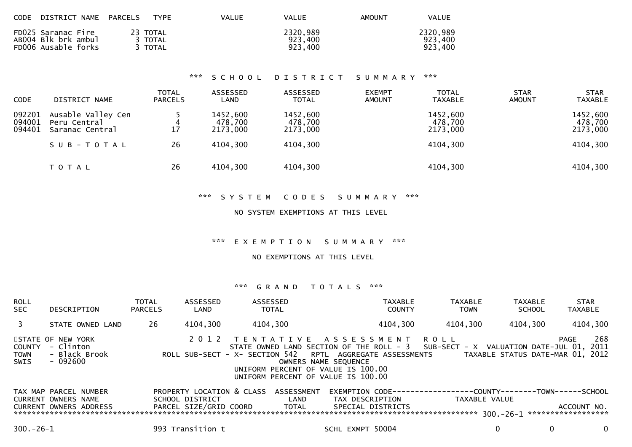| CODE                       | DISTRICT NAME                                                    | PARCELS | <b>TYPE</b>                    | <b>VALUE</b>                    | VALUE                           | <b>AMOUNT</b>                  | <b>VALUE</b>                    |                              |                                 |
|----------------------------|------------------------------------------------------------------|---------|--------------------------------|---------------------------------|---------------------------------|--------------------------------|---------------------------------|------------------------------|---------------------------------|
|                            | FD025 Saranac Fire<br>AB004 Blk brk ambul<br>FD006 Ausable forks |         | 23 TOTAL<br>3 TOTAL<br>3 TOTAL |                                 | 2320,989<br>923,400<br>923,400  |                                | 2320,989<br>923,400<br>923,400  |                              |                                 |
|                            |                                                                  |         |                                | ***<br>SCHOOL                   | <b>DISTRICT</b>                 | SUMMARY                        | ***                             |                              |                                 |
| <b>CODE</b>                | DISTRICT NAME                                                    |         | <b>TOTAL</b><br><b>PARCELS</b> | ASSESSED<br>LAND                | ASSESSED<br><b>TOTAL</b>        | <b>EXEMPT</b><br><b>AMOUNT</b> | <b>TOTAL</b><br><b>TAXABLE</b>  | <b>STAR</b><br><b>AMOUNT</b> | <b>STAR</b><br><b>TAXABLE</b>   |
| 092201<br>094001<br>094401 | Ausable Valley Cen<br>Peru Central<br>Saranac Central            |         | 17                             | 1452,600<br>478,700<br>2173,000 | 1452,600<br>478,700<br>2173,000 |                                | 1452,600<br>478,700<br>2173,000 |                              | 1452,600<br>478,700<br>2173,000 |
|                            | SUB-TOTAL                                                        |         | 26                             | 4104,300                        | 4104,300                        |                                | 4104,300                        |                              | 4104,300                        |
|                            | T O T A L                                                        |         | 26                             | 4104,300                        | 4104,300                        |                                | 4104,300                        |                              | 4104,300                        |
|                            |                                                                  |         |                                |                                 |                                 |                                |                                 |                              |                                 |

## NO SYSTEM EXEMPTIONS AT THIS LEVEL

### \*\*\* E X E M P T I O N S U M M A R Y \*\*\*

## NO EXEMPTIONS AT THIS LEVEL

| <b>ROLL</b><br><b>SEC</b>            | DESCRIPTION                                                                          | <b>TOTAL</b><br><b>PARCELS</b> | ASSESSED<br>LAND                             | ASSESSED<br><b>TOTAL</b> |                             | <b>TAXABLE</b><br><b>COUNTY</b>                                                                                                                                                                                                                                                 | <b>TAXABLE</b><br><b>TOWN</b> | <b>TAXABLE</b><br><b>SCHOOL</b>                     | <b>STAR</b><br><b>TAXABLE</b>                |     |
|--------------------------------------|--------------------------------------------------------------------------------------|--------------------------------|----------------------------------------------|--------------------------|-----------------------------|---------------------------------------------------------------------------------------------------------------------------------------------------------------------------------------------------------------------------------------------------------------------------------|-------------------------------|-----------------------------------------------------|----------------------------------------------|-----|
|                                      | STATE OWNED LAND                                                                     | 26                             | 4104,300                                     | 4104,300                 |                             | 4104,300                                                                                                                                                                                                                                                                        | 4104,300                      | 4104,300                                            | 4104,300                                     |     |
| <b>COUNTY</b><br><b>TOWN</b><br>SWIS | STATE OF NEW YORK<br>- Clinton<br>- Black Brook<br>$-092600$                         |                                | 2012                                         |                          |                             | TENTATIVE ASSESSMENT ROLL<br>STATE OWNED LAND SECTION OF THE ROLL - 3 SUB-SECT - X VALUATION DATE-JUL 01, 2011<br>ROLL SUB-SECT - X- SECTION 542 RPTL AGGREGATE ASSESSMENTS<br>OWNERS NAME SEQUENCE<br>UNIFORM PERCENT OF VALUE IS 100.00<br>UNIFORM PERCENT OF VALUE IS 100.00 |                               | TAXABLE STATUS DATE-MAR 01, 2012                    | PAGE                                         | 268 |
|                                      | TAX MAP PARCEL NUMBER<br><b>CURRENT OWNERS NAME</b><br><b>CURRENT OWNERS ADDRESS</b> |                                | PROPERTY LOCATION & CLASS<br>SCHOOL DISTRICT | PARCEL SIZE/GRID COORD   | ASSESSMENT<br>LAND<br>TOTAL | EXEMPTION CODE--<br>TAX DESCRIPTION<br>SPECIAL DISTRICTS                                                                                                                                                                                                                        | TAXABLE VALUE                 | ----------COUNTY--------TOWN-----<br>$300 - 26 - 1$ | -SCHOOL<br>ACCOUNT NO.<br>****************** |     |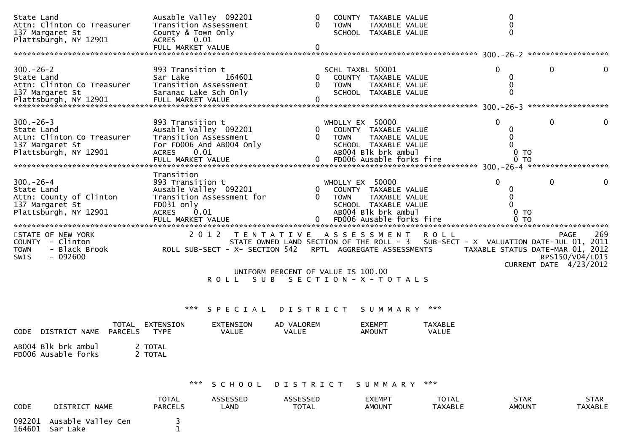| State Land<br>Attn: Clinton Co Treasurer<br>137 Margaret St<br>Plattsburgh, NY 12901                   | Ausable Valley 092201<br>Transition Assessment<br>County & Town Only<br><b>ACRES</b><br>0.01<br>FULL MARKET VALUE                           | 0<br>$\Omega$<br><b>TOWN</b><br>$\mathbf{0}$ | COUNTY TAXABLE VALUE<br>TAXABLE VALUE<br>SCHOOL TAXABLE VALUE                                                                       | 0<br>0<br>$\mathbf{0}$                                 |                                                          |
|--------------------------------------------------------------------------------------------------------|---------------------------------------------------------------------------------------------------------------------------------------------|----------------------------------------------|-------------------------------------------------------------------------------------------------------------------------------------|--------------------------------------------------------|----------------------------------------------------------|
| $300 - 26 - 2$<br>State Land<br>Attn: Clinton Co Treasurer<br>137 Margaret St                          | 993 Transition t<br>Sar Lake<br>164601<br>Transition Assessment<br>Saranac Lake Sch Only                                                    | 0<br><b>TOWN</b>                             | SCHL TAXBL 50001<br>COUNTY TAXABLE VALUE<br>TAXABLE VALUE<br>SCHOOL TAXABLE VALUE                                                   | $\Omega$<br>0<br>$\Omega$                              | 0<br>0                                                   |
|                                                                                                        |                                                                                                                                             |                                              |                                                                                                                                     |                                                        |                                                          |
| $300 - 26 - 3$<br>State Land<br>Attn: Clinton Co Treasurer<br>137 Margaret St<br>Plattsburgh, NY 12901 | 993 Transition t<br>Ausable Valley 092201<br>Transition Assessment<br>For FD006 And AB004 Only<br><b>ACRES</b><br>0.01<br>FULL MARKET VALUE | 0<br>0<br><b>TOWN</b>                        | WHOLLY EX 50000<br>COUNTY TAXABLE VALUE<br>TAXABLE VALUE<br>SCHOOL TAXABLE VALUE<br>AB004 Blk brk ambul<br>FD006 Ausable forks fire | $\Omega$<br>0<br>0<br>0 <sub>T</sub><br><b>TO</b><br>0 | 0<br>0                                                   |
|                                                                                                        | Transition                                                                                                                                  |                                              |                                                                                                                                     |                                                        |                                                          |
| $300 - 26 - 4$<br>State Land<br>Attn: County of Clinton<br>137 Margaret St<br>Plattsburgh, NY 12901    | 993 Transition t<br>Ausable Valley 092201<br>Transition Assessment for<br>FD031 only<br><b>ACRES</b><br>0.01                                | 0<br><b>TOWN</b>                             | WHOLLY EX 50000<br>COUNTY TAXABLE VALUE<br>TAXABLE VALUE<br>SCHOOL TAXABLE VALUE<br>AB004 Blk brk ambul                             | $\Omega$<br>0 <sub>T</sub>                             | 0<br>0                                                   |
|                                                                                                        |                                                                                                                                             |                                              | FD006 Ausable forks fire                                                                                                            | $0$ TO                                                 |                                                          |
| STATE OF NEW YORK<br>COUNTY - Clinton<br><b>TOWN</b><br>- Black Brook<br>$-092600$<br>SWIS             | 2012 TENTATIVE ASSESSMENT<br>ROLL SUB-SECT - X- SECTION 542                                                                                 |                                              | <b>ROLL</b><br>STATE OWNED LAND SECTION OF THE ROLL - 3 SUB-SECT - X VALUATION DATE-JUL 01, 2011<br>RPTL AGGREGATE ASSESSMENTS      | TAXABLE STATUS DATE-MAR 01, 2012                       | 269<br>PAGE<br>RPS150/V04/L015<br>CURRENT DATE 4/23/2012 |
|                                                                                                        | S U B<br>R O L L                                                                                                                            | UNIFORM PERCENT OF VALUE IS 100.00           | S E C T I O N - X - T O T A L S                                                                                                     |                                                        |                                                          |
|                                                                                                        | ***<br>SPECIAL                                                                                                                              | <b>DISTRICT</b>                              | SUMMARY<br>***                                                                                                                      |                                                        |                                                          |
| DISTRICT NAME<br><b>PARCELS</b><br><b>CODE</b>                                                         | TOTAL EXTENSION<br><b>EXTENSION</b><br><b>TYPE</b><br>VALUE                                                                                 | AD VALOREM<br>VALUE                          | <b>EXEMPT</b><br>TAXABLE<br><b>AMOUNT</b><br>VALUE                                                                                  |                                                        |                                                          |
| AB004 Blk brk ambul<br>FD006 Ausable forks                                                             | 2 TOTAL<br>2 TOTAL                                                                                                                          |                                              |                                                                                                                                     |                                                        |                                                          |
|                                                                                                        | ***<br>SCHOOL                                                                                                                               | DISTRICT                                     | ***<br>SUMMARY                                                                                                                      |                                                        |                                                          |
| <b>CODE</b><br>DISTRICT NAME                                                                           | <b>TOTAL</b><br>ASSESSED<br><b>PARCELS</b><br>LAND                                                                                          | ASSESSED<br><b>TOTAL</b>                     | <b>TOTAL</b><br><b>EXEMPT</b><br><b>AMOUNT</b><br><b>TAXABLE</b>                                                                    | <b>STAR</b><br><b>AMOUNT</b>                           | <b>STAR</b><br><b>TAXABLE</b>                            |
| 092201<br>Ausable Valley Cen<br>164601<br>Sar Lake                                                     | 3<br>$\mathbf{1}$                                                                                                                           |                                              |                                                                                                                                     |                                                        |                                                          |

<sup>164601</sup> Sar Lake <sup>1</sup>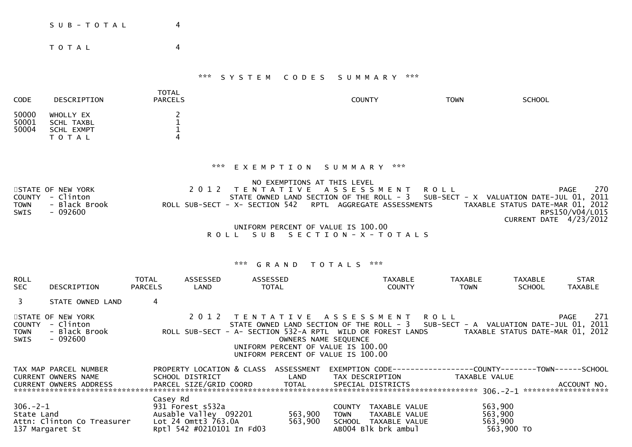| S U B - T O T A L | 4 |  |
|-------------------|---|--|
| T O T A L         | 4 |  |
|                   |   |  |

| <b>CODE</b>             | DESCRIPTION                                        | <b>TOTAL</b><br><b>PARCELS</b> | <b>COUNTY</b> | <b>TOWN</b> | <b>SCHOOL</b> |
|-------------------------|----------------------------------------------------|--------------------------------|---------------|-------------|---------------|
| 50000<br>50001<br>50004 | WHOLLY EX<br>SCHL TAXBL<br>SCHL EXMPT<br>T O T A L | 4                              |               |             |               |

## \*\*\* E X E M P T I O N S U M M A R Y \*\*\*

|             |                   | NO EXEMPTIONS AT THIS LEVEL                                                                   |                          |     |  |  |  |  |  |
|-------------|-------------------|-----------------------------------------------------------------------------------------------|--------------------------|-----|--|--|--|--|--|
|             | STATE OF NEW YORK | 2012 TENTATIVE ASSESSMENT ROLL                                                                | PAGE                     | 270 |  |  |  |  |  |
|             | COUNTY - Clinton  | STATE OWNED LAND SECTION OF THE ROLL - 3 SUB-SECT - X VALUATION DATE-JUL 01, 2011             |                          |     |  |  |  |  |  |
| <b>TOWN</b> | - Black Brook     | TAXABLE STATUS DATE-MAR 01, 2012<br>ROLL SUB-SECT - X- SECTION 542 RPTL AGGREGATE ASSESSMENTS |                          |     |  |  |  |  |  |
| <b>SWIS</b> | - 092600          |                                                                                               | RPS150/V04/L015          |     |  |  |  |  |  |
|             |                   |                                                                                               | CURRENT DATE $4/23/2012$ |     |  |  |  |  |  |
|             |                   |                                                                                               |                          |     |  |  |  |  |  |

 UNIFORM PERCENT OF VALUE IS 100.00R O L L S U B S E C T I O N - X - T O T A L S

| <b>ROLL</b><br><b>SEC</b>            | DESCRIPTION                                                 | <b>TOTAL</b><br><b>PARCELS</b> | ASSESSED<br>LAND                                                                              | ASSESSED<br><b>TOTAL</b>                                                                                   |                      |                              | <b>TAXABLE</b><br><b>COUNTY</b>                                               | <b>TAXABLE</b><br><b>TOWN</b> | TAXABLE<br><b>SCHOOL</b> | <b>STAR</b><br><b>TAXABLE</b>                                                                                                        |
|--------------------------------------|-------------------------------------------------------------|--------------------------------|-----------------------------------------------------------------------------------------------|------------------------------------------------------------------------------------------------------------|----------------------|------------------------------|-------------------------------------------------------------------------------|-------------------------------|--------------------------|--------------------------------------------------------------------------------------------------------------------------------------|
| $\mathbf{3}$                         | STATE OWNED LAND                                            | 4                              |                                                                                               |                                                                                                            |                      |                              |                                                                               |                               |                          |                                                                                                                                      |
| <b>COUNTY</b><br><b>TOWN</b><br>SWIS | STATE OF NEW YORK<br>- Clinton<br>- Black Brook<br>- 092600 |                                | ROLL SUB-SECT - A- SECTION 532-A RPTL WILD OR FOREST LANDS                                    | 2012 TENTATIVE ASSESSMENT ROLL<br>UNIFORM PERCENT OF VALUE IS 100.00<br>UNIFORM PERCENT OF VALUE IS 100.00 | OWNERS NAME SEQUENCE |                              |                                                                               |                               |                          | 271<br>PAGE<br>STATE OWNED LAND SECTION OF THE ROLL - 3 SUB-SECT - A VALUATION DATE-JUL 01, 2011<br>TAXABLE STATUS DATE-MAR 01, 2012 |
|                                      | TAX MAP PARCEL NUMBER<br>CURRENT OWNERS NAME                |                                | PROPERTY LOCATION & CLASS ASSESSMENT<br>SCHOOL DISTRICT                                       |                                                                                                            | LAND                 |                              | TAX DESCRIPTION                                                               | TAXABLE VALUE                 |                          |                                                                                                                                      |
|                                      | CURRENT OWNERS ADDRESS                                      |                                | PARCEL SIZE/GRID COORD TOTAL                                                                  |                                                                                                            |                      |                              | SPECIAL DISTRICTS                                                             |                               |                          | ACCOUNT NO.                                                                                                                          |
| $306. - 2 - 1$<br>State Land         | Attn: Clinton Co Treasurer<br>137 Margaret St               | Casey Rd                       | 931 Forest s532a<br>Ausable Valley 092201<br>Lot 24 Omtt3 763.0A<br>Rpt] 542 #0210101 In Fd03 |                                                                                                            | 563,900<br>563,900   | <b>COUNTY</b><br><b>TOWN</b> | TAXABLE VALUE<br>TAXABLE VALUE<br>SCHOOL TAXABLE VALUE<br>AB004 Blk brk ambul | 563,900<br>563,900<br>563,900 | 563,900 TO               |                                                                                                                                      |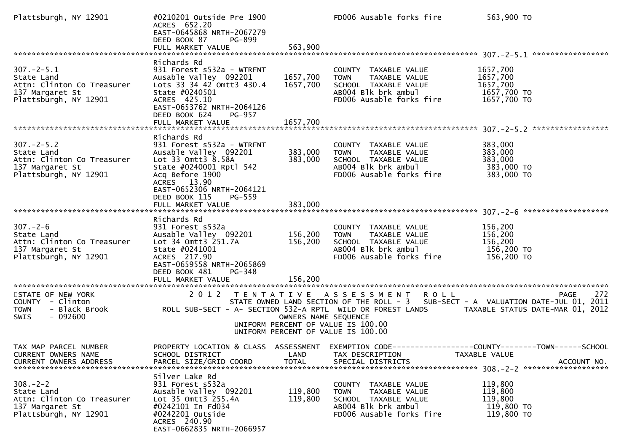| Plattsburgh, NY 12901                                                                                                             | #0210201 Outside Pre 1900<br>ACRES 652.20<br>EAST-0645868 NRTH-2067279<br>DEED BOOK 87<br>PG-899                                                                                                                                  |                                  | FD006 Ausable forks fire                                                                                                        | 563,900 TO                                                                                                                                                                                              |
|-----------------------------------------------------------------------------------------------------------------------------------|-----------------------------------------------------------------------------------------------------------------------------------------------------------------------------------------------------------------------------------|----------------------------------|---------------------------------------------------------------------------------------------------------------------------------|---------------------------------------------------------------------------------------------------------------------------------------------------------------------------------------------------------|
| $307 - 2 - 5.1$<br>State Land<br>Attn: Clinton Co Treasurer Lots 33 34 42 Omtt3 430.4<br>137 Margaret St<br>Plattsburgh, NY 12901 | Richards Rd<br>931 Forest s532a - WTRFNT<br>Ausable Valley 092201<br>State #0240501<br>ACRES 425.10<br>EAST-0653762 NRTH-2064126<br>DEED BOOK 624<br><b>PG-957</b><br>FULL MARKET VALUE                                           | 1657,700<br>1657,700<br>1657,700 | COUNTY TAXABLE VALUE<br>TAXABLE VALUE<br><b>TOWN</b><br>SCHOOL TAXABLE VALUE<br>AB004 Blk brk ambul<br>FD006 Ausable forks fire | 1657,700<br>1657,700<br>1657,700<br>1657,700 TO<br>1657,700 TO                                                                                                                                          |
| $307 - 2 - 5.2$<br>State Land<br>Attn: Clinton Co Treasurer<br>137 Margaret St<br>Plattsburgh, NY 12901                           | Richards Rd<br>931 Forest s532a - WTRFNT<br>Ausable Valley 092201<br>Lot 33 Omtt3 8.58A<br>State #0240001 Rptl 542<br>Acq Before 1900<br>ACRES 13.90<br>EAST-0652306 NRTH-2064121<br>DEED BOOK 115<br>PG-559<br>FULL MARKET VALUE | 383,000<br>383,000<br>383,000    | COUNTY TAXABLE VALUE<br><b>TOWN</b><br>TAXABLE VALUE<br>SCHOOL TAXABLE VALUE<br>AB004 Blk brk ambul<br>FD006 Ausable forks fire | 383,000<br>383,000<br>383,000<br>383,000 TO<br>383,000 TO                                                                                                                                               |
| $307. - 2 - 6$<br>State Land<br>Attn: Clinton Co Treasurer<br>137 Margaret St<br>Plattsburgh, NY 12901                            | Richards Rd<br>931 Forest s532a<br>Ausable Valley 092201 156,200<br>Lot 34 Omtt3 251.7A<br>State #0241001<br>ACRES 217.90<br>EAST-0659558 NRTH-2065869<br>DEED BOOK 481<br>PG-348<br>FULL MARKET VALUE                            | 156,200<br>156,200               | COUNTY TAXABLE VALUE<br>TAXABLE VALUE<br><b>TOWN</b><br>SCHOOL TAXABLE VALUE<br>AB004 Blk brk ambul<br>FD006 Ausable forks fire | 156,200<br>156,200<br>156,200<br>$156,200$ TO<br>156,200 TO                                                                                                                                             |
| STATE OF NEW YORK<br>COUNTY - Clinton<br>- Black Brook<br><b>TOWN</b><br>$-092600$<br>SWIS                                        |                                                                                                                                                                                                                                   | OWNERS NAME SEQUENCE             | 2012 TENTATIVE ASSESSMENT ROLL<br>UNIFORM PERCENT OF VALUE IS 100.00<br>UNIFORM PERCENT OF VALUE IS 100.00                      | 272<br>PAGE<br>STATE OWNED LAND SECTION OF THE ROLL - 3 SUB-SECT - A VALUATION DATE-JUL 01, 2011<br>ROLL SUB-SECT - A- SECTION 532-A RPTL WILD OR FOREST LANDS         TAXABLE STATUS DATE-MAR 01, 2012 |
| TAX MAP PARCEL NUMBER<br>CURRENT OWNERS NAME<br><b>CURRENT OWNERS ADDRESS</b>                                                     | SCHOOL DISTRICT<br>PARCEL SIZE/GRID COORD                                                                                                                                                                                         | LAND<br><b>TOTAL</b>             | TAX DESCRIPTION<br>SPECIAL DISTRICTS                                                                                            | PROPERTY LOCATION & CLASS ASSESSMENT EXEMPTION CODE----------------COUNTY-------TOWN------SCHOOL<br>TAXABLE VALUE<br>ACCOUNT NO.                                                                        |
| $308. - 2 - 2$<br>State Land<br>Attn: Clinton Co Treasurer<br>137 Margaret St<br>Plattsburgh, NY 12901                            | Silver Lake Rd<br>931 Forest s532a<br>Ausable Valley 092201<br>Lot 35 Omtt3 255.4A<br>#0242101 In Fd034<br>#0242201 Outside<br>ACRES 240.90<br>EAST-0662835 NRTH-2066957                                                          | 119,800<br>119,800               | COUNTY TAXABLE VALUE<br>TAXABLE VALUE<br><b>TOWN</b><br>SCHOOL TAXABLE VALUE<br>AB004 Blk brk ambul<br>FD006 Ausable forks fire | 119,800<br>119,800<br>119,800<br>119,800 TO<br>119,800 TO                                                                                                                                               |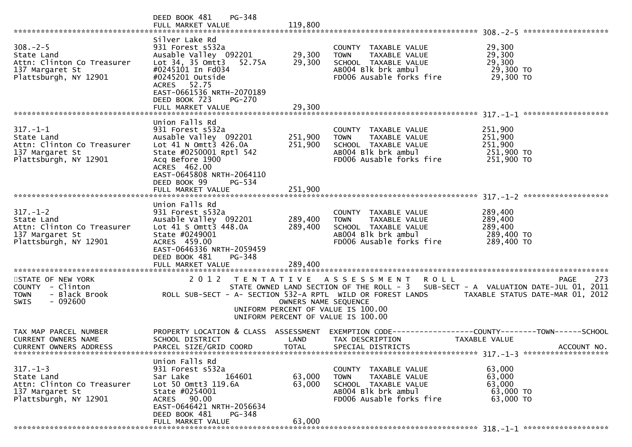|                                                                                                        | PG-348<br>DEED BOOK 481<br>FULL MARKET VALUE                                                                                                                                                                                          | 119,800                       |                                                                                                                                                                          |                                                           |
|--------------------------------------------------------------------------------------------------------|---------------------------------------------------------------------------------------------------------------------------------------------------------------------------------------------------------------------------------------|-------------------------------|--------------------------------------------------------------------------------------------------------------------------------------------------------------------------|-----------------------------------------------------------|
| $308 - 2 - 5$<br>State Land<br>Attn: Clinton Co Treasurer<br>137 Margaret St<br>Plattsburgh, NY 12901  | Silver Lake Rd<br>931 Forest s532a<br>Ausable Valley 092201<br>Lot 34, 35 Omtt3<br>52.75A<br>#0245101 In Fd034<br>#0245201 Outside<br>ACRES 52.75<br>EAST-0661536 NRTH-2070189<br>DEED BOOK 723<br><b>PG-270</b><br>FULL MARKET VALUE | 29,300<br>29,300<br>29,300    | COUNTY TAXABLE VALUE<br><b>TOWN</b><br>TAXABLE VALUE<br>SCHOOL TAXABLE VALUE<br>AB004 Blk brk ambul<br>FD006 Ausable forks fire                                          | 29,300<br>29,300<br>29,300<br>29,300 TO<br>29,300 TO      |
| $317. - 1 - 1$<br>State Land<br>Attn: Clinton Co Treasurer<br>137 Margaret St<br>Plattsburgh, NY 12901 | Union Falls Rd<br>931 Forest s532a<br>Ausable Valley 092201<br>Lot 41 N Omtt3 426.0A<br>State #0250001 Rptl 542<br>Acq Before 1900<br>ACRES 462.00<br>EAST-0645808 NRTH-2064110<br>DEED BOOK 99<br>$PG - 534$<br>FULL MARKET VALUE    | 251,900<br>251,900<br>251,900 | COUNTY TAXABLE VALUE<br>TAXABLE VALUE<br><b>TOWN</b><br>SCHOOL TAXABLE VALUE<br>AB004 Blk brk ambul<br>FD006 Ausable forks fire                                          | 251,900<br>251,900<br>251,900<br>251,900 TO<br>251,900 TO |
|                                                                                                        | Union Falls Rd                                                                                                                                                                                                                        |                               |                                                                                                                                                                          |                                                           |
| $317. - 1 - 2$<br>State Land<br>Attn: Clinton Co Treasurer<br>137 Margaret St<br>Plattsburgh, NY 12901 | 931 Forest s532a<br>Ausable Valley 092201<br>Lot 41 S Omtt3 448.0A<br>State #0249001<br>ACRES 459.00<br>EAST-0646336 NRTH-2059459<br>DEED BOOK 481<br>PG-348<br>FULL MARKET VALUE                                                     | 289,400<br>289,400<br>289,400 | COUNTY TAXABLE VALUE<br><b>TOWN</b><br>TAXABLE VALUE<br>SCHOOL TAXABLE VALUE<br>AB004 Blk brk ambul<br>FD006 Ausable forks fire                                          | 289,400<br>289,400<br>289,400<br>289,400 TO<br>289,400 TO |
| STATE OF NEW YORK<br>COUNTY - Clinton<br><b>TOWN</b><br>- Black Brook<br>$-092600$<br>SWIS             | 2012 TENTATIVE ASSESSMENT<br>ROLL SUB-SECT - A- SECTION 532-A RPTL WILD OR FOREST LANDS                                                                                                                                               | OWNERS NAME SEQUENCE          | R O L L<br>STATE OWNED LAND SECTION OF THE ROLL - 3 SUB-SECT - A VALUATION DATE-JUL 01, 2011<br>UNIFORM PERCENT OF VALUE IS 100.00<br>UNIFORM PERCENT OF VALUE IS 100.00 | 273<br>PAGE<br>TAXABLE STATUS DATE-MAR 01, 2012           |
| TAX MAP PARCEL NUMBER<br><b>CURRENT OWNERS NAME</b><br><b>CURRENT OWNERS ADDRESS</b>                   | PROPERTY LOCATION & CLASS ASSESSMENT<br>SCHOOL DISTRICT<br>PARCEL SIZE/GRID COORD                                                                                                                                                     | LAND<br><b>TOTAL</b>          | EXEMPTION CODE-----------------COUNTY--------TOWN------SCHOOL<br>TAX DESCRIPTION<br>SPECIAL DISTRICTS                                                                    | TAXABLE VALUE<br>ACCOUNT NO.                              |
| $317. - 1 - 3$<br>State Land<br>Attn: Clinton Co Treasurer<br>137 Margaret St<br>Plattsburgh, NY 12901 | Union Falls Rd<br>931 Forest s532a<br>Sar Lake<br>164601<br>Lot 50 Omtt3 119.6A<br>State #0254001<br>ACRES 90.00<br>EAST-0646421 NRTH-2056634<br>DEED BOOK 481<br>PG-348                                                              | 63,000<br>63,000              | COUNTY TAXABLE VALUE<br><b>TOWN</b><br>TAXABLE VALUE<br>SCHOOL TAXABLE VALUE<br>AB004 Blk brk ambul<br>FD006 Ausable forks fire                                          | 63,000<br>63,000<br>63,000<br>63,000 TO<br>63,000 TO      |
|                                                                                                        | FULL MARKET VALUE                                                                                                                                                                                                                     | 63,000                        |                                                                                                                                                                          |                                                           |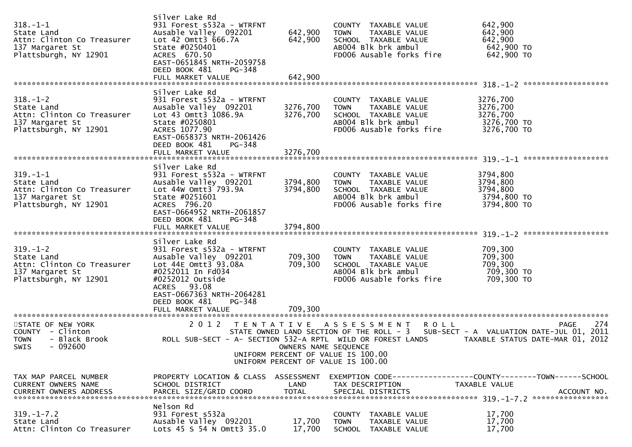| $318. - 1 - 1$<br>State Land<br>Attn: Clinton Co Treasurer<br>137 Margaret St<br>Plattsburgh, NY 12901 | Silver Lake Rd<br>931 Forest s532a - WTRFNT<br>Ausable Valley 092201<br>Lot 42 Omtt3 666.7A<br>State #0250401<br>ACRES 670.50<br>EAST-0651845 NRTH-2059758<br>DEED BOOK 481<br>PG-348<br>FULL MARKET VALUE                                  | 642,900<br>642,900<br>642,900                                                                    | COUNTY TAXABLE VALUE<br><b>TOWN</b><br>TAXABLE VALUE<br>SCHOOL TAXABLE VALUE<br>AB004 Blk brk ambul<br>FD006 Ausable forks fire | 642,900<br>642,900<br>642,900<br>642,900 TO<br>642,900 TO      |             |
|--------------------------------------------------------------------------------------------------------|---------------------------------------------------------------------------------------------------------------------------------------------------------------------------------------------------------------------------------------------|--------------------------------------------------------------------------------------------------|---------------------------------------------------------------------------------------------------------------------------------|----------------------------------------------------------------|-------------|
| $318. - 1 - 2$<br>State Land<br>Attn: Clinton Co Treasurer<br>137 Margaret St<br>Plattsburgh, NY 12901 | Silver Lake Rd<br>931 Forest s532a - WTRFNT<br>Ausable Valley 092201<br>Lot 43 Omtt3 1086.9A<br>State #0250801<br>ACRES 1077.90<br>EAST-0658373 NRTH-2061426<br>PG-348<br>DEED BOOK 481<br>FULL MARKET VALUE                                | 3276,700<br>3276,700<br>3276,700                                                                 | COUNTY TAXABLE VALUE<br><b>TOWN</b><br>TAXABLE VALUE<br>SCHOOL TAXABLE VALUE<br>AB004 Blk brk ambul<br>FD006 Ausable forks fire | 3276,700<br>3276,700<br>3276,700<br>3276,700 TO<br>3276,700 TO |             |
| $319. - 1 - 1$<br>State Land<br>Attn: Clinton Co Treasurer<br>137 Margaret St<br>Plattsburgh, NY 12901 | Silver Lake Rd<br>931 Forest s532a - WTRFNT<br>Ausable Valley 092201<br>Lot 44W Omtt3 793.9A<br>State #0251601<br>ACRES 796.20<br>EAST-0664952 NRTH-2061857<br>DEED BOOK 481<br>PG-348<br>FULL MARKET VALUE                                 | 3794,800<br>3794,800<br>3794,800                                                                 | COUNTY TAXABLE VALUE<br>TAXABLE VALUE<br><b>TOWN</b><br>SCHOOL TAXABLE VALUE<br>AB004 Blk brk ambul<br>FD006 Ausable forks fire | 3794,800<br>3794,800<br>3794,800<br>3794,800 TO<br>3794,800 TO |             |
| $319. - 1 - 2$<br>State Land<br>Attn: Clinton Co Treasurer<br>137 Margaret St<br>Plattsburgh, NY 12901 | Silver Lake Rd<br>931 Forest s532a - WTRFNT<br>Ausable Valley 092201<br>Lot 44E Omtt3 93.08A<br>#0252011 In Fd034<br>#0252012 Outside<br><b>ACRES</b><br>93.08<br>EAST-0667363 NRTH-2064281<br>DEED BOOK 481<br>PG-348<br>FULL MARKET VALUE | 709,300<br>709,300<br>709,300                                                                    | COUNTY TAXABLE VALUE<br><b>TOWN</b><br>TAXABLE VALUE<br>SCHOOL TAXABLE VALUE<br>AB004 Blk brk ambul<br>FD006 Ausable forks fire | 709,300<br>709,300<br>709,300<br>709,300 то<br>709,300 TO      |             |
| STATE OF NEW YORK<br>COUNTY - Clinton<br>- Black Brook<br><b>TOWN</b><br>SWIS - 092600                 | 2 0 1 2<br>ROLL SUB-SECT - A- SECTION 532-A RPTL WILD OR FOREST LANDS                                                                                                                                                                       | OWNERS NAME SEQUENCE<br>UNIFORM PERCENT OF VALUE IS 100.00<br>UNIFORM PERCENT OF VALUE IS 100.00 | TENTATIVE ASSESSMENT<br><b>ROLL</b><br>STATE OWNED LAND SECTION OF THE ROLL - 3 SUB-SECT - A VALUATION DATE-JUL 01, 2011        | TAXABLE STATUS DATE-MAR 01, 2012                               | 274<br>PAGE |
| TAX MAP PARCEL NUMBER<br>CURRENT OWNERS NAME                                                           | PROPERTY LOCATION & CLASS ASSESSMENT<br>SCHOOL DISTRICT                                                                                                                                                                                     | LAND                                                                                             | EXEMPTION CODE-----------------COUNTY-------TOWN------SCHOOL<br>TAX DESCRIPTION                                                 | TAXABLE VALUE                                                  |             |
| $319. - 1 - 7.2$<br>State Land<br>Attn: Clinton Co Treasurer                                           | Nelson Rd<br>931 Forest s532a<br>Ausable Valley 092201<br>Lots 45 S 54 N Omtt3 35.0                                                                                                                                                         | 17,700<br>17,700                                                                                 | COUNTY TAXABLE VALUE<br>TAXABLE VALUE<br>TOWN<br>SCHOOL TAXABLE VALUE                                                           | 17,700<br>17,700<br>17,700                                     |             |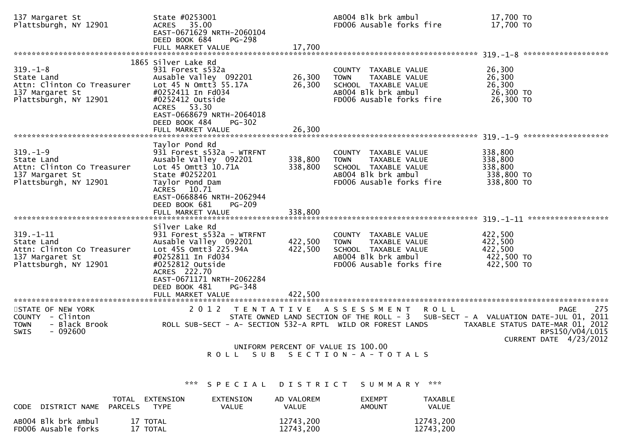| 137 Margaret St<br>Plattsburgh, NY 12901                                                                | State #0253001<br>35.00<br><b>ACRES</b><br>EAST-0671629 NRTH-2060104<br>DEED BOOK 684<br><b>PG-298</b>                                                                                                                              |                               | AB004 Blk brk ambul<br>FD006 Ausable forks fire                                                                                                                                              | 17,700 TO<br>17,700 TO                                                                              |
|---------------------------------------------------------------------------------------------------------|-------------------------------------------------------------------------------------------------------------------------------------------------------------------------------------------------------------------------------------|-------------------------------|----------------------------------------------------------------------------------------------------------------------------------------------------------------------------------------------|-----------------------------------------------------------------------------------------------------|
|                                                                                                         | FULL MARKET VALUE                                                                                                                                                                                                                   | 17,700                        |                                                                                                                                                                                              |                                                                                                     |
| $319. - 1 - 8$<br>State Land<br>Attn: Clinton Co Treasurer<br>137 Margaret St<br>Plattsburgh, NY 12901  | 1865 Silver Lake Rd<br>931 Forest s532a<br>Ausable Valley 092201<br>Lot 45 N Omtt3 55.17A<br>#0252411 In Fd034<br>#0252412 Outside<br>ACRES 53.30<br>EAST-0668679 NRTH-2064018<br>DEED BOOK 484<br>$PG-302$                         | 26,300<br>26,300              | COUNTY TAXABLE VALUE<br><b>TOWN</b><br>TAXABLE VALUE<br>SCHOOL TAXABLE VALUE<br>AB004 Blk brk ambul<br>FD006 Ausable forks fire                                                              | 26,300<br>26,300<br>26,300<br>26,300 TO<br>26,300 TO                                                |
|                                                                                                         | FULL MARKET VALUE                                                                                                                                                                                                                   | 26,300                        |                                                                                                                                                                                              |                                                                                                     |
| $319. - 1 - 9$<br>State Land<br>Attn: Clinton Co Treasurer<br>137 Margaret St<br>Plattsburgh, NY 12901  | Taylor Pond Rd<br>931 Forest s532a - WTRFNT<br>Ausable Valley 092201<br>Lot 45 Omtt3 10.71A<br>State #0252201<br>Taylor Pond Dam<br>ACRES 10.71<br>EAST-0668846 NRTH-2062944<br>DEED BOOK 681<br>$PG-209$                           | 338,800<br>338,800            | COUNTY TAXABLE VALUE<br>TAXABLE VALUE<br><b>TOWN</b><br>SCHOOL TAXABLE VALUE<br>AB004 Blk brk ambul<br>FD006 Ausable forks fire                                                              | 338,800<br>338,800<br>338,800<br>338,800 TO<br>338,800 TO                                           |
|                                                                                                         | FULL MARKET VALUE                                                                                                                                                                                                                   | 338,800                       |                                                                                                                                                                                              |                                                                                                     |
| $319. - 1 - 11$<br>State Land<br>Attn: Clinton Co Treasurer<br>137 Margaret St<br>Plattsburgh, NY 12901 | Silver Lake Rd<br>931 Forest s532a - WTRFNT<br>Ausable Valley 092201<br>Lot 45s Omtt3 225.94A<br>#0252811 In Fd034<br>#0252812 Outside<br>ACRES 222.70<br>EAST-0671171 NRTH-2062284<br>DEED BOOK 481<br>PG-348<br>FULL MARKET VALUE | 422,500<br>422,500<br>422,500 | COUNTY TAXABLE VALUE<br><b>TOWN</b><br>TAXABLE VALUE<br>SCHOOL TAXABLE VALUE<br>AB004 Blk brk ambul<br>FD006 Ausable forks fire                                                              | 422,500<br>422,500<br>422,500<br>422,500 TO<br>422,500 TO                                           |
| STATE OF NEW YORK<br>COUNTY - Clinton<br>- Black Brook<br><b>TOWN</b><br><b>SWIS</b><br>- 092600        | 2012<br>T E N T A T I V E<br>ROLL SUB-SECT - A- SECTION 532-A RPTL WILD OR FOREST LANDS<br>S U B<br>ROLL                                                                                                                            |                               | A S S E S S M E N T<br>R O L L<br>STATE OWNED LAND SECTION OF THE ROLL - 3 SUB-SECT - A VALUATION DATE-JUL 01, 2011<br>UNIFORM PERCENT OF VALUE IS 100.00<br>S E C T I O N - A - T O T A L S | 275<br><b>PAGE</b><br>TAXABLE STATUS DATE-MAR 01, 2012<br>RPS150/V04/L015<br>CURRENT DATE 4/23/2012 |
|                                                                                                         | ***<br>S P E C I A L                                                                                                                                                                                                                |                               | ***<br>DISTRICT SUMMARY                                                                                                                                                                      |                                                                                                     |

| <b>CODE</b><br>DISTRICT NAME               | TOTAL<br>EXTENSION<br>PARCELS<br><b>TYPF</b> | <b>EXTENSION</b><br>VALUE | AD VALOREM<br>VALUE    | <b>FXEMPT</b><br><b>AMOUNT</b> | <b>TAXABLE</b><br>VALUE |
|--------------------------------------------|----------------------------------------------|---------------------------|------------------------|--------------------------------|-------------------------|
| AB004 Blk brk ambul<br>FD006 Ausable forks | 17 TOTAL<br>17 TOTAL                         |                           | 12743,200<br>12743,200 |                                | 12743,200<br>12743,200  |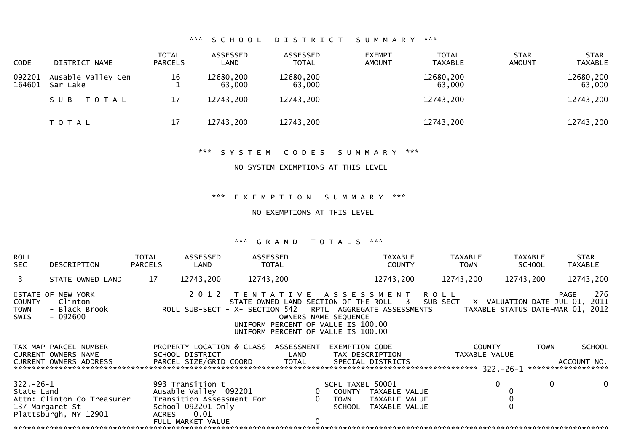## \*\*\* S C H O O L D I S T R I C T S U M M A R Y \*\*\*

| <b>CODE</b>      | DISTRICT NAME                  | <b>TOTAL</b><br><b>PARCELS</b> | ASSESSED<br>LAND    | ASSESSED<br>TOTAL   | <b>EXEMPT</b><br><b>AMOUNT</b> | <b>TOTAL</b><br><b>TAXABLE</b> | <b>STAR</b><br><b>AMOUNT</b> | <b>STAR</b><br><b>TAXABLE</b> |
|------------------|--------------------------------|--------------------------------|---------------------|---------------------|--------------------------------|--------------------------------|------------------------------|-------------------------------|
| 092201<br>164601 | Ausable Valley Cen<br>Sar Lake | 16                             | 12680,200<br>63,000 | 12680,200<br>63,000 |                                | 12680,200<br>63,000            |                              | 12680,200<br>63,000           |
|                  | SUB-TOTAL                      | 17                             | 12743,200           | 12743,200           |                                | 12743,200                      |                              | 12743,200                     |
|                  | T O T A L                      | 17                             | 12743,200           | 12743,200           |                                | 12743,200                      |                              | 12743,200                     |

\*\*\* S Y S T E M C O D E S S U M M A R Y \*\*\*

### NO SYSTEM EXEMPTIONS AT THIS LEVEL

\*\*\* E X E M P T I O N S U M M A R Y \*\*\*

NO EXEMPTIONS AT THIS LEVEL

| <b>ROLL</b><br><b>SEC</b><br>DESCRIPTION                                                               | TOTAL<br><b>PARCELS</b> | ASSESSED<br>LAND                                                                                                          | ASSESSED<br>TOTAL                                                                                                                                                                               |                |                                    | <b>TAXABLE</b><br><b>COUNTY</b>                                                                                           | <b>TAXABLE</b><br><b>TOWN</b> |           | TAXABLE<br><b>SCHOOL</b> | <b>STAR</b><br><b>TAXABLE</b> |              |
|--------------------------------------------------------------------------------------------------------|-------------------------|---------------------------------------------------------------------------------------------------------------------------|-------------------------------------------------------------------------------------------------------------------------------------------------------------------------------------------------|----------------|------------------------------------|---------------------------------------------------------------------------------------------------------------------------|-------------------------------|-----------|--------------------------|-------------------------------|--------------|
| $\overline{3}$<br>STATE OWNED LAND                                                                     | 17                      | 12743,200                                                                                                                 | 12743,200                                                                                                                                                                                       |                |                                    | 12743,200                                                                                                                 | 12743,200                     | 12743,200 |                          |                               | 12743,200    |
| STATE OF NEW YORK<br>- Clinton<br>COUNTY<br>- Black Brook<br><b>TOWN</b><br>- 092600<br>SWIS           |                         | ROLL SUB-SECT - X- SECTION 542 RPTL AGGREGATE ASSESSMENTS TAXABLE STATUS DATE-MAR 01, 2012                                | 2012 TENTATIVE ASSESSMENT ROLL<br>STATE OWNED LAND SECTION OF THE ROLL - 3 SUB-SECT - X VALUATION DATE-JUL 01, 2011<br>UNIFORM PERCENT OF VALUE IS 100.00<br>UNIFORM PERCENT OF VALUE IS 100.00 |                | OWNERS NAME SEQUENCE               |                                                                                                                           |                               |           |                          | PAGE                          | 276          |
| TAX MAP PARCEL NUMBER<br><b>CURRENT OWNERS NAME</b><br><b>CURRENT OWNERS ADDRESS</b>                   |                         | PROPERTY LOCATION & CLASS ASSESSMENT<br>SCHOOL DISTRICT<br>PARCEL SIZE/GRID COORD TOTAL                                   | <b>Example 18 The LAND</b>                                                                                                                                                                      |                |                                    | EXEMPTION        CODE-----------------COUNTY-------TOWN------SCHOOL<br>TAX DESCRIPTION TAXABLE VALUE<br>SPECIAL DISTRICTS |                               |           |                          | ACCOUNT NO.                   |              |
| $322 - 26 - 1$<br>State Land<br>Attn: Clinton Co Treasurer<br>137 Margaret St<br>Plattsburgh, NY 12901 | ACRES                   | 993 Transition t<br>Ausable Valley 092201<br>Transition Assessment For<br>School 092201 Only<br>0.01<br>FULL MARKET VALUE |                                                                                                                                                                                                 | $\overline{0}$ | SCHL TAXBL 50001<br>TOWN<br>SCHOOL | 0 COUNTY TAXABLE VALUE<br>TAXABLE VALUE<br>TAXABLE VALUE                                                                  |                               | $\Omega$  | 0                        |                               | $\mathbf{0}$ |
|                                                                                                        |                         |                                                                                                                           |                                                                                                                                                                                                 |                |                                    |                                                                                                                           |                               |           |                          |                               |              |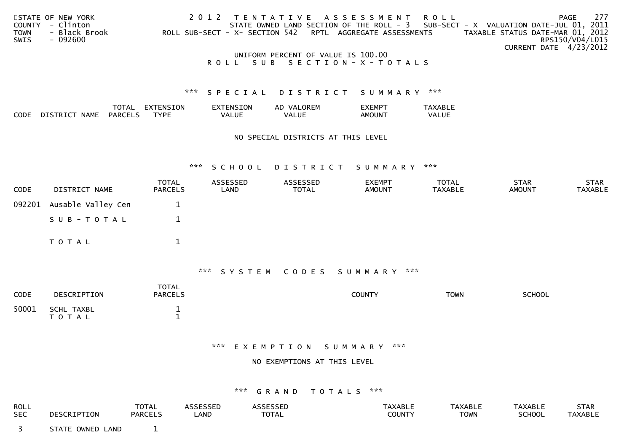|             | STATE OF NEW YORK |                                    | 2012 TENTATIVE ASSESSMENT ROLL                                                    |                                  | PAGE                   | 277 |
|-------------|-------------------|------------------------------------|-----------------------------------------------------------------------------------|----------------------------------|------------------------|-----|
|             | COUNTY - Clinton  |                                    | STATE OWNED LAND SECTION OF THE ROLL - 3 SUB-SECT - X VALUATION DATE-JUL 01, 2011 |                                  |                        |     |
| <b>TOWN</b> | - Black Brook     |                                    | ROLL SUB-SECT - X- SECTION 542 RPTL AGGREGATE ASSESSMENTS                         | TAXABLE STATUS DATE-MAR 01, 2012 |                        |     |
| SWIS        | - 092600          |                                    |                                                                                   |                                  | RPS150/V04/L015        |     |
|             |                   |                                    |                                                                                   |                                  | CURRENT DATE 4/23/2012 |     |
|             |                   | UNIFORM PERCENT OF VALUE IS 100.00 |                                                                                   |                                  |                        |     |

## R O L L S U B S E C T I O N - X - T O T A L S

### \*\*\* S P E C I A L D I S T R I C T S U M M A R Y \*\*\*

|      |                         | TOTAL          | EXTENSION   | <b>EXTENSION</b> | AD VALOREM | <b>EXEMPT</b>      | TAXABLE |
|------|-------------------------|----------------|-------------|------------------|------------|--------------------|---------|
| CODE | <b>NAME</b><br>DISTRICT | <b>PARCELS</b> | <b>TYPE</b> | VALUE            | VALUE      | AMOUN <sup>-</sup> | VALUE   |

### NO SPECIAL DISTRICTS AT THIS LEVEL

### \*\*\* S C H O O L D I S T R I C T S U M M A R Y \*\*\*

| <b>CODE</b> | DISTRICT NAME             | <b>TOTAL</b><br>PARCELS | ASSESSED<br>LAND | ASSESSED<br>TOTAL | <b>EXEMPT</b><br><b>AMOUNT</b> | <b>TOTAL</b><br>TAXABLE | <b>STAR</b><br><b>AMOUNT</b> | <b>STAR</b><br>TAXABLE |
|-------------|---------------------------|-------------------------|------------------|-------------------|--------------------------------|-------------------------|------------------------------|------------------------|
|             | 092201 Ausable Valley Cen |                         |                  |                   |                                |                         |                              |                        |
|             | SUB-TOTAL                 |                         |                  |                   |                                |                         |                              |                        |
|             | T O T A L                 |                         |                  |                   |                                |                         |                              |                        |

### \*\*\* S Y S T E M C O D E S S U M M A R Y \*\*\*

| <b>CODE</b> | DESCRIPTION             | <b>TOTAL</b><br><b>PARCELS</b> | <b>COUNTY</b> | <b>TOWN</b> | <b>SCHOOL</b> |
|-------------|-------------------------|--------------------------------|---------------|-------------|---------------|
| 50001       | SCHL TAXBL<br>T O T A L |                                |               |             |               |

#### \*\*\* E X E M P T I O N S U M M A R Y \*\*\*

### NO EXEMPTIONS AT THIS LEVEL

| <b>ROLL</b> | DESCRIPTION      | <b>TOTAL</b>   | ASSESSED | ASSESSED | <b>TAXABLE</b> | <b>TAXABLE</b> | <b>TAXABLE</b> | STAR    |
|-------------|------------------|----------------|----------|----------|----------------|----------------|----------------|---------|
| <b>SEC</b>  |                  | <b>PARCELS</b> | _AND     | TOTAL    | <b>COUNTY</b>  | <b>TOWN</b>    | <b>SCHOOL</b>  | TAXABLE |
|             | STATE OWNED LAND |                |          |          |                |                |                |         |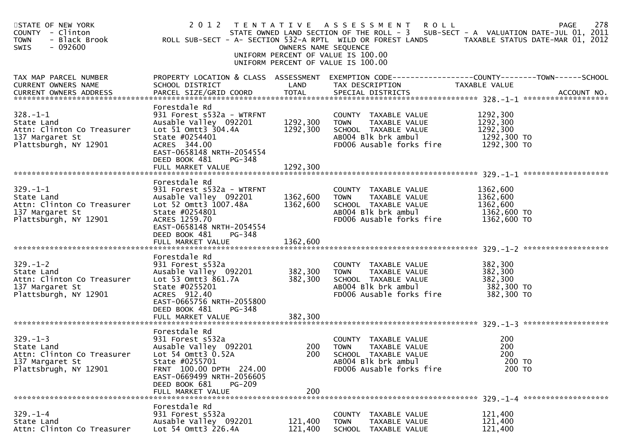| STATE OF NEW YORK<br>COUNTY - Clinton<br><b>TOWN</b><br>- Black Brook<br>$-092600$<br>SWIS             |                                                                                                                                                                                                                   | OWNERS NAME SEQUENCE             | 2012 TENTATIVE ASSESSMENT ROLL<br>STATE OWNED LAND SECTION OF THE ROLL - 3 SUB-SECT - A VALUATION DATE-JUL 01, 2011<br>ROLL SUB-SECT - A- SECTION 532-A RPTL WILD OR FOREST LANDS TAXABLE STATUS DATE-MAR 01, 2012<br>UNIFORM PERCENT OF VALUE IS 100.00<br>UNIFORM PERCENT OF VALUE IS 100.00 |                                                                | 278<br><b>PAGE</b> |
|--------------------------------------------------------------------------------------------------------|-------------------------------------------------------------------------------------------------------------------------------------------------------------------------------------------------------------------|----------------------------------|------------------------------------------------------------------------------------------------------------------------------------------------------------------------------------------------------------------------------------------------------------------------------------------------|----------------------------------------------------------------|--------------------|
| TAX MAP PARCEL NUMBER<br>CURRENT OWNERS NAME                                                           | SCHOOL DISTRICT                                                                                                                                                                                                   | LAND                             | PROPERTY LOCATION & CLASS ASSESSMENT EXEMPTION CODE---------------COUNTY-------TOWN------SCHOOL<br>TAX DESCRIPTION                                                                                                                                                                             | TAXABLE VALUE                                                  |                    |
| $328. - 1 - 1$<br>State Land<br>Attn: Clinton Co Treasurer<br>137 Margaret St<br>Plattsburgh, NY 12901 | Forestdale Rd<br>931 Forest s532a - WTRFNT<br>Ausable Valley 092201<br>Lot 51 Omtt3 304.4A<br>State #0254401<br>ACRES 344.00<br>EAST-0658148 NRTH-2054554<br>DEED BOOK 481<br>PG-348<br>FULL MARKET VALUE         | 1292,300<br>1292,300<br>1292,300 | COUNTY TAXABLE VALUE<br>TOWN<br>TAXABLE VALUE<br>SCHOOL TAXABLE VALUE<br>AB004 Blk brk ambul<br>FD006 Ausable forks fire                                                                                                                                                                       | 1292,300<br>1292,300<br>1292,300<br>1292,300 TO<br>1292,300 TO |                    |
|                                                                                                        | Forestdale Rd                                                                                                                                                                                                     |                                  |                                                                                                                                                                                                                                                                                                |                                                                |                    |
| $329. - 1 - 1$<br>State Land<br>Attn: Clinton Co Treasurer<br>137 Margaret St<br>Plattsburgh, NY 12901 | 931 Forest s532a - WTRFNT<br>Ausable Valley 092201<br>Lot 52 Omtt3 1007.48A<br>State #0254801<br>ACRES 1259.70<br>EAST-0658148 NRTH-2054554<br>DEED BOOK 481<br>PG-348                                            | 1362,600<br>1362,600             | COUNTY TAXABLE VALUE<br>TAXABLE VALUE<br><b>TOWN</b><br>SCHOOL TAXABLE VALUE<br>AB004 Blk brk ambul<br>FD006 Ausable forks fire                                                                                                                                                                | 1362,600<br>1362,600<br>1362,600<br>1362,600 TO<br>1362,600 TO |                    |
|                                                                                                        |                                                                                                                                                                                                                   |                                  |                                                                                                                                                                                                                                                                                                |                                                                |                    |
| $329. - 1 - 2$<br>State Land<br>Attn: Clinton Co Treasurer<br>137 Margaret St<br>Plattsburgh, NY 12901 | Forestdale Rd<br>931 Forest s532a<br>Ausable Valley 092201<br>Lot 53 Omtt3 861.7A<br>State #0255201<br>ACRES 912.40<br>EAST-0665756 NRTH-2055800<br>DEED BOOK 481<br>PG-348                                       | 382,300<br>382,300               | COUNTY TAXABLE VALUE<br>TAXABLE VALUE<br><b>TOWN</b><br>SCHOOL TAXABLE VALUE<br>AB004 Blk brk ambul<br>FD006 Ausable forks fire                                                                                                                                                                | 382,300<br>382,300<br>382,300<br>382,300 TO<br>382,300 TO      |                    |
|                                                                                                        | FULL MARKET VALUE                                                                                                                                                                                                 | 382,300                          |                                                                                                                                                                                                                                                                                                |                                                                |                    |
| $329. - 1 - 3$<br>State Land<br>Attn: Clinton Co Treasurer<br>137 Margaret St<br>Plattsbrugh, NY 12901 | Forestdale Rd<br>931 Forest s532a<br>Ausable Valley 092201<br>Lot 54 Omtt3 0.52A<br>State #0255701<br>FRNT 100.00 DPTH 224.00<br>EAST-0669499 NRTH-2056605<br>DEED BOOK 681<br><b>PG-209</b><br>FULL MARKET VALUE | 200<br>200<br>200                | COUNTY TAXABLE VALUE<br>TOWN<br>TAXABLE VALUE<br>SCHOOL TAXABLE VALUE<br>AB004 Blk brk ambul<br>FD006 Ausable forks fire                                                                                                                                                                       | 200<br>200<br>200<br>200 TO<br>200 TO                          |                    |
|                                                                                                        | Forestdale Rd                                                                                                                                                                                                     |                                  |                                                                                                                                                                                                                                                                                                |                                                                |                    |
| $329. - 1 - 4$<br>State Land<br>Attn: Clinton Co Treasurer                                             | 931 Forest s532a<br>Ausable Valley 092201<br>Lot 54 Omtt3 226.4A                                                                                                                                                  | 121,400<br>121,400               | <b>COUNTY</b><br>TAXABLE VALUE<br>TAXABLE VALUE<br><b>TOWN</b><br><b>SCHOOL</b><br>TAXABLE VALUE                                                                                                                                                                                               | 121,400<br>121,400<br>121,400                                  |                    |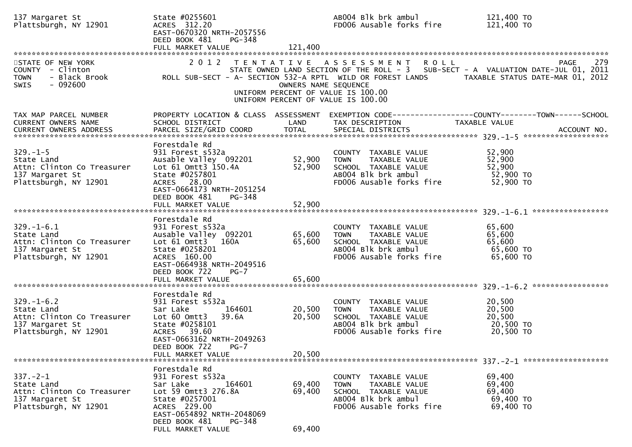| 137 Margaret St<br>Plattsburgh, NY 12901                                                                 | State #0255601<br>ACRES 312.20<br>EAST-0670320 NRTH-2057556<br>DEED BOOK 481<br>PG-348                                                                                                        |                            | AB004 Blk brk ambul<br>FD006 Ausable forks fire                                                                                 | 121,400 TO<br>121,400 TO                                                                                                             |
|----------------------------------------------------------------------------------------------------------|-----------------------------------------------------------------------------------------------------------------------------------------------------------------------------------------------|----------------------------|---------------------------------------------------------------------------------------------------------------------------------|--------------------------------------------------------------------------------------------------------------------------------------|
| STATE OF NEW YORK<br>COUNTY - Clinton<br>- Black Brook<br>TOWN<br>$-092600$<br>SWIS                      | 2 0 1 2<br>ROLL SUB-SECT - A- SECTION 532-A RPTL WILD OR FOREST LANDS                                                                                                                         | OWNERS NAME SEQUENCE       | TENTATIVE ASSESSMENT<br><b>ROLL</b><br>UNIFORM PERCENT OF VALUE IS 100.00<br>UNIFORM PERCENT OF VALUE IS 100.00                 | 279<br>PAGE<br>STATE OWNED LAND SECTION OF THE ROLL - 3 SUB-SECT - A VALUATION DATE-JUL 01, 2011<br>TAXABLE STATUS DATE-MAR 01, 2012 |
| TAX MAP PARCEL NUMBER<br>CURRENT OWNERS NAME<br>CURRENT OWNERS ADDRESS                                   | PROPERTY LOCATION & CLASS ASSESSMENT<br>SCHOOL DISTRICT                                                                                                                                       | LAND                       | TAX DESCRIPTION                                                                                                                 | EXEMPTION CODE-----------------COUNTY-------TOWN------SCHOOL<br>TAXABLE VALUE                                                        |
| $329. - 1 - 5$<br>State Land<br>Attn: Clinton Co Treasurer<br>137 Margaret St<br>Plattsburgh, NY 12901   | Forestdale Rd<br>931 Forest s532a<br>Ausable Valley 092201<br>Lot 61 Omtt3 150.4A<br>State #0257801<br>ACRES 28.00<br>EAST-0664173 NRTH-2051254<br>DEED BOOK 481<br>PG-348                    | 52,900<br>52,900           | COUNTY TAXABLE VALUE<br><b>TOWN</b><br>TAXABLE VALUE<br>SCHOOL TAXABLE VALUE<br>AB004 Blk brk ambul<br>FD006 Ausable forks fire | 52,900<br>52,900<br>52,900<br>52,900 TO<br>52,900 TO                                                                                 |
|                                                                                                          | Forestdale Rd                                                                                                                                                                                 |                            |                                                                                                                                 |                                                                                                                                      |
| $329. - 1 - 6.1$<br>State Land<br>Attn: Clinton Co Treasurer<br>137 Margaret St<br>Plattsburgh, NY 12901 | 931 Forest s532a<br>Ausable Valley 092201<br>Lot 61 Omtt3<br>160A<br>State #0258201<br>ACRES 160.00<br>EAST-0664938 NRTH-2049516<br>DEED BOOK 722<br>$PG-7$<br>FULL MARKET VALUE              | 65,600<br>65,600<br>65,600 | COUNTY TAXABLE VALUE<br>TAXABLE VALUE<br><b>TOWN</b><br>SCHOOL TAXABLE VALUE<br>AB004 Blk brk ambul<br>FD006 Ausable forks fire | 65,600<br>65,600<br>65,600<br>65,600 TO<br>65,600 TO                                                                                 |
|                                                                                                          |                                                                                                                                                                                               |                            |                                                                                                                                 |                                                                                                                                      |
| $329. - 1 - 6.2$<br>State Land<br>Attn: Clinton Co Treasurer<br>137 Margaret St<br>Plattsburgh, NY 12901 | Forestdale Rd<br>931 Forest s532a<br>164601<br>Sar Lake<br>Lot 60 Omtt3<br>39.6A<br>State #0258101<br>ACRES 39.60<br>EAST-0663162 NRTH-2049263<br>DEED BOOK 722<br>PG-7<br>FULL MARKET VALUE  | 20,500<br>20,500<br>20,500 | COUNTY TAXABLE VALUE<br><b>TOWN</b><br>TAXABLE VALUE<br>SCHOOL TAXABLE VALUE<br>AB004 Blk brk ambul<br>FD006 Ausable forks fire | 20,500<br>20,500<br>20,500<br>20,500 TO<br>20,500 TO                                                                                 |
|                                                                                                          |                                                                                                                                                                                               |                            |                                                                                                                                 |                                                                                                                                      |
| $337. - 2 - 1$<br>State Land<br>Attn: Clinton Co Treasurer<br>137 Margaret St<br>Plattsburgh, NY 12901   | Forestdale Rd<br>931 Forest s532a<br>164601<br>Sar Lake<br>Lot 59 Omtt3 276.8A<br>State #0257001<br>ACRES 229.00<br>EAST-0654892 NRTH-2048069<br>DEED BOOK 481<br>PG-348<br>FULL MARKET VALUE | 69,400<br>69,400<br>69,400 | COUNTY TAXABLE VALUE<br>TAXABLE VALUE<br><b>TOWN</b><br>SCHOOL TAXABLE VALUE<br>AB004 Blk brk ambul<br>FD006 Ausable forks fire | 69,400<br>69,400<br>69,400<br>69,400 TO<br>69,400 TO                                                                                 |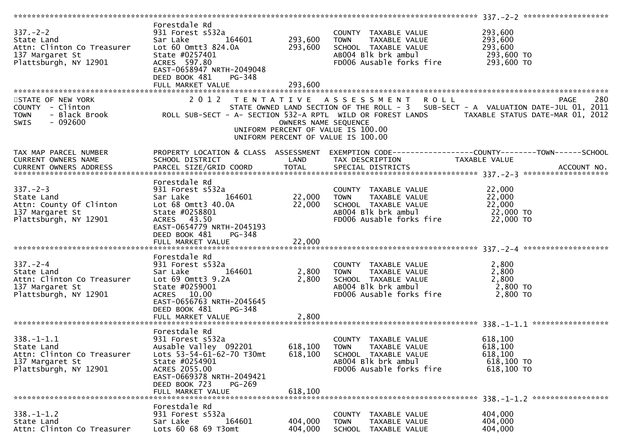| Forestdale Rd<br>EAST-0658947 NRTH-2049048                                                                                                                                                                                                                                                                     |                                                                                | COUNTY TAXABLE VALUE<br>TAXABLE VALUE<br>TOWN<br>FD006 Ausable forks fire 293,600 TO                             | 293,600<br>293,600                                                                                                                                                                                                                                                                                                                                                                                                                                                                                                                                                                                                                                                                                                                                                                                                                                                                                                                                                                                                                                                                      |
|----------------------------------------------------------------------------------------------------------------------------------------------------------------------------------------------------------------------------------------------------------------------------------------------------------------|--------------------------------------------------------------------------------|------------------------------------------------------------------------------------------------------------------|-----------------------------------------------------------------------------------------------------------------------------------------------------------------------------------------------------------------------------------------------------------------------------------------------------------------------------------------------------------------------------------------------------------------------------------------------------------------------------------------------------------------------------------------------------------------------------------------------------------------------------------------------------------------------------------------------------------------------------------------------------------------------------------------------------------------------------------------------------------------------------------------------------------------------------------------------------------------------------------------------------------------------------------------------------------------------------------------|
| FULL MARKET VALUE                                                                                                                                                                                                                                                                                              | 293,600                                                                        |                                                                                                                  |                                                                                                                                                                                                                                                                                                                                                                                                                                                                                                                                                                                                                                                                                                                                                                                                                                                                                                                                                                                                                                                                                         |
|                                                                                                                                                                                                                                                                                                                |                                                                                |                                                                                                                  |                                                                                                                                                                                                                                                                                                                                                                                                                                                                                                                                                                                                                                                                                                                                                                                                                                                                                                                                                                                                                                                                                         |
|                                                                                                                                                                                                                                                                                                                |                                                                                |                                                                                                                  |                                                                                                                                                                                                                                                                                                                                                                                                                                                                                                                                                                                                                                                                                                                                                                                                                                                                                                                                                                                                                                                                                         |
|                                                                                                                                                                                                                                                                                                                |                                                                                |                                                                                                                  |                                                                                                                                                                                                                                                                                                                                                                                                                                                                                                                                                                                                                                                                                                                                                                                                                                                                                                                                                                                                                                                                                         |
|                                                                                                                                                                                                                                                                                                                |                                                                                |                                                                                                                  |                                                                                                                                                                                                                                                                                                                                                                                                                                                                                                                                                                                                                                                                                                                                                                                                                                                                                                                                                                                                                                                                                         |
| Forestdale Rd<br>EAST-0654779 NRTH-2045193<br>DEED BOOK 481<br>PG-348                                                                                                                                                                                                                                          | 22,000                                                                         |                                                                                                                  |                                                                                                                                                                                                                                                                                                                                                                                                                                                                                                                                                                                                                                                                                                                                                                                                                                                                                                                                                                                                                                                                                         |
|                                                                                                                                                                                                                                                                                                                |                                                                                |                                                                                                                  |                                                                                                                                                                                                                                                                                                                                                                                                                                                                                                                                                                                                                                                                                                                                                                                                                                                                                                                                                                                                                                                                                         |
| 337.-2-4<br>State Land<br>Attn: Clinton Co Treasurer<br>16.4137 Margaret St<br>Plattsburgh, NY 12901<br>2014 Margaret St<br>2014 Margaret St<br>2014 Margaret St<br>2014 Margaret St<br>2016 Margaret St<br>2016 Margaret St<br>2016 Margaret St<br>20<br>EAST-0656763 NRTH-2045645<br>PG-348<br>DEED BOOK 481 | 2,800                                                                          | FD006 Ausable forks fire                                                                                         | 2,800 TO                                                                                                                                                                                                                                                                                                                                                                                                                                                                                                                                                                                                                                                                                                                                                                                                                                                                                                                                                                                                                                                                                |
|                                                                                                                                                                                                                                                                                                                |                                                                                |                                                                                                                  |                                                                                                                                                                                                                                                                                                                                                                                                                                                                                                                                                                                                                                                                                                                                                                                                                                                                                                                                                                                                                                                                                         |
| 931 Forest s532a<br>Lots 53-54-61-62-70 T30mt<br>State #0254901<br>ACRES 2055.00<br>EAST-0669378 NRTH-2049421<br>DEED BOOK 723<br>PG-269<br>FULL MARKET VALUE                                                                                                                                                  | 618,100<br>618,100                                                             | COUNTY TAXABLE VALUE<br>TAXABLE VALUE<br>SCHOOL TAXABLE VALUE<br>AB004 Blk brk ambul<br>FD006 Ausable forks fire | 618,100<br>618,100<br>618,100<br>618,100 TO<br>618,100 TO                                                                                                                                                                                                                                                                                                                                                                                                                                                                                                                                                                                                                                                                                                                                                                                                                                                                                                                                                                                                                               |
| Forestdale Rd                                                                                                                                                                                                                                                                                                  |                                                                                |                                                                                                                  |                                                                                                                                                                                                                                                                                                                                                                                                                                                                                                                                                                                                                                                                                                                                                                                                                                                                                                                                                                                                                                                                                         |
| 931 Forest s532a<br>Sar Lake<br>164601<br>Lots 60 68 69 T3omt                                                                                                                                                                                                                                                  | 404,000<br>404,000                                                             | <b>COUNTY</b><br>TAXABLE VALUE<br><b>TOWN</b><br>TAXABLE VALUE<br><b>SCHOOL</b><br>TAXABLE VALUE                 | 404,000<br>404,000<br>404,000                                                                                                                                                                                                                                                                                                                                                                                                                                                                                                                                                                                                                                                                                                                                                                                                                                                                                                                                                                                                                                                           |
|                                                                                                                                                                                                                                                                                                                | DEED BOOK 481<br>PG-348<br>FULL MARKET VALUE<br>Forestdale Rd<br>Forestdale Rd | $\frac{164601}{2,800}$<br>2,800<br>2,800<br>Ausable Valley 092201 618,100                                        | E OF NEW YORK PAGE 280<br>STATE OWNED LAND SECTION OF THE ROLL - 3 SUB-SECT - A VALUATION DATE-JUL 01, 2011<br>Black Brook ROLL SUB-SECT - A- SECTION 532-A RPTL WILD OR FOREST LANDS TAXABLE STATUS DATE-JUL 01, 2012 - 8<br>Black Bro<br>OWNERS NAME SEQUENCE<br>UNIFORM PERCENT OF VALUE IS 100.00<br>UNIFORM PERCENT OF VALUE IS 100.00<br>PROPERTY LOCATION & CLASS ASSESSMENT EXEMPTION CODE----------------COUNTY-------TOWN------SCHOOL<br>1 AX MAP PARCEL NUMBER THE PROPERTY LUCATION & CLASS ASSESSMENT EXEMPTION<br>CURRENT OWNERS NAME SCHOOL DISTRICT LAND TAX DESCRIPTION TAXABLE VALUE<br>CURRENT OWNERS ADDRESS PARCEL SIZE/GRID COORD TOTAL SPECIAL DISTRICTS 75 ACCO<br>Forestaale Rd<br>State Land<br>State Land<br>Sar Lake 164601 22,000 TOWN TAXABLE VALUE 22,000<br>Attn: County Of Clinton Lot 68 Omtt3 40.0A 22,000 SCHOOL TAXABLE VALUE 22,000<br>137 Margaret St State #0258801 AB004 Blk brk ambul 22,<br>COUNTY TAXABLE VALUE<br>TOWN TAXABLE VALUE 2,800<br>SCHOOL TAXABLE VALUE 2,800<br>ABOO4 Blk brk ambul 1:00 2,800 TO<br>2,800 TOWN<br><b>TOWN</b> |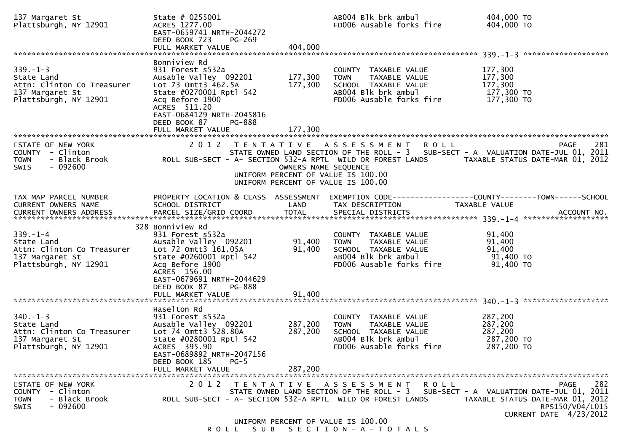| 137 Margaret St<br>Plattsburgh, NY 12901                                                               | State # 0255001<br>ACRES 1277.00<br>EAST-0659741 NRTH-2044272<br>DEED BOOK 723<br><b>PG-269</b>                                                                                                                                 |                            | AB004 Blk brk ambul<br>FD006 Ausable forks fire                                                                                 | 404,000 TO<br>404,000 TO                                                                                                                                                                               |
|--------------------------------------------------------------------------------------------------------|---------------------------------------------------------------------------------------------------------------------------------------------------------------------------------------------------------------------------------|----------------------------|---------------------------------------------------------------------------------------------------------------------------------|--------------------------------------------------------------------------------------------------------------------------------------------------------------------------------------------------------|
|                                                                                                        |                                                                                                                                                                                                                                 |                            |                                                                                                                                 |                                                                                                                                                                                                        |
| $339. - 1 - 3$<br>State Land<br>Attn: Clinton Co Treasurer<br>137 Margaret St<br>Plattsburgh, NY 12901 | Bonniview Rd<br>931 Forest s532a<br>Ausable Valley 092201<br>Lot 73 Omtt3 462.5A<br>State #0270001 Rptl 542<br>Acq Before 1900<br>ACRES 511.20<br>EAST-0684129 NRTH-2045816<br>DEED BOOK 87<br><b>PG-888</b>                    | 177,300<br>177,300         | COUNTY TAXABLE VALUE<br>TAXABLE VALUE<br><b>TOWN</b><br>SCHOOL TAXABLE VALUE<br>AB004 Blk brk ambul<br>FD006 Ausable forks fire | 177,300<br>177,300<br>177,300<br>177,300 TO<br>177,300 TO                                                                                                                                              |
|                                                                                                        | FULL MARKET VALUE                                                                                                                                                                                                               | 177,300                    |                                                                                                                                 |                                                                                                                                                                                                        |
| STATE OF NEW YORK<br>COUNTY - Clinton<br>- Black Brook<br><b>TOWN</b><br>$-092600$<br><b>SWIS</b>      | 2012                                                                                                                                                                                                                            | OWNERS NAME SEQUENCE       | TENTATIVE ASSESSMENT<br>R O L L<br>UNIFORM PERCENT OF VALUE IS 100.00<br>UNIFORM PERCENT OF VALUE IS 100.00                     | 281<br><b>PAGE</b><br>STATE OWNED LAND SECTION OF THE ROLL - 3 SUB-SECT - A VALUATION DATE-JUL 01, 2011<br>ROLL SUB-SECT - A- SECTION 532-A RPTL WILD OR FOREST LANDS TAXABLE STATUS DATE-MAR 01, 2012 |
| TAX MAP PARCEL NUMBER<br>CURRENT OWNERS NAME<br>CURRENT OWNERS ADDRESS                                 | SCHOOL DISTRICT<br>PARCEL SIZE/GRID COORD                                                                                                                                                                                       | LAND<br><b>TOTAL</b>       | TAX DESCRIPTION<br>SPECIAL DISTRICTS                                                                                            | PROPERTY LOCATION & CLASS ASSESSMENT EXEMPTION CODE---------------COUNTY-------TOWN------SCHOOL<br><b>TAXABLE VALUE</b><br>ACCOUNT NO.                                                                 |
| $339. - 1 - 4$<br>State Land<br>Attn: Clinton Co Treasurer<br>137 Margaret St<br>Plattsburgh, NY 12901 | 328 Bonniview Rd<br>931 Forest s532a<br>Ausable Valley 092201<br>Lot 72 Omtt3 161.05A<br>State #0260001 Rptl 542<br>Acq Before 1900<br>ACRES 156.00<br>EAST-0679691 NRTH-2044629<br>DEED BOOK 87<br>PG-888<br>FULL MARKET VALUE | 91,400<br>91,400<br>91,400 | COUNTY TAXABLE VALUE<br>TAXABLE VALUE<br><b>TOWN</b><br>SCHOOL TAXABLE VALUE<br>AB004 Blk brk ambul<br>FD006 Ausable forks fire | 91,400<br>91,400<br>91,400<br>91,400 TO<br>91,400 TO                                                                                                                                                   |
|                                                                                                        |                                                                                                                                                                                                                                 |                            |                                                                                                                                 |                                                                                                                                                                                                        |
| $340. - 1 - 3$<br>State Land<br>Attn: Clinton Co Treasurer<br>137 Margaret St<br>Plattsburgh, NY 12901 | Haselton Rd<br>931 Forest s532a<br>Ausable Valley 092201<br>Lot 74 Omtt3 528.80A<br>State #0280001 Rptl 542<br>ACRES 395.90<br>EAST-0689892 NRTH-2047156<br>DEED BOOK 185                                                       | 287,200<br>287,200         | COUNTY TAXABLE VALUE<br><b>TOWN</b><br>TAXABLE VALUE<br>SCHOOL TAXABLE VALUE<br>AB004 Blk brk ambul<br>FD006 Ausable forks fire | 287,200<br>287,200<br>287,200<br>287,200 TO<br>287,200 TO                                                                                                                                              |
|                                                                                                        | $PG-5$<br>FULL MARKET VALUE                                                                                                                                                                                                     | 287,200                    |                                                                                                                                 |                                                                                                                                                                                                        |
| STATE OF NEW YORK<br>COUNTY - Clinton<br>- Black Brook<br><b>TOWN</b><br>$-092600$<br>SWIS             | 2 0 1 2<br>T E N T A T I V E<br>ROLL SUB-SECT - A- SECTION 532-A RPTL WILD OR FOREST LANDS                                                                                                                                      |                            | A S S E S S M E N T<br>R O L L                                                                                                  | 282<br><b>PAGE</b><br>STATE OWNED LAND SECTION OF THE ROLL - 3 SUB-SECT - A VALUATION DATE-JUL 01, 2011<br>TAXABLE STATUS DATE-MAR 01, 2012<br>RPS150/V04/L015<br>CURRENT DATE 4/23/2012               |
|                                                                                                        |                                                                                                                                                                                                                                 |                            | UNIFORM PERCENT OF VALUE IS 100.00                                                                                              |                                                                                                                                                                                                        |

ROLL SUB SECTION-A-TOTALS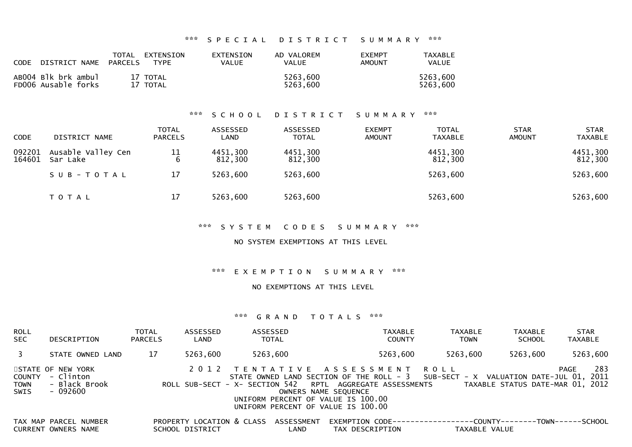\*\*\* S P E C I A L D I S T R I C T S U M M A R Y \*\*\*

| <b>CODE</b> | DISTRICT NAME PARCELS                      | TOTAL EXTENSION      | <b>TYPE</b> | EXTENSION<br>VALUE | AD VALOREM<br><b>VALUE</b> | <b>FXEMPT</b><br><b>AMOUNT</b> | TAXABLE<br><b>VALUE</b> |
|-------------|--------------------------------------------|----------------------|-------------|--------------------|----------------------------|--------------------------------|-------------------------|
|             | ABOO4 Blk brk ambul<br>FD006 Ausable forks | 17 TOTAL<br>17 TOTAL |             |                    | 5263,600<br>5263,600       |                                | 5263,600<br>5263,600    |

## \*\*\* S C H O O L D I S T R I C T S U M M A R Y \*\*\*

| <b>CODE</b>      | DISTRICT NAME                  | <b>TOTAL</b><br><b>PARCELS</b> | ASSESSED<br>LAND    | ASSESSED<br><b>TOTAL</b> | <b>EXEMPT</b><br><b>AMOUNT</b> | <b>TOTAL</b><br><b>TAXABLE</b> | <b>STAR</b><br><b>AMOUNT</b> | <b>STAR</b><br><b>TAXABLE</b> |
|------------------|--------------------------------|--------------------------------|---------------------|--------------------------|--------------------------------|--------------------------------|------------------------------|-------------------------------|
| 092201<br>164601 | Ausable Valley Cen<br>Sar Lake | 11                             | 4451,300<br>812,300 | 4451,300<br>812,300      |                                | 4451,300<br>812,300            |                              | 4451,300<br>812,300           |
|                  | SUB-TOTAL                      | 17                             | 5263,600            | 5263,600                 |                                | 5263,600                       |                              | 5263,600                      |
|                  | T O T A L                      | 17                             | 5263,600            | 5263,600                 |                                | 5263,600                       |                              | 5263,600                      |

\*\*\* S Y S T E M C O D E S S U M M A R Y \*\*\*

NO SYSTEM EXEMPTIONS AT THIS LEVEL

\*\*\* E X E M P T I O N S U M M A R Y \*\*\*

NO EXEMPTIONS AT THIS LEVEL

| <b>ROLL</b><br><b>SEC</b>            | DESCRIPTION                                                 | <b>TOTAL</b><br><b>PARCELS</b> | ASSESSED<br>LAND                             | ASSESSED<br><b>TOTAL</b> | <b>TAXABLE</b><br><b>COUNTY</b>                                                                                                                                                                                                                                                     | <b>TAXABLE</b><br><b>TOWN</b> | <b>TAXABLE</b><br><b>SCHOOL</b>           | <b>STAR</b><br><b>TAXABLE</b> |
|--------------------------------------|-------------------------------------------------------------|--------------------------------|----------------------------------------------|--------------------------|-------------------------------------------------------------------------------------------------------------------------------------------------------------------------------------------------------------------------------------------------------------------------------------|-------------------------------|-------------------------------------------|-------------------------------|
| $\mathbf{3}$                         | STATE OWNED LAND                                            | 17                             | 5263,600                                     | 5263,600                 | 5263,600                                                                                                                                                                                                                                                                            | 5263,600                      | 5263,600                                  | 5263,600                      |
| <b>COUNTY</b><br><b>TOWN</b><br>SWIS | STATE OF NEW YORK<br>- Clinton<br>- Black Brook<br>- 092600 |                                |                                              |                          | 2012 TENTATIVE ASSESSMENT ROLL<br>STATE OWNED LAND SECTION OF THE ROLL - $3$ SUB-SECT - $X$ VALUATION DATE-JUL 01,<br>ROLL SUB-SECT - X- SECTION 542 RPTL AGGREGATE ASSESSMENTS<br>OWNERS NAME SEQUENCE<br>UNIFORM PERCENT OF VALUE IS 100.00<br>UNIFORM PERCENT OF VALUE IS 100.00 |                               | TAXABLE STATUS DATE-MAR 01, 2012          | 283<br>PAGE<br>2011           |
|                                      | TAX MAP PARCEL NUMBER<br>CURRENT OWNERS NAME                |                                | PROPERTY LOCATION & CLASS<br>SCHOOL DISTRICT | ASSESSMENT<br>LAND       | EXEMPTION CODE-----<br>TAX DESCRIPTION                                                                                                                                                                                                                                              | TAXABLE VALUE                 | -----------COUNTY--------TOWN------SCHOOL |                               |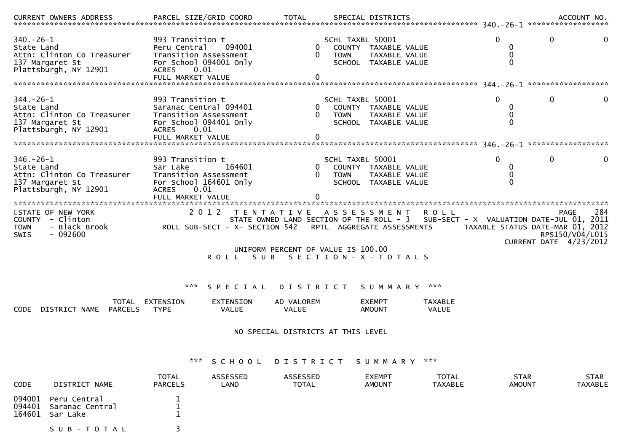| <b>CURRENT OWNERS ADDRESS</b>                                                                           | PARCEL SIZE/GRID COORD                                                                                                                     |                                                                                        | <b>TOTAL</b>                                               |                                 | SPECIAL DISTRICTS                                                    |                                       |                                       | ACCOUNT NO.                                                                                                                                                                       |
|---------------------------------------------------------------------------------------------------------|--------------------------------------------------------------------------------------------------------------------------------------------|----------------------------------------------------------------------------------------|------------------------------------------------------------|---------------------------------|----------------------------------------------------------------------|---------------------------------------|---------------------------------------|-----------------------------------------------------------------------------------------------------------------------------------------------------------------------------------|
| $340.-26-1$<br>State Land<br>Attn: Clinton Co Treasurer<br>137 Margaret St<br>Plattsburgh, NY 12901     | 993 Transition t<br>Peru Central<br>Transition Assessment<br>For School 094001 Only<br><b>ACRES</b><br>0.01<br>FULL MARKET VALUE           | 094001                                                                                 | $\Omega$<br>$\Omega$<br>$\mathbf{0}$                       | SCHL TAXBL 50001<br><b>TOWN</b> | COUNTY TAXABLE VALUE<br><b>TAXABLE VALUE</b><br>SCHOOL TAXABLE VALUE |                                       | $\Omega$<br>0<br>$\Omega$<br>$\Omega$ | $\mathbf{0}$<br>0                                                                                                                                                                 |
| $344. - 26 - 1$<br>State Land<br>Attn: Clinton Co Treasurer<br>137 Margaret St<br>Plattsburgh, NY 12901 | 993 Transition t<br>Saranac Central 094401<br>Transition Assessment<br>For School 094401 Only<br><b>ACRES</b><br>0.01<br>FULL MARKET VALUE |                                                                                        | $\overline{0}$<br>$\Omega$<br>$\Omega$                     | SCHL TAXBL 50001<br><b>TOWN</b> | COUNTY TAXABLE VALUE<br><b>TAXABLE VALUE</b><br>SCHOOL TAXABLE VALUE |                                       | $\Omega$<br>0<br>0<br>$\Omega$        | 0                                                                                                                                                                                 |
| $346. - 26 - 1$<br>State Land<br>Attn: Clinton Co Treasurer<br>137 Margaret St<br>Plattsburgh, NY 12901 | 993 Transition t<br>Sar Lake<br>Transition Assessment<br>For School 164601 Only<br><b>ACRES</b><br>0.01                                    | 164601                                                                                 | 0<br>$\Omega$<br>$\Omega$                                  | SCHL TAXBL 50001<br><b>TOWN</b> | COUNTY TAXABLE VALUE<br>TAXABLE VALUE<br>SCHOOL TAXABLE VALUE        |                                       | $\Omega$<br>0<br>0<br>0               | $\mathbf{0}$<br>0                                                                                                                                                                 |
| STATE OF NEW YORK<br>COUNTY - Clinton<br>TOWN<br>- Black Brook<br>$-092600$<br><b>SWIS</b>              | FULL MARKET VALUE<br>2012                                                                                                                  | ROLL SUB-SECT - X- SECTION 542 RPTL AGGREGATE ASSESSMENTS<br>ROLL SUB SECTION-X-TOTALS | TENTATIVE ASSESSMENT<br>UNIFORM PERCENT OF VALUE IS 100.00 |                                 |                                                                      | <b>ROLL</b>                           |                                       | 284<br>PAGE<br>STATE OWNED LAND SECTION OF THE ROLL - 3 SUB-SECT - X VALUATION DATE-JUL 01, 2011<br>TAXABLE STATUS DATE-MAR 01, 2012<br>RPS150/V04/L015<br>CURRENT DATE 4/23/2012 |
| DISTRICT NAME PARCELS<br>CODE.                                                                          | ***<br>TOTAL EXTENSION<br><b>TYPE</b>                                                                                                      | SPECIAL<br>EXTENSION<br><b>VALUE</b>                                                   | D I S T R I C T<br>AD VALOREM<br><b>VALUE</b>              |                                 | S U M M A R Y<br><b>EXEMPT</b><br><b>AMOUNT</b>                      | ***<br><b>TAXABLE</b><br><b>VALUE</b> |                                       |                                                                                                                                                                                   |
| NO SPECIAL DISTRICTS AT THIS LEVEL                                                                      |                                                                                                                                            |                                                                                        |                                                            |                                 |                                                                      |                                       |                                       |                                                                                                                                                                                   |
|                                                                                                         | ***                                                                                                                                        | SCHOOL                                                                                 |                                                            |                                 | DISTRICT SUMMARY                                                     | ***                                   |                                       |                                                                                                                                                                                   |
| <b>CODE</b><br>DISTRICT NAME                                                                            | <b>TOTAL</b><br>PARCELS                                                                                                                    | <b>ASSESSED</b><br>LAND                                                                | <b>ASSESSED</b><br><b>TOTAL</b>                            |                                 | <b>EXEMPT</b><br><b>AMOUNT</b>                                       | <b>TOTAL</b><br><b>TAXABLE</b>        | <b>STAR</b><br><b>AMOUNT</b>          | <b>STAR</b><br><b>TAXABLE</b>                                                                                                                                                     |

- 094001 Peru Central 1 1<br>004401 Sananas Central 1 1 1 094401 Saranac Central 1<br>164601 San Lake <sup>164601</sup> Sar Lake <sup>1</sup>
	- S U B T O T A L 3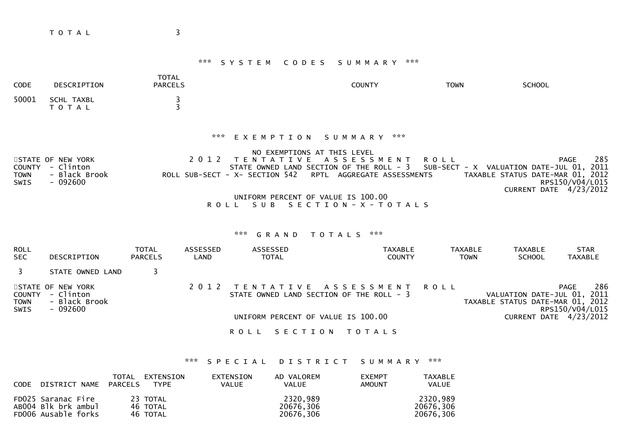T O T A L 3

# \*\*\* S Y S T E M C O D E S S U M M A R Y \*\*\*

| <b>CODE</b>                                 | DESCRIPTION                                                  | <b>TOTAL</b><br><b>PARCELS</b>     |                           |                                                                                                                                                                                   | <b>COUNTY</b>                                                                                | <b>TOWN</b>                                             | <b>SCHOOL</b>                                                   |                                                                 |
|---------------------------------------------|--------------------------------------------------------------|------------------------------------|---------------------------|-----------------------------------------------------------------------------------------------------------------------------------------------------------------------------------|----------------------------------------------------------------------------------------------|---------------------------------------------------------|-----------------------------------------------------------------|-----------------------------------------------------------------|
| 50001                                       | SCHL TAXBL<br><b>TOTAL</b>                                   | 3<br>ξ                             |                           |                                                                                                                                                                                   |                                                                                              |                                                         |                                                                 |                                                                 |
| <b>COUNTY</b><br><b>TOWN</b><br><b>SWIS</b> | STATE OF NEW YORK<br>- Clinton<br>- Black Brook<br>$-092600$ |                                    | ***<br>2 0 1 2<br>R O L L | EXEMPTION<br>NO EXEMPTIONS AT THIS LEVEL<br>T E N T A T I V E<br>STATE OWNED LAND SECTION OF THE ROLL - 3<br>ROLL SUB-SECT - X- SECTION 542<br>UNIFORM PERCENT OF VALUE IS 100.00 | SUMMARY ***<br>A S S E S S M E N T<br>RPTL AGGREGATE ASSESSMENTS<br>SUB SECTION - X - TOTALS | <b>ROLL</b><br>SUB-SECT - X VALUATION DATE-JUL 01, 2011 | TAXABLE STATUS DATE-MAR 01, 2012                                | 285<br><b>PAGE</b><br>RPS150/V04/L015<br>CURRENT DATE 4/23/2012 |
|                                             |                                                              |                                    |                           | ***<br>GRAND                                                                                                                                                                      | ***<br>T O T A L S                                                                           |                                                         |                                                                 |                                                                 |
| <b>ROLL</b><br><b>SEC</b>                   | DESCRIPTION                                                  | <b>TOTAL</b><br><b>PARCELS</b>     | <b>ASSESSED</b><br>LAND   | <b>ASSESSED</b><br><b>TOTAL</b>                                                                                                                                                   | <b>TAXABLE</b><br><b>COUNTY</b>                                                              | TAXABLE<br><b>TOWN</b>                                  | <b>TAXABLE</b><br><b>SCHOOL</b>                                 | <b>STAR</b><br><b>TAXABLE</b>                                   |
| 3                                           | STATE OWNED LAND                                             | 3                                  |                           |                                                                                                                                                                                   |                                                                                              |                                                         |                                                                 |                                                                 |
| <b>COUNTY</b><br><b>TOWN</b><br><b>SWIS</b> | STATE OF NEW YORK<br>- Clinton<br>- Black Brook<br>$-092600$ |                                    | 2 0 1 2                   | T E N T A T I V E<br>STATE OWNED LAND SECTION OF THE ROLL - 3                                                                                                                     | A S S E S S M E N T                                                                          | <b>ROLL</b>                                             | VALUATION DATE-JUL 01, 2011<br>TAXABLE STATUS DATE-MAR 01, 2012 | 286<br><b>PAGE</b><br>RPS150/V04/L015                           |
|                                             |                                                              | UNIFORM PERCENT OF VALUE IS 100.00 |                           |                                                                                                                                                                                   |                                                                                              |                                                         |                                                                 | CURRENT DATE $4/23/2012$                                        |
|                                             |                                                              |                                    |                           | <b>ROLL</b><br>SECTION                                                                                                                                                            | T O T A L S                                                                                  |                                                         |                                                                 |                                                                 |

# \*\*\* S P E C I A L D I S T R I C T S U M M A R Y \*\*\*

| CODE DISTRICT NAME PARCELS                                       | TOTAL | EXTENSTON<br><b>TYPE</b>         | EXTENSION<br><b>VALUE</b> | AD VALOREM<br><b>VALUE</b>         | <b>EXEMPT</b><br><b>AMOUNT</b> | TAXABLE<br><b>VALUE</b>            |
|------------------------------------------------------------------|-------|----------------------------------|---------------------------|------------------------------------|--------------------------------|------------------------------------|
| FD025 Saranac Fire<br>AB004 Blk brk ambul<br>FD006 Ausable forks |       | 23 TOTAL<br>46 TOTAL<br>46 TOTAL |                           | 2320,989<br>20676,306<br>20676.306 |                                | 2320.989<br>20676,306<br>20676.306 |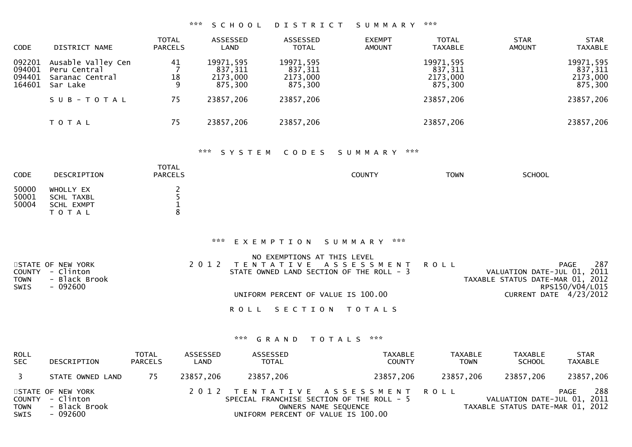### \*\*\* S C H O O L D I S T R I C T S U M M A R Y \*\*\*

| <b>CODE</b>                          | DISTRICT NAME                                                     | <b>TOTAL</b><br><b>PARCELS</b> | ASSESSED<br>LAND                            | ASSESSED<br><b>TOTAL</b>                    | <b>TOTAL</b><br><b>EXEMPT</b><br><b>TAXABLE</b><br><b>AMOUNT</b> | <b>STAR</b><br><b>AMOUNT</b> | <b>STAR</b><br><b>TAXABLE</b>               |
|--------------------------------------|-------------------------------------------------------------------|--------------------------------|---------------------------------------------|---------------------------------------------|------------------------------------------------------------------|------------------------------|---------------------------------------------|
| 092201<br>094001<br>094401<br>164601 | Ausable Valley Cen<br>Peru Central<br>Saranac Central<br>Sar Lake | 41<br>18<br>9                  | 19971,595<br>837.311<br>2173,000<br>875.300 | 19971,595<br>837,311<br>2173,000<br>875,300 | 19971,595<br>837,311<br>2173,000<br>875,300                      |                              | 19971,595<br>837,311<br>2173,000<br>875,300 |
|                                      | SUB-TOTAL                                                         | 75                             | 23857,206                                   | 23857,206                                   | 23857,206                                                        |                              | 23857,206                                   |
|                                      | T O T A L                                                         | 75                             | 23857,206                                   | 23857,206                                   | 23857,206                                                        |                              | 23857,206                                   |

## \*\*\* S Y S T E M C O D E S S U M M A R Y \*\*\*

| CODE                    | DESCRIPTION                                        | <b>TOTAL</b><br><b>PARCELS</b> | <b>COUNTY</b> | <b>TOWN</b> | <b>SCHOOL</b> |
|-------------------------|----------------------------------------------------|--------------------------------|---------------|-------------|---------------|
| 50000<br>50001<br>50004 | WHOLLY EX<br>SCHL TAXBL<br>SCHL EXMPT<br>T O T A L |                                |               |             |               |

## \*\*\* E X E M P T I O N S U M M A R Y \*\*\*

|                              | NO EXEMPTIONS AT THIS LEVEL              |                                  |
|------------------------------|------------------------------------------|----------------------------------|
| STATE OF NEW YORK            | 2012 TENTATIVE ASSESSMENT ROLL           | 287<br>PAGE                      |
| COUNTY - Clinton             | STATE OWNED LAND SECTION OF THE ROLL - 3 | VALUATION DATE-JUL 01, 2011      |
| <b>TOWN</b><br>- Black Brook |                                          | TAXABLE STATUS DATE-MAR 01, 2012 |
| SWIS<br>- 092600             |                                          | RPS150/V04/L015                  |
|                              | UNIFORM PERCENT OF VALUE IS 100.00       | CURRENT DATE 4/23/2012           |
|                              |                                          |                                  |
|                              | ROLL SECTION TOTALS                      |                                  |

| <b>ROLL</b><br><b>SEC</b> | DESCRIPTION                                                        | TOTAL<br><b>PARCELS</b> | ASSESSED<br>LAND | ASSESSED<br><b>TOTAL</b>           | TAXABLE<br><b>COUNTY</b>                                                                            | <b>TAXABLE</b><br><b>TOWN</b> | TAXABLE<br><b>SCHOOL</b>                                        | <b>STAR</b><br>TAXABLE |
|---------------------------|--------------------------------------------------------------------|-------------------------|------------------|------------------------------------|-----------------------------------------------------------------------------------------------------|-------------------------------|-----------------------------------------------------------------|------------------------|
|                           | STATE OWNED LAND                                                   | -75                     | 23857,206        | 23857,206                          | 23857,206                                                                                           | 23857,206                     | 23857,206                                                       | 23857,206              |
| <b>TOWN</b><br>SWIS       | STATE OF NEW YORK<br>COUNTY - Clinton<br>- Black Brook<br>- 092600 |                         |                  | UNIFORM PERCENT OF VALUE IS 100.00 | 2012 TENTATIVE ASSESSMENT ROLL<br>SPECIAL FRANCHISE SECTION OF THE ROLL - 5<br>OWNERS NAME SEQUENCE |                               | VALUATION DATE-JUL 01, 2011<br>TAXABLE STATUS DATE-MAR 01, 2012 | 288<br>PAGE            |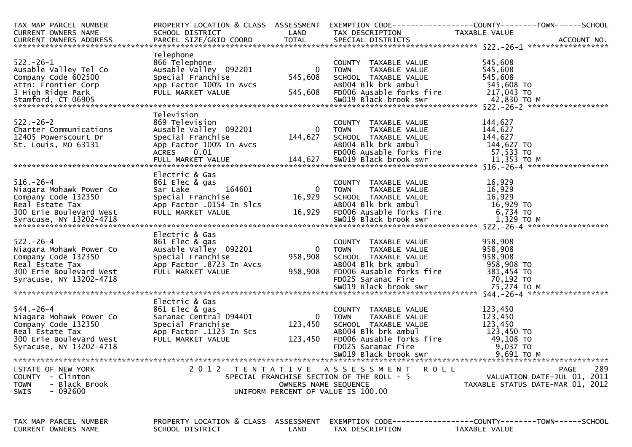| TAX MAP PARCEL NUMBER<br>CURRENT OWNERS NAME | SCHOOL DISTRICT<br><b>Example 2018 LAND</b>   |                      | TAX DESCRIPTION                                | PROPERTY LOCATION & CLASS ASSESSMENT EXEMPTION CODE----------------COUNTY-------TOWN------SCHOOL<br>TAXABLE VALUE                                                                                                                    |
|----------------------------------------------|-----------------------------------------------|----------------------|------------------------------------------------|--------------------------------------------------------------------------------------------------------------------------------------------------------------------------------------------------------------------------------------|
| CURRENT OWNERS ADDRESS                       |                                               |                      |                                                | CURRENT OWNERS ADDRESS FARCEL SIZE/GRID COORD TOTAL SPECIAL DISTRICTS FARCEL SIZE/GRID COORD TOTAL SPECIAL DISTRICTS AND MANUSIC MONDERS AND ACCOUNT NO.                                                                             |
|                                              | Telephone                                     |                      |                                                |                                                                                                                                                                                                                                      |
| $522. - 26 - 1$                              | 866 Telephone                                 |                      | COUNTY TAXABLE VALUE                           | 545,608                                                                                                                                                                                                                              |
| Ausable Valley Tel Co                        | Ausable Valley 092201                         | $\overline{0}$       | <b>TOWN</b><br>TAXABLE VALUE                   | 545,608                                                                                                                                                                                                                              |
| Company Code 602500                          | Special Franchise                             | 545,608              | SCHOOL TAXABLE VALUE                           | 545,608                                                                                                                                                                                                                              |
| Attn: Frontier Corp                          | App Factor 100% In Avcs                       |                      | AB004 Blk brk ambul                            | 545,608 то<br>217,043 то                                                                                                                                                                                                             |
| 3 High Ridge Park                            | FULL MARKET VALUE                             | 545,608              | FD006 Ausable forks fire                       |                                                                                                                                                                                                                                      |
|                                              |                                               |                      |                                                |                                                                                                                                                                                                                                      |
|                                              |                                               |                      |                                                |                                                                                                                                                                                                                                      |
| $522 - 26 - 2$                               | Television<br>869 Television                  |                      | COUNTY TAXABLE VALUE                           | 144,627                                                                                                                                                                                                                              |
| Charter Communications                       | 869 Television<br>Ausable Valley 092201       |                      | 0 TOWN<br>TAXABLE VALUE                        | 144,627                                                                                                                                                                                                                              |
|                                              | Special Franchise                             | 144,627              | SCHOOL TAXABLE VALUE                           | 144,627                                                                                                                                                                                                                              |
| 12405 Powerscourt Dr<br>St. Louis, MO 63131  |                                               |                      |                                                |                                                                                                                                                                                                                                      |
|                                              |                                               |                      |                                                |                                                                                                                                                                                                                                      |
|                                              |                                               |                      |                                                |                                                                                                                                                                                                                                      |
|                                              |                                               |                      |                                                | 5t. Louis, MO 63131 App Factor 100% In Avcs AB004 Blk brk ambul and 144,627 TO<br>ACRES 0.01 FD006 Ausable forks fire 57,533 TO<br>FULL MARKET VALUE 144,627 SW019 Black brook swr 11,353 TO FULL MARKET VALUE 144,627 SW019 Black b |
|                                              | Electric & Gas                                |                      |                                                |                                                                                                                                                                                                                                      |
| $516. - 26 - 4$                              | 861 Elec & gas<br>164601                      |                      | COUNTY TAXABLE VALUE                           | 16,929                                                                                                                                                                                                                               |
| Niagara Mohawk Power Co                      | Sar Lake                                      | $\mathbf{0}$         | TAXABLE VALUE<br><b>TOWN</b>                   | 16,929                                                                                                                                                                                                                               |
| Company Code 132350<br>Real Estate Tax       | Special Franchise<br>App Factor .0154 In Slcs | 16,929               | SCHOOL TAXABLE VALUE<br>ABOO4 Blk brk ambul    |                                                                                                                                                                                                                                      |
|                                              |                                               |                      |                                                | $16, 923$<br>$16, 929$ TO<br>$724$ TO                                                                                                                                                                                                |
|                                              |                                               |                      |                                                |                                                                                                                                                                                                                                      |
|                                              |                                               |                      |                                                |                                                                                                                                                                                                                                      |
|                                              | Electric & Gas                                |                      |                                                |                                                                                                                                                                                                                                      |
| $522 - 26 - 4$                               | 861 Elec & gas                                |                      | COUNTY TAXABLE VALUE                           | 958,908                                                                                                                                                                                                                              |
| Niagara Mohawk Power Co                      | Ausable Valley 092201                         |                      | 0 TOWN<br>TAXABLE VALUE                        | 958,908                                                                                                                                                                                                                              |
| Company Code 132350                          | Special Franchise                             | 958,908              | SCHOOL TAXABLE VALUE                           | 958,908                                                                                                                                                                                                                              |
| Real Estate Tax                              | App Factor .8723 In Avcs                      |                      | ABOO4 Blk brk ambul                            | 958,908 TO                                                                                                                                                                                                                           |
| 300 Erie Boulevard West                      | FULL MARKET VALUE                             | 958,908              | FD006 Ausable forks fire<br>FD025 Saranac Fire | 381,454 TO                                                                                                                                                                                                                           |
| Syracuse, NY 13202-4718                      |                                               |                      |                                                | 70,192 то                                                                                                                                                                                                                            |
|                                              |                                               |                      |                                                |                                                                                                                                                                                                                                      |
|                                              | Electric & Gas                                |                      |                                                |                                                                                                                                                                                                                                      |
| $544. - 26 - 4$                              | 861 Elec & gas                                |                      | COUNTY TAXABLE VALUE                           | 123,450                                                                                                                                                                                                                              |
| Niagara Mohawk Power Co                      | Saranac Central 094401                        | $\overline{0}$       | TOWN TAXABLE VALUE                             | 123,450                                                                                                                                                                                                                              |
| Company Code 132350                          | Special Franchise                             | 123,450              | SCHOOL TAXABLE VALUE                           | 123,450                                                                                                                                                                                                                              |
| Real Estate Tax                              | App Factor .1123 In Scs                       |                      | AB004 Blk brk ambul                            | 123,450 TO                                                                                                                                                                                                                           |
| 300 Erie Boulevard West                      | FULL MARKET VALUE                             | 123,450              | FD006 Ausable forks fire                       | 49,108 TO                                                                                                                                                                                                                            |
| Syracuse, NY 13202-4718                      |                                               |                      | FD025 Saranac Fire<br>SW019 Black brook swr    | 9,037 TO                                                                                                                                                                                                                             |
|                                              |                                               |                      |                                                | 9,691 ТО М                                                                                                                                                                                                                           |
| STATE OF NEW YORK                            |                                               |                      | 2012 TENTATIVE ASSESSMENT<br><b>ROLL</b>       | 289<br>PAGE                                                                                                                                                                                                                          |
| COUNTY - Clinton                             |                                               |                      | SPECIAL FRANCHISE SECTION OF THE ROLL - 5      | VALUATION DATE-JUL 01, 2011                                                                                                                                                                                                          |
| - Black Brook<br><b>TOWN</b>                 |                                               | OWNERS NAME SEQUENCE |                                                | TAXABLE STATUS DATE-MAR 01, 2012                                                                                                                                                                                                     |
| - 092600<br><b>SWIS</b>                      |                                               |                      | UNIFORM PERCENT OF VALUE IS 100.00             |                                                                                                                                                                                                                                      |
|                                              |                                               |                      |                                                |                                                                                                                                                                                                                                      |
|                                              |                                               |                      |                                                |                                                                                                                                                                                                                                      |
| TAX MAP PARCEL NUMBER                        | PROPERTY LOCATION & CLASS ASSESSMENT          |                      |                                                | EXEMPTION CODE------------------COUNTY--------TOWN------SCHOOL                                                                                                                                                                       |
| CURRENT OWNERS NAME                          | SCHOOL DISTRICT                               | LAND                 | TAX DESCRIPTION                                | TAXABLE VALUE                                                                                                                                                                                                                        |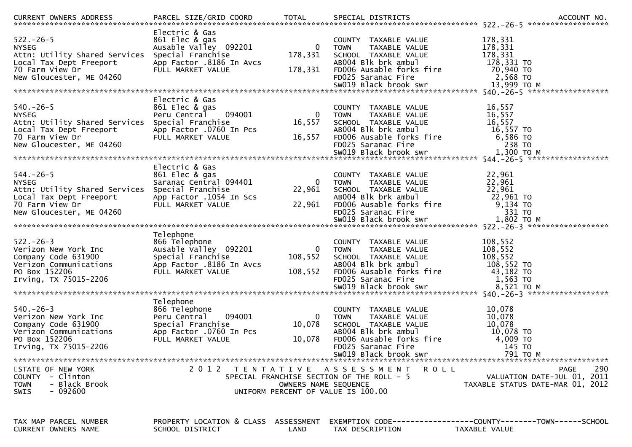| <b>CURRENT OWNERS ADDRESS</b>                                                                                                                                | PARCEL SIZE/GRID COORD                                                                                                    | TOTAL                                                      | SPECIAL DISTRICTS                                                                                                                                                              | ACCOUNT NO.                                                                                                       |
|--------------------------------------------------------------------------------------------------------------------------------------------------------------|---------------------------------------------------------------------------------------------------------------------------|------------------------------------------------------------|--------------------------------------------------------------------------------------------------------------------------------------------------------------------------------|-------------------------------------------------------------------------------------------------------------------|
| $522. - 26 - 5$<br><b>NYSEG</b><br>Attn: Utility Shared Services Special Franchise<br>Local Tax Dept Freeport<br>70 Farm View Dr<br>New Gloucester, ME 04260 | Electric & Gas<br>861 Elec & gas<br>Ausable Valley 092201<br>App Factor .8186 In Avcs<br>FULL MARKET VALUE                | $\mathbf{0}$<br>178,331<br>178,331                         | COUNTY TAXABLE VALUE<br><b>TOWN</b><br>TAXABLE VALUE<br>SCHOOL TAXABLE VALUE<br>AB004 Blk brk ambul<br>FD006 Ausable forks fire<br>FD025 Saranac Fire<br>SW019 Black brook swr | 178,331<br>178,331<br>178,331<br>178,331 TO<br>70,940 TO<br>2,568 TO<br>13,999 то м                               |
|                                                                                                                                                              | Electric & Gas                                                                                                            |                                                            |                                                                                                                                                                                |                                                                                                                   |
| $540.-26-5$<br><b>NYSEG</b><br>Attn: Utility Shared Services Special Franchise<br>Local Tax Dept Freeport<br>70 Farm View Dr<br>New Gloucester, ME 04260     | 861 Elec & gas<br>094001<br>Peru Central<br>App Factor .0760 In Pcs<br>FULL MARKET VALUE                                  | 0<br>16,557<br>16,557                                      | COUNTY TAXABLE VALUE<br>TAXABLE VALUE<br><b>TOWN</b><br>SCHOOL TAXABLE VALUE<br>ABOO4 Blk brk ambul<br>FD006 Ausable forks fire<br>FD025 Saranac Fire                          | 16,557<br>16,557<br>16,557<br>16,557 TO<br>6,586 TO<br>238 TO                                                     |
|                                                                                                                                                              | Electric & Gas                                                                                                            |                                                            |                                                                                                                                                                                |                                                                                                                   |
| $544. - 26 - 5$<br><b>NYSEG</b><br>Attn: Utility Shared Services Special Franchise<br>Local Tax Dept Freeport<br>70 Farm View Dr<br>New Gloucester, ME 04260 | 861 Elec & gas<br>Saranac Central 094401<br>App Factor .1054 In Scs<br>FULL MARKET VALUE                                  | $\mathbf{0}$<br>22,961<br>22,961                           | COUNTY TAXABLE VALUE<br>TAXABLE VALUE<br><b>TOWN</b><br>SCHOOL TAXABLE VALUE<br>ABOO4 Blk brk ambul<br>FD006 Ausable forks fire<br>FD025 Saranac Fire                          | 22,961<br>22,961<br>22,961<br>22,961 TO<br>9,134 TO<br>331 TO                                                     |
|                                                                                                                                                              |                                                                                                                           |                                                            |                                                                                                                                                                                |                                                                                                                   |
| $522 - 26 - 3$<br>Verizon New York Inc<br>Company Code 631900<br>Verizon Communications<br>PO Box 152206                                                     | Telephone<br>866 Telephone<br>Ausable Valley 092201<br>Special Franchise<br>App Factor .8186 In Avcs<br>FULL MARKET VALUE | $\mathbf{0}$<br>108,552<br>108,552                         | COUNTY TAXABLE VALUE<br>TAXABLE VALUE<br>TOWN<br>SCHOOL TAXABLE VALUE<br>AB004 Blk brk ambul<br>FD006 Ausable forks fire                                                       | 108,552<br>108,552<br>108,552<br>108,552 TO<br>43,182 TO                                                          |
|                                                                                                                                                              |                                                                                                                           |                                                            |                                                                                                                                                                                |                                                                                                                   |
| $540. -26 - 3$<br>Verizon New York Inc<br>Company Code 631900<br>Verizon Communications<br>PO Box 152206<br>Irving, TX 75015-2206                            | Telephone<br>866 Telephone<br>094001<br>Peru Central<br>Special Franchise<br>App Factor .0760 In Pcs<br>FULL MARKET VALUE | $\Omega$<br>10,078<br>10,078                               | COUNTY TAXABLE VALUE<br>TAXABLE VALUE<br><b>TOWN</b><br>SCHOOL TAXABLE VALUE<br>AB004 Blk brk ambul<br>FD006 Ausable forks fire<br>FD025 Saranac Fire<br>SW019 Black brook swr | 10,078<br>10,078<br>10,078<br>10,078 TO<br>4,009 TO<br>145 TO<br>791 TO M                                         |
|                                                                                                                                                              |                                                                                                                           |                                                            |                                                                                                                                                                                |                                                                                                                   |
| STATE OF NEW YORK<br>COUNTY - Clinton<br><b>TOWN</b><br>- Black Brook<br>$-092600$<br><b>SWIS</b>                                                            |                                                                                                                           | OWNERS NAME SEQUENCE<br>UNIFORM PERCENT OF VALUE IS 100.00 | 2012 TENTATIVE ASSESSMENT<br>R O L L<br>SPECIAL FRANCHISE SECTION OF THE ROLL - 5                                                                                              | 290<br>PAGE<br>VALUATION DATE-JUL 01, 2011<br>TAXABLE STATUS DATE-MAR 01, 2012                                    |
| TAX MAP PARCEL NUMBER<br>CURRENT OWNERS NAME                                                                                                                 | SCHOOL DISTRICT                                                                                                           | LAND                                                       | TAX DESCRIPTION                                                                                                                                                                | PROPERTY LOCATION & CLASS ASSESSMENT EXEMPTION CODE----------------COUNTY-------TOWN------SCHOOL<br>TAXABLE VALUE |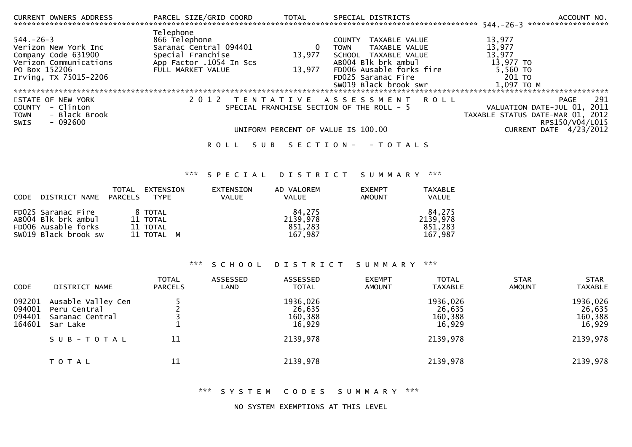| CURRENT OWNERS ADDRESS PARCEL SIZE/GRID COORD                                                                                      |                                                                                                                           | <b>TOTAL</b>                                                                    | SPECIAL DISTRICTS                                                                                                                                        | ACCOUNT NO.                                                                                                                   |
|------------------------------------------------------------------------------------------------------------------------------------|---------------------------------------------------------------------------------------------------------------------------|---------------------------------------------------------------------------------|----------------------------------------------------------------------------------------------------------------------------------------------------------|-------------------------------------------------------------------------------------------------------------------------------|
| $544. - 26 - 3$<br>Verizon New York Inc<br>Company Code 631900<br>Verizon Communications<br>PO Box 152206<br>Irving, TX 75015-2206 | Telephone<br>866 Telephone<br>Saranac Central 094401<br>Special Franchise<br>App Factor .1054 In Scs<br>FULL MARKET VALUE | <b>COUNTY</b><br><b>TOWN</b><br>13,977<br>13,977                                | TAXABLE VALUE<br>TAXABLE VALUE<br>SCHOOL TAXABLE VALUE<br>ABOO4 Blk brk ambul<br>FD006 Ausable forks fire<br>FD025 Saranac Fire<br>SW019 Black brook swr | 13,977<br>13,977<br>13,977<br>13,977 TO<br>5,560 TO<br>201 TO<br>1,097 TO M                                                   |
| STATE OF NEW YORK<br>- Clinton<br><b>COUNTY</b><br>- Black Brook<br>TOWN<br>- 092600<br><b>SWIS</b>                                | 2 0 1 2                                                                                                                   | SPECIAL FRANCHISE SECTION OF THE ROLL - 5<br>UNIFORM PERCENT OF VALUE IS 100.00 | TENTATIVE ASSESSMENT ROLL                                                                                                                                | 291<br>PAGE<br>VALUATION DATE-JUL 01, 2011<br>TAXABLE STATUS DATE-MAR 01, 2012<br>RPS150/V04/L015<br>CURRENT DATE $4/23/2012$ |
|                                                                                                                                    | ROLL                                                                                                                      | SUB SECTION- - TOTALS                                                           |                                                                                                                                                          |                                                                                                                               |
|                                                                                                                                    | ***                                                                                                                       | SPECIAL DISTRICT SUMMARY                                                        | ***                                                                                                                                                      |                                                                                                                               |
| TOTAL<br><b>DADCEL C</b>                                                                                                           | EXTENSION<br>EXTENSION<br>T10T                                                                                            | AD VALOREM<br>$\sqrt{11}$                                                       | <b>EXEMPT</b><br><b>TAXABLE</b><br>$\lambda$                                                                                                             |                                                                                                                               |

| CODE DISTRICT NAME PARCELS | IYPE.      | VALUE | VALUE    | AMOUN I | VALUE.   |
|----------------------------|------------|-------|----------|---------|----------|
| FD025 Saranac Fire         | 8 TOTAL    |       | 84.275   |         | 84.275   |
| AB004 Blk brk ambul        | 11 TOTAL   |       | 2139.978 |         | 2139,978 |
| FD006 Ausable forks        | 11 TOTAL   |       | 851.283  |         | 851,283  |
| SW019 Black brook sw       | 11 TOTAL M |       | 167,987  |         | 167.987  |

# \*\*\* SCHOOL DISTRICT SUMMARY \*\*\*

| <b>CODE</b>                          | DISTRICT NAME                                                     | <b>TOTAL</b><br><b>PARCELS</b> | ASSESSED<br>LAND | ASSESSED<br><b>TOTAL</b>                | <b>EXEMPT</b><br><b>AMOUNT</b> | <b>TOTAL</b><br><b>TAXABLE</b>          | <b>STAR</b><br><b>AMOUNT</b> | <b>STAR</b><br><b>TAXABLE</b>           |
|--------------------------------------|-------------------------------------------------------------------|--------------------------------|------------------|-----------------------------------------|--------------------------------|-----------------------------------------|------------------------------|-----------------------------------------|
| 092201<br>094001<br>094401<br>164601 | Ausable Valley Cen<br>Peru Central<br>Saranac Central<br>Sar Lake |                                |                  | 1936,026<br>26,635<br>160,388<br>16,929 |                                | 1936,026<br>26,635<br>160,388<br>16,929 |                              | 1936,026<br>26,635<br>160,388<br>16,929 |
|                                      | SUB-TOTAL                                                         | 11                             |                  | 2139,978                                |                                | 2139,978                                |                              | 2139,978                                |
|                                      | T O T A L                                                         | 11                             |                  | 2139,978                                |                                | 2139,978                                |                              | 2139,978                                |

\*\*\* SYSTEM CODES SUMMARY \*\*\*

NO SYSTEM EXEMPTIONS AT THIS LEVEL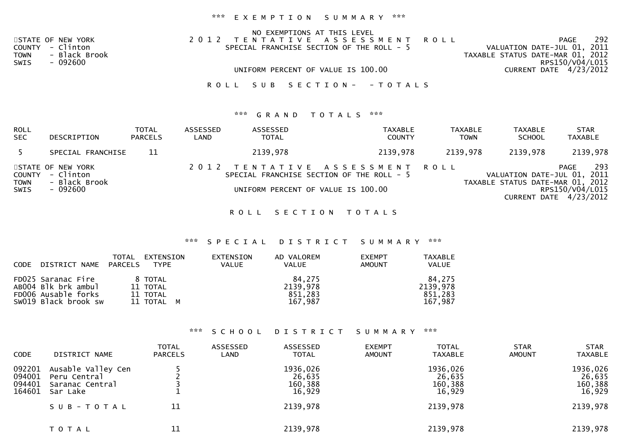# \*\*\* E X E M P T I O N S U M M A R Y \*\*\*

|                    | NO EXEMPTIONS AT THIS LEVEL               |                                  |
|--------------------|-------------------------------------------|----------------------------------|
| STATE OF NEW YORK  | 2012 TENTATIVE ASSESSMENT ROLL            | 292<br>PAGE                      |
| COUNTY - Clinton   | SPECIAL FRANCHISE SECTION OF THE ROLL - 5 | VALUATION DATE-JUL 01, 2011      |
| TOWN - Black Brook |                                           | TAXABLE STATUS DATE-MAR 01, 2012 |
| SWIS<br>- 092600   |                                           | RPS150/V04/L015                  |
|                    | UNIFORM PERCENT OF VALUE IS 100.00        | CURRENT DATE 4/23/2012           |
|                    |                                           |                                  |
|                    | ROLL SUB SECTION- - TOTALS                |                                  |

## \*\*\* **G R A N D T O T A L S \*\*\***

| ROLL<br><b>SEC</b>            | DESCRIPTION                                                  | <b>TOTAL</b><br><b>PARCELS</b> | ASSESSED<br>LAND | ASSESSED<br><b>TOTAL</b>                                                                                          | <b>TAXABLE</b><br><b>COUNTY</b> | TAXABLE<br><b>TOWN</b> | <b>TAXABLE</b><br><b>SCHOOL</b>                                 | <b>STAR</b><br><b>TAXABLE</b>                            |
|-------------------------------|--------------------------------------------------------------|--------------------------------|------------------|-------------------------------------------------------------------------------------------------------------------|---------------------------------|------------------------|-----------------------------------------------------------------|----------------------------------------------------------|
|                               | SPECIAL FRANCHISE                                            | 11                             |                  | 2139,978                                                                                                          | 2139,978                        | 2139,978               | 2139,978                                                        | 2139,978                                                 |
| COUNTY<br><b>TOWN</b><br>SWIS | STATE OF NEW YORK<br>- Clinton<br>- Black Brook<br>$-092600$ |                                |                  | 2012 TENTATIVE ASSESSMENT ROLL<br>SPECIAL FRANCHISE SECTION OF THE ROLL - 5<br>UNIFORM PERCENT OF VALUE IS 100.00 |                                 |                        | VALUATION DATE-JUL 01, 2011<br>TAXABLE STATUS DATE-MAR 01, 2012 | 293<br>PAGE<br>RPS150/V04/L015<br>CURRENT DATE 4/23/2012 |

ROLL SECTION TOTALS

## \*\*\* S P E C I A L D I S T R I C T S U M M A R Y \*\*\*

| <b>CODE</b> | DISTRICT NAME PARCELS                                                                    | EXTENSION<br>TOTAL<br>TYPE                    | EXTENSION<br><b>VALUE</b> | AD VALOREM<br><b>VALUE</b>               | <b>EXEMPT</b><br>AMOUNT | <b>TAXABLE</b><br><b>VALUE</b>           |
|-------------|------------------------------------------------------------------------------------------|-----------------------------------------------|---------------------------|------------------------------------------|-------------------------|------------------------------------------|
|             | FD025 Saranac Fire<br>AB004 Blk brk ambul<br>FD006 Ausable forks<br>SW019 Black brook sw | 8 TOTAL<br>11 TOTAL<br>11 TOTAL<br>11 TOTAL M |                           | 84.275<br>2139,978<br>851,283<br>167,987 |                         | 84.275<br>2139,978<br>851.283<br>167.987 |

## \*\*\* S C H O O L D I S T R I C T S U M M A R Y \*\*\*

| <b>CODE</b>                          | DISTRICT NAME                                                     | <b>TOTAL</b><br><b>PARCELS</b> | ASSESSED<br>LAND | ASSESSED<br><b>TOTAL</b>                | <b>EXEMPT</b><br><b>AMOUNT</b> | <b>TOTAL</b><br>TAXABLE                 | <b>STAR</b><br><b>AMOUNT</b> | <b>STAR</b><br><b>TAXABLE</b>            |
|--------------------------------------|-------------------------------------------------------------------|--------------------------------|------------------|-----------------------------------------|--------------------------------|-----------------------------------------|------------------------------|------------------------------------------|
| 092201<br>094001<br>094401<br>164601 | Ausable Valley Cen<br>Peru Central<br>Saranac Central<br>Sar Lake |                                |                  | 1936,026<br>26,635<br>160,388<br>16,929 |                                | 1936,026<br>26,635<br>160,388<br>16,929 |                              | 1936,026<br>26,635<br>160, 388<br>16,929 |
|                                      | SUB-TOTAL                                                         | 11                             |                  | 2139,978                                |                                | 2139,978                                |                              | 2139,978                                 |
|                                      | T O T A L                                                         | 11                             |                  | 2139,978                                |                                | 2139,978                                |                              | 2139,978                                 |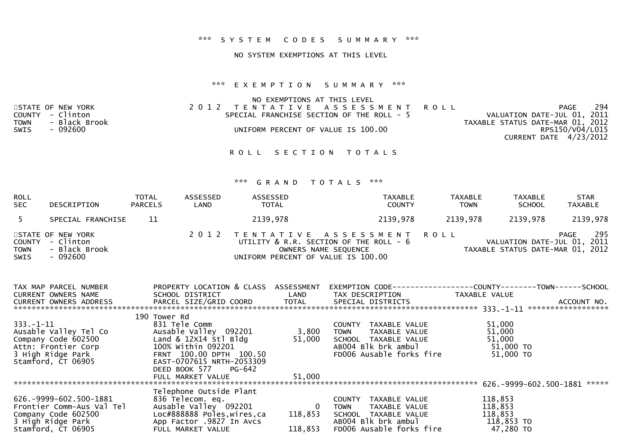## NO SYSTEM EXEMPTIONS AT THIS LEVEL

## \*\*\* E X E M P T I O N S U M M A R Y \*\*\*

|             |                   | NO EXEMPTIONS AT THIS LEVEL               |                                  |
|-------------|-------------------|-------------------------------------------|----------------------------------|
|             | STATE OF NEW YORK | 2012 TENTATIVE ASSESSMENT ROLL            | 294<br>PAGE                      |
|             | COUNTY - Clinton  | SPECIAL FRANCHISE SECTION OF THE ROLL - 5 | VALUATION DATE-JUL 01, 2011      |
| <b>TOWN</b> | - Black Brook     |                                           | TAXABLE STATUS DATE-MAR 01, 2012 |
| SWIS        | - 092600          | UNIFORM PERCENT OF VALUE IS 100.00        | RPS150/V04/L015                  |
|             |                   |                                           | CURRENT DATE 4/23/2012           |
|             |                   |                                           |                                  |

ROLL SECTION TOTALS

| ROLL<br><b>SEC</b>  | DESCRIPTION                                                        | <b>TOTAL</b><br><b>PARCELS</b> | ASSESSED<br>LAND | ASSESSED<br><b>TOTAL</b>           | TAXABLE<br><b>COUNTY</b>                                                                         | <b>TAXABLE</b><br><b>TOWN</b> | TAXABLE<br><b>SCHOOL</b>                                        | <b>STAR</b><br><b>TAXABLE</b> |
|---------------------|--------------------------------------------------------------------|--------------------------------|------------------|------------------------------------|--------------------------------------------------------------------------------------------------|-------------------------------|-----------------------------------------------------------------|-------------------------------|
|                     | SPECIAL FRANCHISE                                                  | 11                             |                  | 2139,978                           | 2139,978                                                                                         | 2139,978                      | 2139,978                                                        | 2139,978                      |
| <b>TOWN</b><br>SWIS | STATE OF NEW YORK<br>COUNTY - Clinton<br>- Black Brook<br>- 092600 |                                |                  | UNIFORM PERCENT OF VALUE IS 100.00 | 2012 TENTATIVE ASSESSMENT ROLL<br>UTILITY & R.R. SECTION OF THE ROLL - 6<br>OWNERS NAME SEQUENCE |                               | VALUATION DATE-JUL 01, 2011<br>TAXABLE STATUS DATE-MAR 01, 2012 | 295<br>PAGE                   |

| TAX MAP PARCEL NUMBER         | PROPERTY LOCATION & CLASS   | ASSESSMENT       | EXEMPTION CODE-----            | ----------COUNTY--------TOWN------SCHOOL |                    |
|-------------------------------|-----------------------------|------------------|--------------------------------|------------------------------------------|--------------------|
| <b>CURRENT OWNERS NAME</b>    | SCHOOL DISTRICT             | LAND             | TAX DESCRIPTION                | TAXABLE VALUE                            |                    |
| <b>CURRENT OWNERS ADDRESS</b> | PARCEL SIZE/GRID COORD      | <b>TOTAL</b>     | SPECIAL DISTRICTS              |                                          | ACCOUNT NO.        |
|                               |                             |                  |                                |                                          | ****************** |
|                               | 190 Tower Rd                |                  |                                |                                          |                    |
| $333. - 1 - 11$               | 831 Tele Comm               |                  | TAXABLE VALUE<br><b>COUNTY</b> | 51,000                                   |                    |
| Ausable Valley Tel Co         | Ausable Valley 092201       | 3,800            | TOWN<br>TAXABLE VALUE          | 51,000                                   |                    |
| Company Code 602500           | Land & $12x14$ stl Bldg     | 51,000           | SCHOOL TAXABLE VALUE           | 51,000                                   |                    |
| Attn: Frontier Corp           | 100% Within 092201          |                  | AB004 Blk brk ambul            | $51,000$ TO                              |                    |
| 3 High Ridge Park             | FRNT 100.00 DPTH 100.50     |                  | FD006 Ausable forks fire       | 51,000 TO                                |                    |
| Stamford, CT 06905            | EAST-0707615 NRTH-2053309   |                  |                                |                                          |                    |
|                               | DEED BOOK 577 PG-642        |                  |                                |                                          |                    |
|                               | FULL MARKET VALUE           | 51,000           |                                |                                          |                    |
|                               |                             |                  |                                | 626.-9999-602.500-1881                   | *****              |
|                               | Telephone Outside Plant     |                  |                                |                                          |                    |
| 626. - 9999 - 602. 500 - 1881 | 836 Telecom. eq.            |                  | TAXABLE VALUE<br><b>COUNTY</b> | 118,853                                  |                    |
|                               |                             |                  |                                |                                          |                    |
| Frontier Comm-Aus Val Tel     | Ausable Valley 092201       | $\boldsymbol{0}$ | TAXABLE VALUE<br><b>TOWN</b>   | 118,853                                  |                    |
| Company Code 602500           | Loc#888888 Poles, wires, ca | 118,853          | SCHOOL<br>TAXABLE VALUE        | 118,853                                  |                    |
| 3 High Ridge Park             | App Factor .9827 In Avcs    |                  | AB004 Blk brk ambul            | 118,853 TO                               |                    |
| Stamford, CT 06905            | FULL MARKET VALUE           | 118,853          | FD006 Ausable forks fire       | 47,280 TO                                |                    |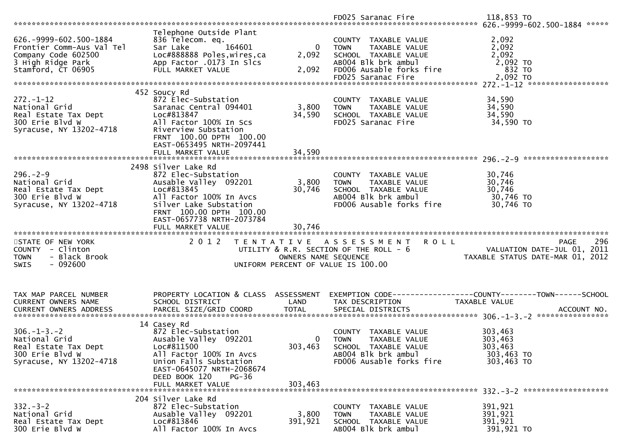|                                         |                                       |                      | FD025 Saranac Fire                                                  | 118,853 TO                       |
|-----------------------------------------|---------------------------------------|----------------------|---------------------------------------------------------------------|----------------------------------|
|                                         |                                       |                      |                                                                     |                                  |
|                                         | Telephone Outside Plant               |                      |                                                                     |                                  |
| 626. - 9999 - 602. 500 - 1884           | 836 Telecom. eq.                      |                      | COUNTY TAXABLE VALUE                                                | 2,092                            |
| Frontier Comm-Aus Val Tel               | 164601<br>Sar Lake                    | $\Omega$             | TAXABLE VALUE<br><b>TOWN</b>                                        | 2,092                            |
| Company Code 602500                     | Loc#888888 Poles, wires, ca           | 2,092                | SCHOOL TAXABLE VALUE                                                | 2,092                            |
| 3 High Ridge Park                       | App Factor .0173 In Slcs              |                      | AB004 Blk brk ambul                                                 | 2,092 TO                         |
| Stamford, CT 06905                      | FULL MARKET VALUE                     | 2,092                | FD006 Ausable forks fire                                            | 832 TO                           |
|                                         |                                       |                      | FD025 Saranac Fire                                                  | 2,092 TO                         |
|                                         |                                       |                      |                                                                     |                                  |
|                                         | 452 Soucy Rd                          |                      |                                                                     |                                  |
| $272. - 1 - 12$                         | 872 Elec-Substation                   |                      | COUNTY TAXABLE VALUE                                                | 34,590                           |
| National Grid                           | Saranac Central 094401                | 3,800                | TAXABLE VALUE<br><b>TOWN</b>                                        | 34,590                           |
| Real Estate Tax Dept                    | Loc#813847                            | 34,590               | SCHOOL TAXABLE VALUE                                                | 34,590                           |
| 300 Erie Blvd W                         | All Factor 100% In Scs                |                      | FD025 Saranac Fire                                                  | 34,590 TO                        |
| Syracuse, NY 13202-4718                 | Riverview Substation                  |                      |                                                                     |                                  |
|                                         | FRNT 100.00 DPTH 100.00               |                      |                                                                     |                                  |
|                                         | EAST-0653495 NRTH-2097441             |                      |                                                                     |                                  |
|                                         |                                       |                      |                                                                     |                                  |
|                                         |                                       |                      |                                                                     | *******************              |
|                                         | 2498 Silver Lake Rd                   |                      |                                                                     |                                  |
| $296. - 2 - 9$                          | 872 Elec-Substation                   |                      | COUNTY TAXABLE VALUE                                                | 30,746                           |
| National Grid                           | Ausable Valley 092201                 | 3,800                | TAXABLE VALUE<br><b>TOWN</b>                                        | 30,746                           |
| Real Estate Tax Dept                    | Loc#813845                            | 30,746               | SCHOOL TAXABLE VALUE                                                | 30,746                           |
| 300 Erie Blvd W                         | All Factor 100% In Avcs               |                      | AB004 Blk brk ambul                                                 | 30,746 TO                        |
| Syracuse, NY 13202-4718                 | Silver Lake Substation                |                      | FD006 Ausable forks fire                                            | 30,746 TO                        |
|                                         | FRNT 100.00 DPTH 100.00               |                      |                                                                     |                                  |
|                                         | EAST-0657738 NRTH-2073784             |                      |                                                                     |                                  |
|                                         |                                       |                      |                                                                     |                                  |
|                                         | FULL MARKET VALUE                     | 30,746               |                                                                     |                                  |
|                                         |                                       |                      |                                                                     |                                  |
| STATE OF NEW YORK                       | 2012                                  |                      | TENTATIVE ASSESSMENT<br><b>ROLL</b>                                 | 296<br>PAGE                      |
| COUNTY - Clinton                        |                                       |                      | UTILITY & R.R. SECTION OF THE ROLL - 6                              | VALUATION DATE-JUL 01, 2011      |
| <b>TOWN</b><br>- Black Brook            |                                       | OWNERS NAME SEQUENCE |                                                                     | TAXABLE STATUS DATE-MAR 01, 2012 |
| $-092600$<br><b>SWIS</b>                |                                       |                      | UNIFORM PERCENT OF VALUE IS 100.00                                  |                                  |
|                                         |                                       |                      |                                                                     |                                  |
|                                         |                                       |                      |                                                                     |                                  |
|                                         |                                       |                      |                                                                     |                                  |
| TAX MAP PARCEL NUMBER                   | PROPERTY LOCATION & CLASS ASSESSMENT  |                      | EXEMPTION        CODE-----------------COUNTY-------TOWN------SCHOOL |                                  |
| CURRENT OWNERS NAME                     | SCHOOL DISTRICT                       | LAND                 | TAX DESCRIPTION                                                     | TAXABLE VALUE                    |
| <b>CURRENT OWNERS ADDRESS</b>           | PARCEL SIZE/GRID COORD                | <b>TOTAL</b>         | SPECIAL DISTRICTS                                                   | ACCOUNT NO.                      |
|                                         |                                       |                      |                                                                     |                                  |
|                                         | 14 Casey Rd                           |                      |                                                                     |                                  |
| $306. - 1 - 3. - 2$                     | 872 Elec-Substation                   |                      | COUNTY TAXABLE VALUE                                                | 303,463                          |
| National Grid                           | Ausable Valley 092201                 | 0                    | TAXABLE VALUE<br><b>TOWN</b>                                        | 303,463                          |
| Real Estate Tax Dept                    | Loc#811500                            | 303,463              | SCHOOL TAXABLE VALUE                                                | 303,463                          |
| 300 Erie Blvd W                         | All Factor 100% In Avcs               |                      | AB004 Blk brk ambul                                                 | 303,463 TO                       |
| Syracuse, NY 13202-4718                 | Union Falls Substation                |                      | FD006 Ausable forks fire                                            | 303,463 TO                       |
|                                         | EAST-0645077 NRTH-2068674             |                      |                                                                     |                                  |
|                                         | DEED BOOK 120<br>$PG-36$              |                      |                                                                     |                                  |
|                                         | FULL MARKET VALUE                     | 303,463              |                                                                     |                                  |
|                                         |                                       |                      |                                                                     |                                  |
|                                         | 204 Silver Lake Rd                    |                      |                                                                     |                                  |
| $332 - 3 - 2$                           | 872 Elec-Substation                   |                      | COUNTY TAXABLE VALUE                                                | 391,921                          |
| National Grid                           | Ausable Valley 092201                 | 3,800                | TAXABLE VALUE<br><b>TOWN</b>                                        | 391,921                          |
| Real Estate Tax Dept<br>300 Erie Blvd W | Loc#813846<br>All Factor 100% In Avcs | 391,921              | SCHOOL TAXABLE VALUE<br>AB004 Blk brk ambul                         | 391,921<br>391,921 TO            |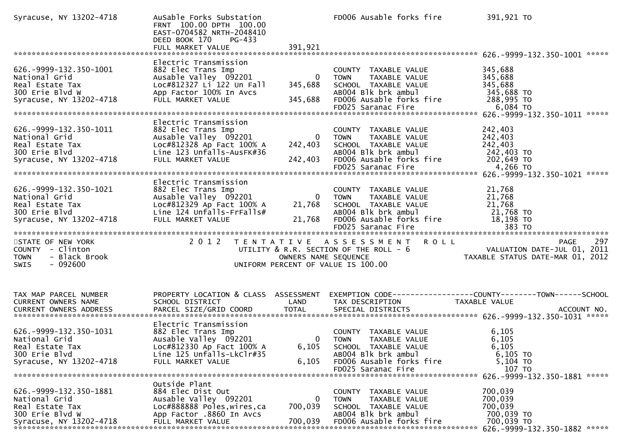| Syracuse, NY 13202-4718                                                                                         | AuSable Forks Substation<br>FRNT 100.00 DPTH 100.00<br>EAST-0704582 NRTH-2048410<br>DEED BOOK 170<br>PG-433                                         |                                    | FD006 Ausable forks fire                                                                                                                              | 391,921 TO                                                                                       |
|-----------------------------------------------------------------------------------------------------------------|-----------------------------------------------------------------------------------------------------------------------------------------------------|------------------------------------|-------------------------------------------------------------------------------------------------------------------------------------------------------|--------------------------------------------------------------------------------------------------|
| 626. - 9999 - 132. 350 - 1001<br>National Grid<br>Real Estate Tax<br>300 Erie Blvd W<br>Syracuse, NY 13202-4718 | Electric Transmission<br>882 Elec Trans Imp<br>Ausable Valley 092201<br>Loc#812327 Li 122 Un Fall<br>App Factor 100% In Avcs<br>FULL MARKET VALUE   | 345,688<br>345,688                 | COUNTY TAXABLE VALUE<br>TAXABLE VALUE<br>0 TOWN<br>SCHOOL TAXABLE VALUE<br>AB004 Blk brk ambul<br>FD006 Ausable forks fire<br>FD025 Saranac Fire      | 345,688<br>345,688<br>345,688<br>345,688 TO<br>288,995 TO<br>6,084 TO                            |
| 626. - 9999 - 132. 350 - 1011<br>National Grid<br>Real Estate Tax<br>300 Erie Blvd<br>Syracuse, NY 13202-4718   | Electric Transmission<br>882 Elec Trans Imp<br>Ausable Valley 092201<br>Loc#812328 Ap Fact 100% A<br>Line 123 Unfalls-AusFK#36<br>FULL MARKET VALUE | $\mathbf{0}$<br>242,403<br>242,403 | COUNTY TAXABLE VALUE<br>TAXABLE VALUE<br>TOWN<br>SCHOOL TAXABLE VALUE<br>AB004 Blk brk ambul<br>FD006 Ausable forks fire                              | 242,403<br>242,403<br>242,403<br>242,403 TO<br>202,649 TO                                        |
| 626. - 9999 - 132. 350 - 1021<br>National Grid<br>Real Estate Tax<br>300 Erie Blvd<br>Syracuse, NY 13202-4718   | Electric Transmission<br>882 Elec Trans Imp<br>Ausable Valley 092201<br>Loc#812329 Ap Fact 100% A<br>Line 124 Unfalls-FrFalls#<br>FULL MARKET VALUE | $\overline{0}$<br>21,768<br>21,768 | COUNTY TAXABLE VALUE<br><b>TOWN</b><br>TAXABLE VALUE<br>SCHOOL TAXABLE VALUE<br>AB004 Blk brk ambul<br>FD006 Ausable forks fire<br>FD025 Saranac Fire | 21,768<br>21,768<br>21,768<br>21,768 TO<br>18,198 TO<br>383 TO                                   |
| STATE OF NEW YORK<br>COUNTY - Clinton<br><b>TOWN</b><br>- Black Brook<br>$-092600$<br>SWIS                      |                                                                                                                                                     | OWNERS NAME SEQUENCE               | 2012 TENTATIVE ASSESSMENT ROLL<br>UTILITY & R.R. SECTION OF THE ROLL - 6<br>UNIFORM PERCENT OF VALUE IS 100.00                                        | 297<br>PAGE<br>VALUATION DATE-JUL 01, 2011<br>TAXABLE STATUS DATE-MAR 01, 2012                   |
| TAX MAP PARCEL NUMBER<br>CURRENT OWNERS NAME                                                                    | PROPERTY LOCATION & CLASS ASSESSMENT<br>SCHOOL DISTRICT                                                                                             | LAND                               | TAX DESCRIPTION                                                                                                                                       | EXEMPTION CODE-----------------COUNTY-------TOWN------SCHOOL<br>TAXABLE VALUE                    |
| 626. - 9999 - 132. 350 - 1031<br>National Grid<br>Real Estate Tax<br>300 Erie Blvd<br>Syracuse, NY 13202-4718   | Electric Transmission<br>882 Elec Trans Imp<br>Ausable Valley 092201<br>Loc#812330 Ap Fact 100% A<br>Line 125 Unfalls-LkClr#35<br>FULL MARKET VALUE | 6,105<br>6,105                     | COUNTY TAXABLE VALUE<br>0 TOWN<br>TAXABLE VALUE<br>SCHOOL TAXABLE VALUE<br>AB004 Blk brk ambul<br>FD006 Ausable forks fire<br>FD025 Saranac Fire      | 6,105<br>6,105<br>6,105<br>6,105 TO<br>5,104 TO<br>107 TO<br>626. - 9999 - 132. 350 - 1881 ***** |
| 626. -9999-132. 350-1881<br>National Grid<br>Real Estate Tax<br>300 Erie Blvd W                                 | Outside Plant<br>884 Elec Dist Out<br>Ausable Valley 092201<br>Loc#888888 Poles, wires, ca<br>App Factor .8860 In Avcs                              | $\bf{0}$<br>700,039<br>700,039     | TAXABLE VALUE<br>COUNTY<br><b>TOWN</b><br>TAXABLE VALUE<br>SCHOOL TAXABLE VALUE<br>AB004 Blk brk ambul<br>FD006 Ausable forks fire                    | 700,039<br>700,039<br>700,039<br>700,039 TO<br>700,039 TO<br>626. - 9999 - 132. 350 - 1882 ***** |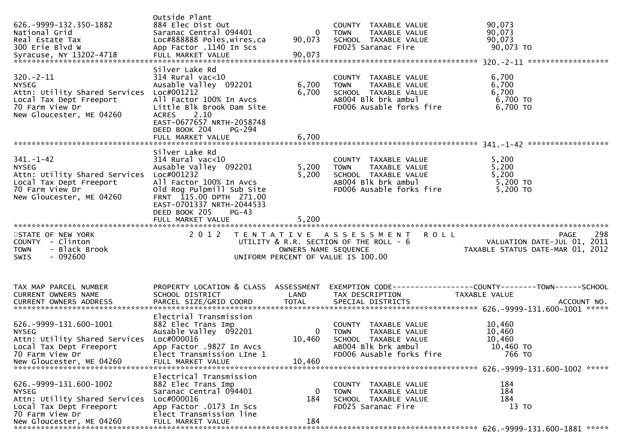| 626. - 9999 - 132. 350 - 1882<br>National Grid<br>Real Estate Tax<br>300 Erie Blvd W                                                                 | Outside Plant<br>884 Elec Dist Out<br>Saranac Central 094401<br>Loc#888888 Poles, wires, ca<br>App Factor .1140 In Scs                                                                                                     | - 0<br>90,073            | COUNTY TAXABLE VALUE<br>TAXABLE VALUE<br><b>TOWN</b><br>SCHOOL TAXABLE VALUE<br>FD025 Saranac Fire                                                              | 90,073<br>90,073<br>90,073<br>90,073 TO                                        |
|------------------------------------------------------------------------------------------------------------------------------------------------------|----------------------------------------------------------------------------------------------------------------------------------------------------------------------------------------------------------------------------|--------------------------|-----------------------------------------------------------------------------------------------------------------------------------------------------------------|--------------------------------------------------------------------------------|
| $320. -2 - 11$<br><b>NYSEG</b><br>Attn: Utility Shared Services Loc#001212<br>Local Tax Dept Freeport<br>70 Farm View Dr<br>New Gloucester, ME 04260 | Silver Lake Rd<br>$314$ Rural vac<10<br>Ausable Valley 092201<br>All Factor 100% In Avcs<br>Little Blk Brook Dam Site<br><b>ACRES</b><br>2.10<br>EAST-0677657 NRTH-2058748<br>DEED BOOK 204<br>PG-294<br>FULL MARKET VALUE | 6,700<br>6,700<br>6,700  | COUNTY TAXABLE VALUE<br>TAXABLE VALUE<br><b>TOWN</b><br>SCHOOL TAXABLE VALUE<br>JUNUL TAXABLE VALUE<br>ABOO4 Blk brk ambul<br>EPOOS<br>FD006 Ausable forks fire | 6,700<br>6,700<br>6,700<br>6,700 TO<br>6,700 TO                                |
|                                                                                                                                                      |                                                                                                                                                                                                                            |                          |                                                                                                                                                                 |                                                                                |
| $341. - 1 - 42$<br><b>NYSEG</b><br>Attn: Utility Shared Services<br>Local Tax Dept Freeport<br>70 Farm View Dr<br>New Gloucester, ME 04260           | Silver Lake Rd<br>$314$ Rural vac< $10$<br>Ausable Valley 092201<br>Loc#001232<br>All Factor 100% In Avcs<br>Old Rog Pulpmill Sub Site<br>FRNT 115.00 DPTH 271.00<br>EAST-0701337 NRTH-2044533<br>DEED BOOK 205<br>$PG-43$ | 5,200<br>5,200           | COUNTY TAXABLE VALUE<br><b>TOWN</b><br>TAXABLE VALUE<br>SCHOOL TAXABLE VALUE<br>AB004 Blk brk ambul<br>FD006 Ausable forks fire                                 | 5,200<br>5,200<br>5,200<br>5,200 TO<br>$5,200$ TO                              |
|                                                                                                                                                      | FULL MARKET VALUE                                                                                                                                                                                                          | 5,200                    |                                                                                                                                                                 |                                                                                |
| STATE OF NEW YORK<br>COUNTY - Clinton<br>- Black Brook<br><b>TOWN</b><br>$-092600$<br><b>SWIS</b>                                                    | 2 0 1 2                                                                                                                                                                                                                    | OWNERS NAME SEQUENCE     | TENTATIVE ASSESSMENT<br><b>ROLL</b><br>UTILITY & R.R. SECTION OF THE ROLL - 6<br>UNIFORM PERCENT OF VALUE IS 100.00                                             | 298<br>PAGE<br>VALUATION DATE-JUL 01, 2011<br>TAXABLE STATUS DATE-MAR 01, 2012 |
| TAX MAP PARCEL NUMBER<br><b>CURRENT OWNERS NAME</b><br>CURRENT OWNERS ADDRESS                                                                        | PROPERTY LOCATION & CLASS ASSESSMENT<br>SCHOOL DISTRICT                                                                                                                                                                    | LAND                     | TAX DESCRIPTION                                                                                                                                                 | TAXABLE VALUE                                                                  |
| 626. - 9999 - 131. 600 - 1001<br><b>NYSEG</b><br>Attn: Utility Shared Services Loc#000016<br>Local Tax Dept Freeport<br>70 Farm View Dr              | Electrial Transmission<br>882 Elec Trans Imp<br>Ausable Valley 092201<br>App Factor .9827 In Avcs<br>Elect Transmission LIne 1                                                                                             | $\overline{0}$<br>10,460 | COUNTY TAXABLE VALUE<br><b>TOWN</b><br>TAXABLE VALUE<br>SCHOOL TAXABLE VALUE<br>AB004 Blk brk ambul<br>FD006 Ausable forks fire                                 | 10,460<br>10,460<br>10,460<br>10,460 TO<br>766 TO                              |
| 626. -9999-131. 600-1002<br><b>NYSEG</b><br>Attn: Utility Shared Services<br>Local Tax Dept Freeport<br>70 Farm View Dr                              | Electrical Transmission<br>882 Elec Trans Imp<br>Saranac Central 094401<br>Loc#000016<br>App Factor .0173 In Scs<br>Elect Transmission line                                                                                | 0<br>184                 | TAXABLE VALUE<br>COUNTY<br>TAXABLE VALUE<br><b>TOWN</b><br>SCHOOL TAXABLE VALUE<br>FD025 Saranac Fire                                                           | 184<br>184<br>184<br>13 TO                                                     |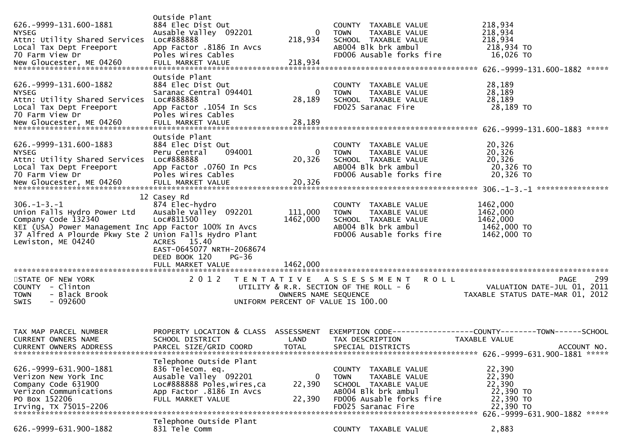|                                                          | Outside Plant                                  |                      |                                                      |                                                               |
|----------------------------------------------------------|------------------------------------------------|----------------------|------------------------------------------------------|---------------------------------------------------------------|
| 626. - 9999 - 131. 600 - 1881                            | 884 Elec Dist Out                              |                      | COUNTY TAXABLE VALUE                                 | 218,934                                                       |
| <b>NYSEG</b>                                             | Ausable Valley 092201                          | $\bf{0}$             | TAXABLE VALUE<br><b>TOWN</b>                         | 218,934                                                       |
| Attn: Utility Shared Services                            | Loc#888888                                     | 218,934              | SCHOOL TAXABLE VALUE                                 | 218,934                                                       |
| Local Tax Dept Freeport<br>70 Farm View Dr               | App Factor .8186 In Avcs<br>Poles Wires Cables |                      | AB004 Blk brk ambul<br>FD006 Ausable forks fire      | 218,934 TO<br>16,026 TO                                       |
|                                                          |                                                |                      |                                                      |                                                               |
|                                                          | Outside Plant                                  |                      |                                                      |                                                               |
| 626. - 9999 - 131. 600 - 1882                            | 884 Elec Dist Out                              |                      | COUNTY TAXABLE VALUE                                 | 28,189                                                        |
| <b>NYSEG</b>                                             | Saranac Central 094401                         | 0                    | <b>TOWN</b><br>TAXABLE VALUE                         | 28,189                                                        |
| Attn: Utility Shared Services                            | Loc#888888                                     | 28,189               | SCHOOL TAXABLE VALUE                                 | 28,189                                                        |
| Local Tax Dept Freeport                                  | App Factor .1054 In Scs                        |                      | FD025 Saranac Fire                                   | 28,189 TO                                                     |
| 70 Farm View Dr                                          | Poles Wires Cables                             |                      |                                                      |                                                               |
|                                                          |                                                |                      |                                                      |                                                               |
|                                                          |                                                |                      |                                                      | *****                                                         |
|                                                          | Outside Plant                                  |                      |                                                      |                                                               |
| 626. - 9999 - 131. 600 - 1883                            | 884 Elec Dist Out                              |                      | COUNTY TAXABLE VALUE                                 | 20,326                                                        |
| <b>NYSEG</b><br>Attn: Utility Shared Services Loc#888888 | Peru Central<br>094001                         | 0<br>20,326          | <b>TOWN</b><br>TAXABLE VALUE<br>SCHOOL TAXABLE VALUE | 20,326<br>20,326                                              |
| Local Tax Dept Freeport                                  | App Factor .0760 In Pcs                        |                      | AB004 Blk brk ambul                                  | 20,326 TO                                                     |
| 70 Farm View Dr                                          | Poles Wires Cables                             |                      | FD006 Ausable forks fire                             | 20,326 TO                                                     |
|                                                          |                                                |                      |                                                      |                                                               |
|                                                          |                                                |                      |                                                      |                                                               |
|                                                          | 12 Casey Rd                                    |                      |                                                      |                                                               |
| $306. - 1 - 3. - 1$                                      | 874 Elec-hydro                                 |                      | COUNTY TAXABLE VALUE                                 | 1462,000                                                      |
| Union Falls Hydro Power Ltd                              | Ausable Valley 092201                          | 111,000              | <b>TOWN</b><br>TAXABLE VALUE                         | 1462,000                                                      |
| Company Code 132340                                      | Loc#811500                                     | 1462,000             | SCHOOL TAXABLE VALUE                                 | 1462,000                                                      |
| KEI (USA) Power Management Inc App Factor 100% In Avcs   |                                                |                      | AB004 Blk brk ambul                                  | 1462,000 TO                                                   |
| 37 Alfred A Plourde Pkwy Ste 2 Union Falls Hydro Plant   |                                                |                      | FD006 Ausable forks fire                             | 1462,000 TO                                                   |
| Lewiston, ME 04240                                       | ACRES 15.40                                    |                      |                                                      |                                                               |
|                                                          | EAST-0645077 NRTH-2068674                      |                      |                                                      |                                                               |
|                                                          | DEED BOOK 120<br>PG-36                         |                      |                                                      |                                                               |
|                                                          | FULL MARKET VALUE                              | 1462,000             |                                                      |                                                               |
| STATE OF NEW YORK                                        | 2 0 1 2                                        |                      | TENTATIVE ASSESSMENT<br><b>ROLL</b>                  | 299<br><b>PAGE</b>                                            |
| COUNTY - Clinton                                         |                                                |                      | UTILITY & R.R. SECTION OF THE ROLL - 6               | VALUATION DATE-JUL 01, 2011                                   |
| - Black Brook<br><b>TOWN</b>                             |                                                | OWNERS NAME SEQUENCE |                                                      | TAXABLE STATUS DATE-MAR 01, 2012                              |
| $-092600$<br>SWIS                                        |                                                |                      | UNIFORM PERCENT OF VALUE IS 100.00                   |                                                               |
|                                                          |                                                |                      |                                                      |                                                               |
|                                                          |                                                |                      |                                                      |                                                               |
|                                                          |                                                |                      |                                                      |                                                               |
| TAX MAP PARCEL NUMBER                                    | PROPERTY LOCATION & CLASS                      | ASSESSMENT           |                                                      | EXEMPTION CODE-----------------COUNTY--------TOWN------SCHOOL |
| <b>CURRENT OWNERS NAME</b>                               | SCHOOL DISTRICT                                | LAND                 | TAX DESCRIPTION                                      | TAXABLE VALUE                                                 |
| CURRENT OWNERS ADDRESS                                   | PARCEL SIZE/GRID COORD                         | <b>TOTAL</b>         | SPECIAL DISTRICTS                                    | ACCOUNT NO.                                                   |
|                                                          |                                                |                      |                                                      |                                                               |
| 626. - 9999 - 631. 900 - 1881                            | Telephone Outside Plant                        |                      |                                                      |                                                               |
| Verizon New York Inc                                     | 836 Telecom. eq.<br>Ausable Valley 092201      | 0                    | COUNTY TAXABLE VALUE<br><b>TOWN</b><br>TAXABLE VALUE | 22,390<br>22,390                                              |
| Company Code 631900                                      | Loc#888888 Poles, wires, ca                    | 22,390               | SCHOOL TAXABLE VALUE                                 | 22,390                                                        |
| Verizon Communications                                   | App Factor .8186 In Avcs                       |                      | AB004 Blk brk ambul                                  | 22,390 TO                                                     |
| PO Box 152206                                            | FULL MARKET VALUE                              | 22,390               | FD006 Ausable forks fire                             | 22,390 TO                                                     |
|                                                          |                                                |                      |                                                      |                                                               |
|                                                          |                                                |                      |                                                      |                                                               |
|                                                          | Telephone Outside Plant                        |                      |                                                      |                                                               |
| 626. - 9999 - 631. 900 - 1882                            | 831 Tele Comm                                  |                      | COUNTY TAXABLE VALUE                                 | 2,883                                                         |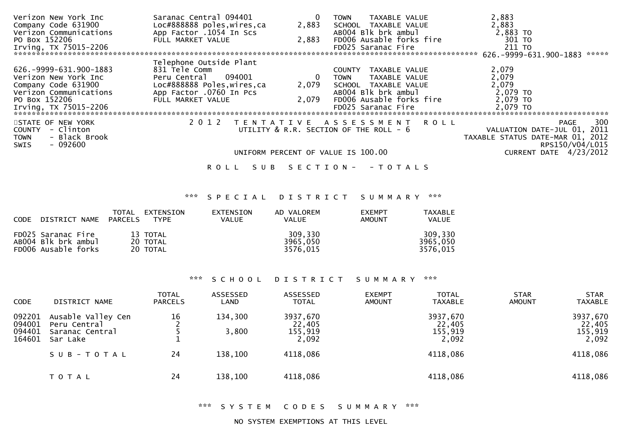| Verizon New York Inc           | Saranac Central 094401      |                 | TAXABLE VALUE<br><b>TOWN</b>                | 2,883                               |
|--------------------------------|-----------------------------|-----------------|---------------------------------------------|-------------------------------------|
| Company Code 631900            | Loc#888888 poles, wires, ca | 2,883           | SCHOOL TAXABLE VALUE                        | 2,883                               |
| Verizon Communications         | App Factor .1054 In Scs     |                 | AB004 Blk brk ambul                         | 2,883 TO                            |
| PO Box 152206                  | FULL MARKET VALUE           | 2,883           | FD006 Ausable forks fire                    | 301 TO                              |
| Irving, TX 75015-2206          |                             |                 | FD025 Saranac Fire                          | 211 TO                              |
| ****************************** |                             |                 |                                             | 626. - 9999 - 631. 900 - 1883 ***** |
|                                | Telephone Outside Plant     |                 |                                             |                                     |
| 626.-9999-631.900-1883         | 831 Tele Comm               |                 | TAXABLE VALUE<br>COUNTY                     | 2,079                               |
| Verizon New York Inc           | Peru Central 094001         | - 0             | TAXABLE VALUE<br><b>TOWN</b>                | 2,079                               |
| Company Code 631900            | Loc#888888 Poles, wires, ca | 2,079           | SCHOOL TAXABLE VALUE                        | 2,079                               |
| Verizon Communications         | App Factor .0760 In Pcs     |                 | AB004 Blk brk ambul                         | 2,079 TO                            |
| PO Box 152206                  | FULL MARKET VALUE           | 2,079           | FD006 Ausable forks fire                    | 2,079 TO                            |
| Irving, TX 75015-2206          |                             |                 | FD025 Saranac Fire                          | 2,079 TO                            |
|                                |                             |                 |                                             |                                     |
| STATE OF NEW YORK              | 2 0 1 2                     |                 | TENTATIVE ASSESSMENT ROLL                   | 300<br>PAGE                         |
| COUNTY - Clinton               |                             |                 | UTILITY $\&$ R.R. SECTION OF THE ROLL - $6$ | VALUATION DATE-JUL 01, 2011         |
| - Black Brook<br>TOWN          |                             |                 |                                             | TAXABLE STATUS DATE-MAR 01, 2012    |
| $-092600$<br>SWIS              |                             |                 |                                             | RPS150/V04/L015                     |
|                                |                             |                 | UNIFORM PERCENT OF VALUE IS 100.00          | CURRENT DATE 4/23/2012              |
|                                |                             |                 |                                             |                                     |
|                                | S U B<br>ROLL               | S E C T I O N - | - T O T A L S                               |                                     |

# \*\*\* S P E C I A L D I S T R I C T S U M M A R Y \*\*\*

| CODE DISTRICT NAME PARCELS                                       | TOTAL | EXTENSION<br>TYPE                | EXTENSION<br><b>VALUE</b> | AD VALOREM<br><b>VALUE</b>      | <b>EXEMPT</b><br><b>AMOUNT</b> | TAXABLE<br><b>VALUE</b>         |
|------------------------------------------------------------------|-------|----------------------------------|---------------------------|---------------------------------|--------------------------------|---------------------------------|
| FD025 Saranac Fire<br>AB004 Blk brk ambul<br>FD006 Ausable forks |       | 13 TOTAL<br>20 TOTAL<br>20 TOTAL |                           | 309,330<br>3965,050<br>3576.015 |                                | 309.330<br>3965.050<br>3576.015 |

# \*\*\* S C H O O L D I S T R I C T S U M M A R Y \*\*\*

| <b>CODE</b>                          | DISTRICT NAME                                                     | <b>TOTAL</b><br><b>PARCELS</b> | ASSESSED<br>LAND | ASSESSED<br><b>TOTAL</b>               | <b>EXEMPT</b><br><b>AMOUNT</b> | <b>TOTAL</b><br><b>TAXABLE</b>         | <b>STAR</b><br>AMOUNT | <b>STAR</b><br><b>TAXABLE</b>          |
|--------------------------------------|-------------------------------------------------------------------|--------------------------------|------------------|----------------------------------------|--------------------------------|----------------------------------------|-----------------------|----------------------------------------|
| 092201<br>094001<br>094401<br>164601 | Ausable Valley Cen<br>Peru Central<br>Saranac Central<br>Sar Lake | 16                             | 134,300<br>3,800 | 3937,670<br>22,405<br>155,919<br>2,092 |                                | 3937,670<br>22,405<br>155,919<br>2,092 |                       | 3937,670<br>22,405<br>155,919<br>2,092 |
|                                      | $S \cup B - TO T A L$                                             | 24                             | 138,100          | 4118,086                               |                                | 4118,086                               |                       | 4118,086                               |
|                                      | <b>TOTAL</b>                                                      | 24                             | 138,100          | 4118,086                               |                                | 4118,086                               |                       | 4118,086                               |

## \*\*\* S Y S T E M C O D E S S U M M A R Y \*\*\*

## NO SYSTEM EXEMPTIONS AT THIS LEVEL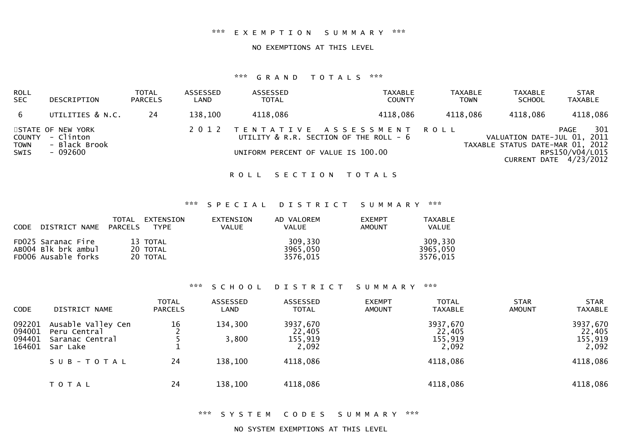### \*\*\* E X E M P T I O N S U M M A R Y \*\*\*

#### NO EXEMPTIONS AT THIS LEVEL

## \*\*\* G R A N D T O T A L S \*\*\*

| <b>ROLL</b><br><b>SEC</b>  | DESCRIPTION                                                        | TOTAL<br><b>PARCELS</b> | ASSESSED<br>LAND | ASSESSED<br><b>TOTAL</b> | <b>TAXABLE</b><br><b>COUNTY</b>                                                                                | <b>TAXABLE</b><br><b>TOWN</b> | <b>TAXABLE</b><br><b>SCHOOL</b>                                 | <b>STAR</b><br><b>TAXABLE</b>                            |
|----------------------------|--------------------------------------------------------------------|-------------------------|------------------|--------------------------|----------------------------------------------------------------------------------------------------------------|-------------------------------|-----------------------------------------------------------------|----------------------------------------------------------|
| 6                          | UTILITIES & N.C.                                                   | 24                      | 138,100          | 4118,086                 | 4118,086                                                                                                       | 4118,086                      | 4118,086                                                        | 4118,086                                                 |
| <b>TOWN</b><br><b>SWIS</b> | STATE OF NEW YORK<br>COUNTY - Clinton<br>- Black Brook<br>- 092600 |                         |                  |                          | 2012 TENTATIVE ASSESSMENT ROLL<br>UTILITY & R.R. SECTION OF THE ROLL - 6<br>UNIFORM PERCENT OF VALUE IS 100.00 |                               | VALUATION DATE-JUL 01, 2011<br>TAXABLE STATUS DATE-MAR 01, 2012 | 301<br>PAGE<br>RPS150/V04/L015<br>CURRENT DATE 4/23/2012 |

ROLL SECTION TOTALS

## \*\*\* S P E C I A L D I S T R I C T S U M M A R Y \*\*\*

| <b>CODE</b> | DISTRICT NAME                                                    | TOTAL<br>EXTENSION<br>PARCELS<br><b>TYPE</b> | <b>EXTENSTON</b><br><b>VALUE</b> | AD VALOREM<br>VALUE             | <b>FXEMPT</b><br><b>AMOUNT</b> | <b>TAXABLE</b><br><b>VALUE</b>  |
|-------------|------------------------------------------------------------------|----------------------------------------------|----------------------------------|---------------------------------|--------------------------------|---------------------------------|
|             | FD025 Saranac Fire<br>AB004 Blk brk ambul<br>FD006 Ausable forks | 13 TOTAL<br>20 TOTAL<br>20 TOTAL             |                                  | 309,330<br>3965,050<br>3576.015 |                                | 309,330<br>3965,050<br>3576,015 |

### \*\*\* S C H O O L D I S T R I C T S U M M A R Y \*\*\*

| <b>CODE</b>                          | DISTRICT NAME                                                     | <b>TOTAL</b><br><b>PARCELS</b> | ASSESSED<br>LAND | ASSESSED<br><b>TOTAL</b>               | <b>EXEMPT</b><br><b>AMOUNT</b> | <b>TOTAL</b><br><b>TAXABLE</b>         | <b>STAR</b><br><b>AMOUNT</b> | <b>STAR</b><br><b>TAXABLE</b>          |
|--------------------------------------|-------------------------------------------------------------------|--------------------------------|------------------|----------------------------------------|--------------------------------|----------------------------------------|------------------------------|----------------------------------------|
| 092201<br>094001<br>094401<br>164601 | Ausable Valley Cen<br>Peru Central<br>Saranac Central<br>Sar Lake | 16                             | 134,300<br>3,800 | 3937,670<br>22,405<br>155,919<br>2,092 |                                | 3937,670<br>22,405<br>155,919<br>2,092 |                              | 3937,670<br>22,405<br>155,919<br>2,092 |
|                                      | SUB-TOTAL                                                         | 24                             | 138,100          | 4118,086                               |                                | 4118,086                               |                              | 4118,086                               |
|                                      | <b>TOTAL</b>                                                      | 24                             | 138,100          | 4118,086                               |                                | 4118,086                               |                              | 4118,086                               |

\*\*\* S Y S T E M C O D E S S U M M A R Y \*\*\*

NO SYSTEM EXEMPTIONS AT THIS LEVEL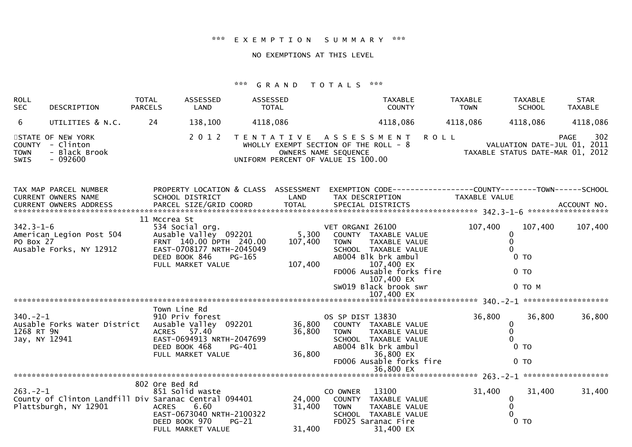#### \*\*\* E X E M P T I O N S U M M A R Y \*\*\*

#### NO EXEMPTIONS AT THIS LEVEL

#### \*\*\* G R A N D T O T A L S \*\*\*

| ROLL<br><b>SEC</b>                           | DESCRIPTION                                                                    | <b>TOTAL</b><br><b>PARCELS</b> | ASSESSED<br>LAND                                                                                                                           | ASSESSED<br><b>TOTAL</b> |                                                                                                                             |                                   | TAXABLE<br><b>COUNTY</b>                                                                                                                                              |             | <b>TAXABLE</b><br><b>TOWN</b> | TAXABLE<br><b>SCHOOL</b>                             | <b>STAR</b><br><b>TAXABLE</b>                                                  |
|----------------------------------------------|--------------------------------------------------------------------------------|--------------------------------|--------------------------------------------------------------------------------------------------------------------------------------------|--------------------------|-----------------------------------------------------------------------------------------------------------------------------|-----------------------------------|-----------------------------------------------------------------------------------------------------------------------------------------------------------------------|-------------|-------------------------------|------------------------------------------------------|--------------------------------------------------------------------------------|
| 6                                            | UTILITIES & N.C.                                                               | 24                             | 138,100                                                                                                                                    | 4118,086                 |                                                                                                                             |                                   | 4118,086                                                                                                                                                              |             | 4118,086                      | 4118,086                                             | 4118,086                                                                       |
| <b>COUNTY</b><br><b>TOWN</b><br>SWIS         | STATE OF NEW YORK<br>- Clinton<br>- Black Brook<br>$-092600$                   |                                | 2 0 1 2                                                                                                                                    |                          | TENTATIVE ASSESSMENT<br>WHOLLY EXEMPT SECTION OF THE ROLL - 8<br>OWNERS NAME SEQUENCE<br>UNIFORM PERCENT OF VALUE IS 100.00 |                                   |                                                                                                                                                                       | <b>ROLL</b> |                               |                                                      | 302<br>PAGE<br>VALUATION DATE-JUL 01, 2011<br>TAXABLE STATUS DATE-MAR 01, 2012 |
|                                              | TAX MAP PARCEL NUMBER<br>CURRENT OWNERS NAME                                   |                                | PROPERTY LOCATION & CLASS ASSESSMENT<br>SCHOOL DISTRICT                                                                                    |                          | <b>LAND</b>                                                                                                                 |                                   | EXEMPTION CODE------------------COUNTY--------TOWN------SCHOOL<br>TAX DESCRIPTION                                                                                     |             | <b>TAXABLE VALUE</b>          |                                                      |                                                                                |
| $342.3 - 1 - 6$<br>PO Box 27                 | American Legion Post 504<br>Ausable Forks, NY 12912                            | 11 Mccrea St                   | 534 Social org.<br>Ausable Valley 092201<br>FRNT 140.00 DPTH 240.00<br>EAST-0708177 NRTH-2045049<br>DEED BOOK 846<br>FULL MARKET VALUE     | $PG-165$                 | 5,300<br>107,400<br>107,400                                                                                                 | VET ORGANI 26100<br><b>TOWN</b>   | COUNTY TAXABLE VALUE<br>TAXABLE VALUE<br>SCHOOL TAXABLE VALUE<br>AB004 Blk brk ambul<br>107,400 EX<br>FD006 Ausable forks fire<br>107,400 EX<br>SW019 Black brook swr |             | 107,400                       | 107,400<br>0<br>0<br>$0$ TO<br>$0$ TO<br>$0$ TO $M$  | 107,400                                                                        |
|                                              |                                                                                |                                |                                                                                                                                            |                          |                                                                                                                             |                                   | 107,400 EX                                                                                                                                                            |             |                               |                                                      |                                                                                |
| $340 - 2 - 1$<br>1268 RT 9N<br>Jay, NY 12941 | Ausable Forks Water District                                                   |                                | Town Line Rd<br>910 Priv forest<br>Ausable Valley 092201<br>ACRES 57.40<br>EAST-0694913 NRTH-2047699<br>DEED BOOK 468<br>FULL MARKET VALUE | PG-401                   | 36,800<br>36,800<br>36,800                                                                                                  | OS SP DIST 13830<br><b>TOWN</b>   | COUNTY TAXABLE VALUE<br>TAXABLE VALUE<br>SCHOOL TAXABLE VALUE<br>AB004 Blk brk ambul<br>36,800 EX<br>FD006 Ausable forks fire<br>36,800 EX                            |             | 36,800                        | 36,800<br>0<br>0<br>0 <sub>T</sub><br>0 <sub>T</sub> | 36,800                                                                         |
|                                              |                                                                                |                                |                                                                                                                                            |                          |                                                                                                                             |                                   |                                                                                                                                                                       |             |                               |                                                      |                                                                                |
| $263 - 2 - 1$                                | County of Clinton Landfill Div Saranac Central 094401<br>Plattsburgh, NY 12901 | 802 Ore Bed Rd<br><b>ACRES</b> | 851 Solid waste<br>6.60<br>EAST-0673040 NRTH-2100322<br>DEED BOOK 970<br>FULL MARKET VALUE                                                 | $PG-21$                  | 24,000<br>31,400<br>31,400                                                                                                  | CO OWNER<br>COUNTY<br><b>TOWN</b> | 13100<br>TAXABLE VALUE<br>TAXABLE VALUE<br>SCHOOL TAXABLE VALUE<br>FD025 Saranac Fire<br>31,400 EX                                                                    |             | 31,400                        | 31,400<br>0<br>0<br>$\Omega$<br>0 <sub>T</sub>       | 31,400                                                                         |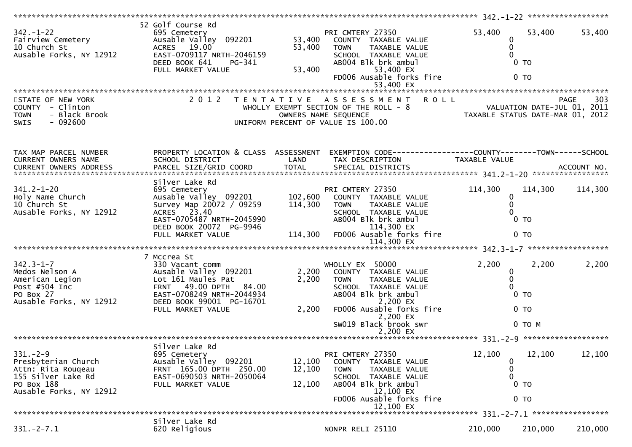| $342. - 1 - 22$<br>Fairview Cemetery<br>10 Church St<br>Ausable Forks, NY 12912                                            | 52 Golf Course Rd<br>695 Cemetery<br>Ausable Valley 092201<br>ACRES 19.00<br>EAST-0709117 NRTH-2046159<br>DEED BOOK 641<br>PG-341<br>FULL MARKET VALUE                               | 53,400<br>53,400<br>53,400    | PRI CMTERY 27350<br>COUNTY TAXABLE VALUE<br>TAXABLE VALUE<br><b>TOWN</b><br>SCHOOL TAXABLE VALUE<br>AB004 Blk brk ambul<br>53,400 EX<br>FD006 Ausable forks fire<br>53,400 EX                       | 53,400<br>0<br>$\mathbf 0$<br>$\Omega$                          | 53,400<br>$0$ TO<br>0 <sub>T</sub>            | 53,400      |
|----------------------------------------------------------------------------------------------------------------------------|--------------------------------------------------------------------------------------------------------------------------------------------------------------------------------------|-------------------------------|-----------------------------------------------------------------------------------------------------------------------------------------------------------------------------------------------------|-----------------------------------------------------------------|-----------------------------------------------|-------------|
| STATE OF NEW YORK<br>COUNTY - Clinton<br>- Black Brook<br><b>TOWN</b><br>$-092600$<br>SWIS                                 | 2 0 1 2                                                                                                                                                                              |                               | TENTATIVE ASSESSMENT ROLL<br>WHOLLY EXEMPT SECTION OF THE ROLL - 8<br>OWNERS NAME SEQUENCE<br>UNIFORM PERCENT OF VALUE IS 100.00                                                                    | VALUATION DATE-JUL 01, 2011<br>TAXABLE STATUS DATE-MAR 01, 2012 |                                               | 303<br>PAGE |
| TAX MAP PARCEL NUMBER<br>CURRENT OWNERS NAME<br>CURRENT OWNERS ADDRESS                                                     | SCHOOL DISTRICT                                                                                                                                                                      | LAND                          | PROPERTY LOCATION & CLASS ASSESSMENT EXEMPTION CODE----------------COUNTY-------TOWN------SCHOOL<br>TAX DESCRIPTION                                                                                 | TAXABLE VALUE                                                   |                                               |             |
| $341.2 - 1 - 20$<br>Holy Name Church<br>10 Church St<br>Ausable Forks, NY 12912                                            | Silver Lake Rd<br>695 Cemetery<br>Ausable Valley 092201<br>Survey Map 20072 / 09259<br>ACRES 23.40<br>EAST-0705487 NRTH-2045990<br>DEED BOOK 20072 PG-9946<br>FULL MARKET VALUE      | 102,600<br>114,300<br>114,300 | PRI CMTERY 27350<br>COUNTY TAXABLE VALUE<br><b>TOWN</b><br>TAXABLE VALUE<br>SCHOOL TAXABLE VALUE<br>AB004 Blk brk ambul<br>114,300 EX<br>FD006 Ausable forks fire                                   | 114,300<br>0<br>$\mathbf 0$<br>$\Omega$                         | 114,300<br>$0$ TO<br>0 <sub>T</sub>           | 114,300     |
| $342.3 - 1 - 7$<br>Medos Nelson A<br>American Legion<br>Post #504 Inc<br>PO Box 27<br>Ausable Forks, NY 12912              | 7 Mccrea St<br>330 Vacant comm<br>Ausable Valley 092201<br>Lot 161 Maules Pat<br>FRNT 49.00 DPTH 84.00<br>EAST-0708249 NRTH-2044934<br>DEED BOOK 99001 PG-16701<br>FULL MARKET VALUE | 2,200<br>2,200<br>2,200       | WHOLLY EX 50000<br>COUNTY TAXABLE VALUE<br><b>TOWN</b><br>TAXABLE VALUE<br>SCHOOL TAXABLE VALUE<br>AB004 Blk brk ambul<br>2,200 EX<br>FD006 Ausable forks fire<br>2,200 EX<br>SW019 Black brook swr | 2,200<br>0<br>$\mathbf 0$<br>$\Omega$                           | 2,200<br>$0$ TO<br>0 <sub>T</sub><br>$0$ TO M | 2,200       |
|                                                                                                                            |                                                                                                                                                                                      |                               |                                                                                                                                                                                                     |                                                                 |                                               |             |
| $331. - 2 - 9$<br>Presbyterian Church<br>Attn: Rita Rougeau<br>155 Silver Lake Rd<br>PO Box 188<br>Ausable Forks, NY 12912 | Silver Lake Rd<br>695 Cemetery<br>Ausable Valley 092201<br>FRNT 165.00 DPTH 250.00<br>EAST-0690503 NRTH-2050064<br>FULL MARKET VALUE                                                 | 12,100<br>12,100<br>12,100    | PRI CMTERY 27350<br>COUNTY TAXABLE VALUE<br><b>TOWN</b><br>TAXABLE VALUE<br>SCHOOL TAXABLE VALUE<br>AB004 Blk brk ambul<br>12,100 EX<br>FD006 Ausable forks fire<br>12,100 EX                       | 12,100<br>0<br>0<br>$\mathbf{0}$                                | 12,100<br>$0$ TO<br>$0$ TO                    | 12,100      |
| $331. -2 - 7.1$                                                                                                            | Silver Lake Rd<br>620 Religious                                                                                                                                                      |                               | NONPR RELI 25110                                                                                                                                                                                    | 210,000                                                         | 210,000                                       | 210,000     |
|                                                                                                                            |                                                                                                                                                                                      |                               |                                                                                                                                                                                                     |                                                                 |                                               |             |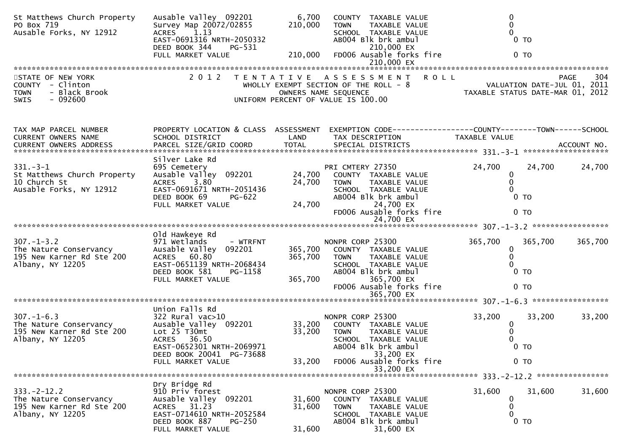| St Matthews Church Property<br>PO Box 719<br>Ausable Forks, NY 12912                        | Ausable Valley 092201<br>Survey Map 20072/02855<br>ACRES 1.13<br>EAST-0691316 NRTH-2050332<br>DEED BOOK 344<br>PG-531<br>FULL MARKET VALUE                       | 6,700<br>210,000<br>210,000   | COUNTY TAXABLE VALUE<br><b>TOWN</b><br>TAXABLE VALUE<br>SCHOOL TAXABLE VALUE<br>AB004 Blk brk ambul<br>210,000 EX<br>FD006 Ausable forks fire                     | 0<br>0<br>$\Omega$<br>$0$ TO<br>0 <sub>T</sub>                                 |         |
|---------------------------------------------------------------------------------------------|------------------------------------------------------------------------------------------------------------------------------------------------------------------|-------------------------------|-------------------------------------------------------------------------------------------------------------------------------------------------------------------|--------------------------------------------------------------------------------|---------|
|                                                                                             |                                                                                                                                                                  |                               |                                                                                                                                                                   |                                                                                |         |
| STATE OF NEW YORK<br>COUNTY - Clinton<br><b>TOWN</b><br>- Black Brook<br>$-092600$<br>SWIS  |                                                                                                                                                                  |                               | 2012 TENTATIVE ASSESSMENT<br><b>ROLL</b><br>WHOLLY EXEMPT SECTION OF THE ROLL - 8<br>OWNERS NAME SEQUENCE<br>UNIFORM PERCENT OF VALUE IS 100.00                   | <b>PAGE</b><br>VALUATION DATE-JUL 01, 2011<br>TAXABLE STATUS DATE-MAR 01, 2012 | 304     |
| TAX MAP PARCEL NUMBER<br>CURRENT OWNERS NAME<br>CURRENT OWNERS ADDRESS                      | PROPERTY LOCATION & CLASS ASSESSMENT<br>SCHOOL DISTRICT                                                                                                          | LAND                          | TAX DESCRIPTION                                                                                                                                                   | EXEMPTION CODE-----------------COUNTY-------TOWN------SCHOOL<br>TAXABLE VALUE  |         |
| $331 - 3 - 1$<br>St Matthews Church Property<br>10 Church St<br>Ausable Forks, NY 12912     | Silver Lake Rd<br>695 Cemetery<br>Ausable Valley 092201<br>ACRES 3.80<br>EAST-0691671 NRTH-2051436<br>DEED BOOK 69<br>PG-622<br>FULL MARKET VALUE                | 24,700<br>24,700              | PRI CMTERY 27350<br>24,700 COUNTY TAXABLE VALUE<br>TAXABLE VALUE<br>TOWN<br>SCHOOL TAXABLE VALUE<br>AB004 Blk brk ambul<br>24,700 EX<br>FD006 Ausable forks fire  | 24,700<br>24,700<br>0<br>$\mathbf{0}$<br>0<br>$0$ TO<br>0 <sub>T</sub>         | 24,700  |
|                                                                                             |                                                                                                                                                                  |                               | 24,700 EX                                                                                                                                                         |                                                                                |         |
| $307. - 1 - 3.2$<br>The Nature Conservancy<br>195 New Karner Rd Ste 200<br>Albany, NY 12205 | Old Hawkeye Rd<br>971 Wetlands<br>- WTRFNT<br>Ausable Valley 092201<br>ACRES 60.80<br>EAST-0651139 NRTH-2068434<br>DEED BOOK 581<br>PG-1158<br>FULL MARKET VALUE | 365,700<br>365,700<br>365,700 | NONPR CORP 25300<br>COUNTY TAXABLE VALUE<br><b>TOWN</b><br>TAXABLE VALUE<br>SCHOOL TAXABLE VALUE<br>AB004 Blk brk ambul<br>365,700 EX<br>FD006 Ausable forks fire | 365,700<br>365,700<br>$\mathbf 0$<br>0<br>0 <sub>T</sub><br>$0$ TO             | 365,700 |
|                                                                                             |                                                                                                                                                                  |                               |                                                                                                                                                                   |                                                                                |         |
| $307. - 1 - 6.3$<br>The Nature Conservancy<br>195 New Karner Rd Ste 200<br>Albany, NY 12205 | Union Falls Rd<br>$322$ Rural vac $>10$<br>Ausable Valley 092201<br>Lot 25 T30mt<br>ACRES 36.50<br>EAST-0652301 NRTH-2069971<br>DEED BOOK 20041 PG-73688         | 33,200<br>33,200              | NONPR CORP 25300<br>COUNTY TAXABLE VALUE<br><b>TOWN</b><br>TAXABLE VALUE<br>SCHOOL TAXABLE VALUE<br>AB004 Blk brk ambul<br>33,200 EX                              | 33,200<br>33,200<br>$\bf{0}$<br>0<br>0 <sub>T</sub>                            | 33,200  |
|                                                                                             | FULL MARKET VALUE                                                                                                                                                | 33,200                        | FD006 Ausable forks fire<br>33,200 EX                                                                                                                             | $0$ TO                                                                         |         |
|                                                                                             |                                                                                                                                                                  |                               |                                                                                                                                                                   |                                                                                |         |
| $333. -2 - 12.2$<br>The Nature Conservancy<br>195 New Karner Rd Ste 200<br>Albany, NY 12205 | Dry Bridge Rd<br>910 Priv forest<br>Ausable Valley 092201<br>ACRES 31.23<br>EAST-0714610 NRTH-2052584<br>DEED BOOK 887<br>$PG-250$<br>FULL MARKET VALUE          | 31,600<br>31,600<br>31,600    | NONPR CORP 25300<br>COUNTY TAXABLE VALUE<br><b>TOWN</b><br>TAXABLE VALUE<br>SCHOOL TAXABLE VALUE<br>AB004 Blk brk ambul<br>31,600 EX                              | 31,600<br>31,600<br>0<br>0<br>0<br>0 <sub>T</sub>                              | 31,600  |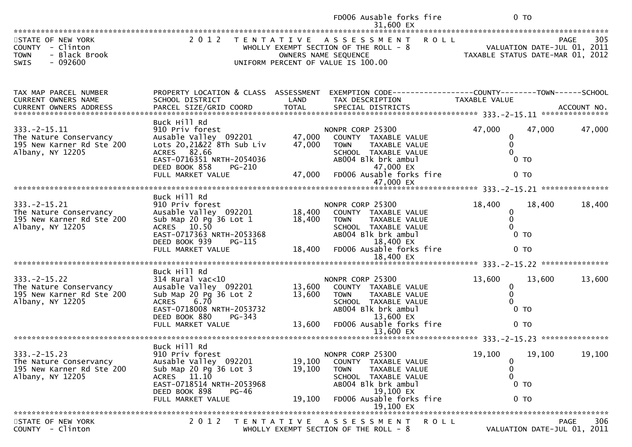|                                                                                                   |                                                                                                                                                                                    |                            | FD006 Ausable forks fire<br>31,600 EX                                                                                                                                                | 0 <sub>T</sub>                                                               |                                                                                |
|---------------------------------------------------------------------------------------------------|------------------------------------------------------------------------------------------------------------------------------------------------------------------------------------|----------------------------|--------------------------------------------------------------------------------------------------------------------------------------------------------------------------------------|------------------------------------------------------------------------------|--------------------------------------------------------------------------------|
| STATE OF NEW YORK<br>COUNTY - Clinton<br>- Black Brook<br><b>TOWN</b><br>$-092600$<br><b>SWIS</b> |                                                                                                                                                                                    |                            | 2012 TENTATIVE ASSESSMENT ROLL<br>WHOLLY EXEMPT SECTION OF THE ROLL - 8<br>OWNERS NAME SEQUENCE<br>UNIFORM PERCENT OF VALUE IS 100.00                                                |                                                                              | 305<br>PAGE<br>VALUATION DATE-JUL 01, 2011<br>TAXABLE STATUS DATE-MAR 01, 2012 |
| TAX MAP PARCEL NUMBER<br>CURRENT OWNERS NAME                                                      | PROPERTY LOCATION & CLASS ASSESSMENT<br>SCHOOL DISTRICT                                                                                                                            | LAND                       | EXEMPTION CODE------------------COUNTY--------TOWN------SCHOOL<br>TAX DESCRIPTION                                                                                                    | <b>TAXABLE VALUE</b>                                                         |                                                                                |
| $333. -2 - 15.11$<br>The Nature Conservancy<br>195 New Karner Rd Ste 200<br>Albany, NY 12205      | Buck Hill Rd<br>910 Priv forest<br>Ausable Valley 092201<br>Lots 20, 21&22 8Th Sub Liv<br>ACRES 82.66<br>EAST-0716351 NRTH-2054036<br>DEED BOOK 858<br>PG-210<br>FULL MARKET VALUE | 47,000<br>47,000<br>47,000 | NONPR CORP 25300<br>COUNTY TAXABLE VALUE<br>TAXABLE VALUE<br><b>TOWN</b><br>SCHOOL TAXABLE VALUE<br>AB004 Blk brk ambul<br>47,000 EX<br>FD006 Ausable forks fire                     | 47,000<br>$\bf{0}$<br>0<br>$\Omega$<br>0 <sub>T</sub><br>0 <sub>T</sub>      | 47,000<br>47,000                                                               |
|                                                                                                   |                                                                                                                                                                                    |                            | 47,000 EX                                                                                                                                                                            |                                                                              | ***************                                                                |
| $333. -2 - 15.21$<br>The Nature Conservancy<br>195 New Karner Rd Ste 200<br>Albany, NY 12205      | Buck Hill Rd<br>910 Priv forest<br>Ausable Valley 092201<br>Sub Map 20 Pg 36 Lot 1<br>ACRES 10.50<br>EAST-0717363 NRTH-2053368<br>DEED BOOK 939<br>PG-115<br>FULL MARKET VALUE     | 18,400<br>18,400<br>18,400 | NONPR CORP 25300<br>COUNTY TAXABLE VALUE<br><b>TOWN</b><br><b>TAXABLE VALUE</b><br>SCHOOL TAXABLE VALUE<br>AB004 Blk brk ambul<br>18,400 EX<br>FD006 Ausable forks fire<br>18,400 EX | 18,400<br>0<br>$\mathbf{0}$<br>$\Omega$<br>$0$ TO<br>0 <sub>T</sub>          | 18,400<br>18,400                                                               |
| $333. -2 - 15.22$<br>The Nature Conservancy<br>195 New Karner Rd Ste 200<br>Albany, NY 12205      | Buck Hill Rd<br>$314$ Rural vac<10<br>Ausable Valley 092201<br>Sub Map 20 Pg 36 Lot 2<br>ACRES 6.70<br>EAST-0718008 NRTH-2053732<br>DEED BOOK 880<br>$PG-343$<br>FULL MARKET VALUE | 13,600<br>13,600<br>13,600 | NONPR CORP 25300<br>COUNTY TAXABLE VALUE<br>TAXABLE VALUE<br><b>TOWN</b><br>SCHOOL TAXABLE VALUE<br>AB004 Blk brk ambul<br>13,600 EX<br>FD006 Ausable forks fire                     | 13,600<br>$\mathbf 0$<br>$\mathbf 0$<br>$\Omega$<br>$0$ TO<br>0 <sub>T</sub> | 13,600<br>13,600                                                               |
|                                                                                                   |                                                                                                                                                                                    |                            | 13,600 EX                                                                                                                                                                            |                                                                              |                                                                                |
| $333. -2 - 15.23$<br>The Nature Conservancy<br>195 New Karner Rd Ste 200<br>Albany, NY 12205      | Buck Hill Rd<br>910 Priv forest<br>Ausable Valley 092201<br>Sub Map 20 Pg 36 Lot 3<br>ACRES 11.10<br>EAST-0718514 NRTH-2053968<br>DEED BOOK 898<br>$PG-46$<br>FULL MARKET VALUE    | 19,100<br>19,100<br>19,100 | NONPR CORP 25300<br>COUNTY TAXABLE VALUE<br><b>TOWN</b><br><b>TAXABLE VALUE</b><br>SCHOOL TAXABLE VALUE<br>AB004 Blk brk ambul<br>19,100 EX<br>FD006 Ausable forks fire<br>19,100 EX | 19,100<br>0<br>0<br>0<br>$0$ TO<br>0 <sub>T</sub>                            | 19,100<br>19,100                                                               |
|                                                                                                   |                                                                                                                                                                                    |                            |                                                                                                                                                                                      |                                                                              |                                                                                |
| STATE OF NEW YORK<br>COUNTY - Clinton                                                             | 2 0 1 2<br>T E N T A T I V E                                                                                                                                                       |                            | A S S E S S M E N T<br>WHOLLY EXEMPT SECTION OF THE ROLL - 8                                                                                                                         | <b>ROLL</b>                                                                  | 306<br><b>PAGE</b><br>VALUATION DATE-JUL 01, 2011                              |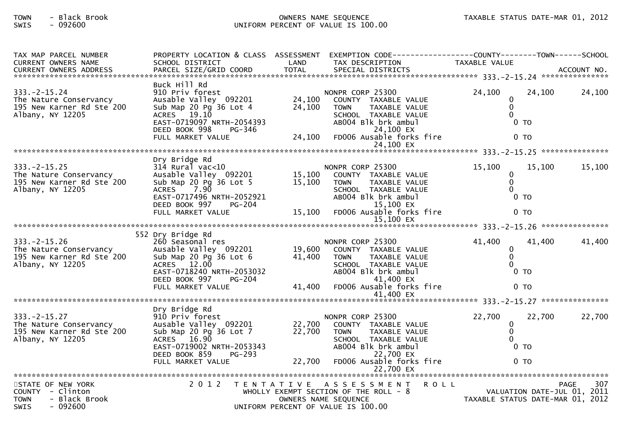## TOWN - Black Brook OWNERS NAME SEQUENCE TAXABLE STATUS DATE-MAR 01, 2012SWIS - 092600 UNIFORM PERCENT OF VALUE IS 100.00

| TAX MAP PARCEL NUMBER                 | PROPERTY LOCATION & CLASS ASSESSMENT  |        |                                                                              |                                  |        |                    |
|---------------------------------------|---------------------------------------|--------|------------------------------------------------------------------------------|----------------------------------|--------|--------------------|
| CURRENT OWNERS NAME                   | SCHOOL DISTRICT                       | LAND   | TAX DESCRIPTION                                                              | TAXABLE VALUE                    |        |                    |
|                                       |                                       |        |                                                                              |                                  |        |                    |
|                                       | Buck Hill Rd                          |        |                                                                              |                                  |        |                    |
| $333. -2 - 15.24$                     | 910 Priv forest                       |        | NONPR CORP 25300                                                             | 24,100                           | 24,100 | 24,100             |
| The Nature Conservancy                | Ausable Valley 092201                 | 24,100 | COUNTY TAXABLE VALUE                                                         | $\mathbf{0}$                     |        |                    |
| 195 New Karner Rd Ste 200             | Sub Map 20 Pg 36 Lot 4                | 24,100 | TAXABLE VALUE<br><b>TOWN</b>                                                 | $\mathbf{0}$                     |        |                    |
| Albany, NY 12205                      | ACRES 19.10                           |        | SCHOOL TAXABLE VALUE                                                         | $\Omega$                         |        |                    |
|                                       | EAST-0719097 NRTH-2054393             |        | AB004 Blk brk ambul                                                          | $0$ TO                           |        |                    |
|                                       | DEED BOOK 998<br>PG-346               |        | 24,100 EX                                                                    |                                  |        |                    |
|                                       | FULL MARKET VALUE                     | 24,100 | FD006 Ausable forks fire                                                     | $0$ TO                           |        |                    |
|                                       |                                       |        | 24,100 EX                                                                    |                                  |        |                    |
|                                       | Dry Bridge Rd                         |        |                                                                              |                                  |        |                    |
| $333. -2 - 15.25$                     | $314$ Rural vac<10                    |        | NONPR CORP 25300                                                             | 15,100                           | 15,100 | 15,100             |
| The Nature Conservancy                | Ausable Valley 092201                 | 15,100 | COUNTY TAXABLE VALUE                                                         | $\mathbf 0$                      |        |                    |
| 195 New Karner Rd Ste 200             | Sub Map 20 Pg 36 Lot 5                | 15,100 | <b>TOWN</b><br><b>TAXABLE VALUE</b>                                          | $\mathbf 0$                      |        |                    |
| Albany, NY 12205                      | 7.90<br>ACRES                         |        | SCHOOL TAXABLE VALUE                                                         | $\Omega$                         |        |                    |
|                                       | EAST-0717496 NRTH-2052921             |        | AB004 Blk brk ambul                                                          | 0 <sub>T</sub>                   |        |                    |
|                                       | DEED BOOK 997<br><b>PG-204</b>        |        | 15,100 EX                                                                    |                                  |        |                    |
|                                       | FULL MARKET VALUE                     | 15,100 | FD006 Ausable forks fire                                                     | 0 <sub>T</sub>                   |        |                    |
|                                       |                                       |        | 15,100 EX                                                                    |                                  |        | ***************    |
|                                       |                                       |        |                                                                              |                                  |        |                    |
| $333. -2 - 15.26$                     | 552 Dry Bridge Rd<br>260 Seasonal res |        | NONPR CORP 25300                                                             | 41,400                           | 41,400 | 41,400             |
| The Nature Conservancy                | Ausable Valley 092201                 | 19,600 | COUNTY TAXABLE VALUE                                                         | $\mathbf{0}$                     |        |                    |
| 195 New Karner Rd Ste 200             | Sub Map 20 Pg 36 Lot 6                | 41,400 | <b>TOWN</b><br>TAXABLE VALUE                                                 | $\mathbf{0}$                     |        |                    |
| Albany, NY 12205                      | ACRES 12.00                           |        | SCHOOL TAXABLE VALUE                                                         | $\Omega$                         |        |                    |
|                                       | EAST-0718240 NRTH-2053032             |        | AB004 Blk brk ambul                                                          | $0$ TO                           |        |                    |
|                                       | DEED BOOK 997<br><b>PG-204</b>        |        | 41,400 EX                                                                    |                                  |        |                    |
|                                       | FULL MARKET VALUE                     | 41,400 | FD006 Ausable forks fire                                                     | $0$ TO                           |        |                    |
|                                       |                                       |        | 41,400 EX                                                                    |                                  |        |                    |
|                                       | Dry Bridge Rd                         |        |                                                                              |                                  |        |                    |
| $333. -2 - 15.27$                     | 910 Priv forest                       |        | NONPR CORP 25300                                                             | 22,700                           | 22,700 | 22,700             |
| The Nature Conservancy                | Ausable Valley 092201                 | 22,700 | COUNTY TAXABLE VALUE                                                         | $\mathbf 0$                      |        |                    |
| 195 New Karner Rd Ste 200             | Sub Map 20 Pg 36 Lot 7                | 22,700 | TAXABLE VALUE<br>TOWN                                                        | $\mathbf{0}$                     |        |                    |
| Albany, NY 12205                      | ACRES 16.90                           |        | SCHOOL TAXABLE VALUE                                                         | $\Omega$                         |        |                    |
|                                       | EAST-0719002 NRTH-2053343             |        | AB004 Blk brk ambul                                                          | $0$ TO                           |        |                    |
|                                       | DEED BOOK 859<br><b>PG-293</b>        |        | 22,700 EX                                                                    |                                  |        |                    |
|                                       | FULL MARKET VALUE                     | 22,700 | FD006 Ausable forks fire                                                     | 0 <sub>T</sub>                   |        |                    |
|                                       |                                       |        | 22,700 EX                                                                    |                                  |        |                    |
|                                       |                                       |        |                                                                              |                                  |        |                    |
| STATE OF NEW YORK<br>COUNTY - Clinton | 2 0 1 2                               |        | TENTATIVE ASSESSMENT<br><b>ROLL</b><br>WHOLLY EXEMPT SECTION OF THE ROLL - 8 | VALUATION DATE-JUL 01, 2011      |        | 307<br><b>PAGE</b> |
| <b>TOWN</b><br>- Black Brook          |                                       |        | OWNERS NAME SEQUENCE                                                         | TAXABLE STATUS DATE-MAR 01, 2012 |        |                    |
| SWIS<br>$-092600$                     |                                       |        | UNIFORM PERCENT OF VALUE IS 100.00                                           |                                  |        |                    |
|                                       |                                       |        |                                                                              |                                  |        |                    |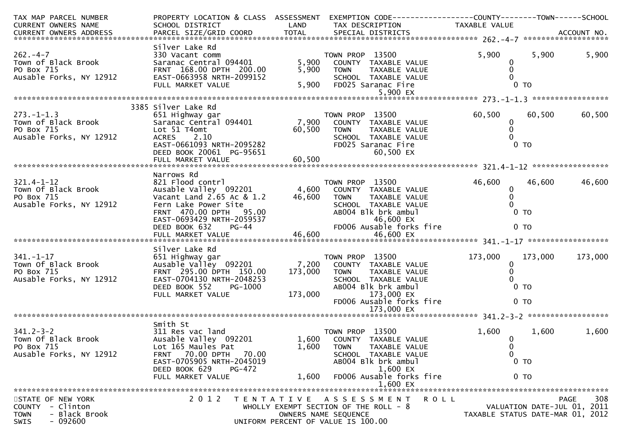| TAX MAP PARCEL NUMBER             |                                                                                                                                                                                                                                              |              | PROPERTY LOCATION & CLASS ASSESSMENT EXEMPTION CODE----------------COUNTY-------TOWN------SCHOOL |                                  |                             |             |
|-----------------------------------|----------------------------------------------------------------------------------------------------------------------------------------------------------------------------------------------------------------------------------------------|--------------|--------------------------------------------------------------------------------------------------|----------------------------------|-----------------------------|-------------|
| CURRENT OWNERS NAME               | SCHOOL DISTRICT                                                                                                                                                                                                                              | LAND         | TAX DESCRIPTION                                                                                  | TAXABLE VALUE                    |                             |             |
|                                   |                                                                                                                                                                                                                                              |              |                                                                                                  |                                  |                             |             |
|                                   | Silver Lake Rd                                                                                                                                                                                                                               |              |                                                                                                  |                                  |                             |             |
| $262. -4 - 7$                     | - בשמש מש<br>330 Vacant comm<br>Saranac Central 094401<br>FRNT 168 00 בידיים                                                                                                                                                                 |              | TOWN PROP 13500                                                                                  | 5,900                            | 5,900                       | 5,900       |
| Town of Black Brook<br>PO Box 715 |                                                                                                                                                                                                                                              | 5,900        | COUNTY TAXABLE VALUE                                                                             | 0                                |                             |             |
|                                   | FRNT 168.00 DPTH 200.00<br>EAST-0663958 NRTH-2099152                                                                                                                                                                                         |              | 5,900 TOWN<br>TAXABLE VALUE                                                                      | $\Omega$                         |                             |             |
| Ausable Forks, NY 12912           |                                                                                                                                                                                                                                              |              | TOWN     TAXABLE VALUE<br>SCHOOL  TAXABLE VALUE<br>FDO25 Saranac Fire                            | $\Omega$                         |                             |             |
|                                   | FULL MARKET VALUE                                                                                                                                                                                                                            |              | 5,900 FD025 Saranac Fire                                                                         |                                  | 0 <sub>T</sub>              |             |
|                                   |                                                                                                                                                                                                                                              |              |                                                                                                  |                                  |                             |             |
|                                   | 3385 Silver Lake Rd                                                                                                                                                                                                                          |              | TOWN PROP 13500<br>7,900 COUNTY TAXABLE VALUE<br>60,500 TOWN TAXABLE VALUE                       |                                  |                             |             |
| $273. - 1 - 1.3$                  |                                                                                                                                                                                                                                              |              |                                                                                                  | 60,500                           | 60,500                      | 60,500      |
| Town of Black Brook               | 651 Highway gar<br>Saranac Central 094401                                                                                                                                                                                                    |              |                                                                                                  | $\mathbf{0}$                     |                             |             |
| PO Box 715                        | Lot 51 T4omt                                                                                                                                                                                                                                 |              |                                                                                                  | $\mathbf{0}$                     |                             |             |
| Ausable Forks, NY 12912           | ACRES<br>2.10                                                                                                                                                                                                                                |              | SCHOOL TAXABLE VALUE                                                                             | $\Omega$                         |                             |             |
|                                   | ACRES 2.10<br>EAST-0661093 NRTH-2095282 FD025 Sa<br>DEED BOOK 20061 PG-95651                                                                                                                                                                 |              | FD025 Saranac Fire                                                                               |                                  | 0 <sub>T</sub>              |             |
|                                   |                                                                                                                                                                                                                                              |              | 60,500 EX                                                                                        |                                  |                             |             |
|                                   | FULL MARKET VALUE                                                                                                                                                                                                                            | 60,500       |                                                                                                  |                                  |                             |             |
|                                   |                                                                                                                                                                                                                                              |              |                                                                                                  |                                  |                             |             |
|                                   | Narrows Rd                                                                                                                                                                                                                                   |              |                                                                                                  |                                  |                             |             |
| $321.4 - 1 - 12$                  |                                                                                                                                                                                                                                              |              |                                                                                                  | 46,600                           | 46,600                      | 46,600      |
| Town Of Black Brook<br>PO Box 715 |                                                                                                                                                                                                                                              |              |                                                                                                  | $\bf{0}$                         |                             |             |
| PO Box 715                        | Vacant Land 2.65 Ac & 1.2                                                                                                                                                                                                                    | 46,600 TOWN  | TAXABLE VALUE                                                                                    | $\mathbf{0}$                     |                             |             |
|                                   |                                                                                                                                                                                                                                              |              |                                                                                                  |                                  |                             |             |
|                                   |                                                                                                                                                                                                                                              |              |                                                                                                  |                                  |                             |             |
|                                   |                                                                                                                                                                                                                                              |              |                                                                                                  |                                  |                             |             |
|                                   |                                                                                                                                                                                                                                              |              |                                                                                                  |                                  |                             |             |
|                                   | PO BOX /15<br>Ausable Forks, NY 12912 Fern Lake Power Site<br>FRNT 470.00 DPTH 95.00<br>ERST-0693429 NRTH-2059537<br>DEED BOOK 632 PG-44 FD006 Ausable forks fire 0 TO<br>FULL MARKET VALUE 46,600 EX<br>FULL MARKET VALUE 46,600 EX<br>FULL |              |                                                                                                  |                                  |                             |             |
|                                   | Silver Lake Rd                                                                                                                                                                                                                               |              |                                                                                                  |                                  |                             |             |
| $341. - 1 - 17$                   |                                                                                                                                                                                                                                              |              |                                                                                                  | 173,000                          | 173,000                     | 173,000     |
| Town Of Black Brook               |                                                                                                                                                                                                                                              |              |                                                                                                  | 0                                |                             |             |
| PO Box 715                        | FRNT 295.00 DPTH 150.00                                                                                                                                                                                                                      | 173,000 TOWN | TAXABLE VALUE                                                                                    | $\Omega$                         |                             |             |
| Ausable Forks, NY 12912           | EAST-0704130 NRTH-2048253                                                                                                                                                                                                                    |              | SCHOOL TAXABLE VALUE                                                                             |                                  |                             |             |
|                                   | DEED BOOK 552<br>PG-1000                                                                                                                                                                                                                     |              | AB004 Blk brk ambul                                                                              |                                  | $0$ TO                      |             |
|                                   | FULL MARKET VALUE                                                                                                                                                                                                                            |              | 173,000 173,000 EX                                                                               |                                  |                             |             |
|                                   |                                                                                                                                                                                                                                              |              | FD006 Ausable forks fire                                                                         |                                  | 0 <sub>T</sub>              |             |
|                                   |                                                                                                                                                                                                                                              |              |                                                                                                  |                                  |                             |             |
|                                   |                                                                                                                                                                                                                                              |              |                                                                                                  |                                  |                             |             |
| $341.2 - 3 - 2$                   | Smith St                                                                                                                                                                                                                                     |              |                                                                                                  |                                  |                             |             |
| Town Of Black Brook               | 311 Res vac land                                                                                                                                                                                                                             |              | TOWN PROP 13500<br>1,600 COUNTY TAXABLE VALUE                                                    | 1,600                            | 1,600                       | 1,600       |
| PO Box 715                        | Ausable Valley 092201<br>Lot 165 Maules Pat                                                                                                                                                                                                  |              | 1,600 TOWN<br>TAXABLE VALUE                                                                      | 0<br>$\mathbf{0}$                |                             |             |
| Ausable Forks, NY 12912           | FRNT 70.00 DPTH 70.00                                                                                                                                                                                                                        |              | SCHOOL TAXABLE VALUE                                                                             | 0                                |                             |             |
|                                   | EAST-0705905 NRTH-2045019                                                                                                                                                                                                                    |              | ABOO4 Blk brk ambul                                                                              |                                  | 0 <sub>T</sub>              |             |
|                                   | DEED BOOK 629<br>PG-472                                                                                                                                                                                                                      |              | 1,600 EX                                                                                         |                                  |                             |             |
|                                   | FULL MARKET VALUE                                                                                                                                                                                                                            | 1,600        | FD006 Ausable forks fire                                                                         |                                  | 0 <sub>T</sub>              |             |
|                                   |                                                                                                                                                                                                                                              |              | 1,600 EX                                                                                         |                                  |                             |             |
|                                   |                                                                                                                                                                                                                                              |              |                                                                                                  |                                  |                             |             |
| STATE OF NEW YORK                 | 2 0 1 2                                                                                                                                                                                                                                      |              | TENTATIVE ASSESSMENT<br><b>ROLL</b>                                                              |                                  |                             | 308<br>PAGE |
| - Clinton<br><b>COUNTY</b>        |                                                                                                                                                                                                                                              |              | WHOLLY EXEMPT SECTION OF THE ROLL - 8                                                            |                                  | VALUATION DATE-JUL 01, 2011 |             |
| - Black Brook<br><b>TOWN</b>      |                                                                                                                                                                                                                                              |              | OWNERS NAME SEQUENCE                                                                             | TAXABLE STATUS DATE-MAR 01, 2012 |                             |             |
| $-092600$<br><b>SWIS</b>          |                                                                                                                                                                                                                                              |              | UNIFORM PERCENT OF VALUE IS 100.00                                                               |                                  |                             |             |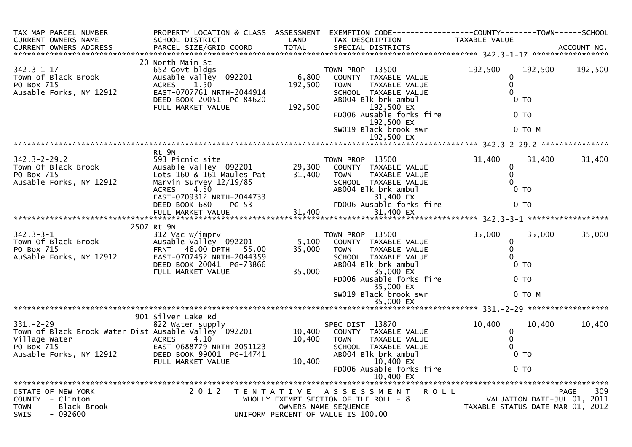| TAX MAP PARCEL NUMBER<br><b>CURRENT OWNERS NAME</b><br><b>CURRENT OWNERS ADDRESS</b>                                              | PROPERTY LOCATION & CLASS ASSESSMENT<br>SCHOOL DISTRICT<br>PARCEL SIZE/GRID COORD                                                                                 | LAND<br><b>TOTAL</b>        | TAX DESCRIPTION<br>SPECIAL DISTRICTS                                                                                                                                                                                  | <b>TAXABLE VALUE</b>                                       |                             | ACCOUNT NO.        |
|-----------------------------------------------------------------------------------------------------------------------------------|-------------------------------------------------------------------------------------------------------------------------------------------------------------------|-----------------------------|-----------------------------------------------------------------------------------------------------------------------------------------------------------------------------------------------------------------------|------------------------------------------------------------|-----------------------------|--------------------|
|                                                                                                                                   |                                                                                                                                                                   |                             |                                                                                                                                                                                                                       |                                                            |                             |                    |
| $342.3 - 1 - 17$<br>Town of Black Brook<br>PO Box 715<br>Ausable Forks, NY 12912                                                  | 20 North Main St<br>652 Govt bldgs<br>Ausable Valley 092201<br><b>ACRES</b><br>1.50<br>EAST-0707761 NRTH-2044914<br>DEED BOOK 20051 PG-84620<br>FULL MARKET VALUE | 6,800<br>192,500<br>192,500 | TOWN PROP 13500<br>COUNTY TAXABLE VALUE<br><b>TOWN</b><br>TAXABLE VALUE<br>SCHOOL TAXABLE VALUE<br>AB004 Blk brk ambul<br>192,500 EX<br>FD006 Ausable forks fire<br>192,500 EX<br>SW019 Black brook swr<br>192,500 EX | 192,500<br>$\mathbf 0$<br>0<br>$\Omega$<br>0 <sub>T</sub>  | 192,500<br>$0$ TO<br>0 TO M | 192,500            |
|                                                                                                                                   |                                                                                                                                                                   |                             |                                                                                                                                                                                                                       |                                                            |                             | ***************    |
| $342.3 - 2 - 29.2$<br>Town Of Black Brook<br>PO Box 715<br>Ausable Forks, NY 12912                                                | Rt 9N<br>593 Picnic site<br>Ausable Valley 092201<br>Lots 160 & 161 Maules Pat<br>Marvin Survey 12/19/85<br><b>ACRES</b><br>4.50<br>EAST-0709312 NRTH-2044733     | 29,300<br>31,400            | TOWN PROP 13500<br>COUNTY TAXABLE VALUE<br>TAXABLE VALUE<br><b>TOWN</b><br>SCHOOL TAXABLE VALUE<br>ABOO4 Blk brk ambul<br>31,400 EX                                                                                   | 31,400<br>0<br>0<br>$\Omega$                               | 31,400<br>$0$ TO            | 31,400             |
|                                                                                                                                   | DEED BOOK 680<br>$PG-53$<br>FULL MARKET VALUE                                                                                                                     | 31,400                      | FD006 Ausable forks fire<br>31,400 EX                                                                                                                                                                                 |                                                            | $0$ TO                      |                    |
|                                                                                                                                   | 2507 Rt 9N                                                                                                                                                        |                             |                                                                                                                                                                                                                       |                                                            |                             |                    |
| $342.3 - 3 - 1$<br>Town Of Black Brook<br>PO Box 715<br>AuSable Forks, NY 12912                                                   | 312 Vac w/imprv<br>Ausable Valley 092201<br>FRNT 46.00 DPTH 55.00<br>EAST-0707452 NRTH-2044359<br>DEED BOOK 20041 PG-73866<br>FULL MARKET VALUE                   | 5,100<br>35,000<br>35,000   | TOWN PROP 13500<br>COUNTY TAXABLE VALUE<br>TAXABLE VALUE<br><b>TOWN</b><br>SCHOOL TAXABLE VALUE<br>AB004 Blk brk ambul<br>35,000 EX<br>FD006 Ausable forks fire                                                       | 35,000<br>$\mathbf 0$<br>$\mathbf 0$<br>$\Omega$<br>$0$ TO | 35,000<br>0 <sub>T</sub>    | 35,000             |
|                                                                                                                                   |                                                                                                                                                                   |                             | 35,000 EX<br>SW019 Black brook swr<br>35,000 EX                                                                                                                                                                       |                                                            | $0$ TO M                    |                    |
|                                                                                                                                   |                                                                                                                                                                   |                             |                                                                                                                                                                                                                       |                                                            |                             |                    |
| $331. - 2 - 29$<br>Town of Black Brook Water Dist Ausable Valley 092201<br>Village Water<br>PO Box 715<br>Ausable Forks, NY 12912 | 901 Silver Lake Rd<br>822 Water supply<br><b>ACRES</b><br>4.10<br>EAST-0688779 NRTH-2051123<br>DEED BOOK 99001 PG-14741<br>FULL MARKET VALUE                      | 10,400<br>10,400<br>10,400  | SPEC DIST 13870<br>COUNTY TAXABLE VALUE<br>TAXABLE VALUE<br><b>TOWN</b><br>SCHOOL TAXABLE VALUE<br>AB004 Blk brk ambul<br>10,400 EX<br>FD006 Ausable forks fire<br>10,400 EX                                          | 10,400<br>0<br>$\mathbf{0}$<br>$\Omega$<br>0 <sub>T</sub>  | 10.400<br>0 <sub>T</sub>    | 10,400             |
| STATE OF NEW YORK<br>COUNTY - Clinton<br><b>TOWN</b><br>- Black Brook<br>- 092600<br><b>SWIS</b>                                  | 2 0 1 2                                                                                                                                                           | T E N T A T I V E           | <b>ROLL</b><br>A S S E S S M E N T<br>WHOLLY EXEMPT SECTION OF THE ROLL - 8<br>OWNERS NAME SEQUENCE<br>UNIFORM PERCENT OF VALUE IS 100.00                                                                             | TAXABLE STATUS DATE-MAR 01, 2012                           | VALUATION DATE-JUL 01, 2011 | 309<br><b>PAGE</b> |
|                                                                                                                                   |                                                                                                                                                                   |                             |                                                                                                                                                                                                                       |                                                            |                             |                    |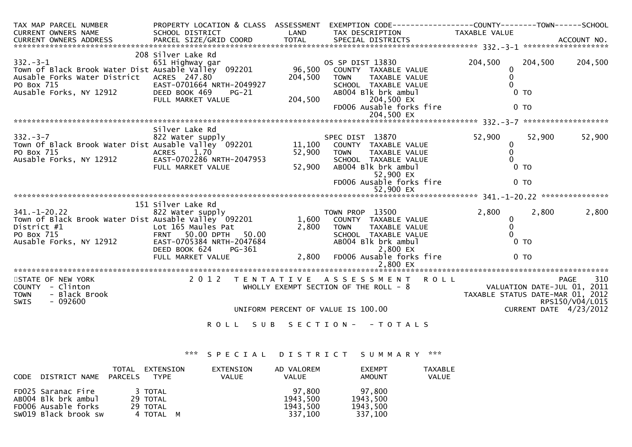| TAX MAP PARCEL NUMBER                                                                                                                 |                                             |         | PROPERTY LOCATION & CLASS ASSESSMENT EXEMPTION CODE----------------COUNTY-------TOWN------SCHOOL |                                  |                        |                    |
|---------------------------------------------------------------------------------------------------------------------------------------|---------------------------------------------|---------|--------------------------------------------------------------------------------------------------|----------------------------------|------------------------|--------------------|
| CURRENT OWNERS NAME                                                                                                                   | SCHOOL DISTRICT                             |         | LAND TAX DESCRIPTION                                                                             | TAXABLE VALUE                    |                        |                    |
|                                                                                                                                       |                                             |         |                                                                                                  |                                  |                        |                    |
|                                                                                                                                       |                                             |         |                                                                                                  |                                  |                        |                    |
|                                                                                                                                       | 208 Silver Lake Rd                          |         |                                                                                                  |                                  |                        |                    |
| $332 - 3 - 1$                                                                                                                         | 651 Highway gar                             |         | OS SP DIST 13830<br>96,500 COUNTY TAXABLE VALUE<br>TAYABLE VALUE                                 | 204,500                          | 204,500                | 204,500            |
| Town of Black Brook water Dist Ausable Valley 092201                                                                                  |                                             |         |                                                                                                  |                                  |                        |                    |
| Ausable Forks Water District ACRES 247.80                                                                                             |                                             | 204,500 | TAXABLE VALUE<br><b>TOWN</b>                                                                     | $\Omega$                         |                        |                    |
| PO Box 715<br>$\sim$ NY 12912                                                                                                         | EAST-0701664 NRTH-2049927                   |         | SCHOOL TAXABLE VALUE                                                                             |                                  |                        |                    |
| Ausable Forks, NY 12912                                                                                                               | DEED BOOK 469<br>$PG-21$                    |         | AB004 Blk brk ambul                                                                              |                                  | $0$ TO                 |                    |
|                                                                                                                                       | FULL MARKET VALUE                           | 204,500 | 204,500 EX                                                                                       |                                  |                        |                    |
|                                                                                                                                       |                                             |         | FD006 Ausable forks fire                                                                         |                                  | 0 <sub>TO</sub>        |                    |
|                                                                                                                                       |                                             |         |                                                                                                  |                                  |                        |                    |
|                                                                                                                                       |                                             |         |                                                                                                  |                                  |                        |                    |
|                                                                                                                                       | Silver Lake Rd                              |         |                                                                                                  |                                  |                        |                    |
| $332 - 3 - 7$<br>332.-3-7                                   822 Water supply<br>Town Of Black Brook Water Dist Ausable Valley  092201 | 822 Water supply                            |         | SPEC DIST 13870<br>11,100 COUNTY TAXABLE VALUE                                                   | 52,900                           | 52,900                 | 52,900             |
|                                                                                                                                       |                                             |         |                                                                                                  | $\mathbf{0}$                     |                        |                    |
| PO Box 715                                                                                                                            | ACRES 1.70                                  | 52,900  | <b>TOWN</b><br>TAXABLE VALUE                                                                     | $\mathbf 0$                      |                        |                    |
| Ausable Forks, NY 12912                                                                                                               | EAST-0702286 NRTH-2047953                   |         | SCHOOL TAXABLE VALUE                                                                             |                                  |                        |                    |
|                                                                                                                                       | FULL MARKET VALUE                           | 52,900  | AB004 Blk brk ambul                                                                              |                                  | $0$ TO                 |                    |
|                                                                                                                                       |                                             |         | 52,900 EX                                                                                        |                                  |                        |                    |
|                                                                                                                                       |                                             |         | FD006 Ausable forks fire                                                                         |                                  | 0 <sub>T</sub>         |                    |
|                                                                                                                                       |                                             |         |                                                                                                  |                                  |                        |                    |
|                                                                                                                                       | 151 Silver Lake Rd                          |         |                                                                                                  |                                  |                        |                    |
| $341. - 1 - 20.22$                                                                                                                    | 822 Water supply                            |         | TOWN PROP 13500                                                                                  | 2,800                            | 2,800                  | 2,800              |
| Town of Black Brook Water Dist Ausable Valley 092201                                                                                  |                                             |         | 1,600 COUNTY TAXABLE VALUE                                                                       | $\mathbf{0}$                     |                        |                    |
| District #1                                                                                                                           |                                             | 2,800   | TAXABLE VALUE<br><b>TOWN</b>                                                                     | $\mathbf{0}$                     |                        |                    |
| PO Box 715                                                                                                                            | Lot 165 Maules Pat<br>FRNT 50.00 DPTH 50.00 |         | SCHOOL TAXABLE VALUE                                                                             |                                  |                        |                    |
| Ausable Forks, NY 12912                                                                                                               | EAST-0705384 NRTH-2047684                   |         | AB004 Blk brk ambul                                                                              |                                  | 0 <sub>T</sub>         |                    |
|                                                                                                                                       | DEED BOOK 624                               |         | 2,800 EX                                                                                         |                                  |                        |                    |
|                                                                                                                                       | PG-361<br>E<br>FULL MARKET VALUE            |         | 2,800 FD006 Ausable forks fire                                                                   |                                  | 0 <sub>T</sub>         |                    |
|                                                                                                                                       |                                             |         |                                                                                                  |                                  |                        |                    |
|                                                                                                                                       |                                             |         |                                                                                                  |                                  |                        |                    |
| STATE OF NEW YORK                                                                                                                     |                                             |         | 2012 TENTATIVE ASSESSMENT ROLL                                                                   |                                  |                        | 310<br><b>PAGE</b> |
| COUNTY - Clinton                                                                                                                      |                                             |         | WHOLLY EXEMPT SECTION OF THE ROLL - 8                                                            |                                  |                        |                    |
| <b>TOWN</b><br>- Black Brook                                                                                                          |                                             |         |                                                                                                  | TAXABLE STATUS DATE-MAR 01, 2012 |                        |                    |
| $-092600$<br><b>SWIS</b>                                                                                                              |                                             |         |                                                                                                  |                                  |                        | RPS150/V04/L015    |
|                                                                                                                                       |                                             |         | UNIFORM PERCENT OF VALUE IS 100.00                                                               |                                  | CURRENT DATE 4/23/2012 |                    |
|                                                                                                                                       |                                             |         |                                                                                                  |                                  |                        |                    |
|                                                                                                                                       | ROLL SUB                                    |         | SECTION - - TOTALS                                                                               |                                  |                        |                    |

# \*\*\* S P E C I A L D I S T R I C T S U M M A R Y \*\*\*

| CODE DISTRICT NAME                                                                       | TOTAL<br>PARCELS | EXTENSION<br>TYPE                            | EXTENSION<br><b>VALUE</b> | AD VALOREM<br><b>VALUE</b>                | <b>EXEMPT</b><br>AMOUNT                   | <b>TAXABLE</b><br>VALUE |
|------------------------------------------------------------------------------------------|------------------|----------------------------------------------|---------------------------|-------------------------------------------|-------------------------------------------|-------------------------|
| FD025 Saranac Fire<br>AB004 Blk brk ambul<br>FD006 Ausable forks<br>SW019 Black brook sw |                  | 3 TOTAL<br>29 TOTAL<br>29 TOTAL<br>4 TOTAL M |                           | 97.800<br>1943,500<br>1943,500<br>337,100 | 97,800<br>1943,500<br>1943,500<br>337,100 |                         |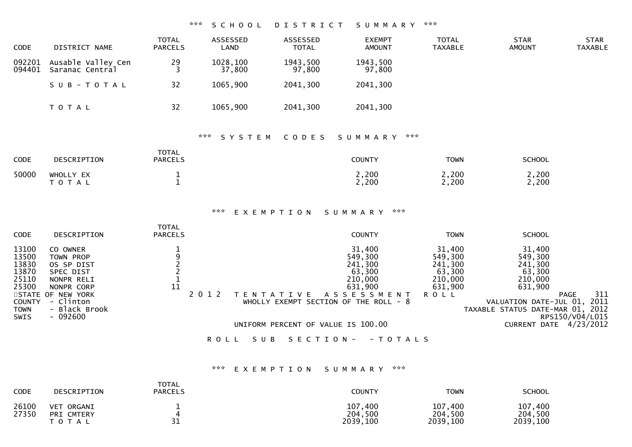#### \*\*\* S C H O O L D I S T R I C T S U M M A R Y \*\*\*

| CODE             | DISTRICT NAME                         | <b>TOTAL</b><br>PARCELS | ASSESSED<br>LAND   | ASSESSED<br><b>TOTAL</b> | <b>EXEMPT</b><br><b>AMOUNT</b> | <b>TOTAL</b><br><b>TAXABLE</b> | <b>STAR</b><br>AMOUNT | <b>STAR</b><br>TAXABLE |
|------------------|---------------------------------------|-------------------------|--------------------|--------------------------|--------------------------------|--------------------------------|-----------------------|------------------------|
| 092201<br>094401 | Ausable Valley Cen<br>Saranac Central | 29                      | 1028,100<br>37,800 | 1943,500<br>97,800       | 1943,500<br>97,800             |                                |                       |                        |
|                  | SUB-TOTAL                             | 32                      | 1065,900           | 2041,300                 | 2041,300                       |                                |                       |                        |
|                  | <b>TOTAL</b>                          | 32                      | 1065,900           | 2041,300                 | 2041,300                       |                                |                       |                        |

# \*\*\* S Y S T E M C O D E S S U M M A R Y \*\*\*

| <b>CODE</b> | <b>DESCRIPTION</b>                | <b>TOTAL</b><br><b>PARCELS</b> | <b>COUNTY</b>  | <b>TOWN</b>    | <b>SCHOOL</b>           |
|-------------|-----------------------------------|--------------------------------|----------------|----------------|-------------------------|
| 50000       | WHOLLY EX<br><b>τοτ.</b><br>- A L |                                | 2,200<br>2,200 | 2,200<br>2,200 | $\angle$ , 200<br>2,200 |

#### \*\*\* E X E M P T I O N S U M M A R Y \*\*\*

| <b>CODE</b>                                                                                | DESCRIPTION                                                                                                                                  | <b>TOTAL</b><br><b>PARCELS</b> |                                    | <b>COUNTY</b>                                                                                                                  | <b>TOWN</b>                                                                 | <b>SCHOOL</b>                                                                                                                                                        |     |
|--------------------------------------------------------------------------------------------|----------------------------------------------------------------------------------------------------------------------------------------------|--------------------------------|------------------------------------|--------------------------------------------------------------------------------------------------------------------------------|-----------------------------------------------------------------------------|----------------------------------------------------------------------------------------------------------------------------------------------------------------------|-----|
| 13100<br>13500<br>13830<br>13870<br>25110<br>25300<br><b>COUNTY</b><br>TOWN<br><b>SWIS</b> | CO OWNER<br>TOWN PROP<br>OS SP DIST<br>SPEC DIST<br>NONPR RELI<br>NONPR CORP<br>STATE OF NEW YORK<br>- Clinton<br>- Black Brook<br>$-092600$ | 11                             | A T T V F<br>N.                    | 31,400<br>549,300<br>241,300<br>63,300<br>210,000<br>631,900<br>A S S E S S M E N T<br>WHOLLY EXEMPT SECTION OF THE ROLL - $8$ | 31,400<br>549,300<br>241,300<br>63,300<br>210,000<br>631,900<br><b>ROLL</b> | 31,400<br>549,300<br>241,300<br>63,300<br>210,000<br>631,900<br><b>PAGE</b><br>2011<br>VALUATION DATE-JUL 01,<br>TAXABLE STATUS DATE-MAR 01, 2012<br>RPS150/V04/L015 | 311 |
|                                                                                            |                                                                                                                                              |                                | UNIFORM PERCENT OF VALUE IS 100.00 |                                                                                                                                |                                                                             | 4/23/2012<br>CURRENT DATE                                                                                                                                            |     |
|                                                                                            |                                                                                                                                              | R O L L                        | S E C T I O N -<br>SUB             | - T O T A L S                                                                                                                  |                                                                             |                                                                                                                                                                      |     |

#### \*\*\* E X E M P T I O N S U M M A R Y \*\*\*

| <b>CODE</b>    | DESCRIPTION                                     | <b>TOTAL</b><br><b>PARCELS</b> | <b>COUNTY</b>                  | <b>TOWN</b>                    | <b>SCHOOL</b>                      |
|----------------|-------------------------------------------------|--------------------------------|--------------------------------|--------------------------------|------------------------------------|
| 26100<br>27350 | <b>VET</b><br>ORGANI<br>PRI CMTERY<br>T O T A L | 31                             | 107,400<br>204,500<br>2039,100 | 107,400<br>204,500<br>2039,100 | .400<br>107<br>204,500<br>2039,100 |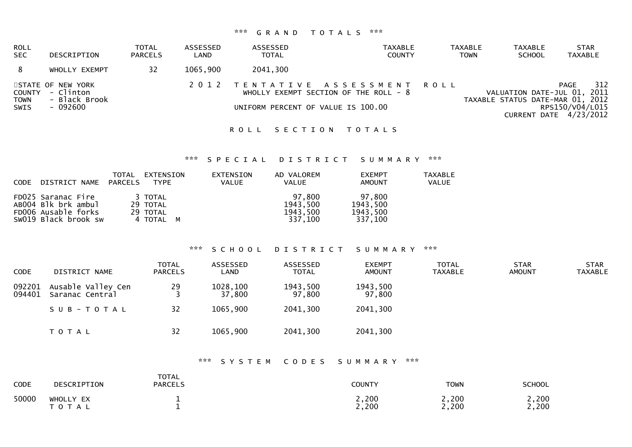# \*\*\* G R A N D T O T A L S \*\*\*

| <b>ROLL</b><br><b>SEC</b>  | DESCRIPTION                                                        | TOTAL<br><b>PARCELS</b> | ASSESSED<br>LAND | ASSESSED<br><b>TOTAL</b> | TAXABLE<br><b>COUNTY</b>                                                                                       | <b>TAXABLE</b><br><b>TOWN</b> | <b>TAXABLE</b><br><b>SCHOOL</b>                                 | <b>STAR</b><br>TAXABLE                                   |
|----------------------------|--------------------------------------------------------------------|-------------------------|------------------|--------------------------|----------------------------------------------------------------------------------------------------------------|-------------------------------|-----------------------------------------------------------------|----------------------------------------------------------|
|                            | WHOLLY EXEMPT                                                      | 32                      | 1065,900         | 2041,300                 |                                                                                                                |                               |                                                                 |                                                          |
| <b>TOWN</b><br><b>SWIS</b> | STATE OF NEW YORK<br>COUNTY - Clinton<br>- Black Brook<br>- 092600 |                         |                  |                          | 2012 TENTATIVE ASSESSMENT ROLL<br>WHOLLY EXEMPT SECTION OF THE ROLL $-8$<br>UNIFORM PERCENT OF VALUE IS 100.00 |                               | VALUATION DATE-JUL 01, 2011<br>TAXABLE STATUS DATE-MAR 01, 2012 | 312<br>PAGE<br>RPS150/V04/L015<br>CURRENT DATE 4/23/2012 |

# ROLL SECTION TOTALS

#### \*\*\* S P E C I A L D I S T R I C T S U M M A R Y \*\*\*

| CODE | DISTRICT NAME                                                                            | TOTAL<br>PARCELS | EXTENSION<br>TYPE                            | EXTENSION<br><b>VALUE</b> | AD VALOREM<br><b>VALUE</b>                | <b>EXEMPT</b><br>AMOUNT                   | <b>TAXABLE</b><br>VALUE |
|------|------------------------------------------------------------------------------------------|------------------|----------------------------------------------|---------------------------|-------------------------------------------|-------------------------------------------|-------------------------|
|      | FD025 Saranac Fire<br>ABOO4 Blk brk ambul<br>FD006 Ausable forks<br>SW019 Black brook sw |                  | 3 TOTAL<br>29 TOTAL<br>29 TOTAL<br>4 TOTAL M |                           | 97.800<br>1943,500<br>1943,500<br>337,100 | 97,800<br>1943,500<br>1943,500<br>337,100 |                         |

#### \*\*\* S C H O O L D I S T R I C T S U M M A R Y \*\*\*

| <b>CODE</b>      | DISTRICT NAME                         | <b>TOTAL</b><br><b>PARCELS</b> | ASSESSED<br>LAND   | ASSESSED<br><b>TOTAL</b> | <b>EXEMPT</b><br><b>AMOUNT</b> | <b>TOTAL</b><br><b>TAXABLE</b> | <b>STAR</b><br><b>AMOUNT</b> | <b>STAR</b><br><b>TAXABLE</b> |
|------------------|---------------------------------------|--------------------------------|--------------------|--------------------------|--------------------------------|--------------------------------|------------------------------|-------------------------------|
| 092201<br>094401 | Ausable Valley Cen<br>Saranac Central | 29                             | 1028,100<br>37,800 | 1943,500<br>97,800       | 1943,500<br>97,800             |                                |                              |                               |
|                  | SUB-TOTAL                             | 32                             | 1065,900           | 2041,300                 | 2041,300                       |                                |                              |                               |
|                  | T O T A L                             | 32                             | 1065,900           | 2041,300                 | 2041,300                       |                                |                              |                               |

#### \*\*\* S Y S T E M C O D E S S U M M A R Y \*\*\*

| <b>CODE</b> | DESCRIPTION            | <b>TOTAL</b><br><b>PARCELS</b> | <b>COUNTY</b>  | <b>TOWN</b>    | <b>SCHOOL</b>  |
|-------------|------------------------|--------------------------------|----------------|----------------|----------------|
| 50000       | WHOLLY EX<br>T O T A L |                                | 2,200<br>2,200 | 2,200<br>2,200 | 2,200<br>2,200 |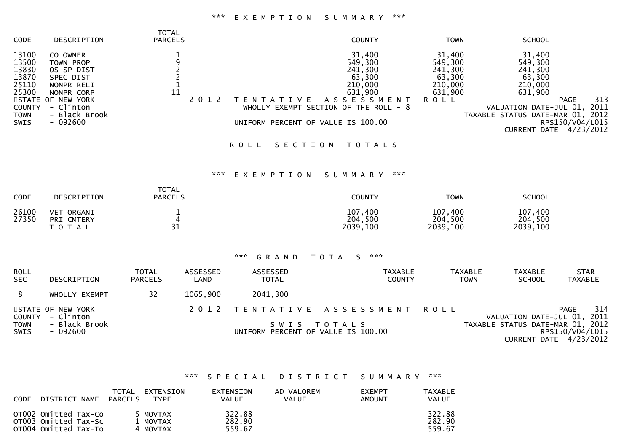#### \*\*\* E X E M P T I O N S U M M A R Y \*\*\*

| CODE                                                                                              | DESCRIPTION                                                                                                                                  | <b>TOTAL</b><br><b>PARCELS</b>                              | <b>COUNTY</b>                                                                                                                                                                           | <b>TOWN</b>                                                                 | <b>SCHOOL</b>                                                                                                                                                                                                      |
|---------------------------------------------------------------------------------------------------|----------------------------------------------------------------------------------------------------------------------------------------------|-------------------------------------------------------------|-----------------------------------------------------------------------------------------------------------------------------------------------------------------------------------------|-----------------------------------------------------------------------------|--------------------------------------------------------------------------------------------------------------------------------------------------------------------------------------------------------------------|
| 13100<br>13500<br>13830<br>13870<br>25110<br>25300<br><b>COUNTY</b><br><b>TOWN</b><br><b>SWIS</b> | CO OWNER<br>TOWN PROP<br>OS SP DIST<br>SPEC DIST<br>NONPR RELI<br>NONPR CORP<br>STATE OF NEW YORK<br>- Clinton<br>- Black Brook<br>$-092600$ | $\frac{1}{9}$<br>$\frac{2}{1}$<br>$\frac{1}{11}$<br>2 0 1 2 | 31,400<br>549,300<br>241,300<br>63,300<br>210,000<br>631,900<br>A S S E S S M E N T<br>T E N T A T I V E<br>WHOLLY EXEMPT SECTION OF THE ROLL - 8<br>UNIFORM PERCENT OF VALUE IS 100.00 | 31,400<br>549,300<br>241,300<br>63,300<br>210,000<br>631,900<br><b>ROLL</b> | 31,400<br>549,300<br>241,300<br>63,300<br>210,000<br>631,900<br>313<br><b>PAGE</b><br>2011<br>VALUATION DATE-JUL 01,<br>TAXABLE STATUS DATE-MAR 01,<br>2012<br>RPS150/V04/L015<br><b>CURRENT DATE</b><br>4/23/2012 |
|                                                                                                   |                                                                                                                                              |                                                             | SECTION<br><b>TOTALS</b><br><b>ROLL</b>                                                                                                                                                 |                                                                             |                                                                                                                                                                                                                    |
|                                                                                                   |                                                                                                                                              |                                                             | ***<br>***<br>EXEMPTION<br>SUMMARY                                                                                                                                                      |                                                                             |                                                                                                                                                                                                                    |
| <b>CODE</b>                                                                                       | DESCRIPTION                                                                                                                                  | <b>TOTAL</b><br><b>PARCELS</b>                              | <b>COUNTY</b>                                                                                                                                                                           | <b>TOWN</b>                                                                 | <b>SCHOOL</b>                                                                                                                                                                                                      |
| 26100<br>27350                                                                                    | VET ORGANI<br>PRI CMTERY<br>T O T A L                                                                                                        | $\frac{1}{4}$<br>31                                         | 107,400<br>204,500<br>2039,100                                                                                                                                                          | 107,400<br>204,500<br>2039,100                                              | 107,400<br>204,500<br>2039,100                                                                                                                                                                                     |
|                                                                                                   |                                                                                                                                              |                                                             |                                                                                                                                                                                         |                                                                             |                                                                                                                                                                                                                    |

# \*\*\* G R A N D T O T A L S \*\*\*

| <b>ROLL</b><br><b>SEC</b>  | DESCRIPTION                           | <b>TOTAL</b><br><b>PARCELS</b> | ASSESSED<br>LAND | ASSESSED<br><b>TOTAL</b>           | TAXABLE<br><b>COUNTY</b>       | <b>TAXABLE</b> | <b>TAXABLE</b><br><b>SCHOOL</b><br><b>TOWN</b> | <b>STAR</b><br>TAXABLE                      |
|----------------------------|---------------------------------------|--------------------------------|------------------|------------------------------------|--------------------------------|----------------|------------------------------------------------|---------------------------------------------|
|                            | WHOLLY EXEMPT                         | 32                             | 1065,900         | 2041,300                           |                                |                |                                                |                                             |
|                            | STATE OF NEW YORK<br>COUNTY - Clinton |                                |                  |                                    | 2012 TENTATIVE ASSESSMENT ROLL |                | VALUATION DATE-JUL 01, 2011                    | 314<br><b>PAGE</b>                          |
| <b>TOWN</b><br><b>SWIS</b> | - Black Brook<br>- 092600             |                                |                  | UNIFORM PERCENT OF VALUE IS 100.00 | SWIS TOTALS                    |                | TAXABLE STATUS DATE-MAR 01, 2012               | RPS150/V04/L015<br>CURRENT DATE $4/23/2012$ |

# \*\*\* S P E C I A L D I S T R I C T S U M M A R Y \*\*\*

| <b>CODE</b> | DISTRICT NAME                                                        | TOTAL<br>PARCELS | EXTENSION<br><b>TYPE</b>         | <b>EXTENSION</b><br>VALUE  | AD VALOREM<br><b>VALUE</b> | <b>EXEMPT</b><br>AMOUNT | TAXABLE<br>VALUE           |
|-------------|----------------------------------------------------------------------|------------------|----------------------------------|----------------------------|----------------------------|-------------------------|----------------------------|
|             | OTOO2 Omitted Tax-Co<br>OTO03 Omitted Tax-Sc<br>OT004 Omitted Tax-To |                  | 5 MOVTAX<br>l MOVTAX<br>4 MOVTAX | 322.88<br>282.90<br>559.67 |                            |                         | 322.88<br>282.90<br>559.67 |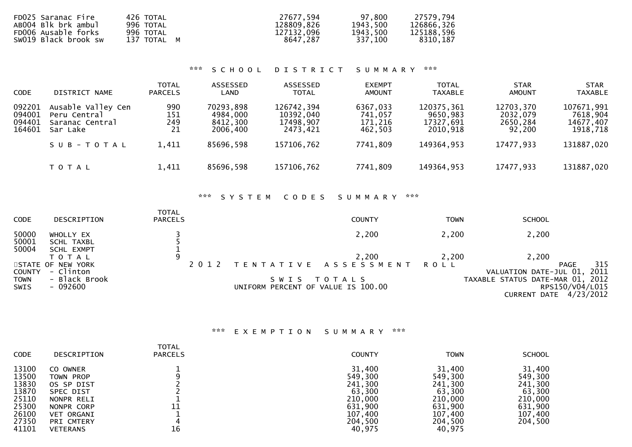| FD025 Saranac Fire   | 426 TOTAL   | 27677.594  | 97,800   | 27579.794  |
|----------------------|-------------|------------|----------|------------|
| AB004 Blk brk ambul  | 996 TOTAL   | 128809.826 | 1943,500 | 126866,326 |
| FD006 Ausable forks  | 996 TOTAL   | 127132.096 | 1943,500 | 125188,596 |
| SW019 Black brook sw | 137 TOTAL M | 8647.287   | 337.100  | 8310,187   |

# \*\*\* S C H O O L D I S T R I C T S U M M A R Y \*\*\*

| <b>CODE</b>                          | DISTRICT NAME                                                     | <b>TOTAL</b><br><b>PARCELS</b> | ASSESSED<br>LAND                              | ASSESSED<br><b>TOTAL</b>                         | <b>EXEMPT</b><br><b>AMOUNT</b>            | <b>TOTAL</b><br><b>TAXABLE</b>                  | <b>STAR</b><br><b>AMOUNT</b>                | <b>STAR</b><br><b>TAXABLE</b>                   |
|--------------------------------------|-------------------------------------------------------------------|--------------------------------|-----------------------------------------------|--------------------------------------------------|-------------------------------------------|-------------------------------------------------|---------------------------------------------|-------------------------------------------------|
| 092201<br>094001<br>094401<br>164601 | Ausable Valley Cen<br>Peru Central<br>Saranac Central<br>Sar Lake | 990<br>151<br>249<br>21        | 70293,898<br>4984,000<br>8412,300<br>2006,400 | 126742,394<br>10392,040<br>17498,907<br>2473,421 | 6367,033<br>741,057<br>171,216<br>462,503 | 120375,361<br>9650,983<br>17327,691<br>2010,918 | 12703,370<br>2032,079<br>2650,284<br>92,200 | 107671,991<br>7618,904<br>14677,407<br>1918,718 |
|                                      | SUB-TOTAL                                                         | 1,411                          | 85696,598                                     | 157106,762                                       | 7741,809                                  | 149364,953                                      | 17477,933                                   | 131887,020                                      |
|                                      | T O T A L                                                         | 1,411                          | 85696,598                                     | 157106,762                                       | 7741,809                                  | 149364,953                                      | 17477,933                                   | 131887,020                                      |

### \*\*\* S Y S T E M C O D E S S U M M A R Y \*\*\*

| <b>CODE</b>                  | DESCRIPTION                                     | <b>TOTAL</b><br><b>PARCELS</b> |                                    | <b>COUNTY</b>                            | <b>TOWN</b> | <b>SCHOOL</b>                                                                  |
|------------------------------|-------------------------------------------------|--------------------------------|------------------------------------|------------------------------------------|-------------|--------------------------------------------------------------------------------|
| 50000<br>50001               | WHOLLY EX<br>SCHL TAXBL                         |                                |                                    | 2,200                                    | 2,200       | 2,200                                                                          |
| 50004                        | SCHL EXMPT<br>ΤΟΤΑΙ                             | 9                              |                                    | 2,200                                    | 2.200       | 2,200                                                                          |
| <b>COUNTY</b><br><b>TOWN</b> | STATE OF NEW YORK<br>- Clinton<br>- Black Brook | 2 0 1 2                        | S W I S                            | TENTATIVE ASSESSMENT ROLL<br>T O T A L S |             | 315<br>PAGE<br>VALUATION DATE-JUL 01, 2011<br>TAXABLE STATUS DATE-MAR 01, 2012 |
| SWIS                         | - 092600                                        |                                | UNIFORM PERCENT OF VALUE IS 100.00 |                                          |             | RPS150/V04/L015<br>CURRENT DATE 4/23/2012                                      |

# \*\*\* E X E M P T I O N S U M M A R Y \*\*\*

| <b>TOTAL</b><br><b>CODE</b><br><b>PARCELS</b><br>DESCRIPTION                                                                                                                                                                    | <b>COUNTY</b>                                                                                | <b>TOWN</b>                                                                                  | <b>SCHOOL</b>                                                                      |
|---------------------------------------------------------------------------------------------------------------------------------------------------------------------------------------------------------------------------------|----------------------------------------------------------------------------------------------|----------------------------------------------------------------------------------------------|------------------------------------------------------------------------------------|
| 13100<br>CO OWNER<br>13500<br>TOWN PROP<br>13830<br>OS SP DIST<br>13870<br>SPEC DIST<br>25110<br>NONPR RELI<br>25300<br>11<br>NONPR CORP<br>26100<br><b>VET ORGANI</b><br>27350<br>PRI CMTERY<br>16<br>41101<br><b>VETERANS</b> | 31,400<br>549,300<br>241,300<br>63,300<br>210,000<br>631,900<br>107,400<br>204,500<br>40,975 | 31,400<br>549,300<br>241,300<br>63,300<br>210,000<br>631,900<br>107,400<br>204,500<br>40,975 | 31,400<br>549,300<br>241,300<br>63,300<br>210,000<br>631,900<br>107,400<br>204,500 |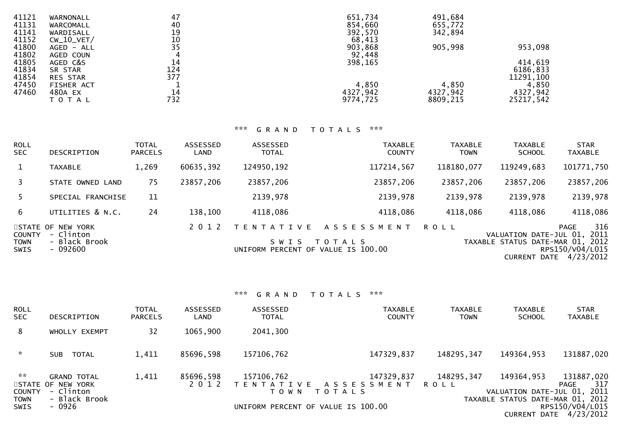| 41121 | WARNONALL       | 47              | 651,734  | 491,684  |            |
|-------|-----------------|-----------------|----------|----------|------------|
| 41131 | WARCOMALL       | 40              | 854,660  | 655,772  |            |
| 41141 | WARDISALL       | 19              | 392,570  | 342,894  |            |
| 41152 | $CW_10_VET/$    |                 | 68,413   |          |            |
| 41800 | $AGED - ALL$    | $\frac{10}{35}$ | 903,868  | 905,998  | 953,098    |
| 41802 | AGED COUN       | 4               | 92,448   |          |            |
| 41805 | AGED C&S        | 14              | 398,165  |          | 414,619    |
| 41834 | SR STAR         | 124             |          |          | 6186,833   |
| 41854 | <b>RES STAR</b> | 377             |          |          | 11291, 100 |
| 47450 | FISHER ACT      |                 | 4,850    | 4,850    | 4,850      |
| 47460 | 480A EX         | 14              | 4327,942 | 4327,942 | 4327,942   |
|       | T O T A L       | 732             | 9774,725 | 8809,215 | 25217,542  |

# \*\*\* G R A N D T O T A L S \*\*\*

| <b>ROLL</b><br><b>SEC</b>                   | DESCRIPTION                                                  | <b>TOTAL</b><br><b>PARCELS</b> | ASSESSED<br>LAND | ASSESSED<br><b>TOTAL</b>                                           | <b>TAXABLE</b><br><b>COUNTY</b>    | <b>TAXABLE</b><br><b>TOWN</b> | <b>TAXABLE</b><br><b>SCHOOL</b>                                                   | <b>STAR</b><br><b>TAXABLE</b>                              |
|---------------------------------------------|--------------------------------------------------------------|--------------------------------|------------------|--------------------------------------------------------------------|------------------------------------|-------------------------------|-----------------------------------------------------------------------------------|------------------------------------------------------------|
| 1                                           | <b>TAXABLE</b>                                               | 1,269                          | 60635,392        | 124950,192                                                         | 117214,567                         | 118180,077                    | 119249,683                                                                        | 101771,750                                                 |
| 3                                           | STATE OWNED LAND                                             | 75                             | 23857,206        | 23857,206                                                          | 23857,206                          | 23857,206                     | 23857,206                                                                         | 23857,206                                                  |
| 5.                                          | SPECIAL FRANCHISE                                            | 11                             |                  | 2139,978                                                           | 2139,978                           | 2139,978                      | 2139,978                                                                          | 2139,978                                                   |
| 6                                           | UTILITIES & N.C.                                             | 24                             | 138,100          | 4118,086                                                           | 4118,086                           | 4118,086                      | 4118,086                                                                          | 4118,086                                                   |
| <b>COUNTY</b><br><b>TOWN</b><br><b>SWIS</b> | STATE OF NEW YORK<br>- Clinton<br>- Black Brook<br>$-092600$ |                                | 2 0 1 2          | T E N T A T I V E<br>S W I S<br>UNIFORM PERCENT OF VALUE IS 100.00 | A S S E S S M E N T<br>T O T A L S | ROLL                          | VALUATION DATE-JUL 01,<br>TAXABLE STATUS DATE-MAR 01, 2012<br><b>CURRENT DATE</b> | 316<br><b>PAGE</b><br>2011<br>RPS150/V04/L015<br>4/23/2012 |

# \*\*\* G R A N D T O T A L S \*\*\*

| <b>ROLL</b><br><b>SEC</b>                                      | DESCRIPTION                                                                     | <b>TOTAL</b><br><b>PARCELS</b> | <b>ASSESSED</b><br>LAND | ASSESSED<br><b>TOTAL</b> | TAXABLE<br><b>COUNTY</b>                                                                | <b>TAXABLE</b><br><b>TOWN</b> | <b>TAXABLE</b><br><b>SCHOOL</b>                                               | <b>STAR</b><br><b>TAXABLE</b>                                                 |
|----------------------------------------------------------------|---------------------------------------------------------------------------------|--------------------------------|-------------------------|--------------------------|-----------------------------------------------------------------------------------------|-------------------------------|-------------------------------------------------------------------------------|-------------------------------------------------------------------------------|
| 8                                                              | WHOLLY EXEMPT                                                                   | 32                             | 1065,900                | 2041,300                 |                                                                                         |                               |                                                                               |                                                                               |
| $\sim$                                                         | <b>TOTAL</b><br><b>SUB</b>                                                      | 1,411                          | 85696.598               | 157106,762               | 147329,837                                                                              | 148295,347                    | 149364,953                                                                    | 131887,020                                                                    |
| $\sim$ $\times$<br><b>COUNTY</b><br><b>TOWN</b><br><b>SWIS</b> | <b>GRAND TOTAL</b><br>STATE OF NEW YORK<br>- Clinton<br>- Black Brook<br>- 0926 | 1,411                          | 85696,598<br>2012       | 157106,762<br>T O W N    | 147329,837<br>TENTATIVE ASSESSMENT<br>T O T A L S<br>UNIFORM PERCENT OF VALUE IS 100.00 | 148295,347<br><b>ROLL</b>     | 149364,953<br>VALUATION DATE-JUL 01, 2011<br>TAXABLE STATUS DATE-MAR 01, 2012 | 131887,020<br>317<br>PAGE<br>RPS150/V04/L015<br><b>CURRENT DATE 4/23/2012</b> |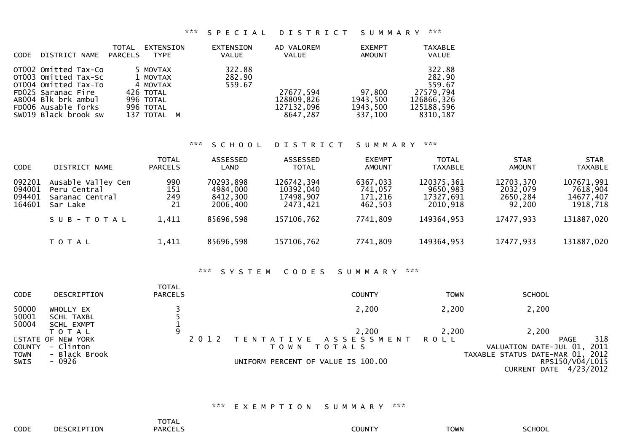#### \*\*\* S P E C I A L D I S T R I C T S U M M A R Y \*\*\*

| <b>CODE</b> | DISTRICT NAME                                                                                                                                                    | TOTAL<br>PARCELS | EXTENSION<br><b>TYPE</b>                                                               | EXTENSION<br><b>VALUE</b>  | AD VALOREM<br><b>VALUE</b>                        | <b>EXEMPT</b><br><b>AMOUNT</b>            | <b>TAXABLE</b><br><b>VALUE</b>                                                  |
|-------------|------------------------------------------------------------------------------------------------------------------------------------------------------------------|------------------|----------------------------------------------------------------------------------------|----------------------------|---------------------------------------------------|-------------------------------------------|---------------------------------------------------------------------------------|
|             | OT002 Omitted Tax-Co<br>OT003 Omitted Tax-Sc<br>OT004 Omitted Tax-To<br>FD025 Saranac Fire<br>AB004 Blk brk ambul<br>FD006 Ausable forks<br>SW019 Black brook sw |                  | 5 MOVTAX<br>1 MOVTAX<br>4 MOVTAX<br>426 TOTAL<br>996 TOTAL<br>996 TOTAL<br>137 TOTAL M | 322.88<br>282.90<br>559.67 | 27677,594<br>128809,826<br>127132,096<br>8647.287 | 97,800<br>1943,500<br>1943,500<br>337,100 | 322.88<br>282.90<br>559.67<br>27579,794<br>126866,326<br>125188,596<br>8310,187 |

#### \*\*\* S C H O O L D I S T R I C T S U M M A R Y \*\*\*

| <b>CODE</b>                          | DISTRICT NAME                                                     | <b>TOTAL</b><br><b>PARCELS</b> | ASSESSED<br>LAND                              | ASSESSED<br><b>TOTAL</b>                         | <b>EXEMPT</b><br>AMOUNT                   | <b>TOTAL</b><br><b>TAXABLE</b>                  | <b>STAR</b><br><b>AMOUNT</b>                | <b>STAR</b><br><b>TAXABLE</b>                   |
|--------------------------------------|-------------------------------------------------------------------|--------------------------------|-----------------------------------------------|--------------------------------------------------|-------------------------------------------|-------------------------------------------------|---------------------------------------------|-------------------------------------------------|
| 092201<br>094001<br>094401<br>164601 | Ausable Valley Cen<br>Peru Central<br>Saranac Central<br>Sar Lake | 990<br>151<br>249<br>21        | 70293,898<br>4984,000<br>8412,300<br>2006,400 | 126742,394<br>10392,040<br>17498,907<br>2473.421 | 6367,033<br>741,057<br>171,216<br>462,503 | 120375,361<br>9650,983<br>17327,691<br>2010,918 | 12703,370<br>2032,079<br>2650,284<br>92,200 | 107671,991<br>7618,904<br>14677,407<br>1918,718 |
|                                      | SUB-TOTAL                                                         | 1,411                          | 85696,598                                     | 157106,762                                       | 7741,809                                  | 149364,953                                      | 17477,933                                   | 131887,020                                      |
|                                      | T O T A L                                                         | 1,411                          | 85696,598                                     | 157106,762                                       | 7741,809                                  | 149364,953                                      | 17477,933                                   | 131887,020                                      |

#### \*\*\* S Y S T E M C O D E S S U M M A R Y \*\*\*

| <b>CODE</b>   | DESCRIPTION                | <b>TOTAL</b><br><b>PARCELS</b> | <b>COUNTY</b>                      | <b>TOWN</b> | <b>SCHOOL</b>                                |
|---------------|----------------------------|--------------------------------|------------------------------------|-------------|----------------------------------------------|
| 50000         | WHOLLY EX                  |                                | 2,200                              | 2,200       | 2,200                                        |
| 50001         | SCHL TAXBL                 |                                |                                    |             |                                              |
| 50004         | <b>SCHL EXMPT</b><br>ΤΟΤΑΙ | 9                              | 2,200                              | 2,200       | 2,200                                        |
|               | STATE OF NEW YORK          |                                | TENTATIVE ASSESSMENT ROLL          |             | 318<br>PAGE                                  |
| <b>COUNTY</b> | - Clinton                  |                                | <b>TOTALS</b><br>T O W N           |             | 2011<br>VALUATION DATE-JUL 01,               |
| <b>TOWN</b>   | - Black Brook              |                                |                                    |             | TAXABLE STATUS DATE-MAR 01, 2012             |
| <b>SWIS</b>   | - 0926                     |                                | UNIFORM PERCENT OF VALUE IS 100.00 |             | RPS150/V04/L015<br>4/23/2012<br>CURRENT DATE |

# \*\*\* E X E M P T I O N S U M M A R Y \*\*\*

|      |             | <b>TOTAL</b><br>the contract of the contract of the contract of |        |             |        |
|------|-------------|-----------------------------------------------------------------|--------|-------------|--------|
| CODE | DESCRIPTION | <b>PARCELS</b><br>______                                        | COUNTY | <b>TOWN</b> | SCHOOL |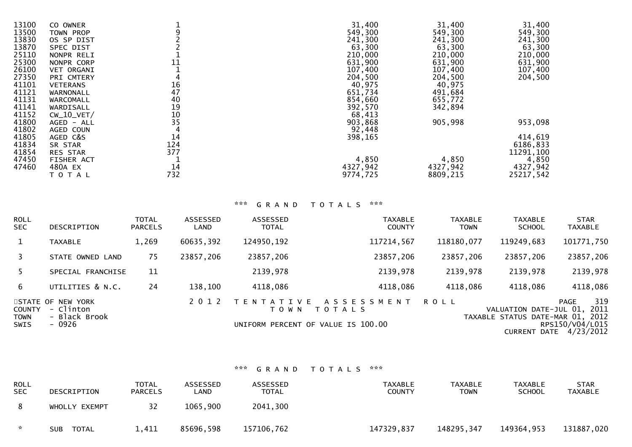| 13100 | CO OWNER          |     | 31,400   | 31,400   | 31,400    |
|-------|-------------------|-----|----------|----------|-----------|
| 13500 | TOWN PROP         |     | 549,300  | 549,300  | 549,300   |
| 13830 | OS SP DIST        |     | 241,300  | 241,300  | 241,300   |
| 13870 | <b>SPEC DIST</b>  |     | 63,300   | 63,300   | 63,300    |
| 25110 | NONPR RELI        |     | 210,000  | 210,000  | 210,000   |
| 25300 | NONPR CORP        | 11  | 631,900  | 631,900  | 631,900   |
| 26100 | <b>VET ORGANI</b> |     | 107,400  | 107,400  | 107,400   |
| 27350 | PRI CMTERY        |     | 204,500  | 204,500  | 204,500   |
| 41101 | <b>VETERANS</b>   | 16  | 40,975   | 40,975   |           |
| 41121 | WARNONALL         | 47  | 651,734  | 491,684  |           |
| 41131 | WARCOMALL         | 40  | 854,660  | 655,772  |           |
| 41141 | WARDISALL         | 19  | 392,570  | 342,894  |           |
| 41152 | $CW_10_VET/$      | 10  | 68,413   |          |           |
| 41800 | AGED - ALL        | 35  | 903,868  | 905,998  | 953,098   |
| 41802 | AGED COUN         |     | 92,448   |          |           |
| 41805 | AGED C&S          | 14  | 398,165  |          | 414,619   |
| 41834 | SR STAR           | 124 |          |          | 6186,833  |
| 41854 | <b>RES STAR</b>   | 377 |          |          | 11291,100 |
| 47450 | FISHER ACT        |     | 4,850    | 4,850    | 4,850     |
| 47460 | 480A EX           | 14  | 4327,942 | 4327,942 | 4327,942  |
|       | ΤΟΤΑΙ             | 732 | 9774,725 | 8809,215 | 25217,542 |

# \*\*\* G R A N D T O T A L S \*\*\*

| ROLL<br>SEC.                       | DESCRIPTION                                      | <b>TOTAL</b><br><b>PARCELS</b> | <b>ASSESSED</b><br>LAND | ASSESSED<br><b>TOTAL</b>     | <b>TAXABLE</b><br><b>COUNTY</b>                                            | <b>TAXABLE</b><br><b>TOWN</b> | <b>TAXABLE</b><br><b>SCHOOL</b>                                                 | <b>STAR</b><br><b>TAXABLE</b>               |
|------------------------------------|--------------------------------------------------|--------------------------------|-------------------------|------------------------------|----------------------------------------------------------------------------|-------------------------------|---------------------------------------------------------------------------------|---------------------------------------------|
| 1                                  | <b>TAXABLE</b>                                   | 1,269                          | 60635,392               | 124950,192                   | 117214,567                                                                 | 118180,077                    | 119249,683                                                                      | 101771,750                                  |
| 3                                  | STATE OWNED LAND                                 | 75                             | 23857,206               | 23857,206                    | 23857,206                                                                  | 23857,206                     | 23857,206                                                                       | 23857,206                                   |
| 5.                                 | SPECIAL FRANCHISE                                | 11                             |                         | 2139,978                     | 2139,978                                                                   | 2139,978                      | 2139,978                                                                        | 2139,978                                    |
| 6                                  | UTILITIES & N.C.                                 | 24                             | 138,100                 | 4118,086                     | 4118,086                                                                   | 4118,086                      | 4118,086                                                                        | 4118,086                                    |
| STATE OF<br>COUNTY<br>TOWN<br>SWIS | NEW YORK<br>- Clinton<br>- Black Brook<br>- 0926 |                                | 2 0 1 2                 | T E N T A T I V E<br>T O W N | A S S E S S M E N T<br><b>TOTALS</b><br>UNIFORM PERCENT OF VALUE IS 100.00 | <b>ROLL</b>                   | VALUATION DATE-JUL 01, 2011<br>TAXABLE STATUS DATE-MAR 01, 2012<br>CURRENT DATE | 319<br>PAGE<br>RPS150/V04/L015<br>4/23/2012 |

# \*\*\* G R A N D T O T A L S \*\*\*

| <b>ROLL</b><br><b>SEC</b> | DESCRIPTION         | <b>TOTAL</b><br><b>PARCELS</b> | ASSESSED<br>∟AND | ASSESSED<br>TOTAL | TAXABLE<br><b>COUNTY</b> | TAXABLE<br>TOWN | TAXABLE<br><b>SCHOOL</b> | <b>STAR</b><br>TAXABLE |
|---------------------------|---------------------|--------------------------------|------------------|-------------------|--------------------------|-----------------|--------------------------|------------------------|
|                           | WHOLLY EXEMPT       | 32                             | 1065,900         | 2041,300          |                          |                 |                          |                        |
| $\mathcal{R}$             | TOTAL<br><b>SUB</b> | 1,411                          | 85696,598        | 157106,762        | 147329,837               | 148295,347      | 149364,953               | 131887,020             |